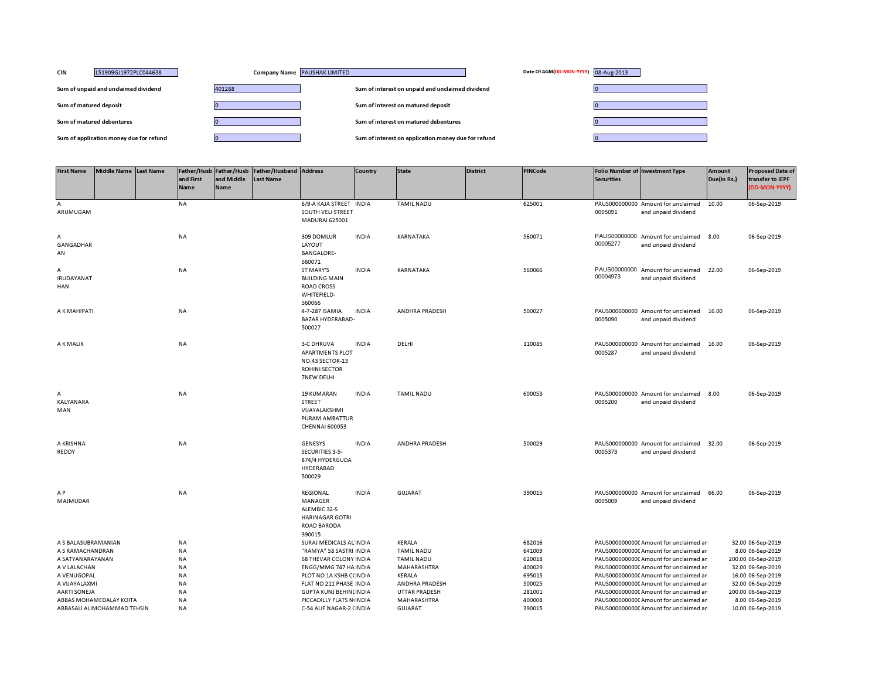| <b>CIN</b><br>L51909GJ1972PLC044638     | Company Name PAUSHAK LIMITED | Date Of AGM(DD-MON-YYYY) 08-Aug-2013                |  |
|-----------------------------------------|------------------------------|-----------------------------------------------------|--|
| Sum of unpaid and unclaimed dividend    | 401288                       | Sum of interest on unpaid and unclaimed dividend    |  |
| Sum of matured deposit                  |                              | Sum of interest on matured deposit                  |  |
| Sum of matured debentures               |                              | Sum of interest on matured debentures               |  |
| Sum of application money due for refund |                              | Sum of interest on application money due for refund |  |

| <b>First Name</b>             | Middle Name Last Name       | and First<br>Name      | and Middle<br>Name | Father/Husb Father/Husb Father/Husband Address<br>Last Name |                                                                                               | Country      | <b>State</b>                        | <b>District</b> | <b>PINCode</b>   | <b>Securities</b> | Folio Number of Investment Type                                                  | <b>Amount</b><br>Due(in Rs.) | <b>Proposed Date of</b><br>transfer to IEPF<br>(DD-MON-YYYY) |
|-------------------------------|-----------------------------|------------------------|--------------------|-------------------------------------------------------------|-----------------------------------------------------------------------------------------------|--------------|-------------------------------------|-----------------|------------------|-------------------|----------------------------------------------------------------------------------|------------------------------|--------------------------------------------------------------|
| A<br>ARUMUGAM                 |                             | NA                     |                    |                                                             | 6/9-A KAJA STREET INDIA<br>SOUTH VELI STREET<br>MADURAI 625001                                |              | <b>TAMIL NADU</b>                   |                 | 625001           | 0005091           | PAUS000000000 Amount for unclaimed<br>and unpaid dividend                        | 10.00                        | 06-Sep-2019                                                  |
| А<br>GANGADHAR<br>AN          |                             | NA                     |                    |                                                             | 309 DOMLUR<br>LAYOUT<br><b>BANGALORE-</b><br>560071                                           | <b>INDIA</b> | KARNATAKA                           |                 | 560071           | 00005277          | PAUS00000000 Amount for unclaimed<br>and unpaid dividend                         | 8.00                         | 06-Sep-2019                                                  |
| А<br><b>IRUDAYANAT</b><br>HAN |                             | NA                     |                    |                                                             | ST MARY'S<br><b>BUILDING MAIN</b><br><b>ROAD CROSS</b><br>WHITEFIELD-<br>560066               | <b>INDIA</b> | KARNATAKA                           |                 | 560066           | 00004973          | PAUS00000000 Amount for unclaimed<br>and unpaid dividend                         | 22.00                        | 06-Sep-2019                                                  |
| A K MAHIPATI                  |                             | NA                     |                    |                                                             | 4-7-287 ISAMIA<br><b>BAZAR HYDERABAD-</b><br>500027                                           | <b>INDIA</b> | ANDHRA PRADESH                      |                 | 500027           | 0005090           | PAUS000000000 Amount for unclaimed<br>and unpaid dividend                        | 16.00                        | 06-Sep-2019                                                  |
| A K MALIK                     |                             | NA                     |                    |                                                             | 3-C DHRUVA<br><b>APARTMENTS PLOT</b><br>NO.43 SECTOR-13<br><b>ROHINI SECTOR</b><br>7NEW DELHI | <b>INDIA</b> | DELHI                               |                 | 110085           | 0005287           | PAUS000000000 Amount for unclaimed<br>and unpaid dividend                        | 16.00                        | 06-Sep-2019                                                  |
| А<br>KALYANARA<br>MAN         |                             | <b>NA</b>              |                    |                                                             | <b>19 KUMARAN</b><br>STREET<br>VIJAYALAKSHMI<br>PURAM AMBATTUR<br><b>CHENNAI 600053</b>       | <b>INDIA</b> | <b>TAMIL NADU</b>                   |                 | 600053           | 0005200           | PAUS000000000 Amount for unclaimed<br>and unpaid dividend                        | 8.00                         | 06-Sep-2019                                                  |
| A KRISHNA<br>REDDY            |                             | NA                     |                    |                                                             | GENESYS<br>SECURITIES 3-5-<br>874/4 HYDERGUDA<br><b>HYDERABAD</b><br>500029                   | <b>INDIA</b> | <b>ANDHRA PRADESH</b>               |                 | 500029           | 0005373           | PAUS000000000 Amount for unclaimed<br>and unpaid dividend                        | 32.00                        | 06-Sep-2019                                                  |
| A P<br>MAJMUDAR               |                             | NA                     |                    |                                                             | REGIONAL<br>MANAGER<br>ALEMBIC 32-S<br><b>HARINAGAR GOTRI</b><br><b>ROAD BARODA</b><br>390015 | <b>INDIA</b> | <b>GUJARAT</b>                      |                 | 390015           | 0005009           | PAUS000000000 Amount for unclaimed<br>and unpaid dividend                        | 66.00                        | 06-Sep-2019                                                  |
| A S BALASUBRAMANIAN           |                             | NA                     |                    |                                                             | SURAJ MEDICALS AL INDIA                                                                       |              | KERALA                              |                 | 682016           |                   | PAUS0000000000 Amount for unclaimed ar                                           |                              | 32.00 06-Sep-2019                                            |
| A S RAMACHANDRAN              |                             | NA                     |                    |                                                             | "RAMYA" 58 SASTRI INDIA                                                                       |              | <b>TAMIL NADU</b>                   |                 | 641009           |                   | PAUS0000000000CAmount for unclaimed ar                                           |                              | 8.00 06-Sep-2019                                             |
| A SATYANARAYANAN              |                             | <b>NA</b>              |                    |                                                             | <b>68 THEVAR COLONY INDIA</b>                                                                 |              | <b>TAMIL NADU</b>                   |                 | 620018           |                   | PAUS0000000000 Amount for unclaimed ar                                           |                              | 200.00 06-Sep-2019                                           |
| A V LALACHAN                  |                             | <b>NA</b>              |                    |                                                             | ENGG/MMG 747 HAINDIA                                                                          |              | MAHARASHTRA                         |                 | 400029           |                   | PAUS00000000000 Amount for unclaimed ar                                          |                              | 32.00 06-Sep-2019                                            |
| A VENUGOPAL                   |                             | <b>NA</b>              |                    |                                                             | PLOT NO 1A KSHB C(INDIA                                                                       |              | KERALA                              |                 | 695015           |                   | PAUS0000000000 Amount for unclaimed ar                                           |                              | 16.00 06-Sep-2019                                            |
| A VIJAYALAXMI                 |                             | NA                     |                    |                                                             | FLAT NO 211 PHASE INDIA                                                                       |              | ANDHRA PRADESH                      |                 | 500025           |                   | PAUS0000000000 Amount for unclaimed ar                                           |                              | 32.00 06-Sep-2019                                            |
| <b>AARTI SONEJA</b>           | ABBAS MOHAMEDALAY KOITA     | <b>NA</b><br><b>NA</b> |                    |                                                             | <b>GUPTA KUNJ BEHINI INDIA</b>                                                                |              | <b>UTTAR PRADESH</b><br>MAHARASHTRA |                 | 281001<br>400008 |                   | PAUS0000000000 Amount for unclaimed ar<br>PAUS0000000000 Amount for unclaimed ar |                              | 200.00 06-Sep-2019                                           |
|                               | ABBASALI ALIMOHAMMAD TEHSIN | <b>NA</b>              |                    |                                                             | PICCADILLY FLATS N(INDIA<br>C-54 ALIF NAGAR-2 (INDIA                                          |              | <b>GUJARAT</b>                      |                 | 390015           |                   | PAUS0000000000 Amount for unclaimed ar                                           |                              | 8.00 06-Sep-2019<br>10.00 06-Sep-2019                        |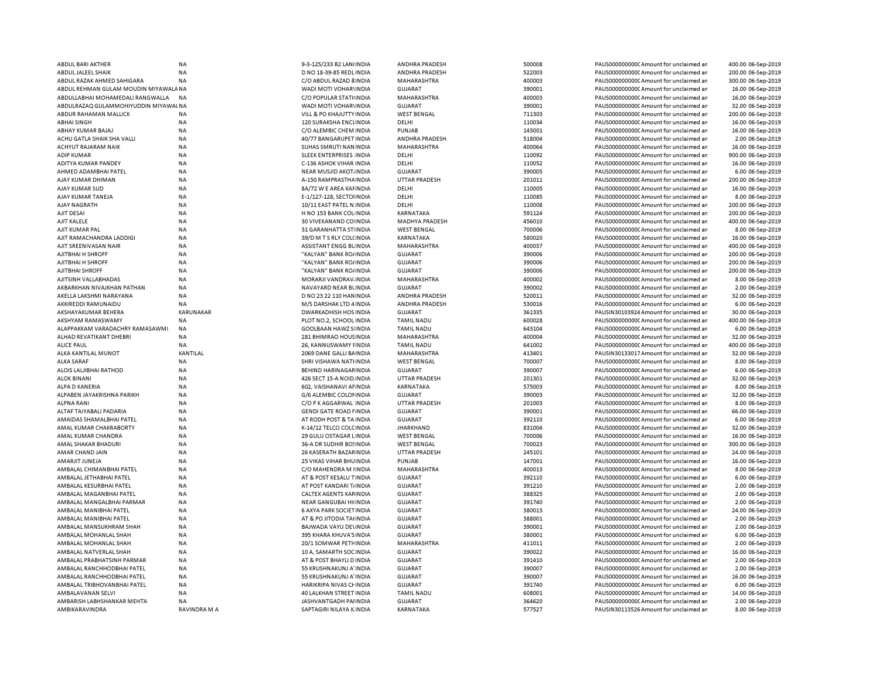| ABDUL BARI AKTHER                            | <b>NA</b>                 | 9-3-125/233 B2 LAN(INDIA                                 | ANDHRA PRADESH              | 500008           | PAUS0000000000 Amount for unclaimed ar                                           | 400.00 06-Sep-2019                   |
|----------------------------------------------|---------------------------|----------------------------------------------------------|-----------------------------|------------------|----------------------------------------------------------------------------------|--------------------------------------|
| ABDUL JALEEL SHAIK                           | <b>NA</b>                 | D NO 18-39-85 REDL INDIA                                 | ANDHRA PRADESH              | 522003           | PAUS0000000000 Amount for unclaimed ar                                           | 200.00 06-Sep-2019                   |
| ABDUL RAZAK AHMED SAHIGARA                   | <b>NA</b>                 | C/O ABDUL RAZAD 8 INDIA                                  | MAHARASHTRA                 | 400003           | PAUS0000000000 Amount for unclaimed ar                                           | 300.00 06-Sep-2019                   |
| ABDUL REHMAN GULAM MOUDIN MIYAWALA NA        |                           | WADI MOTI VOHAR\ INDIA                                   | <b>GUJARAT</b>              | 390001           | PAUS0000000000 Amount for unclaimed ar                                           | 16.00 06-Sep-2019                    |
| ABDULLABHAI MOHAMEDALI RANGWALLA             | <b>NA</b>                 | C/O POPULAR STATI INDIA                                  | MAHARASHTRA                 | 400003           | PAUS0000000000 Amount for unclaimed ar                                           | 16.00 06-Sep-2019                    |
| ABDULRAZAQ GULAMMOHIYUDDIN MIYAWAL NA        |                           | WADI MOTI VOHAR\INDIA                                    | <b>GUJARAT</b>              | 390001           | PAUS0000000000CAmount for unclaimed ar                                           | 32.00 06-Sep-2019                    |
| ABDUR RAHAMAN MALLICK                        | <b>NA</b>                 | VILL & PO KHAJUTTY INDIA                                 | <b>WEST BENGAL</b>          | 711303           | PAUS0000000000 Amount for unclaimed ar                                           | 200.00 06-Sep-2019                   |
| <b>ABHAI SINGH</b>                           | NA                        | 120 SURAKSHA ENCLINDIA                                   | DELHI                       | 110034           | PAUS0000000000CAmount for unclaimed an                                           | 16.00 06-Sep-2019                    |
|                                              |                           |                                                          |                             |                  |                                                                                  |                                      |
| ABHAY KUMAR BAJAJ                            | <b>NA</b>                 | C/O ALEMBIC CHEM INDIA                                   | PUNJAB                      | 143001           | PAUS0000000000 Amount for unclaimed ar                                           | 16.00 06-Sep-2019                    |
| ACHU GATLA SHAIK SHA VALLI                   | <b>NA</b>                 | 40/77 BANGARUPET INDIA                                   | ANDHRA PRADESH              | 518004           | PAUS0000000000CAmount for unclaimed an                                           | 2.00 06-Sep-2019                     |
| ACHYUT RAJARAM NAIK                          | <b>NA</b>                 | SUHAS SMRUTI NAN INDIA                                   | MAHARASHTRA                 | 400064           | PAUS0000000000 Amount for unclaimed ar                                           | 16.00 06-Sep-2019                    |
| <b>ADIP KUMAR</b>                            | NA                        | SLEEK ENTERPRISES. INDIA                                 | DELHI                       | 110092           | PAUS0000000000 Amount for unclaimed ar                                           | 900.00 06-Sep-2019                   |
| ADITYA KUMAR PANDEY                          | NA                        | C-136 ASHOK VIHAR INDIA                                  | DELHI                       | 110052           | PAUS0000000000 Amount for unclaimed ar                                           | 16.00 06-Sep-2019                    |
| AHMED ADAMBHAI PATEL                         | <b>NA</b>                 | NEAR MUSJID AKOT INDIA                                   | <b>GUJARAT</b>              | 390005           | PAUS0000000000 Amount for unclaimed ar                                           | 6.00 06-Sep-2019                     |
| AJAY KUMAR DHIMAN                            | <b>NA</b>                 | A-150 RAMPRASTHA INDIA                                   | <b>UTTAR PRADESH</b>        | 201011           | PAUS00000000000Amount for unclaimed ar                                           | 200.00 06-Sep-2019                   |
| AJAY KUMAR SUD                               | <b>NA</b>                 | 8A/72 W E AREA KAI INDIA                                 | DELHI                       | 110005           | PAUS0000000000 Amount for unclaimed ar                                           | 16.00 06-Sep-2019                    |
| AJAY KUMAR TANEJA                            | <b>NA</b>                 | E-1/127-128, SECTOHNDIA                                  | DELHI                       | 110085           | PAUS0000000000 Amount for unclaimed ar                                           | 8.00 06-Sep-2019                     |
| AJAY NAGRATH                                 | <b>NA</b>                 | 10/11 EAST PATEL N. INDIA                                | DELHI                       | 110008           | PAUS0000000000CAmount for unclaimed ar                                           | 200.00 06-Sep-2019                   |
| AJIT DESAI                                   | <b>NA</b>                 | H NO 153 BANK COL INDIA                                  | KARNATAKA                   | 591124           | PAUS00000000000Amount for unclaimed ar                                           | 200.00 06-Sep-2019                   |
| AJIT KALELE                                  | <b>NA</b>                 | 30 VIVEKANAND CO INDIA                                   | MADHYA PRADESH              | 456010           | PAUS0000000000CAmount for unclaimed ar                                           | 400.00 06-Sep-2019                   |
| AJIT KUMAR PAL                               | <b>NA</b>                 | 31 GARANHATTA ST INDIA                                   | <b>WEST BENGAL</b>          | 700006           | PAUS0000000000CAmount for unclaimed ar                                           | 8.00 06-Sep-2019                     |
| AJIT RAMACHANDRA LADDIGI                     | <b>NA</b>                 | 39/D M T S RLY COL(INDIA                                 | <b>KARNATAKA</b>            | 580020           | PAUS0000000000CAmount for unclaimed ar                                           | 16.00 06-Sep-2019                    |
| AJIT SREENIVASAN NAIR                        | <b>NA</b>                 | <b>ASSISTANT ENGG BLINDIA</b>                            | MAHARASHTRA                 | 400037           | PAUS0000000000 Amount for unclaimed ar                                           | 400.00 06-Sep-2019                   |
|                                              |                           |                                                          |                             |                  |                                                                                  |                                      |
| AJITBHAI H SHROFF                            | NA                        | "KALYAN" BANK RO/INDIA                                   | <b>GUJARAT</b>              | 390006           | PAUS0000000000C Amount for unclaimed ar                                          | 200.00 06-Sep-2019                   |
| AJITBHAI H SHROFF                            | <b>NA</b>                 | "KALYAN" BANK RO/INDIA                                   | <b>GUJARAT</b>              | 390006           | PAUS0000000000 Amount for unclaimed ar                                           | 200.00 06-Sep-2019                   |
| AJITBHAI SHROFF                              | NA                        | "KALYAN" BANK RO/INDIA                                   | <b>GUJARAT</b>              | 390006           | PAUS0000000000C Amount for unclaimed ar                                          | 200.00 06-Sep-2019                   |
| AJITSINH VALLABHADAS                         | <b>NA</b>                 | MORARJI VANDRAV. INDIA                                   | <b>MAHARASHTRA</b>          | 400002           | PAUS0000000000 Amount for unclaimed ar                                           | 8.00 06-Sep-2019                     |
| AKBARKHAN NIVAJKHAN PATHAN                   | <b>NA</b>                 | NAVAYARD NEAR BUNDIA                                     | GUJARAT                     | 390002           | PAUS0000000000C Amount for unclaimed ar                                          | 2.00 06-Sep-2019                     |
| AKELLA LAKSHMI NARAYANA                      | <b>NA</b>                 | D NO 23 22 110 HAN INDIA                                 | <b>ANDHRA PRADESH</b>       | 520011           | PAUS0000000000 Amount for unclaimed ar                                           | 32.00 06-Sep-2019                    |
| AKKIREDDI RAMUNAIDU                          | <b>NA</b>                 | M/S DARSHAK LTD 4 INDIA                                  | <b>ANDHRA PRADESH</b>       | 530016           | PAUS0000000000CAmount for unclaimed ar                                           | 6.00 06-Sep-2019                     |
| AKSHAYAKUMAR BEHERA                          | KARUNAKAR                 | DWARKADHISH HOS INDIA                                    | GUJARAT                     | 361335           | PAUSIN30103924 Amount for unclaimed ar                                           | 30.00 06-Sep-2019                    |
| AKSHYAM RAMASWAMY                            | <b>NA</b>                 | PLOT NO.2, SCHOOL INDIA                                  | <b>TAMIL NADU</b>           | 600028           | PAUS00000000000Amount for unclaimed ar                                           | 400.00 06-Sep-2019                   |
| ALAPPAKKAM VARADACHRY RAMASAWMI              | <b>NA</b>                 | <b>GOOLBAAN HAWZ S INDIA</b>                             | <b>TAMIL NADU</b>           | 643104           | PAUS0000000000CAmount for unclaimed ar                                           | 6.00 06-Sep-2019                     |
| ALHAD REVATIKANT DHEBRI                      | <b>NA</b>                 | 281 BHIMRAO HOUS INDIA                                   | MAHARASHTRA                 | 400004           | PAUS0000000000CAmount for unclaimed ar                                           | 32.00 06-Sep-2019                    |
| <b>ALICE PAUL</b>                            | <b>NA</b>                 | 26, KANNUSWAMY FINDIA                                    | <b>TAMIL NADU</b>           | 641002           | PAUS0000000000CAmount for unclaimed ar                                           | 400.00 06-Sep-2019                   |
| ALKA KANTILAL MUNOT                          | KANTILAL                  | 2069 DANE GALLI BAINDIA                                  | <b>MAHARASHTRA</b>          | 413401           | PAUSIN30133017 Amount for unclaimed ar                                           | 32.00 06-Sep-2019                    |
|                                              |                           |                                                          |                             |                  |                                                                                  |                                      |
| <b>ALKA SARAF</b>                            | <b>NA</b>                 | SHRI VISHAWA NATHNDIA                                    | <b>WEST BENGAL</b>          | 700007           | PAUS0000000000 Amount for unclaimed ar                                           | 8.00 06-Sep-2019                     |
| ALOIS LALJIBHAI RATHOD                       | <b>NA</b>                 | <b>BEHIND HARINAGAFINDIA</b>                             | <b>GUJARAT</b>              | 390007           | PAUS0000000000 Amount for unclaimed ar                                           | 6.00 06-Sep-2019                     |
| <b>ALOK BINANI</b>                           | <b>NA</b>                 | 426 SECT 15-A NOID INDIA                                 | UTTAR PRADESH               | 201301           | PAUS0000000000 Amount for unclaimed ar                                           | 32.00 06-Sep-2019                    |
| <b>ALPA D KANERIA</b>                        | <b>NA</b>                 | 602, VAISHANAVI AFINDIA                                  | <b>KARNATAKA</b>            | 575003           | PAUS0000000000 Amount for unclaimed ar                                           | 8.00 06-Sep-2019                     |
| ALPABEN JAYAKRISHNA PARIKH                   | <b>NA</b>                 | G/6 ALEMBIC COLOMNDIA                                    | <b>GUJARAT</b>              | 390003           | PAUS0000000000 Amount for unclaimed ar                                           | 32.00 06-Sep-2019                    |
| <b>ALPNA RANI</b>                            | NA                        | C/O P K AGGARWAL INDIA                                   | UTTAR PRADESH               | 201003           | PAUS0000000000 Amount for unclaimed ar                                           | 8.00 06-Sep-2019                     |
| ALTAF TAIYABALI PADARIA                      | <b>NA</b>                 | <b>GENDI GATE ROAD FINDIA</b>                            | <b>GUJARAT</b>              | 390001           | PAUS0000000000 Amount for unclaimed ar                                           | 66.00 06-Sep-2019                    |
| AMAIDAS SHAMALBHAI PATEL                     | <b>NA</b>                 | AT RODH POST & TA INDIA                                  | <b>GUJARAT</b>              | 392110           | PAUS0000000000 Amount for unclaimed ar                                           | 6.00 06-Sep-2019                     |
| AMAL KUMAR CHAKRABORTY                       | <b>NA</b>                 | K-14/12 TELCO COLC INDIA                                 | <b>JHARKHAND</b>            | 831004           | PAUS0000000000 Amount for unclaimed ar                                           | 32.00 06-Sep-2019                    |
| AMAL KUMAR CHANDRA                           | <b>NA</b>                 | 29 GULU OSTAGAR LINDIA                                   | <b>WEST BENGAL</b>          | 700006           | PAUS0000000000 Amount for unclaimed ar                                           | 16.00 06-Sep-2019                    |
| AMAL SHAKAR BHADURI                          | <b>NA</b>                 | 36-A DR SUDHIR BOSINDIA                                  | <b>WEST BENGAL</b>          | 700023           | PAUS0000000000 Amount for unclaimed ar                                           | 300.00 06-Sep-2019                   |
| AMAR CHAND JAIN                              | <b>NA</b>                 | 26 KASERATH BAZAF INDIA                                  | <b>UTTAR PRADESH</b>        | 245101           | PAUS0000000000 Amount for unclaimed ar                                           | 24.00 06-Sep-2019                    |
| AMARJIT JUNEJA                               | <b>NA</b>                 | 25 VIKAS VIHAR BHUINDIA                                  | PUNJAB                      | 147001           | PAUS0000000000CAmount for unclaimed ar                                           | 16.00 06-Sep-2019                    |
| AMBALAL CHIMANBHAI PATEL                     | <b>NA</b>                 | C/O MAHENDRA M IINDIA                                    | MAHARASHTRA                 | 400013           | PAUS0000000000 Amount for unclaimed ar                                           | 8.00 06-Sep-2019                     |
| AMBALAL JETHABHAI PATEL                      | <b>NA</b>                 | AT & POST KESALU T INDIA                                 | <b>GUJARAT</b>              | 392110           | PAUS0000000000 Amount for unclaimed ar                                           | 6.00 06-Sep-2019                     |
|                                              |                           |                                                          |                             |                  |                                                                                  |                                      |
| AMBALAL KESURBHAI PATEL                      | <b>NA</b>                 | AT POST KANDARI T/ INDIA                                 | <b>GUJARAT</b>              | 391210           | PAUS0000000000 Amount for unclaimed ar                                           | 2.00 06-Sep-2019                     |
| AMBALAL MAGANBHAI PATEL                      | <b>NA</b>                 | CALTEX AGENTS KAFINDIA                                   | <b>GUJARAT</b>              | 388325           | PAUS0000000000 Amount for unclaimed ar                                           | 2.00 06-Sep-2019                     |
| AMBALAL MANGALBHAI PARMAR                    | <b>NA</b>                 | NEAR GANGUBAI HI(INDIA                                   | <b>GUJARAT</b>              | 391740           | PAUS0000000000 Amount for unclaimed ar                                           | 2.00 06-Sep-2019                     |
| AMBALAL MANIBHAI PATEL                       | NA                        | 6 AXYA PARK SOCIET INDIA                                 | <b>GUJARAT</b>              | 380013           | PAUS0000000000 Amount for unclaimed ar                                           | 24.00 06-Sep-2019                    |
| AMBALAL MANIBHAI PATEL                       | NA                        | AT & PO JITODIA TAHNDIA                                  | GUJARAT                     | 388001           | PAUS0000000000 Amount for unclaimed ar                                           | 2.00 06-Sep-2019                     |
| AMBALAL MANSUKHRAM SHAH                      | <b>NA</b>                 | BAJWADA VAYU DE\INDIA                                    | <b>GUJARAT</b>              | 390001           | PAUS0000000000 Amount for unclaimed ar                                           | 2.00 06-Sep-2019                     |
| AMBALAL MOHANLAL SHAH                        | <b>NA</b>                 | 395 KHARA KHUVA'S INDIA                                  | <b>GUJARAT</b>              | 380001           | PAUS00000000000Amount for unclaimed ar                                           | 6.00 06-Sep-2019                     |
| AMBALAL MOHANLAL SHAH                        | NA                        | 20/1 SOMWAR PETHINDIA                                    | MAHARASHTRA                 | 411011           | PAUS0000000000 Amount for unclaimed ar                                           | 2.00 06-Sep-2019                     |
| AMBALAL NATVERLAL SHAH                       | <b>NA</b>                 | 10 A, SAMARTH SOC INDIA                                  | <b>GUJARAT</b>              | 390022           | PAUS0000000000 Amount for unclaimed ar                                           | 16.00 06-Sep-2019                    |
| AMBALAL PRABHATSINH PARMAR                   | <b>NA</b>                 | AT & POST BHAYLI D INDIA                                 | <b>GUJARAT</b>              | 391410           | PAUS0000000000CAmount for unclaimed ar                                           | 2.00 06-Sep-2019                     |
| AMBALAL RANCHHODBHAI PATEL                   | <b>NA</b>                 | 55 KRUSHNAKUNJ A' INDIA                                  | GUJARAT                     | 390007           | PAUS0000000000 Amount for unclaimed ar                                           | 2.00 06-Sep-2019                     |
| AMBALAL RANCHHODBHAI PATEL                   | <b>NA</b>                 |                                                          | <b>GUJARAT</b>              |                  |                                                                                  |                                      |
|                                              |                           | 55 KRUSHNAKUNJ A' INDIA<br>HARIKRIPA NIVAS CHINDIA       |                             | 390007           | PAUS0000000000CAmount for unclaimed ar                                           | 16.00 06-Sep-2019                    |
| AMBALAL TRIBHOVAN BHAI PATEL                 |                           |                                                          | GUJARAT                     | 391740           | PAUS0000000000 Amount for unclaimed ar                                           | 6.00 06-Sep-2019                     |
|                                              | NA                        |                                                          |                             |                  |                                                                                  |                                      |
| AMBALAVANAN SELVI                            | <b>NA</b>                 | 40 LALKHAN STREET INDIA                                  | <b>TAMIL NADU</b>           | 608001           | PAUS0000000000 Amount for unclaimed ar                                           | 14.00 06-Sep-2019                    |
| AMBARISH LABHSHANKAR MEHTA<br>AMBIKARAVINDRA | <b>NA</b><br>RAVINDRA M A | <b>JASHVANTGADH PAIINDIA</b><br>SAPTAGIRI NILAYA K INDIA | <b>GUJARAT</b><br>KARNATAKA | 364620<br>577527 | PAUS0000000000CAmount for unclaimed ar<br>PAUSIN30113526 Amount for unclaimed ar | 2.00 06-Sep-2019<br>8.00 06-Sep-2019 |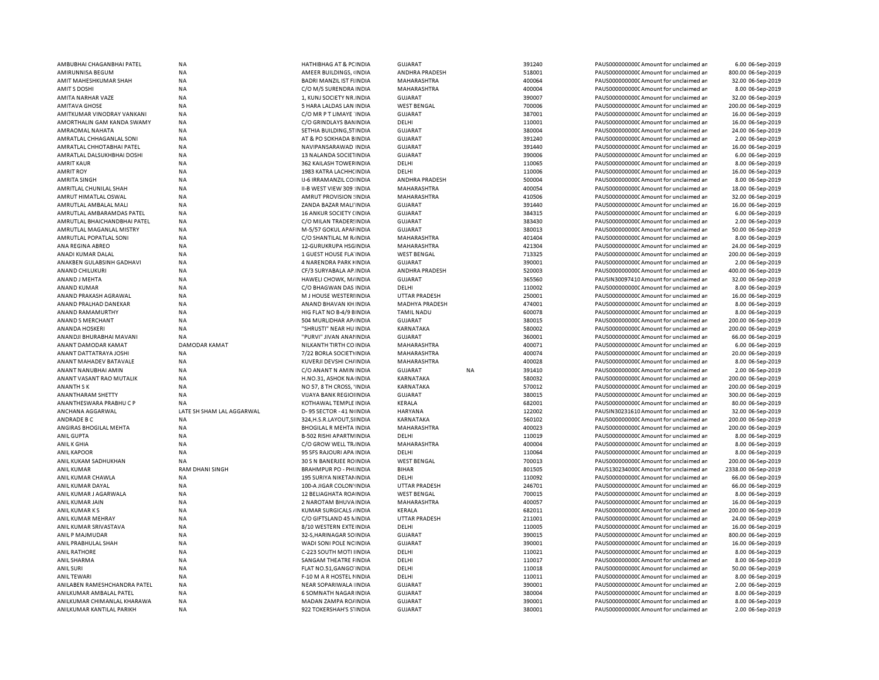| AMBUBHAI CHAGANBHAI PATEL                                | <b>NA</b>                 | <b>HATHIBHAG AT &amp; PCINDIA</b>                | <b>GUJARAT</b>                   | 391240           | PAUS0000000000C Amount for unclaimed ar                                          | 6.00 06-Sep-2019                     |
|----------------------------------------------------------|---------------------------|--------------------------------------------------|----------------------------------|------------------|----------------------------------------------------------------------------------|--------------------------------------|
| AMIRUNNISA BEGUM                                         | <b>NA</b>                 | AMEER BUILDINGS, INDIA                           | ANDHRA PRADESH                   | 518001           | PAUS0000000000 Amount for unclaimed ar                                           | 800.00 06-Sep-2019                   |
| AMIT MAHESHKUMAR SHAH                                    | NA                        | <b>BADRI MANZIL IST FIINDIA</b>                  | MAHARASHTRA                      | 400064           | PAUS0000000000 Amount for unclaimed ar                                           | 32.00 06-Sep-2019                    |
| <b>AMITS DOSHI</b>                                       | <b>NA</b>                 | C/O M/S SURENDRA INDIA                           | MAHARASHTRA                      | 400004           | PAUS0000000000 Amount for unclaimed ar                                           | 8.00 06-Sep-2019                     |
| AMITA NARHAR VAZE                                        | <b>NA</b>                 | 1, KUNJ SOCIETY NR. INDIA                        | GUJARAT                          | 390007           | PAUS0000000000C Amount for unclaimed ar                                          | 32.00 06-Sep-2019                    |
| <b>AMITAVA GHOSE</b>                                     | <b>NA</b>                 | 5 HARA LALDAS LAN INDIA                          | <b>WEST BENGAL</b>               | 700006           | PAUS00000000000 Amount for unclaimed ar                                          | 200.00 06-Sep-2019                   |
| AMITKUMAR VINODRAY VANKANI                               | NA                        | C/O MR P T LIMAYE INDIA                          | <b>GUJARAT</b>                   | 387001           | PAUS0000000000CAmount for unclaimed ar                                           | 16.00 06-Sep-2019                    |
| AMORTHALIN GAM KANDA SWAMY                               | <b>NA</b>                 | C/O GRINDLAYS BAN INDIA                          | DELHI                            | 110001           | PAUS0000000000CAmount for unclaimed ar                                           | 16.00 06-Sep-2019                    |
|                                                          |                           |                                                  |                                  |                  |                                                                                  |                                      |
| AMRAOMAL NAHATA                                          | NA                        | SETHIA BUILDING, 5T INDIA                        | <b>GUJARAT</b>                   | 380004           | PAUS0000000000CAmount for unclaimed ar                                           | 24.00 06-Sep-2019                    |
| AMRATLAL CHHAGANLAL SONI                                 | <b>NA</b>                 | AT & PO SOKHADA BINDIA                           | <b>GUJARAT</b>                   | 391240           | PAUS0000000000 Amount for unclaimed ar                                           | 2.00 06-Sep-2019                     |
| AMRATLAL CHHOTABHAI PATEL                                | <b>NA</b>                 | NAVIPANSARAWAD INDIA                             | <b>GUJARAT</b>                   | 391440           | PAUS0000000000 Amount for unclaimed ar                                           | 16.00 06-Sep-2019                    |
| AMRATLAL DALSUKHBHAI DOSHI                               | <b>NA</b>                 | 13 NALANDA SOCIETINDIA                           | <b>GUJARAT</b>                   | 390006           | PAUS0000000000 Amount for unclaimed ar                                           | 6.00 06-Sep-2019                     |
| <b>AMRIT KAUR</b>                                        | <b>NA</b>                 | 362 KAILASH TOWEF INDIA                          | DELHI                            | 110065           | PAUS0000000000 Amount for unclaimed ar                                           | 8.00 06-Sep-2019                     |
| <b>AMRIT ROY</b>                                         | <b>NA</b>                 | 1983 KATRA LACHH( INDIA                          | DELHI                            | 110006           | PAUS0000000000CAmount for unclaimed ar                                           | 16.00 06-Sep-2019                    |
| <b>AMRITA SINGH</b>                                      | <b>NA</b>                 | IJ-6 IRRAMANZIL CO INDIA                         | ANDHRA PRADESH                   | 500004           | PAUS0000000000CAmount for unclaimed ar                                           | 8.00 06-Sep-2019                     |
| AMRITLAL CHUNILAL SHAH                                   | <b>NA</b>                 | II-B WEST VIEW 309 INDIA                         | MAHARASHTRA                      | 400054           | PAUS0000000000CAmount for unclaimed ar                                           | 18.00 06-Sep-2019                    |
| AMRUT HIMATLAL OSWAL                                     | <b>NA</b>                 | AMRUT PROVISION : INDIA                          | <b>MAHARASHTRA</b>               | 410506           | PAUS0000000000 Amount for unclaimed ar                                           | 32.00 06-Sep-2019                    |
| AMRUTLAL AMBALAL MALI                                    | NA                        | ZANDA BAZAR MALI INDIA                           | <b>GUJARAT</b>                   | 391440           | PAUS0000000000 Amount for unclaimed ar                                           | 16.00 06-Sep-2019                    |
| AMRUTLAL AMBARAMDAS PATEL                                | <b>NA</b>                 | 16 ANKUR SOCIETY (INDIA                          | GUJARAT                          | 384315           | PAUS0000000000 Amount for unclaimed ar                                           | 6.00 06-Sep-2019                     |
|                                                          |                           |                                                  |                                  |                  |                                                                                  |                                      |
| AMRUTLAL BHAICHANDBHAI PATEL                             | <b>NA</b>                 | C/O MILAN TRADER! INDIA                          | <b>GUJARAT</b>                   | 383430           | PAUS0000000000 Amount for unclaimed ar                                           | 2.00 06-Sep-2019                     |
| AMRUTLAL MAGANLAL MISTRY                                 | <b>NA</b>                 | M-5/57 GOKUL APAI INDIA                          | <b>GUJARAT</b>                   | 380013           | PAUS0000000000 Amount for unclaimed ar                                           | 50.00 06-Sep-2019                    |
| AMRUTLAL POPATLAL SONI                                   | NA                        | C/O SHANTILAL M R. INDIA                         | MAHARASHTRA                      | 401404           | PAUS0000000000 Amount for unclaimed ar                                           | 8.00 06-Sep-2019                     |
| ANA REGINA ABREO                                         | NA                        | 12-GURUKRUPA HSGINDIA                            | MAHARASHTRA                      | 421304           | PAUS0000000000 Amount for unclaimed ar                                           | 24.00 06-Sep-2019                    |
| ANADI KUMAR DALAL                                        | NA                        | 1 GUEST HOUSE FLA INDIA                          | <b>WEST BENGAL</b>               | 713325           | PAUS00000000000Amount for unclaimed ar                                           | 200.00 06-Sep-2019                   |
| ANAKBEN GULABSINH GADHAVI                                | <b>NA</b>                 | 4 NARENDRA PARK HINDIA                           | <b>GUJARAT</b>                   | 390001           | PAUS0000000000 Amount for unclaimed ar                                           | 2.00 06-Sep-2019                     |
| <b>ANAND CHILUKURI</b>                                   | NA                        | CF/3 SURYABALA AP INDIA                          | ANDHRA PRADESH                   | 520003           | PAUS0000000000 Amount for unclaimed ar                                           | 400.00 06-Sep-2019                   |
| ANAND J MEHTA                                            | <b>NA</b>                 | HAWELI CHOWK, M/INDIA                            | GUJARAT                          | 365560           | PAUSIN30097410 Amount for unclaimed ar                                           | 32.00 06-Sep-2019                    |
|                                                          |                           |                                                  |                                  |                  |                                                                                  |                                      |
| ANAND KUMAR                                              | <b>NA</b>                 | C/O BHAGWAN DAS INDIA                            | DELHI                            | 110002           | PAUS0000000000 Amount for unclaimed ar                                           | 8.00 06-Sep-2019                     |
| ANAND PRAKASH AGRAWAL                                    | <b>NA</b>                 | M J HOUSE WESTERHNDIA                            | <b>UTTAR PRADESH</b>             | 250001           | PAUS0000000000CAmount for unclaimed ar                                           | 16.00 06-Sep-2019                    |
| ANAND PRALHAD DANEKAR                                    | <b>NA</b>                 | ANAND BHAVAN KH INDIA                            | <b>MADHYA PRADESH</b>            | 474001           | PAUS0000000000CAmount for unclaimed ar                                           | 8.00 06-Sep-2019                     |
| ANAND RAMAMURTHY                                         | <b>NA</b>                 | HIG FLAT NO B-4/9 EINDIA                         | <b>TAMIL NADU</b>                | 600078           | PAUS0000000000CAmount for unclaimed ar                                           | 8.00 06-Sep-2019                     |
| ANAND S MERCHANT                                         | <b>NA</b>                 | 504 MURLIDHAR AP/INDIA                           | <b>GUJARAT</b>                   | 380015           | PAUS0000000000CAmount for unclaimed ar                                           | 200.00 06-Sep-2019                   |
| <b>ANANDA HOSKERI</b>                                    | <b>NA</b>                 | "SHRUSTI" NEAR HU INDIA                          | KARNATAKA                        | 580002           | PAUS0000000000CAmount for unclaimed ar                                           | 200.00 06-Sep-2019                   |
| ANANDJI BHURABHAI MAVANI                                 | <b>NA</b>                 | "PURVI" JIVAN ANAHNDIA                           | <b>GUJARAT</b>                   | 360001           | PAUS0000000000CAmount for unclaimed ar                                           | 66.00 06-Sep-2019                    |
|                                                          |                           |                                                  |                                  |                  |                                                                                  |                                      |
|                                                          |                           |                                                  |                                  |                  |                                                                                  |                                      |
| ANANT DAMODAR KAMAT                                      | <b>DAMODAR KAMAT</b>      | NILKANTH TIRTH CO INDIA                          | MAHARASHTRA                      | 400071           | PAUS0000000000CAmount for unclaimed ar                                           | 6.00 06-Sep-2019                     |
| ANANT DATTATRAYA JOSHI                                   | <b>NA</b>                 | 7/22 BORLA SOCIET\INDIA                          | MAHARASHTRA                      | 400074           | PAUS0000000000CAmount for unclaimed ar                                           | 20.00 06-Sep-2019                    |
| ANANT MAHADEV BATAVALE                                   | <b>NA</b>                 | KUVERJI DEVSHI CH/ INDIA                         | MAHARASHTRA                      | 400028           | PAUS0000000000 Amount for unclaimed ar                                           | 8.00 06-Sep-2019                     |
| ANANT NANUBHAI AMIN                                      | <b>NA</b>                 | C/O ANANT N AMIN INDIA                           | <b>GUJARAT</b><br><b>NA</b>      | 391410           | PAUS0000000000 Amount for unclaimed ar                                           | 2.00 06-Sep-2019                     |
| ANANT VASANT RAO MUTALIK                                 | <b>NA</b>                 | H.NO.31, ASHOK NA INDIA                          | KARNATAKA                        | 580032           | PAUS0000000000 Amount for unclaimed ar                                           | 200.00 06-Sep-2019                   |
| ANANTH SK                                                | <b>NA</b>                 | NO 57, 8 TH CROSS, 'INDIA                        | <b>KARNATAKA</b>                 | 570012           | PAUS00000000000Amount for unclaimed ar                                           | 200.00 06-Sep-2019                   |
| ANANTHARAM SHETTY                                        | <b>NA</b>                 | VIJAYA BANK REGIOI INDIA                         | <b>GUJARAT</b>                   | 380015           | PAUS0000000000 Amount for unclaimed ar                                           | 300.00 06-Sep-2019                   |
|                                                          |                           |                                                  |                                  |                  |                                                                                  |                                      |
| ANANTHESWARA PRABHUCP                                    | <b>NA</b>                 | KOTHAWAL TEMPLE INDIA                            | KERALA                           | 682001           | PAUS0000000000 Amount for unclaimed ar                                           | 80.00 06-Sep-2019                    |
| ANCHANA AGGARWAL                                         | LATE SH SHAM LAL AGGARWAL | D-95 SECTOR - 41 N INDIA                         | HARYANA                          | 122002           | PAUSIN30231610 Amount for unclaimed ar                                           | 32.00 06-Sep-2019                    |
| ANDRADE B C                                              | <b>NA</b>                 | 324, H.S.R.LAYOUT, SI IN DIA                     | KARNATAKA                        | 560102           | PAUS0000000000 Amount for unclaimed ar                                           | 200.00 06-Sep-2019                   |
| ANGIRAS BHOGILAL MEHTA                                   | NA                        | <b>BHOGILAL R MEHTA INDIA</b>                    | MAHARASHTRA                      | 400023           | PAUS0000000000CAmount for unclaimed ar                                           | 200.00 06-Sep-2019                   |
| <b>ANIL GUPTA</b>                                        | <b>NA</b>                 | <b>B-502 RISHI APARTM INDIA</b>                  | DELHI                            | 110019           | PAUS0000000000 Amount for unclaimed ar                                           | 8.00 06-Sep-2019                     |
| ANIL K GHIA                                              | NA                        | C/O GROW WELL TR. INDIA                          | MAHARASHTRA                      | 400004           | PAUS0000000000CAmount for unclaimed ar                                           | 8.00 06-Sep-2019                     |
| <b>ANIL KAPOOR</b>                                       | NA                        | 95 SFS RAJOURI APA INDIA                         | DELHI                            | 110064           | PAUS0000000000CAmount for unclaimed ar                                           | 8.00 06-Sep-2019                     |
| ANIL KUKAM SADHUKHAN                                     | NA                        | 30 S N BANERJEE ROINDIA                          | <b>WEST BENGAL</b>               | 700013           | PAUS0000000000Amount for unclaimed ar                                            | 200.00 06-Sep-2019                   |
| <b>ANIL KUMAR</b>                                        | RAM DHANI SINGH           | <b>BRAHMPUR PO - PHI INDIA</b>                   | <b>BIHAR</b>                     | 801505           | PAUS1302340000Amount for unclaimed ar                                            | 2338.00 06-Sep-2019                  |
|                                                          |                           |                                                  |                                  |                  |                                                                                  |                                      |
| ANIL KUMAR CHAWLA                                        | <b>NA</b>                 | 195 SURIYA NIKETAN INDIA                         | DELHI                            | 110092           | PAUS0000000000CAmount for unclaimed ar                                           | 66.00 06-Sep-2019                    |
| ANIL KUMAR DAYAL                                         | <b>NA</b>                 | 100-A JIGAR COLON' INDIA                         | <b>UTTAR PRADESH</b>             | 246701           | PAUS0000000000CAmount for unclaimed ar                                           | 66.00 06-Sep-2019                    |
| ANIL KUMAR J AGARWALA                                    | <b>NA</b>                 | 12 BELIAGHATA ROAINDIA                           | <b>WEST BENGAL</b>               | 700015           | PAUS00000000000Amount for unclaimed ar                                           | 8.00 06-Sep-2019                     |
| ANIL KUMAR JAIN                                          | <b>NA</b>                 | 2 NAROTAM BHUVA INDIA                            | MAHARASHTRA                      | 400057           | PAUS00000000000Amount for unclaimed ar                                           | 16.00 06-Sep-2019                    |
| ANIL KUMAR KS                                            | <b>NA</b>                 | <b>KUMAR SURGICALS / INDIA</b>                   | KERALA                           | 682011           | PAUS0000000000 Amount for unclaimed ar                                           | 200.00 06-Sep-2019                   |
| ANIL KUMAR MEHRAY                                        | NA                        | C/O GIFTSLAND 45 NINDIA                          | <b>UTTAR PRADESH</b>             | 211001           | PAUS0000000000 Amount for unclaimed ar                                           | 24.00 06-Sep-2019                    |
| ANIL KUMAR SRIVASTAVA                                    | <b>NA</b>                 | 8/10 WESTERN EXTEINDIA                           | DELHI                            | 110005           | PAUS0000000000 Amount for unclaimed ar                                           | 16.00 06-Sep-2019                    |
| ANIL P MAJMUDAR                                          | <b>NA</b>                 | 32-S, HARINAGAR SO INDIA                         | <b>GUJARAT</b>                   | 390015           | PAUS0000000000 Amount for unclaimed ar                                           | 800.00 06-Sep-2019                   |
| ANIL PRABHULAL SHAH                                      | <b>NA</b>                 | WADI SONI POLE NC INDIA                          | <b>GUJARAT</b>                   | 390001           | PAUS0000000000 Amount for unclaimed ar                                           | 16.00 06-Sep-2019                    |
| <b>ANIL RATHORE</b>                                      | NA                        | C-223 SOUTH MOTI IINDIA                          | DELHI                            | 110021           | PAUS0000000000 Amount for unclaimed ar                                           | 8.00 06-Sep-2019                     |
|                                                          |                           |                                                  |                                  |                  |                                                                                  |                                      |
| ANIL SHARMA                                              | NA                        | SANGAM THEATRE FINDIA                            | DELHI                            | 110017           | PAUS0000000000 Amount for unclaimed ar                                           | 8.00 06-Sep-2019                     |
| ANIL SURI                                                | <b>NA</b>                 | FLAT NO.51, GANGO INDIA                          | DELHI                            | 110018           | PAUS0000000000 Amount for unclaimed ar                                           | 50.00 06-Sep-2019                    |
| <b>ANIL TEWARI</b>                                       | <b>NA</b>                 | F-10 M A R HOSTEL I INDIA                        | DELHI                            | 110011           | PAUS0000000000 Amount for unclaimed ar                                           | 8.00 06-Sep-2019                     |
| ANILABEN RAMESHCHANDRA PATEL                             | NA                        | NEAR SOPARIWALA INDIA                            | <b>GUJARAT</b>                   | 390001           | PAUS00000000000Amount for unclaimed ar                                           | 2.00 06-Sep-2019                     |
| ANILKUMAR AMBALAL PATEL                                  | NA                        | 6 SOMNATH NAGAR INDIA                            | <b>GUJARAT</b>                   | 380004           | PAUS0000000000 Amount for unclaimed ar                                           | 8.00 06-Sep-2019                     |
| ANILKUMAR CHIMANLAL KHARAWA<br>ANILKUMAR KANTILAL PARIKH | NA<br>NA                  | MADAN ZAMPA RO/ INDIA<br>922 TOKERSHAH'S S'INDIA | <b>GUJARAT</b><br><b>GUJARAT</b> | 390001<br>380001 | PAUS0000000000 Amount for unclaimed ar<br>PAUS0000000000 Amount for unclaimed ar | 8.00 06-Sep-2019<br>2.00 06-Sep-2019 |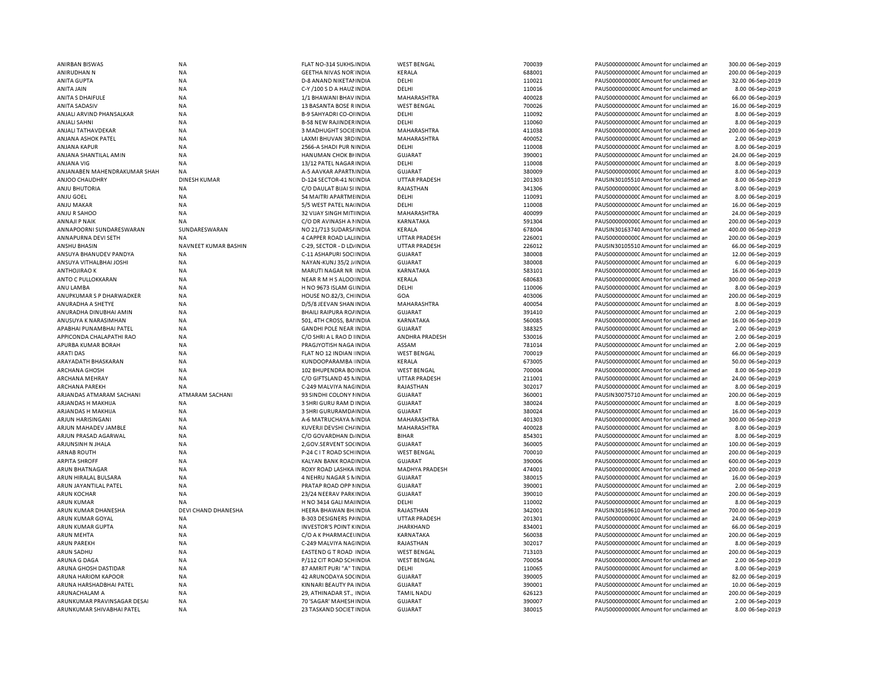| ANIRBAN BISWAS                                 | <b>NA</b>                    | FLAT NO-314 SUKHS. INDIA                            | <b>WEST BENGAL</b>        | 700039 | PAUS0000000000 Amount for unclaimed an                                           | 300.00 06-Sep-2019                     |
|------------------------------------------------|------------------------------|-----------------------------------------------------|---------------------------|--------|----------------------------------------------------------------------------------|----------------------------------------|
| ANIRUDHAN N                                    | NA                           | <b>GEETHA NIVAS NOR INDIA</b>                       | KERALA                    | 688001 | PAUS0000000000 Amount for unclaimed an                                           | 200.00 06-Sep-2019                     |
| <b>ANITA GUPTA</b>                             | <b>NA</b>                    | <b>D-8 ANAND NIKETAI INDIA</b>                      | DELHI                     | 110021 | PAUS0000000000 Amount for unclaimed ar                                           | 32.00 06-Sep-2019                      |
| ANITA JAIN                                     | <b>NA</b>                    | C-Y /100 S D A HAUZ INDIA                           | DELHI                     | 110016 | PAUS0000000000 Amount for unclaimed ar                                           | 8.00 06-Sep-2019                       |
| ANITA S DHAIFULE                               | <b>NA</b>                    | 1/1 BHAWANI BHAV INDIA                              | MAHARASHTRA               | 400028 | PAUS0000000000 Amount for unclaimed ar                                           | 66.00 06-Sep-2019                      |
| <b>ANITA SADASIV</b>                           | <b>NA</b>                    | 13 BASANTA BOSE R INDIA                             | <b>WEST BENGAL</b>        | 700026 | PAUS0000000000 Amount for unclaimed an                                           | 16.00 06-Sep-2019                      |
| ANJALI ARVIND PHANSALKAR                       | <b>NA</b>                    | B-9 SAHYADRI CO-OI INDIA                            | DELHI                     | 110092 | PAUS0000000000 Amount for unclaimed an                                           | 8.00 06-Sep-2019                       |
| <b>ANJALI SAHNI</b>                            | <b>NA</b>                    | <b>B-58 NEW RAJINDER INDIA</b>                      | DELHI                     | 110060 | PAUS0000000000CAmount for unclaimed ar                                           | 8.00 06-Sep-2019                       |
| ANJALI TATHAVDEKAR                             | <b>NA</b>                    | 3 MADHUGHT SOCIE IN DIA                             | MAHARASHTRA               | 411038 | PAUS0000000000 Amount for unclaimed an                                           | 200.00 06-Sep-2019                     |
| ANJANA ASHOK PATEL                             | <b>NA</b>                    | LAXMI BHUVAN 3RD INDIA                              | MAHARASHTRA               | 400052 | PAUS0000000000 Amount for unclaimed an                                           | 2.00 06-Sep-2019                       |
| ANJANA KAPUR                                   | NA                           | 2566-A SHADI PUR NINDIA                             | DELHI                     | 110008 | PAUS0000000000 Amount for unclaimed an                                           | 8.00 06-Sep-2019                       |
| ANJANA SHANTILAL AMIN                          | <b>NA</b>                    | HANUMAN CHOK BI INDIA                               | GUJARAT                   | 390001 | PAUS0000000000CAmount for unclaimed an                                           | 24.00 06-Sep-2019                      |
| <b>ANJANA VIG</b>                              | <b>NA</b>                    | 13/12 PATEL NAGAR INDIA                             | DELHI                     | 110008 | PAUS0000000000 Amount for unclaimed an                                           | 8.00 06-Sep-2019                       |
| ANJANABEN MAHENDRAKUMAR SHAH                   | NA                           | A-5 AAVKAR APARTMINDIA                              | <b>GUJARAT</b>            | 380009 | PAUS0000000000 Amount for unclaimed an                                           | 8.00 06-Sep-2019                       |
| ANJOO CHAUDHRY                                 | <b>DINESH KUMAR</b>          | D-124 SECTOR-41 N(INDIA                             | <b>UTTAR PRADESH</b>      | 201303 | PAUSIN30105510 Amount for unclaimed an                                           | 8.00 06-Sep-2019                       |
| <b>ANJU BHUTORIA</b>                           | <b>NA</b>                    | C/O DAULAT BIJAI SI INDIA                           | RAJASTHAN                 | 341306 | PAUS0000000000 Amount for unclaimed ar                                           | 8.00 06-Sep-2019                       |
|                                                |                              |                                                     |                           |        |                                                                                  |                                        |
| ANJU GOEL                                      | NA                           | 54 MAITRI APARTMI INDIA                             | DELHI                     | 110091 | PAUS0000000000 Amount for unclaimed ar                                           | 8.00 06-Sep-2019                       |
| ANJU MAKAR                                     | <b>NA</b>                    | 5/5 WEST PATEL NA(INDIA                             | DELHI                     | 110008 | PAUS0000000000 Amount for unclaimed ar                                           | 16.00 06-Sep-2019                      |
| ANJU R SAHOO                                   | NA                           | 32 VIJAY SINGH MITHNDIA                             | MAHARASHTRA               | 400099 | PAUS0000000000 Amount for unclaimed an                                           | 24.00 06-Sep-2019                      |
| <b>ANNAJI P NAIK</b>                           | NA                           | C/O DR AVINASH A MINDIA                             | KARNATAKA                 | 591304 | PAUS0000000000 Amount for unclaimed an                                           | 200.00 06-Sep-2019                     |
| ANNAPOORNI SUNDARESWARAN                       | SUNDARESWARAN                | NO 21/713 SUDARS/ INDIA                             | KERALA                    | 678004 | PAUSIN30163740 Amount for unclaimed ar                                           | 400.00 06-Sep-2019                     |
| ANNAPURNA DEVI SETH                            | <b>NA</b>                    | 4 CAPPER ROAD LALIINDIA                             | <b>UTTAR PRADESH</b>      | 226001 | PAUS0000000000 Amount for unclaimed ar                                           | 200.00 06-Sep-2019                     |
| <b>ANSHU BHASIN</b>                            | NAVNEET KUMAR BASHIN         | C-29, SECTOR - D LD/ INDIA                          | <b>UTTAR PRADESH</b>      | 226012 | PAUSIN30105510 Amount for unclaimed ar                                           | 66.00 06-Sep-2019                      |
| ANSUYA BHANUDEV PANDYA                         | <b>NA</b>                    | C-11 ASHAPURI SOCIINDIA                             | GUJARAT                   | 380008 | PAUS00000000000Amount for unclaimed an                                           | 12.00 06-Sep-2019                      |
| ANSUYA VITHALBHAI JOSHI                        | <b>NA</b>                    | NAYAN-KUNJ 35/2 J/ INDIA                            | <b>GUJARAT</b>            | 380008 | PAUS0000000000CAmount for unclaimed ar                                           | 6.00 06-Sep-2019                       |
| <b>ANTHOJIRAO K</b>                            | <b>NA</b>                    | MARUTI NAGAR NR INDIA                               | KARNATAKA                 | 583101 | PAUS0000000000CAmount for unclaimed ar                                           | 16.00 06-Sep-2019                      |
| ANTO C PULLOKKARAN                             | <b>NA</b>                    | NEAR R M H S ALOO INDIA                             | KERALA                    | 680683 | PAUS00000000000Amount for unclaimed an                                           | 300.00 06-Sep-2019                     |
| ANU LAMBA                                      | <b>NA</b>                    | H NO 9673 ISLAM GUNDIA                              | DELHI                     | 110006 | PAUS0000000000 Amount for unclaimed an                                           | 8.00 06-Sep-2019                       |
| ANUPKUMAR S P DHARWADKER                       | <b>NA</b>                    | HOUSE NO.82/3, CH INDIA                             | GOA                       | 403006 | PAUS0000000000CAmount for unclaimed an                                           | 200.00 06-Sep-2019                     |
| ANURADHA A SHETYE                              | <b>NA</b>                    | D/5/8 JEEVAN SHAN INDIA                             | MAHARASHTRA               | 400054 | PAUS0000000000CAmount for unclaimed ar                                           | 8.00 06-Sep-2019                       |
| ANURADHA DINUBHAI AMIN                         | <b>NA</b>                    | <b>BHAILI RAIPURA RO/ INDIA</b>                     | <b>GUJARAT</b>            | 391410 | PAUS0000000000 Amount for unclaimed ar                                           | 2.00 06-Sep-2019                       |
| ANUSUYA K NARASIMHAN                           | <b>NA</b>                    | 501, 4TH CROSS, BAI INDIA                           | KARNATAKA                 | 560085 | PAUS0000000000 Amount for unclaimed an                                           | 16.00 06-Sep-2019                      |
| APABHAI PUNAMBHAI PATEL                        | <b>NA</b>                    | <b>GANDHI POLE NEAR INDIA</b>                       | <b>GUJARAT</b>            | 388325 | PAUS0000000000 Amount for unclaimed an                                           | 2.00 06-Sep-2019                       |
| APPICONDA CHALAPATHI RAO                       | <b>NA</b>                    | C/O SHRI A L RAO D I INDIA                          | ANDHRA PRADESH            | 530016 | PAUS0000000000CAmount for unclaimed ar                                           | 2.00 06-Sep-2019                       |
| APURBA KUMAR BORAH                             | <b>NA</b>                    | PRAGJYOTISH NAGA INDIA                              | ASSAM                     | 781014 | PAUS0000000000 Amount for unclaimed ar                                           | 2.00 06-Sep-2019                       |
| <b>ARATI DAS</b>                               | <b>NA</b>                    | FLAT NO 12 INDIAN INDIA                             | <b>WEST BENGAL</b>        | 700019 | PAUS0000000000 Amount for unclaimed an                                           | 66.00 06-Sep-2019                      |
| ARAYADATH BHASKARAN                            | <b>NA</b>                    | KUNDOOPARAMBA INDIA                                 | KERALA                    | 673005 | PAUS0000000000 Amount for unclaimed an                                           | 50.00 06-Sep-2019                      |
| <b>ARCHANA GHOSH</b>                           | NA                           | 102 BHUPENDRA BOINDIA                               | <b>WEST BENGAL</b>        | 700004 | PAUS0000000000CAmount for unclaimed an                                           | 8.00 06-Sep-2019                       |
| ARCHANA MEHRAY                                 | <b>NA</b>                    | C/O GIFTSLAND 45 NINDIA                             | <b>UTTAR PRADESH</b>      | 211001 | PAUS0000000000 Amount for unclaimed an                                           | 24.00 06-Sep-2019                      |
| <b>ARCHANA PAREKH</b>                          | <b>NA</b>                    | C-249 MALVIYA NACINDIA                              | RAJASTHAN                 | 302017 | PAUS0000000000 Amount for unclaimed an                                           | 8.00 06-Sep-2019                       |
|                                                |                              |                                                     |                           | 360001 |                                                                                  |                                        |
| ARJANDAS ATMARAM SACHANI<br>ARJANDAS H MAKHIJA | ATMARAM SACHANI<br><b>NA</b> | 93 SINDHI COLONY I INDIA<br>3 SHRI GURU RAM D INDIA | GUJARAT<br><b>GUJARAT</b> | 380024 | PAUSIN30075710 Amount for unclaimed ar<br>PAUS0000000000 Amount for unclaimed ar | 200.00 06-Sep-2019<br>8.00 06-Sep-2019 |
|                                                |                              |                                                     |                           |        |                                                                                  |                                        |
| ARJANDAS H MAKHIJA                             | NA                           | 3 SHRI GURURAMDA INDIA                              | <b>GUJARAT</b>            | 380024 | PAUS0000000000 Amount for unclaimed ar                                           | 16.00 06-Sep-2019                      |
| ARJUN HARISINGANI                              | <b>NA</b>                    | A-6 MATRUCHAYA N INDIA                              | MAHARASHTRA               | 401303 | PAUS0000000000 Amount for unclaimed an                                           | 300.00 06-Sep-2019                     |
| ARJUN MAHADEV JAMBLE                           | <b>NA</b>                    | KUVERJI DEVSHI CH/ INDIA                            | MAHARASHTRA               | 400028 | PAUS0000000000 Amount for unclaimed an                                           | 8.00 06-Sep-2019                       |
| ARJUN PRASAD AGARWAL                           | <b>NA</b>                    | C/O GOVARDHAN DJINDIA                               | <b>BIHAR</b>              | 854301 | PAUS0000000000 Amount for unclaimed ar                                           | 8.00 06-Sep-2019                       |
| ARJUNSINH N JHALA                              | <b>NA</b>                    | 2, GOV.SERVENT SO(INDIA                             | <b>GUJARAT</b>            | 360005 | PAUS0000000000 Amount for unclaimed ar                                           | 100.00 06-Sep-2019                     |
| <b>ARNAB ROUTH</b>                             | <b>NA</b>                    | P-24 C I T ROAD SCH INDIA                           | <b>WEST BENGAL</b>        | 700010 | PAUS0000000000 Amount for unclaimed ar                                           | 200.00 06-Sep-2019                     |
| <b>ARPITA SHROFF</b>                           | <b>NA</b>                    | KALYAN BANK ROAD INDIA                              | <b>GUJARAT</b>            | 390006 | PAUS0000000000 Amount for unclaimed ar                                           | 600.00 06-Sep-2019                     |
| ARUN BHATNAGAR                                 | NA                           | ROXY ROAD LASHKA INDIA                              | <b>MADHYA PRADESH</b>     | 474001 | PAUS0000000000 Amount for unclaimed an                                           | 200.00 06-Sep-2019                     |
| ARUN HIRALAL BULSARA                           | <b>NA</b>                    | 4 NEHRU NAGAR S NINDIA                              | <b>GUJARAT</b>            | 380015 | PAUS0000000000 Amount for unclaimed ar                                           | 16.00 06-Sep-2019                      |
| ARUN JAYANTILAL PATEL                          | <b>NA</b>                    | PRATAP ROAD OPP NINDIA                              | <b>GUJARAT</b>            | 390001 | PAUS0000000000 Amount for unclaimed ar                                           | 2.00 06-Sep-2019                       |
| <b>ARUN KOCHAR</b>                             | NA                           | 23/24 NEERAV PARKINDIA                              | <b>GUJARAT</b>            | 390010 | PAUS0000000000 Amount for unclaimed an                                           | 200.00 06-Sep-2019                     |
| <b>ARUN KUMAR</b>                              | NA                           | H NO 3414 GALI MAI INDIA                            | DELHI                     | 110002 | PAUS0000000000 Amount for unclaimed an                                           | 8.00 06-Sep-2019                       |
| ARUN KUMAR DHANESHA                            | <b>DEVI CHAND DHANESHA</b>   | HEERA BHAWAN BH INDIA                               | RAJASTHAN                 | 342001 | PAUSIN30169610 Amount for unclaimed ar                                           | 700.00 06-Sep-2019                     |
| ARUN KUMAR GOYAL                               | <b>NA</b>                    | <b>B-303 DESIGNERS PAINDIA</b>                      | <b>UTTAR PRADESH</b>      | 201301 | PAUS0000000000 Amount for unclaimed ar                                           | 24.00 06-Sep-2019                      |
| ARUN KUMAR GUPTA                               | <b>NA</b>                    | <b>INVESTOR'S POINT KINDIA</b>                      | <b>JHARKHAND</b>          | 834001 | PAUS00000000000Amount for unclaimed an                                           | 66.00 06-Sep-2019                      |
| <b>ARUN MEHTA</b>                              | NA                           | C/O A K PHARMACELINDIA                              | KARNATAKA                 | 560038 | PAUS0000000000 Amount for unclaimed an                                           | 200.00 06-Sep-2019                     |
| <b>ARUN PAREKH</b>                             | <b>NA</b>                    | C-249 MALVIYA NACINDIA                              | RAJASTHAN                 | 302017 | PAUS00000000000Amount for unclaimed an                                           | 8.00 06-Sep-2019                       |
| ARUN SADHU                                     | NA                           | EASTEND G T ROAD INDIA                              | <b>WEST BENGAL</b>        | 713103 | PAUS0000000000 Amount for unclaimed ar                                           | 200.00 06-Sep-2019                     |
| ARUNA G DAGA                                   | <b>NA</b>                    | P/112 CIT ROAD SCHINDIA                             | <b>WEST BENGAL</b>        | 700054 | PAUS0000000000 Amount for unclaimed an                                           | 2.00 06-Sep-2019                       |
| ARUNA GHOSH DASTIDAR                           | <b>NA</b>                    | 87 AMRIT PURI "A" TINDIA                            | DELHI                     | 110065 | PAUS0000000000 Amount for unclaimed an                                           | 8.00 06-Sep-2019                       |
| ARUNA HARIOM KAPOOR                            | NA                           | 42 ARUNODAYA SOCINDIA                               | <b>GUJARAT</b>            | 390005 | PAUS0000000000 Amount for unclaimed an                                           | 82.00 06-Sep-2019                      |
| ARUNA HARSHADBHAI PATEL                        | <b>NA</b>                    | KINNARI BEAUTY PA INDIA                             | <b>GUJARAT</b>            | 390001 | PAUS00000000000Amount for unclaimed ar                                           | 10.00 06-Sep-2019                      |
| ARUNACHALAM A                                  | NA                           | 29, ATHINADAR ST., INDIA                            | <b>TAMIL NADU</b>         | 626123 | PAUS0000000000 Amount for unclaimed an                                           | 200.00 06-Sep-2019                     |
| ARUNKUMAR PRAVINSAGAR DESAI                    | <b>NA</b>                    | 70 'SAGAR' MAHESH INDIA                             | <b>GUJARAT</b>            | 390007 | PAUS0000000000 Amount for unclaimed an                                           | 2.00 06-Sep-2019                       |
| ARUNKUMAR SHIVABHAI PATEL                      | <b>NA</b>                    | 23 TASKAND SOCIET INDIA                             | <b>GUJARAT</b>            | 380015 | PAUS0000000000 Amount for unclaimed an                                           | 8.00 06-Sep-2019                       |
|                                                |                              |                                                     |                           |        |                                                                                  |                                        |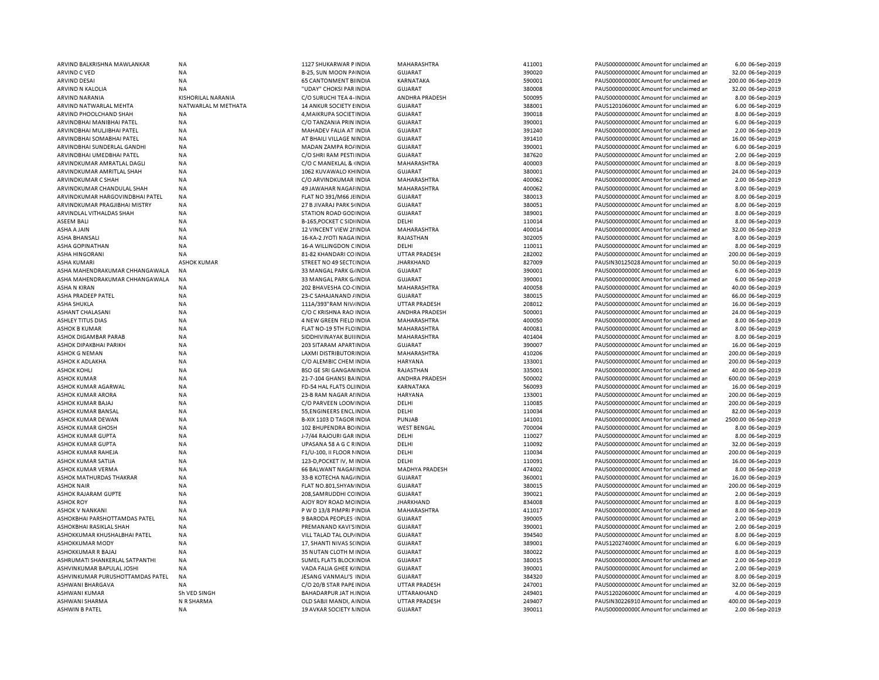| ARVIND BALKRISHNA MAWLANKAR                              | NA                        | 1127 SHUKARWAR P INDIA                           | MAHARASHTRA               | 411001           | PAUS0000000000 Amount for unclaimed ar                                           | 6.00 06-Sep-2019    |
|----------------------------------------------------------|---------------------------|--------------------------------------------------|---------------------------|------------------|----------------------------------------------------------------------------------|---------------------|
| ARVIND C VED                                             | NA                        | B-25, SUN MOON PAINDIA                           | <b>GUJARAT</b>            | 390020           | PAUS0000000000 Amount for unclaimed ar                                           | 32.00 06-Sep-2019   |
| <b>ARVIND DESAI</b>                                      | <b>NA</b>                 | <b>65 CANTONMENT BIINDIA</b>                     | KARNATAKA                 | 590001           | PAUS0000000000 Amount for unclaimed ar                                           | 200.00 06-Sep-2019  |
| ARVIND N KALOLIA                                         | NA                        | "UDAY" CHOKSI PAR INDIA                          | <b>GUJARAT</b>            | 380008           | PAUS0000000000 Amount for unclaimed ar                                           | 32.00 06-Sep-2019   |
| ARVIND NARANIA                                           | <b>KISHORILAL NARANIA</b> | C/O SURUCHI TEA 4- INDIA                         | ANDHRA PRADESH            | 500095           | PAUS0000000000 Amount for unclaimed ar                                           | 8.00 06-Sep-2019    |
| ARVIND NATWARLAL MEHTA                                   | NATWARLAL M METHATA       | 14 ANKUR SOCIETY EINDIA                          | <b>GUJARAT</b>            | 388001           | PAUS1201060000Amount for unclaimed ar                                            | 6.00 06-Sep-2019    |
| ARVIND PHOOLCHAND SHAH                                   | <b>NA</b>                 | 4, MAIKRUPA SOCIET IN DIA                        | <b>GUJARAT</b>            | 390018           | PAUS0000000000 Amount for unclaimed ar                                           | 8.00 06-Sep-2019    |
| ARVINDBHAI MANIBHAI PATEL                                | <b>NA</b>                 | C/O TANZANIA PRIN INDIA                          | GUJARAT                   | 390001           | PAUS0000000000 Amount for unclaimed ar                                           | 6.00 06-Sep-2019    |
| ARVINDBHAI MULJIBHAI PATEL                               | <b>NA</b>                 | MAHADEV FALIA AT INDIA                           | <b>GUJARAT</b>            | 391240           | PAUS0000000000 Amount for unclaimed ar                                           | 2.00 06-Sep-2019    |
| ARVINDBHAI SOMABHAI PATEL                                | <b>NA</b>                 | AT BHAILI VILLAGE NINDIA                         | <b>GUJARAT</b>            | 391410           | PAUS0000000000 Amount for unclaimed ar                                           | 16.00 06-Sep-2019   |
|                                                          | <b>NA</b>                 |                                                  |                           |                  |                                                                                  |                     |
| ARVINDBHAI SUNDERLAL GANDHI<br>ARVINDBHAI UMEDBHAI PATEL | <b>NA</b>                 | MADAN ZAMPA RO/INDIA<br>C/O SHRI RAM PESTI INDIA | <b>GUJARAT</b><br>GUJARAT | 390001<br>387620 | PAUS0000000000 Amount for unclaimed ar<br>PAUS0000000000CAmount for unclaimed ar | 6.00 06-Sep-2019    |
|                                                          |                           |                                                  |                           |                  |                                                                                  | 2.00 06-Sep-2019    |
| ARVINDKUMAR AMRATLAL DAGLI                               | <b>NA</b>                 | C/O C MANEKLAL & INDIA                           | MAHARASHTRA               | 400003           | PAUS0000000000CAmount for unclaimed ar                                           | 8.00 06-Sep-2019    |
| ARVINDKUMAR AMRITLAL SHAH                                | <b>NA</b>                 | 1062 KUVAWALO KHINDIA                            | GUJARAT                   | 380001           | PAUS0000000000CAmount for unclaimed ar                                           | 24.00 06-Sep-2019   |
| ARVINDKUMAR C SHAH                                       | <b>NA</b>                 | C/O ARVINDKUMAR INDIA                            | MAHARASHTRA               | 400062           | PAUS0000000000CAmount for unclaimed ar                                           | 2.00 06-Sep-2019    |
| ARVINDKUMAR CHANDULAL SHAH                               | <b>NA</b>                 | 49 JAWAHAR NAGAI INDIA                           | MAHARASHTRA               | 400062           | PAUS0000000000CAmount for unclaimed ar                                           | 8.00 06-Sep-2019    |
| ARVINDKUMAR HARGOVINDBHAI PATEL                          | <b>NA</b>                 | FLAT NO 391/M66 JHNDIA                           | <b>GUJARAT</b>            | 380013           | PAUS0000000000CAmount for unclaimed ar                                           | 8.00 06-Sep-2019    |
| ARVINDKUMAR PRAGJIBHAI MISTRY                            | <b>NA</b>                 | 27 B JIVARAJ PARK S INDIA                        | <b>GUJARAT</b>            | 380051           | PAUS0000000000 Amount for unclaimed ar                                           | 8.00 06-Sep-2019    |
| ARVINDLAL VITHALDAS SHAH                                 | <b>NA</b>                 | STATION ROAD GOD INDIA                           | <b>GUJARAT</b>            | 389001           | PAUS0000000000 Amount for unclaimed ar                                           | 8.00 06-Sep-2019    |
| <b>ASEEM BALI</b>                                        | <b>NA</b>                 | <b>B-165, POCKET C SIDIINDIA</b>                 | DELHI                     | 110014           | PAUS0000000000 Amount for unclaimed ar                                           | 8.00 06-Sep-2019    |
| ASHA A JAIN                                              | <b>NA</b>                 | 12 VINCENT VIEW 21 INDIA                         | MAHARASHTRA               | 400014           | PAUS00000000000Amount for unclaimed an                                           | 32.00 06-Sep-2019   |
| ASHA BHANSALI                                            | <b>NA</b>                 | 16-KA-2 JYOTI NAGA INDIA                         | RAJASTHAN                 | 302005           | PAUS0000000000CAmount for unclaimed ar                                           | 8.00 06-Sep-2019    |
| <b>ASHA GOPINATHAN</b>                                   | <b>NA</b>                 | 16-A WILLINGDON CINDIA                           | DELHI                     | 110011           | PAUS0000000000 Amount for unclaimed ar                                           | 8.00 06-Sep-2019    |
| ASHA HINGORANI                                           | <b>NA</b>                 | 81-82 KHANDARI CO INDIA                          | <b>UTTAR PRADESH</b>      | 282002           | PAUS0000000000 Amount for unclaimed ar                                           | 200.00 06-Sep-2019  |
| <b>ASHA KUMARI</b>                                       | <b>ASHOK KUMAR</b>        | STREET NO 49 SECT(INDIA                          | <b>JHARKHAND</b>          | 827009           | PAUSIN30125028 Amount for unclaimed ar                                           | 50.00 06-Sep-2019   |
| ASHA MAHENDRAKUMAR CHHANGAWALA                           | <b>NA</b>                 | 33 MANGAL PARK G/ INDIA                          | <b>GUJARAT</b>            | 390001           | PAUS0000000000 Amount for unclaimed ar                                           | 6.00 06-Sep-2019    |
| ASHA MAHENDRAKUMAR CHHANGAWALA                           | <b>NA</b>                 | 33 MANGAL PARK G. INDIA                          | <b>GUJARAT</b>            | 390001           | PAUS00000000000Amount for unclaimed an                                           | 6.00 06-Sep-2019    |
|                                                          |                           |                                                  |                           |                  |                                                                                  |                     |
| ASHA N KIRAN                                             | <b>NA</b>                 | 202 BHAVESHA CO-CINDIA                           | MAHARASHTRA               | 400058           | PAUS0000000000 Amount for unclaimed ar                                           | 40.00 06-Sep-2019   |
| <b>ASHA PRADEEP PATEL</b>                                | <b>NA</b>                 | 23-C SAHAJANAND / INDIA                          | <b>GUJARAT</b>            | 380015           | PAUS0000000000 Amount for unclaimed ar                                           | 66.00 06-Sep-2019   |
| <b>ASHA SHUKLA</b>                                       | <b>NA</b>                 | 111A/393"RAM NIV/INDIA                           | <b>UTTAR PRADESH</b>      | 208012           | PAUS0000000000 Amount for unclaimed ar                                           | 16.00 06-Sep-2019   |
| ASHANT CHALASANI                                         | <b>NA</b>                 | C/O C KRISHNA RAO INDIA                          | ANDHRA PRADESH            | 500001           | PAUS0000000000 Amount for unclaimed ar                                           | 24.00 06-Sep-2019   |
| ASHLEY TITUS DIAS                                        | <b>NA</b>                 | 4 NEW GREEN FIELD INDIA                          | MAHARASHTRA               | 400050           | PAUS0000000000 Amount for unclaimed ar                                           | 8.00 06-Sep-2019    |
| <b>ASHOK B KUMAR</b>                                     | <b>NA</b>                 | FLAT NO-19 5TH FLC INDIA                         | MAHARASHTRA               | 400081           | PAUS0000000000 Amount for unclaimed ar                                           | 8.00 06-Sep-2019    |
| ASHOK DIGAMBAR PARAB                                     | <b>NA</b>                 | SIDDHIVINAYAK BUILINDIA                          | MAHARASHTRA               | 401404           | PAUS00000000000Amount for unclaimed ar                                           | 8.00 06-Sep-2019    |
| ASHOK DIPAKBHAI PARIKH                                   | <b>NA</b>                 | 203 SITARAM APARTINDIA                           | <b>GUJARAT</b>            | 390007           | PAUS0000000000 Amount for unclaimed ar                                           | 16.00 06-Sep-2019   |
| <b>ASHOK G NEMAN</b>                                     | <b>NA</b>                 | LAXMI DISTRIBUTOR INDIA                          | MAHARASHTRA               | 410206           | PAUS0000000000 Amount for unclaimed ar                                           | 200.00 06-Sep-2019  |
| ASHOK K ADLAKHA                                          | <b>NA</b>                 | C/O ALEMBIC CHEM INDIA                           | <b>HARYANA</b>            | 133001           | PAUS0000000000 Amount for unclaimed ar                                           | 200.00 06-Sep-2019  |
| <b>ASHOK KOHLI</b>                                       | <b>NA</b>                 | <b>BSO GE SRI GANGANINDIA</b>                    | RAJASTHAN                 | 335001           | PAUS0000000000 Amount for unclaimed ar                                           | 40.00 06-Sep-2019   |
| <b>ASHOK KUMAR</b>                                       | <b>NA</b>                 | 21-7-104 GHANSI BAINDIA                          | ANDHRA PRADESH            | 500002           | PAUS0000000000 Amount for unclaimed ar                                           | 600.00 06-Sep-2019  |
| ASHOK KUMAR AGARWAL                                      | <b>NA</b>                 | FD-54 HAL FLATS OLI INDIA                        | KARNATAKA                 | 560093           | PAUS0000000000 Amount for unclaimed ar                                           | 16.00 06-Sep-2019   |
| ASHOK KUMAR ARORA                                        | <b>NA</b>                 | 23-B RAM NAGAR ALINDIA                           | <b>HARYANA</b>            | 133001           | PAUS0000000000CAmount for unclaimed ar                                           | 200.00 06-Sep-2019  |
| ASHOK KUMAR BAJAJ                                        | <b>NA</b>                 | C/O PARVEEN LOON INDIA                           | DELHI                     | 110085           | PAUS0000000000CAmount for unclaimed ar                                           | 200.00 06-Sep-2019  |
| ASHOK KUMAR BANSAL                                       | <b>NA</b>                 | 55, ENGINEERS ENCLINDIA                          | DELHI                     | 110034           | PAUS0000000000 Amount for unclaimed ar                                           | 82.00 06-Sep-2019   |
|                                                          |                           |                                                  |                           |                  |                                                                                  |                     |
| ASHOK KUMAR DEWAN                                        | <b>NA</b>                 | B-XIX 1103 D TAGOR INDIA                         | PUNJAB                    | 141001           | PAUS0000000000CAmount for unclaimed ar                                           | 2500.00 06-Sep-2019 |
| ASHOK KUMAR GHOSH                                        | <b>NA</b>                 | 102 BHUPENDRA BOINDIA                            | <b>WEST BENGAL</b>        | 700004           | PAUS0000000000CAmount for unclaimed ar                                           | 8.00 06-Sep-2019    |
| <b>ASHOK KUMAR GUPTA</b>                                 | <b>NA</b>                 | J-7/44 RAJOURI GAR INDIA                         | DELHI                     | 110027           | PAUS0000000000 Amount for unclaimed ar                                           | 8.00 06-Sep-2019    |
| ASHOK KUMAR GUPTA                                        | <b>NA</b>                 | UPASANA 58 A G C RINDIA                          | DELHI                     | 110092           | PAUS0000000000CAmount for unclaimed ar                                           | 32.00 06-Sep-2019   |
| ASHOK KUMAR RAHEJA                                       | <b>NA</b>                 | F1/U-100, II FLOOR NINDIA                        | DELHI                     | 110034           | PAUS0000000000CAmount for unclaimed ar                                           | 200.00 06-Sep-2019  |
| ASHOK KUMAR SATIJA                                       | <b>NA</b>                 | 123-D, POCKET IV, M INDIA                        | DELHI                     | 110091           | PAUS0000000000 Amount for unclaimed ar                                           | 16.00 06-Sep-2019   |
| ASHOK KUMAR VERMA                                        | <b>NA</b>                 | 66 BALWANT NAGAI INDIA                           | <b>MADHYA PRADESH</b>     | 474002           | PAUS0000000000CAmount for unclaimed ar                                           | 8.00 06-Sep-2019    |
| ASHOK MATHURDAS THAKRAR                                  | <b>NA</b>                 | 33-B KOTECHA NAG/INDIA                           | <b>GUJARAT</b>            | 360001           | PAUS0000000000 Amount for unclaimed ar                                           | 16.00 06-Sep-2019   |
| <b>ASHOK NAIR</b>                                        | <b>NA</b>                 | FLAT NO.801, SHYAN INDIA                         | <b>GUJARAT</b>            | 380015           | PAUS0000000000 Amount for unclaimed ar                                           | 200.00 06-Sep-2019  |
| ASHOK RAJARAM GUPTE                                      | <b>NA</b>                 | 208, SAMRUDDHI CC INDIA                          | <b>GUJARAT</b>            | 390021           | PAUS0000000000 Amount for unclaimed ar                                           | 2.00 06-Sep-2019    |
| <b>ASHOK ROY</b>                                         | <b>NA</b>                 | AJOY ROY ROAD MC INDIA                           | <b>JHARKHAND</b>          | 834008           | PAUS0000000000 Amount for unclaimed ar                                           | 8.00 06-Sep-2019    |
| <b>ASHOK V NANKANI</b>                                   | <b>NA</b>                 | P W D 13/8 PIMPRI PINDIA                         | MAHARASHTRA               | 411017           | PAUS0000000000 Amount for unclaimed ar                                           | 8.00 06-Sep-2019    |
| ASHOKBHAI PARSHOTTAMDAS PATEL                            | <b>NA</b>                 | 9 BARODA PEOPLES INDIA                           | <b>GUJARAT</b>            | 390005           | PAUS0000000000 Amount for unclaimed ar                                           | 2.00 06-Sep-2019    |
| ASHOKBHAI RASIKLAL SHAH                                  | <b>NA</b>                 | PREMANAND KAVI'S INDIA                           | <b>GUJARAT</b>            | 390001           | PAUS0000000000 Amount for unclaimed ar                                           | 2.00 06-Sep-2019    |
| ASHOKKUMAR KHUSHALBHAI PATEL                             | <b>NA</b>                 | VILL TALAD TAL OLP/ INDIA                        | <b>GUJARAT</b>            | 394540           | PAUS0000000000 Amount for unclaimed ar                                           | 8.00 06-Sep-2019    |
| <b>ASHOKKUMAR MODY</b>                                   | <b>NA</b>                 | 17, SHANTI NIVAS S(INDIA                         | GUJARAT                   | 389001           | PAUS1202740000 Amount for unclaimed ar                                           | 6.00 06-Sep-2019    |
|                                                          |                           |                                                  |                           |                  |                                                                                  |                     |
| ASHOKKUMAR R BAJAJ                                       | <b>NA</b>                 | 35 NUTAN CLOTH M INDIA                           | <b>GUJARAT</b>            | 380022           | PAUS0000000000 Amount for unclaimed ar                                           | 8.00 06-Sep-2019    |
| ASHRUMATI SHANKERLAL SATPANTHI                           | <b>NA</b>                 | SUMEL FLATS BLOCK INDIA                          | <b>GUJARAT</b>            | 380015           | PAUS0000000000 Amount for unclaimed ar                                           | 2.00 06-Sep-2019    |
| ASHVINKUMAR BAPULAL JOSHI                                | <b>NA</b>                 | VADA FALIA GHEE K/INDIA                          | <b>GUJARAT</b>            | 390001           | PAUS0000000000 Amount for unclaimed ar                                           | 2.00 06-Sep-2019    |
| ASHVINKUMAR PURUSHOTTAMDAS PATEL                         | NA                        | JESANG VANMALI'S INDIA                           | <b>GUJARAT</b>            | 384320           | PAUS0000000000 Amount for unclaimed ar                                           | 8.00 06-Sep-2019    |
| ASHWANI BHARGAVA                                         | <b>NA</b>                 | C/O 20/B STAR PAPE INDIA                         | <b>UTTAR PRADESH</b>      | 247001           | PAUS00000000000Amount for unclaimed ar                                           | 32.00 06-Sep-2019   |
| ASHWANI KUMAR                                            | Sh VED SINGH              | BAHADARPUR JAT H. INDIA                          | UTTARAKHAND               | 249401           | PAUS1202060000 Amount for unclaimed ar                                           | 4.00 06-Sep-2019    |
| ASHWANI SHARMA                                           | N R SHARMA                | OLD SABJI MANDI, A INDIA                         | <b>UTTAR PRADESH</b>      | 249407           | PAUSIN30226910 Amount for unclaimed ar                                           | 400.00 06-Sep-2019  |
| ASHWIN B PATEL                                           | NA                        | 19 AVKAR SOCIETY NINDIA                          | <b>GUJARAT</b>            | 390011           | PAUS0000000000 Amount for unclaimed ar                                           | 2.00 06-Sep-2019    |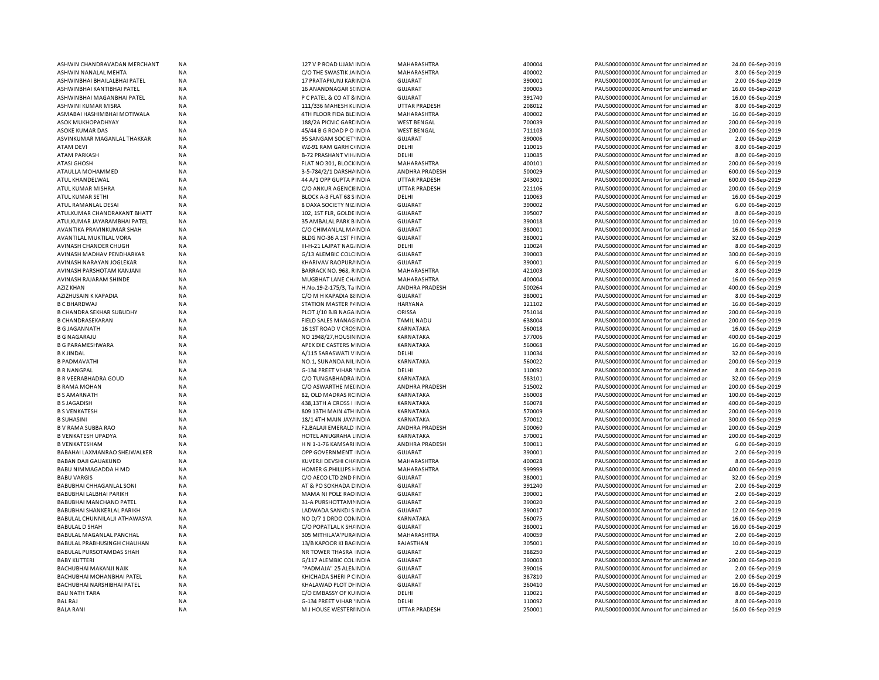| ASHWIN CHANDRAVADAN MERCHANT                     | <b>NA</b>       | 127 V P ROAD UJAM INDIA         | MAHARASHTRA             | 400004 | PAUS0000000000 Amount for unclaimed ar  | 24.00 06-Sep-2019  |
|--------------------------------------------------|-----------------|---------------------------------|-------------------------|--------|-----------------------------------------|--------------------|
| ASHWIN NANALAL MEHTA                             | <b>NA</b>       | C/O THE SWASTIK JAINDIA         | MAHARASHTRA             | 400002 | PAUS0000000000 Amount for unclaimed ar  | 8.00 06-Sep-2019   |
| ASHWINBHAI BHAILALBHAI PATEL                     | <b>NA</b>       | 17 PRATAPKUNJ KARINDIA          | <b>GUJARAT</b>          | 390001 | PAUS0000000000 Amount for unclaimed ar  | 2.00 06-Sep-2019   |
| ASHWINBHAI KANTIBHAI PATEL                       | <b>NA</b>       | 16 ANANDNAGAR S(INDIA           | <b>GUJARAT</b>          | 390005 | PAUS0000000000 Amount for unclaimed ar  | 16.00 06-Sep-2019  |
| ASHWINBHAI MAGANBHAI PATEL                       | <b>NA</b>       | P C PATEL & CO AT 8 INDIA       | <b>GUJARAT</b>          | 391740 | PAUS0000000000 Amount for unclaimed ar  | 16.00 06-Sep-2019  |
| ASHWINI KUMAR MISRA                              | <b>NA</b>       | 111/336 MAHESH KUNDIA           | <b>UTTAR PRADESH</b>    | 208012 | PAUS0000000000CAmount for unclaimed ar  | 8.00 06-Sep-2019   |
| ASMABAI HASHIMBHAI MOTIWALA                      | <b>NA</b>       | 4TH FLOOR FIDA BLE INDIA        | MAHARASHTRA             | 400002 | PAUS0000000000 Amount for unclaimed ar  | 16.00 06-Sep-2019  |
| ASOK MUKHOPADHYAY                                | <b>NA</b>       | 188/2A PICNIC GARE INDIA        | <b>WEST BENGAL</b>      | 700039 | PAUS0000000000 Amount for unclaimed ar  | 200.00 06-Sep-2019 |
| ASOKE KUMAR DAS                                  | <b>NA</b>       | 45/44 B G ROAD P O INDIA        | <b>WEST BENGAL</b>      | 711103 | PAUS0000000000 Amount for unclaimed ar  | 200.00 06-Sep-2019 |
| ASVINKUMAR MAGANLAL THAKKAR                      | <b>NA</b>       | 95 SANGAM SOCIET INDIA          | <b>GUJARAT</b>          | 390006 | PAUS0000000000 Amount for unclaimed ar  | 2.00 06-Sep-2019   |
| <b>ATAM DEVI</b>                                 | <b>NA</b>       | WZ-91 RAM GARH C INDIA          | DELHI                   | 110015 | PAUS0000000000 Amount for unclaimed ar  | 8.00 06-Sep-2019   |
| <b>ATAM PARKASH</b>                              | <b>NA</b>       | <b>B-72 PRASHANT VIH. INDIA</b> | DELHI                   | 110085 | PAUS0000000000 Amount for unclaimed ar  | 8.00 06-Sep-2019   |
| <b>ATASI GHOSH</b>                               | <b>NA</b>       | FLAT NO 301, BLOCK INDIA        | MAHARASHTRA             | 400101 | PAUS0000000000 Amount for unclaimed ar  | 200.00 06-Sep-2019 |
| ATAULLA MOHAMMED                                 | <b>NA</b>       | 3-5-784/2/1 DARSHAINDIA         | <b>ANDHRA PRADESH</b>   | 500029 | PAUS0000000000 Amount for unclaimed ar  | 600.00 06-Sep-2019 |
| ATUL KHANDELWAL                                  | <b>NA</b>       | 44 A/1 OPP GUPTA PINDIA         | <b>UTTAR PRADESH</b>    | 243001 | PAUS0000000000 Amount for unclaimed ar  | 600.00 06-Sep-2019 |
| <b>ATUL KUMAR MISHRA</b>                         | <b>NA</b>       | C/O ANKUR AGENCII INDIA         | <b>UTTAR PRADESH</b>    | 221106 | PAUS0000000000 Amount for unclaimed ar  | 200.00 06-Sep-2019 |
| ATUL KUMAR SETHI                                 | ΝA              | BLOCK A-3 FLAT 68 S INDIA       | DELHI                   | 110063 | PAUS0000000000C Amount for unclaimed ar | 16.00 06-Sep-2019  |
| ATUL RAMANLAL DESAI                              | <b>NA</b>       | 8 DAXA SOCIETY NIZ INDIA        | <b>GUJARAT</b>          | 390002 | PAUS0000000000 Amount for unclaimed ar  | 6.00 06-Sep-2019   |
| ATULKUMAR CHANDRAKANT BHATT                      | NA              | 102, 1ST FLR, GOLDE INDIA       | <b>GUJARAT</b>          | 395007 | PAUS0000000000C Amount for unclaimed ar | 8.00 06-Sep-2019   |
| ATULKUMAR JAYARAMBHAI PATEL                      | <b>NA</b>       | 35 AM BALAL PARK BINDIA         | <b>GUJARAT</b>          | 390018 | PAUS0000000000 Amount for unclaimed ar  | 10.00 06-Sep-2019  |
|                                                  | NA              |                                 |                         | 380001 |                                         | 16.00 06-Sep-2019  |
| AVANTIKA PRAVINKUMAR SHAH                        |                 | C/O CHIMANLAL MAINDIA           | GUJARAT                 | 380001 | PAUS0000000000C Amount for unclaimed ar |                    |
| AVANTILAL MUKTILAL VORA<br>AVINASH CHANDER CHUGH | NA<br><b>NA</b> | BLDG NO-36 A 1ST F INDIA        | <b>GUJARAT</b><br>DELHI | 110024 | PAUS0000000000 Amount for unclaimed ar  | 32.00 06-Sep-2019  |
|                                                  |                 | III-H-21 LAJPAT NAG. INDIA      |                         |        | PAUS0000000000CAmount for unclaimed ar  | 8.00 06-Sep-2019   |
| AVINASH MADHAV PENDHARKAR                        | NA              | G/13 ALEMBIC COLC INDIA         | GUJARAT                 | 390003 | PAUS0000000000CAmount for unclaimed ar  | 300.00 06-Sep-2019 |
| AVINASH NARAYAN JOGLEKAR                         | <b>NA</b>       | KHARIVAV RAOPURAINDIA           | <b>GUJARAT</b>          | 390001 | PAUS0000000000 Amount for unclaimed ar  | 6.00 06-Sep-2019   |
| AVINASH PARSHOTAM KANJANI                        | <b>NA</b>       | BARRACK NO. 968, RINDIA         | MAHARASHTRA             | 421003 | PAUS0000000000CAmount for unclaimed ar  | 8.00 06-Sep-2019   |
| AVINASH RAJARAM SHINDE                           | <b>NA</b>       | MUGBHAT LANE CH, INDIA          | MAHARASHTRA             | 400004 | PAUS0000000000CAmount for unclaimed ar  | 16.00 06-Sep-2019  |
| <b>AZIZ KHAN</b>                                 | NA              | H.No.19-2-175/3, Ta INDIA       | ANDHRA PRADESH          | 500264 | PAUS0000000000CAmount for unclaimed ar  | 400.00 06-Sep-2019 |
| AZIZHUSAIN K KAPADIA                             | <b>NA</b>       | C/O M H KAPADIA 8 INDIA         | <b>GUJARAT</b>          | 380001 | PAUS0000000000 Amount for unclaimed ar  | 8.00 06-Sep-2019   |
| <b>B C BHARDWAJ</b>                              | NA              | STATION MASTER P/INDIA          | <b>HARYANA</b>          | 121102 | PAUS0000000000C Amount for unclaimed ar | 16.00 06-Sep-2019  |
| <b>B CHANDRA SEKHAR SUBUDHY</b>                  | <b>NA</b>       | PLOT J/10 BJB NAGA INDIA        | <b>ORISSA</b>           | 751014 | PAUS0000000000 Amount for unclaimed ar  | 200.00 06-Sep-2019 |
| <b>B CHANDRASEKARAN</b>                          | NA              | FIELD SALES MANAGINDIA          | <b>TAMIL NADU</b>       | 638004 | PAUS0000000000C Amount for unclaimed ar | 200.00 06-Sep-2019 |
| <b>B G JAGANNATH</b>                             | <b>NA</b>       | 16 1ST ROAD V CROSINDIA         | <b>KARNATAKA</b>        | 560018 | PAUS0000000000 Amount for unclaimed ar  | 16.00 06-Sep-2019  |
| <b>B G NAGARAJU</b>                              | NA              | NO 1948/27, HOUSIN INDIA        | KARNATAKA               | 577006 | PAUS0000000000C Amount for unclaimed ar | 400.00 06-Sep-2019 |
| <b>B G PARAMESHWARA</b>                          | <b>NA</b>       | APEX DIE CASTERS NINDIA         | <b>KARNATAKA</b>        | 560068 | PAUS0000000000 Amount for unclaimed ar  | 16.00 06-Sep-2019  |
| <b>B K JINDAL</b>                                | <b>NA</b>       | A/115 SARASWATI V INDIA         | DELHI                   | 110034 | PAUS0000000000 Amount for unclaimed ar  | 32.00 06-Sep-2019  |
| <b>B PADMAVATHI</b>                              | <b>NA</b>       | NO.1, SUNANDA NILINDIA          | KARNATAKA               | 560022 | PAUS0000000000 Amount for unclaimed ar  | 200.00 06-Sep-2019 |
| <b>B R NANGPAL</b>                               | NA              | <b>G-134 PREET VIHAR 'INDIA</b> | DELHI                   | 110092 | PAUS0000000000 Amount for unclaimed ar  | 8.00 06-Sep-2019   |
| <b>B R VEERABHADRA GOUD</b>                      | <b>NA</b>       | C/O TUNGABHADRA INDIA           | KARNATAKA               | 583101 | PAUS0000000000 Amount for unclaimed ar  | 32.00 06-Sep-2019  |
| <b>B RAMA MOHAN</b>                              | <b>NA</b>       | C/O ASWARTHE MELINDIA           | <b>ANDHRA PRADESH</b>   | 515002 | PAUS0000000000CAmount for unclaimed ar  | 200.00 06-Sep-2019 |
| <b>B S AMARNATH</b>                              | <b>NA</b>       | 82, OLD MADRAS RC INDIA         | KARNATAKA               | 560008 | PAUS0000000000 Amount for unclaimed ar  | 100.00 06-Sep-2019 |
| <b>B S JAGADISH</b>                              | <b>NA</b>       | 438,13TH A CROSS I INDIA        | <b>KARNATAKA</b>        | 560078 | PAUS0000000000 Amount for unclaimed ar  | 400.00 06-Sep-2019 |
| <b>B S VENKATESH</b>                             | <b>NA</b>       | 809 13TH MAIN 4TH INDIA         | KARNATAKA               | 570009 | PAUS0000000000 Amount for unclaimed ar  | 200.00 06-Sep-2019 |
| <b>B SUHASINI</b>                                | <b>NA</b>       | 18/1 4TH MAIN JAY/ INDIA        | <b>KARNATAKA</b>        | 570012 | PAUS0000000000 Amount for unclaimed ar  | 300.00 06-Sep-2019 |
| B V RAMA SUBBA RAO                               | <b>NA</b>       | F2, BALAJI EMERALD INDIA        | ANDHRA PRADESH          | 500060 | PAUS0000000000 Amount for unclaimed ar  | 200.00 06-Sep-2019 |
| <b>B VENKATESH UPADYA</b>                        | <b>NA</b>       | HOTEL ANUGRAHA LINDIA           | <b>KARNATAKA</b>        | 570001 | PAUS0000000000 Amount for unclaimed ar  |                    |
|                                                  |                 |                                 |                         |        |                                         | 200.00 06-Sep-2019 |
| <b>B VENKATESHAM</b>                             | <b>NA</b>       | H N 1-1-76 KAMSARI INDIA        | ANDHRA PRADESH          | 500011 | PAUS0000000000 Amount for unclaimed ar  | 6.00 06-Sep-2019   |
| BABAHAI LAXMANRAO SHEJWALKER                     | <b>NA</b>       | OPP GOVERNMENT INDIA            | <b>GUJARAT</b>          | 390001 | PAUS0000000000 Amount for unclaimed ar  | 2.00 06-Sep-2019   |
| <b>BABAN DAJI GAUAKUND</b>                       | <b>NA</b>       | KUVERJI DEVSHI CH/ INDIA        | MAHARASHTRA             | 400028 | PAUS0000000000 Amount for unclaimed ar  | 8.00 06-Sep-2019   |
| BABU NIMMAGADDA H MD                             | <b>NA</b>       | HOMER G.PHILLIPS I INDIA        | MAHARASHTRA             | 999999 | PAUS0000000000 Amount for unclaimed ar  | 400.00 06-Sep-2019 |
| <b>BABU VARGIS</b>                               | NA              | C/O AECO LTD 2ND HNDIA          | GUJARAT                 | 380001 | PAUS0000000000 Amount for unclaimed ar  | 32.00 06-Sep-2019  |
| BABUBHAI CHHAGANLAL SONI                         | NA              | AT & PO SOKHADA CINDIA          | <b>GUJARAT</b>          | 391240 | PAUS0000000000 Amount for unclaimed ar  | 2.00 06-Sep-2019   |
| BABUBHAI LALBHAI PARIKH                          | NA              | MAMA NI POLE RAO INDIA          | <b>GUJARAT</b>          | 390001 | PAUS0000000000 Amount for unclaimed ar  | 2.00 06-Sep-2019   |
| BABUBHAI MANCHAND PATEL                          | NA              | 31-A PURSHOTTAMI INDIA          | <b>GUJARAT</b>          | 390020 | PAUS0000000000 Amount for unclaimed ar  | 2.00 06-Sep-2019   |
| BABUBHAI SHANKERLAL PARIKH                       | NA              | LADWADA SANKDI S INDIA          | <b>GUJARAT</b>          | 390017 | PAUS00000000000 Amount for unclaimed ar | 12.00 06-Sep-2019  |
| BABULAL CHUNNILALJI ATHAWASYA                    | NA              | NO D/7 1 DRDO CONINDIA          | KARNATAKA               | 560075 | PAUS0000000000 Amount for unclaimed ar  | 16.00 06-Sep-2019  |
| <b>BABULAL D SHAH</b>                            | <b>NA</b>       | C/O POPATLAL K SH/ INDIA        | <b>GUJARAT</b>          | 380001 | PAUS00000000000 Amount for unclaimed ar | 16.00 06-Sep-2019  |
| BABULAL MAGANLAL PANCHAL                         | NA              | 305 MITHILA'A'PURA INDIA        | MAHARASHTRA             | 400059 | PAUS0000000000 Amount for unclaimed ar  | 2.00 06-Sep-2019   |
| <b>BABULAL PRABHUSINGH CHAUHAN</b>               | <b>NA</b>       | 13/B KAPOOR KI BACINDIA         | RAJASTHAN               | 305001 | PAUS0000000000 Amount for unclaimed ar  | 10.00 06-Sep-2019  |
| BABULAL PURSOTAMDAS SHAH                         | <b>NA</b>       | NR TOWER THASRA INDIA           | <b>GUJARAT</b>          | 388250 | PAUS0000000000 Amount for unclaimed ar  | 2.00 06-Sep-2019   |
| <b>BABY KUTTERI</b>                              | NA              | G/117 ALEMBIC COL INDIA         | <b>GUJARAT</b>          | 390003 | PAUS0000000000 Amount for unclaimed ar  | 200.00 06-Sep-2019 |
| BACHUBHAI MAKANJI NAIK                           | <b>NA</b>       | "PADMAJA" 25 ALENINDIA          | <b>GUJARAT</b>          | 390016 | PAUS0000000000C Amount for unclaimed ar | 2.00 06-Sep-2019   |
| BACHUBHAI MOHANBHAI PATEL                        | NA              | KHICHADA SHERI P CINDIA         | <b>GUJARAT</b>          | 387810 | PAUS0000000000 Amount for unclaimed ar  | 2.00 06-Sep-2019   |
| BACHUBHAI NARSHIBHAI PATEL                       | NA              | KHALAWAD PLOT DI INDIA          | <b>GUJARAT</b>          | 360410 | PAUS0000000000 Amount for unclaimed ar  | 16.00 06-Sep-2019  |
| <b>BAIJ NATH TARA</b>                            | <b>NA</b>       | C/O EMBASSY OF KUINDIA          | DELHI                   | 110021 | PAUS0000000000 Amount for unclaimed ar  | 8.00 06-Sep-2019   |
| <b>BAL RAJ</b>                                   | <b>NA</b>       | <b>G-134 PREET VIHAR 'INDIA</b> | DELHI                   | 110092 | PAUS00000000000Amount for unclaimed ar  | 8.00 06-Sep-2019   |
| <b>BALA RANI</b>                                 | <b>NA</b>       | M J HOUSE WESTERHNDIA           | <b>UTTAR PRADESH</b>    | 250001 | PAUS0000000000C Amount for unclaimed ar | 16.00 06-Sep-2019  |
|                                                  |                 |                                 |                         |        |                                         |                    |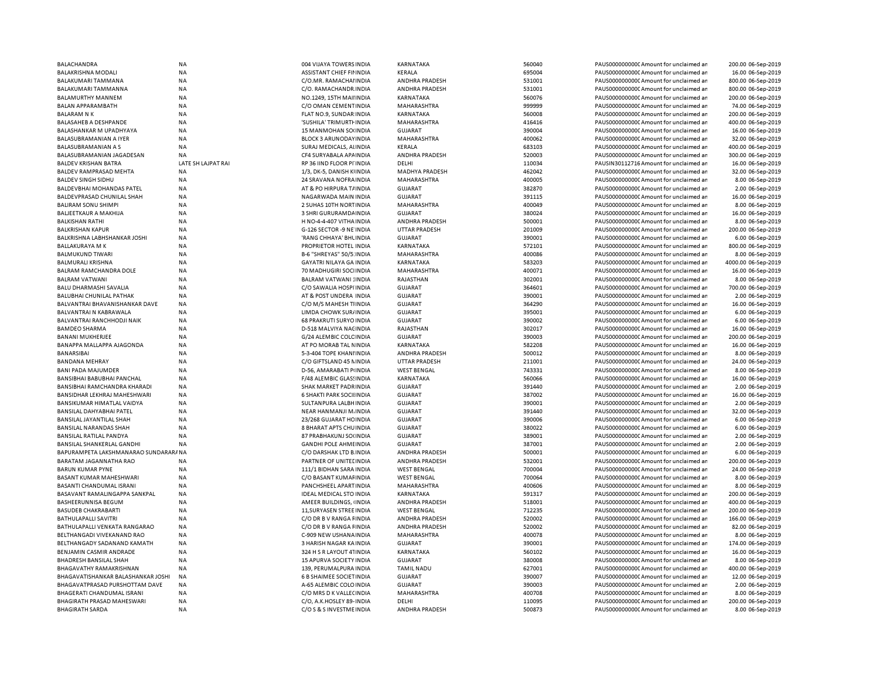| <b>BALACHANDRA</b>                                   | <b>NA</b>              | 004 VIJAYA TOWERS INDIA                               | <b>KARNATAKA</b>        | 560040           | PAUS0000000000 Amount for unclaimed ar                                           | 200.00 06-Sep-2019                     |
|------------------------------------------------------|------------------------|-------------------------------------------------------|-------------------------|------------------|----------------------------------------------------------------------------------|----------------------------------------|
| <b>BALAKRISHNA MODALI</b>                            | NA                     | ASSISTANT CHIEF FININDIA                              | KERALA                  | 695004           | PAUS0000000000 Amount for unclaimed an                                           | 16.00 06-Sep-2019                      |
| <b>BALAKUMARI TAMMANA</b>                            | <b>NA</b>              | C/O.MR. RAMACHAI INDIA                                | <b>ANDHRA PRADESH</b>   | 531001           | PAUS0000000000 Amount for unclaimed ar                                           | 800.00 06-Sep-2019                     |
| BALAKUMARI TAMMANNA                                  | NA                     | C/O. RAMACHANDR INDIA                                 | ANDHRA PRADESH          | 531001           | PAUS0000000000 Amount for unclaimed ar                                           | 800.00 06-Sep-2019                     |
| BALAMURTHY MANNEM                                    | NA                     | NO.1249, 15TH MAII INDIA                              | KARNATAKA               | 560076           | PAUS0000000000 Amount for unclaimed ar                                           | 200.00 06-Sep-2019                     |
| BALAN APPARAMBATH                                    | <b>NA</b>              | C/O OMAN CEMENTINDIA                                  | MAHARASHTRA             | 999999           | PAUS0000000000 Amount for unclaimed ar                                           | 74.00 06-Sep-2019                      |
| <b>BALARAM N K</b>                                   | NA                     | FLAT NO.9, SUNDAR INDIA                               | KARNATAKA               | 560008           | PAUS0000000000 Amount for unclaimed ar                                           | 200.00 06-Sep-2019                     |
| BALASAHEB A DESHPANDE                                | <b>NA</b>              | 'SUSHILA' TRIMURTI INDIA                              | MAHARASHTRA             | 416416           | PAUS0000000000 Amount for unclaimed ar                                           | 400.00 06-Sep-2019                     |
| BALASHANKAR M UPADHYAYA                              | <b>NA</b>              | 15 MANMOHAN SO(INDIA                                  | <b>GUJARAT</b>          | 390004           | PAUS0000000000 Amount for unclaimed ar                                           | 16.00 06-Sep-2019                      |
| BALASUBRAMANIAN A IYER                               | NA                     | <b>BLOCK 3 ARUNODAY INDIA</b>                         | MAHARASHTRA             | 400062           | PAUS0000000000 Amount for unclaimed ar                                           | 32.00 06-Sep-2019                      |
| BALASUBRAMANIAN A S                                  | <b>NA</b>              | SURAJ MEDICALS, ALINDIA                               | KERALA                  | 683103           | PAUS0000000000 Amount for unclaimed ar                                           | 400.00 06-Sep-2019                     |
| BALASUBRAMANIAN JAGADESAN                            | <b>NA</b>              | CF4 SURYABALA APAINDIA                                | <b>ANDHRA PRADESH</b>   | 520003           | PAUS00000000000 Amount for unclaimed ar                                          | 300.00 06-Sep-2019                     |
| <b>BALDEV KRISHAN BATRA</b>                          | LATE SH LAJPAT RAI     | RP 36 IIND FLOOR PI INDIA                             | DELHI                   | 110034           | PAUSIN30112716 Amount for unclaimed ar                                           | 16.00 06-Sep-2019                      |
| BALDEV RAMPRASAD MEHTA                               | <b>NA</b>              | 1/3, DK-5, DANISH KIINDIA                             | <b>MADHYA PRADESH</b>   | 462042           | PAUS0000000000CAmount for unclaimed an                                           | 32.00 06-Sep-2019                      |
| <b>BALDEV SINGH SIDHU</b>                            | <b>NA</b>              | 24 SRAVANA NOFRA INDIA                                | MAHARASHTRA             | 400005           | PAUS0000000000 Amount for unclaimed ar                                           | 8.00 06-Sep-2019                       |
| <b>BALDEVBHAI MOHANDAS PATEL</b>                     | <b>NA</b>              | AT & PO HIRPURA T/ INDIA                              | GUJARAT                 | 382870           | PAUS00000000000 Amount for unclaimed ar                                          | 2.00 06-Sep-2019                       |
| BALDEVPRASAD CHUNILAL SHAH                           | ΝA                     | NAGARWADA MAIN INDIA                                  | <b>GUJARAT</b>          | 391115           | PAUS0000000000 Amount for unclaimed ar                                           | 16.00 06-Sep-2019                      |
| <b>BALIRAM SONU SHIMPI</b>                           | NA                     | 2 SUHAS 10TH NORTINDIA                                | MAHARASHTRA             | 400049           | PAUS0000000000 Amount for unclaimed ar                                           | 8.00 06-Sep-2019                       |
|                                                      | <b>NA</b>              |                                                       |                         | 380024           | PAUS0000000000CAmount for unclaimed ar                                           | 16.00 06-Sep-2019                      |
| BALJEETKAUR A MAKHIJA                                |                        | 3 SHRI GURURAMDA INDIA                                | GUJARAT                 | 500001           |                                                                                  |                                        |
| <b>BALKISHAN RATHI</b>                               | NA                     | H NO-4-4-407 VITHA INDIA                              | ANDHRA PRADESH          |                  | PAUS0000000000 Amount for unclaimed ar                                           | 8.00 06-Sep-2019                       |
| <b>BALKRISHAN KAPUR</b>                              | NA                     | G-126 SECTOR -9 NE INDIA                              | <b>UTTAR PRADESH</b>    | 201009           | PAUS0000000000CAmount for unclaimed ar                                           | 200.00 06-Sep-2019                     |
| BALKRISHNA LABHSHANKAR JOSHI                         | NA                     | 'RANG CHHAYA' BHLINDIA                                | <b>GUJARAT</b>          | 390001           | PAUS0000000000 Amount for unclaimed ar                                           | 6.00 06-Sep-2019                       |
| <b>BALLAKURAYA M K</b>                               | <b>NA</b>              | PROPRIETOR HOTEL INDIA                                | KARNATAKA               | 572101           | PAUS00000000000 Amount for unclaimed ar                                          | 800.00 06-Sep-2019                     |
| <b>BALMUKUND TIWARI</b>                              | <b>NA</b>              | B-6 "SHREYAS" 50/5: INDIA                             | MAHARASHTRA             | 400086           | PAUS00000000000Amount for unclaimed an                                           | 8.00 06-Sep-2019                       |
| <b>BALMURALI KRISHNA</b>                             | <b>NA</b>              | <b>GAYATRI NILAYA GA INDIA</b>                        | KARNATAKA               | 583203           | PAUS00000000000Amount for unclaimed ar                                           | 4000.00 06-Sep-2019                    |
| BALRAM RAMCHANDRA DOLE                               | <b>NA</b>              | 70 MADHUGIRI SOCIINDIA                                | MAHARASHTRA             | 400071           | PAUS0000000000CAmount for unclaimed ar                                           | 16.00 06-Sep-2019                      |
| <b>BALRAM VATWANI</b>                                | <b>NA</b>              | <b>BALRAM VATWANI : INDIA</b>                         | RAJASTHAN               | 302001           | PAUS0000000000CAmount for unclaimed ar                                           | 8.00 06-Sep-2019                       |
| BALU DHARMASHI SAVALIA                               | <b>NA</b>              | C/O SAWALIA HOSPI INDIA                               | GUJARAT                 | 364601           | PAUS0000000000CAmount for unclaimed an                                           | 700.00 06-Sep-2019                     |
| BALUBHAI CHUNILAL PATHAK                             | NA                     | AT & POST UNDERA INDIA                                | <b>GUJARAT</b>          | 390001           | PAUS00000000000 Amount for unclaimed ar                                          | 2.00 06-Sep-2019                       |
| BALVANTRAI BHAVANISHANKAR DAVE                       | <b>NA</b>              | C/O M/S MAHESH TIINDIA                                | <b>GUJARAT</b>          | 364290           | PAUS0000000000CAmount for unclaimed ar                                           | 16.00 06-Sep-2019                      |
| <b>BALVANTRAI N KABRAWALA</b>                        | <b>NA</b>              | LIMDA CHOWK SUR/INDIA                                 | <b>GUJARAT</b>          | 395001           | PAUS0000000000 Amount for unclaimed ar                                           | 6.00 06-Sep-2019                       |
| BALVANTRAI RANCHHODJI NAIK                           | NA                     | 68 PRAKRUTI SURYO INDIA                               | <b>GUJARAT</b>          | 390002           | PAUS0000000000CAmount for unclaimed ar                                           | 6.00 06-Sep-2019                       |
| <b>BAMDEO SHARMA</b>                                 | <b>NA</b>              | D-518 MALVIYA NACINDIA                                | RAJASTHAN               | 302017           | PAUS0000000000 Amount for unclaimed ar                                           | 16.00 06-Sep-2019                      |
| <b>BANANI MUKHERJEE</b>                              | NA                     | G/24 ALEMBIC COLC INDIA                               | <b>GUJARAT</b>          | 390003           | PAUS0000000000CAmount for unclaimed ar                                           | 200.00 06-Sep-2019                     |
| BANAPPA MALLAPPA AJAGONDA                            | <b>NA</b>              | AT PO MORAB TAL NINDIA                                | <b>KARNATAKA</b>        | 582208           | PAUS0000000000 Amount for unclaimed ar                                           | 16.00 06-Sep-2019                      |
| BANARSIBAI                                           | <b>NA</b>              | 5-3-404 TOPE KHANI INDIA                              | ANDHRA PRADESH          | 500012           | PAUS0000000000 Amount for unclaimed ar                                           | 8.00 06-Sep-2019                       |
| <b>BANDANA MEHRAY</b>                                | <b>NA</b>              | C/O GIFTSLAND 45 NINDIA                               | <b>UTTAR PRADESH</b>    | 211001           | PAUS00000000000 Amount for unclaimed ar                                          | 24.00 06-Sep-2019                      |
| <b>BANI PADA MAJUMDER</b>                            | <b>NA</b>              | D-56, AMARABATI PINDIA                                | <b>WEST BENGAL</b>      | 743331           | PAUS00000000000 Amount for unclaimed ar                                          | 8.00 06-Sep-2019                       |
| BANSIBHAI BABUBHAI PANCHAL                           | <b>NA</b>              | F/48 ALEMBIC GLASSINDIA                               | KARNATAKA               | 560066           | PAUS00000000000 Amount for unclaimed ar                                          | 16.00 06-Sep-2019                      |
| BANSIBHAI RAMCHANDRA KHARADI                         | <b>NA</b>              | SHAK MARKET PADRINDIA                                 | <b>GUJARAT</b>          | 391440           | PAUS0000000000CAmount for unclaimed ar                                           | 2.00 06-Sep-2019                       |
| BANSIDHAR LEKHRAJ MAHESHWARI                         | <b>NA</b>              | <b>6 SHAKTI PARK SOCILINDIA</b>                       | <b>GUJARAT</b>          | 387002           | PAUS00000000000 Amount for unclaimed ar                                          | 16.00 06-Sep-2019                      |
| BANSIKUMAR HIMATLAL VAIDYA                           | <b>NA</b>              | SULTANPURA LALBH INDIA                                | <b>GUJARAT</b>          | 390001           | PAUS0000000000 Amount for unclaimed ar                                           | 2.00 06-Sep-2019                       |
|                                                      |                        |                                                       |                         |                  |                                                                                  |                                        |
| BANSILAL DAHYABHAI PATEL                             | NA                     | NEAR HANMANJI M. INDIA                                | <b>GUJARAT</b>          | 391440           | PAUS0000000000 Amount for unclaimed ar                                           | 32.00 06-Sep-2019                      |
| BANSILAL JAYANTILAL SHAH                             | <b>NA</b>              | 23/268 GUJARAT HC INDIA                               | <b>GUJARAT</b>          | 390006           | PAUS0000000000CAmount for unclaimed an                                           | 6.00 06-Sep-2019                       |
| BANSILAL NARANDAS SHAH                               | <b>NA</b>              | 8 BHARAT APTS CHUINDIA                                | <b>GUJARAT</b>          | 380022           | PAUS0000000000 Amount for unclaimed ar                                           | 6.00 06-Sep-2019                       |
| <b>BANSILAL RATILAL PANDYA</b>                       | <b>NA</b>              | 87 PRABHAKUNJ SO(INDIA                                | <b>GUJARAT</b>          | 389001           | PAUS0000000000 Amount for unclaimed ar                                           | 2.00 06-Sep-2019                       |
| BANSILAL SHANKERLAL GANDHI                           | NA                     | <b>GANDHI POLE AHMEINDIA</b>                          | <b>GUJARAT</b>          | 387001           | PAUS0000000000 Amount for unclaimed ar                                           | 2.00 06-Sep-2019                       |
| BAPURAMPETA LAKSHMANARAO SUNDARARANA                 |                        | C/O DARSHAK LTD B INDIA                               | ANDHRA PRADESH          | 500001           | PAUS0000000000 Amount for unclaimed ar                                           | 6.00 06-Sep-2019                       |
| BARATAM JAGANNATHA RAO                               | NA                     | PARTNER OF UNITED INDIA                               | ANDHRA PRADESH          | 532001           | PAUS0000000000 Amount for unclaimed ar                                           | 200.00 06-Sep-2019                     |
| <b>BARUN KUMAR PYNE</b>                              | NA                     | 111/1 BIDHAN SARA INDIA                               | <b>WEST BENGAL</b>      | 700004           | PAUS0000000000 Amount for unclaimed ar                                           | 24.00 06-Sep-2019                      |
| BASANT KUMAR MAHESHWARI                              | NA                     | C/O BASANT KUMAFINDIA                                 | <b>WEST BENGAL</b>      | 700064           | PAUS0000000000CAmount for unclaimed ar                                           | 8.00 06-Sep-2019                       |
| BASANTI CHANDUMAL ISRANI                             | NA                     | PANCHSHEEL APART INDIA                                | MAHARASHTRA             | 400606           | PAUS0000000000 Amount for unclaimed ar                                           | 8.00 06-Sep-2019                       |
| BASAVANT RAMALINGAPPA SANKPAL                        | <b>NA</b>              | <b>IDEAL MEDICAL STO INDIA</b>                        | <b>KARNATAKA</b>        | 591317           | PAUS0000000000 Amount for unclaimed ar                                           | 200.00 06-Sep-2019                     |
| BASHEERUNNISA BEGUM                                  | NA                     | AMEER BUILDINGS, (INDIA                               | ANDHRA PRADESH          | 518001           | PAUS00000000000 Amount for unclaimed ar                                          | 400.00 06-Sep-2019                     |
| <b>BASUDEB CHAKRABARTI</b>                           | <b>NA</b>              | 11, SURYASEN STREE IN DIA                             | <b>WEST BENGAL</b>      | 712235           | PAUS0000000000CAmount for unclaimed an                                           | 200.00 06-Sep-2019                     |
| BATHULAPALLI SAVITRI                                 | NA                     | C/O DR B V RANGA FINDIA                               | ANDHRA PRADESH          | 520002           | PAUS0000000000 Amount for unclaimed ar                                           | 166.00 06-Sep-2019                     |
| BATHULAPALLI VENKATA RANGARAO                        | <b>NA</b>              | C/O DR B V RANGA FINDIA                               | <b>ANDHRA PRADESH</b>   | 520002           | PAUS00000000000Amount for unclaimed an                                           | 82.00 06-Sep-2019                      |
| BELTHANGADI VIVEKANAND RAO                           | NA                     | C-909 NEW USHANA INDIA                                | MAHARASHTRA             | 400078           | PAUS0000000000 Amount for unclaimed ar                                           | 8.00 06-Sep-2019                       |
| BELTHANGADY SADANAND KAMATH                          | <b>NA</b>              | 3 HARISH NAGAR KA INDIA                               | <b>GUJARAT</b>          | 390001           | PAUS0000000000 Amount for unclaimed ar                                           | 174.00 06-Sep-2019                     |
| BENJAMIN CASMIR ANDRADE                              | NA                     | 324 H S R LAYOUT 41INDIA                              | KARNATAKA               | 560102           | PAUS0000000000 Amount for unclaimed ar                                           | 16.00 06-Sep-2019                      |
| BHADRESH BANSILAL SHAH                               | <b>NA</b>              | 15 APURVA SOCIETY INDIA                               | <b>GUJARAT</b>          | 380008           | PAUS0000000000 Amount for unclaimed ar                                           | 8.00 06-Sep-2019                       |
| BHAGAVATHY RAMAKRISHNAN                              |                        | 139, PERUMALPURA INDIA                                | <b>TAMIL NADU</b>       | 627001           | PAUS0000000000 Amount for unclaimed ar                                           | 400.00 06-Sep-2019                     |
|                                                      |                        |                                                       |                         |                  |                                                                                  |                                        |
|                                                      | <b>NA</b>              |                                                       |                         |                  |                                                                                  |                                        |
| BHAGAVATISHANKAR BALASHANKAR JOSHI                   | <b>NA</b>              | <b>6 B SHAIMEE SOCIET IN DIA</b>                      | <b>GUJARAT</b>          | 390007           | PAUS0000000000 Amount for unclaimed ar                                           | 12.00 06-Sep-2019                      |
| BHAGAVATPRASAD PURSHOTTAM DAVE                       | NA                     | A-65 ALEMBIC COLO INDIA                               | <b>GUJARAT</b>          | 390003           | PAUS0000000000CAmount for unclaimed ar                                           | 2.00 06-Sep-2019                       |
| BHAGERATI CHANDUMAL ISRANI                           | NA                     | C/O MRS D K VALLECINDIA                               | MAHARASHTRA             | 400708           | PAUS0000000000 Amount for unclaimed an                                           | 8.00 06-Sep-2019                       |
| BHAGIRATH PRASAD MAHESWARI<br><b>BHAGIRATH SARDA</b> | <b>NA</b><br><b>NA</b> | C/O, A.K.HOSLEY 89- INDIA<br>C/O S & S INVESTME INDIA | DELHI<br>ANDHRA PRADESH | 110095<br>500873 | PAUS0000000000 Amount for unclaimed ar<br>PAUS0000000000 Amount for unclaimed an | 200.00 06-Sep-2019<br>8.00 06-Sep-2019 |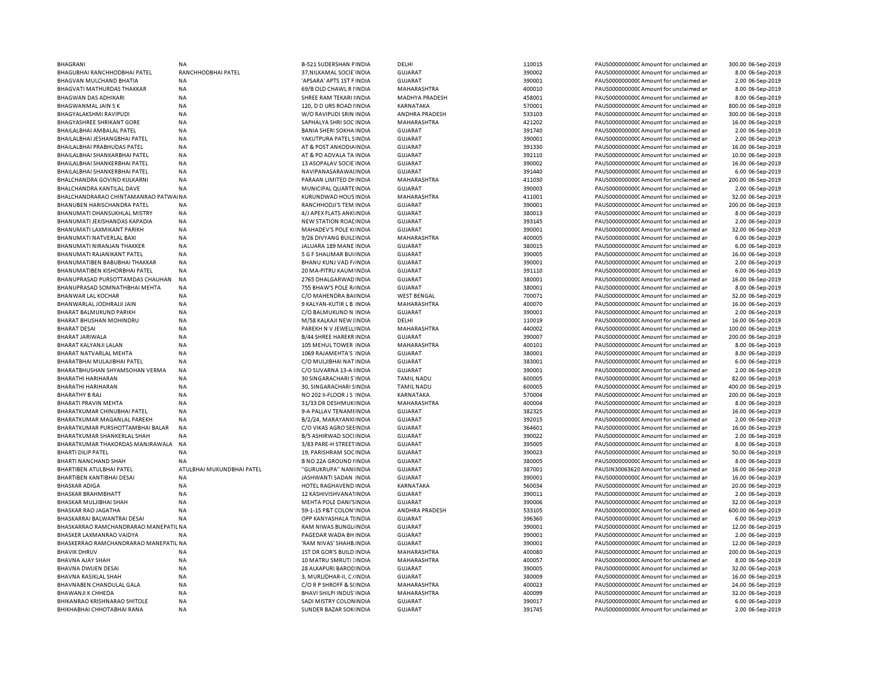| <b>BHAGRANI</b>                                            | N <sub>A</sub>            | B-521 SUDERSHAN PINDIA                            | DELHI                            | 110015           | PAUS0000000000 Amount for unclaimed ar                                           | 300.00 06-Sep-2019                   |
|------------------------------------------------------------|---------------------------|---------------------------------------------------|----------------------------------|------------------|----------------------------------------------------------------------------------|--------------------------------------|
| BHAGUBHAI RANCHHODBHAI PATEL                               | RANCHHODBHAI PATEL        | 37, NILKAMAL SOCIE INDIA                          | <b>GUJARAT</b>                   | 390002           | PAUS00000000000Amount for unclaimed ar                                           | 8.00 06-Sep-2019                     |
| BHAGVAN MULCHAND BHATIA                                    | <b>NA</b>                 | 'APSARA' APTS 1ST F INDIA                         | <b>GUJARAT</b>                   | 390001           | PAUS0000000000 Amount for unclaimed ar                                           | 2.00 06-Sep-2019                     |
| BHAGVATI MATHURDAS THAKKAR                                 | <b>NA</b>                 | 69/B OLD CHAWL R I INDIA                          | MAHARASHTRA                      | 400010           | PAUS0000000000CAmount for unclaimed ar                                           | 8.00 06-Sep-2019                     |
| <b>BHAGWAN DAS ADHIKARI</b>                                | <b>NA</b>                 | SHREE RAM TEKARI IINDIA                           | <b>MADHYA PRADESH</b>            | 458001           | PAUS0000000000 Amount for unclaimed ar                                           | 8.00 06-Sep-2019                     |
|                                                            |                           |                                                   |                                  |                  |                                                                                  |                                      |
| <b>BHAGWANMAL JAIN SK</b>                                  | <b>NA</b>                 | 120, D D URS ROAD I INDIA                         | KARNATAKA                        | 570001           | PAUS0000000000 Amount for unclaimed ar                                           | 800.00 06-Sep-2019                   |
| <b>BHAGYALAKSHMI RAVIPUDI</b>                              | <b>NA</b>                 | W/O RAVIPUDI SRIN INDIA                           | <b>ANDHRA PRADESH</b>            | 533103           | PAUS0000000000 Amount for unclaimed ar                                           | 300.00 06-Sep-2019                   |
| <b>BHAGYASHREE SHRIKANT GORE</b>                           | <b>NA</b>                 | SAPHALYA SHRI SOC INDIA                           | MAHARASHTRA                      | 421202           | PAUS0000000000 Amount for unclaimed ar                                           | 16.00 06-Sep-2019                    |
| BHAILALBHAI AM BALAL PATEL                                 | <b>NA</b>                 | <b>BANIA SHERI SOKHA INDIA</b>                    | <b>GUJARAT</b>                   | 391740           | PAUS0000000000 Amount for unclaimed ar                                           | 2.00 06-Sep-2019                     |
| BHAILALBHAI JESHANGBHAI PATEL                              | <b>NA</b>                 | YAKUTPURA PATEL SINDIA                            | <b>GUJARAT</b>                   | 390001           | PAUS0000000000 Amount for unclaimed ar                                           | 2.00 06-Sep-2019                     |
| BHAILALBHAI PRABHUDAS PATEL                                | NA                        | AT & POST ANKODIA INDIA                           | <b>GUJARAT</b>                   | 391330           | PAUS0000000000 Amount for unclaimed ar                                           | 16.00 06-Sep-2019                    |
|                                                            | <b>NA</b>                 |                                                   | <b>GUJARAT</b>                   | 392110           |                                                                                  | 10.00 06-Sep-2019                    |
| BHAILALBHAI SHANKARBHAI PATEL                              |                           | AT & PO ADVALA TA INDIA                           |                                  |                  | PAUS0000000000 Amount for unclaimed ar                                           |                                      |
| BHAILALBHAI SHANKERBHAI PATEL                              | NA                        | 13 ASOPALAV SOCIE INDIA                           | <b>GUJARAT</b>                   | 390002           | PAUS0000000000 Amount for unclaimed ar                                           | 16.00 06-Sep-2019                    |
| BHAILALBHAI SHANKERBHAI PATEL                              | NA                        | NAVIPANASARAWAI INDIA                             | <b>GUJARAT</b>                   | 391440           | PAUS0000000000CAmount for unclaimed ar                                           | 6.00 06-Sep-2019                     |
| BHALCHANDRA GOVIND KULKARNI                                | NA                        | PARAAN LIMITED DI INDIA                           | MAHARASHTRA                      | 411030           | PAUS0000000000 Amount for unclaimed ar                                           | 200.00 06-Sep-2019                   |
| BHALCHANDRA KANTILAL DAVE                                  | NA                        | MUNICIPAL QUARTE INDIA                            | <b>GUJARAT</b>                   | 390003           | PAUS00000000000Amount for unclaimed ar                                           | 2.00 06-Sep-2019                     |
| BHALCHANDRARAO CHINTAMANRAO PATWAINA                       |                           | KURUNDWAD HOUS INDIA                              | MAHARASHTRA                      | 411001           | PAUS0000000000CAmount for unclaimed ar                                           | 32.00 06-Sep-2019                    |
| BHANUBEN HARISCHANDRA PATEL                                | <b>NA</b>                 | RANCHHODJI'S TEM INDIA                            | <b>GUJARAT</b>                   | 390001           | PAUS0000000000 Amount for unclaimed ar                                           | 200.00 06-Sep-2019                   |
| BHANUMATI DHANSUKHLAL MISTRY                               | NA                        | 4/J APEX FLATS ANKUNDIA                           | <b>GUJARAT</b>                   | 380013           | PAUS0000000000 Amount for unclaimed ar                                           | 8.00 06-Sep-2019                     |
|                                                            |                           |                                                   |                                  |                  |                                                                                  |                                      |
| BHANUMATI JEKISHANDAS KAPADIA                              | <b>NA</b>                 | <b>NEW STATION ROAL INDIA</b>                     | <b>GUJARAT</b>                   | 393145           | PAUS0000000000 Amount for unclaimed ar                                           | 2.00 06-Sep-2019                     |
| BHANUMATI LAXMIKANT PARIKH                                 | NA                        | MAHADEV'S POLE K(INDIA                            | <b>GUJARAT</b>                   | 390001           | PAUS0000000000 Amount for unclaimed ar                                           | 32.00 06-Sep-2019                    |
| <b>BHANUMATI NATVERLAL BAXI</b>                            | NA                        | 9/26 DIVYANG BUILLINDIA                           | MAHARASHTRA                      | 400005           | PAUS0000000000 Amount for unclaimed ar                                           | 6.00 06-Sep-2019                     |
| BHANUMATI NIRANJAN THAKKER                                 | NA                        | JALUARA 189 MANE INDIA                            | <b>GUJARAT</b>                   | 380015           | PAUS0000000000 Amount for unclaimed ar                                           | 6.00 06-Sep-2019                     |
| BHANUMATI RAJANIKANT PATEL                                 | <b>NA</b>                 | 5 G F SHALIMAR BUI INDIA                          | <b>GUJARAT</b>                   | 390005           | PAUS0000000000 Amount for unclaimed ar                                           | 16.00 06-Sep-2019                    |
| BHANUMATIBEN BABUBHAI THAKKAR                              | <b>NA</b>                 | BHANU KUNJ VAD F/ INDIA                           | <b>GUJARAT</b>                   | 390001           | PAUS0000000000 Amount for unclaimed ar                                           | 2.00 06-Sep-2019                     |
| BHANUMATIBEN KISHORBHAI PATEL                              | <b>NA</b>                 |                                                   |                                  |                  |                                                                                  |                                      |
|                                                            |                           | 20 MA-PITRU KAUM INDIA                            | <b>GUJARAT</b>                   | 391110           | PAUS0000000000 Amount for unclaimed ar                                           | 6.00 06-Sep-2019                     |
| BHANUPRASAD PURSOTTAMDAS CHAUHAN                           | NA                        | 2765 DHALGARWAD INDIA                             | <b>GUJARAT</b>                   | 380001           | PAUS0000000000CAmount for unclaimed ar                                           | 16.00 06-Sep-2019                    |
| BHANUPRASAD SOMNATHBHAI MEHTA                              | <b>NA</b>                 | 755 BHAW'S POLE R/INDIA                           | <b>GUJARAT</b>                   | 380001           | PAUS0000000000 Amount for unclaimed ar                                           | 8.00 06-Sep-2019                     |
| <b>BHANWAR LAL KOCHAR</b>                                  | NA                        | C/O MAHENDRA BAIINDIA                             | <b>WEST BENGAL</b>               | 700071           | PAUS0000000000 Amount for unclaimed ar                                           | 32.00 06-Sep-2019                    |
| BHANWARLAL JODHRAJJI JAIN                                  | <b>NA</b>                 | 9 KALYAN-KUTIR L B INDIA                          | MAHARASHTRA                      | 400070           | PAUS0000000000 Amount for unclaimed ar                                           | 16.00 06-Sep-2019                    |
| BHARAT BALMUKUND PARIKH                                    | NA                        | C/O BALMUKUND N INDIA                             | <b>GUJARAT</b>                   | 390001           | PAUS0000000000CAmount for unclaimed ar                                           | 2.00 06-Sep-2019                     |
| <b>BHARAT BHUSHAN MOHINDRU</b>                             | <b>NA</b>                 | M/58 KALKAJI NEW IINDIA                           | DELHI                            | 110019           | PAUS0000000000 Amount for unclaimed ar                                           | 16.00 06-Sep-2019                    |
|                                                            |                           |                                                   |                                  |                  |                                                                                  |                                      |
| <b>BHARAT DESAI</b>                                        | <b>NA</b>                 | PAREKH N V JEWELL INDIA                           | MAHARASHTRA                      | 440002           | PAUS0000000000 Amount for unclaimed ar                                           | 100.00 06-Sep-2019                   |
| <b>BHARAT JARIWALA</b>                                     | <b>NA</b>                 | <b>B/44 SHREE HAREKR INDIA</b>                    | <b>GUJARAT</b>                   | 390007           | PAUS0000000000 Amount for unclaimed ar                                           | 200.00 06-Sep-2019                   |
| BHARAT KALYANJI LALAN                                      | NA                        | 105 MEHUL TOWER INDIA                             | MAHARASHTRA                      | 400101           | PAUS0000000000 Amount for unclaimed ar                                           | 8.00 06-Sep-2019                     |
| BHARAT NATVARLAL MEHTA                                     | <b>NA</b>                 | 1069 RAJAMEHTA'S INDIA                            | <b>GUJARAT</b>                   | 380001           | PAUS0000000000 Amount for unclaimed ar                                           | 8.00 06-Sep-2019                     |
| BHARATBHAI MULAJIBHAI PATEL                                | <b>NA</b>                 | C/O MULJIBHAI NAT INDIA                           | <b>GUJARAT</b>                   | 383001           | PAUS0000000000 Amount for unclaimed ar                                           | 6.00 06-Sep-2019                     |
| BHARATBHUSHAN SHYAMSOHAN VERMA                             | NA                        | C/O SUVARNA 13-A IINDIA                           | <b>GUJARAT</b>                   | 390001           | PAUS0000000000 Amount for unclaimed ar                                           | 2.00 06-Sep-2019                     |
| BHARATHI HARIHARAN                                         | NA                        |                                                   |                                  | 600005           | PAUS0000000000 Amount for unclaimed ar                                           |                                      |
|                                                            |                           | 30 SINGARACHARI S'INDIA                           | TAMIL NADU                       |                  |                                                                                  | 82.00 06-Sep-2019                    |
| BHARATHI HARIHARAN                                         | NA                        | 30, SINGARACHARI SINDIA                           | <b>TAMIL NADU</b>                | 600005           | PAUS0000000000 Amount for unclaimed ar                                           | 400.00 06-Sep-2019                   |
| <b>BHARATHY B RAJ</b>                                      | NA                        | NO 202 II-FLOOR JS INDIA                          | KARNATAKA                        | 570004           | PAUS0000000000CAmount for unclaimed ar                                           | 200.00 06-Sep-2019                   |
| BHARATI PRAVIN MEHTA                                       | <b>NA</b>                 | 31/33 DR DESHMUK INDIA                            | MAHARASHTRA                      | 400004           | PAUS0000000000CAmount for unclaimed ar                                           | 8.00 06-Sep-2019                     |
| BHARATKUMAR CHINUBHAI PATEL                                | NA                        | 9-A PALLAV TENAMI INDIA                           | <b>GUJARAT</b>                   | 382325           | PAUS00000000000Amount for unclaimed ar                                           | 16.00 06-Sep-2019                    |
| BHARATKUMAR MAGANLAL PAREKH                                | <b>NA</b>                 | B/2/24, MARAYANKI INDIA                           | <b>GUJARAT</b>                   | 392015           | PAUS0000000000CAmount for unclaimed ar                                           | 2.00 06-Sep-2019                     |
| BHARATKUMAR PURSHOTTAMBHAI BALAR                           | NA                        | C/O VIKAS AGRO SEE INDIA                          | <b>GUJARAT</b>                   | 364601           | PAUS0000000000C Amount for unclaimed ar                                          | 16.00 06-Sep-2019                    |
| BHARATKUMAR SHANKERLAL SHAH                                | <b>NA</b>                 | B/5 ASHIRWAD SOCI INDIA                           | <b>GUJARAT</b>                   | 390022           | PAUS0000000000 Amount for unclaimed ar                                           | 2.00 06-Sep-2019                     |
|                                                            |                           |                                                   |                                  |                  |                                                                                  |                                      |
| BHARATKUMAR THAKORDAS MANJRAWALA                           | <b>NA</b>                 | 3/83 PARE-H STREET INDIA                          | <b>GUJARAT</b>                   | 395005           | PAUS0000000000 Amount for unclaimed ar                                           | 8.00 06-Sep-2019                     |
| <b>BHARTI DILIP PATEL</b>                                  | <b>NA</b>                 | 19, PARISHRAM SOC INDIA                           | <b>GUJARAT</b>                   | 390023           | PAUS0000000000 Amount for unclaimed ar                                           | 50.00 06-Sep-2019                    |
| BHARTI NANCHAND SHAH                                       | <b>NA</b>                 | <b>B NO 22A GROUND HNDIA</b>                      | <b>GUJARAT</b>                   | 380005           | PAUS0000000000CAmount for unclaimed ar                                           | 8.00 06-Sep-2019                     |
| BHARTIBEN ATULBHAI PATEL                                   | ATULBHAI MUKUNDBHAI PATEL | "GURUKRUPA" NANHNDIA                              | <b>GUJARAT</b>                   | 387001           | PAUSIN30063620 Amount for unclaimed ar                                           | 16.00 06-Sep-2019                    |
| <b>BHARTIBEN KANTIBHAI DESAI</b>                           | <b>NA</b>                 | JASHWANTI SADAN INDIA                             | <b>GUJARAT</b>                   | 390001           | PAUS0000000000 Amount for unclaimed ar                                           | 16.00 06-Sep-2019                    |
| <b>BHASKAR ADIGA</b>                                       | <b>NA</b>                 | HOTEL RAGHAVEND INDIA                             | KARNATAKA                        | 560034           | PAUS0000000000 Amount for unclaimed ar                                           | 20.00 06-Sep-2019                    |
|                                                            | <b>NA</b>                 |                                                   |                                  |                  |                                                                                  |                                      |
| <b>BHASKAR BRAHMBHATT</b>                                  |                           | 12 KASHIVISHVANA1INDIA                            | <b>GUJARAT</b>                   | 390011           | PAUS0000000000 Amount for unclaimed ar                                           | 2.00 06-Sep-2019                     |
| BHASKAR MULJIBHAI SHAH                                     | <b>NA</b>                 | MEHTA POLE DANI'S INDIA                           | <b>GUJARAT</b>                   | 390006           | PAUS0000000000 Amount for unclaimed ar                                           | 32.00 06-Sep-2019                    |
| <b>BHASKAR RAO JAGATHA</b>                                 | <b>NA</b>                 | 59-1-15 P&T COLON' INDIA                          | ANDHRA PRADESH                   | 533105           | PAUS0000000000 Amount for unclaimed ar                                           | 600.00 06-Sep-2019                   |
| BHASKARRAI BALWANTRAI DESAI                                | <b>NA</b>                 | OPP KANYASHALA TIINDIA                            | <b>GUJARAT</b>                   | 396360           | PAUS00000000000Amount for unclaimed ar                                           | 6.00 06-Sep-2019                     |
| BHASKARRAO RAMCHANDRARAO MANEPATIL NA                      |                           | RAM NIWAS BUNGLINDIA                              | <b>GUJARAT</b>                   | 390001           | PAUS0000000000 Amount for unclaimed ar                                           | 12.00 06-Sep-2019                    |
| BHASKER LAXMANRAO VAIDYA                                   | <b>NA</b>                 | PAGEDAR WADA BH INDIA                             | <b>GUJARAT</b>                   | 390001           | PAUS0000000000C Amount for unclaimed ar                                          | 2.00 06-Sep-2019                     |
| BHASKERRAO RAMCHANDRARAO MANEPATIL NA                      |                           | 'RAM NIVAS' SHAHB INDIA                           | <b>GUJARAT</b>                   | 390001           | PAUS0000000000 Amount for unclaimed ar                                           | 12.00 06-Sep-2019                    |
|                                                            | <b>NA</b>                 |                                                   |                                  |                  |                                                                                  |                                      |
| <b>BHAVIK DHRUV</b>                                        |                           | 1ST DR GOR'S BUILD INDIA                          | MAHARASHTRA                      | 400080           | PAUS0000000000 Amount for unclaimed ar                                           | 200.00 06-Sep-2019                   |
|                                                            |                           |                                                   |                                  |                  |                                                                                  |                                      |
| BHAVNA AJAY SHAH                                           | <b>NA</b>                 | 10 MATRU SMRUTI : INDIA                           | MAHARASHTRA                      | 400057           | PAUS0000000000 Amount for unclaimed ar                                           | 8.00 06-Sep-2019                     |
| <b>BHAVNA DWIJEN DESAI</b>                                 | <b>NA</b>                 | 28 ALKAPURI BAROD INDIA                           | <b>GUJARAT</b>                   | 390005           | PAUS0000000000 Amount for unclaimed ar                                           | 32.00 06-Sep-2019                    |
| BHAVNA RASIKLAL SHAH                                       | <b>NA</b>                 | 3, MURLIDHAR-II, C.(INDIA                         | <b>GUJARAT</b>                   | 380009           | PAUS0000000000 Amount for unclaimed ar                                           | 16.00 06-Sep-2019                    |
| BHAVNABEN CHANDULAL GALA                                   | NA                        | C/O R P SHROFF & S(INDIA                          | MAHARASHTRA                      | 400023           | PAUS0000000000 Amount for unclaimed ar                                           | 24.00 06-Sep-2019                    |
|                                                            |                           |                                                   |                                  |                  |                                                                                  |                                      |
| BHAWANJI K CHHEDA                                          | <b>NA</b>                 | BHAVI SHILPI INDUS INDIA                          | MAHARASHTRA                      | 400099           | PAUS0000000000 Amount for unclaimed ar                                           | 32.00 06-Sep-2019                    |
| BHIKANRAO KRISHNARAO SHITOLE<br>BHIKHABHAI CHHOTABHAI RANA | NA<br>NA                  | SADI MISTRY COLON INDIA<br>SUNDER BAZAR SOK INDIA | <b>GUJARAT</b><br><b>GUJARAT</b> | 390017<br>391745 | PAUS0000000000CAmount for unclaimed ar<br>PAUS0000000000 Amount for unclaimed ar | 6.00 06-Sep-2019<br>2.00 06-Sep-2019 |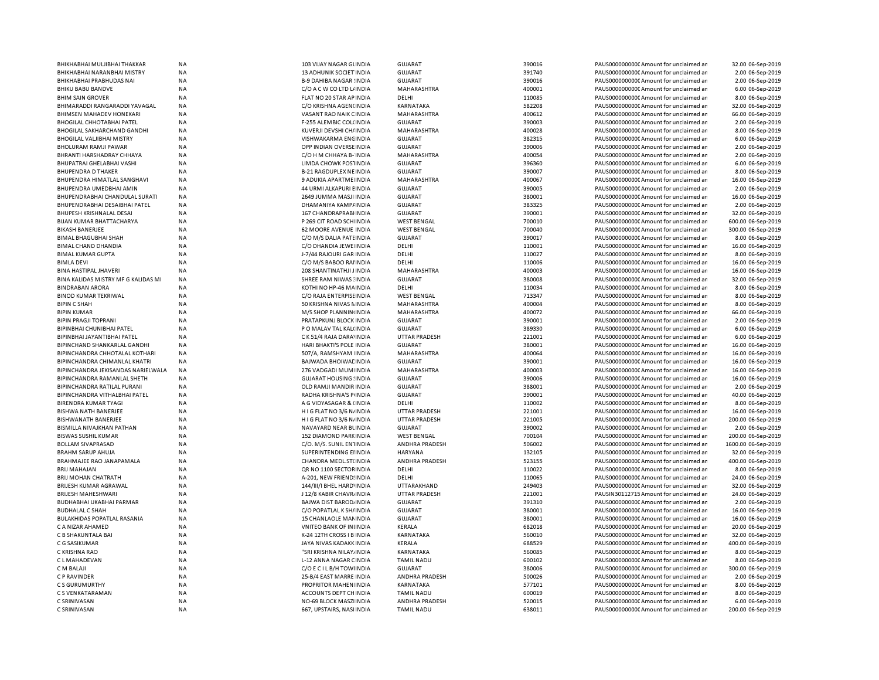| BHIKHABHAI MULJIBHAI THAKKAR                       | <b>NA</b>              | 103 VIJAY NAGAR GUNDIA                            | <b>GUJARAT</b>          | 390016           | PAUS0000000000 Amount for unclaimed ar                                           | 32.00 06-Sep-2019                     |
|----------------------------------------------------|------------------------|---------------------------------------------------|-------------------------|------------------|----------------------------------------------------------------------------------|---------------------------------------|
| BHIKHABHAI NARANBHAI MISTRY                        | <b>NA</b>              | 13 ADHUNIK SOCIET INDIA                           | <b>GUJARAT</b>          | 391740           | PAUS0000000000 Amount for unclaimed ar                                           | 2.00 06-Sep-2019                      |
| BHIKHABHAI PRABHUDAS NAI                           | <b>NA</b>              | <b>B-9 DAHIBA NAGAR INDIA</b>                     | <b>GUJARAT</b>          | 390016           | PAUS0000000000 Amount for unclaimed ar                                           | 2.00 06-Sep-2019                      |
| BHIKU BABU BANDVE                                  | <b>NA</b>              | C/O A C W CO LTD L/ INDIA                         | MAHARASHTRA             | 400001           | PAUS0000000000 Amount for unclaimed ar                                           | 6.00 06-Sep-2019                      |
| <b>BHIM SAIN GROVER</b>                            | <b>NA</b>              | FLAT NO 20 STAR AP INDIA                          | DELHI                   | 110085           | PAUS0000000000 Amount for unclaimed ar                                           | 8.00 06-Sep-2019                      |
| BHIMARADDI RANGARADDI YAVAGAL                      | <b>NA</b>              | C/O KRISHNA AGEN(INDIA                            | KARNATAKA               | 582208           | PAUS0000000000CAmount for unclaimed ar                                           | 32.00 06-Sep-2019                     |
| <b>BHIMSEN MAHADEV HONEKARI</b>                    | NA                     | VASANT RAO NAIK CINDIA                            | MAHARASHTRA             | 400612           | PAUS0000000000 Amount for unclaimed ar                                           | 66.00 06-Sep-2019                     |
| <b>BHOGILAL CHHOTABHAI PATEL</b>                   | NA                     | F-255 ALEMBIC COL(INDIA                           | <b>GUJARAT</b>          | 390003           | PAUS0000000000 Amount for unclaimed ar                                           | 2.00 06-Sep-2019                      |
| BHOGILAL SAKHARCHAND GANDHI                        | NA                     | KUVERJI DEVSHI CH/ INDIA                          | MAHARASHTRA             | 400028           | PAUS0000000000 Amount for unclaimed ar                                           | 8.00 06-Sep-2019                      |
| <b>BHOGILAL VALJIBHAI MISTRY</b>                   | <b>NA</b>              | VISHWAKARMA ENCINDIA                              | GUJARAT                 | 382315           | PAUS0000000000 Amount for unclaimed ar                                           | 6.00 06-Sep-2019                      |
| BHOLURAM RAMJI PAWAR                               | <b>NA</b>              | OPP INDIAN OVERSE INDIA                           | <b>GUJARAT</b>          | 390006           | PAUS0000000000 Amount for unclaimed ar                                           | 2.00 06-Sep-2019                      |
| BHRANTI HARSHADRAY CHHAYA                          | <b>NA</b>              | C/O H M CHHAYA B- INDIA                           | MAHARASHTRA             | 400054           | PAUS0000000000 Amount for unclaimed ar                                           | 2.00 06-Sep-2019                      |
| BHUPATRAI GHELABHAI VASHI                          | <b>NA</b>              | LIMDA CHOWK POSTINDIA                             | <b>GUJARAT</b>          | 396360           | PAUS0000000000 Amount for unclaimed ar                                           | 6.00 06-Sep-2019                      |
| <b>BHUPENDRA D THAKER</b>                          | <b>NA</b>              | <b>B-21 RAGDUPLEX NEINDIA</b>                     | <b>GUJARAT</b>          | 390007           | PAUS0000000000 Amount for unclaimed ar                                           | 8.00 06-Sep-2019                      |
| BHUPENDRA HIMATLAL SANGHAVI                        | <b>NA</b>              | 9 ADUKIA APARTME INDIA                            | MAHARASHTRA             | 400067           | PAUS0000000000 Amount for unclaimed ar                                           | 16.00 06-Sep-2019                     |
| BHUPENDRA UMEDBHAI AMIN                            | <b>NA</b>              | <b>44 URMI ALKAPURI EINDIA</b>                    | <b>GUJARAT</b>          | 390005           | PAUS0000000000 Amount for unclaimed ar                                           | 2.00 06-Sep-2019                      |
| BHUPENDRABHAI CHANDULAL SURATI                     | NA                     | 2649 JUMMA MASJI INDIA                            | <b>GUJARAT</b>          | 380001           | PAUS0000000000C Amount for unclaimed ar                                          | 16.00 06-Sep-2019                     |
| BHUPENDRABHAI DESAIBHAI PATEL                      | NA                     | DHAMANIYA KAMP/INDIA                              | <b>GUJARAT</b>          | 383325           | PAUS0000000000 Amount for unclaimed ar                                           | 2.00 06-Sep-2019                      |
| BHUPESH KRISHNALAL DESAI                           | <b>NA</b>              | 167 CHANDRAPRABI INDIA                            | GUJARAT                 | 390001           | PAUS0000000000C Amount for unclaimed ar                                          | 32.00 06-Sep-2019                     |
| BIJAN KUMAR BHATTACHARYA                           | <b>NA</b>              | P 269 CIT ROAD SCH INDIA                          | <b>WEST BENGAL</b>      | 700010           | PAUS0000000000 Amount for unclaimed ar                                           | 600.00 06-Sep-2019                    |
| <b>BIKASH BANERJEE</b>                             | NA                     | <b>62 MOORE AVENUE INDIA</b>                      | <b>WEST BENGAL</b>      | 700040           |                                                                                  | 300.00 06-Sep-2019                    |
|                                                    |                        |                                                   |                         |                  | PAUS0000000000C Amount for unclaimed ar                                          |                                       |
| <b>BIMAL BHAGUBHAI SHAH</b><br>BIMAL CHAND DHANDIA | <b>NA</b><br><b>NA</b> | C/O M/S DALIA PATEINDIA<br>C/O DHANDIA JEWE INDIA | <b>GUJARAT</b><br>DELHI | 390017<br>110001 | PAUS0000000000 Amount for unclaimed ar<br>PAUS0000000000CAmount for unclaimed ar | 8.00 06-Sep-2019<br>16.00 06-Sep-2019 |
|                                                    |                        |                                                   |                         |                  |                                                                                  |                                       |
| <b>BIMAL KUMAR GUPTA</b>                           | <b>NA</b>              | J-7/44 RAJOURI GAR INDIA                          | DELHI                   | 110027           | PAUS0000000000 Amount for unclaimed ar                                           | 8.00 06-Sep-2019                      |
| <b>BIMLA DEVI</b>                                  | NA                     | C/O M/S BABOO RAI INDIA                           | DELHI                   | 110006           | PAUS0000000000 Amount for unclaimed ar                                           | 16.00 06-Sep-2019                     |
| <b>BINA HASTIPAL JHAVERI</b>                       | <b>NA</b>              | 208 SHANTINATHJI JINDIA                           | MAHARASHTRA             | 400003           | PAUS0000000000CAmount for unclaimed ar                                           | 16.00 06-Sep-2019                     |
| BINA KALIDAS MISTRY MF G KALIDAS MI                | <b>NA</b>              | <b>SHREE RAM NIWAS : INDIA</b>                    | <b>GUJARAT</b>          | 380008           | PAUS0000000000CAmount for unclaimed ar                                           | 32.00 06-Sep-2019                     |
| <b>BINDRABAN ARORA</b>                             | <b>NA</b>              | KOTHI NO HP-46 MAINDIA                            | DELHI                   | 110034           | PAUS0000000000CAmount for unclaimed ar                                           | 8.00 06-Sep-2019                      |
| <b>BINOD KUMAR TEKRIWAL</b>                        | <b>NA</b>              | C/O RAJA ENTERPISE INDIA                          | <b>WEST BENGAL</b>      | 713347           | PAUS0000000000 Amount for unclaimed ar                                           | 8.00 06-Sep-2019                      |
| <b>BIPIN C SHAH</b>                                | <b>NA</b>              | 50 KRISHNA NIVAS NINDIA                           | MAHARASHTRA             | 400004           | PAUS0000000000C Amount for unclaimed ar                                          | 8.00 06-Sep-2019                      |
| <b>BIPIN KUMAR</b>                                 | <b>NA</b>              | M/S SHOP PLANNIN INDIA                            | <b>MAHARASHTRA</b>      | 400072           | PAUS0000000000 Amount for unclaimed ar                                           | 66.00 06-Sep-2019                     |
| <b>BIPIN PRAGJI TOPRANI</b>                        | <b>NA</b>              | PRATAPKUNJ BLOCK INDIA                            | <b>GUJARAT</b>          | 390001           | PAUS0000000000C Amount for unclaimed ar                                          | 2.00 06-Sep-2019                      |
| <b>BIPINBHAI CHUNIBHAI PATEL</b>                   | <b>NA</b>              | P O MALAV TAL KAL(INDIA                           | <b>GUJARAT</b>          | 389330           | PAUS0000000000 Amount for unclaimed ar                                           | 6.00 06-Sep-2019                      |
| BIPINBHAI JAYANTIBHAI PATEL                        | <b>NA</b>              | C K 51/4 RAJA DARA' INDIA                         | <b>UTTAR PRADESH</b>    | 221001           | PAUS0000000000C Amount for unclaimed ar                                          | 6.00 06-Sep-2019                      |
| BIPINCHAND SHANKARLAL GANDHI                       | <b>NA</b>              | HARI BHAKTI'S POLE INDIA                          | <b>GUJARAT</b>          | 380001           | PAUS0000000000 Amount for unclaimed ar                                           | 16.00 06-Sep-2019                     |
| BIPINCHANDRA CHHOTALAL KOTHARI                     | <b>NA</b>              | 507/A, RAMSHYAM INDIA                             | MAHARASHTRA             | 400064           | PAUS0000000000 Amount for unclaimed ar                                           | 16.00 06-Sep-2019                     |
| BIPINCHANDRA CHIMANLAL KHATRI                      | NA                     | BAJWADA BHOIWAL INDIA                             | <b>GUJARAT</b>          | 390001           | PAUS0000000000 Amount for unclaimed ar                                           | 16.00 06-Sep-2019                     |
| BIPINCHANDRA JEKISANDAS NARIELWALA                 | <b>NA</b>              | 276 VADGADI MUM INDIA                             | MAHARASHTRA             | 400003           | PAUS0000000000 Amount for unclaimed ar                                           | 16.00 06-Sep-2019                     |
| BIPINCHANDRA RAMANLAL SHETH                        | NA                     | <b>GUJARAT HOUSING ! INDIA</b>                    | <b>GUJARAT</b>          | 390006           | PAUS0000000000 Amount for unclaimed ar                                           | 16.00 06-Sep-2019                     |
| BIPINCHANDRA RATILAL PURANI                        | <b>NA</b>              | OLD RAMJI MANDIR INDIA                            | <b>GUJARAT</b>          | 388001           | PAUS0000000000CAmount for unclaimed ar                                           | 2.00 06-Sep-2019                      |
| BIPINCHANDRA VITHALBHAI PATEL                      | <b>NA</b>              | <b>RADHA KRISHNA'S PINDIA</b>                     | <b>GUJARAT</b>          | 390001           | PAUS0000000000 Amount for unclaimed ar                                           | 40.00 06-Sep-2019                     |
| <b>BIRENDRA KUMAR TYAGI</b>                        | <b>NA</b>              | A G VIDYASAGAR & (INDIA                           | DELHI                   | 110002           | PAUS0000000000 Amount for unclaimed ar                                           | 8.00 06-Sep-2019                      |
| BISHWA NATH BANERJEE                               | <b>NA</b>              | H I G FLAT NO 3/6 N/ INDIA                        | <b>UTTAR PRADESH</b>    | 221001           | PAUS0000000000 Amount for unclaimed ar                                           | 16.00 06-Sep-2019                     |
| <b>BISHWANATH BANERJEE</b>                         | <b>NA</b>              | HIG FLAT NO 3/6 N/INDIA                           | <b>UTTAR PRADESH</b>    | 221005           | PAUS0000000000CAmount for unclaimed an                                           | 200.00 06-Sep-2019                    |
| BISMILLA NIVAJKHAN PATHAN                          | <b>NA</b>              | NAVAYARD NEAR BLINDIA                             | <b>GUJARAT</b>          | 390002           | PAUS0000000000 Amount for unclaimed ar                                           | 2.00 06-Sep-2019                      |
| <b>BISWAS SUSHIL KUMAR</b>                         | <b>NA</b>              | <b>152 DIAMOND PARKINDIA</b>                      | <b>WEST BENGAL</b>      | 700104           | PAUS0000000000 Amount for unclaimed ar                                           | 200.00 06-Sep-2019                    |
| <b>BOLLAM SIVAPRASAD</b>                           | <b>NA</b>              | C/O. M/S. SUNIL ENTINDIA                          | ANDHRA PRADESH          | 506002           | PAUS0000000000 Amount for unclaimed ar                                           | 1600.00 06-Sep-2019                   |
| BRAHM SARUP AHUJA                                  | <b>NA</b>              | SUPERINTENDING EIINDIA                            | <b>HARYANA</b>          | 132105           | PAUS0000000000 Amount for unclaimed ar                                           | 32.00 06-Sep-2019                     |
| BRAHMAJEE RAO JANAPAMALA                           | <b>NA</b>              | CHANDRA MEDL.ST(INDIA                             | ANDHRA PRADESH          | 523155           | PAUS0000000000 Amount for unclaimed ar                                           | 400.00 06-Sep-2019                    |
| <b>BRIJ MAHAJAN</b>                                | <b>NA</b>              | QR NO 1100 SECTOR INDIA                           | DELHI                   | 110022           | PAUS0000000000 Amount for unclaimed ar                                           | 8.00 06-Sep-2019                      |
| BRIJ MOHAN CHATRATH                                | NA                     | A-201, NEW FRIEND: INDIA                          | DELHI                   | 110065           | PAUS0000000000 Amount for unclaimed ar                                           | 24.00 06-Sep-2019                     |
| BRIJESH KUMAR AGRAWAL                              | <b>NA</b>              | 144/III/I BHEL HARD' INDIA                        | UTTARAKHAND             | 249403           | PAUS0000000000 Amount for unclaimed ar                                           | 32.00 06-Sep-2019                     |
| <b>BRIJESH MAHESHWARI</b>                          | <b>NA</b>              | J 12/8 KABIR CHAVR INDIA                          | <b>UTTAR PRADESH</b>    | 221001           | PAUSIN30112715 Amount for unclaimed ar                                           | 24.00 06-Sep-2019                     |
| BUDHABHAI UKABHAI PARMAR                           | <b>NA</b>              | <b>BAJWA DIST BAROD, INDIA</b>                    | <b>GUJARAT</b>          | 391310           | PAUS0000000000 Amount for unclaimed ar                                           | 2.00 06-Sep-2019                      |
| <b>BUDHALAL C SHAH</b>                             | <b>NA</b>              | C/O POPATLAL K SH/ INDIA                          | <b>GUJARAT</b>          | 380001           | PAUS00000000000 Amount for unclaimed ar                                          | 16.00 06-Sep-2019                     |
|                                                    |                        |                                                   |                         |                  |                                                                                  |                                       |
| BULAKHIDAS POPATLAL RASANIA<br>C A NIZAR AHAMED    | <b>NA</b><br><b>NA</b> | 15 CHANLAOLE MANINDIA                             | <b>GUJARAT</b>          | 380001           | PAUS0000000000 Amount for unclaimed ar                                           | 16.00 06-Sep-2019                     |
|                                                    |                        | VNITEO BANK OF INIINDIA                           | KERALA                  | 682018           | PAUS00000000000 Amount for unclaimed ar                                          | 20.00 06-Sep-2019                     |
| C B SHAKUNTALA BAI                                 | <b>NA</b>              | K-24 12TH CROSS I B INDIA                         | KARNATAKA               | 560010           | PAUS0000000000 Amount for unclaimed ar                                           | 32.00 06-Sep-2019                     |
| C G SASIKUMAR                                      | <b>NA</b>              | JAYA NIVAS KADAKK INDIA                           | KERALA                  | 688529           | PAUS0000000000 Amount for unclaimed ar                                           | 400.00 06-Sep-2019                    |
| C KRISHNA RAO                                      | NA                     | "SRI KRISHNA NILAY, INDIA                         | KARNATAKA               | 560085           | PAUS0000000000 Amount for unclaimed ar                                           | 8.00 06-Sep-2019                      |
| C L MAHADEVAN                                      | <b>NA</b>              | L-12 ANNA NAGAR CINDIA                            | <b>TAMIL NADU</b>       | 600102           | PAUS0000000000 Amount for unclaimed ar                                           | 8.00 06-Sep-2019                      |
| C M BALAJI                                         | <b>NA</b>              | C/O E C I L B/H TOWINDIA                          | GUJARAT                 | 380006           | PAUS0000000000C Amount for unclaimed ar                                          | 300.00 06-Sep-2019                    |
| C P RAVINDER                                       | NA                     | 25-B/4 EAST MARRE INDIA                           | ANDHRA PRADESH          | 500026           | PAUS0000000000 Amount for unclaimed ar                                           | 2.00 06-Sep-2019                      |
| C S GURUMURTHY                                     | NA                     | PROPRITOR MAHEN INDIA                             | <b>KARNATAKA</b>        | 577101           | PAUS0000000000 Amount for unclaimed ar                                           | 8.00 06-Sep-2019                      |
| C S VENKATARAMAN                                   | <b>NA</b>              | ACCOUNTS DEPT CHINDIA                             | <b>TAMIL NADU</b>       | 600019           | PAUS0000000000 Amount for unclaimed ar                                           | 8.00 06-Sep-2019                      |
| C SRINIVASAN                                       | <b>NA</b>              | NO-69 BLOCK MASZI INDIA                           | ANDHRA PRADESH          | 520015           | PAUS0000000000CAmount for unclaimed ar                                           | 6.00 06-Sep-2019                      |
| C SRINIVASAN                                       | <b>NA</b>              | 667, UPSTAIRS, NASI INDIA                         | <b>TAMIL NADU</b>       | 638011           | PAUS0000000000 Amount for unclaimed ar                                           | 200.00 06-Sep-2019                    |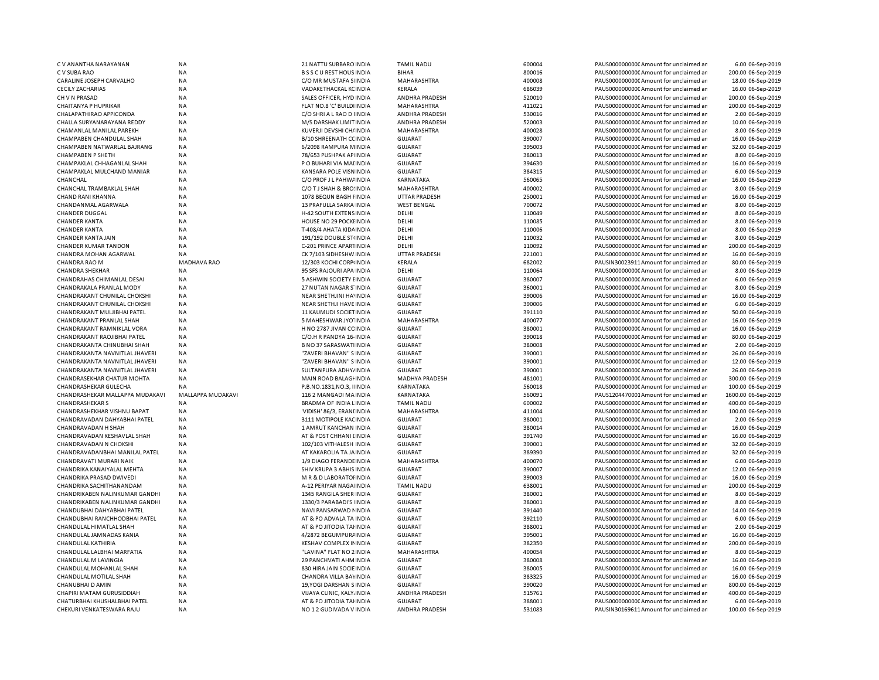| C V ANANTHA NARAYANAN                                     | <b>NA</b>              | <b>21 NATTU SUBBARO INDIA</b>                     | <b>TAMIL NADU</b>         | 600004           | PAUS0000000000 Amount for unclaimed ar                                           | 6.00 06-Sep-2019                       |
|-----------------------------------------------------------|------------------------|---------------------------------------------------|---------------------------|------------------|----------------------------------------------------------------------------------|----------------------------------------|
| C V SUBA RAO                                              | <b>NA</b>              | <b>BSSCUREST HOUS INDIA</b>                       | <b>BIHAR</b>              | 800016           | PAUS0000000000 Amount for unclaimed ar                                           | 200.00 06-Sep-2019                     |
| CARALINE JOSEPH CARVALHO                                  | <b>NA</b>              | C/O MR MUSTAFA S INDIA                            | MAHARASHTRA               | 400008           | PAUS0000000000 Amount for unclaimed ar                                           | 18.00 06-Sep-2019                      |
| <b>CECILY ZACHARIAS</b>                                   | <b>NA</b>              | VADAKETHACKAL KCINDIA                             | KERALA                    | 686039           | PAUS0000000000CAmount for unclaimed an                                           | 16.00 06-Sep-2019                      |
| CH V N PRASAD                                             | ΝA                     | SALES OFFICER, HYD INDIA                          | ANDHRA PRADESH            | 520010           | PAUS0000000000 Amount for unclaimed ar                                           | 200.00 06-Sep-2019                     |
| CHAITANYA P HUPRIKAR                                      | <b>NA</b>              | FLAT NO.8 'C' BUILDI INDIA                        | MAHARASHTRA               | 411021           | PAUS0000000000CAmount for unclaimed ar                                           | 200.00 06-Sep-2019                     |
| CHALAPATHIRAO APPICONDA                                   | ΝA                     | C/O SHRI A L RAO D I INDIA                        | ANDHRA PRADESH            | 530016           | PAUS00000000000Amount for unclaimed ar                                           | 2.00 06-Sep-2019                       |
| CHALLA SURYANARAYANA REDDY                                | <b>NA</b>              | M/S DARSHAK LIMIT INDIA                           | ANDHRA PRADESH            | 520003           | PAUS0000000000CAmount for unclaimed ar                                           | 10.00 06-Sep-2019                      |
| CHAMANLAL MANILAL PAREKH                                  | <b>NA</b>              | KUVERJI DEVSHI CH/ INDIA                          | MAHARASHTRA               | 400028           | PAUS0000000000CAmount for unclaimed ar                                           | 8.00 06-Sep-2019                       |
| CHAMPABEN CHANDULAL SHAH                                  | <b>NA</b>              | <b>B/10 SHREENATH CCINDIA</b>                     | <b>GUJARAT</b>            | 390007           | PAUS0000000000 Amount for unclaimed ar                                           | 16.00 06-Sep-2019                      |
|                                                           |                        |                                                   |                           |                  |                                                                                  |                                        |
| CHAMPABEN NATWARLAL BAJRANG                               | <b>NA</b>              | 6/2098 RAMPURA MINDIA                             | <b>GUJARAT</b>            | 395003           | PAUS0000000000 Amount for unclaimed ar                                           | 32.00 06-Sep-2019                      |
| <b>CHAMPABEN P SHETH</b>                                  | <b>NA</b>              | 78/653 PUSHPAK AP INDIA                           | <b>GUJARAT</b>            | 380013           | PAUS0000000000CAmount for unclaimed ar                                           | 8.00 06-Sep-2019                       |
| CHAMPAKLAL CHHAGANLAL SHAH                                | <b>NA</b>              | P O BUHARI VIA MAI INDIA                          | <b>GUJARAT</b>            | 394630           | PAUS0000000000 Amount for unclaimed ar                                           | 16.00 06-Sep-2019                      |
| CHAMPAKLAL MULCHAND MANIAR                                | <b>NA</b>              | KANSARA POLE VISNINDIA                            | <b>GUJARAT</b>            | 384315           | PAUS0000000000CAmount for unclaimed ar                                           | 6.00 06-Sep-2019                       |
| CHANCHAL                                                  | <b>NA</b>              | C/O PROF J L PAHW/ INDIA                          | KARNATAKA                 | 560065           | PAUS0000000000 Amount for unclaimed ar                                           | 16.00 06-Sep-2019                      |
| CHANCHAL TRAMBAKLAL SHAH                                  | <b>NA</b>              | C/O T J SHAH & BRO: INDIA                         | MAHARASHTRA               | 400002           | PAUS0000000000CAmount for unclaimed ar                                           | 8.00 06-Sep-2019                       |
| <b>CHAND RANI KHANNA</b>                                  | <b>NA</b>              | 1078 BEQUN BAGH FINDIA                            | <b>UTTAR PRADESH</b>      | 250001           | PAUS0000000000CAmount for unclaimed ar                                           | 16.00 06-Sep-2019                      |
| CHANDANMAL AGARWALA                                       | <b>NA</b>              | 13 PRAFULLA SARKA INDIA                           | <b>WEST BENGAL</b>        | 700072           | PAUS0000000000 Amount for unclaimed ar                                           | 8.00 06-Sep-2019                       |
| CHANDER DUGGAL                                            | <b>NA</b>              | H-42 SOUTH EXTENS INDIA                           | DELHI                     | 110049           | PAUS0000000000 Amount for unclaimed ar                                           | 8.00 06-Sep-2019                       |
| <b>CHANDER KANTA</b>                                      | <b>NA</b>              | HOUSE NO 29 POCKLINDIA                            | DELHI                     | 110085           | PAUS0000000000 Amount for unclaimed ar                                           | 8.00 06-Sep-2019                       |
| <b>CHANDER KANTA</b>                                      | <b>NA</b>              | T-408/4 AHATA KIDA INDIA                          | DELHI                     | 110006           | PAUS0000000000 Amount for unclaimed ar                                           | 8.00 06-Sep-2019                       |
| CHANDER KANTA JAIN                                        | <b>NA</b>              | 191/192 DOUBLE ST(INDIA                           | DELHI                     | 110032           | PAUS0000000000 Amount for unclaimed ar                                           | 8.00 06-Sep-2019                       |
| <b>CHANDER KUMAR TANDON</b>                               | <b>NA</b>              | C-201 PRINCE APARTINDIA                           | DELHI                     | 110092           | PAUS0000000000 Amount for unclaimed ar                                           | 200.00 06-Sep-2019                     |
|                                                           |                        |                                                   |                           |                  |                                                                                  |                                        |
| CHANDRA MOHAN AGARWAL                                     | <b>NA</b>              | CK 7/103 SIDHESHW INDIA                           | <b>UTTAR PRADESH</b>      | 221001           | PAUS0000000000 Amount for unclaimed ar                                           | 16.00 06-Sep-2019                      |
| <b>CHANDRA RAO M</b>                                      | <b>MADHAVA RAO</b>     | 12/303 KOCHI CORPINDIA                            | KERALA                    | 682002           | PAUSIN30023911 Amount for unclaimed ar                                           | 80.00 06-Sep-2019                      |
| <b>CHANDRA SHEKHAR</b>                                    | <b>NA</b>              | 95 SFS RAJOURI APA INDIA                          | DELHI                     | 110064           | PAUS0000000000 Amount for unclaimed ar                                           | 8.00 06-Sep-2019                       |
| CHANDRAHAS CHIMANLAL DESAI                                | <b>NA</b>              | 5 ASHWIN SOCIETY I INDIA                          | <b>GUJARAT</b>            | 380007           | PAUS0000000000CAmount for unclaimed ar                                           | 6.00 06-Sep-2019                       |
| CHANDRAKALA PRANLAL MODY                                  | ΝA                     | 27 NUTAN NAGAR S'INDIA                            | GUJARAT                   | 360001           | PAUS0000000000 Amount for unclaimed ar                                           | 8.00 06-Sep-2019                       |
| CHANDRAKANT CHUNILAL CHOKSHI                              | <b>NA</b>              | NEAR SHETHJINI HA' INDIA                          | <b>GUJARAT</b>            | 390006           | PAUS0000000000CAmount for unclaimed ar                                           | 16.00 06-Sep-2019                      |
| CHANDRAKANT CHUNILAL CHOKSHI                              | <b>NA</b>              | NEAR SHETHJI HAVE INDIA                           | <b>GUJARAT</b>            | 390006           | PAUS0000000000C Amount for unclaimed ar                                          | 6.00 06-Sep-2019                       |
| CHANDRAKANT MULJIBHAI PATEL                               | <b>NA</b>              | 11 KAUMUDI SOCIETINDIA                            | <b>GUJARAT</b>            | 391110           | PAUS0000000000CAmount for unclaimed ar                                           | 50.00 06-Sep-2019                      |
| CHANDRAKANT PRANLAL SHAH                                  | <b>NA</b>              | 5 MAHESHWAR JYO' INDIA                            | MAHARASHTRA               | 400077           | PAUS00000000000Amount for unclaimed ar                                           | 16.00 06-Sep-2019                      |
| CHANDRAKANT RAMNIKLAL VORA                                | <b>NA</b>              | H NO 2787 JIVAN CC INDIA                          | GUJARAT                   | 380001           | PAUS0000000000CAmount for unclaimed ar                                           | 16.00 06-Sep-2019                      |
| CHANDRAKANT RAOJIBHAI PATEL                               | <b>NA</b>              | C/O.H R PANDYA 16- INDIA                          | <b>GUJARAT</b>            | 390018           | PAUS0000000000 Amount for unclaimed ar                                           | 80.00 06-Sep-2019                      |
| CHANDRAKANTA CHINUBHAI SHAH                               | <b>NA</b>              | <b>B NO 37 SARASWATI INDIA</b>                    | <b>GUJARAT</b>            | 380008           | PAUS0000000000CAmount for unclaimed ar                                           | 2.00 06-Sep-2019                       |
| CHANDRAKANTA NAVNITLAL JHAVERI                            | <b>NA</b>              |                                                   | <b>GUJARAT</b>            | 390001           |                                                                                  | 26.00 06-Sep-2019                      |
|                                                           |                        | "ZAVERI BHAVAN" S INDIA                           |                           |                  | PAUS0000000000 Amount for unclaimed ar                                           |                                        |
| CHANDRAKANTA NAVNITLAL JHAVERI                            | <b>NA</b>              | "ZAVERI BHAVAN" S INDIA                           | <b>GUJARAT</b>            | 390001           | PAUS0000000000 Amount for unclaimed ar                                           | 12.00 06-Sep-2019                      |
| CHANDRAKANTA NAVNITLAL JHAVERI                            | <b>NA</b>              | SULTANPURA ADHY/INDIA                             | <b>GUJARAT</b>            | 390001           | PAUS0000000000 Amount for unclaimed ar                                           | 26.00 06-Sep-2019                      |
| CHANDRASEKHAR CHATUR MOHTA                                | <b>NA</b>              | MAIN ROAD BALAGHNDIA                              | MADHYA PRADESH            | 481001           | PAUS0000000000 Amount for unclaimed ar                                           | 300.00 06-Sep-2019                     |
| CHANDRASHEKAR GULECHA                                     | <b>NA</b>              | P.B.NO.1831,NO.3, I INDIA                         | <b>KARNATAKA</b>          | 560018           | PAUS0000000000CAmount for unclaimed an                                           | 100.00 06-Sep-2019                     |
| CHANDRASHEKAR MALLAPPA MUDAKAVI                           | MALLAPPA MUDAKAVI      | 116 2 MANGADI MA INDIA                            | KARNATAKA                 | 560091           | PAUS1204470001Amount for unclaimed ar                                            | 1600.00 06-Sep-2019                    |
| <b>CHANDRASHEKAR S</b>                                    | <b>NA</b>              | BRADMA OF INDIA LINDIA                            | <b>TAMIL NADU</b>         | 600002           | PAUS0000000000 Amount for unclaimed ar                                           | 400.00 06-Sep-2019                     |
| CHANDRASHEKHAR VISHNU BAPAT                               | ΝA                     | 'VIDISH' 86/3, ERANI INDIA                        | MAHARASHTRA               | 411004           | PAUS0000000000 Amount for unclaimed ar                                           | 100.00 06-Sep-2019                     |
| CHANDRAVADAN DAHYABHAI PATEL                              | NA                     | 3111 MOTIPOLE KACINDIA                            | <b>GUJARAT</b>            | 380001           | PAUS0000000000 Amount for unclaimed ar                                           | 2.00 06-Sep-2019                       |
| CHANDRAVADAN H SHAH                                       | <b>NA</b>              | 1 AMRUT KANCHAN INDIA                             | GUJARAT                   | 380014           | PAUS00000000000Amount for unclaimed ar                                           | 16.00 06-Sep-2019                      |
| CHANDRAVADAN KESHAVLAL SHAH                               | <b>NA</b>              | AT & POST CHHANI [INDIA                           | <b>GUJARAT</b>            | 391740           | PAUS0000000000 Amount for unclaimed ar                                           | 16.00 06-Sep-2019                      |
| <b>CHANDRAVADAN N CHOKSHI</b>                             | ΝA                     | 102/103 VITHALESH INDIA                           | GUJARAT                   | 390001           | PAUS0000000000CAmount for unclaimed ar                                           | 32.00 06-Sep-2019                      |
| CHANDRAVADANBHAI MANILAL PATEL                            | <b>NA</b>              | AT KAKAROLIA TA JA INDIA                          | <b>GUJARAT</b>            | 389390           | PAUS0000000000CAmount for unclaimed ar                                           | 32.00 06-Sep-2019                      |
| CHANDRAVATI MURARI NAIK                                   | <b>NA</b>              | 1/9 DIAGO FERANDE INDIA                           | MAHARASHTRA               | 400070           | PAUS0000000000CAmount for unclaimed ar                                           | 6.00 06-Sep-2019                       |
|                                                           |                        |                                                   |                           |                  |                                                                                  |                                        |
| CHANDRIKA KANAIYALAL MEHTA                                | <b>NA</b>              | SHIV KRUPA 3 ABHIS INDIA                          | <b>GUJARAT</b>            | 390007           | PAUS0000000000CAmount for unclaimed ar                                           | 12.00 06-Sep-2019                      |
| CHANDRIKA PRASAD DWIVEDI                                  | <b>NA</b>              | M R & D LABORATOHNDIA                             | <b>GUJARAT</b>            | 390003           | PAUS00000000000Amount for unclaimed ar                                           | 16.00 06-Sep-2019                      |
| CHANDRIKA SACHITHANANDAM                                  | <b>NA</b>              | A-12 PERIYAR NAGA INDIA                           | <b>TAMIL NADU</b>         | 638001           | PAUS0000000000CAmount for unclaimed ar                                           | 200.00 06-Sep-2019                     |
| CHANDRIKABEN NALINKUMAR GANDHI                            | <b>NA</b>              | 1345 RANGILA SHER INDIA                           | <b>GUJARAT</b>            | 380001           | PAUS0000000000CAmount for unclaimed ar                                           | 8.00 06-Sep-2019                       |
| CHANDRIKABEN NALINKUMAR GANDHI                            | <b>NA</b>              | 1330/3 PARABADI'S INDIA                           | <b>GUJARAT</b>            | 380001           | PAUS0000000000CAmount for unclaimed ar                                           | 8.00 06-Sep-2019                       |
| CHANDUBHAI DAHYABHAI PATEL                                | <b>NA</b>              | NAVI PANSARWAD NINDIA                             | <b>GUJARAT</b>            | 391440           | PAUS0000000000 Amount for unclaimed ar                                           | 14.00 06-Sep-2019                      |
| CHANDUBHAI RANCHHODBHAI PATEL                             | <b>NA</b>              | AT & PO ADVALA TA INDIA                           | <b>GUJARAT</b>            | 392110           | PAUS0000000000 Amount for unclaimed ar                                           | 6.00 06-Sep-2019                       |
| CHANDULAL HIMATLAL SHAH                                   | <b>NA</b>              | AT & PO JITODIA TAHNDIA                           | <b>GUJARAT</b>            | 388001           | PAUS0000000000 Amount for unclaimed ar                                           | 2.00 06-Sep-2019                       |
| CHANDULAL JAMNADAS KANIA                                  | <b>NA</b>              | 4/2872 BEGUMPUR/INDIA                             | <b>GUJARAT</b>            | 395001           | PAUS0000000000 Amount for unclaimed ar                                           | 16.00 06-Sep-2019                      |
| <b>CHANDULAL KATHIRIA</b>                                 | <b>NA</b>              | <b>KESHAV COMPLEX IN INDIA</b>                    | <b>GUJARAT</b>            | 382350           | PAUS0000000000 Amount for unclaimed ar                                           | 200.00 06-Sep-2019                     |
| CHANDULAL LALBHAI MARFATIA                                | <b>NA</b>              | "LAVINA" FLAT NO 2 INDIA                          | MAHARASHTRA               | 400054           | PAUS0000000000 Amount for unclaimed ar                                           | 8.00 06-Sep-2019                       |
| CHANDULAL M LAVINGIA                                      | <b>NA</b>              | 29 PANCHVATI AHM INDIA                            | <b>GUJARAT</b>            | 380008           | PAUS0000000000 Amount for unclaimed ar                                           | 16.00 06-Sep-2019                      |
|                                                           |                        |                                                   |                           | 380005           |                                                                                  |                                        |
| CHANDULAL MOHANLAL SHAH                                   | <b>NA</b>              | 830 HIRA JAIN SOCIE INDIA                         | <b>GUJARAT</b>            |                  | PAUS0000000000 Amount for unclaimed ar                                           | 16.00 06-Sep-2019                      |
| CHANDULAL MOTILAL SHAH                                    | <b>NA</b>              | CHANDRA VILLA BAYINDIA                            | <b>GUJARAT</b>            | 383325           | PAUS0000000000 Amount for unclaimed ar                                           | 16.00 06-Sep-2019                      |
|                                                           |                        |                                                   |                           |                  |                                                                                  |                                        |
| <b>CHANUBHAI D AMIN</b>                                   | <b>NA</b>              | 19, YOGI DARSHAN S INDIA                          | GUJARAT                   | 390020           | PAUS0000000000CAmount for unclaimed ar                                           | 800.00 06-Sep-2019                     |
| CHAPIRI MATAM GURUSIDDIAH                                 | <b>NA</b>              | VIJAYA CLINIC, KALY INDIA                         | ANDHRA PRADESH            | 515761           | PAUS0000000000 Amount for unclaimed ar                                           | 400.00 06-Sep-2019                     |
| CHATURBHAI KHUSHALBHAI PATEL<br>CHEKURI VENKATESWARA RAJU | <b>NA</b><br><b>NA</b> | AT & PO JITODIA TAHNDIA<br>NO 12 GUDIVADA V INDIA | GUJARAT<br>ANDHRA PRADESH | 388001<br>531083 | PAUS0000000000 Amount for unclaimed ar<br>PAUSIN30169611 Amount for unclaimed ar | 6.00 06-Sep-2019<br>100.00 06-Sep-2019 |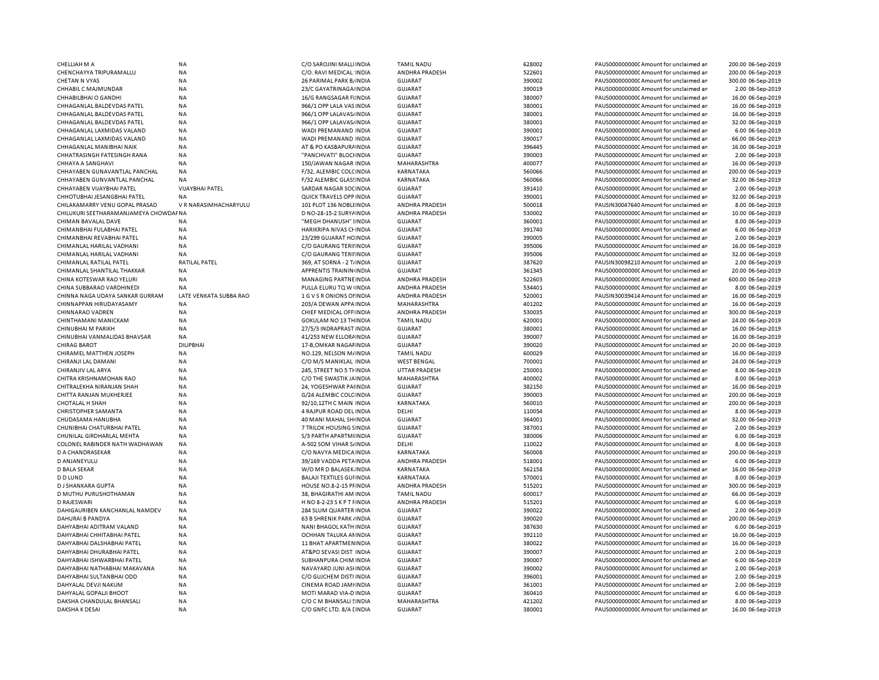| <b>CHELLIAH M A</b>                   | <b>NA</b>              | C/O SAROJINI MALLI INDIA         | <b>TAMIL NADU</b>    | 628002 | PAUS0000000000 Amount for unclaimed ar  | 200.00 06-Sep-2019 |
|---------------------------------------|------------------------|----------------------------------|----------------------|--------|-----------------------------------------|--------------------|
| CHENCHAYYA TRIPURAMALLU               | <b>NA</b>              | C/O. RAVI MEDICAL INDIA          | ANDHRA PRADESH       | 522601 | PAUS0000000000 Amount for unclaimed ar  | 200.00 06-Sep-2019 |
| <b>CHETAN N VYAS</b>                  | <b>NA</b>              | 26 PARIMAL PARK B/ INDIA         | <b>GUJARAT</b>       | 390002 | PAUS0000000000 Amount for unclaimed ar  | 300.00 06-Sep-2019 |
| CHHABIL C MAJMUNDAR                   | <b>NA</b>              | 23/C GAYATRINAGA INDIA           | <b>GUJARAT</b>       | 390019 | PAUS0000000000CAmount for unclaimed ar  | 2.00 06-Sep-2019   |
| CHHABILBHAI O GANDHI                  | <b>NA</b>              |                                  | <b>GUJARAT</b>       | 380007 | PAUS0000000000 Amount for unclaimed ar  |                    |
|                                       |                        | 16/G RANGSAGAR FIINDIA           |                      |        |                                         | 16.00 06-Sep-2019  |
| CHHAGANLAL BALDEVDAS PATEL            | <b>NA</b>              | 966/1 OPP LALA VAS INDIA         | GUJARAT              | 380001 | PAUS0000000000CAmount for unclaimed ar  | 16.00 06-Sep-2019  |
| CHHAGANLAL BALDEVDAS PATEL            | <b>NA</b>              | 966/1 OPP LALAVAS/ INDIA         | GUJARAT              | 380001 | PAUS0000000000Amount for unclaimed ar   | 16.00 06-Sep-2019  |
| CHHAGANLAL BALDEVDAS PATEL            | <b>NA</b>              | 966/1 OPP LALAVAS/ INDIA         | <b>GUJARAT</b>       | 380001 | PAUS0000000000CAmount for unclaimed ar  | 32.00 06-Sep-2019  |
| CHHAGANLAL LAXMIDAS VALAND            | <b>NA</b>              | WADI PREMANAND INDIA             | <b>GUJARAT</b>       | 390001 | PAUS0000000000 Amount for unclaimed ar  | 6.00 06-Sep-2019   |
| CHHAGANLAL LAXMIDAS VALAND            | <b>NA</b>              | WADI PREMANAND INDIA             | GUJARAT              | 390017 | PAUS00000000000 Amount for unclaimed ar | 66.00 06-Sep-2019  |
| CHHAGANLAL MANIBHAI NAIK              | <b>NA</b>              | AT & PO KASBAPURA INDIA          | <b>GUJARAT</b>       | 396445 | PAUS0000000000CAmount for unclaimed ar  | 16.00 06-Sep-2019  |
|                                       |                        |                                  |                      |        |                                         |                    |
| CHHATRASINGH FATESINGH RANA           | <b>NA</b>              | "PANCHVATI" BLOCHNDIA            | <b>GUJARAT</b>       | 390003 | PAUS0000000000 Amount for unclaimed ar  | 2.00 06-Sep-2019   |
| <b>CHHAYA A SANGHAVI</b>              | <b>NA</b>              | 150/JAWAN NAGAR INDIA            | MAHARASHTRA          | 400077 | PAUS0000000000 Amount for unclaimed ar  | 16.00 06-Sep-2019  |
| CHHAYABEN GUNAVANTLAL PANCHAL         | NA                     | F/32, ALEMBIC COLCINDIA          | KARNATAKA            | 560066 | PAUS0000000000 Amount for unclaimed ar  | 200.00 06-Sep-2019 |
| CHHAYABEN GUNVANTLAL PANCHAL          | <b>NA</b>              | F/32 ALEMBIC GLASSINDIA          | KARNATAKA            | 560066 | PAUS0000000000CAmount for unclaimed an  | 32.00 06-Sep-2019  |
| CHHAYABEN VIJAYBHAI PATEL             | <b>VIJAYBHAI PATEL</b> | SARDAR NAGAR SOCINDIA            | <b>GUJARAT</b>       | 391410 | PAUS0000000000 Amount for unclaimed ar  | 2.00 06-Sep-2019   |
| CHHOTUBHAI JESANGBHAI PATEL           | NA                     | QUICK TRAVELS OPP INDIA          | <b>GUJARAT</b>       | 390001 | PAUS0000000000 Amount for unclaimed ar  | 32.00 06-Sep-2019  |
|                                       |                        |                                  |                      |        |                                         |                    |
| CHILAKAMARRY VENU GOPAL PRASAD        | V R NARASIMHACHARYULU  | 101 PLOT 136 NOBLI INDIA         | ANDHRA PRADESH       | 500018 | PAUSIN30047640 Amount for unclaimed ar  | 8.00 06-Sep-2019   |
| CHILUKURI SEETHARAMANJAMEYA CHOWDAFNA |                        | D NO-28-15-2 SURYA INDIA         | ANDHRA PRADESH       | 530002 | PAUS00000000000 Amount for unclaimed ar | 10.00 06-Sep-2019  |
| CHIMAN BAVALAL DAVE                   | <b>NA</b>              | "MEGH DHANUSH" IINDIA            | GUJARAT              | 360001 | PAUS0000000000 Amount for unclaimed ar  | 8.00 06-Sep-2019   |
| CHIMANBHAI FULABHAI PATEL             | <b>NA</b>              | HARIKRIPA NIVAS CHINDIA          | <b>GUJARAT</b>       | 391740 | PAUS0000000000CAmount for unclaimed ar  | 6.00 06-Sep-2019   |
| CHIMANBHAI REVABHAI PATEL             | <b>NA</b>              | 23/299 GUJARAT HC INDIA          | GUJARAT              | 390005 | PAUS0000000000CAmount for unclaimed ar  | 2.00 06-Sep-2019   |
| CHIMANLAL HARILAL VADHANI             | <b>NA</b>              | C/O GAURANG TERIHNDIA            | GUJARAT              | 395006 | PAUS0000000000CAmount for unclaimed ar  | 16.00 06-Sep-2019  |
|                                       |                        |                                  |                      |        |                                         |                    |
| CHIMANLAL HARILAL VADHANI             | <b>NA</b>              | C/O GAURANG TERIHNDIA            | <b>GUJARAT</b>       | 395006 | PAUS0000000000CAmount for unclaimed ar  | 32.00 06-Sep-2019  |
| CHIMANLAL RATILAL PATEL               | <b>RATILAL PATEL</b>   | 369, AT SORNA - 2 T/INDIA        | <b>GUJARAT</b>       | 387620 | PAUSIN30098210 Amount for unclaimed ar  | 2.00 06-Sep-2019   |
| CHIMANLAL SHANTILAL THAKKAR           | <b>NA</b>              | APPRENTIS TRAININ INDIA          | <b>GUJARAT</b>       | 361345 | PAUS0000000000CAmount for unclaimed ar  | 20.00 06-Sep-2019  |
| CHINA KOTESWAR RAO YELURI             | <b>NA</b>              | MANAGING PARTNE INDIA            | ANDHRA PRADESH       | 522603 | PAUS00000000000 Amount for unclaimed ar | 600.00 06-Sep-2019 |
| CHINA SUBBARAO VARDHINEDI             | <b>NA</b>              | PULLA ELURU TQ W INDIA           | ANDHRA PRADESH       | 534401 | PAUS0000000000 Amount for unclaimed ar  | 8.00 06-Sep-2019   |
| CHINNA NAGA UDAYA SANKAR GURRAM       | LATE VENKATA SUBBA RAO | 1 G V S R ONIONS OF INDIA        | ANDHRA PRADESH       | 520001 | PAUSIN30039414 Amount for unclaimed ar  | 16.00 06-Sep-2019  |
| CHINNAPPAN HIRUDAYASAMY               | <b>NA</b>              |                                  |                      | 401202 | PAUS0000000000 Amount for unclaimed ar  | 16.00 06-Sep-2019  |
|                                       |                        | 203/A DEWAN APPAINDIA            | MAHARASHTRA          |        |                                         |                    |
| CHINNARAO VADREN                      | <b>NA</b>              | CHIEF MEDICAL OFF INDIA          | ANDHRA PRADESH       | 530035 | PAUS0000000000 Amount for unclaimed ar  | 300.00 06-Sep-2019 |
| CHINTHAMANI MANICKAM                  | <b>NA</b>              | <b>GOKULAM NO 13 THINDIA</b>     | <b>TAMIL NADU</b>    | 620001 | PAUS0000000000CAmount for unclaimed ar  | 24.00 06-Sep-2019  |
| CHINUBHAI M PARIKH                    | NA                     | 27/5/3 INDRAPRAST INDIA          | <b>GUJARAT</b>       | 380001 | PAUS0000000000 Amount for unclaimed ar  | 16.00 06-Sep-2019  |
| CHINUBHAI VANMALIDAS BHAVSAR          | <b>NA</b>              | 41/253 NEW ELLORAINDIA           | <b>GUJARAT</b>       | 390007 | PAUS0000000000 Amount for unclaimed ar  | 16.00 06-Sep-2019  |
| <b>CHIRAG BAROT</b>                   | DILIPBHAI              | 17-B, OMKAR NAGAF INDIA          | <b>GUJARAT</b>       | 390020 | PAUS0000000000 Amount for unclaimed ar  | 20.00 06-Sep-2019  |
| CHIRAMEL MATTHEN JOSEPH               | <b>NA</b>              | NO.129, NELSON M/INDIA           | <b>TAMIL NADU</b>    | 600029 | PAUS0000000000CAmount for unclaimed ar  | 16.00 06-Sep-2019  |
|                                       |                        |                                  |                      |        |                                         |                    |
| CHIRANJI LAL DAMANI                   | <b>NA</b>              | C/O M/S MANIKLAL INDIA           | <b>WEST BENGAL</b>   | 700001 | PAUS0000000000CAmount for unclaimed ar  | 24.00 06-Sep-2019  |
| CHIRANJIV LAL ARYA                    | <b>NA</b>              | 245, STREET NO 5 THINDIA         | <b>UTTAR PRADESH</b> | 250001 | PAUS0000000000CAmount for unclaimed ar  | 8.00 06-Sep-2019   |
| CHITRA KRISHNAMOHAN RAO               | <b>NA</b>              | C/O THE SWASTIK JAINDIA          | MAHARASHTRA          | 400002 | PAUS0000000000CAmount for unclaimed ar  | 8.00 06-Sep-2019   |
| CHITRALEKHA NIRANJAN SHAH             | <b>NA</b>              | 24. YOGESHWAR PAIINDIA           | <b>GUJARAT</b>       | 382150 | PAUS0000000000 Amount for unclaimed ar  | 16.00 06-Sep-2019  |
| CHITTA RANJAN MUKHERJEE               | <b>NA</b>              | G/24 ALEMBIC COLC INDIA          | <b>GUJARAT</b>       | 390003 | PAUS0000000000 Amount for unclaimed ar  | 200.00 06-Sep-2019 |
| <b>CHOTALAL H SHAH</b>                | <b>NA</b>              | 92/10,12TH C MAIN INDIA          | KARNATAKA            | 560010 | PAUS0000000000CAmount for unclaimed ar  | 200.00 06-Sep-2019 |
|                                       | <b>NA</b>              |                                  | DELHI                | 110054 |                                         | 8.00 06-Sep-2019   |
| <b>CHRISTOPHER SAMANTA</b>            |                        | 4 RAJPUR ROAD DEL INDIA          |                      |        | PAUS0000000000 Amount for unclaimed ar  |                    |
| CHUDASAMA HANUBHA                     | <b>NA</b>              | 40 MANI MAHAL SHI INDIA          | GUJARAT              | 364001 | PAUS00000000000 Amount for unclaimed ar | 32.00 06-Sep-2019  |
| CHUNIBHAI CHATURBHAI PATEL            | <b>NA</b>              | 7 TRILOK HOUSING SINDIA          | <b>GUJARAT</b>       | 387001 | PAUS0000000000 Amount for unclaimed ar  | 2.00 06-Sep-2019   |
| CHUNILAL GIRDHARLAL MEHTA             | <b>NA</b>              | S/3 PARTH APARTMIINDIA           | <b>GUJARAT</b>       | 380006 | PAUS00000000000 Amount for unclaimed ar | 6.00 06-Sep-2019   |
| COLONEL RABINDER NATH WADHAWAN        | <b>NA</b>              | A-502 SOM VIHAR S/INDIA          | DELHI                | 110022 | PAUS0000000000 Amount for unclaimed ar  | 8.00 06-Sep-2019   |
| D A CHANDRASEKAR                      | <b>NA</b>              | C/O NAVYA MEDICA INDIA           | KARNATAKA            | 560008 | PAUS0000000000 Amount for unclaimed ar  | 200.00 06-Sep-2019 |
| D ANJANEYULU                          | <b>NA</b>              | 39/169 VADDA PETAINDIA           | ANDHRA PRADESH       | 518001 | PAUS0000000000CAmount for unclaimed ar  | 6.00 06-Sep-2019   |
|                                       |                        |                                  |                      |        |                                         |                    |
| D BALA SEKAR                          | <b>NA</b>              | W/O MR D BALASEK INDIA           | KARNATAKA            | 562158 | PAUS0000000000 Amount for unclaimed ar  | 16.00 06-Sep-2019  |
| <b>D D LUND</b>                       | <b>NA</b>              | <b>BALAJI TEXTILES GUI INDIA</b> | KARNATAKA            | 570001 | PAUS0000000000 Amount for unclaimed ar  | 8.00 06-Sep-2019   |
| D J SHANKARA GUPTA                    | <b>NA</b>              | HOUSE NO.8-2-15 PFINDIA          | ANDHRA PRADESH       | 515201 | PAUS0000000000 Amount for unclaimed ar  | 300.00 06-Sep-2019 |
| D MUTHU PURUSHOTHAMAN                 | <b>NA</b>              | 38, BHAGIRATHI AM INDIA          | <b>TAMIL NADU</b>    | 600017 | PAUS0000000000 Amount for unclaimed ar  | 66.00 06-Sep-2019  |
| D RAJESWARI                           | <b>NA</b>              | H NO 8-2-23 S K P T FINDIA       | ANDHRA PRADESH       | 515201 | PAUS0000000000 Amount for unclaimed ar  | 6.00 06-Sep-2019   |
| DAHIGAURIBEN KANCHANLAL NAMDEV        | <b>NA</b>              | 284 SLUM QUARTER INDIA           | <b>GUJARAT</b>       | 390022 | PAUS0000000000 Amount for unclaimed ar  | 2.00 06-Sep-2019   |
|                                       |                        |                                  |                      |        |                                         |                    |
| DAHURAI B PANDYA                      | <b>NA</b>              | 63 B SHRENIK PARK / INDIA        | <b>GUJARAT</b>       | 390020 | PAUS0000000000CAmount for unclaimed ar  | 200.00 06-Sep-2019 |
| DAHYABHAI ADITRAM VALAND              | <b>NA</b>              | <b>NANI BHAGOL KATH INDIA</b>    | <b>GUJARAT</b>       | 387630 | PAUS0000000000 Amount for unclaimed ar  | 6.00 06-Sep-2019   |
| DAHYABHAI CHHITABHAI PATEL            | <b>NA</b>              | OCHHAN TALUKA ANINDIA            | <b>GUJARAT</b>       | 392110 | PAUS0000000000 Amount for unclaimed ar  | 16.00 06-Sep-2019  |
| DAHYABHAI DALSHABHAI PATEL            | <b>NA</b>              | 11 BHAT APARTMENINDIA            | <b>GUJARAT</b>       | 380022 | PAUS0000000000 Amount for unclaimed ar  | 16.00 06-Sep-2019  |
| DAHYABHAI DHURABHAI PATEL             | <b>NA</b>              | AT&PO SEVASI DIST INDIA          | <b>GUJARAT</b>       | 390007 | PAUS0000000000 Amount for unclaimed ar  | 2.00 06-Sep-2019   |
| DAHYABHAI ISHWARBHAI PATEL            | <b>NA</b>              | SUBHANPURA CHIM INDIA            | <b>GUJARAT</b>       | 390007 | PAUS0000000000 Amount for unclaimed ar  | 6.00 06-Sep-2019   |
|                                       |                        |                                  |                      |        |                                         |                    |
| DAHYABHAI NATHABHAI MAKAVANA          | <b>NA</b>              | NAVAYARD JUNI ASHNDIA            | <b>GUJARAT</b>       | 390002 | PAUS0000000000 Amount for unclaimed ar  | 2.00 06-Sep-2019   |
| DAHYABHAI SULTANBHAI ODD              | <b>NA</b>              | C/O GUJCHEM DISTI INDIA          | <b>GUJARAT</b>       | 396001 | PAUS00000000000 Amount for unclaimed ar | 2.00 06-Sep-2019   |
| DAHYALAL DEVJI NAKUM                  | <b>NA</b>              | CINEMA ROAD JAMHNDIA             | <b>GUJARAT</b>       | 361001 | PAUS0000000000 Amount for unclaimed ar  | 2.00 06-Sep-2019   |
| DAHYALAL GOPALJI BHOOT                | <b>NA</b>              | MOTI MARAD VIA-D INDIA           | <b>GUJARAT</b>       | 360410 | PAUS0000000000 Amount for unclaimed ar  | 6.00 06-Sep-2019   |
| DAKSHA CHANDULAL BHANSALI             | <b>NA</b>              | C/O C M BHANSALI 5 INDIA         | MAHARASHTRA          | 421202 | PAUS0000000000 Amount for unclaimed ar  | 8.00 06-Sep-2019   |
| DAKSHA K DESAI                        | <b>NA</b>              | C/O GNFC LTD. 8/A [ INDIA        | <b>GUJARAT</b>       | 380001 | PAUS0000000000 Amount for unclaimed ar  | 16.00 06-Sep-2019  |
|                                       |                        |                                  |                      |        |                                         |                    |

| DIA | <b>TAMIL NADU</b>     | 628002 | PAUS0000000000 Amount for unclaimed an | 200.00 06-Sep-2019 |
|-----|-----------------------|--------|----------------------------------------|--------------------|
| DIA | <b>ANDHRA PRADESH</b> | 522601 | PAUS0000000000 Amount for unclaimed an | 200.00 06-Sep-2019 |
| DIA | <b>GUJARAT</b>        | 390002 | PAUS0000000000 Amount for unclaimed ar | 300.00 06-Sep-2019 |
| DIA | <b>GUJARAT</b>        | 390019 | PAUS0000000000 Amount for unclaimed ar | 2.00 06-Sep-2019   |
| DIA | <b>GUJARAT</b>        | 380007 | PAUS0000000000 Amount for unclaimed ar | 16.00 06-Sep-2019  |
| DIA | <b>GUJARAT</b>        | 380001 | PAUS0000000000CAmount for unclaimed ar | 16.00 06-Sep-2019  |
| DIA | <b>GUJARAT</b>        | 380001 | PAUS0000000000 Amount for unclaimed ar | 16.00 06-Sep-2019  |
| DIA | <b>GUJARAT</b>        | 380001 | PAUS0000000000 Amount for unclaimed ar | 32.00 06-Sep-2019  |
|     |                       |        |                                        |                    |
| DIA | <b>GUJARAT</b>        | 390001 | PAUS0000000000CAmount for unclaimed ar | 6.00 06-Sep-2019   |
| DIA | <b>GUJARAT</b>        | 390017 | PAUS0000000000 Amount for unclaimed ar | 66.00 06-Sep-2019  |
| DIA | <b>GUJARAT</b>        | 396445 | PAUS0000000000 Amount for unclaimed ar | 16.00 06-Sep-2019  |
| DIA | <b>GUJARAT</b>        | 390003 | PAUS0000000000 Amount for unclaimed ar | 2.00 06-Sep-2019   |
| DIA | MAHARASHTRA           | 400077 | PAUS0000000000 Amount for unclaimed ar | 16.00 06-Sep-2019  |
| DIA | KARNATAKA             | 560066 | PAUS0000000000 Amount for unclaimed ar | 200.00 06-Sep-2019 |
| DIA | <b>KARNATAKA</b>      | 560066 | PAUS0000000000CAmount for unclaimed ar | 32.00 06-Sep-2019  |
| DIA | <b>GUJARAT</b>        | 391410 | PAUS0000000000 Amount for unclaimed ar | 2.00 06-Sep-2019   |
| DIA | <b>GUJARAT</b>        | 390001 | PAUS0000000000CAmount for unclaimed ar | 32.00 06-Sep-2019  |
| DIA | ANDHRA PRADESH        | 500018 | PAUSIN30047640 Amount for unclaimed ar | 8.00 06-Sep-2019   |
| DIA | <b>ANDHRA PRADESH</b> | 530002 | PAUS0000000000 Amount for unclaimed ar | 10.00 06-Sep-2019  |
| DIA | <b>GUJARAT</b>        | 360001 | PAUS0000000000 Amount for unclaimed ar | 8.00 06-Sep-2019   |
| DIA | <b>GUJARAT</b>        | 391740 | PAUS0000000000 Amount for unclaimed ar | 6.00 06-Sep-2019   |
| DIA | <b>GUJARAT</b>        | 390005 | PAUS0000000000 Amount for unclaimed ar | 2.00 06-Sep-2019   |
| DIA | <b>GUJARAT</b>        | 395006 | PAUS0000000000 Amount for unclaimed ar | 16.00 06-Sep-2019  |
| DIA | <b>GUJARAT</b>        |        | PAUS0000000000 Amount for unclaimed ar |                    |
|     |                       | 395006 |                                        | 32.00 06-Sep-2019  |
| DIA | <b>GUJARAT</b>        | 387620 | PAUSIN30098210 Amount for unclaimed ar | 2.00 06-Sep-2019   |
| DIA | <b>GUJARAT</b>        | 361345 | PAUS0000000000CAmount for unclaimed ar | 20.00 06-Sep-2019  |
| DIA | ANDHRA PRADESH        | 522603 | PAUS0000000000 Amount for unclaimed ar | 600.00 06-Sep-2019 |
| DIA | <b>ANDHRA PRADESH</b> | 534401 | PAUS0000000000 Amount for unclaimed ar | 8.00 06-Sep-2019   |
| DIA | ANDHRA PRADESH        | 520001 | PAUSIN30039414 Amount for unclaimed ar | 16.00 06-Sep-2019  |
| DIA | MAHARASHTRA           | 401202 | PAUS0000000000 Amount for unclaimed ar | 16.00 06-Sep-2019  |
| DIA | <b>ANDHRA PRADESH</b> | 530035 | PAUS0000000000CAmount for unclaimed ar | 300.00 06-Sep-2019 |
| DIA | <b>TAMIL NADU</b>     | 620001 | PAUS0000000000 Amount for unclaimed ar | 24.00 06-Sep-2019  |
| DIA | <b>GUJARAT</b>        | 380001 | PAUS0000000000 Amount for unclaimed ar | 16.00 06-Sep-2019  |
| DIA | <b>GUJARAT</b>        | 390007 | PAUS0000000000 Amount for unclaimed ar | 16.00 06-Sep-2019  |
| DIA | <b>GUJARAT</b>        | 390020 | PAUS0000000000CAmount for unclaimed ar | 20.00 06-Sep-2019  |
| DIA | <b>TAMIL NADU</b>     | 600029 | PAUS0000000000 Amount for unclaimed ar | 16.00 06-Sep-2019  |
| DIA | <b>WEST BENGAL</b>    | 700001 | PAUS0000000000 Amount for unclaimed ar | 24.00 06-Sep-2019  |
| DIA | <b>UTTAR PRADESH</b>  | 250001 | PAUS0000000000CAmount for unclaimed ar | 8.00 06-Sep-2019   |
| DIA | MAHARASHTRA           | 400002 | PAUS0000000000 Amount for unclaimed ar | 8.00 06-Sep-2019   |
|     | <b>GUJARAT</b>        |        | PAUS0000000000CAmount for unclaimed ar |                    |
| DIA |                       | 382150 |                                        | 16.00 06-Sep-2019  |
| DIA | <b>GUJARAT</b>        | 390003 | PAUS0000000000 Amount for unclaimed ar | 200.00 06-Sep-2019 |
| DIA | <b>KARNATAKA</b>      | 560010 | PAUS0000000000 Amount for unclaimed ar | 200.00 06-Sep-2019 |
| DIA | DELHI                 | 110054 | PAUS0000000000 Amount for unclaimed ar | 8.00 06-Sep-2019   |
| DIA | <b>GUJARAT</b>        | 364001 | PAUS0000000000 Amount for unclaimed ar | 32.00 06-Sep-2019  |
| DIA | <b>GUJARAT</b>        | 387001 | PAUS0000000000CAmount for unclaimed ar | 2.00 06-Sep-2019   |
| DIA | <b>GUJARAT</b>        | 380006 | PAUS0000000000 Amount for unclaimed ar | 6.00 06-Sep-2019   |
| DIA | DELHI                 | 110022 | PAUS0000000000CAmount for unclaimed ar | 8.00 06-Sep-2019   |
| DIA | KARNATAKA             | 560008 | PAUS0000000000 Amount for unclaimed ar | 200.00 06-Sep-2019 |
| DIA | <b>ANDHRA PRADESH</b> | 518001 | PAUS0000000000 Amount for unclaimed ar | 6.00 06-Sep-2019   |
| DIA | KARNATAKA             | 562158 | PAUS0000000000 Amount for unclaimed ar | 16.00 06-Sep-2019  |
| DIA | <b>KARNATAKA</b>      | 570001 | PAUS0000000000 Amount for unclaimed ar | 8.00 06-Sep-2019   |
| DIA | ANDHRA PRADESH        | 515201 | PAUS0000000000 Amount for unclaimed ar | 300.00 06-Sep-2019 |
| DIA | <b>TAMIL NADU</b>     | 600017 | PAUS0000000000 Amount for unclaimed ar | 66.00 06-Sep-2019  |
| DIA | <b>ANDHRA PRADESH</b> | 515201 | PAUS0000000000 Amount for unclaimed ar | 6.00 06-Sep-2019   |
| DIA | <b>GUJARAT</b>        | 390022 | PAUS0000000000 Amount for unclaimed ar | 2.00 06-Sep-2019   |
| DIA | <b>GUJARAT</b>        | 390020 | PAUS0000000000 Amount for unclaimed ar | 200.00 06-Sep-2019 |
|     |                       |        |                                        |                    |
| DIA | <b>GUJARAT</b>        | 387630 | PAUS0000000000 Amount for unclaimed ar | 6.00 06-Sep-2019   |
| DIA | <b>GUJARAT</b>        | 392110 | PAUS0000000000 Amount for unclaimed ar | 16.00 06-Sep-2019  |
| DIA | <b>GUJARAT</b>        | 380022 | PAUS0000000000 Amount for unclaimed ar | 16.00 06-Sep-2019  |
| DIA | <b>GUJARAT</b>        | 390007 | PAUS0000000000 Amount for unclaimed ar | 2.00 06-Sep-2019   |
| DIA | <b>GUJARAT</b>        | 390007 | PAUS0000000000 Amount for unclaimed ar | 6.00 06-Sep-2019   |
| DIA | <b>GUJARAT</b>        | 390002 | PAUS0000000000CAmount for unclaimed an | 2.00 06-Sep-2019   |
| DIA | <b>GUJARAT</b>        | 396001 | PAUS0000000000 Amount for unclaimed ar | 2.00 06-Sep-2019   |
| DIA | <b>GUJARAT</b>        | 361001 | PAUS0000000000 Amount for unclaimed ar | 2.00 06-Sep-2019   |
| DIA | <b>GUJARAT</b>        | 360410 | PAUS0000000000 Amount for unclaimed ar | 6.00 06-Sep-2019   |
| DIA | MAHARASHTRA           | 421202 | PAUS0000000000 Amount for unclaimed ar | 8.00 06-Sep-2019   |
| DIA | <b>GUJARAT</b>        | 380001 | PAUS0000000000 Amount for unclaimed ar | 16.00 06-Sep-2019  |
|     |                       |        |                                        |                    |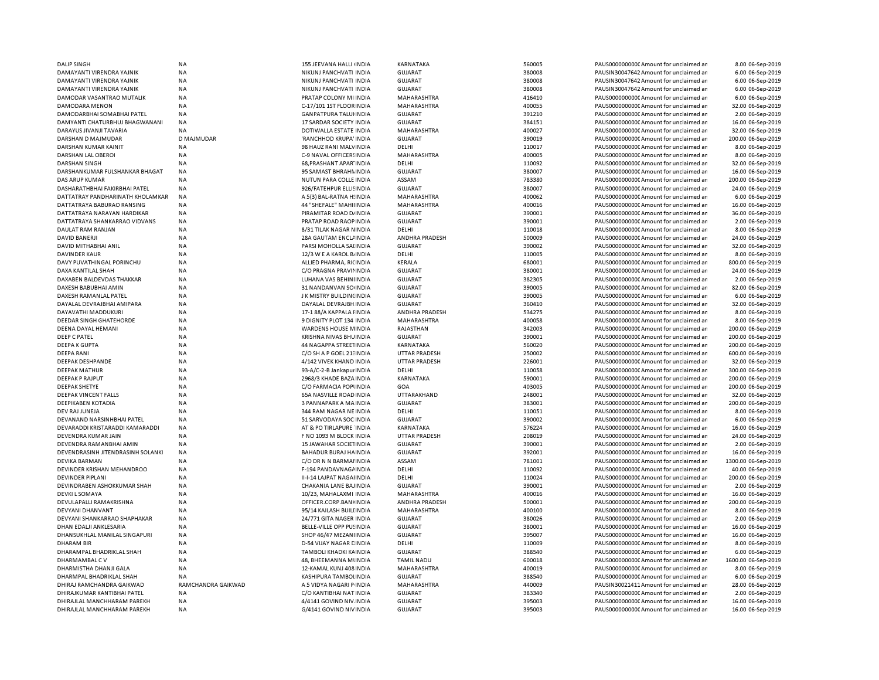| <b>DALIP SINGH</b>                | NA                     | 155 JEEVANA HALLI INDIA        | KARNATAKA             | 560005 | PAUS0000000000 Amount for unclaimed ar  | 8.00 06-Sep-2019    |
|-----------------------------------|------------------------|--------------------------------|-----------------------|--------|-----------------------------------------|---------------------|
| DAMAYANTI VIRENDRA YAJNIK         | <b>NA</b>              | NIKUNJ PANCHVATI INDIA         | <b>GUJARAT</b>        | 380008 | PAUSIN30047642 Amount for unclaimed ar  | 6.00 06-Sep-2019    |
| DAMAYANTI VIRENDRA YAJNIK         | <b>NA</b>              | NIKUNJ PANCHVATI INDIA         | <b>GUJARAT</b>        | 380008 | PAUSIN30047642 Amount for unclaimed ar  | 6.00 06-Sep-2019    |
| DAMAYANTI VIRENDRA YAJNIK         | <b>NA</b>              | NIKUNJ PANCHVATI INDIA         | <b>GUJARAT</b>        | 380008 | PAUSIN30047642 Amount for unclaimed ar  | 6.00 06-Sep-2019    |
| DAMODAR VASANTRAO MUTALIK         | <b>NA</b>              | PRATAP COLONY MI INDIA         | MAHARASHTRA           | 416410 | PAUS0000000000 Amount for unclaimed ar  | 6.00 06-Sep-2019    |
| DAMODARA MENON                    | <b>NA</b>              | C-17/101 1ST FLOOR INDIA       | MAHARASHTRA           | 400055 | PAUS0000000000 Amount for unclaimed ar  | 32.00 06-Sep-2019   |
| DAMODARBHAI SOMABHAI PATEL        | <b>NA</b>              | <b>GANPATPURA TALUHNDIA</b>    | <b>GUJARAT</b>        | 391210 | PAUS0000000000 Amount for unclaimed ar  | 2.00 06-Sep-2019    |
| DAMYANTI CHATURBHUJ BHAGWANANI    | NA                     | 17 SARDAR SOCIETY INDIA        | <b>GUJARAT</b>        | 384151 | PAUS0000000000 Amount for unclaimed ar  | 16.00 06-Sep-2019   |
| DARAYUS JIVANJI TAVARIA           | <b>NA</b>              | DOTIWALLA ESTATE INDIA         | MAHARASHTRA           | 400027 | PAUS0000000000 Amount for unclaimed ar  | 32.00 06-Sep-2019   |
| DARSHAN D MAJMUDAR                | D MAJMUDAR             | 'RANCHHOD KRUPA' INDIA         | <b>GUJARAT</b>        | 390019 | PAUS0000000000 Amount for unclaimed ar  | 200.00 06-Sep-2019  |
| DARSHAN KUMAR KAINIT              | <b>NA</b>              | 98 HAUZ RANI MALVINDIA         | DELHI                 | 110017 | PAUS0000000000CAmount for unclaimed ar  | 8.00 06-Sep-2019    |
| DARSHAN LAL OBEROI                | <b>NA</b>              | C-9 NAVAL OFFICERS INDIA       | MAHARASHTRA           | 400005 | PAUS0000000000CAmount for unclaimed ar  | 8.00 06-Sep-2019    |
| <b>DARSHAN SINGH</b>              | <b>NA</b>              | 68, PRASHANT APAR' INDIA       | DELHI                 | 110092 | PAUS0000000000CAmount for unclaimed ar  | 32.00 06-Sep-2019   |
| DARSHANKUMAR FULSHANKAR BHAGAT    | <b>NA</b>              | 95 SAMAST BHRAHN INDIA         | <b>GUJARAT</b>        | 380007 | PAUS0000000000Amount for unclaimed ar   | 16.00 06-Sep-2019   |
| <b>DAS ARUP KUMAR</b>             | <b>NA</b>              | NUTUN PARA COLLE INDIA         | ASSAM                 | 783380 | PAUS0000000000CAmount for unclaimed ar  | 200.00 06-Sep-2019  |
|                                   |                        |                                | <b>GUJARAT</b>        | 380007 |                                         | 24.00 06-Sep-2019   |
| DASHARATHBHAI FAKIRBHAI PATEL     | <b>NA</b>              | 926/FATEHPUR ELLISINDIA        |                       |        | PAUS0000000000 Amount for unclaimed ar  |                     |
| DATTATRAY PANDHARINATH KHOLAMKAR  | <b>NA</b><br><b>NA</b> | A 5(3) BAL-RATNA HINDIA        | MAHARASHTRA           | 400062 | PAUS0000000000 Amount for unclaimed ar  | 6.00 06-Sep-2019    |
| DATTATRAYA BABURAO RANSING        |                        | 44 "SHEFALE" MAHIHNDIA         | MAHARASHTRA           | 400016 | PAUS0000000000CAmount for unclaimed ar  | 16.00 06-Sep-2019   |
| DATTATRAYA NARAYAN HARDIKAR       | NA                     | PIRAMITAR ROAD D/ INDIA        | <b>GUJARAT</b>        | 390001 | PAUS0000000000 Amount for unclaimed ar  | 36.00 06-Sep-2019   |
| DATTATRAYA SHANKARRAO VIDVANS     | <b>NA</b>              | PRATAP ROAD RAOP INDIA         | <b>GUJARAT</b>        | 390001 | PAUS0000000000 Amount for unclaimed ar  | 2.00 06-Sep-2019    |
| DAULAT RAM RANJAN                 | <b>NA</b>              | 8/31 TILAK NAGAR NINDIA        | DELHI                 | 110018 | PAUS0000000000 Amount for unclaimed ar  | 8.00 06-Sep-2019    |
| <b>DAVID BANERJI</b>              | <b>NA</b>              | <b>28A GAUTAM ENCLINDIA</b>    | <b>ANDHRA PRADESH</b> | 500009 | PAUS0000000000 Amount for unclaimed ar  | 24.00 06-Sep-2019   |
| DAVID MITHABHAI ANIL              | <b>NA</b>              | PARSI MOHOLLA SAI INDIA        | <b>GUJARAT</b>        | 390002 | PAUS0000000000 Amount for unclaimed ar  | 32.00 06-Sep-2019   |
| DAVINDER KAUR                     | <b>NA</b>              | 12/3 W E A KAROL B. INDIA      | DELHI                 | 110005 | PAUS0000000000 Amount for unclaimed ar  | 8.00 06-Sep-2019    |
| DAVY PUVATHINGAL PORINCHU         | <b>NA</b>              | ALLIED PHARMA, RICINDIA        | KERALA                | 680001 | PAUS0000000000 Amount for unclaimed ar  | 800.00 06-Sep-2019  |
| DAXA KANTILAL SHAH                | <b>NA</b>              | C/O PRAGNA PRAVILINDIA         | <b>GUJARAT</b>        | 380001 | PAUS0000000000 Amount for unclaimed ar  | 24.00 06-Sep-2019   |
| DAXABEN BALDEVDAS THAKKAR         | <b>NA</b>              | LUHANA VAS BEHINIINDIA         | <b>GUJARAT</b>        | 382305 | PAUS0000000000 Amount for unclaimed ar  | 2.00 06-Sep-2019    |
| DAXESH BABUBHAI AMIN              | <b>NA</b>              | 31 NANDANVAN SO INDIA          | <b>GUJARAT</b>        | 390005 | PAUS0000000000CAmount for unclaimed ar  | 82.00 06-Sep-2019   |
| DAXESH RAMANLAL PATEL             | <b>NA</b>              | J K MISTRY BUILDIN(INDIA       | <b>GUJARAT</b>        | 390005 | PAUS0000000000CAmount for unclaimed ar  | 6.00 06-Sep-2019    |
| DAYALAL DEVRAJBHAI AMIPARA        | <b>NA</b>              | DAYALAL DEVRAJBH INDIA         | <b>GUJARAT</b>        | 360410 | PAUS0000000000 Amount for unclaimed ar  | 32.00 06-Sep-2019   |
| DAYAVATHI MADDUKURI               | <b>NA</b>              | 17-1 88/A KAPPALA I INDIA      | ANDHRA PRADESH        | 534275 | PAUS0000000000CAmount for unclaimed ar  | 8.00 06-Sep-2019    |
| DEEDAR SINGH GHATEHORDE           | <b>NA</b>              | 9 DIGNITY PLOT 134 INDIA       | MAHARASHTRA           | 400058 | PAUS0000000000 Amount for unclaimed ar  | 8.00 06-Sep-2019    |
| <b>DEENA DAYAL HEMANI</b>         | <b>NA</b>              | <b>WARDENS HOUSE MINDIA</b>    | RAJASTHAN             | 342003 | PAUS0000000000 Amount for unclaimed ar  | 200.00 06-Sep-2019  |
| DEEP C PATEL                      | <b>NA</b>              | KRISHNA NIVAS BHUINDIA         | <b>GUJARAT</b>        | 390001 | PAUS0000000000 Amount for unclaimed ar  | 200.00 06-Sep-2019  |
| <b>DEEPA K GUPTA</b>              | <b>NA</b>              | 44 NAGAPPA STREETINDIA         | KARNATAKA             | 560020 | PAUS00000000000Amount for unclaimed ar  | 200.00 06-Sep-2019  |
| DEEPA RANI                        | <b>NA</b>              | C/O SH A P GOEL 21: INDIA      | <b>UTTAR PRADESH</b>  | 250002 | PAUS0000000000 Amount for unclaimed ar  | 600.00 06-Sep-2019  |
| DEEPAK DESHPANDE                  | <b>NA</b>              | 4/142 VIVEK KHAND INDIA        | <b>UTTAR PRADESH</b>  | 226001 | PAUS0000000000 Amount for unclaimed ar  | 32.00 06-Sep-2019   |
| <b>DEEPAK MATHUR</b>              | <b>NA</b>              | 93-A/C-2-B Jankapur INDIA      | DELHI                 | 110058 | PAUS0000000000 Amount for unclaimed ar  | 300.00 06-Sep-2019  |
| <b>DEEPAK P RAJPUT</b>            | <b>NA</b>              | 2968/3 KHADE BAZA INDIA        | KARNATAKA             | 590001 | PAUS0000000000CAmount for unclaimed ar  | 200.00 06-Sep-2019  |
| <b>DEEPAK SHETYE</b>              | <b>NA</b>              | C/O FARMACIA POPI INDIA        | GOA                   | 403005 | PAUS0000000000 Amount for unclaimed ar  | 200.00 06-Sep-2019  |
| DEEPAK VINCENT FALLS              | <b>NA</b>              | <b>65A NASVILLE ROAD INDIA</b> | UTTARAKHAND           | 248001 | PAUS0000000000CAmount for unclaimed ar  | 32.00 06-Sep-2019   |
| <b>DEEPIKABEN KOTADIA</b>         | NA                     | 3 PANNAPARK A MAINDIA          | <b>GUJARAT</b>        | 383001 | PAUS0000000000CAmount for unclaimed ar  | 200.00 06-Sep-2019  |
|                                   |                        |                                |                       |        |                                         |                     |
| DEV RAJ JUNEJA                    | <b>NA</b>              | 344 RAM NAGAR NE INDIA         | DELHI                 | 110051 | PAUS0000000000 Amount for unclaimed ar  | 8.00 06-Sep-2019    |
| DEVANAND NARSINHBHAI PATEL        | <b>NA</b>              | 51 SARVODAYA SOC INDIA         | <b>GUJARAT</b>        | 390002 | PAUS0000000000CAmount for unclaimed ar  | 6.00 06-Sep-2019    |
| DEVARADDI KRISTARADDI KAMARADDI   | <b>NA</b>              | AT & PO TIRLAPURE INDIA        | KARNATAKA             | 576224 | PAUS0000000000 Amount for unclaimed ar  | 16.00 06-Sep-2019   |
| DEVENDRA KUMAR JAIN               | <b>NA</b>              | F NO 1093 M BLOCK INDIA        | <b>UTTAR PRADESH</b>  | 208019 | PAUS0000000000 Amount for unclaimed ar  | 24.00 06-Sep-2019   |
| DEVENDRA RAMANBHAI AMIN           | NA                     | 15 JAWAHAR SOCIETINDIA         | <b>GUJARAT</b>        | 390001 | PAUS0000000000 Amount for unclaimed ar  | 2.00 06-Sep-2019    |
| DEVENDRASINH JITENDRASINH SOLANKI | <b>NA</b>              | BAHADUR BURAJ HAINDIA          | <b>GUJARAT</b>        | 392001 | PAUS0000000000 Amount for unclaimed ar  | 16.00 06-Sep-2019   |
| DEVIKA BARMAN                     | <b>NA</b>              | C/O DR N N BARMAI INDIA        | ASSAM                 | 781001 | PAUS00000000000Amount for unclaimed ar  | 1300.00 06-Sep-2019 |
| DEVINDER KRISHAN MEHANDROO        | <b>NA</b>              | F-194 PANDAVNAGAINDIA          | DELHI                 | 110092 | PAUS0000000000 Amount for unclaimed ar  | 40.00 06-Sep-2019   |
| <b>DEVINDER PIPLANI</b>           | <b>NA</b>              | II-I-14 LAJPAT NAGAI INDIA     | DELHI                 | 110024 | PAUS0000000000 Amount for unclaimed ar  | 200.00 06-Sep-2019  |
| DEVINDRABEN ASHOKKUMAR SHAH       | <b>NA</b>              | CHAKANIA LANE BAJINDIA         | <b>GUJARAT</b>        | 390001 | PAUS0000000000 Amount for unclaimed ar  | 2.00 06-Sep-2019    |
| <b>DEVKI L SOMAYA</b>             | <b>NA</b>              | 10/23, MAHALAXMI INDIA         | MAHARASHTRA           | 400016 | PAUS00000000000Amount for unclaimed ar  | 16.00 06-Sep-2019   |
| DEVULAPALLI RAMAKRISHNA           | <b>NA</b>              | OFFICER.CORP.BANI INDIA        | ANDHRA PRADESH        | 500001 | PAUS0000000000CAmount for unclaimed ar  | 200.00 06-Sep-2019  |
| DEVYANI DHANVANT                  | <b>NA</b>              | 95/14 KAILASH BUILI INDIA      | MAHARASHTRA           | 400100 | PAUS00000000000Amount for unclaimed ar  | 8.00 06-Sep-2019    |
| DEVYANI SHANKARRAO SHAPHAKAR      | <b>NA</b>              | 24/771 GITA NAGER INDIA        | <b>GUJARAT</b>        | 380026 | PAUS0000000000 Amount for unclaimed ar  | 2.00 06-Sep-2019    |
| DHAN EDALJI ANKLESARIA            | <b>NA</b>              | BELLE-VILLE OPP PU! INDIA      | <b>GUJARAT</b>        | 380001 | PAUS0000000000CAmount for unclaimed ar  | 16.00 06-Sep-2019   |
| DHANSUKHLAL MANILAL SINGAPURI     | <b>NA</b>              | SHOP 46/47 MEZANI INDIA        | <b>GUJARAT</b>        | 395007 | PAUS0000000000 Amount for unclaimed ar  | 16.00 06-Sep-2019   |
| <b>DHARAM BIR</b>                 | <b>NA</b>              | <b>D-54 VUAY NAGAR CINDIA</b>  | DELHI                 | 110009 | PAUS0000000000CAmount for unclaimed ar  | 8.00 06-Sep-2019    |
| DHARAMPAL BHADRIKLAL SHAH         | <b>NA</b>              | TAMBOLI KHADKI KAINDIA         | <b>GUJARAT</b>        | 388540 | PAUS0000000000 Amount for unclaimed ar  | 6.00 06-Sep-2019    |
| DHARMAMBAL CV                     | <b>NA</b>              | 48, BHEEMANNA MIINDIA          | <b>TAMIL NADU</b>     | 600018 | PAUS0000000000 Amount for unclaimed ar  | 1600.00 06-Sep-2019 |
| DHARMISTHA DHANJI GALA            | <b>NA</b>              | 12-KAMAL KUNJ 408 INDIA        | MAHARASHTRA           | 400019 | PAUS0000000000 Amount for unclaimed ar  | 8.00 06-Sep-2019    |
| DHARMPAL BHADRIKLAL SHAH          | NA                     | KASHIPURA TAMBOLINDIA          | <b>GUJARAT</b>        | 388540 | PAUS0000000000 Amount for unclaimed ar  | 6.00 06-Sep-2019    |
| DHIRAJ RAMCHANDRA GAIKWAD         | RAMCHANDRA GAIKWAD     | A 5 VIDYA NAGARI P INDIA       | MAHARASHTRA           | 440009 | PAUSIN30021411 Amount for unclaimed ar  | 28.00 06-Sep-2019   |
| DHIRAJKUMAR KANTIBHAI PATEL       | <b>NA</b>              | C/O KANTIBHAI NAT INDIA        | <b>GUJARAT</b>        | 383340 | PAUS00000000000 Amount for unclaimed an | 2.00 06-Sep-2019    |
| DHIRAJLAL MANCHHARAM PAREKH       | <b>NA</b>              | 4/4141 GOVIND NIV INDIA        | <b>GUJARAT</b>        | 395003 | PAUS0000000000 Amount for unclaimed ar  | 16.00 06-Sep-2019   |
| DHIRAJLAL MANCHHARAM PAREKH       | NA                     | G/4141 GOVIND NIVINDIA         | <b>GUJARAT</b>        | 395003 | PAUS0000000000CAmount for unclaimed ar  | 16.00 06-Sep-2019   |
|                                   |                        |                                |                       |        |                                         |                     |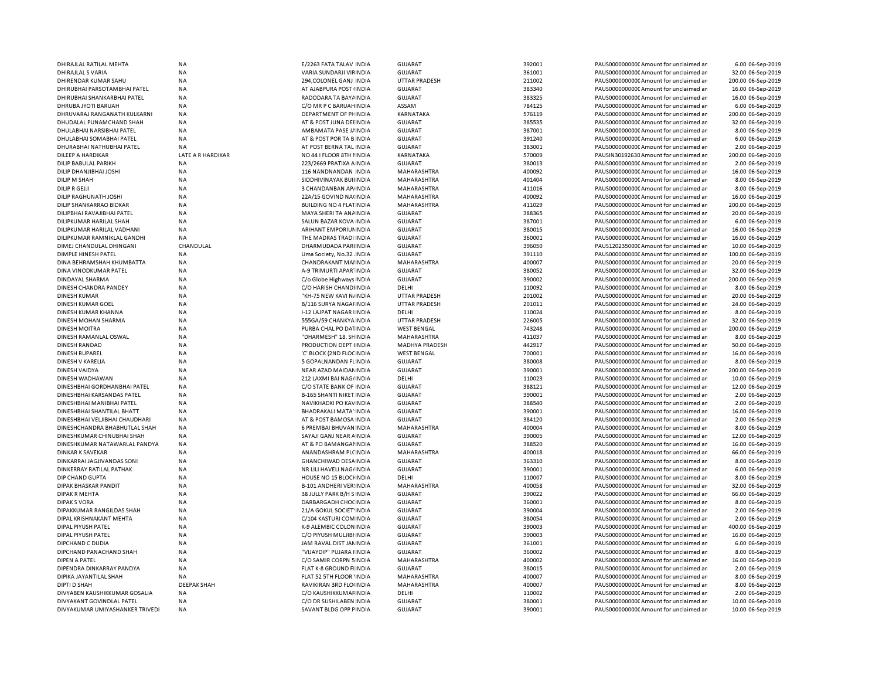| DHIRAJLAL RATILAL MEHTA         | NA                 | E/2263 FATA TALAV INDIA         | <b>GUJARAT</b>        | 392001 | PAUS0000000000 Amount for unclaimed ar  | 6.00 06-Sep-2019   |
|---------------------------------|--------------------|---------------------------------|-----------------------|--------|-----------------------------------------|--------------------|
| DHIRAJLAL S VARIA               | <b>NA</b>          | VARIA SUNDARJI VIFINDIA         | <b>GUJARAT</b>        | 361001 | PAUS0000000000C Amount for unclaimed ar | 32.00 06-Sep-2019  |
| DHIRENDAR KUMAR SAHU            | NA                 | 294, COLONEL GANJ INDIA         | <b>UTTAR PRADESH</b>  | 211002 | PAUS0000000000 Amount for unclaimed ar  | 200.00 06-Sep-2019 |
| DHIRUBHAI PARSOTAMBHAI PATEL    | NA                 | AT AJABPURA POST (INDIA         | <b>GUJARAT</b>        | 383340 | PAUS0000000000 Amount for unclaimed ar  | 16.00 06-Sep-2019  |
| DHIRUBHAI SHANKARBHAI PATEL     | <b>NA</b>          | RADODARA TA BAYA INDIA          | <b>GUJARAT</b>        | 383325 | PAUS0000000000 Amount for unclaimed ar  | 16.00 06-Sep-2019  |
| DHRUBA JYOTI BARUAH             | <b>NA</b>          | C/O MR P C BARUAH INDIA         | ASSAM                 | 784125 | PAUS0000000000CAmount for unclaimed ar  | 6.00 06-Sep-2019   |
| DHRUVARAJ RANGANATH KULKARNI    | <b>NA</b>          | DEPARTMENT OF PHINDIA           | KARNATAKA             | 576119 | PAUS0000000000 Amount for unclaimed ar  | 200.00 06-Sep-2019 |
| DHUDALAL PUNAMCHAND SHAH        | <b>NA</b>          | AT & POST JUNA DEHNDIA          | GUJARAT               | 385535 | PAUS0000000000 Amount for unclaimed ar  |                    |
|                                 |                    |                                 |                       |        |                                         | 32.00 06-Sep-2019  |
| DHULABHAI NARSIBHAI PATEL       | <b>NA</b>          | AMBAMATA PASE J/ INDIA          | <b>GUJARAT</b>        | 387001 | PAUS0000000000 Amount for unclaimed ar  | 8.00 06-Sep-2019   |
| DHULABHAI SOMABHAI PATEL        | <b>NA</b>          | AT & POST POR TA B INDIA        | <b>GUJARAT</b>        | 391240 | PAUS0000000000 Amount for unclaimed ar  | 6.00 06-Sep-2019   |
| DHURABHAI NATHUBHAI PATEL       | ΝA                 | AT POST BERNA TAL INDIA         | GUJARAT               | 383001 | PAUS0000000000 Amount for unclaimed ar  | 2.00 06-Sep-2019   |
| DILEEP A HARDIKAR               | LATE A R HARDIKAR  | NO 44 I FLOOR 8TH I INDIA       | KARNATAKA             | 570009 | PAUSIN30192630 Amount for unclaimed ar  | 200.00 06-Sep-2019 |
| DILIP BABULAL PARIKH            | <b>NA</b>          | 223/2669 PRATIXA A INDIA        | <b>GUJARAT</b>        | 380013 | PAUS0000000000CAmount for unclaimed ar  | 2.00 06-Sep-2019   |
| DILIP DHANJIBHAI JOSHI          | <b>NA</b>          | 116 NANDNANDAN INDIA            | MAHARASHTRA           | 400092 | PAUS0000000000 Amount for unclaimed ar  | 16.00 06-Sep-2019  |
| DILIP M SHAH                    | <b>NA</b>          | SIDDHIVINAYAK BUIHNDIA          | MAHARASHTRA           | 401404 | PAUS0000000000CAmount for unclaimed ar  | 8.00 06-Sep-2019   |
| <b>DILIP R GEJJI</b>            | <b>NA</b>          | 3 CHANDANBAN AP/INDIA           | MAHARASHTRA           | 411016 | PAUS0000000000CAmount for unclaimed ar  | 8.00 06-Sep-2019   |
| DILIP RAGHUNATH JOSHI           | NA                 | 22A/15 GOVIND NA(INDIA          | MAHARASHTRA           | 400092 | PAUS0000000000 Amount for unclaimed ar  | 16.00 06-Sep-2019  |
| DILIP SHANKARRAO BIDKAR         | <b>NA</b>          | <b>BUILDING NO 4 FLATINDIA</b>  | MAHARASHTRA           | 411029 | PAUS0000000000 Amount for unclaimed ar  | 200.00 06-Sep-2019 |
| DILIPBHAI RAVAJIBHAI PATEL      | <b>NA</b>          | MAYA SHERI TA AN AINDIA         | <b>GUJARAT</b>        | 388365 | PAUS0000000000 Amount for unclaimed ar  | 20.00 06-Sep-2019  |
|                                 |                    |                                 |                       |        |                                         |                    |
| DILIPKUMAR HARILAL SHAH         | <b>NA</b>          | SALUN BAZAR KOVA INDIA          | <b>GUJARAT</b>        | 387001 | PAUS0000000000CAmount for unclaimed ar  | 6.00 06-Sep-2019   |
| DILIPKUMAR HARILAL VADHANI      | <b>NA</b>          | ARIHANT EMPORIUM INDIA          | <b>GUJARAT</b>        | 380015 | PAUS0000000000CAmount for unclaimed ar  | 16.00 06-Sep-2019  |
| DILIPKUMAR RAMNIKLAL GANDHI     | NA                 | THE MADRAS TRADI INDIA          | <b>GUJARAT</b>        | 360001 | PAUS0000000000CAmount for unclaimed ar  | 16.00 06-Sep-2019  |
| DIMEJ CHANDULAL DHINGANI        | CHANDULAL          | DHARMUDADA PARIINDIA            | <b>GUJARAT</b>        | 396050 | PAUS1202350000 Amount for unclaimed an  | 10.00 06-Sep-2019  |
| DIMPLE HINESH PATEL             | <b>NA</b>          | Uma Society, No.32. INDIA       | <b>GUJARAT</b>        | 391110 | PAUS0000000000 Amount for unclaimed ar  | 100.00 06-Sep-2019 |
| DINA BEHRAMSHAH KHUMBATTA       | <b>NA</b>          | <b>CHANDRAKANT MAIINDIA</b>     | <b>MAHARASHTRA</b>    | 400007 | PAUS0000000000 Amount for unclaimed ar  | 20.00 06-Sep-2019  |
| DINA VINODKUMAR PATEL           | <b>NA</b>          | A-9 TRIMURTI APAR' INDIA        | <b>GUJARAT</b>        | 380052 | PAUS0000000000 Amount for unclaimed ar  | 32.00 06-Sep-2019  |
| DINDAYAL SHARMA                 | <b>NA</b>          | C/o Globe Highways INDIA        | <b>GUJARAT</b>        | 390002 | PAUS00000000000Amount for unclaimed an  | 200.00 06-Sep-2019 |
| DINESH CHANDRA PANDEY           | <b>NA</b>          | C/O HARISH CHANDINDIA           | DELHI                 | 110092 | PAUS0000000000 Amount for unclaimed ar  | 8.00 06-Sep-2019   |
| <b>DINESH KUMAR</b>             | <b>NA</b>          | "KH-75 NEW KAVI N/INDIA         | <b>UTTAR PRADESH</b>  | 201002 | PAUS0000000000 Amount for unclaimed ar  | 20.00 06-Sep-2019  |
| DINESH KUMAR GOEL               | <b>NA</b>          | B/116 SURYA NAGAI INDIA         | <b>UTTAR PRADESH</b>  | 201011 | PAUS00000000000Amount for unclaimed ar  | 24.00 06-Sep-2019  |
|                                 |                    |                                 |                       | 110024 |                                         |                    |
| DINESH KUMAR KHANNA             | <b>NA</b>          | I-12 LAJPAT NAGAR I INDIA       | DELHI                 |        | PAUS0000000000 Amount for unclaimed ar  | 8.00 06-Sep-2019   |
| DINESH MOHAN SHARMA             | <b>NA</b>          | 555GA/59 CHANKYA INDIA          | <b>UTTAR PRADESH</b>  | 226005 | PAUS0000000000CAmount for unclaimed ar  | 32.00 06-Sep-2019  |
| <b>DINESH MOITRA</b>            | NA                 | PURBA CHAL PO DATINDIA          | <b>WEST BENGAL</b>    | 743248 | PAUS0000000000 Amount for unclaimed ar  | 200.00 06-Sep-2019 |
| DINESH RAMANLAL OSWAL           | <b>NA</b>          | "DHARMESH" 18, SHINDIA          | MAHARASHTRA           | 411037 | PAUS0000000000 Amount for unclaimed ar  | 8.00 06-Sep-2019   |
| <b>DINESH RANDAD</b>            | <b>NA</b>          | PRODUCTION DEPT IINDIA          | <b>MADHYA PRADESH</b> | 442917 | PAUS0000000000 Amount for unclaimed ar  | 50.00 06-Sep-2019  |
| DINESH RUPAREL                  | <b>NA</b>          | 'C' BLOCK (2ND FLOC INDIA       | <b>WEST BENGAL</b>    | 700001 | PAUS00000000000Amount for unclaimed ar  | 16.00 06-Sep-2019  |
| DINESH V KARELIA                | <b>NA</b>          | 5 GOPALNANDAN FLINDIA           | <b>GUJARAT</b>        | 380008 | PAUS0000000000CAmount for unclaimed ar  | 8.00 06-Sep-2019   |
| DINESH VAIDYA                   | <b>NA</b>          | NEAR AZAD MAIDAN INDIA          | <b>GUJARAT</b>        | 390001 | PAUS0000000000 Amount for unclaimed ar  | 200.00 06-Sep-2019 |
| DINESH WADHAWAN                 | <b>NA</b>          | 212 LAXMI BAI NAG/INDIA         | DELHI                 | 110023 | PAUS0000000000CAmount for unclaimed ar  | 10.00 06-Sep-2019  |
| DINESHBHAI GORDHANBHAI PATEL    | N <sub>A</sub>     | C/O STATE BANK OF INDIA         | <b>GUJARAT</b>        | 388121 | PAUS00000000000Amount for unclaimed ar  | 12.00 06-Sep-2019  |
| DINESHBHAI KARSANDAS PATEL      | <b>NA</b>          | <b>B-165 SHANTI NIKET INDIA</b> | <b>GUJARAT</b>        | 390001 | PAUS0000000000CAmount for unclaimed ar  | 2.00 06-Sep-2019   |
| DINESHBHAI MANIBHAI PATEL       | <b>NA</b>          | NAVIKHADKI PO KAVINDIA          | <b>GUJARAT</b>        | 388540 | PAUS0000000000CAmount for unclaimed ar  |                    |
|                                 |                    |                                 |                       |        |                                         | 2.00 06-Sep-2019   |
| DINESHBHAI SHANTILAL BHATT      | NA                 | BHADRAKALI MATA' INDIA          | <b>GUJARAT</b>        | 390001 | PAUS0000000000CAmount for unclaimed ar  | 16.00 06-Sep-2019  |
| DINESHBHAI VELJIBHAI CHAUDHARI  | <b>NA</b>          | AT & POST BAMOSA INDIA          | <b>GUJARAT</b>        | 384120 | PAUS0000000000CAmount for unclaimed ar  | 2.00 06-Sep-2019   |
| DINESHCHANDRA BHABHUTLAL SHAH   | <b>NA</b>          | 6 PREMBAI BHUVAN INDIA          | MAHARASHTRA           | 400004 | PAUS0000000000CAmount for unclaimed ar  | 8.00 06-Sep-2019   |
| DINESHKUMAR CHINUBHAI SHAH      | <b>NA</b>          | SAYAJI GANJ NEAR AINDIA         | <b>GUJARAT</b>        | 390005 | PAUS0000000000 Amount for unclaimed ar  | 12.00 06-Sep-2019  |
| DINESHKUMAR NATAWARLAL PANDYA   | NA                 | AT & PO BAMANGAI INDIA          | <b>GUJARAT</b>        | 388520 | PAUS0000000000CAmount for unclaimed ar  | 16.00 06-Sep-2019  |
| <b>DINKAR K SAVEKAR</b>         | <b>NA</b>          | ANANDASHRAM PL(INDIA            | MAHARASHTRA           | 400018 | PAUS0000000000 Amount for unclaimed ar  | 66.00 06-Sep-2019  |
| DINKARRAI JAGJIVANDAS SONI      | <b>NA</b>          | GHANCHIWAD DESAINDIA            | <b>GUJARAT</b>        | 363310 | PAUS0000000000 Amount for unclaimed ar  | 8.00 06-Sep-2019   |
| DINKERRAY RATILAL PATHAK        | <b>NA</b>          | NR LILI HAVELI NAG/INDIA        | <b>GUJARAT</b>        | 390001 | PAUS0000000000CAmount for unclaimed ar  | 6.00 06-Sep-2019   |
| DIP CHAND GUPTA                 | <b>NA</b>          | HOUSE NO 15 BLOCHNDIA           | DELHI                 | 110007 | PAUS0000000000 Amount for unclaimed ar  | 8.00 06-Sep-2019   |
| DIPAK BHASKAR PANDIT            | <b>NA</b>          | <b>B-101 ANDHERI VER INDIA</b>  | MAHARASHTRA           | 400058 | PAUS0000000000CAmount for unclaimed ar  | 32.00 06-Sep-2019  |
|                                 | <b>NA</b>          |                                 |                       |        |                                         |                    |
| <b>DIPAK R MEHTA</b>            |                    | 38 JULLY PARK B/H S INDIA       | <b>GUJARAT</b>        | 390022 | PAUS0000000000 Amount for unclaimed ar  | 66.00 06-Sep-2019  |
| <b>DIPAK S VORA</b>             | <b>NA</b>          | DARBARGADH CHOCINDIA            | <b>GUJARAT</b>        | 360001 | PAUS0000000000CAmount for unclaimed ar  | 8.00 06-Sep-2019   |
| DIPAKKUMAR RANGILDAS SHAH       | <b>NA</b>          | 21/A GOKUL SOCIET INDIA         | <b>GUJARAT</b>        | 390004 | PAUS00000000000Amount for unclaimed an  | 2.00 06-Sep-2019   |
| DIPAL KRISHNAKANT MEHTA         | <b>NA</b>          | C/104 KASTURI COMINDIA          | <b>GUJARAT</b>        | 380054 | PAUS0000000000 Amount for unclaimed ar  | 2.00 06-Sep-2019   |
| <b>DIPAL PIYUSH PATEL</b>       | <b>NA</b>          | K-9 ALEMBIC COLONINDIA          | <b>GUJARAT</b>        | 390003 | PAUS0000000000 Amount for unclaimed ar  | 400.00 06-Sep-2019 |
| DIPAL PIYUSH PATEL              | <b>NA</b>          | C/O PIYUSH MULJIBI INDIA        | <b>GUJARAT</b>        | 390003 | PAUS0000000000 Amount for unclaimed ar  | 16.00 06-Sep-2019  |
| DIPCHAND C DUDIA                | <b>NA</b>          | JAM RAVAL DIST JAMNDIA          | <b>GUJARAT</b>        | 361001 | PAUS0000000000 Amount for unclaimed ar  | 6.00 06-Sep-2019   |
| DIPCHAND PANACHAND SHAH         | <b>NA</b>          | "VIJAYDIP" PUJARA I INDIA       | <b>GUJARAT</b>        | 360002 | PAUS0000000000 Amount for unclaimed ar  | 8.00 06-Sep-2019   |
| DIPEN A PATEL                   | <b>NA</b>          | C/O SAMIR CORPN 5 INDIA         | MAHARASHTRA           | 400002 | PAUS0000000000 Amount for unclaimed ar  | 16.00 06-Sep-2019  |
| DIPENDRA DINKARRAY PANDYA       | <b>NA</b>          | FLAT K-8 GROUND FIINDIA         | GUJARAT               | 380015 | PAUS0000000000 Amount for unclaimed ar  | 2.00 06-Sep-2019   |
| DIPIKA JAYANTILAL SHAH          | <b>NA</b>          | FLAT 52 5TH FLOOR 'INDIA        | MAHARASHTRA           | 400007 | PAUS0000000000 Amount for unclaimed ar  | 8.00 06-Sep-2019   |
|                                 |                    |                                 |                       |        |                                         |                    |
| DIPTI D SHAH                    | <b>DEEPAK SHAH</b> | RAVIKIRAN 3RD FLO INDIA         | MAHARASHTRA           | 400007 | PAUS0000000000CAmount for unclaimed ar  | 8.00 06-Sep-2019   |
| DIVYABEN KAUSHIKKUMAR GOSALIA   | <b>NA</b>          | C/O KAUSHIKKUMAF INDIA          | DELHI                 | 110002 | PAUS0000000000 Amount for unclaimed ar  | 2.00 06-Sep-2019   |
| DIVYAKANT GOVINDLAL PATEL       | <b>NA</b>          | C/O DR SUSHILABEN INDIA         | <b>GUJARAT</b>        | 380001 | PAUS0000000000 Amount for unclaimed ar  | 10.00 06-Sep-2019  |
| DIVYAKUMAR UMIYASHANKER TRIVEDI | <b>NA</b>          | SAVANT BLDG OPP FINDIA          | <b>GUJARAT</b>        | 390001 | PAUS0000000000 Amount for unclaimed ar  | 10.00 06-Sep-2019  |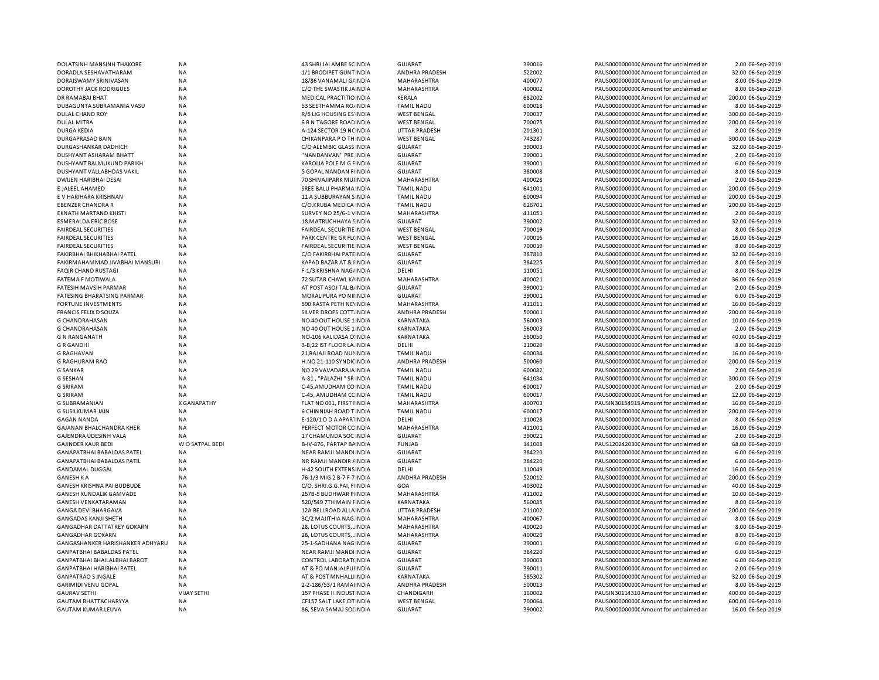| DOLATSINH MANSINH THAKORE               | <b>NA</b>          | 43 SHRI JAI AMBE SCINDIA         | <b>GUJARAT</b>                      | 390016 | PAUS0000000000 Amount for unclaimed ar  | 2.00 06-Sep-2019   |
|-----------------------------------------|--------------------|----------------------------------|-------------------------------------|--------|-----------------------------------------|--------------------|
| DORADLA SESHAVATHARAM                   | NA                 | 1/1 BRODIPET GUNT INDIA          | ANDHRA PRADESH                      | 522002 | PAUS0000000000 Amount for unclaimed ar  | 32.00 06-Sep-2019  |
| DORAISWAMY SRINIVASAN                   | <b>NA</b>          | 18/86 VANAMALI G/INDIA           | MAHARASHTRA                         | 400077 | PAUS0000000000 Amount for unclaimed ar  | 8.00 06-Sep-2019   |
| <b>DOROTHY JACK RODRIGUES</b>           | NA                 | C/O THE SWASTIK JAINDIA          | MAHARASHTRA                         | 400002 | PAUS0000000000 Amount for unclaimed ar  | 8.00 06-Sep-2019   |
| DR RAMABAI BHAT                         | <b>NA</b>          | MEDICAL PRACTITIO INDIA          | KERALA                              | 682002 | PAUS0000000000 Amount for unclaimed ar  | 200.00 06-Sep-2019 |
| DUBAGUNTA SUBRAMANIA VASU               | <b>NA</b>          | 53 SEETHAMMA ROJINDIA            | <b>TAMIL NADU</b>                   | 600018 | PAUS0000000000 Amount for unclaimed ar  | 8.00 06-Sep-2019   |
| DULAL CHAND ROY                         | <b>NA</b>          | R/5 LIG HOUSING ES INDIA         | <b>WEST BENGAL</b>                  | 700037 | PAUS0000000000 Amount for unclaimed ar  | 300.00 06-Sep-2019 |
| <b>DULAL MITRA</b>                      | <b>NA</b>          | 6 R N TAGORE ROAD INDIA          | <b>WEST BENGAL</b>                  | 700075 | PAUS0000000000 Amount for unclaimed ar  | 200.00 06-Sep-2019 |
| <b>DURGA KEDIA</b>                      | <b>NA</b>          | A-124 SECTOR 19 NCINDIA          | <b>UTTAR PRADESH</b>                | 201301 | PAUS0000000000 Amount for unclaimed ar  | 8.00 06-Sep-2019   |
| <b>DURGAPRASAD BAIN</b>                 | <b>NA</b>          | CHIKANPARA P O TH INDIA          | <b>WEST BENGAL</b>                  | 743287 | PAUS0000000000 Amount for unclaimed ar  | 300.00 06-Sep-2019 |
| DURGASHANKAR DADHICH                    | <b>NA</b>          | C/O ALEMBIC GLASS INDIA          | <b>GUJARAT</b>                      | 390003 | PAUS0000000000C Amount for unclaimed ar | 32.00 06-Sep-2019  |
| DUSHYANT ASHARAM BHATT                  | <b>NA</b>          | "NANDANVAN" PRE INDIA            | <b>GUJARAT</b>                      | 390001 | PAUS0000000000 Amount for unclaimed ar  | 2.00 06-Sep-2019   |
| DUSHYANT BALMUKUND PARIKH               | NA                 | KAROLIA POLE M G FINDIA          | <b>GUJARAT</b>                      | 390001 | PAUS0000000000 Amount for unclaimed ar  | 6.00 06-Sep-2019   |
| DUSHYANT VALLABHDAS VAKIL               | <b>NA</b>          | 5 GOPAL NANDAN F INDIA           | <b>GUJARAT</b>                      | 380008 | PAUS0000000000 Amount for unclaimed ar  | 8.00 06-Sep-2019   |
| DWIJEN HARIBHAI DESAI                   | <b>NA</b>          | 70 SHIVAJIPARK MUI INDIA         | MAHARASHTRA                         | 400028 | PAUS0000000000CAmount for unclaimed ar  | 2.00 06-Sep-2019   |
| E JALEEL AHAMED                         | <b>NA</b>          | SREE BALU PHARMA INDIA           | <b>TAMIL NADU</b>                   | 641001 | PAUS0000000000 Amount for unclaimed ar  | 200.00 06-Sep-2019 |
| E V HARIHARA KRISHNAN                   | NA                 | 11 A SUBBURAYAN SINDIA           | <b>TAMIL NADU</b>                   | 600094 | PAUS0000000000 Amount for unclaimed ar  | 200.00 06-Sep-2019 |
| <b>EBENZER CHANDRA R</b>                | <b>NA</b>          | C/O.KRUBA MEDICA INDIA           | <b>TAMIL NADU</b>                   | 626701 | PAUS0000000000 Amount for unclaimed ar  | 200.00 06-Sep-2019 |
| <b>EKNATH MARTAND KHISTI</b>            | <b>NA</b>          | SURVEY NO 25/6-1 VINDIA          | MAHARASHTRA                         | 411051 | PAUS0000000000 Amount for unclaimed ar  | 2.00 06-Sep-2019   |
| <b>ESMERALDA ERIC BOSE</b>              | <b>NA</b>          | 18 MATRUCHHAYA SINDIA            | <b>GUJARAT</b>                      | 390002 | PAUS00000000000 Amount for unclaimed ar | 32.00 06-Sep-2019  |
| <b>FAIRDEAL SECURITIES</b>              | <b>NA</b>          | FAIRDEAL SECURITIE INDIA         | <b>WEST BENGAL</b>                  | 700019 | PAUS0000000000 Amount for unclaimed ar  | 8.00 06-Sep-2019   |
| <b>FAIRDEAL SECURITIES</b>              | <b>NA</b>          | PARK CENTRE GR FL(INDIA          | <b>WEST BENGAL</b>                  | 700016 | PAUS0000000000 Amount for unclaimed ar  | 16.00 06-Sep-2019  |
| <b>FAIRDEAL SECURITIES</b>              | <b>NA</b>          | <b>FAIRDEAL SECURITIE IN DIA</b> | <b>WEST BENGAL</b>                  | 700019 | PAUS0000000000 Amount for unclaimed ar  | 8.00 06-Sep-2019   |
| FAKIRBHAI BHIKHABHAI PATEL              | <b>NA</b>          | C/O FAKIRBHAI PATE INDIA         | <b>GUJARAT</b>                      | 387810 | PAUS0000000000 Amount for unclaimed ar  | 32.00 06-Sep-2019  |
| FAKIRMAHAMMAD JIVABHAI MANSURI          | <b>NA</b>          | KAPAD BAZAR AT & IINDIA          | <b>GUJARAT</b>                      | 384225 | PAUS0000000000 Amount for unclaimed ar  | 8.00 06-Sep-2019   |
| FAQIR CHAND RUSTAGI                     | NA                 | F-1/3 KRISHNA NAG/INDIA          | DELHI                               | 110051 | PAUS0000000000 Amount for unclaimed ar  | 8.00 06-Sep-2019   |
| FATEMA F MOTIWALA                       | <b>NA</b>          | 72 SUTAR CHAWL KAINDIA           | MAHARASHTRA                         | 400021 | PAUS0000000000CAmount for unclaimed ar  | 36.00 06-Sep-2019  |
| FATESIH MAVSIH PARMAR                   | <b>NA</b>          | AT POST ASOJ TAL B. INDIA        | <b>GUJARAT</b>                      | 390001 | PAUS0000000000 Amount for unclaimed ar  | 2.00 06-Sep-2019   |
| <b>FATESING BHARATSING PARMAR</b>       | <b>NA</b>          | MORALIPURA PO NIIINDIA           | GUJARAT                             | 390001 | PAUS0000000000 Amount for unclaimed ar  | 6.00 06-Sep-2019   |
| <b>FORTUNE INVESTMENTS</b>              | NA                 | 590 RASTA PETH NEVINDIA          | MAHARASHTRA                         | 411011 | PAUS0000000000C Amount for unclaimed ar | 16.00 06-Sep-2019  |
| <b>FRANCIS FELIX D SOUZA</b>            | <b>NA</b>          | SILVER DROPS COTT. INDIA         | ANDHRA PRADESH                      | 500001 | PAUS0000000000 Amount for unclaimed ar  | 200.00 06-Sep-2019 |
| <b>G CHANDRAHASAN</b>                   | NA                 | NO 40 OUT HOUSE 1 INDIA          | KARNATAKA                           | 560003 | PAUS0000000000CAmount for unclaimed ar  | 10.00 06-Sep-2019  |
| <b>G CHANDRAHASAN</b>                   | <b>NA</b>          | NO 40 OUT HOUSE 1 INDIA          | KARNATAKA                           | 560003 | PAUS0000000000 Amount for unclaimed ar  | 2.00 06-Sep-2019   |
| <b>G N RANGANATH</b>                    | NA                 | NO-106 KALIDASA C(INDIA          | KARNATAKA                           | 560050 | PAUS0000000000 Amount for unclaimed ar  | 40.00 06-Sep-2019  |
| <b>G R GANDHI</b>                       | <b>NA</b>          | 3-B,22 IST FLOOR LA INDIA        | DELHI                               | 110029 | PAUS0000000000 Amount for unclaimed ar  | 8.00 06-Sep-2019   |
|                                         | <b>NA</b>          | 21 RAJAJI ROAD NUI INDIA         | <b>TAMIL NADU</b>                   | 600034 | PAUS0000000000CAmount for unclaimed ar  | 16.00 06-Sep-2019  |
| <b>G RAGHAVAN</b>                       |                    |                                  |                                     |        |                                         |                    |
| <b>G RAGHURAM RAO</b>                   | NA                 | H.NO 21-110 SYNDICINDIA          | ANDHRA PRADESH<br><b>TAMIL NADU</b> | 500060 | PAUS0000000000C Amount for unclaimed ar | 200.00 06-Sep-2019 |
| G SANKAR                                | <b>NA</b>          | NO 29 VAVADARAJA INDIA           |                                     | 600082 | PAUS0000000000 Amount for unclaimed ar  | 2.00 06-Sep-2019   |
| <b>G SESHAN</b>                         | <b>NA</b>          | A-81, "PALAZHI" SR INDIA         | <b>TAMIL NADU</b>                   | 641034 | PAUS0000000000 Amount for unclaimed ar  | 300.00 06-Sep-2019 |
| <b>G SRIRAM</b>                         | <b>NA</b>          | C-45, AMUDHAM CO INDIA           | <b>TAMIL NADU</b>                   | 600017 | PAUS0000000000 Amount for unclaimed ar  | 2.00 06-Sep-2019   |
| <b>G SRIRAM</b>                         | <b>NA</b>          | C-45, AMUDHAM CCINDIA            | <b>TAMIL NADU</b>                   | 600017 | PAUS0000000000 Amount for unclaimed ar  | 12.00 06-Sep-2019  |
| <b>G SUBRAMANIAN</b>                    | <b>K GANAPATHY</b> | FLAT NO 001, FIRST I INDIA       | MAHARASHTRA                         | 400703 | PAUSIN30154915 Amount for unclaimed ar  | 16.00 06-Sep-2019  |
| G SUSILKUMAR JAIN                       | NA                 | 6 CHINNIAH ROAD T INDIA          | <b>TAMIL NADU</b>                   | 600017 | PAUS0000000000 Amount for unclaimed ar  | 200.00 06-Sep-2019 |
| <b>GAGAN NANDA</b>                      | <b>NA</b>          | E-120/1 D D A APARTINDIA         | DELHI                               | 110028 | PAUS00000000000 Amount for unclaimed ar | 8.00 06-Sep-2019   |
| GAJANAN BHALCHANDRA KHER                | <b>NA</b>          | PERFECT MOTOR CC INDIA           | MAHARASHTRA                         | 411001 | PAUS0000000000C Amount for unclaimed ar | 16.00 06-Sep-2019  |
| <b>GAJENDRA UDESINH VALA</b>            | <b>NA</b>          | 17 CHAMUNDA SOC INDIA            | <b>GUJARAT</b>                      | 390021 | PAUS0000000000 Amount for unclaimed ar  | 2.00 06-Sep-2019   |
| <b>GAJINDER KAUR BEDI</b>               | W O SATPAL BEDI    | B-IV-876, PARTAP BAINDIA         | PUNJAB                              | 141008 | PAUS1202420300 Amount for unclaimed ar  | 68.00 06-Sep-2019  |
| GANAPATBHAI BABALDAS PATEL              | <b>NA</b>          | NEAR RAMJI MANDI INDIA           | <b>GUJARAT</b>                      | 384220 | PAUS0000000000 Amount for unclaimed ar  | 6.00 06-Sep-2019   |
| <b>GANAPATBHAI BABALDAS PATIL</b>       | <b>NA</b>          | NR RAMJI MANDIR / INDIA          | <b>GUJARAT</b>                      | 384220 | PAUS0000000000 Amount for unclaimed ar  | 6.00 06-Sep-2019   |
| <b>GANDAMAL DUGGAL</b>                  | <b>NA</b>          | H-42 SOUTH EXTENS INDIA          | DELHI                               | 110049 | PAUS0000000000 Amount for unclaimed an  | 16.00 06-Sep-2019  |
| <b>GANESH K A</b>                       | <b>NA</b>          | 76-1/3 MIG 2 B-7 F-7 INDIA       | <b>ANDHRA PRADESH</b>               | 520012 | PAUS0000000000 Amount for unclaimed ar  | 200.00 06-Sep-2019 |
| GANESH KRISHNA PAI BUDBUDE              | <b>NA</b>          | C/O. SHRI.G.G.PAI, F INDIA       | GOA                                 | 403002 | PAUS0000000000 Amount for unclaimed ar  | 40.00 06-Sep-2019  |
| GANESH KUNDALIK GAMVADE                 | <b>NA</b>          | 257B-5 BUDHWAR P INDIA           | MAHARASHTRA                         | 411002 | PAUS00000000000 Amount for unclaimed ar | 10.00 06-Sep-2019  |
| <b>GANESH VENKATARAMAN</b>              | <b>NA</b>          | 520/549 7TH MAIN FINDIA          | KARNATAKA                           | 560085 | PAUS00000000000 Amount for unclaimed ar | 8.00 06-Sep-2019   |
| <b>GANGA DEVI BHARGAVA</b>              | <b>NA</b>          | 12A BELI ROAD ALLA INDIA         | <b>UTTAR PRADESH</b>                | 211002 | PAUS0000000000 Amount for unclaimed ar  | 200.00 06-Sep-2019 |
| <b>GANGADAS KANJI SHETH</b>             | <b>NA</b>          | 3C/2 MAJITHIA NAG INDIA          | MAHARASHTRA                         | 400067 | PAUS0000000000 Amount for unclaimed ar  | 8.00 06-Sep-2019   |
| <b>GANGADHAR DATTATREY GOKARN</b>       | <b>NA</b>          | 28, LOTUS COURTS, . INDIA        | <b>MAHARASHTRA</b>                  | 400020 | PAUS0000000000 Amount for unclaimed ar  | 8.00 06-Sep-2019   |
| <b>GANGADHAR GOKARN</b>                 | <b>NA</b>          | 28, LOTUS COURTS, . INDIA        | MAHARASHTRA                         | 400020 | PAUS0000000000 Amount for unclaimed ar  | 8.00 06-Sep-2019   |
| <b>GANGASHANKER HARISHANKER ADHYARU</b> | <b>NA</b>          | 25-1-SADHANA NAG INDIA           | <b>GUJARAT</b>                      | 390001 | PAUS0000000000 Amount for unclaimed ar  | 6.00 06-Sep-2019   |
| <b>GANPATBHAI BABALDAS PATEL</b>        | <b>NA</b>          | NEAR RAMJI MANDI INDIA           | <b>GUJARAT</b>                      | 384220 | PAUS0000000000 Amount for unclaimed ar  | 6.00 06-Sep-2019   |
| GANPATBHAI BHAILALBHAI BAROT            | NA                 | CONTROL LABORAT(INDIA            | <b>GUJARAT</b>                      | 390003 | PAUS0000000000 Amount for unclaimed ar  | 6.00 06-Sep-2019   |
| <b>GANPATBHAI HARIBHAI PATEL</b>        | NA                 | AT & PO MANJALPUIINDIA           | GUJARAT                             | 390011 | PAUS0000000000C Amount for unclaimed ar | 2.00 06-Sep-2019   |
| <b>GANPATRAO S INGALE</b>               | <b>NA</b>          | AT & POST MNHALLIINDIA           | KARNATAKA                           | 585302 | PAUS0000000000 Amount for unclaimed ar  | 32.00 06-Sep-2019  |
| <b>GARIMIDI VENU GOPAL</b>              | ΝA                 | 2-2-186/53/1 RAMAI INDIA         | ANDHRA PRADESH                      | 500013 | PAUS0000000000 Amount for unclaimed ar  | 8.00 06-Sep-2019   |
| <b>GAURAV SETHI</b>                     | <b>VIJAY SETHI</b> | 157 PHASE II INDUSTINDIA         | CHANDIGARH                          | 160002 | PAUSIN30114310 Amount for unclaimed ar  | 400.00 06-Sep-2019 |
| <b>GAUTAM BHATTACHARYYA</b>             | <b>NA</b>          | CF157 SALT LAKE CITINDIA         | <b>WEST BENGAL</b>                  | 700064 | PAUS0000000000 Amount for unclaimed ar  | 600.00 06-Sep-2019 |
| <b>GAUTAM KUMAR LEUVA</b>               | <b>NA</b>          | 86, SEVA SAMAJ SO(INDIA          | <b>GUJARAT</b>                      | 390002 | PAUS0000000000 Amount for unclaimed ar  | 16.00 06-Sep-2019  |
|                                         |                    |                                  |                                     |        |                                         |                    |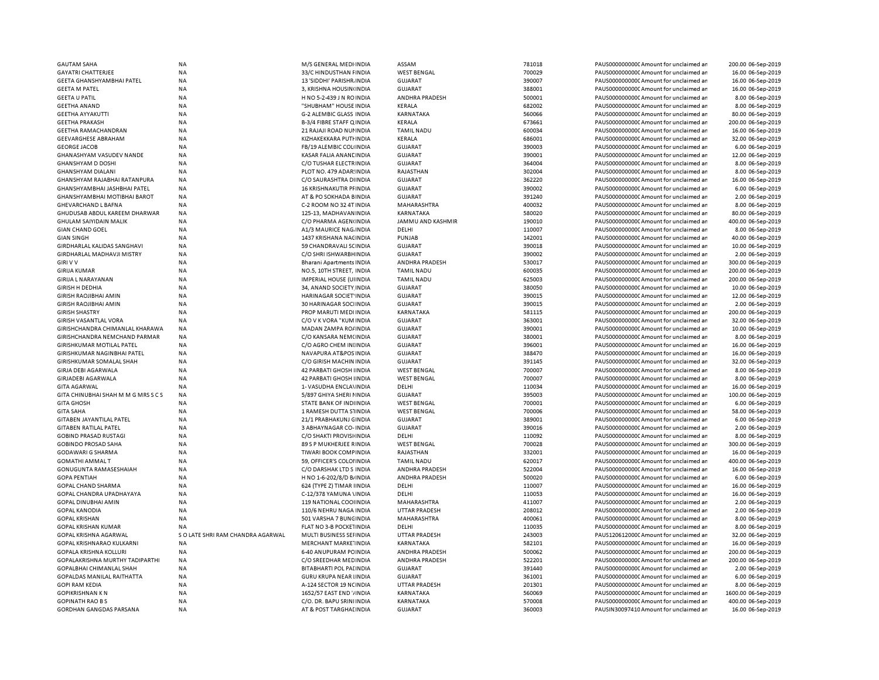| <b>GAUTAM SAHA</b>                                 | <b>NA</b>                         | M/S GENERAL MEDI INDIA                               | ASSAM                       | 781018           | PAUS0000000000 Amount for unclaimed an                                           | 200.00 06-Sep-2019                      |
|----------------------------------------------------|-----------------------------------|------------------------------------------------------|-----------------------------|------------------|----------------------------------------------------------------------------------|-----------------------------------------|
| <b>GAYATRI CHATTERJEE</b>                          | <b>NA</b>                         | 33/C HINDUSTHAN FINDIA                               | <b>WEST BENGAL</b>          | 700029           | PAUS0000000000 Amount for unclaimed an                                           | 16.00 06-Sep-2019                       |
| GEETA GHANSHYAMBHAI PATEL                          | <b>NA</b>                         | 13 'SIDDHI' PARISHR. INDIA                           | <b>GUJARAT</b>              | 390007           | PAUS0000000000CAmount for unclaimed ar                                           | 16.00 06-Sep-2019                       |
| <b>GEETA M PATEL</b>                               | <b>NA</b>                         | 3, KRISHNA HOUSIN(INDIA                              | GUJARAT                     | 388001           | PAUS0000000000CAmount for unclaimed ar                                           | 16.00 06-Sep-2019                       |
| <b>GEETA U PATIL</b>                               | <b>NA</b>                         | H NO 5-2-439 J N ROINDIA                             | <b>ANDHRA PRADESH</b>       | 500001           | PAUS0000000000 Amount for unclaimed ar                                           | 8.00 06-Sep-2019                        |
| <b>GEETHA ANAND</b>                                | <b>NA</b>                         | "SHUBHAM" HOUSE INDIA                                | KERALA                      | 682002           | PAUS0000000000 Amount for unclaimed an                                           | 8.00 06-Sep-2019                        |
| <b>GEETHA AYYAKUTTI</b>                            | <b>NA</b>                         | <b>G-2 ALEMBIC GLASS INDIA</b>                       | KARNATAKA                   | 560066           | PAUS0000000000 Amount for unclaimed ar                                           | 80.00 06-Sep-2019                       |
| <b>GEETHA PRAKASH</b>                              | <b>NA</b>                         | B-3/4 FIBRE STAFF Q INDIA                            | KERALA                      | 673661           | PAUS0000000000 Amount for unclaimed ar                                           | 200.00 06-Sep-2019                      |
| <b>GEETHA RAMACHANDRAN</b>                         | <b>NA</b>                         | 21 RAJAJI ROAD NUI INDIA                             | <b>TAMIL NADU</b>           | 600034           | PAUS0000000000 Amount for unclaimed ar                                           | 16.00 06-Sep-2019                       |
| <b>GEEVARGHESE ABRAHAM</b>                         | <b>NA</b>                         | KIZHAKEKKARA PUTI INDIA                              | KERALA                      | 686001           | PAUS0000000000 Amount for unclaimed an                                           | 32.00 06-Sep-2019                       |
| <b>GEORGE JACOB</b>                                | NA                                | FB/19 ALEMBIC COLHNDIA                               | <b>GUJARAT</b>              | 390003           | PAUS0000000000CAmount for unclaimed ar                                           | 6.00 06-Sep-2019                        |
| GHANASHYAM VASUDEV NANDE                           | <b>NA</b>                         | KASAR FALIA ANANE INDIA                              | <b>GUJARAT</b>              | 390001           | PAUS0000000000CAmount for unclaimed ar                                           | 12.00 06-Sep-2019                       |
| <b>GHANSHYAM D DOSHI</b>                           | <b>NA</b>                         | C/O TUSHAR ELECTRINDIA                               | <b>GUJARAT</b>              | 364004           | PAUS0000000000CAmount for unclaimed ar                                           | 8.00 06-Sep-2019                        |
| <b>GHANSHYAM DIALANI</b>                           | <b>NA</b>                         | PLOT NO. 479 ADAR: INDIA                             | RAJASTHAN                   | 302004           | PAUS0000000000CAmount for unclaimed an                                           | 8.00 06-Sep-2019                        |
| GHANSHYAM RAJABHAI RATANPURA                       | <b>NA</b>                         | C/O SAURASHTRA DIINDIA                               | <b>GUJARAT</b>              | 362220           | PAUS0000000000CAmount for unclaimed an                                           | 16.00 06-Sep-2019                       |
| GHANSHYAMBHAI JASHBHAI PATEL                       | <b>NA</b>                         | <b>16 KRISHNAKUTIR PFINDIA</b>                       | <b>GUJARAT</b>              | 390002           | PAUS0000000000CAmount for unclaimed ar                                           | 6.00 06-Sep-2019                        |
| GHANSHYAMBHAI MOTIBHAI BAROT                       | <b>NA</b>                         | AT & PO SOKHADA BINDIA                               | <b>GUJARAT</b>              | 391240           | PAUS0000000000 Amount for unclaimed ar                                           | 2.00 06-Sep-2019                        |
| <b>GHEVARCHAND L BAFNA</b>                         | <b>NA</b>                         | C-2 ROOM NO 32 4T INDIA                              | MAHARASHTRA                 | 400032           | PAUS0000000000 Amount for unclaimed an                                           | 8.00 06-Sep-2019                        |
| GHUDUSAB ABDUL KAREEM DHARWAR                      | <b>NA</b>                         | 125-13, MADHAVAN INDIA                               | KARNATAKA                   | 580020           | PAUS0000000000 Amount for unclaimed an                                           | 80.00 06-Sep-2019                       |
| <b>GHULAM SAIYIDAIN MALIK</b>                      | <b>NA</b>                         | C/O PHARMA AGEN(INDIA                                | <b>JAMMU AND KASHMIR</b>    | 190010           | PAUS0000000000 Amount for unclaimed ar                                           | 400.00 06-Sep-2019                      |
| <b>GIAN CHAND GOEL</b>                             | <b>NA</b>                         | A1/3 MAURICE NAG. INDIA                              | DELHI                       | 110007           | PAUS0000000000CAmount for unclaimed ar                                           | 8.00 06-Sep-2019                        |
| <b>GIAN SINGH</b>                                  | <b>NA</b>                         | 1437 KRISHANA NACINDIA                               | PUNJAB                      | 142001           | PAUS0000000000 Amount for unclaimed ar                                           | 40.00 06-Sep-2019                       |
|                                                    | <b>NA</b>                         |                                                      |                             | 390018           |                                                                                  |                                         |
| <b>GIRDHARLAL KALIDAS SANGHAVI</b>                 |                                   | 59 CHANDRAVALI SCINDIA                               | <b>GUJARAT</b>              |                  | PAUS0000000000CAmount for unclaimed an                                           | 10.00 06-Sep-2019                       |
| <b>GIRDHARLAL MADHAVJI MISTRY</b>                  | <b>NA</b>                         | C/O SHRI ISHWARBH INDIA                              | <b>GUJARAT</b>              | 390002           | PAUS0000000000CAmount for unclaimed an                                           | 2.00 06-Sep-2019                        |
| <b>GIRIVV</b>                                      | <b>NA</b>                         | <b>Bharani Apartments INDIA</b>                      | ANDHRA PRADESH              | 530017           | PAUS0000000000 Amount for unclaimed ar                                           | 300.00 06-Sep-2019                      |
| <b>GIRIJA KUMAR</b>                                | <b>NA</b>                         | NO.5, 10TH STREET, INDIA                             | <b>TAMIL NADU</b>           | 600035           | PAUS0000000000 Amount for unclaimed ar                                           | 200.00 06-Sep-2019                      |
| <b>GIRIJA L NARAYANAN</b>                          | <b>NA</b>                         | <b>IMPERIAL HOUSE (UIINDIA</b>                       | <b>TAMIL NADU</b>           | 625003           | PAUS00000000000Amount for unclaimed an                                           | 200.00 06-Sep-2019                      |
| <b>GIRISH H DEDHIA</b>                             | <b>NA</b>                         | 34, ANAND SOCIETY INDIA                              | <b>GUJARAT</b>              | 380050           | PAUS00000000000Amount for unclaimed an                                           | 10.00 06-Sep-2019                       |
| <b>GIRISH RAOJIBHAI AMIN</b>                       | <b>NA</b>                         | <b>HARINAGAR SOCIET INDIA</b>                        | <b>GUJARAT</b>              | 390015           | PAUS0000000000 Amount for unclaimed ar                                           | 12.00 06-Sep-2019                       |
| <b>GIRISH RAOJIBHAI AMIN</b>                       | <b>NA</b>                         | 30 HARINAGAR SOCHNDIA                                | <b>GUJARAT</b>              | 390015           | PAUS0000000000 Amount for unclaimed ar                                           | 2.00 06-Sep-2019                        |
| <b>GIRISH SHASTRY</b>                              | <b>NA</b>                         | PROP MARUTI MEDI INDIA                               | KARNATAKA                   | 581115           | PAUS0000000000 Amount for unclaimed ar                                           | 200.00 06-Sep-2019                      |
| <b>GIRISH VASANTLAL VORA</b>                       | <b>NA</b>                         | C/O V K VORA "KUM INDIA                              | <b>GUJARAT</b>              | 363001           | PAUS0000000000CAmount for unclaimed an                                           | 32.00 06-Sep-2019                       |
| GIRISHCHANDRA CHIMANLAL KHARAWA                    | <b>NA</b>                         | MADAN ZAMPA RO/ INDIA                                | <b>GUJARAT</b>              | 390001           | PAUS0000000000 Amount for unclaimed ar                                           | 10.00 06-Sep-2019                       |
| GIRISHCHANDRA NEMCHAND PARMAR                      | NA                                | C/O KANSARA NEM(INDIA                                | <b>GUJARAT</b>              | 380001           | PAUS0000000000CAmount for unclaimed ar                                           | 8.00 06-Sep-2019                        |
| <b>GIRISHKUMAR MOTILAL PATEL</b>                   | <b>NA</b>                         | C/O AGRO CHEM INIINDIA                               | <b>GUJARAT</b>              | 396001           | PAUS0000000000 Amount for unclaimed ar                                           | 16.00 06-Sep-2019                       |
| GIRISHKUMAR NAGINBHAI PATEL                        | <b>NA</b>                         | NAVAPURA AT&POS INDIA                                | <b>GUJARAT</b>              | 388470           | PAUS0000000000CAmount for unclaimed an                                           | 16.00 06-Sep-2019                       |
| GIRISHKUMAR SOMALAL SHAH                           | <b>NA</b>                         | C/O GIRISH MACHIN INDIA                              | <b>GUJARAT</b>              | 391145           | PAUS00000000000Amount for unclaimed an                                           | 32.00 06-Sep-2019                       |
| <b>GIRJA DEBI AGARWALA</b>                         | <b>NA</b>                         | 42 PARBATI GHOSH IINDIA                              | <b>WEST BENGAL</b>          | 700007           | PAUS0000000000CAmount for unclaimed ar                                           | 8.00 06-Sep-2019                        |
| <b>GIRJADEBI AGARWALA</b>                          | <b>NA</b>                         | 42 PARBATI GHOSH IINDIA                              | <b>WEST BENGAL</b>          | 700007           | PAUS0000000000CAmount for unclaimed ar                                           | 8.00 06-Sep-2019                        |
| <b>GITA AGARWAL</b>                                | <b>NA</b>                         | 1- VASUDHA ENCLAVINDIA                               | DELHI                       | 110034           | PAUS0000000000CAmount for unclaimed an                                           | 16.00 06-Sep-2019                       |
| GITA CHINUBHAI SHAH M M G MRS S C S                | <b>NA</b>                         | 5/897 GHIYA SHERI I INDIA                            | <b>GUJARAT</b>              | 395003           | PAUS00000000000Amount for unclaimed an                                           | 100.00 06-Sep-2019                      |
| <b>GITA GHOSH</b>                                  | <b>NA</b>                         | STATE BANK OF INDIINDIA                              | <b>WEST BENGAL</b>          | 700001           | PAUS0000000000 Amount for unclaimed ar                                           | 6.00 06-Sep-2019                        |
| <b>GITA SAHA</b>                                   | <b>NA</b>                         | 1 RAMESH DUTTA S1INDIA                               | <b>WEST BENGAL</b>          | 700006           | PAUS0000000000CAmount for unclaimed ar                                           | 58.00 06-Sep-2019                       |
| <b>GITABEN JAYANTILAL PATEL</b>                    | <b>NA</b>                         | 21/1 PRABHAKUNJ GINDIA                               | <b>GUJARAT</b>              | 389001           | PAUS0000000000 Amount for unclaimed an                                           | 6.00 06-Sep-2019                        |
| <b>GITABEN RATILAL PATEL</b>                       | <b>NA</b>                         | 3 ABHAYNAGAR CO-INDIA                                | <b>GUJARAT</b>              | 390016           | PAUS0000000000CAmount for unclaimed an                                           | 2.00 06-Sep-2019                        |
| <b>GOBIND PRASAD RUSTAGI</b>                       | NA                                | C/O SHAKTI PROVISI INDIA                             | DELHI                       | 110092           | PAUS0000000000CAmount for unclaimed ar                                           | 8.00 06-Sep-2019                        |
| <b>GOBINDO PROSAD SAHA</b>                         | <b>NA</b>                         | 89 S P MUKHERJEE RINDIA                              | <b>WEST BENGAL</b>          | 700028           | PAUS0000000000CAmount for unclaimed ar                                           | 300.00 06-Sep-2019                      |
| <b>GODAWARI G SHARMA</b>                           | <b>NA</b>                         | TIWARI BOOK COMFINDIA                                | RAJASTHAN                   | 332001           | PAUS0000000000CAmount for unclaimed ar                                           | 16.00 06-Sep-2019                       |
| <b>GOMATHI AMMALT</b>                              | <b>NA</b>                         | 59, OFFICER'S COLOHNDIA                              | <b>TAMIL NADU</b>           | 620017           | PAUS00000000000Amount for unclaimed an                                           | 400.00 06-Sep-2019                      |
| <b>GONUGUNTA RAMASESHAIAH</b>                      | <b>NA</b>                         | C/O DARSHAK LTD S INDIA                              | ANDHRA PRADESH              | 522004           | PAUS00000000000Amount for unclaimed an                                           | 16.00 06-Sep-2019                       |
| <b>GOPA PENTIAH</b>                                | NA                                | H NO 1-6-202/8/D B/ INDIA                            | ANDHRA PRADESH              | 500020           | PAUS0000000000CAmount for unclaimed an                                           | 6.00 06-Sep-2019                        |
| GOPAL CHAND SHARMA                                 | <b>NA</b>                         | 624 (TYPE Z) TIMAR IINDIA                            | DELHI                       | 110007           | PAUS0000000000CAmount for unclaimed ar                                           | 16.00 06-Sep-2019                       |
| GOPAL CHANDRA UPADHAYAYA                           | <b>NA</b>                         | C-12/378 YAMUNA \INDIA                               | DELHI                       | 110053           | PAUS0000000000CAmount for unclaimed an                                           | 16.00 06-Sep-2019                       |
| <b>GOPAL DINUBHAI AMIN</b>                         | <b>NA</b>                         | 119 NATIONAL COOHNDIA                                | MAHARASHTRA                 | 411007           | PAUS00000000000Amount for unclaimed an                                           | 2.00 06-Sep-2019                        |
| <b>GOPAL KANODIA</b>                               | NA                                | 110/6 NEHRU NAGA INDIA                               | <b>UTTAR PRADESH</b>        | 208012           | PAUS0000000000CAmount for unclaimed ar                                           | 2.00 06-Sep-2019                        |
| <b>GOPAL KRISHAN</b>                               | <b>NA</b>                         | 501 VARSHA 7 BUNCINDIA                               | MAHARASHTRA                 | 400061           | PAUS00000000000Amount for unclaimed ar                                           | 8.00 06-Sep-2019                        |
| <b>GOPAL KRISHAN KUMAR</b>                         | <b>NA</b>                         | FLAT NO 3-B POCKETINDIA                              | DELHI                       | 110035           | PAUS0000000000CAmount for unclaimed ar                                           | 8.00 06-Sep-2019                        |
|                                                    |                                   |                                                      |                             |                  |                                                                                  |                                         |
| GOPAL KRISHNA AGARWAL                              | S O LATE SHRI RAM CHANDRA AGARWAL | MULTI BUSINESS SEI INDIA                             | UTTAR PRADESH               | 243003           | PAUS1206120000 Amount for unclaimed an                                           | 32.00 06-Sep-2019                       |
| GOPAL KRISHNARAO KULKARNI                          | NA                                | MERCHANT MARKE INDIA                                 | KARNATAKA                   | 582101           | PAUS0000000000CAmount for unclaimed ar                                           | 16.00 06-Sep-2019                       |
| <b>GOPALA KRISHNA KOLLURI</b>                      | ΝA                                | 6-40 ANUPURAM PC INDIA                               | ANDHRA PRADESH              | 500062           | PAUS0000000000CAmount for unclaimed ar                                           | 200.00 06-Sep-2019                      |
| GOPALAKRISHNA MURTHY TADIPARTHI                    | <b>NA</b>                         | C/O SREEDHAR MED INDIA                               | ANDHRA PRADESH              | 522201           | PAUS0000000000CAmount for unclaimed ar                                           | 200.00 06-Sep-2019                      |
| GOPALBHAI CHIMANLAL SHAH                           | <b>NA</b>                         | BITABHARTI POL PALINDIA                              | <b>GUJARAT</b>              | 391440           | PAUS0000000000CAmount for unclaimed an                                           | 2.00 06-Sep-2019                        |
| <b>GOPALDAS MANILAL RAITHATTA</b>                  | <b>NA</b>                         | <b>GURU KRUPA NEAR IINDIA</b>                        | <b>GUJARAT</b>              | 361001           | PAUS0000000000CAmount for unclaimed ar                                           | 6.00 06-Sep-2019                        |
| <b>GOPI RAM KEDIA</b>                              |                                   |                                                      | UTTAR PRADESH               | 201301           | PAUS0000000000CAmount for unclaimed ar                                           | 8.00 06-Sep-2019                        |
|                                                    | NA                                | A-124 SECTOR 19 NC INDIA                             |                             |                  |                                                                                  |                                         |
| <b>GOPIKRISHNAN KN</b>                             | <b>NA</b>                         | 1652/57 EAST END '/ INDIA                            | KARNATAKA                   | 560069           | PAUS0000000000CAmount for unclaimed ar                                           | 1600.00 06-Sep-2019                     |
| <b>GOPINATH RAO B S</b><br>GORDHAN GANGDAS PARSANA | <b>NA</b><br><b>NA</b>            | C/O. DR. BAPU SRINI INDIA<br>AT & POST TARGHAL INDIA | KARNATAKA<br><b>GUJARAT</b> | 570008<br>360003 | PAUS0000000000CAmount for unclaimed ar<br>PAUSIN30097410 Amount for unclaimed ar | 400.00 06-Sep-2019<br>16.00 06-Sep-2019 |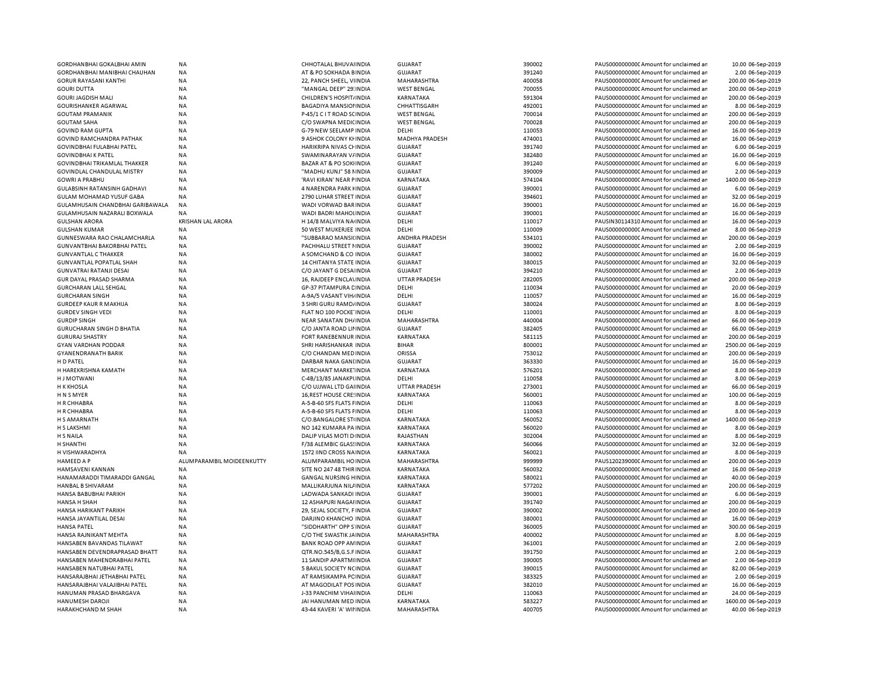| GORDHANBHAI GOKALBHAI AMIN         | NA                        | CHHOTALAL BHUVAI INDIA             | <b>GUJARAT</b>        | 390002 | PAUS0000000000 Amount for unclaimed ar | 10.00 06-Sep-2019   |
|------------------------------------|---------------------------|------------------------------------|-----------------------|--------|----------------------------------------|---------------------|
| GORDHANBHAI MANIBHAI CHAUHAN       | NA                        | AT & PO SOKHADA BINDIA             | <b>GUJARAT</b>        | 391240 | PAUS0000000000 Amount for unclaimed ar | 2.00 06-Sep-2019    |
| <b>GORUR RAYASANI KANTHI</b>       | <b>NA</b>                 | 22, PANCH SHEEL, VIINDIA           | MAHARASHTRA           | 400058 | PAUS0000000000 Amount for unclaimed ar | 200.00 06-Sep-2019  |
| <b>GOURI DUTTA</b>                 | <b>NA</b>                 | "MANGAL DEEP" 29: INDIA            | <b>WEST BENGAL</b>    | 700055 | PAUS0000000000CAmount for unclaimed ar | 200.00 06-Sep-2019  |
| <b>GOURI JAGDISH MALI</b>          | <b>NA</b>                 | CHILDREN'S HOSPIT/ INDIA           | <b>KARNATAKA</b>      | 591304 | PAUS0000000000 Amount for unclaimed ar | 200.00 06-Sep-2019  |
| GOURISHANKER AGARWAL               | NA                        | <b>BAGADIYA MANSIOI INDIA</b>      | CHHATTISGARH          | 492001 | PAUS0000000000 Amount for unclaimed ar | 8.00 06-Sep-2019    |
| <b>GOUTAM PRAMANIK</b>             | <b>NA</b>                 | P-45/1 C I T ROAD SCINDIA          | <b>WEST BENGAL</b>    | 700014 | PAUS0000000000 Amount for unclaimed ar | 200.00 06-Sep-2019  |
| <b>GOUTAM SAHA</b>                 | <b>NA</b>                 | C/O SWAPNA MEDICINDIA              | <b>WEST BENGAL</b>    | 700028 | PAUS0000000000 Amount for unclaimed ar | 200.00 06-Sep-2019  |
| <b>GOVIND RAM GUPTA</b>            | <b>NA</b>                 | G-79 NEW SEELAMP INDIA             | DELHI                 | 110053 | PAUS0000000000 Amount for unclaimed ar | 16.00 06-Sep-2019   |
| GOVIND RAMCHANDRA PATHAK           | NA                        | 9 ASHOK COLONY KI INDIA            | <b>MADHYA PRADESH</b> | 474001 | PAUS0000000000 Amount for unclaimed ar | 16.00 06-Sep-2019   |
| GOVINDBHAI FULABHAI PATEL          | NA                        | HARIKRIPA NIVAS CHINDIA            | <b>GUJARAT</b>        | 391740 | PAUS0000000000CAmount for unclaimed ar | 6.00 06-Sep-2019    |
| <b>GOVINDBHAI K PATEL</b>          | <b>NA</b>                 | SWAMINARAYAN V/INDIA               | <b>GUJARAT</b>        | 382480 | PAUS0000000000 Amount for unclaimed ar | 16.00 06-Sep-2019   |
| GOVINDBHAI TRIKAMLAL THAKKER       | <b>NA</b>                 | <b>BAZAR AT &amp; PO SOKIINDIA</b> | <b>GUJARAT</b>        | 391240 | PAUS0000000000CAmount for unclaimed ar | 6.00 06-Sep-2019    |
| GOVINDLAL CHANDULAL MISTRY         | <b>NA</b>                 | "MADHU KUNJ" 58 NINDIA             | <b>GUJARAT</b>        | 390009 | PAUS0000000000Amount for unclaimed ar  | 2.00 06-Sep-2019    |
| <b>GOWRI A PRABHU</b>              | <b>NA</b>                 | 'RAVI KIRAN' NEAR PINDIA           | KARNATAKA             | 574104 | PAUS0000000000CAmount for unclaimed ar | 1400.00 06-Sep-2019 |
|                                    |                           | 4 NARENDRA PARK HNDIA              | <b>GUJARAT</b>        | 390001 |                                        | 6.00 06-Sep-2019    |
| GULABSINH RATANSINH GADHAVI        | <b>NA</b>                 |                                    |                       |        | PAUS0000000000 Amount for unclaimed ar |                     |
| GULAM MOHAMAD YUSUF GABA           | <b>NA</b>                 | 2790 LUHAR STREET INDIA            | <b>GUJARAT</b>        | 394601 | PAUS0000000000 Amount for unclaimed ar | 32.00 06-Sep-2019   |
| GULAMHUSAIN CHANDBHAI GARIBAWALA   | <b>NA</b>                 | WADI VORWAD BAR INDIA              | <b>GUJARAT</b>        | 390001 | PAUS0000000000 Amount for unclaimed ar | 16.00 06-Sep-2019   |
| GULAMHUSAIN NAZARALI BOXWALA       | <b>NA</b>                 | WADI BADRI MAHOLINDIA              | <b>GUJARAT</b>        | 390001 | PAUS0000000000 Amount for unclaimed ar | 16.00 06-Sep-2019   |
| <b>GULSHAN ARORA</b>               | <b>KRISHAN LAL ARORA</b>  | H 14/8 MALVIYA NA INDIA            | DELHI                 | 110017 | PAUSIN30114310 Amount for unclaimed ar | 16.00 06-Sep-2019   |
| <b>GULSHAN KUMAR</b>               | <b>NA</b>                 | 50 WEST MUKERJEE INDIA             | DELHI                 | 110009 | PAUS0000000000 Amount for unclaimed ar | 8.00 06-Sep-2019    |
| <b>GUNNESWARA RAO CHALAMCHARLA</b> | <b>NA</b>                 | "SUBBARAO MANSI(INDIA              | <b>ANDHRA PRADESH</b> | 534101 | PAUS0000000000 Amount for unclaimed ar | 200.00 06-Sep-2019  |
| <b>GUNVANTBHAI BAKORBHAI PATEL</b> | <b>NA</b>                 | PACHHALU STREET NINDIA             | <b>GUJARAT</b>        | 390002 | PAUS0000000000 Amount for unclaimed ar | 2.00 06-Sep-2019    |
| <b>GUNVANTLAL C THAKKER</b>        | <b>NA</b>                 | A SOMCHAND & CO INDIA              | <b>GUJARAT</b>        | 380002 | PAUS0000000000 Amount for unclaimed ar | 16.00 06-Sep-2019   |
| GUNVANTLAL POPATLAL SHAH           | NA                        | <b>14 CHITANYA STATE INDIA</b>     | <b>GUJARAT</b>        | 380015 | PAUS0000000000 Amount for unclaimed ar | 32.00 06-Sep-2019   |
| <b>GUNVATRAI RATANJI DESAI</b>     | <b>NA</b>                 | C/O JAYANT G DESA INDIA            | <b>GUJARAT</b>        | 394210 | PAUS0000000000 Amount for unclaimed ar | 2.00 06-Sep-2019    |
| GUR DAYAL PRASAD SHARMA            | <b>NA</b>                 | 16, RAJDEEP ENCLA\INDIA            | UTTAR PRADESH         | 282005 | PAUS0000000000 Amount for unclaimed ar | 200.00 06-Sep-2019  |
| <b>GURCHARAN LALL SEHGAL</b>       | <b>NA</b>                 | GP-37 PITAMPURA CINDIA             | DELHI                 | 110034 | PAUS0000000000 Amount for unclaimed ar | 20.00 06-Sep-2019   |
| <b>GURCHARAN SINGH</b>             | <b>NA</b>                 | A-9A/5 VASANT VIH/ INDIA           | DELHI                 | 110057 | PAUS0000000000 Amount for unclaimed ar | 16.00 06-Sep-2019   |
| <b>GURDEEP KAUR R MAKHIJA</b>      | <b>NA</b>                 | 3 SHRI GURU RAMD/INDIA             | <b>GUJARAT</b>        | 380024 | PAUS0000000000 Amount for unclaimed ar | 8.00 06-Sep-2019    |
| <b>GURDEV SINGH VEDI</b>           | <b>NA</b>                 | FLAT NO 100 POCKE INDIA            | DELHI                 | 110001 | PAUS0000000000 Amount for unclaimed ar | 8.00 06-Sep-2019    |
| <b>GURDIP SINGH</b>                | NA                        | NEAR SANATAN DH/INDIA              | MAHARASHTRA           | 440004 | PAUS0000000000 Amount for unclaimed ar | 66.00 06-Sep-2019   |
| <b>GURUCHARAN SINGH D BHATIA</b>   | <b>NA</b>                 | C/O JANTA ROAD LII INDIA           | <b>GUJARAT</b>        | 382405 | PAUS0000000000 Amount for unclaimed ar | 66.00 06-Sep-2019   |
| <b>GURURAJ SHASTRY</b>             | <b>NA</b>                 | FORT RANEBENNUR INDIA              | KARNATAKA             | 581115 | PAUS0000000000 Amount for unclaimed ar | 200.00 06-Sep-2019  |
| <b>GYAN VARDHAN PODDAR</b>         | <b>NA</b>                 | SHRI HARISHANKAR INDIA             | <b>BIHAR</b>          | 800001 | PAUS0000000000 Amount for unclaimed ar | 2500.00 06-Sep-2019 |
|                                    |                           |                                    |                       |        |                                        |                     |
| <b>GYANENDRANATH BARIK</b>         | NA                        | C/O CHANDAN MED INDIA              | ORISSA                | 753012 | PAUS0000000000 Amount for unclaimed ar | 200.00 06-Sep-2019  |
| H D PATEL                          | NA                        | DARBAR NAKA GANLINDIA              | <b>GUJARAT</b>        | 363330 | PAUS0000000000 Amount for unclaimed ar | 16.00 06-Sep-2019   |
| H HAREKRISHNA KAMATH               | NA                        | MERCHANT MARKE INDIA               | KARNATAKA             | 576201 | PAUS0000000000 Amount for unclaimed ar | 8.00 06-Sep-2019    |
| <b>HJMOTWANI</b>                   | NA                        | C-4B/13/85 JANAKPUNDIA             | DELHI                 | 110058 | PAUS0000000000CAmount for unclaimed ar | 8.00 06-Sep-2019    |
| <b>H K KHOSLA</b>                  | NA                        | C/O UJJWAL LTD GAIINDIA            | UTTAR PRADESH         | 273001 | PAUS0000000000 Amount for unclaimed ar | 66.00 06-Sep-2019   |
| H N S MYER                         | NA                        | <b>16, REST HOUSE CRE: INDIA</b>   | KARNATAKA             | 560001 | PAUS0000000000CAmount for unclaimed ar | 100.00 06-Sep-2019  |
| H R CHHABRA                        | NA                        | A-5-B-60 SFS FLATS FINDIA          | DELHI                 | 110063 | PAUS0000000000CAmount for unclaimed ar | 8.00 06-Sep-2019    |
| H R CHHABRA                        | NA                        | A-5-B-60 SFS FLATS FINDIA          | DELHI                 | 110063 | PAUS0000000000 Amount for unclaimed ar | 8.00 06-Sep-2019    |
| H S AMARNATH                       | <b>NA</b>                 | C/O.BANGALORE STUNDIA              | KARNATAKA             | 560052 | PAUS0000000000 Amount for unclaimed ar | 1400.00 06-Sep-2019 |
| H S LAKSHMI                        | <b>NA</b>                 | NO 142 KUMARA PA INDIA             | KARNATAKA             | 560020 | PAUS0000000000 Amount for unclaimed ar | 8.00 06-Sep-2019    |
| H S NAILA                          | <b>NA</b>                 | DALIP VILAS MOTI D INDIA           | RAJASTHAN             | 302004 | PAUS0000000000 Amount for unclaimed ar | 8.00 06-Sep-2019    |
| H SHANTHI                          | NA                        | F/38 ALEMBIC GLASSINDIA            | KARNATAKA             | 560066 | PAUS0000000000 Amount for unclaimed ar | 32.00 06-Sep-2019   |
| H VISHWARADHYA                     | <b>NA</b>                 | 1572 IIND CROSS NAINDIA            | KARNATAKA             | 560021 | PAUS0000000000 Amount for unclaimed ar | 8.00 06-Sep-2019    |
| <b>HAMEED A P</b>                  | ALUMPARAMBIL MOIDEENKUTTY | ALUMPARAMBIL HO INDIA              | MAHARASHTRA           | 999999 | PAUS1202390000 Amount for unclaimed ar | 200.00 06-Sep-2019  |
| HAMSAVENI KANNAN                   | <b>NA</b>                 | SITE NO 247 48 THIR INDIA          | KARNATAKA             | 560032 | PAUS0000000000 Amount for unclaimed ar | 16.00 06-Sep-2019   |
| HANAMARADDI TIMARADDI GANGAL       | NA                        | <b>GANGAL NURSING HINDIA</b>       | KARNATAKA             | 580021 | PAUS0000000000 Amount for unclaimed ar | 40.00 06-Sep-2019   |
| HANBAL B SHIVARAM                  | <b>NA</b>                 | MALLIKARJUNA NILI INDIA            | KARNATAKA             | 577202 | PAUS0000000000 Amount for unclaimed ar | 200.00 06-Sep-2019  |
| HANSA BABUBHAI PARIKH              | <b>NA</b>                 | LADWADA SANKADI INDIA              | <b>GUJARAT</b>        | 390001 | PAUS0000000000 Amount for unclaimed ar | 6.00 06-Sep-2019    |
| <b>HANSA H SHAH</b>                | <b>NA</b>                 | 12 ASHAPURI NAGAI INDIA            | <b>GUJARAT</b>        | 391740 | PAUS0000000000 Amount for unclaimed ar | 200.00 06-Sep-2019  |
| HANSA HARIKANT PARIKH              | <b>NA</b>                 | 29, SEJAL SOCIETY, FINDIA          | <b>GUJARAT</b>        | 390002 | PAUS0000000000 Amount for unclaimed ar | 200.00 06-Sep-2019  |
| HANSA JAYANTILAL DESAI             | <b>NA</b>                 | DARJINO KHANCHO INDIA              | <b>GUJARAT</b>        | 380001 | PAUS0000000000 Amount for unclaimed ar | 16.00 06-Sep-2019   |
|                                    | <b>NA</b>                 |                                    |                       |        |                                        |                     |
| <b>HANSA PATEL</b>                 |                           | "SIDDHARTH" OPP S INDIA            | <b>GUJARAT</b>        | 360005 | PAUS0000000000CAmount for unclaimed ar | 300.00 06-Sep-2019  |
| HANSA RAJNIKANT MEHTA              | <b>NA</b>                 | C/O THE SWASTIK JAINDIA            | MAHARASHTRA           | 400002 | PAUS0000000000 Amount for unclaimed ar | 8.00 06-Sep-2019    |
| HANSABEN BAVANDAS TILAWAT          | <b>NA</b>                 | BANK ROAD OPP AM INDIA             | <b>GUJARAT</b>        | 361001 | PAUS0000000000CAmount for unclaimed ar | 2.00 06-Sep-2019    |
| HANSABEN DEVENDRAPRASAD BHATT      | <b>NA</b>                 | QTR.NO.545/B,G.S.F INDIA           | <b>GUJARAT</b>        | 391750 | PAUS0000000000 Amount for unclaimed ar | 2.00 06-Sep-2019    |
| HANSABEN MAHENDRABHAI PATEL        | NA                        | 11 SANDIP APARTMIINDIA             | <b>GUJARAT</b>        | 390005 | PAUS0000000000 Amount for unclaimed ar | 2.00 06-Sep-2019    |
| HANSABEN NATUBHAI PATEL            | NA                        | 5 BAKUL SOCIETY NCINDIA            | <b>GUJARAT</b>        | 390015 | PAUS0000000000 Amount for unclaimed ar | 82.00 06-Sep-2019   |
| HANSARAJBHAI JETHABHAI PATEL       | <b>NA</b>                 | AT RAMSIKAMPA PC INDIA             | <b>GUJARAT</b>        | 383325 | PAUS0000000000 Amount for unclaimed ar | 2.00 06-Sep-2019    |
| HANSARAJBHAI VALAJIBHAI PATEL      | NA                        | AT MAGODILAT POS INDIA             | <b>GUJARAT</b>        | 382010 | PAUS0000000000CAmount for unclaimed ar | 16.00 06-Sep-2019   |
| HANUMAN PRASAD BHARGAVA            | <b>NA</b>                 | J-33 PANCHIM VIHAIINDIA            | DELHI                 | 110063 | PAUS0000000000 Amount for unclaimed ar | 24.00 06-Sep-2019   |
| HANUMESH DAROJI                    | NA                        | JAI HANUMAN MED INDIA              | KARNATAKA             | 583227 | PAUS0000000000 Amount for unclaimed ar | 1600.00 06-Sep-2019 |
| HARAKHCHAND M SHAH                 | <b>NA</b>                 | 43-44 KAVERI 'A' WII INDIA         | MAHARASHTRA           | 400705 | PAUS0000000000CAmount for unclaimed ar | 40.00 06-Sep-2019   |
|                                    |                           |                                    |                       |        |                                        |                     |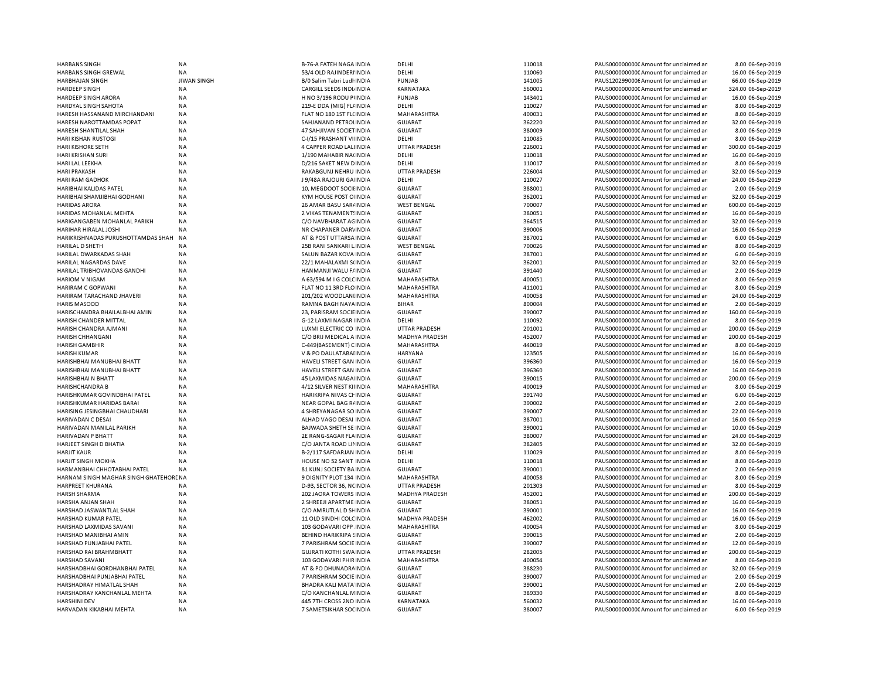| <b>HARBANS SINGH</b>                  | NA                 | <b>B-76-A FATEH NAGA INDIA</b> | DELHI                | 110018 | PAUS0000000000 Amount for unclaimed ar | 8.00 06-Sep-2019   |
|---------------------------------------|--------------------|--------------------------------|----------------------|--------|----------------------------------------|--------------------|
| HARBANS SINGH GREWAL                  | NA                 | 53/4 OLD RAJINDERIINDIA        | DELHI                | 110060 | PAUS0000000000 Amount for unclaimed ar | 16.00 06-Sep-2019  |
| HARBHAJAN SINGH                       | <b>JIWAN SINGH</b> | B/0 Salim Tabri Ludł INDIA     | <b>PUNJAB</b>        | 141005 | PAUS1202990006 Amount for unclaimed ar | 66.00 06-Sep-2019  |
| <b>HARDEEP SINGH</b>                  | <b>NA</b>          | CARGILL SEEDS INDIJINDIA       | KARNATAKA            | 560001 | PAUS0000000000 Amount for unclaimed ar | 324.00 06-Sep-2019 |
| HARDEEP SINGH ARORA                   | NA                 | H NO 3/196 RODU PIINDIA        | <b>PUNJAB</b>        | 143401 | PAUS0000000000 Amount for unclaimed ar | 16.00 06-Sep-2019  |
| HARDYAL SINGH SAHOTA                  | <b>NA</b>          | 219-E DDA (MIG) FL/ INDIA      | DELHI                | 110027 | PAUS0000000000CAmount for unclaimed ar | 8.00 06-Sep-2019   |
| HARESH HASSANAND MIRCHANDANI          | <b>NA</b>          | FLAT NO 180 1ST FL(INDIA       | MAHARASHTRA          | 400031 | PAUS0000000000 Amount for unclaimed ar | 8.00 06-Sep-2019   |
| HARESH NAROTTAMDAS POPAT              | <b>NA</b>          | SAHJANAND PETROLINDIA          | <b>GUJARAT</b>       | 362220 | PAUS0000000000 Amount for unclaimed ar | 32.00 06-Sep-2019  |
| HARESH SHANTILAL SHAH                 | <b>NA</b>          | 47 SAHJIVAN SOCIETINDIA        | <b>GUJARAT</b>       | 380009 | PAUS0000000000 Amount for unclaimed ar | 8.00 06-Sep-2019   |
|                                       |                    |                                |                      |        |                                        |                    |
| HARI KISHAN RUSTOGI                   | <b>NA</b>          | C-I/15 PRASHANT VI INDIA       | DELHI                | 110085 | PAUS0000000000 Amount for unclaimed ar | 8.00 06-Sep-2019   |
| <b>HARI KISHORE SETH</b>              | <b>NA</b>          | 4 CAPPER ROAD LALINDIA         | <b>UTTAR PRADESH</b> | 226001 | PAUS0000000000 Amount for unclaimed ar | 300.00 06-Sep-2019 |
| HARI KRISHAN SURI                     | NA                 | 1/190 MAHABIR NA(INDIA         | DELHI                | 110018 | PAUS0000000000CAmount for unclaimed ar | 16.00 06-Sep-2019  |
| HARI LAL LEEKHA                       | NA                 | D/216 SAKET NEW DINDIA         | DELHI                | 110017 | PAUS0000000000CAmount for unclaimed ar | 8.00 06-Sep-2019   |
| <b>HARI PRAKASH</b>                   | <b>NA</b>          | RAKABGUNJ NEHRU INDIA          | <b>UTTAR PRADESH</b> | 226004 | PAUS0000000000CAmount for unclaimed ar | 32.00 06-Sep-2019  |
| HARI RAM GADHOK                       | <b>NA</b>          | J 9/48A RAJOURI GA INDIA       | DELHI                | 110027 | PAUS00000000000Amount for unclaimed ar | 24.00 06-Sep-2019  |
| HARIBHAI KALIDAS PATEL                | <b>NA</b>          | 10, MEGDOOT SOCII INDIA        | GUJARAT              | 388001 | PAUS0000000000CAmount for unclaimed ar | 2.00 06-Sep-2019   |
| HARIBHAI SHAMJIBHAI GODHANI           | <b>NA</b>          | KYM HOUSE POST O INDIA         | <b>GUJARAT</b>       | 362001 | PAUS0000000000CAmount for unclaimed ar | 32.00 06-Sep-2019  |
| <b>HARIDAS ARORA</b>                  | <b>NA</b>          | 26 AMAR BASU SAR/ INDIA        | <b>WEST BENGAL</b>   | 700007 | PAUS0000000000CAmount for unclaimed ar | 600.00 06-Sep-2019 |
| HARIDAS MOHANLAL MEHTA                | <b>NA</b>          | 2 VIKAS TENAMENT: INDIA        | <b>GUJARAT</b>       | 380051 | PAUS0000000000 Amount for unclaimed ar | 16.00 06-Sep-2019  |
| HARIGANGABEN MOHANLAL PARIKH          | NA                 | C/O NAVBHARAT AGINDIA          | <b>GUJARAT</b>       | 364515 | PAUS0000000000CAmount for unclaimed ar | 32.00 06-Sep-2019  |
| HARIHAR HIRALAL JOSHI                 | NA                 | NR CHAPANER DARVINDIA          | <b>GUJARAT</b>       | 390006 | PAUS0000000000CAmount for unclaimed ar | 16.00 06-Sep-2019  |
| HARIKRISHNADAS PURUSHOTTAMDAS SHAH    | <b>NA</b>          | AT & POST UTTARSA INDIA        | GUJARAT              | 387001 | PAUS00000000000Amount for unclaimed an | 6.00 06-Sep-2019   |
|                                       |                    |                                |                      |        |                                        |                    |
| <b>HARILAL D SHETH</b>                | <b>NA</b>          | 25B RANI SANKARI LINDIA        | <b>WEST BENGAL</b>   | 700026 | PAUS0000000000 Amount for unclaimed ar | 8.00 06-Sep-2019   |
| HARILAL DWARKADAS SHAH                | <b>NA</b>          | SALUN BAZAR KOVA INDIA         | <b>GUJARAT</b>       | 387001 | PAUS0000000000 Amount for unclaimed ar | 6.00 06-Sep-2019   |
| <b>HARILAL NAGARDAS DAVE</b>          | <b>NA</b>          | 22/1 MAHALAXMI S(INDIA         | <b>GUJARAT</b>       | 362001 | PAUS0000000000 Amount for unclaimed ar | 32.00 06-Sep-2019  |
| HARILAL TRIBHOVANDAS GANDHI           | NA                 | HANMANJI WALU F/INDIA          | <b>GUJARAT</b>       | 391440 | PAUS0000000000 Amount for unclaimed ar | 2.00 06-Sep-2019   |
| <b>HARIOM V NIGAM</b>                 | <b>NA</b>          | A 63/594 M I G COLCINDIA       | MAHARASHTRA          | 400051 | PAUS0000000000 Amount for unclaimed ar | 8.00 06-Sep-2019   |
| HARIRAM C GOPWANI                     | NA                 | FLAT NO 11 3RD FLOINDIA        | MAHARASHTRA          | 411001 | PAUS0000000000 Amount for unclaimed ar | 8.00 06-Sep-2019   |
| HARIRAM TARACHAND JHAVERI             | <b>NA</b>          | 201/202 WOODLANIINDIA          | <b>MAHARASHTRA</b>   | 400058 | PAUS0000000000 Amount for unclaimed ar | 24.00 06-Sep-2019  |
| <b>HARIS MASOOD</b>                   | NA                 | RAMNA BAGH NAYA INDIA          | <b>BIHAR</b>         | 800004 | PAUS0000000000CAmount for unclaimed ar | 2.00 06-Sep-2019   |
| HARISCHANDRA BHAILALBHAI AMIN         | NA                 | 23, PARISRAM SOCIEINDIA        | <b>GUJARAT</b>       | 390007 | PAUS0000000000 Amount for unclaimed ar | 160.00 06-Sep-2019 |
| HARISH CHANDER MITTAL                 | <b>NA</b>          | G-12 LAXMI NAGAR INDIA         | DELHI                | 110092 | PAUS0000000000 Amount for unclaimed ar | 8.00 06-Sep-2019   |
| HARISH CHANDRA AJMANI                 | <b>NA</b>          | LUXMI ELECTRIC CO INDIA        | <b>UTTAR PRADESH</b> | 201001 | PAUS0000000000 Amount for unclaimed ar | 200.00 06-Sep-2019 |
|                                       |                    |                                |                      |        |                                        |                    |
| HARISH CHHANGANI                      | NA                 | C/O BRIJ MEDICAL A INDIA       | MADHYA PRADESH       | 452007 | PAUS0000000000CAmount for unclaimed ar | 200.00 06-Sep-2019 |
| <b>HARISH GAMBHIR</b>                 | NA                 | C-449(BASEMENT) CINDIA         | MAHARASHTRA          | 440019 | PAUS0000000000 Amount for unclaimed ar | 8.00 06-Sep-2019   |
| <b>HARISH KUMAR</b>                   | <b>NA</b>          | V & PO DAULATABAI INDIA        | <b>HARYANA</b>       | 123505 | PAUS0000000000 Amount for unclaimed ar | 16.00 06-Sep-2019  |
| HARISHBHAI MANUBHAI BHATT             | <b>NA</b>          | HAVELI STREET GAN INDIA        | <b>GUJARAT</b>       | 396360 | PAUS0000000000 Amount for unclaimed ar | 16.00 06-Sep-2019  |
| HARISHBHAI MANUBHAI BHATT             | <b>NA</b>          | HAVELI STREET GAN INDIA        | <b>GUJARAT</b>       | 396360 | PAUS0000000000 Amount for unclaimed ar | 16.00 06-Sep-2019  |
| HARISHBHAI N BHATT                    | NA                 | 45 LAXMIDAS NAGA INDIA         | <b>GUJARAT</b>       | 390015 | PAUS0000000000 Amount for unclaimed ar | 200.00 06-Sep-2019 |
| <b>HARISHCHANDRA B</b>                | NA                 | 4/12 SILVER NEST KIIINDIA      | MAHARASHTRA          | 400019 | PAUS00000000000Amount for unclaimed an | 8.00 06-Sep-2019   |
| HARISHKUMAR GOVINDBHAI PATEL          | NA                 | HARIKRIPA NIVAS CHINDIA        | GUJARAT              | 391740 | PAUS0000000000CAmount for unclaimed ar | 6.00 06-Sep-2019   |
| HARISHKUMAR HARIDAS BARAI             | <b>NA</b>          | NEAR GOPAL BAG R/INDIA         | GUJARAT              | 390002 | PAUS0000000000CAmount for unclaimed ar | 2.00 06-Sep-2019   |
| HARISING JESINGBHAI CHAUDHARI         | <b>NA</b>          | 4 SHREYANAGAR SO INDIA         | <b>GUJARAT</b>       | 390007 | PAUS0000000000CAmount for unclaimed ar | 22.00 06-Sep-2019  |
| HARIVADAN C DESAI                     | <b>NA</b>          | ALHAD VAGO DESAI INDIA         | GUJARAT              | 387001 | PAUS0000000000CAmount for unclaimed ar | 16.00 06-Sep-2019  |
|                                       |                    |                                |                      |        |                                        |                    |
| HARIVADAN MANILAL PARIKH              | <b>NA</b>          | BAJWADA SHETH SE INDIA         | <b>GUJARAT</b>       | 390001 | PAUS0000000000CAmount for unclaimed ar | 10.00 06-Sep-2019  |
| HARIVADAN P BHATT                     | <b>NA</b>          | 2E RANG-SAGAR FLAINDIA         | <b>GUJARAT</b>       | 380007 | PAUS0000000000 Amount for unclaimed ar | 24.00 06-Sep-2019  |
| HARJEET SINGH D BHATIA                | <b>NA</b>          | C/O JANTA ROAD LII INDIA       | <b>GUJARAT</b>       | 382405 | PAUS0000000000CAmount for unclaimed ar | 32.00 06-Sep-2019  |
| <b>HARJIT KAUR</b>                    | <b>NA</b>          | B-2/117 SAFDARJAN INDIA        | DELHI                | 110029 | PAUS0000000000CAmount for unclaimed ar | 8.00 06-Sep-2019   |
| <b>HARJIT SINGH MOKHA</b>             | <b>NA</b>          | HOUSE NO 52 SANT INDIA         | DELHI                | 110018 | PAUS0000000000CAmount for unclaimed ar | 8.00 06-Sep-2019   |
| HARMANBHAI CHHOTABHAI PATEL           | <b>NA</b>          | 81 KUNJ SOCIETY BA INDIA       | <b>GUJARAT</b>       | 390001 | PAUS0000000000CAmount for unclaimed ar | 2.00 06-Sep-2019   |
| HARNAM SINGH MAGHAR SINGH GHATEHORENA |                    | 9 DIGNITY PLOT 134 INDIA       | MAHARASHTRA          | 400058 | PAUS0000000000 Amount for unclaimed ar | 8.00 06-Sep-2019   |
| HARPREET KHURANA                      | NA                 | D-93, SECTOR 36, NCINDIA       | <b>UTTAR PRADESH</b> | 201303 | PAUS0000000000CAmount for unclaimed ar | 8.00 06-Sep-2019   |
| <b>HARSH SHARMA</b>                   | <b>NA</b>          | 202 JAORA TOWERS INDIA         | MADHYA PRADESH       | 452001 | PAUS0000000000 Amount for unclaimed ar | 200.00 06-Sep-2019 |
| HARSHA ANJAN SHAH                     | <b>NA</b>          | 2 SHREEJI APARTME INDIA        | <b>GUJARAT</b>       | 380051 | PAUS0000000000CAmount for unclaimed ar | 16.00 06-Sep-2019  |
| HARSHAD JASWANTLAL SHAH               | <b>NA</b>          | C/O AMRUTLAL D SHINDIA         | <b>GUJARAT</b>       | 390001 | PAUS0000000000 Amount for unclaimed ar | 16.00 06-Sep-2019  |
| HARSHAD KUMAR PATEL                   | <b>NA</b>          | 11 OLD SINDHI COLC INDIA       | MADHYA PRADESH       | 462002 | PAUS0000000000 Amount for unclaimed ar | 16.00 06-Sep-2019  |
| HARSHAD LAXMIDAS SAVANI               | <b>NA</b>          | 103 GODAVARI OPP INDIA         | MAHARASHTRA          | 400054 | PAUS0000000000 Amount for unclaimed ar | 8.00 06-Sep-2019   |
|                                       |                    |                                |                      |        |                                        |                    |
| HARSHAD MANIBHAI AMIN                 | <b>NA</b>          | <b>BEHIND HARIKRIPA SINDIA</b> | <b>GUJARAT</b>       | 390015 | PAUS0000000000 Amount for unclaimed ar | 2.00 06-Sep-2019   |
| HARSHAD PUNJABHAI PATEL               | <b>NA</b>          | 7 PARISHRAM SOCIE INDIA        | <b>GUJARAT</b>       | 390007 | PAUS0000000000 Amount for unclaimed ar | 12.00 06-Sep-2019  |
| HARSHAD RAI BRAHMBHATT                | <b>NA</b>          | <b>GUJRATI KOTHI SWA INDIA</b> | <b>UTTAR PRADESH</b> | 282005 | PAUS0000000000 Amount for unclaimed ar | 200.00 06-Sep-2019 |
| HARSHAD SAVANI                        | <b>NA</b>          | 103 GODAVARI PHIR INDIA        | MAHARASHTRA          | 400054 | PAUS0000000000 Amount for unclaimed ar | 8.00 06-Sep-2019   |
| HARSHADBHAI GORDHANBHAI PATEL         | NA                 | AT & PO DHUNADRA INDIA         | <b>GUJARAT</b>       | 388230 | PAUS00000000000Amount for unclaimed ar | 32.00 06-Sep-2019  |
| HARSHADBHAI PUNJABHAI PATEL           | <b>NA</b>          | 7 PARISHRAM SOCIE INDIA        | <b>GUJARAT</b>       | 390007 | PAUS0000000000 Amount for unclaimed ar | 2.00 06-Sep-2019   |
| HARSHADRAY HIMATLAL SHAH              | NA                 | BHADRA KALI MATA INDIA         | <b>GUJARAT</b>       | 390001 | PAUS0000000000 Amount for unclaimed ar | 2.00 06-Sep-2019   |
| HARSHADRAY KANCHANLAL MEHTA           | <b>NA</b>          | C/O KANCHANLAL MINDIA          | <b>GUJARAT</b>       | 389330 | PAUS0000000000 Amount for unclaimed ar | 8.00 06-Sep-2019   |
| <b>HARSHINI DEV</b>                   | NA                 | 445 7TH CROSS 2ND INDIA        | KARNATAKA            | 560032 | PAUS0000000000CAmount for unclaimed ar | 16.00 06-Sep-2019  |
| HARVADAN KIKABHAI MEHTA               | <b>NA</b>          | 7 SAMETSIKHAR SOCINDIA         | <b>GUJARAT</b>       | 380007 | PAUS0000000000CAmount for unclaimed ar | 6.00 06-Sep-2019   |
|                                       |                    |                                |                      |        |                                        |                    |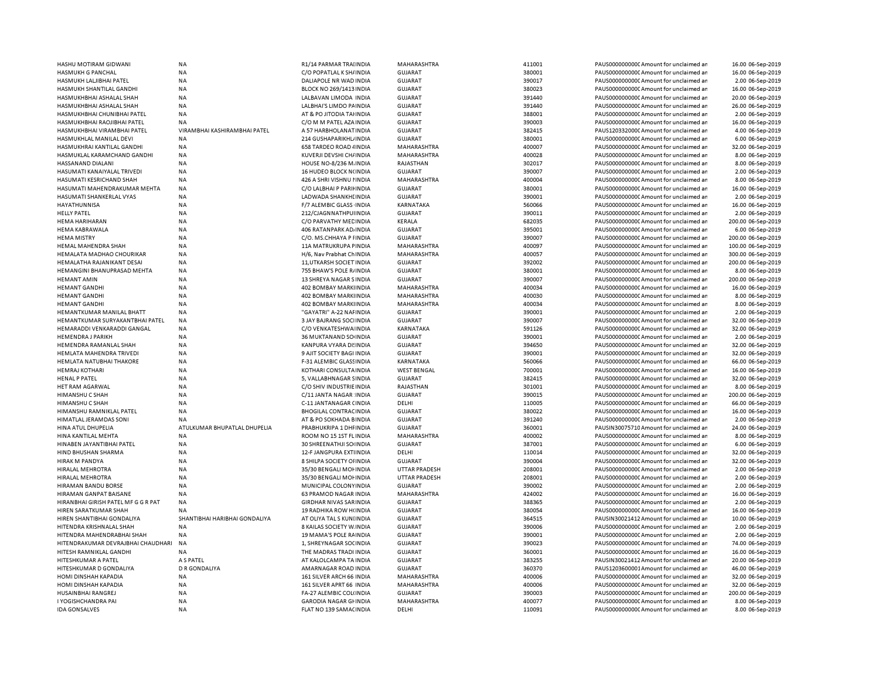| HASHU MOTIRAM GIDWANI               | <b>NA</b>                     | R1/14 PARMAR TRAIINDIA         | MAHARASHTRA        | 411001 | PAUS0000000000 Amount for unclaimed ar  | 16.00 06-Sep-2019  |
|-------------------------------------|-------------------------------|--------------------------------|--------------------|--------|-----------------------------------------|--------------------|
|                                     |                               |                                |                    | 380001 |                                         |                    |
| <b>HASMUKH G PANCHAL</b>            | <b>NA</b>                     | C/O POPATLAL K SH/ INDIA       | <b>GUJARAT</b>     |        | PAUS0000000000 Amount for unclaimed ar  | 16.00 06-Sep-2019  |
| HASMUKH LALJIBHAI PATEL             | <b>NA</b>                     | DALIAPOLE NR WAD INDIA         | <b>GUJARAT</b>     | 390017 | PAUS0000000000 Amount for unclaimed ar  | 2.00 06-Sep-2019   |
| HASMUKH SHANTILAL GANDHI            | <b>NA</b>                     | <b>BLOCK NO 269/1413 INDIA</b> | <b>GUJARAT</b>     | 380023 | PAUS0000000000 Amount for unclaimed ar  | 16.00 06-Sep-2019  |
|                                     |                               |                                | <b>GUJARAT</b>     | 391440 |                                         |                    |
| HASMUKHBHAI ASHALAL SHAH            | <b>NA</b>                     | LALBAVAN LIMODA INDIA          |                    |        | PAUS0000000000 Amount for unclaimed ar  | 20.00 06-Sep-2019  |
| HASMUKHBHAI ASHALAL SHAH            | <b>NA</b>                     | LALBHAI'S LIMDO PAINDIA        | <b>GUJARAT</b>     | 391440 | PAUS0000000000 Amount for unclaimed ar  | 26.00 06-Sep-2019  |
| HASMUKHBHAI CHUNIBHAI PATEL         | <b>NA</b>                     | AT & PO JITODIA TAHNDIA        | <b>GUJARAT</b>     | 388001 | PAUS0000000000 Amount for unclaimed ar  | 2.00 06-Sep-2019   |
|                                     |                               |                                |                    |        |                                         |                    |
| HASMUKHBHAI RAOJIBHAI PATEL         | NA                            | C/O M M PATEL AZA INDIA        | <b>GUJARAT</b>     | 390003 | PAUS0000000000C Amount for unclaimed ar | 16.00 06-Sep-2019  |
| HASMUKHBHAI VIRAMBHAI PATEL         | VIRAMBHAI KASHIRAMBHAI PATEL  | A 57 HARBHOLANAT INDIA         | <b>GUJARAT</b>     | 382415 | PAUS1203320000 Amount for unclaimed ar  | 4.00 06-Sep-2019   |
| HASMUKHLAL MANILAL DEVI             | NA                            | 214 GUSHAPARIKHL INDIA         | <b>GUJARAT</b>     | 380001 | PAUS0000000000 Amount for unclaimed ar  | 6.00 06-Sep-2019   |
|                                     |                               |                                |                    |        |                                         |                    |
| HASMUKHRAI KANTILAL GANDHI          | NA                            | 658 TARDEO ROAD 4 INDIA        | MAHARASHTRA        | 400007 | PAUS0000000000 Amount for unclaimed ar  | 32.00 06-Sep-2019  |
| HASMUKLAL KARAMCHAND GANDHI         | <b>NA</b>                     | KUVERJI DEVSHI CH/ INDIA       | MAHARASHTRA        | 400028 | PAUS0000000000CAmount for unclaimed ar  | 8.00 06-Sep-2019   |
| HASSANAND DIALANI                   | <b>NA</b>                     | HOUSE NO-8/236 M. INDIA        | RAJASTHAN          | 302017 | PAUS0000000000 Amount for unclaimed ar  | 8.00 06-Sep-2019   |
|                                     |                               |                                |                    |        |                                         |                    |
| HASUMATI KANAIYALAL TRIVEDI         | <b>NA</b>                     | 16 HUDEO BLOCK N(INDIA         | GUJARAT            | 390007 | PAUS0000000000CAmount for unclaimed ar  | 2.00 06-Sep-2019   |
| HASUMATI KESRICHAND SHAH            | NA                            | 426 A SHRI VISHNU I INDIA      | MAHARASHTRA        | 400004 | PAUS0000000000 Amount for unclaimed ar  | 8.00 06-Sep-2019   |
| HASUMATI MAHENDRAKUMAR MEHTA        | <b>NA</b>                     | C/O LALBHAI P PARIHNDIA        | <b>GUJARAT</b>     | 380001 | PAUS0000000000CAmount for unclaimed ar  | 16.00 06-Sep-2019  |
|                                     |                               |                                |                    |        |                                         |                    |
| HASUMATI SHANKERLAL VYAS            | <b>NA</b>                     | LADWADA SHANKHI INDIA          | <b>GUJARAT</b>     | 390001 | PAUS0000000000C Amount for unclaimed ar | 2.00 06-Sep-2019   |
| HAYATHUNNISA                        | NA                            | F/7 ALEMBIC GLASS INDIA        | KARNATAKA          | 560066 | PAUS0000000000 Amount for unclaimed ar  | 16.00 06-Sep-2019  |
| <b>HELLY PATEL</b>                  | NA                            | 212/CJAGNNATHPUINDIA           | <b>GUJARAT</b>     | 390011 | PAUS0000000000C Amount for unclaimed ar | 2.00 06-Sep-2019   |
|                                     |                               |                                |                    |        |                                         |                    |
| <b>HEMA HARIHARAN</b>               | NA                            | C/O PARVATHY MEE INDIA         | KERALA             | 682035 | PAUS0000000000 Amount for unclaimed ar  | 200.00 06-Sep-2019 |
| <b>HEMA KABRAWALA</b>               | <b>NA</b>                     | 406 RATANPARK AD INDIA         | <b>GUJARAT</b>     | 395001 | PAUS0000000000C Amount for unclaimed ar | 6.00 06-Sep-2019   |
| <b>HEMA MISTRY</b>                  | <b>NA</b>                     | C/O. MS.CHHAYA P I INDIA       | <b>GUJARAT</b>     | 390007 | PAUS0000000000 Amount for unclaimed ar  | 200.00 06-Sep-2019 |
|                                     |                               |                                |                    |        |                                         |                    |
| HEMAL MAHENDRA SHAH                 | <b>NA</b>                     | 11A MATRUKRUPA FINDIA          | MAHARASHTRA        | 400097 | PAUS0000000000CAmount for unclaimed ar  | 100.00 06-Sep-2019 |
| HEMALATA MADHAO CHOURIKAR           | <b>NA</b>                     | H/6, Nav Prabhat Ch INDIA      | MAHARASHTRA        | 400057 | PAUS0000000000CAmount for unclaimed ar  | 300.00 06-Sep-2019 |
|                                     |                               |                                |                    | 392002 |                                         |                    |
| HEMALATHA RAJANIKANT DESAI          | <b>NA</b>                     | 11, UTKARSH SOCIET IN DIA      | <b>GUJARAT</b>     |        | PAUS0000000000CAmount for unclaimed ar  | 200.00 06-Sep-2019 |
| HEMANGINI BHANUPRASAD MEHTA         | <b>NA</b>                     | 755 BHAW'S POLE R/INDIA        | <b>GUJARAT</b>     | 380001 | PAUS0000000000CAmount for unclaimed ar  | 8.00 06-Sep-2019   |
| <b>HEMANT AMIN</b>                  | <b>NA</b>                     | 13 SHREYA NAGAR SINDIA         | <b>GUJARAT</b>     | 390007 | PAUS0000000000CAmount for unclaimed ar  | 200.00 06-Sep-2019 |
|                                     |                               |                                |                    |        |                                         |                    |
| <b>HEMANT GANDHI</b>                | <b>NA</b>                     | 402 BOMBAY MARKIINDIA          | MAHARASHTRA        | 400034 | PAUS0000000000CAmount for unclaimed ar  | 16.00 06-Sep-2019  |
| <b>HEMANT GANDHI</b>                | <b>NA</b>                     | 402 BOMBAY MARKIINDIA          | MAHARASHTRA        | 400030 | PAUS0000000000CAmount for unclaimed ar  | 8.00 06-Sep-2019   |
| <b>HEMANT GANDHI</b>                | <b>NA</b>                     | 402 BOMBAY MARKIINDIA          | MAHARASHTRA        | 400034 | PAUS0000000000CAmount for unclaimed ar  | 8.00 06-Sep-2019   |
|                                     |                               |                                |                    |        |                                         |                    |
| HEMANTKUMAR MANILAL BHATT           | <b>NA</b>                     | "GAYATRI" A-22 NAI INDIA       | <b>GUJARAT</b>     | 390001 | PAUS0000000000 Amount for unclaimed ar  | 2.00 06-Sep-2019   |
| HEMANTKUMAR SURYAKANTBHAI PATEL     | <b>NA</b>                     | 3 JAY BAJRANG SOCHNDIA         | GUJARAT            | 390007 | PAUS0000000000CAmount for unclaimed ar  | 32.00 06-Sep-2019  |
| HEMARADDI VENKARADDI GANGAL         | <b>NA</b>                     | C/O VENKATESHWA INDIA          | KARNATAKA          | 591126 | PAUS0000000000 Amount for unclaimed ar  | 32.00 06-Sep-2019  |
|                                     |                               |                                |                    |        |                                         |                    |
| <b>HEMENDRA J PARIKH</b>            | <b>NA</b>                     | 36 MUKTANAND SO INDIA          | GUJARAT            | 390001 | PAUS0000000000CAmount for unclaimed ar  | 2.00 06-Sep-2019   |
| HEMENDRA RAMANLAL SHAH              | <b>NA</b>                     | KANPURA VYARA DI INDIA         | <b>GUJARAT</b>     | 394650 | PAUS0000000000 Amount for unclaimed ar  | 32.00 06-Sep-2019  |
| HEMLATA MAHENDRA TRIVEDI            | <b>NA</b>                     | 9 AJIT SOCIETY BAGI INDIA      | <b>GUJARAT</b>     | 390001 | PAUS0000000000 Amount for unclaimed ar  | 32.00 06-Sep-2019  |
|                                     |                               |                                |                    |        |                                         |                    |
| HEMLATA NATUBHAI THAKORE            | <b>NA</b>                     | F-31 ALEMBIC GLASS INDIA       | KARNATAKA          | 560066 | PAUS00000000000 Amount for unclaimed ar | 66.00 06-Sep-2019  |
| <b>HEMRAJ KOTHARI</b>               | <b>NA</b>                     | KOTHARI CONSULTA INDIA         | <b>WEST BENGAL</b> | 700001 | PAUS0000000000 Amount for unclaimed ar  | 16.00 06-Sep-2019  |
| <b>HENAL P PATEL</b>                | <b>NA</b>                     | 5, VALLABHNAGAR SINDIA         | <b>GUJARAT</b>     | 382415 | PAUS0000000000 Amount for unclaimed ar  | 32.00 06-Sep-2019  |
|                                     |                               |                                |                    |        |                                         |                    |
| HET RAM AGARWAL                     | <b>NA</b>                     | C/O SHIV INDUSTRIE INDIA       | RAJASTHAN          | 301001 | PAUS0000000000CAmount for unclaimed ar  | 8.00 06-Sep-2019   |
| HIMANSHU C SHAH                     | <b>NA</b>                     | C/11 JANTA NAGAR INDIA         | <b>GUJARAT</b>     | 390015 | PAUS0000000000 Amount for unclaimed ar  | 200.00 06-Sep-2019 |
| <b>HIMANSHU C SHAH</b>              | <b>NA</b>                     | C-11 JANTANAGAR (INDIA         | DELHI              | 110005 | PAUS0000000000 Amount for unclaimed ar  | 66.00 06-Sep-2019  |
|                                     |                               |                                |                    |        |                                         |                    |
| HIMANSHU RAMNIKLAL PATEL            | NA                            | <b>BHOGILAL CONTRAC INDIA</b>  | <b>GUJARAT</b>     | 380022 | PAUS0000000000 Amount for unclaimed ar  | 16.00 06-Sep-2019  |
| <b>HIMATLAL JERAMDAS SONI</b>       | <b>NA</b>                     | AT & PO SOKHADA BINDIA         | <b>GUJARAT</b>     | 391240 | PAUS0000000000CAmount for unclaimed ar  | 2.00 06-Sep-2019   |
| HINA ATUL DHUPELIA                  | ATULKUMAR BHUPATLAL DHUPELIA  | PRABHUKRIPA 1 DHI INDIA        | <b>GUJARAT</b>     | 360001 | PAUSIN30075710 Amount for unclaimed ar  | 24.00 06-Sep-2019  |
|                                     |                               |                                |                    |        |                                         |                    |
| HINA KANTILAL MEHTA                 | <b>NA</b>                     | ROOM NO 15 1ST FLINDIA         | MAHARASHTRA        | 400002 | PAUS0000000000 Amount for unclaimed ar  | 8.00 06-Sep-2019   |
| HINABEN JAYANTIBHAI PATEL           | <b>NA</b>                     | 30 SHREENATHJI SOHNDIA         | <b>GUJARAT</b>     | 387001 | PAUS0000000000 Amount for unclaimed ar  | 6.00 06-Sep-2019   |
| HIND BHUSHAN SHARMA                 | <b>NA</b>                     | 12-F JANGPURA EXTIINDIA        | DELHI              | 110014 | PAUS0000000000 Amount for unclaimed ar  | 32.00 06-Sep-2019  |
|                                     |                               |                                |                    |        |                                         |                    |
| <b>HIRAK M PANDYA</b>               | <b>NA</b>                     | 8 SHILPA SOCIETY OI INDIA      | <b>GUJARAT</b>     | 390004 | PAUS0000000000 Amount for unclaimed ar  | 32.00 06-Sep-2019  |
| <b>HIRALAL MEHROTRA</b>             | <b>NA</b>                     | 35/30 BENGALI MOHNDIA          | UTTAR PRADESH      | 208001 | PAUS0000000000 Amount for unclaimed ar  | 2.00 06-Sep-2019   |
| <b>HIRALAL MEHROTRA</b>             | NA                            | 35/30 BENGALI MOI INDIA        | UTTAR PRADESH      | 208001 | PAUS0000000000 Amount for unclaimed ar  | 2.00 06-Sep-2019   |
|                                     |                               |                                |                    |        |                                         |                    |
| HIRAMAN BANDU BORSE                 | <b>NA</b>                     | MUNICIPAL COLONY INDIA         | <b>GUJARAT</b>     | 390002 | PAUS0000000000 Amount for unclaimed ar  | 2.00 06-Sep-2019   |
| HIRAMAN GANPAT BAISANE              | <b>NA</b>                     | <b>63 PRAMOD NAGAR INDIA</b>   | MAHARASHTRA        | 424002 | PAUS0000000000 Amount for unclaimed ar  | 16.00 06-Sep-2019  |
|                                     |                               |                                |                    | 388365 | PAUS0000000000CAmount for unclaimed an  | 2.00 06-Sep-2019   |
| HIRANBHAI GIRISH PATEL MF G G R PAT | <b>NA</b>                     | <b>GIRDHAR NIVAS SARINDIA</b>  | <b>GUJARAT</b>     |        |                                         |                    |
| HIREN SARATKUMAR SHAH               | <b>NA</b>                     | <b>19 RADHIKA ROW H(INDIA</b>  | <b>GUJARAT</b>     | 380054 | PAUS0000000000CAmount for unclaimed ar  | 16.00 06-Sep-2019  |
| HIREN SHANTIBHAI GONDALIYA          | SHANTIBHAI HARIBHAI GONDALIYA | AT OLIYA TAL S KUNI INDIA      | <b>GUJARAT</b>     | 364515 | PAUSIN30021412 Amount for unclaimed ar  | 10.00 06-Sep-2019  |
| HITENDRA KRISHNALAL SHAH            | <b>NA</b>                     |                                |                    |        |                                         |                    |
|                                     |                               | 8 KAILAS SOCIETY W. INDIA      | <b>GUJARAT</b>     | 390006 | PAUS0000000000CAmount for unclaimed ar  | 2.00 06-Sep-2019   |
| HITENDRA MAHENDRABHAI SHAH          | <b>NA</b>                     | 19 MAMA'S POLE RAINDIA         | <b>GUJARAT</b>     | 390001 | PAUS0000000000 Amount for unclaimed ar  | 2.00 06-Sep-2019   |
| HITENDRAKUMAR DEVRAJBHAI CHAUDHARI  | <b>NA</b>                     | 1, SHREYNAGAR SOCINDIA         | <b>GUJARAT</b>     | 390023 | PAUS0000000000CAmount for unclaimed ar  | 74.00 06-Sep-2019  |
|                                     |                               |                                |                    |        |                                         |                    |
| HITESH RAMNIKLAL GANDHI             | NA                            | THE MADRAS TRADI INDIA         | <b>GUJARAT</b>     | 360001 | PAUS0000000000 Amount for unclaimed ar  | 16.00 06-Sep-2019  |
| HITESHKUMAR A PATEL                 | A S PATEL                     | AT KALOLCAMPA TA INDIA         | <b>GUJARAT</b>     | 383255 | PAUSIN30021412 Amount for unclaimed ar  | 20.00 06-Sep-2019  |
| HITESHKUMAR D GONDALIYA             | D R GONDALIYA                 | AMARNAGAR ROAD INDIA           | <b>GUJARAT</b>     | 360370 | PAUS1203600001Amount for unclaimed ar   | 46.00 06-Sep-2019  |
|                                     |                               |                                |                    |        |                                         |                    |
| HOMI DINSHAH KAPADIA                | <b>NA</b>                     | 161 SILVER ARCH 66 INDIA       | MAHARASHTRA        | 400006 | PAUS0000000000 Amount for unclaimed ar  | 32.00 06-Sep-2019  |
| HOMI DINSHAH KAPADIA                | <b>NA</b>                     | 161 SILVER APRT 66 INDIA       | MAHARASHTRA        | 400006 | PAUS0000000000C Amount for unclaimed ar | 32.00 06-Sep-2019  |
| HUSAINBHAI RANGREJ                  | <b>NA</b>                     | FA-27 ALEMBIC COL(INDIA        | <b>GUJARAT</b>     | 390003 | PAUS0000000000 Amount for unclaimed ar  | 200.00 06-Sep-2019 |
|                                     |                               |                                |                    |        |                                         |                    |
| I YOGISHCHANDRA PAI                 | <b>NA</b>                     | <b>GARODIA NAGAR GHNDIA</b>    | MAHARASHTRA        | 400077 | PAUS0000000000 Amount for unclaimed ar  | 8.00 06-Sep-2019   |
| <b>IDA GONSALVES</b>                | <b>NA</b>                     | FLAT NO 139 SAMACINDIA         | DELHI              | 110091 | PAUS0000000000C Amount for unclaimed ar | 8.00 06-Sep-2019   |
|                                     |                               |                                |                    |        |                                         |                    |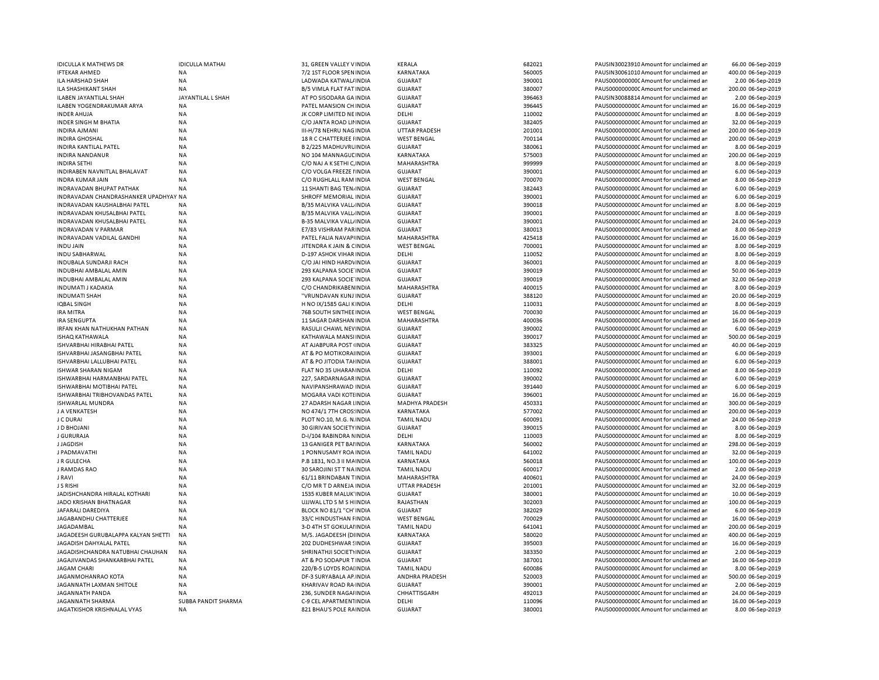| <b>IDICULLA K MATHEWS DR</b>          | <b>IDICULLA MATHAI</b> | 31, GREEN VALLEY V INDIA       | <b>KERALA</b>         | 682021 | PAUSIN30023910 Amount for unclaimed ar | 66.00 06-Sep-2019  |
|---------------------------------------|------------------------|--------------------------------|-----------------------|--------|----------------------------------------|--------------------|
| <b>IFTEKAR AHMED</b>                  | <b>NA</b>              | 7/2 1ST FLOOR SPEN INDIA       | KARNATAKA             | 560005 | PAUSIN30061010 Amount for unclaimed an | 400.00 06-Sep-2019 |
| <b>ILA HARSHAD SHAH</b>               | <b>NA</b>              | LADWADA KATWAL/ INDIA          | <b>GUJARAT</b>        | 390001 | PAUS0000000000 Amount for unclaimed ar | 2.00 06-Sep-2019   |
| ILA SHASHIKANT SHAH                   | <b>NA</b>              | B/5 VIMLA FLAT FAT INDIA       | <b>GUJARAT</b>        | 380007 | PAUS0000000000 Amount for unclaimed ar | 200.00 06-Sep-2019 |
| ILABEN JAYANTILAL SHAH                | JAYANTILAL L SHAH      | AT PO SISODARA GA INDIA        | <b>GUJARAT</b>        | 396463 | PAUSIN30088814 Amount for unclaimed ar | 2.00 06-Sep-2019   |
| ILABEN YOGENDRAKUMAR ARYA             | <b>NA</b>              | PATEL MANSION CH INDIA         | <b>GUJARAT</b>        | 396445 | PAUS0000000000 Amount for unclaimed an | 16.00 06-Sep-2019  |
| <b>INDER AHUJA</b>                    | <b>NA</b>              | JK CORP LIMITED NE INDIA       | DELHI                 | 110002 | PAUS0000000000 Amount for unclaimed an | 8.00 06-Sep-2019   |
| INDER SINGH M BHATIA                  | NA                     | C/O JANTA ROAD LII INDIA       | <b>GUJARAT</b>        | 382405 | PAUS0000000000CAmount for unclaimed ar | 32.00 06-Sep-2019  |
| <b>INDIRA AJMANI</b>                  | <b>NA</b>              | III-H/78 NEHRU NAG INDIA       | <b>UTTAR PRADESH</b>  | 201001 | PAUS0000000000 Amount for unclaimed an | 200.00 06-Sep-2019 |
| <b>INDIRA GHOSHAL</b>                 | NA                     | 18 R C CHATTERJEE I INDIA      | <b>WEST BENGAL</b>    | 700114 | PAUS0000000000 Amount for unclaimed an | 200.00 06-Sep-2019 |
| INDIRA KANTILAL PATEL                 | <b>NA</b>              | B 2/225 MADHUVRU INDIA         | <b>GUJARAT</b>        | 380061 | PAUS0000000000 Amount for unclaimed an | 8.00 06-Sep-2019   |
| <b>INDIRA NANDANUR</b>                | <b>NA</b>              | NO 104 MANNAGUL INDIA          | <b>KARNATAKA</b>      | 575003 | PAUS0000000000 Amount for unclaimed ar | 200.00 06-Sep-2019 |
| INDIRA SETHI                          | <b>NA</b>              | C/O NAJ A K SETHI C, INDIA     | MAHARASHTRA           | 999999 | PAUS0000000000 Amount for unclaimed ar | 8.00 06-Sep-2019   |
| INDIRABEN NAVNITLAL BHALAVAT          | <b>NA</b>              | C/O VOLGA FREEZE I INDIA       | GUJARAT               | 390001 | PAUS0000000000CAmount for unclaimed an | 6.00 06-Sep-2019   |
| INDRA KUMAR JAIN                      | <b>NA</b>              | C/O RUGHLALL RAM INDIA         | <b>WEST BENGAL</b>    | 700070 | PAUS0000000000 Amount for unclaimed an | 8.00 06-Sep-2019   |
| <b>INDRAVADAN BHUPAT PATHAK</b>       | <b>NA</b>              | 11 SHANTI BAG TEN, INDIA       | <b>GUJARAT</b>        | 382443 | PAUS0000000000CAmount for unclaimed ar | 6.00 06-Sep-2019   |
|                                       |                        |                                |                       |        |                                        |                    |
| INDRAVADAN CHANDRASHANKER UPADHYAY NA |                        | SHROFF MEMORIAL INDIA          | GUJARAT               | 390001 | PAUS0000000000 Amount for unclaimed an | 6.00 06-Sep-2019   |
| INDRAVADAN KAUSHALBHAI PATEL          | <b>NA</b>              | B/35 MALVIKA VALL INDIA        | <b>GUJARAT</b>        | 390018 | PAUS0000000000 Amount for unclaimed an | 8.00 06-Sep-2019   |
| INDRAVADAN KHUSALBHAI PATEL           | <b>NA</b>              | B/35 MALVIKA VALL INDIA        | GUJARAT               | 390001 | PAUS0000000000 Amount for unclaimed an | 8.00 06-Sep-2019   |
| INDRAVADAN KHUSALBHAI PATEL           | <b>NA</b>              | <b>B-35 MALVIKA VALL/INDIA</b> | <b>GUJARAT</b>        | 390001 | PAUS0000000000 Amount for unclaimed an | 24.00 06-Sep-2019  |
| INDRAVADAN V PARMAR                   | <b>NA</b>              | E7/83 VISHRAM PARINDIA         | GUJARAT               | 380013 | PAUS0000000000 Amount for unclaimed an | 8.00 06-Sep-2019   |
| INDRAVADAN VADILAL GANDHI             | <b>NA</b>              | PATEL FALIA NAVAPIINDIA        | MAHARASHTRA           | 425418 | PAUS0000000000 Amount for unclaimed ar | 16.00 06-Sep-2019  |
| <b>INDUJAIN</b>                       | <b>NA</b>              | JITENDRA KJAIN & CINDIA        | <b>WEST BENGAL</b>    | 700001 | PAUS0000000000 Amount for unclaimed an | 8.00 06-Sep-2019   |
| INDU SABHARWAL                        | <b>NA</b>              | D-197 ASHOK VIHAR INDIA        | DELHI                 | 110052 | PAUS00000000000Amount for unclaimed an | 8.00 06-Sep-2019   |
| INDUBALA SUNDARJI RACH                | <b>NA</b>              | C/O JAI HIND HARDVINDIA        | GUJARAT               | 360001 | PAUS00000000000Amount for unclaimed an | 8.00 06-Sep-2019   |
| INDUBHAI AMBALAL AMIN                 | <b>NA</b>              | 293 KALPANA SOCIE INDIA        | <b>GUJARAT</b>        | 390019 | PAUS0000000000CAmount for unclaimed an | 50.00 06-Sep-2019  |
| INDUBHAI AMBALAL AMIN                 | <b>NA</b>              | 293 KALPANA SOCIE INDIA        | GUJARAT               | 390019 | PAUS0000000000 Amount for unclaimed an | 32.00 06-Sep-2019  |
| INDUMATI J KADAKIA                    | <b>NA</b>              | C/O CHANDRIKABEN INDIA         | MAHARASHTRA           | 400015 | PAUS00000000000Amount for unclaimed an | 8.00 06-Sep-2019   |
| <b>INDUMATI SHAH</b>                  | <b>NA</b>              | "VRUNDAVAN KUNJ INDIA          | GUJARAT               | 388120 | PAUS0000000000CAmount for unclaimed ar | 20.00 06-Sep-2019  |
| IQBAL SINGH                           | NA                     | H NO IX/1585 GALI KINDIA       | DELHI                 | 110031 | PAUS0000000000CAmount for unclaimed ar | 8.00 06-Sep-2019   |
| <b>IRA MITRA</b>                      | <b>NA</b>              | 76B SOUTH SINTHEE INDIA        | <b>WEST BENGAL</b>    | 700030 | PAUS0000000000 Amount for unclaimed ar | 16.00 06-Sep-2019  |
| IRA SENGUPTA                          | NA                     | 11 SAGAR DARSHAN INDIA         | MAHARASHTRA           | 400036 | PAUS0000000000CAmount for unclaimed an | 16.00 06-Sep-2019  |
| <b>IRFAN KHAN NATHUKHAN PATHAN</b>    | <b>NA</b>              | RASULJI CHAWL NEVINDIA         | <b>GUJARAT</b>        | 390002 | PAUS0000000000 Amount for unclaimed an |                    |
|                                       |                        |                                |                       |        |                                        | 6.00 06-Sep-2019   |
| ISHAQ KATHAWALA                       | <b>NA</b>              | KATHAWALA MANSI INDIA          | <b>GUJARAT</b>        | 390017 | PAUS0000000000CAmount for unclaimed an | 500.00 06-Sep-2019 |
| ISHVARBHAI HIRABHAI PATEL             | <b>NA</b>              | AT AJABPURA POST (INDIA        | <b>GUJARAT</b>        | 383325 | PAUS0000000000 Amount for unclaimed ar | 40.00 06-Sep-2019  |
| ISHVARBHAI JASANGBHAI PATEL           | <b>NA</b>              | AT & PO MOTIKORAI INDIA        | <b>GUJARAT</b>        | 393001 | PAUS0000000000 Amount for unclaimed an | 6.00 06-Sep-2019   |
| ISHVARBHAI LALLUBHAI PATEL            | <b>NA</b>              | AT & PO JITODIA TAHNDIA        | <b>GUJARAT</b>        | 388001 | PAUS0000000000 Amount for unclaimed an | 6.00 06-Sep-2019   |
| <b>ISHWAR SHARAN NIGAM</b>            | <b>NA</b>              | FLAT NO 35 UHARAMINDIA         | DELHI                 | 110092 | PAUS0000000000CAmount for unclaimed an | 8.00 06-Sep-2019   |
| ISHWARBHAI HARMANBHAI PATEL           | <b>NA</b>              | 227, SARDARNAGAR INDIA         | <b>GUJARAT</b>        | 390002 | PAUS0000000000 Amount for unclaimed an | 6.00 06-Sep-2019   |
| ISHWARBHAI MOTIBHAI PATEL             | <b>NA</b>              | NAVIPANSHRAWAD INDIA           | <b>GUJARAT</b>        | 391440 | PAUS0000000000 Amount for unclaimed an | 6.00 06-Sep-2019   |
| ISHWARBHAI TRIBHOVANDAS PATEL         | <b>NA</b>              | MOGARA VADI KOTI INDIA         | GUJARAT               | 396001 | PAUS0000000000 Amount for unclaimed an | 16.00 06-Sep-2019  |
| ISHWARLAL MUNDRA                      | <b>NA</b>              | 27 ADARSH NAGAR LINDIA         | <b>MADHYA PRADESH</b> | 450331 | PAUS0000000000CAmount for unclaimed an | 300.00 06-Sep-2019 |
| J A VENKATESH                         | <b>NA</b>              | NO 474/1 7TH CROS: INDIA       | KARNATAKA             | 577002 | PAUS0000000000 Amount for unclaimed an | 200.00 06-Sep-2019 |
| J C DURAI                             | <b>NA</b>              | PLOT NO.10, M.G. N. INDIA      | <b>TAMIL NADU</b>     | 600091 | PAUS0000000000 Amount for unclaimed ar | 24.00 06-Sep-2019  |
| J D BHOJANI                           | <b>NA</b>              | 30 GIRIVAN SOCIETY INDIA       | <b>GUJARAT</b>        | 390015 | PAUS0000000000 Amount for unclaimed an | 8.00 06-Sep-2019   |
| J GURURAJA                            | <b>NA</b>              | D-I/104 RABINDRA NINDIA        | DELHI                 | 110003 | PAUS0000000000 Amount for unclaimed ar | 8.00 06-Sep-2019   |
| J JAGDISH                             | <b>NA</b>              | 13 GANIGER PET BAI INDIA       | KARNATAKA             | 560002 | PAUS0000000000 Amount for unclaimed ar | 298.00 06-Sep-2019 |
| J PADMAVATHI                          | <b>NA</b>              | 1 PONNUSAMY ROA INDIA          | <b>TAMIL NADU</b>     | 641002 | PAUS0000000000 Amount for unclaimed ar | 32.00 06-Sep-2019  |
| J R GULECHA                           | <b>NA</b>              | P.B 1831, NO.3 II MAINDIA      | KARNATAKA             | 560018 | PAUS0000000000 Amount for unclaimed an | 100.00 06-Sep-2019 |
| J RAMDAS RAO                          | <b>NA</b>              | 30 SAROJINI ST T NA INDIA      | <b>TAMIL NADU</b>     | 600017 | PAUS0000000000 Amount for unclaimed an | 2.00 06-Sep-2019   |
| J RAVI                                | <b>NA</b>              | 61/11 BRINDABAN TINDIA         | MAHARASHTRA           | 400601 | PAUS0000000000 Amount for unclaimed ar | 24.00 06-Sep-2019  |
| <b>J S RISHI</b>                      | <b>NA</b>              | C/O MR T D ARNEJA INDIA        | <b>UTTAR PRADESH</b>  | 201001 | PAUS0000000000 Amount for unclaimed an | 32.00 06-Sep-2019  |
| JADISHCHANDRA HIRALAL KOTHARI         |                        | 1535 KUBER MALUK' INDIA        | <b>GUJARAT</b>        | 380001 | PAUS0000000000 Amount for unclaimed an |                    |
|                                       | NA                     |                                |                       |        |                                        | 10.00 06-Sep-2019  |
| JADO KRISHAN BHATNAGAR                | <b>NA</b>              | UJJWAL LTD S M S H INDIA       | RAJASTHAN             | 302003 | PAUS0000000000 Amount for unclaimed an | 100.00 06-Sep-2019 |
| JAFARALI DAREDIYA                     | <b>NA</b>              | BLOCK NO 81/1 "CH' INDIA       | GUJARAT               | 382029 | PAUS0000000000CAmount for unclaimed ar | 6.00 06-Sep-2019   |
| JAGABANDHU CHATTERJEE                 | <b>NA</b>              | 33/C HINDUSTHAN FINDIA         | <b>WEST BENGAL</b>    | 700029 | PAUS0000000000 Amount for unclaimed ar | 16.00 06-Sep-2019  |
| <b>JAGADAMBAL</b>                     | <b>NA</b>              | 3-D 4TH ST GOKULAI INDIA       | <b>TAMIL NADU</b>     | 641041 | PAUS0000000000CAmount for unclaimed ar | 200.00 06-Sep-2019 |
| JAGADEESH GURUBALAPPA KALYAN SHETTI   | <b>NA</b>              | M/S. JAGADEESH (DIINDIA        | KARNATAKA             | 580020 | PAUS0000000000 Amount for unclaimed an | 400.00 06-Sep-2019 |
| JAGADISH DAHYALAL PATEL               | <b>NA</b>              | 202 DUDHESHWAR SINDIA          | GUJARAT               | 395003 | PAUS0000000000CAmount for unclaimed ar | 16.00 06-Sep-2019  |
| JAGADISHCHANDRA NATUBHAI CHAUHAN      | <b>NA</b>              | SHRINATHJI SOCIETYINDIA        | <b>GUJARAT</b>        | 383350 | PAUS0000000000 Amount for unclaimed ar | 2.00 06-Sep-2019   |
| JAGAJIVANDAS SHANKARBHAI PATEL        | <b>NA</b>              | AT & PO SODAPUR T INDIA        | <b>GUJARAT</b>        | 387001 | PAUS0000000000 Amount for unclaimed ar | 16.00 06-Sep-2019  |
| JAGAM CHARI                           | <b>NA</b>              | 220/B-5 LOYDS ROAI INDIA       | <b>TAMIL NADU</b>     | 600086 | PAUS0000000000 Amount for unclaimed an | 8.00 06-Sep-2019   |
| JAGANMOHANRAO KOTA                    | <b>NA</b>              | DF-3 SURYABALA AP INDIA        | ANDHRA PRADESH        | 520003 | PAUS0000000000 Amount for unclaimed an | 500.00 06-Sep-2019 |
| JAGANNATH LAXMAN SHITOLE              | <b>NA</b>              | KHARIVAV ROAD RA INDIA         | <b>GUJARAT</b>        | 390001 | PAUS0000000000CAmount for unclaimed ar | 2.00 06-Sep-2019   |
| JAGANNATH PANDA                       | <b>NA</b>              | 236, SUNDER NAGAI INDIA        | CHHATTISGARH          | 492013 | PAUS0000000000 Amount for unclaimed an | 24.00 06-Sep-2019  |
| JAGANNATH SHARMA                      | SUBBA PANDIT SHARMA    | C-9 CEL APARTMENTINDIA         | DELHI                 | 110096 | PAUS0000000000 Amount for unclaimed an | 16.00 06-Sep-2019  |
| JAGATKISHOR KRISHNALAL VYAS           | <b>NA</b>              | 821 BHAU'S POLE RAINDIA        | <b>GUJARAT</b>        | 380001 | PAUS0000000000 Amount for unclaimed an | 8.00 06-Sep-2019   |
|                                       |                        |                                |                       |        |                                        |                    |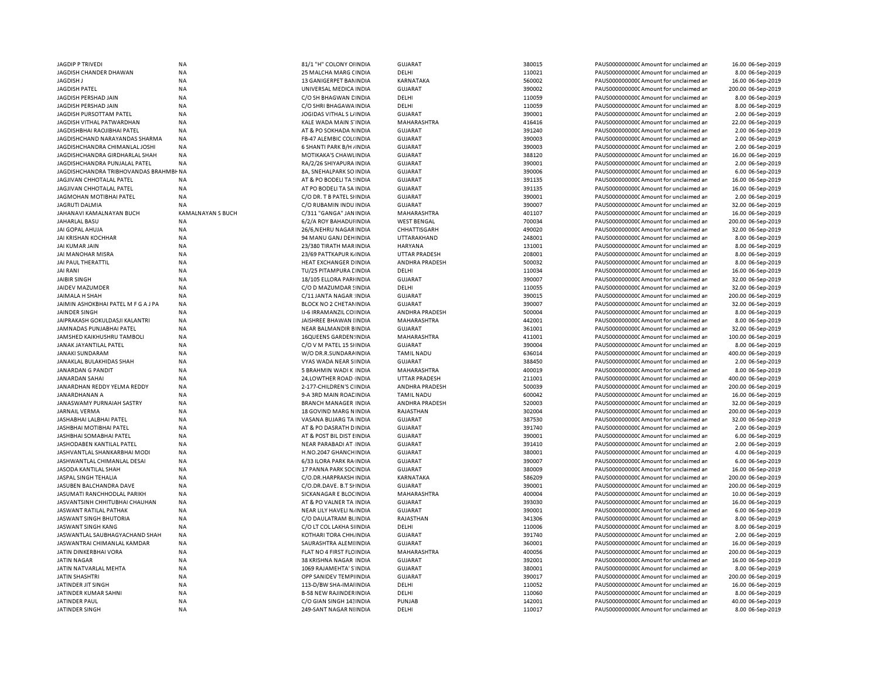| <b>JAGDIP P TRIVEDI</b>                | <b>NA</b>                | 81/1 "H" COLONY OHNDIA         | <b>GUJARAT</b>        | 380015 | PAUS0000000000 Amount for unclaimed an  | 16.00 06-Sep-2019  |
|----------------------------------------|--------------------------|--------------------------------|-----------------------|--------|-----------------------------------------|--------------------|
| JAGDISH CHANDER DHAWAN                 | <b>NA</b>                | 25 MALCHA MARG CINDIA          | DELHI                 | 110021 | PAUS0000000000 Amount for unclaimed ar  | 8.00 06-Sep-2019   |
| JAGDISH J                              | <b>NA</b>                | 13 GANIGERPET BANINDIA         | KARNATAKA             | 560002 | PAUS0000000000 Amount for unclaimed ar  | 16.00 06-Sep-2019  |
| <b>JAGDISH PATEL</b>                   | <b>NA</b>                | UNIVERSAL MEDICA INDIA         | <b>GUJARAT</b>        | 390002 | PAUS00000000000 Amount for unclaimed ar | 200.00 06-Sep-2019 |
| JAGDISH PERSHAD JAIN                   | ΝA                       | C/O SH BHAGWAN CINDIA          | DELHI                 | 110059 | PAUS0000000000C Amount for unclaimed ar | 8.00 06-Sep-2019   |
| JAGDISH PERSHAD JAIN                   | <b>NA</b>                | C/O SHRI BHAGAWA INDIA         | DELHI                 | 110059 | PAUS00000000000 Amount for unclaimed ar | 8.00 06-Sep-2019   |
| JAGDISH PURSOTTAM PATEL                | ΝA                       | JOGIDAS VITHAL S L/ INDIA      | GUJARAT               | 390001 | PAUS0000000000CAmount for unclaimed ar  | 2.00 06-Sep-2019   |
| JAGDISH VITHAL PATWARDHAN              | <b>NA</b>                | KALE WADA MAIN S'INDIA         | MAHARASHTRA           | 416416 | PAUS00000000000 Amount for unclaimed ar | 22.00 06-Sep-2019  |
|                                        |                          |                                |                       |        |                                         |                    |
| JAGDISHBHAI RAOJIBHAI PATEL            | <b>NA</b>                | AT & PO SOKHADA N INDIA        | GUJARAT               | 391240 | PAUS0000000000CAmount for unclaimed ar  | 2.00 06-Sep-2019   |
| JAGDISHCHAND NARAYANDAS SHARMA         | <b>NA</b>                | <b>FB-47 ALEMBIC COL(INDIA</b> | <b>GUJARAT</b>        | 390003 | PAUS0000000000 Amount for unclaimed ar  | 2.00 06-Sep-2019   |
| JAGDISHCHANDRA CHIMANLAL JOSHI         | <b>NA</b>                | 6 SHANTI PARK B/H / INDIA      | <b>GUJARAT</b>        | 390003 | PAUS0000000000 Amount for unclaimed ar  | 2.00 06-Sep-2019   |
| JAGDISHCHANDRA GIRDHARLAL SHAH         | <b>NA</b>                | MOTIKAKA'S CHAWLINDIA          | <b>GUJARAT</b>        | 388120 | PAUS00000000000 Amount for unclaimed ar | 16.00 06-Sep-2019  |
| JAGDISHCHANDRA PUNJALAL PATEL          | <b>NA</b>                | RA/2/26 SHIYAPURA INDIA        | <b>GUJARAT</b>        | 390001 | PAUS0000000000 Amount for unclaimed ar  | 2.00 06-Sep-2019   |
| JAGDISHCHANDRA TRIBHOVANDAS BRAHMBI-NA |                          | 8A, SNEHALPARK SO INDIA        | <b>GUJARAT</b>        | 390006 | PAUS00000000000 Amount for unclaimed ar | 6.00 06-Sep-2019   |
| JAGJIVAN CHHOTALAL PATEL               | <b>NA</b>                | AT & PO BODELI TA SINDIA       | <b>GUJARAT</b>        | 391135 | PAUS0000000000CAmount for unclaimed ar  | 16.00 06-Sep-2019  |
| JAGJIVAN CHHOTALAL PATEL               | <b>NA</b>                | AT PO BODELI TA SA INDIA       | <b>GUJARAT</b>        | 391135 | PAUS00000000000 Amount for unclaimed ar | 16.00 06-Sep-2019  |
| JAGMOHAN MOTIBHAI PATEL                | <b>NA</b>                | C/O DR. T B PATEL SHNDIA       | <b>GUJARAT</b>        | 390001 | PAUS0000000000CAmount for unclaimed ar  | 2.00 06-Sep-2019   |
| <b>JAGRUTI DALMIA</b>                  | <b>NA</b>                | C/O RUBAMIN INDU INDIA         | <b>GUJARAT</b>        | 390007 | PAUS0000000000 Amount for unclaimed ar  | 32.00 06-Sep-2019  |
| JAHANAVI KAMALNAYAN BUCH               | <b>KAMALNAYAN S BUCH</b> | C/311 "GANGA" JAN INDIA        | MAHARASHTRA           | 401107 | PAUS00000000000 Amount for unclaimed ar | 16.00 06-Sep-2019  |
| JAHARLAL BASU                          | <b>NA</b>                | 6/2/A ROY BAHADUI INDIA        | <b>WEST BENGAL</b>    | 700034 | PAUS0000000000 Amount for unclaimed ar  | 200.00 06-Sep-2019 |
| JAI GOPAL AHUJA                        | <b>NA</b>                | 26/6, NEHRU NAGAR INDIA        | CHHATTISGARH          | 490020 | PAUS00000000000 Amount for unclaimed ar | 32.00 06-Sep-2019  |
|                                        |                          |                                |                       |        |                                         |                    |
| JAI KRISHAN KOCHHAR                    | <b>NA</b>                | 94 MANU GANJ DEHINDIA          | UTTARAKHAND           | 248001 | PAUS0000000000 Amount for unclaimed ar  | 8.00 06-Sep-2019   |
| JAI KUMAR JAIN                         | <b>NA</b>                | 23/380 TIRATH MAR INDIA        | <b>HARYANA</b>        | 131001 | PAUS0000000000 Amount for unclaimed ar  | 8.00 06-Sep-2019   |
| JAI MANOHAR MISRA                      | <b>NA</b>                | 23/69 PATTKAPUR K INDIA        | <b>UTTAR PRADESH</b>  | 208001 | PAUS00000000000Amount for unclaimed ar  | 8.00 06-Sep-2019   |
| JAI PAUL THERATTIL                     | <b>NA</b>                | HEAT EXCHANGER DINDIA          | ANDHRA PRADESH        | 500032 | PAUS0000000000 Amount for unclaimed ar  | 8.00 06-Sep-2019   |
| JAI RANI                               | ΝA                       | TU/25 PITAMPURA LINDIA         | DELHI                 | 110034 | PAUS0000000000C Amount for unclaimed ar | 16.00 06-Sep-2019  |
| <b>JAIBIR SINGH</b>                    | <b>NA</b>                | 18/105 ELLORA PARI INDIA       | <b>GUJARAT</b>        | 390007 | PAUS00000000000 Amount for unclaimed ar | 32.00 06-Sep-2019  |
| JAIDEV MAZUMDER                        | <b>NA</b>                | C/O D MAZUMDAR SINDIA          | DELHI                 | 110055 | PAUS0000000000C Amount for unclaimed ar | 32.00 06-Sep-2019  |
| JAIMALA H SHAH                         | <b>NA</b>                | C/11 JANTA NAGAR INDIA         | <b>GUJARAT</b>        | 390015 | PAUS00000000000 Amount for unclaimed ar | 200.00 06-Sep-2019 |
| JAIMIN ASHOKBHAI PATEL M F G A J PA    | <b>NA</b>                | BLOCK NO 2 CHETAMINDIA         | <b>GUJARAT</b>        | 390007 | PAUS0000000000 Amount for unclaimed ar  | 32.00 06-Sep-2019  |
| <b>JAINDER SINGH</b>                   | <b>NA</b>                | IJ-6 IRRAMANZIL CO INDIA       | ANDHRA PRADESH        | 500004 | PAUS0000000000CAmount for unclaimed ar  | 8.00 06-Sep-2019   |
| JAIPRAKASH GOKULDASJI KALANTRI         | <b>NA</b>                | JAISHREE BHAWAN IINDIA         | MAHARASHTRA           | 442001 | PAUS0000000000CAmount for unclaimed ar  | 8.00 06-Sep-2019   |
| JAMNADAS PUNJABHAI PATEL               | <b>NA</b>                | NEAR BALMANDIR BINDIA          | <b>GUJARAT</b>        | 361001 | PAUS00000000000 Amount for unclaimed ar | 32.00 06-Sep-2019  |
| JAMSHED KAIKHUSHRU TAMBOLI             |                          |                                | <b>MAHARASHTRA</b>    | 411001 |                                         | 100.00 06-Sep-2019 |
|                                        | <b>NA</b>                | <b>16QUEENS GARDEN: INDIA</b>  |                       |        | PAUS0000000000CAmount for unclaimed ar  |                    |
| JANAK JAYANTILAL PATEL                 | <b>NA</b>                | C/O V M PATEL 15 SHNDIA        | GUJARAT               | 390004 | PAUS00000000000 Amount for unclaimed ar | 8.00 06-Sep-2019   |
| <b>JANAKI SUNDARAM</b>                 | <b>NA</b>                | W/O DR.R.SUNDARA INDIA         | <b>TAMIL NADU</b>     | 636014 | PAUS00000000000 Amount for unclaimed ar | 400.00 06-Sep-2019 |
| JANAKLAL BULAKHIDAS SHAH               | <b>NA</b>                | VYAS WADA NEAR S INDIA         | <b>GUJARAT</b>        | 388450 | PAUS0000000000 Amount for unclaimed ar  | 2.00 06-Sep-2019   |
| <b>JANARDAN G PANDIT</b>               | <b>NA</b>                | 5 BRAHMIN WADI K INDIA         | <b>MAHARASHTRA</b>    | 400019 | PAUS0000000000CAmount for unclaimed ar  | 8.00 06-Sep-2019   |
| JANARDAN SAHAI                         | <b>NA</b>                | 24, LOWTHER ROAD INDIA         | <b>UTTAR PRADESH</b>  | 211001 | PAUS0000000000 Amount for unclaimed ar  | 400.00 06-Sep-2019 |
| JANARDHAN REDDY YELMA REDDY            | <b>NA</b>                | 2-177-CHILDREN'S C INDIA       | <b>ANDHRA PRADESH</b> | 500039 | PAUS0000000000CAmount for unclaimed ar  | 200.00 06-Sep-2019 |
| JANARDHANAN A                          | <b>NA</b>                | 9-A 3RD MAIN ROAL INDIA        | <b>TAMIL NADU</b>     | 600042 | PAUS0000000000 Amount for unclaimed ar  | 16.00 06-Sep-2019  |
| JANASWAMY PURNAIAH SASTRY              | <b>NA</b>                | <b>BRANCH MANAGER INDIA</b>    | ANDHRA PRADESH        | 520003 | PAUS0000000000 Amount for unclaimed ar  | 32.00 06-Sep-2019  |
| <b>JARNAIL VERMA</b>                   | <b>NA</b>                | 18 GOVIND MARG NINDIA          | RAJASTHAN             | 302004 | PAUS0000000000C Amount for unclaimed ar | 200.00 06-Sep-2019 |
| JASHABHAI LALBHAI PATEL                | <b>NA</b>                | VASANA BUJARG TA INDIA         | <b>GUJARAT</b>        | 387530 | PAUS0000000000 Amount for unclaimed ar  | 32.00 06-Sep-2019  |
|                                        | <b>NA</b>                |                                |                       |        |                                         |                    |
| JASHBHAI MOTIBHAI PATEL                |                          | AT & PO DASRATH D INDIA        | <b>GUJARAT</b>        | 391740 | PAUS0000000000C Amount for unclaimed ar | 2.00 06-Sep-2019   |
| JASHBHAI SOMABHAI PATEL                | <b>NA</b>                | AT & POST BIL DIST EINDIA      | <b>GUJARAT</b>        | 390001 | PAUS0000000000 Amount for unclaimed ar  | 6.00 06-Sep-2019   |
| JASHODABEN KANTILAL PATEL              | <b>NA</b>                | NEAR PARABADI AT INDIA         | <b>GUJARAT</b>        | 391410 | PAUS0000000000 Amount for unclaimed ar  | 2.00 06-Sep-2019   |
| JASHVANTLAL SHANKARBHAI MODI           | <b>NA</b>                | H.NO.2047 GHANCHINDIA          | <b>GUJARAT</b>        | 380001 | PAUS00000000000 Amount for unclaimed ar | 4.00 06-Sep-2019   |
| JASHWANTLAL CHIMANLAL DESAI            | <b>NA</b>                | 6/33 ILORA PARK RA INDIA       | GUJARAT               | 390007 | PAUS0000000000CAmount for unclaimed ar  | 6.00 06-Sep-2019   |
| JASODA KANTILAL SHAH                   | <b>NA</b>                | 17 PANNA PARK SOC INDIA        | <b>GUJARAT</b>        | 380009 | PAUS0000000000CAmount for unclaimed ar  | 16.00 06-Sep-2019  |
| JASPAL SINGH TEHALIA                   | <b>NA</b>                | C/O.DR.HARPRAKSH INDIA         | KARNATAKA             | 586209 | PAUS0000000000CAmount for unclaimed ar  | 200.00 06-Sep-2019 |
| JASUBEN BALCHANDRA DAVE                | <b>NA</b>                | C/O.DR.DAVE. B.T SHNDIA        | <b>GUJARAT</b>        | 390001 | PAUS0000000000CAmount for unclaimed ar  | 200.00 06-Sep-2019 |
| JASUMATI RANCHHODLAL PARIKH            | <b>NA</b>                | SICKANAGAR E BLOC INDIA        | MAHARASHTRA           | 400004 | PAUS0000000000CAmount for unclaimed ar  | 10.00 06-Sep-2019  |
| JASVANTSINH CHHITUBHAI CHAUHAN         | <b>NA</b>                | AT & PO VALNER TA INDIA        | <b>GUJARAT</b>        | 393030 | PAUS0000000000CAmount for unclaimed ar  | 16.00 06-Sep-2019  |
| <b>JASWANT RATILAL PATHAK</b>          | <b>NA</b>                | NEAR LILY HAVELI N/INDIA       | <b>GUJARAT</b>        | 390001 | PAUS0000000000 Amount for unclaimed ar  | 6.00 06-Sep-2019   |
| JASWANT SINGH BHUTORIA                 | <b>NA</b>                | C/O DAULATRAM BI. INDIA        | RAJASTHAN             | 341306 | PAUS0000000000 Amount for unclaimed ar  | 8.00 06-Sep-2019   |
| <b>JASWANT SINGH KANG</b>              | <b>NA</b>                | C/O LT COL LAKHA SI INDIA      | DELHI                 | 110006 | PAUS0000000000 Amount for unclaimed ar  | 8.00 06-Sep-2019   |
|                                        |                          |                                |                       |        |                                         |                    |
| JASWANTLAL SAUBHAGYACHAND SHAH         | <b>NA</b>                | KOTHARI TORA CHH. INDIA        | <b>GUJARAT</b>        | 391740 | PAUS0000000000 Amount for unclaimed ar  | 2.00 06-Sep-2019   |
| JASWANTRAI CHIMANLAL KAMDAR            | <b>NA</b>                | SAURASHTRA ALEMIINDIA          | <b>GUJARAT</b>        | 360001 | PAUS0000000000 Amount for unclaimed ar  | 16.00 06-Sep-2019  |
| JATIN DINKERBHAI VORA                  | <b>NA</b>                | FLAT NO 4 FIRST FLC INDIA      | MAHARASHTRA           | 400056 | PAUS0000000000 Amount for unclaimed ar  | 200.00 06-Sep-2019 |
| <b>JATIN NAGAR</b>                     | <b>NA</b>                | 38 KRISHNA NAGAR INDIA         | <b>GUJARAT</b>        | 392001 | PAUS0000000000 Amount for unclaimed ar  | 16.00 06-Sep-2019  |
| JATIN NATVARLAL MEHTA                  | <b>NA</b>                | 1069 RAJAMEHTA' S'INDIA        | <b>GUJARAT</b>        | 380001 | PAUS0000000000C Amount for unclaimed ar | 8.00 06-Sep-2019   |
| <b>JATIN SHASHTRI</b>                  | <b>NA</b>                | OPP SANIDEV TEMPIINDIA         | <b>GUJARAT</b>        | 390017 | PAUS0000000000 Amount for unclaimed ar  | 200.00 06-Sep-2019 |
| JATINDER JIT SINGH                     | <b>NA</b>                | 113-D/BW SHA-IMAI INDIA        | DELHI                 | 110052 | PAUS0000000000 Amount for unclaimed ar  | 16.00 06-Sep-2019  |
| JATINDER KUMAR SAHNI                   | <b>NA</b>                | <b>B-58 NEW RAJINDER INDIA</b> | DELHI                 | 110060 | PAUS0000000000 Amount for unclaimed ar  | 8.00 06-Sep-2019   |
| JATINDER PAUL                          | <b>NA</b>                | C/O GIAN SINGH 143 INDIA       | PUNJAB                | 142001 | PAUS0000000000C Amount for unclaimed ar | 40.00 06-Sep-2019  |
| JATINDER SINGH                         | <b>NA</b>                | 249-SANT NAGAR NIINDIA         | DELHI                 | 110017 | PAUS0000000000C Amount for unclaimed ar | 8.00 06-Sep-2019   |
|                                        |                          |                                |                       |        |                                         |                    |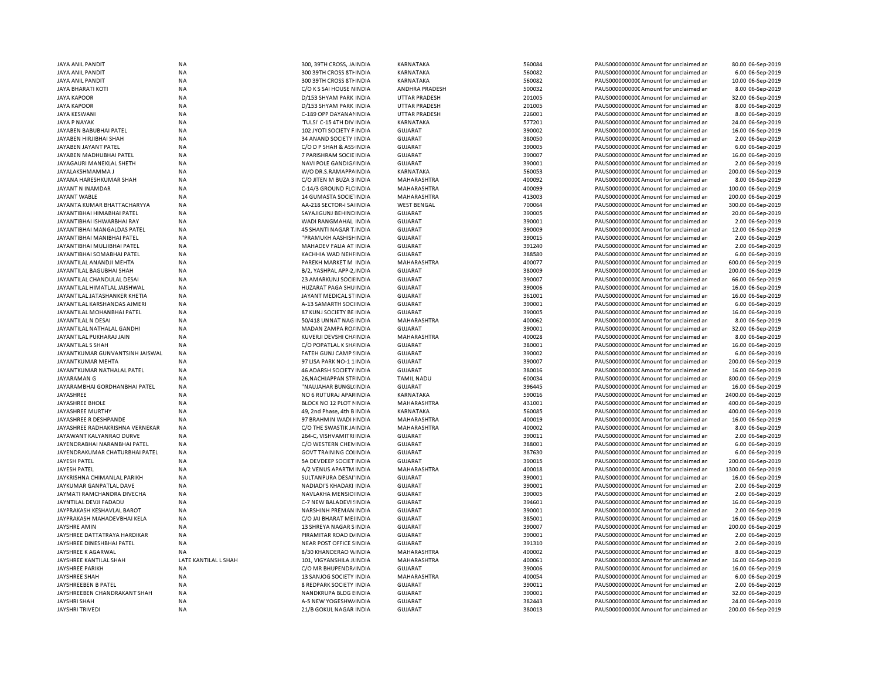| JAYA ANIL PANDIT                              | <b>NA</b>              | 300, 39TH CROSS, JAINDIA                        | KARNATAKA                        | 560084           | PAUS0000000000 Amount for unclaimed ar                                           | 80.00 06-Sep-2019                       |
|-----------------------------------------------|------------------------|-------------------------------------------------|----------------------------------|------------------|----------------------------------------------------------------------------------|-----------------------------------------|
| JAYA ANIL PANDIT                              | <b>NA</b>              | 300 39TH CROSS 8TH INDIA                        | KARNATAKA                        | 560082           | PAUS0000000000 Amount for unclaimed an                                           | 6.00 06-Sep-2019                        |
| <b>JAYA ANIL PANDIT</b>                       | <b>NA</b>              | 300 39TH CROSS 8TH INDIA                        | KARNATAKA                        | 560082           | PAUS0000000000 Amount for unclaimed ar                                           | 10.00 06-Sep-2019                       |
| <b>JAYA BHARATI KOTI</b>                      | <b>NA</b>              | C/O K S SAI HOUSE NINDIA                        | <b>ANDHRA PRADESH</b>            | 500032           | PAUS0000000000 Amount for unclaimed ar                                           | 8.00 06-Sep-2019                        |
| <b>JAYA KAPOOR</b>                            | NA                     | D/153 SHYAM PARK INDIA                          | <b>UTTAR PRADESH</b>             | 201005           | PAUS0000000000 Amount for unclaimed ar                                           | 32.00 06-Sep-2019                       |
| <b>JAYA KAPOOR</b>                            | NA                     | D/153 SHYAM PARK INDIA                          | <b>UTTAR PRADESH</b>             | 201005           | PAUS0000000000 Amount for unclaimed ar                                           | 8.00 06-Sep-2019                        |
| <b>JAYA KESWANI</b>                           | NA                     | C-189 OPP DAYANAI INDIA                         | <b>UTTAR PRADESH</b>             | 226001           | PAUS0000000000 Amount for unclaimed ar                                           | 8.00 06-Sep-2019                        |
| <b>JAYA P NAYAK</b>                           | <b>NA</b>              | 'TULSI' C-15 4TH DIV INDIA                      | KARNATAKA                        | 577201           | PAUS0000000000 Amount for unclaimed ar                                           | 24.00 06-Sep-2019                       |
| JAYABEN BABUBHAI PATEL                        | NA                     | 102 JYOTI SOCIETY F INDIA                       | <b>GUJARAT</b>                   | 390002           | PAUS0000000000 Amount for unclaimed ar                                           | 16.00 06-Sep-2019                       |
| JAYABEN HIRJIBHAI SHAH                        | <b>NA</b>              | 34 ANAND SOCIETY INDIA                          | <b>GUJARAT</b>                   | 380050           | PAUS0000000000 Amount for unclaimed ar                                           | 2.00 06-Sep-2019                        |
| JAYABEN JAYANT PATEL                          | <b>NA</b>              | C/O D P SHAH & ASS INDIA                        | <b>GUJARAT</b>                   | 390005           | PAUS0000000000 Amount for unclaimed ar                                           | 6.00 06-Sep-2019                        |
| JAYABEN MADHUBHAI PATEL                       | <b>NA</b>              | 7 PARISHRAM SOCIE INDIA                         | <b>GUJARAT</b>                   | 390007           | PAUS0000000000 Amount for unclaimed ar                                           | 16.00 06-Sep-2019                       |
| JAYAGAURI MANEKLAL SHETH                      | <b>NA</b>              | NAVI POLE GANDIG/ INDIA                         | <b>GUJARAT</b>                   | 390001           | PAUS0000000000 Amount for unclaimed ar                                           | 2.00 06-Sep-2019                        |
| JAYALAKSHMAMMA J                              | <b>NA</b>              | W/O DR.S.RAMAPPAINDIA                           | KARNATAKA                        | 560053           | PAUS0000000000 Amount for unclaimed ar                                           | 200.00 06-Sep-2019                      |
| JAYANA HARESHKUMAR SHAH                       | <b>NA</b>              | C/O JITEN M BUZA 3 INDIA                        | MAHARASHTRA                      | 400092           | PAUS0000000000 Amount for unclaimed ar                                           | 8.00 06-Sep-2019                        |
| JAYANT N INAMDAR                              | <b>NA</b>              | C-14/3 GROUND FLC INDIA                         | <b>MAHARASHTRA</b>               | 400099           | PAUS0000000000 Amount for unclaimed ar                                           | 100.00 06-Sep-2019                      |
| JAYANT WABLE                                  | NA                     | 14 GUMASTA SOCIE INDIA                          | MAHARASHTRA                      | 413003           | PAUS00000000000Amount for unclaimed ar                                           | 200.00 06-Sep-2019                      |
| JAYANTA KUMAR BHATTACHARYYA                   | <b>NA</b>              | AA-218 SECTOR-I SA INDIA                        | <b>WEST BENGAL</b>               | 700064           | PAUS0000000000 Amount for unclaimed ar                                           | 300.00 06-Sep-2019                      |
| JAYANTIBHAI HIMABHAI PATEL                    | <b>NA</b>              | SAYAJIGUNJ BEHINDINDIA                          | <b>GUJARAT</b>                   | 390005           | PAUS0000000000CAmount for unclaimed ar                                           | 20.00 06-Sep-2019                       |
| JAYANTIBHAI ISHWARBHAI RAY                    | NA                     | WADI RANGMAHAL INDIA                            | <b>GUJARAT</b>                   | 390001           | PAUS0000000000 Amount for unclaimed ar                                           | 2.00 06-Sep-2019                        |
|                                               |                        |                                                 |                                  |                  |                                                                                  |                                         |
| JAYANTIBHAI MANGALDAS PATEL                   | <b>NA</b>              | 45 SHANTI NAGAR T. INDIA                        | <b>GUJARAT</b>                   | 390009           | PAUS0000000000 Amount for unclaimed ar                                           | 12.00 06-Sep-2019                       |
| JAYANTIBHAI MANIBHAI PATEL                    | <b>NA</b>              | "PRAMUKH AASHISF INDIA                          | <b>GUJARAT</b>                   | 390015           | PAUS0000000000 Amount for unclaimed ar                                           | 2.00 06-Sep-2019                        |
| JAYANTIBHAI MULJIBHAI PATEL                   | <b>NA</b>              | MAHADEV FALIA AT INDIA                          | <b>GUJARAT</b>                   | 391240           | PAUS0000000000 Amount for unclaimed ar                                           | 2.00 06-Sep-2019                        |
| JAYANTIBHAI SOMABHAI PATEL                    | <b>NA</b>              | KACHHIA WAD NEHI INDIA                          | <b>GUJARAT</b>                   | 388580           | PAUS0000000000 Amount for unclaimed ar                                           | 6.00 06-Sep-2019                        |
| JAYANTILAL ANANDJI MEHTA                      | <b>NA</b>              | PAREKH MARKET M INDIA                           | <b>MAHARASHTRA</b>               | 400077           | PAUS0000000000 Amount for unclaimed ar                                           | 600.00 06-Sep-2019                      |
| JAYANTILAL BAGUBHAI SHAH                      | <b>NA</b>              | B/2, YASHPAL APP-2, INDIA                       | <b>GUJARAT</b>                   | 380009           | PAUS0000000000 Amount for unclaimed ar                                           | 200.00 06-Sep-2019                      |
| JAYANTILAL CHANDULAL DESAI                    | <b>NA</b>              | 23 AMARKUNJ SOCII INDIA                         | <b>GUJARAT</b>                   | 390007           | PAUS0000000000 Amount for unclaimed ar                                           | 66.00 06-Sep-2019                       |
| JAYANTILAL HIMATLAL JAISHWAL                  | <b>NA</b>              | HUZARAT PAGA SHUINDIA                           | <b>GUJARAT</b>                   | 390006           | PAUS0000000000 Amount for unclaimed ar                                           | 16.00 06-Sep-2019                       |
| JAYANTILAL JATASHANKER KHETIA                 | <b>NA</b>              | JAYANT MEDICAL STINDIA                          | <b>GUJARAT</b>                   | 361001           | PAUS0000000000 Amount for unclaimed ar                                           | 16.00 06-Sep-2019                       |
| JAYANTILAL KARSHANDAS AJMERI                  | NA                     | A-13 SAMARTH SOCHNDIA                           | <b>GUJARAT</b>                   | 390001           | PAUS0000000000CAmount for unclaimed ar                                           | 6.00 06-Sep-2019                        |
| JAYANTILAL MOHANBHAI PATEL                    | NA                     | 87 KUNJ SOCIETY BE INDIA                        | <b>GUJARAT</b>                   | 390005           | PAUS0000000000 Amount for unclaimed ar                                           | 16.00 06-Sep-2019                       |
| JAYANTILAL N DESAI                            | <b>NA</b>              | 50/418 UNNAT NAG INDIA                          | MAHARASHTRA                      | 400062           | PAUS0000000000 Amount for unclaimed ar                                           | 8.00 06-Sep-2019                        |
| JAYANTILAL NATHALAL GANDHI                    | NA                     | MADAN ZAMPA RO/ INDIA                           | <b>GUJARAT</b>                   | 390001           | PAUS0000000000 Amount for unclaimed ar                                           | 32.00 06-Sep-2019                       |
| JAYANTILAL PUKHARAJ JAIN                      | NA                     | KUVERJI DEVSHI CH/ INDIA                        | MAHARASHTRA                      | 400028           | PAUS0000000000CAmount for unclaimed ar                                           | 8.00 06-Sep-2019                        |
| JAYANTILAL S SHAH                             | <b>NA</b>              | C/O POPATLAL K SH/ INDIA                        | <b>GUJARAT</b>                   | 380001           | PAUS0000000000 Amount for unclaimed ar                                           | 16.00 06-Sep-2019                       |
| JAYANTKUMAR GUNVANTSINH JAISWAL               | <b>NA</b>              | FATEH GUNJ CAMP!INDIA                           | <b>GUJARAT</b>                   | 390002           | PAUS0000000000 Amount for unclaimed ar                                           | 6.00 06-Sep-2019                        |
| JAYANTKUMAR MEHTA                             | <b>NA</b>              | 97 LISA PARK NO-11INDIA                         | <b>GUJARAT</b>                   | 390007           | PAUS0000000000 Amount for unclaimed ar                                           | 200.00 06-Sep-2019                      |
| JAYANTKUMAR NATHALAL PATEL                    | <b>NA</b>              | 46 ADARSH SOCIETY INDIA                         | <b>GUJARAT</b>                   | 380016           | PAUS00000000000 Amount for unclaimed ar                                          | 16.00 06-Sep-2019                       |
| JAYARAMAN G                                   | <b>NA</b>              | 26, NACHIAPPAN STF INDIA                        | <b>TAMIL NADU</b>                | 600034           | PAUS0000000000 Amount for unclaimed ar                                           | 800.00 06-Sep-2019                      |
| JAYARAMBHAI GORDHANBHAI PATEL                 | <b>NA</b>              | "NAUJAHAR BUNGL(INDIA                           | <b>GUJARAT</b>                   | 396445           | PAUS0000000000 Amount for unclaimed ar                                           | 16.00 06-Sep-2019                       |
| JAYASHREE                                     | <b>NA</b>              | NO 6 RUTURAJ APAFINDIA                          | KARNATAKA                        | 590016           | PAUS0000000000 Amount for unclaimed ar                                           | 2400.00 06-Sep-2019                     |
| JAYASHREE BHOLE                               | NA                     | BLOCK NO 12 PLOT NINDIA                         | MAHARASHTRA                      | 431001           | PAUS0000000000 Amount for unclaimed ar                                           | 400.00 06-Sep-2019                      |
| JAYASHREE MURTHY                              | NA                     | 49, 2nd Phase, 4th B INDIA                      | KARNATAKA                        | 560085           | PAUS0000000000 Amount for unclaimed ar                                           | 400.00 06-Sep-2019                      |
| JAYASHREE R DESHPANDE                         | NA                     | 97 BRAHMIN WADI HNDIA                           | MAHARASHTRA                      | 400019           | PAUS0000000000 Amount for unclaimed ar                                           | 16.00 06-Sep-2019                       |
| JAYASHREE RADHAKRISHNA VERNEKAR               | <b>NA</b>              | C/O THE SWASTIK JAINDIA                         | MAHARASHTRA                      | 400002           | PAUS0000000000CAmount for unclaimed ar                                           | 8.00 06-Sep-2019                        |
| JAYAWANT KALYANRAO DURVE                      | NA                     | 264-C, VISHVAMITRI INDIA                        | <b>GUJARAT</b>                   | 390011           | PAUS0000000000 Amount for unclaimed ar                                           | 2.00 06-Sep-2019                        |
| JAYENDRABHAI NARANBHAI PATEI                  | NA                     | C/O WESTERN CHEN INDIA                          | <b>GUJARAT</b>                   | 388001           | PAUS0000000000 Amount for unclaimed ar                                           | 6.00 06-Sep-2019                        |
| JAYENDRAKUMAR CHATURBHAI PATEL                | <b>NA</b>              | <b>GOVT TRAINING COLINDIA</b>                   | <b>GUJARAT</b>                   | 387630           | PAUS0000000000 Amount for unclaimed ar                                           | 6.00 06-Sep-2019                        |
| JAYESH PATEL                                  | <b>NA</b>              | 5A DEVDEEP SOCIET INDIA                         | <b>GUJARAT</b>                   | 390015           | PAUS0000000000 Amount for unclaimed ar                                           | 200.00 06-Sep-2019                      |
| JAYESH PATEL                                  | <b>NA</b>              | A/2 VENUS APARTM INDIA                          | MAHARASHTRA                      | 400018           | PAUS0000000000 Amount for unclaimed ar                                           | 1300.00 06-Sep-2019                     |
| JAYKRISHNA CHIMANLAL PARIKH                   | <b>NA</b>              | SULTANPURA DESAI'INDIA                          | <b>GUJARAT</b>                   | 390001           | PAUS0000000000 Amount for unclaimed ar                                           | 16.00 06-Sep-2019                       |
| JAYKUMAR GANPATLAL DAVE                       | <b>NA</b>              | NADIADI'S KHADAKI INDIA                         | <b>GUJARAT</b>                   | 390001           | PAUS0000000000CAmount for unclaimed ar                                           | 2.00 06-Sep-2019                        |
| JAYMATI RAMCHANDRA DIVECHA                    | <b>NA</b>              | NAVLAKHA MENSIO INDIA                           | <b>GUJARAT</b>                   | 390005           | PAUS0000000000 Amount for unclaimed ar                                           | 2.00 06-Sep-2019                        |
| JAYNTILAL DEVJI FADADU                        | <b>NA</b>              | C-7 NEW BALADEVI ! INDIA                        | <b>GUJARAT</b>                   | 394601           | PAUS0000000000 Amount for unclaimed ar                                           | 16.00 06-Sep-2019                       |
| JAYPRAKASH KESHAVLAL BAROT                    | <b>NA</b>              | NARSHINH PREMAN INDIA                           | <b>GUJARAT</b>                   | 390001           | PAUS00000000000 Amount for unclaimed ar                                          | 2.00 06-Sep-2019                        |
| JAYPRAKASH MAHADEVBHAI KELA                   | <b>NA</b>              | C/O JAI BHARAT MEIINDIA                         | <b>GUJARAT</b>                   | 385001           | PAUS00000000000Amount for unclaimed ar                                           | 16.00 06-Sep-2019                       |
| <b>JAYSHRE AMIN</b>                           | NA                     | 13 SHREYA NAGAR SINDIA                          | <b>GUJARAT</b>                   | 390007           | PAUS0000000000 Amount for unclaimed ar                                           | 200.00 06-Sep-2019                      |
| JAYSHREE DATTATRAYA HARDIKAR                  | <b>NA</b>              | PIRAMITAR ROAD D/ INDIA                         | <b>GUJARAT</b>                   | 390001           | PAUS0000000000CAmount for unclaimed ar                                           | 2.00 06-Sep-2019                        |
| JAYSHREE DINESHBHAI PATEL                     | NA                     | NEAR POST OFFICE SINDIA                         | <b>GUJARAT</b>                   | 391310           | PAUS0000000000 Amount for unclaimed ar                                           | 2.00 06-Sep-2019                        |
| JAYSHREE K AGARWAL                            | <b>NA</b>              | 8/30 KHANDERAO WINDIA                           | MAHARASHTRA                      | 400002           | PAUS0000000000CAmount for unclaimed ar                                           | 8.00 06-Sep-2019                        |
| JAYSHREE KANTILAL SHAH                        | LATE KANTILAL L SHAH   | 101, VIGYANSHILA JUNDIA                         | MAHARASHTRA                      | 400061           | PAUS0000000000 Amount for unclaimed ar                                           | 16.00 06-Sep-2019                       |
| <b>JAYSHREE PARIKH</b>                        | <b>NA</b>              | C/O MR BHUPENDR/ INDIA                          | <b>GUJARAT</b>                   | 390006           | PAUS0000000000CAmount for unclaimed ar                                           | 16.00 06-Sep-2019                       |
| JAYSHREE SHAH                                 | <b>NA</b>              | 13 SANJOG SOCIETY INDIA                         | MAHARASHTRA                      | 400054           | PAUS0000000000CAmount for unclaimed ar                                           | 6.00 06-Sep-2019                        |
| JAYSHREEBEN B PATEL                           | <b>NA</b>              | 8 REDPARK SOCIETY INDIA                         | <b>GUJARAT</b>                   | 390011           | PAUS0000000000 Amount for unclaimed ar                                           | 2.00 06-Sep-2019                        |
|                                               |                        |                                                 |                                  |                  |                                                                                  |                                         |
|                                               |                        |                                                 |                                  |                  |                                                                                  |                                         |
| JAYSHREEBEN CHANDRAKANT SHAH                  | <b>NA</b>              | NANDKRUPA BLDG EINDIA                           | GUJARAT                          | 390001           | PAUS0000000000 Amount for unclaimed ar                                           | 32.00 06-Sep-2019                       |
| <b>JAYSHRI SHAH</b><br><b>JAYSHRI TRIVEDI</b> | <b>NA</b><br><b>NA</b> | A-5 NEW YOGESHW/INDIA<br>21/B GOKUL NAGAR INDIA | <b>GUJARAT</b><br><b>GUJARAT</b> | 382443<br>380013 | PAUS0000000000CAmount for unclaimed ar<br>PAUS0000000000CAmount for unclaimed ar | 24.00 06-Sep-2019<br>200.00 06-Sep-2019 |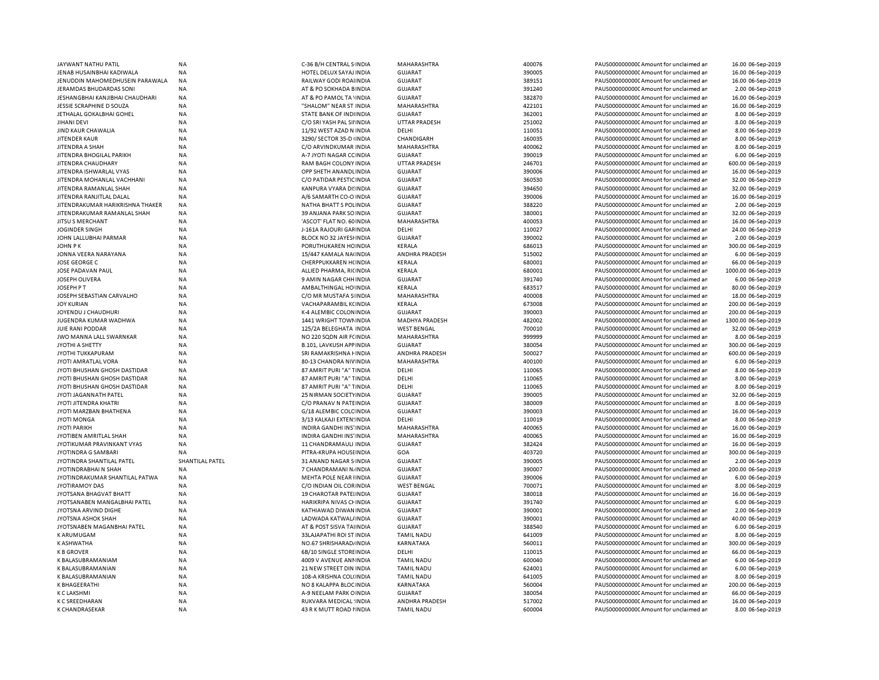| JAYWANT NATHU PATIL               | <b>NA</b>       | C-36 B/H CENTRAL S INDIA   | MAHARASHTRA          | 400076 | PAUS0000000000CAmount for unclaimed ar  | 16.00 06-Sep-2019   |
|-----------------------------------|-----------------|----------------------------|----------------------|--------|-----------------------------------------|---------------------|
| JENAB HUSAINBHAI KADIWALA         | <b>NA</b>       | HOTEL DELUX SAYAJ INDIA    | <b>GUJARAT</b>       | 390005 | PAUS0000000000 Amount for unclaimed ar  | 16.00 06-Sep-2019   |
| JENUDDIN MAHOMEDHUSEIN PARAWALA   | <b>NA</b>       | RAILWAY GODI ROAHNDIA      | <b>GUJARAT</b>       | 389151 | PAUS0000000000 Amount for unclaimed ar  | 16.00 06-Sep-2019   |
| <b>JERAMDAS BHUDARDAS SONI</b>    | NA              | AT & PO SOKHADA BINDIA     | <b>GUJARAT</b>       | 391240 | PAUS0000000000 Amount for unclaimed ar  | 2.00 06-Sep-2019    |
|                                   |                 |                            |                      |        |                                         |                     |
| JESHANGBHAI KANJIBHAI CHAUDHARI   | ΝA              | AT & PO PAMOL TA 'INDIA    | <b>GUJARAT</b>       | 382870 | PAUS0000000000CAmount for unclaimed ar  | 16.00 06-Sep-2019   |
| JESSIE SCRAPHINE D SOUZA          | <b>NA</b>       | "SHALOM" NEAR ST INDIA     | MAHARASHTRA          | 422101 | PAUS0000000000 Amount for unclaimed ar  | 16.00 06-Sep-2019   |
| JETHALAL GOKALBHAI GOHEL          | ΝA              | STATE BANK OF INDIINDIA    | <b>GUJARAT</b>       | 362001 | PAUS0000000000CAmount for unclaimed ar  | 8.00 06-Sep-2019    |
| <b>JIHANI DEVI</b>                | <b>NA</b>       | C/O SRI YASH PAL SII INDIA | <b>UTTAR PRADESH</b> | 251002 | PAUS0000000000 Amount for unclaimed ar  | 8.00 06-Sep-2019    |
| JIND KAUR CHAWALIA                | <b>NA</b>       | 11/92 WEST AZAD N INDIA    | DELHI                | 110051 | PAUS0000000000C Amount for unclaimed ar | 8.00 06-Sep-2019    |
| <b>JITENDER KAUR</b>              | <b>NA</b>       | 3290/ SECTOR 35-D (INDIA   | CHANDIGARH           | 160035 | PAUS0000000000 Amount for unclaimed ar  | 8.00 06-Sep-2019    |
| JITENDRA A SHAH                   | <b>NA</b>       |                            | MAHARASHTRA          | 400062 | PAUS0000000000 Amount for unclaimed ar  | 8.00 06-Sep-2019    |
|                                   |                 | C/O ARVINDKUMAR INDIA      |                      |        |                                         |                     |
| JITENDRA BHOGILAL PARIKH          | <b>NA</b>       | A-7 JYOTI NAGAR CC INDIA   | <b>GUJARAT</b>       | 390019 | PAUS0000000000CAmount for unclaimed ar  | 6.00 06-Sep-2019    |
| JITEN DRA CHAUDHARY               | <b>NA</b>       | RAM BAGH COLONY INDIA      | <b>UTTAR PRADESH</b> | 246701 | PAUS0000000000CAmount for unclaimed ar  | 600.00 06-Sep-2019  |
| JITENDRA ISHWARLAL VYAS           | <b>NA</b>       | OPP SHETH ANANDLINDIA      | <b>GUJARAT</b>       | 390006 | PAUS0000000000CAmount for unclaimed ar  | 16.00 06-Sep-2019   |
| JITENDRA MOHANLAL VACHHANI        | <b>NA</b>       | C/O PATIDAR PESTIC INDIA   | <b>GUJARAT</b>       | 360530 | PAUS0000000000 Amount for unclaimed ar  | 32.00 06-Sep-2019   |
| JITENDRA RAMANLAL SHAH            | <b>NA</b>       | KANPURA VYARA DI INDIA     | <b>GUJARAT</b>       | 394650 | PAUS0000000000 Amount for unclaimed ar  | 32.00 06-Sep-2019   |
| JITEN DRA RANJITLAL DALAL         | <b>NA</b>       | A/6 SAMARTH CO-O INDIA     | <b>GUJARAT</b>       | 390006 | PAUS0000000000 Amount for unclaimed ar  | 16.00 06-Sep-2019   |
|                                   |                 |                            |                      |        |                                         |                     |
| JITEN DRAKUMAR HARIKRISHNA THAKER | <b>NA</b>       | NATHA BHATT S POLINDIA     | <b>GUJARAT</b>       | 388220 | PAUS0000000000 Amount for unclaimed ar  | 2.00 06-Sep-2019    |
| JITEN DRAKUMAR RAMANLAL SHAH      | <b>NA</b>       | 39 ANJANA PARK SO INDIA    | <b>GUJARAT</b>       | 380001 | PAUS0000000000 Amount for unclaimed ar  | 32.00 06-Sep-2019   |
| JITSU S MERCHANT                  | <b>NA</b>       | 'ASCOT' FLAT NO. 60 INDIA  | MAHARASHTRA          | 400053 | PAUS0000000000 Amount for unclaimed ar  | 16.00 06-Sep-2019   |
| <b>JOGINDER SINGH</b>             | NA              | J-161A RAJOURI GAFINDIA    | DELHI                | 110027 | PAUS00000000000Amount for unclaimed ar  | 24.00 06-Sep-2019   |
| JOHN LALLUBHAI PARMAR             | <b>NA</b>       | BLOCK NO 32 JAYESHNDIA     | <b>GUJARAT</b>       | 390002 | PAUS0000000000 Amount for unclaimed ar  | 2.00 06-Sep-2019    |
| <b>JOHN PK</b>                    | <b>NA</b>       | PORUTHUKAREN HCINDIA       | KERALA               | 686013 | PAUS0000000000 Amount for unclaimed ar  | 300.00 06-Sep-2019  |
|                                   |                 |                            |                      |        |                                         |                     |
| JONNA VEERA NARAYANA              | <b>NA</b>       | 15/447 KAMALA NA(INDIA     | ANDHRA PRADESH       | 515002 | PAUS0000000000C Amount for unclaimed ar | 6.00 06-Sep-2019    |
| <b>JOSE GEORGE C</b>              | <b>NA</b>       | CHERPPUKKAREN H(INDIA      | KERALA               | 680001 | PAUS0000000000 Amount for unclaimed ar  | 66.00 06-Sep-2019   |
| JOSE PADAVAN PAUL                 | ΝA              | ALLIED PHARMA, RICINDIA    | KERALA               | 680001 | PAUS0000000000 Amount for unclaimed ar  | 1000.00 06-Sep-2019 |
| JOSEPH OLIVERA                    | <b>NA</b>       | 9 AMIN NAGAR CHH INDIA     | <b>GUJARAT</b>       | 391740 | PAUS0000000000 Amount for unclaimed ar  | 6.00 06-Sep-2019    |
| JOSEPH P T                        | <b>NA</b>       | AMBALTHINGAL HO INDIA      | KERALA               | 683517 | PAUS0000000000CAmount for unclaimed ar  | 80.00 06-Sep-2019   |
|                                   |                 |                            |                      |        |                                         |                     |
| JOSEPH SEBASTIAN CARVALHO         | <b>NA</b>       | C/O MR MUSTAFA S INDIA     | MAHARASHTRA          | 400008 | PAUS0000000000 Amount for unclaimed ar  | 18.00 06-Sep-2019   |
| <b>JOY KURIAN</b>                 | NA              | VACHAPARAMBIL KCINDIA      | KERALA               | 673008 | PAUS0000000000CAmount for unclaimed ar  | 200.00 06-Sep-2019  |
| JOYENDU J CHAUDHURI               | <b>NA</b>       | K-4 ALEMBIC COLON INDIA    | <b>GUJARAT</b>       | 390003 | PAUS0000000000CAmount for unclaimed ar  | 200.00 06-Sep-2019  |
| JUGENDRA KUMAR WADHWA             | <b>NA</b>       | 1441 WRIGHT TOWN INDIA     | MADHYA PRADESH       | 482002 | PAUS0000000000CAmount for unclaimed ar  | 1300.00 06-Sep-2019 |
| JUIE RANI PODDAR                  | <b>NA</b>       | 125/2A BELEGHATA INDIA     | <b>WEST BENGAL</b>   | 700010 | PAUS0000000000 Amount for unclaimed ar  | 32.00 06-Sep-2019   |
| JWO MANNA LALL SWARNKAR           | <b>NA</b>       | NO 220 SQDN AIR FCINDIA    | MAHARASHTRA          | 999999 | PAUS0000000000 Amount for unclaimed ar  | 8.00 06-Sep-2019    |
|                                   |                 |                            |                      |        |                                         |                     |
| JYOTHI A SHETTY                   | <b>NA</b>       | B.101, LAVKUSH APP INDIA   | <b>GUJARAT</b>       | 380054 | PAUS0000000000 Amount for unclaimed ar  | 300.00 06-Sep-2019  |
| JYOTHI TUKKAPURAM                 | <b>NA</b>       | SRI RAMAKRISHNA FINDIA     | ANDHRA PRADESH       | 500027 | PAUS0000000000 Amount for unclaimed ar  | 600.00 06-Sep-2019  |
| JYOTI AMRATLAL VORA               | <b>NA</b>       | 80-13 CHANDRA NIVINDIA     | MAHARASHTRA          | 400100 | PAUS0000000000 Amount for unclaimed ar  | 6.00 06-Sep-2019    |
| JYOTI BHUSHAN GHOSH DASTIDAR      | NA              | 87 AMRIT PURI "A" TINDIA   | DELHI                | 110065 | PAUS0000000000 Amount for unclaimed ar  | 8.00 06-Sep-2019    |
| JYOTI BHUSHAN GHOSH DASTIDAR      | <b>NA</b>       | 87 AMRIT PURI "A" TINDIA   | DELHI                | 110065 | PAUS0000000000 Amount for unclaimed ar  | 8.00 06-Sep-2019    |
| JYOTI BHUSHAN GHOSH DASTIDAR      | <b>NA</b>       | 87 AMRIT PURI "A" TINDIA   | <b>DELHI</b>         | 110065 | PAUS0000000000 Amount for unclaimed ar  | 8.00 06-Sep-2019    |
|                                   |                 |                            |                      |        |                                         |                     |
| JYOTI JAGANNATH PATEL             | <b>NA</b>       | 25 NIRMAN SOCIETYINDIA     | <b>GUJARAT</b>       | 390005 | PAUS0000000000 Amount for unclaimed ar  | 32.00 06-Sep-2019   |
| JYOTI JITENDRA KHATRI             | <b>NA</b>       | C/O PRANAV N PATEINDIA     | <b>GUJARAT</b>       | 380009 | PAUS0000000000 Amount for unclaimed ar  | 8.00 06-Sep-2019    |
| JYOTI MARZBAN BHATHENA            | NA              | G/18 ALEMBIC COLC INDIA    | <b>GUJARAT</b>       | 390003 | PAUS0000000000C Amount for unclaimed ar | 16.00 06-Sep-2019   |
| <b>JYOTI MONGA</b>                | <b>NA</b>       | 3/13 KALKAJI EXTEN: INDIA  | DELHI                | 110019 | PAUS0000000000 Amount for unclaimed ar  | 8.00 06-Sep-2019    |
| <b>JYOTI PARIKH</b>               | <b>NA</b>       | INDIRA GANDHI INS' INDIA   | MAHARASHTRA          | 400065 | PAUS0000000000CAmount for unclaimed ar  | 16.00 06-Sep-2019   |
|                                   |                 |                            |                      | 400065 |                                         |                     |
| JYOTIBEN AMRITLAL SHAH            | <b>NA</b>       | INDIRA GANDHI INS' INDIA   | MAHARASHTRA          |        | PAUS0000000000 Amount for unclaimed ar  | 16.00 06-Sep-2019   |
| JYOTIKUMAR PRAVINKANT VYAS        | <b>NA</b>       | 11 CHANDRAMAULI INDIA      | <b>GUJARAT</b>       | 382424 | PAUS0000000000 Amount for unclaimed ar  | 16.00 06-Sep-2019   |
| JYOTINDRA G SAMBARI               | <b>NA</b>       | PITRA-KRUPA HOUSEINDIA     | GOA                  | 403720 | PAUS0000000000CAmount for unclaimed ar  | 300.00 06-Sep-2019  |
| JYOTINDRA SHANTILAL PATEL         | SHANTILAL PATEL | 31 ANAND NAGAR S INDIA     | <b>GUJARAT</b>       | 390005 | PAUS00000000000Amount for unclaimed ar  | 2.00 06-Sep-2019    |
| JYOTINDRABHAI N SHAH              | <b>NA</b>       | 7 CHANDRAMANI NJ INDIA     | <b>GUJARAT</b>       | 390007 | PAUS0000000000CAmount for unclaimed ar  | 200.00 06-Sep-2019  |
| JYOTINDRAKUMAR SHANTILAL PATWA    | <b>NA</b>       | MEHTA POLE NEAR IINDIA     | <b>GUJARAT</b>       | 390006 | PAUS0000000000 Amount for unclaimed ar  | 6.00 06-Sep-2019    |
| <b>JYOTIRAMOY DAS</b>             | <b>NA</b>       | C/O INDIAN OIL CORINDIA    | <b>WEST BENGAL</b>   | 700071 | PAUS0000000000CAmount for unclaimed ar  | 8.00 06-Sep-2019    |
|                                   |                 |                            |                      |        |                                         |                     |
| JYOTSANA BHAGVAT BHATT            | <b>NA</b>       | 19 CHAROTAR PATELINDIA     | <b>GUJARAT</b>       | 380018 | PAUS0000000000CAmount for unclaimed ar  | 16.00 06-Sep-2019   |
| JYOTSANABEN MANGALBHAI PATEL      | NA              | HARIKRIPA NIVAS CHINDIA    | <b>GUJARAT</b>       | 391740 | PAUS0000000000CAmount for unclaimed ar  | 6.00 06-Sep-2019    |
| JYOTSNA ARVIND DIGHE              | <b>NA</b>       | KATHIAWAD DIWAN INDIA      | <b>GUJARAT</b>       | 390001 | PAUS0000000000 Amount for unclaimed ar  | 2.00 06-Sep-2019    |
| JYOTSNA ASHOK SHAH                | <b>NA</b>       | LADWADA KATWAL/ INDIA      | <b>GUJARAT</b>       | 390001 | PAUS0000000000 Amount for unclaimed ar  | 40.00 06-Sep-2019   |
| JYOTSNABEN MAGANBHAI PATEL        | <b>NA</b>       | AT & POST SISVA TAHNDIA    | <b>GUJARAT</b>       | 388540 | PAUS0000000000 Amount for unclaimed ar  | 6.00 06-Sep-2019    |
| <b>KARUMUGAM</b>                  | <b>NA</b>       | 33LAJAPATHI ROI ST INDIA   | <b>TAMIL NADU</b>    | 641009 | PAUS0000000000 Amount for unclaimed ar  | 8.00 06-Sep-2019    |
|                                   |                 |                            |                      |        |                                         |                     |
| <b>KASHWATHA</b>                  | <b>NA</b>       | NO.67 SHRISHARAD/ INDIA    | KARNATAKA            | 560011 | PAUS0000000000 Amount for unclaimed ar  | 300.00 06-Sep-2019  |
| <b>KBGROVER</b>                   | <b>NA</b>       | 6B/10 SINGLE STORE INDIA   | DELHI                | 110015 | PAUS0000000000 Amount for unclaimed ar  | 66.00 06-Sep-2019   |
| K BALASUBRAMANIAM                 | <b>NA</b>       | 4009 V AVENUE ANNINDIA     | <b>TAMIL NADU</b>    | 600040 | PAUS0000000000 Amount for unclaimed ar  | 6.00 06-Sep-2019    |
| K BALASUBRAMANIAN                 | <b>NA</b>       | 21 NEW STREET DIN INDIA    | <b>TAMIL NADU</b>    | 624001 | PAUS0000000000C Amount for unclaimed ar | 6.00 06-Sep-2019    |
| K BALASUBRAMANIAN                 | <b>NA</b>       | 108-A KRISHNA COL(INDIA    | <b>TAMIL NADU</b>    | 641005 | PAUS0000000000 Amount for unclaimed ar  | 8.00 06-Sep-2019    |
|                                   |                 |                            |                      |        |                                         |                     |
| K BHAGEERATHI                     | <b>NA</b>       | NO 8 KALAPPA BLOC INDIA    | KARNATAKA            | 560004 | PAUS0000000000 Amount for unclaimed ar  | 200.00 06-Sep-2019  |
| K C LAKSHMI                       | <b>NA</b>       | A-9 NEELAM PARK OINDIA     | <b>GUJARAT</b>       | 380054 | PAUS0000000000CAmount for unclaimed ar  | 66.00 06-Sep-2019   |
| K C SREEDHARAN                    | <b>NA</b>       | RUKVARA MEDICAL: INDIA     | ANDHRA PRADESH       | 517002 | PAUS0000000000CAmount for unclaimed ar  | 16.00 06-Sep-2019   |
| K CHANDRASEKAR                    | <b>NA</b>       | 43 R K MUTT ROAD I INDIA   | TAMIL NADU           | 600004 | PAUS0000000000CAmount for unclaimed ar  | 8.00 06-Sep-2019    |
|                                   |                 |                            |                      |        |                                         |                     |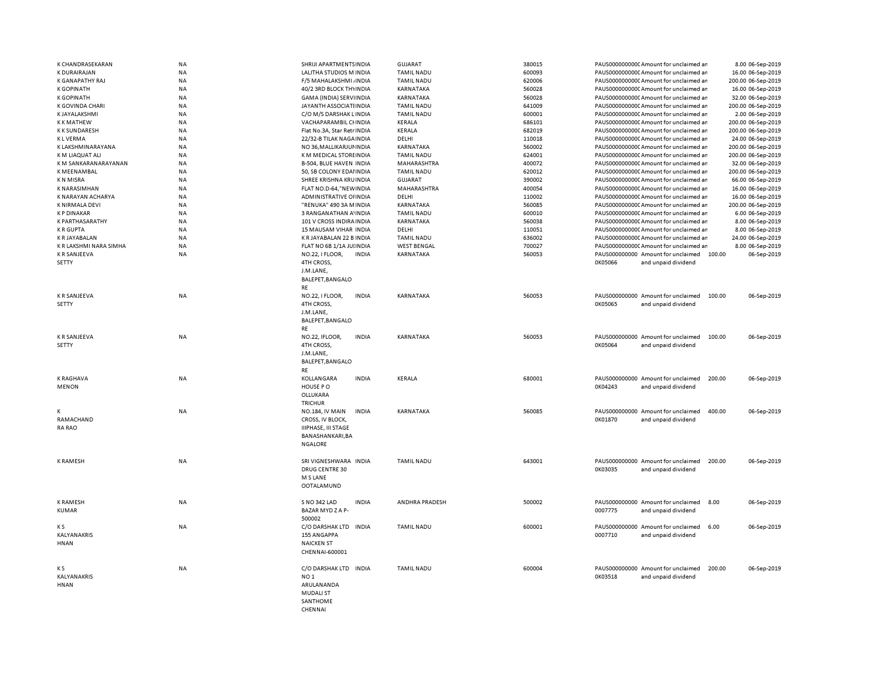| K CHANDRASEKARAN       | NA        | SHRIJI APARTMENTS INDIA           | <b>GUJARAT</b>     | 380015 | PAUS0000000000 Amount for unclaimed an       | 8.00 06-Sep-2019   |
|------------------------|-----------|-----------------------------------|--------------------|--------|----------------------------------------------|--------------------|
| <b>K DURAIRAJAN</b>    | NA        | LALITHA STUDIOS M INDIA           | <b>TAMIL NADU</b>  | 600093 | PAUS0000000000CAmount for unclaimed ar       | 16.00 06-Sep-2019  |
| K GANAPATHY RAJ        | <b>NA</b> | F/5 MAHALAKSHMI, INDIA            | <b>TAMIL NADU</b>  | 620006 | PAUS0000000000CAmount for unclaimed ar       | 200.00 06-Sep-2019 |
| <b>K GOPINATH</b>      | NA        | 40/2 3RD BLOCK THYINDIA           | KARNATAKA          | 560028 | PAUS0000000000CAmount for unclaimed ar       | 16.00 06-Sep-2019  |
| <b>K GOPINATH</b>      | NA        | GAMA (INDIA) SERVIINDIA           | KARNATAKA          | 560028 | PAUS0000000000 Amount for unclaimed an       | 32.00 06-Sep-2019  |
| K GOVINDA CHARI        | NA        | JAYANTH ASSOCIATI INDIA           | <b>TAMIL NADU</b>  | 641009 | PAUS0000000000 Amount for unclaimed ar       | 200.00 06-Sep-2019 |
| K JAYALAKSHMI          | NA        | C/O M/S DARSHAK LINDIA            | <b>TAMIL NADU</b>  | 600001 | PAUS0000000000CAmount for unclaimed ar       | 2.00 06-Sep-2019   |
| <b>KKMATHEW</b>        | <b>NA</b> | VACHAPARAMBIL CHNDIA              | KERALA             | 686101 | PAUS0000000000CAmount for unclaimed ar       | 200.00 06-Sep-2019 |
| <b>KK SUNDARESH</b>    | <b>NA</b> | Flat No.3A, Star Retr INDIA       | <b>KERALA</b>      | 682019 | PAUS00000000000Amount for unclaimed an       | 200.00 06-Sep-2019 |
| <b>KLVERMA</b>         | <b>NA</b> | 22/32-B TILAK NAGA INDIA          | DELHI              | 110018 | PAUS00000000000Amount for unclaimed an       | 24.00 06-Sep-2019  |
| K LAKSHMINARAYANA      | NA        | NO 36, MALLIKARJUI INDIA          | KARNATAKA          | 560002 | PAUS0000000000 Amount for unclaimed ar       | 200.00 06-Sep-2019 |
| K M LIAQUAT ALI        | <b>NA</b> | K M MEDICAL STORE INDIA           | <b>TAMIL NADU</b>  | 624001 | PAUS0000000000 Amount for unclaimed ar       | 200.00 06-Sep-2019 |
|                        |           |                                   |                    |        |                                              |                    |
| K M SANKARANARAYANAN   | <b>NA</b> | B-504, BLUE HAVEN INDIA           | MAHARASHTRA        | 400072 | PAUS0000000000 Amount for unclaimed an       | 32.00 06-Sep-2019  |
| <b>K MEENAMBAL</b>     | NA        | 50, SB COLONY EDAIINDIA           | <b>TAMIL NADU</b>  | 620012 | PAUS0000000000CAmount for unclaimed ar       | 200.00 06-Sep-2019 |
| <b>KN MISRA</b>        | NA        | SHREE KRISHNA KRUINDIA            | <b>GUJARAT</b>     | 390002 | PAUS0000000000 Amount for unclaimed ar       | 66.00 06-Sep-2019  |
| <b>K NARASIMHAN</b>    | <b>NA</b> | FLAT NO.D-64,"NEW INDIA           | MAHARASHTRA        | 400054 | PAUS0000000000CAmount for unclaimed ar       | 16.00 06-Sep-2019  |
| K NARAYAN ACHARYA      | ΝA        | ADMINISTRATIVE OF INDIA           | DELHI              | 110002 | PAUS0000000000 Amount for unclaimed ar       | 16.00 06-Sep-2019  |
| K NIRMALA DEVI         | NA        | "RENUKA" 490 3A M INDIA           | KARNATAKA          | 560085 | PAUS0000000000CAmount for unclaimed ar       | 200.00 06-Sep-2019 |
| <b>KP DINAKAR</b>      | NA        | 3 RANGANATHAN A' INDIA            | <b>TAMIL NADU</b>  | 600010 | PAUS0000000000CAmount for unclaimed ar       | 6.00 06-Sep-2019   |
| <b>K PARTHASARATHY</b> | <b>NA</b> | 101 V CROSS INDIRA INDIA          | KARNATAKA          | 560038 | PAUS0000000000 Amount for unclaimed ar       | 8.00 06-Sep-2019   |
| <b>KRGUPTA</b>         | NA        | 15 MAUSAM VIHAR INDIA             | DELHI              | 110051 | PAUS0000000000 Amount for unclaimed an       | 8.00 06-Sep-2019   |
| K R JAYABALAN          | <b>NA</b> | K R JAYABALAN 22 B INDIA          | <b>TAMIL NADU</b>  | 636002 | PAUS0000000000 Amount for unclaimed ar       | 24.00 06-Sep-2019  |
| K R LAKSHMI NARA SIMHA | NA        | FLAT NO 6B 1/1A JUI INDIA         | <b>WEST BENGAL</b> | 700027 | PAUS0000000000 Amount for unclaimed ar       | 8.00 06-Sep-2019   |
| <b>K R SANJEEVA</b>    | NA        | NO.22, I FLOOR,<br><b>INDIA</b>   | KARNATAKA          | 560053 | PAUS000000000 Amount for unclaimed 100.00    | 06-Sep-2019        |
| <b>SETTY</b>           |           | 4TH CROSS,                        |                    |        | 0K05066<br>and unpaid dividend               |                    |
|                        |           | J.M.LANE,                         |                    |        |                                              |                    |
|                        |           | BALEPET, BANGALO                  |                    |        |                                              |                    |
|                        |           | RE                                |                    |        |                                              |                    |
| <b>KR SANJEEVA</b>     | NA        | NO.22, I FLOOR,<br><b>INDIA</b>   | KARNATAKA          | 560053 | PAUS000000000 Amount for unclaimed<br>100.00 | 06-Sep-2019        |
| SETTY                  |           | 4TH CROSS,                        |                    |        | 0K05065<br>and unpaid dividend               |                    |
|                        |           |                                   |                    |        |                                              |                    |
|                        |           | J.M.LANE,                         |                    |        |                                              |                    |
|                        |           | BALEPET, BANGALO                  |                    |        |                                              |                    |
|                        |           | RE                                |                    |        |                                              |                    |
| <b>K R SANJEEVA</b>    | NA        | <b>INDIA</b><br>NO.22, IFLOOR,    | KARNATAKA          | 560053 | PAUS000000000 Amount for unclaimed<br>100.00 | 06-Sep-2019        |
| <b>SETTY</b>           |           | 4TH CROSS,                        |                    |        | 0K05064<br>and unpaid dividend               |                    |
|                        |           | J.M.LANE,                         |                    |        |                                              |                    |
|                        |           | BALEPET, BANGALO                  |                    |        |                                              |                    |
|                        |           | RE                                |                    |        |                                              |                    |
| <b>K RAGHAVA</b>       | <b>NA</b> | <b>INDIA</b><br><b>KOLLANGARA</b> | <b>KERALA</b>      | 680001 | PAUS000000000 Amount for unclaimed<br>200.00 | 06-Sep-2019        |
| <b>MENON</b>           |           | HOUSE PO                          |                    |        | 0K04243<br>and unpaid dividend               |                    |
|                        |           | OLLUKARA                          |                    |        |                                              |                    |
|                        |           | <b>TRICHUR</b>                    |                    |        |                                              |                    |
| K                      | <b>NA</b> | NO.184, IV MAIN<br><b>INDIA</b>   | KARNATAKA          | 560085 | PAUS000000000 Amount for unclaimed<br>400.00 | 06-Sep-2019        |
| RAMACHAND              |           | CROSS, IV BLOCK,                  |                    |        | 0K01870<br>and unpaid dividend               |                    |
| RA RAO                 |           | <b>IIIPHASE, III STAGE</b>        |                    |        |                                              |                    |
|                        |           |                                   |                    |        |                                              |                    |
|                        |           | BANASHANKARI, BA                  |                    |        |                                              |                    |
|                        |           | <b>NGALORE</b>                    |                    |        |                                              |                    |
|                        |           |                                   |                    |        |                                              |                    |
| <b>K RAMESH</b>        | <b>NA</b> | SRI VIGNESHWARA INDIA             | <b>TAMIL NADU</b>  | 643001 | PAUS000000000 Amount for unclaimed<br>200.00 | 06-Sep-2019        |
|                        |           | DRUG CENTRE 30                    |                    |        | 0K03035<br>and unpaid dividend               |                    |
|                        |           | M S LANE                          |                    |        |                                              |                    |
|                        |           | <b>OOTALAMUND</b>                 |                    |        |                                              |                    |
|                        |           |                                   |                    |        |                                              |                    |
| <b>K RAMESH</b>        | NA        | S NO 342 LAD<br><b>INDIA</b>      | ANDHRA PRADESH     | 500002 | PAUS000000000 Amount for unclaimed<br>8.00   | 06-Sep-2019        |
| <b>KUMAR</b>           |           | BAZAR MYDZAP-                     |                    |        | 0007775<br>and unpaid dividend               |                    |
|                        |           | 500002                            |                    |        |                                              |                    |
| K S                    | NA        | C/O DARSHAK LTD INDIA             | <b>TAMIL NADU</b>  | 600001 | PAUS000000000 Amount for unclaimed<br>6.00   | 06-Sep-2019        |
| KALYANAKRIS            |           | <b>155 ANGAPPA</b>                |                    |        | 0007710<br>and unpaid dividend               |                    |
| <b>HNAN</b>            |           | <b>NAICKEN ST</b>                 |                    |        |                                              |                    |
|                        |           | CHENNAI-600001                    |                    |        |                                              |                    |
|                        |           |                                   |                    |        |                                              |                    |
| K S                    | NA        | C/O DARSHAK LTD INDIA             | <b>TAMIL NADU</b>  | 600004 | PAUS000000000 Amount for unclaimed<br>200.00 | 06-Sep-2019        |
| KALYANAKRIS            |           | NO <sub>1</sub>                   |                    |        | 0K03518<br>and unpaid dividend               |                    |
| <b>HNAN</b>            |           | ARULANANDA                        |                    |        |                                              |                    |
|                        |           | <b>MUDALI ST</b>                  |                    |        |                                              |                    |
|                        |           |                                   |                    |        |                                              |                    |
|                        |           | SANTHOME<br>CHENNAL               |                    |        |                                              |                    |
|                        |           |                                   |                    |        |                                              |                    |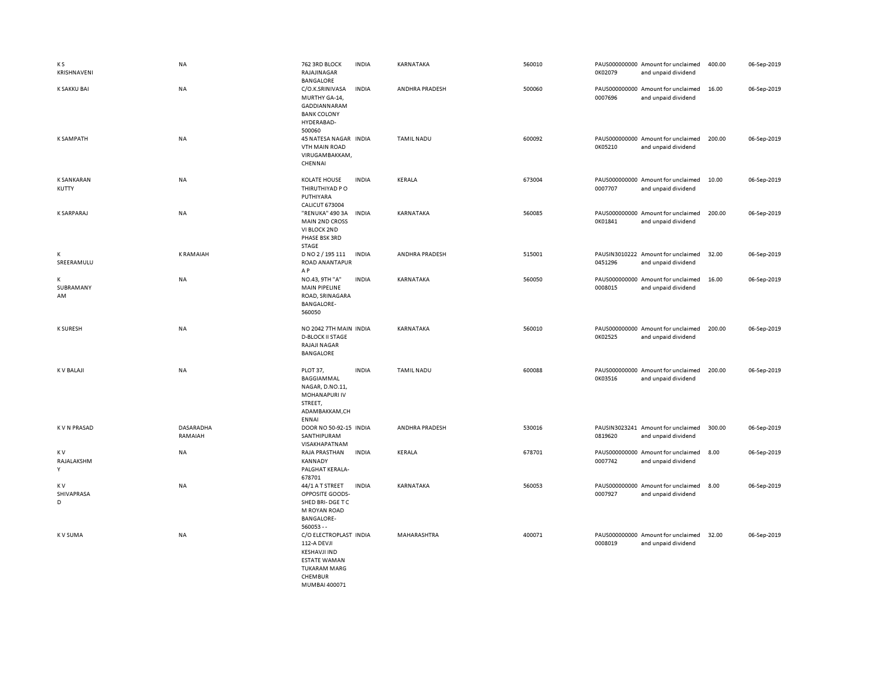| K S<br>KRISHNAVENI         | <b>NA</b>            | 762 3RD BLOCK<br>RAJAJINAGAR<br><b>BANGALORE</b>                                                                                       | <b>INDIA</b> | KARNATAKA         | 560010 | 0K02079 | PAUS000000000 Amount for unclaimed<br>and unpaid dividend | 400.00 | 06-Sep-2019 |
|----------------------------|----------------------|----------------------------------------------------------------------------------------------------------------------------------------|--------------|-------------------|--------|---------|-----------------------------------------------------------|--------|-------------|
| K SAKKU BAI                | <b>NA</b>            | C/O.K.SRINIVASA<br>MURTHY GA-14,<br>GADDIANNARAM<br><b>BANK COLONY</b><br>HYDERABAD-<br>500060                                         | <b>INDIA</b> | ANDHRA PRADESH    | 500060 | 0007696 | PAUS000000000 Amount for unclaimed<br>and unpaid dividend | 16.00  | 06-Sep-2019 |
| <b>K SAMPATH</b>           | <b>NA</b>            | 45 NATESA NAGAR INDIA<br>VTH MAIN ROAD<br>VIRUGAMBAKKAM,<br>CHENNAI                                                                    |              | <b>TAMIL NADU</b> | 600092 | 0K05210 | PAUS000000000 Amount for unclaimed<br>and unpaid dividend | 200.00 | 06-Sep-2019 |
| <b>K SANKARAN</b><br>KUTTY | NA                   | <b>KOLATE HOUSE</b><br>THIRUTHIYAD PO<br>PUTHIYARA<br><b>CALICUT 673004</b>                                                            | <b>INDIA</b> | KERALA            | 673004 | 0007707 | PAUS000000000 Amount for unclaimed<br>and unpaid dividend | 10.00  | 06-Sep-2019 |
| <b>K SARPARAJ</b>          | <b>NA</b>            | "RENUKA" 490 3A<br><b>MAIN 2ND CROSS</b><br>VI BLOCK 2ND<br>PHASE BSK 3RD<br>STAGE                                                     | <b>INDIA</b> | KARNATAKA         | 560085 | 0K01841 | PAUS000000000 Amount for unclaimed<br>and unpaid dividend | 200.00 | 06-Sep-2019 |
| K<br>SREERAMULU            | <b>KRAMAIAH</b>      | D NO 2 / 195 111<br>ROAD ANANTAPUR<br>AP                                                                                               | <b>INDIA</b> | ANDHRA PRADESH    | 515001 | 0451296 | PAUSIN3010222 Amount for unclaimed<br>and unpaid dividend | 32.00  | 06-Sep-2019 |
| К<br>SUBRAMANY<br>AM       | NA                   | NO.43, 9TH "A"<br>MAIN PIPELINE<br>ROAD, SRINAGARA<br><b>BANGALORE-</b><br>560050                                                      | <b>INDIA</b> | KARNATAKA         | 560050 | 0008015 | PAUS000000000 Amount for unclaimed<br>and unpaid dividend | 16.00  | 06-Sep-2019 |
| <b>K SURESH</b>            | NA                   | NO 2042 7TH MAIN INDIA<br><b>D-BLOCK II STAGE</b><br><b>RAJAJI NAGAR</b><br>BANGALORE                                                  |              | KARNATAKA         | 560010 | 0K02525 | PAUS000000000 Amount for unclaimed<br>and unpaid dividend | 200.00 | 06-Sep-2019 |
| <b>KV BALAJI</b>           | <b>NA</b>            | PLOT 37,<br>BAGGIAMMAL<br>NAGAR, D.NO.11,<br>MOHANAPURI IV<br>STREET,<br>ADAMBAKKAM,CH<br><b>ENNAI</b>                                 | <b>INDIA</b> | <b>TAMIL NADU</b> | 600088 | 0K03516 | PAUS000000000 Amount for unclaimed<br>and unpaid dividend | 200.00 | 06-Sep-2019 |
| <b>KVN PRASAD</b>          | DASARADHA<br>RAMAIAH | DOOR NO 50-92-15 INDIA<br>SANTHIPURAM<br>VISAKHAPATNAM                                                                                 |              | ANDHRA PRADESH    | 530016 | 0819620 | PAUSIN3023241 Amount for unclaimed<br>and unpaid dividend | 300.00 | 06-Sep-2019 |
| K V<br>RAJALAKSHM<br>Y     | <b>NA</b>            | RAJA PRASTHAN<br>KANNADY<br>PALGHAT KERALA-<br>678701                                                                                  | <b>INDIA</b> | KERALA            | 678701 | 0007742 | PAUS000000000 Amount for unclaimed<br>and unpaid dividend | 8.00   | 06-Sep-2019 |
| K V<br>SHIVAPRASA<br>D     | <b>NA</b>            | 44/1 A T STREET<br>OPPOSITE GOODS-<br>SHED BRI-DGE TC<br>M ROYAN ROAD<br><b>BANGALORE-</b><br>$560053 -$                               | <b>INDIA</b> | KARNATAKA         | 560053 | 0007927 | PAUS000000000 Amount for unclaimed<br>and unpaid dividend | 8.00   | 06-Sep-2019 |
| K V SUMA                   | <b>NA</b>            | C/O ELECTROPLAST INDIA<br>112-A DEVJI<br><b>KESHAVJI IND</b><br><b>ESTATE WAMAN</b><br><b>TUKARAM MARG</b><br>CHEMBUR<br>MUMBAI 400071 |              | MAHARASHTRA       | 400071 | 0008019 | PAUS000000000 Amount for unclaimed<br>and unpaid dividend | 32.00  | 06-Sep-2019 |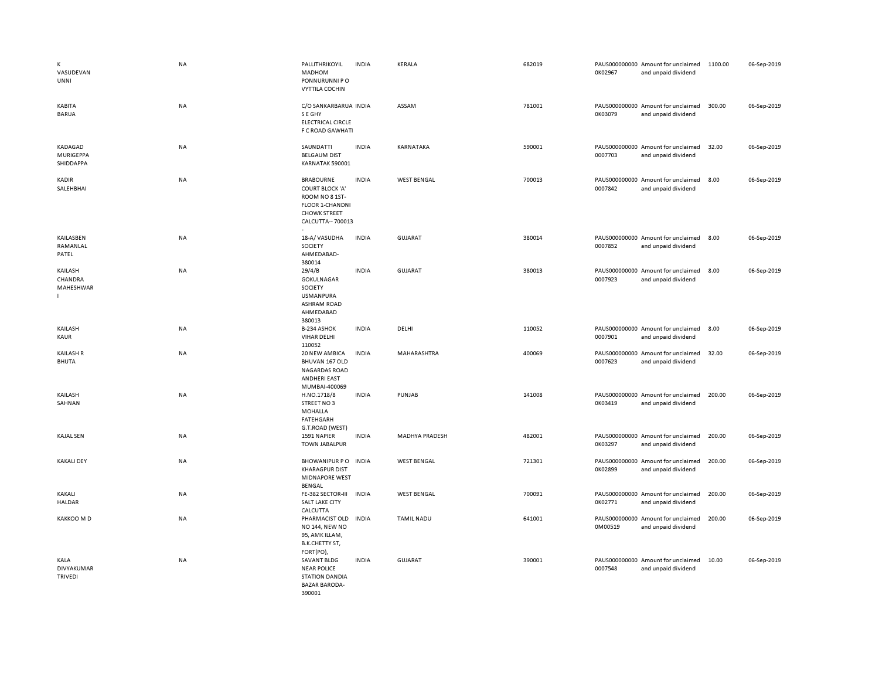| К<br>VASUDEVAN<br><b>UNNI</b>            | <b>NA</b> | PALLITHRIKOYIL<br>MADHOM<br>PONNURUNNI PO<br><b>VYTTILA COCHIN</b>                                                        | <b>INDIA</b> | <b>KERALA</b>      | 682019 | 0K02967 | PAUS000000000 Amount for unclaimed<br>and unpaid dividend | 1100.00 | 06-Sep-2019 |
|------------------------------------------|-----------|---------------------------------------------------------------------------------------------------------------------------|--------------|--------------------|--------|---------|-----------------------------------------------------------|---------|-------------|
| KABITA<br>BARUA                          | NA        | C/O SANKARBARUA INDIA<br>S E GHY<br><b>ELECTRICAL CIRCLE</b><br>F C ROAD GAWHATI                                          |              | ASSAM              | 781001 | 0K03079 | PAUS000000000 Amount for unclaimed<br>and unpaid dividend | 300.00  | 06-Sep-2019 |
| KADAGAD<br><b>MURIGEPPA</b><br>SHIDDAPPA | NA        | SAUNDATTI<br><b>BELGAUM DIST</b><br>KARNATAK 590001                                                                       | <b>INDIA</b> | KARNATAKA          | 590001 | 0007703 | PAUS000000000 Amount for unclaimed<br>and unpaid dividend | 32.00   | 06-Sep-2019 |
| KADIR<br>SALEHBHAI                       | <b>NA</b> | <b>BRABOURNE</b><br><b>COURT BLOCK 'A'</b><br>ROOM NO 8 1ST-<br>FLOOR 1-CHANDNI<br><b>CHOWK STREET</b><br>CALCUTTA-700013 | <b>INDIA</b> | <b>WEST BENGAL</b> | 700013 | 0007842 | PAUS000000000 Amount for unclaimed<br>and unpaid dividend | 8.00    | 06-Sep-2019 |
| KAILASBEN<br>RAMANLAL<br>PATEL           | NA        | 18-A/VASUDHA<br>SOCIETY<br>AHMEDABAD-<br>380014                                                                           | <b>INDIA</b> | GUJARAT            | 380014 | 0007852 | PAUS000000000 Amount for unclaimed<br>and unpaid dividend | 8.00    | 06-Sep-2019 |
| KAILASH<br>CHANDRA<br>MAHESHWAR          | NA        | 29/4/B<br>GOKULNAGAR<br>SOCIETY<br><b>USMANPURA</b><br><b>ASHRAM ROAD</b><br>AHMEDABAD<br>380013                          | <b>INDIA</b> | GUJARAT            | 380013 | 0007923 | PAUS000000000 Amount for unclaimed<br>and unpaid dividend | 8.00    | 06-Sep-2019 |
| KAILASH<br>KAUR                          | NA        | B-234 ASHOK<br><b>VIHAR DELHI</b><br>110052                                                                               | <b>INDIA</b> | DELHI              | 110052 | 0007901 | PAUS000000000 Amount for unclaimed<br>and unpaid dividend | 8.00    | 06-Sep-2019 |
| <b>KAILASH R</b><br><b>BHUTA</b>         | NA        | 20 NEW AMBICA<br>BHUVAN 167 OLD<br><b>NAGARDAS ROAD</b><br><b>ANDHERI EAST</b><br>MUMBAI-400069                           | <b>INDIA</b> | MAHARASHTRA        | 400069 | 0007623 | PAUS000000000 Amount for unclaimed<br>and unpaid dividend | 32.00   | 06-Sep-2019 |
| KAILASH<br>SAHNAN                        | <b>NA</b> | H.NO.1718/8<br>STREET NO3<br>MOHALLA<br><b>FATEHGARH</b><br>G.T.ROAD (WEST)                                               | <b>INDIA</b> | PUNJAB             | 141008 | 0K03419 | PAUS000000000 Amount for unclaimed<br>and unpaid dividend | 200.00  | 06-Sep-2019 |
| <b>KAJAL SEN</b>                         | NA        | 1591 NAPIER<br><b>TOWN JABALPUR</b>                                                                                       | <b>INDIA</b> | MADHYA PRADESH     | 482001 | 0K03297 | PAUS000000000 Amount for unclaimed<br>and unpaid dividend | 200.00  | 06-Sep-2019 |
| <b>KAKALI DEY</b>                        | NA        | <b>BHOWANIPUR PO</b><br><b>KHARAGPUR DIST</b><br>MIDNAPORE WEST<br><b>BENGAL</b>                                          | <b>INDIA</b> | <b>WEST BENGAL</b> | 721301 | 0K02899 | PAUS000000000 Amount for unclaimed<br>and unpaid dividend | 200.00  | 06-Sep-2019 |
| KAKALI<br><b>HALDAR</b>                  | NA        | FE-382 SECTOR-III<br>SALT LAKE CITY<br>CALCUTTA                                                                           | <b>INDIA</b> | <b>WEST BENGAL</b> | 700091 | 0K02771 | PAUS000000000 Amount for unclaimed<br>and unpaid dividend | 200.00  | 06-Sep-2019 |
| KAKKOO M D                               | NA        | PHARMACIST OLD<br><b>NO 144, NEW NO</b><br>95, AMK ILLAM,<br>B.K.CHETTY ST,<br>FORT(PO),                                  | <b>INDIA</b> | <b>TAMIL NADU</b>  | 641001 | 0M00519 | PAUS000000000 Amount for unclaimed<br>and unpaid dividend | 200.00  | 06-Sep-2019 |
| KALA<br>DIVYAKUMAR<br>TRIVEDI            | NA        | <b>SAVANT BLDG</b><br><b>NEAR POLICE</b><br><b>STATION DANDIA</b><br><b>BAZAR BARODA-</b><br>390001                       | <b>INDIA</b> | <b>GUJARAT</b>     | 390001 | 0007548 | PAUS000000000 Amount for unclaimed<br>and unpaid dividend | 10.00   | 06-Sep-2019 |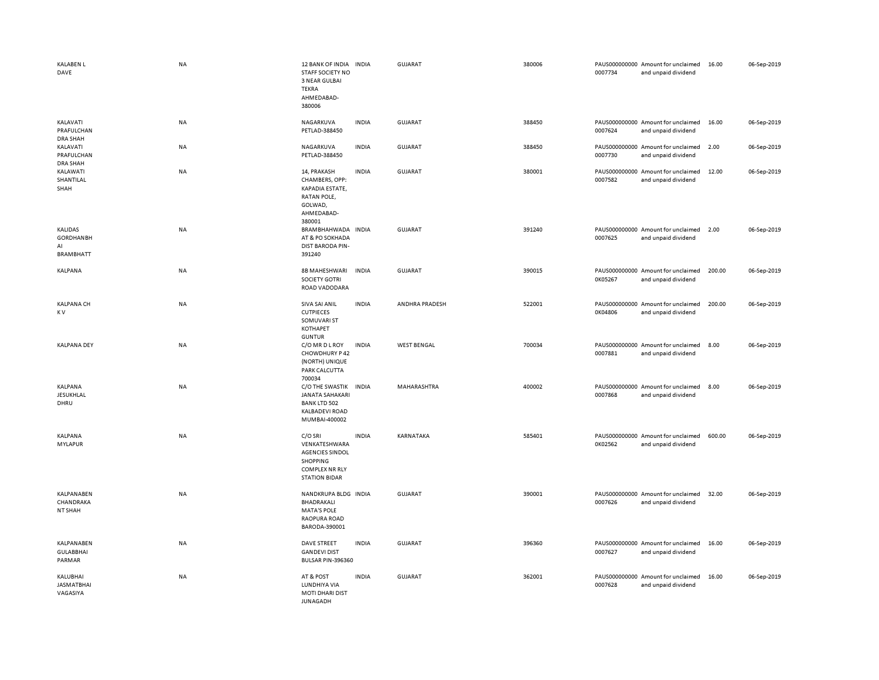| <b>KALABEN L</b><br>DAVE                              | <b>NA</b> | 12 BANK OF INDIA<br>STAFF SOCIETY NO<br>3 NEAR GULBAI<br>TEKRA<br>AHMEDABAD-<br>380006                          | <b>INDIA</b> | GUJARAT            | 380006 | 0007734 | PAUS000000000 Amount for unclaimed<br>and unpaid dividend | 16.00  | 06-Sep-2019 |
|-------------------------------------------------------|-----------|-----------------------------------------------------------------------------------------------------------------|--------------|--------------------|--------|---------|-----------------------------------------------------------|--------|-------------|
| KALAVATI<br>PRAFULCHAN<br><b>DRA SHAH</b>             | NA        | NAGARKUVA<br>PETLAD-388450                                                                                      | <b>INDIA</b> | GUJARAT            | 388450 | 0007624 | PAUS000000000 Amount for unclaimed<br>and unpaid dividend | 16.00  | 06-Sep-2019 |
| KALAVATI<br>PRAFULCHAN<br><b>DRA SHAH</b>             | <b>NA</b> | NAGARKUVA<br>PETLAD-388450                                                                                      | <b>INDIA</b> | GUJARAT            | 388450 | 0007730 | PAUS000000000 Amount for unclaimed<br>and unpaid dividend | 2.00   | 06-Sep-2019 |
| KALAWATI<br>SHANTILAL<br>SHAH                         | NA        | 14, PRAKASH<br>CHAMBERS, OPP:<br>KAPADIA ESTATE,<br>RATAN POLE,<br>GOLWAD,<br>AHMEDABAD-<br>380001              | <b>INDIA</b> | GUJARAT            | 380001 | 0007582 | PAUS000000000 Amount for unclaimed<br>and unpaid dividend | 12.00  | 06-Sep-2019 |
| KALIDAS<br><b>GORDHANBH</b><br>AI<br><b>BRAMBHATT</b> | NA        | BRAMBHAHWADA INDIA<br>AT & PO SOKHADA<br>DIST BARODA PIN-<br>391240                                             |              | <b>GUJARAT</b>     | 391240 | 0007625 | PAUS000000000 Amount for unclaimed<br>and unpaid dividend | 2.00   | 06-Sep-2019 |
| KALPANA                                               | NA        | 8B MAHESHWARI<br><b>SOCIETY GOTRI</b><br>ROAD VADODARA                                                          | <b>INDIA</b> | GUJARAT            | 390015 | 0K05267 | PAUS000000000 Amount for unclaimed<br>and unpaid dividend | 200.00 | 06-Sep-2019 |
| <b>KALPANA CH</b><br>K V                              | <b>NA</b> | SIVA SAI ANIL<br><b>CUTPIECES</b><br>SOMUVARI ST<br>KOTHAPET<br><b>GUNTUR</b>                                   | <b>INDIA</b> | ANDHRA PRADESH     | 522001 | 0K04806 | PAUS000000000 Amount for unclaimed<br>and unpaid dividend | 200.00 | 06-Sep-2019 |
| <b>KALPANA DEY</b>                                    | NA        | C/O MR D L ROY<br>CHOWDHURY P 42<br>(NORTH) UNIQUE<br>PARK CALCUTTA<br>700034                                   | <b>INDIA</b> | <b>WEST BENGAL</b> | 700034 | 0007881 | PAUS000000000 Amount for unclaimed<br>and unpaid dividend | 8.00   | 06-Sep-2019 |
| KALPANA<br>JESUKHLAL<br>DHRU                          | NA        | C/O THE SWASTIK<br><b>JANATA SAHAKARI</b><br><b>BANK LTD 502</b><br><b>KALBADEVI ROAD</b><br>MUMBAI-400002      | <b>INDIA</b> | MAHARASHTRA        | 400002 | 0007868 | PAUS000000000 Amount for unclaimed<br>and unpaid dividend | 8.00   | 06-Sep-2019 |
| KALPANA<br><b>MYLAPUR</b>                             | NA        | C/O SRI<br>VENKATESHWARA<br><b>AGENCIES SINDOL</b><br>SHOPPING<br><b>COMPLEX NR RLY</b><br><b>STATION BIDAR</b> | <b>INDIA</b> | KARNATAKA          | 585401 | 0K02562 | PAUS000000000 Amount for unclaimed<br>and unpaid dividend | 600.00 | 06-Sep-2019 |
| KALPANABEN<br>CHANDRAKA<br>NT SHAH                    | <b>NA</b> | NANDKRUPA BLDG INDIA<br>BHADRAKALI<br><b>MATA'S POLE</b><br>RAOPURA ROAD<br>BARODA-390001                       |              | GUJARAT            | 390001 | 0007626 | PAUS000000000 Amount for unclaimed<br>and unpaid dividend | 32.00  | 06-Sep-2019 |
| KALPANABEN<br><b>GULABBHAI</b><br>PARMAR              | <b>NA</b> | DAVE STREET<br><b>GANDEVI DIST</b><br>BULSAR PIN-396360                                                         | <b>INDIA</b> | <b>GUJARAT</b>     | 396360 | 0007627 | PAUS000000000 Amount for unclaimed<br>and unpaid dividend | 16.00  | 06-Sep-2019 |
| KALUBHAI<br><b>JASMATBHAI</b><br>VAGASIYA             | <b>NA</b> | AT & POST<br>LUNDHIYA VIA<br><b>MOTI DHARI DIST</b><br><b>JUNAGADH</b>                                          | <b>INDIA</b> | GUJARAT            | 362001 | 0007628 | PAUS000000000 Amount for unclaimed<br>and unpaid dividend | 16.00  | 06-Sep-2019 |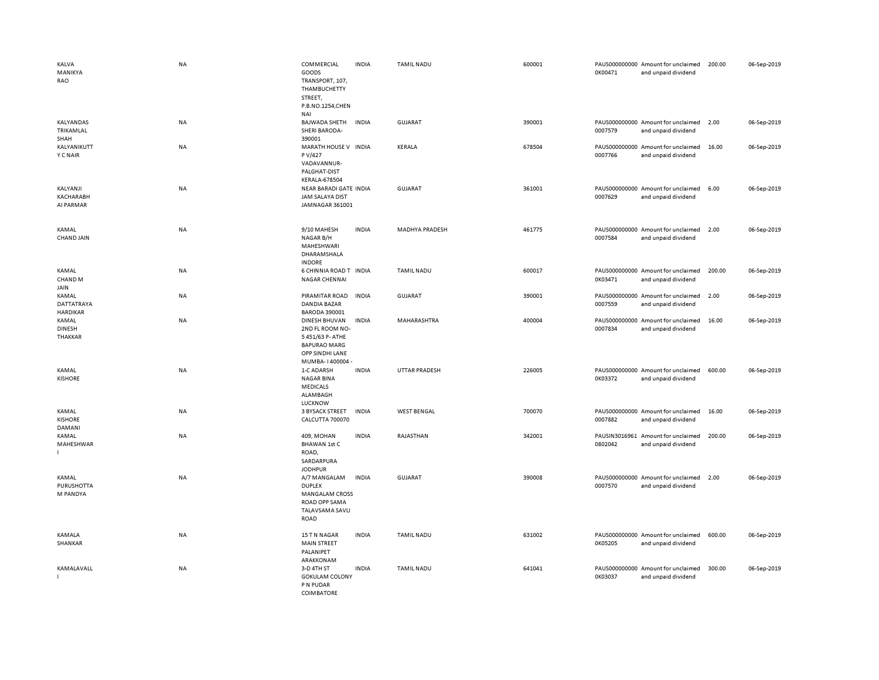| KALVA<br>MANIKYA<br><b>RAO</b>         | <b>NA</b> | COMMERCIAL<br>GOODS<br>TRANSPORT, 107,<br>THAMBUCHETTY<br>STREET,<br>P.B.NO.1254,CHEN<br>NAI                   | <b>INDIA</b> | <b>TAMIL NADU</b>     | 600001 | 0K00471 | PAUS000000000 Amount for unclaimed<br>and unpaid dividend | 200.00 | 06-Sep-2019 |
|----------------------------------------|-----------|----------------------------------------------------------------------------------------------------------------|--------------|-----------------------|--------|---------|-----------------------------------------------------------|--------|-------------|
| <b>KALYANDAS</b><br>TRIKAMLAL<br>SHAH  | <b>NA</b> | <b>BAJWADA SHETH</b><br>SHERI BARODA-<br>390001                                                                | <b>INDIA</b> | <b>GUJARAT</b>        | 390001 | 0007579 | PAUS000000000 Amount for unclaimed<br>and unpaid dividend | 2.00   | 06-Sep-2019 |
| KALYANIKUTT<br><b>Y C NAIR</b>         | <b>NA</b> | MARATH HOUSE V INDIA<br>P V/427<br>VADAVANNUR-<br>PALGHAT-DIST<br><b>KERALA-678504</b>                         |              | KERALA                | 678504 | 0007766 | PAUS000000000 Amount for unclaimed<br>and unpaid dividend | 16.00  | 06-Sep-2019 |
| KALYANJI<br>KACHARABH<br>AI PARMAR     | NA        | NEAR BARADI GATE INDIA<br><b>JAM SALAYA DIST</b><br>JAMNAGAR 361001                                            |              | <b>GUJARAT</b>        | 361001 | 0007629 | PAUS000000000 Amount for unclaimed<br>and unpaid dividend | 6.00   | 06-Sep-2019 |
| KAMAL<br><b>CHAND JAIN</b>             | <b>NA</b> | 9/10 MAHESH<br>NAGAR B/H<br>MAHESHWARI<br>DHARAMSHALA<br><b>INDORE</b>                                         | <b>INDIA</b> | <b>MADHYA PRADESH</b> | 461775 | 0007584 | PAUS000000000 Amount for unclaimed<br>and unpaid dividend | 2.00   | 06-Sep-2019 |
| KAMAL<br>CHAND <sub>M</sub><br>JAIN    | NA        | 6 CHINNIA ROAD T INDIA<br><b>NAGAR CHENNAI</b>                                                                 |              | <b>TAMIL NADU</b>     | 600017 | 0K03471 | PAUS000000000 Amount for unclaimed<br>and unpaid dividend | 200.00 | 06-Sep-2019 |
| KAMAL<br>DATTATRAYA<br><b>HARDIKAR</b> | <b>NA</b> | PIRAMITAR ROAD<br>DANDIA BAZAR<br><b>BARODA 390001</b>                                                         | <b>INDIA</b> | <b>GUJARAT</b>        | 390001 | 0007559 | PAUS000000000 Amount for unclaimed<br>and unpaid dividend | 2.00   | 06-Sep-2019 |
| KAMAL<br><b>DINESH</b><br>THAKKAR      | <b>NA</b> | DINESH BHUVAN<br>2ND FL ROOM NO-<br>5451/63 P- ATHE<br><b>BAPURAO MARG</b><br>OPP SINDHI LANE<br>MUMBA-1400004 | <b>INDIA</b> | MAHARASHTRA           | 400004 | 0007834 | PAUS000000000 Amount for unclaimed<br>and unpaid dividend | 16.00  | 06-Sep-2019 |
| KAMAL<br><b>KISHORE</b>                | NA        | 1-C ADARSH<br><b>NAGAR BINA</b><br><b>MEDICALS</b><br>ALAMBAGH<br><b>LUCKNOW</b>                               | <b>INDIA</b> | UTTAR PRADESH         | 226005 | 0K03372 | PAUS000000000 Amount for unclaimed<br>and unpaid dividend | 600.00 | 06-Sep-2019 |
| KAMAL<br><b>KISHORE</b><br>DAMANI      | <b>NA</b> | <b>3 BYSACK STREET</b><br>CALCUTTA 700070                                                                      | <b>INDIA</b> | <b>WEST BENGAL</b>    | 700070 | 0007882 | PAUS000000000 Amount for unclaimed<br>and unpaid dividend | 16.00  | 06-Sep-2019 |
| KAMAL<br>MAHESHWAR                     | <b>NA</b> | 409, MOHAN<br><b>BHAWAN 1st C</b><br>ROAD,<br>SARDARPURA<br><b>JODHPUR</b>                                     | <b>INDIA</b> | RAJASTHAN             | 342001 | 0802042 | PAUSIN3016961 Amount for unclaimed<br>and unpaid dividend | 200.00 | 06-Sep-2019 |
| KAMAL<br>PURUSHOTTA<br>M PANDYA        | <b>NA</b> | A/7 MANGALAM<br><b>DUPLEX</b><br><b>MANGALAM CROSS</b><br>ROAD OPP SAMA<br>TALAVSAMA SAVLI<br>ROAD             | <b>INDIA</b> | <b>GUJARAT</b>        | 390008 | 0007570 | PAUS000000000 Amount for unclaimed<br>and unpaid dividend | 2.00   | 06-Sep-2019 |
| KAMALA<br>SHANKAR                      | <b>NA</b> | 15 TN NAGAR<br><b>MAIN STREET</b><br>PALANIPET<br>ARAKKONAM                                                    | <b>INDIA</b> | <b>TAMIL NADU</b>     | 631002 | 0K05205 | PAUS000000000 Amount for unclaimed<br>and unpaid dividend | 600.00 | 06-Sep-2019 |
| KAMALAVALL                             | NA        | 3-D 4TH ST<br><b>GOKULAM COLONY</b><br>P N PUDAR<br>COIMBATORE                                                 | <b>INDIA</b> | <b>TAMIL NADU</b>     | 641041 | 0K03037 | PAUS000000000 Amount for unclaimed<br>and unpaid dividend | 300.00 | 06-Sep-2019 |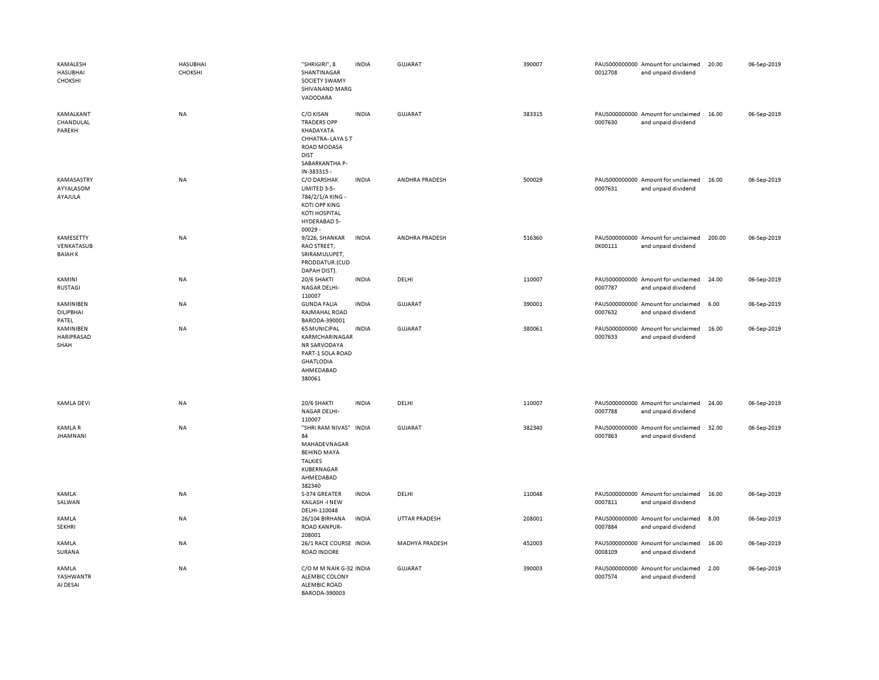| KAMALESH<br><b>HASUBHAI</b><br>CHOKSHI          | <b>HASUBHAI</b><br>CHOKSHI | "SHRIGIRI", 8<br>SHANTINAGAR<br>SOCIETY SWAMY<br>SHIVANAND MARG<br>VADODARA                                                        | <b>INDIA</b> | <b>GUJARAT</b>        | 390007 | PAUS000000000 Amount for unclaimed<br>0012708<br>and unpaid dividend | 20.00  | 06-Sep-2019 |
|-------------------------------------------------|----------------------------|------------------------------------------------------------------------------------------------------------------------------------|--------------|-----------------------|--------|----------------------------------------------------------------------|--------|-------------|
| KAMALKANT<br>CHANDULAL<br>PAREKH                | <b>NA</b>                  | C/O KISAN<br><b>TRADERS OPP</b><br>KHADAYATA<br>CHHATRA-LAYA ST<br>ROAD MODASA<br><b>DIST</b>                                      | <b>INDIA</b> | <b>GUJARAT</b>        | 383315 | PAUS000000000 Amount for unclaimed<br>0007630<br>and unpaid dividend | 16.00  | 06-Sep-2019 |
| KAMASASTRY<br>AYYALASOM<br>AYAJULA              | NA                         | SABARKANTHA P-<br>IN-383315 -<br>C/O DARSHAK<br>LIMITED 3-5-<br>784/2/1/A KING -<br>KOTI OPP KING<br>KOTI HOSPITAL<br>HYDERABAD 5- | <b>INDIA</b> | ANDHRA PRADESH        | 500029 | PAUS000000000 Amount for unclaimed<br>0007631<br>and unpaid dividend | 16.00  | 06-Sep-2019 |
| <b>KAMESETTY</b><br>VENKATASUB<br><b>BAIAHK</b> | <b>NA</b>                  | 00029-<br>9/226, SHANKAR<br>RAO STREET,<br>SRIRAMULUPET,<br>PRODDATUR.(CUD<br>DAPAH DIST).                                         | <b>INDIA</b> | ANDHRA PRADESH        | 516360 | PAUS000000000 Amount for unclaimed<br>0K00111<br>and unpaid dividend | 200.00 | 06-Sep-2019 |
| KAMINI<br>RUSTAGI                               | <b>NA</b>                  | 20/6 SHAKTI<br>NAGAR DELHI-<br>110007                                                                                              | <b>INDIA</b> | DELHI                 | 110007 | PAUS000000000 Amount for unclaimed<br>0007787<br>and unpaid dividend | 24.00  | 06-Sep-2019 |
| KAMINIBEN<br>DILIPBHAI<br>PATEL                 | NA                         | <b>GUNDA FALIA</b><br>RAJMAHAL ROAD<br>BARODA-390001                                                                               | <b>INDIA</b> | <b>GUJARAT</b>        | 390001 | PAUS000000000 Amount for unclaimed<br>0007632<br>and unpaid dividend | 6.00   | 06-Sep-2019 |
| KAMINIBEN<br><b>HARIPRASAD</b><br>SHAH          | <b>NA</b>                  | <b>65 MUNICIPAL</b><br>KARMCHARINAGAR<br>NR SARVODAYA<br>PART-1 SOLA ROAD<br><b>GHATLODIA</b><br>AHMEDABAD<br>380061               | <b>INDIA</b> | GUJARAT               | 380061 | PAUS000000000 Amount for unclaimed<br>0007633<br>and unpaid dividend | 16.00  | 06-Sep-2019 |
| <b>KAMLA DEVI</b>                               | NA                         | 20/6 SHAKTI<br>NAGAR DELHI-<br>110007                                                                                              | <b>INDIA</b> | DELHI                 | 110007 | PAUS000000000 Amount for unclaimed<br>0007788<br>and unpaid dividend | 24.00  | 06-Sep-2019 |
| <b>KAMLAR</b><br><b>JHAMNANI</b>                | <b>NA</b>                  | "SHRI RAM NIVAS" INDIA<br>84<br>MAHADEVNAGAR<br><b>BEHIND MAYA</b><br><b>TALKIES</b><br>KUBERNAGAR<br>AHMEDABAD<br>382340          |              | <b>GUJARAT</b>        | 382340 | PAUS000000000 Amount for unclaimed<br>0007863<br>and unpaid dividend | 32.00  | 06-Sep-2019 |
| KAMLA<br>SALWAN                                 | <b>NA</b>                  | S-374 GREATER<br>KAILASH -I NEW<br>DELHI-110048                                                                                    | <b>INDIA</b> | DELHI                 | 110048 | PAUS000000000 Amount for unclaimed<br>0007811<br>and unpaid dividend | 16.00  | 06-Sep-2019 |
| KAMLA<br><b>SEKHRI</b>                          | <b>NA</b>                  | 26/104 BIRHANA<br><b>ROAD KANPUR-</b><br>208001                                                                                    | <b>INDIA</b> | <b>UTTAR PRADESH</b>  | 208001 | PAUS000000000 Amount for unclaimed<br>0007884<br>and unpaid dividend | 8.00   | 06-Sep-2019 |
| KAMLA<br>SURANA                                 | <b>NA</b>                  | 26/1 RACE COURSE INDIA<br><b>ROAD INDORE</b>                                                                                       |              | <b>MADHYA PRADESH</b> | 452003 | PAUS000000000 Amount for unclaimed<br>0008109<br>and unpaid dividend | 16.00  | 06-Sep-2019 |
| KAMLA<br>YASHWANTR<br>AI DESAI                  | NA                         | C/O M M NAIK G-32 INDIA<br>ALEMBIC COLONY<br><b>ALEMBIC ROAD</b><br>BARODA-390003                                                  |              | GUJARAT               | 390003 | PAUS000000000 Amount for unclaimed<br>0007574<br>and unpaid dividend | 2.00   | 06-Sep-2019 |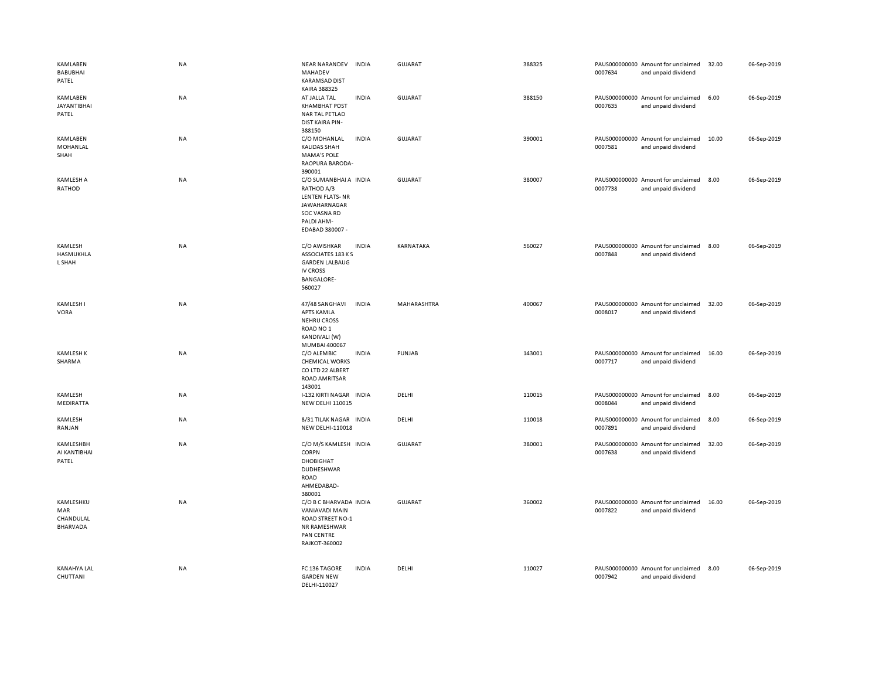| KAMLABEN<br><b>BABUBHAI</b><br>PATEL      | NA | <b>NEAR NARANDEV</b><br><b>INDIA</b><br>MAHADEV<br><b>KARAMSAD DIST</b><br>KAIRA 388325                                             | GUJARAT        | 388325 | PAUS000000000 Amount for unclaimed<br>0007634<br>and unpaid dividend | 32.00 | 06-Sep-2019 |
|-------------------------------------------|----|-------------------------------------------------------------------------------------------------------------------------------------|----------------|--------|----------------------------------------------------------------------|-------|-------------|
| KAMLABEN<br><b>JAYANTIBHAI</b><br>PATEL   | NA | AT JALLA TAL<br><b>INDIA</b><br><b>KHAMBHAT POST</b><br>NAR TAL PETLAD<br><b>DIST KAIRA PIN-</b><br>388150                          | GUJARAT        | 388150 | PAUS000000000 Amount for unclaimed<br>0007635<br>and unpaid dividend | 6.00  | 06-Sep-2019 |
| KAMLABEN<br>MOHANLAL<br>SHAH              | NA | C/O MOHANLAL<br>INDIA<br><b>KALIDAS SHAH</b><br><b>MAMA'S POLE</b><br>RAOPURA BARODA-<br>390001                                     | <b>GUJARAT</b> | 390001 | PAUS000000000 Amount for unclaimed<br>0007581<br>and unpaid dividend | 10.00 | 06-Sep-2019 |
| <b>KAMLESH A</b><br>RATHOD                | NA | C/O SUMANBHAI A INDIA<br>RATHOD A/3<br><b>LENTEN FLATS-NR</b><br>JAWAHARNAGAR<br>SOC VASNA RD<br>PALDI AHM-<br>EDABAD 380007 -      | <b>GUJARAT</b> | 380007 | PAUS000000000 Amount for unclaimed<br>0007738<br>and unpaid dividend | 8.00  | 06-Sep-2019 |
| KAMLESH<br>HASMUKHLA<br>L SHAH            | NA | C/O AWISHKAR<br><b>INDIA</b><br>ASSOCIATES 183 KS<br><b>GARDEN LALBAUG</b><br><b>IV CROSS</b><br><b>BANGALORE-</b><br>560027        | KARNATAKA      | 560027 | PAUS000000000 Amount for unclaimed<br>0007848<br>and unpaid dividend | 8.00  | 06-Sep-2019 |
| KAMLESH I<br>VORA                         | NA | 47/48 SANGHAVI<br><b>INDIA</b><br><b>APTS KAMLA</b><br><b>NEHRU CROSS</b><br>ROAD NO <sub>1</sub><br>KANDIVALI (W)<br>MUMBAI 400067 | MAHARASHTRA    | 400067 | PAUS000000000 Amount for unclaimed<br>0008017<br>and unpaid dividend | 32.00 | 06-Sep-2019 |
| <b>KAMLESH K</b><br>SHARMA                | NA | C/O ALEMBIC<br><b>INDIA</b><br><b>CHEMICAL WORKS</b><br>CO LTD 22 ALBERT<br><b>ROAD AMRITSAR</b><br>143001                          | PUNJAB         | 143001 | PAUS000000000 Amount for unclaimed<br>0007717<br>and unpaid dividend | 16.00 | 06-Sep-2019 |
| KAMLESH<br>MEDIRATTA                      | NA | I-132 KIRTI NAGAR INDIA<br><b>NEW DELHI 110015</b>                                                                                  | DELHI          | 110015 | PAUS000000000 Amount for unclaimed<br>0008044<br>and unpaid dividend | 8.00  | 06-Sep-2019 |
| KAMLESH<br>RANJAN                         | NA | 8/31 TILAK NAGAR INDIA<br>NEW DELHI-110018                                                                                          | DELHI          | 110018 | PAUS000000000 Amount for unclaimed<br>0007891<br>and unpaid dividend | 8.00  | 06-Sep-2019 |
| KAMLESHBH<br>AI KANTIBHAI<br>PATEL        | NA | C/O M/S KAMLESH INDIA<br><b>CORPN</b><br><b>DHOBIGHAT</b><br><b>DUDHESHWAR</b><br><b>ROAD</b><br>AHMEDABAD-<br>380001               | GUJARAT        | 380001 | PAUS000000000 Amount for unclaimed<br>0007638<br>and unpaid dividend | 32.00 | 06-Sep-2019 |
| KAMLESHKU<br>MAR<br>CHANDULAL<br>BHARVADA | NA | C/O B C BHARVADA INDIA<br>VANIAVADI MAIN<br>ROAD STREET NO-1<br>NR RAMESHWAR<br><b>PAN CENTRE</b><br>RAJKOT-360002                  | <b>GUJARAT</b> | 360002 | PAUS000000000 Amount for unclaimed<br>0007822<br>and unpaid dividend | 16.00 | 06-Sep-2019 |
| KANAHYA LAL<br>CHUTTANI                   | NA | <b>INDIA</b><br>FC 136 TAGORE<br><b>GARDEN NEW</b><br>DELHI-110027                                                                  | DELHI          | 110027 | PAUS000000000 Amount for unclaimed<br>0007942<br>and unpaid dividend | 8.00  | 06-Sep-2019 |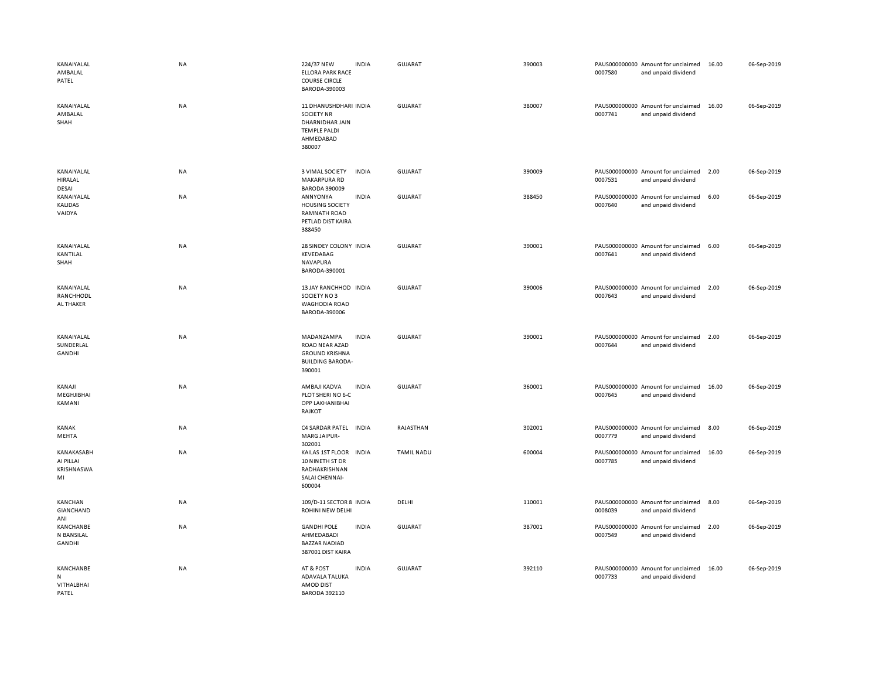| KANAIYALAL<br>AMBALAL<br>PATEL              | <b>NA</b> | 224/37 NEW<br><b>INDIA</b><br><b>ELLORA PARK RACE</b><br><b>COURSE CIRCLE</b><br>BARODA-390003                    | GUJARAT           | 390003 | PAUS000000000 Amount for unclaimed<br>0007580<br>and unpaid dividend | 16.00 | 06-Sep-2019 |
|---------------------------------------------|-----------|-------------------------------------------------------------------------------------------------------------------|-------------------|--------|----------------------------------------------------------------------|-------|-------------|
| KANAIYALAL<br>AMBALAL<br>SHAH               | NA        | 11 DHANUSHDHARI INDIA<br><b>SOCIETY NR</b><br>DHARNIDHAR JAIN<br><b>TEMPLE PALDI</b><br>AHMEDABAD<br>380007       | <b>GUJARAT</b>    | 380007 | PAUS000000000 Amount for unclaimed<br>0007741<br>and unpaid dividend | 16.00 | 06-Sep-2019 |
| KANAIYALAL<br>HIRALAL<br><b>DESAI</b>       | <b>NA</b> | 3 VIMAL SOCIETY<br><b>INDIA</b><br>MAKARPURA RD<br><b>BARODA 390009</b>                                           | <b>GUJARAT</b>    | 390009 | PAUS000000000 Amount for unclaimed<br>0007531<br>and unpaid dividend | 2.00  | 06-Sep-2019 |
| KANAIYALAL<br>KALIDAS<br>VAIDYA             | NA        | <b>INDIA</b><br>ANNYONYA<br><b>HOUSING SOCIETY</b><br><b>RAMNATH ROAD</b><br>PETLAD DIST KAIRA<br>388450          | GUJARAT           | 388450 | PAUS000000000 Amount for unclaimed<br>0007640<br>and unpaid dividend | 6.00  | 06-Sep-2019 |
| KANAIYALAL<br>KANTILAL<br>SHAH              | <b>NA</b> | 28 SINDEY COLONY INDIA<br>KEVEDABAG<br>NAVAPURA<br>BARODA-390001                                                  | <b>GUJARAT</b>    | 390001 | PAUS000000000 Amount for unclaimed<br>0007641<br>and unpaid dividend | 6.00  | 06-Sep-2019 |
| KANAIYALAL<br>RANCHHODL<br>AL THAKER        | NA        | 13 JAY RANCHHOD INDIA<br>SOCIETY NO3<br><b>WAGHODIA ROAD</b><br>BARODA-390006                                     | <b>GUJARAT</b>    | 390006 | PAUS000000000 Amount for unclaimed<br>0007643<br>and unpaid dividend | 2.00  | 06-Sep-2019 |
| KANAIYALAL<br>SUNDERLAL<br>GANDHI           | NA        | MADANZAMPA<br><b>INDIA</b><br><b>ROAD NEAR AZAD</b><br><b>GROUND KRISHNA</b><br><b>BUILDING BARODA-</b><br>390001 | GUJARAT           | 390001 | PAUS000000000 Amount for unclaimed<br>0007644<br>and unpaid dividend | 2.00  | 06-Sep-2019 |
| KANAJI<br>MEGHJIBHAI<br>KAMANI              | NA        | AMBAJI KADVA<br><b>INDIA</b><br>PLOT SHERI NO 6-C<br>OPP LAKHANIBHAI<br>RAJKOT                                    | <b>GUJARAT</b>    | 360001 | PAUS000000000 Amount for unclaimed<br>0007645<br>and unpaid dividend | 16.00 | 06-Sep-2019 |
| KANAK<br>MEHTA                              | NA        | C4 SARDAR PATEL INDIA<br><b>MARG JAIPUR-</b><br>302001                                                            | RAJASTHAN         | 302001 | PAUS000000000 Amount for unclaimed<br>0007779<br>and unpaid dividend | 8.00  | 06-Sep-2019 |
| KANAKASABH<br>AI PILLAI<br>KRISHNASWA<br>MI | NA        | KAILAS 1ST FLOOR<br><b>INDIA</b><br>10 NINETH ST DR<br>RADHAKRISHNAN<br>SALAI CHENNAI-<br>600004                  | <b>TAMIL NADU</b> | 600004 | PAUS000000000 Amount for unclaimed<br>0007785<br>and unpaid dividend | 16.00 | 06-Sep-2019 |
| <b>KANCHAN</b><br>GIANCHAND<br>ANI          | NA        | 109/D-11 SECTOR 8 INDIA<br>ROHINI NEW DELHI                                                                       | DELHI             | 110001 | PAUS000000000 Amount for unclaimed<br>0008039<br>and unpaid dividend | 8.00  | 06-Sep-2019 |
| KANCHANBE<br>N BANSILAL<br>GANDHI           | NA        | <b>INDIA</b><br><b>GANDHI POLE</b><br>AHMEDABADI<br><b>BAZZAR NADIAD</b><br>387001 DIST KAIRA                     | GUJARAT           | 387001 | PAUS000000000 Amount for unclaimed<br>0007549<br>and unpaid dividend | 2.00  | 06-Sep-2019 |
| KANCHANBE<br>N<br>VITHALBHAI<br>PATEL       | NA        | <b>INDIA</b><br>AT & POST<br>ADAVALA TALUKA<br><b>AMOD DIST</b><br><b>BARODA 392110</b>                           | GUJARAT           | 392110 | PAUS000000000 Amount for unclaimed<br>0007733<br>and unpaid dividend | 16.00 | 06-Sep-2019 |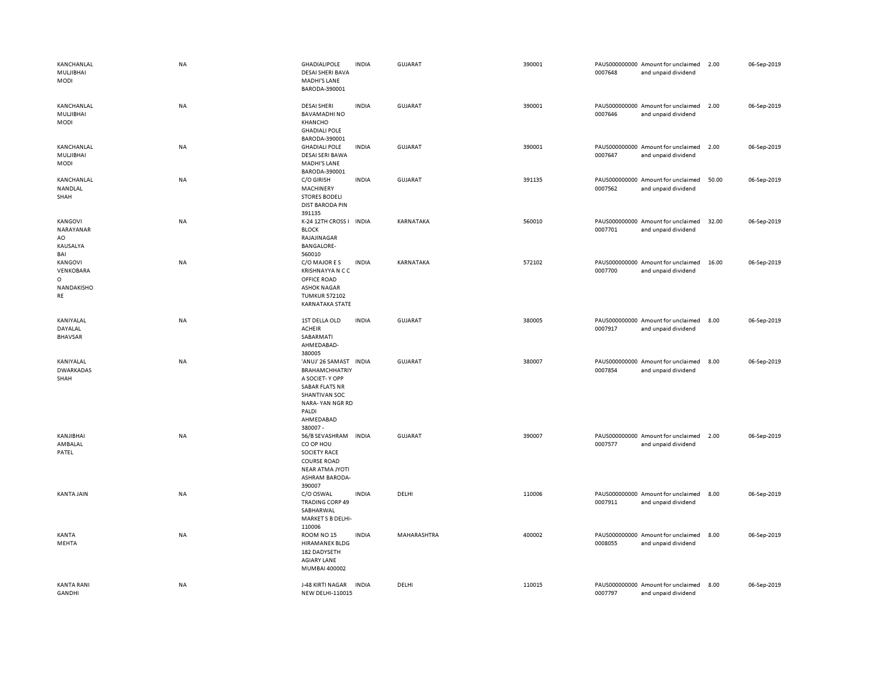| KANCHANLAL<br>MULJIBHAI<br><b>MODI</b>              | <b>NA</b> | <b>GHADIALIPOLE</b><br><b>DESAI SHERI BAVA</b><br><b>MADHI'S LANE</b><br>BARODA-390001                                                                          | <b>INDIA</b> | <b>GUJARAT</b> | 390001 | 0007648 | PAUS000000000 Amount for unclaimed<br>and unpaid dividend | 2.00  | 06-Sep-2019 |
|-----------------------------------------------------|-----------|-----------------------------------------------------------------------------------------------------------------------------------------------------------------|--------------|----------------|--------|---------|-----------------------------------------------------------|-------|-------------|
| KANCHANLAL<br>MULJIBHAI<br>MODI                     | NA        | <b>DESAI SHERI</b><br><b>BAVAMADHINO</b><br>KHANCHO<br><b>GHADIALI POLE</b>                                                                                     | <b>INDIA</b> | GUJARAT        | 390001 | 0007646 | PAUS000000000 Amount for unclaimed<br>and unpaid dividend | 2.00  | 06-Sep-2019 |
| KANCHANLAL<br>MULJIBHAI<br><b>MODI</b>              | NA        | BARODA-390001<br><b>GHADIALI POLE</b><br><b>DESAI SERI BAWA</b><br><b>MADHI'S LANE</b><br>BARODA-390001                                                         | <b>INDIA</b> | GUJARAT        | 390001 | 0007647 | PAUS000000000 Amount for unclaimed<br>and unpaid dividend | 2.00  | 06-Sep-2019 |
| KANCHANLAL<br>NANDLAL<br>SHAH                       | <b>NA</b> | C/O GIRISH<br>MACHINERY<br><b>STORES BODELI</b><br><b>DIST BARODA PIN</b><br>391135                                                                             | <b>INDIA</b> | GUJARAT        | 391135 | 0007562 | PAUS000000000 Amount for unclaimed<br>and unpaid dividend | 50.00 | 06-Sep-2019 |
| KANGOVI<br>NARAYANAR<br>AO<br>KAUSALYA<br>BAI       | NA        | K-24 12TH CROSS I INDIA<br><b>BLOCK</b><br>RAJAJINAGAR<br><b>BANGALORE-</b><br>560010                                                                           |              | KARNATAKA      | 560010 | 0007701 | PAUS000000000 Amount for unclaimed<br>and unpaid dividend | 32.00 | 06-Sep-2019 |
| KANGOVI<br>VENKOBARA<br>$\circ$<br>NANDAKISHO<br>RE | <b>NA</b> | C/O MAJORES<br><b>KRISHNAYYA N C C</b><br>OFFICE ROAD<br><b>ASHOK NAGAR</b><br><b>TUMKUR 572102</b><br>KARNATAKA STATE                                          | <b>INDIA</b> | KARNATAKA      | 572102 | 0007700 | PAUS000000000 Amount for unclaimed<br>and unpaid dividend | 16.00 | 06-Sep-2019 |
| KANIYALAL<br>DAYALAL<br><b>BHAVSAR</b>              | NA        | 1ST DELLA OLD<br><b>ACHEIR</b><br>SABARMATI<br>AHMEDABAD-<br>380005                                                                                             | <b>INDIA</b> | GUJARAT        | 380005 | 0007917 | PAUS000000000 Amount for unclaimed<br>and unpaid dividend | 8.00  | 06-Sep-2019 |
| KANIYALAL<br><b>DWARKADAS</b><br>SHAH               | NA        | 'ANUJ' 26 SAMAST INDIA<br><b>BRAHAMCHHATRIY</b><br>A SOCIET-Y OPP<br><b>SABAR FLATS NR</b><br>SHANTIVAN SOC<br>NARA-YAN NGR RD<br>PALDI<br>AHMEDABAD<br>380007- |              | GUJARAT        | 380007 | 0007854 | PAUS000000000 Amount for unclaimed<br>and unpaid dividend | 8.00  | 06-Sep-2019 |
| KANJIBHAI<br>AMBALAL<br>PATEL                       | NA        | 56/B SEVASHRAM INDIA<br>CO OP HOU<br><b>SOCIETY RACE</b><br><b>COURSE ROAD</b><br><b>NEAR ATMA JYOTI</b><br><b>ASHRAM BARODA-</b><br>390007                     |              | <b>GUJARAT</b> | 390007 | 0007577 | PAUS000000000 Amount for unclaimed<br>and unpaid dividend | 2.00  | 06-Sep-2019 |
| <b>KANTA JAIN</b>                                   | <b>NA</b> | C/O OSWAL<br><b>TRADING CORP 49</b><br>SABHARWAL<br>MARKET S B DELHI-<br>110006                                                                                 | <b>INDIA</b> | DELHI          | 110006 | 0007911 | PAUS000000000 Amount for unclaimed<br>and unpaid dividend | 8.00  | 06-Sep-2019 |
| KANTA<br>MEHTA                                      | NA        | ROOM NO <sub>15</sub><br><b>HIRAMANEK BLDG</b><br>182 DADYSETH<br><b>AGIARY LANE</b><br>MUMBAI 400002                                                           | <b>INDIA</b> | MAHARASHTRA    | 400002 | 0008055 | PAUS000000000 Amount for unclaimed<br>and unpaid dividend | 8.00  | 06-Sep-2019 |
| <b>KANTA RANI</b><br><b>GANDHI</b>                  | <b>NA</b> | J-48 KIRTI NAGAR<br><b>NEW DELHI-110015</b>                                                                                                                     | <b>INDIA</b> | DELHI          | 110015 | 0007797 | PAUS000000000 Amount for unclaimed<br>and unpaid dividend | 8.00  | 06-Sep-2019 |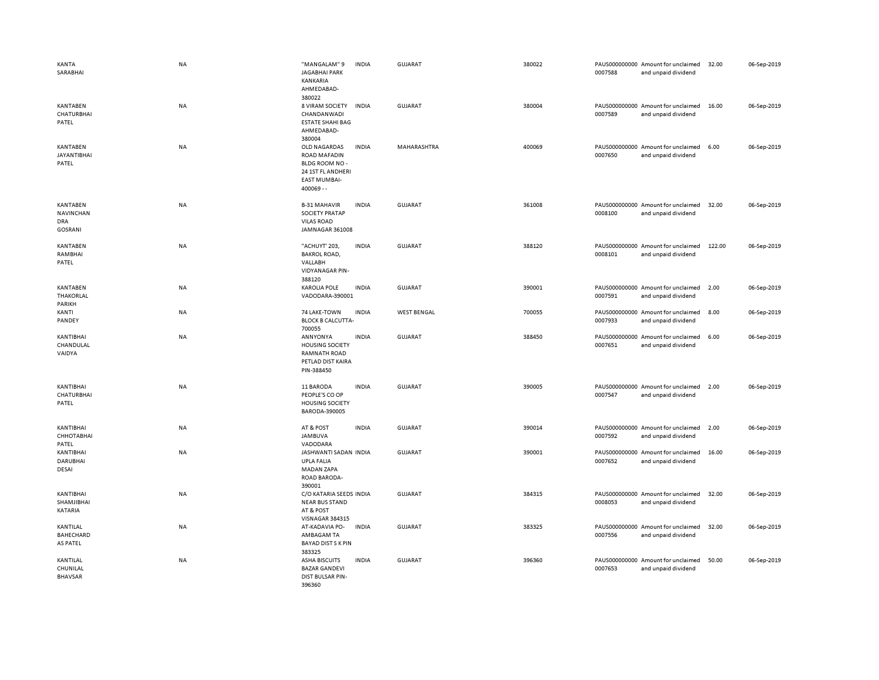| KANTA<br>SARABHAI                                     | <b>NA</b> | "MANGALAM" 9<br><b>JAGABHAI PARK</b><br><b>KANKARIA</b><br>AHMEDABAD-<br>380022                                   | <b>INDIA</b> | GUJARAT            | 380022 | 0007588 | PAUS000000000 Amount for unclaimed<br>and unpaid dividend | 32.00  | 06-Sep-2019 |
|-------------------------------------------------------|-----------|-------------------------------------------------------------------------------------------------------------------|--------------|--------------------|--------|---------|-----------------------------------------------------------|--------|-------------|
| KANTABEN<br>CHATURBHAI<br>PATEL                       | <b>NA</b> | 8 VIRAM SOCIETY<br>CHANDANWADI<br><b>ESTATE SHAHI BAG</b><br>AHMEDABAD-<br>380004                                 | <b>INDIA</b> | <b>GUJARAT</b>     | 380004 | 0007589 | PAUS000000000 Amount for unclaimed<br>and unpaid dividend | 16.00  | 06-Sep-2019 |
| KANTABEN<br><b>JAYANTIBHAI</b><br>PATEL               | <b>NA</b> | OLD NAGARDAS<br><b>ROAD MAFADIN</b><br>BLDG ROOM NO -<br>24 1ST FL ANDHERI<br><b>EAST MUMBAI-</b><br>$400069 - -$ | <b>INDIA</b> | MAHARASHTRA        | 400069 | 0007650 | PAUS000000000 Amount for unclaimed<br>and unpaid dividend | 6.00   | 06-Sep-2019 |
| KANTABEN<br>NAVINCHAN<br><b>DRA</b><br><b>GOSRANI</b> | <b>NA</b> | <b>B-31 MAHAVIR</b><br><b>SOCIETY PRATAP</b><br><b>VILAS ROAD</b><br>JAMNAGAR 361008                              | <b>INDIA</b> | <b>GUJARAT</b>     | 361008 | 0008100 | PAUS000000000 Amount for unclaimed<br>and unpaid dividend | 32.00  | 06-Sep-2019 |
| KANTABEN<br>RAMBHAI<br>PATEL                          | <b>NA</b> | "ACHUYT' 203,<br><b>BAKROL ROAD,</b><br>VALLABH<br><b>VIDYANAGAR PIN-</b><br>388120                               | <b>INDIA</b> | GUJARAT            | 388120 | 0008101 | PAUS000000000 Amount for unclaimed<br>and unpaid dividend | 122.00 | 06-Sep-2019 |
| KANTABEN<br>THAKORLAL<br>PARIKH                       | <b>NA</b> | <b>KAROLIA POLE</b><br>VADODARA-390001                                                                            | <b>INDIA</b> | <b>GUJARAT</b>     | 390001 | 0007591 | PAUS000000000 Amount for unclaimed<br>and unpaid dividend | 2.00   | 06-Sep-2019 |
| KANTI<br>PANDEY                                       | <b>NA</b> | 74 LAKE-TOWN<br><b>BLOCK B CALCUTTA-</b><br>700055                                                                | <b>INDIA</b> | <b>WEST BENGAL</b> | 700055 | 0007933 | PAUS000000000 Amount for unclaimed<br>and unpaid dividend | 8.00   | 06-Sep-2019 |
| KANTIBHAI<br>CHANDULAL<br>VAIDYA                      | <b>NA</b> | ANNYONYA<br><b>HOUSING SOCIETY</b><br><b>RAMNATH ROAD</b><br>PETLAD DIST KAIRA<br>PIN-388450                      | <b>INDIA</b> | <b>GUJARAT</b>     | 388450 | 0007651 | PAUS000000000 Amount for unclaimed<br>and unpaid dividend | 6.00   | 06-Sep-2019 |
| KANTIBHAI<br>CHATURBHAI<br>PATEL                      | <b>NA</b> | 11 BARODA<br>PEOPLE'S CO OP<br><b>HOUSING SOCIETY</b><br>BARODA-390005                                            | <b>INDIA</b> | <b>GUJARAT</b>     | 390005 | 0007547 | PAUS000000000 Amount for unclaimed<br>and unpaid dividend | 2.00   | 06-Sep-2019 |
| KANTIBHAI<br>СННОТАВНАІ<br>PATEL                      | <b>NA</b> | AT & POST<br><b>JAMBUVA</b><br>VADODARA                                                                           | <b>INDIA</b> | GUJARAT            | 390014 | 0007592 | PAUS000000000 Amount for unclaimed<br>and unpaid dividend | 2.00   | 06-Sep-2019 |
| KANTIBHAI<br><b>DARUBHAI</b><br>DESAI                 | <b>NA</b> | JASHWANTI SADAN INDIA<br><b>UPLA FALIA</b><br><b>MADAN ZAPA</b><br>ROAD BARODA-<br>390001                         |              | <b>GUJARAT</b>     | 390001 | 0007652 | PAUS000000000 Amount for unclaimed<br>and unpaid dividend | 16.00  | 06-Sep-2019 |
| KANTIBHAI<br>SHAMJIBHAI<br>KATARIA                    | NA        | C/O KATARIA SEEDS INDIA<br><b>NEAR BUS STAND</b><br>AT & POST<br>VISNAGAR 384315                                  |              | <b>GUJARAT</b>     | 384315 | 0008053 | PAUS000000000 Amount for unclaimed<br>and unpaid dividend | 32.00  | 06-Sep-2019 |
| KANTILAL<br>BAHECHARD<br>AS PATEL                     | <b>NA</b> | AT-KADAVIA PO-<br>AMBAGAM TA<br><b>BAYAD DIST S K PIN</b><br>383325                                               | <b>INDIA</b> | GUJARAT            | 383325 | 0007556 | PAUS000000000 Amount for unclaimed<br>and unpaid dividend | 32.00  | 06-Sep-2019 |
| KANTILAL<br>CHUNILAL<br><b>BHAVSAR</b>                | <b>NA</b> | <b>ASHA BISCUITS</b><br><b>BAZAR GANDEVI</b><br>DIST BULSAR PIN-<br>396360                                        | <b>INDIA</b> | GUJARAT            | 396360 | 0007653 | PAUS000000000 Amount for unclaimed<br>and unpaid dividend | 50.00  | 06-Sep-2019 |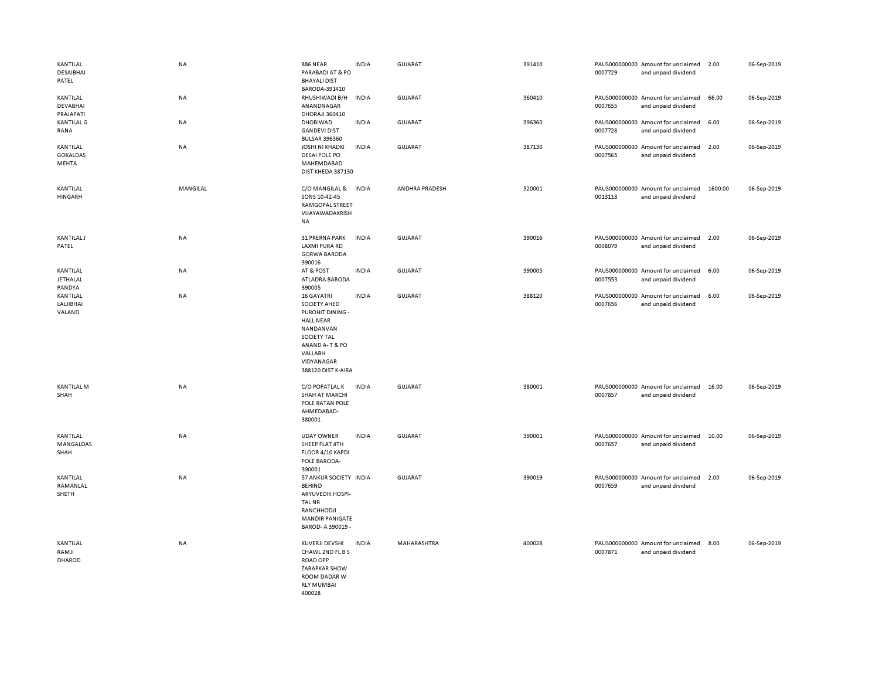| KANTILAL<br>DESAIBHAI<br>PATEL           | <b>NA</b> | <b>886 NEAR</b><br>PARABADI AT & PO<br><b>BHAYALI DIST</b>                                                                                                                           | <b>INDIA</b> | <b>GUJARAT</b> | 391410 | 0007729 | PAUS000000000 Amount for unclaimed<br>and unpaid dividend | 2.00    | 06-Sep-2019 |
|------------------------------------------|-----------|--------------------------------------------------------------------------------------------------------------------------------------------------------------------------------------|--------------|----------------|--------|---------|-----------------------------------------------------------|---------|-------------|
| KANTILAL<br><b>DEVABHAI</b><br>PRAJAPATI | NA        | BARODA-391410<br>RHUSHIWADI B/H<br>ANANDNAGAR<br>DHORAJI 360410                                                                                                                      | <b>INDIA</b> | GUJARAT        | 360410 | 0007655 | PAUS000000000 Amount for unclaimed<br>and unpaid dividend | 66.00   | 06-Sep-2019 |
| <b>KANTILAL G</b><br>RANA                | NA        | DHOBIWAD<br><b>GANDEVI DIST</b><br><b>BULSAR 396360</b>                                                                                                                              | <b>INDIA</b> | GUJARAT        | 396360 | 0007728 | PAUS000000000 Amount for unclaimed<br>and unpaid dividend | 6.00    | 06-Sep-2019 |
| KANTILAL<br><b>GOKALDAS</b><br>MEHTA     | <b>NA</b> | <b>JOSHI NI KHADKI</b><br>DESAI POLE PO<br>MAHEMDABAD<br>DIST KHEDA 387130                                                                                                           | <b>INDIA</b> | GUJARAT        | 387130 | 0007565 | PAUS000000000 Amount for unclaimed<br>and unpaid dividend | 2.00    | 06-Sep-2019 |
| KANTILAL<br><b>HINGARH</b>               | MANGILAL  | C/O MANGILAL &<br>SONS 10-42-45<br>RAMGOPAL STREET<br>VIJAYAWADAKRISH<br>NA                                                                                                          | <b>INDIA</b> | ANDHRA PRADESH | 520001 | 0013118 | PAUS000000000 Amount for unclaimed<br>and unpaid dividend | 1600.00 | 06-Sep-2019 |
| <b>KANTILAL J</b><br>PATEL               | NA        | 31 PRERNA PARK<br><b>LAXMI PURA RD</b><br><b>GORWA BARODA</b><br>390016                                                                                                              | <b>INDIA</b> | <b>GUJARAT</b> | 390016 | 0008079 | PAUS000000000 Amount for unclaimed<br>and unpaid dividend | 2.00    | 06-Sep-2019 |
| KANTILAL<br><b>JETHALAL</b><br>PANDYA    | NA        | AT & POST<br>ATLADRA BARODA<br>390005                                                                                                                                                | <b>INDIA</b> | <b>GUJARAT</b> | 390005 | 0007553 | PAUS000000000 Amount for unclaimed<br>and unpaid dividend | 6.00    | 06-Sep-2019 |
| KANTILAL<br>LALJIBHAI<br>VALAND          | <b>NA</b> | <b>16 GAYATRI</b><br><b>SOCIETY AHED</b><br>PUROHIT DINING -<br><b>HALL NEAR</b><br>NANDANVAN<br><b>SOCIETY TAL</b><br>ANAND A-T & PO<br>VALLABH<br>VIDYANAGAR<br>388120 DIST K-AIRA | <b>INDIA</b> | <b>GUJARAT</b> | 388120 | 0007656 | PAUS000000000 Amount for unclaimed<br>and unpaid dividend | 6.00    | 06-Sep-2019 |
| KANTILAL M<br>SHAH                       | NA        | C/O POPATLAL K<br>SHAH AT MARCHI<br>POLE RATAN POLE<br>AHMEDABAD-<br>380001                                                                                                          | <b>INDIA</b> | GUJARAT        | 380001 | 0007857 | PAUS000000000 Amount for unclaimed<br>and unpaid dividend | 16.00   | 06-Sep-2019 |
| KANTILAL<br>MANGALDAS<br>SHAH            | NA        | <b>UDAY OWNER</b><br>SHEEP FLAT 4TH<br>FLOOR 4/10 KAPDI<br>POLE BARODA-<br>390001                                                                                                    | <b>INDIA</b> | GUJARAT        | 390001 | 0007657 | PAUS000000000 Amount for unclaimed<br>and unpaid dividend | 10.00   | 06-Sep-2019 |
| KANTILAL<br>RAMANLAL<br>SHETH            | NA        | 57 ANKUR SOCIETY INDIA<br><b>BEHIND</b><br>ARYUVEDIK HOSPI-<br><b>TAL NR</b><br>RANCHHODJI<br><b>MANDIR PANIGATE</b><br>BAROD- A 390019 -                                            |              | GUJARAT        | 390019 | 0007659 | PAUS000000000 Amount for unclaimed<br>and unpaid dividend | 2.00    | 06-Sep-2019 |
| KANTILAL<br>RAMJI<br>DHAROD              | NA        | KUVERJI DEVSHI<br>CHAWL 2ND FL B S<br><b>ROAD OPP</b><br><b>ZARAPKAR SHOW</b><br>ROOM DADAR W<br><b>RLY MUMBAI</b><br>400028                                                         | <b>INDIA</b> | MAHARASHTRA    | 400028 | 0007871 | PAUS000000000 Amount for unclaimed<br>and unpaid dividend | 8.00    | 06-Sep-2019 |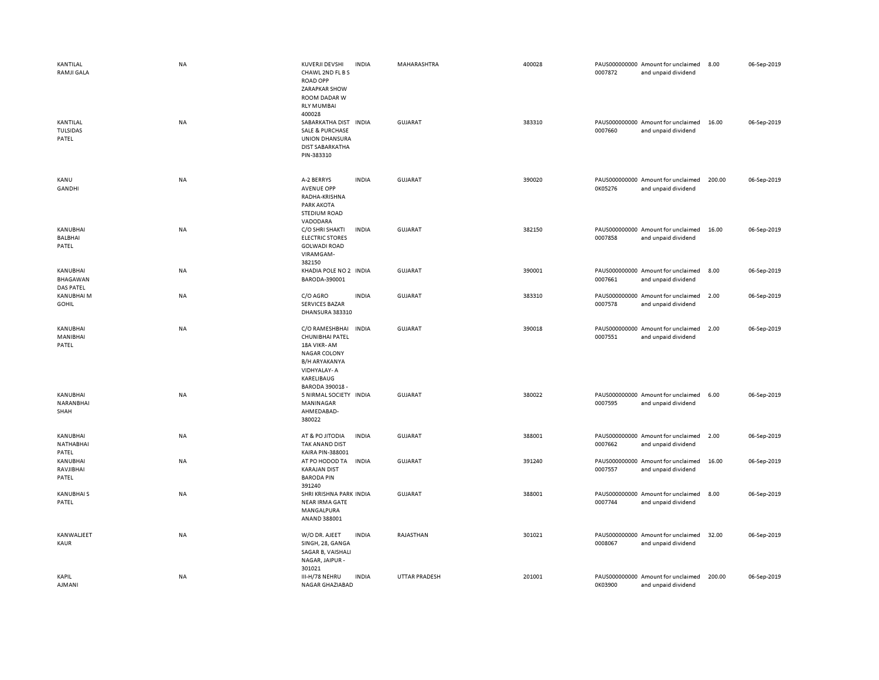| KANTILAL<br><b>RAMJI GALA</b>         | <b>NA</b> | <b>KUVERJI DEVSHI</b><br>CHAWL 2ND FL B S<br><b>ROAD OPP</b><br>ZARAPKAR SHOW<br>ROOM DADAR W<br><b>RLY MUMBAI</b><br>400028             | <b>INDIA</b> | MAHARASHTRA    | 400028 | 0007872 | PAUS000000000 Amount for unclaimed<br>and unpaid dividend | 8.00   | 06-Sep-2019 |
|---------------------------------------|-----------|------------------------------------------------------------------------------------------------------------------------------------------|--------------|----------------|--------|---------|-----------------------------------------------------------|--------|-------------|
| KANTILAL<br>TULSIDAS<br>PATEL         | NA        | SABARKATHA DIST IN DIA<br><b>SALE &amp; PURCHASE</b><br><b>UNION DHANSURA</b><br><b>DIST SABARKATHA</b><br>PIN-383310                    |              | <b>GUJARAT</b> | 383310 | 0007660 | PAUS000000000 Amount for unclaimed<br>and unpaid dividend | 16.00  | 06-Sep-2019 |
| KANU<br><b>GANDHI</b>                 | <b>NA</b> | A-2 BERRYS<br><b>AVENUE OPP</b><br>RADHA-KRISHNA<br><b>PARK AKOTA</b><br><b>STEDIUM ROAD</b><br>VADODARA                                 | <b>INDIA</b> | <b>GUJARAT</b> | 390020 | 0K05276 | PAUS000000000 Amount for unclaimed<br>and unpaid dividend | 200.00 | 06-Sep-2019 |
| KANUBHAI<br><b>BALBHAI</b><br>PATEL   | <b>NA</b> | C/O SHRI SHAKTI<br><b>ELECTRIC STORES</b><br><b>GOLWADI ROAD</b><br>VIRAMGAM-<br>382150                                                  | <b>INDIA</b> | <b>GUJARAT</b> | 382150 | 0007858 | PAUS000000000 Amount for unclaimed<br>and unpaid dividend | 16.00  | 06-Sep-2019 |
| KANUBHAI<br>BHAGAWAN<br>DAS PATEL     | ΝA        | KHADIA POLE NO 2 INDIA<br>BARODA-390001                                                                                                  |              | <b>GUJARAT</b> | 390001 | 0007661 | PAUS000000000 Amount for unclaimed<br>and unpaid dividend | 8.00   | 06-Sep-2019 |
| KANUBHAI M<br><b>GOHIL</b>            | NA        | C/O AGRO<br><b>SERVICES BAZAR</b><br>DHANSURA 383310                                                                                     | <b>INDIA</b> | GUJARAT        | 383310 | 0007578 | PAUS000000000 Amount for unclaimed<br>and unpaid dividend | 2.00   | 06-Sep-2019 |
| KANUBHAI<br>MANIBHAI<br>PATEL         | NA        | C/O RAMESHBHAI<br>CHUNIBHAI PATEL<br>18A VIKR-AM<br><b>NAGAR COLONY</b><br>B/H ARYAKANYA<br>VIDHYALAY-A<br>KARELIBAUG<br>BARODA 390018 - | <b>INDIA</b> | <b>GUJARAT</b> | 390018 | 0007551 | PAUS000000000 Amount for unclaimed<br>and unpaid dividend | 2.00   | 06-Sep-2019 |
| KANUBHAI<br>NARANBHAI<br>SHAH         | NA        | 5 NIRMAL SOCIETY INDIA<br>MANINAGAR<br>AHMEDABAD-<br>380022                                                                              |              | <b>GUJARAT</b> | 380022 | 0007595 | PAUS000000000 Amount for unclaimed<br>and unpaid dividend | 6.00   | 06-Sep-2019 |
| <b>KANUBHAI</b><br>NATHABHAI<br>PATEL | NA        | AT & PO JITODIA<br>TAK ANAND DIST<br>KAIRA PIN-388001                                                                                    | <b>INDIA</b> | <b>GUJARAT</b> | 388001 | 0007662 | PAUS000000000 Amount for unclaimed<br>and unpaid dividend | 2.00   | 06-Sep-2019 |
| <b>KANUBHAI</b><br>RAVJIBHAI<br>PATEL | NA        | AT PO HODOD TA<br><b>KARAJAN DIST</b><br><b>BARODA PIN</b><br>391240                                                                     | <b>INDIA</b> | GUJARAT        | 391240 | 0007557 | PAUS000000000 Amount for unclaimed<br>and unpaid dividend | 16.00  | 06-Sep-2019 |
| <b>KANUBHAIS</b><br>PATEL             | <b>NA</b> | SHRI KRISHNA PARK INDIA<br><b>NEAR IRMA GATE</b><br>MANGALPURA<br>ANAND 388001                                                           |              | GUJARAT        | 388001 | 0007744 | PAUS000000000 Amount for unclaimed<br>and unpaid dividend | 8.00   | 06-Sep-2019 |
| KANWALJEET<br>KAUR                    | NA        | W/O DR. AJEET<br>SINGH, 28, GANGA<br>SAGAR B, VAISHALI<br>NAGAR, JAIPUR -<br>301021                                                      | <b>INDIA</b> | RAJASTHAN      | 301021 | 0008067 | PAUS000000000 Amount for unclaimed<br>and unpaid dividend | 32.00  | 06-Sep-2019 |
| KAPIL<br>AJMANI                       | NA        | III-H/78 NEHRU<br>NAGAR GHAZIABAD                                                                                                        | <b>INDIA</b> | UTTAR PRADESH  | 201001 | 0K03900 | PAUS000000000 Amount for unclaimed<br>and unpaid dividend | 200.00 | 06-Sep-2019 |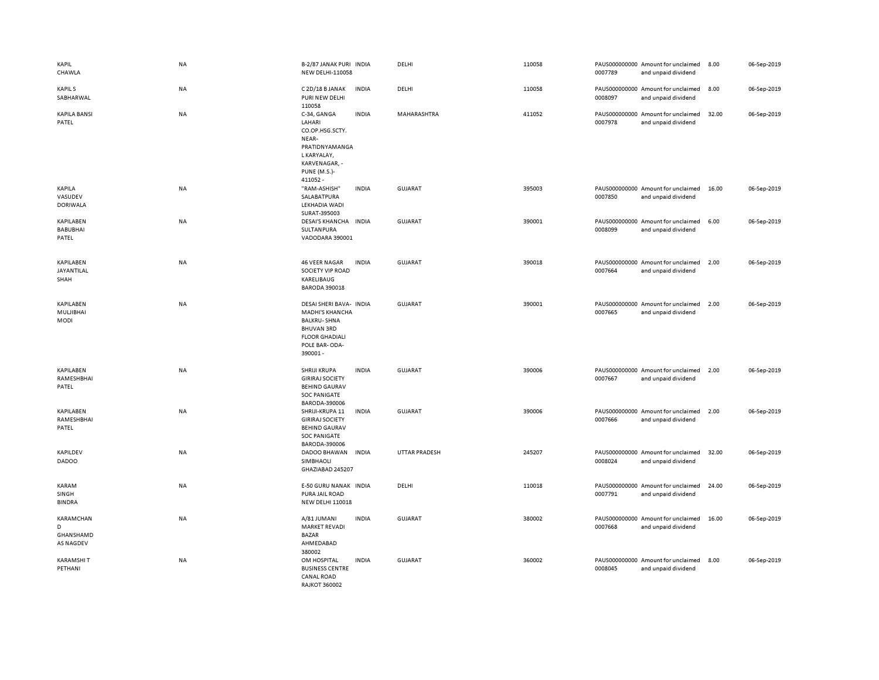| KAPIL<br>CHAWLA                                 | NA        | B-2/87 JANAK PURI INDIA<br><b>NEW DELHI-110058</b>                                                                                                |              | DELHI                | 110058 | 0007789 | PAUS000000000 Amount for unclaimed<br>and unpaid dividend | 8.00  | 06-Sep-2019 |
|-------------------------------------------------|-----------|---------------------------------------------------------------------------------------------------------------------------------------------------|--------------|----------------------|--------|---------|-----------------------------------------------------------|-------|-------------|
| <b>KAPILS</b><br>SABHARWAL                      | <b>NA</b> | C 2D/18 B JANAK<br>PURI NEW DELHI<br>110058                                                                                                       | <b>INDIA</b> | DELHI                | 110058 | 0008097 | PAUS000000000 Amount for unclaimed<br>and unpaid dividend | 8.00  | 06-Sep-2019 |
| <b>KAPILA BANSI</b><br>PATEL                    | NA        | C-34, GANGA<br>LAHARI<br>CO.OP.HSG.SCTY.<br>NEAR-<br>PRATIDNYAMANGA<br>L KARYALAY,<br>KARVENAGAR, -<br><b>PUNE (M.S.)-</b><br>411052 -            | <b>INDIA</b> | MAHARASHTRA          | 411052 | 0007978 | PAUS000000000 Amount for unclaimed<br>and unpaid dividend | 32.00 | 06-Sep-2019 |
| KAPILA<br>VASUDEV<br><b>DORIWALA</b>            | <b>NA</b> | "RAM-ASHISH"<br>SALABATPURA<br>LEKHADIA WADI<br>SURAT-395003                                                                                      | <b>INDIA</b> | <b>GUJARAT</b>       | 395003 | 0007850 | PAUS000000000 Amount for unclaimed<br>and unpaid dividend | 16.00 | 06-Sep-2019 |
| KAPILABEN<br><b>BABUBHAI</b><br>PATEL           | NA        | DESAI'S KHANCHA INDIA<br>SULTANPURA<br>VADODARA 390001                                                                                            |              | <b>GUJARAT</b>       | 390001 | 0008099 | PAUS000000000 Amount for unclaimed<br>and unpaid dividend | 6.00  | 06-Sep-2019 |
| KAPILABEN<br>JAYANTILAL<br>SHAH                 | NA        | <b>46 VEER NAGAR</b><br>SOCIETY VIP ROAD<br>KARELIBAUG<br><b>BARODA 390018</b>                                                                    | <b>INDIA</b> | <b>GUJARAT</b>       | 390018 | 0007664 | PAUS000000000 Amount for unclaimed<br>and unpaid dividend | 2.00  | 06-Sep-2019 |
| KAPILABEN<br>MULJIBHAI<br><b>MODI</b>           | <b>NA</b> | DESAI SHERI BAVA- INDIA<br><b>MADHI'S KHANCHA</b><br><b>BALKRU-SHNA</b><br><b>BHUVAN 3RD</b><br><b>FLOOR GHADIALI</b><br>POLE BAR-ODA-<br>390001- |              | GUJARAT              | 390001 | 0007665 | PAUS000000000 Amount for unclaimed<br>and unpaid dividend | 2.00  | 06-Sep-2019 |
| KAPILABEN<br>RAMESHBHAI<br>PATEL                | NA        | SHRIJI KRUPA<br><b>GIRIRAJ SOCIETY</b><br><b>BEHIND GAURAV</b><br><b>SOC PANIGATE</b><br>BARODA-390006                                            | <b>INDIA</b> | <b>GUJARAT</b>       | 390006 | 0007667 | PAUS000000000 Amount for unclaimed<br>and unpaid dividend | 2.00  | 06-Sep-2019 |
| KAPILABEN<br>RAMESHBHAI<br>PATEL                | <b>NA</b> | SHRIJI-KRUPA 11<br><b>GIRIRAJ SOCIETY</b><br><b>BEHIND GAURAV</b><br><b>SOC PANIGATE</b><br>BARODA-390006                                         | <b>INDIA</b> | <b>GUJARAT</b>       | 390006 | 0007666 | PAUS000000000 Amount for unclaimed<br>and unpaid dividend | 2.00  | 06-Sep-2019 |
| KAPILDEV<br><b>DADOO</b>                        | <b>NA</b> | DADOO BHAWAN<br>SIMBHAOLI<br>GHAZIABAD 245207                                                                                                     | <b>INDIA</b> | <b>UTTAR PRADESH</b> | 245207 | 0008024 | PAUS000000000 Amount for unclaimed<br>and unpaid dividend | 32.00 | 06-Sep-2019 |
| KARAM<br>SINGH<br><b>BINDRA</b>                 | <b>NA</b> | E-50 GURU NANAK INDIA<br>PURA JAIL ROAD<br>NEW DELHI 110018                                                                                       |              | DELHI                | 110018 | 0007791 | PAUS000000000 Amount for unclaimed<br>and unpaid dividend | 24.00 | 06-Sep-2019 |
| KARAMCHAN<br>D<br>GHANSHAMD<br><b>AS NAGDEV</b> | NA        | A/81 JUMANI<br><b>MARKET REVADI</b><br><b>BAZAR</b><br>AHMEDABAD<br>380002                                                                        | <b>INDIA</b> | <b>GUJARAT</b>       | 380002 | 0007668 | PAUS000000000 Amount for unclaimed<br>and unpaid dividend | 16.00 | 06-Sep-2019 |
| <b>KARAMSHIT</b><br>PETHANI                     | NA        | OM HOSPITAL<br><b>BUSINESS CENTRE</b><br><b>CANAL ROAD</b><br><b>RAJKOT 360002</b>                                                                | <b>INDIA</b> | <b>GUJARAT</b>       | 360002 | 0008045 | PAUS000000000 Amount for unclaimed<br>and unpaid dividend | 8.00  | 06-Sep-2019 |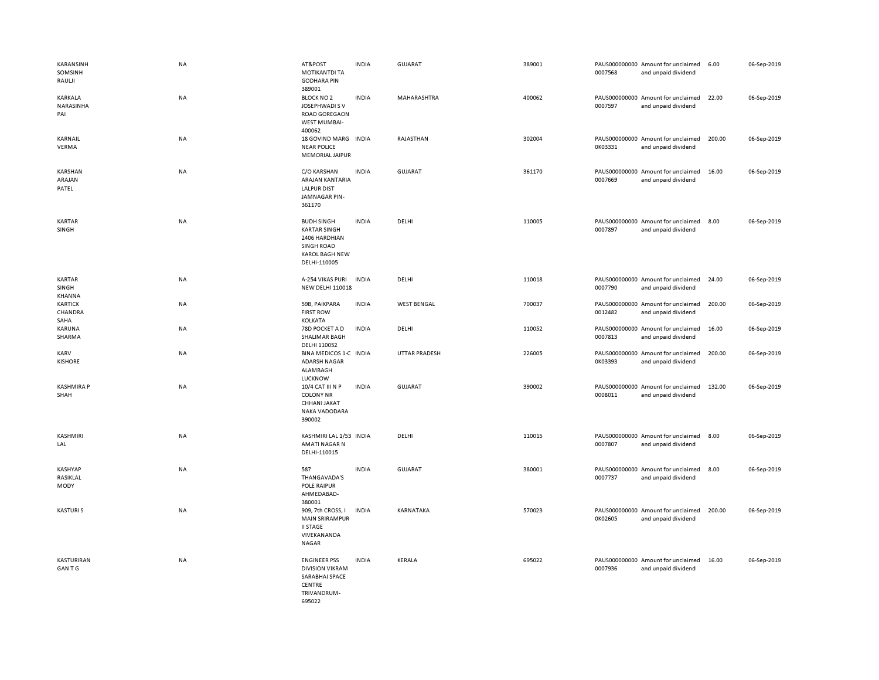| KARANSINH<br>SOMSINH<br>RAULII                        | NA        | AT&POST<br><b>MOTIKANTDI TA</b><br><b>GODHARA PIN</b><br>389001                                                  | <b>INDIA</b> | <b>GUJARAT</b>     | 389001 | 0007568 | PAUS000000000 Amount for unclaimed<br>and unpaid dividend | 6.00   | 06-Sep-2019 |
|-------------------------------------------------------|-----------|------------------------------------------------------------------------------------------------------------------|--------------|--------------------|--------|---------|-----------------------------------------------------------|--------|-------------|
| KARKALA<br>NARASINHA<br>PAI                           | <b>NA</b> | <b>BLOCK NO 2</b><br>JOSEPHWADI S V<br>ROAD GOREGAON<br><b>WEST MUMBAI-</b><br>400062                            | <b>INDIA</b> | <b>MAHARASHTRA</b> | 400062 | 0007597 | PAUS000000000 Amount for unclaimed<br>and unpaid dividend | 22.00  | 06-Sep-2019 |
| KARNAIL<br>VERMA                                      | NA        | 18 GOVIND MARG INDIA<br><b>NEAR POLICE</b><br><b>MEMORIAL JAIPUR</b>                                             |              | RAJASTHAN          | 302004 | 0K03331 | PAUS000000000 Amount for unclaimed<br>and unpaid dividend | 200.00 | 06-Sep-2019 |
| KARSHAN<br>ARAJAN<br>PATEL                            | NA        | C/O KARSHAN<br>ARAJAN KANTARIA<br><b>LALPUR DIST</b><br>JAMNAGAR PIN-<br>361170                                  | <b>INDIA</b> | <b>GUJARAT</b>     | 361170 | 0007669 | PAUS000000000 Amount for unclaimed<br>and unpaid dividend | 16.00  | 06-Sep-2019 |
| <b>KARTAR</b><br>SINGH                                | <b>NA</b> | <b>BUDH SINGH</b><br><b>KARTAR SINGH</b><br>2406 HARDHIAN<br>SINGH ROAD<br><b>KAROL BAGH NEW</b><br>DELHI-110005 | <b>INDIA</b> | DELHI              | 110005 | 0007897 | PAUS000000000 Amount for unclaimed<br>and unpaid dividend | 8.00   | 06-Sep-2019 |
| <b>KARTAR</b><br>SINGH<br>KHANNA                      | NA        | A-254 VIKAS PURI<br><b>NEW DELHI 110018</b>                                                                      | <b>INDIA</b> | DELHI              | 110018 | 0007790 | PAUS000000000 Amount for unclaimed<br>and unpaid dividend | 24.00  | 06-Sep-2019 |
| <b>KARTICK</b><br>CHANDRA<br>SAHA<br>KARUNA<br>SHARMA | NA        | 59B, PAIKPARA<br><b>FIRST ROW</b><br>KOLKATA                                                                     | <b>INDIA</b> | <b>WEST BENGAL</b> | 700037 | 0012482 | PAUS000000000 Amount for unclaimed<br>and unpaid dividend | 200.00 | 06-Sep-2019 |
|                                                       | NA        | 78D POCKET A D<br>SHALIMAR BAGH<br>DELHI 110052                                                                  | <b>INDIA</b> | DELHI              | 110052 | 0007813 | PAUS000000000 Amount for unclaimed<br>and unpaid dividend | 16.00  | 06-Sep-2019 |
| KARV<br><b>KISHORE</b>                                | NA        | BINA MEDICOS 1-C INDIA<br><b>ADARSH NAGAR</b><br>ALAMBAGH<br><b>LUCKNOW</b>                                      |              | UTTAR PRADESH      | 226005 | 0K03393 | PAUS000000000 Amount for unclaimed<br>and unpaid dividend | 200.00 | 06-Sep-2019 |
| <b>KASHMIRA P</b><br>SHAH                             | NA        | 10/4 CAT III N P<br><b>COLONY NR</b><br>CHHANI JAKAT<br>NAKA VADODARA<br>390002                                  | <b>INDIA</b> | <b>GUJARAT</b>     | 390002 | 0008011 | PAUS000000000 Amount for unclaimed<br>and unpaid dividend | 132.00 | 06-Sep-2019 |
| KASHMIRI<br>LAL                                       | NA        | KASHMIRI LAL 1/53 INDIA<br>AMATI NAGAR N<br>DELHI-110015                                                         |              | DELHI              | 110015 | 0007807 | PAUS000000000 Amount for unclaimed<br>and unpaid dividend | 8.00   | 06-Sep-2019 |
| <b>KASHYAP</b><br>RASIKLAL<br>MODY                    | NA        | 587<br>THANGAVADA'S<br>POLE RAIPUR<br>AHMEDABAD-<br>380001                                                       | <b>INDIA</b> | <b>GUJARAT</b>     | 380001 | 0007737 | PAUS000000000 Amount for unclaimed<br>and unpaid dividend | 8.00   | 06-Sep-2019 |
| <b>KASTURIS</b>                                       | NA        | 909, 7th CROSS, I<br><b>MAIN SRIRAMPUR</b><br><b>II STAGE</b><br>VIVEKANANDA<br>NAGAR                            | <b>INDIA</b> | KARNATAKA          | 570023 | 0K02605 | PAUS000000000 Amount for unclaimed<br>and unpaid dividend | 200.00 | 06-Sep-2019 |
| KASTURIRAN<br><b>GANTG</b>                            | NA        | <b>ENGINEER PSS</b><br><b>DIVISION VIKRAM</b><br>SARABHAI SPACE<br>CENTRE<br>TRIVANDRUM-<br>695022               | <b>INDIA</b> | KERALA             | 695022 | 0007936 | PAUS000000000 Amount for unclaimed<br>and unpaid dividend | 16.00  | 06-Sep-2019 |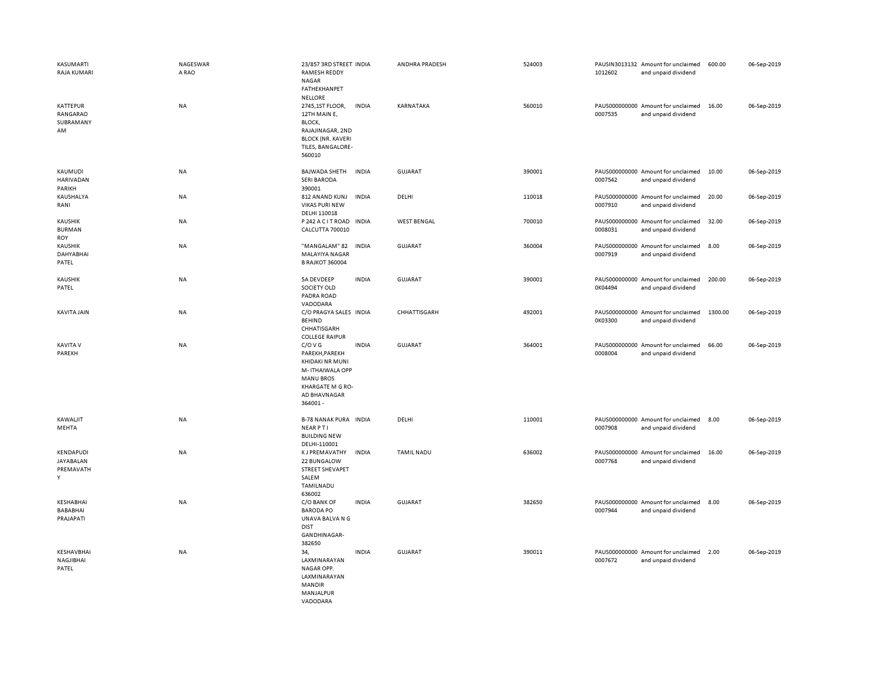| KASUMARTI<br>RAJA KUMARI                      | NAGESWAR<br>A RAO | 23/857 3RD STREET INDIA<br>RAMESH REDDY<br><b>NAGAR</b><br>FATHEKHANPET                                                                    |              | ANDHRA PRADESH     | 524003 | 1012602 | PAUSIN3013132 Amount for unclaimed<br>and unpaid dividend | 600.00  | 06-Sep-2019 |
|-----------------------------------------------|-------------------|--------------------------------------------------------------------------------------------------------------------------------------------|--------------|--------------------|--------|---------|-----------------------------------------------------------|---------|-------------|
| KATTEPUR<br>RANGARAO<br>SUBRAMANY<br>AM       | NA                | <b>NELLORE</b><br>2745,1ST FLOOR,<br>12TH MAIN E,<br>BLOCK,<br>RAJAJINAGAR, 2ND<br><b>BLOCK (NR. KAVERI</b><br>TILES, BANGALORE-<br>560010 | <b>INDIA</b> | KARNATAKA          | 560010 | 0007535 | PAUS000000000 Amount for unclaimed<br>and unpaid dividend | 16.00   | 06-Sep-2019 |
| KAUMUDI<br>HARIVADAN<br>PARIKH                | NA                | <b>BAJWADA SHETH</b><br><b>SERI BARODA</b><br>390001                                                                                       | <b>INDIA</b> | <b>GUJARAT</b>     | 390001 | 0007542 | PAUS000000000 Amount for unclaimed<br>and unpaid dividend | 10.00   | 06-Sep-2019 |
| KAUSHALYA<br>RANI                             | NA                | 812 ANAND KUNJ<br><b>VIKAS PURI NEW</b><br>DELHI 110018                                                                                    | <b>INDIA</b> | DELHI              | 110018 | 0007910 | PAUS000000000 Amount for unclaimed<br>and unpaid dividend | 20.00   | 06-Sep-2019 |
| <b>KAUSHIK</b><br><b>BURMAN</b><br><b>ROY</b> | <b>NA</b>         | P 242 A C I T ROAD IN DIA<br><b>CALCUTTA 700010</b>                                                                                        |              | <b>WEST BENGAL</b> | 700010 | 0008031 | PAUS000000000 Amount for unclaimed<br>and unpaid dividend | 32.00   | 06-Sep-2019 |
| <b>KAUSHIK</b><br>DAHYABHAI<br>PATEL          | NA                | "MANGALAM" 82<br>MALAYIYA NAGAR<br><b>B RAJKOT 360004</b>                                                                                  | <b>INDIA</b> | <b>GUJARAT</b>     | 360004 | 0007919 | PAUS000000000 Amount for unclaimed<br>and unpaid dividend | 8.00    | 06-Sep-2019 |
| KAUSHIK<br>PATEL                              | NA                | 5A DEVDEEP<br>SOCIETY OLD<br>PADRA ROAD<br>VADODARA                                                                                        | <b>INDIA</b> | <b>GUJARAT</b>     | 390001 | 0K04494 | PAUS000000000 Amount for unclaimed<br>and unpaid dividend | 200.00  | 06-Sep-2019 |
| KAVITA JAIN                                   | <b>NA</b>         | C/O PRAGYA SALES INDIA<br><b>BEHIND</b><br>CHHATISGARH<br><b>COLLEGE RAIPUR</b>                                                            |              | CHHATTISGARH       | 492001 | 0K03300 | PAUS000000000 Amount for unclaimed<br>and unpaid dividend | 1300.00 | 06-Sep-2019 |
| <b>KAVITA V</b><br>PAREKH                     | <b>NA</b>         | C/O V G<br>PAREKH, PAREKH<br>KHIDAKI NR MUNI<br>M-ITHAIWALA OPP<br><b>MANU BROS</b><br>KHARGATE M G RO-<br>AD BHAVNAGAR<br>364001-         | <b>INDIA</b> | GUJARAT            | 364001 | 0008004 | PAUS000000000 Amount for unclaimed<br>and unpaid dividend | 66.00   | 06-Sep-2019 |
| KAWALJIT<br>MEHTA                             | <b>NA</b>         | <b>B-78 NANAK PURA INDIA</b><br><b>NEARPTI</b><br><b>BUILDING NEW</b><br>DELHI-110001                                                      |              | DELHI              | 110001 | 0007908 | PAUS000000000 Amount for unclaimed<br>and unpaid dividend | 8.00    | 06-Sep-2019 |
| KENDAPUDI<br>JAYABALAN<br>PREMAVATH<br>Y      | <b>NA</b>         | <b>KJ PREMAVATHY</b><br>22 BUNGALOW<br>STREET SHEVAPET<br>SALEM<br>TAMILNADU<br>636002                                                     | <b>INDIA</b> | <b>TAMIL NADU</b>  | 636002 | 0007768 | PAUS000000000 Amount for unclaimed<br>and unpaid dividend | 16.00   | 06-Sep-2019 |
| KESHABHAI<br>BABABHAI<br>PRAJAPATI            | <b>NA</b>         | C/O BANK OF<br><b>BARODA PO</b><br>UNAVA BALVA N G<br><b>DIST</b><br>GANDHINAGAR-<br>382650                                                | <b>INDIA</b> | GUJARAT            | 382650 | 0007944 | PAUS000000000 Amount for unclaimed<br>and unpaid dividend | 8.00    | 06-Sep-2019 |
| KESHAVBHAI<br>NAGJIBHAI<br>PATEL              | NA                | 34,<br>LAXMINARAYAN<br>NAGAR OPP.<br>LAXMINARAYAN<br><b>MANDIR</b><br>MANJALPUR<br>VADODARA                                                | <b>INDIA</b> | GUJARAT            | 390011 | 0007672 | PAUS000000000 Amount for unclaimed<br>and unpaid dividend | 2.00    | 06-Sep-2019 |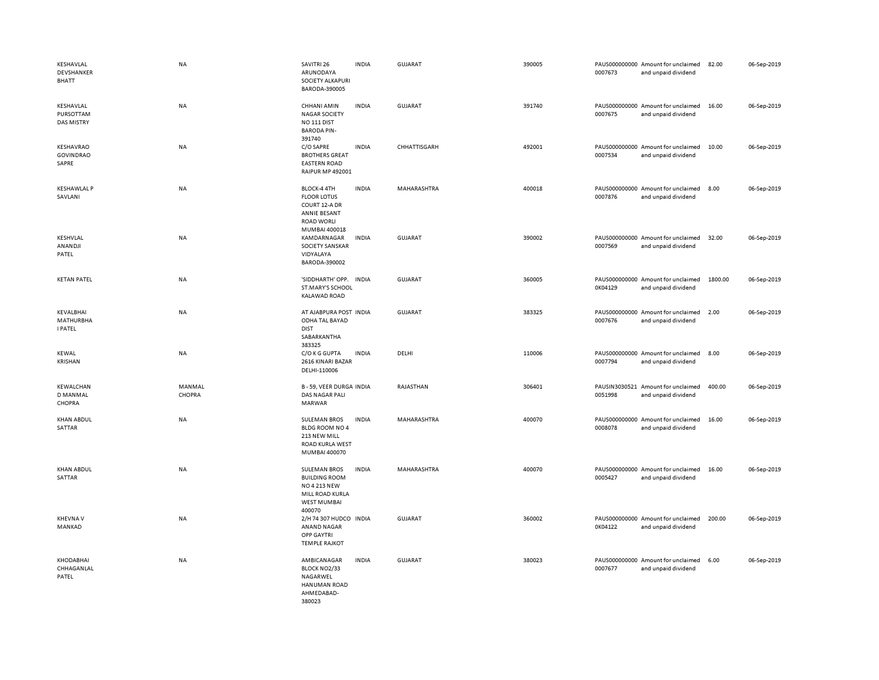| KESHAVLAL<br>DEVSHANKER<br><b>BHATT</b>            | <b>NA</b>        | SAVITRI 26<br>ARUNODAYA<br>SOCIETY ALKAPURI<br>BARODA-390005                                                   | <b>INDIA</b> | GUJARAT        | 390005 | 0007673 | PAUS000000000 Amount for unclaimed<br>and unpaid dividend | 82.00   | 06-Sep-2019 |
|----------------------------------------------------|------------------|----------------------------------------------------------------------------------------------------------------|--------------|----------------|--------|---------|-----------------------------------------------------------|---------|-------------|
| KESHAVLAL<br><b>PURSOTTAM</b><br><b>DAS MISTRY</b> | NA               | CHHANI AMIN<br><b>NAGAR SOCIETY</b><br>NO <sub>111</sub> DIST<br><b>BARODA PIN-</b><br>391740                  | <b>INDIA</b> | <b>GUJARAT</b> | 391740 | 0007675 | PAUS000000000 Amount for unclaimed<br>and unpaid dividend | 16.00   | 06-Sep-2019 |
| KESHAVRAO<br><b>GOVINDRAO</b><br>SAPRE             | <b>NA</b>        | C/O SAPRE<br><b>BROTHERS GREAT</b><br><b>EASTERN ROAD</b><br><b>RAIPUR MP 492001</b>                           | <b>INDIA</b> | CHHATTISGARH   | 492001 | 0007534 | PAUS000000000 Amount for unclaimed<br>and unpaid dividend | 10.00   | 06-Sep-2019 |
| <b>KESHAWLAL P</b><br>SAVLANI                      | <b>NA</b>        | BLOCK-4 4TH<br><b>FLOOR LOTUS</b><br>COURT 12-A DR<br>ANNIE BESANT<br><b>ROAD WORLI</b><br>MUMBAI 400018       | <b>INDIA</b> | MAHARASHTRA    | 400018 | 0007876 | PAUS000000000 Amount for unclaimed<br>and unpaid dividend | 8.00    | 06-Sep-2019 |
| KESHVLAL<br>ANANDJI<br>PATEL                       | NA               | KAMDARNAGAR<br>SOCIETY SANSKAR<br>VIDYALAYA<br>BARODA-390002                                                   | <b>INDIA</b> | <b>GUJARAT</b> | 390002 | 0007569 | PAUS000000000 Amount for unclaimed<br>and unpaid dividend | 32.00   | 06-Sep-2019 |
| <b>KETAN PATEL</b>                                 | NA               | 'SIDDHARTH' OPP.<br>ST.MARY'S SCHOOL<br>KALAWAD ROAD                                                           | <b>INDIA</b> | <b>GUJARAT</b> | 360005 | 0K04129 | PAUS000000000 Amount for unclaimed<br>and unpaid dividend | 1800.00 | 06-Sep-2019 |
| KEVALBHAI<br><b>MATHURBHA</b><br><b>I PATEL</b>    | NA               | AT AJABPURA POST INDIA<br>ODHA TAL BAYAD<br><b>DIST</b><br>SABARKANTHA                                         |              | <b>GUJARAT</b> | 383325 | 0007676 | PAUS000000000 Amount for unclaimed<br>and unpaid dividend | 2.00    | 06-Sep-2019 |
| <b>KEWAL</b><br>KRISHAN                            | NA               | 383325<br>C/O K G GUPTA<br>2616 KINARI BAZAR<br>DELHI-110006                                                   | <b>INDIA</b> | DELHI          | 110006 | 0007794 | PAUS000000000 Amount for unclaimed<br>and unpaid dividend | 8.00    | 06-Sep-2019 |
| <b>KEWALCHAN</b><br>D MANMAL<br>CHOPRA             | MANMAL<br>CHOPRA | B-59, VEER DURGA INDIA<br>DAS NAGAR PALI<br>MARWAR                                                             |              | RAJASTHAN      | 306401 | 0051998 | PAUSIN3030521 Amount for unclaimed<br>and unpaid dividend | 400.00  | 06-Sep-2019 |
| <b>KHAN ABDUL</b><br>SATTAR                        | <b>NA</b>        | <b>SULEMAN BROS</b><br>BLDG ROOM NO 4<br>213 NEW MILL<br>ROAD KURLA WEST<br>MUMBAI 400070                      | <b>INDIA</b> | MAHARASHTRA    | 400070 | 0008078 | PAUS000000000 Amount for unclaimed<br>and unpaid dividend | 16.00   | 06-Sep-2019 |
| <b>KHAN ABDUL</b><br>SATTAR                        | <b>NA</b>        | <b>SULEMAN BROS</b><br><b>BUILDING ROOM</b><br>NO 4 213 NEW<br>MILL ROAD KURLA<br><b>WEST MUMBAI</b><br>400070 | <b>INDIA</b> | MAHARASHTRA    | 400070 | 0005427 | PAUS000000000 Amount for unclaimed<br>and unpaid dividend | 16.00   | 06-Sep-2019 |
| <b>KHEVNA V</b><br>MANKAD                          | <b>NA</b>        | 2/H 74 307 HUDCO INDIA<br>ANAND NAGAR<br><b>OPP GAYTRI</b><br><b>TEMPLE RAJKOT</b>                             |              | <b>GUJARAT</b> | 360002 | 0K04122 | PAUS000000000 Amount for unclaimed<br>and unpaid dividend | 200.00  | 06-Sep-2019 |
| KHODABHAI<br>CHHAGANLAL<br>PATEL                   | NA               | AMBICANAGAR<br>BLOCK NO2/33<br>NAGARWEL<br>HANUMAN ROAD<br>AHMEDABAD-<br>380023                                | <b>INDIA</b> | GUJARAT        | 380023 | 0007677 | PAUS000000000 Amount for unclaimed<br>and unpaid dividend | 6.00    | 06-Sep-2019 |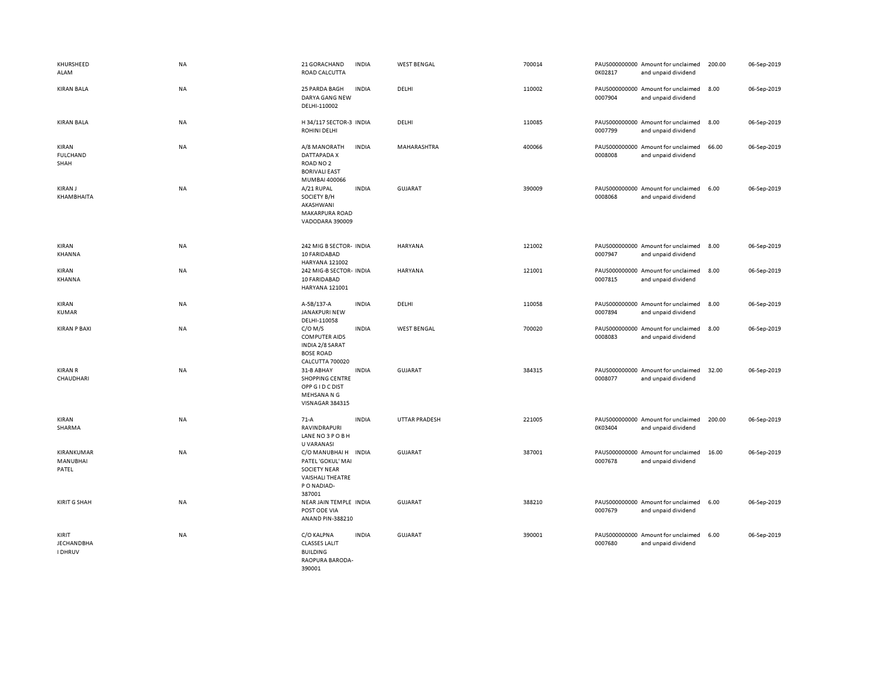| KHURSHEED<br>ALAM                            | NA        | 21 GORACHAND<br>ROAD CALCUTTA                                                                                       | <b>INDIA</b> | <b>WEST BENGAL</b> | 700014 | 0K02817 | PAUS000000000 Amount for unclaimed<br>and unpaid dividend | 200.00 | 06-Sep-2019 |
|----------------------------------------------|-----------|---------------------------------------------------------------------------------------------------------------------|--------------|--------------------|--------|---------|-----------------------------------------------------------|--------|-------------|
| <b>KIRAN BALA</b>                            | NA        | 25 PARDA BAGH<br>DARYA GANG NEW<br>DELHI-110002                                                                     | <b>INDIA</b> | DELHI              | 110002 | 0007904 | PAUS000000000 Amount for unclaimed<br>and unpaid dividend | 8.00   | 06-Sep-2019 |
| <b>KIRAN BALA</b>                            | <b>NA</b> | H 34/117 SECTOR-3 INDIA<br><b>ROHINI DELHI</b>                                                                      |              | DELHI              | 110085 | 0007799 | PAUS000000000 Amount for unclaimed<br>and unpaid dividend | 8.00   | 06-Sep-2019 |
| KIRAN<br><b>FULCHAND</b><br>SHAH             | NA        | A/8 MANORATH<br>DATTAPADA X<br>ROAD NO <sub>2</sub><br><b>BORIVALI EAST</b><br>MUMBAI 400066                        | <b>INDIA</b> | MAHARASHTRA        | 400066 | 0008008 | PAUS000000000 Amount for unclaimed<br>and unpaid dividend | 66.00  | 06-Sep-2019 |
| KIRAN J<br>KHAMBHAITA                        | NA        | A/21 RUPAL<br>SOCIETY B/H<br>AKASHWANI<br>MAKARPURA ROAD<br>VADODARA 390009                                         | <b>INDIA</b> | <b>GUJARAT</b>     | 390009 | 0008068 | PAUS000000000 Amount for unclaimed<br>and unpaid dividend | 6.00   | 06-Sep-2019 |
| KIRAN<br>KHANNA                              | NA        | 242 MIG B SECTOR- INDIA<br>10 FARIDABAD<br><b>HARYANA 121002</b>                                                    |              | <b>HARYANA</b>     | 121002 | 0007947 | PAUS000000000 Amount for unclaimed<br>and unpaid dividend | 8.00   | 06-Sep-2019 |
| KIRAN<br>KHANNA                              | NA        | 242 MIG-B SECTOR- INDIA<br>10 FARIDABAD<br>HARYANA 121001                                                           |              | HARYANA            | 121001 | 0007815 | PAUS000000000 Amount for unclaimed<br>and unpaid dividend | 8.00   | 06-Sep-2019 |
| KIRAN<br><b>KUMAR</b>                        | NA        | A-5B/137-A<br>JANAKPURI NEW<br>DELHI-110058                                                                         | <b>INDIA</b> | DELHI              | 110058 | 0007894 | PAUS000000000 Amount for unclaimed<br>and unpaid dividend | 8.00   | 06-Sep-2019 |
| <b>KIRAN P BAXI</b>                          | NA        | $C/O$ M/S<br><b>COMPUTER AIDS</b><br>INDIA 2/8 SARAT<br><b>BOSE ROAD</b><br>CALCUTTA 700020                         | <b>INDIA</b> | <b>WEST BENGAL</b> | 700020 | 0008083 | PAUS000000000 Amount for unclaimed<br>and unpaid dividend | 8.00   | 06-Sep-2019 |
| <b>KIRAN R</b><br>CHAUDHARI                  | NA        | 31-B ABHAY<br><b>SHOPPING CENTRE</b><br>OPP G I D C DIST<br>MEHSANA N G<br>VISNAGAR 384315                          | <b>INDIA</b> | <b>GUJARAT</b>     | 384315 | 0008077 | PAUS000000000 Amount for unclaimed<br>and unpaid dividend | 32.00  | 06-Sep-2019 |
| KIRAN<br>SHARMA                              | <b>NA</b> | $71-A$<br><b>RAVINDRAPURI</b><br>LANE NO3POBH<br>U VARANASI                                                         | <b>INDIA</b> | UTTAR PRADESH      | 221005 | 0K03404 | PAUS000000000 Amount for unclaimed<br>and unpaid dividend | 200.00 | 06-Sep-2019 |
| KIRANKUMAR<br>MANUBHAI<br>PATEL              | NA        | C/O MANUBHAI H INDIA<br>PATEL 'GOKUL' MAI<br><b>SOCIETY NEAR</b><br><b>VAISHALI THEATRE</b><br>PO NADIAD-<br>387001 |              | <b>GUJARAT</b>     | 387001 | 0007678 | PAUS000000000 Amount for unclaimed<br>and unpaid dividend | 16.00  | 06-Sep-2019 |
| <b>KIRIT G SHAH</b>                          | <b>NA</b> | NEAR JAIN TEMPLE INDIA<br>POST ODE VIA<br>ANAND PIN-388210                                                          |              | GUJARAT            | 388210 | 0007679 | PAUS000000000 Amount for unclaimed<br>and unpaid dividend | 6.00   | 06-Sep-2019 |
| KIRIT<br><b>JECHANDBHA</b><br><b>I DHRUV</b> | NA        | C/O KALPNA<br><b>CLASSES LALIT</b><br><b>BUILDING</b><br>RAOPURA BARODA-<br>390001                                  | <b>INDIA</b> | <b>GUJARAT</b>     | 390001 | 0007680 | PAUS000000000 Amount for unclaimed<br>and unpaid dividend | 6.00   | 06-Sep-2019 |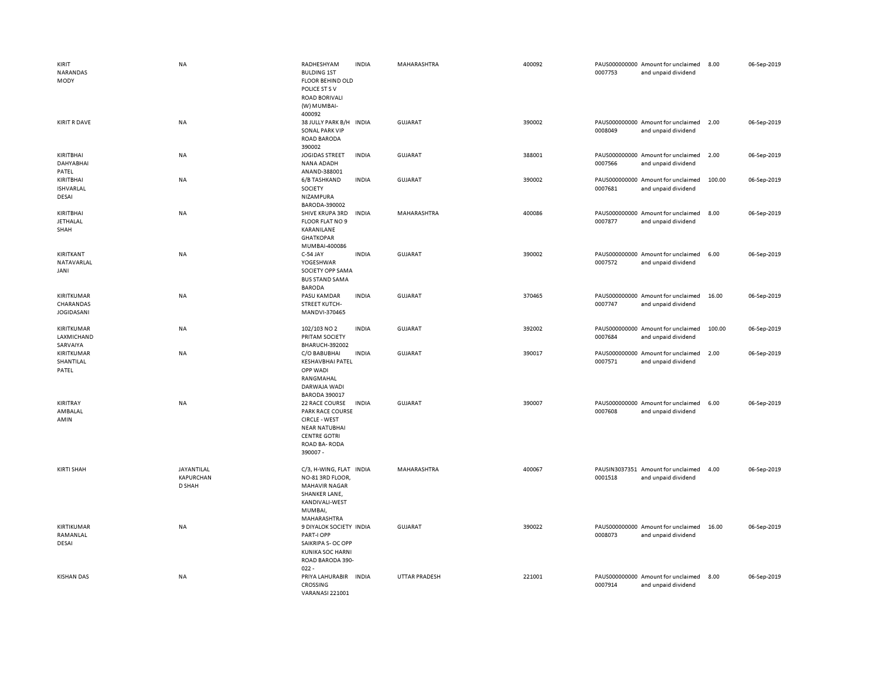| KIRIT<br>NARANDAS<br>MODY                    | <b>NA</b>                                | RADHESHYAM<br><b>BULDING 1ST</b><br><b>FLOOR BEHIND OLD</b><br>POLICE ST S V<br><b>ROAD BORIVALI</b><br>(W) MUMBAI-<br>400092                | <b>INDIA</b> | MAHARASHTRA          | 400092 | 0007753 | PAUS000000000 Amount for unclaimed<br>and unpaid dividend | 8.00   | 06-Sep-2019 |
|----------------------------------------------|------------------------------------------|----------------------------------------------------------------------------------------------------------------------------------------------|--------------|----------------------|--------|---------|-----------------------------------------------------------|--------|-------------|
| <b>KIRIT R DAVE</b>                          | NA                                       | 38 JULLY PARK B/H INDIA<br><b>SONAL PARK VIP</b><br>ROAD BARODA<br>390002                                                                    |              | <b>GUJARAT</b>       | 390002 | 0008049 | PAUS000000000 Amount for unclaimed<br>and unpaid dividend | 2.00   | 06-Sep-2019 |
| KIRITBHAI<br>DAHYABHAI<br>PATEL              | NA                                       | <b>JOGIDAS STREET</b><br>NANA ADADH<br>ANAND-388001                                                                                          | <b>INDIA</b> | <b>GUJARAT</b>       | 388001 | 0007566 | PAUS000000000 Amount for unclaimed<br>and unpaid dividend | 2.00   | 06-Sep-2019 |
| KIRITBHAI<br><b>ISHVARLAL</b><br>DESAI       | NA                                       | 6/B TASHKAND<br>SOCIETY<br>NIZAMPURA<br>BARODA-390002                                                                                        | <b>INDIA</b> | GUJARAT              | 390002 | 0007681 | PAUS000000000 Amount for unclaimed<br>and unpaid dividend | 100.00 | 06-Sep-2019 |
| KIRITBHAI<br>JETHALAL<br>SHAH                | NA                                       | SHIVE KRUPA 3RD<br>FLOOR FLAT NO 9<br>KARANILANE<br><b>GHATKOPAR</b><br>MUMBAI-400086                                                        | <b>INDIA</b> | MAHARASHTRA          | 400086 | 0007877 | PAUS000000000 Amount for unclaimed<br>and unpaid dividend | 8.00   | 06-Sep-2019 |
| KIRITKANT<br>NATAVARLAL<br>JANI              | NA                                       | C-54 JAY<br>YOGESHWAR<br>SOCIETY OPP SAMA<br><b>BUS STAND SAMA</b><br><b>BARODA</b>                                                          | <b>INDIA</b> | GUJARAT              | 390002 | 0007572 | PAUS000000000 Amount for unclaimed<br>and unpaid dividend | 6.00   | 06-Sep-2019 |
| KIRITKUMAR<br>CHARANDAS<br><b>JOGIDASANI</b> | <b>NA</b>                                | PASU KAMDAR<br><b>STREET KUTCH-</b><br>MANDVI-370465                                                                                         | <b>INDIA</b> | <b>GUJARAT</b>       | 370465 | 0007747 | PAUS000000000 Amount for unclaimed<br>and unpaid dividend | 16.00  | 06-Sep-2019 |
| KIRITKUMAR<br>LAXMICHAND<br>SARVAIYA         | NA                                       | 102/103 NO 2<br>PRITAM SOCIETY<br><b>BHARUCH-392002</b>                                                                                      | <b>INDIA</b> | <b>GUJARAT</b>       | 392002 | 0007684 | PAUS000000000 Amount for unclaimed<br>and unpaid dividend | 100.00 | 06-Sep-2019 |
| KIRITKUMAR<br>SHANTILAL<br>PATEL             | NA                                       | C/O BABUBHAI<br><b>KESHAVBHAI PATEL</b><br>OPP WADI<br>RANGMAHAL<br>DARWAJA WADI<br><b>BARODA 390017</b>                                     | <b>INDIA</b> | <b>GUJARAT</b>       | 390017 | 0007571 | PAUS000000000 Amount for unclaimed<br>and unpaid dividend | 2.00   | 06-Sep-2019 |
| KIRITRAY<br>AMBALAL<br>AMIN                  | NA                                       | 22 RACE COURSE<br>PARK RACE COURSE<br><b>CIRCLE - WEST</b><br><b>NEAR NATUBHAI</b><br><b>CENTRE GOTRI</b><br><b>ROAD BA-RODA</b><br>390007 - | <b>INDIA</b> | <b>GUJARAT</b>       | 390007 | 0007608 | PAUS000000000 Amount for unclaimed<br>and unpaid dividend | 6.00   | 06-Sep-2019 |
| <b>KIRTI SHAH</b>                            | JAYANTILAL<br><b>KAPURCHAN</b><br>D SHAH | C/3, H-WING, FLAT INDIA<br>NO-81 3RD FLOOR,<br><b>MAHAVIR NAGAR</b><br>SHANKER LANE,<br>KANDIVALI-WEST<br>MUMBAI,<br>MAHARASHTRA             |              | MAHARASHTRA          | 400067 | 0001518 | PAUSIN3037351 Amount for unclaimed<br>and unpaid dividend | 4.00   | 06-Sep-2019 |
| KIRTIKUMAR<br>RAMANLAL<br>DESAI              | <b>NA</b>                                | 9 DIYALOK SOCIETY INDIA<br>PART-I OPP<br>SAIKRIPA S- OC OPP<br><b>KUNIKA SOC HARNI</b><br>ROAD BARODA 390-<br>$022 -$                        |              | <b>GUJARAT</b>       | 390022 | 0008073 | PAUS000000000 Amount for unclaimed<br>and unpaid dividend | 16.00  | 06-Sep-2019 |
| <b>KISHAN DAS</b>                            | <b>NA</b>                                | PRIYA LAHURABIR INDIA<br><b>CROSSING</b><br>VARANASI 221001                                                                                  |              | <b>UTTAR PRADESH</b> | 221001 | 0007914 | PAUS000000000 Amount for unclaimed<br>and unpaid dividend | 8.00   | 06-Sep-2019 |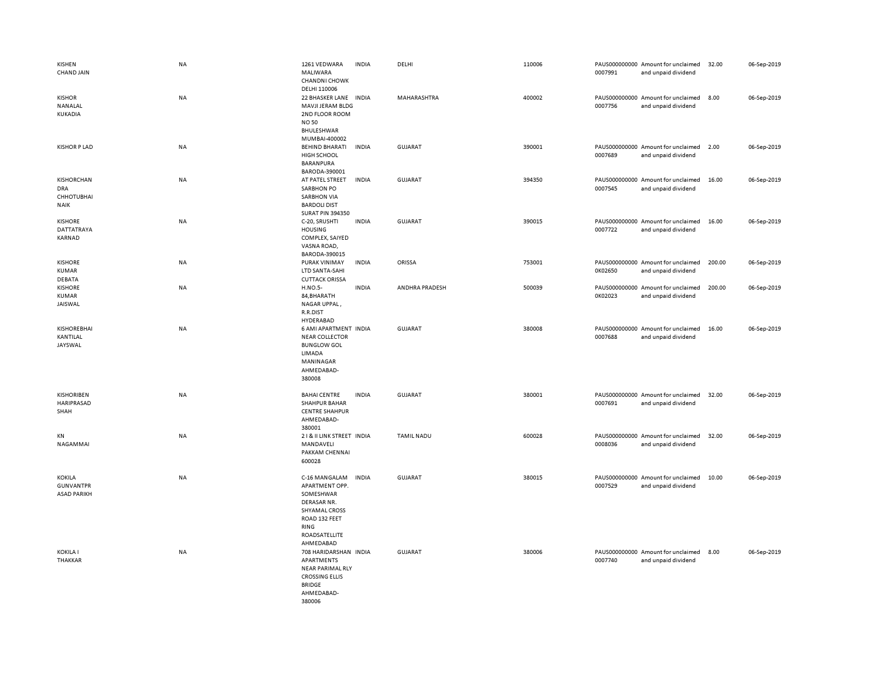| KISHEN<br>CHAND JAIN                                         | NA        | 1261 VEDWARA<br>MALIWARA<br><b>CHANDNI CHOWK</b><br>DELHI 110006                                                                    | <b>INDIA</b> | DELHI             | 110006 | 0007991 | PAUS000000000 Amount for unclaimed<br>and unpaid dividend | 32.00  | 06-Sep-2019 |
|--------------------------------------------------------------|-----------|-------------------------------------------------------------------------------------------------------------------------------------|--------------|-------------------|--------|---------|-----------------------------------------------------------|--------|-------------|
| <b>KISHOR</b><br>NANALAL<br>KUKADIA                          | <b>NA</b> | 22 BHASKER LANE INDIA<br>MAVJI JERAM BLDG<br>2ND FLOOR ROOM<br><b>NO 50</b><br>BHULESHWAR<br>MUMBAI-400002                          |              | MAHARASHTRA       | 400002 | 0007756 | PAUS000000000 Amount for unclaimed<br>and unpaid dividend | 8.00   | 06-Sep-2019 |
| <b>KISHOR P LAD</b>                                          | NA        | <b>BEHIND BHARATI</b><br><b>HIGH SCHOOL</b><br><b>BARANPURA</b><br>BARODA-390001                                                    | <b>INDIA</b> | <b>GUJARAT</b>    | 390001 | 0007689 | PAUS000000000 Amount for unclaimed<br>and unpaid dividend | 2.00   | 06-Sep-2019 |
| KISHORCHAN<br><b>DRA</b><br><b>CHHOTUBHAI</b><br><b>NAIK</b> | NA        | AT PATEL STREET<br><b>SARBHON PO</b><br><b>SARBHON VIA</b><br><b>BARDOLI DIST</b><br><b>SURAT PIN 394350</b>                        | <b>INDIA</b> | <b>GUJARAT</b>    | 394350 | 0007545 | PAUS000000000 Amount for unclaimed<br>and unpaid dividend | 16.00  | 06-Sep-2019 |
| <b>KISHORE</b><br><b>DATTATRAYA</b><br>KARNAD                | <b>NA</b> | C-20, SRUSHTI<br><b>HOUSING</b><br>COMPLEX, SAIYED<br>VASNA ROAD,<br>BARODA-390015                                                  | <b>INDIA</b> | <b>GUJARAT</b>    | 390015 | 0007722 | PAUS000000000 Amount for unclaimed<br>and unpaid dividend | 16.00  | 06-Sep-2019 |
| <b>KISHORE</b><br><b>KUMAR</b><br>DEBATA                     | NA        | PURAK VINIMAY<br>LTD SANTA-SAHI<br><b>CUTTACK ORISSA</b>                                                                            | <b>INDIA</b> | ORISSA            | 753001 | 0K02650 | PAUS000000000 Amount for unclaimed<br>and unpaid dividend | 200.00 | 06-Sep-2019 |
| <b>KISHORE</b><br><b>KUMAR</b><br>JAISWAL                    | NA        | H.NO.5-<br>84, BHARATH<br>NAGAR UPPAL,<br>R.R.DIST<br>HYDERABAD                                                                     | <b>INDIA</b> | ANDHRA PRADESH    | 500039 | 0K02023 | PAUS000000000 Amount for unclaimed<br>and unpaid dividend | 200.00 | 06-Sep-2019 |
| <b>KISHOREBHAI</b><br>KANTILAL<br>JAYSWAL                    | NA        | 6 AMI APARTMENT INDIA<br><b>NEAR COLLECTOR</b><br><b>BUNGLOW GOL</b><br>LIMADA<br>MANINAGAR<br>AHMEDABAD-<br>380008                 |              | <b>GUJARAT</b>    | 380008 | 0007688 | PAUS000000000 Amount for unclaimed<br>and unpaid dividend | 16.00  | 06-Sep-2019 |
| <b>KISHORIBEN</b><br>HARIPRASAD<br>SHAH                      | NA        | <b>BAHAI CENTRE</b><br><b>SHAHPUR BAHAR</b><br><b>CENTRE SHAHPUR</b><br>AHMEDABAD-<br>380001                                        | <b>INDIA</b> | GUJARAT           | 380001 | 0007691 | PAUS000000000 Amount for unclaimed<br>and unpaid dividend | 32.00  | 06-Sep-2019 |
| KN<br>NAGAMMAI                                               | NA        | 21& II LINK STREET INDIA<br>MANDAVELI<br>PAKKAM CHENNAI<br>600028                                                                   |              | <b>TAMIL NADU</b> | 600028 | 0008036 | PAUS000000000 Amount for unclaimed<br>and unpaid dividend | 32.00  | 06-Sep-2019 |
| <b>KOKILA</b><br><b>GUNVANTPR</b><br><b>ASAD PARIKH</b>      | NA        | C-16 MANGALAM<br>APARTMENT OPP.<br>SOMESHWAR<br>DERASAR NR.<br>SHYAMAL CROSS<br>ROAD 132 FEET<br>RING<br>ROADSATELLITE<br>AHMEDABAD | <b>INDIA</b> | GUJARAT           | 380015 | 0007529 | PAUS000000000 Amount for unclaimed<br>and unpaid dividend | 10.00  | 06-Sep-2019 |
| <b>KOKILA I</b><br><b>THAKKAR</b>                            | <b>NA</b> | 708 HARIDARSHAN INDIA<br>APARTMENTS<br><b>NEAR PARIMAL RLY</b><br><b>CROSSING ELLIS</b><br><b>BRIDGE</b><br>AHMEDABAD-<br>380006    |              | <b>GUJARAT</b>    | 380006 | 0007740 | PAUS000000000 Amount for unclaimed<br>and unpaid dividend | 8.00   | 06-Sep-2019 |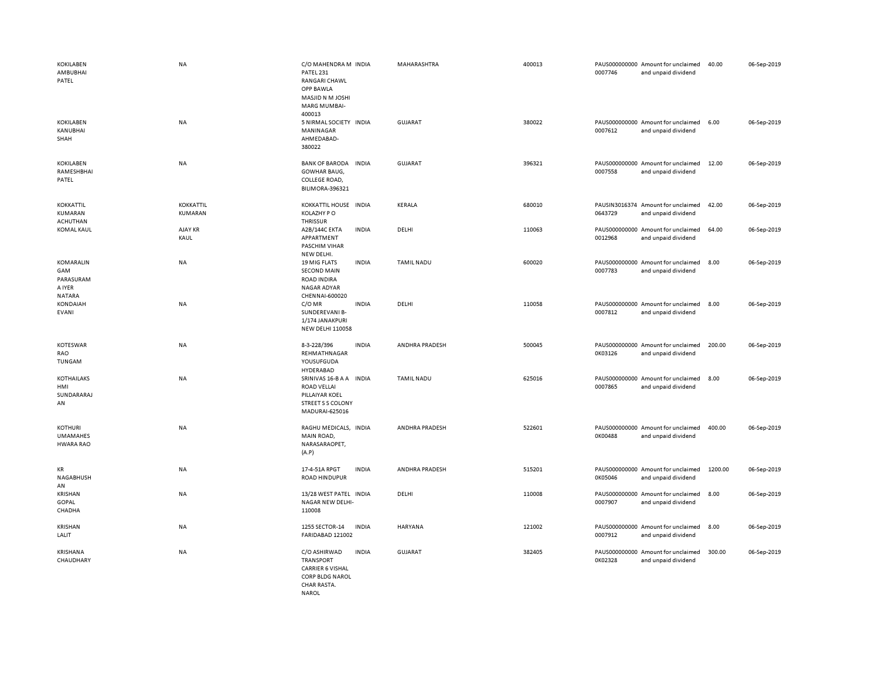| <b>KOKILABEN</b><br>AMBUBHAI<br>PATEL                    | <b>NA</b>                   | C/O MAHENDRA M INDIA<br>PATEL 231<br><b>RANGARI CHAWL</b><br><b>OPP BAWLA</b><br>MASJID N M JOSHI<br><b>MARG MUMBAI-</b><br>400013 | MAHARASHTRA           | 400013 | 0007746 | PAUS000000000 Amount for unclaimed<br>and unpaid dividend | 40.00   | 06-Sep-2019 |
|----------------------------------------------------------|-----------------------------|------------------------------------------------------------------------------------------------------------------------------------|-----------------------|--------|---------|-----------------------------------------------------------|---------|-------------|
| <b>KOKILABEN</b><br>KANUBHAI<br>SHAH                     | NA                          | 5 NIRMAL SOCIETY INDIA<br>MANINAGAR<br>AHMEDABAD-<br>380022                                                                        | <b>GUJARAT</b>        | 380022 | 0007612 | PAUS000000000 Amount for unclaimed<br>and unpaid dividend | 6.00    | 06-Sep-2019 |
| <b>KOKILABEN</b><br>RAMESHBHAI<br>PATEL                  | <b>NA</b>                   | <b>BANK OF BARODA</b><br><b>INDIA</b><br><b>GOWHAR BAUG,</b><br>COLLEGE ROAD,<br>BILIMORA-396321                                   | GUJARAT               | 396321 | 0007558 | PAUS000000000 Amount for unclaimed<br>and unpaid dividend | 12.00   | 06-Sep-2019 |
| <b>KOKKATTIL</b><br>KUMARAN<br><b>ACHUTHAN</b>           | <b>KOKKATTIL</b><br>KUMARAN | KOKKATTIL HOUSE IN DIA<br>KOLAZHY PO<br><b>THRISSUR</b>                                                                            | KERALA                | 680010 | 0643729 | PAUSIN3016374 Amount for unclaimed<br>and unpaid dividend | 42.00   | 06-Sep-2019 |
| <b>KOMAL KAUL</b>                                        | AJAY KR<br>KAUL             | A2B/144C EKTA<br><b>INDIA</b><br>APPARTMENT<br>PASCHIM VIHAR<br>NEW DELHI.                                                         | DELHI                 | 110063 | 0012968 | PAUS000000000 Amount for unclaimed<br>and unpaid dividend | 64.00   | 06-Sep-2019 |
| KOMARALIN<br>GAM<br>PARASURAM<br>A IYER<br><b>NATARA</b> | NA                          | 19 MIG FLATS<br><b>INDIA</b><br><b>SECOND MAIN</b><br><b>ROAD INDIRA</b><br>NAGAR ADYAR<br>CHENNAI-600020                          | <b>TAMIL NADU</b>     | 600020 | 0007783 | PAUS000000000 Amount for unclaimed<br>and unpaid dividend | 8.00    | 06-Sep-2019 |
| KONDAIAH<br><b>EVANI</b>                                 | NA                          | C/OMR<br><b>INDIA</b><br>SUNDEREVANI B-<br>1/174 JANAKPURI<br><b>NEW DELHI 110058</b>                                              | DELHI                 | 110058 | 0007812 | PAUS000000000 Amount for unclaimed<br>and unpaid dividend | 8.00    | 06-Sep-2019 |
| KOTESWAR<br>RAO<br>TUNGAM                                | NA                          | 8-3-228/396<br><b>INDIA</b><br>REHMATHNAGAR<br>YOUSUFGUDA<br>HYDERABAD                                                             | ANDHRA PRADESH        | 500045 | 0K03126 | PAUS000000000 Amount for unclaimed<br>and unpaid dividend | 200.00  | 06-Sep-2019 |
| <b>KOTHAILAKS</b><br>HMI<br>SUNDARARAJ<br>AN             | NA                          | SRINIVAS 16-B A A INDIA<br><b>ROAD VELLAI</b><br>PILLAIYAR KOEL<br><b>STREET S S COLONY</b><br>MADURAI-625016                      | <b>TAMIL NADU</b>     | 625016 | 0007865 | PAUS000000000 Amount for unclaimed<br>and unpaid dividend | 8.00    | 06-Sep-2019 |
| KOTHURI<br><b>UMAMAHES</b><br><b>HWARA RAO</b>           | <b>NA</b>                   | RAGHU MEDICALS, INDIA<br>MAIN ROAD,<br>NARASARAOPET,<br>(A.P)                                                                      | ANDHRA PRADESH        | 522601 | 0K00488 | PAUS000000000 Amount for unclaimed<br>and unpaid dividend | 400.00  | 06-Sep-2019 |
| KR<br>NAGABHUSH<br>AN                                    | <b>NA</b>                   | 17-4-51A RPGT<br><b>INDIA</b><br><b>ROAD HINDUPUR</b>                                                                              | <b>ANDHRA PRADESH</b> | 515201 | 0K05046 | PAUS000000000 Amount for unclaimed<br>and unpaid dividend | 1200.00 | 06-Sep-2019 |
| KRISHAN<br>GOPAL<br>CHADHA                               | <b>NA</b>                   | 13/28 WEST PATEL INDIA<br>NAGAR NEW DELHI-<br>110008                                                                               | DELHI                 | 110008 | 0007907 | PAUS000000000 Amount for unclaimed<br>and unpaid dividend | 8.00    | 06-Sep-2019 |
| <b>KRISHAN</b><br>LALIT                                  | NA                          | 1255 SECTOR-14<br><b>INDIA</b><br>FARIDABAD 121002                                                                                 | <b>HARYANA</b>        | 121002 | 0007912 | PAUS000000000 Amount for unclaimed<br>and unpaid dividend | 8.00    | 06-Sep-2019 |
| KRISHANA<br>CHAUDHARY                                    | <b>NA</b>                   | C/O ASHIRWAD<br><b>INDIA</b><br><b>TRANSPORT</b><br><b>CARRIER 6 VISHAL</b><br>CORP BLDG NAROL<br>CHAR RASTA                       | <b>GUJARAT</b>        | 382405 | 0K02328 | PAUS000000000 Amount for unclaimed<br>and unpaid dividend | 300.00  | 06-Sep-2019 |

NAROL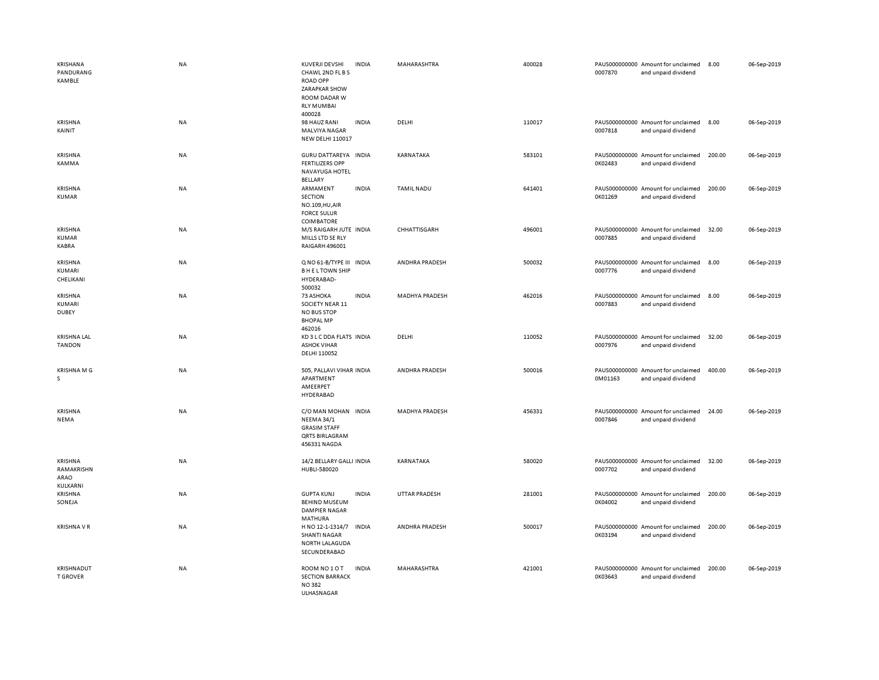| <b>KRISHANA</b><br>PANDURANG<br><b>KAMBLE</b> | NA        | KUVERJI DEVSHI<br><b>INDIA</b><br>CHAWL 2ND FL B S<br><b>ROAD OPP</b><br><b>ZARAPKAR SHOW</b><br>ROOM DADAR W<br><b>RLY MUMBAI</b><br>400028 | MAHARASHTRA           | 400028 | PAUS000000000 Amount for unclaimed<br>0007870<br>and unpaid dividend | 8.00   | 06-Sep-2019 |
|-----------------------------------------------|-----------|----------------------------------------------------------------------------------------------------------------------------------------------|-----------------------|--------|----------------------------------------------------------------------|--------|-------------|
| KRISHNA<br>KAINIT                             | NA        | 98 HAUZ RANI<br><b>INDIA</b><br><b>MALVIYA NAGAR</b><br><b>NEW DELHI 110017</b>                                                              | DELHI                 | 110017 | PAUS000000000 Amount for unclaimed<br>0007818<br>and unpaid dividend | 8.00   | 06-Sep-2019 |
| KRISHNA<br>KAMMA                              | NA        | GURU DATTAREYA INDIA<br><b>FERTILIZERS OPP</b><br>NAVAYUGA HOTEL<br>BELLARY                                                                  | KARNATAKA             | 583101 | PAUS000000000 Amount for unclaimed<br>0K02483<br>and unpaid dividend | 200.00 | 06-Sep-2019 |
| <b>KRISHNA</b><br>KUMAR                       | <b>NA</b> | ARMAMENT<br><b>INDIA</b><br>SECTION<br>NO.109, HU, AIR<br><b>FORCE SULUR</b><br>COIMBATORE                                                   | <b>TAMIL NADU</b>     | 641401 | PAUS000000000 Amount for unclaimed<br>0K01269<br>and unpaid dividend | 200.00 | 06-Sep-2019 |
| <b>KRISHNA</b><br><b>KUMAR</b><br>KABRA       | NA        | M/S RAIGARH JUTE INDIA<br>MILLS LTD SE RLY<br>RAIGARH 496001                                                                                 | CHHATTISGARH          | 496001 | PAUS000000000 Amount for unclaimed<br>0007885<br>and unpaid dividend | 32.00  | 06-Sep-2019 |
| KRISHNA<br>KUMARI<br>CHELIKANI                | NA        | Q NO 61-B/TYPE III INDIA<br><b>BHELTOWN SHIP</b><br>HYDERABAD-<br>500032                                                                     | ANDHRA PRADESH        | 500032 | PAUS000000000 Amount for unclaimed<br>0007776<br>and unpaid dividend | 8.00   | 06-Sep-2019 |
| KRISHNA<br>KUMARI<br><b>DUBEY</b>             | NA        | 73 ASHOKA<br><b>INDIA</b><br>SOCIETY NEAR 11<br><b>NO BUS STOP</b><br><b>BHOPAL MP</b><br>462016                                             | <b>MADHYA PRADESH</b> | 462016 | PAUS000000000 Amount for unclaimed<br>0007883<br>and unpaid dividend | 8.00   | 06-Sep-2019 |
| <b>KRISHNA LAL</b><br><b>TANDON</b>           | NA        | KD 3 L C DDA FLATS INDIA<br><b>ASHOK VIHAR</b><br>DELHI 110052                                                                               | DELHI                 | 110052 | PAUS000000000 Amount for unclaimed<br>0007976<br>and unpaid dividend | 32.00  | 06-Sep-2019 |
| <b>KRISHNA M G</b><br>s                       | <b>NA</b> | 505, PALLAVI VIHAR INDIA<br>APARTMENT<br>AMEERPET<br>HYDERABAD                                                                               | ANDHRA PRADESH        | 500016 | PAUS000000000 Amount for unclaimed<br>0M01163<br>and unpaid dividend | 400.00 | 06-Sep-2019 |
| KRISHNA<br>NEMA                               | NA        | C/O MAN MOHAN INDIA<br><b>NEEMA 34/1</b><br><b>GRASIM STAFF</b><br><b>QRTS BIRLAGRAM</b><br>456331 NAGDA                                     | MADHYA PRADESH        | 456331 | PAUS000000000 Amount for unclaimed<br>0007846<br>and unpaid dividend | 24.00  | 06-Sep-2019 |
| KRISHNA<br>RAMAKRISHN<br>ARAO<br>KULKARNI     | NA        | 14/2 BELLARY GALLI INDIA<br>HUBLI-580020                                                                                                     | KARNATAKA             | 580020 | PAUS000000000 Amount for unclaimed<br>0007702<br>and unpaid dividend | 32.00  | 06-Sep-2019 |
| KRISHNA<br>SONEJA                             | NA        | <b>GUPTA KUNJ</b><br><b>INDIA</b><br><b>BEHIND MUSEUM</b><br><b>DAMPIER NAGAR</b><br><b>MATHURA</b>                                          | UTTAR PRADESH         | 281001 | PAUS000000000 Amount for unclaimed<br>0K04002<br>and unpaid dividend | 200.00 | 06-Sep-2019 |
| <b>KRISHNA V R</b>                            | NA        | H NO 12-1-1314/7<br><b>INDIA</b><br><b>SHANTI NAGAR</b><br>NORTH LALAGUDA<br>SECUNDERABAD                                                    | ANDHRA PRADESH        | 500017 | PAUS000000000 Amount for unclaimed<br>0K03194<br>and unpaid dividend | 200.00 | 06-Sep-2019 |
| KRISHNADUT<br><b>T GROVER</b>                 | NA        | ROOM NO 1 O T<br><b>INDIA</b><br><b>SECTION BARRACK</b><br><b>NO382</b><br><b>III HASNAGAR</b>                                               | MAHARASHTRA           | 421001 | PAUS000000000 Amount for unclaimed<br>0K03643<br>and unpaid dividend | 200.00 | 06-Sep-2019 |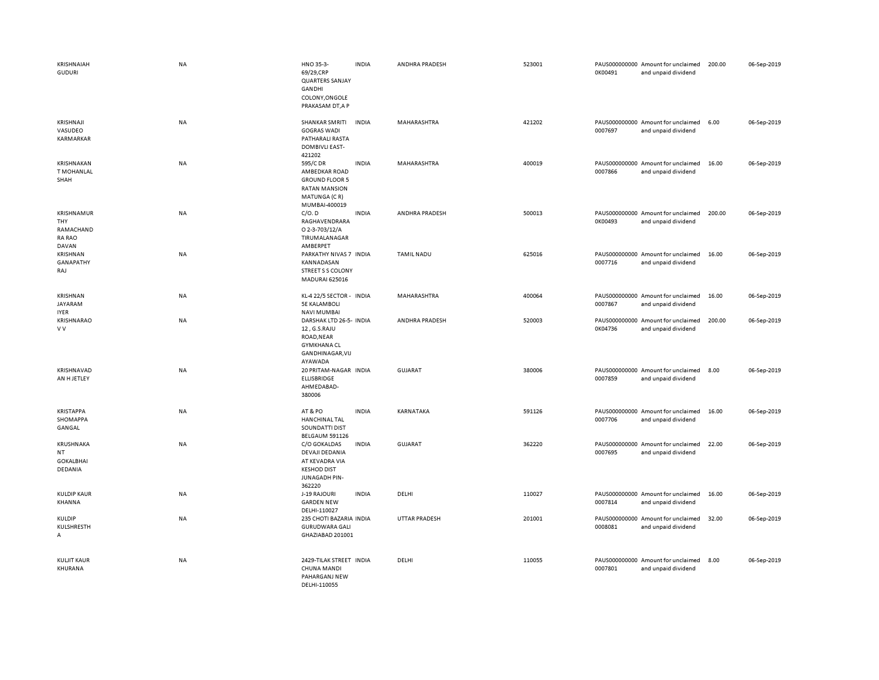| KRISHNAIAH<br><b>GUDURI</b>                                     | NA        | HNO 35-3-<br>69/29,CRP<br><b>QUARTERS SANJAY</b><br>GANDHI<br>COLONY, ONGOLE<br>PRAKASAM DT, A P            | <b>INDIA</b> | ANDHRA PRADESH       | 523001 | 0K00491 | PAUS000000000 Amount for unclaimed<br>and unpaid dividend | 200.00 | 06-Sep-2019 |
|-----------------------------------------------------------------|-----------|-------------------------------------------------------------------------------------------------------------|--------------|----------------------|--------|---------|-----------------------------------------------------------|--------|-------------|
| KRISHNAJI<br>VASUDEO<br>KARMARKAR                               | NA        | SHANKAR SMRITI<br><b>GOGRAS WADI</b><br>PATHARALI RASTA<br><b>DOMBIVLI EAST-</b><br>421202                  | <b>INDIA</b> | MAHARASHTRA          | 421202 | 0007697 | PAUS000000000 Amount for unclaimed<br>and unpaid dividend | 6.00   | 06-Sep-2019 |
| KRISHNAKAN<br><b>T MOHANLAL</b><br>SHAH                         | NA        | 595/C DR<br>AMBEDKAR ROAD<br><b>GROUND FLOOR 5</b><br><b>RATAN MANSION</b><br>MATUNGA (CR)<br>MUMBAI-400019 | <b>INDIA</b> | MAHARASHTRA          | 400019 | 0007866 | PAUS000000000 Amount for unclaimed<br>and unpaid dividend | 16.00  | 06-Sep-2019 |
| <b>KRISHNAMUR</b><br>THY<br>RAMACHAND<br><b>RA RAO</b><br>DAVAN | NA        | C/O.D<br>RAGHAVENDRARA<br>O 2-3-703/12/A<br>TIRUMALANAGAR<br>AMBERPET                                       | <b>INDIA</b> | ANDHRA PRADESH       | 500013 | 0K00493 | PAUS000000000 Amount for unclaimed<br>and unpaid dividend | 200.00 | 06-Sep-2019 |
| <b>KRISHNAN</b><br>GANAPATHY<br>RAJ                             | NA        | PARKATHY NIVAS 7 INDIA<br>KANNADASAN<br><b>STREET S S COLONY</b><br>MADURAI 625016                          |              | <b>TAMIL NADU</b>    | 625016 | 0007716 | PAUS000000000 Amount for unclaimed<br>and unpaid dividend | 16.00  | 06-Sep-2019 |
| KRISHNAN<br><b>JAYARAM</b><br><b>IYER</b>                       | NA        | KL-4 22/5 SECTOR - INDIA<br><b>5E KALAMBOLI</b><br><b>NAVI MUMBAI</b>                                       |              | MAHARASHTRA          | 400064 | 0007867 | PAUS000000000 Amount for unclaimed<br>and unpaid dividend | 16.00  | 06-Sep-2019 |
| KRISHNARAO<br>V V                                               | <b>NA</b> | DARSHAK LTD 26-5- INDIA<br>12, G.S.RAJU<br>ROAD, NEAR<br><b>GYMKHANA CL</b><br>GANDHINAGAR, VIJ<br>AYAWADA  |              | ANDHRA PRADESH       | 520003 | 0K04736 | PAUS000000000 Amount for unclaimed<br>and unpaid dividend | 200.00 | 06-Sep-2019 |
| KRISHNAVAD<br>AN H JETLEY                                       | <b>NA</b> | 20 PRITAM-NAGAR INDIA<br><b>ELLISBRIDGE</b><br>AHMEDABAD-<br>380006                                         |              | <b>GUJARAT</b>       | 380006 | 0007859 | PAUS000000000 Amount for unclaimed<br>and unpaid dividend | 8.00   | 06-Sep-2019 |
| <b>KRISTAPPA</b><br>SHOMAPPA<br>GANGAL                          | <b>NA</b> | AT&PO<br>HANCHINAL TAL<br>SOUNDATTI DIST<br><b>BELGAUM 591126</b>                                           | <b>INDIA</b> | KARNATAKA            | 591126 | 0007706 | PAUS000000000 Amount for unclaimed<br>and unpaid dividend | 16.00  | 06-Sep-2019 |
| KRUSHNAKA<br><b>NT</b><br><b>GOKALBHAI</b><br>DEDANIA           | <b>NA</b> | C/O GOKALDAS<br>DEVAJI DEDANIA<br>AT KEVADRA VIA<br><b>KESHOD DIST</b><br>JUNAGADH PIN-<br>362220           | <b>INDIA</b> | GUJARAT              | 362220 | 0007695 | PAUS000000000 Amount for unclaimed<br>and unpaid dividend | 22.00  | 06-Sep-2019 |
| <b>KULDIP KAUR</b><br>KHANNA                                    | NA        | J-19 RAJOURI<br><b>GARDEN NEW</b><br>DELHI-110027                                                           | <b>INDIA</b> | DELHI                | 110027 | 0007814 | PAUS000000000 Amount for unclaimed<br>and unpaid dividend | 16.00  | 06-Sep-2019 |
| KULDIP<br>KULSHRESTH<br>А                                       | <b>NA</b> | 235 CHOTI BAZARIA INDIA<br><b>GURUDWARA GALI</b><br>GHAZIABAD 201001                                        |              | <b>UTTAR PRADESH</b> | 201001 | 0008081 | PAUS000000000 Amount for unclaimed<br>and unpaid dividend | 32.00  | 06-Sep-2019 |
| KULJIT KAUR<br>KHURANA                                          | <b>NA</b> | 2429-TILAK STREET INDIA<br><b>CHUNA MANDI</b><br>PAHARGANJ NEW<br>DELHI-110055                              |              | DELHI                | 110055 | 0007801 | PAUS000000000 Amount for unclaimed<br>and unpaid dividend | 8.00   | 06-Sep-2019 |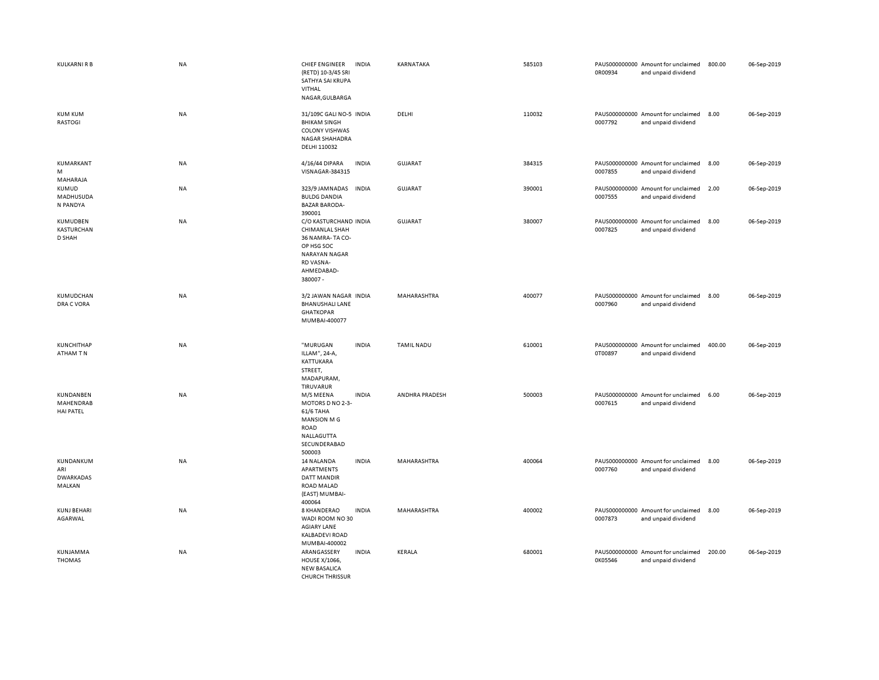| KULKARNI R B                                   | NA        | <b>CHIEF ENGINEER</b><br><b>INDIA</b><br>(RETD) 10-3/45 SRI<br>SATHYA SAI KRUPA<br><b>VITHAL</b><br>NAGAR, GULBARGA                               | KARNATAKA         | 585103 | 0R00934 | PAUS000000000 Amount for unclaimed<br>and unpaid dividend | 800.00 | 06-Sep-2019 |
|------------------------------------------------|-----------|---------------------------------------------------------------------------------------------------------------------------------------------------|-------------------|--------|---------|-----------------------------------------------------------|--------|-------------|
| <b>KUM KUM</b><br>RASTOGI                      | NA        | 31/109C GALI NO-5 INDIA<br><b>BHIKAM SINGH</b><br><b>COLONY VISHWAS</b><br><b>NAGAR SHAHADRA</b><br>DELHI 110032                                  | DELHI             | 110032 | 0007792 | PAUS000000000 Amount for unclaimed<br>and unpaid dividend | 8.00   | 06-Sep-2019 |
| KUMARKANT<br>M<br>MAHARAJA                     | NA        | 4/16/44 DIPARA<br><b>INDIA</b><br>VISNAGAR-384315                                                                                                 | GUJARAT           | 384315 | 0007855 | PAUS000000000 Amount for unclaimed<br>and unpaid dividend | 8.00   | 06-Sep-2019 |
| KUMUD<br>MADHUSUDA<br>N PANDYA                 | NA        | 323/9 JAMNADAS<br><b>INDIA</b><br><b>BULDG DANDIA</b><br><b>BAZAR BARODA-</b>                                                                     | <b>GUJARAT</b>    | 390001 | 0007555 | PAUS000000000 Amount for unclaimed<br>and unpaid dividend | 2.00   | 06-Sep-2019 |
| KUMUDBEN<br>KASTURCHAN<br>D SHAH               | NA        | 390001<br>C/O KASTURCHAND INDIA<br>CHIMANLAL SHAH<br>36 NAMRA-TA CO-<br>OP HSG SOC<br><b>NARAYAN NAGAR</b><br>RD VASNA-<br>AHMEDABAD-<br>380007 - | GUJARAT           | 380007 | 0007825 | PAUS000000000 Amount for unclaimed<br>and unpaid dividend | 8.00   | 06-Sep-2019 |
| KUMUDCHAN<br>DRA C VORA                        | <b>NA</b> | 3/2 JAWAN NAGAR INDIA<br><b>BHANUSHALI LANE</b><br><b>GHATKOPAR</b><br>MUMBAI-400077                                                              | MAHARASHTRA       | 400077 | 0007960 | PAUS000000000 Amount for unclaimed<br>and unpaid dividend | 8.00   | 06-Sep-2019 |
| <b>KUNCHITHAP</b><br>ATHAM TN                  | NA        | "MURUGAN<br><b>INDIA</b><br>ILLAM", 24-A,<br>KATTUKARA<br>STREET,<br>MADAPURAM,<br>TIRUVARUR                                                      | <b>TAMIL NADU</b> | 610001 | 0T00897 | PAUS000000000 Amount for unclaimed<br>and unpaid dividend | 400.00 | 06-Sep-2019 |
| KUNDANBEN<br>MAHENDRAB<br><b>HAI PATEL</b>     | NA        | <b>INDIA</b><br>M/S MEENA<br>MOTORS D NO 2-3-<br>61/6 TAHA<br><b>MANSION MG</b><br>ROAD<br>NALLAGUTTA<br>SECUNDERABAD<br>500003                   | ANDHRA PRADESH    | 500003 | 0007615 | PAUS000000000 Amount for unclaimed<br>and unpaid dividend | 6.00   | 06-Sep-2019 |
| KUNDANKUM<br>ARI<br><b>DWARKADAS</b><br>MALKAN | NA        | 14 NALANDA<br><b>INDIA</b><br>APARTMENTS<br>DATT MANDIR<br>ROAD MALAD<br>(EAST) MUMBAI-<br>400064                                                 | MAHARASHTRA       | 400064 | 0007760 | PAUS000000000 Amount for unclaimed<br>and unpaid dividend | 8.00   | 06-Sep-2019 |
| <b>KUNJ BEHARI</b><br>AGARWAL                  | NA        | <b>INDIA</b><br>8 KHANDERAO<br>WADI ROOM NO 30<br><b>AGIARY LANE</b><br><b>KALBADEVI ROAD</b><br>MUMBAI-400002                                    | MAHARASHTRA       | 400002 | 0007873 | PAUS000000000 Amount for unclaimed<br>and unpaid dividend | 8.00   | 06-Sep-2019 |
| KUNJAMMA<br><b>THOMAS</b>                      | NA        | ARANGASSERY<br><b>INDIA</b><br><b>HOUSE X/1066,</b><br><b>NEW BASALICA</b><br>CHURCH THRISSUR                                                     | KERALA            | 680001 | 0K05546 | PAUS000000000 Amount for unclaimed<br>and unpaid dividend | 200.00 | 06-Sep-2019 |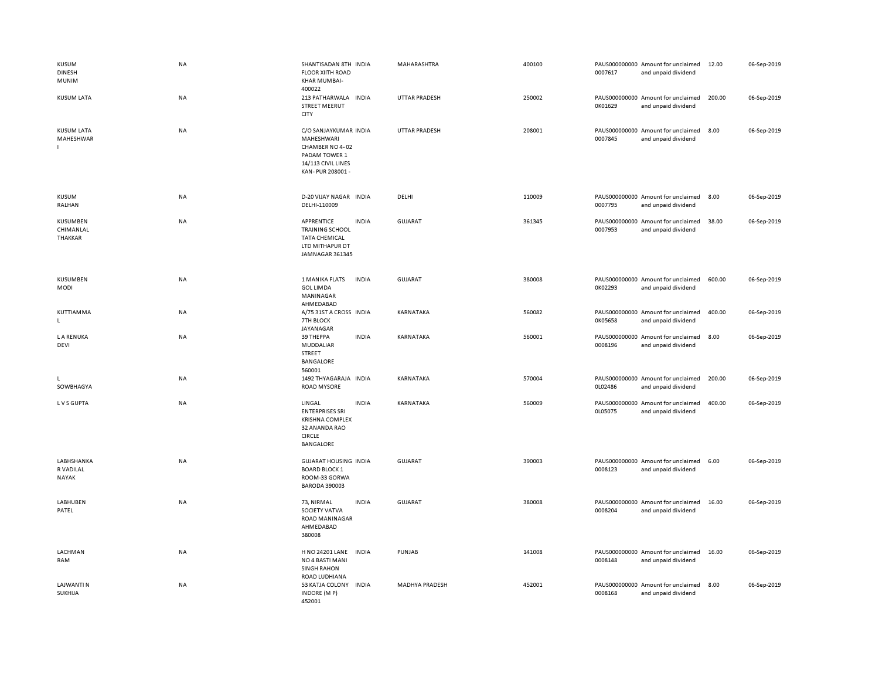| KUSUM<br><b>DINESH</b><br>MUNIM         | NA        | SHANTISADAN 8TH INDIA<br><b>FLOOR XIITH ROAD</b><br>KHAR MUMBAI-<br>400022                                        |              | MAHARASHTRA           | 400100 | 0007617 | PAUS000000000 Amount for unclaimed<br>and unpaid dividend | 12.00  | 06-Sep-2019 |
|-----------------------------------------|-----------|-------------------------------------------------------------------------------------------------------------------|--------------|-----------------------|--------|---------|-----------------------------------------------------------|--------|-------------|
| <b>KUSUM LATA</b>                       | NA        | 213 PATHARWALA INDIA<br><b>STREET MEERUT</b><br>CITY                                                              |              | <b>UTTAR PRADESH</b>  | 250002 | 0K01629 | PAUS000000000 Amount for unclaimed<br>and unpaid dividend | 200.00 | 06-Sep-2019 |
| <b>KUSUM LATA</b><br>MAHESHWAR          | NA        | C/O SANJAYKUMAR INDIA<br>MAHESHWARI<br>CHAMBER NO 4-02<br>PADAM TOWER 1<br>14/113 CIVIL LINES<br>KAN-PUR 208001 - |              | <b>UTTAR PRADESH</b>  | 208001 | 0007845 | PAUS000000000 Amount for unclaimed<br>and unpaid dividend | 8.00   | 06-Sep-2019 |
| KUSUM<br>RALHAN                         | NA        | D-20 VIJAY NAGAR INDIA<br>DELHI-110009                                                                            |              | DELHI                 | 110009 | 0007795 | PAUS000000000 Amount for unclaimed<br>and unpaid dividend | 8.00   | 06-Sep-2019 |
| KUSUMBEN<br>CHIMANLAL<br>THAKKAR        | NA        | APPRENTICE<br><b>TRAINING SCHOOL</b><br><b>TATA CHEMICAL</b><br>LTD MITHAPUR DT<br>JAMNAGAR 361345                | <b>INDIA</b> | GUJARAT               | 361345 | 0007953 | PAUS000000000 Amount for unclaimed<br>and unpaid dividend | 38.00  | 06-Sep-2019 |
| KUSUMBEN<br><b>MODI</b>                 | NA        | 1 MANIKA FLATS<br><b>GOL LIMDA</b><br>MANINAGAR<br>AHMEDABAD                                                      | <b>INDIA</b> | GUJARAT               | 380008 | 0K02293 | PAUS000000000 Amount for unclaimed<br>and unpaid dividend | 600.00 | 06-Sep-2019 |
| KUTTIAMMA<br>L.                         | NA        | A/75 31ST A CROSS INDIA<br>7TH BLOCK<br>JAYANAGAR                                                                 |              | KARNATAKA             | 560082 | 0K05658 | PAUS000000000 Amount for unclaimed<br>and unpaid dividend | 400.00 | 06-Sep-2019 |
| <b>LA RENUKA</b><br>DEVI                | <b>NA</b> | 39 THEPPA<br>MUDDALIAR<br>STREET<br>BANGALORE<br>560001                                                           | <b>INDIA</b> | KARNATAKA             | 560001 | 0008196 | PAUS000000000 Amount for unclaimed<br>and unpaid dividend | 8.00   | 06-Sep-2019 |
| SOWBHAGYA                               | NA        | 1492 THYAGARAJA INDIA<br>ROAD MYSORE                                                                              |              | KARNATAKA             | 570004 | 0L02486 | PAUS000000000 Amount for unclaimed<br>and unpaid dividend | 200.00 | 06-Sep-2019 |
| LVS GUPTA                               | <b>NA</b> | LINGAL<br><b>ENTERPRISES SRI</b><br><b>KRISHNA COMPLEX</b><br>32 ANANDA RAO<br><b>CIRCLE</b><br><b>BANGALORE</b>  | <b>INDIA</b> | KARNATAKA             | 560009 | 0L05075 | PAUS000000000 Amount for unclaimed<br>and unpaid dividend | 400.00 | 06-Sep-2019 |
| LABHSHANKA<br>R VADILAL<br><b>NAYAK</b> | NA        | <b>GUJARAT HOUSING INDIA</b><br><b>BOARD BLOCK 1</b><br>ROOM-33 GORWA<br><b>BARODA 390003</b>                     |              | <b>GUJARAT</b>        | 390003 | 0008123 | PAUS000000000 Amount for unclaimed<br>and unpaid dividend | 6.00   | 06-Sep-2019 |
| LABHUBEN<br>PATEL                       | NA        | 73, NIRMAL<br>SOCIETY VATVA<br>ROAD MANINAGAR<br>AHMEDABAD<br>380008                                              | <b>INDIA</b> | GUJARAT               | 380008 | 0008204 | PAUS000000000 Amount for unclaimed<br>and unpaid dividend | 16.00  | 06-Sep-2019 |
| LACHMAN<br>RAM                          | NA        | H NO 24201 LANE<br>NO 4 BASTI MANI<br><b>SINGH RAHON</b><br>ROAD LUDHIANA                                         | <b>INDIA</b> | PUNJAB                | 141008 | 0008148 | PAUS000000000 Amount for unclaimed<br>and unpaid dividend | 16.00  | 06-Sep-2019 |
| LAJWANTI N<br>SUKHIJA                   | NA        | 53 KATJA COLONY INDIA<br>INDORE (MP)<br>452001                                                                    |              | <b>MADHYA PRADESH</b> | 452001 | 0008168 | PAUS000000000 Amount for unclaimed<br>and unpaid dividend | 8.00   | 06-Sep-2019 |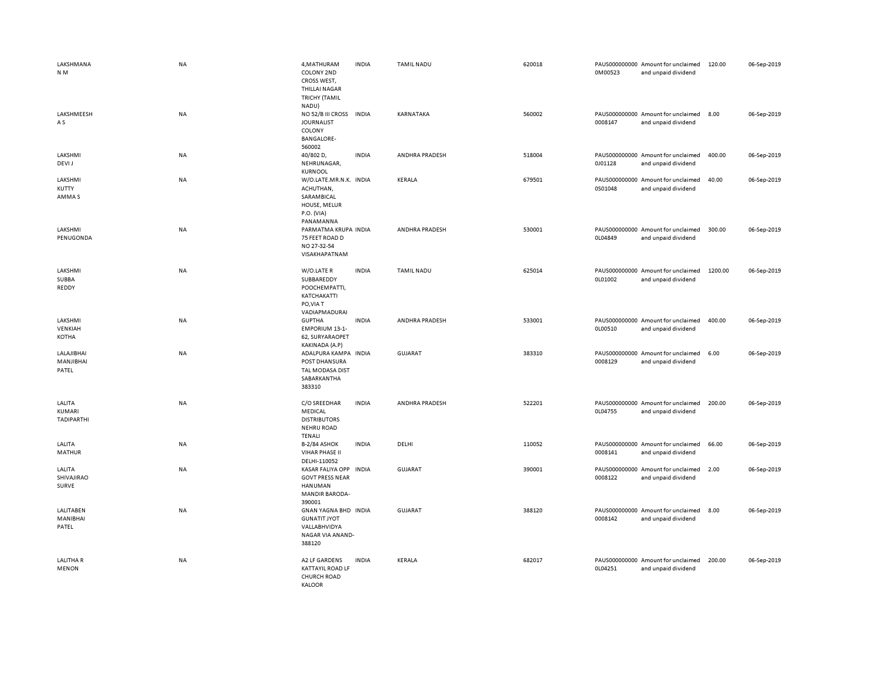| LAKSHMANA<br>N M                 | NA        | 4, MATHURAM<br>COLONY 2ND<br>CROSS WEST,<br><b>THILLAI NAGAR</b><br><b>TRICHY (TAMIL</b><br>NADU) | <b>INDIA</b> | <b>TAMIL NADU</b> | 620018 | 0M00523 | PAUS000000000 Amount for unclaimed<br>and unpaid dividend | 120.00  | 06-Sep-2019 |
|----------------------------------|-----------|---------------------------------------------------------------------------------------------------|--------------|-------------------|--------|---------|-----------------------------------------------------------|---------|-------------|
| LAKSHMEESH<br>A S                | NA        | NO 52/B III CROSS<br><b>JOURNALIST</b><br>COLONY<br><b>BANGALORE-</b><br>560002                   | <b>INDIA</b> | KARNATAKA         | 560002 | 0008147 | PAUS000000000 Amount for unclaimed<br>and unpaid dividend | 8.00    | 06-Sep-2019 |
| LAKSHMI<br>DEVI J                | NA        | 40/802 D,<br>NEHRUNAGAR,<br><b>KURNOOL</b>                                                        | <b>INDIA</b> | ANDHRA PRADESH    | 518004 | 0J01128 | PAUS000000000 Amount for unclaimed<br>and unpaid dividend | 400.00  | 06-Sep-2019 |
| LAKSHMI<br>KUTTY<br>AMMA S       | NA        | W/O.LATE.MR.N.K. INDIA<br>ACHUTHAN,<br>SARAMBICAL<br>HOUSE, MELUR<br>P.O. (VIA)<br>PANAMANNA      |              | <b>KERALA</b>     | 679501 | 0S01048 | PAUS000000000 Amount for unclaimed<br>and unpaid dividend | 40.00   | 06-Sep-2019 |
| LAKSHMI<br>PENUGONDA             | <b>NA</b> | PARMATMA KRUPA INDIA<br>75 FEET ROAD D<br>NO 27-32-54<br>VISAKHAPATNAM                            |              | ANDHRA PRADESH    | 530001 | 0L04849 | PAUS000000000 Amount for unclaimed<br>and unpaid dividend | 300.00  | 06-Sep-2019 |
| LAKSHMI<br>SUBBA<br>REDDY        | NA        | W/O.LATE R<br>SUBBAREDDY<br>POOCHEMPATTI,<br>KATCHAKATTI<br>PO, VIA T<br>VADIAPMADURAI            | <b>INDIA</b> | <b>TAMIL NADU</b> | 625014 | OL01002 | PAUS000000000 Amount for unclaimed<br>and unpaid dividend | 1200.00 | 06-Sep-2019 |
| LAKSHMI<br>VENKIAH<br>KOTHA      | NA        | <b>GUPTHA</b><br><b>EMPORIUM 13-1-</b><br>62, SURYARAOPET<br>KAKINADA (A.P)                       | <b>INDIA</b> | ANDHRA PRADESH    | 533001 | 0L00510 | PAUS000000000 Amount for unclaimed<br>and unpaid dividend | 400.00  | 06-Sep-2019 |
| LALAJIBHAI<br>MANJIBHAI<br>PATEL | NA        | ADALPURA KAMPA INDIA<br>POST DHANSURA<br>TAL MODASA DIST<br>SABARKANTHA<br>383310                 |              | <b>GUJARAT</b>    | 383310 | 0008129 | PAUS000000000 Amount for unclaimed<br>and unpaid dividend | 6.00    | 06-Sep-2019 |
| LALITA<br>KUMARI<br>TADIPARTHI   | NA        | C/O SREEDHAR<br>MEDICAL<br><b>DISTRIBUTORS</b><br><b>NEHRU ROAD</b><br><b>TENALI</b>              | <b>INDIA</b> | ANDHRA PRADESH    | 522201 | 0L04755 | PAUS000000000 Amount for unclaimed<br>and unpaid dividend | 200.00  | 06-Sep-2019 |
| LALITA<br>MATHUR                 | NA        | B-2/84 ASHOK<br><b>VIHAR PHASE II</b><br>DELHI-110052                                             | <b>INDIA</b> | DELHI             | 110052 | 0008141 | PAUS000000000 Amount for unclaimed<br>and unpaid dividend | 66.00   | 06-Sep-2019 |
| LALITA<br>SHIVAJIRAO<br>SURVE    | <b>NA</b> | KASAR FALIYA OPP<br><b>GOVT PRESS NEAR</b><br>HANUMAN<br><b>MANDIR BARODA-</b><br>390001          | <b>INDIA</b> | GUJARAT           | 390001 | 0008122 | PAUS000000000 Amount for unclaimed<br>and unpaid dividend | 2.00    | 06-Sep-2019 |
| LALITABEN<br>MANIBHAI<br>PATEL   | NA        | GNAN YAGNA BHD INDIA<br><b>GUNATIT JYOT</b><br>VALLABHVIDYA<br>NAGAR VIA ANAND-<br>388120         |              | <b>GUJARAT</b>    | 388120 | 0008142 | PAUS000000000 Amount for unclaimed<br>and unpaid dividend | 8.00    | 06-Sep-2019 |
| LALITHA R<br><b>MENON</b>        | NA        | A2 LF GARDENS<br><b>KATTAYIL ROAD LF</b><br>CHURCH ROAD<br>KALOOR                                 | <b>INDIA</b> | <b>KERALA</b>     | 682017 | 0L04251 | PAUS000000000 Amount for unclaimed<br>and unpaid dividend | 200.00  | 06-Sep-2019 |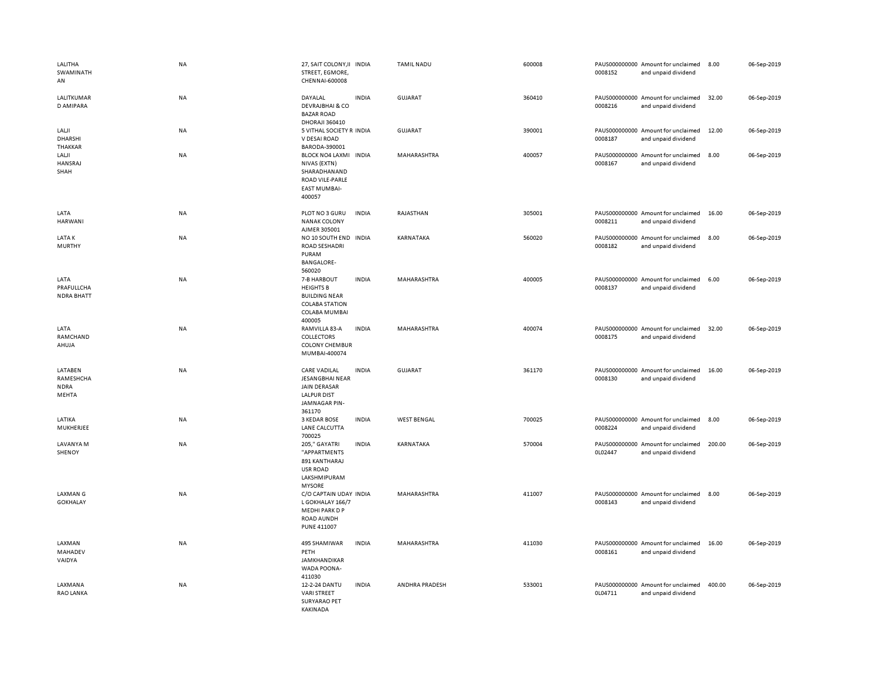| LALITHA<br>SWAMINATH<br>AN                   | <b>NA</b> | 27, SAIT COLONY, II INDIA<br>STREET, EGMORE,<br>CHENNAI-600008                                                 |              | <b>TAMIL NADU</b>  | 600008 | 0008152 | PAUS000000000 Amount for unclaimed<br>and unpaid dividend | 8.00   | 06-Sep-2019 |
|----------------------------------------------|-----------|----------------------------------------------------------------------------------------------------------------|--------------|--------------------|--------|---------|-----------------------------------------------------------|--------|-------------|
| LALITKUMAR<br>D AMIPARA                      | NA        | DAYALAL<br><b>DEVRAJBHAI &amp; CO</b><br><b>BAZAR ROAD</b><br>DHORAJI 360410                                   | <b>INDIA</b> | <b>GUJARAT</b>     | 360410 | 0008216 | PAUS000000000 Amount for unclaimed<br>and unpaid dividend | 32.00  | 06-Sep-2019 |
| LALJI<br><b>DHARSHI</b><br>THAKKAR           | NA        | 5 VITHAL SOCIETY R INDIA<br>V DESAI ROAD<br>BARODA-390001                                                      |              | <b>GUJARAT</b>     | 390001 | 0008187 | PAUS000000000 Amount for unclaimed<br>and unpaid dividend | 12.00  | 06-Sep-2019 |
| LALJI<br>HANSRAJ<br>SHAH                     | NA        | BLOCK NO4 LAXMI INDIA<br>NIVAS (EXTN)<br>SHARADHANAND<br>ROAD VILE-PARLE<br><b>EAST MUMBAI-</b><br>400057      |              | MAHARASHTRA        | 400057 | 0008167 | PAUS000000000 Amount for unclaimed<br>and unpaid dividend | 8.00   | 06-Sep-2019 |
| LATA<br><b>HARWANI</b>                       | NA        | PLOT NO 3 GURU<br><b>NANAK COLONY</b><br>AJMER 305001                                                          | <b>INDIA</b> | RAJASTHAN          | 305001 | 0008211 | PAUS000000000 Amount for unclaimed<br>and unpaid dividend | 16.00  | 06-Sep-2019 |
| <b>LATAK</b><br><b>MURTHY</b>                | <b>NA</b> | NO 10 SOUTH END INDIA<br><b>ROAD SESHADRI</b><br>PURAM<br><b>BANGALORE-</b><br>560020                          |              | KARNATAKA          | 560020 | 0008182 | PAUS000000000 Amount for unclaimed<br>and unpaid dividend | 8.00   | 06-Sep-2019 |
| LATA<br>PRAFULLCHA<br><b>NDRA BHATT</b>      | <b>NA</b> | 7-B HARBOUT<br><b>HEIGHTS B</b><br><b>BUILDING NEAR</b><br><b>COLABA STATION</b><br>COLABA MUMBAI<br>400005    | <b>INDIA</b> | MAHARASHTRA        | 400005 | 0008137 | PAUS000000000 Amount for unclaimed<br>and unpaid dividend | 6.00   | 06-Sep-2019 |
| LATA<br>RAMCHAND<br>AHUJA                    | <b>NA</b> | RAMVILLA 83-A<br>COLLECTORS<br><b>COLONY CHEMBUR</b><br>MUMBAI-400074                                          | <b>INDIA</b> | MAHARASHTRA        | 400074 | 0008175 | PAUS000000000 Amount for unclaimed<br>and unpaid dividend | 32.00  | 06-Sep-2019 |
| LATABEN<br>RAMESHCHA<br><b>NDRA</b><br>MEHTA | <b>NA</b> | <b>CARE VADILAL</b><br>JESANGBHAI NEAR<br><b>JAIN DERASAR</b><br><b>LALPUR DIST</b><br>JAMNAGAR PIN-<br>361170 | <b>INDIA</b> | <b>GUJARAT</b>     | 361170 | 0008130 | PAUS000000000 Amount for unclaimed<br>and unpaid dividend | 16.00  | 06-Sep-2019 |
| LATIKA<br>MUKHERJEE                          | <b>NA</b> | 3 KEDAR BOSE<br>LANE CALCUTTA<br>700025                                                                        | <b>INDIA</b> | <b>WEST BENGAL</b> | 700025 | 0008224 | PAUS000000000 Amount for unclaimed<br>and unpaid dividend | 8.00   | 06-Sep-2019 |
| LAVANYA M<br>SHENOY                          | NA        | 205," GAYATRI<br>"APPARTMENTS<br>891 KANTHARAJ<br><b>USR ROAD</b><br>LAKSHMIPURAM<br><b>MYSORE</b>             | <b>INDIA</b> | KARNATAKA          | 570004 | 0L02447 | PAUS000000000 Amount for unclaimed<br>and unpaid dividend | 200.00 | 06-Sep-2019 |
| LAXMAN G<br><b>GOKHALAY</b>                  | NA        | C/O CAPTAIN UDAY INDIA<br>L GOKHALAY 166/7<br>MEDHI PARK D P<br>ROAD AUNDH<br><b>PUNE 411007</b>               |              | MAHARASHTRA        | 411007 | 0008143 | PAUS000000000 Amount for unclaimed<br>and unpaid dividend | 8.00   | 06-Sep-2019 |
| LAXMAN<br>MAHADEV<br>VAIDYA                  | NA        | 495 SHAMIWAR<br>PETH<br><b>JAMKHANDIKAR</b><br>WADA POONA-<br>411030                                           | <b>INDIA</b> | MAHARASHTRA        | 411030 | 0008161 | PAUS000000000 Amount for unclaimed<br>and unpaid dividend | 16.00  | 06-Sep-2019 |
| LAXMANA<br>RAO LANKA                         | <b>NA</b> | 12-2-24 DANTU<br><b>VARI STREET</b><br><b>SURYARAO PET</b><br>KAKINADA                                         | <b>INDIA</b> | ANDHRA PRADESH     | 533001 | 0L04711 | PAUS000000000 Amount for unclaimed<br>and unpaid dividend | 400.00 | 06-Sep-2019 |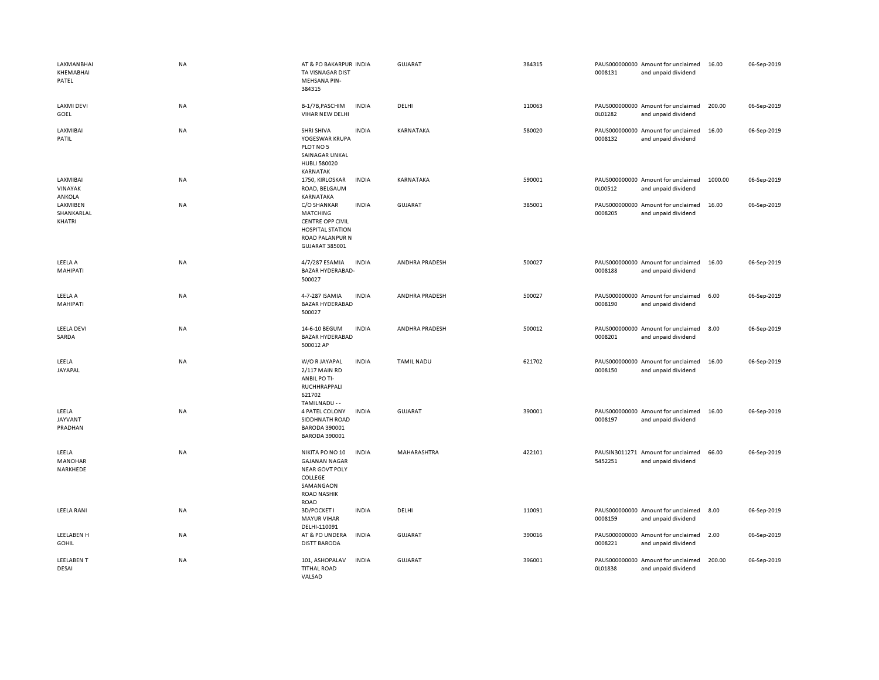| LAXMANBHAI<br>KHEMABHAI<br>PATEL        | <b>NA</b> | AT & PO BAKARPUR INDIA<br>TA VISNAGAR DIST<br><b>MEHSANA PIN-</b><br>384315                                                                   | GUJARAT           | 384315 | PAUS000000000 Amount for unclaimed<br>0008131<br>and unpaid dividend | 16.00   | 06-Sep-2019 |
|-----------------------------------------|-----------|-----------------------------------------------------------------------------------------------------------------------------------------------|-------------------|--------|----------------------------------------------------------------------|---------|-------------|
| LAXMI DEVI<br>GOEL                      | NA        | B-1/7B, PASCHIM<br><b>INDIA</b><br>VIHAR NEW DELHI                                                                                            | DELHI             | 110063 | PAUS000000000 Amount for unclaimed<br>0L01282<br>and unpaid dividend | 200.00  | 06-Sep-2019 |
| LAXMIBAI<br>PATIL                       | <b>NA</b> | SHRI SHIVA<br><b>INDIA</b><br>YOGESWAR KRUPA<br>PLOT NO 5<br>SAINAGAR UNKAL<br><b>HUBLI 580020</b><br>KARNATAK                                | KARNATAKA         | 580020 | PAUS000000000 Amount for unclaimed<br>0008132<br>and unpaid dividend | 16.00   | 06-Sep-2019 |
| LAXMIBAI<br>VINAYAK<br>ANKOLA           | <b>NA</b> | <b>INDIA</b><br>1750, KIRLOSKAR<br>ROAD, BELGAUM<br>KARNATAKA                                                                                 | KARNATAKA         | 590001 | PAUS000000000 Amount for unclaimed<br>0L00512<br>and unpaid dividend | 1000.00 | 06-Sep-2019 |
| <b>LAXMIBEN</b><br>SHANKARLAL<br>KHATRI | NA        | <b>INDIA</b><br>C/O SHANKAR<br><b>MATCHING</b><br><b>CENTRE OPP CIVIL</b><br><b>HOSPITAL STATION</b><br>ROAD PALANPUR N<br>GUJARAT 385001     | <b>GUJARAT</b>    | 385001 | PAUS000000000 Amount for unclaimed<br>0008205<br>and unpaid dividend | 16.00   | 06-Sep-2019 |
| LEELA A<br>MAHIPATI                     | <b>NA</b> | 4/7/287 ESAMIA<br><b>INDIA</b><br>BAZAR HYDERABAD-<br>500027                                                                                  | ANDHRA PRADESH    | 500027 | PAUS000000000 Amount for unclaimed<br>0008188<br>and unpaid dividend | 16.00   | 06-Sep-2019 |
| LEELA A<br>MAHIPATI                     | NA        | 4-7-287 ISAMIA<br><b>INDIA</b><br><b>BAZAR HYDERABAD</b><br>500027                                                                            | ANDHRA PRADESH    | 500027 | PAUS000000000 Amount for unclaimed<br>0008190<br>and unpaid dividend | 6.00    | 06-Sep-2019 |
| <b>LEELA DEVI</b><br>SARDA              | NA        | 14-6-10 BEGUM<br><b>INDIA</b><br><b>BAZAR HYDERABAD</b><br>500012 AP                                                                          | ANDHRA PRADESH    | 500012 | PAUS000000000 Amount for unclaimed<br>0008201<br>and unpaid dividend | 8.00    | 06-Sep-2019 |
| LEELA<br>JAYAPAL                        | NA        | <b>INDIA</b><br>W/O R JAYAPAL<br>2/117 MAIN RD<br>ANBIL PO TI-<br>RUCHHRAPPALI<br>621702<br>TAMILNADU - -                                     | <b>TAMIL NADU</b> | 621702 | PAUS000000000 Amount for unclaimed<br>0008150<br>and unpaid dividend | 16.00   | 06-Sep-2019 |
| LEELA<br><b>JAYVANT</b><br>PRADHAN      | <b>NA</b> | 4 PATEL COLONY<br><b>INDIA</b><br>SIDDHNATH ROAD<br>BARODA 390001<br><b>BARODA 390001</b>                                                     | <b>GUJARAT</b>    | 390001 | PAUS000000000 Amount for unclaimed<br>0008197<br>and unpaid dividend | 16.00   | 06-Sep-2019 |
| LEELA<br><b>MANOHAR</b><br>NARKHEDE     | NA        | NIKITA PO NO 10<br><b>INDIA</b><br><b>GAJANAN NAGAR</b><br><b>NEAR GOVT POLY</b><br>COLLEGE<br>SAMANGAON<br><b>ROAD NASHIK</b><br><b>ROAD</b> | MAHARASHTRA       | 422101 | PAUSIN3011271 Amount for unclaimed<br>5452251<br>and unpaid dividend | 66.00   | 06-Sep-2019 |
| <b>LEELA RANI</b>                       | <b>NA</b> | <b>INDIA</b><br>3D/POCKET I<br><b>MAYUR VIHAR</b><br>DELHI-110091                                                                             | DELHI             | 110091 | PAUS000000000 Amount for unclaimed<br>0008159<br>and unpaid dividend | 8.00    | 06-Sep-2019 |
| LEELABEN H<br><b>GOHIL</b>              | NA        | AT & PO UNDERA<br><b>INDIA</b><br><b>DISTT BARODA</b>                                                                                         | <b>GUJARAT</b>    | 390016 | PAUS000000000 Amount for unclaimed<br>0008221<br>and unpaid dividend | 2.00    | 06-Sep-2019 |
| <b>LEELABENT</b><br>DESAI               | NA        | 101, ASHOPALAV<br><b>INDIA</b><br><b>TITHAL ROAD</b><br>VALSAD                                                                                | <b>GUJARAT</b>    | 396001 | PAUS000000000 Amount for unclaimed<br>0L01838<br>and unpaid dividend | 200.00  | 06-Sep-2019 |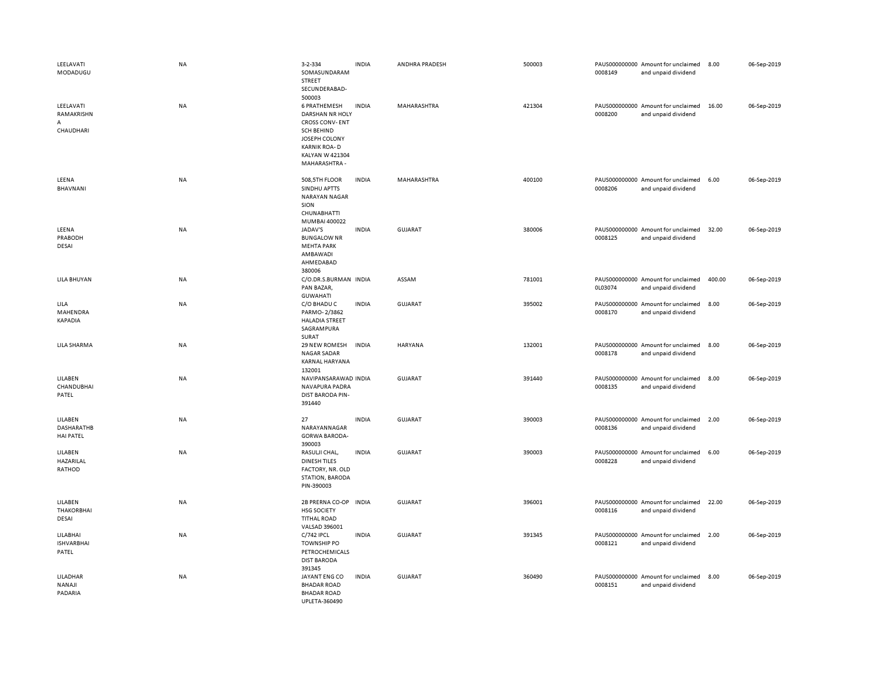| LEELAVATI<br>MODADUGU                            | <b>NA</b> | 3-2-334<br>SOMASUNDARAM<br>STREET<br>SECUNDERABAD-                                                                                                                                | <b>INDIA</b> | ANDHRA PRADESH | 500003 | 0008149 | PAUS000000000 Amount for unclaimed<br>and unpaid dividend | 8.00   | 06-Sep-2019 |
|--------------------------------------------------|-----------|-----------------------------------------------------------------------------------------------------------------------------------------------------------------------------------|--------------|----------------|--------|---------|-----------------------------------------------------------|--------|-------------|
| LEELAVATI<br>RAMAKRISHN<br>A<br>CHAUDHARI        | NA        | 500003<br>6 PRATHEMESH<br><b>DARSHAN NR HOLY</b><br><b>CROSS CONV-ENT</b><br><b>SCH BEHIND</b><br>JOSEPH COLONY<br><b>KARNIK ROA-D</b><br><b>KALYAN W 421304</b><br>MAHARASHTRA - | <b>INDIA</b> | MAHARASHTRA    | 421304 | 0008200 | PAUS000000000 Amount for unclaimed<br>and unpaid dividend | 16.00  | 06-Sep-2019 |
| LEENA<br>BHAVNANI                                | NA        | 508,5TH FLOOR<br>SINDHU APTTS<br><b>NARAYAN NAGAR</b><br>SION<br>CHUNABHATTI<br>MUMBAI 400022                                                                                     | <b>INDIA</b> | MAHARASHTRA    | 400100 | 0008206 | PAUS000000000 Amount for unclaimed<br>and unpaid dividend | 6.00   | 06-Sep-2019 |
| LEENA<br>PRABODH<br>DESAI                        | NA        | JADAV'S<br><b>BUNGALOW NR</b><br><b>MEHTA PARK</b><br>AMBAWADI<br>AHMEDABAD<br>380006                                                                                             | <b>INDIA</b> | <b>GUJARAT</b> | 380006 | 0008125 | PAUS000000000 Amount for unclaimed<br>and unpaid dividend | 32.00  | 06-Sep-2019 |
| LILA BHUYAN                                      | <b>NA</b> | C/O.DR.S.BURMAN INDIA<br>PAN BAZAR,<br><b>GUWAHATI</b>                                                                                                                            |              | ASSAM          | 781001 | 0L03074 | PAUS000000000 Amount for unclaimed<br>and unpaid dividend | 400.00 | 06-Sep-2019 |
| LILA<br>MAHENDRA<br><b>KAPADIA</b>               | ΝA        | C/O BHADU C<br>PARMO-2/3862<br><b>HALADIA STREET</b><br>SAGRAMPURA<br>SURAT                                                                                                       | <b>INDIA</b> | <b>GUJARAT</b> | 395002 | 0008170 | PAUS000000000 Amount for unclaimed<br>and unpaid dividend | 8.00   | 06-Sep-2019 |
| LILA SHARMA                                      | <b>NA</b> | 29 NEW ROMESH<br><b>NAGAR SADAR</b><br>KARNAL HARYANA<br>132001                                                                                                                   | <b>INDIA</b> | <b>HARYANA</b> | 132001 | 0008178 | PAUS000000000 Amount for unclaimed<br>and unpaid dividend | 8.00   | 06-Sep-2019 |
| LILABEN<br>CHANDUBHAI<br>PATEL                   | NA        | NAVIPANSARAWAD INDIA<br>NAVAPURA PADRA<br>DIST BARODA PIN-<br>391440                                                                                                              |              | <b>GUJARAT</b> | 391440 | 0008135 | PAUS000000000 Amount for unclaimed<br>and unpaid dividend | 8.00   | 06-Sep-2019 |
| LILABEN<br><b>DASHARATHB</b><br><b>HAI PATEL</b> | NA        | 27<br>NARAYANNAGAR<br><b>GORWA BARODA-</b><br>390003                                                                                                                              | <b>INDIA</b> | <b>GUJARAT</b> | 390003 | 0008136 | PAUS000000000 Amount for unclaimed<br>and unpaid dividend | 2.00   | 06-Sep-2019 |
| LILABEN<br>HAZARILAL<br>RATHOD                   | <b>NA</b> | RASULJI CHAL,<br><b>DINESH TILES</b><br>FACTORY, NR. OLD<br>STATION, BARODA<br>PIN-390003                                                                                         | <b>INDIA</b> | GUJARAT        | 390003 | 0008228 | PAUS000000000 Amount for unclaimed<br>and unpaid dividend | 6.00   | 06-Sep-2019 |
| LILABEN<br><b>THAKORBHAI</b><br>DESAI            | NA        | 2B PRERNA CO-OP<br><b>HSG SOCIETY</b><br><b>TITHAL ROAD</b><br>VALSAD 396001                                                                                                      | <b>INDIA</b> | <b>GUJARAT</b> | 396001 | 0008116 | PAUS000000000 Amount for unclaimed<br>and unpaid dividend | 22.00  | 06-Sep-2019 |
| LILABHAI<br><b>ISHVARBHAI</b><br>PATEL           | NA        | C/742 IPCL<br><b>TOWNSHIP PO</b><br>PETROCHEMICALS<br><b>DIST BARODA</b><br>391345                                                                                                | <b>INDIA</b> | <b>GUJARAT</b> | 391345 | 0008121 | PAUS000000000 Amount for unclaimed<br>and unpaid dividend | 2.00   | 06-Sep-2019 |
| LILADHAR<br>NANAJI<br>PADARIA                    | <b>NA</b> | JAYANT ENG CO<br><b>BHADAR ROAD</b><br><b>BHADAR ROAD</b><br>LIPLETA-360490                                                                                                       | <b>INDIA</b> | <b>GUJARAT</b> | 360490 | 0008151 | PAUS000000000 Amount for unclaimed<br>and unpaid dividend | 8.00   | 06-Sep-2019 |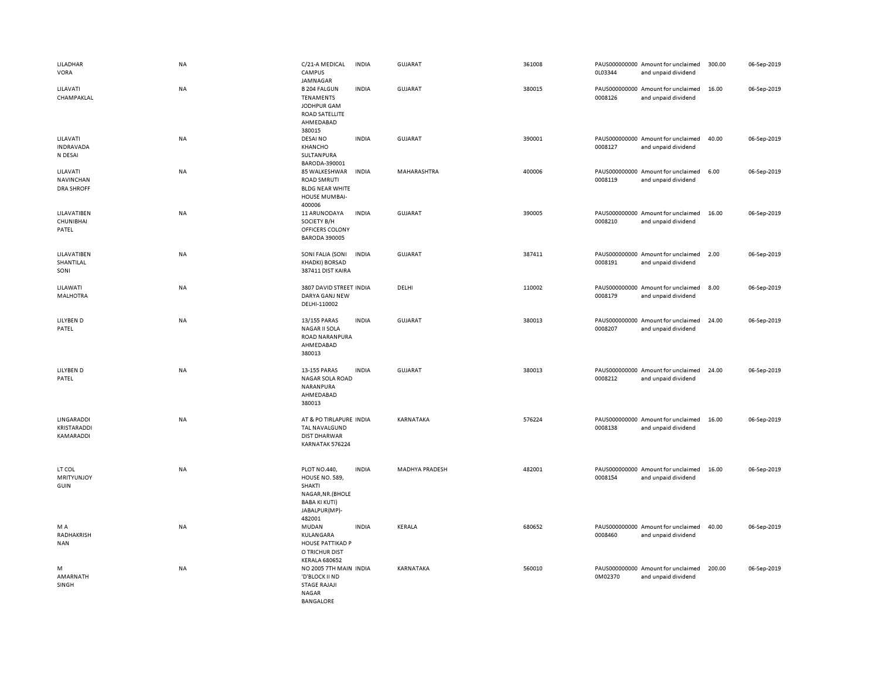| LILADHAR<br><b>VORA</b>                    | NA        | C/21-A MEDICAL<br>CAMPUS<br>JAMNAGAR                                                                             | <b>INDIA</b> | GUJARAT        | 361008 | 0L03344 | PAUS000000000 Amount for unclaimed<br>and unpaid dividend | 300.00 | 06-Sep-2019 |
|--------------------------------------------|-----------|------------------------------------------------------------------------------------------------------------------|--------------|----------------|--------|---------|-----------------------------------------------------------|--------|-------------|
| LILAVATI<br>CHAMPAKLAL                     | NA        | <b>B 204 FALGUN</b><br><b>TENAMENTS</b><br>JODHPUR GAM<br><b>ROAD SATELLITE</b><br>AHMEDABAD<br>380015           | <b>INDIA</b> | GUJARAT        | 380015 | 0008126 | PAUS000000000 Amount for unclaimed<br>and unpaid dividend | 16.00  | 06-Sep-2019 |
| LILAVATI<br><b>INDRAVADA</b><br>N DESAI    | NA        | DESAI NO<br>KHANCHO<br>SULTANPURA<br>BARODA-390001                                                               | <b>INDIA</b> | <b>GUJARAT</b> | 390001 | 0008127 | PAUS000000000 Amount for unclaimed<br>and unpaid dividend | 40.00  | 06-Sep-2019 |
| LILAVATI<br>NAVINCHAN<br><b>DRA SHROFF</b> | NA        | 85 WALKESHWAR<br><b>ROAD SMRUTI</b><br><b>BLDG NEAR WHITE</b><br>HOUSE MUMBAI-<br>400006                         | <b>INDIA</b> | MAHARASHTRA    | 400006 | 0008119 | PAUS000000000 Amount for unclaimed<br>and unpaid dividend | 6.00   | 06-Sep-2019 |
| LILAVATIBEN<br>CHUNIBHAI<br>PATEL          | <b>NA</b> | 11 ARUNODAYA<br>SOCIETY B/H<br>OFFICERS COLONY<br><b>BARODA 390005</b>                                           | <b>INDIA</b> | GUJARAT        | 390005 | 0008210 | PAUS000000000 Amount for unclaimed<br>and unpaid dividend | 16.00  | 06-Sep-2019 |
| LILAVATIBEN<br>SHANTILAL<br>SONI           | NA        | SONI FALIA (SONI<br><b>KHADKI) BORSAD</b><br>387411 DIST KAIRA                                                   | <b>INDIA</b> | <b>GUJARAT</b> | 387411 | 0008191 | PAUS000000000 Amount for unclaimed<br>and unpaid dividend | 2.00   | 06-Sep-2019 |
| LILAWATI<br><b>MALHOTRA</b>                | NA        | 3807 DAVID STREET INDIA<br>DARYA GANJ NEW<br>DELHI-110002                                                        |              | DELHI          | 110002 | 0008179 | PAUS000000000 Amount for unclaimed<br>and unpaid dividend | 8.00   | 06-Sep-2019 |
| LILYBEN D<br>PATEL                         | <b>NA</b> | 13/155 PARAS<br><b>NAGAR II SOLA</b><br>ROAD NARANPURA<br>AHMEDABAD<br>380013                                    | <b>INDIA</b> | GUJARAT        | 380013 | 0008207 | PAUS000000000 Amount for unclaimed<br>and unpaid dividend | 24.00  | 06-Sep-2019 |
| LILYBEN D<br>PATEL                         | NA        | 13-155 PARAS<br>NAGAR SOLA ROAD<br>NARANPURA<br>AHMEDABAD<br>380013                                              | <b>INDIA</b> | <b>GUJARAT</b> | 380013 | 0008212 | PAUS000000000 Amount for unclaimed<br>and unpaid dividend | 24.00  | 06-Sep-2019 |
| LINGARADDI<br>KRISTARADDI<br>KAMARADDI     | NA        | AT & PO TIRLAPURE INDIA<br>TAL NAVALGUND<br><b>DIST DHARWAR</b><br>KARNATAK 576224                               |              | KARNATAKA      | 576224 | 0008138 | PAUS000000000 Amount for unclaimed<br>and unpaid dividend | 16.00  | 06-Sep-2019 |
| LT COL<br>MRITYUNJOY<br>GUIN               | NA        | PLOT NO.440,<br>HOUSE NO. 589,<br>SHAKTI<br>NAGAR, NR. (BHOLE<br><b>BABA KI KUTI)</b><br>JABALPUR(MP)-<br>482001 | <b>INDIA</b> | MADHYA PRADESH | 482001 | 0008154 | PAUS000000000 Amount for unclaimed<br>and unpaid dividend | 16.00  | 06-Sep-2019 |
| M A<br>RADHAKRISH<br><b>NAN</b>            | NA        | MUDAN<br>KULANGARA<br><b>HOUSE PATTIKAD P</b><br>O TRICHUR DIST<br><b>KERALA 680652</b>                          | <b>INDIA</b> | KERALA         | 680652 | 0008460 | PAUS000000000 Amount for unclaimed<br>and unpaid dividend | 40.00  | 06-Sep-2019 |
| м<br>AMARNATH<br>SINGH                     | NA        | NO 2005 7TH MAIN INDIA<br>'D'BLOCK II ND<br><b>STAGE RAJAJI</b><br>NAGAR<br><b>BANGALORE</b>                     |              | KARNATAKA      | 560010 | 0M02370 | PAUS000000000 Amount for unclaimed<br>and unpaid dividend | 200.00 | 06-Sep-2019 |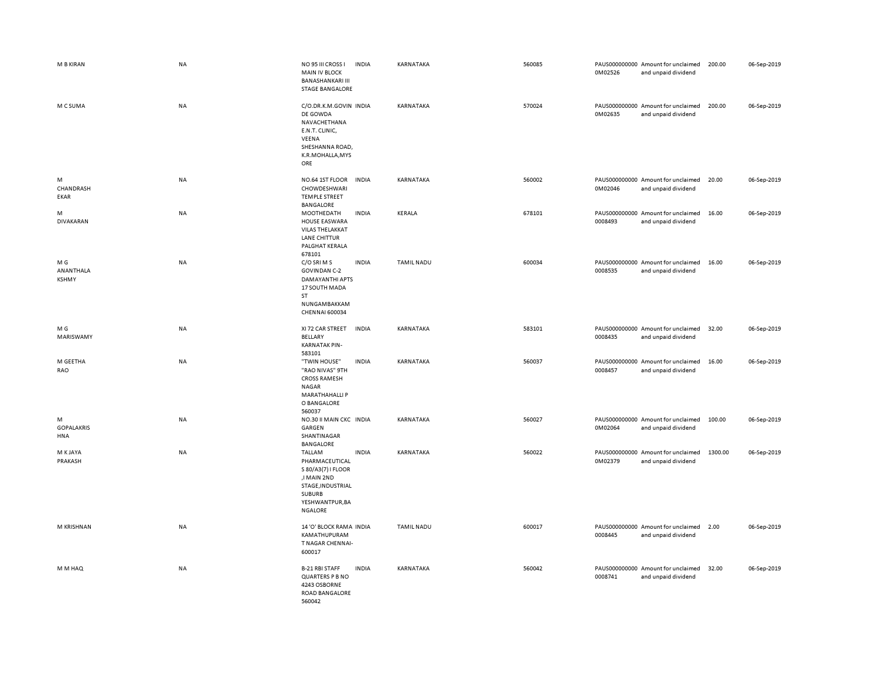| M B KIRAN                        | <b>NA</b> | NO 95 III CROSS I<br><b>INDIA</b><br><b>MAIN IV BLOCK</b><br><b>BANASHANKARI III</b><br><b>STAGE BANGALORE</b>                                    | KARNATAKA         | 560085 | 0M02526 | PAUS000000000 Amount for unclaimed<br>and unpaid dividend | 200.00  | 06-Sep-2019 |
|----------------------------------|-----------|---------------------------------------------------------------------------------------------------------------------------------------------------|-------------------|--------|---------|-----------------------------------------------------------|---------|-------------|
| M C SUMA                         | <b>NA</b> | C/O.DR.K.M.GOVIN INDIA<br>DE GOWDA<br>NAVACHETHANA<br>E.N.T. CLINIC,<br>VEENA<br>SHESHANNA ROAD,<br>K.R.MOHALLA, MYS<br>ORE                       | KARNATAKA         | 570024 | 0M02635 | PAUS000000000 Amount for unclaimed<br>and unpaid dividend | 200.00  | 06-Sep-2019 |
| M<br>CHANDRASH<br>EKAR           | <b>NA</b> | NO.64 1ST FLOOR<br>INDIA<br>CHOWDESHWARI<br><b>TEMPLE STREET</b><br><b>BANGALORE</b>                                                              | KARNATAKA         | 560002 | 0M02046 | PAUS000000000 Amount for unclaimed<br>and unpaid dividend | 20.00   | 06-Sep-2019 |
| M<br><b>DIVAKARAN</b>            | NA        | MOOTHEDATH<br><b>INDIA</b><br>HOUSE EASWARA<br><b>VILAS THELAKKAT</b><br>LANE CHITTUR<br>PALGHAT KERALA<br>678101                                 | KERALA            | 678101 | 0008493 | PAUS000000000 Amount for unclaimed<br>and unpaid dividend | 16.00   | 06-Sep-2019 |
| M G<br>ANANTHALA<br><b>KSHMY</b> | <b>NA</b> | C/O SRIMS<br><b>INDIA</b><br><b>GOVINDAN C-2</b><br>DAMAYANTHI APTS<br>17 SOUTH MADA<br>ST<br>NUNGAMBAKKAM<br>CHENNAI 600034                      | <b>TAMIL NADU</b> | 600034 | 0008535 | PAUS000000000 Amount for unclaimed<br>and unpaid dividend | 16.00   | 06-Sep-2019 |
| M G<br>MARISWAMY                 | <b>NA</b> | XI 72 CAR STREET<br><b>INDIA</b><br><b>BELLARY</b><br><b>KARNATAK PIN-</b><br>583101                                                              | KARNATAKA         | 583101 | 0008435 | PAUS000000000 Amount for unclaimed<br>and unpaid dividend | 32.00   | 06-Sep-2019 |
| M GEETHA<br>RAO                  | NA        | "TWIN HOUSE"<br><b>INDIA</b><br>"RAO NIVAS" 9TH<br><b>CROSS RAMESH</b><br><b>NAGAR</b><br><b>MARATHAHALLI P</b><br>O BANGALORE<br>560037          | KARNATAKA         | 560037 | 0008457 | PAUS000000000 Amount for unclaimed<br>and unpaid dividend | 16.00   | 06-Sep-2019 |
| M<br><b>GOPALAKRIS</b><br>HNA    | <b>NA</b> | NO.30 II MAIN CKC INDIA<br>GARGEN<br>SHANTINAGAR<br><b>BANGALORE</b>                                                                              | KARNATAKA         | 560027 | 0M02064 | PAUS000000000 Amount for unclaimed<br>and unpaid dividend | 100.00  | 06-Sep-2019 |
| M K JAYA<br>PRAKASH              | <b>NA</b> | TALLAM<br><b>INDIA</b><br>PHARMACEUTICAL<br>S 80/A3(7) I FLOOR<br>,I MAIN 2ND<br>STAGE, INDUSTRIAL<br><b>SUBURB</b><br>YESHWANTPUR, BA<br>NGALORE | KARNATAKA         | 560022 | 0M02379 | PAUS000000000 Amount for unclaimed<br>and unpaid dividend | 1300.00 | 06-Sep-2019 |
| M KRISHNAN                       | <b>NA</b> | 14 'O' BLOCK RAMA INDIA<br>KAMATHUPURAM<br>T NAGAR CHENNAI-<br>600017                                                                             | <b>TAMIL NADU</b> | 600017 | 0008445 | PAUS000000000 Amount for unclaimed<br>and unpaid dividend | 2.00    | 06-Sep-2019 |
| M M HAQ                          | <b>NA</b> | <b>B-21 RBI STAFF</b><br><b>INDIA</b><br>QUARTERS P B NO<br>4243 OSBORNE<br>ROAD BANGALORE<br>560042                                              | KARNATAKA         | 560042 | 0008741 | PAUS000000000 Amount for unclaimed<br>and unpaid dividend | 32.00   | 06-Sep-2019 |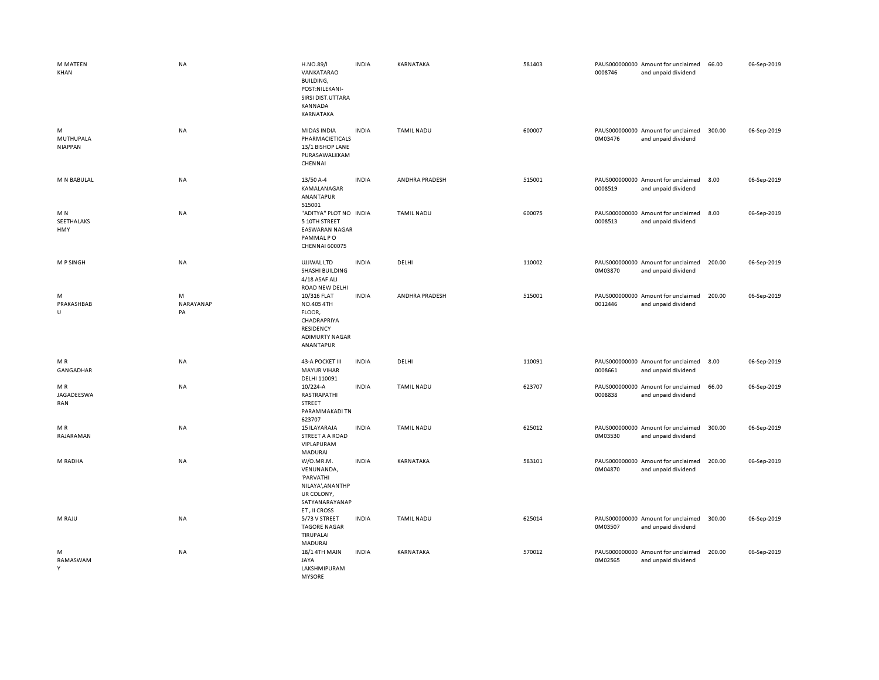| M MATEEN<br>KHAN                    | <b>NA</b>            | H.NO.89/I<br>VANKATARAO<br>BUILDING,<br>POST:NILEKANI-<br>SIRSI DIST.UTTARA<br>KANNADA<br>KARNATAKA       | <b>INDIA</b> | KARNATAKA         | 581403 | 0008746 | PAUS000000000 Amount for unclaimed<br>and unpaid dividend | 66.00  | 06-Sep-2019 |
|-------------------------------------|----------------------|-----------------------------------------------------------------------------------------------------------|--------------|-------------------|--------|---------|-----------------------------------------------------------|--------|-------------|
| M<br>MUTHUPALA<br><b>NIAPPAN</b>    | <b>NA</b>            | MIDAS INDIA<br>PHARMACIETICALS<br>13/1 BISHOP LANE<br>PURASAWALKKAM<br>CHENNAI                            | <b>INDIA</b> | <b>TAMIL NADU</b> | 600007 | 0M03476 | PAUS000000000 Amount for unclaimed<br>and unpaid dividend | 300.00 | 06-Sep-2019 |
| M N BABULAL                         | NA                   | 13/50 A-4<br>KAMALANAGAR<br>ANANTAPUR<br>515001                                                           | <b>INDIA</b> | ANDHRA PRADESH    | 515001 | 0008519 | PAUS000000000 Amount for unclaimed<br>and unpaid dividend | 8.00   | 06-Sep-2019 |
| M <sub>N</sub><br>SEETHALAKS<br>HMY | <b>NA</b>            | "ADITYA" PLOT NO INDIA<br>5 10TH STREET<br><b>EASWARAN NAGAR</b><br>PAMMAL PO<br><b>CHENNAI 600075</b>    |              | <b>TAMIL NADU</b> | 600075 | 0008513 | PAUS000000000 Amount for unclaimed<br>and unpaid dividend | 8.00   | 06-Sep-2019 |
| <b>MPSINGH</b>                      | NA                   | UJJWAL LTD<br>SHASHI BUILDING<br>4/18 ASAF ALI<br>ROAD NEW DELHI                                          | <b>INDIA</b> | DELHI             | 110002 | 0M03870 | PAUS000000000 Amount for unclaimed<br>and unpaid dividend | 200.00 | 06-Sep-2019 |
| M<br>PRAKASHBAB<br>U                | M<br>NARAYANAP<br>PA | 10/316 FLAT<br>NO.405 4TH<br>FLOOR,<br>CHADRAPRIYA<br>RESIDENCY<br><b>ADIMURTY NAGAR</b><br>ANANTAPUR     | <b>INDIA</b> | ANDHRA PRADESH    | 515001 | 0012446 | PAUS000000000 Amount for unclaimed<br>and unpaid dividend | 200.00 | 06-Sep-2019 |
| M R<br>GANGADHAR                    | <b>NA</b>            | 43-A POCKET III<br><b>MAYUR VIHAR</b><br>DELHI 110091                                                     | <b>INDIA</b> | DELHI             | 110091 | 0008661 | PAUS000000000 Amount for unclaimed<br>and unpaid dividend | 8.00   | 06-Sep-2019 |
| MR<br>JAGADEESWA<br>RAN             | NA                   | 10/224-A<br>RASTRAPATHI<br><b>STREET</b><br>PARAMMAKADI TN<br>623707                                      | <b>INDIA</b> | <b>TAMIL NADU</b> | 623707 | 0008838 | PAUS000000000 Amount for unclaimed<br>and unpaid dividend | 66.00  | 06-Sep-2019 |
| MR<br>RAJARAMAN                     | NA                   | <b>15 ILAYARAJA</b><br>STREET A A ROAD<br>VIPLAPURAM<br>MADURAI                                           | <b>INDIA</b> | <b>TAMIL NADU</b> | 625012 | 0M03530 | PAUS000000000 Amount for unclaimed<br>and unpaid dividend | 300.00 | 06-Sep-2019 |
| M RADHA                             | NA                   | W/O.MR.M.<br>VENUNANDA,<br>'PARVATHI<br>NILAYA', AN ANTHP<br>UR COLONY,<br>SATYANARAYANAP<br>ET, II CROSS | <b>INDIA</b> | KARNATAKA         | 583101 | 0M04870 | PAUS000000000 Amount for unclaimed<br>and unpaid dividend | 200.00 | 06-Sep-2019 |
| M RAJU                              | NA                   | 5/73 V STREET<br><b>TAGORE NAGAR</b><br>TIRUPALAI<br>MADURAI                                              | <b>INDIA</b> | <b>TAMIL NADU</b> | 625014 | 0M03507 | PAUS000000000 Amount for unclaimed<br>and unpaid dividend | 300.00 | 06-Sep-2019 |
| M<br>RAMASWAM<br>Y                  | <b>NA</b>            | 18/1 4TH MAIN<br>JAYA<br>LAKSHMIPURAM<br><b>MYSORE</b>                                                    | <b>INDIA</b> | KARNATAKA         | 570012 | 0M02565 | PAUS000000000 Amount for unclaimed<br>and unpaid dividend | 200.00 | 06-Sep-2019 |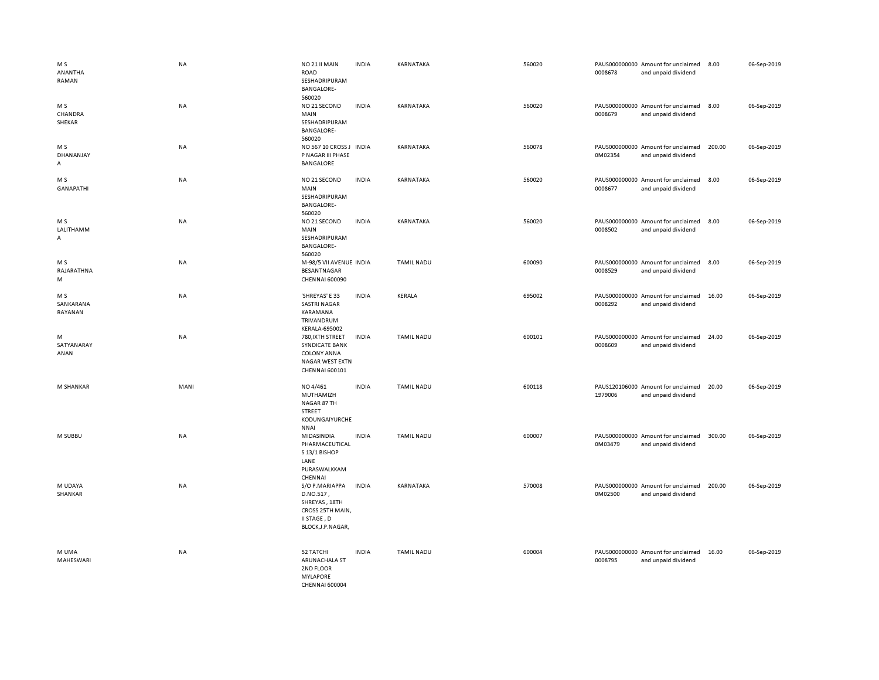| M <sub>S</sub><br>ANANTHA<br>RAMAN | <b>NA</b> | NO 21 II MAIN<br><b>ROAD</b><br>SESHADRIPURAM<br><b>BANGALORE-</b>                                          | <b>INDIA</b> | KARNATAKA         | 560020 | 0008678 | PAUS000000000 Amount for unclaimed<br>and unpaid dividend | 8.00   | 06-Sep-2019 |
|------------------------------------|-----------|-------------------------------------------------------------------------------------------------------------|--------------|-------------------|--------|---------|-----------------------------------------------------------|--------|-------------|
| M S<br>CHANDRA<br>SHEKAR           | <b>NA</b> | 560020<br>NO 21 SECOND<br>MAIN<br>SESHADRIPURAM<br><b>BANGALORE-</b><br>560020                              | <b>INDIA</b> | KARNATAKA         | 560020 | 0008679 | PAUS000000000 Amount for unclaimed<br>and unpaid dividend | 8.00   | 06-Sep-2019 |
| M S<br>DHANANJAY<br>А              | <b>NA</b> | NO 567 10 CROSS J INDIA<br>P NAGAR III PHASE<br><b>BANGALORE</b>                                            |              | KARNATAKA         | 560078 | 0M02354 | PAUS000000000 Amount for unclaimed<br>and unpaid dividend | 200.00 | 06-Sep-2019 |
| M S<br><b>GANAPATHI</b>            | <b>NA</b> | NO 21 SECOND<br>MAIN<br>SESHADRIPURAM<br><b>BANGALORE-</b><br>560020                                        | <b>INDIA</b> | KARNATAKA         | 560020 | 0008677 | PAUS000000000 Amount for unclaimed<br>and unpaid dividend | 8.00   | 06-Sep-2019 |
| M S<br>LALITHAMM<br>A              | NA        | NO 21 SECOND<br>MAIN<br>SESHADRIPURAM<br><b>BANGALORE-</b><br>560020                                        | <b>INDIA</b> | KARNATAKA         | 560020 | 0008502 | PAUS000000000 Amount for unclaimed<br>and unpaid dividend | 8.00   | 06-Sep-2019 |
| M <sub>S</sub><br>RAJARATHNA<br>M  | NA        | M-98/5 VII AVENUE INDIA<br>BESANTNAGAR<br><b>CHENNAI 600090</b>                                             |              | <b>TAMIL NADU</b> | 600090 | 0008529 | PAUS000000000 Amount for unclaimed<br>and unpaid dividend | 8.00   | 06-Sep-2019 |
| M S<br>SANKARANA<br>RAYANAN        | NA        | 'SHREYAS' E 33<br><b>SASTRI NAGAR</b><br>KARAMANA<br>TRIVANDRUM<br><b>KERALA-695002</b>                     | <b>INDIA</b> | KERALA            | 695002 | 0008292 | PAUS000000000 Amount for unclaimed<br>and unpaid dividend | 16.00  | 06-Sep-2019 |
| M<br>SATYANARAY<br>ANAN            | <b>NA</b> | 780, IXTH STREET<br><b>SYNDICATE BANK</b><br><b>COLONY ANNA</b><br><b>NAGAR WEST EXTN</b><br>CHENNAI 600101 | <b>INDIA</b> | <b>TAMIL NADU</b> | 600101 | 0008609 | PAUS000000000 Amount for unclaimed<br>and unpaid dividend | 24.00  | 06-Sep-2019 |
| M SHANKAR                          | MANI      | NO 4/461<br>MUTHAMIZH<br>NAGAR 87 TH<br>STREET<br>KODUNGAIYURCHE<br><b>NNAI</b>                             | <b>INDIA</b> | <b>TAMIL NADU</b> | 600118 | 1979006 | PAUS120106000 Amount for unclaimed<br>and unpaid dividend | 20.00  | 06-Sep-2019 |
| M SUBBU                            | NA        | MIDASINDIA<br>PHARMACEUTICAL<br>S 13/1 BISHOP<br>LANE<br>PURASWALKKAM<br>CHENNAI                            | <b>INDIA</b> | <b>TAMIL NADU</b> | 600007 | 0M03479 | PAUS000000000 Amount for unclaimed<br>and unpaid dividend | 300.00 | 06-Sep-2019 |
| M UDAYA<br>SHANKAR                 | NA        | S/O P.MARIAPPA<br>D.NO.517,<br>SHREYAS, 18TH<br>CROSS 25TH MAIN,<br>II STAGE, D<br>BLOCK, J.P. NAGAR,       | <b>INDIA</b> | KARNATAKA         | 570008 | 0M02500 | PAUS000000000 Amount for unclaimed<br>and unpaid dividend | 200.00 | 06-Sep-2019 |
| M UMA<br>MAHESWARI                 | <b>NA</b> | 52 TATCHI<br>ARUNACHALA ST<br>2ND FLOOR<br><b>MYLAPORE</b><br><b>CHENNAI 600004</b>                         | <b>INDIA</b> | <b>TAMIL NADU</b> | 600004 | 0008795 | PAUS000000000 Amount for unclaimed<br>and unpaid dividend | 16.00  | 06-Sep-2019 |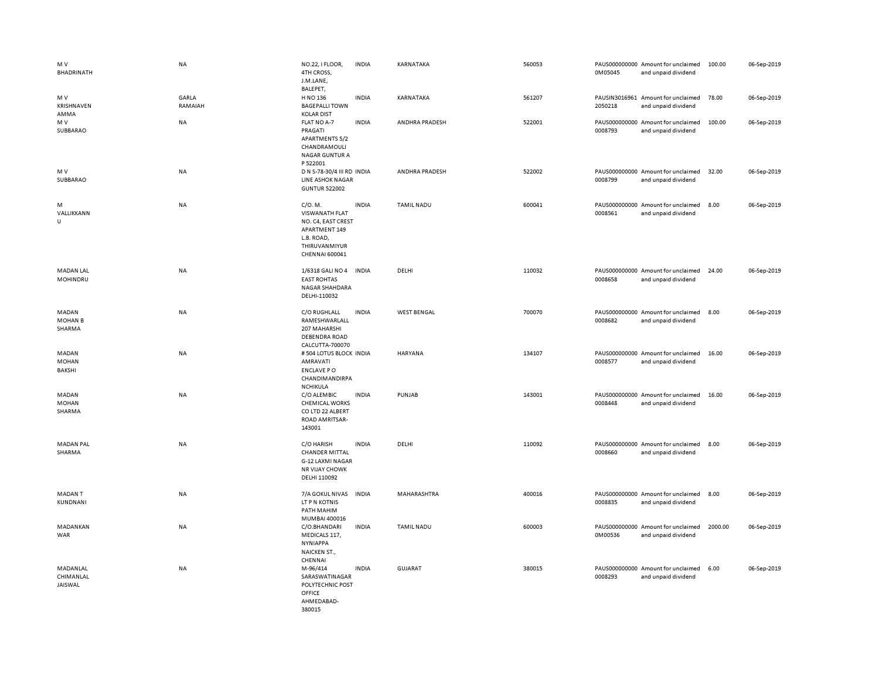| M V<br><b>BHADRINATH</b>          | NA               | NO.22, I FLOOR,<br>4TH CROSS,<br>J.M.LANE,<br>BALEPET,                                                                   | <b>INDIA</b> | KARNATAKA          | 560053 | 0M05045 | PAUS000000000 Amount for unclaimed<br>and unpaid dividend | 100.00  | 06-Sep-2019 |
|-----------------------------------|------------------|--------------------------------------------------------------------------------------------------------------------------|--------------|--------------------|--------|---------|-----------------------------------------------------------|---------|-------------|
| M V<br>KRISHNAVEN<br>AMMA         | GARLA<br>RAMAIAH | H NO 136<br><b>BAGEPALLI TOWN</b><br><b>KOLAR DIST</b>                                                                   | <b>INDIA</b> | KARNATAKA          | 561207 | 2050218 | PAUSIN3016961 Amount for unclaimed<br>and unpaid dividend | 78.00   | 06-Sep-2019 |
| M V<br>SUBBARAO                   | <b>NA</b>        | FLAT NO A-7<br>PRAGATI<br><b>APARTMENTS 5/2</b><br>CHANDRAMOULI<br><b>NAGAR GUNTUR A</b><br>P 522001                     | <b>INDIA</b> | ANDHRA PRADESH     | 522001 | 0008793 | PAUS000000000 Amount for unclaimed<br>and unpaid dividend | 100.00  | 06-Sep-2019 |
| M V<br>SUBBARAO                   | NA               | D N S-78-30/4 III RD INDIA<br><b>LINE ASHOK NAGAR</b><br><b>GUNTUR 522002</b>                                            |              | ANDHRA PRADESH     | 522002 | 0008799 | PAUS000000000 Amount for unclaimed<br>and unpaid dividend | 32.00   | 06-Sep-2019 |
| M<br>VALLIKKANN<br>U              | NA               | C/O. M.<br><b>VISWANATH FLAT</b><br>NO. C4, EAST CREST<br>APARTMENT 149<br>L.B. ROAD,<br>THIRUVANMIYUR<br>CHENNAI 600041 | <b>INDIA</b> | <b>TAMIL NADU</b>  | 600041 | 0008561 | PAUS000000000 Amount for unclaimed<br>and unpaid dividend | 8.00    | 06-Sep-2019 |
| <b>MADAN LAL</b><br>MOHINDRU      | <b>NA</b>        | 1/6318 GALI NO 4<br><b>EAST ROHTAS</b><br>NAGAR SHAHDARA<br>DELHI-110032                                                 | <b>INDIA</b> | DELHI              | 110032 | 0008658 | PAUS000000000 Amount for unclaimed<br>and unpaid dividend | 24.00   | 06-Sep-2019 |
| MADAN<br><b>MOHAN B</b><br>SHARMA | <b>NA</b>        | C/O RUGHLALL<br>RAMESHWARLALL<br>207 MAHARSHI<br>DEBENDRA ROAD<br>CALCUTTA-700070                                        | <b>INDIA</b> | <b>WEST BENGAL</b> | 700070 | 0008682 | PAUS000000000 Amount for unclaimed<br>and unpaid dividend | 8.00    | 06-Sep-2019 |
| MADAN<br><b>MOHAN</b><br>BAKSHI   | NA               | # 504 LOTUS BLOCK INDIA<br>AMRAVATI<br><b>ENCLAVE PO</b><br>CHANDIMANDIRPA<br><b>NCHIKULA</b>                            |              | HARYANA            | 134107 | 0008577 | PAUS000000000 Amount for unclaimed<br>and unpaid dividend | 16.00   | 06-Sep-2019 |
| MADAN<br><b>MOHAN</b><br>SHARMA   | <b>NA</b>        | C/O ALEMBIC<br><b>CHEMICAL WORKS</b><br>CO LTD 22 ALBERT<br>ROAD AMRITSAR-<br>143001                                     | <b>INDIA</b> | PUNJAB             | 143001 | 0008448 | PAUS000000000 Amount for unclaimed<br>and unpaid dividend | 16.00   | 06-Sep-2019 |
| <b>MADAN PAL</b><br>SHARMA        | NA               | C/O HARISH<br><b>CHANDER MITTAL</b><br>G-12 LAXMI NAGAR<br><b>NR VIJAY CHOWK</b><br>DELHI 110092                         | <b>INDIA</b> | DELHI              | 110092 | 0008660 | PAUS000000000 Amount for unclaimed<br>and unpaid dividend | 8.00    | 06-Sep-2019 |
| MADAN T<br>KUNDNANI               | NA               | 7/A GOKUL NIVAS<br>LT P N KOTNIS<br>PATH MAHIM<br>MUMBAI 400016                                                          | <b>INDIA</b> | MAHARASHTRA        | 400016 | 0008835 | PAUS000000000 Amount for unclaimed<br>and unpaid dividend | 8.00    | 06-Sep-2019 |
| MADANKAN<br><b>WAR</b>            | NA               | C/O.BHANDARI<br>MEDICALS 117,<br><b>NYNIAPPA</b><br>NAICKEN ST.,<br>CHENNAI                                              | <b>INDIA</b> | <b>TAMIL NADU</b>  | 600003 | 0M00536 | PAUS000000000 Amount for unclaimed<br>and unpaid dividend | 2000.00 | 06-Sep-2019 |
| MADANLAL<br>CHIMANLAL<br>JAISWAL  | <b>NA</b>        | M-96/414<br>SARASWATINAGAR<br>POLYTECHNIC POST<br>OFFICE<br>AHMEDABAD-<br>380015                                         | <b>INDIA</b> | <b>GUJARAT</b>     | 380015 | 0008293 | PAUS000000000 Amount for unclaimed<br>and unpaid dividend | 6.00    | 06-Sep-2019 |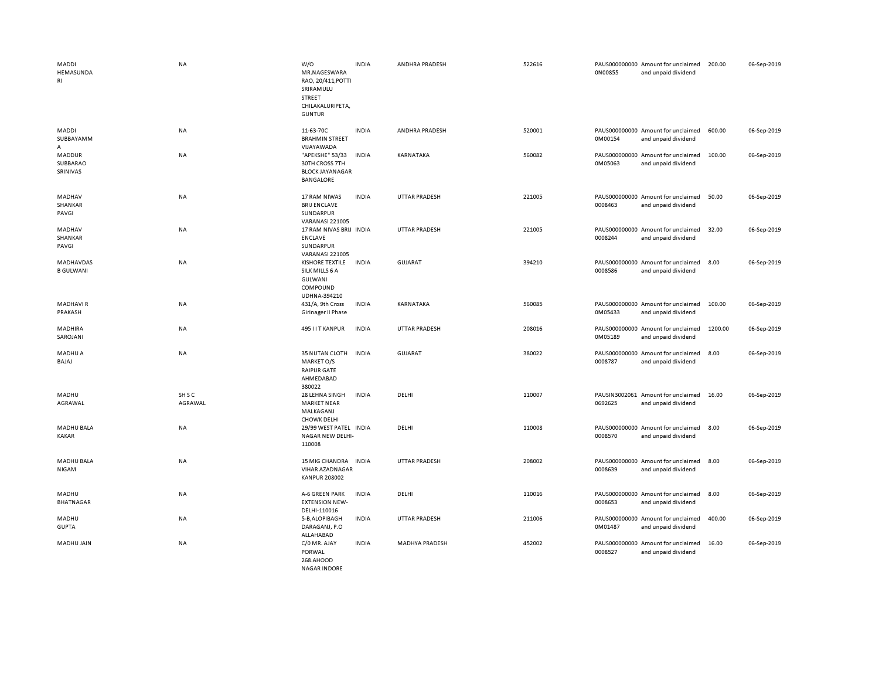| MADDI<br>HEMASUNDA<br>RI              | <b>NA</b>         | W/O<br>MR.NAGESWARA<br>RAO, 20/411, POTTI<br>SRIRAMULU<br>STREET<br>CHILAKALURIPETA,<br><b>GUNTUR</b> | <b>INDIA</b> | ANDHRA PRADESH | 522616 | 0N00855 | PAUS000000000 Amount for unclaimed<br>and unpaid dividend | 200.00  | 06-Sep-2019 |
|---------------------------------------|-------------------|-------------------------------------------------------------------------------------------------------|--------------|----------------|--------|---------|-----------------------------------------------------------|---------|-------------|
| MADDI<br>SUBBAYAMM<br>А               | NA                | 11-63-70C<br><b>BRAHMIN STREET</b><br>VIJAYAWADA                                                      | <b>INDIA</b> | ANDHRA PRADESH | 520001 | 0M00154 | PAUS000000000 Amount for unclaimed<br>and unpaid dividend | 600.00  | 06-Sep-2019 |
| <b>MADDUR</b><br>SUBBARAO<br>SRINIVAS | NA                | "APEKSHE" 53/33<br><b>30TH CROSS 7TH</b><br><b>BLOCK JAYANAGAR</b><br>BANGALORE                       | <b>INDIA</b> | KARNATAKA      | 560082 | 0M05063 | PAUS000000000 Amount for unclaimed<br>and unpaid dividend | 100.00  | 06-Sep-2019 |
| MADHAV<br>SHANKAR<br>PAVGI            | <b>NA</b>         | 17 RAM NIWAS<br><b>BRIJ ENCLAVE</b><br>SUNDARPUR<br><b>VARANASI 221005</b>                            | <b>INDIA</b> | UTTAR PRADESH  | 221005 | 0008463 | PAUS000000000 Amount for unclaimed<br>and unpaid dividend | 50.00   | 06-Sep-2019 |
| MADHAV<br>SHANKAR<br>PAVGI            | <b>NA</b>         | 17 RAM NIVAS BRIJ INDIA<br><b>ENCLAVE</b><br>SUNDARPUR<br><b>VARANASI 221005</b>                      |              | UTTAR PRADESH  | 221005 | 0008244 | PAUS000000000 Amount for unclaimed<br>and unpaid dividend | 32.00   | 06-Sep-2019 |
| MADHAVDAS<br><b>B GULWANI</b>         | NA                | <b>KISHORE TEXTILE</b><br>SILK MILLS 6 A<br>GULWANI<br>COMPOUND<br>UDHNA-394210                       | <b>INDIA</b> | <b>GUJARAT</b> | 394210 | 0008586 | PAUS000000000 Amount for unclaimed<br>and unpaid dividend | 8.00    | 06-Sep-2019 |
| <b>MADHAVIR</b><br>PRAKASH            | NA                | 431/A, 9th Cross<br>Girinager II Phase                                                                | <b>INDIA</b> | KARNATAKA      | 560085 | 0M05433 | PAUS000000000 Amount for unclaimed<br>and unpaid dividend | 100.00  | 06-Sep-2019 |
| MADHIRA<br>SAROJANI                   | NA                | 495 I I T KANPUR                                                                                      | <b>INDIA</b> | UTTAR PRADESH  | 208016 | 0M05189 | PAUS000000000 Amount for unclaimed<br>and unpaid dividend | 1200.00 | 06-Sep-2019 |
| MADHU A<br>BAJAJ                      | NA                | 35 NUTAN CLOTH<br>MARKET O/S<br><b>RAIPUR GATE</b><br>AHMEDABAD<br>380022                             | <b>INDIA</b> | <b>GUJARAT</b> | 380022 | 0008787 | PAUS000000000 Amount for unclaimed<br>and unpaid dividend | 8.00    | 06-Sep-2019 |
| MADHU<br>AGRAWAL                      | SH S C<br>AGRAWAL | 28 LEHNA SINGH<br><b>MARKET NEAR</b><br>MALKAGANJ<br><b>CHOWK DELHI</b>                               | <b>INDIA</b> | DELHI          | 110007 | 0692625 | PAUSIN3002061 Amount for unclaimed<br>and unpaid dividend | 16.00   | 06-Sep-2019 |
| <b>MADHU BALA</b><br>KAKAR            | NA                | 29/99 WEST PATEL INDIA<br>NAGAR NEW DELHI-<br>110008                                                  |              | DELHI          | 110008 | 0008570 | PAUS000000000 Amount for unclaimed<br>and unpaid dividend | 8.00    | 06-Sep-2019 |
| MADHU BALA<br>NIGAM                   | NA                | 15 MIG CHANDRA<br>VIHAR AZADNAGAR<br><b>KANPUR 208002</b>                                             | <b>INDIA</b> | UTTAR PRADESH  | 208002 | 0008639 | PAUS000000000 Amount for unclaimed<br>and unpaid dividend | 8.00    | 06-Sep-2019 |
| MADHU<br><b>BHATNAGAR</b>             | NA                | A-6 GREEN PARK<br><b>EXTENSION NEW-</b><br>DELHI-110016                                               | <b>INDIA</b> | DELHI          | 110016 | 0008653 | PAUS000000000 Amount for unclaimed<br>and unpaid dividend | 8.00    | 06-Sep-2019 |
| MADHU<br><b>GUPTA</b>                 | NA                | 5-B, ALOPIBAGH<br>DARAGANJ, P.O<br>ALLAHABAD                                                          | <b>INDIA</b> | UTTAR PRADESH  | 211006 | 0M01487 | PAUS000000000 Amount for unclaimed<br>and unpaid dividend | 400.00  | 06-Sep-2019 |
| MADHU JAIN                            | <b>NA</b>         | C/0 MR. AJAY<br>PORWAL<br>268.AHOOD<br>NAGAR INDORF                                                   | <b>INDIA</b> | MADHYA PRADESH | 452002 | 0008527 | PAUS000000000 Amount for unclaimed<br>and unpaid dividend | 16.00   | 06-Sep-2019 |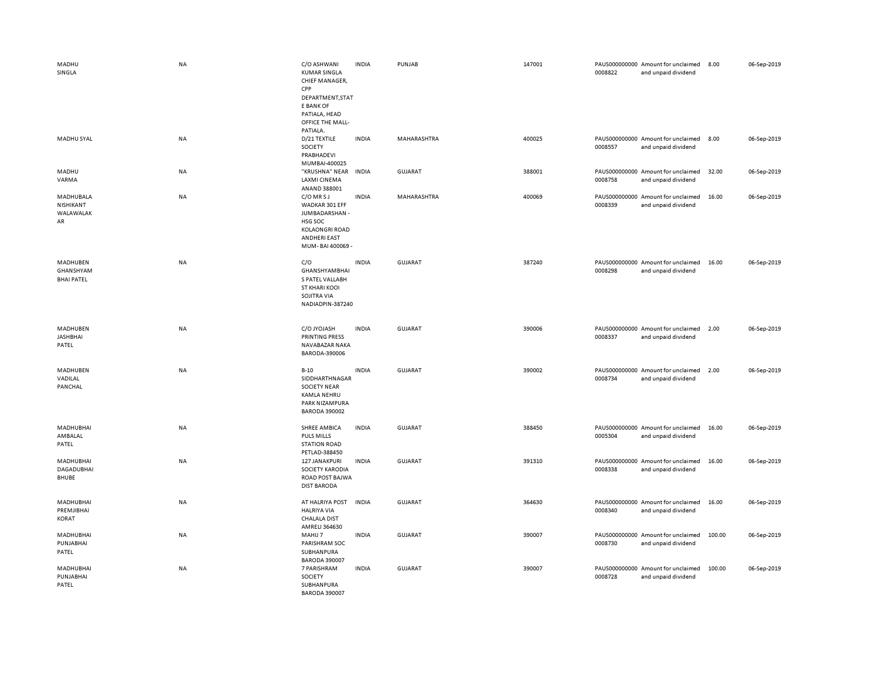| MADHU<br>SINGLA                                | <b>NA</b> | C/O ASHWANI<br><b>KUMAR SINGLA</b><br>CHIEF MANAGER,<br>CPP<br>DEPARTMENT, STAT<br>E BANK OF<br>PATIALA, HEAD<br>OFFICE THE MALL- | <b>INDIA</b> | PUNJAB         | 147001 | 0008822 | PAUS000000000 Amount for unclaimed<br>and unpaid dividend | 8.00   | 06-Sep-2019 |
|------------------------------------------------|-----------|-----------------------------------------------------------------------------------------------------------------------------------|--------------|----------------|--------|---------|-----------------------------------------------------------|--------|-------------|
| MADHU SYAL                                     | <b>NA</b> | PATIALA.<br>D/21 TEXTILE<br>SOCIETY<br>PRABHADEVI                                                                                 | <b>INDIA</b> | MAHARASHTRA    | 400025 | 0008557 | PAUS000000000 Amount for unclaimed<br>and unpaid dividend | 8.00   | 06-Sep-2019 |
| MADHU<br>VARMA                                 | NA        | MUMBAI-400025<br>"KRUSHNA" NEAR<br><b>LAXMI CINEMA</b><br>ANAND 388001                                                            | <b>INDIA</b> | <b>GUJARAT</b> | 388001 | 0008758 | PAUS000000000 Amount for unclaimed<br>and unpaid dividend | 32.00  | 06-Sep-2019 |
| MADHUBALA<br>NISHIKANT<br>WALAWALAK<br>AR      | NA        | C/O MR S J<br>WADKAR 301 EFF<br>JUMBADARSHAN -<br>HSG SOC<br><b>KOLAONGRI ROAD</b><br><b>ANDHERI EAST</b><br>MUM-BAI 400069 -     | <b>INDIA</b> | MAHARASHTRA    | 400069 | 0008339 | PAUS000000000 Amount for unclaimed<br>and unpaid dividend | 16.00  | 06-Sep-2019 |
| MADHUBEN<br>GHANSHYAM<br><b>BHAI PATEL</b>     | NA        | C/O<br><b>GHANSHYAMBHAI</b><br>S PATEL VALLABH<br><b>ST KHARI KOOI</b><br>SOJITRA VIA<br>NADIADPIN-387240                         | <b>INDIA</b> | GUJARAT        | 387240 | 0008298 | PAUS000000000 Amount for unclaimed<br>and unpaid dividend | 16.00  | 06-Sep-2019 |
| MADHUBEN<br><b>JASHBHAI</b><br>PATEL           | <b>NA</b> | C/O JYOJASH<br>PRINTING PRESS<br>NAVABAZAR NAKA<br>BARODA-390006                                                                  | <b>INDIA</b> | <b>GUJARAT</b> | 390006 | 0008337 | PAUS000000000 Amount for unclaimed<br>and unpaid dividend | 2.00   | 06-Sep-2019 |
| MADHUBEN<br>VADILAL<br>PANCHAL                 | <b>NA</b> | $B-10$<br>SIDDHARTHNAGAR<br><b>SOCIETY NEAR</b><br><b>KAMLA NEHRU</b><br>PARK NIZAMPURA<br><b>BARODA 390002</b>                   | <b>INDIA</b> | <b>GUJARAT</b> | 390002 | 0008734 | PAUS000000000 Amount for unclaimed<br>and unpaid dividend | 2.00   | 06-Sep-2019 |
| MADHUBHAI<br>AMBALAL<br>PATEL                  | NA        | SHREE AMBICA<br><b>PULS MILLS</b><br><b>STATION ROAD</b><br>PETLAD-388450                                                         | <b>INDIA</b> | <b>GUJARAT</b> | 388450 | 0005304 | PAUS000000000 Amount for unclaimed<br>and unpaid dividend | 16.00  | 06-Sep-2019 |
| MADHUBHAI<br><b>DAGADUBHAI</b><br><b>BHUBE</b> | NA        | 127 JANAKPURI<br>SOCIETY KARODIA<br>ROAD POST BAJWA<br><b>DIST BARODA</b>                                                         | <b>INDIA</b> | GUJARAT        | 391310 | 0008338 | PAUS000000000 Amount for unclaimed<br>and unpaid dividend | 16.00  | 06-Sep-2019 |
| MADHUBHAI<br>PREMJIBHAI<br>KORAT               | NA        | AT HALRIYA POST<br><b>HALRIYA VIA</b><br><b>CHALALA DIST</b><br>AMRELI 364630                                                     | <b>INDIA</b> | <b>GUJARAT</b> | 364630 | 0008340 | PAUS000000000 Amount for unclaimed<br>and unpaid dividend | 16.00  | 06-Sep-2019 |
| MADHUBHAI<br>PUNJABHAI<br>PATEL                | NA        | MAHIJ 7<br>PARISHRAM SOC<br>SUBHANPURA<br><b>BARODA 390007</b>                                                                    | <b>INDIA</b> | GUJARAT        | 390007 | 0008730 | PAUS000000000 Amount for unclaimed<br>and unpaid dividend | 100.00 | 06-Sep-2019 |
| MADHUBHAI<br>PUNJABHAI<br>PATEL                | NA        | 7 PARISHRAM<br>SOCIETY<br>SUBHANPURA<br><b>BARODA 390007</b>                                                                      | <b>INDIA</b> | <b>GUJARAT</b> | 390007 | 0008728 | PAUS000000000 Amount for unclaimed<br>and unpaid dividend | 100.00 | 06-Sep-2019 |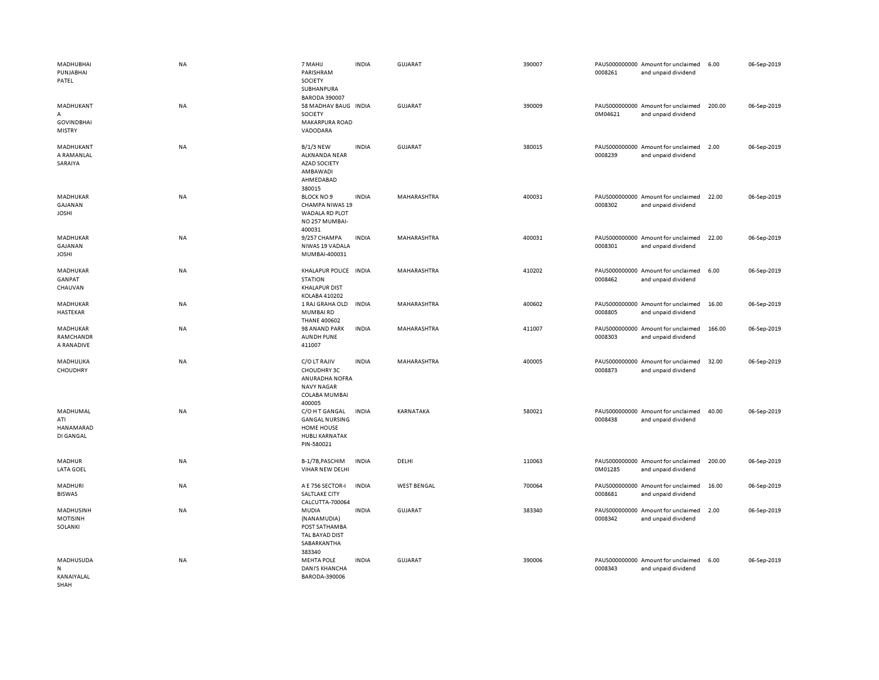| MADHUBHAI<br>PUNJABHAI<br>PATEL                      | NA        | 7 MAHIJ<br>PARISHRAM<br>SOCIETY<br>SUBHANPURA                                                 | <b>INDIA</b> | <b>GUJARAT</b>     | 390007 | 0008261 | PAUS000000000 Amount for unclaimed<br>and unpaid dividend | 6.00   | 06-Sep-2019 |
|------------------------------------------------------|-----------|-----------------------------------------------------------------------------------------------|--------------|--------------------|--------|---------|-----------------------------------------------------------|--------|-------------|
| MADHUKANT<br>A<br><b>GOVINDBHAI</b><br><b>MISTRY</b> | NA        | <b>BARODA 390007</b><br>58 MADHAV BAUG INDIA<br><b>SOCIETY</b><br>MAKARPURA ROAD<br>VADODARA  |              | <b>GUJARAT</b>     | 390009 | 0M04621 | PAUS000000000 Amount for unclaimed<br>and unpaid dividend | 200.00 | 06-Sep-2019 |
| MADHUKANT<br>A RAMANLAL<br>SARAIYA                   | NA        | <b>B/1/3 NEW</b><br>ALKNANDA NEAR<br><b>AZAD SOCIETY</b><br>AMBAWADI<br>AHMEDABAD<br>380015   | <b>INDIA</b> | <b>GUJARAT</b>     | 380015 | 0008239 | PAUS000000000 Amount for unclaimed<br>and unpaid dividend | 2.00   | 06-Sep-2019 |
| MADHUKAR<br>GAJANAN<br><b>JOSHI</b>                  | NA        | <b>BLOCK NO 9</b><br>CHAMPA NIWAS 19<br>WADALA RD PLOT<br>NO 257 MUMBAI-<br>400031            | <b>INDIA</b> | MAHARASHTRA        | 400031 | 0008302 | PAUS000000000 Amount for unclaimed<br>and unpaid dividend | 22.00  | 06-Sep-2019 |
| MADHUKAR<br>GAJANAN<br><b>JOSHI</b>                  | NA        | 9/257 CHAMPA<br>NIWAS 19 VADALA<br>MUMBAI-400031                                              | <b>INDIA</b> | MAHARASHTRA        | 400031 | 0008301 | PAUS000000000 Amount for unclaimed<br>and unpaid dividend | 22.00  | 06-Sep-2019 |
| MADHUKAR<br>GANPAT<br>CHAUVAN                        | NA        | KHALAPUR POLICE INDIA<br><b>STATION</b><br><b>KHALAPUR DIST</b><br>KOLABA 410202              |              | MAHARASHTRA        | 410202 | 0008462 | PAUS000000000 Amount for unclaimed<br>and unpaid dividend | 6.00   | 06-Sep-2019 |
| <b>MADHUKAR</b><br>HASTEKAR                          | <b>NA</b> | 1 RAJ GRAHA OLD<br><b>MUMBAIRD</b><br><b>THANE 400602</b>                                     | <b>INDIA</b> | <b>MAHARASHTRA</b> | 400602 | 0008805 | PAUS000000000 Amount for unclaimed<br>and unpaid dividend | 16.00  | 06-Sep-2019 |
| MADHUKAR<br>RAMCHANDR<br>A RANADIVE                  | <b>NA</b> | 98 ANAND PARK<br><b>AUNDH PUNE</b><br>411007                                                  | <b>INDIA</b> | MAHARASHTRA        | 411007 | 0008303 | PAUS000000000 Amount for unclaimed<br>and unpaid dividend | 166.00 | 06-Sep-2019 |
| MADHULIKA<br>CHOUDHRY                                | NA        | C/O LT RAJIV<br>CHOUDHRY 3C<br>ANURADHA NOFRA<br><b>NAVY NAGAR</b><br>COLABA MUMBAI<br>400005 | <b>INDIA</b> | MAHARASHTRA        | 400005 | 0008873 | PAUS000000000 Amount for unclaimed<br>and unpaid dividend | 32.00  | 06-Sep-2019 |
| MADHUMAL<br>ATI<br>HANAMARAD<br>DI GANGAL            | NA        | C/O H T GANGAL<br><b>GANGAL NURSING</b><br>HOME HOUSE<br><b>HUBLI KARNATAK</b><br>PIN-580021  | <b>INDIA</b> | KARNATAKA          | 580021 | 0008438 | PAUS000000000 Amount for unclaimed<br>and unpaid dividend | 40.00  | 06-Sep-2019 |
| MADHUR<br><b>LATA GOEL</b>                           | <b>NA</b> | B-1/7B, PASCHIM<br>VIHAR NEW DELHI                                                            | <b>INDIA</b> | DELHI              | 110063 | 0M01285 | PAUS000000000 Amount for unclaimed<br>and unpaid dividend | 200.00 | 06-Sep-2019 |
| MADHURI<br><b>BISWAS</b>                             | NA        | A E 756 SECTOR-I<br>SALTLAKE CITY<br>CALCUTTA-700064                                          | <b>INDIA</b> | <b>WEST BENGAL</b> | 700064 | 0008681 | PAUS000000000 Amount for unclaimed<br>and unpaid dividend | 16.00  | 06-Sep-2019 |
| MADHUSINH<br><b>MOTISINH</b><br>SOLANKI              | NA        | MUDIA<br>(NANAMUDIA)<br>POST SATHAMBA<br>TAL BAYAD DIST<br>SABARKANTHA<br>383340              | <b>INDIA</b> | <b>GUJARAT</b>     | 383340 | 0008342 | PAUS000000000 Amount for unclaimed<br>and unpaid dividend | 2.00   | 06-Sep-2019 |
| MADHUSUDA<br>N<br>KANAIYALAL<br>SHAH                 | <b>NA</b> | <b>MEHTA POLE</b><br><b>DANI'S KHANCHA</b><br>BARODA-390006                                   | <b>INDIA</b> | <b>GUJARAT</b>     | 390006 | 0008343 | PAUS000000000 Amount for unclaimed<br>and unpaid dividend | 6.00   | 06-Sep-2019 |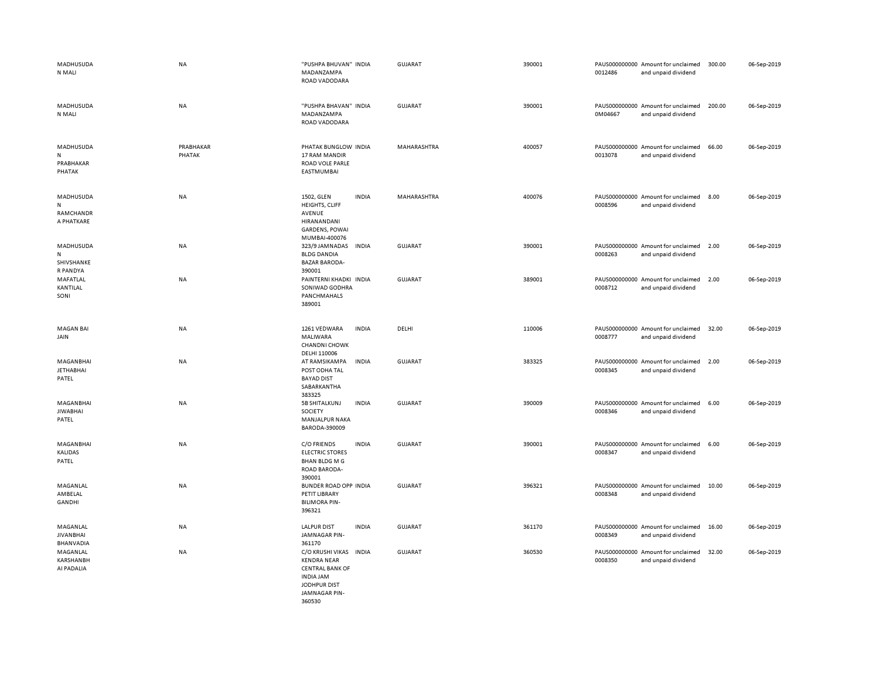| MADHUSUDA<br>N MALI                        | <b>NA</b>           | "PUSHPA BHUVAN" INDIA<br>MADANZAMPA<br>ROAD VADODARA                                                                                  | <b>GUJARAT</b> | 390001 | PAUS000000000 Amount for unclaimed<br>0012486<br>and unpaid dividend | 300.00 | 06-Sep-2019 |
|--------------------------------------------|---------------------|---------------------------------------------------------------------------------------------------------------------------------------|----------------|--------|----------------------------------------------------------------------|--------|-------------|
| MADHUSUDA<br>N MALI                        | NA                  | "PUSHPA BHAVAN" INDIA<br>MADANZAMPA<br>ROAD VADODARA                                                                                  | <b>GUJARAT</b> | 390001 | PAUS000000000 Amount for unclaimed<br>0M04667<br>and unpaid dividend | 200.00 | 06-Sep-2019 |
| MADHUSUDA<br>N<br>PRABHAKAR<br>PHATAK      | PRABHAKAR<br>PHATAK | PHATAK BUNGLOW INDIA<br>17 RAM MANDIR<br>ROAD VOLE PARLE<br>EASTMUMBAI                                                                | MAHARASHTRA    | 400057 | PAUS000000000 Amount for unclaimed<br>0013078<br>and unpaid dividend | 66.00  | 06-Sep-2019 |
| MADHUSUDA<br>N<br>RAMCHANDR<br>A PHATKARE  | <b>NA</b>           | 1502, GLEN<br><b>INDIA</b><br>HEIGHTS, CLIFF<br>AVENUE<br>HIRANANDANI<br><b>GARDENS, POWAI</b>                                        | MAHARASHTRA    | 400076 | PAUS000000000 Amount for unclaimed<br>0008596<br>and unpaid dividend | 8.00   | 06-Sep-2019 |
| MADHUSUDA<br>N<br>SHIVSHANKE<br>R PANDYA   | NA                  | MUMBAI-400076<br>323/9 JAMNADAS<br><b>INDIA</b><br><b>BLDG DANDIA</b><br><b>BAZAR BARODA-</b><br>390001                               | <b>GUJARAT</b> | 390001 | PAUS000000000 Amount for unclaimed<br>0008263<br>and unpaid dividend | 2.00   | 06-Sep-2019 |
| MAFATLAL<br>KANTILAL<br>SONI               | NA                  | PAINTERNI KHADKI INDIA<br>SONIWAD GODHRA<br>PANCHMAHALS<br>389001                                                                     | <b>GUJARAT</b> | 389001 | PAUS000000000 Amount for unclaimed<br>0008712<br>and unpaid dividend | 2.00   | 06-Sep-2019 |
| <b>MAGAN BAI</b><br>JAIN                   | NA                  | 1261 VEDWARA<br><b>INDIA</b><br>MALIWARA<br><b>CHANDNI CHOWK</b>                                                                      | DELHI          | 110006 | PAUS000000000 Amount for unclaimed<br>0008777<br>and unpaid dividend | 32.00  | 06-Sep-2019 |
| MAGANBHAI<br><b>JETHABHAI</b><br>PATEL     | NA                  | DELHI 110006<br><b>INDIA</b><br>AT RAMSIKAMPA<br>POST ODHA TAL<br><b>BAYAD DIST</b><br>SABARKANTHA<br>383325                          | <b>GUJARAT</b> | 383325 | PAUS000000000 Amount for unclaimed<br>0008345<br>and unpaid dividend | 2.00   | 06-Sep-2019 |
| MAGANBHAI<br><b>JIWABHAI</b><br>PATEL      | <b>NA</b>           | 5B SHITALKUNJ<br><b>INDIA</b><br>SOCIETY<br>MANJALPUR NAKA<br>BARODA-390009                                                           | <b>GUJARAT</b> | 390009 | PAUS000000000 Amount for unclaimed<br>0008346<br>and unpaid dividend | 6.00   | 06-Sep-2019 |
| MAGANBHAI<br><b>KALIDAS</b><br>PATEL       | NA                  | C/O FRIENDS<br><b>INDIA</b><br><b>ELECTRIC STORES</b><br><b>BHAN BLDG M G</b><br>ROAD BARODA-<br>390001                               | <b>GUJARAT</b> | 390001 | PAUS000000000 Amount for unclaimed<br>0008347<br>and unpaid dividend | 6.00   | 06-Sep-2019 |
| MAGANLAL<br>AMBELAL<br>GANDHI              | NA                  | <b>BUNDER ROAD OPP INDIA</b><br>PETIT LIBRARY<br><b>BILIMORA PIN-</b><br>396321                                                       | <b>GUJARAT</b> | 396321 | PAUS000000000 Amount for unclaimed<br>0008348<br>and unpaid dividend | 10.00  | 06-Sep-2019 |
| MAGANLAL<br><b>JIVANBHAI</b><br>BHANVADIA  | NA                  | <b>LALPUR DIST</b><br><b>INDIA</b><br>JAMNAGAR PIN-<br>361170                                                                         | <b>GUJARAT</b> | 361170 | PAUS000000000 Amount for unclaimed<br>0008349<br>and unpaid dividend | 16.00  | 06-Sep-2019 |
| MAGANLAL<br><b>KARSHANBH</b><br>AI PADALIA | NA                  | C/O KRUSHI VIKAS<br><b>INDIA</b><br><b>KENDRA NEAR</b><br><b>CENTRAL BANK OF</b><br><b>INDIA JAM</b><br>JODHPUR DIST<br>JAMNAGAR PIN- | <b>GUJARAT</b> | 360530 | PAUS000000000 Amount for unclaimed<br>0008350<br>and unpaid dividend | 32.00  | 06-Sep-2019 |

360530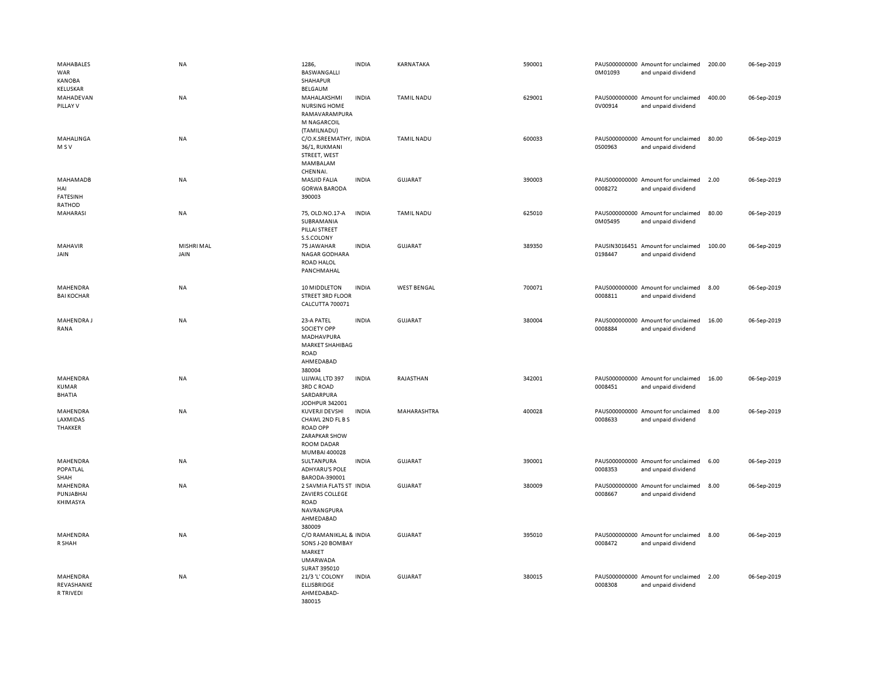| MAHABALES<br>WAR<br><b>KANOBA</b><br><b>KELUSKAR</b> | NA                 | 1286,<br>BASWANGALLI<br><b>SHAHAPUR</b><br>BELGAUM                                                           | <b>INDIA</b> | KARNATAKA          | 590001 | 0M01093                  | PAUS000000000 Amount for unclaimed<br>and unpaid dividend | 200.00 | 06-Sep-2019 |
|------------------------------------------------------|--------------------|--------------------------------------------------------------------------------------------------------------|--------------|--------------------|--------|--------------------------|-----------------------------------------------------------|--------|-------------|
| MAHADEVAN<br>PILLAY V                                | NA                 | MAHALAKSHMI<br><b>NURSING HOME</b><br>RAMAVARAMPURA<br>M NAGARCOIL<br>(TAMILNADU)                            | <b>INDIA</b> | <b>TAMIL NADU</b>  | 629001 | 0V00914                  | PAUS000000000 Amount for unclaimed<br>and unpaid dividend | 400.00 | 06-Sep-2019 |
| MAHALINGA<br>M S V                                   | <b>NA</b>          | C/O.K.SREEMATHY, INDIA<br>36/1, RUKMANI<br>STREET, WEST<br>MAMBALAM<br>CHENNAI.                              |              | <b>TAMIL NADU</b>  | 600033 | 0S00963                  | PAUS000000000 Amount for unclaimed<br>and unpaid dividend | 80.00  | 06-Sep-2019 |
| MAHAMADB<br>HAI<br><b>FATESINH</b><br>RATHOD         | NA                 | <b>MASJID FALIA</b><br><b>GORWA BARODA</b><br>390003                                                         | <b>INDIA</b> | GUJARAT            | 390003 | 0008272                  | PAUS000000000 Amount for unclaimed<br>and unpaid dividend | 2.00   | 06-Sep-2019 |
| MAHARASI                                             | <b>NA</b>          | 75, OLD.NO.17-A<br>SUBRAMANIA<br>PILLAI STREET<br>S.S.COLONY                                                 | <b>INDIA</b> | <b>TAMIL NADU</b>  | 625010 | 0M05495                  | PAUS000000000 Amount for unclaimed<br>and unpaid dividend | 80.00  | 06-Sep-2019 |
| MAHAVIR<br>JAIN                                      | MISHRI MAL<br>JAIN | 75 JAWAHAR<br>NAGAR GODHARA<br><b>ROAD HALOL</b><br>PANCHMAHAL                                               | <b>INDIA</b> | GUJARAT            | 389350 | 0198447                  | PAUSIN3016451 Amount for unclaimed<br>and unpaid dividend | 100.00 | 06-Sep-2019 |
| MAHENDRA<br><b>BAI KOCHAR</b>                        | NA                 | 10 MIDDLETON<br><b>STREET 3RD FLOOR</b><br>CALCUTTA 700071                                                   | <b>INDIA</b> | <b>WEST BENGAL</b> | 700071 | 0008811                  | PAUS000000000 Amount for unclaimed<br>and unpaid dividend | 8.00   | 06-Sep-2019 |
| MAHENDRA J<br>RANA                                   | NA                 | 23-A PATEL<br>SOCIETY OPP<br>MADHAVPURA<br>MARKET SHAHIBAG<br><b>ROAD</b><br>AHMEDABAD<br>380004             | <b>INDIA</b> | <b>GUJARAT</b>     | 380004 | PAUS000000000<br>0008884 | Amount for unclaimed<br>and unpaid dividend               | 16.00  | 06-Sep-2019 |
| MAHENDRA<br><b>KUMAR</b><br><b>BHATIA</b>            | NA                 | UJJWAL LTD 397<br><b>3RD C ROAD</b><br>SARDARPURA<br>JODHPUR 342001                                          | <b>INDIA</b> | RAJASTHAN          | 342001 | 0008451                  | PAUS000000000 Amount for unclaimed<br>and unpaid dividend | 16.00  | 06-Sep-2019 |
| MAHENDRA<br>LAXMIDAS<br><b>THAKKER</b>               | NA                 | KUVERJI DEVSHI<br>CHAWL 2ND FL B S<br><b>ROAD OPP</b><br>ZARAPKAR SHOW<br><b>ROOM DADAR</b><br>MUMBAI 400028 | <b>INDIA</b> | MAHARASHTRA        | 400028 | 0008633                  | PAUS000000000 Amount for unclaimed<br>and unpaid dividend | 8.00   | 06-Sep-2019 |
| MAHENDRA<br>POPATLAL<br>SHAH                         | NA                 | SULTANPURA<br><b>ADHYARU'S POLE</b><br>BARODA-390001                                                         | <b>INDIA</b> | <b>GUJARAT</b>     | 390001 | 0008353                  | PAUS000000000 Amount for unclaimed<br>and unpaid dividend | 6.00   | 06-Sep-2019 |
| MAHENDRA<br>PUNJABHAI<br>KHIMASYA                    | NA                 | 2 SAVMIA FLATS ST INDIA<br>ZAVIERS COLLEGE<br><b>ROAD</b><br>NAVRANGPURA<br>AHMEDABAD<br>380009              |              | <b>GUJARAT</b>     | 380009 | 0008667                  | PAUS000000000 Amount for unclaimed<br>and unpaid dividend | 8.00   | 06-Sep-2019 |
| MAHENDRA<br>R SHAH                                   | NA                 | C/O RAMANIKLAL & INDIA<br>SONS J-20 BOMBAY<br>MARKET<br><b>UMARWADA</b><br>SURAT 395010                      |              | <b>GUJARAT</b>     | 395010 | 0008472                  | PAUS000000000 Amount for unclaimed<br>and unpaid dividend | 8.00   | 06-Sep-2019 |
| MAHENDRA<br>REVASHANKE<br>R TRIVEDI                  | NA                 | 21/3 'L' COLONY<br><b>ELLISBRIDGE</b><br>AHMEDABAD-<br>380015                                                | <b>INDIA</b> | <b>GUJARAT</b>     | 380015 | 0008308                  | PAUS000000000 Amount for unclaimed<br>and unpaid dividend | 2.00   | 06-Sep-2019 |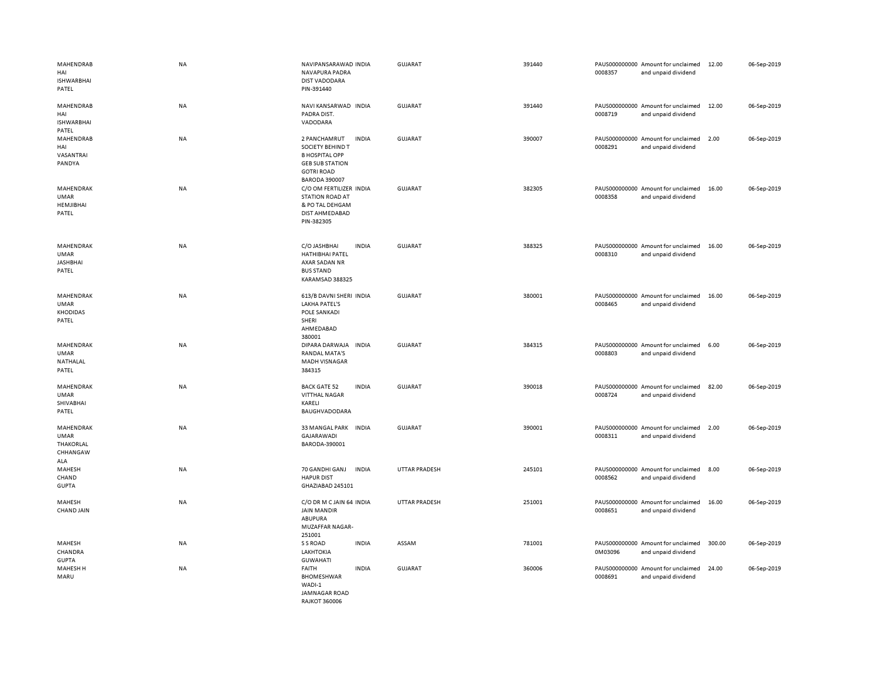| MAHENDRAB<br>HAI<br><b>ISHWARBHAI</b><br>PATEL                  | NA        | NAVIPANSARAWAD INDIA<br>NAVAPURA PADRA<br><b>DIST VADODARA</b><br>PIN-391440                                                     |              | <b>GUJARAT</b>       | 391440 | 0008357 | PAUS000000000 Amount for unclaimed<br>and unpaid dividend | 12.00  | 06-Sep-2019 |
|-----------------------------------------------------------------|-----------|----------------------------------------------------------------------------------------------------------------------------------|--------------|----------------------|--------|---------|-----------------------------------------------------------|--------|-------------|
| MAHENDRAB<br>HAI<br><b>ISHWARBHAI</b><br>PATEL                  | NA        | NAVI KANSARWAD INDIA<br>PADRA DIST.<br>VADODARA                                                                                  |              | <b>GUJARAT</b>       | 391440 | 0008719 | PAUS000000000 Amount for unclaimed<br>and unpaid dividend | 12.00  | 06-Sep-2019 |
| MAHENDRAB<br>HAI<br>VASANTRAI<br>PANDYA                         | NA        | 2 PANCHAMRUT<br>SOCIETY BEHIND T<br><b>B HOSPITAL OPP</b><br><b>GEB SUB STATION</b><br><b>GOTRI ROAD</b><br><b>BARODA 390007</b> | <b>INDIA</b> | <b>GUJARAT</b>       | 390007 | 0008291 | PAUS000000000 Amount for unclaimed<br>and unpaid dividend | 2.00   | 06-Sep-2019 |
| <b>MAHENDRAK</b><br><b>UMAR</b><br>HEMJIBHAI<br>PATEL           | <b>NA</b> | C/O OM FERTILIZER INDIA<br><b>STATION ROAD AT</b><br>& PO TAL DEHGAM<br>DIST AHMEDABAD<br>PIN-382305                             |              | <b>GUJARAT</b>       | 382305 | 0008358 | PAUS000000000 Amount for unclaimed<br>and unpaid dividend | 16.00  | 06-Sep-2019 |
| MAHENDRAK<br><b>UMAR</b><br><b>JASHBHAI</b><br>PATEL            | NA        | C/O JASHBHAI<br><b>HATHIBHAI PATEL</b><br>AXAR SADAN NR<br><b>BUS STAND</b><br>KARAMSAD 388325                                   | <b>INDIA</b> | GUJARAT              | 388325 | 0008310 | PAUS000000000 Amount for unclaimed<br>and unpaid dividend | 16.00  | 06-Sep-2019 |
| MAHENDRAK<br><b>UMAR</b><br><b>KHODIDAS</b><br>PATEL            | NA        | 613/B DAVNI SHERI INDIA<br><b>LAKHA PATEL'S</b><br>POLE SANKADI<br>SHERI<br>AHMEDABAD<br>380001                                  |              | GUJARAT              | 380001 | 0008465 | PAUS000000000 Amount for unclaimed<br>and unpaid dividend | 16.00  | 06-Sep-2019 |
| MAHENDRAK<br><b>UMAR</b><br>NATHALAL<br>PATEL                   | NA        | DIPARA DARWAJA<br><b>RANDAL MATA'S</b><br><b>MADH VISNAGAR</b><br>384315                                                         | <b>INDIA</b> | <b>GUJARAT</b>       | 384315 | 0008803 | PAUS000000000 Amount for unclaimed<br>and unpaid dividend | 6.00   | 06-Sep-2019 |
| MAHENDRAK<br><b>UMAR</b><br>SHIVABHAI<br>PATEL                  | NA        | <b>BACK GATE 52</b><br><b>VITTHAL NAGAR</b><br>KARELI<br>BAUGHVADODARA                                                           | <b>INDIA</b> | GUJARAT              | 390018 | 0008724 | PAUS000000000 Amount for unclaimed<br>and unpaid dividend | 82.00  | 06-Sep-2019 |
| MAHENDRAK<br><b>UMAR</b><br><b>THAKORLAL</b><br>CHHANGAW<br>ALA | NA        | 33 MANGAL PARK INDIA<br>GAJARAWADI<br>BARODA-390001                                                                              |              | <b>GUJARAT</b>       | 390001 | 0008311 | PAUS000000000 Amount for unclaimed<br>and unpaid dividend | 2.00   | 06-Sep-2019 |
| MAHESH<br>CHAND<br><b>GUPTA</b>                                 | NA        | 70 GANDHI GANJ<br><b>HAPUR DIST</b><br>GHAZIABAD 245101                                                                          | <b>INDIA</b> | UTTAR PRADESH        | 245101 | 0008562 | PAUS000000000 Amount for unclaimed<br>and unpaid dividend | 8.00   | 06-Sep-2019 |
| MAHESH<br>CHAND JAIN                                            | NA        | C/O DR M C JAIN 64 INDIA<br><b>JAIN MANDIR</b><br>ABUPURA<br><b>MUZAFFAR NAGAR-</b><br>251001                                    |              | <b>UTTAR PRADESH</b> | 251001 | 0008651 | PAUS000000000 Amount for unclaimed<br>and unpaid dividend | 16.00  | 06-Sep-2019 |
| MAHESH<br>CHANDRA<br><b>GUPTA</b>                               | NA        | S S ROAD<br>LAKHTOKIA<br><b>GUWAHATI</b>                                                                                         | <b>INDIA</b> | ASSAM                | 781001 | 0M03096 | PAUS000000000 Amount for unclaimed<br>and unpaid dividend | 300.00 | 06-Sep-2019 |
| <b>MAHESH H</b><br>MARU                                         | NA        | FAITH<br><b>BHOMESHWAR</b><br>WADI-1<br>JAMNAGAR ROAD<br><b>RAJKOT 360006</b>                                                    | <b>INDIA</b> | <b>GUJARAT</b>       | 360006 | 0008691 | PAUS000000000 Amount for unclaimed<br>and unpaid dividend | 24.00  | 06-Sep-2019 |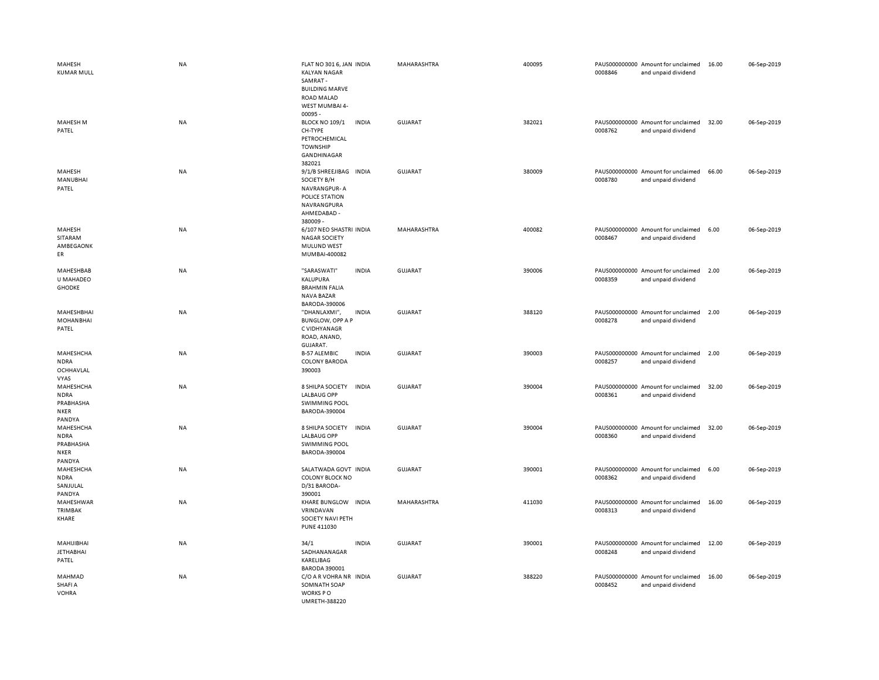| MAHESH<br><b>KUMAR MULL</b>                                    | <b>NA</b> | FLAT NO 301 6, JAN INDIA<br><b>KALYAN NAGAR</b><br>SAMRAT-<br><b>BUILDING MARVE</b><br><b>ROAD MALAD</b><br>WEST MUMBAI 4-<br>$00095 -$ |              | MAHARASHTRA    | 400095 | 0008846 | PAUS000000000 Amount for unclaimed<br>and unpaid dividend | 16.00 | 06-Sep-2019 |
|----------------------------------------------------------------|-----------|-----------------------------------------------------------------------------------------------------------------------------------------|--------------|----------------|--------|---------|-----------------------------------------------------------|-------|-------------|
| MAHESH M<br>PATEL                                              | NA        | <b>BLOCK NO 109/1</b><br>CH-TYPE<br>PETROCHEMICAL<br><b>TOWNSHIP</b><br>GANDHINAGAR<br>382021                                           | <b>INDIA</b> | GUJARAT        | 382021 | 0008762 | PAUS000000000 Amount for unclaimed<br>and unpaid dividend | 32.00 | 06-Sep-2019 |
| MAHESH<br>MANUBHAI<br>PATEL                                    | NA        | 9/1/B SHREEJIBAG INDIA<br>SOCIETY B/H<br>NAVRANGPUR-A<br>POLICE STATION<br>NAVRANGPURA<br>AHMEDABAD -<br>380009 -                       |              | <b>GUJARAT</b> | 380009 | 0008780 | PAUS000000000 Amount for unclaimed<br>and unpaid dividend | 66.00 | 06-Sep-2019 |
| MAHESH<br>SITARAM<br>AMBEGAONK<br>ER                           | NA        | 6/107 NEO SHASTRI INDIA<br><b>NAGAR SOCIETY</b><br><b>MULUND WEST</b><br>MUMBAI-400082                                                  |              | MAHARASHTRA    | 400082 | 0008467 | PAUS000000000 Amount for unclaimed<br>and unpaid dividend | 6.00  | 06-Sep-2019 |
| MAHESHBAB<br>U MAHADEO<br><b>GHODKE</b>                        | NA        | "SARASWATI"<br>KALUPURA<br><b>BRAHMIN FALIA</b><br>NAVA BAZAR<br>BARODA-390006                                                          | <b>INDIA</b> | <b>GUJARAT</b> | 390006 | 0008359 | PAUS000000000 Amount for unclaimed<br>and unpaid dividend | 2.00  | 06-Sep-2019 |
| MAHESHBHAI<br><b>MOHANBHAI</b><br>PATEL                        | NA        | "DHANLAXMI",<br><b>BUNGLOW, OPP A P</b><br>C VIDHYANAGR<br>ROAD, ANAND,<br>GUJARAT.                                                     | <b>INDIA</b> | <b>GUJARAT</b> | 388120 | 0008278 | PAUS000000000 Amount for unclaimed<br>and unpaid dividend | 2.00  | 06-Sep-2019 |
| MAHESHCHA<br><b>NDRA</b><br>OCHHAVLAL<br><b>VYAS</b>           | NA        | <b>B-57 ALEMBIC</b><br><b>COLONY BARODA</b><br>390003                                                                                   | <b>INDIA</b> | GUJARAT        | 390003 | 0008257 | PAUS000000000 Amount for unclaimed<br>and unpaid dividend | 2.00  | 06-Sep-2019 |
| MAHESHCHA<br><b>NDRA</b><br>PRABHASHA<br><b>NKER</b><br>PANDYA | NA        | 8 SHILPA SOCIETY<br><b>LALBAUG OPP</b><br><b>SWIMMING POOL</b><br>BARODA-390004                                                         | <b>INDIA</b> | <b>GUJARAT</b> | 390004 | 0008361 | PAUS000000000 Amount for unclaimed<br>and unpaid dividend | 32.00 | 06-Sep-2019 |
| MAHESHCHA<br><b>NDRA</b><br>PRABHASHA<br><b>NKER</b><br>PANDYA | NA        | 8 SHILPA SOCIETY<br><b>LALBAUG OPP</b><br><b>SWIMMING POOL</b><br>BARODA-390004                                                         | <b>INDIA</b> | <b>GUJARAT</b> | 390004 | 0008360 | PAUS000000000 Amount for unclaimed<br>and unpaid dividend | 32.00 | 06-Sep-2019 |
| MAHESHCHA<br><b>NDRA</b><br>SANJULAL<br>PANDYA                 | <b>NA</b> | SALATWADA GOVT INDIA<br><b>COLONY BLOCK NO</b><br>D/31 BARODA-<br>390001                                                                |              | GUJARAT        | 390001 | 0008362 | PAUS000000000 Amount for unclaimed<br>and unpaid dividend | 6.00  | 06-Sep-2019 |
| MAHESHWAR<br>TRIMBAK<br>KHARE                                  | NA        | KHARE BUNGLOW INDIA<br>VRINDAVAN<br>SOCIETY NAVI PETH<br><b>PUNE 411030</b>                                                             |              | MAHARASHTRA    | 411030 | 0008313 | PAUS000000000 Amount for unclaimed<br>and unpaid dividend | 16.00 | 06-Sep-2019 |
| MAHIJIBHAI<br><b>JETHABHAI</b><br>PATEL                        | NA        | 34/1<br>SADHANANAGAR<br>KARELIBAG<br><b>BARODA 390001</b>                                                                               | <b>INDIA</b> | GUJARAT        | 390001 | 0008248 | PAUS000000000 Amount for unclaimed<br>and unpaid dividend | 12.00 | 06-Sep-2019 |
| MAHMAD<br>SHAFI A<br><b>VOHRA</b>                              | <b>NA</b> | C/O A R VOHRA NR INDIA<br>SOMNATH SOAP<br>WORKS PO<br><b>IIMRFTH-388220</b>                                                             |              | <b>GUJARAT</b> | 388220 | 0008452 | PAUS000000000 Amount for unclaimed<br>and unpaid dividend | 16.00 | 06-Sep-2019 |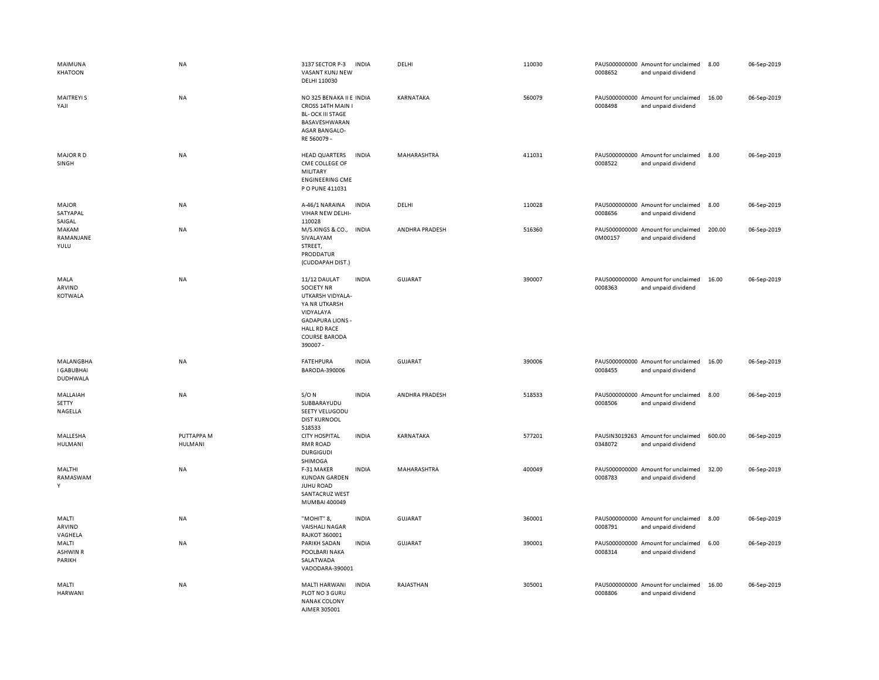| MAIMUNA<br>KHATOON                  | NA                           | 3137 SECTOR P-3<br>VASANT KUNJ NEW<br>DELHI 110030                                                                                                                        | <b>INDIA</b> | DELHI          | 110030 | 0008652 | PAUS000000000 Amount for unclaimed<br>and unpaid dividend | 8.00   | 06-Sep-2019 |
|-------------------------------------|------------------------------|---------------------------------------------------------------------------------------------------------------------------------------------------------------------------|--------------|----------------|--------|---------|-----------------------------------------------------------|--------|-------------|
| <b>MAITREYIS</b><br>YAJI            | NA                           | NO 325 BENAKA II E INDIA<br>CROSS 14TH MAIN I<br><b>BL-OCK III STAGE</b><br>BASAVESHWARAN<br>AGAR BANGALO-<br>RE 560079 -                                                 |              | KARNATAKA      | 560079 | 0008498 | PAUS000000000 Amount for unclaimed<br>and unpaid dividend | 16.00  | 06-Sep-2019 |
| <b>MAJOR RD</b><br>SINGH            | NA                           | <b>HEAD QUARTERS</b><br>CME COLLEGE OF<br>MILITARY<br><b>ENGINEERING CME</b><br>P O PUNE 411031                                                                           | <b>INDIA</b> | MAHARASHTRA    | 411031 | 0008522 | PAUS000000000 Amount for unclaimed<br>and unpaid dividend | 8.00   | 06-Sep-2019 |
| <b>MAJOR</b><br>SATYAPAL<br>SAIGAL  | NA                           | A-46/1 NARAINA<br>VIHAR NEW DELHI-<br>110028                                                                                                                              | <b>INDIA</b> | DELHI          | 110028 | 0008656 | PAUS000000000 Amount for unclaimed<br>and unpaid dividend | 8.00   | 06-Sep-2019 |
| MAKAM<br>RAMANJANE<br>YULU          | <b>NA</b>                    | M/S.KINGS & CO., INDIA<br>SIVALAYAM<br>STREET,<br>PRODDATUR<br>(CUDDAPAH DIST.)                                                                                           |              | ANDHRA PRADESH | 516360 | 0M00157 | PAUS000000000 Amount for unclaimed<br>and unpaid dividend | 200.00 | 06-Sep-2019 |
| MALA<br>ARVIND<br><b>KOTWALA</b>    | <b>NA</b>                    | 11/12 DAULAT<br><b>SOCIETY NR</b><br>UTKARSH VIDYALA-<br>YA NR UTKARSH<br>VIDYALAYA<br><b>GADAPURA LIONS -</b><br><b>HALL RD RACE</b><br><b>COURSE BARODA</b><br>390007 - | <b>INDIA</b> | <b>GUJARAT</b> | 390007 | 0008363 | PAUS000000000 Amount for unclaimed<br>and unpaid dividend | 16.00  | 06-Sep-2019 |
| MALANGBHA<br>I GABUBHAI<br>DUDHWALA | NA                           | <b>FATEHPURA</b><br>BARODA-390006                                                                                                                                         | <b>INDIA</b> | GUJARAT        | 390006 | 0008455 | PAUS000000000 Amount for unclaimed<br>and unpaid dividend | 16.00  | 06-Sep-2019 |
| MALLAIAH<br>SETTY<br>NAGELLA        | NA                           | $S/O$ N<br>SUBBARAYUDU<br>SEETY VELUGODU<br><b>DIST KURNOOL</b><br>518533                                                                                                 | <b>INDIA</b> | ANDHRA PRADESH | 518533 | 0008506 | PAUS000000000 Amount for unclaimed<br>and unpaid dividend | 8.00   | 06-Sep-2019 |
| MALLESHA<br>HULMANI                 | PUTTAPPA M<br><b>HULMANI</b> | <b>CITY HOSPITAL</b><br>RMR ROAD<br><b>DURGIGUDI</b><br>SHIMOGA                                                                                                           | <b>INDIA</b> | KARNATAKA      | 577201 | 0348072 | PAUSIN3019263 Amount for unclaimed<br>and unpaid dividend | 600.00 | 06-Sep-2019 |
| MALTHI<br>RAMASWAM<br>Y             | NA                           | F-31 MAKER<br><b>KUNDAN GARDEN</b><br><b>JUHU ROAD</b><br>SANTACRUZ WEST<br>MUMBAI 400049                                                                                 | <b>INDIA</b> | MAHARASHTRA    | 400049 | 0008783 | PAUS000000000 Amount for unclaimed<br>and unpaid dividend | 32.00  | 06-Sep-2019 |
| MALTI<br>ARVIND<br>VAGHELA          | NA                           | "MOHIT" 8,<br><b>VAISHALI NAGAR</b><br><b>RAJKOT 360001</b>                                                                                                               | <b>INDIA</b> | GUJARAT        | 360001 | 0008791 | PAUS000000000 Amount for unclaimed<br>and unpaid dividend | 8.00   | 06-Sep-2019 |
| MALTI<br><b>ASHWIN R</b><br>PARIKH  | NA                           | PARIKH SADAN<br>POOLBARI NAKA<br>SALATWADA<br>VADODARA-390001                                                                                                             | <b>INDIA</b> | <b>GUJARAT</b> | 390001 | 0008314 | PAUS000000000 Amount for unclaimed<br>and unpaid dividend | 6.00   | 06-Sep-2019 |
| MALTI<br><b>HARWANI</b>             | NA                           | <b>MALTI HARWANI</b><br>PLOT NO 3 GURU<br><b>NANAK COLONY</b><br>AJMER 305001                                                                                             | <b>INDIA</b> | RAJASTHAN      | 305001 | 0008806 | PAUS000000000 Amount for unclaimed<br>and unpaid dividend | 16.00  | 06-Sep-2019 |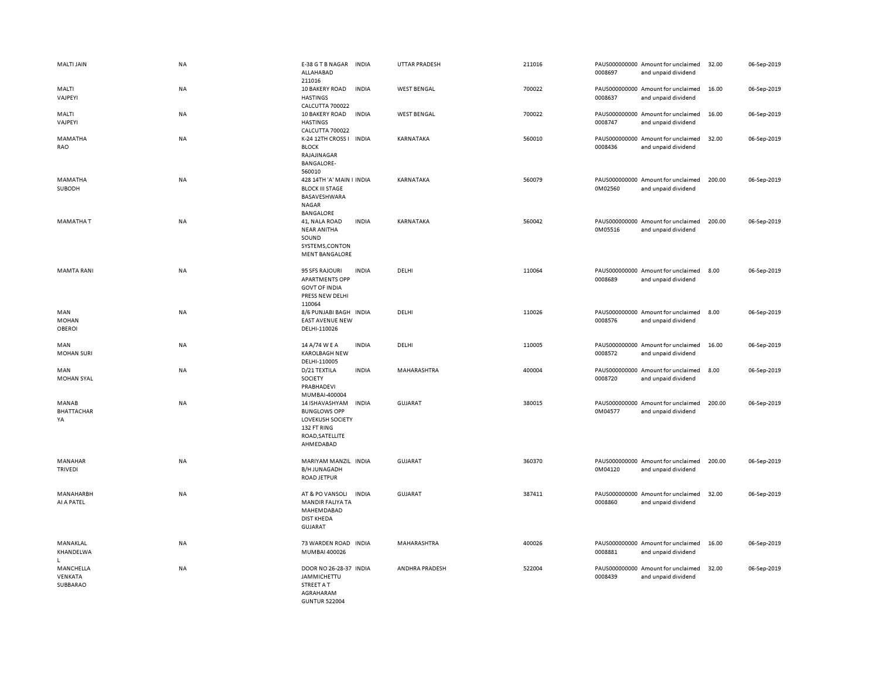| <b>MALTI JAIN</b>                    | NA        | E-38 G T B NAGAR INDIA<br>ALLAHABAD<br>211016                                                                                    |              | <b>UTTAR PRADESH</b> | 211016 | 0008697 | PAUS000000000 Amount for unclaimed<br>and unpaid dividend | 32.00  | 06-Sep-2019 |
|--------------------------------------|-----------|----------------------------------------------------------------------------------------------------------------------------------|--------------|----------------------|--------|---------|-----------------------------------------------------------|--------|-------------|
| MALTI<br>VAJPEYI                     | NA        | 10 BAKERY ROAD<br><b>HASTINGS</b><br>CALCUTTA 700022                                                                             | <b>INDIA</b> | <b>WEST BENGAL</b>   | 700022 | 0008637 | PAUS000000000 Amount for unclaimed<br>and unpaid dividend | 16.00  | 06-Sep-2019 |
| MALTI<br>VAJPEYI                     | <b>NA</b> | 10 BAKERY ROAD<br><b>HASTINGS</b><br>CALCUTTA 700022                                                                             | <b>INDIA</b> | <b>WEST BENGAL</b>   | 700022 | 0008747 | PAUS000000000 Amount for unclaimed<br>and unpaid dividend | 16.00  | 06-Sep-2019 |
| MAMATHA<br>RAO                       | NA        | K-24 12TH CROSS I INDIA<br><b>BLOCK</b><br>RAJAJINAGAR<br><b>BANGALORE-</b><br>560010                                            |              | KARNATAKA            | 560010 | 0008436 | PAUS000000000 Amount for unclaimed<br>and unpaid dividend | 32.00  | 06-Sep-2019 |
| MAMATHA<br>SUBODH                    | NA        | 428 14TH 'A' MAIN I INDIA<br><b>BLOCK III STAGE</b><br>BASAVESHWARA<br>NAGAR<br><b>BANGALORE</b>                                 |              | KARNATAKA            | 560079 | 0M02560 | PAUS000000000 Amount for unclaimed<br>and unpaid dividend | 200.00 | 06-Sep-2019 |
| MAMATHA T                            | NA        | 41, NALA ROAD<br><b>NEAR ANITHA</b><br>SOUND<br>SYSTEMS, CONTON<br><b>MENT BANGALORE</b>                                         | <b>INDIA</b> | KARNATAKA            | 560042 | 0M05516 | PAUS000000000 Amount for unclaimed<br>and unpaid dividend | 200.00 | 06-Sep-2019 |
| <b>MAMTA RANI</b>                    | NA        | 95 SFS RAJOURI<br><b>APARTMENTS OPP</b><br><b>GOVT OF INDIA</b><br>PRESS NEW DELHI<br>110064                                     | <b>INDIA</b> | DELHI                | 110064 | 0008689 | PAUS000000000 Amount for unclaimed<br>and unpaid dividend | 8.00   | 06-Sep-2019 |
| MAN<br><b>MOHAN</b><br><b>OBEROI</b> | NA        | 8/6 PUNJABI BAGH INDIA<br><b>EAST AVENUE NEW</b><br>DELHI-110026                                                                 |              | DELHI                | 110026 | 0008576 | PAUS000000000 Amount for unclaimed<br>and unpaid dividend | 8.00   | 06-Sep-2019 |
| MAN<br><b>MOHAN SURI</b>             | NA        | 14 A/74 W E A<br><b>KAROLBAGH NEW</b><br>DELHI-110005                                                                            | <b>INDIA</b> | DELHI                | 110005 | 0008572 | PAUS000000000 Amount for unclaimed<br>and unpaid dividend | 16.00  | 06-Sep-2019 |
| MAN<br><b>MOHAN SYAL</b>             | NA        | D/21 TEXTILA<br>SOCIETY<br>PRABHADEVI                                                                                            | <b>INDIA</b> | MAHARASHTRA          | 400004 | 0008720 | PAUS000000000 Amount for unclaimed<br>and unpaid dividend | 8.00   | 06-Sep-2019 |
| MANAB<br>BHATTACHAR<br>YA            | <b>NA</b> | MUMBAI-400004<br>14 ISHAVASHYAM<br><b>BUNGLOWS OPP</b><br><b>LOVEKUSH SOCIETY</b><br>132 FT RING<br>ROAD, SATELLITE<br>AHMEDABAD | <b>INDIA</b> | <b>GUJARAT</b>       | 380015 | 0M04577 | PAUS000000000 Amount for unclaimed<br>and unpaid dividend | 200.00 | 06-Sep-2019 |
| MANAHAR<br><b>TRIVEDI</b>            | NA        | MARIYAM MANZIL INDIA<br><b>B/H JUNAGADH</b><br><b>ROAD JETPUR</b>                                                                |              | GUJARAT              | 360370 | 0M04120 | PAUS000000000 Amount for unclaimed<br>and unpaid dividend | 200.00 | 06-Sep-2019 |
| MANAHARBH<br>AI A PATEL              | NA        | AT & PO VANSOLI<br>MANDIR FALIYA TA<br>MAHEMDABAD<br><b>DIST KHEDA</b><br><b>GUJARAT</b>                                         | <b>INDIA</b> | <b>GUJARAT</b>       | 387411 | 0008860 | PAUS000000000 Amount for unclaimed<br>and unpaid dividend | 32.00  | 06-Sep-2019 |
| MANAKLAL<br>KHANDELWA<br>L.          | NA        | 73 WARDEN ROAD INDIA<br>MUMBAI 400026                                                                                            |              | MAHARASHTRA          | 400026 | 0008881 | PAUS000000000 Amount for unclaimed<br>and unpaid dividend | 16.00  | 06-Sep-2019 |
| MANCHELLA<br>VENKATA<br>SUBBARAO     | NA        | DOOR NO 26-28-37 INDIA<br>JAMMICHETTU<br>STREET A T<br>AGRAHARAM<br><b>GUNTUR 522004</b>                                         |              | ANDHRA PRADESH       | 522004 | 0008439 | PAUS000000000 Amount for unclaimed<br>and unpaid dividend | 32.00  | 06-Sep-2019 |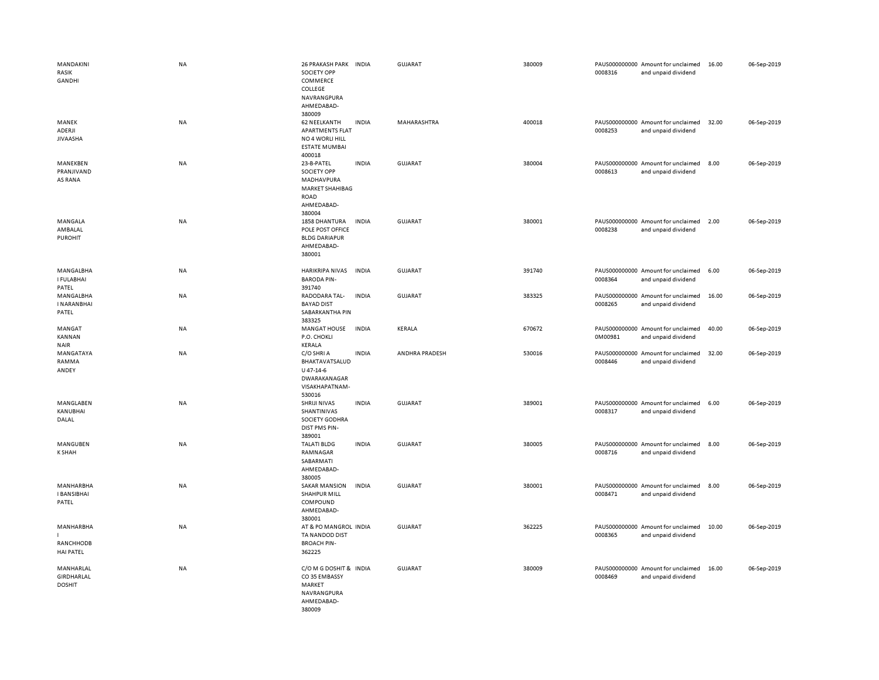| MANDAKINI<br>RASIK<br>GANDHI               | <b>NA</b> | 26 PRAKASH PARK INDIA<br>SOCIETY OPP<br>COMMERCE<br>COLLEGE<br>NAVRANGPURA<br>AHMEDABAD-<br>380009 |              | <b>GUJARAT</b> | 380009 | 0008316 | PAUS000000000 Amount for unclaimed<br>and unpaid dividend | 16.00 | 06-Sep-2019 |
|--------------------------------------------|-----------|----------------------------------------------------------------------------------------------------|--------------|----------------|--------|---------|-----------------------------------------------------------|-------|-------------|
| MANEK<br>ADERJI<br><b>JIVAASHA</b>         | <b>NA</b> | <b>62 NEELKANTH</b><br><b>APARTMENTS FLAT</b><br>NO 4 WORLI HILL<br><b>ESTATE MUMBAI</b><br>400018 | <b>INDIA</b> | MAHARASHTRA    | 400018 | 0008253 | PAUS000000000 Amount for unclaimed<br>and unpaid dividend | 32.00 | 06-Sep-2019 |
| MANEKBEN<br>PRANJIVAND<br>AS RANA          | <b>NA</b> | 23-B-PATEL<br>SOCIETY OPP<br>MADHAVPURA<br>MARKET SHAHIBAG<br><b>ROAD</b><br>AHMEDABAD-<br>380004  | <b>INDIA</b> | GUJARAT        | 380004 | 0008613 | PAUS000000000 Amount for unclaimed<br>and unpaid dividend | 8.00  | 06-Sep-2019 |
| MANGALA<br>AMBALAL<br><b>PUROHIT</b>       | <b>NA</b> | 1858 DHANTURA<br>POLE POST OFFICE<br><b>BLDG DARIAPUR</b><br>AHMEDABAD-<br>380001                  | <b>INDIA</b> | <b>GUJARAT</b> | 380001 | 0008238 | PAUS000000000 Amount for unclaimed<br>and unpaid dividend | 2.00  | 06-Sep-2019 |
| MANGALBHA<br>I FULABHAI<br>PATEL           | NA        | HARIKRIPA NIVAS<br><b>BARODA PIN-</b><br>391740                                                    | <b>INDIA</b> | <b>GUJARAT</b> | 391740 | 0008364 | PAUS000000000 Amount for unclaimed<br>and unpaid dividend | 6.00  | 06-Sep-2019 |
| MANGALBHA<br><b>INARANBHAI</b><br>PATEL    | <b>NA</b> | RADODARA TAL-<br><b>BAYAD DIST</b><br>SABARKANTHA PIN<br>383325                                    | <b>INDIA</b> | <b>GUJARAT</b> | 383325 | 0008265 | PAUS000000000 Amount for unclaimed<br>and unpaid dividend | 16.00 | 06-Sep-2019 |
| MANGAT<br>KANNAN<br><b>NAIR</b>            | <b>NA</b> | <b>MANGAT HOUSE</b><br>P.O. CHOKLI<br>KERALA                                                       | <b>INDIA</b> | KERALA         | 670672 | 0M00981 | PAUS000000000 Amount for unclaimed<br>and unpaid dividend | 40.00 | 06-Sep-2019 |
| MANGATAYA<br>RAMMA<br>ANDEY                | <b>NA</b> | C/O SHRI A<br>BHAKTAVATSALUD<br>$U$ 47-14-6<br>DWARAKANAGAR<br>VISAKHAPATNAM-<br>530016            | <b>INDIA</b> | ANDHRA PRADESH | 530016 | 0008446 | PAUS000000000 Amount for unclaimed<br>and unpaid dividend | 32.00 | 06-Sep-2019 |
| MANGLABEN<br>KANUBHAI<br>DALAL             | <b>NA</b> | SHRIJI NIVAS<br>SHANTINIVAS<br>SOCIETY GODHRA<br>DIST PMS PIN-<br>389001                           | <b>INDIA</b> | GUJARAT        | 389001 | 0008317 | PAUS000000000 Amount for unclaimed<br>and unpaid dividend | 6.00  | 06-Sep-2019 |
| MANGUBEN<br><b>K SHAH</b>                  | <b>NA</b> | <b>TALATI BLDG</b><br>RAMNAGAR<br>SABARMATI<br>AHMEDABAD-<br>380005                                | <b>INDIA</b> | <b>GUJARAT</b> | 380005 | 0008716 | PAUS000000000 Amount for unclaimed<br>and unpaid dividend | 8.00  | 06-Sep-2019 |
| MANHARBHA<br><b>I BANSIBHAI</b><br>PATEL   | <b>NA</b> | <b>SAKAR MANSION</b><br>SHAHPUR MILL<br>COMPOUND<br>AHMEDABAD-<br>380001                           | <b>INDIA</b> | <b>GUJARAT</b> | 380001 | 0008471 | PAUS000000000 Amount for unclaimed<br>and unpaid dividend | 8.00  | 06-Sep-2019 |
| MANHARBHA<br>RANCHHODB<br><b>HAI PATEL</b> | <b>NA</b> | AT & PO MANGROL INDIA<br>TA NANDOD DIST<br><b>BROACH PIN-</b><br>362225                            |              | <b>GUJARAT</b> | 362225 | 0008365 | PAUS000000000 Amount for unclaimed<br>and unpaid dividend | 10.00 | 06-Sep-2019 |
| MANHARLAL<br>GIRDHARLAL<br><b>DOSHIT</b>   | <b>NA</b> | C/O M G DOSHIT & INDIA<br>CO35 EMBASSY<br>MARKET<br>NAVRANGPURA<br>AHMEDABAD-<br>380009            |              | <b>GUJARAT</b> | 380009 | 0008469 | PAUS000000000 Amount for unclaimed<br>and unpaid dividend | 16.00 | 06-Sep-2019 |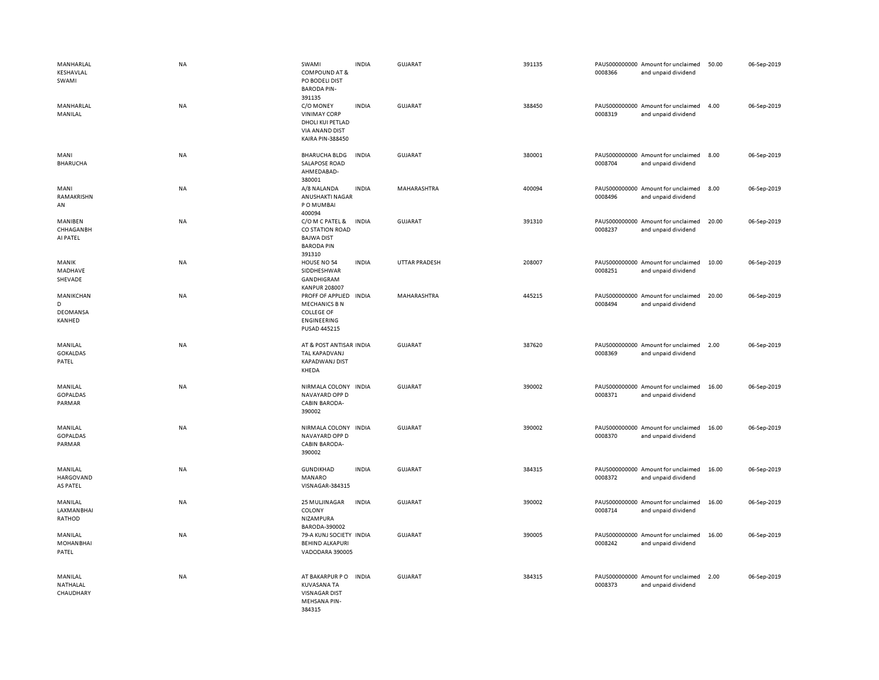| MANHARLAL<br>KESHAVLAL<br>SWAMI<br>MANHARLAL | <b>NA</b><br>NA | SWAMI<br><b>COMPOUND AT &amp;</b><br>PO BODELI DIST<br><b>BARODA PIN-</b><br>391135<br>C/O MONEY         | <b>INDIA</b><br><b>INDIA</b> | <b>GUJARAT</b><br><b>GUJARAT</b> | 391135<br>388450 | 0008366 | PAUS000000000 Amount for unclaimed<br>and unpaid dividend<br>PAUS000000000 Amount for unclaimed | 50.00<br>4.00 | 06-Sep-2019<br>06-Sep-2019 |
|----------------------------------------------|-----------------|----------------------------------------------------------------------------------------------------------|------------------------------|----------------------------------|------------------|---------|-------------------------------------------------------------------------------------------------|---------------|----------------------------|
| MANILAL                                      |                 | <b>VINIMAY CORP</b><br>DHOLI KUI PETLAD<br>VIA ANAND DIST<br>KAIRA PIN-388450                            |                              |                                  |                  | 0008319 | and unpaid dividend                                                                             |               |                            |
| MANI<br><b>BHARUCHA</b>                      | <b>NA</b>       | <b>BHARUCHA BLDG</b><br>SALAPOSE ROAD<br>AHMEDABAD-<br>380001                                            | <b>INDIA</b>                 | <b>GUJARAT</b>                   | 380001           | 0008704 | PAUS000000000 Amount for unclaimed<br>and unpaid dividend                                       | 8.00          | 06-Sep-2019                |
| MANI<br>RAMAKRISHN<br>AN                     | <b>NA</b>       | A/8 NALANDA<br>ANUSHAKTI NAGAR<br>P O MUMBAI<br>400094                                                   | <b>INDIA</b>                 | MAHARASHTRA                      | 400094           | 0008496 | PAUS000000000 Amount for unclaimed<br>and unpaid dividend                                       | 8.00          | 06-Sep-2019                |
| MANIBEN<br>CHHAGANBH<br>AI PATEL             | <b>NA</b>       | C/O M C PATEL &<br>CO STATION ROAD<br><b>BAJWA DIST</b><br><b>BARODA PIN</b><br>391310                   | <b>INDIA</b>                 | <b>GUJARAT</b>                   | 391310           | 0008237 | PAUS000000000 Amount for unclaimed<br>and unpaid dividend                                       | 20.00         | 06-Sep-2019                |
| MANIK<br>MADHAVE<br>SHEVADE                  | NA              | HOUSE NO 54<br>SIDDHESHWAR<br>GANDHIGRAM<br><b>KANPUR 208007</b>                                         | <b>INDIA</b>                 | UTTAR PRADESH                    | 208007           | 0008251 | PAUS000000000 Amount for unclaimed<br>and unpaid dividend                                       | 10.00         | 06-Sep-2019                |
| MANIKCHAN<br>D<br>DEOMANSA<br>KANHED         | <b>NA</b>       | PROFF OF APPLIED INDIA<br><b>MECHANICS BN</b><br><b>COLLEGE OF</b><br><b>ENGINEERING</b><br>PUSAD 445215 |                              | MAHARASHTRA                      | 445215           | 0008494 | PAUS000000000 Amount for unclaimed<br>and unpaid dividend                                       | 20.00         | 06-Sep-2019                |
| MANILAL<br><b>GOKALDAS</b><br>PATEL          | <b>NA</b>       | AT & POST ANTISAR INDIA<br>TAL KAPADVANJ<br><b>KAPADWANJ DIST</b><br>KHEDA                               |                              | <b>GUJARAT</b>                   | 387620           | 0008369 | PAUS000000000 Amount for unclaimed<br>and unpaid dividend                                       | 2.00          | 06-Sep-2019                |
| MANILAL<br><b>GOPALDAS</b><br>PARMAR         | <b>NA</b>       | NIRMALA COLONY INDIA<br>NAVAYARD OPP D<br><b>CABIN BARODA-</b><br>390002                                 |                              | <b>GUJARAT</b>                   | 390002           | 0008371 | PAUS000000000 Amount for unclaimed<br>and unpaid dividend                                       | 16.00         | 06-Sep-2019                |
| MANILAL<br><b>GOPALDAS</b><br>PARMAR         | NA              | NIRMALA COLONY INDIA<br>NAVAYARD OPP D<br>CABIN BARODA-<br>390002                                        |                              | <b>GUJARAT</b>                   | 390002           | 0008370 | PAUS000000000 Amount for unclaimed<br>and unpaid dividend                                       | 16.00         | 06-Sep-2019                |
| MANILAL<br>HARGOVAND<br>AS PATEL             | NA              | <b>GUNDIKHAD</b><br>MANARO<br>VISNAGAR-384315                                                            | <b>INDIA</b>                 | <b>GUJARAT</b>                   | 384315           | 0008372 | PAUS000000000 Amount for unclaimed<br>and unpaid dividend                                       | 16.00         | 06-Sep-2019                |
| MANILAL<br>LAXMANBHAI<br>RATHOD              | <b>NA</b>       | 25 MULJINAGAR<br>COLONY<br>NIZAMPURA<br>BARODA-390002                                                    | <b>INDIA</b>                 | <b>GUJARAT</b>                   | 390002           | 0008714 | PAUS000000000 Amount for unclaimed<br>and unpaid dividend                                       | 16.00         | 06-Sep-2019                |
| MANILAL<br><b>MOHANBHAI</b><br>PATEL         | NA              | 79-A KUNJ SOCIETY INDIA<br><b>BEHIND ALKAPURI</b><br>VADODARA 390005                                     |                              | <b>GUJARAT</b>                   | 390005           | 0008242 | PAUS000000000 Amount for unclaimed<br>and unpaid dividend                                       | 16.00         | 06-Sep-2019                |
| MANILAL<br>NATHALAL<br>CHAUDHARY             | NA              | AT BAKARPUR PO INDIA<br><b>KUVASANA TA</b><br><b>VISNAGAR DIST</b><br><b>MEHSANA PIN-</b><br>384315      |                              | <b>GUJARAT</b>                   | 384315           | 0008373 | PAUS000000000 Amount for unclaimed<br>and unpaid dividend                                       | 2.00          | 06-Sep-2019                |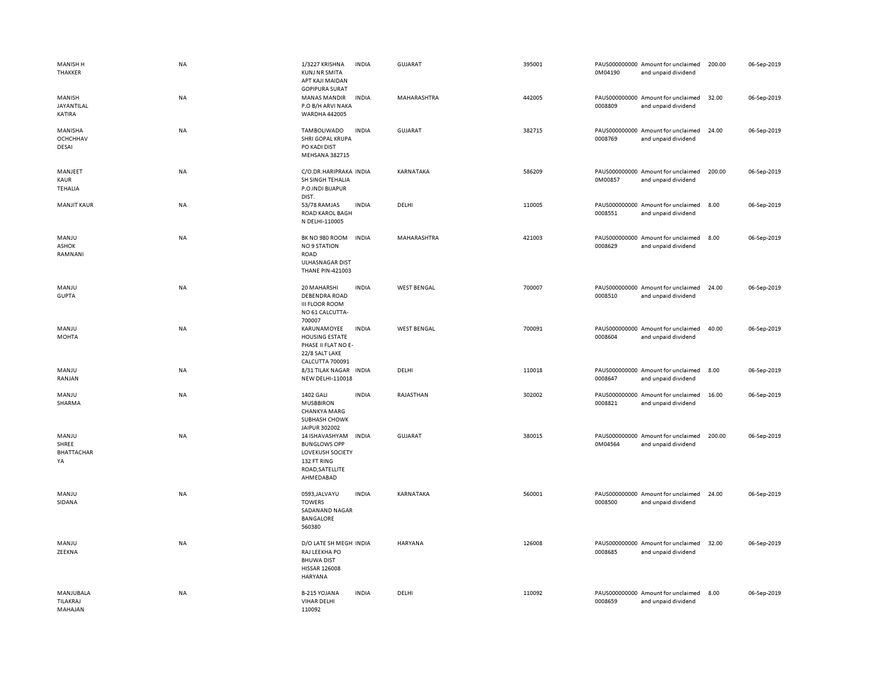| <b>MANISH H</b><br>THAKKER          | NA        | 1/3227 KRISHNA<br><b>KUNJ NR SMITA</b><br>APT KAJI MAIDAN<br><b>GOPIPURA SURAT</b>                       | <b>INDIA</b> | <b>GUJARAT</b>     | 395001 | 0M04190 | PAUS000000000 Amount for unclaimed<br>and unpaid dividend | 200.00 | 06-Sep-2019 |
|-------------------------------------|-----------|----------------------------------------------------------------------------------------------------------|--------------|--------------------|--------|---------|-----------------------------------------------------------|--------|-------------|
| MANISH<br>JAYANTILAL<br>KATIRA      | NA        | <b>MANAS MANDIR</b><br>P.O B/H ARVI NAKA<br>WARDHA 442005                                                | <b>INDIA</b> | MAHARASHTRA        | 442005 | 0008809 | PAUS000000000 Amount for unclaimed<br>and unpaid dividend | 32.00  | 06-Sep-2019 |
| MANISHA<br><b>OCHCHHAV</b><br>DESAI | NA        | TAMBOLIWADO<br>SHRI GOPAL KRUPA<br>PO KADI DIST<br>MEHSANA 382715                                        | <b>INDIA</b> | GUJARAT            | 382715 | 0008769 | PAUS000000000 Amount for unclaimed<br>and unpaid dividend | 24.00  | 06-Sep-2019 |
| MANJEET<br>KAUR<br><b>TEHALIA</b>   | NA        | C/O.DR.HARIPRAKA INDIA<br>SH SINGH TEHALIA<br>P.O.INDI BIJAPUR<br>DIST.                                  |              | KARNATAKA          | 586209 | 0M00857 | PAUS000000000 Amount for unclaimed<br>and unpaid dividend | 200.00 | 06-Sep-2019 |
| <b>MANJIT KAUR</b>                  | NA        | 53/78 RAMJAS<br><b>ROAD KAROL BAGH</b><br>N DELHI-110005                                                 | <b>INDIA</b> | DELHI              | 110005 | 0008551 | PAUS000000000 Amount for unclaimed<br>and unpaid dividend | 8.00   | 06-Sep-2019 |
| MANJU<br>ASHOK<br>RAMNANI           | NA        | BK NO 980 ROOM<br><b>NO 9 STATION</b><br>ROAD<br>ULHASNAGAR DIST<br><b>THANE PIN-421003</b>              | <b>INDIA</b> | MAHARASHTRA        | 421003 | 0008629 | PAUS000000000 Amount for unclaimed<br>and unpaid dividend | 8.00   | 06-Sep-2019 |
| MANJU<br><b>GUPTA</b>               | NA        | 20 MAHARSHI<br><b>DEBENDRA ROAD</b><br><b>III FLOOR ROOM</b><br>NO 61 CALCUTTA-<br>700007                | <b>INDIA</b> | <b>WEST BENGAL</b> | 700007 | 0008510 | PAUS000000000 Amount for unclaimed<br>and unpaid dividend | 24.00  | 06-Sep-2019 |
| MANJU<br><b>MOHTA</b>               | <b>NA</b> | KARUNAMOYEE<br><b>HOUSING ESTATE</b><br>PHASE II FLAT NO E-<br>22/8 SALT LAKE<br>CALCUTTA 700091         | <b>INDIA</b> | <b>WEST BENGAL</b> | 700091 | 0008604 | PAUS000000000 Amount for unclaimed<br>and unpaid dividend | 40.00  | 06-Sep-2019 |
| MANJU<br>RANJAN                     | NA        | 8/31 TILAK NAGAR<br>NEW DELHI-110018                                                                     | <b>INDIA</b> | DELHI              | 110018 | 0008647 | PAUS000000000 Amount for unclaimed<br>and unpaid dividend | 8.00   | 06-Sep-2019 |
| MANJU<br>SHARMA                     | NA        | <b>1402 GALI</b><br><b>MUSBBIRON</b><br><b>CHANKYA MARG</b><br>SUBHASH CHOWK<br>JAIPUR 302002            | <b>INDIA</b> | RAJASTHAN          | 302002 | 0008821 | PAUS000000000 Amount for unclaimed<br>and unpaid dividend | 16.00  | 06-Sep-2019 |
| MANJU<br>SHREE<br>BHATTACHAR<br>YA  | NA        | 14 ISHAVASHYAM<br><b>BUNGLOWS OPP</b><br>LOVEKUSH SOCIETY<br>132 FT RING<br>ROAD, SATELLITE<br>AHMEDABAD | <b>INDIA</b> | <b>GUJARAT</b>     | 380015 | 0M04564 | PAUS000000000 Amount for unclaimed<br>and unpaid dividend | 200.00 | 06-Sep-2019 |
| MANJU<br>SIDANA                     | <b>NA</b> | 0593, JALVAYU<br><b>TOWERS</b><br>SADANAND NAGAR<br>BANGALORE<br>560380                                  | <b>INDIA</b> | KARNATAKA          | 560001 | 0008500 | PAUS000000000 Amount for unclaimed<br>and unpaid dividend | 24.00  | 06-Sep-2019 |
| MANJU<br>ZEEKNA                     | <b>NA</b> | D/O LATE SH MEGH INDIA<br>RAJ LEEKHA PO<br><b>BHUWA DIST</b><br><b>HISSAR 126008</b><br>HARYANA          |              | <b>HARYANA</b>     | 126008 | 0008685 | PAUS000000000 Amount for unclaimed<br>and unpaid dividend | 32.00  | 06-Sep-2019 |
| MANJUBALA<br>TILAKRAJ<br>MAHAJAN    | NA        | B-215 YOJANA<br><b>VIHAR DELHI</b><br>110092                                                             | <b>INDIA</b> | DELHI              | 110092 | 0008659 | PAUS000000000 Amount for unclaimed<br>and unpaid dividend | 8.00   | 06-Sep-2019 |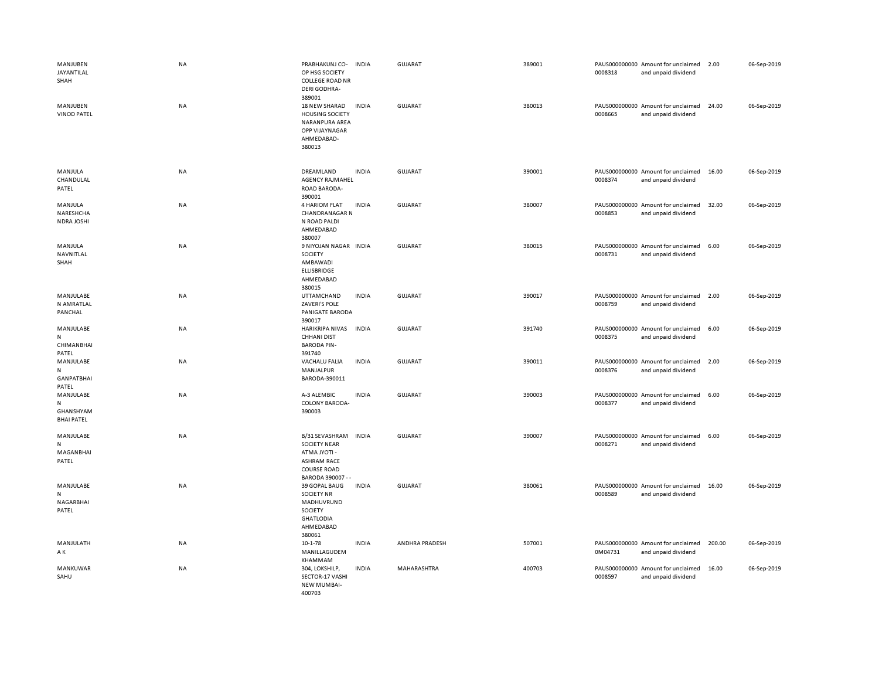| MANJUBEN<br>JAYANTILAL<br>SHAH<br>MANJUBEN           | <b>NA</b><br>NA | PRABHAKUNJ CO-<br>OP HSG SOCIETY<br><b>COLLEGE ROAD NR</b><br>DERI GODHRA-<br>389001<br>18 NEW SHARAD                       | <b>INDIA</b><br><b>INDIA</b> | <b>GUJARAT</b><br><b>GUJARAT</b> | 389001<br>380013 | 0008318 | PAUS000000000 Amount for unclaimed<br>and unpaid dividend<br>PAUS000000000 Amount for unclaimed | 2.00<br>24.00 | 06-Sep-2019<br>06-Sep-2019 |
|------------------------------------------------------|-----------------|-----------------------------------------------------------------------------------------------------------------------------|------------------------------|----------------------------------|------------------|---------|-------------------------------------------------------------------------------------------------|---------------|----------------------------|
| <b>VINOD PATEL</b>                                   |                 | <b>HOUSING SOCIETY</b><br>NARANPURA AREA<br>OPP VIJAYNAGAR<br>AHMEDABAD-<br>380013                                          |                              |                                  |                  | 0008665 | and unpaid dividend                                                                             |               |                            |
| MANJULA<br>CHANDULAL<br>PATEL                        | <b>NA</b>       | DREAMLAND<br><b>AGENCY RAJMAHEL</b><br>ROAD BARODA-<br>390001                                                               | <b>INDIA</b>                 | GUJARAT                          | 390001           | 0008374 | PAUS000000000 Amount for unclaimed<br>and unpaid dividend                                       | 16.00         | 06-Sep-2019                |
| MANJULA<br>NARESHCHA<br><b>NDRA JOSHI</b>            | NA              | 4 HARIOM FLAT<br><b>CHANDRANAGAR N</b><br>N ROAD PALDI<br>AHMEDABAD<br>380007                                               | <b>INDIA</b>                 | <b>GUJARAT</b>                   | 380007           | 0008853 | PAUS000000000 Amount for unclaimed<br>and unpaid dividend                                       | 32.00         | 06-Sep-2019                |
| MANJULA<br>NAVNITLAL<br>SHAH                         | NA              | 9 NIYOJAN NAGAR INDIA<br>SOCIETY<br>AMBAWADI<br><b>ELLISBRIDGE</b><br>AHMEDABAD<br>380015                                   |                              | <b>GUJARAT</b>                   | 380015           | 0008731 | PAUS000000000 Amount for unclaimed<br>and unpaid dividend                                       | 6.00          | 06-Sep-2019                |
| MANJULABE<br>N AMRATLAL<br>PANCHAL                   | NA              | UTTAMCHAND<br><b>ZAVERI'S POLE</b><br>PANIGATE BARODA<br>390017                                                             | <b>INDIA</b>                 | <b>GUJARAT</b>                   | 390017           | 0008759 | PAUS000000000 Amount for unclaimed<br>and unpaid dividend                                       | 2.00          | 06-Sep-2019                |
| MANJULABE<br>${\sf N}$<br><b>CHIMANBHAI</b><br>PATEL | NA              | HARIKRIPA NIVAS<br><b>CHHANI DIST</b><br><b>BARODA PIN-</b><br>391740                                                       | <b>INDIA</b>                 | <b>GUJARAT</b>                   | 391740           | 0008375 | PAUS000000000 Amount for unclaimed<br>and unpaid dividend                                       | 6.00          | 06-Sep-2019                |
| MANJULABE<br>N<br><b>GANPATBHAI</b><br>PATEL         | NA              | <b>VACHALU FALIA</b><br>MANJALPUR<br>BARODA-390011                                                                          | <b>INDIA</b>                 | <b>GUJARAT</b>                   | 390011           | 0008376 | PAUS000000000 Amount for unclaimed<br>and unpaid dividend                                       | 2.00          | 06-Sep-2019                |
| MANJULABE<br>N<br>GHANSHYAM<br><b>BHAI PATEL</b>     | NA              | A-3 ALEMBIC<br>COLONY BARODA-<br>390003                                                                                     | <b>INDIA</b>                 | GUJARAT                          | 390003           | 0008377 | PAUS000000000 Amount for unclaimed<br>and unpaid dividend                                       | 6.00          | 06-Sep-2019                |
| MANJULABE<br>N<br>MAGANBHAI<br>PATEL                 | NA              | B/31 SEVASHRAM INDIA<br><b>SOCIETY NEAR</b><br>- ITOYL ATM<br><b>ASHRAM RACE</b><br><b>COURSE ROAD</b><br>BARODA 390007 - - |                              | <b>GUJARAT</b>                   | 390007           | 0008271 | PAUS000000000 Amount for unclaimed<br>and unpaid dividend                                       | 6.00          | 06-Sep-2019                |
| MANJULABE<br>${\sf N}$<br>NAGARBHAI<br>PATEL         | NA              | 39 GOPAL BAUG<br><b>SOCIETY NR</b><br>MADHUVRUND<br>SOCIETY<br><b>GHATLODIA</b><br>AHMEDABAD<br>380061                      | <b>INDIA</b>                 | <b>GUJARAT</b>                   | 380061           | 0008589 | PAUS000000000 Amount for unclaimed<br>and unpaid dividend                                       | 16.00         | 06-Sep-2019                |
| MANJULATH<br>AΚ                                      | NA              | $10 - 1 - 78$<br>MANILLAGUDEM<br>KHAMMAM                                                                                    | <b>INDIA</b>                 | ANDHRA PRADESH                   | 507001           | 0M04731 | PAUS000000000 Amount for unclaimed<br>and unpaid dividend                                       | 200.00        | 06-Sep-2019                |
| MANKUWAR<br>SAHU                                     | NA              | 304, LOKSHILP,<br>SECTOR-17 VASHI<br><b>NEW MUMBAI-</b><br>400703                                                           | <b>INDIA</b>                 | MAHARASHTRA                      | 400703           | 0008597 | PAUS000000000 Amount for unclaimed<br>and unpaid dividend                                       | 16.00         | 06-Sep-2019                |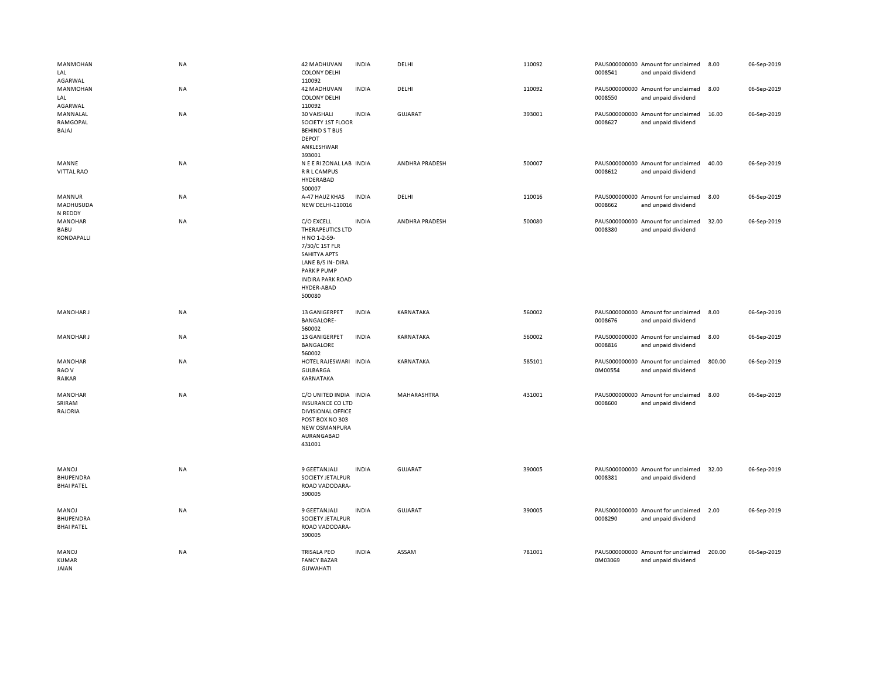| MANMOHAN<br>LAL<br>AGARWAL                     | <b>NA</b> | 42 MADHUVAN<br><b>COLONY DELHI</b><br>110092                                                                                                                                         | <b>INDIA</b> | DELHI          | 110092 | 0008541 | PAUS000000000 Amount for unclaimed<br>and unpaid dividend | 8.00   | 06-Sep-2019 |
|------------------------------------------------|-----------|--------------------------------------------------------------------------------------------------------------------------------------------------------------------------------------|--------------|----------------|--------|---------|-----------------------------------------------------------|--------|-------------|
| MANMOHAN<br>LAL<br>AGARWAL                     | NA        | 42 MADHUVAN<br><b>COLONY DELHI</b><br>110092                                                                                                                                         | <b>INDIA</b> | DELHI          | 110092 | 0008550 | PAUS000000000 Amount for unclaimed<br>and unpaid dividend | 8.00   | 06-Sep-2019 |
| MANNALAL<br>RAMGOPAL<br>BAJAJ                  | NA        | 30 VAISHALI<br>SOCIETY 1ST FLOOR<br><b>BEHINDST BUS</b><br><b>DEPOT</b><br>ANKLESHWAR<br>393001                                                                                      | <b>INDIA</b> | <b>GUJARAT</b> | 393001 | 0008627 | PAUS000000000 Amount for unclaimed<br>and unpaid dividend | 16.00  | 06-Sep-2019 |
| MANNE<br><b>VITTAL RAO</b>                     | NA        | N E E RI ZONAL LAB INDIA<br>R R L CAMPUS<br>HYDERABAD<br>500007                                                                                                                      |              | ANDHRA PRADESH | 500007 | 0008612 | PAUS000000000 Amount for unclaimed<br>and unpaid dividend | 40.00  | 06-Sep-2019 |
| MANNUR<br>MADHUSUDA<br>N REDDY                 | NA        | A-47 HAUZ KHAS<br><b>NEW DELHI-110016</b>                                                                                                                                            | <b>INDIA</b> | DELHI          | 110016 | 0008662 | PAUS000000000 Amount for unclaimed<br>and unpaid dividend | 8.00   | 06-Sep-2019 |
| MANOHAR<br>BABU<br><b>KONDAPALLI</b>           | NA        | C/O EXCELL<br>THERAPEUTICS LTD<br>H NO 1-2-59-<br>7/30/C 1ST FLR<br><b>SAHITYA APTS</b><br>LANE B/S IN-DIRA<br><b>PARK P PUMP</b><br><b>INDIRA PARK ROAD</b><br>HYDER-ABAD<br>500080 | <b>INDIA</b> | ANDHRA PRADESH | 500080 | 0008380 | PAUS000000000 Amount for unclaimed<br>and unpaid dividend | 32.00  | 06-Sep-2019 |
| <b>MANOHARJ</b>                                | NA        | 13 GANIGERPET<br><b>BANGALORE-</b><br>560002                                                                                                                                         | <b>INDIA</b> | KARNATAKA      | 560002 | 0008676 | PAUS000000000 Amount for unclaimed<br>and unpaid dividend | 8.00   | 06-Sep-2019 |
| <b>MANOHARJ</b>                                | NA        | 13 GANIGERPET<br><b>BANGALORE</b><br>560002                                                                                                                                          | <b>INDIA</b> | KARNATAKA      | 560002 | 0008816 | PAUS000000000 Amount for unclaimed<br>and unpaid dividend | 8.00   | 06-Sep-2019 |
| <b>MANOHAR</b><br>RAO V<br>RAIKAR              | NA        | HOTEL RAJESWARI INDIA<br><b>GULBARGA</b><br>KARNATAKA                                                                                                                                |              | KARNATAKA      | 585101 | 0M00554 | PAUS000000000 Amount for unclaimed<br>and unpaid dividend | 800.00 | 06-Sep-2019 |
| MANOHAR<br>SRIRAM<br>RAJORIA                   | <b>NA</b> | C/O UNITED INDIA INDIA<br><b>INSURANCE CO LTD</b><br><b>DIVISIONAL OFFICE</b><br>POST BOX NO 303<br>NEW OSMANPURA<br>AURANGABAD<br>431001                                            |              | MAHARASHTRA    | 431001 | 0008600 | PAUS000000000 Amount for unclaimed<br>and unpaid dividend | 8.00   | 06-Sep-2019 |
| MANOJ<br>BHUPENDRA<br><b>BHAI PATEL</b>        | NA        | 9 GEETANJALI<br>SOCIETY JETALPUR<br>ROAD VADODARA-<br>390005                                                                                                                         | <b>INDIA</b> | <b>GUJARAT</b> | 390005 | 0008381 | PAUS000000000 Amount for unclaimed<br>and unpaid dividend | 32.00  | 06-Sep-2019 |
| MANOJ<br><b>BHUPENDRA</b><br><b>BHAI PATEL</b> | NA        | 9 GEETANJALI<br>SOCIETY JETALPUR<br>ROAD VADODARA-<br>390005                                                                                                                         | <b>INDIA</b> | GUJARAT        | 390005 | 0008290 | PAUS000000000 Amount for unclaimed<br>and unpaid dividend | 2.00   | 06-Sep-2019 |
| MANOJ<br>KUMAR<br>JAIAN                        | NA        | <b>TRISALA PEO</b><br><b>FANCY BAZAR</b><br><b>GUWAHATI</b>                                                                                                                          | <b>INDIA</b> | ASSAM          | 781001 | 0M03069 | PAUS000000000 Amount for unclaimed<br>and unpaid dividend | 200.00 | 06-Sep-2019 |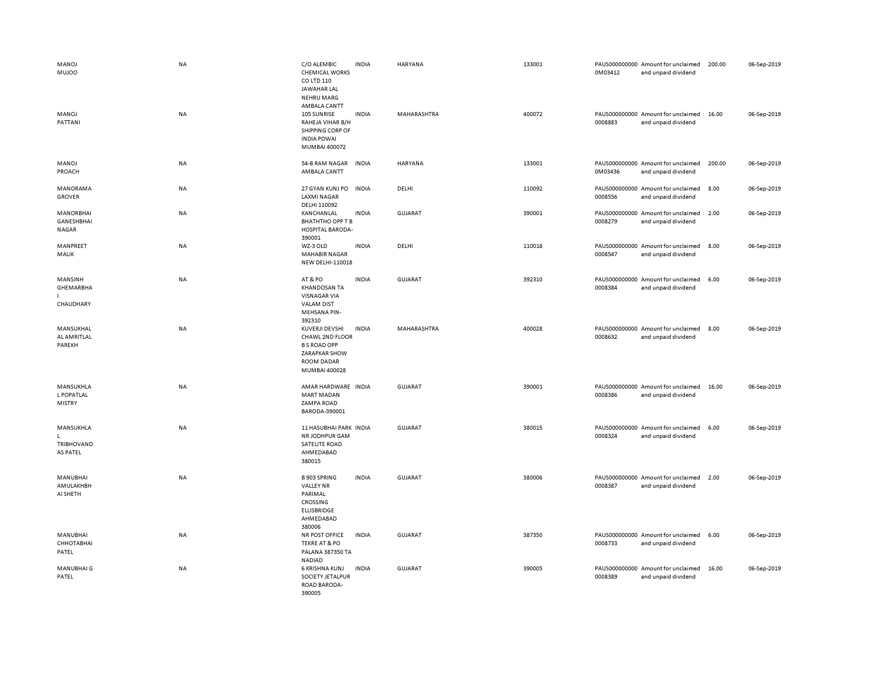| MANOJ<br><b>MUJOO</b><br>MANOJ<br>PATTANI | <b>NA</b><br>NA | C/O ALEMBIC<br><b>CHEMICAL WORKS</b><br>CO LTD 110<br>JAWAHAR LAL<br><b>NEHRU MARG</b><br>AMBALA CANTT<br>105 SUNRISE<br>RAHEJA VIHAR B/H<br>SHIPPING CORP OF<br><b>INDIA POWAI</b><br>MUMBAI 400072 | <b>INDIA</b><br><b>INDIA</b> | HARYANA<br>MAHARASHTRA | 133001<br>400072 | 0M03412<br>0008883 | PAUS000000000 Amount for unclaimed<br>and unpaid dividend<br>PAUS000000000 Amount for unclaimed<br>and unpaid dividend | 200.00<br>16.00 | 06-Sep-2019<br>06-Sep-2019 |
|-------------------------------------------|-----------------|------------------------------------------------------------------------------------------------------------------------------------------------------------------------------------------------------|------------------------------|------------------------|------------------|--------------------|------------------------------------------------------------------------------------------------------------------------|-----------------|----------------------------|
| MANOJ<br>PROACH                           | NA              | 54-B RAM NAGAR<br>AMBALA CANTT                                                                                                                                                                       | <b>INDIA</b>                 | <b>HARYANA</b>         | 133001           | 0M03436            | PAUS000000000 Amount for unclaimed<br>and unpaid dividend                                                              | 200.00          | 06-Sep-2019                |
| <b>MANORAMA</b><br><b>GROVER</b>          | NA              | 27 GYAN KUNJ PO<br><b>LAXMI NAGAR</b><br>DELHI 110092                                                                                                                                                | <b>INDIA</b>                 | DELHI                  | 110092           | 0008556            | PAUS000000000 Amount for unclaimed<br>and unpaid dividend                                                              | 8.00            | 06-Sep-2019                |
| MANORBHAI<br>GANESHBHAI<br><b>NAGAR</b>   | NA              | KANCHANLAL<br><b>BHATHTHO OPP T B</b><br>HOSPITAL BARODA-<br>390001                                                                                                                                  | <b>INDIA</b>                 | <b>GUJARAT</b>         | 390001           | 0008279            | PAUS000000000 Amount for unclaimed<br>and unpaid dividend                                                              | 2.00            | 06-Sep-2019                |
| MANPREET<br>MALIK                         | NA              | WZ-3 OLD<br><b>MAHABIR NAGAR</b><br>NEW DELHI-110018                                                                                                                                                 | <b>INDIA</b>                 | DELHI                  | 110018           | 0008547            | PAUS000000000 Amount for unclaimed<br>and unpaid dividend                                                              | 8.00            | 06-Sep-2019                |
| MANSINH<br>GHEMARBHA<br>CHAUDHARY         | NA              | AT&PO<br><b>KHANDOSAN TA</b><br><b>VISNAGAR VIA</b><br><b>VALAM DIST</b><br><b>MEHSANA PIN-</b><br>392310                                                                                            | <b>INDIA</b>                 | GUJARAT                | 392310           | 0008384            | PAUS000000000 Amount for unclaimed<br>and unpaid dividend                                                              | 6.00            | 06-Sep-2019                |
| MANSUKHAL<br>AL AMRITLAL<br>PAREKH        | NA              | KUVERJI DEVSHI<br>CHAWL 2ND FLOOR<br><b>B S ROAD OPP</b><br>ZARAPKAR SHOW<br>ROOM DADAR<br>MUMBAI 400028                                                                                             | <b>INDIA</b>                 | MAHARASHTRA            | 400028           | 0008632            | PAUS000000000 Amount for unclaimed<br>and unpaid dividend                                                              | 8.00            | 06-Sep-2019                |
| MANSUKHLA<br>L POPATLAL<br><b>MISTRY</b>  | NA              | AMAR HARDWARE INDIA<br><b>MART MADAN</b><br><b>ZAMPA ROAD</b><br>BARODA-390001                                                                                                                       |                              | GUJARAT                | 390001           | 0008386            | PAUS000000000 Amount for unclaimed<br>and unpaid dividend                                                              | 16.00           | 06-Sep-2019                |
| MANSUKHLA<br>L.<br>TRIBHOVAND<br>AS PATEL | NA              | 11 HASUBHAI PARK INDIA<br>NR JODHPUR GAM<br><b>SATELITE ROAD</b><br>AHMEDABAD<br>380015                                                                                                              |                              | <b>GUJARAT</b>         | 380015           | 0008324            | PAUS000000000 Amount for unclaimed<br>and unpaid dividend                                                              | 6.00            | 06-Sep-2019                |
| <b>MANUBHAI</b><br>AMULAKHBH<br>AI SHETH  | NA              | <b>B 903 SPRING</b><br><b>VALLEY NR</b><br>PARIMAL<br>CROSSING<br><b>ELLISBRIDGE</b><br>AHMEDABAD<br>380006                                                                                          | <b>INDIA</b>                 | <b>GUJARAT</b>         | 380006           | 0008387            | PAUS000000000 Amount for unclaimed<br>and unpaid dividend                                                              | 2.00            | 06-Sep-2019                |
| MANUBHAI<br>СННОТАВНАІ<br>PATEL           | NA              | NR POST OFFICE<br><b>TEKRE AT &amp; PO</b><br>PALANA 387350 TA<br>NADIAD                                                                                                                             | <b>INDIA</b>                 | <b>GUJARAT</b>         | 387350           | 0008733            | PAUS000000000 Amount for unclaimed<br>and unpaid dividend                                                              | 6.00            | 06-Sep-2019                |
| MANUBHAI G<br>PATEL                       | <b>NA</b>       | 6 KRISHNA KUNJ<br>SOCIETY JETALPUR<br>ROAD BARODA-<br>390005                                                                                                                                         | <b>INDIA</b>                 | <b>GUJARAT</b>         | 390005           | 0008389            | PAUS000000000 Amount for unclaimed<br>and unpaid dividend                                                              | 16.00           | 06-Sep-2019                |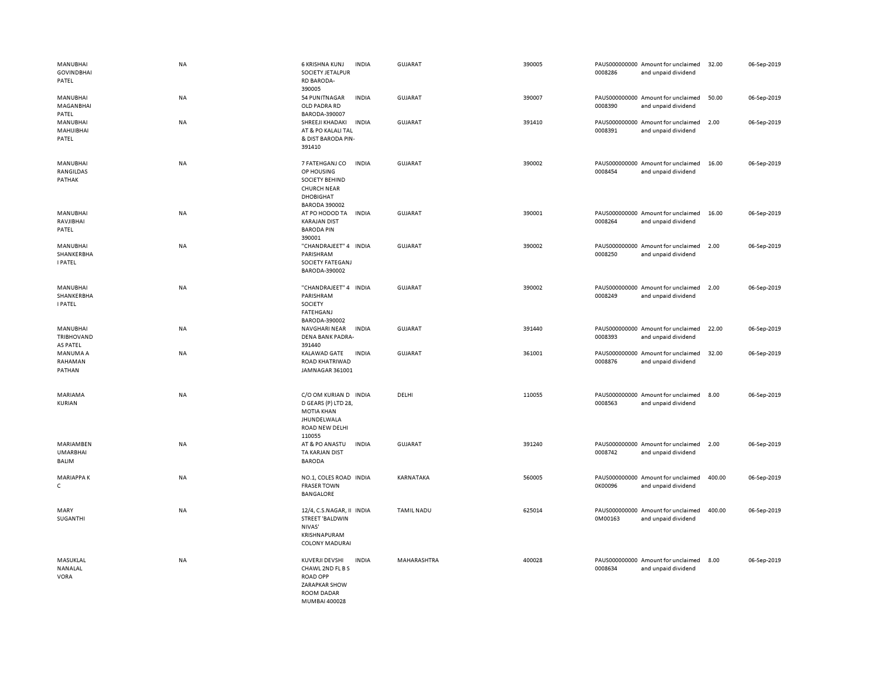| MANUBHAI<br><b>GOVINDBHAI</b><br>PATEL       | <b>NA</b> | 6 KRISHNA KUNJ<br><b>INDIA</b><br>SOCIETY JETALPUR<br><b>RD BARODA-</b><br>390005                                                | <b>GUJARAT</b>    | 390005 | 0008286 | PAUS000000000 Amount for unclaimed<br>and unpaid dividend | 32.00  | 06-Sep-2019 |
|----------------------------------------------|-----------|----------------------------------------------------------------------------------------------------------------------------------|-------------------|--------|---------|-----------------------------------------------------------|--------|-------------|
| MANUBHAI<br>MAGANBHAI<br>PATEL               | <b>NA</b> | 54 PUNITNAGAR<br><b>INDIA</b><br>OLD PADRA RD<br>BARODA-390007                                                                   | <b>GUJARAT</b>    | 390007 | 0008390 | PAUS000000000 Amount for unclaimed<br>and unpaid dividend | 50.00  | 06-Sep-2019 |
| MANUBHAI<br>MAHIJIBHAI<br>PATEL              | <b>NA</b> | <b>INDIA</b><br>SHREEJI KHADAKI<br>AT & PO KALALI TAL<br>& DIST BARODA PIN-<br>391410                                            | <b>GUJARAT</b>    | 391410 | 0008391 | PAUS000000000 Amount for unclaimed<br>and unpaid dividend | 2.00   | 06-Sep-2019 |
| MANUBHAI<br>RANGILDAS<br>PATHAK              | <b>NA</b> | 7 FATEHGANJ CO<br><b>INDIA</b><br>OP HOUSING<br>SOCIETY BEHIND<br><b>CHURCH NEAR</b><br><b>DHOBIGHAT</b><br><b>BARODA 390002</b> | <b>GUJARAT</b>    | 390002 | 0008454 | PAUS000000000 Amount for unclaimed<br>and unpaid dividend | 16.00  | 06-Sep-2019 |
| MANUBHAI<br>RAVJIBHAI<br>PATEL               | <b>NA</b> | AT PO HODOD TA<br><b>INDIA</b><br><b>KARAJAN DIST</b><br><b>BARODA PIN</b><br>390001                                             | <b>GUJARAT</b>    | 390001 | 0008264 | PAUS000000000 Amount for unclaimed<br>and unpaid dividend | 16.00  | 06-Sep-2019 |
| MANUBHAI<br>SHANKERBHA<br><b>I PATEL</b>     | <b>NA</b> | "CHANDRAJEET" 4 INDIA<br>PARISHRAM<br>SOCIETY FATEGANJ<br>BARODA-390002                                                          | <b>GUJARAT</b>    | 390002 | 0008250 | PAUS000000000 Amount for unclaimed<br>and unpaid dividend | 2.00   | 06-Sep-2019 |
| MANUBHAI<br>SHANKERBHA<br><b>I PATEL</b>     | <b>NA</b> | "CHANDRAJEET" 4 INDIA<br>PARISHRAM<br>SOCIETY<br>FATEHGANJ<br>BARODA-390002                                                      | <b>GUJARAT</b>    | 390002 | 0008249 | PAUS000000000 Amount for unclaimed<br>and unpaid dividend | 2.00   | 06-Sep-2019 |
| MANUBHAI<br><b>TRIBHOVAND</b><br>AS PATEL    | NA        | <b>INDIA</b><br>NAVGHARI NEAR<br><b>DENA BANK PADRA-</b><br>391440                                                               | <b>GUJARAT</b>    | 391440 | 0008393 | PAUS000000000 Amount for unclaimed<br>and unpaid dividend | 22.00  | 06-Sep-2019 |
| MANUMA A<br>RAHAMAN<br>PATHAN                | <b>NA</b> | KALAWAD GATE<br><b>INDIA</b><br>ROAD KHATRIWAD<br>JAMNAGAR 361001                                                                | <b>GUJARAT</b>    | 361001 | 0008876 | PAUS000000000 Amount for unclaimed<br>and unpaid dividend | 32.00  | 06-Sep-2019 |
| MARIAMA<br>KURIAN                            | NA        | C/O OM KURIAN D INDIA<br>D GEARS (P) LTD 28,<br><b>MOTIA KHAN</b><br>JHUNDELWALA<br>ROAD NEW DELHI<br>110055                     | DELHI             | 110055 | 0008563 | PAUS000000000 Amount for unclaimed<br>and unpaid dividend | 8.00   | 06-Sep-2019 |
| MARIAMBEN<br><b>UMARBHAI</b><br><b>BALIM</b> | NA        | AT & PO ANASTU<br><b>INDIA</b><br>TA KARJAN DIST<br><b>BARODA</b>                                                                | <b>GUJARAT</b>    | 391240 | 0008742 | PAUS000000000 Amount for unclaimed<br>and unpaid dividend | 2.00   | 06-Sep-2019 |
| MARIAPPA K<br>$\mathsf{C}$                   | <b>NA</b> | NO.1, COLES ROAD INDIA<br><b>FRASER TOWN</b><br>BANGALORE                                                                        | KARNATAKA         | 560005 | 0K00096 | PAUS000000000 Amount for unclaimed<br>and unpaid dividend | 400.00 | 06-Sep-2019 |
| MARY<br>SUGANTHI                             | <b>NA</b> | 12/4, C.S.NAGAR, II INDIA<br><b>STREET 'BALDWIN</b><br>NIVAS'<br>KRISHNAPURAM<br><b>COLONY MADURAI</b>                           | <b>TAMIL NADU</b> | 625014 | 0M00163 | PAUS000000000 Amount for unclaimed<br>and unpaid dividend | 400.00 | 06-Sep-2019 |
| MASUKLAL<br>NANALAL<br>VORA                  | NA        | <b>INDIA</b><br><b>KUVERJI DEVSHI</b><br>CHAWL 2ND FL B S<br><b>ROAD OPP</b><br>ZARAPKAR SHOW<br>ROOM DADAR<br>MUMBAI 400028     | MAHARASHTRA       | 400028 | 0008634 | PAUS000000000 Amount for unclaimed<br>and unpaid dividend | 8.00   | 06-Sep-2019 |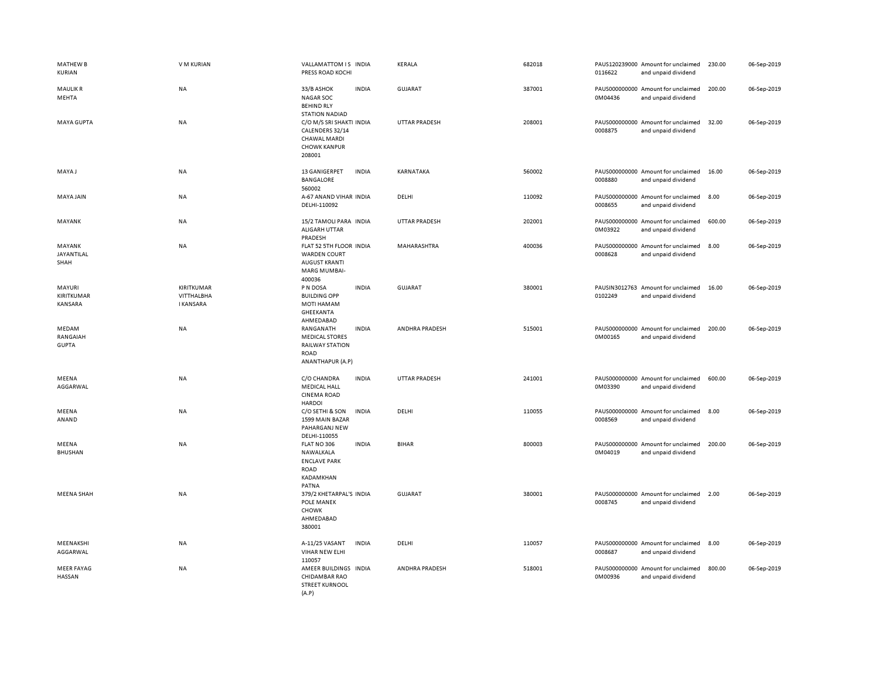| <b>MATHEW B</b><br>KURIAN         | V M KURIAN                                   | VALLAMATTOM IS INDIA<br>PRESS ROAD KOCHI                                                                 | <b>KERALA</b>        | 682018 | PAUS120239000 Amount for unclaimed<br>0116622<br>and unpaid dividend | 230.00 | 06-Sep-2019 |
|-----------------------------------|----------------------------------------------|----------------------------------------------------------------------------------------------------------|----------------------|--------|----------------------------------------------------------------------|--------|-------------|
| <b>MAULIKR</b><br>MEHTA           | <b>NA</b>                                    | 33/B ASHOK<br><b>INDIA</b><br><b>NAGAR SOC</b><br><b>BEHIND RLY</b><br><b>STATION NADIAD</b>             | <b>GUJARAT</b>       | 387001 | PAUS000000000 Amount for unclaimed<br>0M04436<br>and unpaid dividend | 200.00 | 06-Sep-2019 |
| MAYA GUPTA                        | <b>NA</b>                                    | C/O M/S SRI SHAKTI INDIA<br>CALENDERS 32/14<br>CHAWAL MARDI<br><b>CHOWK KANPUR</b><br>208001             | <b>UTTAR PRADESH</b> | 208001 | PAUS000000000 Amount for unclaimed<br>0008875<br>and unpaid dividend | 32.00  | 06-Sep-2019 |
| MAYA J                            | <b>NA</b>                                    | 13 GANIGERPET<br><b>INDIA</b><br>BANGALORE<br>560002                                                     | KARNATAKA            | 560002 | PAUS000000000 Amount for unclaimed<br>0008880<br>and unpaid dividend | 16.00  | 06-Sep-2019 |
| <b>MAYA JAIN</b>                  | <b>NA</b>                                    | A-67 ANAND VIHAR INDIA<br>DELHI-110092                                                                   | DELHI                | 110092 | PAUS000000000 Amount for unclaimed<br>0008655<br>and unpaid dividend | 8.00   | 06-Sep-2019 |
| MAYANK                            | <b>NA</b>                                    | 15/2 TAMOLI PARA INDIA<br>ALIGARH UTTAR<br>PRADESH                                                       | <b>UTTAR PRADESH</b> | 202001 | PAUS000000000 Amount for unclaimed<br>0M03922<br>and unpaid dividend | 600.00 | 06-Sep-2019 |
| MAYANK<br>JAYANTILAL<br>SHAH      | <b>NA</b>                                    | FLAT 52 5TH FLOOR INDIA<br><b>WARDEN COURT</b><br><b>AUGUST KRANTI</b><br><b>MARG MUMBAI-</b><br>400036  | MAHARASHTRA          | 400036 | PAUS000000000 Amount for unclaimed<br>0008628<br>and unpaid dividend | 8.00   | 06-Sep-2019 |
| MAYURI<br>KIRITKUMAR<br>KANSARA   | KIRITKUMAR<br>VITTHALBHA<br><b>I KANSARA</b> | P N DOSA<br><b>INDIA</b><br><b>BUILDING OPP</b><br><b>MOTI HAMAM</b><br>GHEEKANTA<br>AHMEDABAD           | <b>GUJARAT</b>       | 380001 | PAUSIN3012763 Amount for unclaimed<br>0102249<br>and unpaid dividend | 16.00  | 06-Sep-2019 |
| MEDAM<br>RANGAIAH<br><b>GUPTA</b> | NA                                           | <b>INDIA</b><br>RANGANATH<br><b>MEDICAL STORES</b><br><b>RAILWAY STATION</b><br>ROAD<br>ANANTHAPUR (A.P) | ANDHRA PRADESH       | 515001 | PAUS000000000 Amount for unclaimed<br>0M00165<br>and unpaid dividend | 200.00 | 06-Sep-2019 |
| MEENA<br>AGGARWAL                 | NA                                           | <b>INDIA</b><br>C/O CHANDRA<br><b>MEDICAL HALL</b><br><b>CINEMA ROAD</b><br><b>HARDOI</b>                | <b>UTTAR PRADESH</b> | 241001 | PAUS000000000 Amount for unclaimed<br>0M03390<br>and unpaid dividend | 600.00 | 06-Sep-2019 |
| MEENA<br>ANAND                    | NA                                           | C/O SETHI & SON<br><b>INDIA</b><br>1599 MAIN BAZAR<br>PAHARGANJ NEW<br>DELHI-110055                      | DELHI                | 110055 | PAUS000000000 Amount for unclaimed<br>0008569<br>and unpaid dividend | 8.00   | 06-Sep-2019 |
| MEENA<br><b>BHUSHAN</b>           | NA                                           | FLAT NO 306<br><b>INDIA</b><br>NAWALKALA<br><b>ENCLAVE PARK</b><br>ROAD<br>KADAMKHAN<br>PATNA            | <b>BIHAR</b>         | 800003 | PAUS000000000 Amount for unclaimed<br>0M04019<br>and unpaid dividend | 200.00 | 06-Sep-2019 |
| <b>MEENA SHAH</b>                 | <b>NA</b>                                    | 379/2 KHETARPAL'S INDIA<br>POLE MANEK<br>CHOWK<br>AHMEDABAD<br>380001                                    | <b>GUJARAT</b>       | 380001 | PAUS000000000 Amount for unclaimed<br>0008745<br>and unpaid dividend | 2.00   | 06-Sep-2019 |
| MEENAKSHI<br>AGGARWAL             | NA                                           | A-11/25 VASANT<br><b>INDIA</b><br>VIHAR NEW ELHI<br>110057                                               | DELHI                | 110057 | PAUS000000000 Amount for unclaimed<br>0008687<br>and unpaid dividend | 8.00   | 06-Sep-2019 |
| <b>MEER FAYAG</b><br>HASSAN       | <b>NA</b>                                    | AMEER BUILDINGS INDIA<br>CHIDAMBAR RAO<br><b>STREET KURNOOL</b><br>(A.P)                                 | ANDHRA PRADESH       | 518001 | PAUS000000000 Amount for unclaimed<br>0M00936<br>and unpaid dividend | 800.00 | 06-Sep-2019 |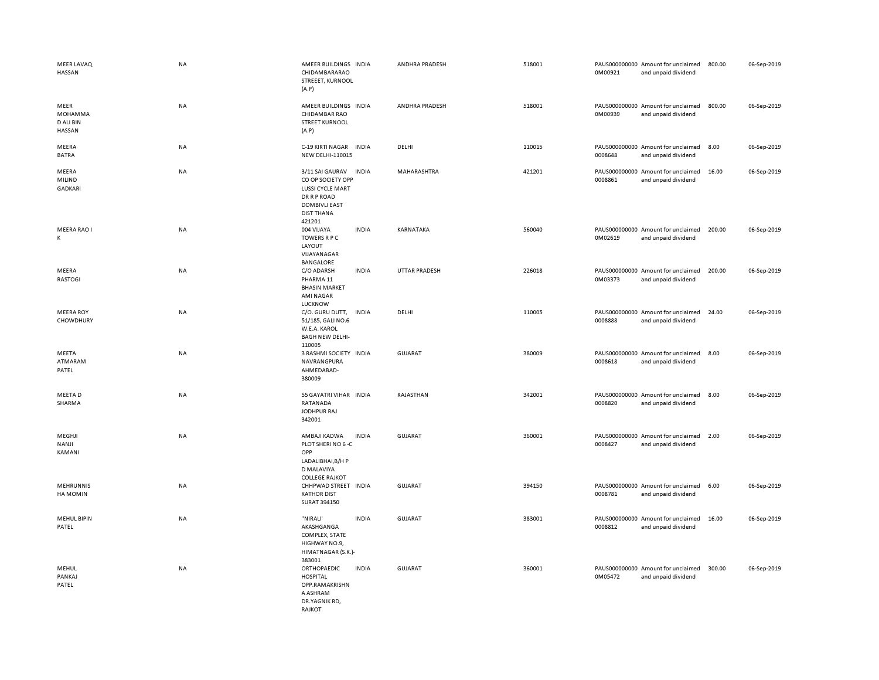| <b>MEER LAVAQ</b><br>HASSAN            | NA        | AMEER BUILDINGS INDIA<br>CHIDAMBARARAO<br>STREEET, KURNOOL<br>(A.P)                                                                                   | ANDHRA PRADESH | 518001 | 0M00921 | PAUS000000000 Amount for unclaimed<br>and unpaid dividend | 800.00 | 06-Sep-2019 |
|----------------------------------------|-----------|-------------------------------------------------------------------------------------------------------------------------------------------------------|----------------|--------|---------|-----------------------------------------------------------|--------|-------------|
| MEER<br>MOHAMMA<br>D ALI BIN<br>HASSAN | <b>NA</b> | AMEER BUILDINGS INDIA<br><b>CHIDAMBAR RAO</b><br><b>STREET KURNOOL</b><br>(A.P)                                                                       | ANDHRA PRADESH | 518001 | 0M00939 | PAUS000000000 Amount for unclaimed<br>and unpaid dividend | 800.00 | 06-Sep-2019 |
| MEERA<br><b>BATRA</b>                  | NA        | C-19 KIRTI NAGAR<br><b>INDIA</b><br><b>NEW DELHI-110015</b>                                                                                           | DELHI          | 110015 | 0008648 | PAUS000000000 Amount for unclaimed<br>and unpaid dividend | 8.00   | 06-Sep-2019 |
| MEERA<br>MILIND<br><b>GADKARI</b>      | <b>NA</b> | 3/11 SAI GAURAV<br><b>INDIA</b><br>CO OP SOCIETY OPP<br>LUSSI CYCLE MART<br><b>DR R P ROAD</b><br><b>DOMBIVLI EAST</b><br><b>DIST THANA</b><br>421201 | MAHARASHTRA    | 421201 | 0008861 | PAUS000000000 Amount for unclaimed<br>and unpaid dividend | 16.00  | 06-Sep-2019 |
| MEERA RAO I<br>K                       | NA        | 004 VIJAYA<br><b>INDIA</b><br><b>TOWERS R P C</b><br>LAYOUT<br>VIJAYANAGAR<br>BANGALORE                                                               | KARNATAKA      | 560040 | 0M02619 | PAUS000000000 Amount for unclaimed<br>and unpaid dividend | 200.00 | 06-Sep-2019 |
| MEERA<br><b>RASTOGI</b>                | NA        | C/O ADARSH<br><b>INDIA</b><br>PHARMA <sub>11</sub><br><b>BHASIN MARKET</b><br><b>AMI NAGAR</b><br>LUCKNOW                                             | UTTAR PRADESH  | 226018 | 0M03373 | PAUS000000000 Amount for unclaimed<br>and unpaid dividend | 200.00 | 06-Sep-2019 |
| <b>MEERA ROY</b><br>CHOWDHURY          | <b>NA</b> | C/O. GURU DUTT,<br><b>INDIA</b><br>51/185, GALI NO.6<br>W.E.A. KAROL<br><b>BAGH NEW DELHI-</b><br>110005                                              | DELHI          | 110005 | 0008888 | PAUS000000000 Amount for unclaimed<br>and unpaid dividend | 24.00  | 06-Sep-2019 |
| MEETA<br>ATMARAM<br>PATEL              | NA        | 3 RASHMI SOCIETY INDIA<br>NAVRANGPURA<br>AHMEDABAD-<br>380009                                                                                         | <b>GUJARAT</b> | 380009 | 0008618 | PAUS000000000 Amount for unclaimed<br>and unpaid dividend | 8.00   | 06-Sep-2019 |
| MEETA D<br>SHARMA                      | <b>NA</b> | 55 GAYATRI VIHAR INDIA<br>RATANADA<br>JODHPUR RAJ<br>342001                                                                                           | RAJASTHAN      | 342001 | 0008820 | PAUS000000000 Amount for unclaimed<br>and unpaid dividend | 8.00   | 06-Sep-2019 |
| MEGHJI<br>NANJI<br>KAMANI              | <b>NA</b> | AMBAJI KADWA<br><b>INDIA</b><br>PLOT SHERI NO 6-C<br>OPP<br>LADALIBHAI, B/H P<br>D MALAVIYA<br><b>COLLEGE RAJKOT</b>                                  | <b>GUJARAT</b> | 360001 | 0008427 | PAUS000000000 Amount for unclaimed<br>and unpaid dividend | 2.00   | 06-Sep-2019 |
| <b>MEHRUNNIS</b><br>HA MOMIN           | <b>NA</b> | CHHPWAD STREET INDIA<br><b>KATHOR DIST</b><br>SURAT 394150                                                                                            | <b>GUJARAT</b> | 394150 | 0008781 | PAUS000000000 Amount for unclaimed<br>and unpaid dividend | 6.00   | 06-Sep-2019 |
| MEHUL BIPIN<br>PATEL                   | NA        | "NIRALI'<br><b>INDIA</b><br>AKASHGANGA<br>COMPLEX, STATE<br>HIGHWAY NO.9,<br>HIMATNAGAR (S.K.)-<br>383001                                             | <b>GUJARAT</b> | 383001 | 0008812 | PAUS000000000 Amount for unclaimed<br>and unpaid dividend | 16.00  | 06-Sep-2019 |
| MEHUL<br>PANKAJ<br>PATEL               | NA        | ORTHOPAEDIC<br><b>INDIA</b><br><b>HOSPITAL</b><br>OPP.RAMAKRISHN<br>A ASHRAM<br>DR.YAGNIK RD,<br>RAJKOT                                               | <b>GUJARAT</b> | 360001 | 0M05472 | PAUS000000000 Amount for unclaimed<br>and unpaid dividend | 300.00 | 06-Sep-2019 |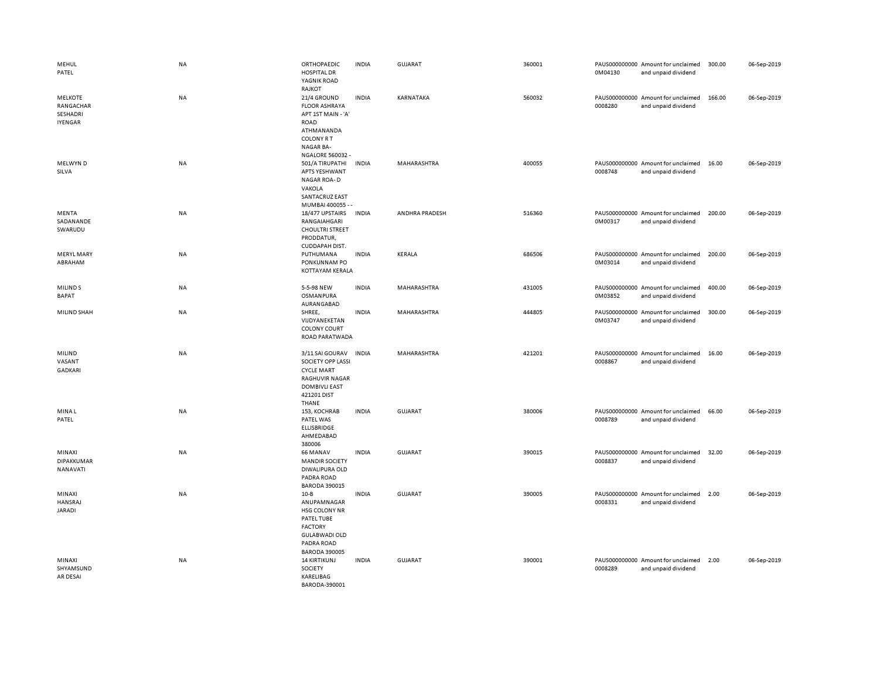| MEHUL<br>PATEL                                     | <b>NA</b> | ORTHOPAEDIC<br><b>HOSPITAL DR</b><br>YAGNIK ROAD<br>RAJKOT                                                                                          | <b>INDIA</b> | GUJARAT               | 360001 | 0M04130 | PAUS000000000 Amount for unclaimed<br>and unpaid dividend | 300.00 | 06-Sep-2019 |
|----------------------------------------------------|-----------|-----------------------------------------------------------------------------------------------------------------------------------------------------|--------------|-----------------------|--------|---------|-----------------------------------------------------------|--------|-------------|
| <b>MELKOTE</b><br>RANGACHAR<br>SESHADRI<br>IYENGAR | NA        | 21/4 GROUND<br><b>FLOOR ASHRAYA</b><br>APT 1ST MAIN - 'A'<br>ROAD<br>ATHMANANDA<br><b>COLONY R T</b><br><b>NAGAR BA-</b><br><b>NGALORE 560032 -</b> | <b>INDIA</b> | KARNATAKA             | 560032 | 0008280 | PAUS000000000 Amount for unclaimed<br>and unpaid dividend | 166.00 | 06-Sep-2019 |
| MELWYN D<br>SILVA                                  | NA        | 501/A TIRUPATHI<br>APTS YESHWANT<br>NAGAR ROA-D<br>VAKOLA<br><b>SANTACRUZ EAST</b><br>MUMBAI 400055 - -                                             | <b>INDIA</b> | MAHARASHTRA           | 400055 | 0008748 | PAUS000000000 Amount for unclaimed<br>and unpaid dividend | 16.00  | 06-Sep-2019 |
| MENTA<br>SADANANDE<br>SWARUDU                      | NA        | 18/477 UPSTAIRS<br>RANGAIAHGARI<br><b>CHOULTRI STREET</b><br>PRODDATUR,<br>CUDDAPAH DIST.                                                           | <b>INDIA</b> | <b>ANDHRA PRADESH</b> | 516360 | 0M00317 | PAUS000000000 Amount for unclaimed<br>and unpaid dividend | 200.00 | 06-Sep-2019 |
| <b>MERYL MARY</b><br>ABRAHAM                       | NA        | PUTHUMANA<br>PONKUNNAM PO<br>KOTTAYAM KERALA                                                                                                        | <b>INDIA</b> | KERALA                | 686506 | 0M03014 | PAUS000000000 Amount for unclaimed<br>and unpaid dividend | 200.00 | 06-Sep-2019 |
| <b>MILINDS</b><br><b>BAPAT</b>                     | NA        | 5-5-98 NEW<br>OSMANPURA<br>AURANGABAD                                                                                                               | <b>INDIA</b> | MAHARASHTRA           | 431005 | 0M03852 | PAUS000000000 Amount for unclaimed<br>and unpaid dividend | 400.00 | 06-Sep-2019 |
| MILIND SHAH                                        | NA        | SHREE,<br>VIJDYANEKETAN<br><b>COLONY COURT</b><br>ROAD PARATWADA                                                                                    | <b>INDIA</b> | MAHARASHTRA           | 444805 | 0M03747 | PAUS000000000 Amount for unclaimed<br>and unpaid dividend | 300.00 | 06-Sep-2019 |
| MILIND<br>VASANT<br>GADKARI                        | NA        | 3/11 SAI GOURAV<br>SOCIETY OPP LASSI<br><b>CYCLE MART</b><br><b>RAGHUVIR NAGAR</b><br><b>DOMBIVLI EAST</b><br>421201 DIST<br>THANE                  | <b>INDIA</b> | MAHARASHTRA           | 421201 | 0008867 | PAUS000000000 Amount for unclaimed<br>and unpaid dividend | 16.00  | 06-Sep-2019 |
| <b>MINAL</b><br>PATEL                              | NA        | 153, KOCHRAB<br>PATEL WAS<br><b>ELLISBRIDGE</b><br>AHMEDABAD<br>380006                                                                              | <b>INDIA</b> | GUJARAT               | 380006 | 0008789 | PAUS000000000 Amount for unclaimed<br>and unpaid dividend | 66.00  | 06-Sep-2019 |
| MINAXI<br>DIPAKKUMAR<br>NANAVATI                   | NA        | 66 MANAV<br><b>MANDIR SOCIETY</b><br>DIWALIPURA OLD<br>PADRA ROAD<br><b>BARODA 390015</b>                                                           | <b>INDIA</b> | <b>GUJARAT</b>        | 390015 | 0008837 | PAUS000000000 Amount for unclaimed<br>and unpaid dividend | 32.00  | 06-Sep-2019 |
| MINAXI<br>HANSRAJ<br>JARADI                        | <b>NA</b> | $10 - B$<br>ANUPAMNAGAR<br>HSG COLONY NR<br>PATEL TUBE<br><b>FACTORY</b><br><b>GULABWADI OLD</b><br>PADRA ROAD<br><b>BARODA 390005</b>              | <b>INDIA</b> | <b>GUJARAT</b>        | 390005 | 0008331 | PAUS000000000 Amount for unclaimed<br>and unpaid dividend | 2.00   | 06-Sep-2019 |
| MINAXI<br>SHYAMSUND<br>AR DESAI                    | NA        | <b>14 KIRTIKUNJ</b><br>SOCIETY<br>KARELIBAG<br>BARODA-390001                                                                                        | <b>INDIA</b> | <b>GUJARAT</b>        | 390001 | 0008289 | PAUS000000000 Amount for unclaimed<br>and unpaid dividend | 2.00   | 06-Sep-2019 |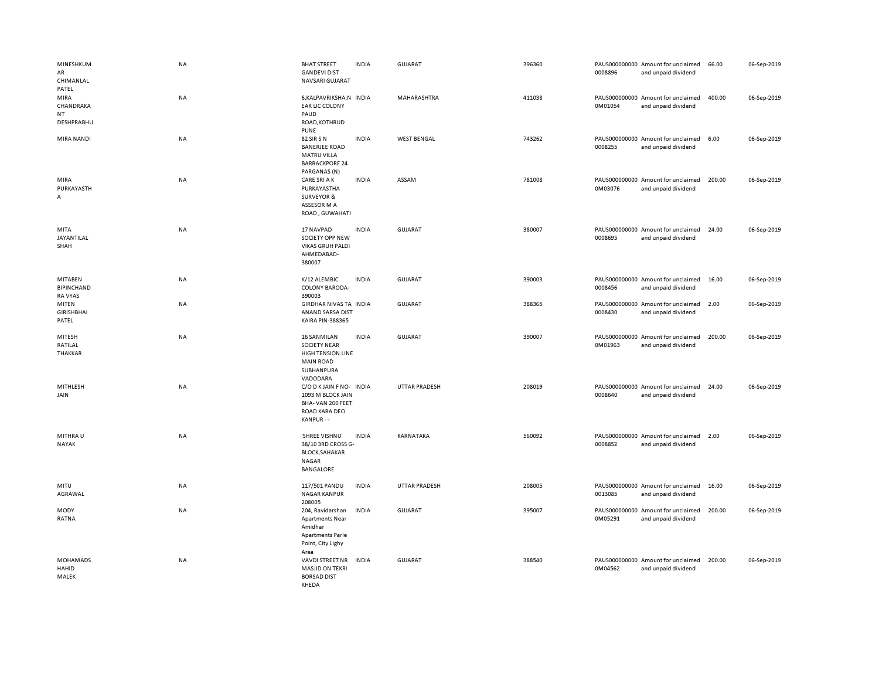| MINESHKUM<br>AR<br>CHIMANLAL<br>PATEL   | <b>NA</b> | <b>BHAT STREET</b><br><b>GANDEVI DIST</b><br>NAVSARI GUJARAT                                                        | <b>INDIA</b> | <b>GUJARAT</b>       | 396360 | 0008896 | PAUS000000000 Amount for unclaimed<br>and unpaid dividend | 66.00  | 06-Sep-2019 |
|-----------------------------------------|-----------|---------------------------------------------------------------------------------------------------------------------|--------------|----------------------|--------|---------|-----------------------------------------------------------|--------|-------------|
| MIRA<br>CHANDRAKA<br>NT<br>DESHPRABHU   | NA        | 6, KALPAVRIKSHA, N INDIA<br><b>EAR LIC COLONY</b><br>PAUD<br>ROAD, KOTHRUD<br><b>PUNE</b>                           |              | MAHARASHTRA          | 411038 | 0M01054 | PAUS000000000 Amount for unclaimed<br>and unpaid dividend | 400.00 | 06-Sep-2019 |
| MIRA NANDI                              | <b>NA</b> | 82 SIR S N<br><b>BANERJEE ROAD</b><br><b>MATRU VILLA</b><br><b>BARRACKPORE 24</b><br>PARGANAS (N)                   | <b>INDIA</b> | <b>WEST BENGAL</b>   | 743262 | 0008255 | PAUS000000000 Amount for unclaimed<br>and unpaid dividend | 6.00   | 06-Sep-2019 |
| MIRA<br>PURKAYASTH<br>A                 | NA        | <b>CARE SRI A K</b><br>PURKAYASTHA<br><b>SURVEYOR &amp;</b><br>ASSESOR M A<br>ROAD, GUWAHATI                        | <b>INDIA</b> | ASSAM                | 781008 | 0M03076 | PAUS000000000 Amount for unclaimed<br>and unpaid dividend | 200.00 | 06-Sep-2019 |
| MITA<br>JAYANTILAL<br>SHAH              | NA        | 17 NAVPAD<br>SOCIETY OPP NEW<br><b>VIKAS GRUH PALDI</b><br>AHMEDABAD-<br>380007                                     | <b>INDIA</b> | GUJARAT              | 380007 | 0008695 | PAUS000000000 Amount for unclaimed<br>and unpaid dividend | 24.00  | 06-Sep-2019 |
| MITABEN<br><b>BIPINCHAND</b><br>RA VYAS | NA        | K/12 ALEMBIC<br><b>COLONY BARODA-</b><br>390003                                                                     | <b>INDIA</b> | <b>GUJARAT</b>       | 390003 | 0008456 | PAUS000000000 Amount for unclaimed<br>and unpaid dividend | 16.00  | 06-Sep-2019 |
| MITEN<br><b>GIRISHBHAI</b><br>PATEL     | NA        | GIRDHAR NIVAS TA INDIA<br>ANAND SARSA DIST<br><b>KAIRA PIN-388365</b>                                               |              | <b>GUJARAT</b>       | 388365 | 0008430 | PAUS000000000 Amount for unclaimed<br>and unpaid dividend | 2.00   | 06-Sep-2019 |
| MITESH<br>RATILAL<br>THAKKAR            | NA        | <b>16 SANMILAN</b><br><b>SOCIETY NEAR</b><br><b>HIGH TENSION LINE</b><br><b>MAIN ROAD</b><br>SUBHANPURA<br>VADODARA | <b>INDIA</b> | <b>GUJARAT</b>       | 390007 | 0M01963 | PAUS000000000 Amount for unclaimed<br>and unpaid dividend | 200.00 | 06-Sep-2019 |
| MITHLESH<br>JAIN                        | NA        | C/O D K JAIN F NO- INDIA<br>1093 M BLOCK JAIN<br>BHA-VAN 200 FEET<br>ROAD KARA DEO<br>KANPUR - -                    |              | <b>UTTAR PRADESH</b> | 208019 | 0008640 | PAUS000000000 Amount for unclaimed<br>and unpaid dividend | 24.00  | 06-Sep-2019 |
| MITHRA U<br>NAYAK                       | <b>NA</b> | 'SHREE VISHNU'<br>38/10 3RD CROSS G-<br><b>BLOCK, SAHAKAR</b><br>NAGAR<br><b>BANGALORE</b>                          | <b>INDIA</b> | KARNATAKA            | 560092 | 0008852 | PAUS000000000 Amount for unclaimed<br>and unpaid dividend | 2.00   | 06-Sep-2019 |
| MITU<br>AGRAWAL                         | NA        | 117/501 PANDU<br><b>NAGAR KANPUR</b><br>208005                                                                      | <b>INDIA</b> | <b>UTTAR PRADESH</b> | 208005 | 0013085 | PAUS000000000 Amount for unclaimed<br>and unpaid dividend | 16.00  | 06-Sep-2019 |
| MODY<br>RATNA                           | NA        | 204, Ravidarshan<br><b>Apartments Near</b><br>Amidhar<br><b>Apartments Parle</b><br>Point, City Lighy<br>Area       | <b>INDIA</b> | <b>GUJARAT</b>       | 395007 | 0M05291 | PAUS000000000 Amount for unclaimed<br>and unpaid dividend | 200.00 | 06-Sep-2019 |
| <b>MOHAMADS</b><br>HAHID<br>MALEK       | <b>NA</b> | VAVDI STREET NR<br><b>MASJID ON TEKRI</b><br><b>BORSAD DIST</b><br>KHFDA                                            | <b>INDIA</b> | <b>GUJARAT</b>       | 388540 | 0M04562 | PAUS000000000 Amount for unclaimed<br>and unpaid dividend | 200.00 | 06-Sep-2019 |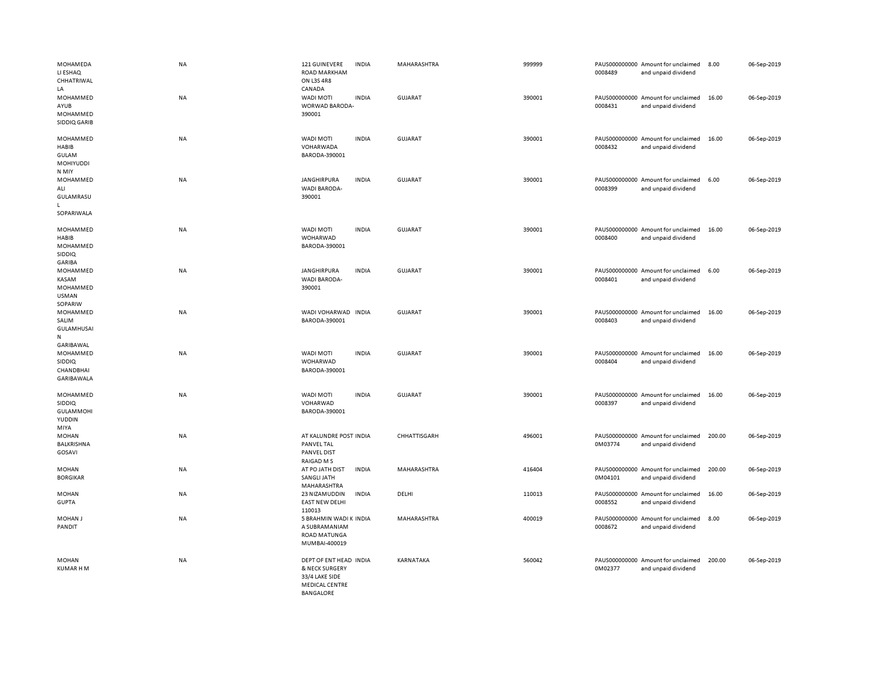| MOHAMEDA<br>LI ESHAQ<br>CHHATRIWAL<br>LA                          | NA        | 121 GUINEVERE<br><b>ROAD MARKHAM</b><br>ON L3S 4R8<br>CANADA                                            | <b>INDIA</b> | MAHARASHTRA        | 999999 | 0008489 | PAUS000000000 Amount for unclaimed<br>and unpaid dividend | 8.00   | 06-Sep-2019 |
|-------------------------------------------------------------------|-----------|---------------------------------------------------------------------------------------------------------|--------------|--------------------|--------|---------|-----------------------------------------------------------|--------|-------------|
| MOHAMMED<br>AYUB<br>MOHAMMED<br>SIDDIQ GARIB                      | NA        | <b>WADI MOTI</b><br>WORWAD BARODA-<br>390001                                                            | <b>INDIA</b> | GUJARAT            | 390001 | 0008431 | PAUS000000000 Amount for unclaimed<br>and unpaid dividend | 16.00  | 06-Sep-2019 |
| MOHAMMED<br>HABIB<br><b>GULAM</b><br>MOHIYUDDI<br>N MIY           | <b>NA</b> | <b>WADI MOTI</b><br>VOHARWADA<br>BARODA-390001                                                          | <b>INDIA</b> | <b>GUJARAT</b>     | 390001 | 0008432 | PAUS000000000 Amount for unclaimed<br>and unpaid dividend | 16.00  | 06-Sep-2019 |
| MOHAMMED<br>ALI<br>GULAMRASU<br>L<br>SOPARIWALA                   | NA        | <b>JANGHIRPURA</b><br>WADI BARODA-<br>390001                                                            | <b>INDIA</b> | GUJARAT            | 390001 | 0008399 | PAUS000000000 Amount for unclaimed<br>and unpaid dividend | 6.00   | 06-Sep-2019 |
| MOHAMMED<br>HABIB<br>MOHAMMED<br>SIDDIQ<br>GARIBA                 | <b>NA</b> | WADI MOTI<br>WOHARWAD<br>BARODA-390001                                                                  | <b>INDIA</b> | <b>GUJARAT</b>     | 390001 | 0008400 | PAUS000000000 Amount for unclaimed<br>and unpaid dividend | 16.00  | 06-Sep-2019 |
| MOHAMMED<br>KASAM<br>MOHAMMED<br><b>USMAN</b><br>SOPARIW          | NA        | JANGHIRPURA<br><b>WADI BARODA-</b><br>390001                                                            | <b>INDIA</b> | GUJARAT            | 390001 | 0008401 | PAUS000000000 Amount for unclaimed<br>and unpaid dividend | 6.00   | 06-Sep-2019 |
| MOHAMMED<br>SALIM<br><b>GULAMHUSAI</b><br>${\sf N}$               | <b>NA</b> | WADI VOHARWAD INDIA<br>BARODA-390001                                                                    |              | <b>GUJARAT</b>     | 390001 | 0008403 | PAUS000000000 Amount for unclaimed<br>and unpaid dividend | 16.00  | 06-Sep-2019 |
| GARIBAWAL<br>MOHAMMED<br><b>SIDDIQ</b><br>CHANDBHAI<br>GARIBAWALA | NA        | WADI MOTI<br>WOHARWAD<br>BARODA-390001                                                                  | <b>INDIA</b> | GUJARAT            | 390001 | 0008404 | PAUS000000000 Amount for unclaimed<br>and unpaid dividend | 16.00  | 06-Sep-2019 |
| MOHAMMED<br><b>SIDDIQ</b><br><b>GULAMMOHI</b><br>YUDDIN<br>MIYA   | NA        | WADI MOTI<br>VOHARWAD<br>BARODA-390001                                                                  | <b>INDIA</b> | GUJARAT            | 390001 | 0008397 | PAUS000000000 Amount for unclaimed<br>and unpaid dividend | 16.00  | 06-Sep-2019 |
| <b>MOHAN</b><br>BALKRISHNA<br>GOSAVI                              | NA        | AT KALUNDRE POST INDIA<br>PANVEL TAL<br>PANVEL DIST<br>RAIGAD M S                                       |              | CHHATTISGARH       | 496001 | 0M03774 | PAUS000000000 Amount for unclaimed<br>and unpaid dividend | 200.00 | 06-Sep-2019 |
| <b>MOHAN</b><br><b>BORGIKAR</b>                                   | NA        | AT PO JATH DIST<br>SANGLI JATH<br>MAHARASHTRA                                                           | <b>INDIA</b> | MAHARASHTRA        | 416404 | 0M04101 | PAUS000000000 Amount for unclaimed<br>and unpaid dividend | 200.00 | 06-Sep-2019 |
| <b>MOHAN</b><br><b>GUPTA</b>                                      | NA        | 23 NIZAMUDDIN<br><b>EAST NEW DELHI</b><br>110013                                                        | <b>INDIA</b> | DELHI              | 110013 | 0008552 | PAUS000000000 Amount for unclaimed<br>and unpaid dividend | 16.00  | 06-Sep-2019 |
| <b>MOHAN J</b><br>PANDIT                                          | <b>NA</b> | 5 BRAHMIN WADI K INDIA<br>A SUBRAMANIAM<br><b>ROAD MATUNGA</b><br>MUMBAI-400019                         |              | <b>MAHARASHTRA</b> | 400019 | 0008672 | PAUS000000000 Amount for unclaimed<br>and unpaid dividend | 8.00   | 06-Sep-2019 |
| <b>MOHAN</b><br><b>KUMAR H M</b>                                  | <b>NA</b> | DEPT OF ENT HEAD INDIA<br>& NECK SURGERY<br>33/4 LAKE SIDE<br><b>MEDICAL CENTRE</b><br><b>BANGALORE</b> |              | KARNATAKA          | 560042 | 0M02377 | PAUS000000000 Amount for unclaimed<br>and unpaid dividend | 200.00 | 06-Sep-2019 |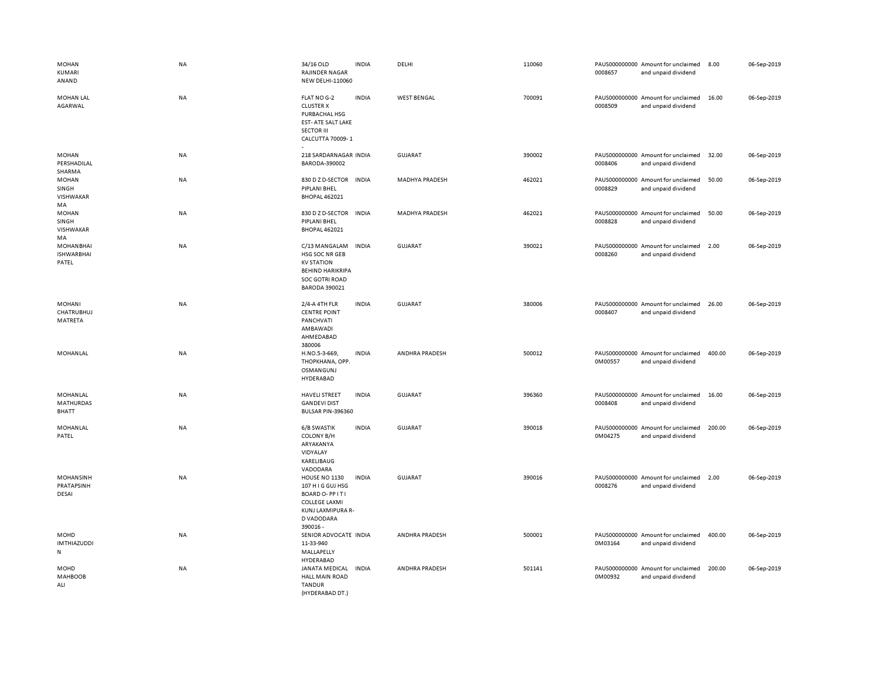| <b>MOHAN</b><br>KUMARI<br>ANAND                | <b>NA</b> | 34/16 OLD<br>RAJINDER NAGAR<br>NEW DELHI-110060                                                                            | <b>INDIA</b> | DELHI                 | 110060 | 0008657 | PAUS000000000 Amount for unclaimed<br>and unpaid dividend | 8.00   | 06-Sep-2019 |
|------------------------------------------------|-----------|----------------------------------------------------------------------------------------------------------------------------|--------------|-----------------------|--------|---------|-----------------------------------------------------------|--------|-------------|
| <b>MOHAN LAL</b><br>AGARWAL                    | <b>NA</b> | FLAT NO G-2<br><b>CLUSTER X</b><br>PURBACHAL HSG<br>EST-ATE SALT LAKE<br><b>SECTOR III</b><br>CALCUTTA 70009-1             | <b>INDIA</b> | <b>WEST BENGAL</b>    | 700091 | 0008509 | PAUS000000000 Amount for unclaimed<br>and unpaid dividend | 16.00  | 06-Sep-2019 |
| <b>MOHAN</b><br>PERSHADILAL<br>SHARMA          | <b>NA</b> | 218 SARDARNAGAR INDIA<br>BARODA-390002                                                                                     |              | GUJARAT               | 390002 | 0008406 | PAUS000000000 Amount for unclaimed<br>and unpaid dividend | 32.00  | 06-Sep-2019 |
| <b>MOHAN</b><br>SINGH<br>VISHWAKAR<br>MA       | NA        | 830 D Z D-SECTOR<br>PIPLANI BHEL<br><b>BHOPAL 462021</b>                                                                   | <b>INDIA</b> | <b>MADHYA PRADESH</b> | 462021 | 0008829 | PAUS000000000 Amount for unclaimed<br>and unpaid dividend | 50.00  | 06-Sep-2019 |
| <b>MOHAN</b><br>SINGH<br>VISHWAKAR<br>MA       | NA        | 830 D Z D-SECTOR<br>PIPLANI BHEL<br><b>BHOPAL 462021</b>                                                                   | <b>INDIA</b> | <b>MADHYA PRADESH</b> | 462021 | 0008828 | PAUS000000000 Amount for unclaimed<br>and unpaid dividend | 50.00  | 06-Sep-2019 |
| <b>MOHANBHAI</b><br><b>ISHWARBHAI</b><br>PATEL | NA        | C/13 MANGALAM<br>HSG SOC NR GEB<br><b>KV STATION</b><br><b>BEHIND HARIKRIPA</b><br>SOC GOTRI ROAD<br><b>BARODA 390021</b>  | <b>INDIA</b> | <b>GUJARAT</b>        | 390021 | 0008260 | PAUS000000000 Amount for unclaimed<br>and unpaid dividend | 2.00   | 06-Sep-2019 |
| MOHANI<br>CHATRUBHUJ<br>MATRETA                | NA        | 2/4-A 4TH FLR<br><b>CENTRE POINT</b><br>PANCHVATI<br>AMBAWADI<br>AHMEDABAD<br>380006                                       | <b>INDIA</b> | <b>GUJARAT</b>        | 380006 | 0008407 | PAUS000000000 Amount for unclaimed<br>and unpaid dividend | 26.00  | 06-Sep-2019 |
| MOHANLAL                                       | NA        | H.NO.5-3-669,<br>THOPKHANA, OPP.<br>OSMANGUNJ<br><b>HYDERABAD</b>                                                          | <b>INDIA</b> | ANDHRA PRADESH        | 500012 | 0M00557 | PAUS000000000 Amount for unclaimed<br>and unpaid dividend | 400.00 | 06-Sep-2019 |
| MOHANLAL<br>MATHURDAS<br><b>BHATT</b>          | <b>NA</b> | <b>HAVELI STREET</b><br><b>GANDEVI DIST</b><br>BULSAR PIN-396360                                                           | <b>INDIA</b> | GUJARAT               | 396360 | 0008408 | PAUS000000000 Amount for unclaimed<br>and unpaid dividend | 16.00  | 06-Sep-2019 |
| MOHANLAL<br>PATEL                              | NA        | 6/B SWASTIK<br>COLONY B/H<br>ARYAKANYA<br>VIDYALAY<br>KARELIBAUG<br>VADODARA                                               | <b>INDIA</b> | <b>GUJARAT</b>        | 390018 | 0M04275 | PAUS000000000 Amount for unclaimed<br>and unpaid dividend | 200.00 | 06-Sep-2019 |
| <b>MOHANSINH</b><br>PRATAPSINH<br>DESAI        | NA        | HOUSE NO 1130<br>107 H I G GUJ HSG<br>BOARD O-PPITI<br><b>COLLEGE LAXMI</b><br>KUNJ LAXMIPURA R-<br>D VADODARA<br>390016 - | <b>INDIA</b> | <b>GUJARAT</b>        | 390016 | 0008276 | PAUS000000000 Amount for unclaimed<br>and unpaid dividend | 2.00   | 06-Sep-2019 |
| MOHD<br><b>IMTHIAZUDDI</b><br>${\sf N}$        | <b>NA</b> | SENIOR ADVOCATE INDIA<br>11-33-940<br>MALLAPELLY<br>HYDERABAD                                                              |              | ANDHRA PRADESH        | 500001 | 0M03164 | PAUS000000000 Amount for unclaimed<br>and unpaid dividend | 400.00 | 06-Sep-2019 |
| MOHD<br><b>MAHBOOB</b><br>ALI                  | <b>NA</b> | JANATA MEDICAL<br><b>HALL MAIN ROAD</b><br><b>TANDUR</b><br>(HYDERABAD DT.)                                                | <b>INDIA</b> | ANDHRA PRADESH        | 501141 | 0M00932 | PAUS000000000 Amount for unclaimed<br>and unpaid dividend | 200.00 | 06-Sep-2019 |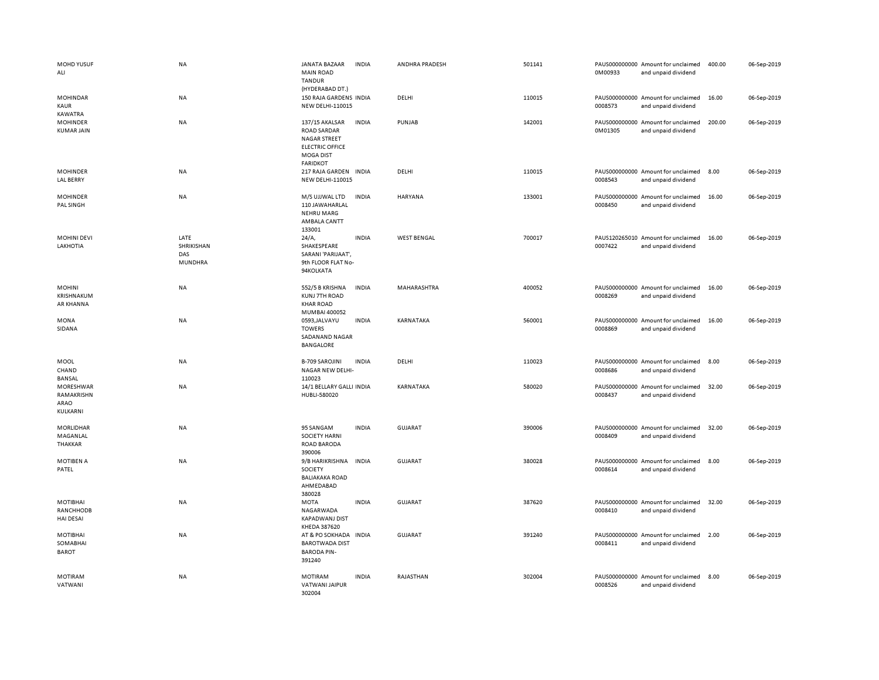| MOHD YUSUF<br>ALI                                | <b>NA</b>                            | JANATA BAZAAR<br><b>INDIA</b><br><b>MAIN ROAD</b><br><b>TANDUR</b>                                                                           | ANDHRA PRADESH     | 501141 | PAUS000000000 Amount for unclaimed<br>0M00933<br>and unpaid dividend | 400.00 | 06-Sep-2019 |
|--------------------------------------------------|--------------------------------------|----------------------------------------------------------------------------------------------------------------------------------------------|--------------------|--------|----------------------------------------------------------------------|--------|-------------|
| <b>MOHINDAR</b><br><b>KAUR</b><br>KAWATRA        | NA                                   | (HYDERABAD DT.)<br>150 RAJA GARDENS INDIA<br><b>NEW DELHI-110015</b>                                                                         | DELHI              | 110015 | PAUS000000000 Amount for unclaimed<br>0008573<br>and unpaid dividend | 16.00  | 06-Sep-2019 |
| <b>MOHINDER</b><br><b>KUMAR JAIN</b>             | NA                                   | 137/15 AKALSAR<br><b>INDIA</b><br><b>ROAD SARDAR</b><br><b>NAGAR STREET</b><br><b>ELECTRIC OFFICE</b><br><b>MOGA DIST</b><br><b>FARIDKOT</b> | PUNJAB             | 142001 | PAUS000000000 Amount for unclaimed<br>0M01305<br>and unpaid dividend | 200.00 | 06-Sep-2019 |
| <b>MOHINDER</b><br><b>LAL BERRY</b>              | <b>NA</b>                            | 217 RAJA GARDEN<br><b>INDIA</b><br>NEW DELHI-110015                                                                                          | DELHI              | 110015 | PAUS000000000 Amount for unclaimed<br>0008543<br>and unpaid dividend | 8.00   | 06-Sep-2019 |
| <b>MOHINDER</b><br>PAL SINGH                     | <b>NA</b>                            | M/S UJJWAL LTD<br><b>INDIA</b><br>110 JAWAHARLAL<br><b>NEHRU MARG</b><br>AMBALA CANTT<br>133001                                              | HARYANA            | 133001 | PAUS000000000 Amount for unclaimed<br>0008450<br>and unpaid dividend | 16.00  | 06-Sep-2019 |
| <b>MOHINI DEVI</b><br>LAKHOTIA                   | LATE<br>SHRIKISHAN<br>DAS<br>MUNDHRA | 24/A,<br><b>INDIA</b><br>SHAKESPEARE<br>SARANI 'PARIJAAT',<br>9th FLOOR FLAT No-<br>94KOLKATA                                                | <b>WEST BENGAL</b> | 700017 | PAUS120265010 Amount for unclaimed<br>0007422<br>and unpaid dividend | 16.00  | 06-Sep-2019 |
| <b>MOHINI</b><br>KRISHNAKUM<br>AR KHANNA         | NA                                   | 552/5 B KRISHNA<br><b>INDIA</b><br><b>KUNJ 7TH ROAD</b><br><b>KHAR ROAD</b><br>MUMBAI 400052                                                 | MAHARASHTRA        | 400052 | PAUS000000000 Amount for unclaimed<br>0008269<br>and unpaid dividend | 16.00  | 06-Sep-2019 |
| <b>MONA</b><br>SIDANA                            | <b>NA</b>                            | <b>INDIA</b><br>0593, JALVAYU<br><b>TOWERS</b><br>SADANAND NAGAR<br>BANGALORE                                                                | KARNATAKA          | 560001 | PAUS000000000 Amount for unclaimed<br>0008869<br>and unpaid dividend | 16.00  | 06-Sep-2019 |
| MOOL<br>CHAND<br>BANSAL                          | <b>NA</b>                            | <b>B-709 SAROJINI</b><br><b>INDIA</b><br>NAGAR NEW DELHI-<br>110023                                                                          | DELHI              | 110023 | PAUS000000000 Amount for unclaimed<br>0008686<br>and unpaid dividend | 8.00   | 06-Sep-2019 |
| MORESHWAR<br>RAMAKRISHN<br>ARAO<br>KULKARNI      | NA                                   | 14/1 BELLARY GALLI INDIA<br>HUBLI-580020                                                                                                     | KARNATAKA          | 580020 | PAUS000000000 Amount for unclaimed<br>0008437<br>and unpaid dividend | 32.00  | 06-Sep-2019 |
| MORLIDHAR<br>MAGANLAL<br>THAKKAR                 | NA                                   | <b>INDIA</b><br>95 SANGAM<br><b>SOCIETY HARNI</b><br>ROAD BARODA<br>390006                                                                   | GUJARAT            | 390006 | PAUS000000000 Amount for unclaimed<br>0008409<br>and unpaid dividend | 32.00  | 06-Sep-2019 |
| MOTIBEN A<br>PATEL                               | NA                                   | 9/B HARIKRISHNA<br><b>INDIA</b><br>SOCIETY<br><b>BALIAKAKA ROAD</b><br>AHMEDABAD<br>380028                                                   | <b>GUJARAT</b>     | 380028 | PAUS000000000 Amount for unclaimed<br>0008614<br>and unpaid dividend | 8.00   | 06-Sep-2019 |
| <b>MOTIBHAI</b><br>RANCHHODB<br><b>HAI DESAI</b> | <b>NA</b>                            | <b>MOTA</b><br><b>INDIA</b><br>NAGARWADA<br><b>KAPADWANJ DIST</b><br>KHEDA 387620                                                            | <b>GUJARAT</b>     | 387620 | PAUS000000000 Amount for unclaimed<br>0008410<br>and unpaid dividend | 32.00  | 06-Sep-2019 |
| <b>MOTIBHAI</b><br>SOMABHAI<br><b>BAROT</b>      | NA                                   | AT & PO SOKHADA INDIA<br><b>BAROTWADA DIST</b><br><b>BARODA PIN-</b><br>391240                                                               | <b>GUJARAT</b>     | 391240 | PAUS000000000 Amount for unclaimed<br>0008411<br>and unpaid dividend | 2.00   | 06-Sep-2019 |
| <b>MOTIRAM</b><br>VATWANI                        | <b>NA</b>                            | <b>MOTIRAM</b><br><b>INDIA</b><br>VATWANI JAIPUR<br>302004                                                                                   | RAJASTHAN          | 302004 | PAUS000000000 Amount for unclaimed<br>0008526<br>and unpaid dividend | 8.00   | 06-Sep-2019 |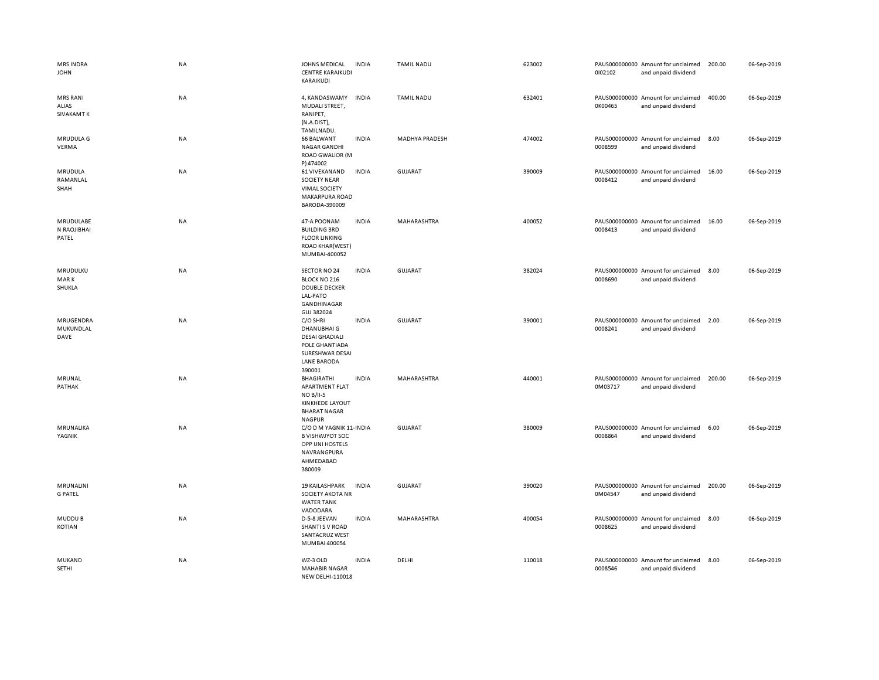| <b>MRS INDRA</b><br><b>JOHN</b>               | NA        | JOHNS MEDICAL<br><b>CENTRE KARAIKUDI</b><br>KARAIKUDI                                                                 | <b>INDIA</b> | <b>TAMIL NADU</b>     | 623002 | 0102102 | PAUS000000000 Amount for unclaimed<br>and unpaid dividend | 200.00 | 06-Sep-2019 |
|-----------------------------------------------|-----------|-----------------------------------------------------------------------------------------------------------------------|--------------|-----------------------|--------|---------|-----------------------------------------------------------|--------|-------------|
| <b>MRS RANI</b><br>ALIAS<br><b>SIVAKAMT K</b> | NA        | 4, KANDASWAMY<br>MUDALI STREET,<br>RANIPET,<br>(N.A.DIST),<br>TAMILNADU.                                              | <b>INDIA</b> | <b>TAMIL NADU</b>     | 632401 | 0K00465 | PAUS000000000 Amount for unclaimed<br>and unpaid dividend | 400.00 | 06-Sep-2019 |
| MRUDULA G<br>VERMA                            | NA        | <b>66 BALWANT</b><br>NAGAR GANDHI<br><b>ROAD GWALIOR (M</b><br>P) 474002                                              | <b>INDIA</b> | <b>MADHYA PRADESH</b> | 474002 | 0008599 | PAUS000000000 Amount for unclaimed<br>and unpaid dividend | 8.00   | 06-Sep-2019 |
| MRUDULA<br>RAMANLAL<br>SHAH                   | <b>NA</b> | 61 VIVEKANAND<br><b>SOCIETY NEAR</b><br><b>VIMAL SOCIETY</b><br><b>MAKARPURA ROAD</b><br>BARODA-390009                | <b>INDIA</b> | <b>GUJARAT</b>        | 390009 | 0008412 | PAUS000000000 Amount for unclaimed<br>and unpaid dividend | 16.00  | 06-Sep-2019 |
| MRUDULABE<br>N RAOJIBHAI<br>PATEL             | NA        | 47-A POONAM<br><b>BUILDING 3RD</b><br><b>FLOOR LINKING</b><br><b>ROAD KHAR(WEST)</b><br>MUMBAI-400052                 | <b>INDIA</b> | MAHARASHTRA           | 400052 | 0008413 | PAUS000000000 Amount for unclaimed<br>and unpaid dividend | 16.00  | 06-Sep-2019 |
| MRUDULKU<br>MAR K<br>SHUKLA                   | <b>NA</b> | SECTOR NO 24<br>BLOCK NO 216<br><b>DOUBLE DECKER</b><br>LAL-PATO<br>GANDHINAGAR<br>GUJ 382024                         | <b>INDIA</b> | <b>GUJARAT</b>        | 382024 | 0008690 | PAUS000000000 Amount for unclaimed<br>and unpaid dividend | 8.00   | 06-Sep-2019 |
| MRUGENDRA<br>MUKUNDLAL<br>DAVE                | NA        | C/O SHRI<br>DHANUBHAI G<br><b>DESAI GHADIALI</b><br>POLE GHANTIADA<br>SURESHWAR DESAI<br><b>LANE BARODA</b><br>390001 | <b>INDIA</b> | GUJARAT               | 390001 | 0008241 | PAUS000000000 Amount for unclaimed<br>and unpaid dividend | 2.00   | 06-Sep-2019 |
| MRUNAL<br>PATHAK                              | NA        | BHAGIRATHI<br>APARTMENT FLAT<br><b>NO B/II-5</b><br><b>KINKHEDE LAYOUT</b><br><b>BHARAT NAGAR</b><br><b>NAGPUR</b>    | <b>INDIA</b> | MAHARASHTRA           | 440001 | 0M03717 | PAUS000000000 Amount for unclaimed<br>and unpaid dividend | 200.00 | 06-Sep-2019 |
| MRUNALIKA<br>YAGNIK                           | NA        | C/O D M YAGNIK 11- INDIA<br><b>B VISHWJYOT SOC</b><br>OPP UNI HOSTELS<br>NAVRANGPURA<br>AHMEDABAD<br>380009           |              | GUJARAT               | 380009 | 0008864 | PAUS000000000 Amount for unclaimed<br>and unpaid dividend | 6.00   | 06-Sep-2019 |
| MRUNALINI<br><b>G PATEL</b>                   | NA        | <b>19 KAILASHPARK</b><br><b>SOCIETY AKOTA NR</b><br><b>WATER TANK</b><br>VADODARA                                     | <b>INDIA</b> | GUJARAT               | 390020 | 0M04547 | PAUS000000000 Amount for unclaimed<br>and unpaid dividend | 200.00 | 06-Sep-2019 |
| <b>MUDDUB</b><br>KOTIAN                       | NA        | D-5-8 JEEVAN<br><b>SHANTI S V ROAD</b><br>SANTACRUZ WEST<br>MUMBAI 400054                                             | <b>INDIA</b> | MAHARASHTRA           | 400054 | 0008625 | PAUS000000000 Amount for unclaimed<br>and unpaid dividend | 8.00   | 06-Sep-2019 |
| MUKAND<br>SETHI                               | <b>NA</b> | WZ-3 OLD<br><b>MAHABIR NAGAR</b><br>NEW DELHI-110018                                                                  | <b>INDIA</b> | DELHI                 | 110018 | 0008546 | PAUS000000000 Amount for unclaimed<br>and unpaid dividend | 8.00   | 06-Sep-2019 |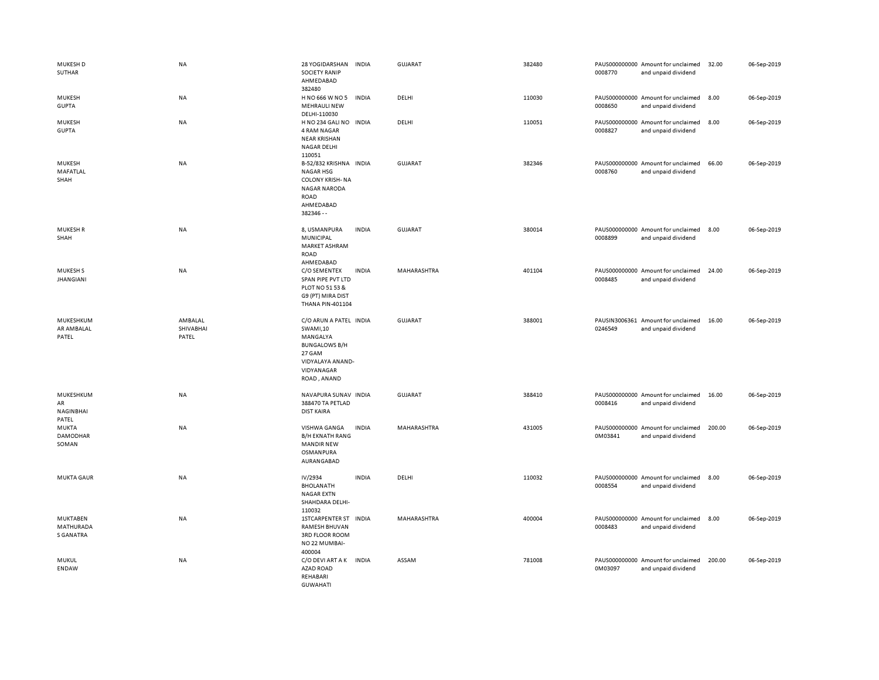| MUKESH D<br>SUTHAR                        | NA                            | 28 YOGIDARSHAN<br><b>SOCIETY RANIP</b><br>AHMEDABAD<br>382480                                                                            | <b>INDIA</b> | GUJARAT        | 382480 | 0008770 | PAUS000000000 Amount for unclaimed<br>and unpaid dividend | 32.00  | 06-Sep-2019 |
|-------------------------------------------|-------------------------------|------------------------------------------------------------------------------------------------------------------------------------------|--------------|----------------|--------|---------|-----------------------------------------------------------|--------|-------------|
| <b>MUKESH</b><br><b>GUPTA</b>             | NA                            | H NO 666 W NO 5<br><b>MEHRAULI NEW</b><br>DELHI-110030                                                                                   | <b>INDIA</b> | DELHI          | 110030 | 0008650 | PAUS000000000 Amount for unclaimed<br>and unpaid dividend | 8.00   | 06-Sep-2019 |
| <b>MUKESH</b><br><b>GUPTA</b>             | NA                            | H NO 234 GALI NO INDIA<br>4 RAM NAGAR<br><b>NEAR KRISHAN</b><br>NAGAR DELHI<br>110051                                                    |              | DELHI          | 110051 | 0008827 | PAUS000000000 Amount for unclaimed<br>and unpaid dividend | 8.00   | 06-Sep-2019 |
| MUKESH<br>MAFATLAL<br>SHAH                | NA                            | B-52/832 KRISHNA INDIA<br><b>NAGAR HSG</b><br><b>COLONY KRISH-NA</b><br><b>NAGAR NARODA</b><br>ROAD<br>AHMEDABAD<br>382346 --            |              | <b>GUJARAT</b> | 382346 | 0008760 | PAUS000000000 Amount for unclaimed<br>and unpaid dividend | 66.00  | 06-Sep-2019 |
| <b>MUKESHR</b><br>SHAH                    | NA                            | 8, USMANPURA<br>MUNICIPAL<br>MARKET ASHRAM<br><b>ROAD</b><br>AHMEDABAD                                                                   | <b>INDIA</b> | <b>GUJARAT</b> | 380014 | 0008899 | PAUS000000000 Amount for unclaimed<br>and unpaid dividend | 8.00   | 06-Sep-2019 |
| <b>MUKESHS</b><br><b>JHANGIANI</b>        | NA                            | C/O SEMENTEX<br>SPAN PIPE PVT LTD<br>PLOT NO 51 53 &<br>G9 (PT) MIRA DIST<br><b>THANA PIN-401104</b>                                     | <b>INDIA</b> | MAHARASHTRA    | 401104 | 0008485 | PAUS000000000 Amount for unclaimed<br>and unpaid dividend | 24.00  | 06-Sep-2019 |
| MUKESHKUM<br>AR AMBALAL<br>PATEL          | AMBALAL<br>SHIVABHAI<br>PATEL | C/O ARUN A PATEL INDIA<br><b>SWAMI.10</b><br>MANGALYA<br><b>BUNGALOWS B/H</b><br>27 GAM<br>VIDYALAYA ANAND-<br>VIDYANAGAR<br>ROAD, ANAND |              | GUJARAT        | 388001 | 0246549 | PAUSIN3006361 Amount for unclaimed<br>and unpaid dividend | 16.00  | 06-Sep-2019 |
| MUKESHKUM<br>AR<br>NAGINBHAI<br>PATEL     | NA                            | NAVAPURA SUNAV INDIA<br>388470 TA PETLAD<br><b>DIST KAIRA</b>                                                                            |              | GUJARAT        | 388410 | 0008416 | PAUS000000000 Amount for unclaimed<br>and unpaid dividend | 16.00  | 06-Sep-2019 |
| <b>MUKTA</b><br><b>DAMODHAR</b><br>SOMAN  | NA                            | VISHWA GANGA<br><b>B/H EKNATH RANG</b><br><b>MANDIR NEW</b><br>OSMANPURA<br>AURANGABAD                                                   | <b>INDIA</b> | MAHARASHTRA    | 431005 | 0M03841 | PAUS000000000 Amount for unclaimed<br>and unpaid dividend | 200.00 | 06-Sep-2019 |
| <b>MUKTA GAUR</b>                         | NA                            | IV/2934<br><b>BHOLANATH</b><br><b>NAGAR EXTN</b><br>SHAHDARA DELHI-<br>110032                                                            | <b>INDIA</b> | DELHI          | 110032 | 0008554 | PAUS000000000 Amount for unclaimed<br>and unpaid dividend | 8.00   | 06-Sep-2019 |
| MUKTABEN<br>MATHURADA<br><b>S GANATRA</b> | <b>NA</b>                     | <b>1STCARPENTER ST</b><br>RAMESH BHUVAN<br>3RD FLOOR ROOM<br>NO 22 MUMBAI-<br>400004                                                     | <b>INDIA</b> | MAHARASHTRA    | 400004 | 0008483 | PAUS000000000 Amount for unclaimed<br>and unpaid dividend | 8.00   | 06-Sep-2019 |
| MUKUL<br><b>ENDAW</b>                     | NA                            | C/O DEVI ART A K<br><b>AZAD ROAD</b><br>REHABARI<br><b>GUWAHATI</b>                                                                      | <b>INDIA</b> | ASSAM          | 781008 | 0M03097 | PAUS000000000 Amount for unclaimed<br>and unpaid dividend | 200.00 | 06-Sep-2019 |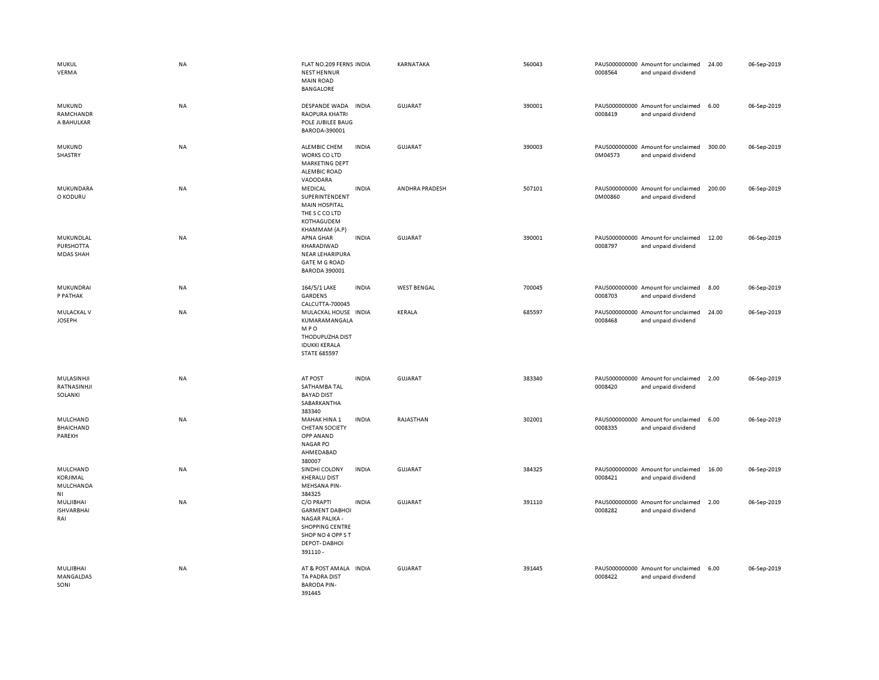| MUKUL<br>VERMA                             | <b>NA</b> | FLAT NO.209 FERNS INDIA<br><b>NEST HENNUR</b><br><b>MAIN ROAD</b><br><b>BANGALORE</b>                                                           | KARNATAKA          | 560043 | 0008564 | PAUS000000000 Amount for unclaimed<br>and unpaid dividend | 24.00  | 06-Sep-2019 |
|--------------------------------------------|-----------|-------------------------------------------------------------------------------------------------------------------------------------------------|--------------------|--------|---------|-----------------------------------------------------------|--------|-------------|
| MUKUND<br>RAMCHANDR<br>A BAHULKAR          | NA        | DESPANDE WADA<br><b>INDIA</b><br><b>RAOPURA KHATRI</b><br>POLE JUBILEE BAUG<br>BARODA-390001                                                    | GUJARAT            | 390001 | 0008419 | PAUS000000000 Amount for unclaimed<br>and unpaid dividend | 6.00   | 06-Sep-2019 |
| MUKUND<br>SHASTRY                          | NA        | ALEMBIC CHEM<br><b>INDIA</b><br>WORKS CO LTD<br><b>MARKETING DEPT</b><br><b>ALEMBIC ROAD</b><br>VADODARA                                        | GUJARAT            | 390003 | 0M04573 | PAUS000000000 Amount for unclaimed<br>and unpaid dividend | 300.00 | 06-Sep-2019 |
| MUKUNDARA<br>O KODURU                      | NA        | <b>INDIA</b><br>MEDICAL<br>SUPERINTENDENT<br><b>MAIN HOSPITAL</b><br>THE S C CO LTD<br>KOTHAGUDEM<br>KHAMMAM (A.P)                              | ANDHRA PRADESH     | 507101 | 0M00860 | PAUS000000000 Amount for unclaimed<br>and unpaid dividend | 200.00 | 06-Sep-2019 |
| MUKUNDLAL<br>PURSHOTTA<br><b>MDAS SHAH</b> | <b>NA</b> | APNA GHAR<br><b>INDIA</b><br>KHARADIWAD<br><b>NEAR LEHARIPURA</b><br><b>GATE M G ROAD</b><br><b>BARODA 390001</b>                               | <b>GUJARAT</b>     | 390001 | 0008797 | PAUS000000000 Amount for unclaimed<br>and unpaid dividend | 12.00  | 06-Sep-2019 |
| MUKUNDRAI<br>P PATHAK                      | NA        | <b>INDIA</b><br>164/5/1 LAKE<br><b>GARDENS</b><br>CALCUTTA-700045                                                                               | <b>WEST BENGAL</b> | 700045 | 0008703 | PAUS000000000 Amount for unclaimed<br>and unpaid dividend | 8.00   | 06-Sep-2019 |
| MULACKAL V<br><b>JOSEPH</b>                | NA        | MULACKAL HOUSE INDIA<br>KUMARAMANGALA<br><b>MPO</b><br>THODUPUZHA DIST<br><b>IDUKKI KERALA</b><br><b>STATE 685597</b>                           | <b>KERALA</b>      | 685597 | 0008468 | PAUS000000000 Amount for unclaimed<br>and unpaid dividend | 24.00  | 06-Sep-2019 |
| MULASINHJI<br>RATNASINHJI<br>SOLANKI       | NA        | AT POST<br><b>INDIA</b><br>SATHAMBA TAL<br><b>BAYAD DIST</b><br>SABARKANTHA<br>383340                                                           | GUJARAT            | 383340 | 0008420 | PAUS000000000 Amount for unclaimed<br>and unpaid dividend | 2.00   | 06-Sep-2019 |
| MULCHAND<br><b>BHAICHAND</b><br>PAREKH     | NA        | <b>INDIA</b><br>MAHAK HINA 1<br><b>CHETAN SOCIETY</b><br><b>OPP ANAND</b><br><b>NAGAR PO</b><br>AHMEDABAD<br>380007                             | RAJASTHAN          | 302001 | 0008335 | PAUS000000000 Amount for unclaimed<br>and unpaid dividend | 6.00   | 06-Sep-2019 |
| MULCHAND<br>KORJIMAL<br>MULCHANDA<br>ΝI    | NA        | SINDHI COLONY<br><b>INDIA</b><br><b>KHERALU DIST</b><br><b>MEHSANA PIN-</b><br>384325                                                           | <b>GUJARAT</b>     | 384325 | 0008421 | PAUS000000000 Amount for unclaimed<br>and unpaid dividend | 16.00  | 06-Sep-2019 |
| MULJIBHAI<br><b>ISHVARBHAI</b><br>RAI      | NA        | <b>INDIA</b><br>C/O PRAPTI<br><b>GARMENT DABHOI</b><br>NAGAR PALIKA -<br><b>SHOPPING CENTRE</b><br>SHOP NO 4 OPP ST<br>DEPOT-DABHOI<br>391110 - | GUJARAT            | 391110 | 0008282 | PAUS000000000 Amount for unclaimed<br>and unpaid dividend | 2.00   | 06-Sep-2019 |
| MULJIBHAI<br>MANGALDAS<br>SONI             | NA        | AT & POST AMALA INDIA<br>TA PADRA DIST<br><b>BARODA PIN-</b><br>391445                                                                          | <b>GUJARAT</b>     | 391445 | 0008422 | PAUS000000000 Amount for unclaimed<br>and unpaid dividend | 6.00   | 06-Sep-2019 |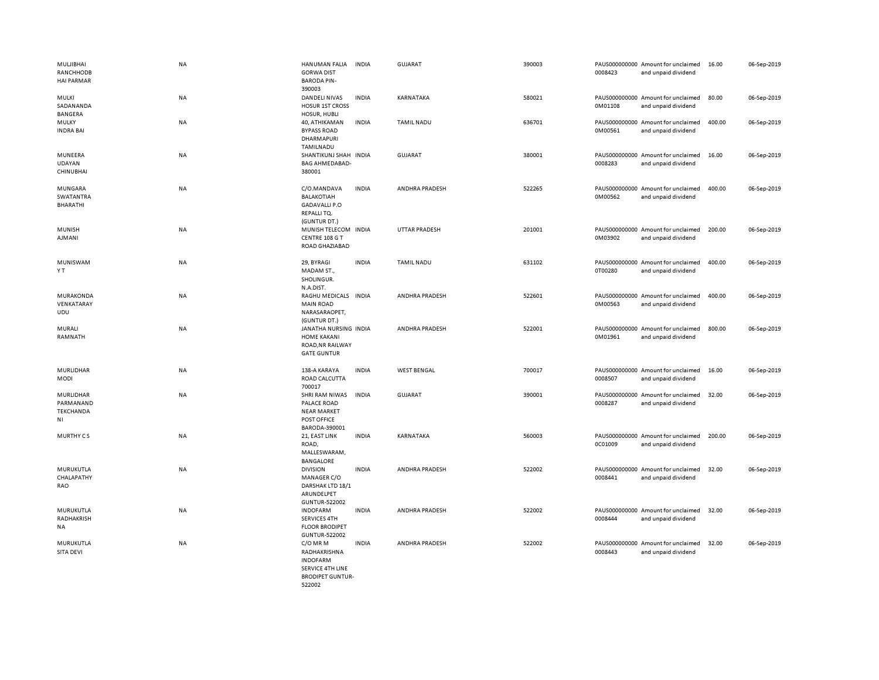| MULJIBHAI<br>RANCHHODB<br><b>HAI PARMAR</b>      | <b>NA</b> | <b>HANUMAN FALIA</b><br><b>GORWA DIST</b><br><b>BARODA PIN-</b><br>390003                  | <b>INDIA</b> | <b>GUJARAT</b>        | 390003 | 0008423                  | PAUS000000000 Amount for unclaimed<br>and unpaid dividend | 16.00  | 06-Sep-2019 |
|--------------------------------------------------|-----------|--------------------------------------------------------------------------------------------|--------------|-----------------------|--------|--------------------------|-----------------------------------------------------------|--------|-------------|
| MULKI<br>SADANANDA<br>BANGERA                    | NA        | DANDELI NIVAS<br><b>HOSUR 1ST CROSS</b><br>HOSUR, HUBLI                                    | <b>INDIA</b> | KARNATAKA             | 580021 | 0M01108                  | PAUS000000000 Amount for unclaimed<br>and unpaid dividend | 80.00  | 06-Sep-2019 |
| <b>MULKY</b><br><b>INDRA BAI</b>                 | <b>NA</b> | 40, ATHIKAMAN<br><b>BYPASS ROAD</b><br>DHARMAPURI<br>TAMILNADU                             | <b>INDIA</b> | <b>TAMIL NADU</b>     | 636701 | 0M00561                  | PAUS000000000 Amount for unclaimed<br>and unpaid dividend | 400.00 | 06-Sep-2019 |
| MUNEERA<br><b>UDAYAN</b><br>CHINUBHAI            | <b>NA</b> | SHANTIKUNJ SHAH INDIA<br><b>BAG AHMEDABAD-</b><br>380001                                   |              | <b>GUJARAT</b>        | 380001 | 0008283                  | PAUS000000000 Amount for unclaimed<br>and unpaid dividend | 16.00  | 06-Sep-2019 |
| MUNGARA<br><b>SWATANTRA</b><br>BHARATHI          | <b>NA</b> | C/O.MANDAVA<br><b>BALAKOTIAH</b><br><b>GADAVALLI P.O</b><br>REPALLITQ.<br>(GUNTUR DT.)     | <b>INDIA</b> | ANDHRA PRADESH        | 522265 | 0M00562                  | PAUS000000000 Amount for unclaimed<br>and unpaid dividend | 400.00 | 06-Sep-2019 |
| MUNISH<br>AJMANI                                 | <b>NA</b> | MUNISH TELECOM INDIA<br>CENTRE 108 G T<br>ROAD GHAZIABAD                                   |              | <b>UTTAR PRADESH</b>  | 201001 | 0M03902                  | PAUS000000000 Amount for unclaimed<br>and unpaid dividend | 200.00 | 06-Sep-2019 |
| MUNISWAM<br>ΥT                                   | <b>NA</b> | 29, BYRAGI<br>MADAM ST.,<br>SHOLINGUR.<br>N.A.DIST.                                        | <b>INDIA</b> | <b>TAMIL NADU</b>     | 631102 | 0T00280                  | PAUS000000000 Amount for unclaimed<br>and unpaid dividend | 400.00 | 06-Sep-2019 |
| <b>MURAKONDA</b><br>VENKATARAY<br>UDU            | <b>NA</b> | RAGHU MEDICALS INDIA<br><b>MAIN ROAD</b><br>NARASARAOPET,<br>(GUNTUR DT.)                  |              | <b>ANDHRA PRADESH</b> | 522601 | PAUS000000000<br>0M00563 | Amount for unclaimed<br>and unpaid dividend               | 400.00 | 06-Sep-2019 |
| MURALI<br>RAMNATH                                | <b>NA</b> | JANATHA NURSING INDIA<br><b>HOME KAKANI</b><br>ROAD, NR RAILWAY<br><b>GATE GUNTUR</b>      |              | ANDHRA PRADESH        | 522001 | 0M01961                  | PAUS000000000 Amount for unclaimed<br>and unpaid dividend | 800.00 | 06-Sep-2019 |
| MURLIDHAR<br>MODI                                | NA        | 138-A KARAYA<br>ROAD CALCUTTA<br>700017                                                    | <b>INDIA</b> | <b>WEST BENGAL</b>    | 700017 | 0008507                  | PAUS000000000 Amount for unclaimed<br>and unpaid dividend | 16.00  | 06-Sep-2019 |
| MURLIDHAR<br>PARMANAND<br><b>TEKCHANDA</b><br>ΝI | <b>NA</b> | SHRI RAM NIWAS<br>PALACE ROAD<br><b>NEAR MARKET</b><br>POST OFFICE<br>BARODA-390001        | <b>INDIA</b> | GUJARAT               | 390001 | 0008287                  | PAUS000000000 Amount for unclaimed<br>and unpaid dividend | 32.00  | 06-Sep-2019 |
| <b>MURTHY CS</b>                                 | <b>NA</b> | 21, EAST LINK<br>ROAD,<br>MALLESWARAM,<br><b>BANGALORE</b>                                 | <b>INDIA</b> | KARNATAKA             | 560003 | 0C01009                  | PAUS000000000 Amount for unclaimed<br>and unpaid dividend | 200.00 | 06-Sep-2019 |
| MURUKUTLA<br>CHALAPATHY<br>RAO                   | NA        | <b>DIVISION</b><br>MANAGER C/O<br>DARSHAK LTD 18/1<br>ARUNDELPET<br>GUNTUR-522002          | <b>INDIA</b> | ANDHRA PRADESH        | 522002 | 0008441                  | PAUS000000000 Amount for unclaimed<br>and unpaid dividend | 32.00  | 06-Sep-2019 |
| MURUKUTLA<br>RADHAKRISH<br><b>NA</b>             | NA        | <b>INDOFARM</b><br>SERVICES 4TH<br><b>FLOOR BRODIPET</b><br>GUNTUR-522002                  | <b>INDIA</b> | ANDHRA PRADESH        | 522002 | 0008444                  | PAUS000000000 Amount for unclaimed<br>and unpaid dividend | 32.00  | 06-Sep-2019 |
| MURUKUTLA<br>SITA DEVI                           | NA        | C/O MR M<br>RADHAKRISHNA<br><b>INDOFARM</b><br>SERVICE 4TH LINE<br><b>BRODIPET GUNTUR-</b> | <b>INDIA</b> | ANDHRA PRADESH        | 522002 | 0008443                  | PAUS000000000 Amount for unclaimed<br>and unpaid dividend | 32.00  | 06-Sep-2019 |

522002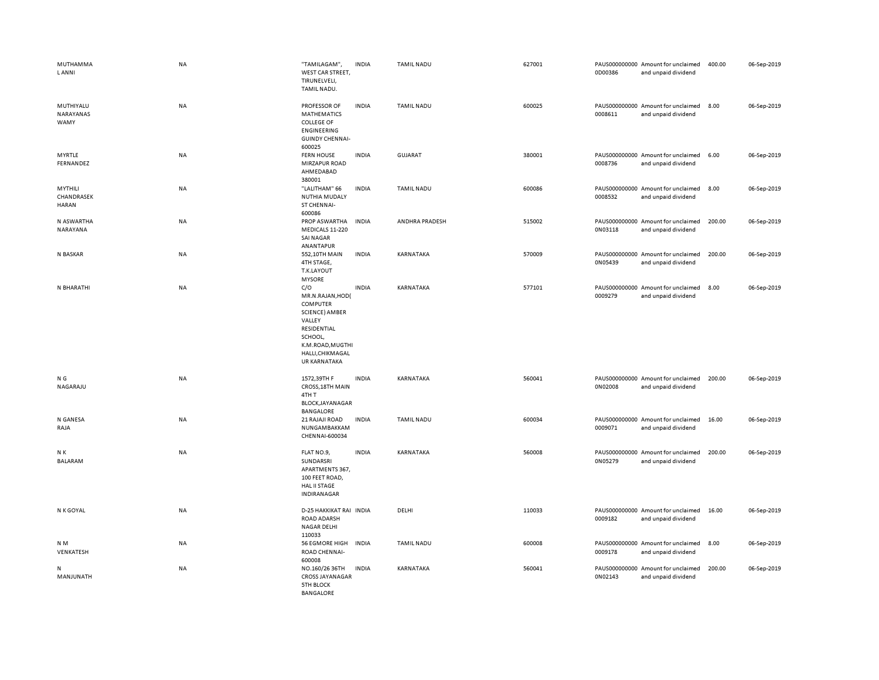| MUTHAMMA<br><b>LANNI</b>              | <b>NA</b> | "TAMILAGAM",<br>WEST CAR STREET,<br>TIRUNELVELI,<br>TAMIL NADU.                                                                                          | <b>INDIA</b> | <b>TAMIL NADU</b> | 627001 | 0D00386 | PAUS000000000 Amount for unclaimed<br>and unpaid dividend | 400.00 | 06-Sep-2019 |
|---------------------------------------|-----------|----------------------------------------------------------------------------------------------------------------------------------------------------------|--------------|-------------------|--------|---------|-----------------------------------------------------------|--------|-------------|
| MUTHIYALU<br>NARAYANAS<br>WAMY        | <b>NA</b> | PROFESSOR OF<br><b>MATHEMATICS</b><br><b>COLLEGE OF</b><br><b>ENGINEERING</b><br><b>GUINDY CHENNAI-</b><br>600025                                        | <b>INDIA</b> | <b>TAMIL NADU</b> | 600025 | 0008611 | PAUS000000000 Amount for unclaimed<br>and unpaid dividend | 8.00   | 06-Sep-2019 |
| MYRTLE<br>FERNANDEZ                   | NA        | <b>FERN HOUSE</b><br>MIRZAPUR ROAD<br>AHMEDABAD<br>380001                                                                                                | <b>INDIA</b> | GUJARAT           | 380001 | 0008736 | PAUS000000000 Amount for unclaimed<br>and unpaid dividend | 6.00   | 06-Sep-2019 |
| MYTHILI<br>CHANDRASEK<br><b>HARAN</b> | <b>NA</b> | "LALITHAM" 66<br>NUTHIA MUDALY<br>ST CHENNAI-<br>600086                                                                                                  | <b>INDIA</b> | <b>TAMIL NADU</b> | 600086 | 0008532 | PAUS000000000 Amount for unclaimed<br>and unpaid dividend | 8.00   | 06-Sep-2019 |
| N ASWARTHA<br>NARAYANA                | <b>NA</b> | PROP ASWARTHA<br>MEDICALS 11-220<br><b>SAI NAGAR</b><br>ANANTAPUR                                                                                        | <b>INDIA</b> | ANDHRA PRADESH    | 515002 | 0N03118 | PAUS000000000 Amount for unclaimed<br>and unpaid dividend | 200.00 | 06-Sep-2019 |
| N BASKAR                              | <b>NA</b> | 552,10TH MAIN<br>4TH STAGE,<br>T.K.LAYOUT<br><b>MYSORE</b>                                                                                               | <b>INDIA</b> | KARNATAKA         | 570009 | 0N05439 | PAUS000000000 Amount for unclaimed<br>and unpaid dividend | 200.00 | 06-Sep-2019 |
| N BHARATHI                            | NA        | C/O<br>MR.N.RAJAN, HOD(<br>COMPUTER<br><b>SCIENCE) AMBER</b><br>VALLEY<br>RESIDENTIAL<br>SCHOOL,<br>K.M.ROAD, MUGTHI<br>HALLI, CHIKMAGAL<br>UR KARNATAKA | <b>INDIA</b> | KARNATAKA         | 577101 | 0009279 | PAUS000000000 Amount for unclaimed<br>and unpaid dividend | 8.00   | 06-Sep-2019 |
| N G<br>NAGARAJU                       | <b>NA</b> | 1572.39TH F<br>CROSS, 18TH MAIN<br>4TH T<br>BLOCK, JAYANAGAR<br><b>BANGALORE</b>                                                                         | <b>INDIA</b> | KARNATAKA         | 560041 | 0N02008 | PAUS000000000 Amount for unclaimed<br>and unpaid dividend | 200.00 | 06-Sep-2019 |
| N GANESA<br>RAJA                      | <b>NA</b> | 21 RAJAJI ROAD<br>NUNGAMBAKKAM<br>CHENNAI-600034                                                                                                         | <b>INDIA</b> | <b>TAMIL NADU</b> | 600034 | 0009071 | PAUS000000000 Amount for unclaimed<br>and unpaid dividend | 16.00  | 06-Sep-2019 |
| N K<br><b>BALARAM</b>                 | <b>NA</b> | FLAT NO.9,<br>SUNDARSRI<br>APARTMENTS 367,<br>100 FEET ROAD,<br>HAL II STAGE<br>INDIRANAGAR                                                              | <b>INDIA</b> | KARNATAKA         | 560008 | 0N05279 | PAUS000000000 Amount for unclaimed<br>and unpaid dividend | 200.00 | 06-Sep-2019 |
| N K GOYAL                             | <b>NA</b> | D-25 HAKKIKAT RAI INDIA<br>ROAD ADARSH<br>NAGAR DELHI<br>110033                                                                                          |              | DELHI             | 110033 | 0009182 | PAUS000000000 Amount for unclaimed<br>and unpaid dividend | 16.00  | 06-Sep-2019 |
| N <sub>M</sub><br>VENKATESH           | <b>NA</b> | <b>56 EGMORE HIGH</b><br>ROAD CHENNAI-<br>600008                                                                                                         | <b>INDIA</b> | <b>TAMIL NADU</b> | 600008 | 0009178 | PAUS000000000 Amount for unclaimed<br>and unpaid dividend | 8.00   | 06-Sep-2019 |
| N<br>MANJUNATH                        | <b>NA</b> | NO.160/26 36TH<br><b>CROSS JAYANAGAR</b><br><b>5TH BLOCK</b><br><b>BANGALORE</b>                                                                         | <b>INDIA</b> | KARNATAKA         | 560041 | 0N02143 | PAUS000000000 Amount for unclaimed<br>and unpaid dividend | 200.00 | 06-Sep-2019 |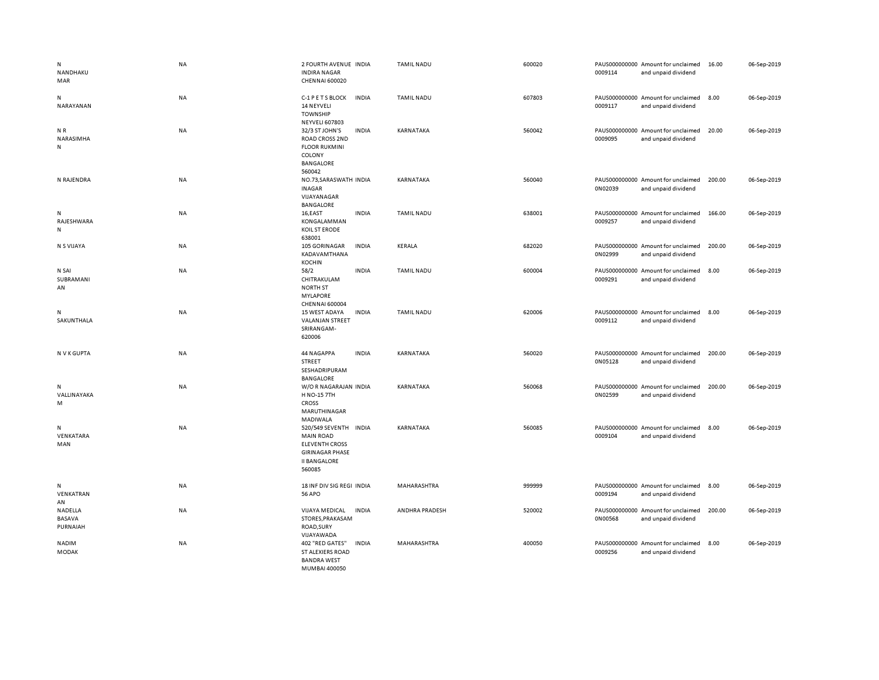| N<br>NANDHAKU<br>MAR          | <b>NA</b> | 2 FOURTH AVENUE INDIA<br><b>INDIRA NAGAR</b><br>CHENNAI 600020                                                                |              | <b>TAMIL NADU</b> | 600020 | 0009114 | PAUS000000000 Amount for unclaimed<br>and unpaid dividend | 16.00  | 06-Sep-2019 |
|-------------------------------|-----------|-------------------------------------------------------------------------------------------------------------------------------|--------------|-------------------|--------|---------|-----------------------------------------------------------|--------|-------------|
| N<br>NARAYANAN                | NA        | C-1 P E T S BLOCK<br>14 NEYVELI<br><b>TOWNSHIP</b><br><b>NEYVELI 607803</b>                                                   | <b>INDIA</b> | <b>TAMIL NADU</b> | 607803 | 0009117 | PAUS000000000 Amount for unclaimed<br>and unpaid dividend | 8.00   | 06-Sep-2019 |
| NR<br>NARASIMHA<br>N          | NA        | 32/3 ST JOHN'S<br><b>ROAD CROSS 2ND</b><br><b>FLOOR RUKMINI</b><br>COLONY<br><b>BANGALORE</b><br>560042                       | <b>INDIA</b> | KARNATAKA         | 560042 | 0009095 | PAUS000000000 Amount for unclaimed<br>and unpaid dividend | 20.00  | 06-Sep-2019 |
| N RAJENDRA                    | NA        | NO.73, SARASWATH INDIA<br><b>INAGAR</b><br>VIJAYANAGAR<br><b>BANGALORE</b>                                                    |              | KARNATAKA         | 560040 | 0N02039 | PAUS000000000 Amount for unclaimed<br>and unpaid dividend | 200.00 | 06-Sep-2019 |
| N<br>RAJESHWARA<br>N          | NA        | 16,EAST<br>KONGALAMMAN<br>KOIL ST ERODE<br>638001                                                                             | <b>INDIA</b> | TAMIL NADU        | 638001 | 0009257 | PAUS000000000 Amount for unclaimed<br>and unpaid dividend | 166.00 | 06-Sep-2019 |
| N S VIJAYA                    | <b>NA</b> | 105 GORINAGAR<br>KADAVAMTHANA<br><b>KOCHIN</b>                                                                                | <b>INDIA</b> | KERALA            | 682020 | 0N02999 | PAUS000000000 Amount for unclaimed<br>and unpaid dividend | 200.00 | 06-Sep-2019 |
| N SAI<br>SUBRAMANI<br>AN      | <b>NA</b> | 58/2<br>CHITRAKULAM<br><b>NORTH ST</b><br><b>MYLAPORE</b><br><b>CHENNAI 600004</b>                                            | <b>INDIA</b> | <b>TAMIL NADU</b> | 600004 | 0009291 | PAUS000000000 Amount for unclaimed<br>and unpaid dividend | 8.00   | 06-Sep-2019 |
| N<br>SAKUNTHALA               | <b>NA</b> | 15 WEST ADAYA<br>VALANJAN STREET<br>SRIRANGAM-<br>620006                                                                      | <b>INDIA</b> | <b>TAMIL NADU</b> | 620006 | 0009112 | PAUS000000000 Amount for unclaimed<br>and unpaid dividend | 8.00   | 06-Sep-2019 |
| N V K GUPTA                   | <b>NA</b> | 44 NAGAPPA<br>STREET<br>SESHADRIPURAM<br><b>BANGALORE</b>                                                                     | <b>INDIA</b> | KARNATAKA         | 560020 | 0N05128 | PAUS000000000 Amount for unclaimed<br>and unpaid dividend | 200.00 | 06-Sep-2019 |
| Ν<br>VALLINAYAKA<br>M         | NA        | W/OR NAGARAJAN INDIA<br><b>H NO-15 7TH</b><br><b>CROSS</b><br><b>MARUTHINAGAR</b><br>MADIWALA                                 |              | KARNATAKA         | 560068 | 0N02599 | PAUS000000000 Amount for unclaimed<br>and unpaid dividend | 200.00 | 06-Sep-2019 |
| N<br>VENKATARA<br>MAN         | NA        | 520/549 SEVENTH INDIA<br><b>MAIN ROAD</b><br><b>ELEVENTH CROSS</b><br><b>GIRINAGAR PHASE</b><br><b>II BANGALORE</b><br>560085 |              | KARNATAKA         | 560085 | 0009104 | PAUS000000000 Amount for unclaimed<br>and unpaid dividend | 8.00   | 06-Sep-2019 |
| N<br>VENKATRAN<br>AN          | NA        | 18 INF DIV SIG REGI INDIA<br><b>56 APO</b>                                                                                    |              | MAHARASHTRA       | 999999 | 0009194 | PAUS000000000 Amount for unclaimed<br>and unpaid dividend | 8.00   | 06-Sep-2019 |
| NADELLA<br>BASAVA<br>PURNAIAH | <b>NA</b> | <b>VIJAYA MEDICAL</b><br>STORES, PRAKASAM<br>ROAD, SURY<br>VIJAYAWADA                                                         | <b>INDIA</b> | ANDHRA PRADESH    | 520002 | 0N00568 | PAUS000000000 Amount for unclaimed<br>and unpaid dividend | 200.00 | 06-Sep-2019 |
| NADIM<br><b>MODAK</b>         | <b>NA</b> | 402 "RED GATES"<br>ST ALEXIERS ROAD<br><b>BANDRA WEST</b><br>MUMBAL400050                                                     | <b>INDIA</b> | MAHARASHTRA       | 400050 | 0009256 | PAUS000000000 Amount for unclaimed<br>and unpaid dividend | 8.00   | 06-Sep-2019 |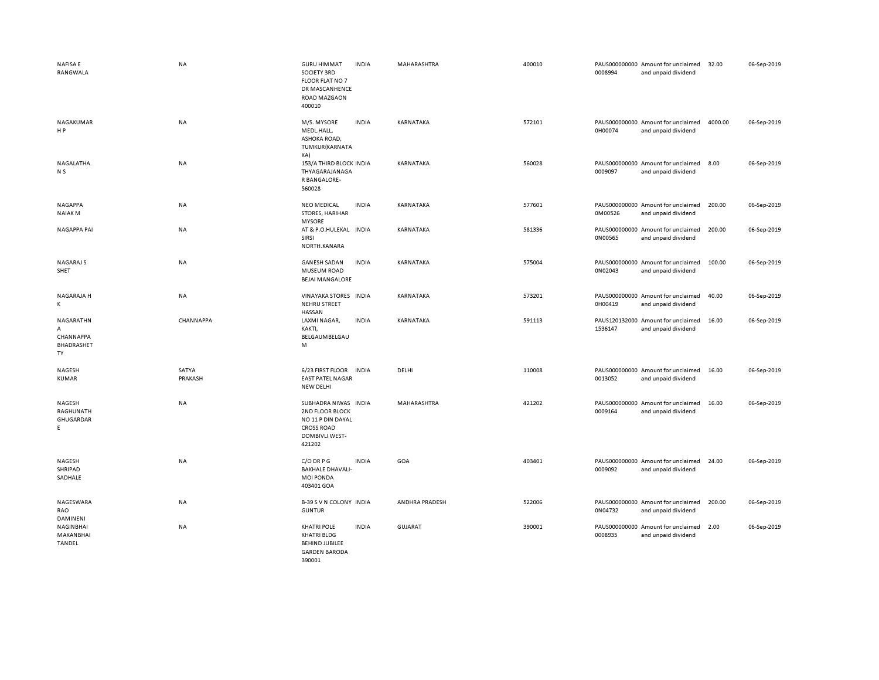| <b>NAFISAE</b><br>RANGWALA                      | <b>NA</b>        | <b>GURU HIMMAT</b><br>SOCIETY 3RD<br><b>FLOOR FLAT NO 7</b><br>DR MASCANHENCE<br>ROAD MAZGAON<br>400010       | <b>INDIA</b> | MAHARASHTRA      | 400010 | 0008994 | PAUS000000000 Amount for unclaimed<br>and unpaid dividend | 32.00   | 06-Sep-2019 |
|-------------------------------------------------|------------------|---------------------------------------------------------------------------------------------------------------|--------------|------------------|--------|---------|-----------------------------------------------------------|---------|-------------|
| NAGAKUMAR<br>HP                                 | <b>NA</b>        | M/S. MYSORE<br>MEDL.HALL,<br>ASHOKA ROAD,<br>TUMKUR(KARNATA<br>KA)                                            | <b>INDIA</b> | KARNATAKA        | 572101 | 0H00074 | PAUS000000000 Amount for unclaimed<br>and unpaid dividend | 4000.00 | 06-Sep-2019 |
| NAGALATHA<br>N <sub>S</sub>                     | NA               | 153/A THIRD BLOCK INDIA<br>THYAGARAJANAGA<br>R BANGALORE-<br>560028                                           |              | KARNATAKA        | 560028 | 0009097 | PAUS000000000 Amount for unclaimed<br>and unpaid dividend | 8.00    | 06-Sep-2019 |
| <b>NAGAPPA</b><br><b>NAIAKM</b>                 | NA               | <b>NEO MEDICAL</b><br>STORES, HARIHAR<br><b>MYSORE</b>                                                        | <b>INDIA</b> | <b>KARNATAKA</b> | 577601 | 0M00526 | PAUS000000000 Amount for unclaimed<br>and unpaid dividend | 200.00  | 06-Sep-2019 |
| <b>NAGAPPA PAI</b>                              | <b>NA</b>        | AT & P.O.HULEKAL INDIA<br>SIRSI<br>NORTH.KANARA                                                               |              | KARNATAKA        | 581336 | 0N00565 | PAUS000000000 Amount for unclaimed<br>and unpaid dividend | 200.00  | 06-Sep-2019 |
| NAGARAJ S<br>SHET                               | NA               | <b>GANESH SADAN</b><br>MUSEUM ROAD<br><b>BEJAI MANGALORE</b>                                                  | <b>INDIA</b> | KARNATAKA        | 575004 | 0N02043 | PAUS000000000 Amount for unclaimed<br>and unpaid dividend | 100.00  | 06-Sep-2019 |
| NAGARAJA H<br>K                                 | NA               | VINAYAKA STORES INDIA<br><b>NEHRU STREET</b><br><b>HASSAN</b>                                                 |              | KARNATAKA        | 573201 | 0H00419 | PAUS000000000 Amount for unclaimed<br>and unpaid dividend | 40.00   | 06-Sep-2019 |
| NAGARATHN<br>A<br>CHANNAPPA<br>BHADRASHET<br>TY | CHANNAPPA        | LAXMI NAGAR,<br>KAKTI,<br>BELGAUMBELGAU<br>M                                                                  | <b>INDIA</b> | KARNATAKA        | 591113 | 1536147 | PAUS120132000 Amount for unclaimed<br>and unpaid dividend | 16.00   | 06-Sep-2019 |
| NAGESH<br><b>KUMAR</b>                          | SATYA<br>PRAKASH | 6/23 FIRST FLOOR<br><b>EAST PATEL NAGAR</b><br><b>NEW DELHI</b>                                               | <b>INDIA</b> | DELHI            | 110008 | 0013052 | PAUS000000000 Amount for unclaimed<br>and unpaid dividend | 16.00   | 06-Sep-2019 |
| NAGESH<br>RAGHUNATH<br>GHUGARDAR<br>E.          | <b>NA</b>        | SUBHADRA NIWAS INDIA<br>2ND FLOOR BLOCK<br>NO 11 P DIN DAYAL<br><b>CROSS ROAD</b><br>DOMBIVLI WEST-<br>421202 |              | MAHARASHTRA      | 421202 | 0009164 | PAUS000000000 Amount for unclaimed<br>and unpaid dividend | 16.00   | 06-Sep-2019 |
| NAGESH<br>SHRIPAD<br>SADHALE                    | <b>NA</b>        | C/O DRPG<br><b>BAKHALE DHAVALI-</b><br><b>MOI PONDA</b><br>403401 GOA                                         | <b>INDIA</b> | GOA              | 403401 | 0009092 | PAUS000000000 Amount for unclaimed<br>and unpaid dividend | 24.00   | 06-Sep-2019 |
| NAGESWARA<br>RAO<br>DAMINENI                    | ΝA               | B-39 S V N COLONY INDIA<br><b>GUNTUR</b>                                                                      |              | ANDHRA PRADESH   | 522006 | 0N04732 | PAUS000000000 Amount for unclaimed<br>and unpaid dividend | 200.00  | 06-Sep-2019 |
| NAGINBHAI<br>MAKANBHAI<br><b>TANDEL</b>         | <b>NA</b>        | <b>KHATRI POLE</b><br><b>KHATRI BLDG</b><br><b>BEHIND JUBILEE</b><br><b>GARDEN BARODA</b><br>390001           | <b>INDIA</b> | <b>GUJARAT</b>   | 390001 | 0008935 | PAUS000000000 Amount for unclaimed<br>and unpaid dividend | 2.00    | 06-Sep-2019 |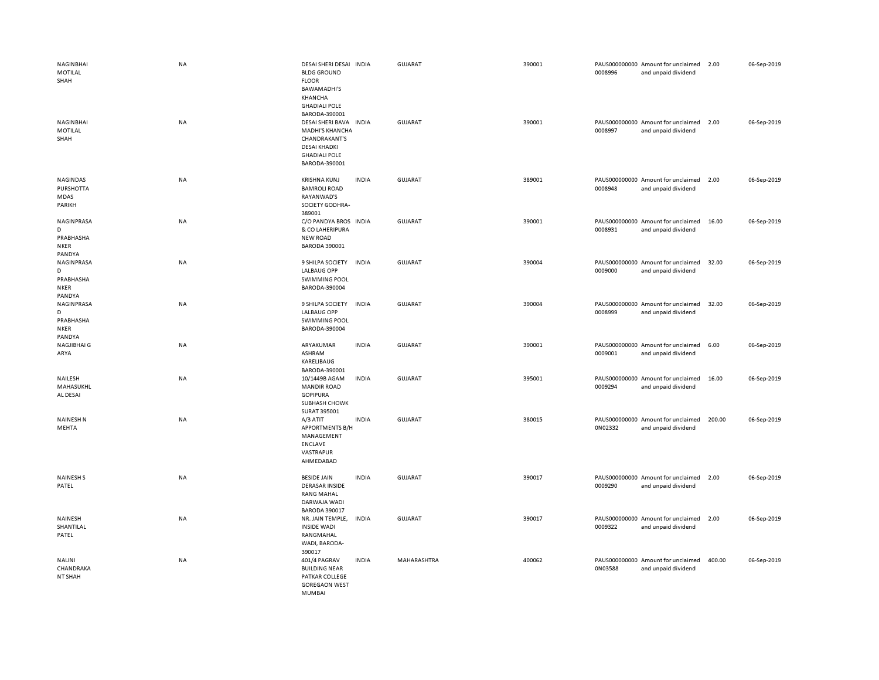| NAGINBHAI<br>MOTILAL<br>SHAH                          | <b>NA</b> | DESAI SHERI DESAI INDIA<br><b>BLDG GROUND</b><br><b>FLOOR</b><br><b>BAWAMADHI'S</b><br>KHANCHA<br><b>GHADIALI POLE</b><br>BARODA-390001 |              | GUJARAT        | 390001 | 0008996 | PAUS000000000 Amount for unclaimed<br>and unpaid dividend | 2.00   | 06-Sep-2019 |
|-------------------------------------------------------|-----------|-----------------------------------------------------------------------------------------------------------------------------------------|--------------|----------------|--------|---------|-----------------------------------------------------------|--------|-------------|
| NAGINBHAI<br>MOTILAL<br>SHAH                          | <b>NA</b> | DESAI SHERI BAVA<br><b>MADHI'S KHANCHA</b><br><b>CHANDRAKANT'S</b><br><b>DESAI KHADKI</b><br><b>GHADIALI POLE</b><br>BARODA-390001      | <b>INDIA</b> | <b>GUJARAT</b> | 390001 | 0008997 | PAUS000000000 Amount for unclaimed<br>and unpaid dividend | 2.00   | 06-Sep-2019 |
| NAGINDAS<br>PURSHOTTA<br>MDAS<br>PARIKH               | NA        | <b>KRISHNA KUNJ</b><br><b>BAMROLI ROAD</b><br>RAYANWAD'S<br>SOCIETY GODHRA-<br>389001                                                   | <b>INDIA</b> | <b>GUJARAT</b> | 389001 | 0008948 | PAUS000000000 Amount for unclaimed<br>and unpaid dividend | 2.00   | 06-Sep-2019 |
| NAGINPRASA<br>D<br>PRABHASHA<br><b>NKER</b><br>PANDYA | NA        | C/O PANDYA BROS INDIA<br>& CO LAHERIPURA<br><b>NEW ROAD</b><br><b>BARODA 390001</b>                                                     |              | GUJARAT        | 390001 | 0008931 | PAUS000000000 Amount for unclaimed<br>and unpaid dividend | 16.00  | 06-Sep-2019 |
| NAGINPRASA<br>D<br>PRABHASHA<br><b>NKER</b><br>PANDYA | NA        | 9 SHILPA SOCIETY<br><b>LALBAUG OPP</b><br><b>SWIMMING POOL</b><br>BARODA-390004                                                         | <b>INDIA</b> | <b>GUJARAT</b> | 390004 | 0009000 | PAUS000000000 Amount for unclaimed<br>and unpaid dividend | 32.00  | 06-Sep-2019 |
| NAGINPRASA<br>D<br>PRABHASHA<br><b>NKER</b><br>PANDYA | <b>NA</b> | 9 SHILPA SOCIETY<br><b>LALBAUG OPP</b><br><b>SWIMMING POOL</b><br>BARODA-390004                                                         | <b>INDIA</b> | <b>GUJARAT</b> | 390004 | 0008999 | PAUS000000000 Amount for unclaimed<br>and unpaid dividend | 32.00  | 06-Sep-2019 |
| NAGJIBHAI G<br>ARYA                                   | NA        | ARYAKUMAR<br>ASHRAM<br>KARELIBAUG<br>BARODA-390001                                                                                      | <b>INDIA</b> | GUJARAT        | 390001 | 0009001 | PAUS000000000 Amount for unclaimed<br>and unpaid dividend | 6.00   | 06-Sep-2019 |
| NAILESH<br>MAHASUKHL<br>AL DESAI                      | NA        | 10/1449B AGAM<br><b>MANDIR ROAD</b><br><b>GOPIPURA</b><br>SUBHASH CHOWK<br>SURAT 395001                                                 | <b>INDIA</b> | <b>GUJARAT</b> | 395001 | 0009294 | PAUS000000000 Amount for unclaimed<br>and unpaid dividend | 16.00  | 06-Sep-2019 |
| <b>NAINESH N</b><br>MEHTA                             | <b>NA</b> | A/3 ATIT<br><b>APPORTMENTS B/H</b><br>MANAGEMENT<br><b>ENCLAVE</b><br>VASTRAPUR<br>AHMEDABAD                                            | <b>INDIA</b> | <b>GUJARAT</b> | 380015 | 0N02332 | PAUS000000000 Amount for unclaimed<br>and unpaid dividend | 200.00 | 06-Sep-2019 |
| <b>NAINESH S</b><br>PATEL                             | NA        | <b>BESIDE JAIN</b><br><b>DERASAR INSIDE</b><br><b>RANG MAHAL</b><br>DARWAJA WADI<br><b>BARODA 390017</b>                                | <b>INDIA</b> | <b>GUJARAT</b> | 390017 | 0009290 | PAUS000000000 Amount for unclaimed<br>and unpaid dividend | 2.00   | 06-Sep-2019 |
| NAINESH<br>SHANTILAL<br>PATEL                         | <b>NA</b> | NR. JAIN TEMPLE,<br><b>INSIDE WADI</b><br>RANGMAHAL<br>WADI, BARODA-<br>390017                                                          | <b>INDIA</b> | <b>GUJARAT</b> | 390017 | 0009322 | PAUS000000000 Amount for unclaimed<br>and unpaid dividend | 2.00   | 06-Sep-2019 |
| <b>NALINI</b><br>CHANDRAKA<br>NT SHAH                 | NA        | 401/4 PAGRAV<br><b>BUILDING NEAR</b><br>PATKAR COLLEGE<br><b>GOREGAON WEST</b><br><b>MUMBAL</b>                                         | <b>INDIA</b> | MAHARASHTRA    | 400062 | 0N03588 | PAUS000000000 Amount for unclaimed<br>and unpaid dividend | 400.00 | 06-Sep-2019 |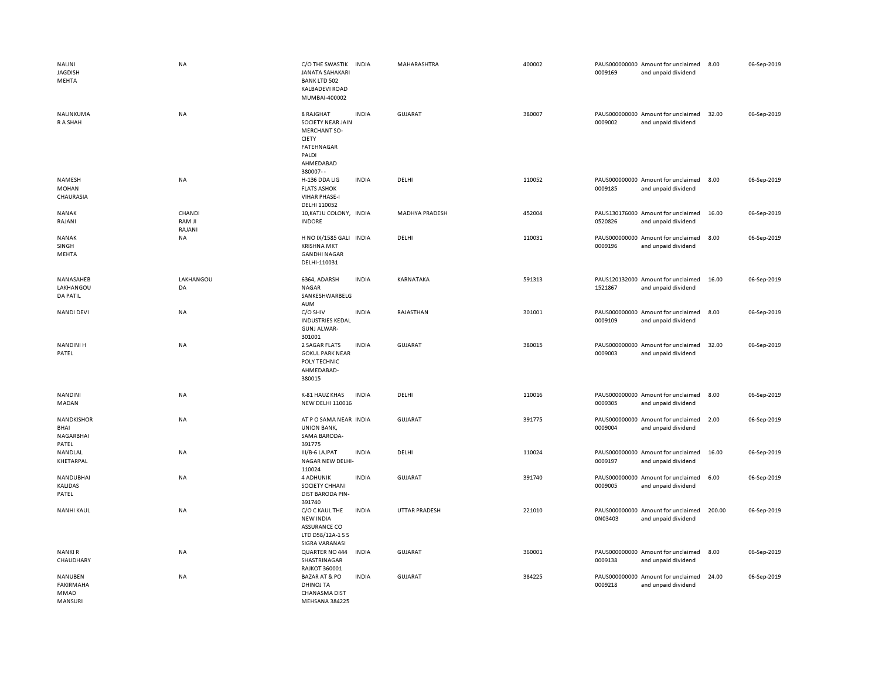| NALINI<br>JAGDISH<br>MEHTA                      | <b>NA</b>                  | C/O THE SWASTIK<br><b>JANATA SAHAKARI</b><br><b>BANK LTD 502</b><br><b>KALBADEVI ROAD</b><br>MUMBAI-400002                   | <b>INDIA</b> | MAHARASHTRA    | 400002 | 0009169 | PAUS000000000 Amount for unclaimed<br>and unpaid dividend | 8.00   | 06-Sep-2019 |
|-------------------------------------------------|----------------------------|------------------------------------------------------------------------------------------------------------------------------|--------------|----------------|--------|---------|-----------------------------------------------------------|--------|-------------|
| NALINKUMA<br>R A SHAH                           | <b>NA</b>                  | 8 RAJGHAT<br>SOCIETY NEAR JAIN<br><b>MERCHANT SO-</b><br><b>CIETY</b><br><b>FATEHNAGAR</b><br>PALDI<br>AHMEDABAD<br>380007-- | <b>INDIA</b> | <b>GUJARAT</b> | 380007 | 0009002 | PAUS000000000 Amount for unclaimed<br>and unpaid dividend | 32.00  | 06-Sep-2019 |
| NAMESH<br><b>MOHAN</b><br>CHAURASIA             | <b>NA</b>                  | H-136 DDA LIG<br><b>FLATS ASHOK</b><br><b>VIHAR PHASE-I</b><br>DELHI 110052                                                  | <b>INDIA</b> | DELHI          | 110052 | 0009185 | PAUS000000000 Amount for unclaimed<br>and unpaid dividend | 8.00   | 06-Sep-2019 |
| <b>NANAK</b><br>RAJANI                          | CHANDI<br>RAM JI<br>RAJANI | 10, KATJU COLONY, INDIA<br><b>INDORE</b>                                                                                     |              | MADHYA PRADESH | 452004 | 0520826 | PAUS130176000 Amount for unclaimed<br>and unpaid dividend | 16.00  | 06-Sep-2019 |
| <b>NANAK</b><br>SINGH<br>MEHTA                  | NA                         | H NO IX/1585 GALI INDIA<br><b>KRISHNA MKT</b><br><b>GANDHI NAGAR</b><br>DELHI-110031                                         |              | DELHI          | 110031 | 0009196 | PAUS000000000 Amount for unclaimed<br>and unpaid dividend | 8.00   | 06-Sep-2019 |
| NANASAHEB<br>LAKHANGOU<br><b>DA PATIL</b>       | LAKHANGOU<br>DA            | 6364, ADARSH<br>NAGAR<br>SANKESHWARBELG<br>AUM                                                                               | <b>INDIA</b> | KARNATAKA      | 591313 | 1521867 | PAUS120132000 Amount for unclaimed<br>and unpaid dividend | 16.00  | 06-Sep-2019 |
| NANDI DEVI                                      | <b>NA</b>                  | C/O SHIV<br><b>INDUSTRIES KEDAL</b><br><b>GUNJ ALWAR-</b><br>301001                                                          | <b>INDIA</b> | RAJASTHAN      | 301001 | 0009109 | PAUS000000000 Amount for unclaimed<br>and unpaid dividend | 8.00   | 06-Sep-2019 |
| <b>NANDINI H</b><br>PATEL                       | NA                         | 2 SAGAR FLATS<br><b>GOKUL PARK NEAR</b><br>POLY TECHNIC<br>AHMEDABAD-<br>380015                                              | <b>INDIA</b> | <b>GUJARAT</b> | 380015 | 0009003 | PAUS000000000 Amount for unclaimed<br>and unpaid dividend | 32.00  | 06-Sep-2019 |
| <b>NANDINI</b><br>MADAN                         | <b>NA</b>                  | K-81 HAUZ KHAS<br><b>NEW DELHI 110016</b>                                                                                    | <b>INDIA</b> | DELHI          | 110016 | 0009305 | PAUS000000000 Amount for unclaimed<br>and unpaid dividend | 8.00   | 06-Sep-2019 |
| <b>NANDKISHOR</b><br>BHAI<br>NAGARBHAI<br>PATEL | <b>NA</b>                  | AT P O SAMA NEAR INDIA<br><b>UNION BANK,</b><br>SAMA BARODA-<br>391775                                                       |              | <b>GUJARAT</b> | 391775 | 0009004 | PAUS000000000 Amount for unclaimed<br>and unpaid dividend | 2.00   | 06-Sep-2019 |
| NANDLAL<br>KHETARPAL                            | <b>NA</b>                  | III/B-6 LAJPAT<br>NAGAR NEW DELHI-<br>110024                                                                                 | <b>INDIA</b> | DELHI          | 110024 | 0009197 | PAUS000000000 Amount for unclaimed<br>and unpaid dividend | 16.00  | 06-Sep-2019 |
| NANDUBHAI<br>KALIDAS<br>PATEL                   | <b>NA</b>                  | <b>4 ADHUNIK</b><br>SOCIETY CHHANI<br>DIST BARODA PIN-<br>391740                                                             | <b>INDIA</b> | <b>GUJARAT</b> | 391740 | 0009005 | PAUS000000000 Amount for unclaimed<br>and unpaid dividend | 6.00   | 06-Sep-2019 |
| <b>NANHI KAUL</b>                               | <b>NA</b>                  | C/O C KAUL THE<br><b>NEW INDIA</b><br>ASSURANCE CO<br>LTD D58/12A-1 S S<br>SIGRA VARANASI                                    | <b>INDIA</b> | UTTAR PRADESH  | 221010 | 0N03403 | PAUS000000000 Amount for unclaimed<br>and unpaid dividend | 200.00 | 06-Sep-2019 |
| NANKI R<br>CHAUDHARY                            | NA                         | QUARTER NO 444<br>SHASTRINAGAR<br><b>RAJKOT 360001</b>                                                                       | <b>INDIA</b> | <b>GUJARAT</b> | 360001 | 0009138 | PAUS000000000 Amount for unclaimed<br>and unpaid dividend | 8.00   | 06-Sep-2019 |
| NANUBEN<br><b>FAKIRMAHA</b><br>MMAD<br>MANSURI  | <b>NA</b>                  | <b>BAZAR AT &amp; PO</b><br><b>DHINOJ TA</b><br><b>CHANASMA DIST</b><br><b>MEHSANA 384225</b>                                | <b>INDIA</b> | <b>GUJARAT</b> | 384225 | 0009218 | PAUS000000000 Amount for unclaimed<br>and unpaid dividend | 24.00  | 06-Sep-2019 |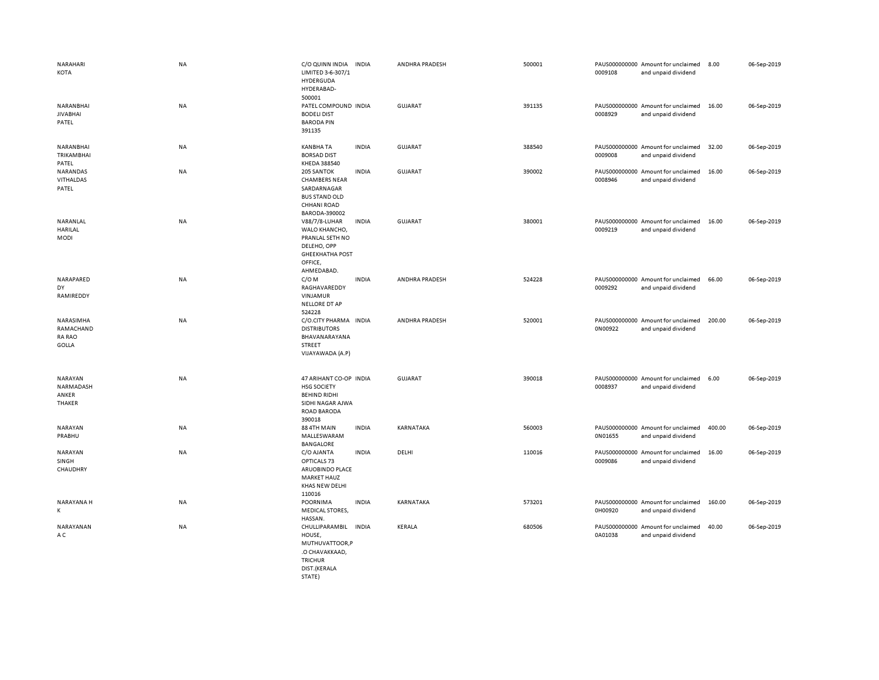| NARAHARI<br>KOTA                                 | NA        | C/O QUINN INDIA<br>LIMITED 3-6-307/1<br>HYDERGUDA<br>HYDERABAD-<br>500001                                               | <b>INDIA</b> | ANDHRA PRADESH        | 500001 | 0009108 | PAUS000000000 Amount for unclaimed<br>and unpaid dividend | 8.00   | 06-Sep-2019 |
|--------------------------------------------------|-----------|-------------------------------------------------------------------------------------------------------------------------|--------------|-----------------------|--------|---------|-----------------------------------------------------------|--------|-------------|
| NARANBHAI<br><b>JIVABHAI</b><br>PATEL            | <b>NA</b> | PATEL COMPOUND INDIA<br><b>BODELI DIST</b><br><b>BARODA PIN</b><br>391135                                               |              | GUJARAT               | 391135 | 0008929 | PAUS000000000 Amount for unclaimed<br>and unpaid dividend | 16.00  | 06-Sep-2019 |
| NARANBHAI<br>TRIKAMBHAI<br>PATEL                 | <b>NA</b> | <b>KANBHA TA</b><br><b>BORSAD DIST</b><br>KHEDA 388540                                                                  | <b>INDIA</b> | <b>GUJARAT</b>        | 388540 | 0009008 | PAUS000000000 Amount for unclaimed<br>and unpaid dividend | 32.00  | 06-Sep-2019 |
| NARANDAS<br><b>VITHALDAS</b><br>PATEL            | NA        | 205 SANTOK<br><b>CHAMBERS NEAR</b><br>SARDARNAGAR<br><b>BUS STAND OLD</b><br><b>CHHANI ROAD</b><br>BARODA-390002        | <b>INDIA</b> | GUJARAT               | 390002 | 0008946 | PAUS000000000 Amount for unclaimed<br>and unpaid dividend | 16.00  | 06-Sep-2019 |
| NARANLAL<br><b>HARILAL</b><br><b>MODI</b>        | <b>NA</b> | V88/7/8-LUHAR<br>WALO KHANCHO,<br>PRANLAL SETH NO<br>DELEHO, OPP<br><b>GHEEKHATHA POST</b><br>OFFICE,<br>AHMEDABAD.     | <b>INDIA</b> | <b>GUJARAT</b>        | 380001 | 0009219 | PAUS000000000 Amount for unclaimed<br>and unpaid dividend | 16.00  | 06-Sep-2019 |
| NARAPARED<br>DY<br>RAMIREDDY                     | <b>NA</b> | $C/O$ M<br>RAGHAVAREDDY<br>VINJAMUR<br><b>NELLORE DT AP</b><br>524228                                                   | <b>INDIA</b> | ANDHRA PRADESH        | 524228 | 0009292 | PAUS000000000 Amount for unclaimed<br>and unpaid dividend | 66.00  | 06-Sep-2019 |
| NARASIMHA<br>RAMACHAND<br>RA RAO<br><b>GOLLA</b> | <b>NA</b> | C/O.CITY PHARMA INDIA<br><b>DISTRIBUTORS</b><br>BHAVANARAYANA<br>STREET<br>VIJAYAWADA (A.P)                             |              | <b>ANDHRA PRADESH</b> | 520001 | 0N00922 | PAUS000000000 Amount for unclaimed<br>and unpaid dividend | 200.00 | 06-Sep-2019 |
| NARAYAN<br>NARMADASH<br>ANKER<br>THAKER          | NA        | 47 ARIHANT CO-OP INDIA<br><b>HSG SOCIETY</b><br><b>BEHIND RIDHI</b><br>SIDHI NAGAR AJWA<br><b>ROAD BARODA</b><br>390018 |              | <b>GUJARAT</b>        | 390018 | 0008937 | PAUS000000000 Amount for unclaimed<br>and unpaid dividend | 6.00   | 06-Sep-2019 |
| NARAYAN<br>PRABHU                                | NA        | 88 4TH MAIN<br>MALLESWARAM<br><b>BANGALORE</b>                                                                          | <b>INDIA</b> | KARNATAKA             | 560003 | 0N01655 | PAUS000000000 Amount for unclaimed<br>and unpaid dividend | 400.00 | 06-Sep-2019 |
| NARAYAN<br>SINGH<br>CHAUDHRY                     | NA        | C/O AJANTA<br>OPTICALS 73<br>ARUOBINDO PLACE<br><b>MARKET HAUZ</b><br>KHAS NEW DELHI<br>110016                          | <b>INDIA</b> | DELHI                 | 110016 | 0009086 | PAUS000000000 Amount for unclaimed<br>and unpaid dividend | 16.00  | 06-Sep-2019 |
| NARAYANA H<br>K                                  | <b>NA</b> | POORNIMA<br><b>MEDICAL STORES,</b><br>HASSAN.                                                                           | <b>INDIA</b> | KARNATAKA             | 573201 | 0H00920 | PAUS000000000 Amount for unclaimed<br>and unpaid dividend | 160.00 | 06-Sep-2019 |
| NARAYANAN<br>A C                                 | NA        | CHULLIPARAMBIL INDIA<br>HOUSE,<br>MUTHUVATTOOR,P<br>.O CHAVAKKAAD,<br><b>TRICHUR</b><br>DIST.(KERALA<br>STATE)          |              | KERALA                | 680506 | 0A01038 | PAUS000000000 Amount for unclaimed<br>and unpaid dividend | 40.00  | 06-Sep-2019 |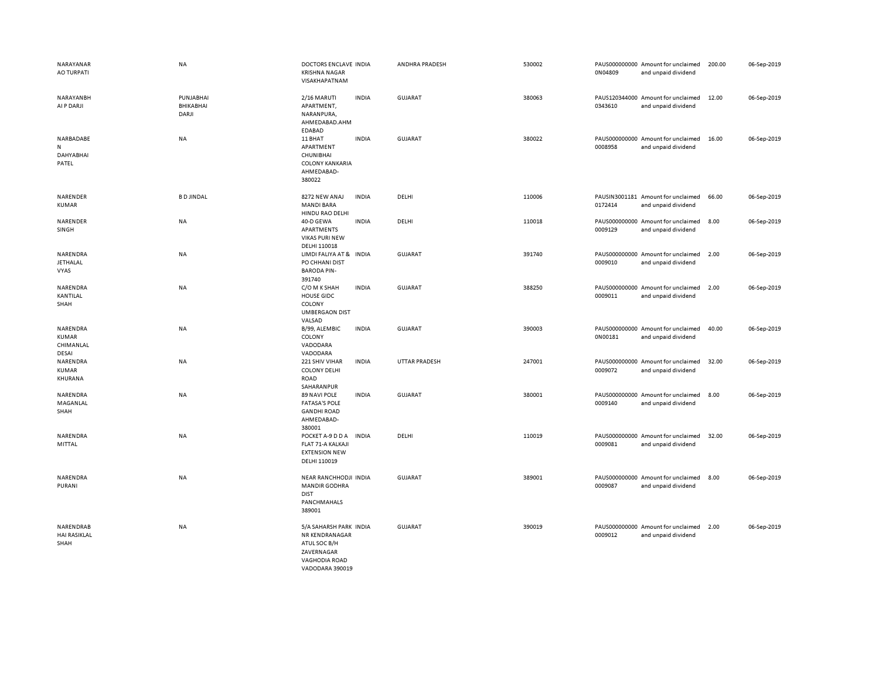| NARAYANAR<br><b>AO TURPATI</b>                 | <b>NA</b>                       | DOCTORS ENCLAVE INDIA<br><b>KRISHNA NAGAR</b><br>VISAKHAPATNAM                                             |              | ANDHRA PRADESH | 530002 | 0N04809 | PAUS000000000 Amount for unclaimed<br>and unpaid dividend | 200.00 | 06-Sep-2019 |
|------------------------------------------------|---------------------------------|------------------------------------------------------------------------------------------------------------|--------------|----------------|--------|---------|-----------------------------------------------------------|--------|-------------|
| NARAYANBH<br>AI P DARJI                        | PUNJABHAI<br>BHIKABHAI<br>DARJI | 2/16 MARUTI<br>APARTMENT,<br>NARANPURA,<br>AHMEDABAD.AHM<br>EDABAD                                         | <b>INDIA</b> | <b>GUJARAT</b> | 380063 | 0343610 | PAUS120344000 Amount for unclaimed<br>and unpaid dividend | 12.00  | 06-Sep-2019 |
| NARBADABE<br>N<br>DAHYABHAI<br>PATEL           | <b>NA</b>                       | 11 BHAT<br>APARTMENT<br>CHUNIBHAI<br><b>COLONY KANKARIA</b><br>AHMEDABAD-<br>380022                        | <b>INDIA</b> | GUJARAT        | 380022 | 0008958 | PAUS000000000 Amount for unclaimed<br>and unpaid dividend | 16.00  | 06-Sep-2019 |
| NARENDER<br><b>KUMAR</b>                       | <b>BD JINDAL</b>                | 8272 NEW ANAJ<br><b>MANDI BARA</b><br>HINDU RAO DELHI                                                      | <b>INDIA</b> | DELHI          | 110006 | 0172414 | PAUSIN3001181 Amount for unclaimed<br>and unpaid dividend | 66.00  | 06-Sep-2019 |
| NARENDER<br>SINGH                              | NA                              | 40-D GEWA<br>APARTMENTS<br>VIKAS PURI NEW<br>DELHI 110018                                                  | <b>INDIA</b> | DELHI          | 110018 | 0009129 | PAUS000000000 Amount for unclaimed<br>and unpaid dividend | 8.00   | 06-Sep-2019 |
| NARENDRA<br><b>JETHALAL</b><br>VYAS            | NA                              | LIMDI FALIYA AT & INDIA<br>PO CHHANI DIST<br><b>BARODA PIN-</b><br>391740                                  |              | <b>GUJARAT</b> | 391740 | 0009010 | PAUS000000000 Amount for unclaimed<br>and unpaid dividend | 2.00   | 06-Sep-2019 |
| NARENDRA<br>KANTILAL<br>SHAH                   | NA                              | C/O M K SHAH<br><b>HOUSE GIDC</b><br>COLONY<br><b>UMBERGAON DIST</b><br>VALSAD                             | <b>INDIA</b> | <b>GUJARAT</b> | 388250 | 0009011 | PAUS000000000 Amount for unclaimed<br>and unpaid dividend | 2.00   | 06-Sep-2019 |
| NARENDRA<br><b>KUMAR</b><br>CHIMANLAL<br>DESAI | NA                              | B/99, ALEMBIC<br>COLONY<br>VADODARA<br>VADODARA                                                            | <b>INDIA</b> | GUJARAT        | 390003 | 0N00181 | PAUS000000000 Amount for unclaimed<br>and unpaid dividend | 40.00  | 06-Sep-2019 |
| NARENDRA<br><b>KUMAR</b><br>KHURANA            | NA                              | 221 SHIV VIHAR<br><b>COLONY DELHI</b><br>ROAD<br>SAHARANPUR                                                | <b>INDIA</b> | UTTAR PRADESH  | 247001 | 0009072 | PAUS000000000 Amount for unclaimed<br>and unpaid dividend | 32.00  | 06-Sep-2019 |
| NARENDRA<br>MAGANLAL<br>SHAH                   | <b>NA</b>                       | 89 NAVI POLE<br><b>FATASA'S POLE</b><br><b>GANDHI ROAD</b><br>AHMEDABAD-<br>380001                         | <b>INDIA</b> | GUJARAT        | 380001 | 0009140 | PAUS000000000 Amount for unclaimed<br>and unpaid dividend | 8.00   | 06-Sep-2019 |
| NARENDRA<br>MITTAL                             | <b>NA</b>                       | POCKET A-9 D D A<br>FLAT 71-A KALKAJI<br><b>EXTENSION NEW</b><br>DELHI 110019                              | <b>INDIA</b> | DELHI          | 110019 | 0009081 | PAUS000000000 Amount for unclaimed<br>and unpaid dividend | 32.00  | 06-Sep-2019 |
| NARENDRA<br>PURANI                             | NA                              | NEAR RANCHHODJI INDIA<br><b>MANDIR GODHRA</b><br><b>DIST</b><br>PANCHMAHALS<br>389001                      |              | <b>GUJARAT</b> | 389001 | 0009087 | PAUS000000000 Amount for unclaimed<br>and unpaid dividend | 8.00   | 06-Sep-2019 |
| NARENDRAB<br><b>HAI RASIKLAL</b><br>SHAH       | NA                              | 5/A SAHARSH PARK INDIA<br>NR KENDRANAGAR<br>ATUL SOC B/H<br>ZAVERNAGAR<br>VAGHODIA ROAD<br>VADODARA 390019 |              | <b>GUJARAT</b> | 390019 | 0009012 | PAUS000000000 Amount for unclaimed<br>and unpaid dividend | 2.00   | 06-Sep-2019 |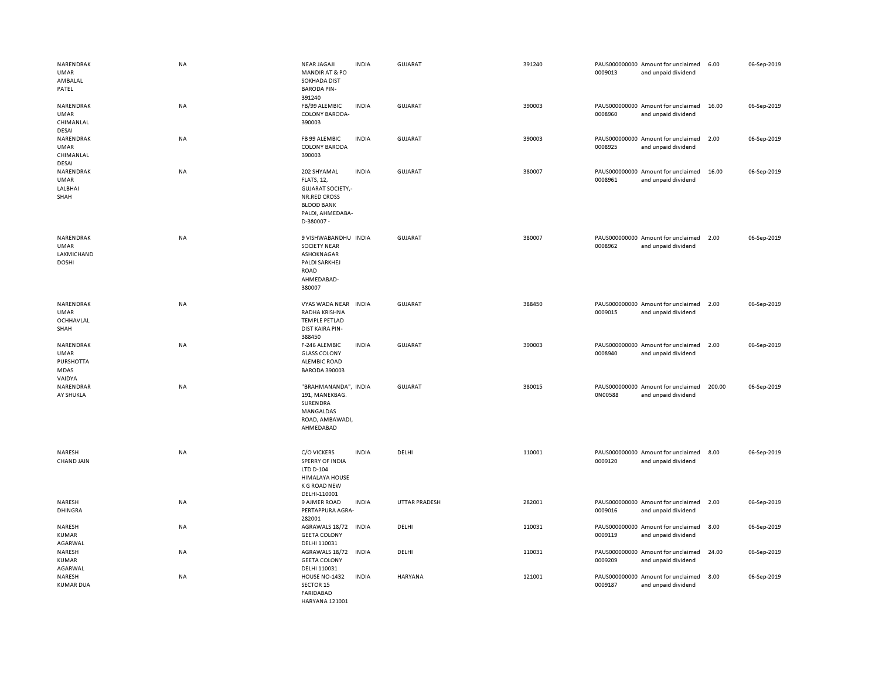| NARENDRAK<br>UMAR<br>AMBALAL<br>PATEL                   | <b>NA</b> | <b>NEAR JAGAJI</b><br><b>MANDIR AT &amp; PO</b><br><b>SOKHADA DIST</b><br><b>BARODA PIN-</b><br>391240                                    | <b>INDIA</b> | GUJARAT              | 391240 | 0009013 | PAUS000000000 Amount for unclaimed<br>and unpaid dividend | 6.00   | 06-Sep-2019 |
|---------------------------------------------------------|-----------|-------------------------------------------------------------------------------------------------------------------------------------------|--------------|----------------------|--------|---------|-----------------------------------------------------------|--------|-------------|
| NARENDRAK<br><b>UMAR</b><br>CHIMANLAL<br><b>DESAI</b>   | NA        | FB/99 ALEMBIC<br><b>COLONY BARODA-</b><br>390003                                                                                          | <b>INDIA</b> | GUJARAT              | 390003 | 0008960 | PAUS000000000 Amount for unclaimed<br>and unpaid dividend | 16.00  | 06-Sep-2019 |
| NARENDRAK<br><b>UMAR</b><br>CHIMANLAL<br>DESAI          | NA        | FB 99 ALEMBIC<br><b>COLONY BARODA</b><br>390003                                                                                           | <b>INDIA</b> | <b>GUJARAT</b>       | 390003 | 0008925 | PAUS000000000 Amount for unclaimed<br>and unpaid dividend | 2.00   | 06-Sep-2019 |
| NARENDRAK<br><b>UMAR</b><br>LALBHAI<br>SHAH             | NA        | 202 SHYAMAL<br><b>FLATS, 12,</b><br><b>GUJARAT SOCIETY,-</b><br><b>NR.RED CROSS</b><br><b>BLOOD BANK</b><br>PALDI, AHMEDABA-<br>D-380007- | <b>INDIA</b> | <b>GUJARAT</b>       | 380007 | 0008961 | PAUS000000000 Amount for unclaimed<br>and unpaid dividend | 16.00  | 06-Sep-2019 |
| NARENDRAK<br><b>UMAR</b><br>LAXMICHAND<br><b>DOSHI</b>  | NA        | 9 VISHWABANDHU INDIA<br><b>SOCIETY NEAR</b><br>ASHOKNAGAR<br>PALDI SARKHEJ<br>ROAD<br>AHMEDABAD-<br>380007                                |              | <b>GUJARAT</b>       | 380007 | 0008962 | PAUS000000000 Amount for unclaimed<br>and unpaid dividend | 2.00   | 06-Sep-2019 |
| NARENDRAK<br><b>UMAR</b><br>OCHHAVLAL<br>SHAH           | <b>NA</b> | VYAS WADA NEAR<br>RADHA KRISHNA<br><b>TEMPLE PETLAD</b><br><b>DIST KAIRA PIN-</b><br>388450                                               | <b>INDIA</b> | GUJARAT              | 388450 | 0009015 | PAUS000000000 Amount for unclaimed<br>and unpaid dividend | 2.00   | 06-Sep-2019 |
| NARENDRAK<br><b>UMAR</b><br>PURSHOTTA<br>MDAS<br>VAIDYA | <b>NA</b> | F-246 ALEMBIC<br><b>GLASS COLONY</b><br><b>ALEMBIC ROAD</b><br><b>BARODA 390003</b>                                                       | <b>INDIA</b> | GUJARAT              | 390003 | 0008940 | PAUS000000000 Amount for unclaimed<br>and unpaid dividend | 2.00   | 06-Sep-2019 |
| NARENDRAR<br>AY SHUKLA                                  | <b>NA</b> | "BRAHMANANDA", INDIA<br>191, MANEKBAG.<br>SURENDRA<br>MANGALDAS<br>ROAD, AMBAWADI,<br>AHMEDABAD                                           |              | <b>GUJARAT</b>       | 380015 | 0N00588 | PAUS000000000 Amount for unclaimed<br>and unpaid dividend | 200.00 | 06-Sep-2019 |
| NARESH<br>CHAND JAIN                                    | NA        | <b>C/O VICKERS</b><br>SPERRY OF INDIA<br>LTD D-104<br><b>HIMALAYA HOUSE</b><br><b>K G ROAD NEW</b><br>DELHI-110001                        | <b>INDIA</b> | DELHI                | 110001 | 0009120 | PAUS000000000 Amount for unclaimed<br>and unpaid dividend | 8.00   | 06-Sep-2019 |
| NARESH<br><b>DHINGRA</b>                                | <b>NA</b> | 9 AJMER ROAD<br>PERTAPPURA AGRA-<br>282001                                                                                                | <b>INDIA</b> | <b>UTTAR PRADESH</b> | 282001 | 0009016 | PAUS000000000 Amount for unclaimed<br>and unpaid dividend | 2.00   | 06-Sep-2019 |
| NARESH<br><b>KUMAR</b><br>AGARWAL                       | NA        | AGRAWALS 18/72<br><b>GEETA COLONY</b><br>DELHI 110031                                                                                     | <b>INDIA</b> | DELHI                | 110031 | 0009119 | PAUS000000000 Amount for unclaimed<br>and unpaid dividend | 8.00   | 06-Sep-2019 |
| NARESH<br><b>KUMAR</b><br>AGARWAL                       | NA        | AGRAWALS 18/72<br><b>GEETA COLONY</b><br>DELHI 110031                                                                                     | <b>INDIA</b> | DELHI                | 110031 | 0009209 | PAUS000000000 Amount for unclaimed<br>and unpaid dividend | 24.00  | 06-Sep-2019 |
| NARESH<br><b>KUMAR DUA</b>                              | NA        | HOUSE NO-1432<br>SECTOR 15<br><b>FARIDABAD</b><br>HARYANA 121001                                                                          | <b>INDIA</b> | HARYANA              | 121001 | 0009187 | PAUS000000000 Amount for unclaimed<br>and unpaid dividend | 8.00   | 06-Sep-2019 |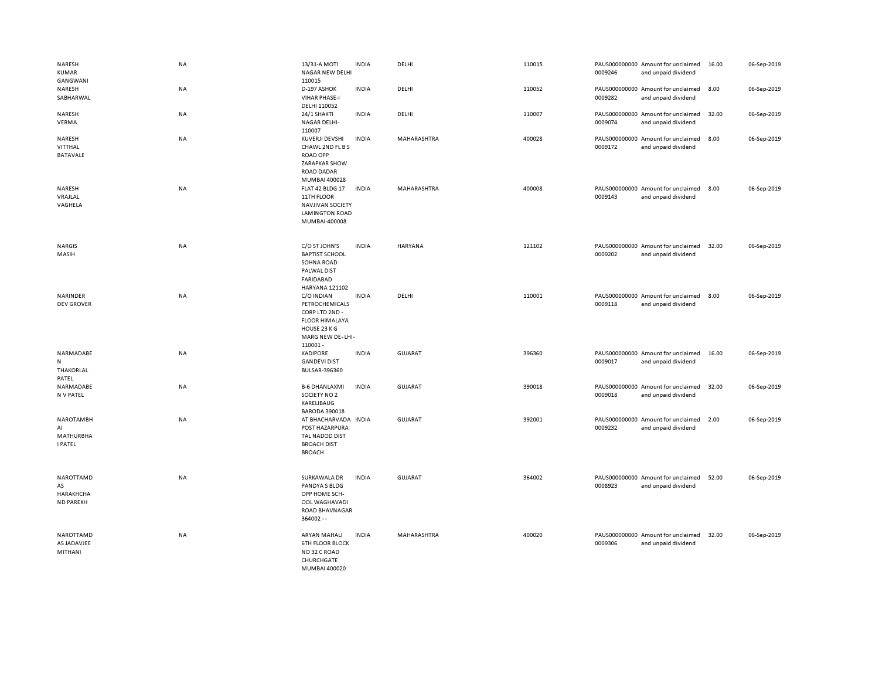| NARESH<br><b>KUMAR</b><br>GANGWANI                    | NA        | 13/31-A MOTI<br>NAGAR NEW DELHI<br>110015                                                                             | <b>INDIA</b> | DELHI          | 110015 | 0009246 | PAUS000000000 Amount for unclaimed<br>and unpaid dividend | 16.00 | 06-Sep-2019 |
|-------------------------------------------------------|-----------|-----------------------------------------------------------------------------------------------------------------------|--------------|----------------|--------|---------|-----------------------------------------------------------|-------|-------------|
| NARESH<br>SABHARWAL                                   | NA        | D-197 ASHOK<br><b>VIHAR PHASE-I</b><br>DELHI 110052                                                                   | <b>INDIA</b> | DELHI          | 110052 | 0009282 | PAUS000000000 Amount for unclaimed<br>and unpaid dividend | 8.00  | 06-Sep-2019 |
| NARESH<br>VERMA                                       | NA        | 24/1 SHAKTI<br><b>NAGAR DELHI-</b><br>110007                                                                          | <b>INDIA</b> | DELHI          | 110007 | 0009074 | PAUS000000000 Amount for unclaimed<br>and unpaid dividend | 32.00 | 06-Sep-2019 |
| NARESH<br>VITTHAL<br><b>BATAVALE</b>                  | NA        | KUVERJI DEVSHI<br>CHAWL 2ND FL B S<br><b>ROAD OPP</b><br>ZARAPKAR SHOW<br><b>ROAD DADAR</b><br>MUMBAI 400028          | <b>INDIA</b> | MAHARASHTRA    | 400028 | 0009172 | PAUS000000000 Amount for unclaimed<br>and unpaid dividend | 8.00  | 06-Sep-2019 |
| NARESH<br>VRAJLAL<br>VAGHELA                          | <b>NA</b> | FLAT 42 BLDG 17<br>11TH FLOOR<br><b>NAVJIVAN SOCIETY</b><br><b>LAMINGTON ROAD</b><br>MUMBAI-400008                    | <b>INDIA</b> | MAHARASHTRA    | 400008 | 0009143 | PAUS000000000 Amount for unclaimed<br>and unpaid dividend | 8.00  | 06-Sep-2019 |
| <b>NARGIS</b><br>MASIH                                | <b>NA</b> | C/O ST JOHN'S<br><b>BAPTIST SCHOOL</b><br>SOHNA ROAD<br>PALWAL DIST<br><b>FARIDABAD</b><br><b>HARYANA 121102</b>      | <b>INDIA</b> | HARYANA        | 121102 | 0009202 | PAUS000000000 Amount for unclaimed<br>and unpaid dividend | 32.00 | 06-Sep-2019 |
| NARINDER<br><b>DEV GROVER</b>                         | NA        | C/O INDIAN<br>PETROCHEMICALS<br>CORP LTD 2ND -<br><b>FLOOR HIMALAYA</b><br>HOUSE 23 KG<br>MARG NEW DE-LHI-<br>110001- | <b>INDIA</b> | DELHI          | 110001 | 0009118 | PAUS000000000 Amount for unclaimed<br>and unpaid dividend | 8.00  | 06-Sep-2019 |
| NARMADABE<br>N<br>THAKORLAL<br>PATEL                  | <b>NA</b> | <b>KADIPORE</b><br><b>GANDEVI DIST</b><br><b>BULSAR-396360</b>                                                        | <b>INDIA</b> | <b>GUJARAT</b> | 396360 | 0009017 | PAUS000000000 Amount for unclaimed<br>and unpaid dividend | 16.00 | 06-Sep-2019 |
| NARMADABE<br>N V PATEL                                | NA        | <b>B-6 DHANLAXMI</b><br>SOCIETY NO 2<br>KARELIBAUG<br><b>BARODA 390018</b>                                            | <b>INDIA</b> | <b>GUJARAT</b> | 390018 | 0009018 | PAUS000000000 Amount for unclaimed<br>and unpaid dividend | 32.00 | 06-Sep-2019 |
| <b>NAROTAMBH</b><br>AI<br>MATHURBHA<br><b>I PATEL</b> | NA        | AT BHACHARVADA INDIA<br>POST HAZARPURA<br>TAL NADOD DIST<br><b>BROACH DIST</b><br><b>BROACH</b>                       |              | <b>GUJARAT</b> | 392001 | 0009232 | PAUS000000000 Amount for unclaimed<br>and unpaid dividend | 2.00  | 06-Sep-2019 |
| NAROTTAMD<br>AS<br>HARAKHCHA<br><b>ND PAREKH</b>      | <b>NA</b> | SURKAWALA DR<br>PANDYA S BLDG<br>OPP HOME SCH-<br>OOL WAGHAVADI<br>ROAD BHAVNAGAR<br>$364002 - -$                     | <b>INDIA</b> | <b>GUJARAT</b> | 364002 | 0008923 | PAUS000000000 Amount for unclaimed<br>and unpaid dividend | 52.00 | 06-Sep-2019 |
| NAROTTAMD<br>AS JADAVJEE<br>MITHANI                   | NA        | <b>ARYAN MAHALI</b><br><b>6TH FLOOR BLOCK</b><br>NO32 C ROAD<br>CHURCHGATE<br>MUMBAL400020                            | <b>INDIA</b> | MAHARASHTRA    | 400020 | 0009306 | PAUS000000000 Amount for unclaimed<br>and unpaid dividend | 32.00 | 06-Sep-2019 |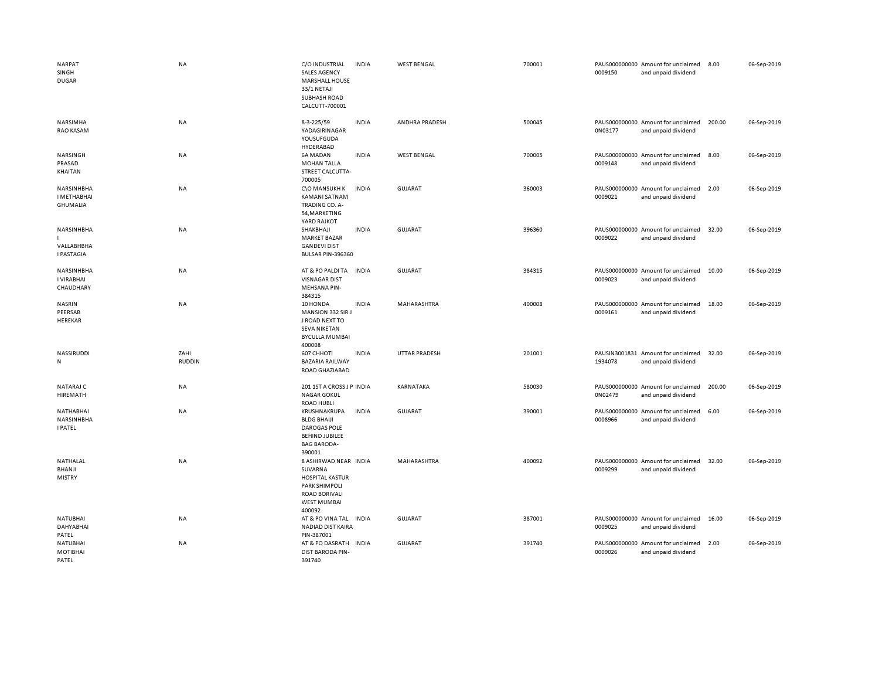| <b>NARPAT</b><br>SINGH<br><b>DUGAR</b>        | <b>NA</b>             | C/O INDUSTRIAL<br><b>SALES AGENCY</b><br><b>MARSHALL HOUSE</b><br>33/1 NETAJI<br><b>SUBHASH ROAD</b><br>CALCUTT-700001                     | <b>INDIA</b> | <b>WEST BENGAL</b>   | 700001 | 0009150 | PAUS000000000 Amount for unclaimed<br>and unpaid dividend | 8.00   | 06-Sep-2019 |
|-----------------------------------------------|-----------------------|--------------------------------------------------------------------------------------------------------------------------------------------|--------------|----------------------|--------|---------|-----------------------------------------------------------|--------|-------------|
| NARSIMHA<br>RAO KASAM                         | <b>NA</b>             | 8-3-225/59<br>YADAGIRINAGAR<br>YOUSUFGUDA<br>HYDERABAD                                                                                     | <b>INDIA</b> | ANDHRA PRADESH       | 500045 | 0N03177 | PAUS000000000 Amount for unclaimed<br>and unpaid dividend | 200.00 | 06-Sep-2019 |
| NARSINGH<br>PRASAD<br>KHAITAN                 | NA                    | 6A MADAN<br><b>MOHAN TALLA</b><br>STREET CALCUTTA-<br>700005                                                                               | <b>INDIA</b> | <b>WEST BENGAL</b>   | 700005 | 0009148 | PAUS000000000 Amount for unclaimed<br>and unpaid dividend | 8.00   | 06-Sep-2019 |
| NARSINHBHA<br>I METHABHAI<br><b>GHUMALIA</b>  | NA                    | C\O MANSUKH K<br>KAMANI SATNAM<br>TRADING CO. A-<br>54, MARKETING<br>YARD RAJKOT                                                           | INDIA        | <b>GUJARAT</b>       | 360003 | 0009021 | PAUS000000000 Amount for unclaimed<br>and unpaid dividend | 2.00   | 06-Sep-2019 |
| NARSINHBHA<br>VALLABHBHA<br><b>I PASTAGIA</b> | NA                    | SHAKBHAJI<br><b>MARKET BAZAR</b><br><b>GANDEVI DIST</b><br>BULSAR PIN-396360                                                               | INDIA        | <b>GUJARAT</b>       | 396360 | 0009022 | PAUS000000000 Amount for unclaimed<br>and unpaid dividend | 32.00  | 06-Sep-2019 |
| NARSINHBHA<br>I VIRABHAI<br>CHAUDHARY         | NA                    | AT & PO PALDI TA<br><b>VISNAGAR DIST</b><br>MEHSANA PIN-<br>384315                                                                         | <b>INDIA</b> | <b>GUJARAT</b>       | 384315 | 0009023 | PAUS000000000 Amount for unclaimed<br>and unpaid dividend | 10.00  | 06-Sep-2019 |
| <b>NASRIN</b><br>PEERSAB<br>HEREKAR           | <b>NA</b>             | 10 HONDA<br>MANSION 332 SIR J<br>J ROAD NEXT TO<br><b>SEVA NIKETAN</b><br><b>BYCULLA MUMBAI</b><br>400008                                  | <b>INDIA</b> | MAHARASHTRA          | 400008 | 0009161 | PAUS000000000 Amount for unclaimed<br>and unpaid dividend | 18.00  | 06-Sep-2019 |
| NASSIRUDDI<br>N                               | ZAHI<br><b>RUDDIN</b> | 607 CHHOTI<br><b>BAZARIA RAILWAY</b><br>ROAD GHAZIABAD                                                                                     | <b>INDIA</b> | <b>UTTAR PRADESH</b> | 201001 | 1934078 | PAUSIN3001831 Amount for unclaimed<br>and unpaid dividend | 32.00  | 06-Sep-2019 |
| NATARAJ C<br>HIREMATH                         | NA                    | 201 1ST A CROSS J P INDIA<br><b>NAGAR GOKUL</b><br><b>ROAD HUBLI</b>                                                                       |              | KARNATAKA            | 580030 | 0N02479 | PAUS000000000 Amount for unclaimed<br>and unpaid dividend | 200.00 | 06-Sep-2019 |
| NATHABHAI<br>NARSINHBHA<br><b>I PATEL</b>     | <b>NA</b>             | KRUSHNAKRUPA<br><b>BLDG BHAIJI</b><br><b>DAROGAS POLE</b><br><b>BEHIND JUBILEE</b><br><b>BAG BARODA-</b><br>390001                         | <b>INDIA</b> | <b>GUJARAT</b>       | 390001 | 0008966 | PAUS000000000 Amount for unclaimed<br>and unpaid dividend | 6.00   | 06-Sep-2019 |
| <b>NATHALAL</b><br>BHANJI<br><b>MISTRY</b>    | <b>NA</b>             | 8 ASHIRWAD NEAR INDIA<br>SUVARNA<br><b>HOSPITAL KASTUR</b><br><b>PARK SHIMPOLI</b><br><b>ROAD BORIVALI</b><br><b>WEST MUMBAI</b><br>400092 |              | MAHARASHTRA          | 400092 | 0009299 | PAUS000000000 Amount for unclaimed<br>and unpaid dividend | 32.00  | 06-Sep-2019 |
| <b>NATUBHAI</b><br>DAHYABHAI<br>PATEL         | <b>NA</b>             | AT & PO VINA TAL<br>NADIAD DIST KAIRA<br>PIN-387001                                                                                        | <b>INDIA</b> | <b>GUJARAT</b>       | 387001 | 0009025 | PAUS000000000 Amount for unclaimed<br>and unpaid dividend | 16.00  | 06-Sep-2019 |
| <b>NATUBHAI</b><br>MOTIBHAI<br>PATEL          | NA                    | AT & PO DASRATH INDIA<br><b>DIST BARODA PIN-</b><br>391740                                                                                 |              | <b>GUJARAT</b>       | 391740 | 0009026 | PAUS000000000 Amount for unclaimed<br>and unpaid dividend | 2.00   | 06-Sep-2019 |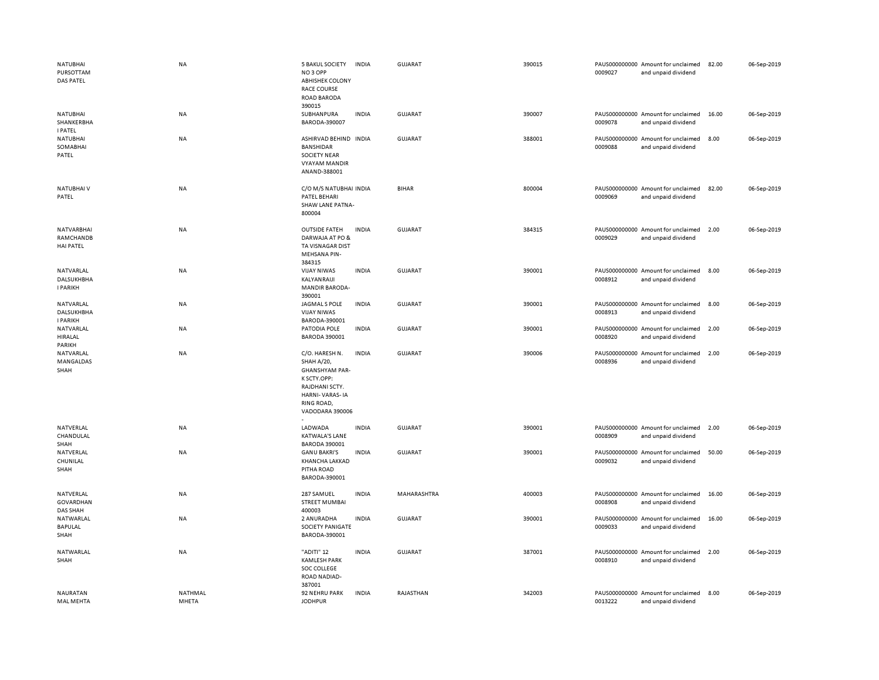| NATUBHAI<br>PURSOTTAM<br>DAS PATEL                 | <b>NA</b>        | <b>5 BAKUL SOCIETY</b><br>NO <sub>3</sub> OPP<br><b>ABHISHEK COLONY</b><br><b>RACE COURSE</b><br>ROAD BARODA<br>390015                           | <b>INDIA</b> | GUJARAT        | 390015 | 0009027 | PAUS000000000 Amount for unclaimed<br>and unpaid dividend | 82.00 | 06-Sep-2019 |
|----------------------------------------------------|------------------|--------------------------------------------------------------------------------------------------------------------------------------------------|--------------|----------------|--------|---------|-----------------------------------------------------------|-------|-------------|
| <b>NATUBHAI</b><br>SHANKERBHA<br><b>I PATEL</b>    | <b>NA</b>        | SUBHANPURA<br>BARODA-390007                                                                                                                      | <b>INDIA</b> | <b>GUJARAT</b> | 390007 | 0009078 | PAUS000000000 Amount for unclaimed<br>and unpaid dividend | 16.00 | 06-Sep-2019 |
| NATUBHAI<br>SOMABHAI<br>PATEL                      | NA               | ASHIRVAD BEHIND INDIA<br><b>BANSHIDAR</b><br><b>SOCIETY NEAR</b><br><b>VYAYAM MANDIR</b><br>ANAND-388001                                         |              | <b>GUJARAT</b> | 388001 | 0009088 | PAUS000000000 Amount for unclaimed<br>and unpaid dividend | 8.00  | 06-Sep-2019 |
| NATUBHAI V<br>PATEL                                | <b>NA</b>        | C/O M/S NATUBHAI INDIA<br>PATEL BEHARI<br><b>SHAW LANE PATNA-</b><br>800004                                                                      |              | <b>BIHAR</b>   | 800004 | 0009069 | PAUS000000000 Amount for unclaimed<br>and unpaid dividend | 82.00 | 06-Sep-2019 |
| <b>NATVARBHAI</b><br>RAMCHANDB<br><b>HAI PATEL</b> | <b>NA</b>        | <b>OUTSIDE FATEH</b><br>DARWAJA AT PO &<br>TA VISNAGAR DIST<br>MEHSANA PIN-<br>384315                                                            | <b>INDIA</b> | GUJARAT        | 384315 | 0009029 | PAUS000000000 Amount for unclaimed<br>and unpaid dividend | 2.00  | 06-Sep-2019 |
| NATVARLAL<br><b>DALSUKHBHA</b><br><b>I PARIKH</b>  | <b>NA</b>        | <b>VIJAY NIWAS</b><br>KALYANRAIJI<br>MANDIR BARODA-<br>390001                                                                                    | <b>INDIA</b> | <b>GUJARAT</b> | 390001 | 0008912 | PAUS000000000 Amount for unclaimed<br>and unpaid dividend | 8.00  | 06-Sep-2019 |
| NATVARLAL<br><b>DALSUKHBHA</b><br><b>I PARIKH</b>  | <b>NA</b>        | JAGMAL S POLE<br><b>VIJAY NIWAS</b><br>BARODA-390001                                                                                             | <b>INDIA</b> | <b>GUJARAT</b> | 390001 | 0008913 | PAUS000000000 Amount for unclaimed<br>and unpaid dividend | 8.00  | 06-Sep-2019 |
| NATVARLAL<br>HIRALAL<br>PARIKH                     | NA               | PATODIA POLE<br><b>BARODA 390001</b>                                                                                                             | <b>INDIA</b> | GUJARAT        | 390001 | 0008920 | PAUS000000000 Amount for unclaimed<br>and unpaid dividend | 2.00  | 06-Sep-2019 |
| NATVARLAL<br>MANGALDAS<br>SHAH                     | NA               | C/O. HARESH N.<br><b>SHAH A/20,</b><br><b>GHANSHYAM PAR-</b><br>K SCTY.OPP:<br>RAJDHANI SCTY.<br>HARNI-VARAS-IA<br>RING ROAD,<br>VADODARA 390006 | <b>INDIA</b> | <b>GUJARAT</b> | 390006 | 0008936 | PAUS000000000 Amount for unclaimed<br>and unpaid dividend | 2.00  | 06-Sep-2019 |
| NATVERLAL<br>CHANDULAL<br>SHAH                     | <b>NA</b>        | LADWADA<br><b>KATWALA'S LANE</b><br><b>BARODA 390001</b>                                                                                         | <b>INDIA</b> | GUJARAT        | 390001 | 0008909 | PAUS000000000 Amount for unclaimed<br>and unpaid dividend | 2.00  | 06-Sep-2019 |
| NATVERLAL<br>CHUNILAL<br>SHAH                      | NA               | <b>GANU BAKRI'S</b><br>KHANCHA LAKKAD<br>PITHA ROAD<br>BARODA-390001                                                                             | <b>INDIA</b> | <b>GUJARAT</b> | 390001 | 0009032 | PAUS000000000 Amount for unclaimed<br>and unpaid dividend | 50.00 | 06-Sep-2019 |
| NATVERLAL<br>GOVARDHAN<br><b>DAS SHAH</b>          | NA               | 287 SAMUEL<br><b>STREET MUMBAI</b><br>400003                                                                                                     | <b>INDIA</b> | MAHARASHTRA    | 400003 | 0008908 | PAUS000000000 Amount for unclaimed<br>and unpaid dividend | 16.00 | 06-Sep-2019 |
| NATWARLAL<br>BAPULAL<br>SHAH                       | <b>NA</b>        | 2 ANURADHA<br>SOCIETY PANIGATE<br>BARODA-390001                                                                                                  | <b>INDIA</b> | <b>GUJARAT</b> | 390001 | 0009033 | PAUS000000000 Amount for unclaimed<br>and unpaid dividend | 16.00 | 06-Sep-2019 |
| NATWARLAL<br>SHAH                                  | NA               | "ADITI" 12<br><b>KAMLESH PARK</b><br>SOC COLLEGE<br>ROAD NADIAD-<br>387001                                                                       | <b>INDIA</b> | <b>GUJARAT</b> | 387001 | 0008910 | PAUS000000000 Amount for unclaimed<br>and unpaid dividend | 2.00  | 06-Sep-2019 |
| NAURATAN<br>MAL MEHTA                              | NATHMAL<br>MHETA | 92 NEHRU PARK<br><b>JODHPUR</b>                                                                                                                  | <b>INDIA</b> | RAJASTHAN      | 342003 | 0013222 | PAUS000000000 Amount for unclaimed<br>and unpaid dividend | 8.00  | 06-Sep-2019 |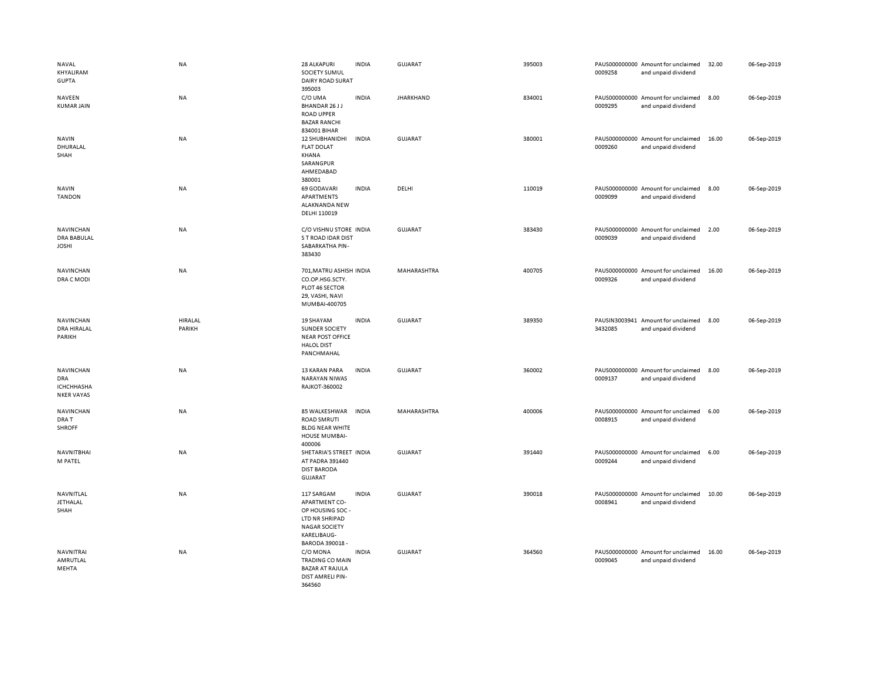| NAVAL<br>KHYALIRAM<br><b>GUPTA</b>                                | <b>NA</b>         | 28 ALKAPURI<br>SOCIETY SUMUL<br>DAIRY ROAD SURAT<br>395003                                                                         | <b>INDIA</b> | GUJARAT          | 395003 | 0009258 | PAUS000000000 Amount for unclaimed<br>and unpaid dividend | 32.00 | 06-Sep-2019 |
|-------------------------------------------------------------------|-------------------|------------------------------------------------------------------------------------------------------------------------------------|--------------|------------------|--------|---------|-----------------------------------------------------------|-------|-------------|
| <b>NAVEEN</b><br><b>KUMAR JAIN</b>                                | NA                | C/O UMA<br>BHANDAR 26 JJ<br><b>ROAD UPPER</b><br><b>BAZAR RANCHI</b><br>834001 BIHAR                                               | <b>INDIA</b> | <b>JHARKHAND</b> | 834001 | 0009295 | PAUS000000000 Amount for unclaimed<br>and unpaid dividend | 8.00  | 06-Sep-2019 |
| <b>NAVIN</b><br>DHURALAL<br>SHAH                                  | <b>NA</b>         | 12 SHUBHANIDHI<br><b>FLAT DOLAT</b><br>KHANA<br>SARANGPUR<br>AHMEDABAD<br>380001                                                   | <b>INDIA</b> | GUJARAT          | 380001 | 0009260 | PAUS000000000 Amount for unclaimed<br>and unpaid dividend | 16.00 | 06-Sep-2019 |
| <b>NAVIN</b><br><b>TANDON</b>                                     | <b>NA</b>         | 69 GODAVARI<br>APARTMENTS<br>ALAKNANDA NEW<br>DELHI 110019                                                                         | <b>INDIA</b> | DELHI            | 110019 | 0009099 | PAUS000000000 Amount for unclaimed<br>and unpaid dividend | 8.00  | 06-Sep-2019 |
| NAVINCHAN<br><b>DRA BABULAL</b><br><b>JOSHI</b>                   | <b>NA</b>         | C/O VISHNU STORE INDIA<br>S T ROAD IDAR DIST<br>SABARKATHA PIN-<br>383430                                                          |              | <b>GUJARAT</b>   | 383430 | 0009039 | PAUS000000000 Amount for unclaimed<br>and unpaid dividend | 2.00  | 06-Sep-2019 |
| NAVINCHAN<br>DRA C MODI                                           | NA                | 701, MATRU ASHISH INDIA<br>CO.OP.HSG.SCTY.<br>PLOT 46 SECTOR<br>29, VASHI, NAVI<br>MUMBAI-400705                                   |              | MAHARASHTRA      | 400705 | 0009326 | PAUS000000000 Amount for unclaimed<br>and unpaid dividend | 16.00 | 06-Sep-2019 |
| <b>NAVINCHAN</b><br>DRA HIRALAL<br>PARIKH                         | HIRALAL<br>PARIKH | 19 SHAYAM<br>SUNDER SOCIETY<br><b>NEAR POST OFFICE</b><br><b>HALOL DIST</b><br>PANCHMAHAL                                          | <b>INDIA</b> | <b>GUJARAT</b>   | 389350 | 3432085 | PAUSIN3003941 Amount for unclaimed<br>and unpaid dividend | 8.00  | 06-Sep-2019 |
| <b>NAVINCHAN</b><br>DRA<br><b>ICHCHHASHA</b><br><b>NKER VAYAS</b> | NA                | 13 KARAN PARA<br>NARAYAN NIWAS<br>RAJKOT-360002                                                                                    | <b>INDIA</b> | <b>GUJARAT</b>   | 360002 | 0009137 | PAUS000000000 Amount for unclaimed<br>and unpaid dividend | 8.00  | 06-Sep-2019 |
| NAVINCHAN<br>DRA T<br><b>SHROFF</b>                               | NA                | 85 WALKESHWAR<br><b>ROAD SMRUTI</b><br><b>BLDG NEAR WHITE</b><br>HOUSE MUMBAI-<br>400006                                           | <b>INDIA</b> | MAHARASHTRA      | 400006 | 0008915 | PAUS000000000 Amount for unclaimed<br>and unpaid dividend | 6.00  | 06-Sep-2019 |
| NAVNITBHAI<br>M PATEL                                             | NA                | SHETARIA'S STREET INDIA<br>AT PADRA 391440<br><b>DIST BARODA</b><br>GUJARAT                                                        |              | <b>GUJARAT</b>   | 391440 | 0009244 | PAUS000000000 Amount for unclaimed<br>and unpaid dividend | 6.00  | 06-Sep-2019 |
| NAVNITLAL<br><b>JETHALAL</b><br>SHAH                              | <b>NA</b>         | 117 SARGAM<br><b>APARTMENT CO-</b><br>OP HOUSING SOC -<br>LTD NR SHRIPAD<br><b>NAGAR SOCIETY</b><br>KARELIBAUG-<br>BARODA 390018 - | <b>INDIA</b> | GUJARAT          | 390018 | 0008941 | PAUS000000000 Amount for unclaimed<br>and unpaid dividend | 10.00 | 06-Sep-2019 |
| NAVNITRAI<br>AMRUTLAL<br>MEHTA                                    | NA                | C/O MONA<br><b>TRADING CO MAIN</b><br><b>BAZAR AT RAJULA</b><br>DIST AMRELI PIN-<br>364560                                         | <b>INDIA</b> | <b>GUJARAT</b>   | 364560 | 0009045 | PAUS000000000 Amount for unclaimed<br>and unpaid dividend | 16.00 | 06-Sep-2019 |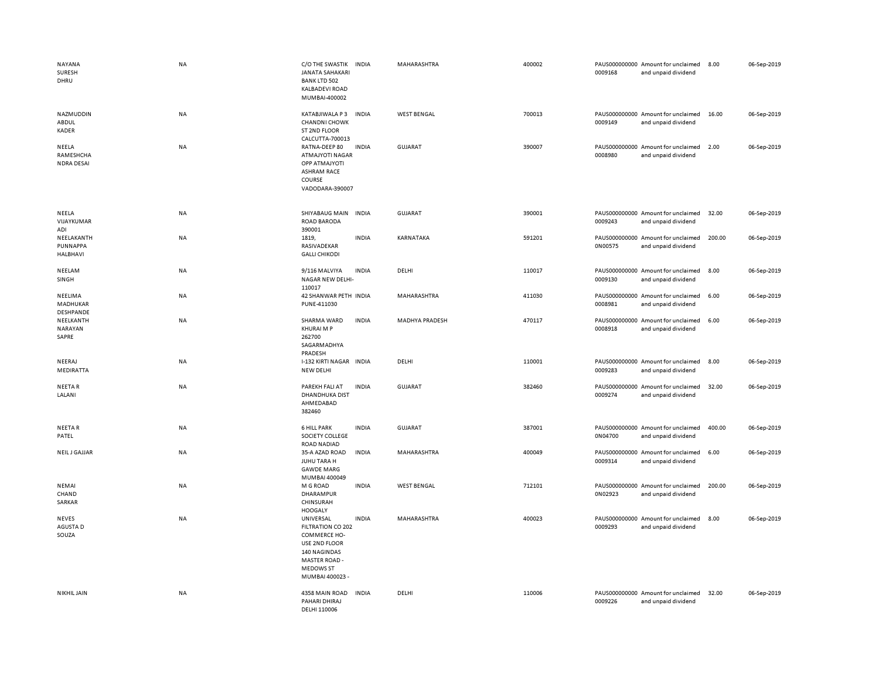| NAYANA<br>SURESH<br>DHRU                | <b>NA</b> | C/O THE SWASTIK<br><b>JANATA SAHAKARI</b><br><b>BANK LTD 502</b><br>KALBADEVI ROAD<br>MUMBAI-400002                                            | <b>INDIA</b> | MAHARASHTRA           | 400002 | 0009168 | PAUS000000000 Amount for unclaimed<br>and unpaid dividend | 8.00   | 06-Sep-2019 |
|-----------------------------------------|-----------|------------------------------------------------------------------------------------------------------------------------------------------------|--------------|-----------------------|--------|---------|-----------------------------------------------------------|--------|-------------|
| NAZMUDDIN<br>ABDUL<br><b>KADER</b>      | NA        | KATABJIWALA P3<br><b>CHANDNI CHOWK</b><br>ST 2ND FLOOR<br>CALCUTTA-700013                                                                      | <b>INDIA</b> | <b>WEST BENGAL</b>    | 700013 | 0009149 | PAUS000000000 Amount for unclaimed<br>and unpaid dividend | 16.00  | 06-Sep-2019 |
| NEELA<br>RAMESHCHA<br><b>NDRA DESAI</b> | NA        | RATNA-DEEP 80<br><b>ATMAJYOTI NAGAR</b><br>OPP ATMAJYOTI<br><b>ASHRAM RACE</b><br>COURSE<br>VADODARA-390007                                    | <b>INDIA</b> | GUJARAT               | 390007 | 0008980 | PAUS000000000 Amount for unclaimed<br>and unpaid dividend | 2.00   | 06-Sep-2019 |
| NEELA<br>VIJAYKUMAR<br>ADI              | NA        | SHIYABAUG MAIN<br>ROAD BARODA<br>390001                                                                                                        | <b>INDIA</b> | <b>GUJARAT</b>        | 390001 | 0009243 | PAUS000000000 Amount for unclaimed<br>and unpaid dividend | 32.00  | 06-Sep-2019 |
| NEELAKANTH<br>PUNNAPPA<br>HALBHAVI      | NA        | 1819,<br>RASIVADEKAR<br><b>GALLI CHIKODI</b>                                                                                                   | <b>INDIA</b> | KARNATAKA             | 591201 | 0N00575 | PAUS000000000 Amount for unclaimed<br>and unpaid dividend | 200.00 | 06-Sep-2019 |
| NEELAM<br>SINGH                         | <b>NA</b> | 9/116 MALVIYA<br>NAGAR NEW DELHI-<br>110017                                                                                                    | <b>INDIA</b> | DELHI                 | 110017 | 0009130 | PAUS000000000 Amount for unclaimed<br>and unpaid dividend | 8.00   | 06-Sep-2019 |
| NEELIMA<br>MADHUKAR<br>DESHPANDE        | NA        | 42 SHANWAR PETH INDIA<br>PUNE-411030                                                                                                           |              | MAHARASHTRA           | 411030 | 0008981 | PAUS000000000 Amount for unclaimed<br>and unpaid dividend | 6.00   | 06-Sep-2019 |
| NEELKANTH<br>NARAYAN<br>SAPRE           | NA        | SHARMA WARD<br>KHURAI M P<br>262700<br>SAGARMADHYA<br>PRADESH                                                                                  | <b>INDIA</b> | <b>MADHYA PRADESH</b> | 470117 | 0008918 | PAUS000000000 Amount for unclaimed<br>and unpaid dividend | 6.00   | 06-Sep-2019 |
| NEERAJ<br>MEDIRATTA                     | NA        | I-132 KIRTI NAGAR INDIA<br>NEW DELHI                                                                                                           |              | DELHI                 | 110001 | 0009283 | PAUS000000000 Amount for unclaimed<br>and unpaid dividend | 8.00   | 06-Sep-2019 |
| <b>NEETAR</b><br>LALANI                 | NA        | PAREKH FALI AT<br>DHANDHUKA DIST<br>AHMEDABAD<br>382460                                                                                        | <b>INDIA</b> | <b>GUJARAT</b>        | 382460 | 0009274 | PAUS000000000 Amount for unclaimed<br>and unpaid dividend | 32.00  | 06-Sep-2019 |
| NEETAR<br>PATEL                         | NA        | <b>6 HILL PARK</b><br>SOCIETY COLLEGE<br>ROAD NADIAD                                                                                           | <b>INDIA</b> | <b>GUJARAT</b>        | 387001 | 0N04700 | PAUS000000000 Amount for unclaimed<br>and unpaid dividend | 400.00 | 06-Sep-2019 |
| <b>NEILJ GAJJAR</b>                     | <b>NA</b> | 35-A AZAD ROAD<br>JUHU TARA H<br><b>GAWDE MARG</b><br>MUMBAI 400049                                                                            | <b>INDIA</b> | MAHARASHTRA           | 400049 | 0009314 | PAUS000000000 Amount for unclaimed<br>and unpaid dividend | 6.00   | 06-Sep-2019 |
| NEMAI<br>CHAND<br>SARKAR                | NA        | M G ROAD<br>DHARAMPUR<br>CHINSURAH<br><b>HOOGALY</b>                                                                                           | <b>INDIA</b> | <b>WEST BENGAL</b>    | 712101 | 0N02923 | PAUS000000000 Amount for unclaimed<br>and unpaid dividend | 200.00 | 06-Sep-2019 |
| NEVES<br>AGUSTA D<br>SOUZA              | NA        | UNIVERSAL<br>FILTRATION CO 202<br><b>COMMERCE HO-</b><br>USE 2ND FLOOR<br>140 NAGINDAS<br>MASTER ROAD -<br><b>MEDOWS ST</b><br>MUMBAI 400023 - | <b>INDIA</b> | MAHARASHTRA           | 400023 | 0009293 | PAUS000000000 Amount for unclaimed<br>and unpaid dividend | 8.00   | 06-Sep-2019 |
| <b>NIKHIL JAIN</b>                      | <b>NA</b> | 4358 MAIN ROAD<br>PAHARI DHIRAJ<br>DELHI 110006                                                                                                | <b>INDIA</b> | DELHI                 | 110006 | 0009226 | PAUS000000000 Amount for unclaimed<br>and unpaid dividend | 32.00  | 06-Sep-2019 |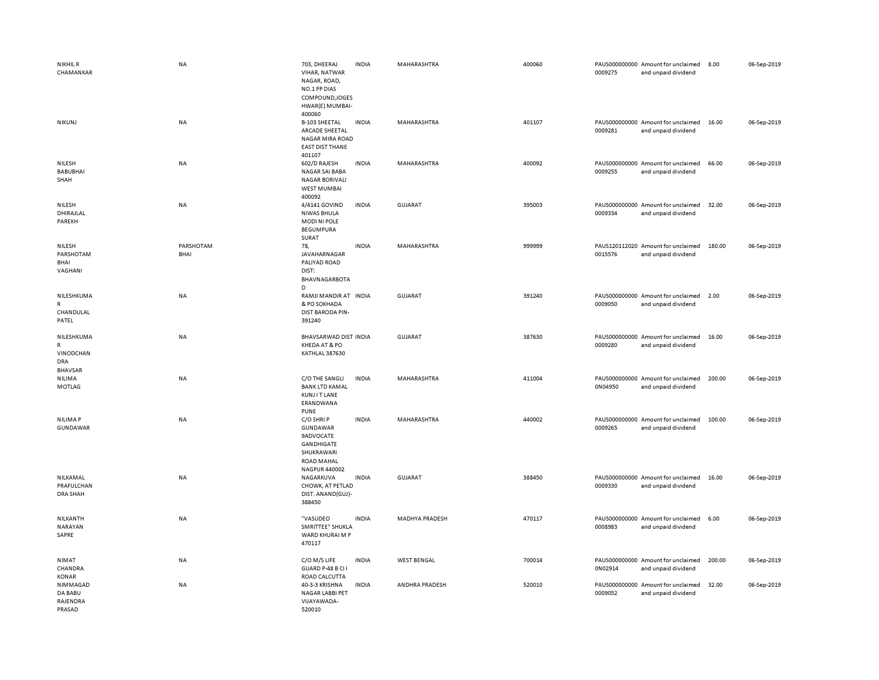| <b>NIKHIL R</b><br>CHAMANKAR                              | <b>NA</b>         | 703, DHEERAJ<br>VIHAR, NATWAR<br>NAGAR, ROAD,<br>NO.1 PP DIAS<br>COMPOUND, JOGES<br>HWAR(E) MUMBAI-<br>400060      | <b>INDIA</b> | MAHARASHTRA           | 400060 | 0009275 | PAUS000000000 Amount for unclaimed<br>and unpaid dividend | 8.00   | 06-Sep-2019 |
|-----------------------------------------------------------|-------------------|--------------------------------------------------------------------------------------------------------------------|--------------|-----------------------|--------|---------|-----------------------------------------------------------|--------|-------------|
| NIKUNJ                                                    | <b>NA</b>         | <b>B-103 SHEETAL</b><br>ARCADE SHEETAL<br><b>NAGAR MIRA ROAD</b><br><b>EAST DIST THANE</b><br>401107               | <b>INDIA</b> | MAHARASHTRA           | 401107 | 0009281 | PAUS000000000 Amount for unclaimed<br>and unpaid dividend | 16.00  | 06-Sep-2019 |
| NILESH<br><b>BABUBHAI</b><br>SHAH                         | <b>NA</b>         | 602/D RAJESH<br>NAGAR SAI BABA<br><b>NAGAR BORIVALI</b><br><b>WEST MUMBAI</b><br>400092                            | <b>INDIA</b> | <b>MAHARASHTRA</b>    | 400092 | 0009255 | PAUS000000000 Amount for unclaimed<br>and unpaid dividend | 66.00  | 06-Sep-2019 |
| NILESH<br>DHIRAJLAL<br>PAREKH                             | NA                | 4/4141 GOVIND<br><b>NIWAS BHULA</b><br><b>MODINIPOLE</b><br><b>BEGUMPURA</b><br>SURAT                              | <b>INDIA</b> | GUJARAT               | 395003 | 0009334 | PAUS000000000 Amount for unclaimed<br>and unpaid dividend | 32.00  | 06-Sep-2019 |
| NILESH<br>PARSHOTAM<br>BHAI<br>VAGHANI                    | PARSHOTAM<br>BHAI | 78,<br>JAVAHARNAGAR<br>PALIYAD ROAD<br>DIST:<br>BHAVNAGARBOTA<br>D                                                 | <b>INDIA</b> | MAHARASHTRA           | 999999 | 0015576 | PAUS120112020 Amount for unclaimed<br>and unpaid dividend | 180.00 | 06-Sep-2019 |
| NILESHKUMA<br>${\sf R}$<br>CHANDULAL<br>PATEL             | NA                | RAMJI MANDIR AT INDIA<br>& PO SOKHADA<br><b>DIST BARODA PIN-</b><br>391240                                         |              | <b>GUJARAT</b>        | 391240 | 0009050 | PAUS000000000 Amount for unclaimed<br>and unpaid dividend | 2.00   | 06-Sep-2019 |
| NILESHKUMA<br>$\mathsf{R}$<br>VINODCHAN<br>DRA<br>BHAVSAR | NA                | BHAVSARWAD DIST INDIA<br>KHEDA AT & PO<br>KATHLAL 387630                                                           |              | <b>GUJARAT</b>        | 387630 | 0009280 | PAUS000000000 Amount for unclaimed<br>and unpaid dividend | 16.00  | 06-Sep-2019 |
| NILIMA<br><b>MOTLAG</b>                                   | NA                | C/O THE SANGLI<br><b>BANK LTD KAMAL</b><br><b>KUNJIT LANE</b><br>ERANDWANA<br><b>PUNE</b>                          | <b>INDIA</b> | MAHARASHTRA           | 411004 | 0N04950 | PAUS000000000 Amount for unclaimed<br>and unpaid dividend | 200.00 | 06-Sep-2019 |
| NILIMA P<br>GUNDAWAR                                      | <b>NA</b>         | C/O SHRIP<br>GUNDAWAR<br><b>9ADVOCATE</b><br>GANDHIGATE<br>SHUKRAWARI<br><b>ROAD MAHAL</b><br><b>NAGPUR 440002</b> | <b>INDIA</b> | MAHARASHTRA           | 440002 | 0009265 | PAUS000000000 Amount for unclaimed<br>and unpaid dividend | 100.00 | 06-Sep-2019 |
| NILKAMAL<br>PRAFULCHAN<br><b>DRA SHAH</b>                 | <b>NA</b>         | NAGARKUVA<br>CHOWK, AT PETLAD<br>DIST. ANAND(GUJ)-<br>388450                                                       | <b>INDIA</b> | <b>GUJARAT</b>        | 388450 | 0009330 | PAUS000000000 Amount for unclaimed<br>and unpaid dividend | 16.00  | 06-Sep-2019 |
| NILKANTH<br>NARAYAN<br>SAPRE                              | NA                | "VASUDEO<br>SMRITTEE" SHUKLA<br>WARD KHURAI M P<br>470117                                                          | INDIA        | <b>MADHYA PRADESH</b> | 470117 | 0008983 | PAUS000000000 Amount for unclaimed<br>and unpaid dividend | 6.00   | 06-Sep-2019 |
| NIMAT<br>CHANDRA<br>KONAR                                 | NA                | C/O M/S LIFE<br>GUARD P-48 B CI I<br>ROAD CALCUTTA                                                                 | <b>INDIA</b> | <b>WEST BENGAL</b>    | 700014 | 0N02914 | PAUS000000000 Amount for unclaimed<br>and unpaid dividend | 200.00 | 06-Sep-2019 |
| NIMMAGAD<br>DA BABU<br>RAJENDRA<br>PRASAD                 | NA                | 40-3-3 KRISHNA<br><b>NAGAR LABBI PET</b><br>VIJAYAWADA-<br>520010                                                  | <b>INDIA</b> | ANDHRA PRADESH        | 520010 | 0009052 | PAUS000000000 Amount for unclaimed<br>and unpaid dividend | 32.00  | 06-Sep-2019 |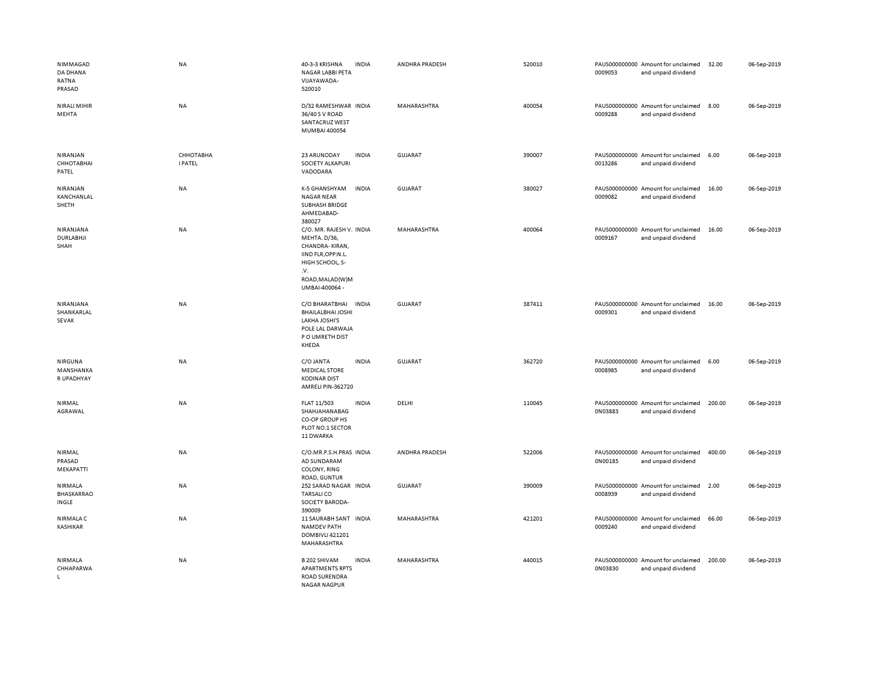| NIMMAGAD<br>DA DHANA<br>RATNA<br>PRASAD | NA                          | 40-3-3 KRISHNA<br><b>INDIA</b><br>NAGAR LABBI PETA<br>VIJAYAWADA-<br>520010                                                                     | ANDHRA PRADESH | 520010 | 0009053 | PAUS000000000 Amount for unclaimed<br>and unpaid dividend | 32.00  | 06-Sep-2019 |
|-----------------------------------------|-----------------------------|-------------------------------------------------------------------------------------------------------------------------------------------------|----------------|--------|---------|-----------------------------------------------------------|--------|-------------|
| <b>NIRALI MIHIR</b><br>MEHTA            | NA                          | D/32 RAMESHWAR INDIA<br>36/40 S V ROAD<br>SANTACRUZ WEST<br>MUMBAI 400054                                                                       | MAHARASHTRA    | 400054 | 0009288 | PAUS000000000 Amount for unclaimed<br>and unpaid dividend | 8.00   | 06-Sep-2019 |
| NIRANJAN<br>СННОТАВНАІ<br>PATEL         | СННОТАВНА<br><b>I PATEL</b> | 23 ARUNODAY<br><b>INDIA</b><br>SOCIETY ALKAPURI<br>VADODARA                                                                                     | <b>GUJARAT</b> | 390007 | 0013286 | PAUS000000000 Amount for unclaimed<br>and unpaid dividend | 6.00   | 06-Sep-2019 |
| NIRANJAN<br>KANCHANLAL<br>SHETH         | NA                          | K-5 GHANSHYAM<br><b>INDIA</b><br><b>NAGAR NEAR</b><br>SUBHASH BRIDGE<br>AHMEDABAD-<br>380027                                                    | <b>GUJARAT</b> | 380027 | 0009082 | PAUS000000000 Amount for unclaimed<br>and unpaid dividend | 16.00  | 06-Sep-2019 |
| NIRANJANA<br>DURLABHJI<br>SHAH          | <b>NA</b>                   | C/O. MR. RAJESH V. INDIA<br>MEHTA. D/36,<br>CHANDRA-KIRAN,<br>IIND FLR, OPP:N.L.<br>HIGH SCHOOL, S-<br>.v.<br>ROAD, MALAD(W)M<br>UMBAI-400064 - | MAHARASHTRA    | 400064 | 0009167 | PAUS000000000 Amount for unclaimed<br>and unpaid dividend | 16.00  | 06-Sep-2019 |
| NIRANJANA<br>SHANKARLAL<br>SEVAK        | NA                          | C/O BHARATBHAI<br><b>INDIA</b><br><b>BHAILALBHAI JOSHI</b><br>LAKHA JOSHI'S<br>POLE LAL DARWAJA<br>P O UMRETH DIST<br>KHEDA                     | <b>GUJARAT</b> | 387411 | 0009301 | PAUS000000000 Amount for unclaimed<br>and unpaid dividend | 16.00  | 06-Sep-2019 |
| NIRGUNA<br>MANSHANKA<br>R UPADHYAY      | NA                          | C/O JANTA<br><b>INDIA</b><br><b>MEDICAL STORE</b><br><b>KODINAR DIST</b><br>AMRELI PIN-362720                                                   | <b>GUJARAT</b> | 362720 | 0008985 | PAUS000000000 Amount for unclaimed<br>and unpaid dividend | 6.00   | 06-Sep-2019 |
| NIRMAL<br>AGRAWAL                       | NA                          | FLAT 11/503<br><b>INDIA</b><br>SHAHJAHANABAG<br>CO-OP GROUP HS<br>PLOT NO.1 SECTOR<br>11 DWARKA                                                 | DELHI          | 110045 | 0N03883 | PAUS000000000 Amount for unclaimed<br>and unpaid dividend | 200.00 | 06-Sep-2019 |
| NIRMAL<br>PRASAD<br>MEKAPATTI           | NA                          | C/O.MR.P.S.H.PRAS INDIA<br>AD SUNDARAM<br>COLONY, RING<br>ROAD, GUNTUR                                                                          | ANDHRA PRADESH | 522006 | 0N00185 | PAUS000000000 Amount for unclaimed<br>and unpaid dividend | 400.00 | 06-Sep-2019 |
| <b>NIRMALA</b><br>BHASKARRAO<br>INGLE   | NA                          | 252 SARAD NAGAR INDIA<br><b>TARSALICO</b><br>SOCIETY BARODA-<br>390009                                                                          | <b>GUJARAT</b> | 390009 | 0008939 | PAUS000000000 Amount for unclaimed<br>and unpaid dividend | 2.00   | 06-Sep-2019 |
| <b>NIRMALA C</b><br><b>KASHIKAR</b>     | <b>NA</b>                   | 11 SAURABH SANT INDIA<br><b>NAMDEV PATH</b><br>DOMBIVLI 421201<br>MAHARASHTRA                                                                   | MAHARASHTRA    | 421201 | 0009240 | PAUS000000000 Amount for unclaimed<br>and unpaid dividend | 66.00  | 06-Sep-2019 |
| NIRMALA<br>CHHAPARWA<br>$\mathsf{L}$    | NA                          | B 202 SHIVAM<br><b>INDIA</b><br><b>APARTMENTS RPTS</b><br><b>ROAD SURENDRA</b><br><b>NAGAR NAGPUR</b>                                           | MAHARASHTRA    | 440015 | 0N03830 | PAUS000000000 Amount for unclaimed<br>and unpaid dividend | 200.00 | 06-Sep-2019 |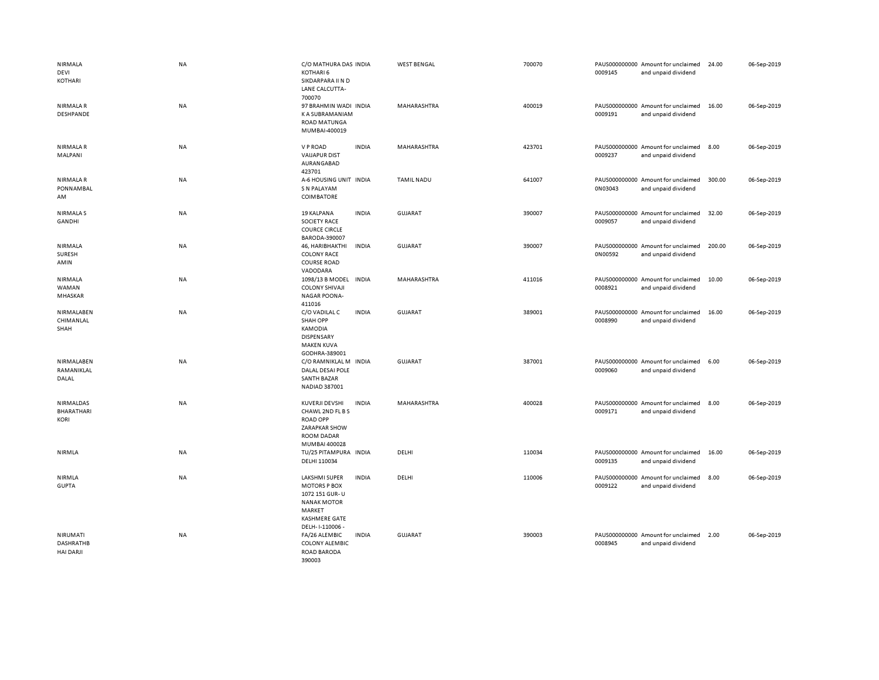| NIRMALA<br>DEVI<br>KOTHARI                       | <b>NA</b> | C/O MATHURA DAS INDIA<br>KOTHARI 6<br>SIKDARPARA II N D<br>LANE CALCUTTA-<br>700070                                                      |              | <b>WEST BENGAL</b> | 700070 | 0009145 | PAUS000000000 Amount for unclaimed<br>and unpaid dividend | 24.00  | 06-Sep-2019 |
|--------------------------------------------------|-----------|------------------------------------------------------------------------------------------------------------------------------------------|--------------|--------------------|--------|---------|-----------------------------------------------------------|--------|-------------|
| <b>NIRMALAR</b><br><b>DESHPANDE</b>              | NA        | 97 BRAHMIN WADI INDIA<br>K A SUBRAMANIAM<br><b>ROAD MATUNGA</b><br>MUMBAI-400019                                                         |              | MAHARASHTRA        | 400019 | 0009191 | PAUS000000000 Amount for unclaimed<br>and unpaid dividend | 16.00  | 06-Sep-2019 |
| <b>NIRMALAR</b><br>MALPANI                       | NA        | V P ROAD<br><b>VAIJAPUR DIST</b><br>AURANGABAD<br>423701                                                                                 | <b>INDIA</b> | MAHARASHTRA        | 423701 | 0009237 | PAUS000000000 Amount for unclaimed<br>and unpaid dividend | 8.00   | 06-Sep-2019 |
| <b>NIRMALAR</b><br>PONNAMBAL<br>AM               | <b>NA</b> | A-6 HOUSING UNIT INDIA<br>S N PALAYAM<br><b>COIMBATORE</b>                                                                               |              | <b>TAMIL NADU</b>  | 641007 | 0N03043 | PAUS000000000 Amount for unclaimed<br>and unpaid dividend | 300.00 | 06-Sep-2019 |
| <b>NIRMALAS</b><br>GANDHI                        | NA        | 19 KALPANA<br><b>SOCIETY RACE</b><br><b>COURCE CIRCLE</b><br>BARODA-390007                                                               | <b>INDIA</b> | <b>GUJARAT</b>     | 390007 | 0009057 | PAUS000000000 Amount for unclaimed<br>and unpaid dividend | 32.00  | 06-Sep-2019 |
| NIRMALA<br>SURESH<br>AMIN                        | <b>NA</b> | 46, HARIBHAKTHI<br><b>COLONY RACE</b><br><b>COURSE ROAD</b><br>VADODARA                                                                  | <b>INDIA</b> | <b>GUJARAT</b>     | 390007 | 0N00592 | PAUS000000000 Amount for unclaimed<br>and unpaid dividend | 200.00 | 06-Sep-2019 |
| <b>NIRMALA</b><br>WAMAN<br>MHASKAR               | NA        | 1098/13 B MODEL<br><b>COLONY SHIVAJI</b><br><b>NAGAR POONA-</b><br>411016                                                                | <b>INDIA</b> | MAHARASHTRA        | 411016 | 0008921 | PAUS000000000 Amount for unclaimed<br>and unpaid dividend | 10.00  | 06-Sep-2019 |
| NIRMALABEN<br>CHIMANLAL<br>SHAH                  | NA        | C/O VADILAL C<br><b>SHAH OPP</b><br>KAMODIA<br><b>DISPENSARY</b><br><b>MAKEN KUVA</b><br>GODHRA-389001                                   | <b>INDIA</b> | <b>GUJARAT</b>     | 389001 | 0008990 | PAUS000000000 Amount for unclaimed<br>and unpaid dividend | 16.00  | 06-Sep-2019 |
| NIRMALABEN<br>RAMANIKLAL<br>DALAL                | NA        | C/O RAMNIKLAL M INDIA<br>DALAL DESAI POLE<br><b>SANTH BAZAR</b><br>NADIAD 387001                                                         |              | <b>GUJARAT</b>     | 387001 | 0009060 | PAUS000000000 Amount for unclaimed<br>and unpaid dividend | 6.00   | 06-Sep-2019 |
| NIRMALDAS<br><b>BHARATHARI</b><br><b>KORI</b>    | <b>NA</b> | <b>KUVERJI DEVSHI</b><br>CHAWL 2ND FL B S<br><b>ROAD OPP</b><br>ZARAPKAR SHOW<br><b>ROOM DADAR</b><br>MUMBAI 400028                      | <b>INDIA</b> | MAHARASHTRA        | 400028 | 0009171 | PAUS000000000 Amount for unclaimed<br>and unpaid dividend | 8.00   | 06-Sep-2019 |
| NIRMLA                                           | NA        | TU/25 PITAMPURA INDIA<br>DELHI 110034                                                                                                    |              | DELHI              | 110034 | 0009135 | PAUS000000000 Amount for unclaimed<br>and unpaid dividend | 16.00  | 06-Sep-2019 |
| NIRMLA<br><b>GUPTA</b>                           | <b>NA</b> | <b>LAKSHMI SUPER</b><br><b>MOTORS P BOX</b><br>1072 151 GUR-U<br><b>NANAK MOTOR</b><br>MARKET<br><b>KASHMERE GATE</b><br>DELH-1-110006 - | <b>INDIA</b> | DELHI              | 110006 | 0009122 | PAUS000000000 Amount for unclaimed<br>and unpaid dividend | 8.00   | 06-Sep-2019 |
| NIRUMATI<br><b>DASHRATHB</b><br><b>HAI DARJI</b> | <b>NA</b> | FA/26 ALEMBIC<br><b>COLONY ALEMBIC</b><br><b>ROAD BARODA</b><br>390003                                                                   | <b>INDIA</b> | <b>GUJARAT</b>     | 390003 | 0008945 | PAUS000000000 Amount for unclaimed<br>and unpaid dividend | 2.00   | 06-Sep-2019 |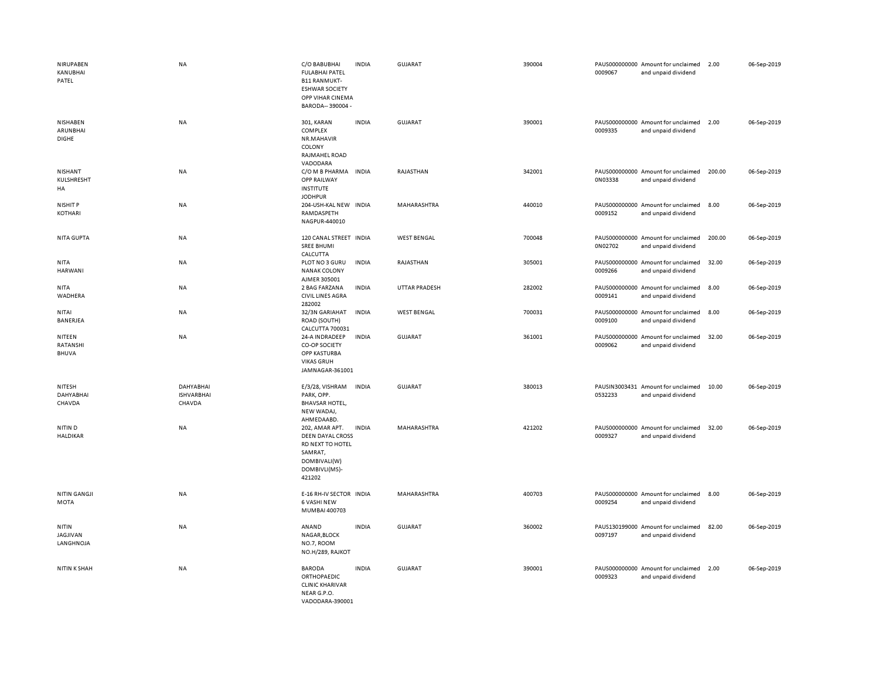| NIRUPABEN<br>KANUBHAI<br>PATEL       | <b>NA</b>                                | C/O BABUBHAI<br><b>FULABHAI PATEL</b><br><b>B11 RANMUKT-</b><br><b>ESHWAR SOCIETY</b><br>OPP VIHAR CINEMA<br>BARODA-- 390004 - | <b>INDIA</b> | <b>GUJARAT</b>     | 390004 | 0009067 | PAUS000000000 Amount for unclaimed<br>and unpaid dividend | 2.00   | 06-Sep-2019 |
|--------------------------------------|------------------------------------------|--------------------------------------------------------------------------------------------------------------------------------|--------------|--------------------|--------|---------|-----------------------------------------------------------|--------|-------------|
| NISHABEN<br>ARUNBHAI<br><b>DIGHE</b> | <b>NA</b>                                | 301, KARAN<br>COMPLEX<br>NR.MAHAVIR<br>COLONY<br>RAJMAHEL ROAD<br>VADODARA                                                     | <b>INDIA</b> | <b>GUJARAT</b>     | 390001 | 0009335 | PAUS000000000 Amount for unclaimed<br>and unpaid dividend | 2.00   | 06-Sep-2019 |
| NISHANT<br>KULSHRESHT<br>HA          | NA                                       | C/O M B PHARMA INDIA<br>OPP RAILWAY<br><b>INSTITUTE</b><br><b>JODHPUR</b>                                                      |              | RAJASTHAN          | 342001 | 0N03338 | PAUS000000000 Amount for unclaimed<br>and unpaid dividend | 200.00 | 06-Sep-2019 |
| NISHIT P<br>KOTHARI                  | <b>NA</b>                                | 204-USH-KAL NEW INDIA<br>RAMDASPETH<br>NAGPUR-440010                                                                           |              | MAHARASHTRA        | 440010 | 0009152 | PAUS000000000 Amount for unclaimed<br>and unpaid dividend | 8.00   | 06-Sep-2019 |
| NITA GUPTA                           | <b>NA</b>                                | 120 CANAL STREET INDIA<br><b>SREE BHUMI</b><br>CALCUTTA                                                                        |              | <b>WEST BENGAL</b> | 700048 | 0N02702 | PAUS000000000 Amount for unclaimed<br>and unpaid dividend | 200.00 | 06-Sep-2019 |
| <b>NITA</b><br>HARWANI               | <b>NA</b>                                | PLOT NO 3 GURU<br><b>NANAK COLONY</b><br>AJMER 305001                                                                          | <b>INDIA</b> | RAJASTHAN          | 305001 | 0009266 | PAUS000000000 Amount for unclaimed<br>and unpaid dividend | 32.00  | 06-Sep-2019 |
| <b>NITA</b><br><b>WADHERA</b>        | NA                                       | 2 BAG FARZANA<br><b>CIVIL LINES AGRA</b><br>282002                                                                             | <b>INDIA</b> | UTTAR PRADESH      | 282002 | 0009141 | PAUS000000000 Amount for unclaimed<br>and unpaid dividend | 8.00   | 06-Sep-2019 |
| NITAI<br>BANERJEA                    | NA                                       | 32/3N GARIAHAT<br>ROAD (SOUTH)<br><b>CALCUTTA 700031</b>                                                                       | <b>INDIA</b> | <b>WEST BENGAL</b> | 700031 | 0009100 | PAUS000000000 Amount for unclaimed<br>and unpaid dividend | 8.00   | 06-Sep-2019 |
| NITEEN<br>RATANSHI<br><b>BHUVA</b>   | NA                                       | 24-A INDRADEEP<br>CO-OP SOCIETY<br>OPP KASTURBA<br><b>VIKAS GRUH</b><br>JAMNAGAR-361001                                        | <b>INDIA</b> | GUJARAT            | 361001 | 0009062 | PAUS000000000 Amount for unclaimed<br>and unpaid dividend | 32.00  | 06-Sep-2019 |
| NITESH<br>DAHYABHAI<br>CHAVDA        | DAHYABHAI<br><b>ISHVARBHAI</b><br>CHAVDA | E/3/28, VISHRAM<br>PARK, OPP.<br><b>BHAVSAR HOTEL,</b><br>NEW WADAJ,<br>AHMEDAABD.                                             | <b>INDIA</b> | <b>GUJARAT</b>     | 380013 | 0532233 | PAUSIN3003431 Amount for unclaimed<br>and unpaid dividend | 10.00  | 06-Sep-2019 |
| NITIN D<br><b>HALDIKAR</b>           | <b>NA</b>                                | 202, AMAR APT.<br><b>DEEN DAYAL CROSS</b><br>RD NEXT TO HOTEL<br>SAMRAT,<br>DOMBIVALI(W)<br>DOMBIVLI(MS)-<br>421202            | <b>INDIA</b> | MAHARASHTRA        | 421202 | 0009327 | PAUS000000000 Amount for unclaimed<br>and unpaid dividend | 32.00  | 06-Sep-2019 |
| <b>NITIN GANGJI</b><br>MOTA          | NA                                       | E-16 RH-IV SECTOR INDIA<br><b>6 VASHI NEW</b><br>MUMBAI 400703                                                                 |              | MAHARASHTRA        | 400703 | 0009254 | PAUS000000000 Amount for unclaimed<br>and unpaid dividend | 8.00   | 06-Sep-2019 |
| NITIN<br>JAGJIVAN<br>LANGHNOJA       | NA                                       | ANAND<br>NAGAR, BLOCK<br>NO.7, ROOM<br>NO.H/289, RAJKOT                                                                        | <b>INDIA</b> | <b>GUJARAT</b>     | 360002 | 0097197 | PAUS130199000 Amount for unclaimed<br>and unpaid dividend | 82.00  | 06-Sep-2019 |
| <b>NITIN K SHAH</b>                  | NA                                       | <b>BARODA</b><br><b>ORTHOPAEDIC</b><br><b>CLINIC KHARIVAR</b><br>NEAR G.P.O.<br>VADODARA-390001                                | <b>INDIA</b> | <b>GUJARAT</b>     | 390001 | 0009323 | PAUS000000000 Amount for unclaimed<br>and unpaid dividend | 2.00   | 06-Sep-2019 |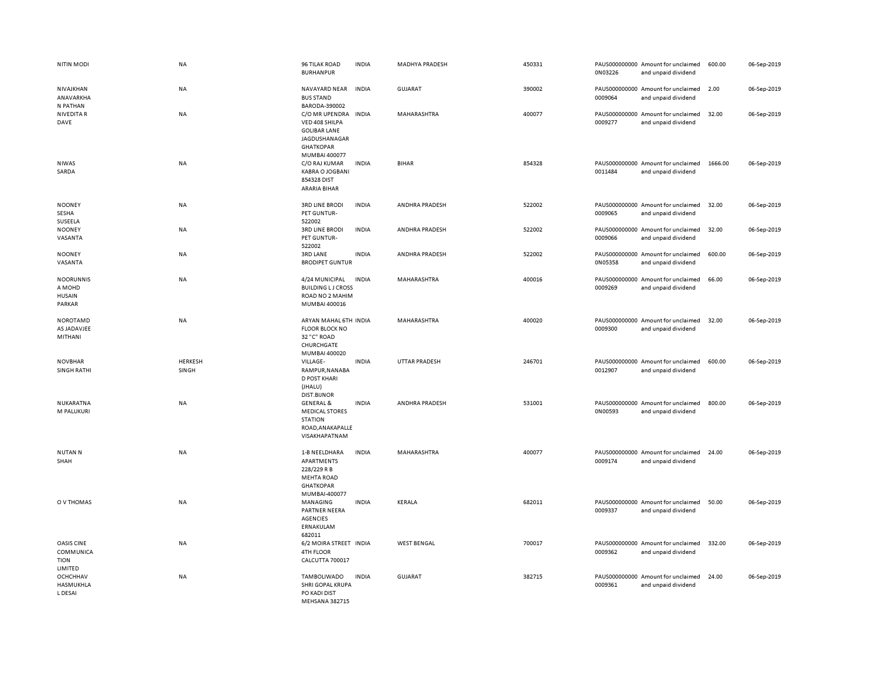| <b>NITIN MODI</b>                                     | <b>NA</b>               | 96 TILAK ROAD<br><b>BURHANPUR</b>                                                                             | <b>INDIA</b> | MADHYA PRADESH       | 450331 | 0N03226 | PAUS000000000 Amount for unclaimed<br>and unpaid dividend | 600.00  | 06-Sep-2019 |
|-------------------------------------------------------|-------------------------|---------------------------------------------------------------------------------------------------------------|--------------|----------------------|--------|---------|-----------------------------------------------------------|---------|-------------|
| NIVAJKHAN<br>ANAVARKHA<br>N PATHAN                    | NA                      | NAVAYARD NEAR<br><b>BUS STAND</b><br>BARODA-390002                                                            | <b>INDIA</b> | <b>GUJARAT</b>       | 390002 | 0009064 | PAUS000000000 Amount for unclaimed<br>and unpaid dividend | 2.00    | 06-Sep-2019 |
| <b>NIVEDITA R</b><br>DAVE                             | NA                      | C/O MR UPENDRA<br>VED 408 SHILPA<br><b>GOLIBAR LANE</b><br>JAGDUSHANAGAR<br><b>GHATKOPAR</b><br>MUMBAI 400077 | <b>INDIA</b> | MAHARASHTRA          | 400077 | 0009277 | PAUS000000000 Amount for unclaimed<br>and unpaid dividend | 32.00   | 06-Sep-2019 |
| <b>NIWAS</b><br>SARDA                                 | NA                      | C/O RAJ KUMAR<br><b>KABRA O JOGBANI</b><br>854328 DIST<br><b>ARARIA BIHAR</b>                                 | <b>INDIA</b> | <b>BIHAR</b>         | 854328 | 0011484 | PAUS000000000 Amount for unclaimed<br>and unpaid dividend | 1666.00 | 06-Sep-2019 |
| <b>NOONEY</b><br>SESHA<br>SUSEELA                     | <b>NA</b>               | <b>3RD LINE BRODI</b><br>PET GUNTUR-<br>522002                                                                | <b>INDIA</b> | ANDHRA PRADESH       | 522002 | 0009065 | PAUS000000000 Amount for unclaimed<br>and unpaid dividend | 32.00   | 06-Sep-2019 |
| <b>NOONEY</b><br>VASANTA                              | NA                      | <b>3RD LINE BRODI</b><br>PET GUNTUR-<br>522002                                                                | <b>INDIA</b> | ANDHRA PRADESH       | 522002 | 0009066 | PAUS000000000 Amount for unclaimed<br>and unpaid dividend | 32.00   | 06-Sep-2019 |
| <b>NOONEY</b><br>VASANTA                              | <b>NA</b>               | 3RD LANE<br><b>BRODIPET GUNTUR</b>                                                                            | <b>INDIA</b> | ANDHRA PRADESH       | 522002 | 0N05358 | PAUS000000000 Amount for unclaimed<br>and unpaid dividend | 600.00  | 06-Sep-2019 |
| <b>NOORUNNIS</b><br>A MOHD<br><b>HUSAIN</b><br>PARKAR | <b>NA</b>               | 4/24 MUNICIPAL<br><b>BUILDING LJ CROSS</b><br>ROAD NO 2 MAHIM<br>MUMBAI 400016                                | <b>INDIA</b> | MAHARASHTRA          | 400016 | 0009269 | PAUS000000000 Amount for unclaimed<br>and unpaid dividend | 66.00   | 06-Sep-2019 |
| <b>NOROTAMD</b><br>AS JADAVJEE<br>MITHANI             | NA                      | ARYAN MAHAL 6TH INDIA<br><b>FLOOR BLOCK NO</b><br>32 "C" ROAD<br>CHURCHGATE<br>MUMBAI 400020                  |              | MAHARASHTRA          | 400020 | 0009300 | PAUS000000000 Amount for unclaimed<br>and unpaid dividend | 32.00   | 06-Sep-2019 |
| <b>NOVBHAR</b><br><b>SINGH RATHI</b>                  | <b>HERKESH</b><br>SINGH | VILLAGE-<br>RAMPUR, NANABA<br><b>D POST KHARI</b><br>(JHALU)<br><b>DIST.BIJNOR</b>                            | <b>INDIA</b> | <b>UTTAR PRADESH</b> | 246701 | 0012907 | PAUS000000000 Amount for unclaimed<br>and unpaid dividend | 600.00  | 06-Sep-2019 |
| NUKARATNA<br>M PALUKURI                               | NA                      | <b>GENERAL &amp;</b><br><b>MEDICAL STORES</b><br><b>STATION</b><br>ROAD, ANAKAPALLE<br>VISAKHAPATNAM          | <b>INDIA</b> | ANDHRA PRADESH       | 531001 | 0N00593 | PAUS000000000 Amount for unclaimed<br>and unpaid dividend | 800.00  | 06-Sep-2019 |
| <b>NUTANN</b><br>SHAH                                 | <b>NA</b>               | 1-B NEELDHARA<br>APARTMENTS<br>228/229 R B<br><b>MEHTA ROAD</b><br><b>GHATKOPAR</b><br>MUMBAI-400077          | <b>INDIA</b> | MAHARASHTRA          | 400077 | 0009174 | PAUS000000000 Amount for unclaimed<br>and unpaid dividend | 24.00   | 06-Sep-2019 |
| O V THOMAS                                            | <b>NA</b>               | MANAGING<br>PARTNER NEERA<br><b>AGENCIES</b><br>ERNAKULAM<br>682011                                           | <b>INDIA</b> | <b>KERALA</b>        | 682011 | 0009337 | PAUS000000000 Amount for unclaimed<br>and unpaid dividend | 50.00   | 06-Sep-2019 |
| OASIS CINE<br>COMMUNICA<br><b>TION</b><br>LIMITED     | NA                      | 6/2 MOIRA STREET INDIA<br>4TH FLOOR<br>CALCUTTA 700017                                                        |              | <b>WEST BENGAL</b>   | 700017 | 0009362 | PAUS000000000 Amount for unclaimed<br>and unpaid dividend | 332.00  | 06-Sep-2019 |
| OCHCHHAV<br>HASMUKHLA<br>L DESAI                      | <b>NA</b>               | TAMBOLIWADO<br>SHRI GOPAL KRUPA<br>PO KADI DIST<br>MFHSANA 382715                                             | <b>INDIA</b> | <b>GUJARAT</b>       | 382715 | 0009361 | PAUS000000000 Amount for unclaimed<br>and unpaid dividend | 24.00   | 06-Sep-2019 |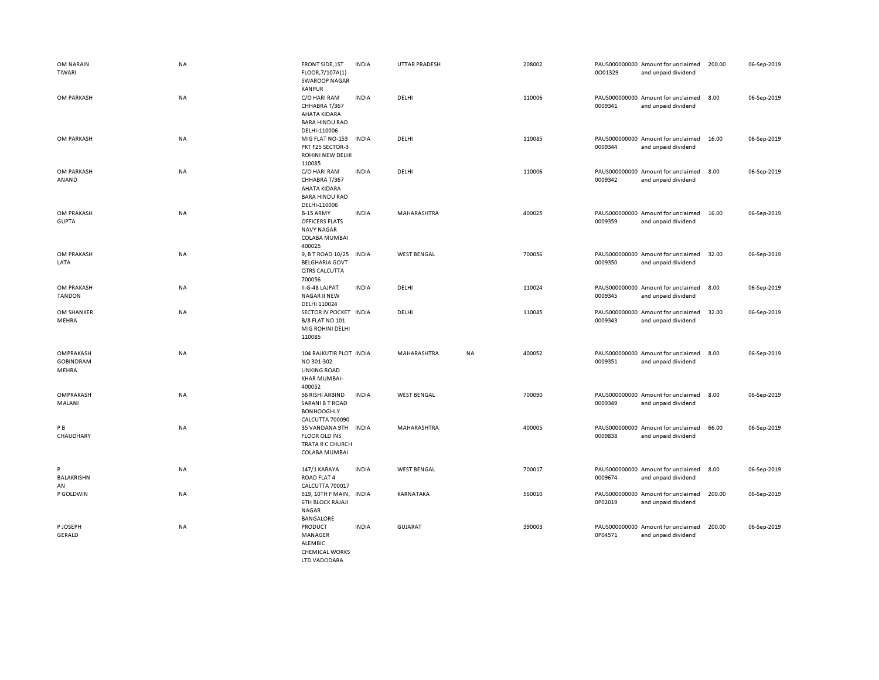| OM NARAIN<br>TIWARI                    | NA        | <b>FRONT SIDE, 1ST</b><br>FLOOR, 7/107A(1)<br><b>SWAROOP NAGAR</b>                                      | <b>INDIA</b> | <b>UTTAR PRADESH</b> |    | 208002 | 0001329                  | PAUS000000000 Amount for unclaimed<br>and unpaid dividend | 200.00 | 06-Sep-2019 |
|----------------------------------------|-----------|---------------------------------------------------------------------------------------------------------|--------------|----------------------|----|--------|--------------------------|-----------------------------------------------------------|--------|-------------|
| OM PARKASH                             | NA        | <b>KANPUR</b><br>C/O HARI RAM<br>CHHABRA T/367<br>AHATA KIDARA<br><b>BARA HINDU RAO</b><br>DELHI-110006 | <b>INDIA</b> | DELHI                |    | 110006 | 0009341                  | PAUS000000000 Amount for unclaimed<br>and unpaid dividend | 8.00   | 06-Sep-2019 |
| OM PARKASH                             | NA        | MIG FLAT NO-153<br>PKT F25 SECTOR-3<br>ROHINI NEW DELHI<br>110085                                       | <b>INDIA</b> | DELHI                |    | 110085 | 0009344                  | PAUS000000000 Amount for unclaimed<br>and unpaid dividend | 16.00  | 06-Sep-2019 |
| OM PARKASH<br>ANAND                    | NA        | C/O HARI RAM<br>CHHABRA T/367<br>AHATA KIDARA<br><b>BARA HINDU RAO</b><br>DELHI-110006                  | <b>INDIA</b> | DELHI                |    | 110006 | 0009342                  | PAUS000000000 Amount for unclaimed<br>and unpaid dividend | 8.00   | 06-Sep-2019 |
| OM PRAKASH<br><b>GUPTA</b>             | <b>NA</b> | B-15 ARMY<br><b>OFFICERS FLATS</b><br><b>NAVY NAGAR</b><br>COLABA MUMBAI<br>400025                      | <b>INDIA</b> | MAHARASHTRA          |    | 400025 | 0009359                  | PAUS000000000 Amount for unclaimed<br>and unpaid dividend | 16.00  | 06-Sep-2019 |
| OM PRAKASH<br>LATA                     | NA        | 9, B T ROAD 10/25<br><b>BELGHARIA GOVT</b><br>QTRS CALCUTTA<br>700056                                   | <b>INDIA</b> | <b>WEST BENGAL</b>   |    | 700056 | 0009350                  | PAUS000000000 Amount for unclaimed<br>and unpaid dividend | 32.00  | 06-Sep-2019 |
| OM PRAKASH<br><b>TANDON</b>            | <b>NA</b> | II-G-48 LAJPAT<br><b>NAGAR II NEW</b><br>DELHI 110024                                                   | <b>INDIA</b> | DELHI                |    | 110024 | 0009345                  | PAUS000000000 Amount for unclaimed<br>and unpaid dividend | 8.00   | 06-Sep-2019 |
| OM SHANKER<br>MEHRA                    | <b>NA</b> | SECTOR IV POCKET INDIA<br><b>B/8 FLAT NO 101</b><br>MIG ROHINI DELHI<br>110085                          |              | DELHI                |    | 110085 | 0009343                  | PAUS000000000 Amount for unclaimed<br>and unpaid dividend | 32.00  | 06-Sep-2019 |
| OMPRAKASH<br><b>GOBINDRAM</b><br>MEHRA | NA        | 104 RAJKUTIR PLOT INDIA<br>NO 301-302<br><b>LINKING ROAD</b><br>KHAR MUMBAI-<br>400052                  |              | MAHARASHTRA          | NA | 400052 | 0009351                  | PAUS000000000 Amount for unclaimed<br>and unpaid dividend | 8.00   | 06-Sep-2019 |
| OMPRAKASH<br>MALANI                    | <b>NA</b> | 56 RISHI ARBIND<br><b>SARANI B T ROAD</b><br><b>BONHOOGHLY</b><br>CALCUTTA 700090                       | <b>INDIA</b> | <b>WEST BENGAL</b>   |    | 700090 | PAUS000000000<br>0009349 | Amount for unclaimed<br>and unpaid dividend               | 8.00   | 06-Sep-2019 |
| PB<br>CHAUDHARY                        | NA        | 35 VANDANA 9TH<br><b>FLOOR OLD INS</b><br>TRATA R C CHURCH<br>COLABA MUMBAI                             | <b>INDIA</b> | MAHARASHTRA          |    | 400005 | 0009838                  | PAUS000000000 Amount for unclaimed<br>and unpaid dividend | 66.00  | 06-Sep-2019 |
| P<br><b>BALAKRISHN</b><br>AN           | <b>NA</b> | 147/1 KARAYA<br><b>ROAD FLAT4</b><br>CALCUTTA 700017                                                    | <b>INDIA</b> | <b>WEST BENGAL</b>   |    | 700017 | 0009674                  | PAUS000000000 Amount for unclaimed<br>and unpaid dividend | 8.00   | 06-Sep-2019 |
| P GOLDWIN                              | NA        | 519, 10TH F MAIN,<br><b>6TH BLOCK RAJAJI</b><br><b>NAGAR</b><br><b>BANGALORE</b>                        | INDIA        | KARNATAKA            |    | 560010 | 0P02019                  | PAUS000000000 Amount for unclaimed<br>and unpaid dividend | 200.00 | 06-Sep-2019 |
| P JOSEPH<br>GERALD                     | NA        | PRODUCT<br>MANAGER<br>ALEMBIC<br><b>CHEMICAL WORKS</b><br>LTD VADODARA                                  | <b>INDIA</b> | <b>GUJARAT</b>       |    | 390003 | 0P04571                  | PAUS000000000 Amount for unclaimed<br>and unpaid dividend | 200.00 | 06-Sep-2019 |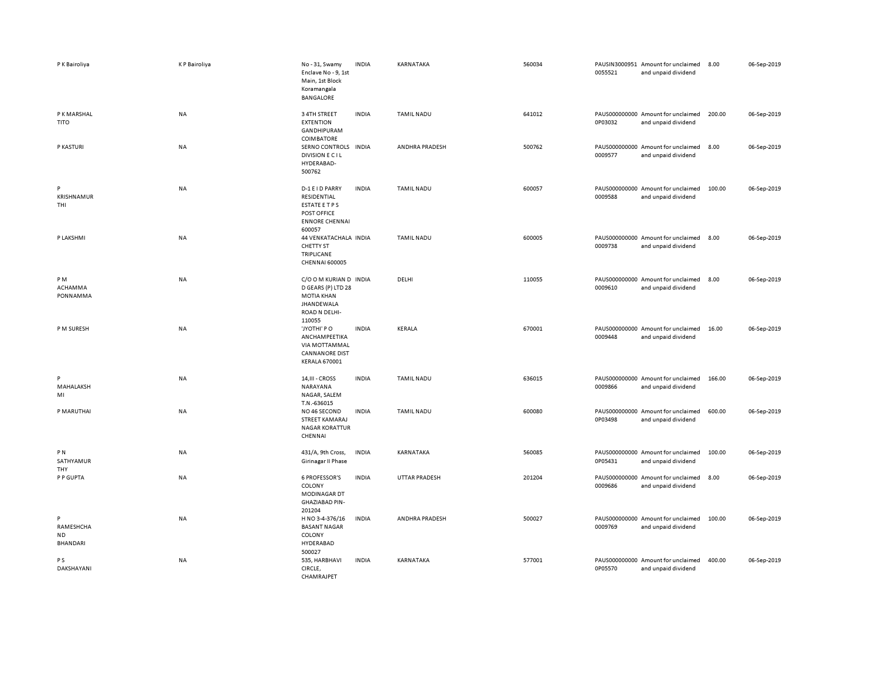| P K Bairoliya                           | <b>KP Bairoliya</b> | No-31, Swamy<br>Enclave No - 9, 1st<br>Main, 1st Block<br>Koramangala<br>BANGALORE                         | <b>INDIA</b> | KARNATAKA         | 560034 | 0055521 | PAUSIN3000951 Amount for unclaimed<br>and unpaid dividend | 8.00   | 06-Sep-2019 |
|-----------------------------------------|---------------------|------------------------------------------------------------------------------------------------------------|--------------|-------------------|--------|---------|-----------------------------------------------------------|--------|-------------|
| P K MARSHAL<br><b>TITO</b>              | NA                  | 3 4TH STREET<br><b>EXTENTION</b><br>GANDHIPURAM                                                            | <b>INDIA</b> | <b>TAMIL NADU</b> | 641012 | 0P03032 | PAUS000000000 Amount for unclaimed<br>and unpaid dividend | 200.00 | 06-Sep-2019 |
| P KASTURI                               | <b>NA</b>           | COIMBATORE<br>SERNO CONTROLS INDIA<br><b>DIVISION E CIL</b><br>HYDERABAD-<br>500762                        |              | ANDHRA PRADESH    | 500762 | 0009577 | PAUS000000000 Amount for unclaimed<br>and unpaid dividend | 8.00   | 06-Sep-2019 |
| P<br>KRISHNAMUR<br>THI                  | NA                  | D-1 E I D PARRY<br>RESIDENTIAL<br><b>ESTATE ETPS</b><br>POST OFFICE<br><b>ENNORE CHENNAI</b><br>600057     | <b>INDIA</b> | <b>TAMIL NADU</b> | 600057 | 0009588 | PAUS000000000 Amount for unclaimed<br>and unpaid dividend | 100.00 | 06-Sep-2019 |
| P LAKSHMI                               | NA                  | 44 VENKATACHALA INDIA<br>CHETTY ST<br><b>TRIPLICANE</b><br><b>CHENNAI 600005</b>                           |              | <b>TAMIL NADU</b> | 600005 | 0009738 | PAUS000000000 Amount for unclaimed<br>and unpaid dividend | 8.00   | 06-Sep-2019 |
| PM<br>ACHAMMA<br>PONNAMMA               | NA                  | C/O O M KURIAN D INDIA<br>D GEARS (P) LTD 28<br>MOTIA KHAN<br><b>JHANDEWALA</b><br>ROAD N DELHI-<br>110055 |              | DELHI             | 110055 | 0009610 | PAUS000000000 Amount for unclaimed<br>and unpaid dividend | 8.00   | 06-Sep-2019 |
| P M SURESH                              | NA                  | 'JYOTHI' PO<br>ANCHAMPEETIKA<br><b>VIA MOTTAMMAL</b><br><b>CANNANORE DIST</b><br><b>KERALA 670001</b>      | <b>INDIA</b> | KERALA            | 670001 | 0009448 | PAUS000000000 Amount for unclaimed<br>and unpaid dividend | 16.00  | 06-Sep-2019 |
| P<br>MAHALAKSH<br>MI                    | <b>NA</b>           | 14, III - CROSS<br>NARAYANA<br>NAGAR, SALEM<br>T.N.-636015                                                 | <b>INDIA</b> | <b>TAMIL NADU</b> | 636015 | 0009866 | PAUS000000000 Amount for unclaimed<br>and unpaid dividend | 166.00 | 06-Sep-2019 |
| P MARUTHAI                              | NA                  | NO 46 SECOND<br>STREET KAMARAJ<br><b>NAGAR KORATTUR</b><br>CHENNAI                                         | <b>INDIA</b> | TAMIL NADU        | 600080 | 0P03498 | PAUS000000000 Amount for unclaimed<br>and unpaid dividend | 600.00 | 06-Sep-2019 |
| P <sub>N</sub><br>SATHYAMUR<br>THY      | NA                  | 431/A, 9th Cross,<br>Girinagar II Phase                                                                    | <b>INDIA</b> | KARNATAKA         | 560085 | 0P05431 | PAUS000000000 Amount for unclaimed<br>and unpaid dividend | 100.00 | 06-Sep-2019 |
| P P GUPTA                               | NA                  | <b>6 PROFESSOR'S</b><br>COLONY<br>MODINAGAR DT<br><b>GHAZIABAD PIN-</b><br>201204                          | <b>INDIA</b> | UTTAR PRADESH     | 201204 | 0009686 | PAUS000000000 Amount for unclaimed<br>and unpaid dividend | 8.00   | 06-Sep-2019 |
| P<br>RAMESHCHA<br><b>ND</b><br>BHANDARI | <b>NA</b>           | H NO 3-4-376/16<br><b>BASANT NAGAR</b><br>COLONY<br>HYDERABAD<br>500027                                    | <b>INDIA</b> | ANDHRA PRADESH    | 500027 | 0009769 | PAUS000000000 Amount for unclaimed<br>and unpaid dividend | 100.00 | 06-Sep-2019 |
| P S<br>DAKSHAYANI                       | NA                  | 535, HARBHAVI<br>CIRCLE,<br>CHAMRAJPET                                                                     | <b>INDIA</b> | KARNATAKA         | 577001 | 0P05570 | PAUS000000000 Amount for unclaimed<br>and unpaid dividend | 400.00 | 06-Sep-2019 |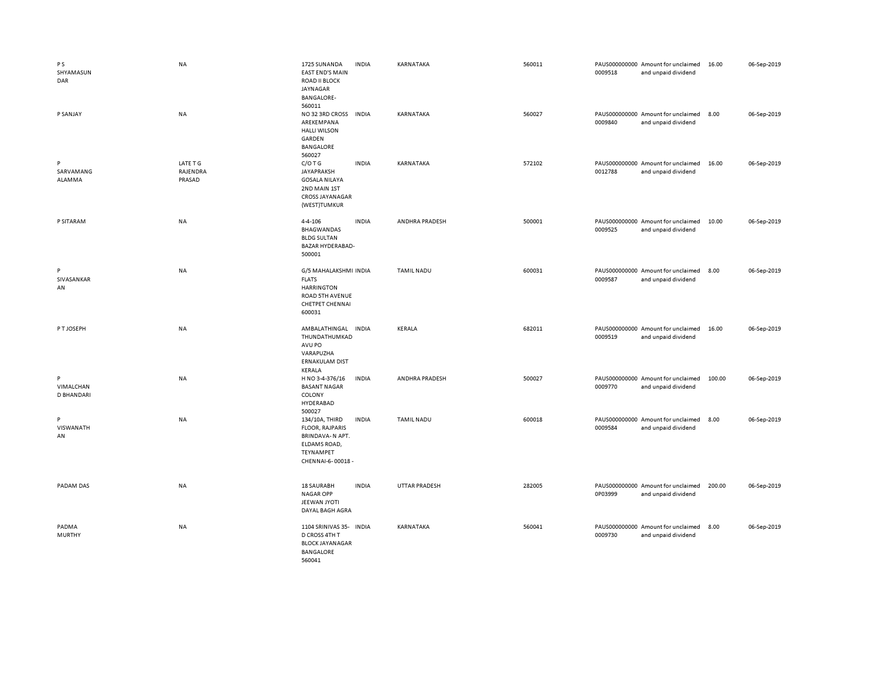| <b>PS</b><br>SHYAMASUN<br>DAR | NA                             | 1725 SUNANDA<br><b>EAST END'S MAIN</b><br><b>ROAD II BLOCK</b><br>JAYNAGAR<br><b>BANGALORE-</b><br>560011            | <b>INDIA</b> | KARNATAKA         | 560011 | 0009518 | PAUS000000000 Amount for unclaimed<br>and unpaid dividend | 16.00  | 06-Sep-2019 |
|-------------------------------|--------------------------------|----------------------------------------------------------------------------------------------------------------------|--------------|-------------------|--------|---------|-----------------------------------------------------------|--------|-------------|
| P SANJAY                      | <b>NA</b>                      | NO 32 3RD CROSS INDIA<br>AREKEMPANA<br><b>HALLI WILSON</b><br>GARDEN<br>BANGALORE<br>560027                          |              | KARNATAKA         | 560027 | 0009840 | PAUS000000000 Amount for unclaimed<br>and unpaid dividend | 8.00   | 06-Sep-2019 |
| P<br>SARVAMANG<br>ALAMMA      | LATE T G<br>RAJENDRA<br>PRASAD | C/O T G<br>JAYAPRAKSH<br><b>GOSALA NILAYA</b><br>2ND MAIN 1ST<br>CROSS JAYANAGAR<br>(WEST)TUMKUR                     | <b>INDIA</b> | KARNATAKA         | 572102 | 0012788 | PAUS000000000 Amount for unclaimed<br>and unpaid dividend | 16.00  | 06-Sep-2019 |
| P SITARAM                     | <b>NA</b>                      | $4 - 4 - 106$<br><b>BHAGWANDAS</b><br><b>BLDG SULTAN</b><br>BAZAR HYDERABAD-<br>500001                               | <b>INDIA</b> | ANDHRA PRADESH    | 500001 | 0009525 | PAUS000000000 Amount for unclaimed<br>and unpaid dividend | 10.00  | 06-Sep-2019 |
| P<br>SIVASANKAR<br>AN         | NA                             | G/5 MAHALAKSHMI INDIA<br><b>FLATS</b><br><b>HARRINGTON</b><br>ROAD 5TH AVENUE<br><b>CHETPET CHENNAI</b><br>600031    |              | <b>TAMIL NADU</b> | 600031 | 0009587 | PAUS000000000 Amount for unclaimed<br>and unpaid dividend | 8.00   | 06-Sep-2019 |
| P T JOSEPH                    | <b>NA</b>                      | AMBALATHINGAL INDIA<br>THUNDATHUMKAD<br>AVU PO<br>VARAPUZHA<br><b>ERNAKULAM DIST</b><br>KERALA                       |              | KERALA            | 682011 | 0009519 | PAUS000000000 Amount for unclaimed<br>and unpaid dividend | 16.00  | 06-Sep-2019 |
| P<br>VIMALCHAN<br>D BHANDARI  | <b>NA</b>                      | H NO 3-4-376/16<br><b>BASANT NAGAR</b><br>COLONY<br>HYDERABAD<br>500027                                              | <b>INDIA</b> | ANDHRA PRADESH    | 500027 | 0009770 | PAUS000000000 Amount for unclaimed<br>and unpaid dividend | 100.00 | 06-Sep-2019 |
| P<br>VISWANATH<br>AN          | <b>NA</b>                      | 134/10A, THIRD<br><b>FLOOR, RAJPARIS</b><br>BRINDAVA-N APT.<br>ELDAMS ROAD,<br><b>TEYNAMPET</b><br>CHENNAI-6-00018 - | <b>INDIA</b> | <b>TAMIL NADU</b> | 600018 | 0009584 | PAUS000000000 Amount for unclaimed<br>and unpaid dividend | 8.00   | 06-Sep-2019 |
| PADAM DAS                     | <b>NA</b>                      | 18 SAURABH<br>NAGAR OPP<br>JEEWAN JYOTI<br>DAYAL BAGH AGRA                                                           | <b>INDIA</b> | UTTAR PRADESH     | 282005 | 0P03999 | PAUS000000000 Amount for unclaimed<br>and unpaid dividend | 200.00 | 06-Sep-2019 |
| PADMA<br><b>MURTHY</b>        | NA                             | 1104 SRINIVAS 35- INDIA<br>D CROSS 4TH T<br><b>BLOCK JAYANAGAR</b><br>BANGALORE<br>560041                            |              | KARNATAKA         | 560041 | 0009730 | PAUS000000000 Amount for unclaimed<br>and unpaid dividend | 8.00   | 06-Sep-2019 |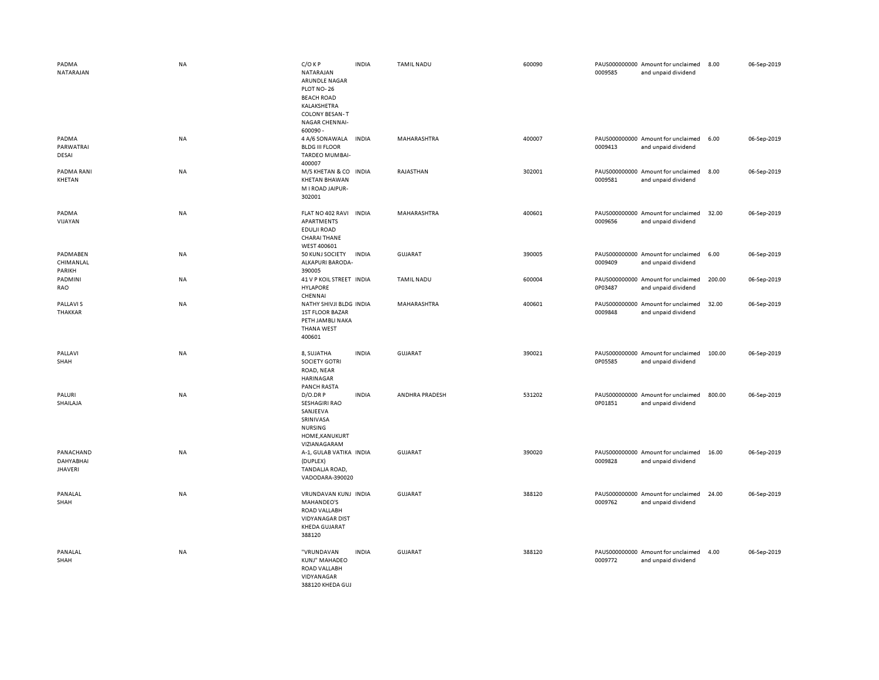| PADMA<br>NATARAJAN                       | <b>NA</b> | $C/O$ KP<br>NATARAJAN<br>ARUNDLE NAGAR<br>PLOT NO-26<br><b>BEACH ROAD</b><br>KALAKSHETRA<br><b>COLONY BESAN-T</b><br><b>NAGAR CHENNAI-</b><br>600090 - | <b>INDIA</b> | <b>TAMIL NADU</b> | 600090 | 0009585 | PAUS000000000 Amount for unclaimed<br>and unpaid dividend | 8.00   | 06-Sep-2019 |
|------------------------------------------|-----------|--------------------------------------------------------------------------------------------------------------------------------------------------------|--------------|-------------------|--------|---------|-----------------------------------------------------------|--------|-------------|
| PADMA<br>PARWATRAI<br>DESAI              | <b>NA</b> | 4 A/6 SONAWALA INDIA<br><b>BLDG III FLOOR</b><br>TARDEO MUMBAI-<br>400007                                                                              |              | MAHARASHTRA       | 400007 | 0009413 | PAUS000000000 Amount for unclaimed<br>and unpaid dividend | 6.00   | 06-Sep-2019 |
| PADMA RANI<br>KHETAN                     | <b>NA</b> | M/S KHETAN & CO INDIA<br><b>KHETAN BHAWAN</b><br>M I ROAD JAIPUR-<br>302001                                                                            |              | RAJASTHAN         | 302001 | 0009581 | PAUS000000000 Amount for unclaimed<br>and unpaid dividend | 8.00   | 06-Sep-2019 |
| PADMA<br>VIJAYAN                         | <b>NA</b> | FLAT NO 402 RAVI<br>APARTMENTS<br>EDULJI ROAD<br><b>CHARAI THANE</b><br>WEST 400601                                                                    | <b>INDIA</b> | MAHARASHTRA       | 400601 | 0009656 | PAUS000000000 Amount for unclaimed<br>and unpaid dividend | 32.00  | 06-Sep-2019 |
| PADMABEN<br>CHIMANLAL<br>PARIKH          | NA        | 50 KUNJ SOCIETY<br>ALKAPURI BARODA-<br>390005                                                                                                          | <b>INDIA</b> | GUJARAT           | 390005 | 0009409 | PAUS000000000 Amount for unclaimed<br>and unpaid dividend | 6.00   | 06-Sep-2019 |
| PADMINI<br>RAO                           | NA        | 41 V P KOIL STREET INDIA<br><b>HYLAPORE</b><br>CHENNAI                                                                                                 |              | <b>TAMIL NADU</b> | 600004 | 0P03487 | PAUS000000000 Amount for unclaimed<br>and unpaid dividend | 200.00 | 06-Sep-2019 |
| <b>PALLAVIS</b><br><b>THAKKAR</b>        | <b>NA</b> | NATHY SHIVJI BLDG INDIA<br><b>1ST FLOOR BAZAR</b><br>PETH JAMBLI NAKA<br><b>THANA WEST</b><br>400601                                                   |              | MAHARASHTRA       | 400601 | 0009848 | PAUS000000000 Amount for unclaimed<br>and unpaid dividend | 32.00  | 06-Sep-2019 |
| PALLAVI<br>SHAH                          | NA        | 8, SUJATHA<br>SOCIETY GOTRI<br>ROAD, NEAR<br>HARINAGAR<br><b>PANCH RASTA</b>                                                                           | <b>INDIA</b> | <b>GUJARAT</b>    | 390021 | 0P05585 | PAUS000000000 Amount for unclaimed<br>and unpaid dividend | 100.00 | 06-Sep-2019 |
| PALURI<br>SHAILAJA                       | <b>NA</b> | D/O.DR P<br><b>SESHAGIRI RAO</b><br>SANJEEVA<br>SRINIVASA<br><b>NURSING</b><br>HOME, KANUKURT<br>VIZIANAGARAM                                          | <b>INDIA</b> | ANDHRA PRADESH    | 531202 | 0P01851 | PAUS000000000 Amount for unclaimed<br>and unpaid dividend | 800.00 | 06-Sep-2019 |
| PANACHAND<br>DAHYABHAI<br><b>JHAVERI</b> | NA        | A-1, GULAB VATIKA INDIA<br>(DUPLEX)<br>TANDALJA ROAD,<br>VADODARA-390020                                                                               |              | <b>GUJARAT</b>    | 390020 | 0009828 | PAUS000000000 Amount for unclaimed<br>and unpaid dividend | 16.00  | 06-Sep-2019 |
| PANALAL<br>SHAH                          | <b>NA</b> | VRUNDAVAN KUNJ INDIA<br><b>MAHANDEO'S</b><br>ROAD VALLABH<br><b>VIDYANAGAR DIST</b><br><b>KHEDA GUJARAT</b><br>388120                                  |              | <b>GUJARAT</b>    | 388120 | 0009762 | PAUS000000000 Amount for unclaimed<br>and unpaid dividend | 24.00  | 06-Sep-2019 |
| PANALAL<br>SHAH                          | <b>NA</b> | "VRUNDAVAN<br>KUNJ" MAHADEO<br>ROAD VALLABH<br>VIDYANAGAR<br>388120 KHEDA GUL                                                                          | <b>INDIA</b> | <b>GUJARAT</b>    | 388120 | 0009772 | PAUS000000000 Amount for unclaimed<br>and unpaid dividend | 4.00   | 06-Sep-2019 |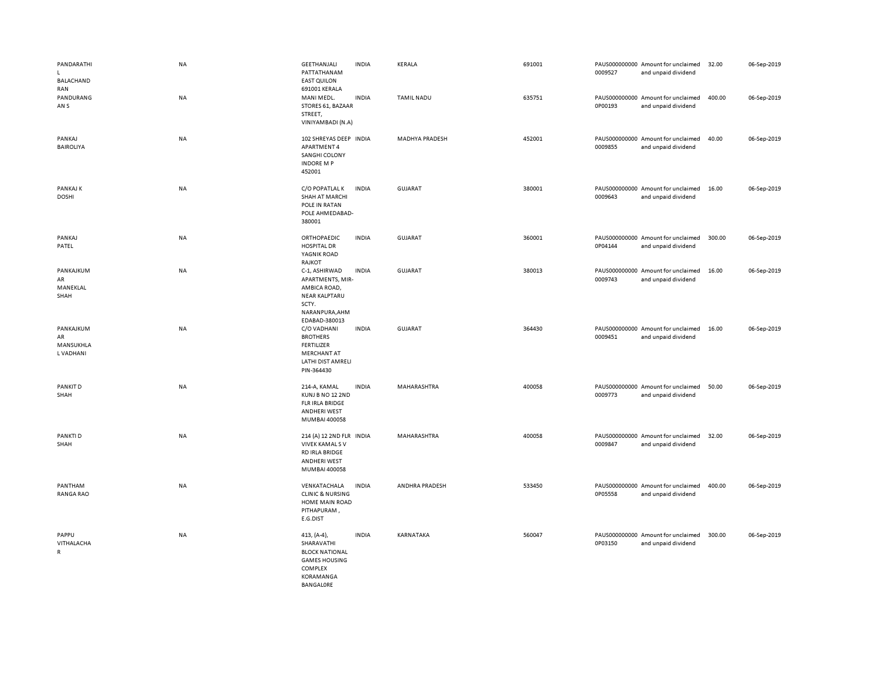| PANDARATHI<br>$\mathsf{L}$<br><b>BALACHAND</b> | NA        | GEETHANJALI<br>PATTATHANAM<br><b>EAST QUILON</b>                                                                      | INDIA        | KERALA                | 691001 | 0009527 | PAUS000000000 Amount for unclaimed<br>and unpaid dividend | 32.00  | 06-Sep-2019 |
|------------------------------------------------|-----------|-----------------------------------------------------------------------------------------------------------------------|--------------|-----------------------|--------|---------|-----------------------------------------------------------|--------|-------------|
| RAN<br>PANDURANG<br>AN S                       | <b>NA</b> | 691001 KERALA<br>MANI MEDL.<br>STORES 61, BAZAAR<br>STREET,<br>VINIYAMBADI (N.A)                                      | <b>INDIA</b> | <b>TAMIL NADU</b>     | 635751 | 0P00193 | PAUS000000000 Amount for unclaimed<br>and unpaid dividend | 400.00 | 06-Sep-2019 |
| PANKAJ<br><b>BAIROLIYA</b>                     | NA        | 102 SHREYAS DEEP INDIA<br>APARTMENT 4<br>SANGHI COLONY<br><b>INDORE MP</b><br>452001                                  |              | <b>MADHYA PRADESH</b> | 452001 | 0009855 | PAUS000000000 Amount for unclaimed<br>and unpaid dividend | 40.00  | 06-Sep-2019 |
| PANKAJ K<br><b>DOSHI</b>                       | NA        | C/O POPATLAL K<br><b>SHAH AT MARCHI</b><br>POLE IN RATAN<br>POLE AHMEDABAD-<br>380001                                 | <b>INDIA</b> | <b>GUJARAT</b>        | 380001 | 0009643 | PAUS000000000 Amount for unclaimed<br>and unpaid dividend | 16.00  | 06-Sep-2019 |
| PANKAJ<br>PATEL                                | NA        | ORTHOPAEDIC<br><b>HOSPITAL DR</b><br>YAGNIK ROAD<br>RAJKOT                                                            | <b>INDIA</b> | GUJARAT               | 360001 | 0P04144 | PAUS000000000 Amount for unclaimed<br>and unpaid dividend | 300.00 | 06-Sep-2019 |
| PANKAJKUM<br>AR<br>MANEKLAL<br>SHAH            | <b>NA</b> | C-1, ASHIRWAD<br>APARTMENTS, MIR-<br>AMBICA ROAD,<br><b>NEAR KALPTARU</b><br>SCTY.<br>NARANPURA, AHM<br>EDABAD-380013 | <b>INDIA</b> | <b>GUJARAT</b>        | 380013 | 0009743 | PAUS000000000 Amount for unclaimed<br>and unpaid dividend | 16.00  | 06-Sep-2019 |
| PANKAJKUM<br>AR<br>MANSUKHLA<br>L VADHANI      | NA        | C/O VADHANI<br><b>BROTHERS</b><br><b>FERTILIZER</b><br><b>MERCHANT AT</b><br>LATHI DIST AMRELI<br>PIN-364430          | <b>INDIA</b> | <b>GUJARAT</b>        | 364430 | 0009451 | PAUS000000000 Amount for unclaimed<br>and unpaid dividend | 16.00  | 06-Sep-2019 |
| PANKIT D<br>SHAH                               | NA        | 214-A, KAMAL<br>KUNJ B NO 12 2ND<br><b>FLR IRLA BRIDGE</b><br><b>ANDHERI WEST</b><br>MUMBAI 400058                    | <b>INDIA</b> | MAHARASHTRA           | 400058 | 0009773 | PAUS000000000 Amount for unclaimed<br>and unpaid dividend | 50.00  | 06-Sep-2019 |
| PANKTI D<br>SHAH                               | NA        | 214 (A) 12 2ND FLR INDIA<br><b>VIVEK KAMALS V</b><br>RD IRLA BRIDGE<br><b>ANDHERI WEST</b><br>MUMBAI 400058           |              | MAHARASHTRA           | 400058 | 0009847 | PAUS000000000 Amount for unclaimed<br>and unpaid dividend | 32.00  | 06-Sep-2019 |
| PANTHAM<br><b>RANGA RAO</b>                    | NA        | VENKATACHALA<br><b>CLINIC &amp; NURSING</b><br>HOME MAIN ROAD<br>PITHAPURAM,<br>E.G.DIST                              | <b>INDIA</b> | ANDHRA PRADESH        | 533450 | 0P05558 | PAUS000000000 Amount for unclaimed<br>and unpaid dividend | 400.00 | 06-Sep-2019 |
| PAPPU<br>VITHALACHA<br>R                       | <b>NA</b> | $413, (A-4)$<br>SHARAVATHI<br><b>BLOCK NATIONAL</b><br><b>GAMES HOUSING</b><br>COMPLEX<br>KORAMANGA<br>BANGALORE      | <b>INDIA</b> | KARNATAKA             | 560047 | 0P03150 | PAUS000000000 Amount for unclaimed<br>and unpaid dividend | 300.00 | 06-Sep-2019 |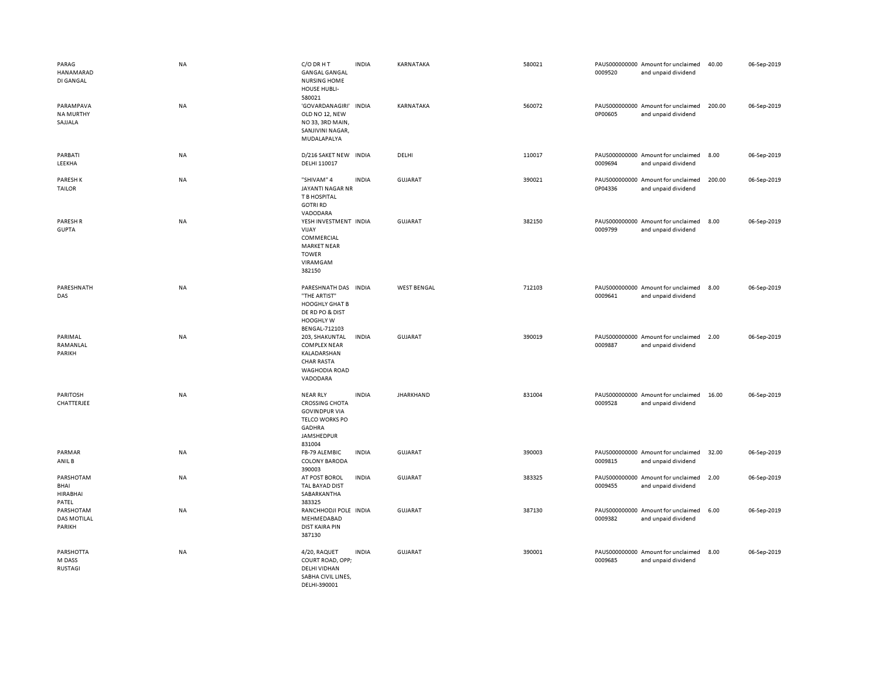| PARAG<br>HANAMARAD<br>DI GANGAL               | <b>NA</b> | C/O DR H T<br><b>GANGAL GANGAL</b><br><b>NURSING HOME</b><br>HOUSE HUBLI-<br>580021                                                | <b>INDIA</b> | KARNATAKA          | 580021 | 0009520 | PAUS000000000 Amount for unclaimed<br>and unpaid dividend | 40.00  | 06-Sep-2019 |
|-----------------------------------------------|-----------|------------------------------------------------------------------------------------------------------------------------------------|--------------|--------------------|--------|---------|-----------------------------------------------------------|--------|-------------|
| PARAMPAVA<br><b>NA MURTHY</b><br>SAJJALA      | <b>NA</b> | 'GOVARDANAGIRI'<br>OLD NO 12, NEW<br>NO33, 3RD MAIN,<br>SANJIVINI NAGAR,<br>MUDALAPALYA                                            | <b>INDIA</b> | KARNATAKA          | 560072 | 0P00605 | PAUS000000000 Amount for unclaimed<br>and unpaid dividend | 200.00 | 06-Sep-2019 |
| PARBATI<br>LEEKHA                             | <b>NA</b> | D/216 SAKET NEW INDIA<br>DELHI 110017                                                                                              |              | DELHI              | 110017 | 0009694 | PAUS000000000 Amount for unclaimed<br>and unpaid dividend | 8.00   | 06-Sep-2019 |
| <b>PARESHK</b><br><b>TAILOR</b>               | NA        | "SHIVAM" 4<br>JAYANTI NAGAR NR<br>T B HOSPITAL<br><b>GOTRI RD</b><br>VADODARA                                                      | <b>INDIA</b> | <b>GUJARAT</b>     | 390021 | 0P04336 | PAUS000000000 Amount for unclaimed<br>and unpaid dividend | 200.00 | 06-Sep-2019 |
| PARESH R<br><b>GUPTA</b>                      | <b>NA</b> | YESH INVESTMENT INDIA<br>VIJAY<br>COMMERCIAL<br><b>MARKET NEAR</b><br><b>TOWER</b><br>VIRAMGAM<br>382150                           |              | GUJARAT            | 382150 | 0009799 | PAUS000000000 Amount for unclaimed<br>and unpaid dividend | 8.00   | 06-Sep-2019 |
| PARESHNATH<br>DAS                             | <b>NA</b> | PARESHNATH DAS INDIA<br>"THE ARTIST"<br><b>HOOGHLY GHAT B</b><br>DE RD PO & DIST<br>HOOGHLY W<br>BENGAL-712103                     |              | <b>WEST BENGAL</b> | 712103 | 0009641 | PAUS000000000 Amount for unclaimed<br>and unpaid dividend | 8.00   | 06-Sep-2019 |
| PARIMAL<br>RAMANLAL<br>PARIKH                 | <b>NA</b> | 203, SHAKUNTAL<br><b>COMPLEX NEAR</b><br>KALADARSHAN<br><b>CHAR RASTA</b><br>WAGHODIA ROAD<br>VADODARA                             | <b>INDIA</b> | GUJARAT            | 390019 | 0009887 | PAUS000000000 Amount for unclaimed<br>and unpaid dividend | 2.00   | 06-Sep-2019 |
| <b>PARITOSH</b><br>CHATTERJEE                 | <b>NA</b> | <b>NEAR RLY</b><br><b>CROSSING CHOTA</b><br><b>GOVINDPUR VIA</b><br><b>TELCO WORKS PO</b><br><b>GADHRA</b><br>JAMSHEDPUR<br>831004 | <b>INDIA</b> | <b>JHARKHAND</b>   | 831004 | 0009528 | PAUS000000000 Amount for unclaimed<br>and unpaid dividend | 16.00  | 06-Sep-2019 |
| PARMAR<br>ANIL B                              | NA        | FB-79 ALEMBIC<br><b>COLONY BARODA</b><br>390003                                                                                    | <b>INDIA</b> | GUJARAT            | 390003 | 0009815 | PAUS000000000 Amount for unclaimed<br>and unpaid dividend | 32.00  | 06-Sep-2019 |
| PARSHOTAM<br>BHAI<br><b>HIRABHAI</b><br>PATEL | <b>NA</b> | AT POST BOROL<br>TAL BAYAD DIST<br>SABARKANTHA<br>383325                                                                           | <b>INDIA</b> | GUJARAT            | 383325 | 0009455 | PAUS000000000 Amount for unclaimed<br>and unpaid dividend | 2.00   | 06-Sep-2019 |
| PARSHOTAM<br><b>DAS MOTILAL</b><br>PARIKH     | <b>NA</b> | RANCHHODJI POLE INDIA<br>MEHMEDABAD<br><b>DIST KAIRA PIN</b><br>387130                                                             |              | <b>GUJARAT</b>     | 387130 | 0009382 | PAUS000000000 Amount for unclaimed<br>and unpaid dividend | 6.00   | 06-Sep-2019 |
| PARSHOTTA<br>M DASS<br><b>RUSTAGI</b>         | NA        | 4/20, RAQUET<br>COURT ROAD, OPP;<br><b>DELHI VIDHAN</b><br>SABHA CIVIL LINES,<br>DELHI-390001                                      | <b>INDIA</b> | GUJARAT            | 390001 | 0009685 | PAUS000000000 Amount for unclaimed<br>and unpaid dividend | 8.00   | 06-Sep-2019 |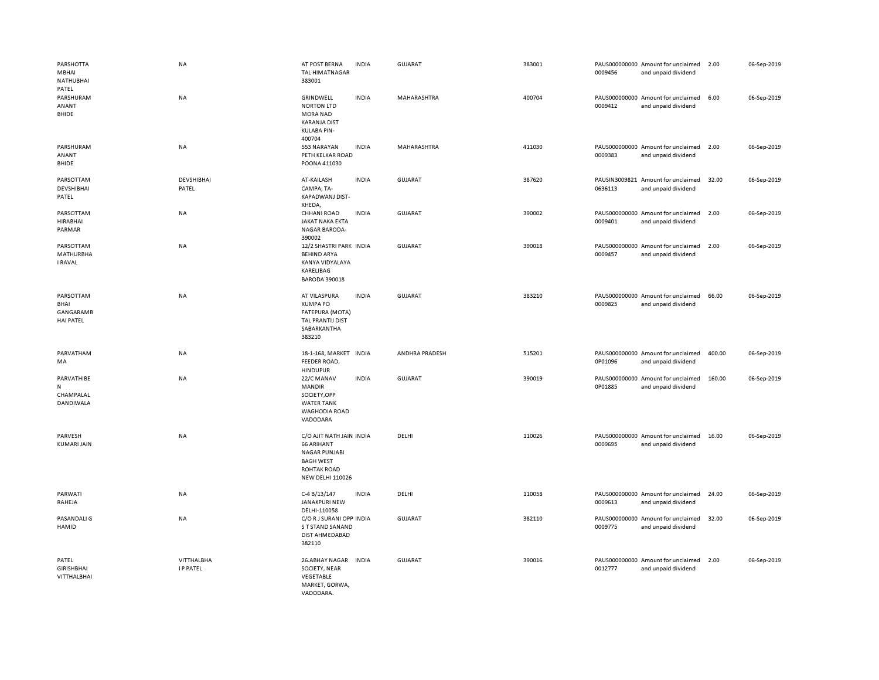| PARSHOTTA<br>MBHAI<br><b>NATHUBHAI</b><br>PATEL           | <b>NA</b>                            | AT POST BERNA<br><b>TAL HIMATNAGAR</b><br>383001                                                                                           | <b>INDIA</b> | <b>GUJARAT</b> | 383001 | 0009456 | PAUS000000000 Amount for unclaimed<br>and unpaid dividend | 2.00   | 06-Sep-2019 |
|-----------------------------------------------------------|--------------------------------------|--------------------------------------------------------------------------------------------------------------------------------------------|--------------|----------------|--------|---------|-----------------------------------------------------------|--------|-------------|
| PARSHURAM<br>ANANT<br><b>BHIDE</b>                        | <b>NA</b>                            | GRINDWELL<br><b>NORTON LTD</b><br><b>MORA NAD</b><br><b>KARANJA DIST</b><br>KULABA PIN-<br>400704                                          | <b>INDIA</b> | MAHARASHTRA    | 400704 | 0009412 | PAUS000000000 Amount for unclaimed<br>and unpaid dividend | 6.00   | 06-Sep-2019 |
| PARSHURAM<br>ANANT<br>BHIDE                               | NA                                   | 553 NARAYAN<br>PETH KELKAR ROAD<br>POONA 411030                                                                                            | <b>INDIA</b> | MAHARASHTRA    | 411030 | 0009383 | PAUS000000000 Amount for unclaimed<br>and unpaid dividend | 2.00   | 06-Sep-2019 |
| PARSOTTAM<br>DEVSHIBHAI<br>PATEL                          | <b>DEVSHIBHAI</b><br>PATEL           | AT-KAILASH<br>CAMPA, TA-<br>KAPADWANJ DIST-<br>KHEDA,                                                                                      | <b>INDIA</b> | <b>GUJARAT</b> | 387620 | 0636113 | PAUSIN3009821 Amount for unclaimed<br>and unpaid dividend | 32.00  | 06-Sep-2019 |
| PARSOTTAM<br><b>HIRABHAI</b><br>PARMAR                    | NA                                   | <b>CHHANI ROAD</b><br><b>JAKAT NAKA EKTA</b><br><b>NAGAR BARODA-</b><br>390002                                                             | <b>INDIA</b> | GUJARAT        | 390002 | 0009401 | PAUS000000000 Amount for unclaimed<br>and unpaid dividend | 2.00   | 06-Sep-2019 |
| PARSOTTAM<br><b>MATHURBHA</b><br>I RAVAL                  | NA                                   | 12/2 SHASTRI PARK INDIA<br><b>BEHIND ARYA</b><br>KANYA VIDYALAYA<br>KARELIBAG<br><b>BARODA 390018</b>                                      |              | <b>GUJARAT</b> | 390018 | 0009457 | PAUS000000000 Amount for unclaimed<br>and unpaid dividend | 2.00   | 06-Sep-2019 |
| PARSOTTAM<br>BHAI<br><b>GANGARAMB</b><br><b>HAI PATEL</b> | NA                                   | AT VILASPURA<br><b>KUMPA PO</b><br><b>FATEPURA (MOTA)</b><br>TAL PRANTIJ DIST<br>SABARKANTHA<br>383210                                     | <b>INDIA</b> | GUJARAT        | 383210 | 0009825 | PAUS000000000 Amount for unclaimed<br>and unpaid dividend | 66.00  | 06-Sep-2019 |
| PARVATHAM<br>MA                                           | <b>NA</b>                            | 18-1-168, MARKET INDIA<br>FEEDER ROAD,<br><b>HINDUPUR</b>                                                                                  |              | ANDHRA PRADESH | 515201 | 0P01096 | PAUS000000000 Amount for unclaimed<br>and unpaid dividend | 400.00 | 06-Sep-2019 |
| PARVATHIBE<br>N<br>CHAMPALAL<br>DANDIWALA                 | <b>NA</b>                            | 22/C MANAV<br><b>MANDIR</b><br>SOCIETY, OPP<br><b>WATER TANK</b><br><b>WAGHODIA ROAD</b><br>VADODARA                                       | <b>INDIA</b> | <b>GUJARAT</b> | 390019 | 0P01885 | PAUS000000000 Amount for unclaimed<br>and unpaid dividend | 160.00 | 06-Sep-2019 |
| PARVESH<br><b>KUMARI JAIN</b>                             | <b>NA</b>                            | C/O AJIT NATH JAIN INDIA<br><b>66 ARIHANT</b><br><b>NAGAR PUNJABI</b><br><b>BAGH WEST</b><br><b>ROHTAK ROAD</b><br><b>NEW DELHI 110026</b> |              | DELHI          | 110026 | 0009695 | PAUS000000000 Amount for unclaimed<br>and unpaid dividend | 16.00  | 06-Sep-2019 |
| PARWATI<br>RAHEJA                                         | NA                                   | C-4 B/13/147<br>JANAKPURI NEW<br>DELHI-110058                                                                                              | <b>INDIA</b> | DELHI          | 110058 | 0009613 | PAUS000000000 Amount for unclaimed<br>and unpaid dividend | 24.00  | 06-Sep-2019 |
| PASANDALI G<br>HAMID                                      | <b>NA</b>                            | C/O R J SURANI OPP INDIA<br>S T STAND SANAND<br>DIST AHMEDABAD<br>382110                                                                   |              | <b>GUJARAT</b> | 382110 | 0009775 | PAUS000000000 Amount for unclaimed<br>and unpaid dividend | 32.00  | 06-Sep-2019 |
| PATEL<br><b>GIRISHBHAI</b><br><b>VITTHALBHAI</b>          | <b>VITTHALBHA</b><br><b>IP PATEL</b> | 26.ABHAY NAGAR<br>SOCIETY, NEAR<br>VEGETABLE<br>MARKET, GORWA,<br>VADODARA.                                                                | <b>INDIA</b> | <b>GUJARAT</b> | 390016 | 0012777 | PAUS000000000 Amount for unclaimed<br>and unpaid dividend | 2.00   | 06-Sep-2019 |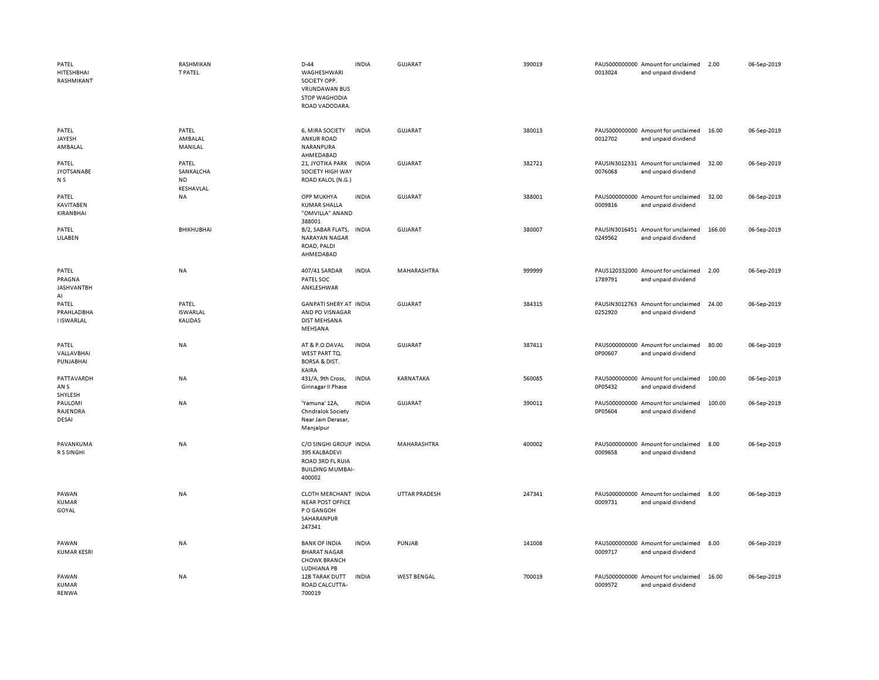| PATEL<br>HITESHBHAI<br>RASHMIKANT          | <b>RASHMIKAN</b><br><b>T PATEL</b>           | $D-44$<br>WAGHESHWARI<br>SOCIETY OPP.<br><b>VRUNDAWAN BUS</b><br><b>STOP WAGHODIA</b><br>ROAD VADODARA. | <b>INDIA</b> | GUJARAT              | 390019 | 0013024 | PAUS000000000 Amount for unclaimed<br>and unpaid dividend | 2.00   | 06-Sep-2019 |
|--------------------------------------------|----------------------------------------------|---------------------------------------------------------------------------------------------------------|--------------|----------------------|--------|---------|-----------------------------------------------------------|--------|-------------|
| PATEL<br>JAYESH<br>AMBALAL                 | PATEL<br>AMBALAL<br>MANILAL                  | 6, MIRA SOCIETY<br><b>ANKUR ROAD</b><br>NARANPURA<br>AHMEDABAD                                          | <b>INDIA</b> | <b>GUJARAT</b>       | 380013 | 0012702 | PAUS000000000 Amount for unclaimed<br>and unpaid dividend | 16.00  | 06-Sep-2019 |
| PATEL<br><b>JYOTSANABE</b><br>N S          | PATEL<br>SANKALCHA<br><b>ND</b><br>KESHAVLAL | 21, JYOTIKA PARK<br>SOCIETY HIGH WAY<br>ROAD KALOL (N.G.)                                               | <b>INDIA</b> | <b>GUJARAT</b>       | 382721 | 0076068 | PAUSIN3012331 Amount for unclaimed<br>and unpaid dividend | 32.00  | 06-Sep-2019 |
| PATEL<br><b>KAVITABEN</b><br>KIRANBHAI     | NA                                           | OPP MUKHYA<br><b>KUMAR SHALLA</b><br>"OMVILLA" ANAND<br>388001                                          | <b>INDIA</b> | <b>GUJARAT</b>       | 388001 | 0009816 | PAUS000000000 Amount for unclaimed<br>and unpaid dividend | 32.00  | 06-Sep-2019 |
| PATEL<br>LILABEN                           | BHIKHUBHAI                                   | B/2, SABAR FLATS,<br><b>NARAYAN NAGAR</b><br>ROAD, PALDI<br>AHMEDABAD                                   | <b>INDIA</b> | <b>GUJARAT</b>       | 380007 | 0249562 | PAUSIN3016451 Amount for unclaimed<br>and unpaid dividend | 166.00 | 06-Sep-2019 |
| PATEL<br>PRAGNA<br><b>JASHVANTBH</b><br>AI | NA                                           | 407/41 SARDAR<br>PATEL SOC<br>ANKLESHWAR                                                                | <b>INDIA</b> | MAHARASHTRA          | 999999 | 1789791 | PAUS120332000 Amount for unclaimed<br>and unpaid dividend | 2.00   | 06-Sep-2019 |
| PATEL<br>PRAHLADBHA<br><b>I ISWARLAL</b>   | PATEL<br><b>ISWARLAL</b><br><b>KALIDAS</b>   | <b>GANPATI SHERY AT INDIA</b><br>AND PO VISNAGAR<br><b>DIST MEHSANA</b><br>MEHSANA                      |              | <b>GUJARAT</b>       | 384315 | 0252920 | PAUSIN3012763 Amount for unclaimed<br>and unpaid dividend | 24.00  | 06-Sep-2019 |
| PATEL<br>VALLAVBHAI<br>PUNJABHAI           | NA                                           | AT & P.O.DAVAL<br>WEST PART TQ.<br><b>BORSA &amp; DIST.</b><br>KAIRA                                    | <b>INDIA</b> | <b>GUJARAT</b>       | 387411 | 0P00607 | PAUS000000000 Amount for unclaimed<br>and unpaid dividend | 80.00  | 06-Sep-2019 |
| PATTAVARDH<br>AN <sub>S</sub><br>SHYLESH   | NA                                           | 431/A, 9th Cross,<br>Girinagar II Phase                                                                 | <b>INDIA</b> | KARNATAKA            | 560085 | 0P05432 | PAUS000000000 Amount for unclaimed<br>and unpaid dividend | 100.00 | 06-Sep-2019 |
| PAULOMI<br>RAJENDRA<br>DESAI               | NA                                           | 'Yamuna' 12A,<br>Chndralok Society<br>Near Jain Derasar,<br>Manjalpur                                   | <b>INDIA</b> | <b>GUJARAT</b>       | 390011 | 0P05604 | PAUS000000000 Amount for unclaimed<br>and unpaid dividend | 100.00 | 06-Sep-2019 |
| PAVANKUMA<br>R S SINGHI                    | NA                                           | C/O SINGHI GROUP INDIA<br>395 KALBADEVI<br>ROAD 3RD FL RUIA<br><b>BUILDING MUMBAI-</b><br>400002        |              | MAHARASHTRA          | 400002 | 0009658 | PAUS000000000 Amount for unclaimed<br>and unpaid dividend | 8.00   | 06-Sep-2019 |
| PAWAN<br>KUMAR<br>GOYAL                    | <b>NA</b>                                    | CLOTH MERCHANT INDIA<br><b>NEAR POST OFFICE</b><br>P O GANGOH<br>SAHARANPUR<br>247341                   |              | <b>UTTAR PRADESH</b> | 247341 | 0009731 | PAUS000000000 Amount for unclaimed<br>and unpaid dividend | 8.00   | 06-Sep-2019 |
| PAWAN<br><b>KUMAR KESRI</b>                | NA                                           | <b>BANK OF INDIA</b><br><b>BHARAT NAGAR</b><br><b>CHOWK BRANCH</b><br>LUDHIANA PB                       | <b>INDIA</b> | PUNJAB               | 141008 | 0009717 | PAUS000000000 Amount for unclaimed<br>and unpaid dividend | 8.00   | 06-Sep-2019 |
| PAWAN<br><b>KUMAR</b><br><b>RENWA</b>      | NA                                           | 12B TARAK DUTT<br>ROAD CALCUTTA-<br>700019                                                              | <b>INDIA</b> | <b>WEST BENGAL</b>   | 700019 | 0009572 | PAUS000000000 Amount for unclaimed<br>and unpaid dividend | 16.00  | 06-Sep-2019 |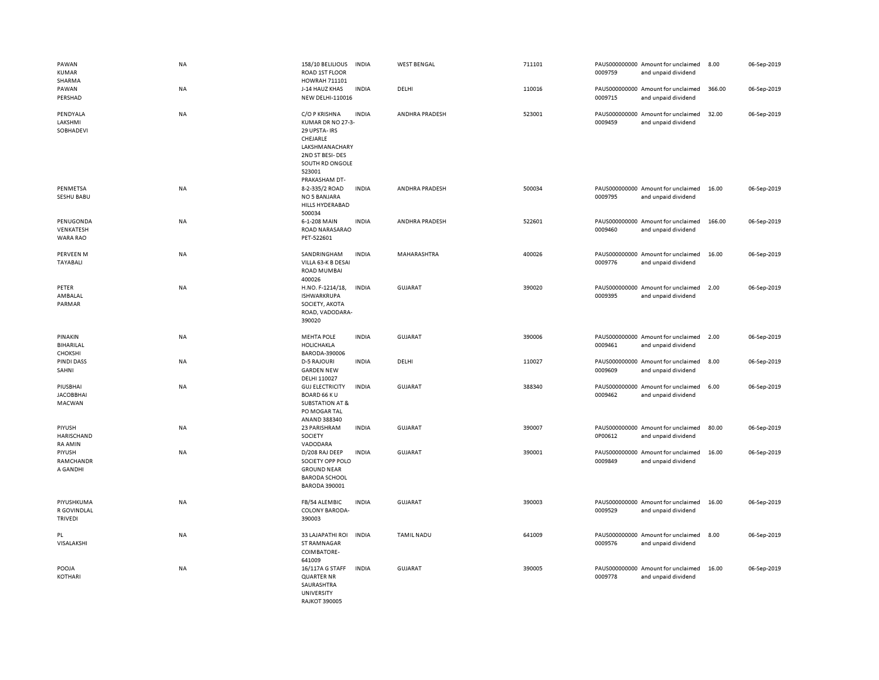| PAWAN<br><b>KUMAR</b><br>SHARMA               | <b>NA</b> | 158/10 BELILIOUS<br>ROAD 1ST FLOOR<br>HOWRAH 711101                                                                                                | <b>INDIA</b> | <b>WEST BENGAL</b> | 711101 | 0009759 | PAUS000000000 Amount for unclaimed<br>and unpaid dividend | 8.00   | 06-Sep-2019 |
|-----------------------------------------------|-----------|----------------------------------------------------------------------------------------------------------------------------------------------------|--------------|--------------------|--------|---------|-----------------------------------------------------------|--------|-------------|
| PAWAN<br>PERSHAD                              | NA        | J-14 HAUZ KHAS<br>NEW DELHI-110016                                                                                                                 | <b>INDIA</b> | DELHI              | 110016 | 0009715 | PAUS000000000 Amount for unclaimed<br>and unpaid dividend | 366.00 | 06-Sep-2019 |
| PENDYALA<br>LAKSHMI<br>SOBHADEVI              | NA        | C/O P KRISHNA<br>KUMAR DR NO 27-3-<br>29 UPSTA- IRS<br>CHEJARLE<br>LAKSHMANACHARY<br>2ND ST BESI-DES<br>SOUTH RD ONGOLE<br>523001<br>PRAKASHAM DT- | <b>INDIA</b> | ANDHRA PRADESH     | 523001 | 0009459 | PAUS000000000 Amount for unclaimed<br>and unpaid dividend | 32.00  | 06-Sep-2019 |
| PENMETSA<br>SESHU BABU                        | <b>NA</b> | 8-2-335/2 ROAD<br>NO 5 BANJARA<br>HILLS HYDERABAD<br>500034                                                                                        | <b>INDIA</b> | ANDHRA PRADESH     | 500034 | 0009795 | PAUS000000000 Amount for unclaimed<br>and unpaid dividend | 16.00  | 06-Sep-2019 |
| PENUGONDA<br>VENKATESH<br>WARA RAO            | NA        | 6-1-208 MAIN<br>ROAD NARASARAO<br>PET-522601                                                                                                       | <b>INDIA</b> | ANDHRA PRADESH     | 522601 | 0009460 | PAUS000000000 Amount for unclaimed<br>and unpaid dividend | 166.00 | 06-Sep-2019 |
| PERVEEN M<br>TAYABALI                         | <b>NA</b> | SANDRINGHAM<br>VILLA 63-K B DESAI<br><b>ROAD MUMBAI</b><br>400026                                                                                  | <b>INDIA</b> | MAHARASHTRA        | 400026 | 0009776 | PAUS000000000 Amount for unclaimed<br>and unpaid dividend | 16.00  | 06-Sep-2019 |
| PETER<br>AMBALAL<br>PARMAR                    | NA        | H.NO. F-1214/18,<br><b>ISHWARKRUPA</b><br>SOCIETY, AKOTA<br>ROAD, VADODARA-<br>390020                                                              | <b>INDIA</b> | <b>GUJARAT</b>     | 390020 | 0009395 | PAUS000000000 Amount for unclaimed<br>and unpaid dividend | 2.00   | 06-Sep-2019 |
|                                               |           |                                                                                                                                                    |              |                    |        |         |                                                           |        |             |
| PINAKIN<br>BIHARILAL<br><b>CHOKSHI</b>        | NA        | <b>MEHTA POLE</b><br><b>HOLICHAKLA</b><br>BARODA-390006                                                                                            | <b>INDIA</b> | GUJARAT            | 390006 | 0009461 | PAUS000000000 Amount for unclaimed<br>and unpaid dividend | 2.00   | 06-Sep-2019 |
| <b>PINDI DASS</b><br>SAHNI                    | NA        | <b>D-5 RAJOURI</b><br><b>GARDEN NEW</b><br>DELHI 110027                                                                                            | <b>INDIA</b> | DELHI              | 110027 | 0009609 | PAUS000000000 Amount for unclaimed<br>and unpaid dividend | 8.00   | 06-Sep-2019 |
| PIUSBHAI<br><b>JACOBBHAI</b><br>MACWAN        | <b>NA</b> | <b>GUJ ELECTRICITY</b><br>BOARD 66 KU<br><b>SUBSTATION AT &amp;</b><br>PO MOGAR TAL<br>ANAND 388340                                                | <b>INDIA</b> | <b>GUJARAT</b>     | 388340 | 0009462 | PAUS000000000 Amount for unclaimed<br>and unpaid dividend | 6.00   | 06-Sep-2019 |
| PIYUSH<br><b>HARISCHAND</b><br><b>RA AMIN</b> | NA        | 23 PARISHRAM<br><b>SOCIETY</b><br>VADODARA                                                                                                         | <b>INDIA</b> | <b>GUJARAT</b>     | 390007 | 0P00612 | PAUS000000000 Amount for unclaimed<br>and unpaid dividend | 80.00  | 06-Sep-2019 |
| PIYUSH<br>RAMCHANDR<br>A GANDHI               | <b>NA</b> | D/208 RAJ DEEP<br>SOCIETY OPP POLO<br><b>GROUND NEAR</b><br><b>BARODA SCHOOL</b><br><b>BARODA 390001</b>                                           | <b>INDIA</b> | <b>GUJARAT</b>     | 390001 | 0009849 | PAUS000000000 Amount for unclaimed<br>and unpaid dividend | 16.00  | 06-Sep-2019 |
| PIYUSHKUMA<br>R GOVINDLAL<br><b>TRIVEDI</b>   | NA        | FB/54 ALEMBIC<br><b>COLONY BARODA-</b><br>390003                                                                                                   | <b>INDIA</b> | <b>GUJARAT</b>     | 390003 | 0009529 | PAUS000000000 Amount for unclaimed<br>and unpaid dividend | 16.00  | 06-Sep-2019 |
| PL<br>VISALAKSHI                              | NA        | 33 LAJAPATHI ROI<br>ST RAMNAGAR<br>COIMBATORE-<br>641009                                                                                           | <b>INDIA</b> | <b>TAMIL NADU</b>  | 641009 | 0009576 | PAUS000000000 Amount for unclaimed<br>and unpaid dividend | 8.00   | 06-Sep-2019 |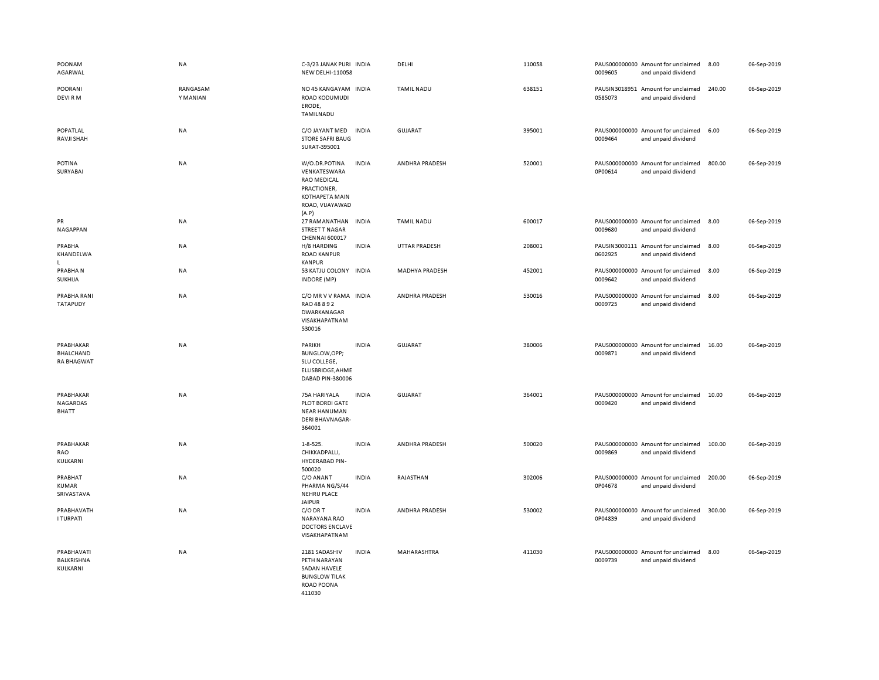| POONAM<br>AGARWAL                           | NA                   | C-3/23 JANAK PURI INDIA<br><b>NEW DELHI-110058</b>                                                               |              | DELHI             | 110058 | 0009605 | PAUS000000000 Amount for unclaimed<br>and unpaid dividend | 8.00   | 06-Sep-2019 |
|---------------------------------------------|----------------------|------------------------------------------------------------------------------------------------------------------|--------------|-------------------|--------|---------|-----------------------------------------------------------|--------|-------------|
| <b>POORANI</b><br>DEVI RM                   | RANGASAM<br>Y MANIAN | NO 45 KANGAYAM INDIA<br>ROAD KODUMUDI<br>ERODE,<br>TAMILNADU                                                     |              | <b>TAMIL NADU</b> | 638151 | 0585073 | PAUSIN3018951 Amount for unclaimed<br>and unpaid dividend | 240.00 | 06-Sep-2019 |
| POPATLAL<br>RAVJI SHAH                      | NA                   | C/O JAYANT MED<br><b>STORE SAFRI BAUG</b><br>SURAT-395001                                                        | <b>INDIA</b> | GUJARAT           | 395001 | 0009464 | PAUS000000000 Amount for unclaimed<br>and unpaid dividend | 6.00   | 06-Sep-2019 |
| <b>POTINA</b><br>SURYABAI                   | NA                   | W/O.DR.POTINA<br>VENKATESWARA<br><b>RAO MEDICAL</b><br>PRACTIONER,<br>KOTHAPETA MAIN<br>ROAD, VIJAYAWAD<br>(A.P) | <b>INDIA</b> | ANDHRA PRADESH    | 520001 | 0P00614 | PAUS000000000 Amount for unclaimed<br>and unpaid dividend | 800.00 | 06-Sep-2019 |
| PR<br>NAGAPPAN                              | NA                   | 27 RAMANATHAN<br>STREET T NAGAR<br>CHENNAI 600017                                                                | <b>INDIA</b> | <b>TAMIL NADU</b> | 600017 | 0009680 | PAUS000000000 Amount for unclaimed<br>and unpaid dividend | 8.00   | 06-Sep-2019 |
| PRABHA<br>KHANDELWA<br>L.                   | NA                   | H/8 HARDING<br><b>ROAD KANPUR</b><br><b>KANPUR</b>                                                               | <b>INDIA</b> | UTTAR PRADESH     | 208001 | 0602925 | PAUSIN3000111 Amount for unclaimed<br>and unpaid dividend | 8.00   | 06-Sep-2019 |
| PRABHAN<br>SUKHIJA                          | NA                   | 53 KATJU COLONY INDIA<br><b>INDORE</b> (MP)                                                                      |              | MADHYA PRADESH    | 452001 | 0009642 | PAUS000000000 Amount for unclaimed<br>and unpaid dividend | 8.00   | 06-Sep-2019 |
| PRABHA RANI<br><b>TATAPUDY</b>              | NA                   | C/O MR V V RAMA INDIA<br>RAO 48 8 9 2<br>DWARKANAGAR<br>VISAKHAPATNAM<br>530016                                  |              | ANDHRA PRADESH    | 530016 | 0009725 | PAUS000000000 Amount for unclaimed<br>and unpaid dividend | 8.00   | 06-Sep-2019 |
| PRABHAKAR<br>BHALCHAND<br><b>RA BHAGWAT</b> | <b>NA</b>            | PARIKH<br>BUNGLOW, OPP;<br>SLU COLLEGE,<br>ELLISBRIDGE, AHME<br>DABAD PIN-380006                                 | <b>INDIA</b> | <b>GUJARAT</b>    | 380006 | 0009871 | PAUS000000000 Amount for unclaimed<br>and unpaid dividend | 16.00  | 06-Sep-2019 |
| PRABHAKAR<br>NAGARDAS<br>BHATT              | NA                   | 75A HARIYALA<br>PLOT BORDI GATE<br><b>NEAR HANUMAN</b><br><b>DERI BHAVNAGAR-</b><br>364001                       | <b>INDIA</b> | <b>GUJARAT</b>    | 364001 | 0009420 | PAUS000000000 Amount for unclaimed<br>and unpaid dividend | 10.00  | 06-Sep-2019 |
| PRABHAKAR<br>RAO<br>KULKARNI                | NA                   | $1 - 8 - 525.$<br>CHIKKADPALLI,<br>HYDERABAD PIN-<br>500020                                                      | <b>INDIA</b> | ANDHRA PRADESH    | 500020 | 0009869 | PAUS000000000 Amount for unclaimed<br>and unpaid dividend | 100.00 | 06-Sep-2019 |
| PRABHAT<br><b>KUMAR</b><br>SRIVASTAVA       | <b>NA</b>            | C/O ANANT<br>PHARMA NG/S/44<br><b>NEHRU PLACE</b><br><b>JAIPUR</b>                                               | <b>INDIA</b> | RAJASTHAN         | 302006 | 0P04678 | PAUS000000000 Amount for unclaimed<br>and unpaid dividend | 200.00 | 06-Sep-2019 |
| PRABHAVATH<br><b>I TURPATI</b>              | NA                   | C/O DR T<br>NARAYANA RAO<br><b>DOCTORS ENCLAVE</b><br>VISAKHAPATNAM                                              | <b>INDIA</b> | ANDHRA PRADESH    | 530002 | 0P04839 | PAUS000000000 Amount for unclaimed<br>and unpaid dividend | 300.00 | 06-Sep-2019 |
| PRABHAVATI<br>BALKRISHNA<br>KULKARNI        | NA                   | 2181 SADASHIV<br>PETH NARAYAN<br>SADAN HAVELE<br><b>BUNGLOW TILAK</b><br>ROAD POONA<br>411030                    | <b>INDIA</b> | MAHARASHTRA       | 411030 | 0009739 | PAUS000000000 Amount for unclaimed<br>and unpaid dividend | 8.00   | 06-Sep-2019 |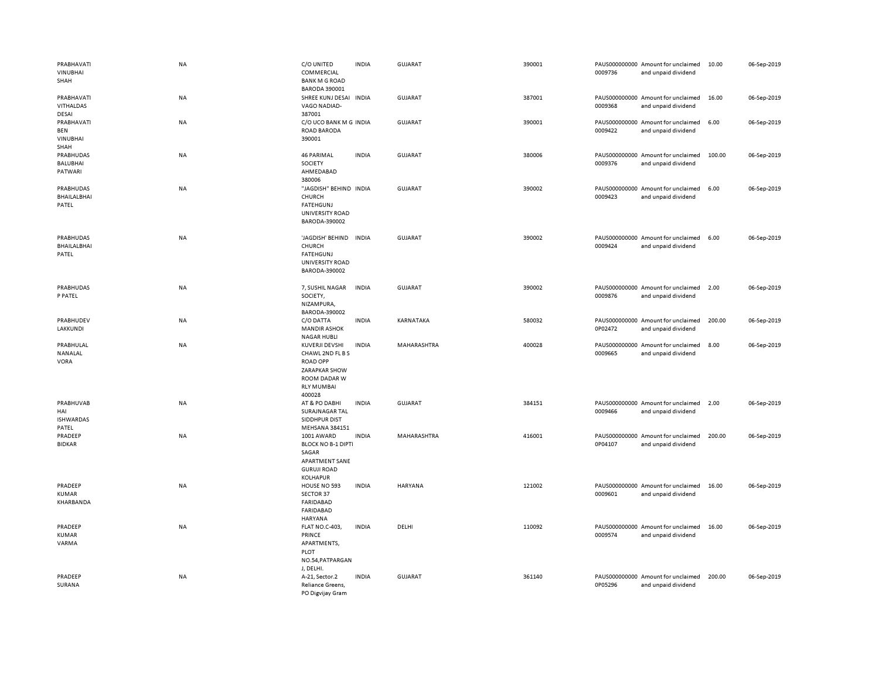| PRABHAVATI<br><b>VINUBHAI</b><br>SHAH         | NA        | C/O UNITED<br>COMMERCIAL<br><b>BANK M G ROAD</b><br><b>BARODA 390001</b>                                                     | <b>INDIA</b> | GUJARAT        | 390001 | 0009736 | PAUS000000000 Amount for unclaimed<br>and unpaid dividend | 10.00  | 06-Sep-2019 |
|-----------------------------------------------|-----------|------------------------------------------------------------------------------------------------------------------------------|--------------|----------------|--------|---------|-----------------------------------------------------------|--------|-------------|
| PRABHAVATI<br><b>VITHALDAS</b><br>DESAI       | NA        | SHREE KUNJ DESAI INDIA<br>VAGO NADIAD-<br>387001                                                                             |              | <b>GUJARAT</b> | 387001 | 0009368 | PAUS000000000 Amount for unclaimed<br>and unpaid dividend | 16.00  | 06-Sep-2019 |
| PRABHAVATI<br><b>BEN</b><br>VINUBHAI<br>SHAH  | NA        | C/O UCO BANK M G INDIA<br>ROAD BARODA<br>390001                                                                              |              | <b>GUJARAT</b> | 390001 | 0009422 | PAUS000000000 Amount for unclaimed<br>and unpaid dividend | 6.00   | 06-Sep-2019 |
| PRABHUDAS<br><b>BALUBHAI</b><br>PATWARI       | NA        | <b>46 PARIMAL</b><br>SOCIETY<br>AHMEDABAD<br>380006                                                                          | <b>INDIA</b> | <b>GUJARAT</b> | 380006 | 0009376 | PAUS000000000 Amount for unclaimed<br>and unpaid dividend | 100.00 | 06-Sep-2019 |
| <b>PRABHUDAS</b><br>BHAILALBHAI<br>PATEL      | <b>NA</b> | "JAGDISH" BEHIND INDIA<br>CHURCH<br><b>FATEHGUNJ</b><br>UNIVERSITY ROAD<br>BARODA-390002                                     |              | <b>GUJARAT</b> | 390002 | 0009423 | PAUS000000000 Amount for unclaimed<br>and unpaid dividend | 6.00   | 06-Sep-2019 |
| PRABHUDAS<br>BHAILALBHAI<br>PATEL             | <b>NA</b> | 'JAGDISH' BEHIND<br><b>CHURCH</b><br><b>FATEHGUNJ</b><br><b>UNIVERSITY ROAD</b><br>BARODA-390002                             | <b>INDIA</b> | <b>GUJARAT</b> | 390002 | 0009424 | PAUS000000000 Amount for unclaimed<br>and unpaid dividend | 6.00   | 06-Sep-2019 |
| PRABHUDAS<br>P PATEL                          | NA        | 7, SUSHIL NAGAR<br>SOCIETY,<br>NIZAMPURA,<br>BARODA-390002                                                                   | <b>INDIA</b> | <b>GUJARAT</b> | 390002 | 0009876 | PAUS000000000 Amount for unclaimed<br>and unpaid dividend | 2.00   | 06-Sep-2019 |
| PRABHUDEV<br>LAKKUNDI                         | <b>NA</b> | C/O DATTA<br><b>MANDIR ASHOK</b><br><b>NAGAR HUBLI</b>                                                                       | <b>INDIA</b> | KARNATAKA      | 580032 | 0P02472 | PAUS000000000 Amount for unclaimed<br>and unpaid dividend | 200.00 | 06-Sep-2019 |
| PRABHULAL<br>NANALAL<br><b>VORA</b>           | NA        | KUVERJI DEVSHI<br>CHAWL 2ND FL B S<br><b>ROAD OPP</b><br><b>ZARAPKAR SHOW</b><br>ROOM DADAR W<br><b>RLY MUMBAI</b><br>400028 | <b>INDIA</b> | MAHARASHTRA    | 400028 | 0009665 | PAUS000000000 Amount for unclaimed<br>and unpaid dividend | 8.00   | 06-Sep-2019 |
| PRABHUVAB<br>HAI<br><b>ISHWARDAS</b><br>PATEL | NA        | AT & PO DABHI<br>SURAJNAGAR TAL<br>SIDDHPUR DIST<br>MEHSANA 384151                                                           | <b>INDIA</b> | <b>GUJARAT</b> | 384151 | 0009466 | PAUS000000000 Amount for unclaimed<br>and unpaid dividend | 2.00   | 06-Sep-2019 |
| PRADEEP<br><b>BIDKAR</b>                      | NA        | 1001 AWARD<br><b>BLOCK NO B-1 DIPTI</b><br>SAGAR<br>APARTMENT SANE<br><b>GURUJI ROAD</b><br><b>KOLHAPUR</b>                  | <b>INDIA</b> | MAHARASHTRA    | 416001 | 0P04107 | PAUS000000000 Amount for unclaimed<br>and unpaid dividend | 200.00 | 06-Sep-2019 |
| PRADEEP<br>KUMAR<br>KHARBANDA                 | <b>NA</b> | HOUSE NO 593<br>SECTOR 37<br><b>FARIDABAD</b><br><b>FARIDABAD</b><br><b>HARYANA</b>                                          | <b>INDIA</b> | <b>HARYANA</b> | 121002 | 0009601 | PAUS000000000 Amount for unclaimed<br>and unpaid dividend | 16.00  | 06-Sep-2019 |
| PRADEEP<br><b>KUMAR</b><br>VARMA              | <b>NA</b> | <b>FLAT NO.C-403,</b><br>PRINCE<br>APARTMENTS,<br><b>PLOT</b><br>NO.54, PATPARGAN<br>J, DELHI.                               | <b>INDIA</b> | DELHI          | 110092 | 0009574 | PAUS000000000 Amount for unclaimed<br>and unpaid dividend | 16.00  | 06-Sep-2019 |
| PRADEEP<br>SURANA                             | <b>NA</b> | A-21, Sector.2<br>Reliance Greens,<br>PO Digvijay Gram                                                                       | <b>INDIA</b> | <b>GUJARAT</b> | 361140 | 0P05296 | PAUS000000000 Amount for unclaimed<br>and unpaid dividend | 200.00 | 06-Sep-2019 |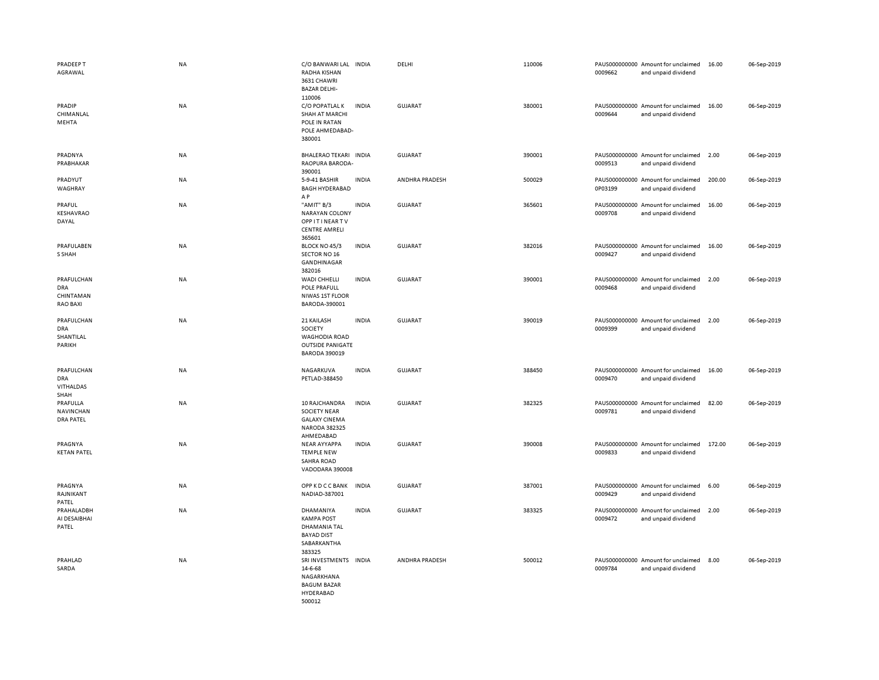| PRADEEP T<br>AGRAWAL<br>PRADIP                           | <b>NA</b><br>NA | C/O BANWARI LAL INDIA<br>RADHA KISHAN<br>3631 CHAWRI<br><b>BAZAR DELHI-</b><br>110006<br>C/O POPATLAL K | <b>INDIA</b> | DELHI<br>GUJARAT | 110006<br>380001 | 0009662 | PAUS000000000 Amount for unclaimed<br>and unpaid dividend<br>PAUS000000000 Amount for unclaimed | 16.00<br>16.00 | 06-Sep-2019<br>06-Sep-2019 |
|----------------------------------------------------------|-----------------|---------------------------------------------------------------------------------------------------------|--------------|------------------|------------------|---------|-------------------------------------------------------------------------------------------------|----------------|----------------------------|
| CHIMANLAL<br>MEHTA                                       |                 | SHAH AT MARCHI<br>POLE IN RATAN<br>POLE AHMEDABAD-<br>380001                                            |              |                  |                  | 0009644 | and unpaid dividend                                                                             |                |                            |
| PRADNYA<br>PRABHAKAR                                     | NA              | BHALERAO TEKARI INDIA<br>RAOPURA BARODA-<br>390001                                                      |              | <b>GUJARAT</b>   | 390001           | 0009513 | PAUS000000000 Amount for unclaimed<br>and unpaid dividend                                       | 2.00           | 06-Sep-2019                |
| PRADYUT<br>WAGHRAY                                       | <b>NA</b>       | 5-9-41 BASHIR<br><b>BAGH HYDERABAD</b><br>A P                                                           | <b>INDIA</b> | ANDHRA PRADESH   | 500029           | 0P03199 | PAUS000000000 Amount for unclaimed<br>and unpaid dividend                                       | 200.00         | 06-Sep-2019                |
| PRAFUL<br>KESHAVRAO<br>DAYAL                             | <b>NA</b>       | "AMIT" B/3<br><b>NARAYAN COLONY</b><br><b>OPPITINEARTV</b><br><b>CENTRE AMRELI</b><br>365601            | <b>INDIA</b> | GUJARAT          | 365601           | 0009708 | PAUS000000000 Amount for unclaimed<br>and unpaid dividend                                       | 16.00          | 06-Sep-2019                |
| PRAFULABEN<br>S SHAH                                     | NA              | BLOCK NO 45/3<br>SECTOR NO 16<br>GANDHINAGAR<br>382016                                                  | <b>INDIA</b> | <b>GUJARAT</b>   | 382016           | 0009427 | PAUS000000000 Amount for unclaimed<br>and unpaid dividend                                       | 16.00          | 06-Sep-2019                |
| PRAFULCHAN<br><b>DRA</b><br>CHINTAMAN<br><b>RAO BAXI</b> | NA              | <b>WADI CHHELLI</b><br>POLE PRAFULL<br>NIWAS 1ST FLOOR<br>BARODA-390001                                 | <b>INDIA</b> | <b>GUJARAT</b>   | 390001           | 0009468 | PAUS000000000 Amount for unclaimed<br>and unpaid dividend                                       | 2.00           | 06-Sep-2019                |
| PRAFULCHAN<br><b>DRA</b><br>SHANTILAL<br>PARIKH          | <b>NA</b>       | 21 KAILASH<br><b>SOCIETY</b><br><b>WAGHODIA ROAD</b><br><b>OUTSIDE PANIGATE</b><br><b>BARODA 390019</b> | <b>INDIA</b> | GUJARAT          | 390019           | 0009399 | PAUS000000000 Amount for unclaimed<br>and unpaid dividend                                       | 2.00           | 06-Sep-2019                |
| PRAFULCHAN<br><b>DRA</b><br><b>VITHALDAS</b><br>SHAH     | NA              | NAGARKUVA<br>PETLAD-388450                                                                              | <b>INDIA</b> | <b>GUJARAT</b>   | 388450           | 0009470 | PAUS000000000 Amount for unclaimed<br>and unpaid dividend                                       | 16.00          | 06-Sep-2019                |
| PRAFULLA<br>NAVINCHAN<br><b>DRA PATEL</b>                | NA              | 10 RAJCHANDRA<br><b>SOCIETY NEAR</b><br><b>GALAXY CINEMA</b><br>NARODA 382325<br>AHMEDABAD              | <b>INDIA</b> | <b>GUJARAT</b>   | 382325           | 0009781 | PAUS000000000 Amount for unclaimed<br>and unpaid dividend                                       | 82.00          | 06-Sep-2019                |
| PRAGNYA<br><b>KETAN PATEL</b>                            | NA              | <b>NEAR AYYAPPA</b><br><b>TEMPLE NEW</b><br><b>SAHRA ROAD</b><br>VADODARA 390008                        | <b>INDIA</b> | <b>GUJARAT</b>   | 390008           | 0009833 | PAUS000000000 Amount for unclaimed<br>and unpaid dividend                                       | 172.00         | 06-Sep-2019                |
| PRAGNYA<br>RAJNIKANT<br>PATEL                            | NA              | <b>OPP K D C C BANK</b><br>NADIAD-387001                                                                | <b>INDIA</b> | <b>GUJARAT</b>   | 387001           | 0009429 | PAUS000000000 Amount for unclaimed<br>and unpaid dividend                                       | 6.00           | 06-Sep-2019                |
| PRAHALADBH<br>AI DESAIBHAI<br>PATEL                      | NA              | DHAMANIYA<br><b>KAMPA POST</b><br>DHAMANIA TAL<br><b>BAYAD DIST</b><br>SABARKANTHA<br>383325            | <b>INDIA</b> | <b>GUJARAT</b>   | 383325           | 0009472 | PAUS000000000 Amount for unclaimed<br>and unpaid dividend                                       | 2.00           | 06-Sep-2019                |
| PRAHLAD<br>SARDA                                         | NA              | SRI INVESTMENTS<br>14-6-68<br>NAGARKHANA<br><b>BAGUM BAZAR</b><br>HYDERABAD<br>500012                   | <b>INDIA</b> | ANDHRA PRADESH   | 500012           | 0009784 | PAUS000000000 Amount for unclaimed<br>and unpaid dividend                                       | 8.00           | 06-Sep-2019                |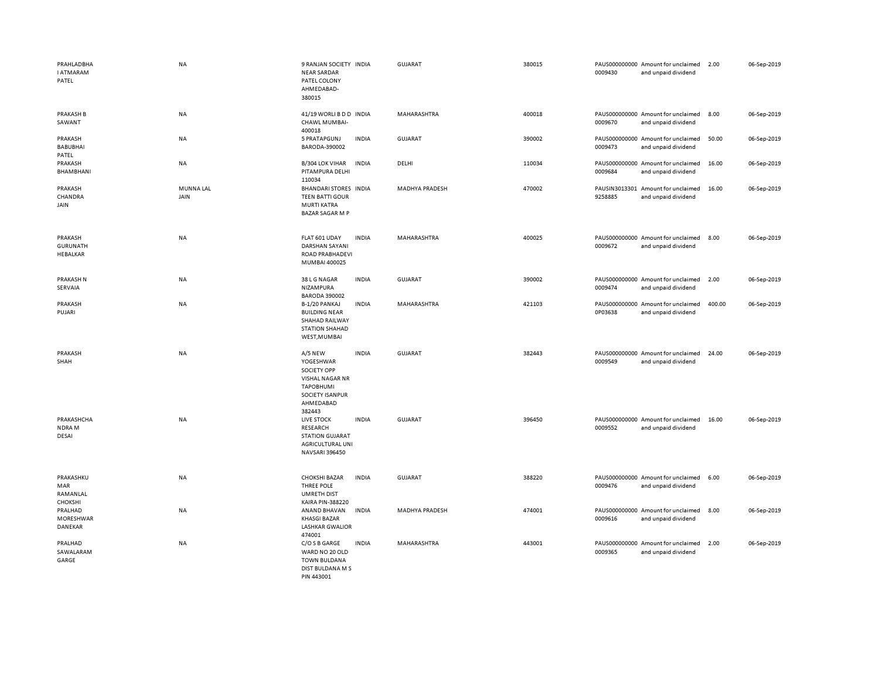| PRAHLADBHA<br><b>I ATMARAM</b><br>PATEL       | <b>NA</b>         | 9 RANJAN SOCIETY INDIA<br><b>NEAR SARDAR</b><br>PATEL COLONY<br>AHMEDABAD-<br>380015                                        |              | GUJARAT               | 380015 | 0009430 | PAUS000000000 Amount for unclaimed<br>and unpaid dividend | 2.00   | 06-Sep-2019 |
|-----------------------------------------------|-------------------|-----------------------------------------------------------------------------------------------------------------------------|--------------|-----------------------|--------|---------|-----------------------------------------------------------|--------|-------------|
| <b>PRAKASH B</b><br>SAWANT                    | NA                | 41/19 WORLI B D D INDIA<br>CHAWL MUMBAI-<br>400018                                                                          |              | MAHARASHTRA           | 400018 | 0009670 | PAUS000000000 Amount for unclaimed<br>and unpaid dividend | 8.00   | 06-Sep-2019 |
| PRAKASH<br><b>BABUBHAI</b><br>PATEL           | NA                | 5 PRATAPGUNJ<br>BARODA-390002                                                                                               | <b>INDIA</b> | <b>GUJARAT</b>        | 390002 | 0009473 | PAUS000000000 Amount for unclaimed<br>and unpaid dividend | 50.00  | 06-Sep-2019 |
| PRAKASH<br>BHAMBHANI                          | NA                | B/304 LOK VIHAR<br>PITAMPURA DELHI<br>110034                                                                                | <b>INDIA</b> | DELHI                 | 110034 | 0009684 | PAUS000000000 Amount for unclaimed<br>and unpaid dividend | 16.00  | 06-Sep-2019 |
| PRAKASH<br>CHANDRA<br>JAIN                    | MUNNA LAL<br>JAIN | BHANDARI STORES INDIA<br><b>TEEN BATTI GOUR</b><br><b>MURTI KATRA</b><br><b>BAZAR SAGAR M P</b>                             |              | <b>MADHYA PRADESH</b> | 470002 | 9258885 | PAUSIN3013301 Amount for unclaimed<br>and unpaid dividend | 16.00  | 06-Sep-2019 |
| PRAKASH<br><b>GURUNATH</b><br><b>HEBALKAR</b> | <b>NA</b>         | FLAT 601 UDAY<br><b>DARSHAN SAYANI</b><br>ROAD PRABHADEVI<br>MUMBAI 400025                                                  | <b>INDIA</b> | MAHARASHTRA           | 400025 | 0009672 | PAUS000000000 Amount for unclaimed<br>and unpaid dividend | 8.00   | 06-Sep-2019 |
| <b>PRAKASH N</b><br>SERVAIA                   | NA                | 38 L G NAGAR<br>NIZAMPURA<br><b>BARODA 390002</b>                                                                           | <b>INDIA</b> | <b>GUJARAT</b>        | 390002 | 0009474 | PAUS000000000 Amount for unclaimed<br>and unpaid dividend | 2.00   | 06-Sep-2019 |
| PRAKASH<br>PUJARI                             | NA                | B-1/20 PANKAJ<br><b>BUILDING NEAR</b><br>SHAHAD RAILWAY<br><b>STATION SHAHAD</b><br>WEST, MUMBAI                            | <b>INDIA</b> | MAHARASHTRA           | 421103 | 0P03638 | PAUS000000000 Amount for unclaimed<br>and unpaid dividend | 400.00 | 06-Sep-2019 |
| PRAKASH<br>SHAH                               | <b>NA</b>         | A/5 NEW<br>YOGESHWAR<br><b>SOCIETY OPP</b><br>VISHAL NAGAR NR<br><b>TAPOBHUMI</b><br>SOCIETY ISANPUR<br>AHMEDABAD<br>382443 | <b>INDIA</b> | GUJARAT               | 382443 | 0009549 | PAUS000000000 Amount for unclaimed<br>and unpaid dividend | 24.00  | 06-Sep-2019 |
| PRAKASHCHA<br>NDRA M<br>DESAI                 | <b>NA</b>         | LIVE STOCK<br>RESEARCH<br><b>STATION GUJARAT</b><br>AGRICULTURAL UNI<br><b>NAVSARI 396450</b>                               | <b>INDIA</b> | GUJARAT               | 396450 | 0009552 | PAUS000000000 Amount for unclaimed<br>and unpaid dividend | 16.00  | 06-Sep-2019 |
| PRAKASHKU<br>MAR<br>RAMANLAL<br>CHOKSHI       | NA                | <b>CHOKSHI BAZAR</b><br>THREE POLE<br><b>UMRETH DIST</b><br><b>KAIRA PIN-388220</b>                                         | <b>INDIA</b> | <b>GUJARAT</b>        | 388220 | 0009476 | PAUS000000000 Amount for unclaimed<br>and unpaid dividend | 6.00   | 06-Sep-2019 |
| PRALHAD<br>MORESHWAR<br>DANEKAR               | NA                | ANAND BHAVAN<br><b>KHASGI BAZAR</b><br><b>LASHKAR GWALIOR</b><br>474001                                                     | <b>INDIA</b> | MADHYA PRADESH        | 474001 | 0009616 | PAUS000000000 Amount for unclaimed<br>and unpaid dividend | 8.00   | 06-Sep-2019 |
| PRALHAD<br>SAWALARAM<br>GARGE                 | NA                | C/O S B GARGE<br>WARD NO 20 OLD<br><b>TOWN BULDANA</b><br>DIST BULDANA M S<br>PIN 443001                                    | <b>INDIA</b> | MAHARASHTRA           | 443001 | 0009365 | PAUS000000000 Amount for unclaimed<br>and unpaid dividend | 2.00   | 06-Sep-2019 |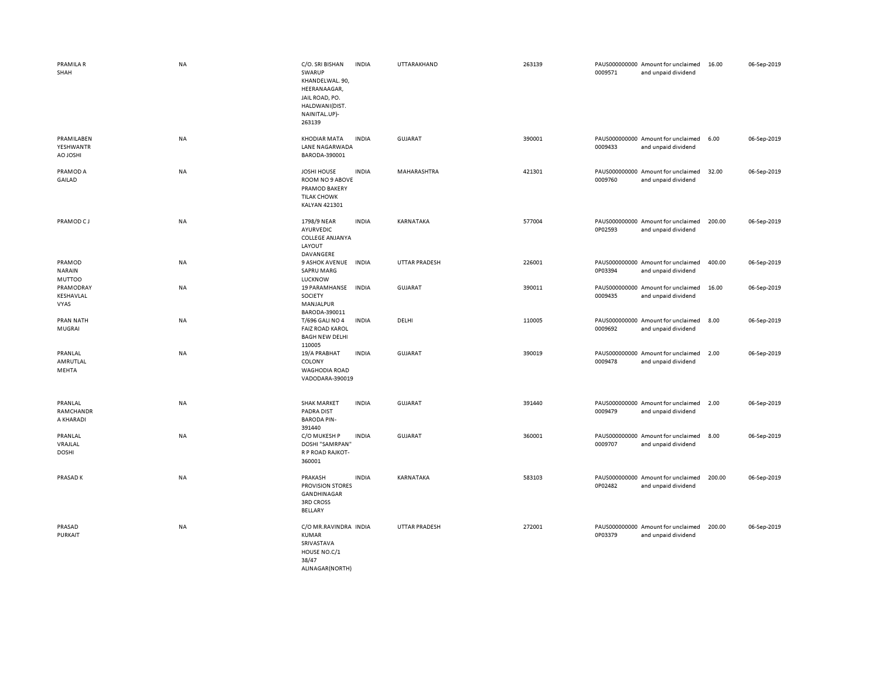| PRAMILA R<br>SHAH                        | <b>NA</b> | C/O. SRI BISHAN<br>SWARUP<br>KHANDELWAL. 90,<br>HEERANAAGAR,<br>JAIL ROAD, PO.<br>HALDWANI(DIST.<br>NAINITAL.UP)-<br>263139 | <b>INDIA</b> | UTTARAKHAND          | 263139 | 0009571 | PAUS000000000 Amount for unclaimed<br>and unpaid dividend | 16.00  | 06-Sep-2019 |
|------------------------------------------|-----------|-----------------------------------------------------------------------------------------------------------------------------|--------------|----------------------|--------|---------|-----------------------------------------------------------|--------|-------------|
| PRAMILABEN<br>YESHWANTR<br><b>H2OLOA</b> | NA        | <b>KHODIAR MATA</b><br>LANE NAGARWADA<br>BARODA-390001                                                                      | <b>INDIA</b> | <b>GUJARAT</b>       | 390001 | 0009433 | PAUS000000000 Amount for unclaimed<br>and unpaid dividend | 6.00   | 06-Sep-2019 |
| PRAMOD A<br>GAILAD                       | <b>NA</b> | <b>JOSHI HOUSE</b><br>ROOM NO 9 ABOVE<br>PRAMOD BAKERY<br><b>TILAK CHOWK</b><br>KALYAN 421301                               | <b>INDIA</b> | MAHARASHTRA          | 421301 | 0009760 | PAUS000000000 Amount for unclaimed<br>and unpaid dividend | 32.00  | 06-Sep-2019 |
| PRAMOD CJ                                | <b>NA</b> | 1798/9 NEAR<br>AYURVEDIC<br><b>COLLEGE ANJANYA</b><br>LAYOUT<br>DAVANGERE                                                   | <b>INDIA</b> | KARNATAKA            | 577004 | 0P02593 | PAUS000000000 Amount for unclaimed<br>and unpaid dividend | 200.00 | 06-Sep-2019 |
| PRAMOD<br><b>NARAIN</b><br>MUTTOO        | <b>NA</b> | 9 ASHOK AVENUE INDIA<br><b>SAPRU MARG</b><br><b>LUCKNOW</b>                                                                 |              | <b>UTTAR PRADESH</b> | 226001 | 0P03394 | PAUS000000000 Amount for unclaimed<br>and unpaid dividend | 400.00 | 06-Sep-2019 |
| PRAMODRAY<br>KESHAVLAL<br>VYAS           | NA        | 19 PARAMHANSE INDIA<br>SOCIETY<br>MANJALPUR<br>BARODA-390011                                                                |              | <b>GUJARAT</b>       | 390011 | 0009435 | PAUS000000000 Amount for unclaimed<br>and unpaid dividend | 16.00  | 06-Sep-2019 |
| PRAN NATH<br>MUGRAI                      | NA        | <b>T/696 GALI NO 4</b><br><b>FAIZ ROAD KAROL</b><br><b>BAGH NEW DELHI</b><br>110005                                         | <b>INDIA</b> | DELHI                | 110005 | 0009692 | PAUS000000000 Amount for unclaimed<br>and unpaid dividend | 8.00   | 06-Sep-2019 |
| PRANLAL<br>AMRUTLAL<br>MEHTA             | <b>NA</b> | 19/A PRABHAT<br>COLONY<br><b>WAGHODIA ROAD</b><br>VADODARA-390019                                                           | <b>INDIA</b> | <b>GUJARAT</b>       | 390019 | 0009478 | PAUS000000000 Amount for unclaimed<br>and unpaid dividend | 2.00   | 06-Sep-2019 |
| PRANLAL<br>RAMCHANDR<br>A KHARADI        | NA        | <b>SHAK MARKET</b><br><b>PADRA DIST</b><br><b>BARODA PIN-</b><br>391440                                                     | <b>INDIA</b> | <b>GUJARAT</b>       | 391440 | 0009479 | PAUS000000000 Amount for unclaimed<br>and unpaid dividend | 2.00   | 06-Sep-2019 |
| PRANLAL<br>VRAJLAL<br><b>DOSHI</b>       | <b>NA</b> | C/O MUKESH P<br>DOSHI "SAMRPAN"<br>R P ROAD RAJKOT-<br>360001                                                               | <b>INDIA</b> | <b>GUJARAT</b>       | 360001 | 0009707 | PAUS000000000 Amount for unclaimed<br>and unpaid dividend | 8.00   | 06-Sep-2019 |
| PRASAD K                                 | <b>NA</b> | PRAKASH<br><b>PROVISION STORES</b><br>GANDHINAGAR<br><b>3RD CROSS</b><br>BELLARY                                            | <b>INDIA</b> | KARNATAKA            | 583103 | 0P02482 | PAUS000000000 Amount for unclaimed<br>and unpaid dividend | 200.00 | 06-Sep-2019 |
| PRASAD<br>PURKAIT                        | <b>NA</b> | C/O MR.RAVINDRA INDIA<br>KUMAR<br>SRIVASTAVA<br>HOUSE NO.C/1<br>38/47<br>ALINAGAR(NORTH)                                    |              | <b>UTTAR PRADESH</b> | 272001 | 0P03379 | PAUS000000000 Amount for unclaimed<br>and unpaid dividend | 200.00 | 06-Sep-2019 |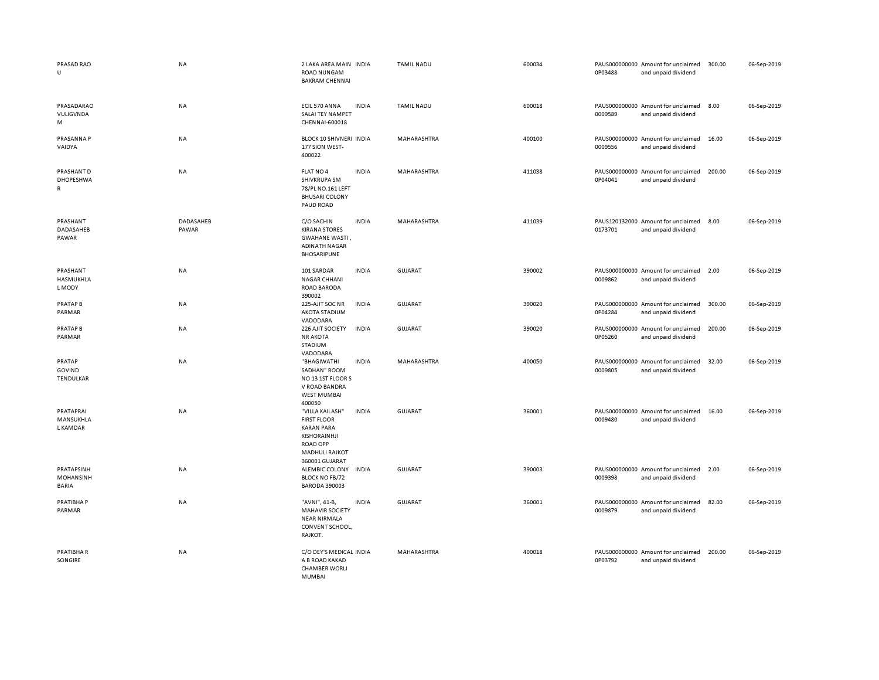| PRASAD RAO<br>$\cup$                    | <b>NA</b>          | 2 LAKA AREA MAIN INDIA<br><b>ROAD NUNGAM</b><br><b>BAKRAM CHENNAI</b>                                                                    |              | <b>TAMIL NADU</b> | 600034 | 0P03488 | PAUS000000000 Amount for unclaimed<br>and unpaid dividend | 300.00 | 06-Sep-2019 |
|-----------------------------------------|--------------------|------------------------------------------------------------------------------------------------------------------------------------------|--------------|-------------------|--------|---------|-----------------------------------------------------------|--------|-------------|
| PRASADARAO<br>VULIGVNDA<br>M            | NA                 | ECIL 570 ANNA<br>SALAI TEY NAMPET<br>CHENNAI-600018                                                                                      | <b>INDIA</b> | <b>TAMIL NADU</b> | 600018 | 0009589 | PAUS000000000 Amount for unclaimed<br>and unpaid dividend | 8.00   | 06-Sep-2019 |
| PRASANNA P<br>VAIDYA                    | NA                 | BLOCK 10 SHIVNERI INDIA<br>177 SION WEST-<br>400022                                                                                      |              | MAHARASHTRA       | 400100 | 0009556 | PAUS000000000 Amount for unclaimed<br>and unpaid dividend | 16.00  | 06-Sep-2019 |
| PRASHANT D<br>DHOPESHWA<br>$\mathsf{R}$ | NA                 | FLAT NO 4<br>SHIVKRUPA SM<br>78/PL NO.161 LEFT<br><b>BHUSARI COLONY</b><br>PAUD ROAD                                                     | <b>INDIA</b> | MAHARASHTRA       | 411038 | 0P04041 | PAUS000000000 Amount for unclaimed<br>and unpaid dividend | 200.00 | 06-Sep-2019 |
| PRASHANT<br>DADASAHEB<br>PAWAR          | DADASAHEB<br>PAWAR | C/O SACHIN<br><b>KIRANA STORES</b><br>GWAHANE WASTI,<br><b>ADINATH NAGAR</b><br>BHOSARIPUNE                                              | <b>INDIA</b> | MAHARASHTRA       | 411039 | 0173701 | PAUS120132000 Amount for unclaimed<br>and unpaid dividend | 8.00   | 06-Sep-2019 |
| PRASHANT<br>HASMUKHLA<br>L MODY         | NA                 | 101 SARDAR<br><b>NAGAR CHHANI</b><br><b>ROAD BARODA</b><br>390002                                                                        | <b>INDIA</b> | <b>GUJARAT</b>    | 390002 | 0009862 | PAUS000000000 Amount for unclaimed<br>and unpaid dividend | 2.00   | 06-Sep-2019 |
| <b>PRATAP B</b><br>PARMAR               | NA                 | 225-AJIT SOC NR<br>AKOTA STADIUM<br>VADODARA                                                                                             | <b>INDIA</b> | GUJARAT           | 390020 | 0P04284 | PAUS000000000 Amount for unclaimed<br>and unpaid dividend | 300.00 | 06-Sep-2019 |
| <b>PRATAP B</b><br>PARMAR               | NA                 | 226 AJIT SOCIETY<br><b>NR AKOTA</b><br>STADIUM<br>VADODARA                                                                               | <b>INDIA</b> | <b>GUJARAT</b>    | 390020 | 0P05260 | PAUS000000000 Amount for unclaimed<br>and unpaid dividend | 200.00 | 06-Sep-2019 |
| PRATAP<br>GOVIND<br>TENDULKAR           | NA                 | "BHAGIWATHI<br>SADHAN" ROOM<br>NO 13 1ST FLOOR S<br>V ROAD BANDRA<br><b>WEST MUMBAI</b><br>400050                                        | <b>INDIA</b> | MAHARASHTRA       | 400050 | 0009805 | PAUS000000000 Amount for unclaimed<br>and unpaid dividend | 32.00  | 06-Sep-2019 |
| PRATAPRAI<br>MANSUKHLA<br>L KAMDAR      | <b>NA</b>          | "VILLA KAILASH"<br><b>FIRST FLOOR</b><br><b>KARAN PARA</b><br>KISHORAINHJI<br><b>ROAD OPP</b><br><b>MADHULI RAJKOT</b><br>360001 GUJARAT | <b>INDIA</b> | <b>GUJARAT</b>    | 360001 | 0009480 | PAUS000000000 Amount for unclaimed<br>and unpaid dividend | 16.00  | 06-Sep-2019 |
| PRATAPSINH<br>MOHANSINH<br><b>BARIA</b> | NA                 | ALEMBIC COLONY<br><b>BLOCK NO FB/72</b><br><b>BARODA 390003</b>                                                                          | <b>INDIA</b> | <b>GUJARAT</b>    | 390003 | 0009398 | PAUS000000000 Amount for unclaimed<br>and unpaid dividend | 2.00   | 06-Sep-2019 |
| PRATIBHA P<br>PARMAR                    | NA                 | "AVNI", 41-B,<br><b>MAHAVIR SOCIETY</b><br><b>NEAR NIRMALA</b><br>CONVENT SCHOOL,<br>RAJKOT.                                             | <b>INDIA</b> | <b>GUJARAT</b>    | 360001 | 0009879 | PAUS000000000 Amount for unclaimed<br>and unpaid dividend | 82.00  | 06-Sep-2019 |
| PRATIBHA R<br>SONGIRE                   | NA                 | C/O DEY'S MEDICAL INDIA<br>A B ROAD KAKAD<br><b>CHAMBER WORLI</b><br>MUMBAI                                                              |              | MAHARASHTRA       | 400018 | 0P03792 | PAUS000000000 Amount for unclaimed<br>and unpaid dividend | 200.00 | 06-Sep-2019 |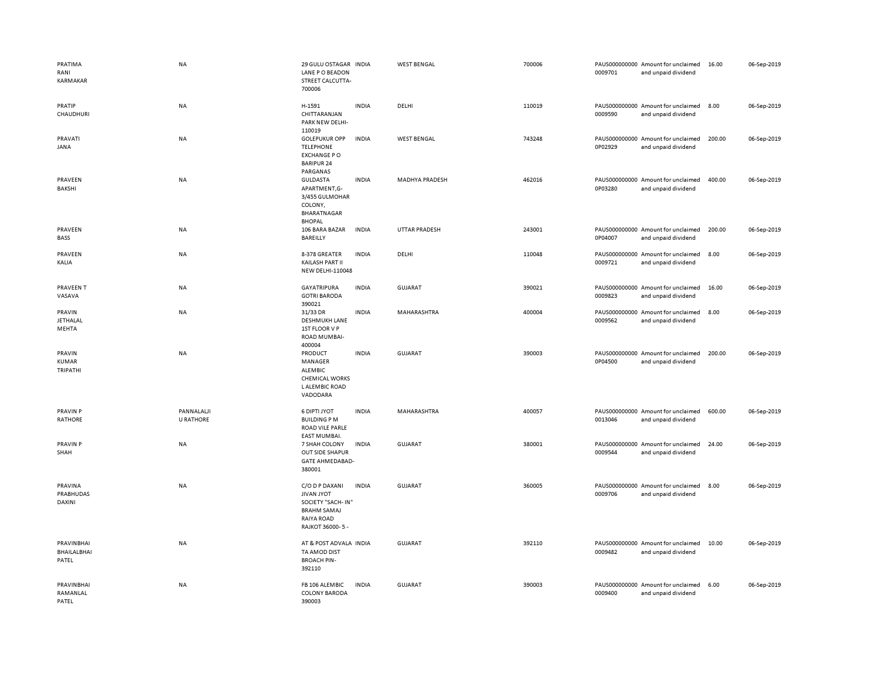| PRATIMA<br>RANI<br>KARMAKAR           | <b>NA</b>                      | 29 GULU OSTAGAR INDIA<br>LANE PO BEADON<br>STREET CALCUTTA-<br>700006                                                  |              | <b>WEST BENGAL</b>    | 700006 | 0009701 | PAUS000000000 Amount for unclaimed<br>and unpaid dividend | 16.00  | 06-Sep-2019 |
|---------------------------------------|--------------------------------|------------------------------------------------------------------------------------------------------------------------|--------------|-----------------------|--------|---------|-----------------------------------------------------------|--------|-------------|
| <b>PRATIP</b><br>CHAUDHURI            | NA                             | H-1591<br>CHITTARANJAN<br>PARK NEW DELHI-<br>110019                                                                    | <b>INDIA</b> | DELHI                 | 110019 | 0009590 | PAUS000000000 Amount for unclaimed<br>and unpaid dividend | 8.00   | 06-Sep-2019 |
| PRAVATI<br>JANA                       | <b>NA</b>                      | <b>GOLEPUKUR OPP</b><br><b>TELEPHONE</b><br><b>EXCHANGE PO</b><br><b>BARIPUR 24</b><br>PARGANAS                        | <b>INDIA</b> | <b>WEST BENGAL</b>    | 743248 | 0P02929 | PAUS000000000 Amount for unclaimed<br>and unpaid dividend | 200.00 | 06-Sep-2019 |
| PRAVEEN<br>BAKSHI                     | <b>NA</b>                      | <b>GULDASTA</b><br>APARTMENT,G-<br>3/455 GULMOHAR<br>COLONY,<br>BHARATNAGAR<br><b>BHOPAL</b>                           | <b>INDIA</b> | <b>MADHYA PRADESH</b> | 462016 | 0P03280 | PAUS000000000 Amount for unclaimed<br>and unpaid dividend | 400.00 | 06-Sep-2019 |
| PRAVEEN<br>BASS                       | NA                             | 106 BARA BAZAR<br>BAREILLY                                                                                             | <b>INDIA</b> | UTTAR PRADESH         | 243001 | 0P04007 | PAUS000000000 Amount for unclaimed<br>and unpaid dividend | 200.00 | 06-Sep-2019 |
| PRAVEEN<br>KALIA                      | <b>NA</b>                      | 8-378 GREATER<br>KAILASH PART II<br><b>NEW DELHI-110048</b>                                                            | <b>INDIA</b> | DELHI                 | 110048 | 0009721 | PAUS000000000 Amount for unclaimed<br>and unpaid dividend | 8.00   | 06-Sep-2019 |
| PRAVEEN T<br>VASAVA                   | <b>NA</b>                      | <b>GAYATRIPURA</b><br><b>GOTRI BARODA</b><br>390021                                                                    | <b>INDIA</b> | GUJARAT               | 390021 | 0009823 | PAUS000000000 Amount for unclaimed<br>and unpaid dividend | 16.00  | 06-Sep-2019 |
| PRAVIN<br>JETHALAL<br>MEHTA           | NA                             | 31/33 DR<br><b>DESHMUKH LANE</b><br>1ST FLOOR V P<br>ROAD MUMBAI-                                                      | <b>INDIA</b> | MAHARASHTRA           | 400004 | 0009562 | PAUS000000000 Amount for unclaimed<br>and unpaid dividend | 8.00   | 06-Sep-2019 |
| PRAVIN<br><b>KUMAR</b><br>TRIPATHI    | <b>NA</b>                      | 400004<br>PRODUCT<br>MANAGER<br>ALEMBIC<br><b>CHEMICAL WORKS</b><br>L ALEMBIC ROAD<br>VADODARA                         | <b>INDIA</b> | <b>GUJARAT</b>        | 390003 | 0P04500 | PAUS000000000 Amount for unclaimed<br>and unpaid dividend | 200.00 | 06-Sep-2019 |
| PRAVIN P<br>RATHORE                   | PANNALALJI<br><b>U RATHORE</b> | <b>6 DIPTI JYOT</b><br><b>BUILDING PM</b><br>ROAD VILE PARLE<br>EAST MUMBAI.                                           | <b>INDIA</b> | MAHARASHTRA           | 400057 | 0013046 | PAUS000000000 Amount for unclaimed<br>and unpaid dividend | 600.00 | 06-Sep-2019 |
| PRAVIN P<br>SHAH                      | NA                             | 7 SHAH COLONY<br>OUT SIDE SHAPUR<br><b>GATE AHMEDABAD-</b><br>380001                                                   | <b>INDIA</b> | <b>GUJARAT</b>        | 380001 | 0009544 | PAUS000000000 Amount for unclaimed<br>and unpaid dividend | 24.00  | 06-Sep-2019 |
| PRAVINA<br>PRABHUDAS<br><b>DAXINI</b> | <b>NA</b>                      | C/O D P DAXANI<br><b>JIVAN JYOT</b><br>SOCIETY "SACH-IN"<br><b>BRAHM SAMAJ</b><br><b>RAIYA ROAD</b><br>RAJKOT 36000-5- | <b>INDIA</b> | <b>GUJARAT</b>        | 360005 | 0009706 | PAUS000000000 Amount for unclaimed<br>and unpaid dividend | 8.00   | 06-Sep-2019 |
| PRAVINBHAI<br>BHAILALBHAI<br>PATEL    | NA                             | AT & POST ADVALA INDIA<br>TA AMOD DIST<br><b>BROACH PIN-</b><br>392110                                                 |              | GUJARAT               | 392110 | 0009482 | PAUS000000000 Amount for unclaimed<br>and unpaid dividend | 10.00  | 06-Sep-2019 |
| PRAVINBHAI<br>RAMANLAL<br>PATEL       | NA                             | FB 106 ALEMBIC<br><b>COLONY BARODA</b><br>390003                                                                       | <b>INDIA</b> | <b>GUJARAT</b>        | 390003 | 0009400 | PAUS000000000 Amount for unclaimed<br>and unpaid dividend | 6.00   | 06-Sep-2019 |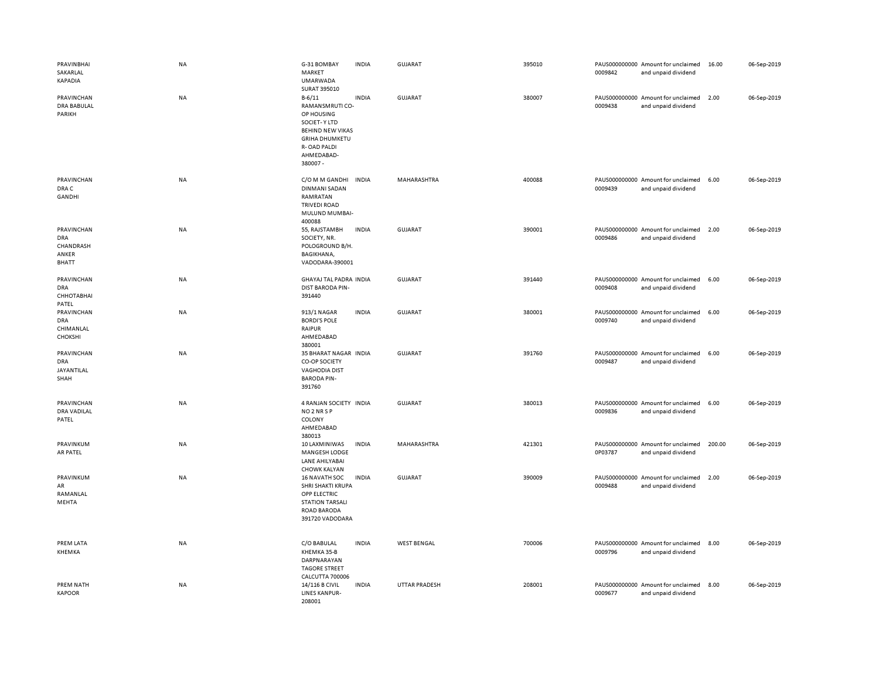| PRAVINBHAI<br>SAKARLAL<br>KAPADIA                       | NA        | G-31 BOMBAY<br>MARKET<br><b>UMARWADA</b><br>SURAT 395010                                                                                                | <b>INDIA</b> | GUJARAT              | 395010 | 0009842 | PAUS000000000 Amount for unclaimed<br>and unpaid dividend | 16.00  | 06-Sep-2019 |
|---------------------------------------------------------|-----------|---------------------------------------------------------------------------------------------------------------------------------------------------------|--------------|----------------------|--------|---------|-----------------------------------------------------------|--------|-------------|
| PRAVINCHAN<br><b>DRA BABULAL</b><br>PARIKH              | <b>NA</b> | $B - 6/11$<br>RAMANSMRUTI CO-<br>OP HOUSING<br>SOCIET-Y LTD<br><b>BEHIND NEW VIKAS</b><br><b>GRIHA DHUMKETU</b><br>R-OAD PALDI<br>AHMEDABAD-<br>380007- | <b>INDIA</b> | GUJARAT              | 380007 | 0009438 | PAUS000000000 Amount for unclaimed<br>and unpaid dividend | 2.00   | 06-Sep-2019 |
| PRAVINCHAN<br>DRA C<br><b>GANDHI</b>                    | <b>NA</b> | C/O M M GANDHI<br><b>DINMANI SADAN</b><br>RAMRATAN<br><b>TRIVEDI ROAD</b><br>MULUND MUMBAI-<br>400088                                                   | <b>INDIA</b> | MAHARASHTRA          | 400088 | 0009439 | PAUS000000000 Amount for unclaimed<br>and unpaid dividend | 6.00   | 06-Sep-2019 |
| PRAVINCHAN<br>DRA<br>CHANDRASH<br>ANKER<br><b>BHATT</b> | NA        | 55, RAJSTAMBH<br>SOCIETY, NR.<br>POLOGROUND B/H.<br>BAGIKHANA,<br>VADODARA-390001                                                                       | <b>INDIA</b> | <b>GUJARAT</b>       | 390001 | 0009486 | PAUS000000000 Amount for unclaimed<br>and unpaid dividend | 2.00   | 06-Sep-2019 |
| PRAVINCHAN<br><b>DRA</b><br>СННОТАВНАІ<br>PATEL         | <b>NA</b> | <b>GHAYAJ TAL PADRA INDIA</b><br><b>DIST BARODA PIN-</b><br>391440                                                                                      |              | <b>GUJARAT</b>       | 391440 | 0009408 | PAUS000000000 Amount for unclaimed<br>and unpaid dividend | 6.00   | 06-Sep-2019 |
| PRAVINCHAN<br>DRA<br>CHIMANLAL<br>CHOKSHI               | NA        | 913/1 NAGAR<br><b>BORDI'S POLE</b><br>RAIPUR<br>AHMEDABAD<br>380001                                                                                     | <b>INDIA</b> | <b>GUJARAT</b>       | 380001 | 0009740 | PAUS000000000 Amount for unclaimed<br>and unpaid dividend | 6.00   | 06-Sep-2019 |
| PRAVINCHAN<br>DRA<br>JAYANTILAL<br>SHAH                 | NA        | 35 BHARAT NAGAR INDIA<br>CO-OP SOCIETY<br><b>VAGHODIA DIST</b><br><b>BARODA PIN-</b><br>391760                                                          |              | GUJARAT              | 391760 | 0009487 | PAUS000000000 Amount for unclaimed<br>and unpaid dividend | 6.00   | 06-Sep-2019 |
| PRAVINCHAN<br>DRA VADILAL<br>PATEL                      | <b>NA</b> | 4 RANJAN SOCIETY INDIA<br>NO <sub>2</sub> NR <sub>SP</sub><br>COLONY<br>AHMEDABAD<br>380013                                                             |              | <b>GUJARAT</b>       | 380013 | 0009836 | PAUS000000000 Amount for unclaimed<br>and unpaid dividend | 6.00   | 06-Sep-2019 |
| PRAVINKUM<br>AR PATEL                                   | NA        | 10 LAXMINIWAS<br>MANGESH LODGE<br>LANE AHILYABAI<br><b>CHOWK KALYAN</b>                                                                                 | <b>INDIA</b> | MAHARASHTRA          | 421301 | 0P03787 | PAUS000000000 Amount for unclaimed<br>and unpaid dividend | 200.00 | 06-Sep-2019 |
| PRAVINKUM<br>${\sf AR}$<br>RAMANLAL<br>MEHTA            | NA        | <b>16 NAVATH SOC</b><br>SHRI SHAKTI KRUPA<br>OPP ELECTRIC<br><b>STATION TARSALI</b><br>ROAD BARODA<br>391720 VADODARA                                   | INDIA        | <b>GUJARAT</b>       | 390009 | 0009488 | PAUS000000000 Amount for unclaimed<br>and unpaid dividend | 2.00   | 06-Sep-2019 |
| PREM LATA<br>KHEMKA                                     | <b>NA</b> | C/O BABULAL<br>KHEMKA 35-B<br>DARPNARAYAN<br><b>TAGORE STREET</b><br><b>CALCUTTA 700006</b>                                                             | <b>INDIA</b> | <b>WEST BENGAL</b>   | 700006 | 0009796 | PAUS000000000 Amount for unclaimed<br>and unpaid dividend | 8.00   | 06-Sep-2019 |
| PREM NATH<br><b>KAPOOR</b>                              | NA        | 14/116 B CIVIL<br>LINES KANPUR-<br>208001                                                                                                               | <b>INDIA</b> | <b>UTTAR PRADESH</b> | 208001 | 0009677 | PAUS000000000 Amount for unclaimed<br>and unpaid dividend | 8.00   | 06-Sep-2019 |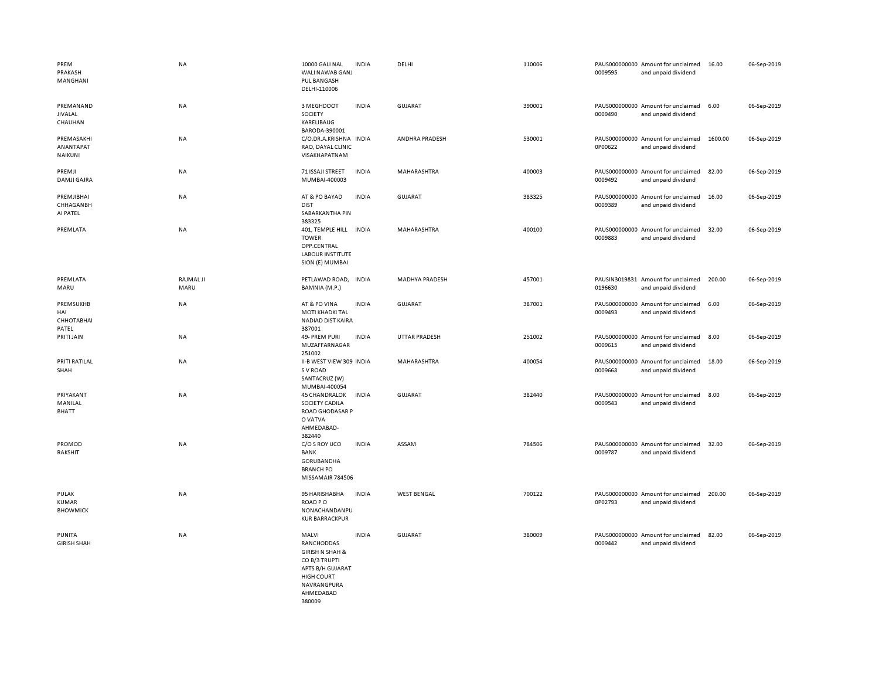| PREM<br>PRAKASH<br>MANGHANI              | <b>NA</b>         | 10000 GALI NAL<br>WALI NAWAB GANJ<br>PUL BANGASH<br>DELHI-110006                                                                           | <b>INDIA</b> | DELHI                 | 110006 | 0009595 | PAUS000000000 Amount for unclaimed<br>and unpaid dividend | 16.00   | 06-Sep-2019 |
|------------------------------------------|-------------------|--------------------------------------------------------------------------------------------------------------------------------------------|--------------|-----------------------|--------|---------|-----------------------------------------------------------|---------|-------------|
| PREMANAND<br><b>JIVALAL</b><br>CHAUHAN   | NA                | 3 MEGHDOOT<br>SOCIETY<br>KARELIBAUG                                                                                                        | <b>INDIA</b> | <b>GUJARAT</b>        | 390001 | 0009490 | PAUS000000000 Amount for unclaimed<br>and unpaid dividend | 6.00    | 06-Sep-2019 |
| PREMASAKHI<br>ANANTAPAT<br>NAIKUNI       | NA                | BARODA-390001<br>C/O.DR.A.KRISHNA INDIA<br>RAO, DAYAL CLINIC<br>VISAKHAPATNAM                                                              |              | ANDHRA PRADESH        | 530001 | 0P00622 | PAUS000000000 Amount for unclaimed<br>and unpaid dividend | 1600.00 | 06-Sep-2019 |
| PREMJI<br><b>DAMJI GAJRA</b>             | NA                | 71 ISSAJI STREET<br>MUMBAI-400003                                                                                                          | <b>INDIA</b> | MAHARASHTRA           | 400003 | 0009492 | PAUS000000000 Amount for unclaimed<br>and unpaid dividend | 82.00   | 06-Sep-2019 |
| PREMJIBHAI<br>CHHAGANBH<br>AI PATEL      | NA                | AT & PO BAYAD<br><b>DIST</b><br>SABARKANTHA PIN<br>383325                                                                                  | <b>INDIA</b> | <b>GUJARAT</b>        | 383325 | 0009389 | PAUS000000000 Amount for unclaimed<br>and unpaid dividend | 16.00   | 06-Sep-2019 |
| PREMLATA                                 | NA                | 401, TEMPLE HILL INDIA<br><b>TOWER</b><br>OPP.CENTRAL<br><b>LABOUR INSTITUTE</b><br>SION (E) MUMBAI                                        |              | MAHARASHTRA           | 400100 | 0009883 | PAUS000000000 Amount for unclaimed<br>and unpaid dividend | 32.00   | 06-Sep-2019 |
| PREMLATA<br>MARU                         | RAJMAL JI<br>MARU | PETLAWAD ROAD, INDIA<br>BAMNIA (M.P.)                                                                                                      |              | <b>MADHYA PRADESH</b> | 457001 | 0196630 | PAUSIN3019831 Amount for unclaimed<br>and unpaid dividend | 200.00  | 06-Sep-2019 |
| PREMSUKHB<br>HAI<br>СННОТАВНАІ<br>PATEL  | NA                | AT & PO VINA<br><b>MOTI KHADKI TAL</b><br>NADIAD DIST KAIRA<br>387001                                                                      | <b>INDIA</b> | <b>GUJARAT</b>        | 387001 | 0009493 | PAUS000000000 Amount for unclaimed<br>and unpaid dividend | 6.00    | 06-Sep-2019 |
| PRITI JAIN                               | NA                | 49- PREM PURI<br>MUZAFFARNAGAR<br>251002                                                                                                   | <b>INDIA</b> | <b>UTTAR PRADESH</b>  | 251002 | 0009615 | PAUS000000000 Amount for unclaimed<br>and unpaid dividend | 8.00    | 06-Sep-2019 |
| PRITI RATILAL<br>SHAH                    | NA                | II-B WEST VIEW 309 INDIA<br>S V ROAD<br>SANTACRUZ (W)<br>MUMBAI-400054                                                                     |              | MAHARASHTRA           | 400054 | 0009668 | PAUS000000000 Amount for unclaimed<br>and unpaid dividend | 18.00   | 06-Sep-2019 |
| PRIYAKANT<br>MANILAL<br><b>BHATT</b>     | NA                | <b>45 CHANDRALOK</b><br>SOCIETY CADILA<br>ROAD GHODASAR P<br>O VATVA<br>AHMEDABAD-<br>382440                                               | <b>INDIA</b> | <b>GUJARAT</b>        | 382440 | 0009543 | PAUS000000000 Amount for unclaimed<br>and unpaid dividend | 8.00    | 06-Sep-2019 |
| PROMOD<br>RAKSHIT                        | <b>NA</b>         | C/O S ROY UCO<br><b>BANK</b><br>GORUBANDHA<br><b>BRANCH PO</b><br>MISSAMAIR 784506                                                         | <b>INDIA</b> | ASSAM                 | 784506 | 0009787 | PAUS000000000 Amount for unclaimed<br>and unpaid dividend | 32.00   | 06-Sep-2019 |
| PULAK<br><b>KUMAR</b><br><b>BHOWMICK</b> | NA                | 95 HARISHABHA<br><b>ROADPO</b><br>NONACHANDANPU<br><b>KUR BARRACKPUR</b>                                                                   | <b>INDIA</b> | <b>WEST BENGAL</b>    | 700122 | 0P02793 | PAUS000000000 Amount for unclaimed<br>and unpaid dividend | 200.00  | 06-Sep-2019 |
| PUNITA<br><b>GIRISH SHAH</b>             | NA                | MALVI<br>RANCHODDAS<br><b>GIRISH N SHAH &amp;</b><br>CO B/3 TRUPTI<br>APTS B/H GUJARAT<br>HIGH COURT<br>NAVRANGPURA<br>AHMEDABAD<br>380009 | <b>INDIA</b> | <b>GUJARAT</b>        | 380009 | 0009442 | PAUS000000000 Amount for unclaimed<br>and unpaid dividend | 82.00   | 06-Sep-2019 |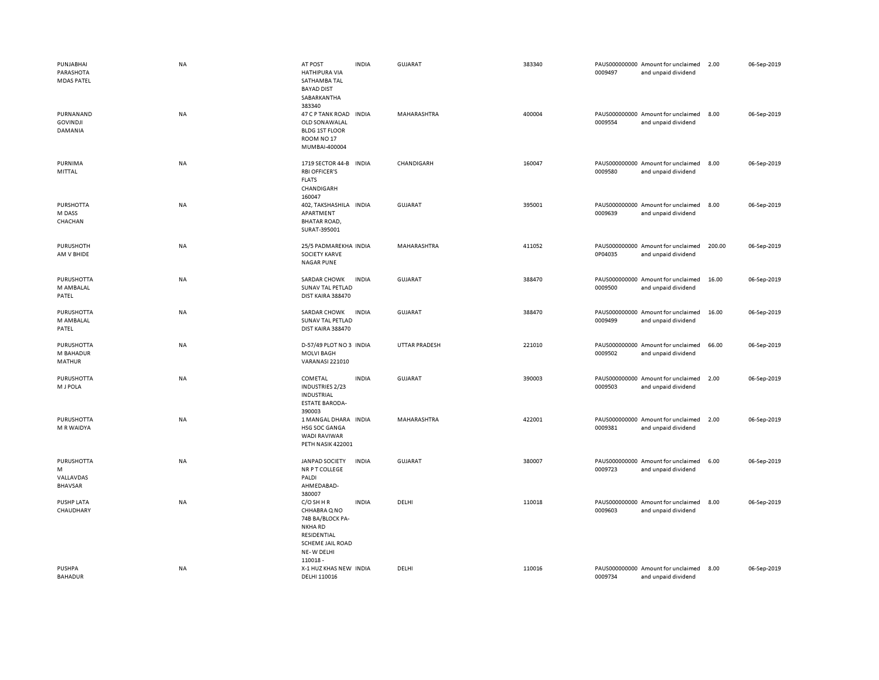| PUNJABHAI<br>PARASHOTA<br><b>MDAS PATEL</b>    | <b>NA</b> | AT POST<br><b>HATHIPURA VIA</b><br>SATHAMBA TAL<br><b>BAYAD DIST</b><br>SABARKANTHA<br>383340                                 | <b>INDIA</b> | GUJARAT              | 383340 | 0009497 | PAUS000000000 Amount for unclaimed<br>and unpaid dividend | 2.00   | 06-Sep-2019 |
|------------------------------------------------|-----------|-------------------------------------------------------------------------------------------------------------------------------|--------------|----------------------|--------|---------|-----------------------------------------------------------|--------|-------------|
| PURNANAND<br><b>GOVINDJI</b><br>DAMANIA        | NA        | 47 C P TANK ROAD<br>OLD SONAWALAL<br><b>BLDG 1ST FLOOR</b><br>ROOM NO <sub>17</sub><br>MUMBAI-400004                          | <b>INDIA</b> | MAHARASHTRA          | 400004 | 0009554 | PAUS000000000 Amount for unclaimed<br>and unpaid dividend | 8.00   | 06-Sep-2019 |
| PURNIMA<br>MITTAL                              | NA        | 1719 SECTOR 44-B INDIA<br><b>RBI OFFICER'S</b><br><b>FLATS</b><br>CHANDIGARH<br>160047                                        |              | CHANDIGARH           | 160047 | 0009580 | PAUS000000000 Amount for unclaimed<br>and unpaid dividend | 8.00   | 06-Sep-2019 |
| <b>PURSHOTTA</b><br>M DASS<br>CHACHAN          | NA        | 402, TAKSHASHILA INDIA<br>APARTMENT<br><b>BHATAR ROAD,</b><br>SURAT-395001                                                    |              | <b>GUJARAT</b>       | 395001 | 0009639 | PAUS000000000 Amount for unclaimed<br>and unpaid dividend | 8.00   | 06-Sep-2019 |
| <b>PURUSHOTH</b><br>AM V BHIDE                 | <b>NA</b> | 25/5 PADMAREKHA INDIA<br><b>SOCIETY KARVE</b><br><b>NAGAR PUNE</b>                                                            |              | MAHARASHTRA          | 411052 | 0P04035 | PAUS000000000 Amount for unclaimed<br>and unpaid dividend | 200.00 | 06-Sep-2019 |
| PURUSHOTTA<br>M AMBALAL<br>PATEL               | NA        | SARDAR CHOWK<br>SUNAV TAL PETLAD<br>DIST KAIRA 388470                                                                         | <b>INDIA</b> | GUJARAT              | 388470 | 0009500 | PAUS000000000 Amount for unclaimed<br>and unpaid dividend | 16.00  | 06-Sep-2019 |
| <b>PURUSHOTTA</b><br>M AMBALAL<br>PATEL        | NA        | SARDAR CHOWK<br>SUNAV TAL PETLAD<br>DIST KAIRA 388470                                                                         | <b>INDIA</b> | GUJARAT              | 388470 | 0009499 | PAUS000000000 Amount for unclaimed<br>and unpaid dividend | 16.00  | 06-Sep-2019 |
| PURUSHOTTA<br>M BAHADUR<br><b>MATHUR</b>       | <b>NA</b> | D-57/49 PLOT NO 3 INDIA<br><b>MOLVI BAGH</b><br>VARANASI 221010                                                               |              | <b>UTTAR PRADESH</b> | 221010 | 0009502 | PAUS000000000 Amount for unclaimed<br>and unpaid dividend | 66.00  | 06-Sep-2019 |
| <b>PURUSHOTTA</b><br>M J POLA                  | NA        | COMETAL<br><b>INDUSTRIES 2/23</b><br><b>INDUSTRIAL</b><br><b>ESTATE BARODA-</b><br>390003                                     | <b>INDIA</b> | <b>GUJARAT</b>       | 390003 | 0009503 | PAUS000000000 Amount for unclaimed<br>and unpaid dividend | 2.00   | 06-Sep-2019 |
| <b>PURUSHOTTA</b><br>M R WAIDYA                | NA        | 1 MANGAL DHARA INDIA<br>HSG SOC GANGA<br><b>WADI RAVIWAR</b><br>PETH NASIK 422001                                             |              | MAHARASHTRA          | 422001 | 0009381 | PAUS000000000 Amount for unclaimed<br>and unpaid dividend | 2.00   | 06-Sep-2019 |
| PURUSHOTTA<br>M<br>VALLAVDAS<br><b>BHAVSAR</b> | <b>NA</b> | <b>JANPAD SOCIETY</b><br>NR P T COLLEGE<br>PALDI<br>AHMEDABAD-<br>380007                                                      | <b>INDIA</b> | <b>GUJARAT</b>       | 380007 | 0009723 | PAUS000000000 Amount for unclaimed<br>and unpaid dividend | 6.00   | 06-Sep-2019 |
| PUSHP LATA<br>CHAUDHARY                        | NA        | $C/O$ SH H R<br>CHHABRA Q NO<br>74B BA/BLOCK PA-<br><b>NKHARD</b><br>RESIDENTIAL<br>SCHEME JAIL ROAD<br>NE-W DELHI<br>110018- | <b>INDIA</b> | DELHI                | 110018 | 0009603 | PAUS000000000 Amount for unclaimed<br>and unpaid dividend | 8.00   | 06-Sep-2019 |
| PUSHPA<br><b>BAHADUR</b>                       | <b>NA</b> | X-1 HUZ KHAS NEW INDIA<br>DELHI 110016                                                                                        |              | DELHI                | 110016 | 0009734 | PAUS000000000 Amount for unclaimed<br>and unpaid dividend | 8.00   | 06-Sep-2019 |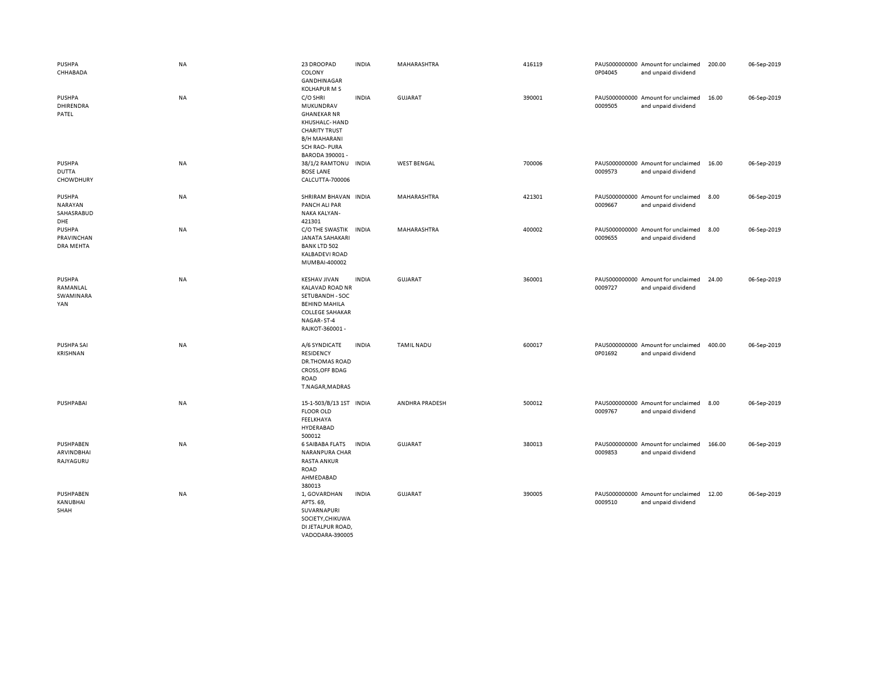| <b>PUSHPA</b><br>CHHABADA                     | NA | 23 DROOPAD<br>COLONY<br>GANDHINAGAR<br><b>KOLHAPUR M S</b>                                                                                             | <b>INDIA</b> | MAHARASHTRA        | 416119 | 0P04045 | PAUS000000000 Amount for unclaimed<br>and unpaid dividend | 200.00 | 06-Sep-2019 |
|-----------------------------------------------|----|--------------------------------------------------------------------------------------------------------------------------------------------------------|--------------|--------------------|--------|---------|-----------------------------------------------------------|--------|-------------|
| <b>PUSHPA</b><br>DHIRENDRA<br>PATEL           | NA | C/O SHRI<br>MUKUNDRAV<br><b>GHANEKAR NR</b><br>KHUSHALC- HAND<br><b>CHARITY TRUST</b><br><b>B/H MAHARANI</b><br><b>SCH RAO-PURA</b><br>BARODA 390001 - | <b>INDIA</b> | <b>GUJARAT</b>     | 390001 | 0009505 | PAUS000000000 Amount for unclaimed<br>and unpaid dividend | 16.00  | 06-Sep-2019 |
| PUSHPA<br><b>DUTTA</b><br>CHOWDHURY           | NA | 38/1/2 RAMTONU INDIA<br><b>BOSE LANE</b><br>CALCUTTA-700006                                                                                            |              | <b>WEST BENGAL</b> | 700006 | 0009573 | PAUS000000000 Amount for unclaimed<br>and unpaid dividend | 16.00  | 06-Sep-2019 |
| <b>PUSHPA</b><br>NARAYAN<br>SAHASRABUD<br>DHE | NA | SHRIRAM BHAVAN INDIA<br>PANCH ALI PAR<br>NAKA KALYAN-<br>421301                                                                                        |              | MAHARASHTRA        | 421301 | 0009667 | PAUS000000000 Amount for unclaimed<br>and unpaid dividend | 8.00   | 06-Sep-2019 |
| PUSHPA<br>PRAVINCHAN<br><b>DRA MEHTA</b>      | NA | C/O THE SWASTIK<br>JANATA SAHAKARI<br><b>BANK LTD 502</b><br><b>KALBADEVI ROAD</b><br>MUMBAI-400002                                                    | <b>INDIA</b> | MAHARASHTRA        | 400002 | 0009655 | PAUS000000000 Amount for unclaimed<br>and unpaid dividend | 8.00   | 06-Sep-2019 |
| PUSHPA<br>RAMANLAL<br>SWAMINARA<br>YAN        | NA | <b>KESHAV JIVAN</b><br><b>KALAVAD ROAD NR</b><br>SETUBANDH - SOC<br><b>BEHIND MAHILA</b><br><b>COLLEGE SAHAKAR</b><br>NAGAR-ST-4<br>RAJKOT-360001 -    | <b>INDIA</b> | GUJARAT            | 360001 | 0009727 | PAUS000000000 Amount for unclaimed<br>and unpaid dividend | 24.00  | 06-Sep-2019 |
| PUSHPA SAI<br>KRISHNAN                        | NA | A/6 SYNDICATE<br>RESIDENCY<br><b>DR.THOMAS ROAD</b><br>CROSS, OFF BDAG<br><b>ROAD</b><br>T.NAGAR, MADRAS                                               | <b>INDIA</b> | <b>TAMIL NADU</b>  | 600017 | 0P01692 | PAUS000000000 Amount for unclaimed<br>and unpaid dividend | 400.00 | 06-Sep-2019 |
| PUSHPABAI                                     | NA | 15-1-503/B/13 1ST INDIA<br><b>FLOOR OLD</b><br>FEELKHAYA<br>HYDERABAD<br>500012                                                                        |              | ANDHRA PRADESH     | 500012 | 0009767 | PAUS000000000 Amount for unclaimed<br>and unpaid dividend | 8.00   | 06-Sep-2019 |
| PUSHPABEN<br>ARVINDBHAI<br>RAJYAGURU          | NA | <b>6 SAIBABA FLATS</b><br><b>NARANPURA CHAR</b><br><b>RASTA ANKUR</b><br><b>ROAD</b><br>AHMEDABAD<br>380013                                            | <b>INDIA</b> | <b>GUJARAT</b>     | 380013 | 0009853 | PAUS000000000 Amount for unclaimed<br>and unpaid dividend | 166.00 | 06-Sep-2019 |
| PUSHPABEN<br>KANUBHAI<br>SHAH                 | NA | 1, GOVARDHAN<br>APTS. 69,<br>SUVARNAPURI<br>SOCIETY, CHIKUWA<br>DI JETALPUR ROAD,<br>VADODARA-390005                                                   | <b>INDIA</b> | <b>GUJARAT</b>     | 390005 | 0009510 | PAUS000000000 Amount for unclaimed<br>and unpaid dividend | 12.00  | 06-Sep-2019 |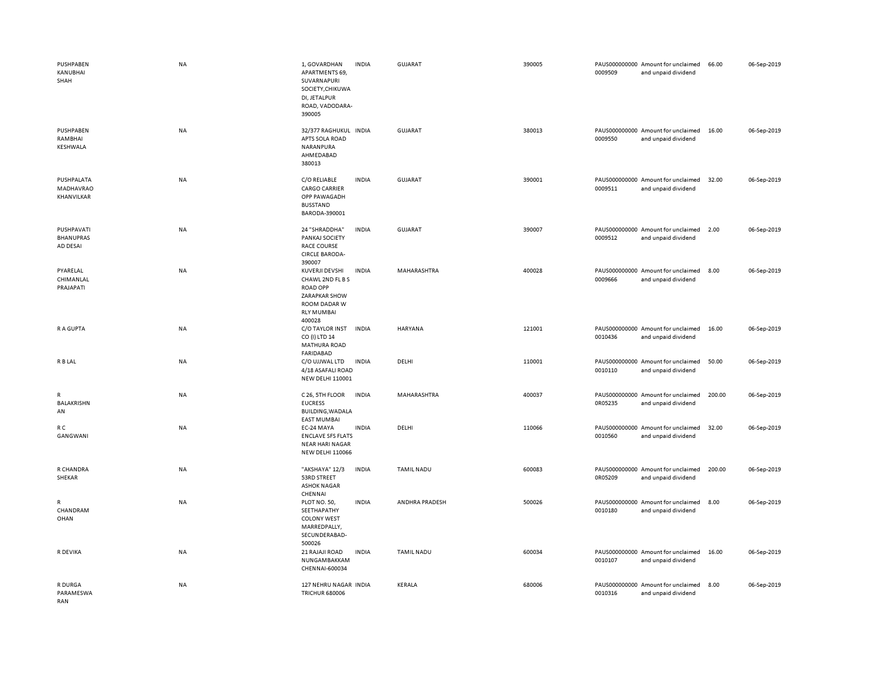| PUSHPABEN<br>KANUBHAI<br>SHAH              | <b>NA</b> | 1, GOVARDHAN<br><b>APARTMENTS 69,</b><br>SUVARNAPURI<br>SOCIETY, CHIKUWA<br>DI, JETALPUR<br>ROAD, VADODARA-<br>390005        | <b>INDIA</b> | <b>GUJARAT</b>    | 390005 | 0009509 | PAUS000000000 Amount for unclaimed<br>and unpaid dividend | 66.00  | 06-Sep-2019 |
|--------------------------------------------|-----------|------------------------------------------------------------------------------------------------------------------------------|--------------|-------------------|--------|---------|-----------------------------------------------------------|--------|-------------|
| PUSHPABEN<br>RAMBHAI<br>KESHWALA           | <b>NA</b> | 32/377 RAGHUKUL INDIA<br>APTS SOLA ROAD<br>NARANPURA<br>AHMEDABAD<br>380013                                                  |              | <b>GUJARAT</b>    | 380013 | 0009550 | PAUS000000000 Amount for unclaimed<br>and unpaid dividend | 16.00  | 06-Sep-2019 |
| PUSHPALATA<br>MADHAVRAO<br>KHANVILKAR      | NA        | C/O RELIABLE<br><b>CARGO CARRIER</b><br>OPP PAWAGADH<br><b>BUSSTAND</b><br>BARODA-390001                                     | <b>INDIA</b> | <b>GUJARAT</b>    | 390001 | 0009511 | PAUS000000000 Amount for unclaimed<br>and unpaid dividend | 32.00  | 06-Sep-2019 |
| PUSHPAVATI<br><b>BHANUPRAS</b><br>AD DESAI | NA        | 24 "SHRADDHA"<br>PANKAJ SOCIETY<br><b>RACE COURSE</b><br><b>CIRCLE BARODA-</b><br>390007                                     | <b>INDIA</b> | <b>GUJARAT</b>    | 390007 | 0009512 | PAUS000000000 Amount for unclaimed<br>and unpaid dividend | 2.00   | 06-Sep-2019 |
| PYARELAL<br>CHIMANLAL<br>PRAJAPATI         | NA        | KUVERJI DEVSHI<br>CHAWL 2ND FL B S<br><b>ROAD OPP</b><br><b>ZARAPKAR SHOW</b><br>ROOM DADAR W<br><b>RLY MUMBAI</b><br>400028 | <b>INDIA</b> | MAHARASHTRA       | 400028 | 0009666 | PAUS000000000 Amount for unclaimed<br>and unpaid dividend | 8.00   | 06-Sep-2019 |
| R A GUPTA                                  | <b>NA</b> | C/O TAYLOR INST<br>CO (I) LTD 14<br><b>MATHURA ROAD</b><br>FARIDABAD                                                         | <b>INDIA</b> | <b>HARYANA</b>    | 121001 | 0010436 | PAUS000000000 Amount for unclaimed<br>and unpaid dividend | 16.00  | 06-Sep-2019 |
| R B LAL                                    | <b>NA</b> | C/O UJJWAL LTD<br>4/18 ASAFALI ROAD<br><b>NEW DELHI 110001</b>                                                               | <b>INDIA</b> | DELHI             | 110001 | 0010110 | PAUS000000000 Amount for unclaimed<br>and unpaid dividend | 50.00  | 06-Sep-2019 |
| R<br><b>BALAKRISHN</b><br>AN               | NA        | C 26, 5TH FLOOR<br><b>EUCRESS</b><br><b>BUILDING, WADALA</b><br><b>EAST MUMBAI</b>                                           | <b>INDIA</b> | MAHARASHTRA       | 400037 | 0R05235 | PAUS000000000 Amount for unclaimed<br>and unpaid dividend | 200.00 | 06-Sep-2019 |
| R C<br>GANGWANI                            | NA        | EC-24 MAYA<br><b>ENCLAVE SFS FLATS</b><br><b>NEAR HARI NAGAR</b><br><b>NEW DELHI 110066</b>                                  | <b>INDIA</b> | DELHI             | 110066 | 0010560 | PAUS000000000 Amount for unclaimed<br>and unpaid dividend | 32.00  | 06-Sep-2019 |
| R CHANDRA<br>SHEKAR                        | NA        | "AKSHAYA" 12/3<br>53RD STREET<br><b>ASHOK NAGAR</b><br>CHENNAI                                                               | <b>INDIA</b> | <b>TAMIL NADU</b> | 600083 | 0R05209 | PAUS000000000 Amount for unclaimed<br>and unpaid dividend | 200.00 | 06-Sep-2019 |
| R<br>CHANDRAM<br>OHAN                      | NA        | PLOT NO. 50,<br>SEETHAPATHY<br><b>COLONY WEST</b><br>MARREDPALLY,<br>SECUNDERABAD-<br>500026                                 | <b>INDIA</b> | ANDHRA PRADESH    | 500026 | 0010180 | PAUS000000000 Amount for unclaimed<br>and unpaid dividend | 8.00   | 06-Sep-2019 |
| R DEVIKA                                   | NA        | 21 RAJAJI ROAD<br>NUNGAMBAKKAM<br>CHENNAI-600034                                                                             | <b>INDIA</b> | <b>TAMIL NADU</b> | 600034 | 0010107 | PAUS000000000 Amount for unclaimed<br>and unpaid dividend | 16.00  | 06-Sep-2019 |
| R DURGA<br>PARAMESWA<br>RAN                | NA        | 127 NEHRU NAGAR INDIA<br><b>TRICHUR 680006</b>                                                                               |              | KERALA            | 680006 | 0010316 | PAUS000000000 Amount for unclaimed<br>and unpaid dividend | 8.00   | 06-Sep-2019 |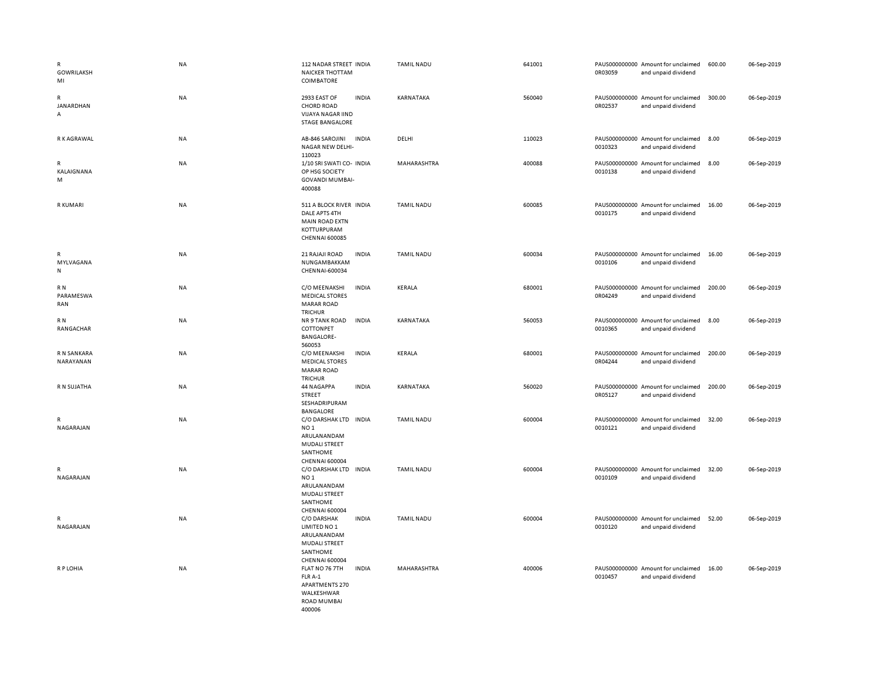| $\mathsf{R}$<br>GOWRILAKSH<br>MI | <b>NA</b> | 112 NADAR STREET INDIA<br><b>NAICKER THOTTAM</b><br><b>COIMBATORE</b>                                                   | <b>TAMIL NADU</b> | 641001 | PAUS000000000 Amount for unclaimed<br>0R03059<br>and unpaid dividend | 600.00 | 06-Sep-2019 |
|----------------------------------|-----------|-------------------------------------------------------------------------------------------------------------------------|-------------------|--------|----------------------------------------------------------------------|--------|-------------|
| R<br>JANARDHAN<br>Α              | NA        | <b>INDIA</b><br>2933 EAST OF<br><b>CHORD ROAD</b><br>VIJAYA NAGAR IIND<br><b>STAGE BANGALORE</b>                        | KARNATAKA         | 560040 | PAUS000000000 Amount for unclaimed<br>0R02537<br>and unpaid dividend | 300.00 | 06-Sep-2019 |
| R K AGRAWAL                      | NA        | AB-846 SAROJINI<br><b>INDIA</b><br>NAGAR NEW DELHI-<br>110023                                                           | DELHI             | 110023 | PAUS000000000 Amount for unclaimed<br>0010323<br>and unpaid dividend | 8.00   | 06-Sep-2019 |
| R<br>KALAIGNANA<br>М             | NA        | 1/10 SRI SWATI CO- INDIA<br>OP HSG SOCIETY<br><b>GOVANDI MUMBAI-</b><br>400088                                          | MAHARASHTRA       | 400088 | PAUS000000000 Amount for unclaimed<br>0010138<br>and unpaid dividend | 8.00   | 06-Sep-2019 |
| R KUMARI                         | NA        | 511 A BLOCK RIVER INDIA<br>DALE APTS 4TH<br><b>MAIN ROAD EXTN</b><br>KOTTURPURAM<br><b>CHENNAI 600085</b>               | <b>TAMIL NADU</b> | 600085 | PAUS000000000 Amount for unclaimed<br>0010175<br>and unpaid dividend | 16.00  | 06-Sep-2019 |
| R<br>MYLVAGANA<br>${\sf N}$      | NA        | 21 RAJAJI ROAD<br><b>INDIA</b><br>NUNGAMBAKKAM<br>CHENNAI-600034                                                        | <b>TAMIL NADU</b> | 600034 | PAUS000000000 Amount for unclaimed<br>0010106<br>and unpaid dividend | 16.00  | 06-Sep-2019 |
| R N<br>PARAMESWA<br>RAN          | NA        | C/O MEENAKSHI<br><b>INDIA</b><br><b>MEDICAL STORES</b><br><b>MARAR ROAD</b><br><b>TRICHUR</b>                           | KERALA            | 680001 | PAUS000000000 Amount for unclaimed<br>0R04249<br>and unpaid dividend | 200.00 | 06-Sep-2019 |
| R N<br>RANGACHAR                 | <b>NA</b> | NR 9 TANK ROAD<br><b>INDIA</b><br>COTTONPET<br><b>BANGALORE-</b><br>560053                                              | KARNATAKA         | 560053 | PAUS000000000 Amount for unclaimed<br>0010365<br>and unpaid dividend | 8.00   | 06-Sep-2019 |
| R N SANKARA<br>NARAYANAN         | NA        | <b>INDIA</b><br>C/O MEENAKSHI<br><b>MEDICAL STORES</b><br><b>MARAR ROAD</b><br><b>TRICHUR</b>                           | KERALA            | 680001 | PAUS000000000 Amount for unclaimed<br>0R04244<br>and unpaid dividend | 200.00 | 06-Sep-2019 |
| R N SUJATHA                      | <b>NA</b> | <b>INDIA</b><br>44 NAGAPPA<br>STREET<br>SESHADRIPURAM<br><b>BANGALORE</b>                                               | KARNATAKA         | 560020 | PAUS000000000 Amount for unclaimed<br>0R05127<br>and unpaid dividend | 200.00 | 06-Sep-2019 |
| R<br>NAGARAJAN                   | <b>NA</b> | C/O DARSHAK LTD<br><b>INDIA</b><br>NO <sub>1</sub><br>ARULANANDAM<br>MUDALI STREET<br>SANTHOME<br><b>CHENNAI 600004</b> | <b>TAMIL NADU</b> | 600004 | PAUS000000000 Amount for unclaimed<br>0010121<br>and unpaid dividend | 32.00  | 06-Sep-2019 |
| R<br>NAGARAJAN                   | <b>NA</b> | C/O DARSHAK LTD INDIA<br>NO <sub>1</sub><br>ARULANANDAM<br>MUDALI STREET<br>SANTHOME<br><b>CHENNAI 600004</b>           | <b>TAMIL NADU</b> | 600004 | PAUS000000000 Amount for unclaimed<br>0010109<br>and unpaid dividend | 32.00  | 06-Sep-2019 |
| R<br>NAGARAJAN                   | <b>NA</b> | C/O DARSHAK<br><b>INDIA</b><br>LIMITED NO 1<br>ARULANANDAM<br><b>MUDALI STREET</b><br>SANTHOME<br><b>CHENNAI 600004</b> | <b>TAMIL NADU</b> | 600004 | PAUS000000000 Amount for unclaimed<br>0010120<br>and unpaid dividend | 52.00  | 06-Sep-2019 |
| R P LOHIA                        | <b>NA</b> | FLAT NO 76 7TH<br><b>INDIA</b><br>FLR A-1<br>APARTMENTS 270<br>WALKESHWAR<br><b>ROAD MUMBAI</b><br>400006               | MAHARASHTRA       | 400006 | PAUS000000000 Amount for unclaimed<br>0010457<br>and unpaid dividend | 16.00  | 06-Sep-2019 |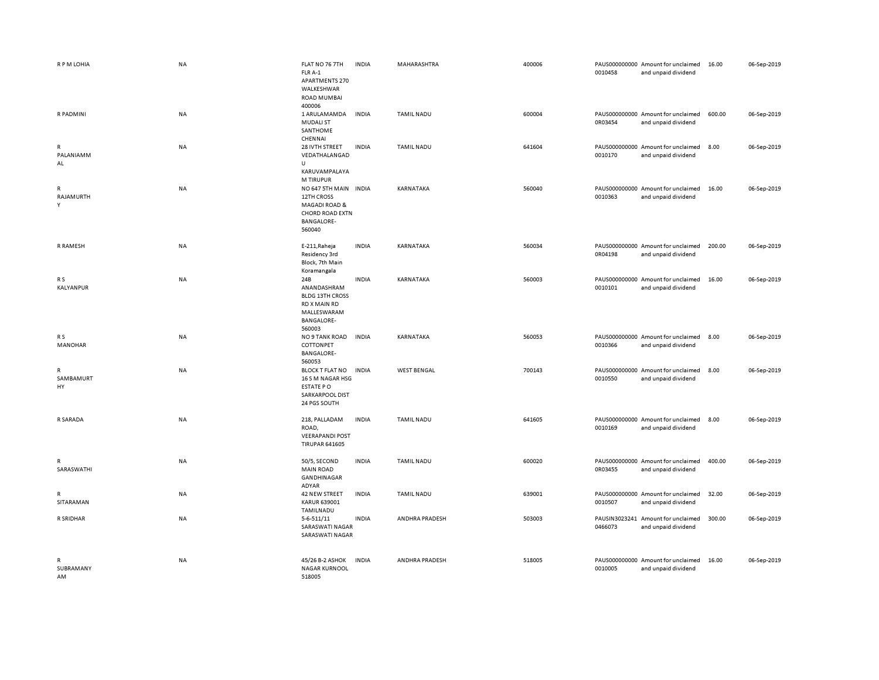| R P M LOHIA                    | <b>NA</b> | FLAT NO 76 7TH<br>FLR A-1<br><b>APARTMENTS 270</b><br>WALKESHWAR<br><b>ROAD MUMBAI</b><br>400006                                                              | <b>INDIA</b> | MAHARASHTRA        | 400006 | 0010458                  | PAUS000000000 Amount for unclaimed<br>and unpaid dividend | 16.00  | 06-Sep-2019 |
|--------------------------------|-----------|---------------------------------------------------------------------------------------------------------------------------------------------------------------|--------------|--------------------|--------|--------------------------|-----------------------------------------------------------|--------|-------------|
| R PADMINI                      | NA        | 1 ARULAMAMDA<br><b>MUDALI ST</b><br>SANTHOME<br>CHENNAI                                                                                                       | <b>INDIA</b> | <b>TAMIL NADU</b>  | 600004 | 0R03454                  | PAUS000000000 Amount for unclaimed<br>and unpaid dividend | 600.00 | 06-Sep-2019 |
| R<br>PALANIAMM<br>AL           | NA        | 28 IVTH STREET<br>VEDATHALANGAD<br>U                                                                                                                          | <b>INDIA</b> | <b>TAMIL NADU</b>  | 641604 | 0010170                  | PAUS000000000 Amount for unclaimed<br>and unpaid dividend | 8.00   | 06-Sep-2019 |
| $\mathsf{R}$<br>RAJAMURTH<br>Y | <b>NA</b> | KARUVAMPALAYA<br><b>M TIRUPUR</b><br>NO 647 5TH MAIN INDIA<br>12TH CROSS<br><b>MAGADI ROAD &amp;</b><br><b>CHORD ROAD EXTN</b><br><b>BANGALORE-</b><br>560040 |              | KARNATAKA          | 560040 | 0010363                  | PAUS000000000 Amount for unclaimed<br>and unpaid dividend | 16.00  | 06-Sep-2019 |
| R RAMESH                       | NA        | E-211, Raheja<br>Residency 3rd<br>Block, 7th Main<br>Koramangala                                                                                              | <b>INDIA</b> | KARNATAKA          | 560034 | 0R04198                  | PAUS000000000 Amount for unclaimed<br>and unpaid dividend | 200.00 | 06-Sep-2019 |
| R S<br><b>KALYANPUR</b>        | <b>NA</b> | 24B<br>ANANDASHRAM<br><b>BLDG 13TH CROSS</b><br>RD X MAIN RD<br>MALLESWARAM<br><b>BANGALORE-</b><br>560003                                                    | <b>INDIA</b> | KARNATAKA          | 560003 | 0010101                  | PAUS000000000 Amount for unclaimed<br>and unpaid dividend | 16.00  | 06-Sep-2019 |
| R S<br><b>MANOHAR</b>          | NA        | NO 9 TANK ROAD<br>COTTONPET<br><b>BANGALORE-</b><br>560053                                                                                                    | <b>INDIA</b> | KARNATAKA          | 560053 | 0010366                  | PAUS000000000 Amount for unclaimed<br>and unpaid dividend | 8.00   | 06-Sep-2019 |
| R<br>SAMBAMURT<br>HY           | <b>NA</b> | <b>BLOCK T FLAT NO</b><br>16 S M NAGAR HSG<br>ESTATE PO<br>SARKARPOOL DIST<br>24 PGS SOUTH                                                                    | <b>INDIA</b> | <b>WEST BENGAL</b> | 700143 | 0010550                  | PAUS000000000 Amount for unclaimed<br>and unpaid dividend | 8.00   | 06-Sep-2019 |
| R SARADA                       | NA        | 218, PALLADAM<br>ROAD,<br><b>VEERAPANDI POST</b><br><b>TIRUPAR 641605</b>                                                                                     | <b>INDIA</b> | <b>TAMIL NADU</b>  | 641605 | 0010169                  | PAUS000000000 Amount for unclaimed<br>and unpaid dividend | 8.00   | 06-Sep-2019 |
| R<br>SARASWATHI                | <b>NA</b> | 50/5, SECOND<br><b>MAIN ROAD</b><br>GANDHINAGAR<br>ADYAR                                                                                                      | <b>INDIA</b> | <b>TAMIL NADU</b>  | 600020 | 0R03455                  | PAUS000000000 Amount for unclaimed<br>and unpaid dividend | 400.00 | 06-Sep-2019 |
| R<br>SITARAMAN                 | <b>NA</b> | 42 NEW STREET<br><b>KARUR 639001</b><br>TAMILNADU                                                                                                             | <b>INDIA</b> | <b>TAMIL NADU</b>  | 639001 | 0010507                  | PAUS000000000 Amount for unclaimed<br>and unpaid dividend | 32.00  | 06-Sep-2019 |
| R SRIDHAR                      | <b>NA</b> | $5 - 6 - 511/11$<br>SARASWATI NAGAR<br>SARASWATI NAGAR                                                                                                        | <b>INDIA</b> | ANDHRA PRADESH     | 503003 | PAUSIN3023241<br>0466073 | Amount for unclaimed<br>and unpaid dividend               | 300.00 | 06-Sep-2019 |
| R<br>SUBRAMANY<br>AM           | <b>NA</b> | 45/26 B-2 ASHOK<br><b>NAGAR KURNOOL</b><br>518005                                                                                                             | <b>INDIA</b> | ANDHRA PRADESH     | 518005 | 0010005                  | PAUS000000000 Amount for unclaimed<br>and unpaid dividend | 16.00  | 06-Sep-2019 |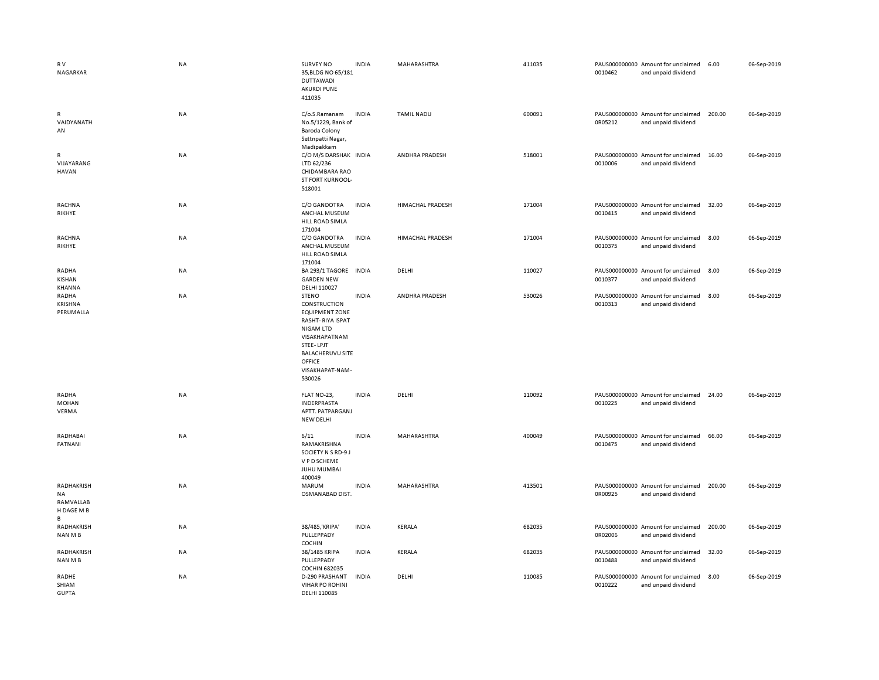| RV<br>NAGARKAR                                   | <b>NA</b> | <b>SURVEY NO</b><br>35, BLDG NO 65/181<br><b>DUTTAWADI</b><br><b>AKURDI PUNE</b><br>411035                                                                                                           | <b>INDIA</b> | MAHARASHTRA             | 411035 | 0010462 | PAUS000000000 Amount for unclaimed<br>and unpaid dividend | 6.00   | 06-Sep-2019 |
|--------------------------------------------------|-----------|------------------------------------------------------------------------------------------------------------------------------------------------------------------------------------------------------|--------------|-------------------------|--------|---------|-----------------------------------------------------------|--------|-------------|
| R<br>VAIDYANATH<br>AN                            | NA        | C/o.S.Ramanam<br>No.5/1229, Bank of<br>Baroda Colony<br>Settnpatti Nagar,<br>Madipakkam                                                                                                              | <b>INDIA</b> | <b>TAMIL NADU</b>       | 600091 | 0R05212 | PAUS000000000 Amount for unclaimed<br>and unpaid dividend | 200.00 | 06-Sep-2019 |
| R<br>VIJAYARANG<br><b>HAVAN</b>                  | NA        | C/O M/S DARSHAK INDIA<br>LTD 62/236<br>CHIDAMBARA RAO<br>ST FORT KURNOOL-<br>518001                                                                                                                  |              | ANDHRA PRADESH          | 518001 | 0010006 | PAUS000000000 Amount for unclaimed<br>and unpaid dividend | 16.00  | 06-Sep-2019 |
| RACHNA<br>RIKHYE                                 | NA        | C/O GANDOTRA<br>ANCHAL MUSEUM<br>HILL ROAD SIMLA<br>171004                                                                                                                                           | <b>INDIA</b> | <b>HIMACHAL PRADESH</b> | 171004 | 0010415 | PAUS000000000 Amount for unclaimed<br>and unpaid dividend | 32.00  | 06-Sep-2019 |
| RACHNA<br>RIKHYE                                 | NA        | C/O GANDOTRA<br>ANCHAL MUSEUM<br>HILL ROAD SIMLA<br>171004                                                                                                                                           | INDIA        | HIMACHAL PRADESH        | 171004 | 0010375 | PAUS000000000 Amount for unclaimed<br>and unpaid dividend | 8.00   | 06-Sep-2019 |
| RADHA<br>KISHAN<br>KHANNA                        | NA        | BA 293/1 TAGORE IN DIA<br><b>GARDEN NEW</b><br>DELHI 110027                                                                                                                                          |              | DELHI                   | 110027 | 0010377 | PAUS000000000 Amount for unclaimed<br>and unpaid dividend | 8.00   | 06-Sep-2019 |
| RADHA<br>KRISHNA<br>PERUMALLA                    | NA        | <b>STENO</b><br>CONSTRUCTION<br><b>EQUIPMENT ZONE</b><br><b>RASHT-RIYA ISPAT</b><br><b>NIGAM LTD</b><br>VISAKHAPATNAM<br>STEE-LPJT<br><b>BALACHERUVU SITE</b><br>OFFICE<br>VISAKHAPAT-NAM-<br>530026 | <b>INDIA</b> | ANDHRA PRADESH          | 530026 | 0010313 | PAUS000000000 Amount for unclaimed<br>and unpaid dividend | 8.00   | 06-Sep-2019 |
| RADHA<br><b>MOHAN</b><br>VERMA                   | <b>NA</b> | FLAT NO-23,<br>INDERPRASTA<br>APTT. PATPARGANJ<br><b>NEW DELHI</b>                                                                                                                                   | <b>INDIA</b> | DELHI                   | 110092 | 0010225 | PAUS000000000 Amount for unclaimed<br>and unpaid dividend | 24.00  | 06-Sep-2019 |
| RADHABAI<br>FATNANI                              | <b>NA</b> | 6/11<br>RAMAKRISHNA<br>SOCIETY N S RD-9 J<br>V P D SCHEME<br>JUHU MUMBAI<br>400049                                                                                                                   | <b>INDIA</b> | MAHARASHTRA             | 400049 | 0010475 | PAUS000000000 Amount for unclaimed<br>and unpaid dividend | 66.00  | 06-Sep-2019 |
| RADHAKRISH<br>NA<br>RAMVALLAB<br>H DAGE M B<br>B | NA        | MARUM<br>OSMANABAD DIST.                                                                                                                                                                             | <b>INDIA</b> | MAHARASHTRA             | 413501 | 0R00925 | PAUS000000000 Amount for unclaimed<br>and unpaid dividend | 200.00 | 06-Sep-2019 |
| RADHAKRISH<br>NAN M B                            | NA        | 38/485, KRIPA'<br>PULLEPPADY<br>COCHIN                                                                                                                                                               | <b>INDIA</b> | KERALA                  | 682035 | 0R02006 | PAUS000000000 Amount for unclaimed<br>and unpaid dividend | 200.00 | 06-Sep-2019 |
| RADHAKRISH<br>NAN M B                            | NA        | 38/1485 KRIPA<br>PULLEPPADY<br><b>COCHIN 682035</b>                                                                                                                                                  | <b>INDIA</b> | KERALA                  | 682035 | 0010488 | PAUS000000000 Amount for unclaimed<br>and unpaid dividend | 32.00  | 06-Sep-2019 |
| RADHE<br>SHIAM<br><b>GUPTA</b>                   | NA        | D-290 PRASHANT<br><b>VIHAR PO ROHINI</b><br>DELHI 110085                                                                                                                                             | <b>INDIA</b> | DELHI                   | 110085 | 0010222 | PAUS000000000 Amount for unclaimed<br>and unpaid dividend | 8.00   | 06-Sep-2019 |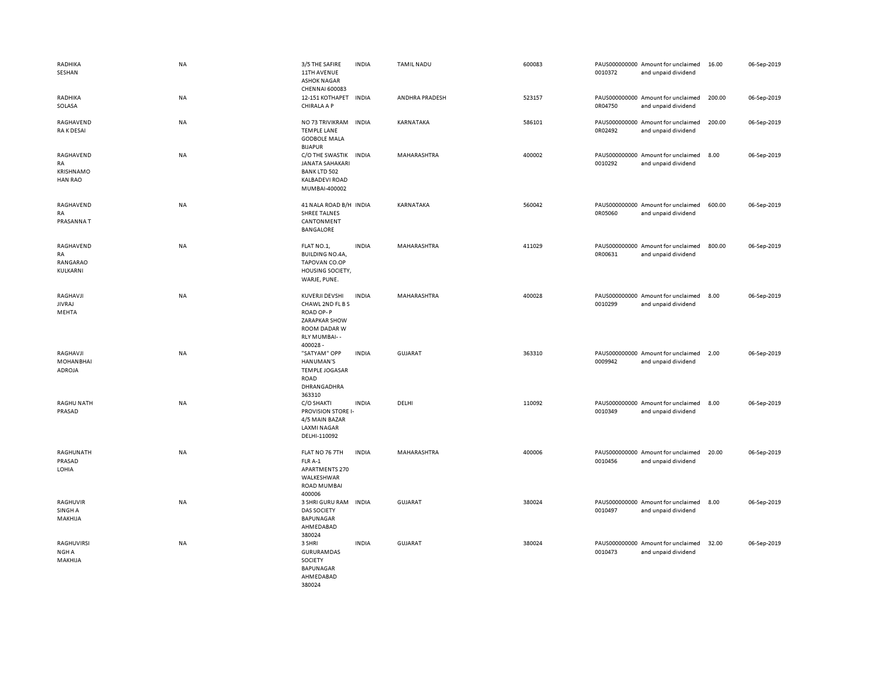| RADHIKA<br>SESHAN                              | <b>NA</b> | 3/5 THE SAFIRE<br>11TH AVENUE<br><b>ASHOK NAGAR</b><br><b>CHENNAI 600083</b>                                       | <b>INDIA</b> | <b>TAMIL NADU</b>  | 600083 | 0010372 | PAUS000000000 Amount for unclaimed<br>and unpaid dividend | 16.00  | 06-Sep-2019 |
|------------------------------------------------|-----------|--------------------------------------------------------------------------------------------------------------------|--------------|--------------------|--------|---------|-----------------------------------------------------------|--------|-------------|
| RADHIKA<br>SOLASA                              | NA        | 12-151 KOTHAPET INDIA<br>CHIRALA A P                                                                               |              | ANDHRA PRADESH     | 523157 | 0R04750 | PAUS000000000 Amount for unclaimed<br>and unpaid dividend | 200.00 | 06-Sep-2019 |
| RAGHAVEND<br>RA K DESAI                        | <b>NA</b> | NO 73 TRIVIKRAM<br><b>TEMPLE LANE</b><br><b>GODBOLE MALA</b><br><b>BIJAPUR</b>                                     | <b>INDIA</b> | KARNATAKA          | 586101 | 0R02492 | PAUS000000000 Amount for unclaimed<br>and unpaid dividend | 200.00 | 06-Sep-2019 |
| RAGHAVEND<br>RA<br>KRISHNAMO<br><b>HAN RAO</b> | <b>NA</b> | C/O THE SWASTIK<br>JANATA SAHAKARI<br><b>BANK LTD 502</b><br><b>KALBADEVI ROAD</b><br>MUMBAI-400002                | <b>INDIA</b> | <b>MAHARASHTRA</b> | 400002 | 0010292 | PAUS000000000 Amount for unclaimed<br>and unpaid dividend | 8.00   | 06-Sep-2019 |
| RAGHAVEND<br>RA<br>PRASANNAT                   | NA        | 41 NALA ROAD B/H INDIA<br><b>SHREE TALNES</b><br>CANTONMENT<br><b>BANGALORE</b>                                    |              | KARNATAKA          | 560042 | 0R05060 | PAUS000000000 Amount for unclaimed<br>and unpaid dividend | 600.00 | 06-Sep-2019 |
| RAGHAVEND<br>RA<br>RANGARAO<br>KULKARNI        | <b>NA</b> | FLAT NO.1,<br><b>BUILDING NO.4A,</b><br>TAPOVAN CO.OP<br>HOUSING SOCIETY,<br>WARJE, PUNE.                          | <b>INDIA</b> | MAHARASHTRA        | 411029 | 0R00631 | PAUS000000000 Amount for unclaimed<br>and unpaid dividend | 800.00 | 06-Sep-2019 |
| RAGHAVJI<br><b>JIVRAJ</b><br>MEHTA             | NA        | KUVERJI DEVSHI<br>CHAWL 2ND FL B S<br>ROAD OP-P<br><b>ZARAPKAR SHOW</b><br>ROOM DADAR W<br>RLY MUMBAI--<br>400028- | <b>INDIA</b> | MAHARASHTRA        | 400028 | 0010299 | PAUS000000000 Amount for unclaimed<br>and unpaid dividend | 8.00   | 06-Sep-2019 |
| RAGHAVJI<br><b>MOHANBHAI</b><br>ADROJA         | <b>NA</b> | "SATYAM" OPP<br>HANUMAN'S<br><b>TEMPLE JOGASAR</b><br>ROAD<br>DHRANGADHRA<br>363310                                | <b>INDIA</b> | <b>GUJARAT</b>     | 363310 | 0009942 | PAUS000000000 Amount for unclaimed<br>and unpaid dividend | 2.00   | 06-Sep-2019 |
| <b>RAGHU NATH</b><br>PRASAD                    | NA        | C/O SHAKTI<br><b>PROVISION STORE I-</b><br>4/5 MAIN BAZAR<br><b>LAXMI NAGAR</b><br>DELHI-110092                    | <b>INDIA</b> | DELHI              | 110092 | 0010349 | PAUS000000000 Amount for unclaimed<br>and unpaid dividend | 8.00   | 06-Sep-2019 |
| RAGHUNATH<br>PRASAD<br>LOHIA                   | NA        | FLAT NO 76 7TH<br>FLR A-1<br><b>APARTMENTS 270</b><br>WALKESHWAR<br><b>ROAD MUMBAI</b><br>400006                   | <b>INDIA</b> | MAHARASHTRA        | 400006 | 0010456 | PAUS000000000 Amount for unclaimed<br>and unpaid dividend | 20.00  | 06-Sep-2019 |
| RAGHUVIR<br>SINGH A<br>MAKHIJA                 | NA        | 3 SHRI GURU RAM<br><b>DAS SOCIETY</b><br><b>BAPUNAGAR</b><br>AHMEDABAD<br>380024                                   | <b>INDIA</b> | <b>GUJARAT</b>     | 380024 | 0010497 | PAUS000000000 Amount for unclaimed<br>and unpaid dividend | 8.00   | 06-Sep-2019 |
| RAGHUVIRSI<br>NGH A<br>MAKHIJA                 | NA        | 3 SHRI<br>GURURAMDAS<br>SOCIETY<br><b>BAPUNAGAR</b><br>AHMEDABAD<br>380024                                         | <b>INDIA</b> | <b>GUJARAT</b>     | 380024 | 0010473 | PAUS000000000 Amount for unclaimed<br>and unpaid dividend | 32.00  | 06-Sep-2019 |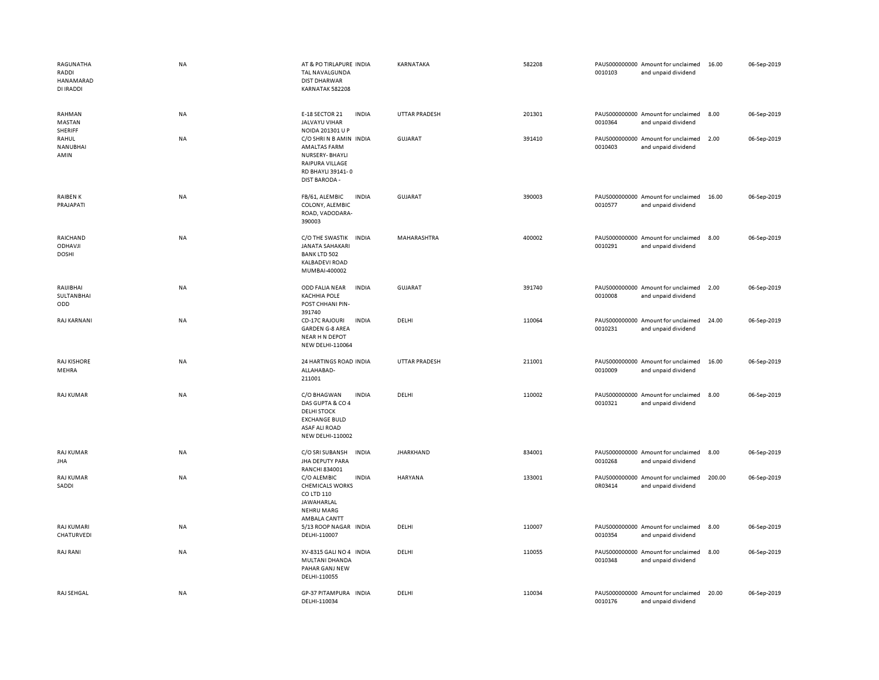| RAGUNATHA<br>RADDI<br>HANAMARAD<br>DI IRADDI | <b>NA</b> | AT & PO TIRLAPURE INDIA<br>TAL NAVALGUNDA<br><b>DIST DHARWAR</b><br>KARNATAK 582208                                                              | KARNATAKA            | 582208 | 0010103 | PAUS000000000 Amount for unclaimed<br>and unpaid dividend | 16.00  | 06-Sep-2019 |
|----------------------------------------------|-----------|--------------------------------------------------------------------------------------------------------------------------------------------------|----------------------|--------|---------|-----------------------------------------------------------|--------|-------------|
| RAHMAN<br>MASTAN<br>SHERIFF                  | NA        | <b>INDIA</b><br>E-18 SECTOR 21<br>JALVAYU VIHAR<br>NOIDA 201301 U P                                                                              | UTTAR PRADESH        | 201301 | 0010364 | PAUS000000000 Amount for unclaimed<br>and unpaid dividend | 8.00   | 06-Sep-2019 |
| RAHUL<br>NANUBHAI<br>AMIN                    | NA        | C/O SHRI N B AMIN INDIA<br><b>AMALTAS FARM</b><br>NURSERY-BHAYLI<br>RAIPURA VILLAGE<br>RD BHAYLI 39141-0<br><b>DIST BARODA -</b>                 | <b>GUJARAT</b>       | 391410 | 0010403 | PAUS000000000 Amount for unclaimed<br>and unpaid dividend | 2.00   | 06-Sep-2019 |
| RAIBEN K<br>PRAJAPATI                        | <b>NA</b> | FB/61, ALEMBIC<br><b>INDIA</b><br>COLONY, ALEMBIC<br>ROAD, VADODARA-<br>390003                                                                   | GUJARAT              | 390003 | 0010577 | PAUS000000000 Amount for unclaimed<br>and unpaid dividend | 16.00  | 06-Sep-2019 |
| RAICHAND<br><b>ODHAVJI</b><br><b>DOSHI</b>   | NA        | C/O THE SWASTIK INDIA<br>JANATA SAHAKARI<br><b>BANK LTD 502</b><br><b>KALBADEVI ROAD</b><br>MUMBAI-400002                                        | MAHARASHTRA          | 400002 | 0010291 | PAUS000000000 Amount for unclaimed<br>and unpaid dividend | 8.00   | 06-Sep-2019 |
| RAIJIBHAI<br><b>SULTANBHAI</b><br>ODD        | <b>NA</b> | ODD FALIA NEAR<br><b>INDIA</b><br><b>KACHHIA POLE</b><br>POST CHHANI PIN-<br>391740                                                              | GUJARAT              | 391740 | 0010008 | PAUS000000000 Amount for unclaimed<br>and unpaid dividend | 2.00   | 06-Sep-2019 |
| RAJ KARNANI                                  | <b>NA</b> | <b>CD-17C RAJOURI</b><br><b>INDIA</b><br><b>GARDEN G-8 AREA</b><br>NEAR H N DEPOT<br><b>NEW DELHI-110064</b>                                     | DELHI                | 110064 | 0010231 | PAUS000000000 Amount for unclaimed<br>and unpaid dividend | 24.00  | 06-Sep-2019 |
| <b>RAJ KISHORE</b><br>MEHRA                  | NA        | 24 HARTINGS ROAD INDIA<br>ALLAHABAD-<br>211001                                                                                                   | <b>UTTAR PRADESH</b> | 211001 | 0010009 | PAUS000000000 Amount for unclaimed<br>and unpaid dividend | 16.00  | 06-Sep-2019 |
| <b>RAJ KUMAR</b>                             | NA        | C/O BHAGWAN<br><b>INDIA</b><br>DAS GUPTA & CO 4<br><b>DELHI STOCK</b><br><b>EXCHANGE BULD</b><br><b>ASAF ALI ROAD</b><br><b>NEW DELHI-110002</b> | DELHI                | 110002 | 0010321 | PAUS000000000 Amount for unclaimed<br>and unpaid dividend | 8.00   | 06-Sep-2019 |
| RAJ KUMAR<br><b>JHA</b>                      | NA        | C/O SRI SUBANSH<br><b>INDIA</b><br>JHA DEPUTY PARA<br><b>RANCHI 834001</b>                                                                       | <b>JHARKHAND</b>     | 834001 | 0010268 | PAUS000000000 Amount for unclaimed<br>and unpaid dividend | 8.00   | 06-Sep-2019 |
| RAJ KUMAR<br>SADDI                           | NA        | C/O ALEMBIC<br><b>INDIA</b><br><b>CHEMICALS WORKS</b><br>CO LTD 110<br>JAWAHARLAL<br><b>NEHRU MARG</b><br>AMBALA CANTT                           | HARYANA              | 133001 | 0R03414 | PAUS000000000 Amount for unclaimed<br>and unpaid dividend | 200.00 | 06-Sep-2019 |
| <b>RAJ KUMARI</b><br>CHATURVEDI              | NA        | 5/13 ROOP NAGAR INDIA<br>DELHI-110007                                                                                                            | DELHI                | 110007 | 0010354 | PAUS000000000 Amount for unclaimed<br>and unpaid dividend | 8.00   | 06-Sep-2019 |
| RAJ RANI                                     | NA        | XV-8315 GALI NO 4 INDIA<br>MULTANI DHANDA<br>PAHAR GANJ NEW<br>DELHI-110055                                                                      | DELHI                | 110055 | 0010348 | PAUS000000000 Amount for unclaimed<br>and unpaid dividend | 8.00   | 06-Sep-2019 |
| RAJ SEHGAL                                   | <b>NA</b> | GP-37 PITAMPURA INDIA<br>DELHI-110034                                                                                                            | DELHI                | 110034 | 0010176 | PAUS000000000 Amount for unclaimed<br>and unpaid dividend | 20.00  | 06-Sep-2019 |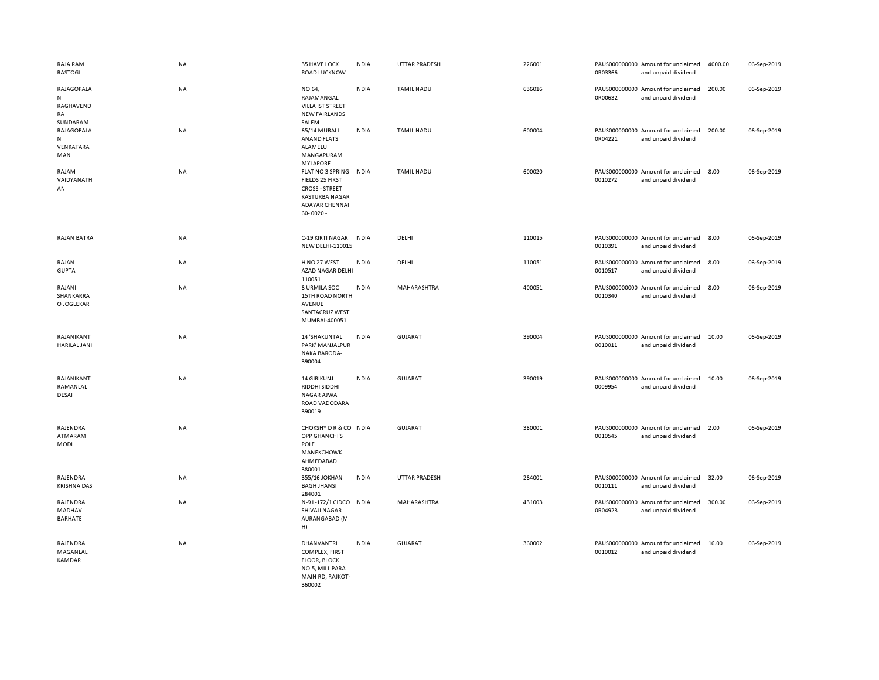| RAJA RAM<br><b>RASTOGI</b>                             | NA        | 35 HAVE LOCK<br><b>ROAD LUCKNOW</b>                                                                                                   | <b>INDIA</b> | <b>UTTAR PRADESH</b> | 226001 | 0R03366 | PAUS000000000 Amount for unclaimed<br>and unpaid dividend | 4000.00 | 06-Sep-2019 |
|--------------------------------------------------------|-----------|---------------------------------------------------------------------------------------------------------------------------------------|--------------|----------------------|--------|---------|-----------------------------------------------------------|---------|-------------|
| RAJAGOPALA<br>${\sf N}$<br>RAGHAVEND<br>RA<br>SUNDARAM | NA        | NO.64,<br>RAJAMANGAL<br>VILLA IST STREET<br><b>NEW FAIRLANDS</b><br>SALEM                                                             | <b>INDIA</b> | <b>TAMIL NADU</b>    | 636016 | 0R00632 | PAUS000000000 Amount for unclaimed<br>and unpaid dividend | 200.00  | 06-Sep-2019 |
| RAJAGOPALA<br>${\sf N}$<br>VENKATARA<br>MAN            | NA        | 65/14 MURALI<br>ANAND FLATS<br>ALAMELU<br>MANGAPURAM<br><b>MYLAPORE</b>                                                               | <b>INDIA</b> | <b>TAMIL NADU</b>    | 600004 | 0R04221 | PAUS000000000 Amount for unclaimed<br>and unpaid dividend | 200.00  | 06-Sep-2019 |
| RAJAM<br>VAIDYANATH<br>AN                              | <b>NA</b> | FLAT NO 3 SPRING INDIA<br>FIELDS 25 FIRST<br><b>CROSS - STREET</b><br><b>KASTURBA NAGAR</b><br><b>ADAYAR CHENNAI</b><br>$60 - 0020 -$ |              | <b>TAMIL NADU</b>    | 600020 | 0010272 | PAUS000000000 Amount for unclaimed<br>and unpaid dividend | 8.00    | 06-Sep-2019 |
| RAJAN BATRA                                            | NA        | C-19 KIRTI NAGAR INDIA<br><b>NEW DELHI-110015</b>                                                                                     |              | DELHI                | 110015 | 0010391 | PAUS000000000 Amount for unclaimed<br>and unpaid dividend | 8.00    | 06-Sep-2019 |
| RAJAN<br><b>GUPTA</b>                                  | NA        | H NO 27 WEST<br>AZAD NAGAR DELHI<br>110051                                                                                            | <b>INDIA</b> | DELHI                | 110051 | 0010517 | PAUS000000000 Amount for unclaimed<br>and unpaid dividend | 8.00    | 06-Sep-2019 |
| RAJANI<br>SHANKARRA<br>O JOGLEKAR                      | NA        | 8 URMILA SOC<br>15TH ROAD NORTH<br>AVENUE<br><b>SANTACRUZ WEST</b><br>MUMBAI-400051                                                   | <b>INDIA</b> | MAHARASHTRA          | 400051 | 0010340 | PAUS000000000 Amount for unclaimed<br>and unpaid dividend | 8.00    | 06-Sep-2019 |
| RAJANIKANT<br><b>HARILAL JANI</b>                      | NA        | 14 'SHAKUNTAL<br>PARK' MANJALPUR<br><b>NAKA BARODA-</b><br>390004                                                                     | <b>INDIA</b> | GUJARAT              | 390004 | 0010011 | PAUS000000000 Amount for unclaimed<br>and unpaid dividend | 10.00   | 06-Sep-2019 |
| RAJANIKANT<br>RAMANLAL<br>DESAI                        | NA        | <b>14 GIRIKUNJ</b><br>RIDDHI SIDDHI<br><b>NAGAR AJWA</b><br>ROAD VADODARA<br>390019                                                   | <b>INDIA</b> | <b>GUJARAT</b>       | 390019 | 0009954 | PAUS000000000 Amount for unclaimed<br>and unpaid dividend | 10.00   | 06-Sep-2019 |
| RAJENDRA<br>ATMARAM<br>MODI                            | <b>NA</b> | CHOKSHY D R & CO INDIA<br>OPP GHANCHI'S<br>POLE<br>MANEKCHOWK<br>AHMEDABAD<br>380001                                                  |              | <b>GUJARAT</b>       | 380001 | 0010545 | PAUS000000000 Amount for unclaimed<br>and unpaid dividend | 2.00    | 06-Sep-2019 |
| RAJENDRA<br><b>KRISHNA DAS</b>                         | NA        | 355/16 JOKHAN<br><b>BAGH JHANSI</b><br>284001                                                                                         | <b>INDIA</b> | <b>UTTAR PRADESH</b> | 284001 | 0010111 | PAUS000000000 Amount for unclaimed<br>and unpaid dividend | 32.00   | 06-Sep-2019 |
| RAJENDRA<br>MADHAV<br>BARHATE                          | NA        | N-9 L-172/1 CIDCO INDIA<br>SHIVAJI NAGAR<br>AURANGABAD (M<br>H)                                                                       |              | MAHARASHTRA          | 431003 | 0R04923 | PAUS000000000 Amount for unclaimed<br>and unpaid dividend | 300.00  | 06-Sep-2019 |
| RAJENDRA<br>MAGANLAL<br><b>KAMDAR</b>                  | <b>NA</b> | <b>DHANVANTRI</b><br>COMPLEX, FIRST<br><b>FLOOR, BLOCK</b><br>NO.5, MILL PARA<br>MAIN RD, RAJKOT-<br>360002                           | <b>INDIA</b> | <b>GUJARAT</b>       | 360002 | 0010012 | PAUS000000000 Amount for unclaimed<br>and unpaid dividend | 16.00   | 06-Sep-2019 |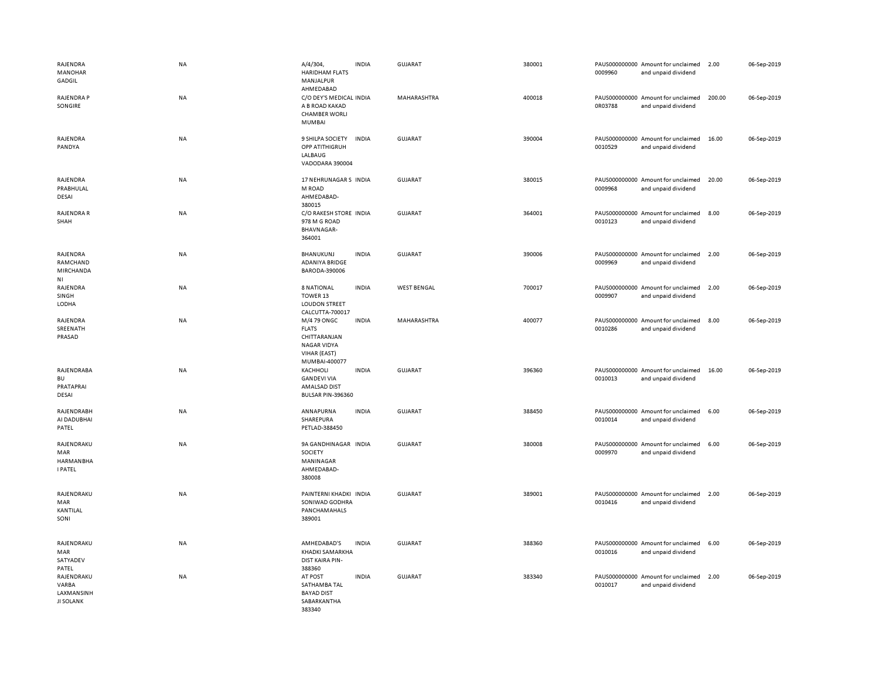| RAJENDRA<br><b>MANOHAR</b><br>GADGIL                    | <b>NA</b> | A/4/304,<br><b>HARIDHAM FLATS</b><br>MANJALPUR<br>AHMEDABAD                                        | <b>INDIA</b> | <b>GUJARAT</b>     | 380001 | 0009960 | PAUS000000000 Amount for unclaimed<br>and unpaid dividend | 2.00   | 06-Sep-2019 |
|---------------------------------------------------------|-----------|----------------------------------------------------------------------------------------------------|--------------|--------------------|--------|---------|-----------------------------------------------------------|--------|-------------|
| RAJENDRA P<br>SONGIRE                                   | <b>NA</b> | C/O DEY'S MEDICAL INDIA<br>A B ROAD KAKAD<br><b>CHAMBER WORLI</b><br>MUMBAI                        |              | MAHARASHTRA        | 400018 | 0R03788 | PAUS000000000 Amount for unclaimed<br>and unpaid dividend | 200.00 | 06-Sep-2019 |
| RAJENDRA<br>PANDYA                                      | <b>NA</b> | 9 SHILPA SOCIETY<br>OPP ATITHIGRUH<br>LALBAUG<br>VADODARA 390004                                   | <b>INDIA</b> | <b>GUJARAT</b>     | 390004 | 0010529 | PAUS000000000 Amount for unclaimed<br>and unpaid dividend | 16.00  | 06-Sep-2019 |
| RAJENDRA<br>PRABHULAL<br>DESAI                          | <b>NA</b> | 17 NEHRUNAGAR S INDIA<br>M ROAD<br>AHMEDABAD-<br>380015                                            |              | GUJARAT            | 380015 | 0009968 | PAUS000000000 Amount for unclaimed<br>and unpaid dividend | 20.00  | 06-Sep-2019 |
| RAJENDRA R<br>SHAH                                      | <b>NA</b> | C/O RAKESH STORE INDIA<br>978 M G ROAD<br><b>BHAVNAGAR-</b><br>364001                              |              | GUJARAT            | 364001 | 0010123 | PAUS000000000 Amount for unclaimed<br>and unpaid dividend | 8.00   | 06-Sep-2019 |
| RAJENDRA<br>RAMCHAND<br>MIRCHANDA<br>NI                 | NA        | BHANUKUNJ<br>ADANIYA BRIDGE<br>BARODA-390006                                                       | <b>INDIA</b> | <b>GUJARAT</b>     | 390006 | 0009969 | PAUS000000000 Amount for unclaimed<br>and unpaid dividend | 2.00   | 06-Sep-2019 |
| RAJENDRA<br>SINGH<br>LODHA                              | NA        | <b>8 NATIONAL</b><br>TOWER 13<br><b>LOUDON STREET</b><br>CALCUTTA-700017                           | <b>INDIA</b> | <b>WEST BENGAL</b> | 700017 | 0009907 | PAUS000000000 Amount for unclaimed<br>and unpaid dividend | 2.00   | 06-Sep-2019 |
| RAJENDRA<br>SREENATH<br>PRASAD                          | <b>NA</b> | M/4 79 ONGC<br><b>FLATS</b><br>CHITTARANJAN<br><b>NAGAR VIDYA</b><br>VIHAR (EAST)<br>MUMBAI-400077 | <b>INDIA</b> | MAHARASHTRA        | 400077 | 0010286 | PAUS000000000 Amount for unclaimed<br>and unpaid dividend | 8.00   | 06-Sep-2019 |
| RAJENDRABA<br><b>BU</b><br>PRATAPRAI<br>DESAI           | NA        | KACHHOLI<br><b>GANDEVI VIA</b><br>AMALSAD DIST<br>BULSAR PIN-396360                                | <b>INDIA</b> | <b>GUJARAT</b>     | 396360 | 0010013 | PAUS000000000 Amount for unclaimed<br>and unpaid dividend | 16.00  | 06-Sep-2019 |
| RAJENDRABH<br>AI DADUBHAI<br>PATEL                      | NA        | ANNAPURNA<br>SHAREPURA<br>PETLAD-388450                                                            | <b>INDIA</b> | <b>GUJARAT</b>     | 388450 | 0010014 | PAUS000000000 Amount for unclaimed<br>and unpaid dividend | 6.00   | 06-Sep-2019 |
| RAJENDRAKU<br>MAR<br><b>HARMANBHA</b><br><b>I PATEL</b> | NA        | 9A GANDHINAGAR INDIA<br>SOCIETY<br>MANINAGAR<br>AHMEDABAD-<br>380008                               |              | <b>GUJARAT</b>     | 380008 | 0009970 | PAUS000000000 Amount for unclaimed<br>and unpaid dividend | 6.00   | 06-Sep-2019 |
| RAJENDRAKU<br>MAR<br>KANTILAL<br>SONI                   | <b>NA</b> | PAINTERNI KHADKI INDIA<br>SONIWAD GODHRA<br>PANCHAMAHALS<br>389001                                 |              | <b>GUJARAT</b>     | 389001 | 0010416 | PAUS000000000 Amount for unclaimed<br>and unpaid dividend | 2.00   | 06-Sep-2019 |
| RAJENDRAKU<br>MAR<br>SATYADEV<br>PATEL                  | <b>NA</b> | AMHEDABAD'S<br>KHADKI SAMARKHA<br><b>DIST KAIRA PIN-</b><br>388360                                 | <b>INDIA</b> | GUJARAT            | 388360 | 0010016 | PAUS000000000 Amount for unclaimed<br>and unpaid dividend | 6.00   | 06-Sep-2019 |
| RAJENDRAKU<br>VARBA<br>LAXMANSINH<br><b>JI SOLANK</b>   | <b>NA</b> | AT POST<br>SATHAMBA TAL<br><b>BAYAD DIST</b><br>SABARKANTHA<br>383340                              | <b>INDIA</b> | GUJARAT            | 383340 | 0010017 | PAUS000000000 Amount for unclaimed<br>and unpaid dividend | 2.00   | 06-Sep-2019 |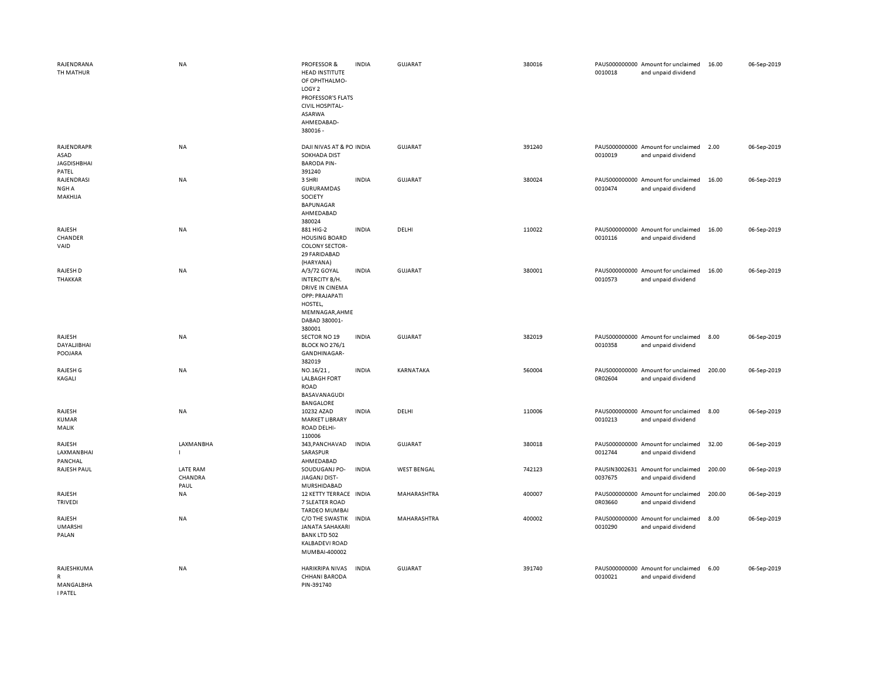| RAJENDRANA<br>TH MATHUR                           | <b>NA</b>                   | PROFESSOR &<br>HEAD INSTITUTE<br>OF OPHTHALMO-<br>LOGY <sub>2</sub><br>PROFESSOR'S FLATS<br><b>CIVIL HOSPITAL-</b><br>ASARWA<br>AHMEDABAD-<br>380016 - | <b>INDIA</b> | GUJARAT            | 380016 | 0010018 | PAUS000000000 Amount for unclaimed<br>and unpaid dividend | 16.00  | 06-Sep-2019 |
|---------------------------------------------------|-----------------------------|--------------------------------------------------------------------------------------------------------------------------------------------------------|--------------|--------------------|--------|---------|-----------------------------------------------------------|--------|-------------|
| RAJENDRAPR<br>ASAD<br><b>JAGDISHBHAI</b><br>PATEL | <b>NA</b>                   | DAJI NIVAS AT & PO INDIA<br>SOKHADA DIST<br><b>BARODA PIN-</b><br>391240                                                                               |              | GUJARAT            | 391240 | 0010019 | PAUS000000000 Amount for unclaimed<br>and unpaid dividend | 2.00   | 06-Sep-2019 |
| RAJENDRASI<br>NGH A<br>MAKHIJA                    | NA                          | 3 SHRI<br>GURURAMDAS<br>SOCIETY<br>BAPUNAGAR<br>AHMEDABAD<br>380024                                                                                    | <b>INDIA</b> | <b>GUJARAT</b>     | 380024 | 0010474 | PAUS000000000 Amount for unclaimed<br>and unpaid dividend | 16.00  | 06-Sep-2019 |
| RAJESH<br>CHANDER<br>VAID                         | <b>NA</b>                   | 881 HIG-2<br><b>HOUSING BOARD</b><br><b>COLONY SECTOR-</b><br>29 FARIDABAD<br>(HARYANA)                                                                | <b>INDIA</b> | DELHI              | 110022 | 0010116 | PAUS000000000 Amount for unclaimed<br>and unpaid dividend | 16.00  | 06-Sep-2019 |
| RAJESH D<br><b>THAKKAR</b>                        | NA                          | A/3/72 GOYAL<br>INTERCITY B/H.<br><b>DRIVE IN CINEMA</b><br>OPP: PRAJAPATI<br>HOSTEL,<br>MEMNAGAR, AHME<br>DABAD 380001-<br>380001                     | <b>INDIA</b> | <b>GUJARAT</b>     | 380001 | 0010573 | PAUS000000000 Amount for unclaimed<br>and unpaid dividend | 16.00  | 06-Sep-2019 |
| RAJESH<br>DAYALJIBHAI<br>POOJARA                  | <b>NA</b>                   | SECTOR NO 19<br><b>BLOCK NO 276/1</b><br>GANDHINAGAR-<br>382019                                                                                        | <b>INDIA</b> | <b>GUJARAT</b>     | 382019 | 0010358 | PAUS000000000 Amount for unclaimed<br>and unpaid dividend | 8.00   | 06-Sep-2019 |
| RAJESH G<br>KAGALI                                | <b>NA</b>                   | NO.16/21,<br><b>LALBAGH FORT</b><br><b>ROAD</b><br>BASAVANAGUDI<br><b>BANGALORE</b>                                                                    | <b>INDIA</b> | KARNATAKA          | 560004 | 0R02604 | PAUS000000000 Amount for unclaimed<br>and unpaid dividend | 200.00 | 06-Sep-2019 |
| RAJESH<br><b>KUMAR</b><br>MALIK                   | <b>NA</b>                   | 10232 AZAD<br><b>MARKET LIBRARY</b><br>ROAD DELHI-<br>110006                                                                                           | <b>INDIA</b> | DELHI              | 110006 | 0010213 | PAUS000000000 Amount for unclaimed<br>and unpaid dividend | 8.00   | 06-Sep-2019 |
| RAJESH<br>LAXMANBHAI<br>PANCHAL                   | LAXMANBHA<br>$\mathbf{I}$   | 343, PANCHAVAD<br>SARASPUR<br>AHMEDABAD                                                                                                                | <b>INDIA</b> | <b>GUJARAT</b>     | 380018 | 0012744 | PAUS000000000 Amount for unclaimed<br>and unpaid dividend | 32.00  | 06-Sep-2019 |
| RAJESH PAUL                                       | LATE RAM<br>CHANDRA<br>PAUL | SOUDUGANJ PO-<br>JIAGANJ DIST-<br>MURSHIDABAD                                                                                                          | <b>INDIA</b> | <b>WEST BENGAL</b> | 742123 | 0037675 | PAUSIN3002631 Amount for unclaimed<br>and unpaid dividend | 200.00 | 06-Sep-2019 |
| RAJESH<br><b>TRIVEDI</b>                          | NA                          | 12 KETTY TERRACE INDIA<br>7 SLEATER ROAD<br><b>TARDEO MUMBAI</b>                                                                                       |              | MAHARASHTRA        | 400007 | 0R03660 | PAUS000000000 Amount for unclaimed<br>and unpaid dividend | 200.00 | 06-Sep-2019 |
| RAJESH<br><b>UMARSHI</b><br>PALAN                 | <b>NA</b>                   | C/O THE SWASTIK<br><b>JANATA SAHAKARI</b><br><b>BANK LTD 502</b><br><b>KALBADEVI ROAD</b><br>MUMBAI-400002                                             | <b>INDIA</b> | MAHARASHTRA        | 400002 | 0010290 | PAUS000000000 Amount for unclaimed<br>and unpaid dividend | 8.00   | 06-Sep-2019 |
| RAJESHKUMA<br>R<br>MANGALBHA<br><b>I PATEL</b>    | <b>NA</b>                   | HARIKRIPA NIVAS<br>CHHANI BARODA<br>PIN-391740                                                                                                         | <b>INDIA</b> | GUJARAT            | 391740 | 0010021 | PAUS000000000 Amount for unclaimed<br>and unpaid dividend | 6.00   | 06-Sep-2019 |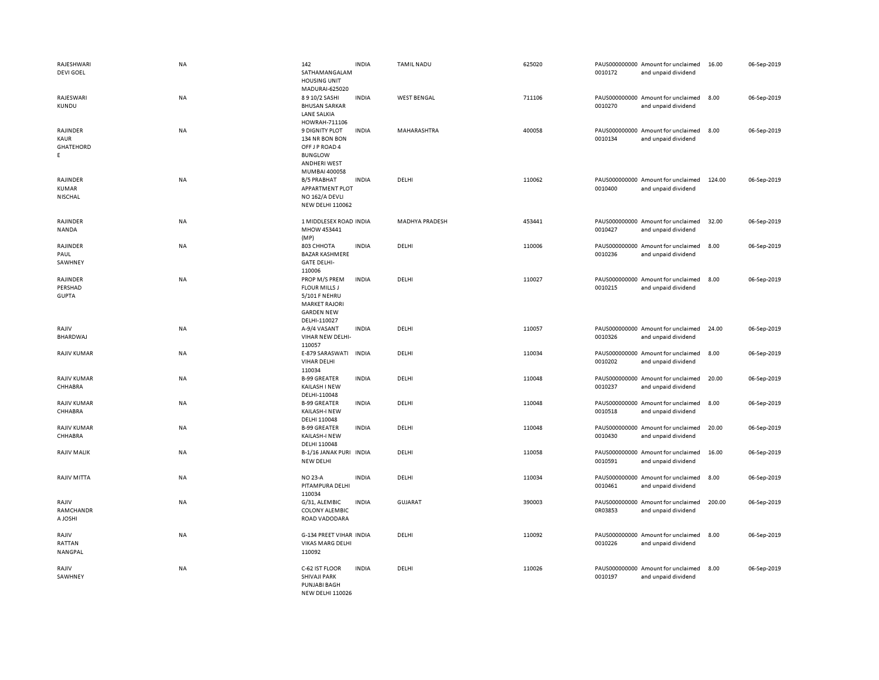| RAJESHWARI<br><b>DEVI GOEL</b>      | <b>NA</b> | 142<br>SATHAMANGALAM<br><b>HOUSING UNIT</b>                                                                         | <b>INDIA</b> | <b>TAMIL NADU</b>     | 625020 | 0010172                  | PAUS000000000 Amount for unclaimed<br>and unpaid dividend | 16.00  | 06-Sep-2019 |
|-------------------------------------|-----------|---------------------------------------------------------------------------------------------------------------------|--------------|-----------------------|--------|--------------------------|-----------------------------------------------------------|--------|-------------|
| RAJESWARI<br><b>KUNDU</b>           | NA        | MADURAI-625020<br>8910/2 SASHI<br><b>BHUSAN SARKAR</b><br><b>LANE SALKIA</b><br>HOWRAH-711106                       | <b>INDIA</b> | <b>WEST BENGAL</b>    | 711106 | 0010270                  | PAUS000000000 Amount for unclaimed<br>and unpaid dividend | 8.00   | 06-Sep-2019 |
| RAJINDER<br>KAUR<br>GHATEHORD<br>E. | NA        | <b>9 DIGNITY PLOT</b><br>134 NR BON BON<br>OFF J P ROAD 4<br><b>BUNGLOW</b><br><b>ANDHERI WEST</b><br>MUMBAI 400058 | <b>INDIA</b> | MAHARASHTRA           | 400058 | 0010134                  | PAUS000000000 Amount for unclaimed<br>and unpaid dividend | 8.00   | 06-Sep-2019 |
| RAJINDER<br><b>KUMAR</b><br>NISCHAL | NA        | <b>B/5 PRABHAT</b><br>APPARTMENT PLOT<br>NO 162/A DEVLI<br><b>NEW DELHI 110062</b>                                  | <b>INDIA</b> | DELHI                 | 110062 | 0010400                  | PAUS000000000 Amount for unclaimed<br>and unpaid dividend | 124.00 | 06-Sep-2019 |
| RAJINDER<br>NANDA                   | NA        | 1 MIDDLESEX ROAD INDIA<br>MHOW 453441<br>(MP)                                                                       |              | <b>MADHYA PRADESH</b> | 453441 | 0010427                  | PAUS000000000 Amount for unclaimed<br>and unpaid dividend | 32.00  | 06-Sep-2019 |
| RAJINDER<br>PAUL<br>SAWHNEY         | NA        | 803 CHHOTA<br><b>BAZAR KASHMERE</b><br><b>GATE DELHI-</b><br>110006                                                 | <b>INDIA</b> | DELHI                 | 110006 | 0010236                  | PAUS000000000 Amount for unclaimed<br>and unpaid dividend | 8.00   | 06-Sep-2019 |
| RAJINDER<br>PERSHAD<br><b>GUPTA</b> | NA        | PROP M/S PREM<br><b>FLOUR MILLS J</b><br>5/101 F NEHRU<br><b>MARKET RAJORI</b><br><b>GARDEN NEW</b><br>DELHI-110027 | <b>INDIA</b> | DELHI                 | 110027 | 0010215                  | PAUS000000000 Amount for unclaimed<br>and unpaid dividend | 8.00   | 06-Sep-2019 |
| RAJIV<br><b>BHARDWAJ</b>            | NA        | A-9/4 VASANT<br>VIHAR NEW DELHI-<br>110057                                                                          | <b>INDIA</b> | DELHI                 | 110057 | 0010326                  | PAUS000000000 Amount for unclaimed<br>and unpaid dividend | 24.00  | 06-Sep-2019 |
| <b>RAJIV KUMAR</b>                  | <b>NA</b> | E-879 SARASWATI<br>VIHAR DELHI<br>110034                                                                            | <b>INDIA</b> | DELHI                 | 110034 | 0010202                  | PAUS000000000 Amount for unclaimed<br>and unpaid dividend | 8.00   | 06-Sep-2019 |
| <b>RAJIV KUMAR</b><br>CHHABRA       | <b>NA</b> | <b>B-99 GREATER</b><br>KAILASH I NEW<br>DELHI-110048                                                                | <b>INDIA</b> | DELHI                 | 110048 | 0010237                  | PAUS000000000 Amount for unclaimed<br>and unpaid dividend | 20.00  | 06-Sep-2019 |
| RAJIV KUMAR<br>CHHABRA              | NA        | <b>B-99 GREATER</b><br>KAILASH-I NEW<br>DELHI 110048                                                                | <b>INDIA</b> | DELHI                 | 110048 | 0010518                  | PAUS000000000 Amount for unclaimed<br>and unpaid dividend | 8.00   | 06-Sep-2019 |
| <b>RAJIV KUMAR</b><br>CHHABRA       | NA        | <b>B-99 GREATER</b><br>KAILASH-I NEW<br>DELHI 110048                                                                | <b>INDIA</b> | DELHI                 | 110048 | 0010430                  | PAUS000000000 Amount for unclaimed<br>and unpaid dividend | 20.00  | 06-Sep-2019 |
| <b>RAJIV MALIK</b>                  | <b>NA</b> | B-1/16 JANAK PURI INDIA<br><b>NEW DELHI</b>                                                                         |              | DELHI                 | 110058 | 0010591                  | PAUS000000000 Amount for unclaimed<br>and unpaid dividend | 16.00  | 06-Sep-2019 |
| RAJIV MITTA                         | <b>NA</b> | <b>NO 23-A</b><br>PITAMPURA DELHI<br>110034                                                                         | <b>INDIA</b> | DELHI                 | 110034 | 0010461                  | PAUS000000000 Amount for unclaimed<br>and unpaid dividend | 8.00   | 06-Sep-2019 |
| RAJIV<br>RAMCHANDR<br>A JOSHI       | NA        | G/31, ALEMBIC<br><b>COLONY ALEMBIC</b><br>ROAD VADODARA                                                             | <b>INDIA</b> | GUJARAT               | 390003 | PAUS000000000<br>0R03853 | Amount for unclaimed<br>and unpaid dividend               | 200.00 | 06-Sep-2019 |
| RAJIV<br>RATTAN<br>NANGPAL          | NA        | G-134 PREET VIHAR INDIA<br><b>VIKAS MARG DELHI</b><br>110092                                                        |              | DELHI                 | 110092 | 0010226                  | PAUS000000000 Amount for unclaimed<br>and unpaid dividend | 8.00   | 06-Sep-2019 |
| RAJIV<br>SAWHNEY                    | NA        | C-62 IST FLOOR<br>SHIVAJI PARK<br><b>PUNJABI BAGH</b><br><b>NEW DELHI 110026</b>                                    | <b>INDIA</b> | DELHI                 | 110026 | 0010197                  | PAUS000000000 Amount for unclaimed<br>and unpaid dividend | 8.00   | 06-Sep-2019 |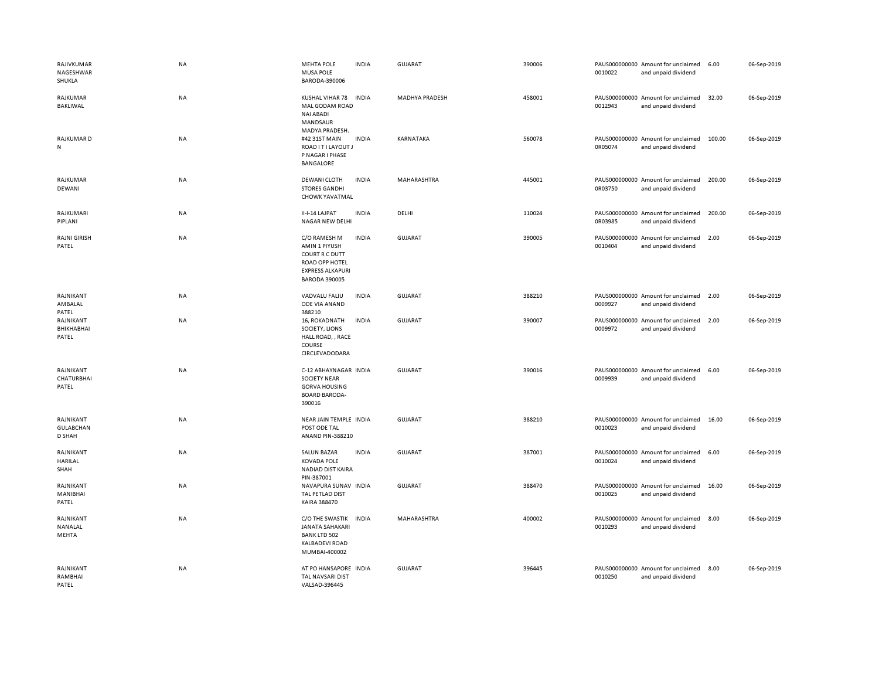| RAJIVKUMAR<br>NAGESHWAR<br>SHUKLA       | <b>NA</b> | MEHTA POLE<br><b>MUSA POLE</b><br>BARODA-390006                                                                      | <b>INDIA</b> | GUJARAT               | 390006 | 0010022 | PAUS000000000 Amount for unclaimed<br>and unpaid dividend | 6.00   | 06-Sep-2019 |
|-----------------------------------------|-----------|----------------------------------------------------------------------------------------------------------------------|--------------|-----------------------|--------|---------|-----------------------------------------------------------|--------|-------------|
| RAJKUMAR<br>BAKLIWAL                    | NA        | KUSHAL VIHAR 78<br>MAL GODAM ROAD<br><b>NAI ABADI</b><br>MANDSAUR<br>MADYA PRADESH.                                  | <b>INDIA</b> | <b>MADHYA PRADESH</b> | 458001 | 0012943 | PAUS000000000 Amount for unclaimed<br>and unpaid dividend | 32.00  | 06-Sep-2019 |
| RAJKUMAR D<br>N                         | <b>NA</b> | #42 31ST MAIN<br>ROAD IT I LAYOUT J<br>P NAGAR I PHASE<br><b>BANGALORE</b>                                           | <b>INDIA</b> | KARNATAKA             | 560078 | 0R05074 | PAUS000000000 Amount for unclaimed<br>and unpaid dividend | 100.00 | 06-Sep-2019 |
| RAJKUMAR<br>DEWANI                      | NA        | DEWANI CLOTH<br><b>STORES GANDHI</b><br>CHOWK YAVATMAL                                                               | <b>INDIA</b> | MAHARASHTRA           | 445001 | 0R03750 | PAUS000000000 Amount for unclaimed<br>and unpaid dividend | 200.00 | 06-Sep-2019 |
| RAJKUMARI<br>PIPLANI                    | <b>NA</b> | II-I-14 LAJPAT<br>NAGAR NEW DELHI                                                                                    | <b>INDIA</b> | DELHI                 | 110024 | 0R03985 | PAUS000000000 Amount for unclaimed<br>and unpaid dividend | 200.00 | 06-Sep-2019 |
| <b>RAJNI GIRISH</b><br>PATEL            | <b>NA</b> | C/O RAMESH M<br>AMIN 1 PIYUSH<br>COURT R C DUTT<br>ROAD OPP HOTEL<br><b>EXPRESS ALKAPURI</b><br><b>BARODA 390005</b> | <b>INDIA</b> | GUJARAT               | 390005 | 0010404 | PAUS000000000 Amount for unclaimed<br>and unpaid dividend | 2.00   | 06-Sep-2019 |
| RAJNIKANT<br>AMBALAL<br>PATEL           | NA        | VADVALU FALIU<br>ODE VIA ANAND<br>388210                                                                             | <b>INDIA</b> | <b>GUJARAT</b>        | 388210 | 0009927 | PAUS000000000 Amount for unclaimed<br>and unpaid dividend | 2.00   | 06-Sep-2019 |
| RAJNIKANT<br>BHIKHABHAI<br>PATEL        | NA        | 16, ROKADNATH<br>SOCIETY, LIONS<br>HALL ROAD, , RACE<br>COURSE<br>CIRCLEVADODARA                                     | <b>INDIA</b> | <b>GUJARAT</b>        | 390007 | 0009972 | PAUS000000000 Amount for unclaimed<br>and unpaid dividend | 2.00   | 06-Sep-2019 |
| RAJNIKANT<br><b>CHATURBHAI</b><br>PATEL | <b>NA</b> | C-12 ABHAYNAGAR INDIA<br><b>SOCIETY NEAR</b><br><b>GORVA HOUSING</b><br><b>BOARD BARODA-</b><br>390016               |              | <b>GUJARAT</b>        | 390016 | 0009939 | PAUS000000000 Amount for unclaimed<br>and unpaid dividend | 6.00   | 06-Sep-2019 |
| RAJNIKANT<br><b>GULABCHAN</b><br>D SHAH | NA        | NEAR JAIN TEMPLE INDIA<br>POST ODE TAL<br>ANAND PIN-388210                                                           |              | <b>GUJARAT</b>        | 388210 | 0010023 | PAUS000000000 Amount for unclaimed<br>and unpaid dividend | 16.00  | 06-Sep-2019 |
| RAJNIKANT<br>HARILAL<br>SHAH            | NA        | <b>SALUN BAZAR</b><br><b>KOVADA POLE</b><br>NADIAD DIST KAIRA<br>PIN-387001                                          | <b>INDIA</b> | GUJARAT               | 387001 | 0010024 | PAUS000000000 Amount for unclaimed<br>and unpaid dividend | 6.00   | 06-Sep-2019 |
| RAJNIKANT<br>MANIBHAI<br>PATEL          | <b>NA</b> | NAVAPURA SUNAV INDIA<br>TAL PETLAD DIST<br>KAIRA 388470                                                              |              | GUJARAT               | 388470 | 0010025 | PAUS000000000 Amount for unclaimed<br>and unpaid dividend | 16.00  | 06-Sep-2019 |
| RAJNIKANT<br>NANALAL<br>MEHTA           | NA        | C/O THE SWASTIK<br>JANATA SAHAKARI<br><b>BANK LTD 502</b><br>KALBADEVI ROAD<br>MUMBAI-400002                         | <b>INDIA</b> | MAHARASHTRA           | 400002 | 0010293 | PAUS000000000 Amount for unclaimed<br>and unpaid dividend | 8.00   | 06-Sep-2019 |
| RAJNIKANT<br>RAMBHAI<br>PATEL           | <b>NA</b> | AT PO HANSAPORE INDIA<br>TAL NAVSARI DIST<br>VALSAD-396445                                                           |              | <b>GUJARAT</b>        | 396445 | 0010250 | PAUS000000000 Amount for unclaimed<br>and unpaid dividend | 8.00   | 06-Sep-2019 |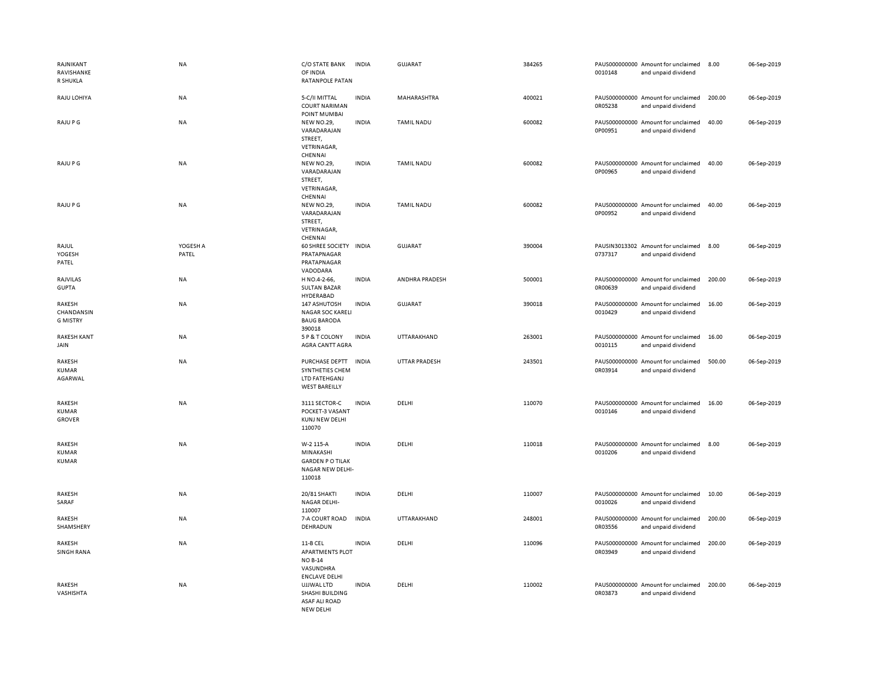| RAJNIKANT<br>RAVISHANKE<br>R SHUKLA     | <b>NA</b>         | C/O STATE BANK<br>OF INDIA<br>RATANPOLE PATAN                                             | <b>INDIA</b> | <b>GUJARAT</b>       | 384265 | 0010148 | PAUS000000000 Amount for unclaimed<br>and unpaid dividend | 8.00   | 06-Sep-2019 |
|-----------------------------------------|-------------------|-------------------------------------------------------------------------------------------|--------------|----------------------|--------|---------|-----------------------------------------------------------|--------|-------------|
| RAJU LOHIYA                             | NA                | 5-C/II MITTAL<br><b>COURT NARIMAN</b><br>POINT MUMBAI                                     | <b>INDIA</b> | MAHARASHTRA          | 400021 | 0R05238 | PAUS000000000 Amount for unclaimed<br>and unpaid dividend | 200.00 | 06-Sep-2019 |
| RAJU P G                                | <b>NA</b>         | <b>NEW NO.29,</b><br>VARADARAJAN<br>STREET,<br>VETRINAGAR,<br>CHENNAI                     | <b>INDIA</b> | <b>TAMIL NADU</b>    | 600082 | 0P00951 | PAUS000000000 Amount for unclaimed<br>and unpaid dividend | 40.00  | 06-Sep-2019 |
| RAJU P G                                | <b>NA</b>         | NEW NO.29,<br>VARADARAJAN<br>STREET,<br>VETRINAGAR,<br>CHENNAI                            | <b>INDIA</b> | TAMIL NADU           | 600082 | 0P00965 | PAUS000000000 Amount for unclaimed<br>and unpaid dividend | 40.00  | 06-Sep-2019 |
| RAJU P G                                | NA                | <b>NEW NO.29,</b><br>VARADARAJAN<br>STREET,<br>VETRINAGAR,<br>CHENNAI                     | <b>INDIA</b> | <b>TAMIL NADU</b>    | 600082 | 0P00952 | PAUS000000000 Amount for unclaimed<br>and unpaid dividend | 40.00  | 06-Sep-2019 |
| RAJUL<br>YOGESH<br>PATEL                | YOGESH A<br>PATEL | 60 SHREE SOCIETY<br>PRATAPNAGAR<br>PRATAPNAGAR<br>VADODARA                                | <b>INDIA</b> | <b>GUJARAT</b>       | 390004 | 0737317 | PAUSIN3013302 Amount for unclaimed<br>and unpaid dividend | 8.00   | 06-Sep-2019 |
| RAJVILAS<br><b>GUPTA</b>                | <b>NA</b>         | H NO.4-2-66,<br><b>SULTAN BAZAR</b><br>HYDERABAD                                          | <b>INDIA</b> | ANDHRA PRADESH       | 500001 | 0R00639 | PAUS000000000 Amount for unclaimed<br>and unpaid dividend | 200.00 | 06-Sep-2019 |
| RAKESH<br>CHANDANSIN<br><b>G MISTRY</b> | <b>NA</b>         | 147 ASHUTOSH<br>NAGAR SOC KARELI<br><b>BAUG BARODA</b><br>390018                          | <b>INDIA</b> | <b>GUJARAT</b>       | 390018 | 0010429 | PAUS000000000 Amount for unclaimed<br>and unpaid dividend | 16.00  | 06-Sep-2019 |
| <b>RAKESH KANT</b><br>JAIN              | NA                | 5 P & T COLONY<br>AGRA CANTT AGRA                                                         | <b>INDIA</b> | UTTARAKHAND          | 263001 | 0010115 | PAUS000000000 Amount for unclaimed<br>and unpaid dividend | 16.00  | 06-Sep-2019 |
| RAKESH<br>KUMAR<br>AGARWAL              | NA                | PURCHASE DEPTT<br>SYNTHETIES CHEM<br>LTD FATEHGANJ<br><b>WEST BAREILLY</b>                | <b>INDIA</b> | <b>UTTAR PRADESH</b> | 243501 | 0R03914 | PAUS000000000 Amount for unclaimed<br>and unpaid dividend | 500.00 | 06-Sep-2019 |
| RAKESH<br><b>KUMAR</b><br><b>GROVER</b> | <b>NA</b>         | 3111 SECTOR-C<br>POCKET-3 VASANT<br>KUNJ NEW DELHI<br>110070                              | <b>INDIA</b> | DELHI                | 110070 | 0010146 | PAUS000000000 Amount for unclaimed<br>and unpaid dividend | 16.00  | 06-Sep-2019 |
| RAKESH<br><b>KUMAR</b><br>KUMAR         | NA                | W-2 115-A<br>MINAKASHI<br><b>GARDEN PO TILAK</b><br>NAGAR NEW DELHI-<br>110018            | <b>INDIA</b> | DELHI                | 110018 | 0010206 | PAUS000000000 Amount for unclaimed<br>and unpaid dividend | 8.00   | 06-Sep-2019 |
| RAKESH<br>SARAF                         | NA                | 20/81 SHAKTI<br>NAGAR DELHI-<br>110007                                                    | <b>INDIA</b> | DELHI                | 110007 | 0010026 | PAUS000000000 Amount for unclaimed<br>and unpaid dividend | 10.00  | 06-Sep-2019 |
| RAKESH<br>SHAMSHERY                     | <b>NA</b>         | 7-A COURT ROAD<br>DEHRADUN                                                                | <b>INDIA</b> | UTTARAKHAND          | 248001 | 0R03556 | PAUS000000000 Amount for unclaimed<br>and unpaid dividend | 200.00 | 06-Sep-2019 |
| RAKESH<br>SINGH RANA                    | <b>NA</b>         | 11-B CEL<br><b>APARTMENTS PLOT</b><br><b>NO B-14</b><br>VASUNDHRA<br><b>ENCLAVE DELHI</b> | <b>INDIA</b> | DELHI                | 110096 | 0R03949 | PAUS000000000 Amount for unclaimed<br>and unpaid dividend | 200.00 | 06-Sep-2019 |
| RAKESH<br>VASHISHTA                     | <b>NA</b>         | UJJWAL LTD<br>SHASHI BUILDING<br><b>ASAF ALI ROAD</b><br>NEW DELHI                        | <b>INDIA</b> | DELHI                | 110002 | 0R03873 | PAUS000000000 Amount for unclaimed<br>and unpaid dividend | 200.00 | 06-Sep-2019 |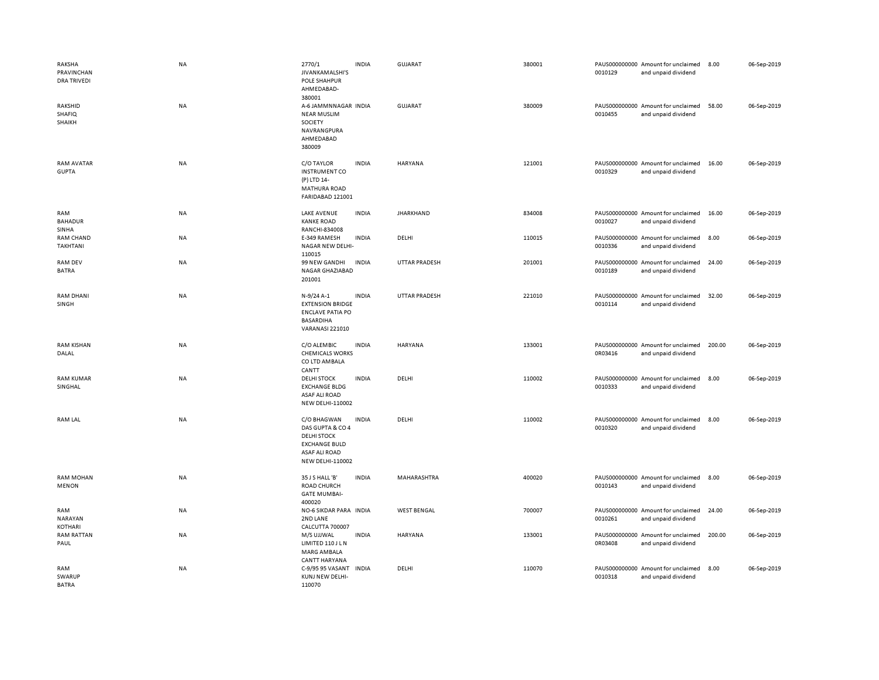| RAKSHA<br>PRAVINCHAN<br><b>DRA TRIVEDI</b> | <b>NA</b> | 2770/1<br>JIVANKAMALSHI'S<br><b>POLE SHAHPUR</b><br>AHMEDABAD-<br>380001                                                         | <b>INDIA</b> | <b>GUJARAT</b>       | 380001 | 0010129 | PAUS000000000 Amount for unclaimed<br>and unpaid dividend | 8.00   | 06-Sep-2019 |
|--------------------------------------------|-----------|----------------------------------------------------------------------------------------------------------------------------------|--------------|----------------------|--------|---------|-----------------------------------------------------------|--------|-------------|
| RAKSHID<br><b>SHAFIQ</b><br>SHAIKH         | <b>NA</b> | A-6 JAMMNNAGAR INDIA<br><b>NEAR MUSLIM</b><br>SOCIETY<br>NAVRANGPURA<br>AHMEDABAD<br>380009                                      |              | <b>GUJARAT</b>       | 380009 | 0010455 | PAUS000000000 Amount for unclaimed<br>and unpaid dividend | 58.00  | 06-Sep-2019 |
| RAM AVATAR<br><b>GUPTA</b>                 | NA        | C/O TAYLOR<br><b>INSTRUMENT CO</b><br>(P) LTD 14-<br><b>MATHURA ROAD</b><br>FARIDABAD 121001                                     | <b>INDIA</b> | HARYANA              | 121001 | 0010329 | PAUS000000000 Amount for unclaimed<br>and unpaid dividend | 16.00  | 06-Sep-2019 |
| RAM<br><b>BAHADUR</b><br>SINHA             | NA        | <b>LAKE AVENUE</b><br><b>KANKE ROAD</b><br>RANCHI-834008                                                                         | <b>INDIA</b> | <b>JHARKHAND</b>     | 834008 | 0010027 | PAUS000000000 Amount for unclaimed<br>and unpaid dividend | 16.00  | 06-Sep-2019 |
| RAM CHAND<br>TAKHTANI                      | NA        | E-349 RAMESH<br>NAGAR NEW DELHI-<br>110015                                                                                       | <b>INDIA</b> | DELHI                | 110015 | 0010336 | PAUS000000000 Amount for unclaimed<br>and unpaid dividend | 8.00   | 06-Sep-2019 |
| RAM DEV<br><b>BATRA</b>                    | NA        | 99 NEW GANDHI<br>NAGAR GHAZIABAD<br>201001                                                                                       | <b>INDIA</b> | UTTAR PRADESH        | 201001 | 0010189 | PAUS000000000 Amount for unclaimed<br>and unpaid dividend | 24.00  | 06-Sep-2019 |
| <b>RAM DHANI</b><br>SINGH                  | <b>NA</b> | N-9/24 A-1<br><b>EXTENSION BRIDGE</b><br><b>ENCLAVE PATIA PO</b><br><b>BASARDIHA</b><br><b>VARANASI 221010</b>                   | <b>INDIA</b> | <b>UTTAR PRADESH</b> | 221010 | 0010114 | PAUS000000000 Amount for unclaimed<br>and unpaid dividend | 32.00  | 06-Sep-2019 |
| <b>RAM KISHAN</b><br>DALAL                 | NA        | C/O ALEMBIC<br><b>CHEMICALS WORKS</b><br>CO LTD AMBALA<br>CANTT                                                                  | <b>INDIA</b> | HARYANA              | 133001 | 0R03416 | PAUS000000000 Amount for unclaimed<br>and unpaid dividend | 200.00 | 06-Sep-2019 |
| <b>RAM KUMAR</b><br>SINGHAL                | NA        | <b>DELHI STOCK</b><br><b>EXCHANGE BLDG</b><br><b>ASAF ALI ROAD</b><br><b>NEW DELHI-110002</b>                                    | <b>INDIA</b> | DELHI                | 110002 | 0010333 | PAUS000000000 Amount for unclaimed<br>and unpaid dividend | 8.00   | 06-Sep-2019 |
| RAM LAL                                    | NA        | C/O BHAGWAN<br>DAS GUPTA & CO 4<br><b>DELHI STOCK</b><br><b>EXCHANGE BULD</b><br><b>ASAF ALI ROAD</b><br><b>NEW DELHI-110002</b> | <b>INDIA</b> | DELHI                | 110002 | 0010320 | PAUS000000000 Amount for unclaimed<br>and unpaid dividend | 8.00   | 06-Sep-2019 |
| <b>RAM MOHAN</b><br><b>MENON</b>           | NA        | 35 J S HALL 'B'<br>ROAD CHURCH<br><b>GATE MUMBAI-</b><br>400020                                                                  | <b>INDIA</b> | MAHARASHTRA          | 400020 | 0010143 | PAUS000000000 Amount for unclaimed<br>and unpaid dividend | 8.00   | 06-Sep-2019 |
| RAM<br>NARAYAN<br>KOTHARI                  | NA        | NO-6 SIKDAR PARA INDIA<br>2ND LANE<br>CALCUTTA 700007                                                                            |              | <b>WEST BENGAL</b>   | 700007 | 0010261 | PAUS000000000 Amount for unclaimed<br>and unpaid dividend | 24.00  | 06-Sep-2019 |
| <b>RAM RATTAN</b><br>PAUL                  | <b>NA</b> | M/S UJJWAL<br>LIMITED 110 J L N<br>MARG AMBALA<br><b>CANTT HARYANA</b>                                                           | <b>INDIA</b> | HARYANA              | 133001 | 0R03408 | PAUS000000000 Amount for unclaimed<br>and unpaid dividend | 200.00 | 06-Sep-2019 |
| RAM<br>SWARUP<br><b>BATRA</b>              | NA        | C-9/95 95 VASANT<br>KUNJ NEW DELHI-<br>110070                                                                                    | <b>INDIA</b> | DELHI                | 110070 | 0010318 | PAUS000000000 Amount for unclaimed<br>and unpaid dividend | 8.00   | 06-Sep-2019 |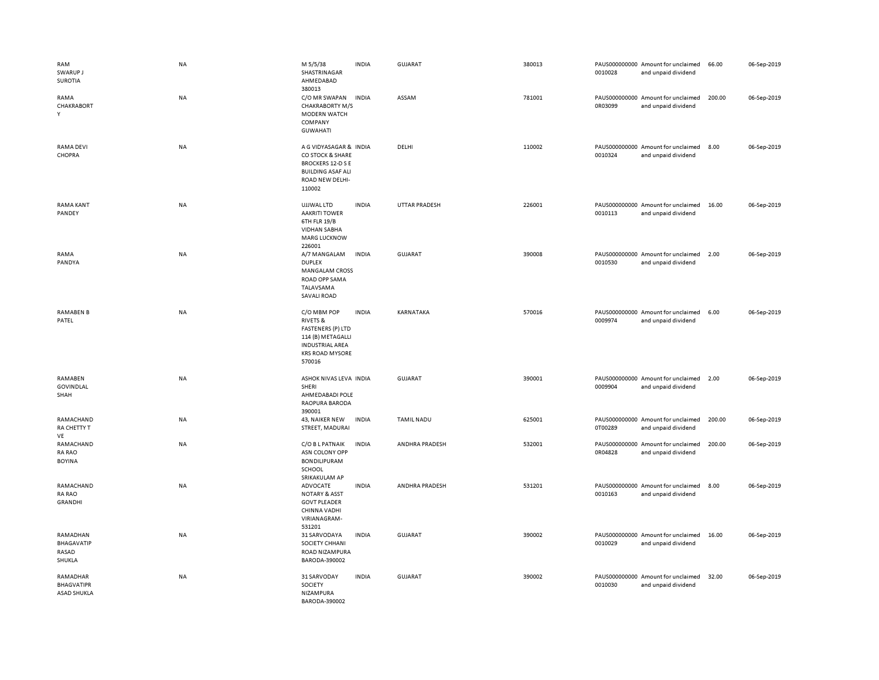| RAM<br>SWARUP J<br><b>SUROTIA</b>                   | <b>NA</b> | M 5/5/38<br>SHASTRINAGAR<br>AHMEDABAD<br>380013                                                                                                   | <b>INDIA</b> | <b>GUJARAT</b>       | 380013 | 0010028 | PAUS000000000 Amount for unclaimed<br>and unpaid dividend | 66.00  | 06-Sep-2019 |
|-----------------------------------------------------|-----------|---------------------------------------------------------------------------------------------------------------------------------------------------|--------------|----------------------|--------|---------|-----------------------------------------------------------|--------|-------------|
| RAMA<br>CHAKRABORT<br>Y                             | NA        | C/O MR SWAPAN<br><b>CHAKRABORTY M/S</b><br>MODERN WATCH<br>COMPANY<br><b>GUWAHATI</b>                                                             | <b>INDIA</b> | ASSAM                | 781001 | 0R03099 | PAUS000000000 Amount for unclaimed<br>and unpaid dividend | 200.00 | 06-Sep-2019 |
| <b>RAMA DEVI</b><br>CHOPRA                          | NA        | A G VIDYASAGAR & INDIA<br>CO STOCK & SHARE<br><b>BROCKERS 12-D S E</b><br><b>BUILDING ASAF ALI</b><br>ROAD NEW DELHI-<br>110002                   |              | DELHI                | 110002 | 0010324 | PAUS000000000 Amount for unclaimed<br>and unpaid dividend | 8.00   | 06-Sep-2019 |
| <b>RAMA KANT</b><br>PANDEY                          | NA        | UJJWAL LTD<br><b>AAKRITI TOWER</b><br>6TH FLR 19/B<br><b>VIDHAN SABHA</b><br><b>MARG LUCKNOW</b><br>226001                                        | <b>INDIA</b> | <b>UTTAR PRADESH</b> | 226001 | 0010113 | PAUS000000000 Amount for unclaimed<br>and unpaid dividend | 16.00  | 06-Sep-2019 |
| RAMA<br>PANDYA                                      | <b>NA</b> | A/7 MANGALAM<br><b>DUPLEX</b><br><b>MANGALAM CROSS</b><br>ROAD OPP SAMA<br>TALAVSAMA<br><b>SAVALI ROAD</b>                                        | <b>INDIA</b> | GUJARAT              | 390008 | 0010530 | PAUS000000000 Amount for unclaimed<br>and unpaid dividend | 2.00   | 06-Sep-2019 |
| <b>RAMABEN B</b><br>PATEL                           | NA        | C/O MBM POP<br><b>RIVETS &amp;</b><br><b>FASTENERS (P) LTD</b><br>114 (B) METAGALLI<br><b>INDUSTRIAL AREA</b><br><b>KRS ROAD MYSORE</b><br>570016 | <b>INDIA</b> | KARNATAKA            | 570016 | 0009974 | PAUS000000000 Amount for unclaimed<br>and unpaid dividend | 6.00   | 06-Sep-2019 |
| RAMABEN<br>GOVINDLAL<br>SHAH                        | NA        | ASHOK NIVAS LEVA INDIA<br>SHERI<br>AHMEDABADI POLE<br>RAOPURA BARODA<br>390001                                                                    |              | <b>GUJARAT</b>       | 390001 | 0009904 | PAUS000000000 Amount for unclaimed<br>and unpaid dividend | 2.00   | 06-Sep-2019 |
| RAMACHAND<br>RA CHETTY T<br>VE                      | NA        | 43, NAIKER NEW<br>STREET, MADURAI                                                                                                                 | <b>INDIA</b> | <b>TAMIL NADU</b>    | 625001 | 0T00289 | PAUS000000000 Amount for unclaimed<br>and unpaid dividend | 200.00 | 06-Sep-2019 |
| RAMACHAND<br><b>RA RAO</b><br><b>BOYINA</b>         | NA        | C/O B L PATNAIK<br>ASN COLONY OPP<br><b>BONDILIPURAM</b><br>SCHOOL<br>SRIKAKULAM AP                                                               | <b>INDIA</b> | ANDHRA PRADESH       | 532001 | 0R04828 | PAUS000000000 Amount for unclaimed<br>and unpaid dividend | 200.00 | 06-Sep-2019 |
| RAMACHAND<br>RA RAO<br><b>GRANDHI</b>               | NA        | ADVOCATE<br><b>NOTARY &amp; ASST</b><br><b>GOVT PLEADER</b><br>CHINNA VADHI<br>VIRIANAGRAM-<br>531201                                             | <b>INDIA</b> | ANDHRA PRADESH       | 531201 | 0010163 | PAUS000000000 Amount for unclaimed<br>and unpaid dividend | 8.00   | 06-Sep-2019 |
| RAMADHAN<br><b>BHAGAVATIP</b><br>RASAD<br>SHUKLA    | NA        | 31 SARVODAYA<br>SOCIETY CHHANI<br>ROAD NIZAMPURA<br>BARODA-390002                                                                                 | <b>INDIA</b> | GUJARAT              | 390002 | 0010029 | PAUS000000000 Amount for unclaimed<br>and unpaid dividend | 16.00  | 06-Sep-2019 |
| RAMADHAR<br><b>BHAGVATIPR</b><br><b>ASAD SHUKLA</b> | NA        | 31 SARVODAY<br>SOCIETY<br>NIZAMPURA<br>BARODA-390002                                                                                              | <b>INDIA</b> | <b>GUJARAT</b>       | 390002 | 0010030 | PAUS000000000 Amount for unclaimed<br>and unpaid dividend | 32.00  | 06-Sep-2019 |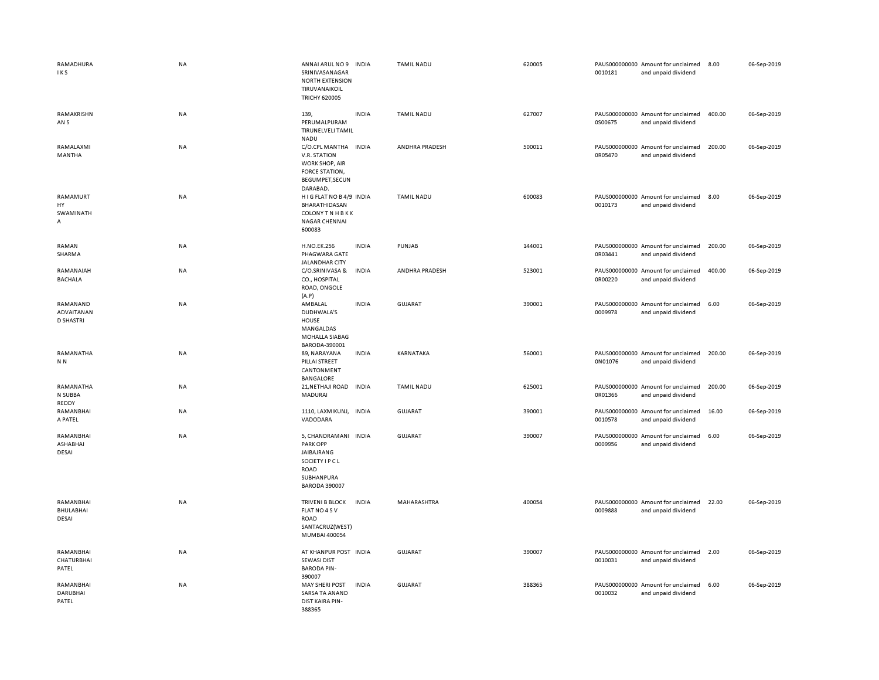| RAMADHURA<br>IKS                           | NA        | ANNAI ARUL NO 9<br>SRINIVASANAGAR<br><b>NORTH EXTENSION</b><br>TIRUVANAIKOIL<br><b>TRICHY 620005</b>                   | <b>INDIA</b> | <b>TAMIL NADU</b> | 620005 | 0010181 | PAUS000000000 Amount for unclaimed<br>and unpaid dividend | 8.00   | 06-Sep-2019 |
|--------------------------------------------|-----------|------------------------------------------------------------------------------------------------------------------------|--------------|-------------------|--------|---------|-----------------------------------------------------------|--------|-------------|
| RAMAKRISHN<br>AN <sub>S</sub>              | NA        | 139,<br>PERUMALPURAM<br>TIRUNELVELI TAMIL<br><b>NADU</b>                                                               | <b>INDIA</b> | <b>TAMIL NADU</b> | 627007 | 0S00675 | PAUS000000000 Amount for unclaimed<br>and unpaid dividend | 400.00 | 06-Sep-2019 |
| RAMALAXMI<br>MANTHA                        | NA        | C/O.CPL MANTHA INDIA<br>V.R. STATION<br>WORK SHOP, AIR<br>FORCE STATION,<br>BEGUMPET, SECUN<br>DARABAD.                |              | ANDHRA PRADESH    | 500011 | 0R05470 | PAUS000000000 Amount for unclaimed<br>and unpaid dividend | 200.00 | 06-Sep-2019 |
| RAMAMURT<br>HY<br>SWAMINATH<br>Α           | <b>NA</b> | HIGFLAT NO B4/9 INDIA<br>BHARATHIDASAN<br><b>COLONY TN HBKK</b><br><b>NAGAR CHENNAI</b><br>600083                      |              | <b>TAMIL NADU</b> | 600083 | 0010173 | PAUS000000000 Amount for unclaimed<br>and unpaid dividend | 8.00   | 06-Sep-2019 |
| RAMAN<br>SHARMA                            | NA        | <b>H.NO.EK.256</b><br>PHAGWARA GATE<br>JALANDHAR CITY                                                                  | <b>INDIA</b> | PUNJAB            | 144001 | 0R03441 | PAUS000000000 Amount for unclaimed<br>and unpaid dividend | 200.00 | 06-Sep-2019 |
| RAMANAIAH<br><b>BACHALA</b>                | NA        | C/O.SRINIVASA &<br>CO., HOSPITAL<br>ROAD, ONGOLE<br>(A.P)                                                              | <b>INDIA</b> | ANDHRA PRADESH    | 523001 | 0R00220 | PAUS000000000 Amount for unclaimed<br>and unpaid dividend | 400.00 | 06-Sep-2019 |
| RAMANAND<br>ADVAITANAN<br><b>D SHASTRI</b> | <b>NA</b> | AMBALAL<br>DUDHWALA'S<br><b>HOUSE</b><br>MANGALDAS<br>MOHALLA SIABAG<br>BARODA-390001                                  | <b>INDIA</b> | GUJARAT           | 390001 | 0009978 | PAUS000000000 Amount for unclaimed<br>and unpaid dividend | 6.00   | 06-Sep-2019 |
| RAMANATHA<br>N <sub>N</sub>                | NA        | 89, NARAYANA<br>PILLAI STREET<br>CANTONMENT<br><b>BANGALORE</b>                                                        | <b>INDIA</b> | KARNATAKA         | 560001 | 0N01076 | PAUS000000000 Amount for unclaimed<br>and unpaid dividend | 200.00 | 06-Sep-2019 |
| RAMANATHA<br>N SUBBA<br>REDDY              | NA        | 21, NETHAJI ROAD INDIA<br>MADURAI                                                                                      |              | <b>TAMIL NADU</b> | 625001 | 0R01366 | PAUS000000000 Amount for unclaimed<br>and unpaid dividend | 200.00 | 06-Sep-2019 |
| RAMANBHAI<br>A PATEL                       | <b>NA</b> | 1110, LAXMIKUNJ, INDIA<br>VADODARA                                                                                     |              | <b>GUJARAT</b>    | 390001 | 0010578 | PAUS000000000 Amount for unclaimed<br>and unpaid dividend | 16.00  | 06-Sep-2019 |
| RAMANBHAI<br>ASHABHAI<br>DESAI             | <b>NA</b> | 5, CHANDRAMANI INDIA<br><b>PARK OPP</b><br>JAIBAJRANG<br>SOCIETY I P C L<br>ROAD<br>SUBHANPURA<br><b>BARODA 390007</b> |              | GUJARAT           | 390007 | 0009956 | PAUS000000000 Amount for unclaimed<br>and unpaid dividend | 6.00   | 06-Sep-2019 |
| RAMANBHAI<br>BHULABHAI<br>DESAI            | NA        | <b>TRIVENI B BLOCK</b><br>FLAT NO 4 SV<br>ROAD<br>SANTACRUZ(WEST)<br>MUMBAI 400054                                     | <b>INDIA</b> | MAHARASHTRA       | 400054 | 0009888 | PAUS000000000 Amount for unclaimed<br>and unpaid dividend | 22.00  | 06-Sep-2019 |
| RAMANBHAI<br>CHATURBHAI<br>PATEL           | <b>NA</b> | AT KHANPUR POST INDIA<br><b>SEWASI DIST</b><br><b>BARODA PIN-</b><br>390007                                            |              | GUJARAT           | 390007 | 0010031 | PAUS000000000 Amount for unclaimed<br>and unpaid dividend | 2.00   | 06-Sep-2019 |
| RAMANBHAI<br>DARUBHAI<br>PATEL             | <b>NA</b> | <b>MAY SHERI POST</b><br>SARSA TA ANAND<br><b>DIST KAIRA PIN-</b><br>388365                                            | <b>INDIA</b> | GUJARAT           | 388365 | 0010032 | PAUS000000000 Amount for unclaimed<br>and unpaid dividend | 6.00   | 06-Sep-2019 |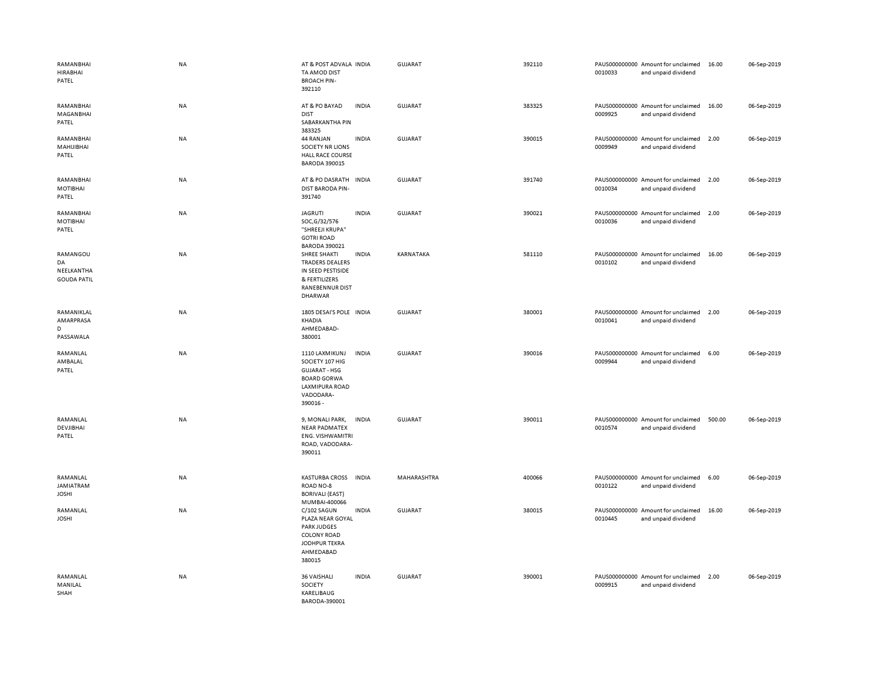| RAMANBHAI<br><b>HIRABHAI</b><br>PATEL              | <b>NA</b> | AT & POST ADVALA INDIA<br>TA AMOD DIST<br><b>BROACH PIN-</b><br>392110                                                                                    | GUJARAT        | 392110 | 0010033 | PAUS000000000 Amount for unclaimed<br>and unpaid dividend | 16.00  | 06-Sep-2019 |
|----------------------------------------------------|-----------|-----------------------------------------------------------------------------------------------------------------------------------------------------------|----------------|--------|---------|-----------------------------------------------------------|--------|-------------|
| RAMANBHAI<br>MAGANBHAI<br>PATEL                    | <b>NA</b> | <b>INDIA</b><br>AT & PO BAYAD<br><b>DIST</b><br>SABARKANTHA PIN<br>383325                                                                                 | GUJARAT        | 383325 | 0009925 | PAUS000000000 Amount for unclaimed<br>and unpaid dividend | 16.00  | 06-Sep-2019 |
| RAMANBHAI<br>MAHIJIBHAI<br>PATEL                   | NA        | 44 RANJAN<br><b>INDIA</b><br><b>SOCIETY NR LIONS</b><br><b>HALL RACE COURSE</b><br><b>BARODA 390015</b>                                                   | GUJARAT        | 390015 | 0009949 | PAUS000000000 Amount for unclaimed<br>and unpaid dividend | 2.00   | 06-Sep-2019 |
| RAMANBHAI<br>MOTIBHAI<br>PATEL                     | NA        | AT & PO DASRATH<br><b>INDIA</b><br><b>DIST BARODA PIN-</b><br>391740                                                                                      | <b>GUJARAT</b> | 391740 | 0010034 | PAUS000000000 Amount for unclaimed<br>and unpaid dividend | 2.00   | 06-Sep-2019 |
| RAMANBHAI<br>MOTIBHAI<br>PATEL                     | NA        | <b>INDIA</b><br><b>JAGRUTI</b><br>SOC, G/32/576<br>"SHREEJI KRUPA"<br><b>GOTRI ROAD</b>                                                                   | <b>GUJARAT</b> | 390021 | 0010036 | PAUS000000000 Amount for unclaimed<br>and unpaid dividend | 2.00   | 06-Sep-2019 |
| RAMANGOU<br>DA<br>NEELKANTHA<br><b>GOUDA PATIL</b> | NA        | <b>BARODA 390021</b><br>SHREE SHAKTI<br><b>INDIA</b><br><b>TRADERS DEALERS</b><br>IN SEED PESTISIDE<br>& FERTILIZERS<br><b>RANEBENNUR DIST</b><br>DHARWAR | KARNATAKA      | 581110 | 0010102 | PAUS000000000 Amount for unclaimed<br>and unpaid dividend | 16.00  | 06-Sep-2019 |
| RAMANIKLAL<br>AMARPRASA<br>D<br>PASSAWALA          | <b>NA</b> | 1805 DESAI'S POLE INDIA<br>KHADIA<br>AHMEDABAD-<br>380001                                                                                                 | <b>GUJARAT</b> | 380001 | 0010041 | PAUS000000000 Amount for unclaimed<br>and unpaid dividend | 2.00   | 06-Sep-2019 |
| RAMANLAL<br>AMBALAL<br>PATEL                       | NA        | 1110 LAXMIKUNJ<br><b>INDIA</b><br>SOCIETY 107 HIG<br><b>GUJARAT - HSG</b><br><b>BOARD GORWA</b><br>LAXMIPURA ROAD<br>VADODARA-<br>390016 -                | GUJARAT        | 390016 | 0009944 | PAUS000000000 Amount for unclaimed<br>and unpaid dividend | 6.00   | 06-Sep-2019 |
| RAMANLAL<br>DEVJIBHAI<br>PATEL                     | <b>NA</b> | 9, MONALI PARK,<br><b>INDIA</b><br><b>NEAR PADMATEX</b><br>ENG. VISHWAMITRI<br>ROAD, VADODARA-<br>390011                                                  | GUJARAT        | 390011 | 0010574 | PAUS000000000 Amount for unclaimed<br>and unpaid dividend | 500.00 | 06-Sep-2019 |
| RAMANLAL<br>JAMIATRAM<br><b>JOSHI</b>              | NA        | KASTURBA CROSS INDIA<br>ROAD NO-8<br><b>BORIVALI (EAST)</b><br>MUMBAI-400066                                                                              | MAHARASHTRA    | 400066 | 0010122 | PAUS000000000 Amount for unclaimed<br>and unpaid dividend | 6.00   | 06-Sep-2019 |
| RAMANLAL<br><b>JOSHI</b>                           | NA        | C/102 SAGUN<br><b>INDIA</b><br>PLAZA NEAR GOYAL<br><b>PARK JUDGES</b><br><b>COLONY ROAD</b><br>JODHPUR TEKRA<br>AHMEDABAD<br>380015                       | <b>GUJARAT</b> | 380015 | 0010445 | PAUS000000000 Amount for unclaimed<br>and unpaid dividend | 16.00  | 06-Sep-2019 |
| RAMANLAL<br>MANILAL<br>SHAH                        | NA        | 36 VAISHALI<br><b>INDIA</b><br><b>SOCIETY</b><br>KARELIBAUG<br>BARODA-390001                                                                              | <b>GUJARAT</b> | 390001 | 0009915 | PAUS000000000 Amount for unclaimed<br>and unpaid dividend | 2.00   | 06-Sep-2019 |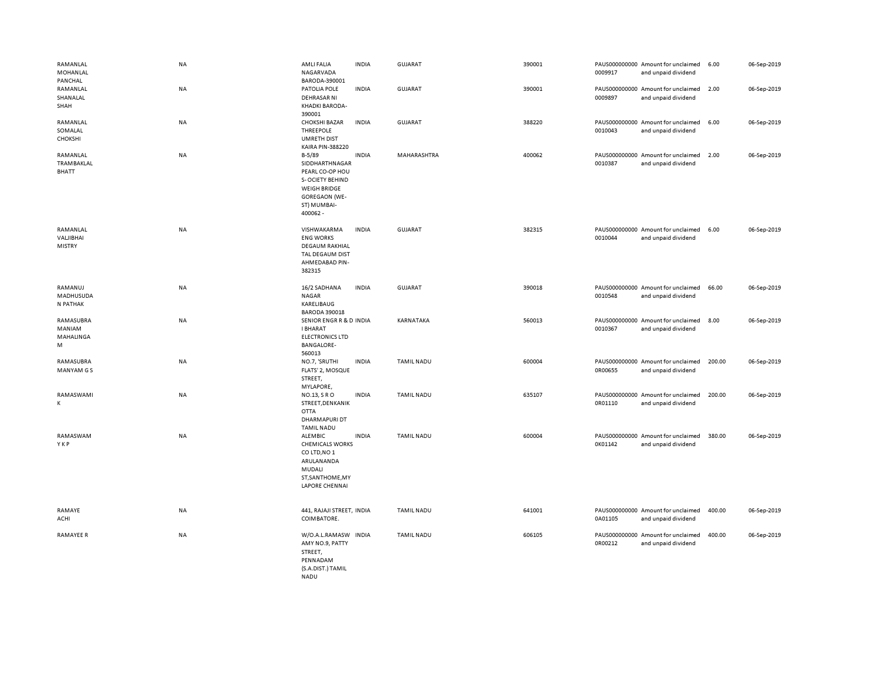| RAMANLAL<br>MOHANLAL<br>PANCHAL        | <b>NA</b> | AMLI FALIA<br>NAGARVADA<br>BARODA-390001                                                                                                  | <b>INDIA</b> | GUJARAT           | 390001 | 0009917 | PAUS000000000 Amount for unclaimed<br>and unpaid dividend | 6.00   | 06-Sep-2019 |
|----------------------------------------|-----------|-------------------------------------------------------------------------------------------------------------------------------------------|--------------|-------------------|--------|---------|-----------------------------------------------------------|--------|-------------|
| RAMANLAL<br>SHANALAL<br>SHAH           | NA        | PATOLIA POLE<br><b>DEHRASAR NI</b><br>KHADKI BARODA-<br>390001                                                                            | <b>INDIA</b> | <b>GUJARAT</b>    | 390001 | 0009897 | PAUS000000000 Amount for unclaimed<br>and unpaid dividend | 2.00   | 06-Sep-2019 |
| RAMANLAL<br>SOMALAL<br><b>CHOKSHI</b>  | <b>NA</b> | <b>CHOKSHI BAZAR</b><br><b>THREEPOLE</b><br><b>UMRETH DIST</b><br><b>KAIRA PIN-388220</b>                                                 | <b>INDIA</b> | GUJARAT           | 388220 | 0010043 | PAUS000000000 Amount for unclaimed<br>and unpaid dividend | 6.00   | 06-Sep-2019 |
| RAMANLAL<br><b>TRAMBAKLAL</b><br>BHATT | <b>NA</b> | $B-5/89$<br>SIDDHARTHNAGAR<br>PEARL CO-OP HOU<br>S-OCIETY BEHIND<br><b>WEIGH BRIDGE</b><br><b>GOREGAON (WE-</b><br>ST) MUMBAI-<br>400062- | <b>INDIA</b> | MAHARASHTRA       | 400062 | 0010387 | PAUS000000000 Amount for unclaimed<br>and unpaid dividend | 2.00   | 06-Sep-2019 |
| RAMANLAL<br>VALIBHAI<br>MISTRY         | NA        | VISHWAKARMA<br><b>ENG WORKS</b><br><b>DEGAUM RAKHIAL</b><br>TAL DEGAUM DIST<br>AHMEDABAD PIN-<br>382315                                   | <b>INDIA</b> | <b>GUJARAT</b>    | 382315 | 0010044 | PAUS000000000 Amount for unclaimed<br>and unpaid dividend | 6.00   | 06-Sep-2019 |
| RAMANUJ<br>MADHUSUDA<br>N PATHAK       | <b>NA</b> | 16/2 SADHANA<br><b>NAGAR</b><br>KARELIBAUG<br><b>BARODA 390018</b>                                                                        | <b>INDIA</b> | <b>GUJARAT</b>    | 390018 | 0010548 | PAUS000000000 Amount for unclaimed<br>and unpaid dividend | 66.00  | 06-Sep-2019 |
| RAMASUBRA<br>MANIAM<br>MAHALINGA<br>М  | <b>NA</b> | SENIOR ENGR R & D INDIA<br><b>I BHARAT</b><br><b>ELECTRONICS LTD</b><br><b>BANGALORE-</b><br>560013                                       |              | <b>KARNATAKA</b>  | 560013 | 0010367 | PAUS000000000 Amount for unclaimed<br>and unpaid dividend | 8.00   | 06-Sep-2019 |
| RAMASUBRA<br>MANYAM G S                | <b>NA</b> | NO.7, 'SRUTHI<br>FLATS' 2, MOSQUE<br>STREET,<br>MYLAPORE,                                                                                 | <b>INDIA</b> | <b>TAMIL NADU</b> | 600004 | 0R00655 | PAUS000000000 Amount for unclaimed<br>and unpaid dividend | 200.00 | 06-Sep-2019 |
| RAMASWAMI<br>к                         | <b>NA</b> | NO.13, S R O<br>STREET, DENKANIK<br><b>OTTA</b><br>DHARMAPURI DT<br><b>TAMIL NADU</b>                                                     | <b>INDIA</b> | <b>TAMIL NADU</b> | 635107 | 0R01110 | PAUS000000000 Amount for unclaimed<br>and unpaid dividend | 200.00 | 06-Sep-2019 |
| RAMASWAM<br>YKP                        | <b>NA</b> | <b>ALEMBIC</b><br><b>CHEMICALS WORKS</b><br>CO LTD, NO 1<br>ARULANANDA<br>MUDALI<br>ST, SANTHOME, MY<br><b>LAPORE CHENNAI</b>             | <b>INDIA</b> | TAMIL NADU        | 600004 | 0K01142 | PAUS000000000 Amount for unclaimed<br>and unpaid dividend | 380.00 | 06-Sep-2019 |
| RAMAYE<br>ACHI                         | NA        | 441, RAJAJI STREET, INDIA<br>COIMBATORE.                                                                                                  |              | <b>TAMIL NADU</b> | 641001 | 0A01105 | PAUS000000000 Amount for unclaimed<br>and unpaid dividend | 400.00 | 06-Sep-2019 |
| <b>RAMAYEE R</b>                       | <b>NA</b> | W/O.A.L.RAMASW INDIA<br>AMY NO.9, PATTY<br>STREET,<br>PENNADAM<br>(S.A.DIST.) TAMIL<br>NADU                                               |              | <b>TAMIL NADU</b> | 606105 | 0R00212 | PAUS000000000 Amount for unclaimed<br>and unpaid dividend | 400.00 | 06-Sep-2019 |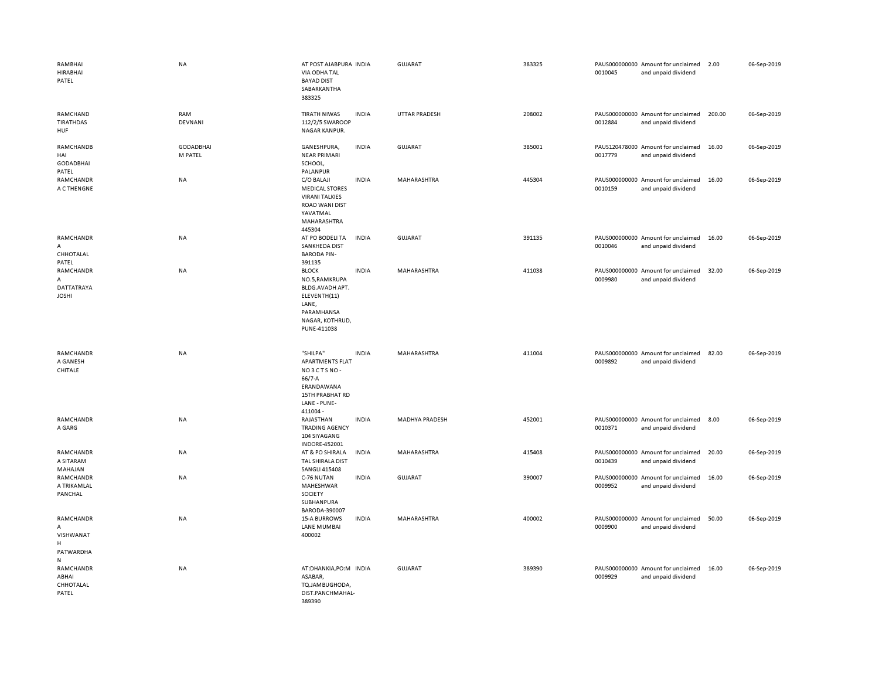| RAMBHAI<br><b>HIRABHAI</b><br>PATEL                        | <b>NA</b>                   | AT POST AJABPURA INDIA<br>VIA ODHA TAL<br><b>BAYAD DIST</b><br>SABARKANTHA<br>383325                                       |              | GUJARAT        | 383325 | 0010045 | PAUS000000000 Amount for unclaimed<br>and unpaid dividend | 2.00   | 06-Sep-2019 |
|------------------------------------------------------------|-----------------------------|----------------------------------------------------------------------------------------------------------------------------|--------------|----------------|--------|---------|-----------------------------------------------------------|--------|-------------|
| RAMCHAND<br><b>TIRATHDAS</b><br>HUF                        | RAM<br><b>DEVNANI</b>       | TIRATH NIWAS<br>112/2/5 SWAROOP<br>NAGAR KANPUR.                                                                           | <b>INDIA</b> | UTTAR PRADESH  | 208002 | 0012884 | PAUS000000000 Amount for unclaimed<br>and unpaid dividend | 200.00 | 06-Sep-2019 |
| RAMCHANDB<br>HAI<br><b>GODADBHAI</b><br>PATEL              | <b>GODADBHAI</b><br>M PATEL | GANESHPURA,<br><b>NEAR PRIMARI</b><br>SCHOOL,<br>PALANPUR                                                                  | <b>INDIA</b> | GUJARAT        | 385001 | 0017779 | PAUS120478000 Amount for unclaimed<br>and unpaid dividend | 16.00  | 06-Sep-2019 |
| RAMCHANDR<br>A C THENGNE                                   | NA                          | C/O BALAJI<br><b>MEDICAL STORES</b><br><b>VIRANI TALKIES</b><br><b>ROAD WANI DIST</b><br>YAVATMAL<br>MAHARASHTRA<br>445304 | <b>INDIA</b> | MAHARASHTRA    | 445304 | 0010159 | PAUS000000000 Amount for unclaimed<br>and unpaid dividend | 16.00  | 06-Sep-2019 |
| RAMCHANDR<br>A<br>CHHOTALAL<br>PATEL                       | <b>NA</b>                   | AT PO BODELI TA<br>SANKHEDA DIST<br><b>BARODA PIN-</b><br>391135                                                           | <b>INDIA</b> | GUJARAT        | 391135 | 0010046 | PAUS000000000 Amount for unclaimed<br>and unpaid dividend | 16.00  | 06-Sep-2019 |
| RAMCHANDR<br>Α<br>DATTATRAYA<br><b>JOSHI</b>               | <b>NA</b>                   | <b>BLOCK</b><br>NO.5, RAMKRUPA<br>BLDG.AVADH APT.<br>ELEVENTH(11)<br>LANE,<br>PARAMHANSA<br>NAGAR, KOTHRUD,<br>PUNE-411038 | <b>INDIA</b> | MAHARASHTRA    | 411038 | 0009980 | PAUS000000000 Amount for unclaimed<br>and unpaid dividend | 32.00  | 06-Sep-2019 |
| RAMCHANDR<br>A GANESH<br>CHITALE                           | NA                          | "SHILPA"<br><b>APARTMENTS FLAT</b><br>NO3CTSNO-<br>66/7-A<br>ERANDAWANA<br>15TH PRABHAT RD<br>LANE - PUNE-<br>411004 -     | <b>INDIA</b> | MAHARASHTRA    | 411004 | 0009892 | PAUS000000000 Amount for unclaimed<br>and unpaid dividend | 82.00  | 06-Sep-2019 |
| RAMCHANDR<br>A GARG                                        | NA                          | RAJASTHAN<br><b>TRADING AGENCY</b><br>104 SIYAGANG<br><b>INDORE-452001</b>                                                 | <b>INDIA</b> | MADHYA PRADESH | 452001 | 0010371 | PAUS000000000 Amount for unclaimed<br>and unpaid dividend | 8.00   | 06-Sep-2019 |
| RAMCHANDR<br>A SITARAM<br>MAHAJAN                          | NA                          | AT & PO SHIRALA<br>TAL SHIRALA DIST<br><b>SANGLI 415408</b>                                                                | <b>INDIA</b> | MAHARASHTRA    | 415408 | 0010439 | PAUS000000000 Amount for unclaimed<br>and unpaid dividend | 20.00  | 06-Sep-2019 |
| RAMCHANDR<br>A TRIKAMLAL<br>PANCHAL                        | NA                          | C-76 NUTAN<br>MAHESHWAR<br>SOCIETY<br>SUBHANPURA<br>BARODA-390007                                                          | <b>INDIA</b> | GUJARAT        | 390007 | 0009952 | PAUS000000000 Amount for unclaimed<br>and unpaid dividend | 16.00  | 06-Sep-2019 |
| RAMCHANDR<br>Α<br>VISHWANAT<br>H<br>PATWARDHA<br>${\sf N}$ | <b>NA</b>                   | <b>15-A BURROWS</b><br><b>LANE MUMBAI</b><br>400002                                                                        | <b>INDIA</b> | MAHARASHTRA    | 400002 | 0009900 | PAUS000000000 Amount for unclaimed<br>and unpaid dividend | 50.00  | 06-Sep-2019 |
| <b>RAMCHANDR</b><br>ABHAI<br>CHHOTALAL<br>PATEL            | <b>NA</b>                   | AT:DHANKIA,PO:M INDIA<br>ASABAR,<br>TQ.JAMBUGHODA,<br>DIST.PANCHMAHAL-<br>389390                                           |              | <b>GUJARAT</b> | 389390 | 0009929 | PAUS000000000 Amount for unclaimed<br>and unpaid dividend | 16.00  | 06-Sep-2019 |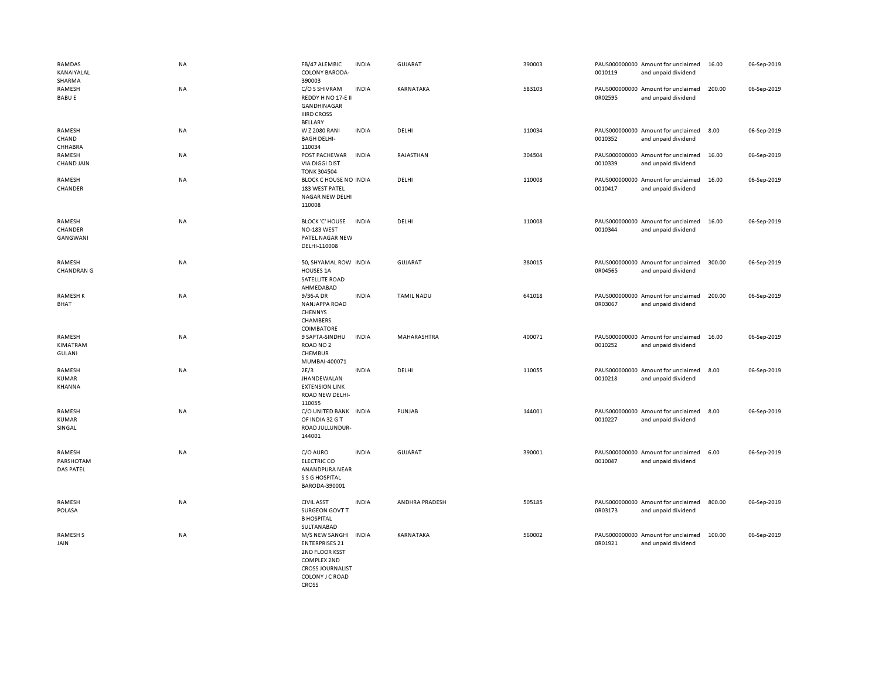| RAMDAS<br>KANAIYALAL<br>SHARMA          | NA        | FB/47 ALEMBIC<br><b>COLONY BARODA-</b><br>390003                                                                                       | <b>INDIA</b> | <b>GUJARAT</b>     | 390003 | 0010119                  | PAUS000000000 Amount for unclaimed<br>and unpaid dividend | 16.00  | 06-Sep-2019 |
|-----------------------------------------|-----------|----------------------------------------------------------------------------------------------------------------------------------------|--------------|--------------------|--------|--------------------------|-----------------------------------------------------------|--------|-------------|
| RAMESH<br><b>BABU E</b>                 | NA        | C/O S SHIVRAM<br>REDDY H NO 17-E II<br>GANDHINAGAR<br><b>IIIRD CROSS</b><br>BELLARY                                                    | <b>INDIA</b> | KARNATAKA          | 583103 | 0R02595                  | PAUS000000000 Amount for unclaimed<br>and unpaid dividend | 200.00 | 06-Sep-2019 |
| RAMESH<br>CHAND<br>CHHABRA              | NA        | W Z 2080 RANI<br><b>BAGH DELHI-</b><br>110034                                                                                          | <b>INDIA</b> | DELHI              | 110034 | 0010352                  | PAUS000000000 Amount for unclaimed<br>and unpaid dividend | 8.00   | 06-Sep-2019 |
| RAMESH<br><b>CHAND JAIN</b>             | NA        | POST PACHEWAR<br><b>VIA DIGGI DIST</b><br><b>TONK 304504</b>                                                                           | <b>INDIA</b> | RAJASTHAN          | 304504 | PAUS000000000<br>0010339 | Amount for unclaimed<br>and unpaid dividend               | 16.00  | 06-Sep-2019 |
| RAMESH<br>CHANDER                       | NA        | BLOCK C HOUSE NO INDIA<br>183 WEST PATEL<br><b>NAGAR NEW DELHI</b><br>110008                                                           |              | DELHI              | 110008 | 0010417                  | PAUS000000000 Amount for unclaimed<br>and unpaid dividend | 16.00  | 06-Sep-2019 |
| RAMESH<br>CHANDER<br>GANGWANI           | <b>NA</b> | <b>BLOCK 'C' HOUSE</b><br>NO-183 WEST<br>PATEL NAGAR NEW<br>DELHI-110008                                                               | <b>INDIA</b> | DELHI              | 110008 | 0010344                  | PAUS000000000 Amount for unclaimed<br>and unpaid dividend | 16.00  | 06-Sep-2019 |
| RAMESH<br><b>CHANDRAN G</b>             | NA        | 50, SHYAMAL ROW INDIA<br>HOUSES 1A<br>SATELLITE ROAD<br>AHMEDABAD                                                                      |              | <b>GUJARAT</b>     | 380015 | 0R04565                  | PAUS000000000 Amount for unclaimed<br>and unpaid dividend | 300.00 | 06-Sep-2019 |
| RAMESH K<br>BHAT                        | NA        | 9/36-A DR<br><b>NANJAPPA ROAD</b><br>CHENNYS<br>CHAMBERS<br><b>COIMBATORE</b>                                                          | <b>INDIA</b> | <b>TAMIL NADU</b>  | 641018 | 0R03067                  | PAUS000000000 Amount for unclaimed<br>and unpaid dividend | 200.00 | 06-Sep-2019 |
| RAMESH<br>KIMATRAM<br><b>GULANI</b>     | NA        | 9 SAPTA-SINDHU<br>ROAD NO <sub>2</sub><br>CHEMBUR<br>MUMBAI-400071                                                                     | <b>INDIA</b> | <b>MAHARASHTRA</b> | 400071 | 0010252                  | PAUS000000000 Amount for unclaimed<br>and unpaid dividend | 16.00  | 06-Sep-2019 |
| RAMESH<br>KUMAR<br>KHANNA               | <b>NA</b> | 2E/3<br><b>JHANDEWALAN</b><br><b>EXTENSION LINK</b><br>ROAD NEW DELHI-<br>110055                                                       | <b>INDIA</b> | DELHI              | 110055 | 0010218                  | PAUS000000000 Amount for unclaimed<br>and unpaid dividend | 8.00   | 06-Sep-2019 |
| RAMESH<br><b>KUMAR</b><br>SINGAL        | NA        | C/O UNITED BANK INDIA<br>OF INDIA 32 G T<br>ROAD JULLUNDUR-<br>144001                                                                  |              | PUNJAB             | 144001 | 0010227                  | PAUS000000000 Amount for unclaimed<br>and unpaid dividend | 8.00   | 06-Sep-2019 |
| RAMESH<br>PARSHOTAM<br><b>DAS PATEL</b> | NA        | C/O AURO<br><b>ELECTRIC CO</b><br>ANANDPURA NEAR<br>S S G HOSPITAL<br>BARODA-390001                                                    | <b>INDIA</b> | GUJARAT            | 390001 | 0010047                  | PAUS000000000 Amount for unclaimed<br>and unpaid dividend | 6.00   | 06-Sep-2019 |
| RAMESH<br>POLASA                        | NA        | <b>CIVIL ASST</b><br>SURGEON GOVT T<br><b>B HOSPITAL</b><br>SULTANABAD                                                                 | <b>INDIA</b> | ANDHRA PRADESH     | 505185 | 0R03173                  | PAUS000000000 Amount for unclaimed<br>and unpaid dividend | 800.00 | 06-Sep-2019 |
| <b>RAMESHS</b><br>JAIN                  | NA        | M/S NEW SANGHI<br><b>ENTERPRISES 21</b><br>2ND FLOOR KSST<br>COMPLEX 2ND<br><b>CROSS JOURNALIST</b><br>COLONY J C ROAD<br><b>CROSS</b> | <b>INDIA</b> | KARNATAKA          | 560002 | 0R01921                  | PAUS000000000 Amount for unclaimed<br>and unpaid dividend | 100.00 | 06-Sep-2019 |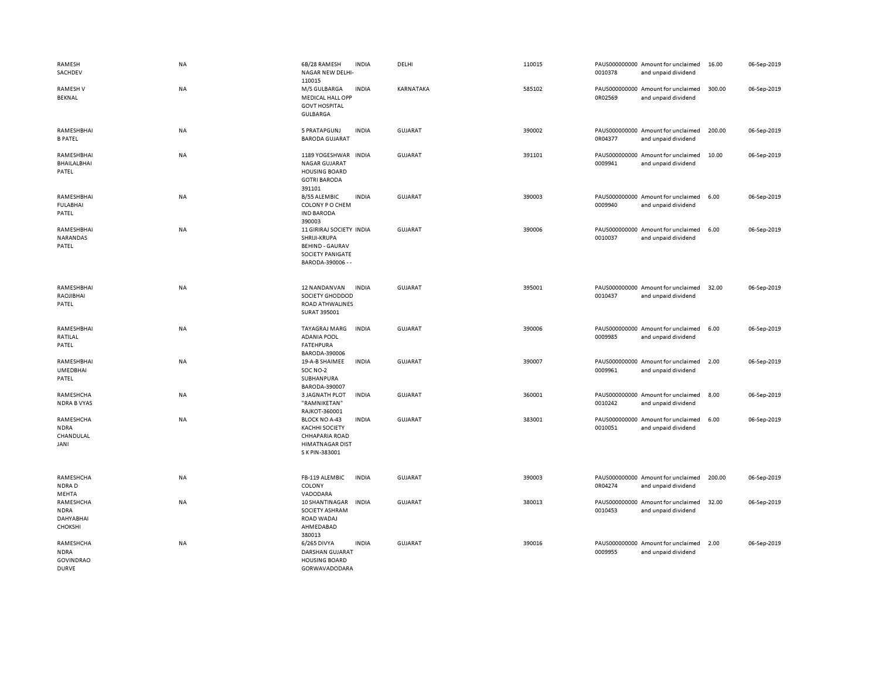| RAMESH<br>SACHDEV                                            | NA        | 6B/28 RAMESH<br><b>INDIA</b><br>NAGAR NEW DELHI-<br>110015                                                                         | DELHI          | 110015 | 0010378 | PAUS000000000 Amount for unclaimed<br>and unpaid dividend | 16.00  | 06-Sep-2019 |
|--------------------------------------------------------------|-----------|------------------------------------------------------------------------------------------------------------------------------------|----------------|--------|---------|-----------------------------------------------------------|--------|-------------|
| <b>RAMESHV</b><br>BEKNAL                                     | NA        | M/S GULBARGA<br><b>INDIA</b><br><b>MEDICAL HALL OPP</b><br><b>GOVT HOSPITAL</b><br><b>GULBARGA</b>                                 | KARNATAKA      | 585102 | 0R02569 | PAUS000000000 Amount for unclaimed<br>and unpaid dividend | 300.00 | 06-Sep-2019 |
| RAMESHBHAI<br><b>B PATEL</b>                                 | NA        | 5 PRATAPGUNJ<br><b>INDIA</b><br><b>BARODA GUJARAT</b>                                                                              | <b>GUJARAT</b> | 390002 | 0R04377 | PAUS000000000 Amount for unclaimed<br>and unpaid dividend | 200.00 | 06-Sep-2019 |
| RAMESHBHAI<br><b>BHAILALBHAI</b><br>PATEL                    | NA        | 1189 YOGESHWAR<br><b>INDIA</b><br><b>NAGAR GUJARAT</b><br><b>HOUSING BOARD</b><br><b>GOTRI BARODA</b><br>391101                    | <b>GUJARAT</b> | 391101 | 0009941 | PAUS000000000 Amount for unclaimed<br>and unpaid dividend | 10.00  | 06-Sep-2019 |
| RAMESHBHAI<br><b>FULABHAI</b><br>PATEL                       | NA        | <b>B/55 ALEMBIC</b><br><b>INDIA</b><br>COLONY P O CHEM<br><b>IND BARODA</b><br>390003                                              | <b>GUJARAT</b> | 390003 | 0009940 | PAUS000000000 Amount for unclaimed<br>and unpaid dividend | 6.00   | 06-Sep-2019 |
| RAMESHBHAI<br>NARANDAS<br>PATEL                              | NA        | 11 GIRIRAJ SOCIETY INDIA<br>SHRIJI-KRUPA<br><b>BEHIND - GAURAV</b><br><b>SOCIETY PANIGATE</b><br>BARODA-390006 - -                 | GUJARAT        | 390006 | 0010037 | PAUS000000000 Amount for unclaimed<br>and unpaid dividend | 6.00   | 06-Sep-2019 |
| RAMESHBHAI<br>RAOJIBHAI<br>PATEL                             | <b>NA</b> | <b>INDIA</b><br>12 NANDANVAN<br>SOCIETY GHODDOD<br>ROAD ATHWALINES<br>SURAT 395001                                                 | GUJARAT        | 395001 | 0010437 | PAUS000000000 Amount for unclaimed<br>and unpaid dividend | 32.00  | 06-Sep-2019 |
| RAMESHBHAI<br>RATILAL<br>PATEL                               | <b>NA</b> | <b>INDIA</b><br>TAYAGRAJ MARG<br><b>ADANIA POOL</b><br><b>FATEHPURA</b><br>BARODA-390006                                           | GUJARAT        | 390006 | 0009985 | PAUS000000000 Amount for unclaimed<br>and unpaid dividend | 6.00   | 06-Sep-2019 |
| RAMESHBHAI<br><b>UMEDBHAI</b><br>PATEL                       | NA        | 19-A-B SHAIMEE<br><b>INDIA</b><br>SOC NO-2<br>SUBHANPURA<br>BARODA-390007                                                          | <b>GUJARAT</b> | 390007 | 0009961 | PAUS000000000 Amount for unclaimed<br>and unpaid dividend | 2.00   | 06-Sep-2019 |
| RAMESHCHA<br><b>NDRA B VYAS</b>                              | <b>NA</b> | <b>3 JAGNATH PLOT</b><br><b>INDIA</b><br>"RAMNIKETAN"<br>RAJKOT-360001                                                             | <b>GUJARAT</b> | 360001 | 0010242 | PAUS000000000 Amount for unclaimed<br>and unpaid dividend | 8.00   | 06-Sep-2019 |
| RAMESHCHA<br><b>NDRA</b><br>CHANDULAL<br>JANI                | NA        | <b>BLOCK NO A-43</b><br><b>INDIA</b><br><b>KACHHI SOCIETY</b><br><b>CHHAPARIA ROAD</b><br><b>HIMATNAGAR DIST</b><br>S K PIN-383001 | <b>GUJARAT</b> | 383001 | 0010051 | PAUS000000000 Amount for unclaimed<br>and unpaid dividend | 6.00   | 06-Sep-2019 |
| RAMESHCHA<br>NDRAD<br>MEHTA                                  | NA        | FB-119 ALEMBIC<br><b>INDIA</b><br>COLONY<br>VADODARA                                                                               | <b>GUJARAT</b> | 390003 | 0R04274 | PAUS000000000 Amount for unclaimed<br>and unpaid dividend | 200.00 | 06-Sep-2019 |
| RAMESHCHA<br><b>NDRA</b><br>DAHYABHAI<br>CHOKSHI             | ΝA        | 10 SHANTINAGAR<br><b>INDIA</b><br>SOCIETY ASHRAM<br>ROAD WADAJ<br>AHMEDABAD<br>380013                                              | GUJARAT        | 380013 | 0010453 | PAUS000000000 Amount for unclaimed<br>and unpaid dividend | 32.00  | 06-Sep-2019 |
| RAMESHCHA<br><b>NDRA</b><br><b>GOVINDRAO</b><br><b>DURVE</b> | <b>NA</b> | <b>INDIA</b><br>6/265 DIVYA<br><b>DARSHAN GUJARAT</b><br><b>HOUSING BOARD</b><br><b>GORWAVADODARA</b>                              | GUJARAT        | 390016 | 0009955 | PAUS000000000 Amount for unclaimed<br>and unpaid dividend | 2.00   | 06-Sep-2019 |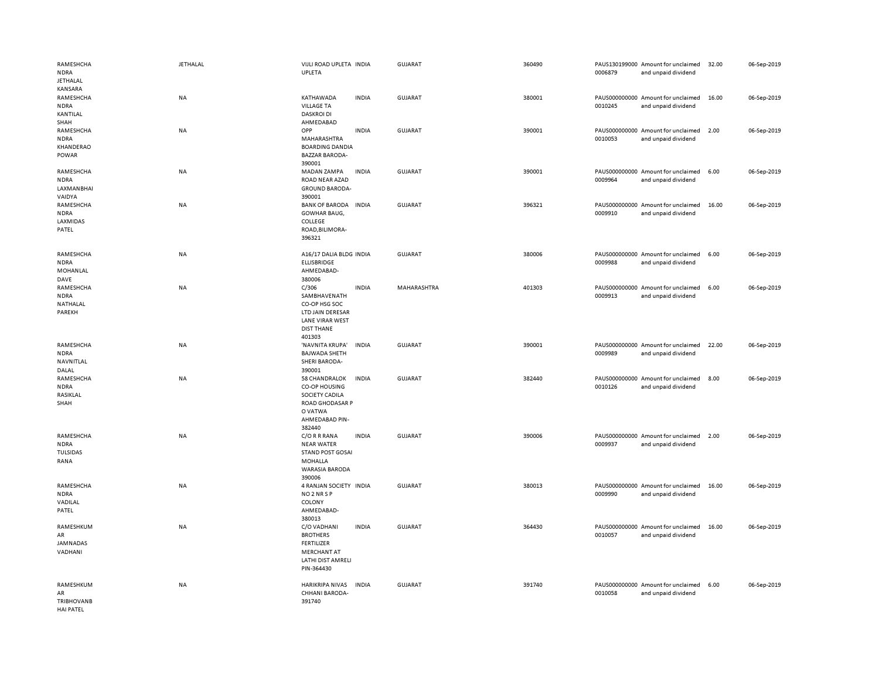| RAMESHCHA<br><b>NDRA</b><br><b>JETHALAL</b><br>KANSARA   | <b>JETHALAL</b> | VIJLI ROAD UPLETA INDIA<br>UPLETA                                                                                   |              | <b>GUJARAT</b> | 360490 | 0006879 | PAUS130199000 Amount for unclaimed<br>and unpaid dividend | 32.00 | 06-Sep-2019 |
|----------------------------------------------------------|-----------------|---------------------------------------------------------------------------------------------------------------------|--------------|----------------|--------|---------|-----------------------------------------------------------|-------|-------------|
| RAMESHCHA<br><b>NDRA</b><br>KANTILAL<br>SHAH             | <b>NA</b>       | KATHAWADA<br><b>VILLAGE TA</b><br><b>DASKROI DI</b><br>AHMEDABAD                                                    | <b>INDIA</b> | <b>GUJARAT</b> | 380001 | 0010245 | PAUS000000000 Amount for unclaimed<br>and unpaid dividend | 16.00 | 06-Sep-2019 |
| RAMESHCHA<br><b>NDRA</b><br>KHANDERAO<br>POWAR           | NA              | OPP<br>MAHARASHTRA<br><b>BOARDING DANDIA</b><br><b>BAZZAR BARODA-</b><br>390001                                     | <b>INDIA</b> | <b>GUJARAT</b> | 390001 | 0010053 | PAUS000000000 Amount for unclaimed<br>and unpaid dividend | 2.00  | 06-Sep-2019 |
| RAMESHCHA<br><b>NDRA</b><br>LAXMANBHAI<br>VAIDYA         | NA              | MADAN ZAMPA<br>ROAD NEAR AZAD<br><b>GROUND BARODA-</b><br>390001                                                    | <b>INDIA</b> | <b>GUJARAT</b> | 390001 | 0009964 | PAUS000000000 Amount for unclaimed<br>and unpaid dividend | 6.00  | 06-Sep-2019 |
| RAMESHCHA<br><b>NDRA</b><br>LAXMIDAS<br>PATEL            | ΝA              | <b>BANK OF BARODA</b><br>GOWHAR BAUG,<br>COLLEGE<br>ROAD, BILIMORA-<br>396321                                       | <b>INDIA</b> | <b>GUJARAT</b> | 396321 | 0009910 | PAUS000000000 Amount for unclaimed<br>and unpaid dividend | 16.00 | 06-Sep-2019 |
| RAMESHCHA<br><b>NDRA</b><br>MOHANLAL<br>DAVE             | NA              | A16/17 DALIA BLDG INDIA<br>ELLISBRIDGE<br>AHMEDABAD-<br>380006                                                      |              | <b>GUJARAT</b> | 380006 | 0009988 | PAUS000000000 Amount for unclaimed<br>and unpaid dividend | 6.00  | 06-Sep-2019 |
| RAMESHCHA<br><b>NDRA</b><br>NATHALAL<br>PAREKH           | NA              | C/306<br>SAMBHAVENATH<br>CO-OP HSG SOC<br>LTD JAIN DERESAR<br><b>LANE VIRAR WEST</b><br><b>DIST THANE</b><br>401303 | <b>INDIA</b> | MAHARASHTRA    | 401303 | 0009913 | PAUS000000000 Amount for unclaimed<br>and unpaid dividend | 6.00  | 06-Sep-2019 |
| RAMESHCHA<br><b>NDRA</b><br>NAVNITLAL<br>DALAL           | <b>NA</b>       | 'NAVNITA KRUPA'<br><b>BAJWADA SHETH</b><br><b>SHERI BARODA-</b><br>390001                                           | <b>INDIA</b> | <b>GUJARAT</b> | 390001 | 0009989 | PAUS000000000 Amount for unclaimed<br>and unpaid dividend | 22.00 | 06-Sep-2019 |
| RAMESHCHA<br><b>NDRA</b><br>RASIKLAL<br>SHAH             | <b>NA</b>       | 58 CHANDRALOK<br>CO-OP HOUSING<br>SOCIETY CADILA<br><b>ROAD GHODASAR P</b><br>O VATWA<br>AHMEDABAD PIN-<br>382440   | <b>INDIA</b> | <b>GUJARAT</b> | 382440 | 0010126 | PAUS000000000 Amount for unclaimed<br>and unpaid dividend | 8.00  | 06-Sep-2019 |
| RAMESHCHA<br><b>NDRA</b><br>TULSIDAS<br>RANA             | <b>NA</b>       | C/O R R RANA<br><b>NEAR WATER</b><br><b>STAND POST GOSAI</b><br>MOHALLA<br><b>WARASIA BARODA</b><br>390006          | <b>INDIA</b> | <b>GUJARAT</b> | 390006 | 0009937 | PAUS000000000 Amount for unclaimed<br>and unpaid dividend | 2.00  | 06-Sep-2019 |
| RAMESHCHA<br><b>NDRA</b><br>VADILAL<br>PATEL             | <b>NA</b>       | 4 RANJAN SOCIETY INDIA<br>NO <sub>2</sub> NR <sub>SP</sub><br>COLONY<br>AHMEDABAD-<br>380013                        |              | <b>GUJARAT</b> | 380013 | 0009990 | PAUS000000000 Amount for unclaimed<br>and unpaid dividend | 16.00 | 06-Sep-2019 |
| RAMESHKUM<br>AR<br>JAMNADAS<br>VADHANI                   | <b>NA</b>       | C/O VADHANI<br><b>BROTHERS</b><br><b>FERTILIZER</b><br><b>MERCHANT AT</b><br>LATHI DIST AMRELI<br>PIN-364430        | <b>INDIA</b> | <b>GUJARAT</b> | 364430 | 0010057 | PAUS000000000 Amount for unclaimed<br>and unpaid dividend | 16.00 | 06-Sep-2019 |
| RAMESHKUM<br>AR<br><b>TRIBHOVANB</b><br><b>HAI PATFI</b> | NA              | HARIKRIPA NIVAS<br>CHHANI BARODA-<br>391740                                                                         | INDIA        | <b>GUJARAT</b> | 391740 | 0010058 | PAUS000000000 Amount for unclaimed<br>and unpaid dividend | 6.00  | 06-Sep-2019 |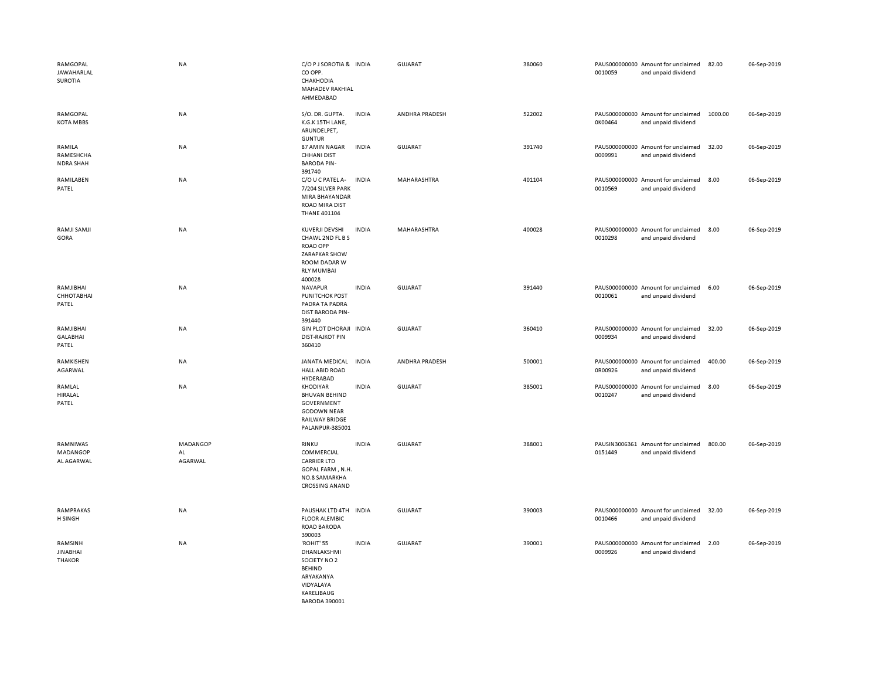| RAMGOPAL<br><b>JAWAHARLAL</b><br>SUROTIA    | <b>NA</b>                 | C/O P J SOROTIA & INDIA<br>CO OPP.<br>CHAKHODIA<br>MAHADEV RAKHIAL<br>AHMEDABAD                                                   |              | GUJARAT        | 380060 | 0010059 | PAUS000000000 Amount for unclaimed<br>and unpaid dividend | 82.00   | 06-Sep-2019 |
|---------------------------------------------|---------------------------|-----------------------------------------------------------------------------------------------------------------------------------|--------------|----------------|--------|---------|-----------------------------------------------------------|---------|-------------|
| RAMGOPAL<br><b>KOTA MBBS</b>                | NA                        | S/O. DR. GUPTA.<br>K.G.K 15TH LANE,<br>ARUNDELPET,<br><b>GUNTUR</b>                                                               | <b>INDIA</b> | ANDHRA PRADESH | 522002 | 0K00464 | PAUS000000000 Amount for unclaimed<br>and unpaid dividend | 1000.00 | 06-Sep-2019 |
| RAMILA<br>RAMESHCHA<br>NDRA SHAH            | <b>NA</b>                 | 87 AMIN NAGAR<br><b>CHHANI DIST</b><br><b>BARODA PIN-</b><br>391740                                                               | <b>INDIA</b> | GUJARAT        | 391740 | 0009991 | PAUS000000000 Amount for unclaimed<br>and unpaid dividend | 32.00   | 06-Sep-2019 |
| RAMILABEN<br>PATEL                          | NA                        | C/O U C PATEL A-<br>7/204 SILVER PARK<br>MIRA BHAYANDAR<br>ROAD MIRA DIST<br><b>THANE 401104</b>                                  | <b>INDIA</b> | MAHARASHTRA    | 401104 | 0010569 | PAUS000000000 Amount for unclaimed<br>and unpaid dividend | 8.00    | 06-Sep-2019 |
| RAMJI SAMJI<br>GORA                         | NA                        | KUVERJI DEVSHI<br>CHAWL 2ND FL B S<br><b>ROAD OPP</b><br>ZARAPKAR SHOW<br>ROOM DADAR W<br><b>RLY MUMBAI</b><br>400028             | <b>INDIA</b> | MAHARASHTRA    | 400028 | 0010298 | PAUS000000000 Amount for unclaimed<br>and unpaid dividend | 8.00    | 06-Sep-2019 |
| RAMJIBHAI<br>СННОТАВНАІ<br>PATEL            | NA                        | NAVAPUR<br><b>PUNITCHOK POST</b><br>PADRA TA PADRA<br><b>DIST BARODA PIN-</b><br>391440                                           | <b>INDIA</b> | GUJARAT        | 391440 | 0010061 | PAUS000000000 Amount for unclaimed<br>and unpaid dividend | 6.00    | 06-Sep-2019 |
| RAMJIBHAI<br><b>GALABHAI</b><br>PATEL       | NA                        | GIN PLOT DHORAJI INDIA<br><b>DIST-RAJKOT PIN</b><br>360410                                                                        |              | <b>GUJARAT</b> | 360410 | 0009934 | PAUS000000000 Amount for unclaimed<br>and unpaid dividend | 32.00   | 06-Sep-2019 |
| RAMKISHEN<br>AGARWAL                        | NA                        | JANATA MEDICAL<br><b>HALL ABID ROAD</b><br>HYDERABAD                                                                              | <b>INDIA</b> | ANDHRA PRADESH | 500001 | 0R00926 | PAUS000000000 Amount for unclaimed<br>and unpaid dividend | 400.00  | 06-Sep-2019 |
| RAMLAL<br>HIRALAL<br>PATEL                  | <b>NA</b>                 | <b>KHODIYAR</b><br><b>BHUVAN BEHIND</b><br>GOVERNMENT<br><b>GODOWN NEAR</b><br><b>RAILWAY BRIDGE</b><br>PALANPUR-385001           | <b>INDIA</b> | <b>GUJARAT</b> | 385001 | 0010247 | PAUS000000000 Amount for unclaimed<br>and unpaid dividend | 8.00    | 06-Sep-2019 |
| RAMNIWAS<br>MADANGOP<br>AL AGARWAL          | MADANGOP<br>AL<br>AGARWAL | RINKU<br>COMMERCIAL<br><b>CARRIER LTD</b><br>GOPAL FARM, N.H.<br><b>NO.8 SAMARKHA</b><br><b>CROSSING ANAND</b>                    | <b>INDIA</b> | GUJARAT        | 388001 | 0151449 | PAUSIN3006361 Amount for unclaimed<br>and unpaid dividend | 800.00  | 06-Sep-2019 |
| RAMPRAKAS<br>H SINGH                        | NA                        | PAUSHAK LTD 4TH<br><b>FLOOR ALEMBIC</b><br><b>ROAD BARODA</b><br>390003                                                           | <b>INDIA</b> | <b>GUJARAT</b> | 390003 | 0010466 | PAUS000000000 Amount for unclaimed<br>and unpaid dividend | 32.00   | 06-Sep-2019 |
| RAMSINH<br><b>JINABHAI</b><br><b>THAKOR</b> | NA                        | 'ROHIT' 55<br><b>DHANLAKSHMI</b><br>SOCIETY NO 2<br><b>BEHIND</b><br>ARYAKANYA<br>VIDYALAYA<br>KARELIBAUG<br><b>BARODA 390001</b> | <b>INDIA</b> | <b>GUJARAT</b> | 390001 | 0009926 | PAUS000000000 Amount for unclaimed<br>and unpaid dividend | 2.00    | 06-Sep-2019 |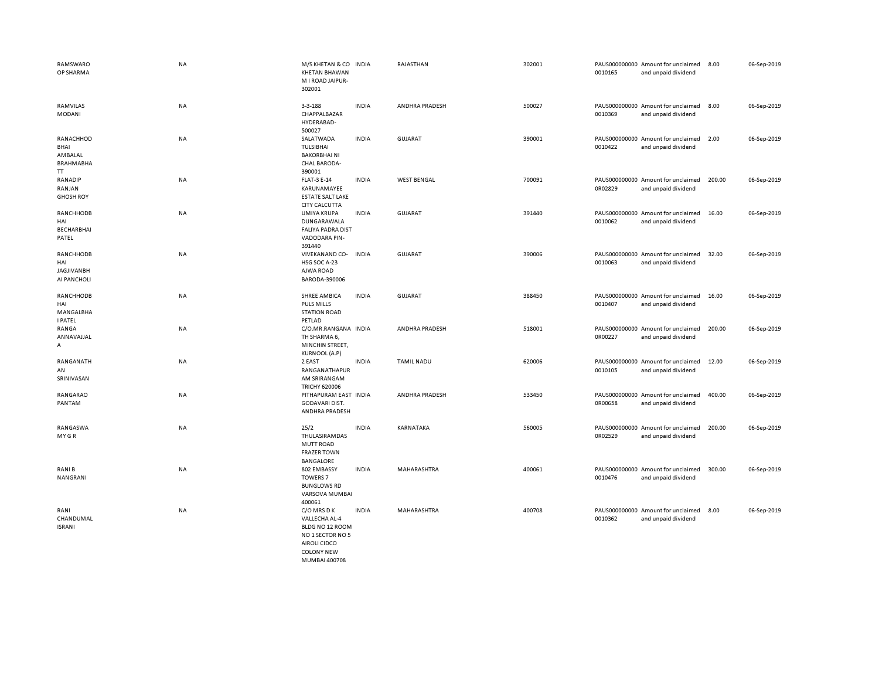| RAMSWARO<br>OP SHARMA                                  | <b>NA</b> | M/S KHETAN & CO<br><b>KHETAN BHAWAN</b><br>M I ROAD JAIPUR-<br>302001                                           | <b>INDIA</b> | RAJASTHAN          | 302001 | 0010165 | PAUS000000000 Amount for unclaimed<br>and unpaid dividend | 8.00   | 06-Sep-2019 |
|--------------------------------------------------------|-----------|-----------------------------------------------------------------------------------------------------------------|--------------|--------------------|--------|---------|-----------------------------------------------------------|--------|-------------|
| RAMVILAS<br><b>MODANI</b>                              | NA        | $3 - 3 - 188$<br>CHAPPALBAZAR<br>HYDERABAD-<br>500027                                                           | <b>INDIA</b> | ANDHRA PRADESH     | 500027 | 0010369 | PAUS000000000 Amount for unclaimed<br>and unpaid dividend | 8.00   | 06-Sep-2019 |
| RANACHHOD<br>BHAI<br>AMBALAL<br><b>BRAHMABHA</b><br>TT | NA        | SALATWADA<br>TULSIBHAI<br><b>BAKORBHAINI</b><br><b>CHAL BARODA-</b><br>390001                                   | <b>INDIA</b> | <b>GUJARAT</b>     | 390001 | 0010422 | PAUS000000000 Amount for unclaimed<br>and unpaid dividend | 2.00   | 06-Sep-2019 |
| RANADIP<br>RANJAN<br><b>GHOSH ROY</b>                  | NA        | <b>FLAT-3 E-14</b><br>KARUNAMAYEE<br><b>ESTATE SALT LAKE</b><br><b>CITY CALCUTTA</b>                            | <b>INDIA</b> | <b>WEST BENGAL</b> | 700091 | 0R02829 | PAUS000000000 Amount for unclaimed<br>and unpaid dividend | 200.00 | 06-Sep-2019 |
| RANCHHODB<br>HAI<br><b>BECHARBHAI</b><br>PATEL         | NA        | UMIYA KRUPA<br>DUNGARAWALA<br><b>FALIYA PADRA DIST</b><br>VADODARA PIN-<br>391440                               | <b>INDIA</b> | <b>GUJARAT</b>     | 391440 | 0010062 | PAUS000000000 Amount for unclaimed<br>and unpaid dividend | 16.00  | 06-Sep-2019 |
| RANCHHODB<br>HAI<br><b>JAGJIVANBH</b><br>AI PANCHOLI   | NA        | VIVEKANAND CO-<br>HSG SOC A-23<br>AJWA ROAD<br>BARODA-390006                                                    | <b>INDIA</b> | <b>GUJARAT</b>     | 390006 | 0010063 | PAUS000000000 Amount for unclaimed<br>and unpaid dividend | 32.00  | 06-Sep-2019 |
| RANCHHODB<br>HAI<br>MANGALBHA<br><b>I PATEL</b>        | NA        | SHREE AMBICA<br><b>PULS MILLS</b><br><b>STATION ROAD</b><br>PETLAD                                              | <b>INDIA</b> | <b>GUJARAT</b>     | 388450 | 0010407 | PAUS000000000 Amount for unclaimed<br>and unpaid dividend | 16.00  | 06-Sep-2019 |
| RANGA<br>ANNAVAJJAL<br>A                               | NA        | C/O.MR.RANGANA INDIA<br>TH SHARMA 6,<br>MINCHIN STREET,<br><b>KURNOOL (A.P)</b>                                 |              | ANDHRA PRADESH     | 518001 | 0R00227 | PAUS000000000 Amount for unclaimed<br>and unpaid dividend | 200.00 | 06-Sep-2019 |
| RANGANATH<br>AN<br>SRINIVASAN                          | NA        | 2 EAST<br>RANGANATHAPUR<br>AM SRIRANGAM<br><b>TRICHY 620006</b>                                                 | <b>INDIA</b> | <b>TAMIL NADU</b>  | 620006 | 0010105 | PAUS000000000 Amount for unclaimed<br>and unpaid dividend | 12.00  | 06-Sep-2019 |
| RANGARAO<br>PANTAM                                     | NA        | PITHAPURAM EAST INDIA<br><b>GODAVARI DIST.</b><br>ANDHRA PRADESH                                                |              | ANDHRA PRADESH     | 533450 | 0R00658 | PAUS000000000 Amount for unclaimed<br>and unpaid dividend | 400.00 | 06-Sep-2019 |
| RANGASWA<br>MY GR                                      | NA        | 25/2<br>THULASIRAMDAS<br><b>MUTT ROAD</b><br><b>FRAZER TOWN</b><br>BANGALORE                                    | <b>INDIA</b> | KARNATAKA          | 560005 | 0R02529 | PAUS000000000 Amount for unclaimed<br>and unpaid dividend | 200.00 | 06-Sep-2019 |
| RANI B<br>NANGRANI                                     | NA        | 802 EMBASSY<br><b>TOWERS 7</b><br><b>BUNGLOWS RD</b><br>VARSOVA MUMBAI<br>400061                                | <b>INDIA</b> | MAHARASHTRA        | 400061 | 0010476 | PAUS000000000 Amount for unclaimed<br>and unpaid dividend | 300.00 | 06-Sep-2019 |
| RANI<br>CHANDUMAL<br><b>ISRANI</b>                     | <b>NA</b> | C/O MRS D K<br>VALLECHA AL-4<br>BLDG NO 12 ROOM<br>NO 1 SECTOR NO 5<br><b>AIROLI CIDCO</b><br><b>COLONY NEW</b> | <b>INDIA</b> | MAHARASHTRA        | 400708 | 0010362 | PAUS000000000 Amount for unclaimed<br>and unpaid dividend | 8.00   | 06-Sep-2019 |

MUMBAI 400708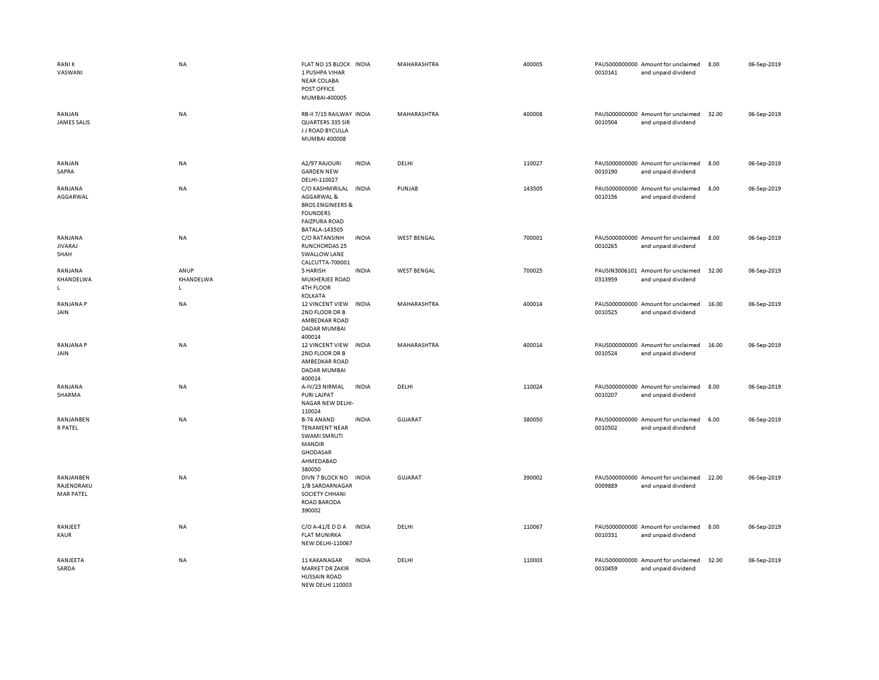| <b>RANIK</b><br>VASWANI                     | <b>NA</b>                         | FLAT NO 15 BLOCK INDIA<br>1 PUSHPA VIHAR<br><b>NEAR COLABA</b><br>POST OFFICE<br>MUMBAI-400005                                       | MAHARASHTRA        | 400005 | 0010141 | PAUS000000000 Amount for unclaimed<br>and unpaid dividend | 8.00  | 06-Sep-2019 |
|---------------------------------------------|-----------------------------------|--------------------------------------------------------------------------------------------------------------------------------------|--------------------|--------|---------|-----------------------------------------------------------|-------|-------------|
| RANJAN<br><b>JAMES SALIS</b>                | <b>NA</b>                         | RB-II 7/15 RAILWAY INDIA<br>QUARTERS 335 SIR<br>J J ROAD BYCULLA<br>MUMBAI 400008                                                    | MAHARASHTRA        | 400008 | 0010504 | PAUS000000000 Amount for unclaimed<br>and unpaid dividend | 32.00 | 06-Sep-2019 |
| RANJAN<br>SAPRA                             | NA                                | A2/97 RAJOURI<br><b>INDIA</b><br><b>GARDEN NEW</b><br>DELHI-110027                                                                   | DELHI              | 110027 | 0010190 | PAUS000000000 Amount for unclaimed<br>and unpaid dividend | 8.00  | 06-Sep-2019 |
| RANJANA<br>AGGARWAL                         | NA                                | C/O KASHMIRILAL INDIA<br>AGGARWAL &<br><b>BROS ENGINEERS &amp;</b><br><b>FOUNDERS</b><br><b>FAIZPURA ROAD</b><br>BATALA-143505       | PUNJAB             | 143505 | 0010156 | PAUS000000000 Amount for unclaimed<br>and unpaid dividend | 8.00  | 06-Sep-2019 |
| RANJANA<br><b>JIVARAJ</b><br>SHAH           | NA                                | C/O RATANSINH<br><b>INDIA</b><br><b>RUNCHORDAS 25</b><br><b>SWALLOW LANE</b><br>CALCUTTA-700001                                      | <b>WEST BENGAL</b> | 700001 | 0010265 | PAUS000000000 Amount for unclaimed<br>and unpaid dividend | 8.00  | 06-Sep-2019 |
| RANJANA<br>KHANDELWA<br>$\mathsf{L}$        | ANUP<br>KHANDELWA<br>$\mathsf{L}$ | <b>INDIA</b><br>5 HARISH<br>MUKHERJEE ROAD<br>4TH FLOOR<br>KOLKATA                                                                   | <b>WEST BENGAL</b> | 700025 | 0313959 | PAUSIN3006101 Amount for unclaimed<br>and unpaid dividend | 32.00 | 06-Sep-2019 |
| <b>RANJANA P</b><br>JAIN                    | NA                                | 12 VINCENT VIEW<br><b>INDIA</b><br>2ND FLOOR DR B<br>AMBEDKAR ROAD<br><b>DADAR MUMBAI</b><br>400014                                  | MAHARASHTRA        | 400014 | 0010525 | PAUS000000000 Amount for unclaimed<br>and unpaid dividend | 16.00 | 06-Sep-2019 |
| <b>RANJANA P</b><br>JAIN                    | NA                                | <b>12 VINCENT VIEW</b><br><b>INDIA</b><br>2ND FLOOR DR B<br>AMBEDKAR ROAD<br><b>DADAR MUMBAI</b><br>400014                           | MAHARASHTRA        | 400014 | 0010524 | PAUS000000000 Amount for unclaimed<br>and unpaid dividend | 16.00 | 06-Sep-2019 |
| RANJANA<br>SHARMA                           | <b>NA</b>                         | A-IV/23 NIRMAL<br><b>INDIA</b><br>PURI LAJPAT<br>NAGAR NEW DELHI-<br>110024                                                          | DELHI              | 110024 | 0010207 | PAUS000000000 Amount for unclaimed<br>and unpaid dividend | 8.00  | 06-Sep-2019 |
| RANJANBEN<br>R PATEL                        | NA                                | <b>INDIA</b><br><b>B-74 ANAND</b><br><b>TENAMENT NEAR</b><br>SWAMI SMRUTI<br><b>MANDIR</b><br><b>GHODASAR</b><br>AHMEDABAD<br>380050 | <b>GUJARAT</b>     | 380050 | 0010502 | PAUS000000000 Amount for unclaimed<br>and unpaid dividend | 6.00  | 06-Sep-2019 |
| RANJANBEN<br>RAJENDRAKU<br><b>MAR PATEL</b> | <b>NA</b>                         | DIVN 7 BLOCK NO<br><b>INDIA</b><br>1/B SARDARNAGAR<br>SOCIETY CHHANI<br><b>ROAD BARODA</b><br>390002                                 | <b>GUJARAT</b>     | 390002 | 0009889 | PAUS000000000 Amount for unclaimed<br>and unpaid dividend | 22.00 | 06-Sep-2019 |
| RANJEET<br>KAUR                             | NA                                | $C/O$ A-41/E D D A<br><b>INDIA</b><br><b>FLAT MUNIRKA</b><br><b>NEW DELHI-110067</b>                                                 | DELHI              | 110067 | 0010331 | PAUS000000000 Amount for unclaimed<br>and unpaid dividend | 8.00  | 06-Sep-2019 |
| RANJEETA<br>SARDA                           | NA                                | <b>INDIA</b><br>11 KAKANAGAR<br><b>MARKET DR ZAKIR</b><br><b>HUSSAIN ROAD</b><br><b>NEW DELHI 110003</b>                             | DELHI              | 110003 | 0010459 | PAUS000000000 Amount for unclaimed<br>and unpaid dividend | 32.00 | 06-Sep-2019 |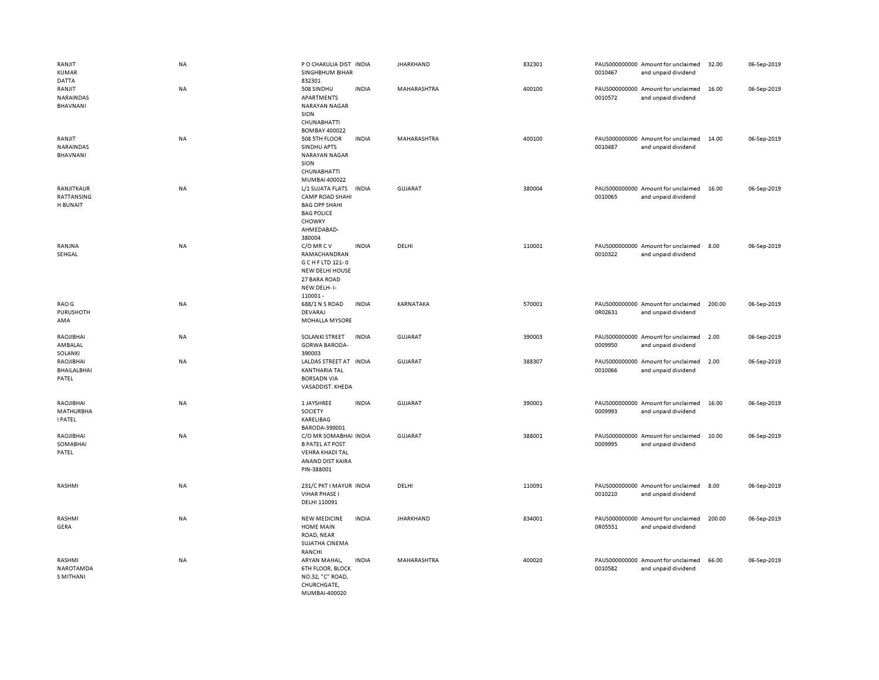| RANJIT<br><b>KUMAR</b><br>DATTA                 | NA        | P O CHAKULIA DIST INDIA<br>SINGHBHUM BIHAR<br>832301                                                                             |              | <b>JHARKHAND</b>   | 832301 | 0010467 | PAUS000000000 Amount for unclaimed<br>and unpaid dividend | 32.00  | 06-Sep-2019 |
|-------------------------------------------------|-----------|----------------------------------------------------------------------------------------------------------------------------------|--------------|--------------------|--------|---------|-----------------------------------------------------------|--------|-------------|
| RANJIT<br>NARAINDAS<br>BHAVNANI                 | <b>NA</b> | 508 SINDHU<br>APARTMENTS<br><b>NARAYAN NAGAR</b><br>SION<br><b>CHUNABHATTI</b>                                                   | <b>INDIA</b> | MAHARASHTRA        | 400100 | 0010572 | PAUS000000000 Amount for unclaimed<br>and unpaid dividend | 16.00  | 06-Sep-2019 |
| RANJIT<br>NARAINDAS<br>BHAVNANI                 | <b>NA</b> | <b>BOMBAY 400022</b><br>508 5TH FLOOR<br>SINDHU APTS<br><b>NARAYAN NAGAR</b><br>SION<br>CHUNABHATTI                              | <b>INDIA</b> | <b>MAHARASHTRA</b> | 400100 | 0010487 | PAUS000000000 Amount for unclaimed<br>and unpaid dividend | 14.00  | 06-Sep-2019 |
| RANJITKAUR<br>RATTANSING<br>H BUNAIT            | NA        | MUMBAI 400022<br>L/1 SUJATA FLATS<br><b>CAMP ROAD SHAHI</b><br><b>BAG OPP SHAHI</b><br><b>BAG POLICE</b><br>CHOWKY               | <b>INDIA</b> | <b>GUJARAT</b>     | 380004 | 0010065 | PAUS000000000 Amount for unclaimed<br>and unpaid dividend | 16.00  | 06-Sep-2019 |
| RANJNA<br>SEHGAL                                | NA        | AHMEDABAD-<br>380004<br>C/O MR C V<br>RAMACHANDRAN<br>G C H F LTD 121-0<br><b>NEW DELHI HOUSE</b><br>27 BARA ROAD<br>NEW DELH-I- | <b>INDIA</b> | DELHI              | 110001 | 0010322 | PAUS000000000 Amount for unclaimed<br>and unpaid dividend | 8.00   | 06-Sep-2019 |
| RAO G<br>PURUSHOTH<br>AMA                       | <b>NA</b> | 110001-<br>688/1 N S ROAD<br>DEVARAJ<br>MOHALLA MYSORE                                                                           | <b>INDIA</b> | KARNATAKA          | 570001 | 0R02631 | PAUS000000000 Amount for unclaimed<br>and unpaid dividend | 200.00 | 06-Sep-2019 |
| RAOJIBHAI<br>AMBALAL<br>SOLANKI                 | NA        | SOLANKI STREET<br><b>GORWA BARODA-</b><br>390003                                                                                 | <b>INDIA</b> | <b>GUJARAT</b>     | 390003 | 0009950 | PAUS000000000 Amount for unclaimed<br>and unpaid dividend | 2.00   | 06-Sep-2019 |
| RAOJIBHAI<br><b>BHAILALBHAI</b><br>PATEL        | NA        | LALDAS STREET AT INDIA<br><b>KANTHARIA TAL</b><br><b>BORSADN VIA</b><br>VASADDIST. KHEDA                                         |              | <b>GUJARAT</b>     | 388307 | 0010066 | PAUS000000000 Amount for unclaimed<br>and unpaid dividend | 2.00   | 06-Sep-2019 |
| RAOJIBHAI<br><b>MATHURBHA</b><br><b>I PATEL</b> | NA        | 1 JAYSHREE<br>SOCIETY<br>KARELIBAG<br>BARODA-390001                                                                              | <b>INDIA</b> | GUJARAT            | 390001 | 0009993 | PAUS000000000 Amount for unclaimed<br>and unpaid dividend | 16.00  | 06-Sep-2019 |
| RAOJIBHAI<br>SOMABHAI<br>PATEL                  | NA        | C/O MR SOMABHAI INDIA<br><b>B PATEL AT POST</b><br><b>VEHRA KHADI TAL</b><br>ANAND DIST KAIRA<br>PIN-388001                      |              | <b>GUJARAT</b>     | 388001 | 0009995 | PAUS000000000 Amount for unclaimed<br>and unpaid dividend | 10.00  | 06-Sep-2019 |
| RASHMI                                          | <b>NA</b> | 231/C PKT I MAYUR INDIA<br><b>VIHAR PHASE I</b><br>DELHI 110091                                                                  |              | DELHI              | 110091 | 0010210 | PAUS000000000 Amount for unclaimed<br>and unpaid dividend | 8.00   | 06-Sep-2019 |
| RASHMI<br>GERA                                  | NA        | <b>NEW MEDICINE</b><br><b>HOME MAIN</b><br>ROAD, NEAR<br>SUJATHA CINEMA<br>RANCHI                                                | <b>INDIA</b> | <b>JHARKHAND</b>   | 834001 | 0R05551 | PAUS000000000 Amount for unclaimed<br>and unpaid dividend | 200.00 | 06-Sep-2019 |
| RASHMI<br><b>NAROTAMDA</b><br>S MITHANI         | <b>NA</b> | ARYAN MAHAL,<br><b>6TH FLOOR, BLOCK</b><br>NO.32, "C" ROAD,<br>CHURCHGATE,<br>MUMBAI-400020                                      | <b>INDIA</b> | MAHARASHTRA        | 400020 | 0010582 | PAUS000000000 Amount for unclaimed<br>and unpaid dividend | 66.00  | 06-Sep-2019 |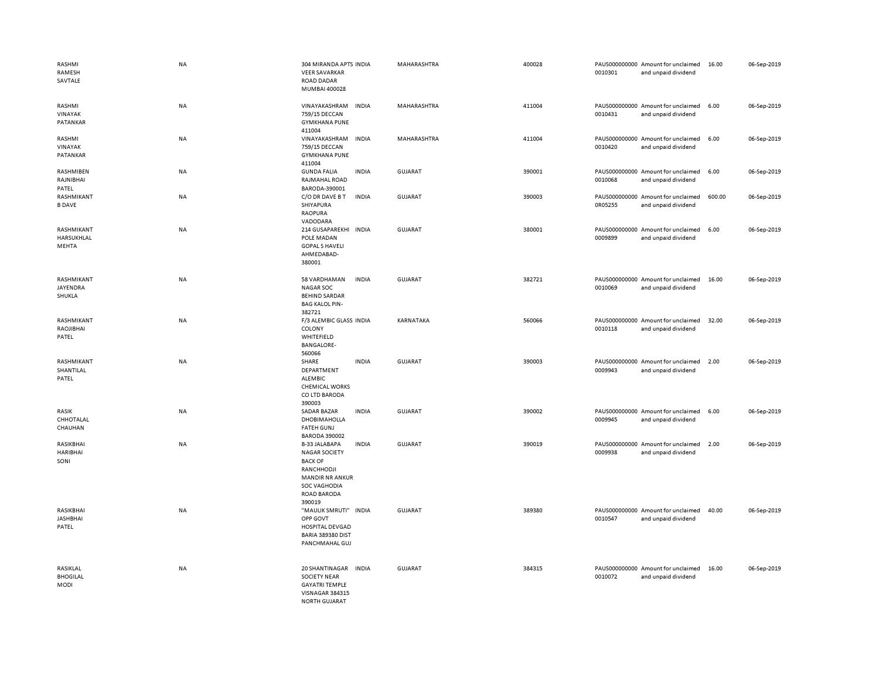| RASHMI<br>RAMESH<br>SAVTALE           | <b>NA</b> | 304 MIRANDA APTS INDIA<br><b>VEER SAVARKAR</b><br><b>ROAD DADAR</b><br>MUMBAI 400028                                                                                   | MAHARASHTRA    | 400028 | 0010301 | PAUS000000000 Amount for unclaimed<br>and unpaid dividend | 16.00  | 06-Sep-2019 |
|---------------------------------------|-----------|------------------------------------------------------------------------------------------------------------------------------------------------------------------------|----------------|--------|---------|-----------------------------------------------------------|--------|-------------|
| RASHMI<br>VINAYAK<br>PATANKAR         | <b>NA</b> | VINAYAKASHRAM<br><b>INDIA</b><br>759/15 DECCAN<br><b>GYMKHANA PUNE</b><br>411004                                                                                       | MAHARASHTRA    | 411004 | 0010431 | PAUS000000000 Amount for unclaimed<br>and unpaid dividend | 6.00   | 06-Sep-2019 |
| RASHMI<br>VINAYAK<br>PATANKAR         | NA        | VINAYAKASHRAM<br><b>INDIA</b><br>759/15 DECCAN<br><b>GYMKHANA PUNE</b><br>411004                                                                                       | MAHARASHTRA    | 411004 | 0010420 | PAUS000000000 Amount for unclaimed<br>and unpaid dividend | 6.00   | 06-Sep-2019 |
| RASHMIBEN<br>RAJNIBHAI<br>PATEL       | NA        | <b>GUNDA FALIA</b><br><b>INDIA</b><br>RAJMAHAL ROAD<br>BARODA-390001                                                                                                   | <b>GUJARAT</b> | 390001 | 0010068 | PAUS000000000 Amount for unclaimed<br>and unpaid dividend | 6.00   | 06-Sep-2019 |
| RASHMIKANT<br><b>B DAVE</b>           | <b>NA</b> | C/O DR DAVE B T<br><b>INDIA</b><br>SHIYAPURA<br><b>RAOPURA</b><br>VADODARA                                                                                             | <b>GUJARAT</b> | 390003 | 0R05255 | PAUS000000000 Amount for unclaimed<br>and unpaid dividend | 600.00 | 06-Sep-2019 |
| RASHMIKANT<br>HARSUKHLAL<br>MEHTA     | <b>NA</b> | 214 GUSAPAREKHI INDIA<br>POLE MADAN<br><b>GOPAL S HAVELI</b><br>AHMEDABAD-<br>380001                                                                                   | GUJARAT        | 380001 | 0009899 | PAUS000000000 Amount for unclaimed<br>and unpaid dividend | 6.00   | 06-Sep-2019 |
| RASHMIKANT<br>JAYENDRA<br>SHUKLA      | <b>NA</b> | 58 VARDHAMAN<br><b>INDIA</b><br><b>NAGAR SOC</b><br><b>BEHIND SARDAR</b><br><b>BAG KALOL PIN-</b><br>382721                                                            | <b>GUJARAT</b> | 382721 | 0010069 | PAUS000000000 Amount for unclaimed<br>and unpaid dividend | 16.00  | 06-Sep-2019 |
| RASHMIKANT<br>RAOJIBHAI<br>PATEL      | <b>NA</b> | F/3 ALEMBIC GLASS INDIA<br>COLONY<br>WHITEFIELD<br><b>BANGALORE-</b><br>560066                                                                                         | KARNATAKA      | 560066 | 0010118 | PAUS000000000 Amount for unclaimed<br>and unpaid dividend | 32.00  | 06-Sep-2019 |
| RASHMIKANT<br>SHANTILAL<br>PATEL      | <b>NA</b> | SHARE<br><b>INDIA</b><br>DEPARTMENT<br>ALEMBIC<br><b>CHEMICAL WORKS</b><br>CO LTD BARODA<br>390003                                                                     | GUJARAT        | 390003 | 0009943 | PAUS000000000 Amount for unclaimed<br>and unpaid dividend | 2.00   | 06-Sep-2019 |
| RASIK<br>CHHOTALAL<br>CHAUHAN         | <b>NA</b> | <b>SADAR BAZAR</b><br><b>INDIA</b><br>DHOBIMAHOLLA<br><b>FATEH GUNJ</b><br><b>BARODA 390002</b>                                                                        | <b>GUJARAT</b> | 390002 | 0009945 | PAUS000000000 Amount for unclaimed<br>and unpaid dividend | 6.00   | 06-Sep-2019 |
| RASIKBHAI<br><b>HARIBHAI</b><br>SONI  | <b>NA</b> | <b>B-33 JALABAPA</b><br><b>INDIA</b><br><b>NAGAR SOCIETY</b><br><b>BACK OF</b><br>RANCHHODJI<br><b>MANDIR NR ANKUR</b><br>SOC VAGHODIA<br><b>ROAD BARODA</b><br>390019 | <b>GUJARAT</b> | 390019 | 0009938 | PAUS000000000 Amount for unclaimed<br>and unpaid dividend | 2.00   | 06-Sep-2019 |
| RASIKBHAI<br><b>JASHBHAI</b><br>PATEL | <b>NA</b> | "MAULIK SMRUTI" INDIA<br>OPP GOVT<br><b>HOSPITAL DEVGAD</b><br>BARIA 389380 DIST<br>PANCHMAHAL GUJ                                                                     | GUJARAT        | 389380 | 0010547 | PAUS000000000 Amount for unclaimed<br>and unpaid dividend | 40.00  | 06-Sep-2019 |
| RASIKLAL<br><b>BHOGILAL</b><br>MODI   | <b>NA</b> | 20 SHANTINAGAR<br><b>INDIA</b><br><b>SOCIETY NEAR</b><br><b>GAYATRI TEMPLE</b><br>VISNAGAR 384315<br><b>NORTH GUJARAT</b>                                              | <b>GUJARAT</b> | 384315 | 0010072 | PAUS000000000 Amount for unclaimed<br>and unpaid dividend | 16.00  | 06-Sep-2019 |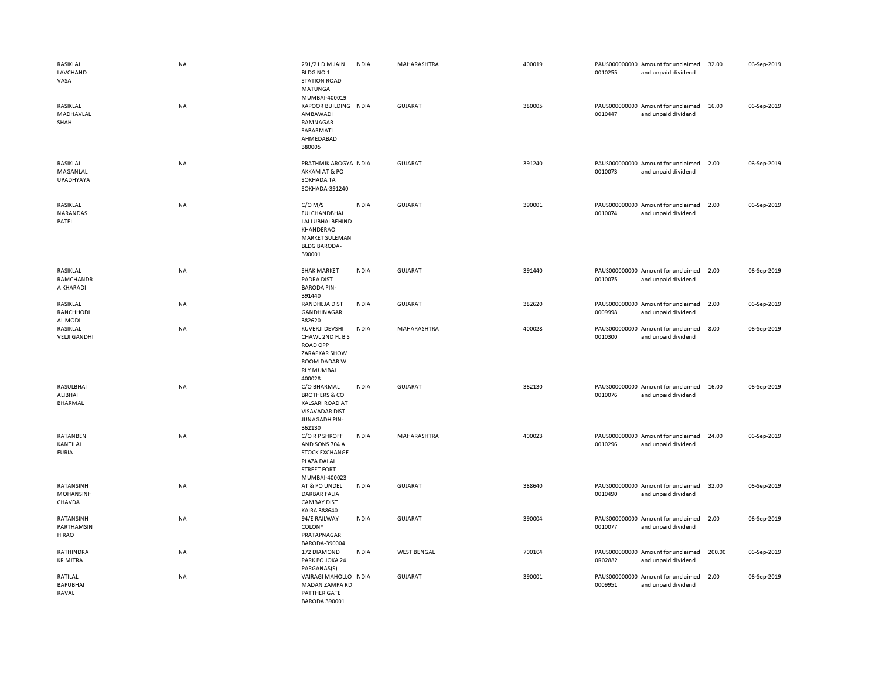| RASIKLAL<br>LAVCHAND<br>VASA           | NA | 291/21 D M JAIN<br>BLDG NO <sub>1</sub><br><b>STATION ROAD</b><br>MATUNGA<br>MUMBAI-400019                                   | <b>INDIA</b> | MAHARASHTRA        | 400019 | 0010255 | PAUS000000000 Amount for unclaimed<br>and unpaid dividend | 32.00  | 06-Sep-2019 |
|----------------------------------------|----|------------------------------------------------------------------------------------------------------------------------------|--------------|--------------------|--------|---------|-----------------------------------------------------------|--------|-------------|
| RASIKLAL<br>MADHAVLAL<br>SHAH          | NA | KAPOOR BUILDING INDIA<br>AMBAWADI<br>RAMNAGAR<br>SABARMATI<br>AHMEDABAD<br>380005                                            |              | <b>GUJARAT</b>     | 380005 | 0010447 | PAUS000000000 Amount for unclaimed<br>and unpaid dividend | 16.00  | 06-Sep-2019 |
| RASIKLAL<br>MAGANLAL<br>UPADHYAYA      | NA | PRATHMIK AROGYA INDIA<br>AKKAM AT & PO<br>SOKHADA TA<br>SOKHADA-391240                                                       |              | <b>GUJARAT</b>     | 391240 | 0010073 | PAUS000000000 Amount for unclaimed<br>and unpaid dividend | 2.00   | 06-Sep-2019 |
| RASIKLAL<br>NARANDAS<br>PATEL          | NA | $C/O$ M/S<br><b>FULCHANDBHAI</b><br>LALLUBHAI BEHIND<br>KHANDERAO<br><b>MARKET SULEMAN</b><br><b>BLDG BARODA-</b><br>390001  | <b>INDIA</b> | GUJARAT            | 390001 | 0010074 | PAUS000000000 Amount for unclaimed<br>and unpaid dividend | 2.00   | 06-Sep-2019 |
| RASIKLAL<br>RAMCHANDR<br>A KHARADI     | NA | <b>SHAK MARKET</b><br>PADRA DIST<br><b>BARODA PIN-</b><br>391440                                                             | <b>INDIA</b> | <b>GUJARAT</b>     | 391440 | 0010075 | PAUS000000000 Amount for unclaimed<br>and unpaid dividend | 2.00   | 06-Sep-2019 |
| RASIKLAL<br>RANCHHODL<br>AL MODI       | NA | RANDHEJA DIST<br>GANDHINAGAR<br>382620                                                                                       | <b>INDIA</b> | <b>GUJARAT</b>     | 382620 | 0009998 | PAUS000000000 Amount for unclaimed<br>and unpaid dividend | 2.00   | 06-Sep-2019 |
| RASIKLAL<br><b>VELJI GANDHI</b>        | NA | <b>KUVERJI DEVSHI</b><br>CHAWL 2ND FL B S<br><b>ROAD OPP</b><br>ZARAPKAR SHOW<br>ROOM DADAR W<br><b>RLY MUMBAI</b><br>400028 | <b>INDIA</b> | MAHARASHTRA        | 400028 | 0010300 | PAUS000000000 Amount for unclaimed<br>and unpaid dividend | 8.00   | 06-Sep-2019 |
| RASULBHAI<br>ALIBHAI<br><b>BHARMAL</b> | NA | C/O BHARMAL<br><b>BROTHERS &amp; CO</b><br><b>KALSARI ROAD AT</b><br><b>VISAVADAR DIST</b><br>JUNAGADH PIN-<br>362130        | <b>INDIA</b> | <b>GUJARAT</b>     | 362130 | 0010076 | PAUS000000000 Amount for unclaimed<br>and unpaid dividend | 16.00  | 06-Sep-2019 |
| RATANBEN<br>KANTILAL<br><b>FURIA</b>   | NA | C/O R P SHROFF<br>AND SONS 704 A<br><b>STOCK EXCHANGE</b><br>PLAZA DALAL<br><b>STREET FORT</b><br>MUMBAI-400023              | <b>INDIA</b> | MAHARASHTRA        | 400023 | 0010296 | PAUS000000000 Amount for unclaimed<br>and unpaid dividend | 24.00  | 06-Sep-2019 |
| RATANSINH<br>MOHANSINH<br>CHAVDA       | NA | AT & PO UNDEL<br><b>DARBAR FALIA</b><br><b>CAMBAY DIST</b><br>KAIRA 388640                                                   | <b>INDIA</b> | GUJARAT            | 388640 | 0010490 | PAUS000000000 Amount for unclaimed<br>and unpaid dividend | 32.00  | 06-Sep-2019 |
| RATANSINH<br>PARTHAMSIN<br>H RAO       | NA | 94/E RAILWAY<br>COLONY<br>PRATAPNAGAR<br>BARODA-390004                                                                       | <b>INDIA</b> | <b>GUJARAT</b>     | 390004 | 0010077 | PAUS000000000 Amount for unclaimed<br>and unpaid dividend | 2.00   | 06-Sep-2019 |
| RATHINDRA<br><b>KR MITRA</b>           | NA | 172 DIAMOND<br>PARK PO JOKA 24<br>PARGANAS(S)                                                                                | <b>INDIA</b> | <b>WEST BENGAL</b> | 700104 | 0R02882 | PAUS000000000 Amount for unclaimed<br>and unpaid dividend | 200.00 | 06-Sep-2019 |
| RATILAL<br><b>BAPUBHAI</b><br>RAVAL    | NA | VAIRAGI MAHOLLO INDIA<br>MADAN ZAMPA RD<br>PATTHER GATE<br><b>BARODA 390001</b>                                              |              | <b>GUJARAT</b>     | 390001 | 0009951 | PAUS000000000 Amount for unclaimed<br>and unpaid dividend | 2.00   | 06-Sep-2019 |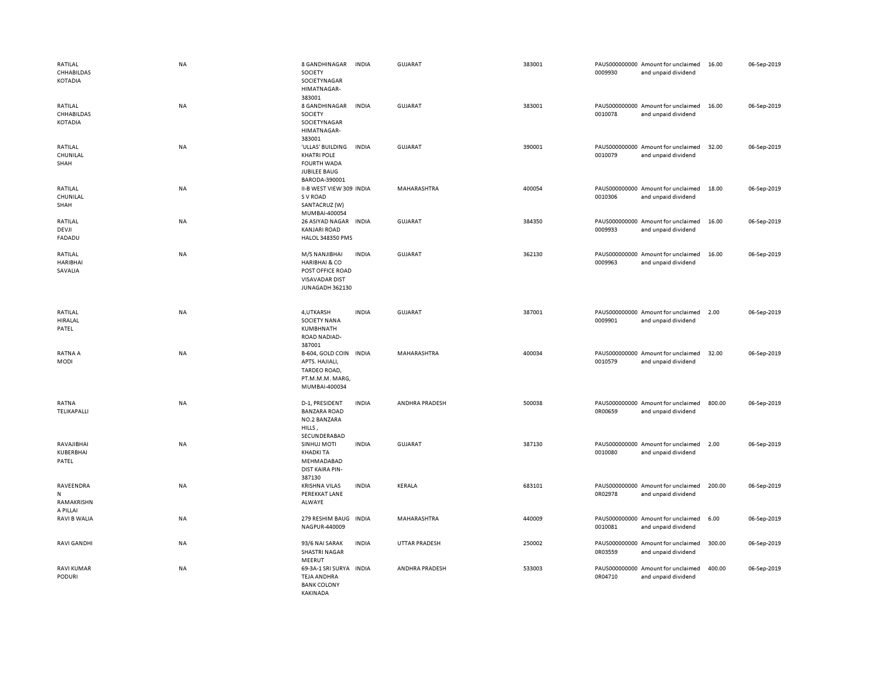| RATILAL<br>CHHABILDAS<br>KOTADIA         | <b>NA</b> | 8 GANDHINAGAR<br>SOCIETY<br>SOCIETYNAGAR<br>HIMATNAGAR-<br>383001                                         | <b>INDIA</b> | <b>GUJARAT</b> | 383001 | 0009930 | PAUS000000000 Amount for unclaimed<br>and unpaid dividend | 16.00  | 06-Sep-2019 |
|------------------------------------------|-----------|-----------------------------------------------------------------------------------------------------------|--------------|----------------|--------|---------|-----------------------------------------------------------|--------|-------------|
| RATILAL<br>CHHABILDAS<br>KOTADIA         | NA        | 8 GANDHINAGAR<br>SOCIETY<br>SOCIETYNAGAR<br>HIMATNAGAR-<br>383001                                         | <b>INDIA</b> | <b>GUJARAT</b> | 383001 | 0010078 | PAUS000000000 Amount for unclaimed<br>and unpaid dividend | 16.00  | 06-Sep-2019 |
| RATILAL<br>CHUNILAL<br>SHAH              | NA        | 'ULLAS' BUILDING<br><b>KHATRI POLE</b><br><b>FOURTH WADA</b><br><b>JUBILEE BAUG</b><br>BARODA-390001      | INDIA        | <b>GUJARAT</b> | 390001 | 0010079 | PAUS000000000 Amount for unclaimed<br>and unpaid dividend | 32.00  | 06-Sep-2019 |
| RATILAL<br>CHUNILAL<br>SHAH              | NA        | II-B WEST VIEW 309 INDIA<br>S V ROAD<br>SANTACRUZ (W)<br>MUMBAI-400054                                    |              | MAHARASHTRA    | 400054 | 0010306 | PAUS000000000 Amount for unclaimed<br>and unpaid dividend | 18.00  | 06-Sep-2019 |
| RATILAL<br>DEVJI<br>FADADU               | NA        | 26 ASIYAD NAGAR<br><b>KANJARI ROAD</b><br>HALOL 348350 PMS                                                | <b>INDIA</b> | GUJARAT        | 384350 | 0009933 | PAUS000000000 Amount for unclaimed<br>and unpaid dividend | 16.00  | 06-Sep-2019 |
| RATILAL<br><b>HARIBHAI</b><br>SAVALIA    | NA        | M/S NANJIBHAI<br><b>HARIBHAI &amp; CO</b><br>POST OFFICE ROAD<br><b>VISAVADAR DIST</b><br>JUNAGADH 362130 | <b>INDIA</b> | <b>GUJARAT</b> | 362130 | 0009963 | PAUS000000000 Amount for unclaimed<br>and unpaid dividend | 16.00  | 06-Sep-2019 |
| RATILAL<br>HIRALAL<br>PATEL              | NA        | 4, UTKARSH<br>SOCIETY NANA<br>KUMBHNATH<br><b>ROAD NADIAD-</b><br>387001                                  | <b>INDIA</b> | <b>GUJARAT</b> | 387001 | 0009901 | PAUS000000000 Amount for unclaimed<br>and unpaid dividend | 2.00   | 06-Sep-2019 |
| RATNA A<br>MODI                          | NA        | B-604, GOLD COIN INDIA<br>APTS. HAJIALI,<br>TARDEO ROAD,<br>PT.M.M.M. MARG,<br>MUMBAI-400034              |              | MAHARASHTRA    | 400034 | 0010579 | PAUS000000000 Amount for unclaimed<br>and unpaid dividend | 32.00  | 06-Sep-2019 |
| RATNA<br>TELIKAPALLI                     | NA        | D-1, PRESIDENT<br><b>BANZARA ROAD</b><br>NO.2 BANZARA<br>HILLS,<br>SECUNDERABAD                           | <b>INDIA</b> | ANDHRA PRADESH | 500038 | 0R00659 | PAUS000000000 Amount for unclaimed<br>and unpaid dividend | 800.00 | 06-Sep-2019 |
| RAVAJIBHAI<br>KUBERBHAI<br>PATEL         | NA        | SINHUJ MOTI<br><b>KHADKI TA</b><br>MEHMADABAD<br>DIST KAIRA PIN-<br>387130                                | <b>INDIA</b> | <b>GUJARAT</b> | 387130 | 0010080 | PAUS000000000 Amount for unclaimed<br>and unpaid dividend | 2.00   | 06-Sep-2019 |
| RAVEENDRA<br>N<br>RAMAKRISHN<br>A PILLAI | NA        | <b>KRISHNA VILAS</b><br>PEREKKAT LANE<br>ALWAYE                                                           | <b>INDIA</b> | KERALA         | 683101 | 0R02978 | PAUS000000000 Amount for unclaimed<br>and unpaid dividend | 200.00 | 06-Sep-2019 |
| RAVI B WALIA                             | <b>NA</b> | 279 RESHIM BAUG<br>NAGPUR-440009                                                                          | <b>INDIA</b> | MAHARASHTRA    | 440009 | 0010081 | PAUS000000000 Amount for unclaimed<br>and unpaid dividend | 6.00   | 06-Sep-2019 |
| <b>RAVI GANDHI</b>                       | NA        | 93/6 NAI SARAK<br><b>SHASTRI NAGAR</b><br>MEERUT                                                          | <b>INDIA</b> | UTTAR PRADESH  | 250002 | 0R03559 | PAUS000000000 Amount for unclaimed<br>and unpaid dividend | 300.00 | 06-Sep-2019 |
| <b>RAVI KUMAR</b><br><b>PODURI</b>       | NA        | 69-3A-1 SRI SURYA INDIA<br><b>TEJA ANDHRA</b><br><b>BANK COLONY</b><br><b>KAKINADA</b>                    |              | ANDHRA PRADESH | 533003 | 0R04710 | PAUS000000000 Amount for unclaimed<br>and unpaid dividend | 400.00 | 06-Sep-2019 |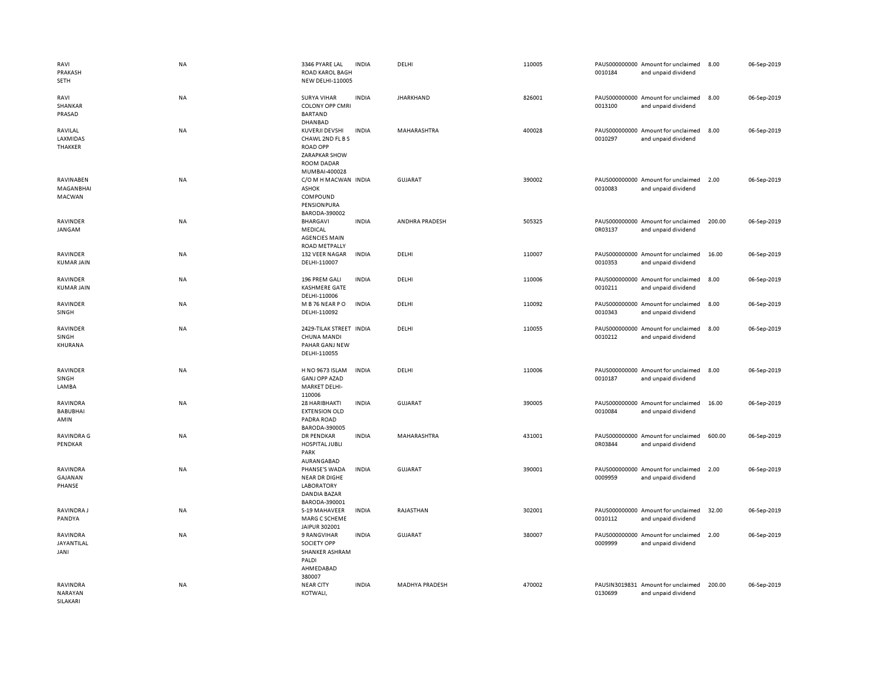| RAVI<br>PRAKASH<br>SETH                | <b>NA</b> | 3346 PYARE LAL<br>ROAD KAROL BAGH<br><b>NEW DELHI-110005</b>                                              | <b>INDIA</b> | DELHI              | 110005 | 0010184 | PAUS000000000 Amount for unclaimed<br>and unpaid dividend | 8.00   | 06-Sep-2019 |
|----------------------------------------|-----------|-----------------------------------------------------------------------------------------------------------|--------------|--------------------|--------|---------|-----------------------------------------------------------|--------|-------------|
| RAVI<br>SHANKAR<br>PRASAD              | <b>NA</b> | <b>SURYA VIHAR</b><br><b>COLONY OPP CMRI</b><br><b>BARTAND</b><br><b>DHANBAD</b>                          | <b>INDIA</b> | <b>JHARKHAND</b>   | 826001 | 0013100 | PAUS000000000 Amount for unclaimed<br>and unpaid dividend | 8.00   | 06-Sep-2019 |
| RAVILAL<br>LAXMIDAS<br>THAKKER         | <b>NA</b> | KUVERJI DEVSHI<br>CHAWL 2ND FL B S<br><b>ROAD OPP</b><br><b>ZARAPKAR SHOW</b><br><b>ROOM DADAR</b>        | <b>INDIA</b> | MAHARASHTRA        | 400028 | 0010297 | PAUS000000000 Amount for unclaimed<br>and unpaid dividend | 8.00   | 06-Sep-2019 |
| RAVINABEN<br>MAGANBHAI<br>MACWAN       | <b>NA</b> | MUMBAI-400028<br>C/O M H MACWAN INDIA<br><b>ASHOK</b><br>COMPOUND<br>PENSIONPURA<br>BARODA-390002         |              | GUJARAT            | 390002 | 0010083 | PAUS000000000 Amount for unclaimed<br>and unpaid dividend | 2.00   | 06-Sep-2019 |
| RAVINDER<br>JANGAM                     | NA        | <b>BHARGAVI</b><br>MEDICAL<br><b>AGENCIES MAIN</b><br><b>ROAD METPALLY</b>                                | <b>INDIA</b> | ANDHRA PRADESH     | 505325 | 0R03137 | PAUS000000000 Amount for unclaimed<br>and unpaid dividend | 200.00 | 06-Sep-2019 |
| RAVINDER<br><b>KUMAR JAIN</b>          | NA        | 132 VEER NAGAR<br>DELHI-110007                                                                            | <b>INDIA</b> | DELHI              | 110007 | 0010353 | PAUS000000000 Amount for unclaimed<br>and unpaid dividend | 16.00  | 06-Sep-2019 |
| RAVINDER<br><b>KUMAR JAIN</b>          | <b>NA</b> | 196 PREM GALI<br>KASHMERE GATE<br>DELHI-110006                                                            | <b>INDIA</b> | DELHI              | 110006 | 0010211 | PAUS000000000 Amount for unclaimed<br>and unpaid dividend | 8.00   | 06-Sep-2019 |
| RAVINDER<br>SINGH                      | NA        | M B 76 NEAR PO<br>DELHI-110092                                                                            | <b>INDIA</b> | DELHI              | 110092 | 0010343 | PAUS000000000 Amount for unclaimed<br>and unpaid dividend | 8.00   | 06-Sep-2019 |
| RAVINDER<br>SINGH<br>KHURANA           | NA        | 2429-TILAK STREET INDIA<br><b>CHUNA MANDI</b><br>PAHAR GANJ NEW<br>DELHI-110055                           |              | DELHI              | 110055 | 0010212 | PAUS000000000 Amount for unclaimed<br>and unpaid dividend | 8.00   | 06-Sep-2019 |
| RAVINDER<br>SINGH<br><b>LAMBA</b>      | <b>NA</b> | H NO 9673 ISLAM<br><b>GANJ OPP AZAD</b><br><b>MARKET DELHI-</b>                                           | <b>INDIA</b> | DELHI              | 110006 | 0010187 | PAUS000000000 Amount for unclaimed<br>and unpaid dividend | 8.00   | 06-Sep-2019 |
| RAVINDRA<br><b>BABUBHAI</b><br>AMIN    | <b>NA</b> | 110006<br>28 HARIBHAKTI<br><b>EXTENSION OLD</b><br>PADRA ROAD                                             | <b>INDIA</b> | <b>GUJARAT</b>     | 390005 | 0010084 | PAUS000000000 Amount for unclaimed<br>and unpaid dividend | 16.00  | 06-Sep-2019 |
| <b>RAVINDRA G</b><br>PENDKAR           | <b>NA</b> | BARODA-390005<br><b>DR PENDKAR</b><br>HOSPITAL JUBLI<br>PARK                                              | <b>INDIA</b> | <b>MAHARASHTRA</b> | 431001 | 0R03844 | PAUS000000000 Amount for unclaimed<br>and unpaid dividend | 600.00 | 06-Sep-2019 |
| RAVINDRA<br>GAJANAN<br>PHANSE          | <b>NA</b> | AURANGABAD<br>PHANSE'S WADA<br><b>NEAR DR DIGHE</b><br><b>LABORATORY</b><br>DANDIA BAZAR<br>BARODA-390001 | <b>INDIA</b> | <b>GUJARAT</b>     | 390001 | 0009959 | PAUS000000000 Amount for unclaimed<br>and unpaid dividend | 2.00   | 06-Sep-2019 |
| RAVINDRA J<br>PANDYA                   | <b>NA</b> | S-19 MAHAVEER<br>MARG C SCHEME<br>JAIPUR 302001                                                           | <b>INDIA</b> | RAJASTHAN          | 302001 | 0010112 | PAUS000000000 Amount for unclaimed<br>and unpaid dividend | 32.00  | 06-Sep-2019 |
| RAVINDRA<br>JAYANTILAL<br>JANI         | <b>NA</b> | 9 RANGVIHAR<br>SOCIETY OPP<br>SHANKER ASHRAM<br>PALDI<br>AHMEDABAD<br>380007                              | <b>INDIA</b> | <b>GUJARAT</b>     | 380007 | 0009999 | PAUS000000000 Amount for unclaimed<br>and unpaid dividend | 2.00   | 06-Sep-2019 |
| <b>RAVINDRA</b><br>NARAYAN<br>SILAKARI | NA        | <b>NEAR CITY</b><br>KOTWALI,                                                                              | <b>INDIA</b> | MADHYA PRADESH     | 470002 | 0130699 | PAUSIN3019831 Amount for unclaimed<br>and unpaid dividend | 200.00 | 06-Sep-2019 |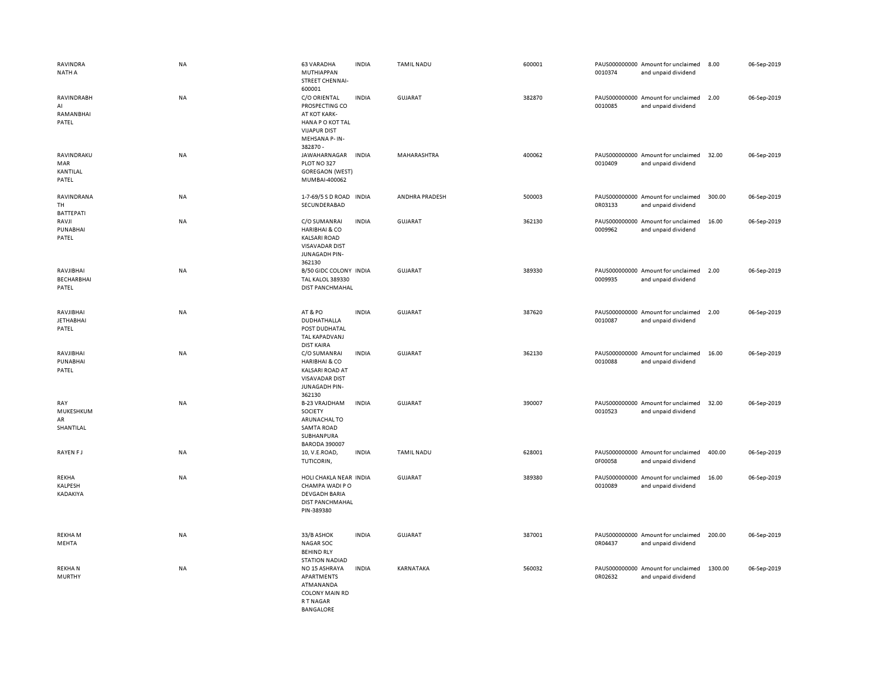| RAVINDRA<br>NATH A                     | NA        | <b>63 VARADHA</b><br>MUTHIAPPAN<br>STREET CHENNAI-<br>600001                                                                 | <b>INDIA</b> | <b>TAMIL NADU</b> | 600001 | 0010374 | PAUS000000000 Amount for unclaimed<br>and unpaid dividend | 8.00    | 06-Sep-2019 |
|----------------------------------------|-----------|------------------------------------------------------------------------------------------------------------------------------|--------------|-------------------|--------|---------|-----------------------------------------------------------|---------|-------------|
| RAVINDRABH<br>AI<br>RAMANBHAI<br>PATEL | NA        | C/O ORIENTAL<br>PROSPECTING CO<br>AT KOT KARK-<br><b>HANA PO KOT TAL</b><br><b>VIJAPUR DIST</b><br>MEHSANA P-IN-<br>382870 - | <b>INDIA</b> | <b>GUJARAT</b>    | 382870 | 0010085 | PAUS000000000 Amount for unclaimed<br>and unpaid dividend | 2.00    | 06-Sep-2019 |
| RAVINDRAKU<br>MAR<br>KANTILAL<br>PATEL | NA        | JAWAHARNAGAR<br>PLOT NO 327<br><b>GOREGAON (WEST)</b><br>MUMBAI-400062                                                       | <b>INDIA</b> | MAHARASHTRA       | 400062 | 0010409 | PAUS000000000 Amount for unclaimed<br>and unpaid dividend | 32.00   | 06-Sep-2019 |
| RAVINDRANA<br>TH<br><b>BATTEPATI</b>   | <b>NA</b> | 1-7-69/5 S D ROAD INDIA<br>SECUNDERABAD                                                                                      |              | ANDHRA PRADESH    | 500003 | 0R03133 | PAUS000000000 Amount for unclaimed<br>and unpaid dividend | 300.00  | 06-Sep-2019 |
| RAVJI<br>PUNABHAI<br>PATEL             | <b>NA</b> | C/O SUMANRAI<br><b>HARIBHAI &amp; CO</b><br><b>KALSARI ROAD</b><br><b>VISAVADAR DIST</b><br>JUNAGADH PIN-<br>362130          | <b>INDIA</b> | GUJARAT           | 362130 | 0009962 | PAUS000000000 Amount for unclaimed<br>and unpaid dividend | 16.00   | 06-Sep-2019 |
| RAVJIBHAI<br>BECHARBHAI<br>PATEL       | <b>NA</b> | B/50 GIDC COLONY INDIA<br><b>TAL KALOL 389330</b><br><b>DIST PANCHMAHAL</b>                                                  |              | <b>GUJARAT</b>    | 389330 | 0009935 | PAUS000000000 Amount for unclaimed<br>and unpaid dividend | 2.00    | 06-Sep-2019 |
| RAVJIBHAI<br><b>JETHABHAI</b><br>PATEL | NA        | AT&PO<br>DUDHATHALLA<br>POST DUDHATAL<br><b>TAL KAPADVANJ</b><br><b>DIST KAIRA</b>                                           | <b>INDIA</b> | GUJARAT           | 387620 | 0010087 | PAUS000000000 Amount for unclaimed<br>and unpaid dividend | 2.00    | 06-Sep-2019 |
| RAVJIBHAI<br>PUNABHAI<br>PATEL         | NA        | C/O SUMANRAI<br><b>HARIBHAI &amp; CO</b><br><b>KALSARI ROAD AT</b><br><b>VISAVADAR DIST</b><br>JUNAGADH PIN-<br>362130       | <b>INDIA</b> | GUJARAT           | 362130 | 0010088 | PAUS000000000 Amount for unclaimed<br>and unpaid dividend | 16.00   | 06-Sep-2019 |
| RAY<br>MUKESHKUM<br>AR<br>SHANTILAL    | <b>NA</b> | <b>B-23 VRAJDHAM</b><br>SOCIETY<br>ARUNACHAL TO<br><b>SAMTA ROAD</b><br>SUBHANPURA<br><b>BARODA 390007</b>                   | <b>INDIA</b> | <b>GUJARAT</b>    | 390007 | 0010523 | PAUS000000000 Amount for unclaimed<br>and unpaid dividend | 32.00   | 06-Sep-2019 |
| <b>RAYEN FJ</b>                        | <b>NA</b> | 10, V.E.ROAD,<br>TUTICORIN,                                                                                                  | <b>INDIA</b> | <b>TAMIL NADU</b> | 628001 | 0F00058 | PAUS000000000 Amount for unclaimed<br>and unpaid dividend | 400.00  | 06-Sep-2019 |
| REKHA<br>KALPESH<br>KADAKIYA           | <b>NA</b> | HOLI CHAKLA NEAR INDIA<br>CHAMPA WADI PO<br><b>DEVGADH BARIA</b><br><b>DIST PANCHMAHAL</b><br>PIN-389380                     |              | GUJARAT           | 389380 | 0010089 | PAUS000000000 Amount for unclaimed<br>and unpaid dividend | 16.00   | 06-Sep-2019 |
| <b>REKHAM</b><br>MEHTA                 | NA        | 33/B ASHOK<br><b>NAGAR SOC</b><br><b>BEHIND RLY</b><br><b>STATION NADIAD</b>                                                 | <b>INDIA</b> | <b>GUJARAT</b>    | 387001 | 0R04437 | PAUS000000000 Amount for unclaimed<br>and unpaid dividend | 200.00  | 06-Sep-2019 |
| <b>REKHAN</b><br><b>MURTHY</b>         | <b>NA</b> | NO 15 ASHRAYA<br>APARTMENTS<br>ATMANANDA<br><b>COLONY MAIN RD</b><br>R T NAGAR<br><b>BANGALORE</b>                           | <b>INDIA</b> | KARNATAKA         | 560032 | 0R02632 | PAUS000000000 Amount for unclaimed<br>and unpaid dividend | 1300.00 | 06-Sep-2019 |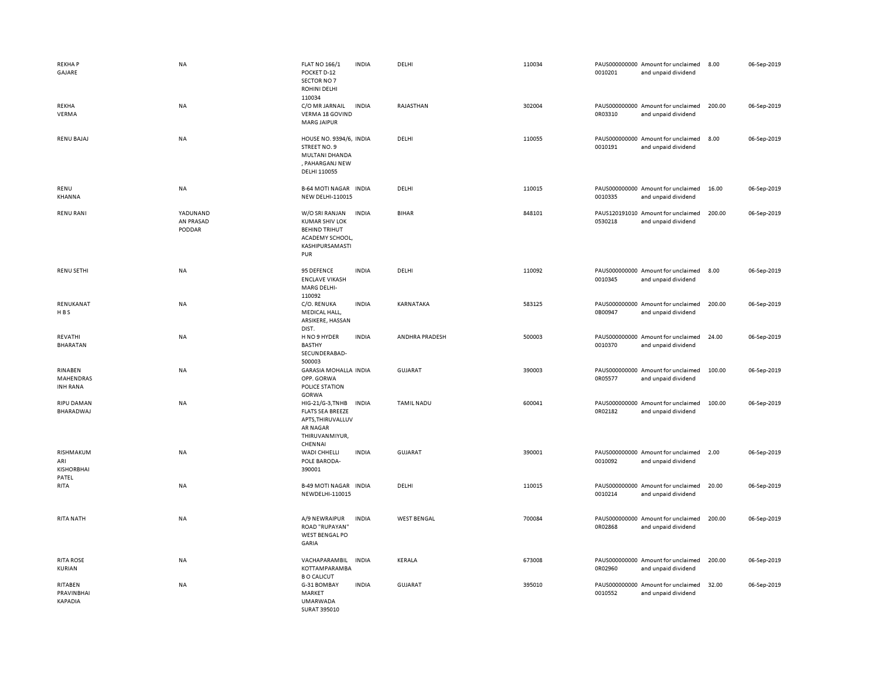| <b>REKHAP</b><br>GAJARE                        | NA                              | <b>FLAT NO 166/1</b><br>POCKET D-12<br>SECTOR NO 7<br>ROHINI DELHI<br>110034                                 | <b>INDIA</b> | DELHI              | 110034 | 0010201 | PAUS000000000 Amount for unclaimed<br>and unpaid dividend | 8.00   | 06-Sep-2019 |
|------------------------------------------------|---------------------------------|--------------------------------------------------------------------------------------------------------------|--------------|--------------------|--------|---------|-----------------------------------------------------------|--------|-------------|
| REKHA<br>VERMA                                 | NA                              | C/O MR JARNAIL<br>VERMA 18 GOVIND<br><b>MARG JAIPUR</b>                                                      | <b>INDIA</b> | RAJASTHAN          | 302004 | 0R03310 | PAUS000000000 Amount for unclaimed<br>and unpaid dividend | 200.00 | 06-Sep-2019 |
| <b>RENU BAJAJ</b>                              | NA                              | HOUSE NO. 9394/6, INDIA<br><b>STREET NO. 9</b><br>MULTANI DHANDA<br>, PAHARGANJ NEW<br>DELHI 110055          |              | DELHI              | 110055 | 0010191 | PAUS000000000 Amount for unclaimed<br>and unpaid dividend | 8.00   | 06-Sep-2019 |
| RENU<br>KHANNA                                 | NA                              | <b>B-64 MOTI NAGAR INDIA</b><br><b>NEW DELHI-110015</b>                                                      |              | DELHI              | 110015 | 0010335 | PAUS000000000 Amount for unclaimed<br>and unpaid dividend | 16.00  | 06-Sep-2019 |
| <b>RENU RANI</b>                               | YADUNAND<br>AN PRASAD<br>PODDAR | W/O SRI RANJAN<br><b>KUMAR SHIV LOK</b><br><b>BEHIND TRIHUT</b><br>ACADEMY SCHOOL,<br>KASHIPURSAMASTI<br>PUR | <b>INDIA</b> | <b>BIHAR</b>       | 848101 | 0530218 | PAUS120191010 Amount for unclaimed<br>and unpaid dividend | 200.00 | 06-Sep-2019 |
| <b>RENU SETHI</b>                              | NA                              | 95 DEFENCE<br><b>ENCLAVE VIKASH</b><br>MARG DELHI-<br>110092                                                 | <b>INDIA</b> | DELHI              | 110092 | 0010345 | PAUS000000000 Amount for unclaimed<br>and unpaid dividend | 8.00   | 06-Sep-2019 |
| RENUKANAT<br>HBS                               | NA                              | C/O. RENUKA<br>MEDICAL HALL,<br>ARSIKERE, HASSAN<br>DIST.                                                    | <b>INDIA</b> | KARNATAKA          | 583125 | 0B00947 | PAUS000000000 Amount for unclaimed<br>and unpaid dividend | 200.00 | 06-Sep-2019 |
| REVATHI<br><b>BHARATAN</b>                     | NA                              | H NO 9 HYDER<br><b>BASTHY</b><br>SECUNDERABAD-<br>500003                                                     | <b>INDIA</b> | ANDHRA PRADESH     | 500003 | 0010370 | PAUS000000000 Amount for unclaimed<br>and unpaid dividend | 24.00  | 06-Sep-2019 |
| RINABEN<br>MAHENDRAS<br><b>INH RANA</b>        | NA                              | GARASIA MOHALLA INDIA<br>OPP. GORWA<br><b>POLICE STATION</b><br>GORWA                                        |              | <b>GUJARAT</b>     | 390003 | 0R05577 | PAUS000000000 Amount for unclaimed<br>and unpaid dividend | 100.00 | 06-Sep-2019 |
| <b>RIPU DAMAN</b><br>BHARADWAJ                 | <b>NA</b>                       | HIG-21/G-3, TNHB<br><b>FLATS SEA BREEZE</b><br>APTS, THIRUVALLUV<br>AR NAGAR<br>THIRUVANMIYUR,<br>CHENNAI    | <b>INDIA</b> | <b>TAMIL NADU</b>  | 600041 | 0R02182 | PAUS000000000 Amount for unclaimed<br>and unpaid dividend | 100.00 | 06-Sep-2019 |
| RISHMAKUM<br>ARI<br><b>KISHORBHAI</b><br>PATEL | <b>NA</b>                       | <b>WADI CHHELLI</b><br>POLE BARODA-<br>390001                                                                | <b>INDIA</b> | <b>GUJARAT</b>     | 390001 | 0010092 | PAUS000000000 Amount for unclaimed<br>and unpaid dividend | 2.00   | 06-Sep-2019 |
| RITA                                           | NA                              | <b>B-49 MOTI NAGAR INDIA</b><br>NEWDELHI-110015                                                              |              | DELHI              | 110015 | 0010214 | PAUS000000000 Amount for unclaimed<br>and unpaid dividend | 20.00  | 06-Sep-2019 |
| RITA NATH                                      | NA                              | A/9 NEWRAIPUR<br>ROAD "RUPAYAN"<br><b>WEST BENGAL PO</b><br>GARIA                                            | <b>INDIA</b> | <b>WEST BENGAL</b> | 700084 | 0R02868 | PAUS000000000 Amount for unclaimed<br>and unpaid dividend | 200.00 | 06-Sep-2019 |
| <b>RITA ROSE</b><br><b>KURIAN</b>              | NA                              | VACHAPARAMBIL<br>KOTTAMPARAMBA<br><b>B O CALICUT</b>                                                         | <b>INDIA</b> | KERALA             | 673008 | 0R02960 | PAUS000000000 Amount for unclaimed<br>and unpaid dividend | 200.00 | 06-Sep-2019 |
| RITABEN<br>PRAVINBHAI<br>KAPADIA               | NA                              | G-31 BOMBAY<br>MARKET<br><b>UMARWADA</b><br>SURAT 395010                                                     | <b>INDIA</b> | GUJARAT            | 395010 | 0010552 | PAUS000000000 Amount for unclaimed<br>and unpaid dividend | 32.00  | 06-Sep-2019 |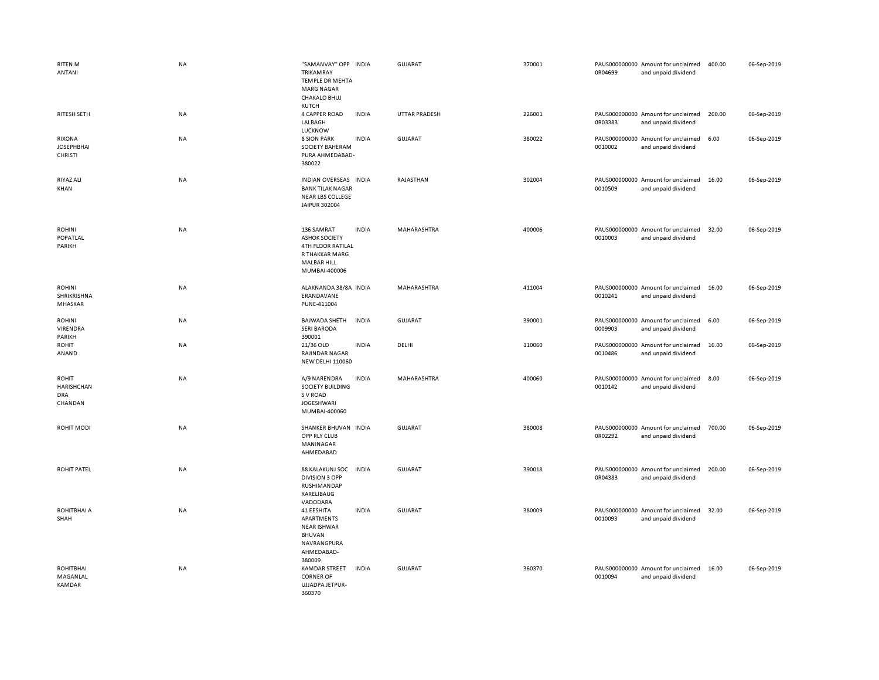| <b>RITEN M</b><br>ANTANI                                          | <b>NA</b> | "SAMANVAY" OPP INDIA<br>TRIKAMRAY<br>TEMPLE DR MEHTA<br><b>MARG NAGAR</b><br><b>CHAKALO BHUJ</b>                 |              | <b>GUJARAT</b> | 370001 | 0R04699 | PAUS000000000 Amount for unclaimed<br>and unpaid dividend | 400.00 | 06-Sep-2019 |
|-------------------------------------------------------------------|-----------|------------------------------------------------------------------------------------------------------------------|--------------|----------------|--------|---------|-----------------------------------------------------------|--------|-------------|
| RITESH SETH                                                       | NA        | <b>KUTCH</b><br><b>4 CAPPER ROAD</b><br>LALBAGH<br>LUCKNOW                                                       | <b>INDIA</b> | UTTAR PRADESH  | 226001 | 0R03383 | PAUS000000000 Amount for unclaimed<br>and unpaid dividend | 200.00 | 06-Sep-2019 |
| RIXONA<br><b>JOSEPHBHAI</b><br><b>CHRISTI</b>                     | <b>NA</b> | <b>8 SION PARK</b><br>SOCIETY BAHERAM<br>PURA AHMEDABAD-<br>380022                                               | <b>INDIA</b> | GUJARAT        | 380022 | 0010002 | PAUS000000000 Amount for unclaimed<br>and unpaid dividend | 6.00   | 06-Sep-2019 |
| RIYAZ ALI<br>KHAN                                                 | <b>NA</b> | INDIAN OVERSEAS INDIA<br><b>BANK TILAK NAGAR</b><br><b>NEAR LBS COLLEGE</b><br>JAIPUR 302004                     |              | RAJASTHAN      | 302004 | 0010509 | PAUS000000000 Amount for unclaimed<br>and unpaid dividend | 16.00  | 06-Sep-2019 |
| <b>ROHINI</b><br>POPATLAL<br>PARIKH                               | <b>NA</b> | 136 SAMRAT<br><b>ASHOK SOCIETY</b><br>4TH FLOOR RATILAL<br>R THAKKAR MARG<br><b>MALBAR HILL</b><br>MUMBAI-400006 | <b>INDIA</b> | MAHARASHTRA    | 400006 | 0010003 | PAUS000000000 Amount for unclaimed<br>and unpaid dividend | 32.00  | 06-Sep-2019 |
| <b>ROHINI</b><br>SHRIKRISHNA<br>MHASKAR                           | NA        | ALAKNANDA 38/8A INDIA<br>ERANDAVANE<br>PUNE-411004                                                               |              | MAHARASHTRA    | 411004 | 0010241 | PAUS000000000 Amount for unclaimed<br>and unpaid dividend | 16.00  | 06-Sep-2019 |
| <b>ROHINI</b><br>VIRENDRA<br>PARIKH                               | NA        | <b>BAJWADA SHETH</b><br><b>SERI BARODA</b><br>390001                                                             | <b>INDIA</b> | <b>GUJARAT</b> | 390001 | 0009903 | PAUS000000000 Amount for unclaimed<br>and unpaid dividend | 6.00   | 06-Sep-2019 |
| <b>ROHIT</b><br>ANAND                                             | NA        | 21/36 OLD<br><b>RAJINDAR NAGAR</b><br><b>NEW DELHI 110060</b>                                                    | <b>INDIA</b> | DELHI          | 110060 | 0010486 | PAUS000000000 Amount for unclaimed<br>and unpaid dividend | 16.00  | 06-Sep-2019 |
| <b>ROHIT</b><br><b>HARISHCHAN</b><br><b>DRA</b><br><b>CHANDAN</b> | <b>NA</b> | A/9 NARENDRA<br>SOCIETY BUILDING<br>S V ROAD<br><b>JOGESHWARI</b><br>MUMBAI-400060                               | <b>INDIA</b> | MAHARASHTRA    | 400060 | 0010142 | PAUS000000000 Amount for unclaimed<br>and unpaid dividend | 8.00   | 06-Sep-2019 |
| ROHIT MODI                                                        | NA        | SHANKER BHUVAN INDIA<br>OPP RLY CLUB<br>MANINAGAR<br>AHMEDABAD                                                   |              | GUJARAT        | 380008 | 0R02292 | PAUS000000000 Amount for unclaimed<br>and unpaid dividend | 700.00 | 06-Sep-2019 |
| <b>ROHIT PATEL</b>                                                | <b>NA</b> | 88 KALAKUNJ SOC INDIA<br><b>DIVISION 3 OPP</b><br>RUSHIMANDAP<br>KARELIBAUG<br>VADODARA                          |              | GUJARAT        | 390018 | 0R04383 | PAUS000000000 Amount for unclaimed<br>and unpaid dividend | 200.00 | 06-Sep-2019 |
| ROHITBHAI A<br>SHAH                                               | <b>NA</b> | 41 EESHITA<br>APARTMENTS<br><b>NEAR ISHWAR</b><br>BHUVAN<br>NAVRANGPURA<br>AHMEDABAD-<br>380009                  | <b>INDIA</b> | GUJARAT        | 380009 | 0010093 | PAUS000000000 Amount for unclaimed<br>and unpaid dividend | 32.00  | 06-Sep-2019 |
| <b>ROHITBHAI</b><br>MAGANLAL<br><b>KAMDAR</b>                     | <b>NA</b> | <b>KAMDAR STREET</b><br><b>CORNER OF</b><br>UJJADPA JETPUR-<br>360370                                            | <b>INDIA</b> | <b>GUJARAT</b> | 360370 | 0010094 | PAUS000000000 Amount for unclaimed<br>and unpaid dividend | 16.00  | 06-Sep-2019 |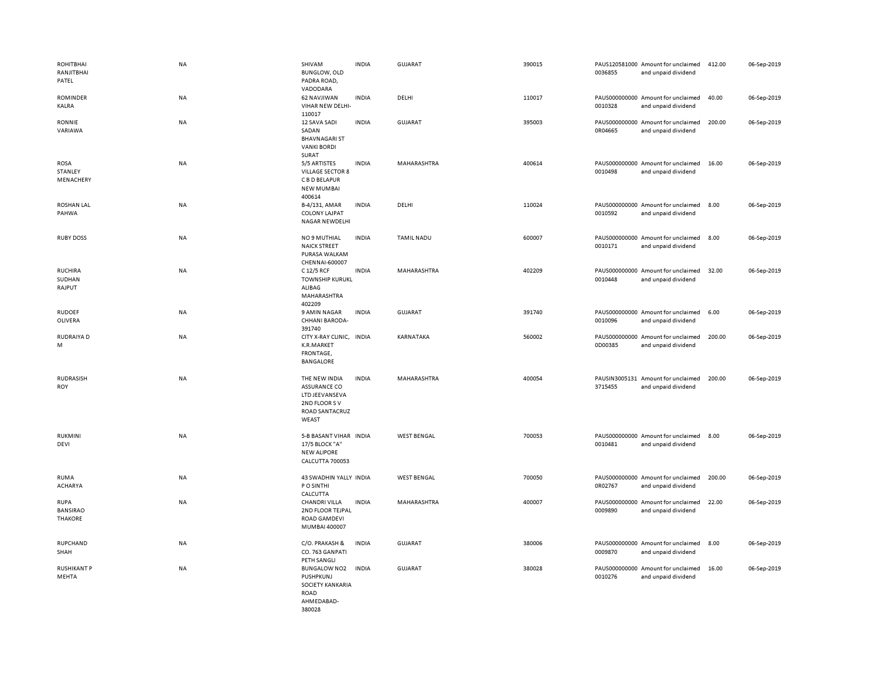| ROHITBHAI<br>RANJITBHAI<br>PATEL                 | <b>NA</b> | SHIVAM<br><b>BUNGLOW, OLD</b><br>PADRA ROAD,<br>VADODARA                                          | <b>INDIA</b> | <b>GUJARAT</b>     | 390015 | 0036855 | PAUS120581000 Amount for unclaimed<br>and unpaid dividend | 412.00 | 06-Sep-2019 |
|--------------------------------------------------|-----------|---------------------------------------------------------------------------------------------------|--------------|--------------------|--------|---------|-----------------------------------------------------------|--------|-------------|
| ROMINDER<br>KALRA                                | NA        | 62 NAVJIWAN<br>VIHAR NEW DELHI-<br>110017                                                         | <b>INDIA</b> | DELHI              | 110017 | 0010328 | PAUS000000000 Amount for unclaimed<br>and unpaid dividend | 40.00  | 06-Sep-2019 |
| RONNIE<br>VARIAWA                                | NA        | 12 SAVA SADI<br>SADAN<br><b>BHAVNAGARI ST</b><br><b>VANKI BORDI</b><br>SURAT                      | <b>INDIA</b> | <b>GUJARAT</b>     | 395003 | 0R04665 | PAUS000000000 Amount for unclaimed<br>and unpaid dividend | 200.00 | 06-Sep-2019 |
| ROSA<br>STANLEY<br>MENACHERY                     | <b>NA</b> | 5/5 ARTISTES<br><b>VILLAGE SECTOR 8</b><br>C B D BELAPUR<br><b>NEW MUMBAI</b><br>400614           | <b>INDIA</b> | MAHARASHTRA        | 400614 | 0010498 | PAUS000000000 Amount for unclaimed<br>and unpaid dividend | 16.00  | 06-Sep-2019 |
| ROSHAN LAL<br>PAHWA                              | NA        | B-4/131, AMAR<br><b>COLONY LAJPAT</b><br>NAGAR NEWDELHI                                           | <b>INDIA</b> | DELHI              | 110024 | 0010592 | PAUS000000000 Amount for unclaimed<br>and unpaid dividend | 8.00   | 06-Sep-2019 |
| <b>RUBY DOSS</b>                                 | NA        | NO 9 MUTHIAL<br><b>NAICK STREET</b><br>PURASA WALKAM<br>CHENNAI-600007                            | <b>INDIA</b> | <b>TAMIL NADU</b>  | 600007 | 0010171 | PAUS000000000 Amount for unclaimed<br>and unpaid dividend | 8.00   | 06-Sep-2019 |
| <b>RUCHIRA</b><br>SUDHAN<br>RAJPUT               | <b>NA</b> | C 12/5 RCF<br><b>TOWNSHIP KURUKL</b><br>ALIBAG<br>MAHARASHTRA<br>402209                           | <b>INDIA</b> | MAHARASHTRA        | 402209 | 0010448 | PAUS000000000 Amount for unclaimed<br>and unpaid dividend | 32.00  | 06-Sep-2019 |
| <b>RUDOEF</b><br>OLIVERA                         | NA        | 9 AMIN NAGAR<br>CHHANI BARODA-<br>391740                                                          | <b>INDIA</b> | GUJARAT            | 391740 | 0010096 | PAUS000000000 Amount for unclaimed<br>and unpaid dividend | 6.00   | 06-Sep-2019 |
| RUDRAIYA D<br>M                                  | NA        | CITY X-RAY CLINIC, INDIA<br>K.R.MARKET<br>FRONTAGE,<br>BANGALORE                                  |              | KARNATAKA          | 560002 | 0D00385 | PAUS000000000 Amount for unclaimed<br>and unpaid dividend | 200.00 | 06-Sep-2019 |
| <b>RUDRASISH</b><br><b>ROY</b>                   | <b>NA</b> | THE NEW INDIA<br><b>ASSURANCE CO</b><br>LTD JEEVANSEVA<br>2ND FLOOR SV<br>ROAD SANTACRUZ<br>WEAST | <b>INDIA</b> | MAHARASHTRA        | 400054 | 3715455 | PAUSIN3005131 Amount for unclaimed<br>and unpaid dividend | 200.00 | 06-Sep-2019 |
| RUKMINI<br>DEVI                                  | NA        | 5-B BASANT VIHAR INDIA<br>17/5 BLOCK "A"<br><b>NEW ALIPORE</b><br>CALCUTTA 700053                 |              | <b>WEST BENGAL</b> | 700053 | 0010481 | PAUS000000000 Amount for unclaimed<br>and unpaid dividend | 8.00   | 06-Sep-2019 |
| <b>RUMA</b><br><b>ACHARYA</b>                    | NA        | 43 SWADHIN YALLY INDIA<br>P O SINTHI<br>CALCUTTA                                                  |              | <b>WEST BENGAL</b> | 700050 | 0R02767 | PAUS000000000 Amount for unclaimed<br>and unpaid dividend | 200.00 | 06-Sep-2019 |
| <b>RUPA</b><br><b>BANSIRAO</b><br><b>THAKORE</b> | NA        | <b>CHANDRI VILLA</b><br>2ND FLOOR TEJPAL<br><b>ROAD GAMDEVI</b><br>MUMBAI 400007                  | <b>INDIA</b> | MAHARASHTRA        | 400007 | 0009890 | PAUS000000000 Amount for unclaimed<br>and unpaid dividend | 22.00  | 06-Sep-2019 |
| RUPCHAND<br>SHAH                                 | NA        | C/O. PRAKASH &<br>CO. 763 GANPATI<br>PETH SANGLI                                                  | <b>INDIA</b> | GUJARAT            | 380006 | 0009870 | PAUS000000000 Amount for unclaimed<br>and unpaid dividend | 8.00   | 06-Sep-2019 |
| <b>RUSHIKANT P</b><br>MEHTA                      | <b>NA</b> | <b>BUNGALOW NO2</b><br>PUSHPKUNJ<br>SOCIETY KANKARIA<br>ROAD<br>AHMEDABAD-<br>380028              | <b>INDIA</b> | <b>GUJARAT</b>     | 380028 | 0010276 | PAUS000000000 Amount for unclaimed<br>and unpaid dividend | 16.00  | 06-Sep-2019 |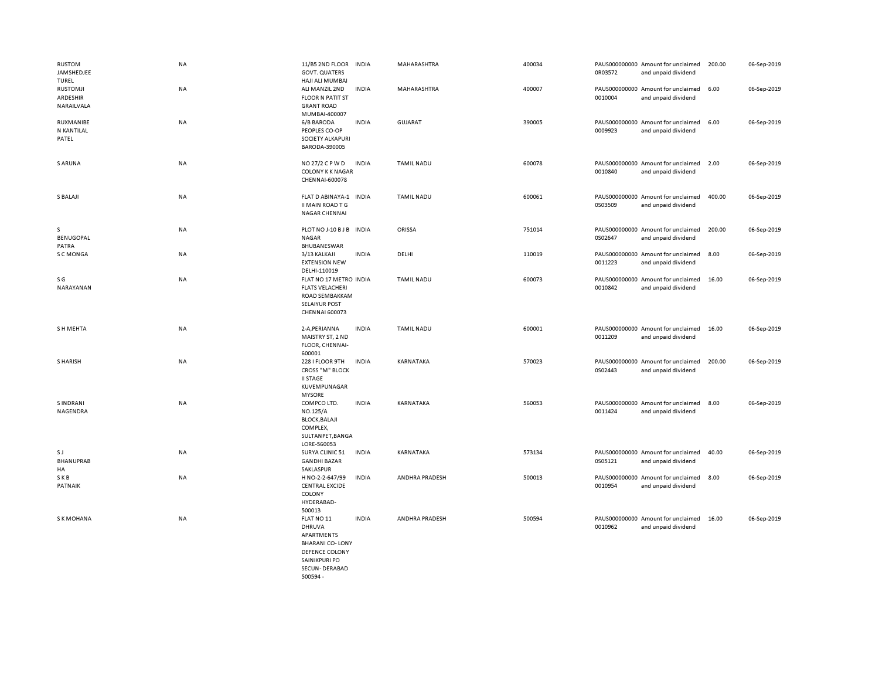| RUSTOM<br>JAMSHEDJEE<br>TUREL             | NA        | 11/B5 2ND FLOOR<br><b>GOVT. QUATERS</b><br>HAJI ALI MUMBAI                                                      | <b>INDIA</b> | MAHARASHTRA       | 400034 | 0R03572 | PAUS000000000 Amount for unclaimed<br>and unpaid dividend | 200.00 | 06-Sep-2019 |
|-------------------------------------------|-----------|-----------------------------------------------------------------------------------------------------------------|--------------|-------------------|--------|---------|-----------------------------------------------------------|--------|-------------|
| <b>RUSTOMJI</b><br>ARDESHIR<br>NARAILVALA | NA        | ALI MANZIL 2ND<br><b>FLOOR N PATIT ST</b><br><b>GRANT ROAD</b><br>MUMBAI-400007                                 | <b>INDIA</b> | MAHARASHTRA       | 400007 | 0010004 | PAUS000000000 Amount for unclaimed<br>and unpaid dividend | 6.00   | 06-Sep-2019 |
| RUXMANIBE<br>N KANTILAL<br>PATEL          | NA        | 6/B BARODA<br>PEOPLES CO-OP<br>SOCIETY ALKAPURI<br>BARODA-390005                                                | <b>INDIA</b> | <b>GUJARAT</b>    | 390005 | 0009923 | PAUS000000000 Amount for unclaimed<br>and unpaid dividend | 6.00   | 06-Sep-2019 |
| S ARUNA                                   | NA        | NO 27/2 C P W D<br><b>COLONY K K NAGAR</b><br>CHENNAI-600078                                                    | <b>INDIA</b> | TAMIL NADU        | 600078 | 0010840 | PAUS000000000 Amount for unclaimed<br>and unpaid dividend | 2.00   | 06-Sep-2019 |
| S BALAJI                                  | NA        | FLAT D ABINAYA-1 INDIA<br>II MAIN ROAD T G<br><b>NAGAR CHENNAI</b>                                              |              | <b>TAMIL NADU</b> | 600061 | 0S03509 | PAUS000000000 Amount for unclaimed<br>and unpaid dividend | 400.00 | 06-Sep-2019 |
| s<br><b>BENUGOPAL</b><br>PATRA            | NA        | PLOT NO J-10 B J B INDIA<br>NAGAR<br>BHUBANESWAR                                                                |              | ORISSA            | 751014 | 0S02647 | PAUS000000000 Amount for unclaimed<br>and unpaid dividend | 200.00 | 06-Sep-2019 |
| S C MONGA                                 | NA        | 3/13 KALKAJI<br><b>EXTENSION NEW</b><br>DELHI-110019                                                            | <b>INDIA</b> | DELHI             | 110019 | 0011223 | PAUS000000000 Amount for unclaimed<br>and unpaid dividend | 8.00   | 06-Sep-2019 |
| S G<br>NARAYANAN                          | NA        | FLAT NO 17 METRO INDIA<br><b>FLATS VELACHERI</b><br>ROAD SEMBAKKAM<br><b>SELAIYUR POST</b><br>CHENNAI 600073    |              | <b>TAMIL NADU</b> | 600073 | 0010842 | PAUS000000000 Amount for unclaimed<br>and unpaid dividend | 16.00  | 06-Sep-2019 |
| S H MEHTA                                 | NA        | 2-A, PERIANNA<br>MAISTRY ST, 2 ND<br>FLOOR, CHENNAI-<br>600001                                                  | <b>INDIA</b> | <b>TAMIL NADU</b> | 600001 | 0011209 | PAUS000000000 Amount for unclaimed<br>and unpaid dividend | 16.00  | 06-Sep-2019 |
| S HARISH                                  | <b>NA</b> | 228 I FLOOR 9TH<br><b>CROSS "M" BLOCK</b><br><b>II STAGE</b><br>KUVEMPUNAGAR<br><b>MYSORE</b>                   | <b>INDIA</b> | KARNATAKA         | 570023 | 0S02443 | PAUS000000000 Amount for unclaimed<br>and unpaid dividend | 200.00 | 06-Sep-2019 |
| <b>SINDRANI</b><br>NAGENDRA               | NA        | COMPCO LTD.<br><b>NO.125/A</b><br><b>BLOCK, BALAJI</b><br>COMPLEX,<br>SULTANPET, BANGA<br>LORE-560053           | <b>INDIA</b> | KARNATAKA         | 560053 | 0011424 | PAUS000000000 Amount for unclaimed<br>and unpaid dividend | 8.00   | 06-Sep-2019 |
| S J<br><b>BHANUPRAB</b><br>HA             | NA        | SURYA CLINIC 51<br><b>GANDHI BAZAR</b><br>SAKLASPUR                                                             | <b>INDIA</b> | KARNATAKA         | 573134 | 0S05121 | PAUS000000000 Amount for unclaimed<br>and unpaid dividend | 40.00  | 06-Sep-2019 |
| SKB<br>PATNAIK                            | NA        | H NO-2-2-647/99<br><b>CENTRAL EXCIDE</b><br>COLONY<br>HYDERABAD-<br>500013                                      | <b>INDIA</b> | ANDHRA PRADESH    | 500013 | 0010954 | PAUS000000000 Amount for unclaimed<br>and unpaid dividend | 8.00   | 06-Sep-2019 |
| <b>SKMOHANA</b>                           | <b>NA</b> | FLAT NO 11<br>DHRUVA<br>APARTMENTS<br><b>BHARANICO-LONY</b><br>DEFENCE COLONY<br>SAINIKPURI PO<br>SECUN-DERABAD | <b>INDIA</b> | ANDHRA PRADESH    | 500594 | 0010962 | PAUS000000000 Amount for unclaimed<br>and unpaid dividend | 16.00  | 06-Sep-2019 |

500594 -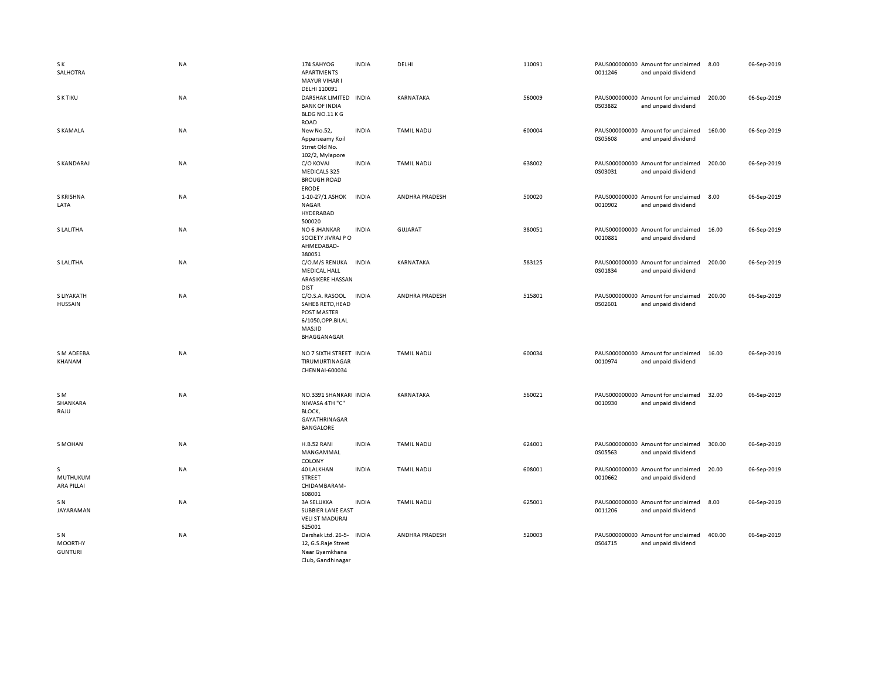| S K<br>SALHOTRA                        | <b>NA</b> | 174 SAHYOG<br>APARTMENTS<br>MAYUR VIHAR I                                                        | <b>INDIA</b> | DELHI                 | 110091 | 0011246 | PAUS000000000 Amount for unclaimed<br>and unpaid dividend | 8.00   | 06-Sep-2019 |
|----------------------------------------|-----------|--------------------------------------------------------------------------------------------------|--------------|-----------------------|--------|---------|-----------------------------------------------------------|--------|-------------|
| S K TIKU                               | <b>NA</b> | DELHI 110091<br>DARSHAK LIMITED<br><b>BANK OF INDIA</b><br>BLDG NO.11 KG<br>ROAD                 | <b>INDIA</b> | KARNATAKA             | 560009 | 0S03882 | PAUS000000000 Amount for unclaimed<br>and unpaid dividend | 200.00 | 06-Sep-2019 |
| S KAMALA                               | <b>NA</b> | New No.52,<br>Apparseamy Koil<br>Strret Old No.<br>102/2, Mylapore                               | <b>INDIA</b> | <b>TAMIL NADU</b>     | 600004 | 0S05608 | PAUS000000000 Amount for unclaimed<br>and unpaid dividend | 160.00 | 06-Sep-2019 |
| S KANDARAJ                             | <b>NA</b> | C/O KOVAI<br>MEDICALS 325<br><b>BROUGH ROAD</b><br><b>ERODE</b>                                  | <b>INDIA</b> | <b>TAMIL NADU</b>     | 638002 | 0S03031 | PAUS000000000 Amount for unclaimed<br>and unpaid dividend | 200.00 | 06-Sep-2019 |
| S KRISHNA<br>LATA                      | NA        | 1-10-27/1 ASHOK<br>NAGAR<br>HYDERABAD<br>500020                                                  | <b>INDIA</b> | <b>ANDHRA PRADESH</b> | 500020 | 0010902 | PAUS000000000 Amount for unclaimed<br>and unpaid dividend | 8.00   | 06-Sep-2019 |
| S LALITHA                              | NA        | NO 6 JHANKAR<br>SOCIETY JIVRAJ PO<br>AHMEDABAD-<br>380051                                        | <b>INDIA</b> | <b>GUJARAT</b>        | 380051 | 0010881 | PAUS000000000 Amount for unclaimed<br>and unpaid dividend | 16.00  | 06-Sep-2019 |
| S LALITHA                              | <b>NA</b> | C/O.M/S RENUKA<br><b>MEDICAL HALL</b><br>ARASIKERE HASSAN<br><b>DIST</b>                         | <b>INDIA</b> | KARNATAKA             | 583125 | 0S01834 | PAUS000000000 Amount for unclaimed<br>and unpaid dividend | 200.00 | 06-Sep-2019 |
| S LIYAKATH<br><b>HUSSAIN</b>           | <b>NA</b> | C/O.S.A. RASOOL<br>SAHEB RETD, HEAD<br>POST MASTER<br>6/1050, OPP.BILAL<br>MASJID<br>BHAGGANAGAR | <b>INDIA</b> | <b>ANDHRA PRADESH</b> | 515801 | 0S02601 | PAUS000000000 Amount for unclaimed<br>and unpaid dividend | 200.00 | 06-Sep-2019 |
| S M ADEEBA<br>KHANAM                   | NA        | NO 7 SIXTH STREET INDIA<br>TIRUMURTINAGAR<br>CHENNAI-600034                                      |              | <b>TAMIL NADU</b>     | 600034 | 0010974 | PAUS000000000 Amount for unclaimed<br>and unpaid dividend | 16.00  | 06-Sep-2019 |
| SM<br>SHANKARA<br>RAJU                 | <b>NA</b> | NO.3391 SHANKARI INDIA<br>NIWASA 4TH "C"<br>BLOCK,<br>GAYATHRINAGAR<br>BANGALORE                 |              | KARNATAKA             | 560021 | 0010930 | PAUS000000000 Amount for unclaimed<br>and unpaid dividend | 32.00  | 06-Sep-2019 |
| <b>S MOHAN</b>                         | <b>NA</b> | H.B.52 RANI<br>MANGAMMAL<br>COLONY                                                               | <b>INDIA</b> | <b>TAMIL NADU</b>     | 624001 | 0S05563 | PAUS000000000 Amount for unclaimed<br>and unpaid dividend | 300.00 | 06-Sep-2019 |
| s<br>MUTHUKUM<br><b>ARA PILLAI</b>     | NA        | 40 LALKHAN<br><b>STREET</b><br>CHIDAMBARAM-<br>608001                                            | <b>INDIA</b> | <b>TAMIL NADU</b>     | 608001 | 0010662 | PAUS000000000 Amount for unclaimed<br>and unpaid dividend | 20.00  | 06-Sep-2019 |
| SN.<br>JAYARAMAN                       | NA        | <b>3A SELUKKA</b><br>SUBBIER LANE EAST<br><b>VELI ST MADURAI</b><br>625001                       | <b>INDIA</b> | <b>TAMIL NADU</b>     | 625001 | 0011206 | PAUS000000000 Amount for unclaimed<br>and unpaid dividend | 8.00   | 06-Sep-2019 |
| SN<br><b>MOORTHY</b><br><b>GUNTURI</b> | NA        | Darshak Ltd. 26-5-<br>12, G.S.Raje Street<br>Near Gyamkhana<br>Club, Gandhinagar                 | <b>INDIA</b> | <b>ANDHRA PRADESH</b> | 520003 | 0S04715 | PAUS000000000 Amount for unclaimed<br>and unpaid dividend | 400.00 | 06-Sep-2019 |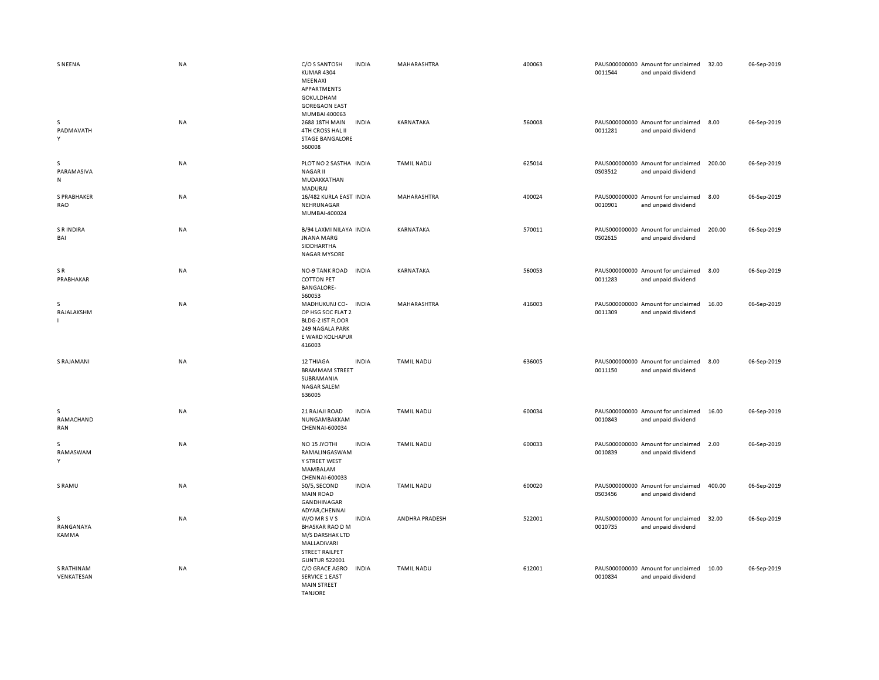| <b>SNEENA</b>                   | <b>NA</b> | C/O S SANTOSH<br><b>INDIA</b><br>KUMAR 4304<br>MEENAXI<br>APPARTMENTS<br>GOKULDHAM<br><b>GOREGAON EAST</b><br>MUMBAI 400063               | MAHARASHTRA       | 400063 | 0011544 | PAUS000000000 Amount for unclaimed<br>and unpaid dividend | 32.00  | 06-Sep-2019 |
|---------------------------------|-----------|-------------------------------------------------------------------------------------------------------------------------------------------|-------------------|--------|---------|-----------------------------------------------------------|--------|-------------|
| s<br>PADMAVATH<br>Y             | NA        | 2688 18TH MAIN<br><b>INDIA</b><br>4TH CROSS HAL II<br><b>STAGE BANGALORE</b><br>560008                                                    | KARNATAKA         | 560008 | 0011281 | PAUS000000000 Amount for unclaimed<br>and unpaid dividend | 8.00   | 06-Sep-2019 |
| s<br>PARAMASIVA<br>$\mathsf{N}$ | NA        | PLOT NO 2 SASTHA INDIA<br><b>NAGAR II</b><br>MUDAKKATHAN<br>MADURAI                                                                       | <b>TAMIL NADU</b> | 625014 | 0S03512 | PAUS000000000 Amount for unclaimed<br>and unpaid dividend | 200.00 | 06-Sep-2019 |
| <b>S PRABHAKER</b><br>RAO       | <b>NA</b> | 16/482 KURLA EAST INDIA<br>NEHRUNAGAR<br>MUMBAI-400024                                                                                    | MAHARASHTRA       | 400024 | 0010901 | PAUS000000000 Amount for unclaimed<br>and unpaid dividend | 8.00   | 06-Sep-2019 |
| <b>SRINDIRA</b><br>BAI          | NA        | B/94 LAXMI NILAYA INDIA<br><b>JNANA MARG</b><br>SIDDHARTHA<br><b>NAGAR MYSORE</b>                                                         | KARNATAKA         | 570011 | 0S02615 | PAUS000000000 Amount for unclaimed<br>and unpaid dividend | 200.00 | 06-Sep-2019 |
| SR<br>PRABHAKAR                 | NA        | <b>INDIA</b><br><b>NO-9 TANK ROAD</b><br><b>COTTON PET</b><br><b>BANGALORE-</b><br>560053                                                 | KARNATAKA         | 560053 | 0011283 | PAUS000000000 Amount for unclaimed<br>and unpaid dividend | 8.00   | 06-Sep-2019 |
| s<br>RAJALAKSHM                 | NA        | MADHUKUNJ CO-<br><b>INDIA</b><br>OP HSG SOC FLAT 2<br><b>BLDG-2 IST FLOOR</b><br>249 NAGALA PARK<br>E WARD KOLHAPUR<br>416003             | MAHARASHTRA       | 416003 | 0011309 | PAUS000000000 Amount for unclaimed<br>and unpaid dividend | 16.00  | 06-Sep-2019 |
| <b>S RAJAMANI</b>               | <b>NA</b> | 12 THIAGA<br><b>INDIA</b><br><b>BRAMMAM STREET</b><br>SUBRAMANIA<br><b>NAGAR SALEM</b><br>636005                                          | <b>TAMIL NADU</b> | 636005 | 0011150 | PAUS000000000 Amount for unclaimed<br>and unpaid dividend | 8.00   | 06-Sep-2019 |
| s<br>RAMACHAND<br>RAN           | <b>NA</b> | 21 RAJAJI ROAD<br><b>INDIA</b><br>NUNGAMBAKKAM<br>CHENNAI-600034                                                                          | <b>TAMIL NADU</b> | 600034 | 0010843 | PAUS000000000 Amount for unclaimed<br>and unpaid dividend | 16.00  | 06-Sep-2019 |
| <sub>S</sub><br>RAMASWAM<br>Υ   | NA        | NO <sub>15</sub> JYOTHI<br><b>INDIA</b><br>RAMALINGASWAM<br>Y STREET WEST<br>MAMBALAM<br>CHENNAI-600033                                   | <b>TAMIL NADU</b> | 600033 | 0010839 | PAUS000000000 Amount for unclaimed<br>and unpaid dividend | 2.00   | 06-Sep-2019 |
| S RAMU                          | NA        | 50/5, SECOND<br><b>INDIA</b><br><b>MAIN ROAD</b><br>GANDHINAGAR<br>ADYAR, CHENNAI                                                         | <b>TAMIL NADU</b> | 600020 | 0S03456 | PAUS000000000 Amount for unclaimed<br>and unpaid dividend | 400.00 | 06-Sep-2019 |
| s<br>RANGANAYA<br>KAMMA         | NA        | W/O MR S V S<br><b>INDIA</b><br><b>BHASKAR RAO D M</b><br>M/S DARSHAK LTD<br>MALLADIVARI<br><b>STREET RAILPET</b><br><b>GUNTUR 522001</b> | ANDHRA PRADESH    | 522001 | 0010735 | PAUS000000000 Amount for unclaimed<br>and unpaid dividend | 32.00  | 06-Sep-2019 |
| S RATHINAM<br>VENKATESAN        | <b>NA</b> | C/O GRACE AGRO<br>INDIA<br><b>SERVICE 1 EAST</b><br><b>MAIN STREET</b><br><b>TANJORE</b>                                                  | <b>TAMIL NADU</b> | 612001 | 0010834 | PAUS000000000 Amount for unclaimed<br>and unpaid dividend | 10.00  | 06-Sep-2019 |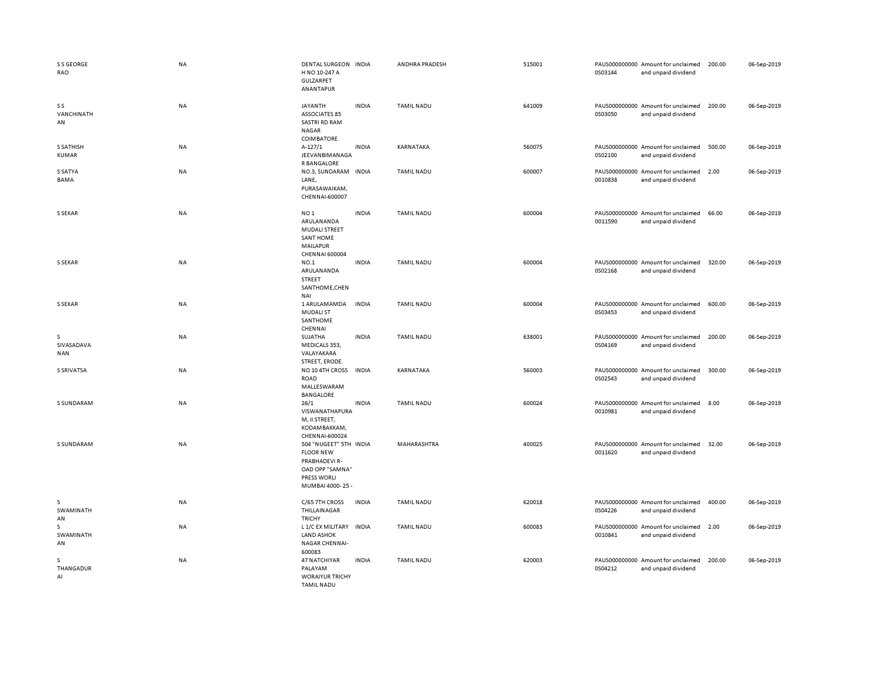| S S GEORGE<br>RAO                | <b>NA</b> | DENTAL SURGEON INDIA<br>H NO 10-247 A<br>GULZARPET<br>ANANTAPUR                                                       |              | ANDHRA PRADESH    | 515001 | 0S03144 | PAUS000000000 Amount for unclaimed<br>and unpaid dividend | 200.00 | 06-Sep-2019 |
|----------------------------------|-----------|-----------------------------------------------------------------------------------------------------------------------|--------------|-------------------|--------|---------|-----------------------------------------------------------|--------|-------------|
| S S<br>VANCHINATH<br>AN          | NA        | <b>JAYANTH</b><br><b>ASSOCIATES 85</b><br><b>SASTRI RD RAM</b><br>NAGAR<br>COIMBATORE                                 | <b>INDIA</b> | <b>TAMIL NADU</b> | 641009 | 0S03050 | PAUS000000000 Amount for unclaimed<br>and unpaid dividend | 200.00 | 06-Sep-2019 |
| <b>S SATHISH</b><br><b>KUMAR</b> | NA        | $A-127/1$<br>JEEVANBIMANAGA<br>R BANGALORE                                                                            | <b>INDIA</b> | KARNATAKA         | 560075 | 0S02100 | PAUS000000000 Amount for unclaimed<br>and unpaid dividend | 500.00 | 06-Sep-2019 |
| S SATYA<br>BAMA                  | <b>NA</b> | NO.3, SUNDARAM INDIA<br>LANE,<br>PURASAWAIKAM,<br>CHENNAI-600007                                                      |              | <b>TAMIL NADU</b> | 600007 | 0010838 | PAUS000000000 Amount for unclaimed<br>and unpaid dividend | 2.00   | 06-Sep-2019 |
| S SEKAR                          | <b>NA</b> | NO <sub>1</sub><br>ARULANANDA<br><b>MUDALI STREET</b><br><b>SANT HOME</b><br><b>MAILAPUR</b><br><b>CHENNAI 600004</b> | <b>INDIA</b> | <b>TAMIL NADU</b> | 600004 | 0011590 | PAUS000000000 Amount for unclaimed<br>and unpaid dividend | 66.00  | 06-Sep-2019 |
| <b>S SEKAR</b>                   | <b>NA</b> | NO.1<br>ARULANANDA<br><b>STREET</b><br>SANTHOME, CHEN<br>NAI                                                          | <b>INDIA</b> | <b>TAMIL NADU</b> | 600004 | 0S02168 | PAUS000000000 Amount for unclaimed<br>and unpaid dividend | 320.00 | 06-Sep-2019 |
| <b>S SEKAR</b>                   | <b>NA</b> | 1 ARULAMAMDA<br><b>MUDALI ST</b><br>SANTHOME<br>CHENNAI                                                               | <b>INDIA</b> | <b>TAMIL NADU</b> | 600004 | 0S03453 | PAUS000000000 Amount for unclaimed<br>and unpaid dividend | 600.00 | 06-Sep-2019 |
| s<br>SIVASADAVA<br><b>NAN</b>    | NA        | SUJATHA<br>MEDICALS 353,<br>VALAYAKARA<br>STREET, ERODE.                                                              | <b>INDIA</b> | <b>TAMIL NADU</b> | 638001 | 0S04169 | PAUS000000000 Amount for unclaimed<br>and unpaid dividend | 200.00 | 06-Sep-2019 |
| S SRIVATSA                       | <b>NA</b> | NO 10 4TH CROSS<br><b>ROAD</b><br>MALLESWARAM<br>BANGALORE                                                            | <b>INDIA</b> | KARNATAKA         | 560003 | 0S02543 | PAUS000000000 Amount for unclaimed<br>and unpaid dividend | 300.00 | 06-Sep-2019 |
| S SUNDARAM                       | <b>NA</b> | 26/1<br>VISWANATHAPURA<br>M, II STREET,<br>KODAMBAKKAM,<br>CHENNAI-600024                                             | <b>INDIA</b> | <b>TAMIL NADU</b> | 600024 | 0010981 | PAUS000000000 Amount for unclaimed<br>and unpaid dividend | 8.00   | 06-Sep-2019 |
| S SUNDARAM                       | <b>NA</b> | 504 "NUGEET" 5TH INDIA<br><b>FLOOR NEW</b><br>PRABHADEVI R-<br>OAD OPP "SAMNA"<br>PRESS WORLI<br>MUMBAI 4000-25-      |              | MAHARASHTRA       | 400025 | 0011620 | PAUS000000000 Amount for unclaimed<br>and unpaid dividend | 32.00  | 06-Sep-2019 |
| s<br>SWAMINATH<br>AN             | NA        | C/65 7TH CROSS<br>THILLAINAGAR<br><b>TRICHY</b>                                                                       | <b>INDIA</b> | <b>TAMIL NADU</b> | 620018 | 0S04226 | PAUS000000000 Amount for unclaimed<br>and unpaid dividend | 400.00 | 06-Sep-2019 |
| s<br>SWAMINATH<br>AN             | NA        | L 1/C EX MILITARY INDIA<br><b>LAND ASHOK</b><br>NAGAR CHENNAI-<br>600083                                              |              | <b>TAMIL NADU</b> | 600083 | 0010841 | PAUS000000000 Amount for unclaimed<br>and unpaid dividend | 2.00   | 06-Sep-2019 |
| s<br>THANGADUR<br>AI             | <b>NA</b> | 47 NATCHIYAR<br>PALAYAM<br><b>WORAIYUR TRICHY</b><br><b>TAMIL NADU</b>                                                | <b>INDIA</b> | <b>TAMIL NADU</b> | 620003 | 0S04212 | PAUS000000000 Amount for unclaimed<br>and unpaid dividend | 200.00 | 06-Sep-2019 |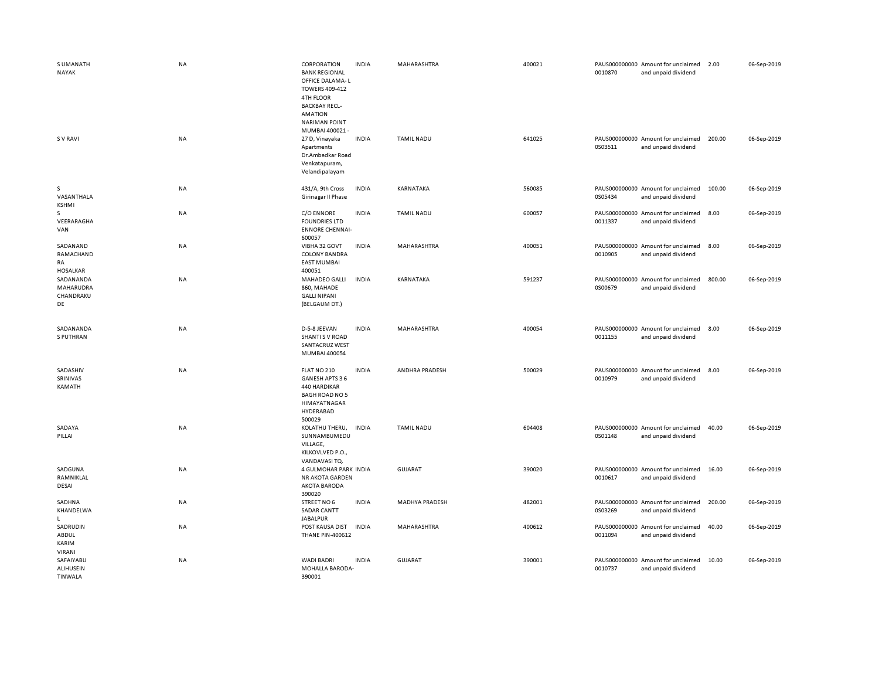| S UMANATH<br><b>NAYAK</b>                      | <b>NA</b> | CORPORATION<br><b>BANK REGIONAL</b><br>OFFICE DALAMA-L<br><b>TOWERS 409-412</b><br>4TH FLOOR<br><b>BACKBAY RECL-</b><br><b>AMATION</b><br><b>NARIMAN POINT</b><br>MUMBAI 400021- | <b>INDIA</b> | MAHARASHTRA        | 400021 | 0010870 | PAUS000000000 Amount for unclaimed<br>and unpaid dividend | 2.00   | 06-Sep-2019 |
|------------------------------------------------|-----------|----------------------------------------------------------------------------------------------------------------------------------------------------------------------------------|--------------|--------------------|--------|---------|-----------------------------------------------------------|--------|-------------|
| S V RAVI                                       | NA        | 27 D, Vinayaka<br>Apartments<br>Dr.Ambedkar Road<br>Venkatapuram,<br>Velandipalayam                                                                                              | <b>INDIA</b> | <b>TAMIL NADU</b>  | 641025 | 0S03511 | PAUS000000000 Amount for unclaimed<br>and unpaid dividend | 200.00 | 06-Sep-2019 |
| S.<br>VASANTHALA<br><b>KSHMI</b>               | NA        | 431/A, 9th Cross<br>Girinagar II Phase                                                                                                                                           | <b>INDIA</b> | KARNATAKA          | 560085 | 0S05434 | PAUS000000000 Amount for unclaimed<br>and unpaid dividend | 100.00 | 06-Sep-2019 |
| s<br>VEERARAGHA<br>VAN                         | NA        | C/O ENNORE<br><b>FOUNDRIES LTD</b><br><b>ENNORE CHENNAI-</b><br>600057                                                                                                           | <b>INDIA</b> | TAMIL NADU         | 600057 | 0011337 | PAUS000000000 Amount for unclaimed<br>and unpaid dividend | 8.00   | 06-Sep-2019 |
| SADANAND<br>RAMACHAND<br>RA<br><b>HOSALKAR</b> | NA        | VIBHA 32 GOVT<br><b>COLONY BANDRA</b><br><b>EAST MUMBAI</b><br>400051                                                                                                            | <b>INDIA</b> | MAHARASHTRA        | 400051 | 0010905 | PAUS000000000 Amount for unclaimed<br>and unpaid dividend | 8.00   | 06-Sep-2019 |
| SADANANDA<br>MAHARUDRA<br>CHANDRAKU<br>DE      | NA        | MAHADEO GALLI<br>860, MAHADE<br><b>GALLI NIPANI</b><br>(BELGAUM DT.)                                                                                                             | <b>INDIA</b> | KARNATAKA          | 591237 | 0S00679 | PAUS000000000 Amount for unclaimed<br>and unpaid dividend | 800.00 | 06-Sep-2019 |
| SADANANDA<br>S PUTHRAN                         | NA        | D-5-8 JEEVAN<br><b>SHANTI S V ROAD</b><br>SANTACRUZ WEST<br>MUMBAI 400054                                                                                                        | <b>INDIA</b> | MAHARASHTRA        | 400054 | 0011155 | PAUS000000000 Amount for unclaimed<br>and unpaid dividend | 8.00   | 06-Sep-2019 |
| SADASHIV<br>SRINIVAS<br>KAMATH                 | NA        | FLAT NO 210<br>GANESH APTS 36<br>440 HARDIKAR<br><b>BAGH ROAD NO 5</b><br>HIMAYATNAGAR<br>HYDERABAD<br>500029                                                                    | <b>INDIA</b> | ANDHRA PRADESH     | 500029 | 0010979 | PAUS000000000 Amount for unclaimed<br>and unpaid dividend | 8.00   | 06-Sep-2019 |
| SADAYA<br>PILLAI                               | NA        | KOLATHU THERU,<br>SUNNAMBUMEDU<br>VILLAGE,<br>KILKOVLVED P.O.,<br>VANDAVASI TQ.                                                                                                  | <b>INDIA</b> | <b>TAMIL NADU</b>  | 604408 | 0S01148 | PAUS000000000 Amount for unclaimed<br>and unpaid dividend | 40.00  | 06-Sep-2019 |
| SADGUNA<br>RAMNIKLAL<br>DESAI                  | NA        | 4 GULMOHAR PARK INDIA<br><b>NR AKOTA GARDEN</b><br>AKOTA BARODA<br>390020                                                                                                        |              | <b>GUJARAT</b>     | 390020 | 0010617 | PAUS000000000 Amount for unclaimed<br>and unpaid dividend | 16.00  | 06-Sep-2019 |
| SADHNA<br>KHANDELWA<br>$\mathbf{L}$            | NA        | STREET NO 6<br><b>SADAR CANTT</b><br><b>JABALPUR</b>                                                                                                                             | <b>INDIA</b> | MADHYA PRADESH     | 482001 | 0S03269 | PAUS000000000 Amount for unclaimed<br>and unpaid dividend | 200.00 | 06-Sep-2019 |
| SADRUDIN<br>ABDUL<br>KARIM<br>VIRANI           | <b>NA</b> | POST KAUSA DIST<br><b>THANE PIN-400612</b>                                                                                                                                       | <b>INDIA</b> | <b>MAHARASHTRA</b> | 400612 | 0011094 | PAUS000000000 Amount for unclaimed<br>and unpaid dividend | 40.00  | 06-Sep-2019 |
| SAFAIYABU<br>ALIHUSEIN<br><b>TINWALA</b>       | <b>NA</b> | <b>WADI BADRI</b><br>MOHALLA BARODA-<br>390001                                                                                                                                   | <b>INDIA</b> | <b>GUJARAT</b>     | 390001 | 0010737 | PAUS000000000 Amount for unclaimed<br>and unpaid dividend | 10.00  | 06-Sep-2019 |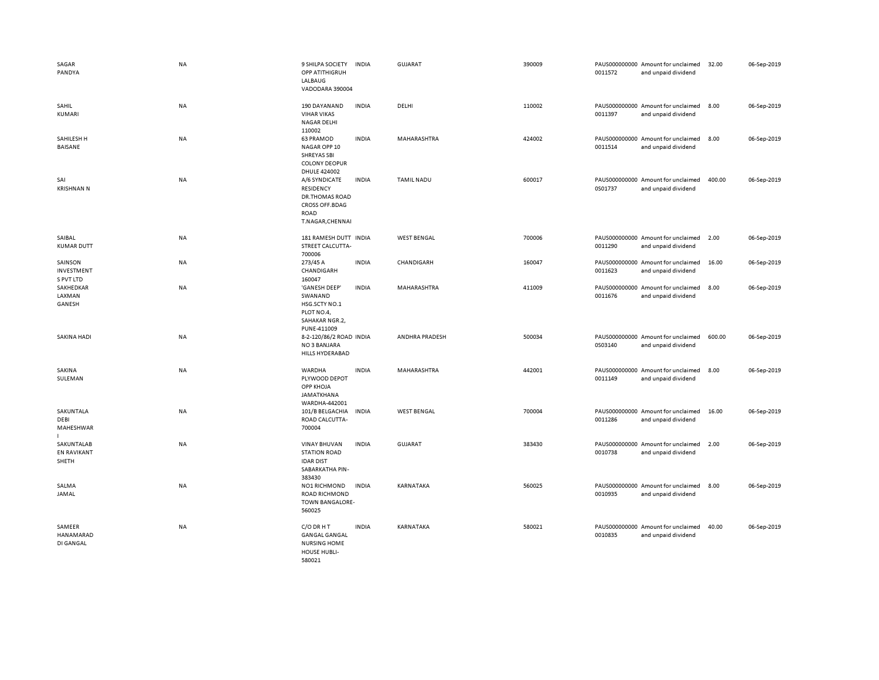| SAGAR<br>PANDYA                           | NA        | 9 SHILPA SOCIETY<br>OPP ATITHIGRUH<br>LALBAUG<br>VADODARA 390004                                                | <b>INDIA</b> | GUJARAT            | 390009 | 0011572 | PAUS000000000 Amount for unclaimed<br>and unpaid dividend | 32.00  | 06-Sep-2019 |
|-------------------------------------------|-----------|-----------------------------------------------------------------------------------------------------------------|--------------|--------------------|--------|---------|-----------------------------------------------------------|--------|-------------|
| SAHIL<br>KUMARI                           | NA        | 190 DAYANAND<br><b>VIHAR VIKAS</b><br><b>NAGAR DELHI</b><br>110002                                              | <b>INDIA</b> | DELHI              | 110002 | 0011397 | PAUS000000000 Amount for unclaimed<br>and unpaid dividend | 8.00   | 06-Sep-2019 |
| SAHILESH H<br>BAISANE                     | NA        | 63 PRAMOD<br>NAGAR OPP 10<br>SHREYAS SBI<br><b>COLONY DEOPUR</b><br><b>DHULE 424002</b>                         | <b>INDIA</b> | MAHARASHTRA        | 424002 | 0011514 | PAUS000000000 Amount for unclaimed<br>and unpaid dividend | 8.00   | 06-Sep-2019 |
| SAI<br><b>KRISHNAN N</b>                  | <b>NA</b> | A/6 SYNDICATE<br>RESIDENCY<br><b>DR.THOMAS ROAD</b><br><b>CROSS OFF.BDAG</b><br><b>ROAD</b><br>T.NAGAR, CHENNAI | <b>INDIA</b> | <b>TAMIL NADU</b>  | 600017 | 0S01737 | PAUS000000000 Amount for unclaimed<br>and unpaid dividend | 400.00 | 06-Sep-2019 |
| SAIBAL<br><b>KUMAR DUTT</b>               | <b>NA</b> | 181 RAMESH DUTT INDIA<br>STREET CALCUTTA-<br>700006                                                             |              | <b>WEST BENGAL</b> | 700006 | 0011290 | PAUS000000000 Amount for unclaimed<br>and unpaid dividend | 2.00   | 06-Sep-2019 |
| SAINSON<br>INVESTMENT<br>S PVT LTD        | NA        | 273/45 A<br>CHANDIGARH<br>160047                                                                                | <b>INDIA</b> | CHANDIGARH         | 160047 | 0011623 | PAUS000000000 Amount for unclaimed<br>and unpaid dividend | 16.00  | 06-Sep-2019 |
| SAKHEDKAR<br>LAXMAN<br>GANESH             | NA        | 'GANESH DEEP'<br>SWANAND<br>HSG.SCTY NO.1<br>PLOT NO.4,<br>SAHAKAR NGR.2,<br>PUNE-411009                        | <b>INDIA</b> | MAHARASHTRA        | 411009 | 0011676 | PAUS000000000 Amount for unclaimed<br>and unpaid dividend | 8.00   | 06-Sep-2019 |
| <b>SAKINA HADI</b>                        | <b>NA</b> | 8-2-120/86/2 ROAD INDIA<br>NO 3 BANJARA<br>HILLS HYDERABAD                                                      |              | ANDHRA PRADESH     | 500034 | 0S03140 | PAUS000000000 Amount for unclaimed<br>and unpaid dividend | 600.00 | 06-Sep-2019 |
| SAKINA<br>SULEMAN                         | <b>NA</b> | WARDHA<br>PLYWOOD DEPOT<br>OPP KHOJA<br><b>JAMATKHANA</b><br>WARDHA-442001                                      | <b>INDIA</b> | MAHARASHTRA        | 442001 | 0011149 | PAUS000000000 Amount for unclaimed<br>and unpaid dividend | 8.00   | 06-Sep-2019 |
| SAKUNTALA<br>DEBI<br>MAHESHWAR            | <b>NA</b> | 101/B BELGACHIA<br>ROAD CALCUTTA-<br>700004                                                                     | <b>INDIA</b> | <b>WEST BENGAL</b> | 700004 | 0011286 | PAUS000000000 Amount for unclaimed<br>and unpaid dividend | 16.00  | 06-Sep-2019 |
| SAKUNTALAB<br><b>EN RAVIKANT</b><br>SHETH | <b>NA</b> | <b>VINAY BHUVAN</b><br><b>STATION ROAD</b><br><b>IDAR DIST</b><br>SABARKATHA PIN-<br>383430                     | <b>INDIA</b> | GUJARAT            | 383430 | 0010738 | PAUS000000000 Amount for unclaimed<br>and unpaid dividend | 2.00   | 06-Sep-2019 |
| SALMA<br>JAMAL                            | <b>NA</b> | <b>NO1 RICHMOND</b><br><b>ROAD RICHMOND</b><br>TOWN BANGALORE-<br>560025                                        | INDIA        | KARNATAKA          | 560025 | 0010935 | PAUS000000000 Amount for unclaimed<br>and unpaid dividend | 8.00   | 06-Sep-2019 |
| SAMEER<br>HANAMARAD<br>DI GANGAL          | NA        | C/O DR H T<br><b>GANGAL GANGAL</b><br><b>NURSING HOME</b><br>HOUSE HUBLI-<br>580021                             | <b>INDIA</b> | KARNATAKA          | 580021 | 0010835 | PAUS000000000 Amount for unclaimed<br>and unpaid dividend | 40.00  | 06-Sep-2019 |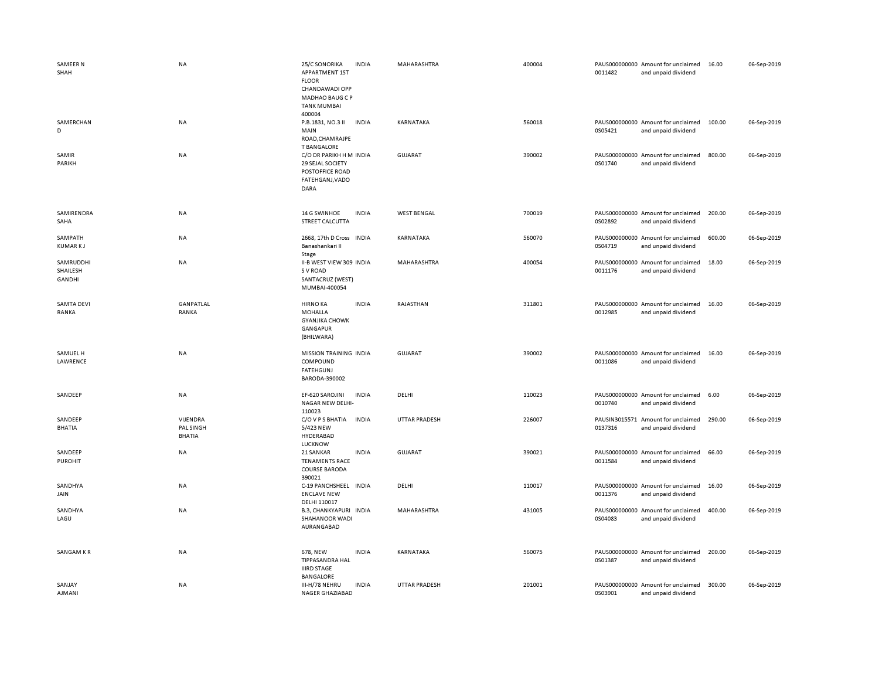| <b>SAMEER N</b><br>SHAH         | <b>NA</b>                              | 25/C SONORIKA<br>APPARTMENT 1ST<br><b>FLOOR</b><br>CHANDAWADI OPP<br>MADHAO BAUG C P<br><b>TANK MUMBAI</b> | <b>INDIA</b> | MAHARASHTRA          | 400004 | 0011482 | PAUS000000000 Amount for unclaimed<br>and unpaid dividend | 16.00  | 06-Sep-2019 |
|---------------------------------|----------------------------------------|------------------------------------------------------------------------------------------------------------|--------------|----------------------|--------|---------|-----------------------------------------------------------|--------|-------------|
| SAMERCHAN<br>D                  | <b>NA</b>                              | 400004<br>P.B.1831, NO.3 II<br>MAIN<br>ROAD, CHAM RAJPE<br><b>T BANGALORE</b>                              | <b>INDIA</b> | KARNATAKA            | 560018 | 0S05421 | PAUS000000000 Amount for unclaimed<br>and unpaid dividend | 100.00 | 06-Sep-2019 |
| SAMIR<br>PARIKH                 | <b>NA</b>                              | C/O DR PARIKH H M INDIA<br>29 SEJAL SOCIETY<br>POSTOFFICE ROAD<br>FATEHGANJ, VADO<br>DARA                  |              | <b>GUJARAT</b>       | 390002 | 0S01740 | PAUS000000000 Amount for unclaimed<br>and unpaid dividend | 800.00 | 06-Sep-2019 |
| SAMIRENDRA<br>SAHA              | <b>NA</b>                              | 14 G SWINHOE<br>STREET CALCUTTA                                                                            | <b>INDIA</b> | <b>WEST BENGAL</b>   | 700019 | 0S02892 | PAUS000000000 Amount for unclaimed<br>and unpaid dividend | 200.00 | 06-Sep-2019 |
| SAMPATH<br><b>KUMARKJ</b>       | <b>NA</b>                              | 2668, 17th D Cross INDIA<br>Banashankari II<br>Stage                                                       |              | KARNATAKA            | 560070 | 0S04719 | PAUS000000000 Amount for unclaimed<br>and unpaid dividend | 600.00 | 06-Sep-2019 |
| SAMRUDDHI<br>SHAILESH<br>GANDHI | <b>NA</b>                              | II-B WEST VIEW 309 INDIA<br>S V ROAD<br>SANTACRUZ (WEST)<br>MUMBAI-400054                                  |              | MAHARASHTRA          | 400054 | 0011176 | PAUS000000000 Amount for unclaimed<br>and unpaid dividend | 18.00  | 06-Sep-2019 |
| <b>SAMTA DEVI</b><br>RANKA      | GANPATLAL<br>RANKA                     | <b>HIRNO KA</b><br><b>MOHALLA</b><br><b>GYANJIKA CHOWK</b><br>GANGAPUR<br>(BHILWARA)                       | <b>INDIA</b> | RAJASTHAN            | 311801 | 0012985 | PAUS000000000 Amount for unclaimed<br>and unpaid dividend | 16.00  | 06-Sep-2019 |
| SAMUEL H<br>LAWRENCE            | <b>NA</b>                              | MISSION TRAINING INDIA<br>COMPOUND<br><b>FATEHGUNJ</b><br>BARODA-390002                                    |              | <b>GUJARAT</b>       | 390002 | 0011086 | PAUS000000000 Amount for unclaimed<br>and unpaid dividend | 16.00  | 06-Sep-2019 |
| SANDEEP                         | <b>NA</b>                              | EF-620 SAROJINI<br>NAGAR NEW DELHI-<br>110023                                                              | <b>INDIA</b> | DELHI                | 110023 | 0010740 | PAUS000000000 Amount for unclaimed<br>and unpaid dividend | 6.00   | 06-Sep-2019 |
| SANDEEP<br><b>BHATIA</b>        | VIJENDRA<br>PAL SINGH<br><b>BHATIA</b> | C/O V P S BHATIA<br>5/423 NEW<br>HYDERABAD<br>LUCKNOW                                                      | <b>INDIA</b> | <b>UTTAR PRADESH</b> | 226007 | 0137316 | PAUSIN3015571 Amount for unclaimed<br>and unpaid dividend | 290.00 | 06-Sep-2019 |
| SANDEEP<br><b>PUROHIT</b>       | <b>NA</b>                              | 21 SANKAR<br><b>TENAMENTS RACE</b><br><b>COURSE BARODA</b><br>390021                                       | <b>INDIA</b> | <b>GUJARAT</b>       | 390021 | 0011584 | PAUS000000000 Amount for unclaimed<br>and unpaid dividend | 66.00  | 06-Sep-2019 |
| SANDHYA<br>JAIN                 | NA                                     | C-19 PANCHSHEEL INDIA<br><b>ENCLAVE NEW</b><br>DELHI 110017                                                |              | DELHI                | 110017 | 0011376 | PAUS000000000 Amount for unclaimed<br>and unpaid dividend | 16.00  | 06-Sep-2019 |
| SANDHYA<br>LAGU                 | NA                                     | B.3, CHANKYAPURI INDIA<br>SHAHANOOR WADI<br>AURANGABAD                                                     |              | MAHARASHTRA          | 431005 | 0S04083 | PAUS000000000 Amount for unclaimed<br>and unpaid dividend | 400.00 | 06-Sep-2019 |
| SANGAM KR                       | <b>NA</b>                              | 678. NEW<br>TIPPASANDRA HAL<br><b>IIIRD STAGE</b><br>BANGALORE                                             | <b>INDIA</b> | KARNATAKA            | 560075 | 0S01387 | PAUS000000000 Amount for unclaimed<br>and unpaid dividend | 200.00 | 06-Sep-2019 |
| SANJAY<br><b>AJMANI</b>         | <b>NA</b>                              | III-H/78 NEHRU<br><b>NAGER GHAZIABAD</b>                                                                   | <b>INDIA</b> | <b>UTTAR PRADESH</b> | 201001 | 0S03901 | PAUS000000000 Amount for unclaimed<br>and unpaid dividend | 300.00 | 06-Sep-2019 |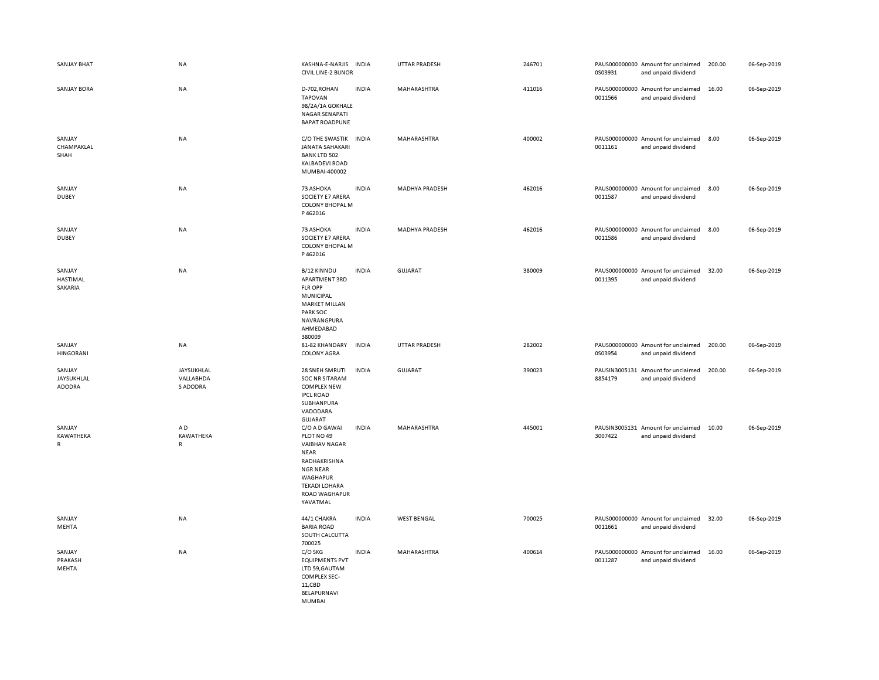| <b>SANJAY BHAT</b>                   | <b>NA</b>                           | KASHNA-E-NARJIS<br><b>CIVIL LINE-2 BIJNOR</b>                                                                                                                                        | <b>INDIA</b> | UTTAR PRADESH      | 246701 | 0S03931 | PAUS000000000 Amount for unclaimed<br>and unpaid dividend | 200.00 | 06-Sep-2019 |
|--------------------------------------|-------------------------------------|--------------------------------------------------------------------------------------------------------------------------------------------------------------------------------------|--------------|--------------------|--------|---------|-----------------------------------------------------------|--------|-------------|
| <b>SANJAY BORA</b>                   | NA                                  | D-702, ROHAN<br><b>TAPOVAN</b><br>98/2A/1A GOKHALE<br><b>NAGAR SENAPATI</b><br><b>BAPAT ROADPUNE</b>                                                                                 | <b>INDIA</b> | MAHARASHTRA        | 411016 | 0011566 | PAUS000000000 Amount for unclaimed<br>and unpaid dividend | 16.00  | 06-Sep-2019 |
| SANJAY<br>CHAMPAKLAL<br>SHAH         | NA                                  | C/O THE SWASTIK INDIA<br><b>JANATA SAHAKARI</b><br><b>BANK LTD 502</b><br>KALBADEVI ROAD<br>MUMBAI-400002                                                                            |              | MAHARASHTRA        | 400002 | 0011161 | PAUS000000000 Amount for unclaimed<br>and unpaid dividend | 8.00   | 06-Sep-2019 |
| SANJAY<br><b>DUBEY</b>               | <b>NA</b>                           | 73 ASHOKA<br>SOCIETY E7 ARERA<br><b>COLONY BHOPAL M</b><br>P462016                                                                                                                   | <b>INDIA</b> | MADHYA PRADESH     | 462016 | 0011587 | PAUS000000000 Amount for unclaimed<br>and unpaid dividend | 8.00   | 06-Sep-2019 |
| SANJAY<br><b>DUBEY</b>               | <b>NA</b>                           | 73 ASHOKA<br>SOCIETY E7 ARERA<br><b>COLONY BHOPAL M</b><br>P462016                                                                                                                   | <b>INDIA</b> | MADHYA PRADESH     | 462016 | 0011586 | PAUS000000000 Amount for unclaimed<br>and unpaid dividend | 8.00   | 06-Sep-2019 |
| SANJAY<br><b>HASTIMAL</b><br>SAKARIA | <b>NA</b>                           | B/12 KINNDU<br>APARTMENT 3RD<br><b>FLR OPP</b><br>MUNICIPAL<br><b>MARKET MILLAN</b><br>PARK SOC<br>NAVRANGPURA<br>AHMEDABAD<br>380009                                                | <b>INDIA</b> | GUJARAT            | 380009 | 0011395 | PAUS000000000 Amount for unclaimed<br>and unpaid dividend | 32.00  | 06-Sep-2019 |
| SANJAY<br><b>HINGORANI</b>           | <b>NA</b>                           | 81-82 KHANDARY<br><b>COLONY AGRA</b>                                                                                                                                                 | <b>INDIA</b> | UTTAR PRADESH      | 282002 | 0S03954 | PAUS000000000 Amount for unclaimed<br>and unpaid dividend | 200.00 | 06-Sep-2019 |
| SANJAY<br>JAYSUKHLAL<br>ADODRA       | JAYSUKHLAL<br>VALLABHDA<br>S ADODRA | 28 SNEH SMRUTI<br><b>SOC NR SITARAM</b><br><b>COMPLEX NEW</b><br><b>IPCL ROAD</b><br>SUBHANPURA<br>VADODARA<br>GUJARAT                                                               | <b>INDIA</b> | <b>GUJARAT</b>     | 390023 | 8854179 | PAUSIN3005131 Amount for unclaimed<br>and unpaid dividend | 200.00 | 06-Sep-2019 |
| SANJAY<br>KAWATHEKA<br>R             | AD<br>KAWATHEKA<br>R                | C/O A D GAWAI<br>PLOT NO 49<br><b>VAIBHAV NAGAR</b><br><b>NEAR</b><br>RADHAKRISHNA<br><b>NGR NEAR</b><br><b>WAGHAPUR</b><br><b>TEKADI LOHARA</b><br><b>ROAD WAGHAPUR</b><br>YAVATMAL | <b>INDIA</b> | MAHARASHTRA        | 445001 | 3007422 | PAUSIN3005131 Amount for unclaimed<br>and unpaid dividend | 10.00  | 06-Sep-2019 |
| SANJAY<br>MEHTA                      | NA                                  | 44/1 CHAKRA<br><b>BARIA ROAD</b><br>SOUTH CALCUTTA<br>700025                                                                                                                         | <b>INDIA</b> | <b>WEST BENGAL</b> | 700025 | 0011661 | PAUS000000000 Amount for unclaimed<br>and unpaid dividend | 32.00  | 06-Sep-2019 |
| SANJAY<br>PRAKASH<br>MEHTA           | <b>NA</b>                           | C/O SKG<br><b>EQUIPMENTS PVT</b><br>LTD 59, GAUTAM<br><b>COMPLEX SEC-</b><br>11,CBD<br>BELAPURNAVI<br>MUMBAI                                                                         | <b>INDIA</b> | MAHARASHTRA        | 400614 | 0011287 | PAUS000000000 Amount for unclaimed<br>and unpaid dividend | 16.00  | 06-Sep-2019 |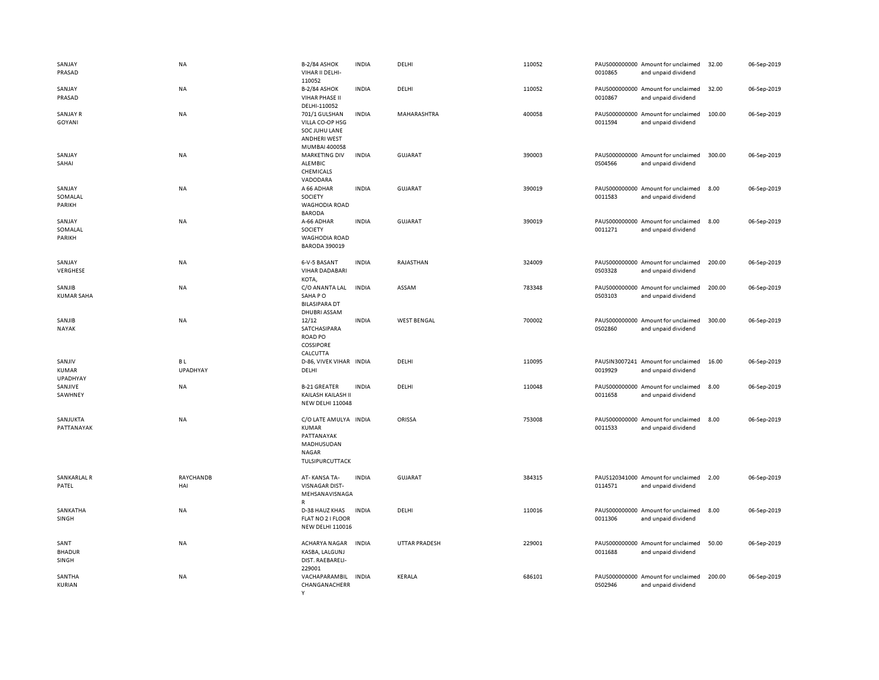| SANJAY<br>PRASAD                   | <b>NA</b>             | B-2/84 ASHOK<br>VIHAR II DELHI-<br>110052                                                     | <b>INDIA</b> | DELHI                | 110052 | 0010865 | PAUS000000000 Amount for unclaimed<br>and unpaid dividend | 32.00  | 06-Sep-2019 |
|------------------------------------|-----------------------|-----------------------------------------------------------------------------------------------|--------------|----------------------|--------|---------|-----------------------------------------------------------|--------|-------------|
| SANJAY<br>PRASAD                   | NA                    | <b>B-2/84 ASHOK</b><br>VIHAR PHASE II<br>DELHI-110052                                         | <b>INDIA</b> | DELHI                | 110052 | 0010867 | PAUS000000000 Amount for unclaimed<br>and unpaid dividend | 32.00  | 06-Sep-2019 |
| SANJAY R<br>GOYANI                 | NA                    | 701/1 GULSHAN<br>VILLA CO-OP HSG<br>SOC JUHU LANE<br><b>ANDHERI WEST</b><br>MUMBAI 400058     | <b>INDIA</b> | MAHARASHTRA          | 400058 | 0011594 | PAUS000000000 Amount for unclaimed<br>and unpaid dividend | 100.00 | 06-Sep-2019 |
| SANJAY<br>SAHAI                    | NA                    | <b>MARKETING DIV</b><br>ALEMBIC<br>CHEMICALS<br>VADODARA                                      | <b>INDIA</b> | <b>GUJARAT</b>       | 390003 | 0S04566 | PAUS000000000 Amount for unclaimed<br>and unpaid dividend | 300.00 | 06-Sep-2019 |
| SANJAY<br>SOMALAL<br>PARIKH        | <b>NA</b>             | A 66 ADHAR<br>SOCIETY<br><b>WAGHODIA ROAD</b><br><b>BARODA</b>                                | <b>INDIA</b> | GUJARAT              | 390019 | 0011583 | PAUS000000000 Amount for unclaimed<br>and unpaid dividend | 8.00   | 06-Sep-2019 |
| SANJAY<br>SOMALAL<br>PARIKH        | NA                    | A-66 ADHAR<br>SOCIETY<br><b>WAGHODIA ROAD</b><br><b>BARODA 390019</b>                         | <b>INDIA</b> | <b>GUJARAT</b>       | 390019 | 0011271 | PAUS000000000 Amount for unclaimed<br>and unpaid dividend | 8.00   | 06-Sep-2019 |
| SANJAY<br>VERGHESE                 | NA                    | 6-V-5 BASANT<br><b>VIHAR DADABARI</b><br>KOTA,                                                | <b>INDIA</b> | RAJASTHAN            | 324009 | 0S03328 | PAUS000000000 Amount for unclaimed<br>and unpaid dividend | 200.00 | 06-Sep-2019 |
| SANJIB<br><b>KUMAR SAHA</b>        | NA                    | C/O ANANTA LAL<br>SAHAPO<br><b>BILASIPARA DT</b><br><b>DHUBRI ASSAM</b>                       | <b>INDIA</b> | ASSAM                | 783348 | 0S03103 | PAUS000000000 Amount for unclaimed<br>and unpaid dividend | 200.00 | 06-Sep-2019 |
| SANJIB<br><b>NAYAK</b>             | NA                    | 12/12<br>SATCHASIPARA<br><b>ROAD PO</b><br>COSSIPORE<br>CALCUTTA                              | <b>INDIA</b> | <b>WEST BENGAL</b>   | 700002 | 0S02860 | PAUS000000000 Amount for unclaimed<br>and unpaid dividend | 300.00 | 06-Sep-2019 |
| SANJIV<br>KUMAR<br><b>UPADHYAY</b> | BL<br><b>UPADHYAY</b> | D-86, VIVEK VIHAR INDIA<br>DELHI                                                              |              | DELHI                | 110095 | 0019929 | PAUSIN3007241 Amount for unclaimed<br>and unpaid dividend | 16.00  | 06-Sep-2019 |
| SANJIVE<br>SAWHNEY                 | NA                    | <b>B-21 GREATER</b><br>KAILASH KAILASH II<br><b>NEW DELHI 110048</b>                          | <b>INDIA</b> | DELHI                | 110048 | 0011658 | PAUS000000000 Amount for unclaimed<br>and unpaid dividend | 8.00   | 06-Sep-2019 |
| SANJUKTA<br>PATTANAYAK             | <b>NA</b>             | C/O LATE AMULYA INDIA<br>KUMAR<br>PATTANAYAK<br>MADHUSUDAN<br><b>NAGAR</b><br>TULSIPURCUTTACK |              | ORISSA               | 753008 | 0011533 | PAUS000000000 Amount for unclaimed<br>and unpaid dividend | 8.00   | 06-Sep-2019 |
| SANKARLAL R<br>PATEL               | RAYCHANDB<br>HAI      | AT-KANSA TA-<br><b>VISNAGAR DIST-</b><br>MEHSANAVISNAGA<br>$\mathsf{R}$                       | <b>INDIA</b> | GUJARAT              | 384315 | 0114571 | PAUS120341000 Amount for unclaimed<br>and unpaid dividend | 2.00   | 06-Sep-2019 |
| SANKATHA<br>SINGH                  | NA                    | D-38 HAUZ KHAS<br>FLAT NO 2 I FLOOR<br><b>NEW DELHI 110016</b>                                | <b>INDIA</b> | DELHI                | 110016 | 0011306 | PAUS000000000 Amount for unclaimed<br>and unpaid dividend | 8.00   | 06-Sep-2019 |
| SANT<br><b>BHADUR</b><br>SINGH     | NA                    | <b>ACHARYA NAGAR</b><br>KASBA, LALGUNJ<br>DIST. RAEBARELI-<br>229001                          | <b>INDIA</b> | <b>UTTAR PRADESH</b> | 229001 | 0011688 | PAUS000000000 Amount for unclaimed<br>and unpaid dividend | 50.00  | 06-Sep-2019 |
| SANTHA<br>KURIAN                   | NA                    | VACHAPARAMBIL<br>CHANGANACHERR<br>Y                                                           | <b>INDIA</b> | KERALA               | 686101 | 0S02946 | PAUS000000000 Amount for unclaimed<br>and unpaid dividend | 200.00 | 06-Sep-2019 |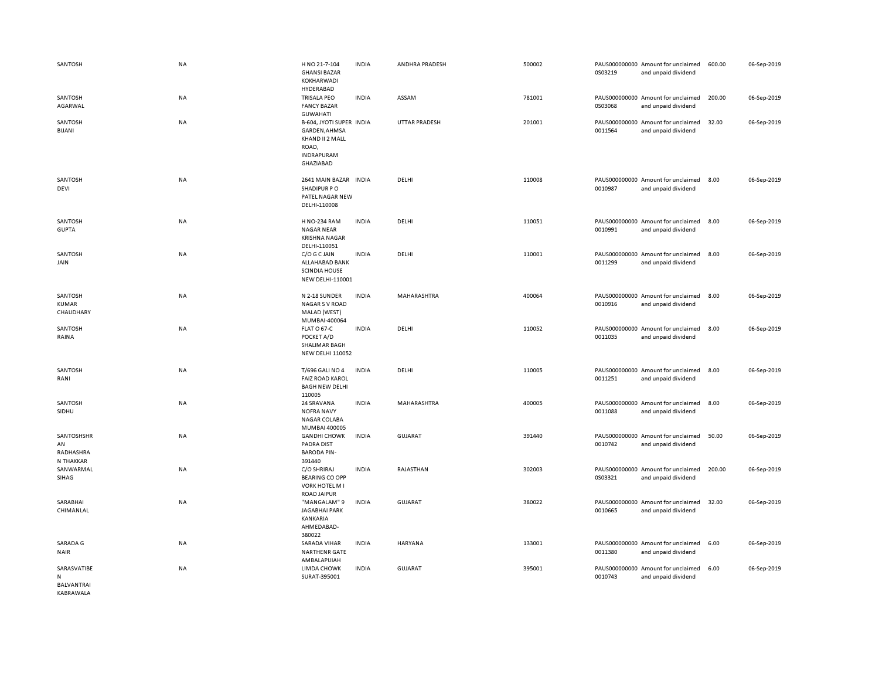| SANTOSH                                    | NA        | H NO 21-7-104<br><b>GHANSI BAZAR</b><br>KOKHARWADI<br>HYDERABAD                                         | <b>INDIA</b> | ANDHRA PRADESH       | 500002 | PAUS000000000 Amount for unclaimed<br>0S03219<br>and unpaid dividend | 600.00 | 06-Sep-2019 |
|--------------------------------------------|-----------|---------------------------------------------------------------------------------------------------------|--------------|----------------------|--------|----------------------------------------------------------------------|--------|-------------|
| SANTOSH<br>AGARWAL                         | NA        | <b>TRISALA PEO</b><br><b>FANCY BAZAR</b><br><b>GUWAHATI</b>                                             | <b>INDIA</b> | ASSAM                | 781001 | PAUS000000000 Amount for unclaimed<br>0S03068<br>and unpaid dividend | 200.00 | 06-Sep-2019 |
| SANTOSH<br>BIJANI                          | NA        | B-604, JYOTI SUPER INDIA<br>GARDEN, AHMSA<br>KHAND II 2 MALL<br>ROAD,<br><b>INDRAPURAM</b><br>GHAZIABAD |              | <b>UTTAR PRADESH</b> | 201001 | PAUS000000000 Amount for unclaimed<br>0011564<br>and unpaid dividend | 32.00  | 06-Sep-2019 |
| SANTOSH<br>DEVI                            | NA        | 2641 MAIN BAZAR INDIA<br>SHADIPUR PO<br>PATEL NAGAR NEW<br>DELHI-110008                                 |              | DELHI                | 110008 | PAUS000000000 Amount for unclaimed<br>0010987<br>and unpaid dividend | 8.00   | 06-Sep-2019 |
| SANTOSH<br><b>GUPTA</b>                    | <b>NA</b> | <b>H NO-234 RAM</b><br><b>NAGAR NEAR</b><br><b>KRISHNA NAGAR</b><br>DELHI-110051                        | <b>INDIA</b> | DELHI                | 110051 | PAUS000000000 Amount for unclaimed<br>0010991<br>and unpaid dividend | 8.00   | 06-Sep-2019 |
| SANTOSH<br>JAIN                            | NA        | C/O G C JAIN<br>ALLAHABAD BANK<br><b>SCINDIA HOUSE</b><br>NEW DELHI-110001                              | <b>INDIA</b> | DELHI                | 110001 | PAUS000000000 Amount for unclaimed<br>0011299<br>and unpaid dividend | 8.00   | 06-Sep-2019 |
| SANTOSH<br><b>KUMAR</b><br>CHAUDHARY       | <b>NA</b> | N 2-18 SUNDER<br><b>NAGAR S V ROAD</b><br>MALAD (WEST)<br>MUMBAI-400064                                 | <b>INDIA</b> | <b>MAHARASHTRA</b>   | 400064 | PAUS000000000 Amount for unclaimed<br>0010916<br>and unpaid dividend | 8.00   | 06-Sep-2019 |
| SANTOSH<br>RAINA                           | NA        | FLAT O 67-C<br>POCKET A/D<br>SHALIMAR BAGH<br><b>NEW DELHI 110052</b>                                   | <b>INDIA</b> | DELHI                | 110052 | PAUS000000000 Amount for unclaimed<br>0011035<br>and unpaid dividend | 8.00   | 06-Sep-2019 |
| SANTOSH<br>RANI                            | NA        | <b>T/696 GALI NO 4</b><br><b>FAIZ ROAD KAROL</b><br><b>BAGH NEW DELHI</b><br>110005                     | <b>INDIA</b> | DELHI                | 110005 | PAUS000000000 Amount for unclaimed<br>0011251<br>and unpaid dividend | 8.00   | 06-Sep-2019 |
| SANTOSH<br>SIDHU                           | NA        | 24 SRAVANA<br><b>NOFRA NAVY</b><br><b>NAGAR COLABA</b><br>MUMBAI 400005                                 | <b>INDIA</b> | MAHARASHTRA          | 400005 | PAUS000000000 Amount for unclaimed<br>0011088<br>and unpaid dividend | 8.00   | 06-Sep-2019 |
| SANTOSHSHR<br>AN<br>RADHASHRA<br>N THAKKAR | NA        | <b>GANDHI CHOWK</b><br><b>PADRA DIST</b><br><b>BARODA PIN-</b><br>391440                                | <b>INDIA</b> | <b>GUJARAT</b>       | 391440 | PAUS000000000 Amount for unclaimed<br>0010742<br>and unpaid dividend | 50.00  | 06-Sep-2019 |
| SANWARMAL<br>SIHAG                         | <b>NA</b> | C/O SHRIRAJ<br><b>BEARING CO OPP</b><br><b>VORK HOTEL M I</b><br><b>ROAD JAIPUR</b>                     | <b>INDIA</b> | RAJASTHAN            | 302003 | PAUS000000000 Amount for unclaimed<br>0S03321<br>and unpaid dividend | 200.00 | 06-Sep-2019 |
| SARABHAI<br>CHIMANLAL                      | <b>NA</b> | "MANGALAM" 9<br><b>JAGABHAI PARK</b><br>KANKARIA<br>AHMEDABAD-<br>380022                                | <b>INDIA</b> | <b>GUJARAT</b>       | 380022 | PAUS000000000 Amount for unclaimed<br>0010665<br>and unpaid dividend | 32.00  | 06-Sep-2019 |
| SARADA G<br><b>NAIR</b>                    | <b>NA</b> | <b>SARADA VIHAR</b><br>NARTHENR GATE<br>AMBALAPUIAH                                                     | <b>INDIA</b> | <b>HARYANA</b>       | 133001 | PAUS000000000 Amount for unclaimed<br>0011380<br>and unpaid dividend | 6.00   | 06-Sep-2019 |
| SARASVATIBE<br>N<br>BALVANTRAI             | <b>NA</b> | LIMDA CHOWK<br>SURAT-395001                                                                             | <b>INDIA</b> | <b>GUJARAT</b>       | 395001 | PAUS000000000 Amount for unclaimed<br>0010743<br>and unpaid dividend | 6.00   | 06-Sep-2019 |

KABRAWALA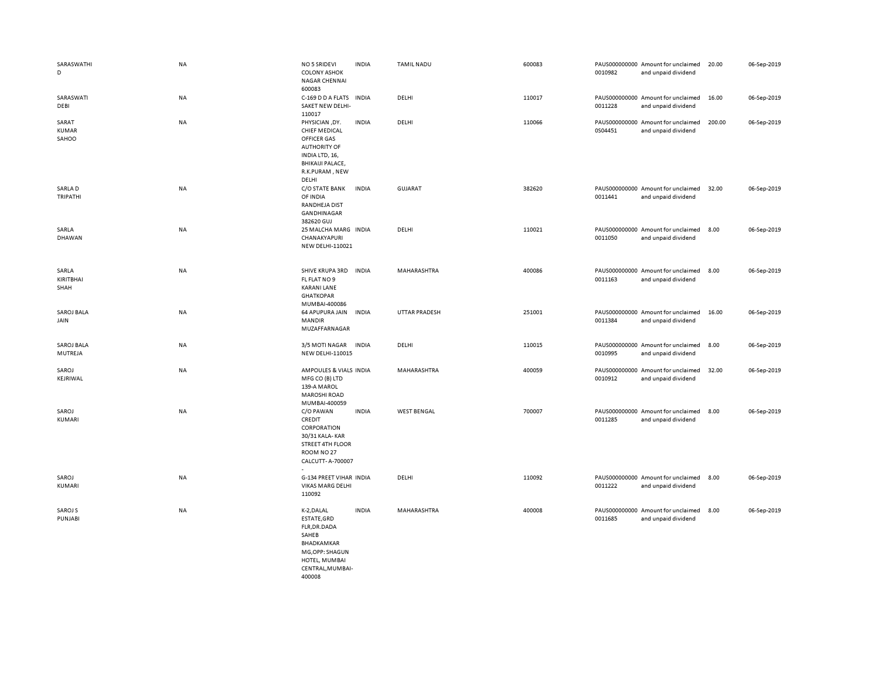| SARASWATHI<br>D                | <b>NA</b> | <b>NO 5 SRIDEVI</b><br><b>COLONY ASHOK</b><br><b>NAGAR CHENNAI</b><br>600083                                                                         | <b>INDIA</b> | <b>TAMIL NADU</b>    | 600083 | 0010982 | PAUS000000000 Amount for unclaimed<br>and unpaid dividend | 20.00  | 06-Sep-2019 |
|--------------------------------|-----------|------------------------------------------------------------------------------------------------------------------------------------------------------|--------------|----------------------|--------|---------|-----------------------------------------------------------|--------|-------------|
| SARASWATI<br>DEBI              | <b>NA</b> | C-169 D D A FLATS<br>SAKET NEW DELHI-<br>110017                                                                                                      | <b>INDIA</b> | DELHI                | 110017 | 0011228 | PAUS000000000 Amount for unclaimed<br>and unpaid dividend | 16.00  | 06-Sep-2019 |
| SARAT<br><b>KUMAR</b><br>SAHOO | <b>NA</b> | PHYSICIAN, DY.<br><b>CHIEF MEDICAL</b><br>OFFICER GAS<br><b>AUTHORITY OF</b><br>INDIA LTD, 16,<br><b>BHIKAIJI PALACE,</b><br>R.K.PURAM, NEW<br>DELHI | <b>INDIA</b> | DELHI                | 110066 | 0S04451 | PAUS000000000 Amount for unclaimed<br>and unpaid dividend | 200.00 | 06-Sep-2019 |
| SARLA D<br>TRIPATHI            | <b>NA</b> | C/O STATE BANK<br>OF INDIA<br><b>RANDHEJA DIST</b><br>GANDHINAGAR<br>382620 GUJ                                                                      | <b>INDIA</b> | <b>GUJARAT</b>       | 382620 | 0011441 | PAUS000000000 Amount for unclaimed<br>and unpaid dividend | 32.00  | 06-Sep-2019 |
| SARLA<br>DHAWAN                | NA        | 25 MALCHA MARG INDIA<br>CHANAKYAPURI<br><b>NEW DELHI-110021</b>                                                                                      |              | DELHI                | 110021 | 0011050 | PAUS000000000 Amount for unclaimed<br>and unpaid dividend | 8.00   | 06-Sep-2019 |
| SARLA<br>KIRITBHAI<br>SHAH     | NA        | SHIVE KRUPA 3RD<br>FL FLAT NO 9<br><b>KARANI LANE</b><br><b>GHATKOPAR</b><br>MUMBAI-400086                                                           | <b>INDIA</b> | MAHARASHTRA          | 400086 | 0011163 | PAUS000000000 Amount for unclaimed<br>and unpaid dividend | 8.00   | 06-Sep-2019 |
| <b>SAROJ BALA</b><br>JAIN      | <b>NA</b> | 64 APUPURA JAIN<br><b>MANDIR</b><br>MUZAFFARNAGAR                                                                                                    | <b>INDIA</b> | <b>UTTAR PRADESH</b> | 251001 | 0011384 | PAUS000000000 Amount for unclaimed<br>and unpaid dividend | 16.00  | 06-Sep-2019 |
| <b>SAROJ BALA</b><br>MUTREJA   | <b>NA</b> | 3/5 MOTI NAGAR<br><b>NEW DELHI-110015</b>                                                                                                            | <b>INDIA</b> | DELHI                | 110015 | 0010995 | PAUS000000000 Amount for unclaimed<br>and unpaid dividend | 8.00   | 06-Sep-2019 |
| SAROJ<br>KEJRIWAL              | <b>NA</b> | AMPOULES & VIALS INDIA<br>MFG CO (B) LTD<br>139-A MAROL<br><b>MAROSHI ROAD</b><br>MUMBAI-400059                                                      |              | MAHARASHTRA          | 400059 | 0010912 | PAUS000000000 Amount for unclaimed<br>and unpaid dividend | 32.00  | 06-Sep-2019 |
| SAROJ<br>KUMARI                | <b>NA</b> | C/O PAWAN<br>CREDIT<br>CORPORATION<br>30/31 KALA-KAR<br>STREET 4TH FLOOR<br>ROOM NO 27<br>CALCUTT- A-700007                                          | <b>INDIA</b> | <b>WEST BENGAL</b>   | 700007 | 0011285 | PAUS000000000 Amount for unclaimed<br>and unpaid dividend | 8.00   | 06-Sep-2019 |
| SAROJ<br>KUMARI                | NA        | G-134 PREET VIHAR INDIA<br>VIKAS MARG DELHI<br>110092                                                                                                |              | DELHI                | 110092 | 0011222 | PAUS000000000 Amount for unclaimed<br>and unpaid dividend | 8.00   | 06-Sep-2019 |
| SAROJ S<br>PUNJABI             | NA        | K-2, DALAL<br>ESTATE, GRD<br>FLR, DR. DADA<br>SAHEB<br>BHADKAMKAR<br>MG, OPP: SHAGUN<br>HOTEL, MUMBAI<br>CENTRAL, MUMBAI-<br>400008                  | <b>INDIA</b> | MAHARASHTRA          | 400008 | 0011685 | PAUS000000000 Amount for unclaimed<br>and unpaid dividend | 8.00   | 06-Sep-2019 |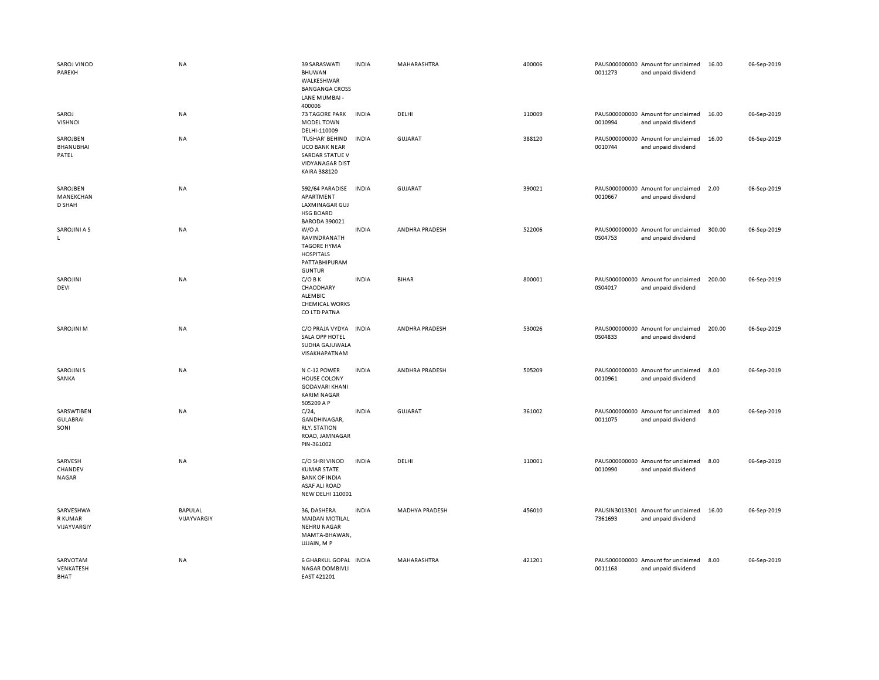| SAROJ VINOD<br>PAREKH                 | <b>NA</b>              | 39 SARASWATI<br><b>BHUWAN</b><br>WALKESHWAR<br><b>BANGANGA CROSS</b><br>LANE MUMBAI -<br>400006                 | <b>INDIA</b> | MAHARASHTRA           | 400006 | 0011273 | PAUS000000000 Amount for unclaimed<br>and unpaid dividend | 16.00  | 06-Sep-2019 |
|---------------------------------------|------------------------|-----------------------------------------------------------------------------------------------------------------|--------------|-----------------------|--------|---------|-----------------------------------------------------------|--------|-------------|
| SAROJ<br><b>VISHNOI</b>               | NA                     | <b>73 TAGORE PARK</b><br><b>MODEL TOWN</b><br>DELHI-110009                                                      | <b>INDIA</b> | DELHI                 | 110009 | 0010994 | PAUS000000000 Amount for unclaimed<br>and unpaid dividend | 16.00  | 06-Sep-2019 |
| SAROJBEN<br>BHANUBHAI<br>PATEL        | NA                     | 'TUSHAR' BEHIND<br><b>UCO BANK NEAR</b><br><b>SARDAR STATUE V</b><br><b>VIDYANAGAR DIST</b><br>KAIRA 388120     | <b>INDIA</b> | <b>GUJARAT</b>        | 388120 | 0010744 | PAUS000000000 Amount for unclaimed<br>and unpaid dividend | 16.00  | 06-Sep-2019 |
| SAROJBEN<br>MANEKCHAN<br>D SHAH       | NA                     | 592/64 PARADISE<br>APARTMENT<br>LAXMINAGAR GUJ<br><b>HSG BOARD</b><br>BARODA 390021                             | <b>INDIA</b> | <b>GUJARAT</b>        | 390021 | 0010667 | PAUS000000000 Amount for unclaimed<br>and unpaid dividend | 2.00   | 06-Sep-2019 |
| SAROJINI A S<br>L.                    | NA                     | W/O A<br>RAVINDRANATH<br><b>TAGORE HYMA</b><br><b>HOSPITALS</b><br>PATTABHIPURAM<br><b>GUNTUR</b>               | <b>INDIA</b> | ANDHRA PRADESH        | 522006 | 0S04753 | PAUS000000000 Amount for unclaimed<br>and unpaid dividend | 300.00 | 06-Sep-2019 |
| SAROJINI<br>DEVI                      | NA                     | $C/O$ B K<br>CHAODHARY<br>ALEMBIC<br><b>CHEMICAL WORKS</b><br>CO LTD PATNA                                      | <b>INDIA</b> | <b>BIHAR</b>          | 800001 | 0S04017 | PAUS000000000 Amount for unclaimed<br>and unpaid dividend | 200.00 | 06-Sep-2019 |
| <b>SAROJINI M</b>                     | <b>NA</b>              | C/O PRAJA VYDYA<br>SALA OPP HOTEL<br>SUDHA GAJUWALA<br>VISAKHAPATNAM                                            | <b>INDIA</b> | ANDHRA PRADESH        | 530026 | 0S04833 | PAUS000000000 Amount for unclaimed<br>and unpaid dividend | 200.00 | 06-Sep-2019 |
| <b>SAROJINI S</b><br>SANKA            | NA                     | N C-12 POWER<br>HOUSE COLONY<br><b>GODAVARI KHANI</b><br><b>KARIM NAGAR</b><br>505209 A P                       | <b>INDIA</b> | <b>ANDHRA PRADESH</b> | 505209 | 0010961 | PAUS000000000 Amount for unclaimed<br>and unpaid dividend | 8.00   | 06-Sep-2019 |
| SARSWTIBEN<br><b>GULABRAI</b><br>SONI | NA                     | $C/24$ ,<br>GANDHINAGAR,<br><b>RLY. STATION</b><br>ROAD, JAMNAGAR<br>PIN-361002                                 | <b>INDIA</b> | <b>GUJARAT</b>        | 361002 | 0011075 | PAUS000000000 Amount for unclaimed<br>and unpaid dividend | 8.00   | 06-Sep-2019 |
| SARVESH<br>CHANDEV<br><b>NAGAR</b>    | <b>NA</b>              | C/O SHRI VINOD<br><b>KUMAR STATE</b><br><b>BANK OF INDIA</b><br><b>ASAF ALI ROAD</b><br><b>NEW DELHI 110001</b> | <b>INDIA</b> | DELHI                 | 110001 | 0010990 | PAUS000000000 Amount for unclaimed<br>and unpaid dividend | 8.00   | 06-Sep-2019 |
| SARVESHWA<br>R KUMAR<br>VIJAYVARGIY   | BAPULAL<br>VIJAYVARGIY | 36, DASHERA<br><b>MAIDAN MOTILAL</b><br><b>NEHRU NAGAR</b><br>MAMTA-BHAWAN,<br>UJJAIN, MP                       | <b>INDIA</b> | <b>MADHYA PRADESH</b> | 456010 | 7361693 | PAUSIN3013301 Amount for unclaimed<br>and unpaid dividend | 16.00  | 06-Sep-2019 |
| SARVOTAM<br>VENKATESH<br>BHAT         | <b>NA</b>              | <b>6 GHARKUL GOPAL</b><br><b>NAGAR DOMBIVLI</b><br>EAST 421201                                                  | <b>INDIA</b> | <b>MAHARASHTRA</b>    | 421201 | 0011168 | PAUS000000000 Amount for unclaimed<br>and unpaid dividend | 8.00   | 06-Sep-2019 |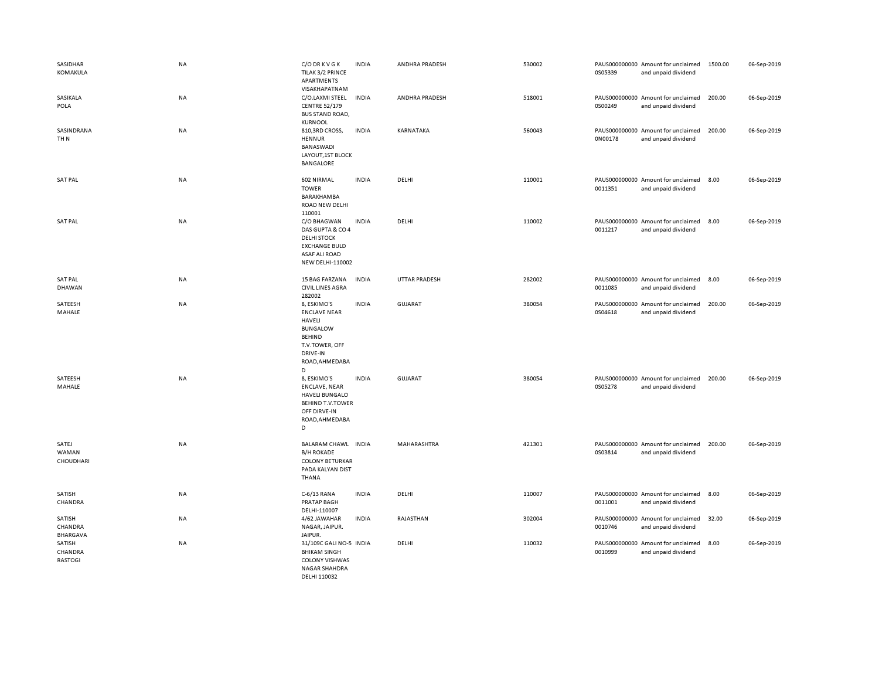| SASIDHAR<br>KOMAKULA                | <b>NA</b> | C/O DR K V G K<br>TILAK 3/2 PRINCE<br>APARTMENTS<br>VISAKHAPATNAM                                                                     | <b>INDIA</b> | ANDHRA PRADESH       | 530002 | 0S05339 | PAUS000000000 Amount for unclaimed<br>and unpaid dividend | 1500.00 | 06-Sep-2019 |
|-------------------------------------|-----------|---------------------------------------------------------------------------------------------------------------------------------------|--------------|----------------------|--------|---------|-----------------------------------------------------------|---------|-------------|
| SASIKALA<br>POLA                    | NA        | C/O.LAXMI STEEL<br><b>CENTRE 52/179</b><br><b>BUS STAND ROAD,</b><br><b>KURNOOL</b>                                                   | <b>INDIA</b> | ANDHRA PRADESH       | 518001 | 0S00249 | PAUS000000000 Amount for unclaimed<br>and unpaid dividend | 200.00  | 06-Sep-2019 |
| SASINDRANA<br>TH <sub>N</sub>       | <b>NA</b> | 810,3RD CROSS,<br>HENNUR<br>BANASWADI<br>LAYOUT, 1ST BLOCK<br><b>BANGALORE</b>                                                        | <b>INDIA</b> | KARNATAKA            | 560043 | 0N00178 | PAUS000000000 Amount for unclaimed<br>and unpaid dividend | 200.00  | 06-Sep-2019 |
| <b>SAT PAL</b>                      | NA        | 602 NIRMAL<br><b>TOWER</b><br><b>BARAKHAMBA</b><br><b>ROAD NEW DELHI</b><br>110001                                                    | <b>INDIA</b> | DELHI                | 110001 | 0011351 | PAUS000000000 Amount for unclaimed<br>and unpaid dividend | 8.00    | 06-Sep-2019 |
| <b>SAT PAL</b>                      | <b>NA</b> | C/O BHAGWAN<br>DAS GUPTA & CO 4<br><b>DELHI STOCK</b><br><b>EXCHANGE BULD</b><br>ASAF ALI ROAD<br>NEW DELHI-110002                    | <b>INDIA</b> | DELHI                | 110002 | 0011217 | PAUS000000000 Amount for unclaimed<br>and unpaid dividend | 8.00    | 06-Sep-2019 |
| <b>SAT PAL</b><br>DHAWAN            | NA        | 15 BAG FARZANA<br><b>CIVIL LINES AGRA</b><br>282002                                                                                   | <b>INDIA</b> | <b>UTTAR PRADESH</b> | 282002 | 0011085 | PAUS000000000 Amount for unclaimed<br>and unpaid dividend | 8.00    | 06-Sep-2019 |
| SATEESH<br>MAHALE                   | NA        | 8, ESKIMO'S<br><b>ENCLAVE NEAR</b><br>HAVELI<br><b>BUNGALOW</b><br><b>BEHIND</b><br>T.V.TOWER, OFF<br>DRIVE-IN<br>ROAD, AHMEDABA<br>D | <b>INDIA</b> | <b>GUJARAT</b>       | 380054 | 0S04618 | PAUS000000000 Amount for unclaimed<br>and unpaid dividend | 200.00  | 06-Sep-2019 |
| SATEESH<br>MAHALE                   | NA        | 8, ESKIMO'S<br><b>ENCLAVE, NEAR</b><br><b>HAVELI BUNGALO</b><br><b>BEHIND T.V.TOWER</b><br>OFF DIRVE-IN<br>ROAD, AHMEDABA<br>D        | <b>INDIA</b> | <b>GUJARAT</b>       | 380054 | 0S05278 | PAUS000000000 Amount for unclaimed<br>and unpaid dividend | 200.00  | 06-Sep-2019 |
| SATEJ<br>WAMAN<br>CHOUDHARI         | NA        | BALARAM CHAWL INDIA<br><b>B/H ROKADE</b><br><b>COLONY BETURKAR</b><br>PADA KALYAN DIST<br>THANA                                       |              | MAHARASHTRA          | 421301 | 0S03814 | PAUS000000000 Amount for unclaimed<br>and unpaid dividend | 200.00  | 06-Sep-2019 |
| SATISH<br>CHANDRA                   | NA        | C-6/13 RANA<br>PRATAP BAGH<br>DELHI-110007                                                                                            | <b>INDIA</b> | DELHI                | 110007 | 0011001 | PAUS000000000 Amount for unclaimed<br>and unpaid dividend | 8.00    | 06-Sep-2019 |
| SATISH<br>CHANDRA<br>BHARGAVA       | NA        | 4/62 JAWAHAR<br>NAGAR, JAIPUR.<br>JAIPUR.                                                                                             | <b>INDIA</b> | RAJASTHAN            | 302004 | 0010746 | PAUS000000000 Amount for unclaimed<br>and unpaid dividend | 32.00   | 06-Sep-2019 |
| SATISH<br>CHANDRA<br><b>RASTOGI</b> | NA        | 31/109C GALI NO-5 INDIA<br><b>BHIKAM SINGH</b><br><b>COLONY VISHWAS</b><br><b>NAGAR SHAHDRA</b><br>DELHI 110032                       |              | DELHI                | 110032 | 0010999 | PAUS000000000 Amount for unclaimed<br>and unpaid dividend | 8.00    | 06-Sep-2019 |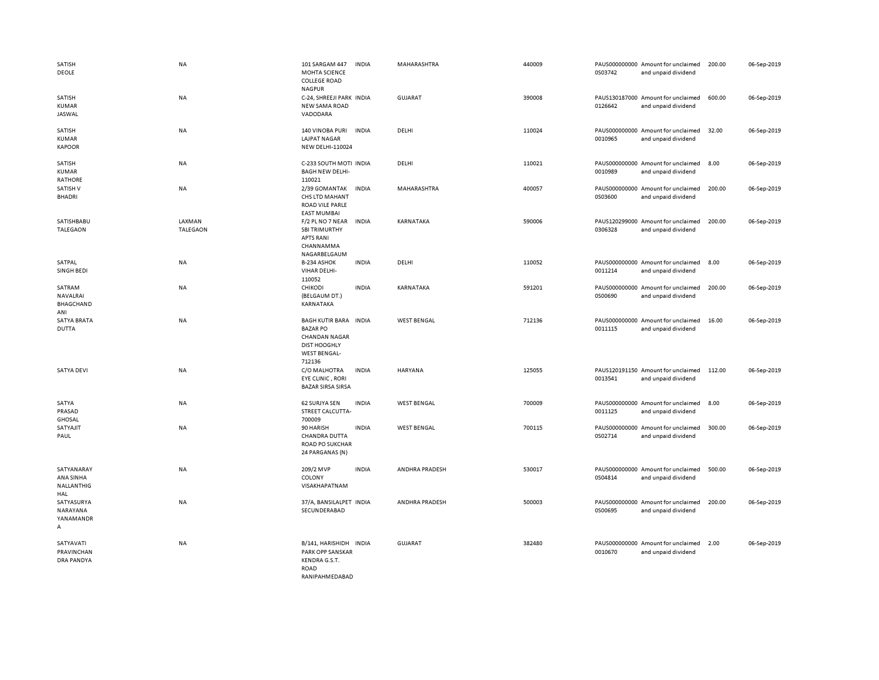| <b>SATISH</b><br>DEOLE                        | <b>NA</b>                 | 101 SARGAM 447<br><b>INDIA</b><br>MOHTA SCIENCE<br><b>COLLEGE ROAD</b><br><b>NAGPUR</b>                                                   | <b>MAHARASHTRA</b>    | 440009 | PAUS000000000 Amount for unclaimed<br>0S03742<br>and unpaid dividend | 200.00 | 06-Sep-2019 |
|-----------------------------------------------|---------------------------|-------------------------------------------------------------------------------------------------------------------------------------------|-----------------------|--------|----------------------------------------------------------------------|--------|-------------|
| SATISH<br><b>KUMAR</b><br>JASWAL              | NA                        | C-24, SHREEJI PARK INDIA<br><b>NEW SAMA ROAD</b><br>VADODARA                                                                              | <b>GUJARAT</b>        | 390008 | PAUS130187000 Amount for unclaimed<br>0126642<br>and unpaid dividend | 600.00 | 06-Sep-2019 |
| SATISH<br><b>KUMAR</b><br><b>KAPOOR</b>       | <b>NA</b>                 | <b>140 VINOBA PURI</b><br><b>INDIA</b><br><b>LAJPAT NAGAR</b><br>NEW DELHI-110024                                                         | DELHI                 | 110024 | PAUS000000000 Amount for unclaimed<br>0010965<br>and unpaid dividend | 32.00  | 06-Sep-2019 |
| SATISH<br><b>KUMAR</b><br><b>RATHORE</b>      | <b>NA</b>                 | C-233 SOUTH MOTI INDIA<br><b>BAGH NEW DELHI-</b><br>110021                                                                                | DELHI                 | 110021 | PAUS000000000 Amount for unclaimed<br>0010989<br>and unpaid dividend | 8.00   | 06-Sep-2019 |
| SATISH V<br><b>BHADRI</b>                     | <b>NA</b>                 | 2/39 GOMANTAK<br><b>INDIA</b><br>CHS LTD MAHANT<br><b>ROAD VILE PARLE</b><br><b>EAST MUMBAI</b>                                           | MAHARASHTRA           | 400057 | PAUS000000000 Amount for unclaimed<br>0S03600<br>and unpaid dividend | 200.00 | 06-Sep-2019 |
| SATISHBABU<br><b>TALEGAON</b>                 | LAXMAN<br><b>TALEGAON</b> | F/2 PL NO 7 NEAR<br><b>INDIA</b><br><b>SBI TRIMURTHY</b><br><b>APTS RANI</b><br>CHANNAMMA<br>NAGARBELGAUM                                 | KARNATAKA             | 590006 | PAUS120299000 Amount for unclaimed<br>0306328<br>and unpaid dividend | 200.00 | 06-Sep-2019 |
| SATPAL<br><b>SINGH BEDI</b>                   | <b>NA</b>                 | B-234 ASHOK<br><b>INDIA</b><br>VIHAR DELHI-<br>110052                                                                                     | DELHI                 | 110052 | PAUS000000000 Amount for unclaimed<br>0011214<br>and unpaid dividend | 8.00   | 06-Sep-2019 |
| SATRAM<br>NAVALRAI<br><b>BHAGCHAND</b><br>ANI | <b>NA</b>                 | CHIKODI<br><b>INDIA</b><br>(BELGAUM DT.)<br>KARNATAKA                                                                                     | KARNATAKA             | 591201 | PAUS000000000 Amount for unclaimed<br>0S00690<br>and unpaid dividend | 200.00 | 06-Sep-2019 |
| SATYA BRATA<br><b>DUTTA</b>                   | <b>NA</b>                 | <b>BAGH KUTIR BARA</b><br><b>INDIA</b><br><b>BAZAR PO</b><br><b>CHANDAN NAGAR</b><br><b>DIST HOOGHLY</b><br><b>WEST BENGAL-</b><br>712136 | <b>WEST BENGAL</b>    | 712136 | PAUS000000000 Amount for unclaimed<br>0011115<br>and unpaid dividend | 16.00  | 06-Sep-2019 |
| <b>SATYA DEVI</b>                             | <b>NA</b>                 | C/O MALHOTRA<br><b>INDIA</b><br><b>EYE CLINIC, RORI</b><br><b>BAZAR SIRSA SIRSA</b>                                                       | <b>HARYANA</b>        | 125055 | PAUS120191150 Amount for unclaimed<br>0013541<br>and unpaid dividend | 112.00 | 06-Sep-2019 |
| SATYA<br>PRASAD<br><b>GHOSAL</b>              | NA                        | 62 SURJYA SEN<br><b>INDIA</b><br>STREET CALCUTTA-<br>700009                                                                               | <b>WEST BENGAL</b>    | 700009 | PAUS000000000 Amount for unclaimed<br>0011125<br>and unpaid dividend | 8.00   | 06-Sep-2019 |
| SATYAJIT<br>PAUL                              | NA                        | <b>INDIA</b><br>90 HARISH<br><b>CHANDRA DUTTA</b><br><b>ROAD PO SUKCHAR</b><br>24 PARGANAS (N)                                            | <b>WEST BENGAL</b>    | 700115 | PAUS000000000 Amount for unclaimed<br>0S02714<br>and unpaid dividend | 300.00 | 06-Sep-2019 |
| SATYANARAY<br>ANA SINHA<br>NALLANTHIG<br>HAL  | NA                        | 209/2 MVP<br><b>INDIA</b><br>COLONY<br>VISAKHAPATNAM                                                                                      | ANDHRA PRADESH        | 530017 | PAUS000000000 Amount for unclaimed<br>0S04814<br>and unpaid dividend | 500.00 | 06-Sep-2019 |
| SATYASURYA<br>NARAYANA<br>YANAMANDR<br>A      | <b>NA</b>                 | 37/A, BANSILALPET INDIA<br>SECUNDERABAD                                                                                                   | <b>ANDHRA PRADESH</b> | 500003 | PAUS000000000 Amount for unclaimed<br>0S00695<br>and unpaid dividend | 200.00 | 06-Sep-2019 |
| SATYAVATI<br>PRAVINCHAN<br><b>DRA PANDYA</b>  | NA                        | B/141, HARISHIDH<br><b>INDIA</b><br>PARK OPP SANSKAR<br>KENDRA G.S.T.<br>ROAD<br>RANIPAHMEDARAD                                           | <b>GUJARAT</b>        | 382480 | PAUS000000000 Amount for unclaimed<br>0010670<br>and unpaid dividend | 2.00   | 06-Sep-2019 |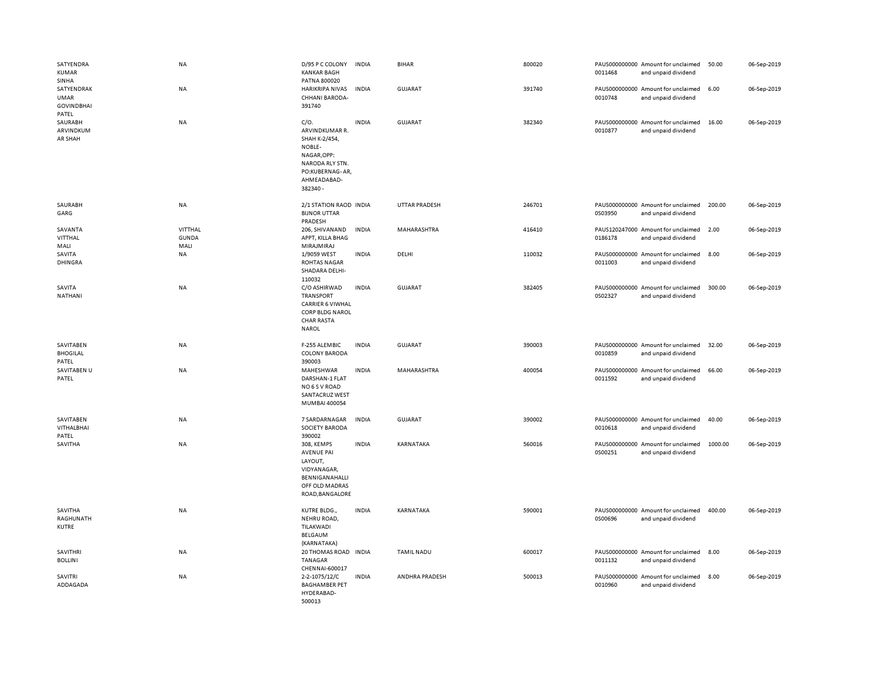| SATYENDRA<br><b>KUMAR</b><br><b>SINHA</b>        | NA                                     | D/95 P C COLONY<br><b>KANKAR BAGH</b><br>PATNA 800020                                                                                | <b>INDIA</b> | <b>BIHAR</b>      | 800020 | 0011468 | PAUS000000000 Amount for unclaimed<br>and unpaid dividend | 50.00   | 06-Sep-2019 |
|--------------------------------------------------|----------------------------------------|--------------------------------------------------------------------------------------------------------------------------------------|--------------|-------------------|--------|---------|-----------------------------------------------------------|---------|-------------|
| SATYENDRAK<br>UMAR<br><b>GOVINDBHAI</b><br>PATEL | NA                                     | HARIKRIPA NIVAS<br>CHHANI BARODA-<br>391740                                                                                          | <b>INDIA</b> | GUJARAT           | 391740 | 0010748 | PAUS000000000 Amount for unclaimed<br>and unpaid dividend | 6.00    | 06-Sep-2019 |
| SAURABH<br>ARVINDKUM<br>AR SHAH                  | NA                                     | $C/O$ .<br>ARVINDKUMAR R.<br>SHAH K-2/454,<br>NOBLE-<br>NAGAR, OPP:<br>NARODA RLY STN.<br>PO:KUBERNAG-AR,<br>AHMEADABAD-<br>382340 - | <b>INDIA</b> | GUJARAT           | 382340 | 0010877 | PAUS000000000 Amount for unclaimed<br>and unpaid dividend | 16.00   | 06-Sep-2019 |
| SAURABH<br>GARG                                  | NA                                     | 2/1 STATION RAOD INDIA<br><b>BIJNOR UTTAR</b><br>PRADESH                                                                             |              | UTTAR PRADESH     | 246701 | 0S03950 | PAUS000000000 Amount for unclaimed<br>and unpaid dividend | 200.00  | 06-Sep-2019 |
| SAVANTA<br>VITTHAL<br>MALI                       | <b>VITTHAL</b><br><b>GUNDA</b><br>MALI | 206, SHIVANAND<br>APPT, KILLA BHAG<br>MIRAJMIRAJ                                                                                     | <b>INDIA</b> | MAHARASHTRA       | 416410 | 0186178 | PAUS120247000 Amount for unclaimed<br>and unpaid dividend | 2.00    | 06-Sep-2019 |
| SAVITA<br><b>DHINGRA</b>                         | NA                                     | 1/9059 WEST<br><b>ROHTAS NAGAR</b><br>SHADARA DELHI-<br>110032                                                                       | <b>INDIA</b> | DELHI             | 110032 | 0011003 | PAUS000000000 Amount for unclaimed<br>and unpaid dividend | 8.00    | 06-Sep-2019 |
| SAVITA<br>NATHANI                                | NA                                     | C/O ASHIRWAD<br><b>TRANSPORT</b><br><b>CARRIER 6 VIWHAL</b><br>CORP BLDG NAROL<br><b>CHAR RASTA</b><br><b>NAROL</b>                  | <b>INDIA</b> | <b>GUJARAT</b>    | 382405 | 0S02327 | PAUS000000000 Amount for unclaimed<br>and unpaid dividend | 300.00  | 06-Sep-2019 |
| SAVITABEN<br><b>BHOGILAL</b><br>PATEL            | <b>NA</b>                              | F-255 ALEMBIC<br><b>COLONY BARODA</b><br>390003                                                                                      | <b>INDIA</b> | GUJARAT           | 390003 | 0010859 | PAUS000000000 Amount for unclaimed<br>and unpaid dividend | 32.00   | 06-Sep-2019 |
| SAVITABEN U<br>PATEL                             | NA                                     | MAHESHWAR<br>DARSHAN-1 FLAT<br>NO 6 S V ROAD<br><b>SANTACRUZ WEST</b><br>MUMBAI 400054                                               | <b>INDIA</b> | MAHARASHTRA       | 400054 | 0011592 | PAUS000000000 Amount for unclaimed<br>and unpaid dividend | 66.00   | 06-Sep-2019 |
| SAVITABEN<br>VITHALBHAI<br>PATEL                 | NA                                     | 7 SARDARNAGAR<br><b>SOCIETY BARODA</b><br>390002                                                                                     | <b>INDIA</b> | <b>GUJARAT</b>    | 390002 | 0010618 | PAUS000000000 Amount for unclaimed<br>and unpaid dividend | 40.00   | 06-Sep-2019 |
| SAVITHA                                          | NA                                     | 308, KEMPS<br><b>AVENUE PAI</b><br>LAYOUT,<br>VIDYANAGAR,<br>BENNIGANAHALLI<br>OFF OLD MADRAS<br>ROAD, BANGALORE                     | <b>INDIA</b> | KARNATAKA         | 560016 | 0S00251 | PAUS000000000 Amount for unclaimed<br>and unpaid dividend | 1000.00 | 06-Sep-2019 |
| SAVITHA<br>RAGHUNATH<br><b>KUTRE</b>             | NA                                     | KUTRE BLDG.,<br>NEHRU ROAD,<br>TILAKWADI<br>BELGAUM<br>(KARNATAKA)                                                                   | <b>INDIA</b> | KARNATAKA         | 590001 | 0S00696 | PAUS000000000 Amount for unclaimed<br>and unpaid dividend | 400.00  | 06-Sep-2019 |
| <b>SAVITHRI</b><br><b>BOLLINI</b>                | <b>NA</b>                              | 20 THOMAS ROAD INDIA<br><b>TANAGAR</b><br>CHENNAI-600017                                                                             |              | <b>TAMIL NADU</b> | 600017 | 0011132 | PAUS000000000 Amount for unclaimed<br>and unpaid dividend | 8.00    | 06-Sep-2019 |
| SAVITRI<br>ADDAGADA                              | NA                                     | 2-2-1075/12/C<br><b>BAGHAMBER PET</b><br>HYDERABAD-<br>500013                                                                        | <b>INDIA</b> | ANDHRA PRADESH    | 500013 | 0010960 | PAUS000000000 Amount for unclaimed<br>and unpaid dividend | 8.00    | 06-Sep-2019 |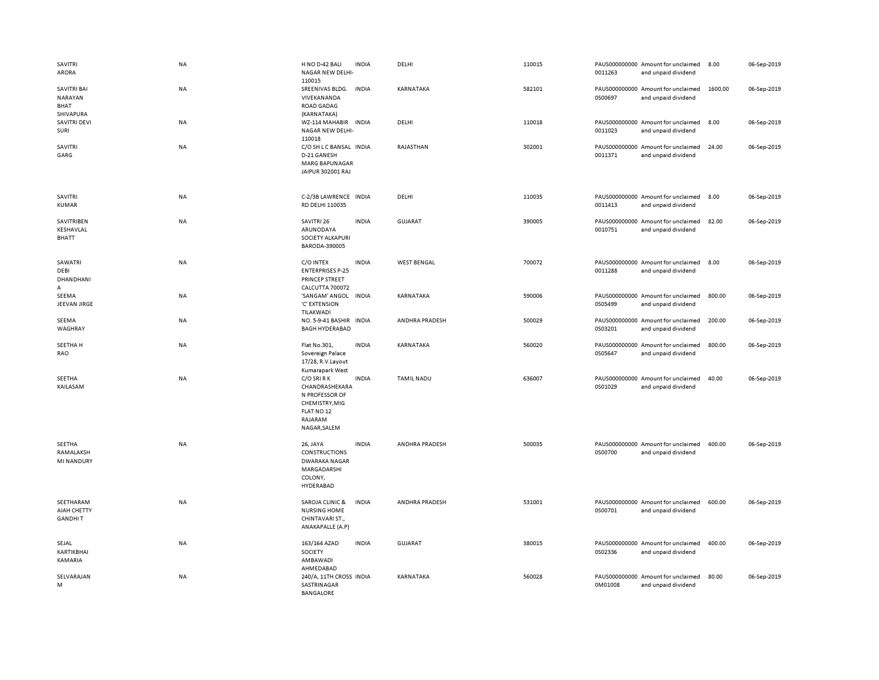| SAVITRI<br>ARORA                                   | <b>NA</b> | H NO D-42 BALI<br>NAGAR NEW DELHI-<br>110015                                                               | <b>INDIA</b> | DELHI              | 110015 | 0011263 | PAUS000000000 Amount for unclaimed<br>and unpaid dividend | 8.00    | 06-Sep-2019 |
|----------------------------------------------------|-----------|------------------------------------------------------------------------------------------------------------|--------------|--------------------|--------|---------|-----------------------------------------------------------|---------|-------------|
| <b>SAVITRI BAI</b><br>NARAYAN<br>BHAT<br>SHIVAPURA | NA        | SREENIVAS BLDG.<br>VIVEKANANDA<br><b>ROAD GADAG</b><br>(KARNATAKA)                                         | <b>INDIA</b> | KARNATAKA          | 582101 | 0S00697 | PAUS000000000 Amount for unclaimed<br>and unpaid dividend | 1600.00 | 06-Sep-2019 |
| <b>SAVITRI DEVI</b><br>SURI                        | NA        | WZ-114 MAHABIR INDIA<br>NAGAR NEW DELHI-<br>110018                                                         |              | DELHI              | 110018 | 0011023 | PAUS000000000 Amount for unclaimed<br>and unpaid dividend | 8.00    | 06-Sep-2019 |
| SAVITRI<br>GARG                                    | NA        | C/O SH L C BANSAL INDIA<br>D-21 GANESH<br>MARG BAPUNAGAR<br>JAIPUR 302001 RAJ                              |              | RAJASTHAN          | 302001 | 0011371 | PAUS000000000 Amount for unclaimed<br>and unpaid dividend | 24.00   | 06-Sep-2019 |
| SAVITRI<br>KUMAR                                   | NA        | C-2/3B LAWRENCE INDIA<br>RD DELHI 110035                                                                   |              | DELHI              | 110035 | 0011413 | PAUS000000000 Amount for unclaimed<br>and unpaid dividend | 8.00    | 06-Sep-2019 |
| SAVITRIBEN<br>KESHAVLAL<br>BHATT                   | NA        | SAVITRI 26<br>ARUNODAYA<br>SOCIETY ALKAPURI<br>BARODA-390005                                               | <b>INDIA</b> | GUJARAT            | 390005 | 0010751 | PAUS000000000 Amount for unclaimed<br>and unpaid dividend | 82.00   | 06-Sep-2019 |
| SAWATRI<br>DEBI<br>DHANDHANI<br>$\Delta$           | NA        | C/O INTEX<br><b>ENTERPRISES P-25</b><br>PRINCEP STREET<br>CALCUTTA 700072                                  | <b>INDIA</b> | <b>WEST BENGAL</b> | 700072 | 0011288 | PAUS000000000 Amount for unclaimed<br>and unpaid dividend | 8.00    | 06-Sep-2019 |
| SEEMA<br>JEEVAN JIRGE                              | NA        | 'SANGAM' ANGOL INDIA<br>'C' EXTENSION<br>TILAKWADI                                                         |              | KARNATAKA          | 590006 | 0S05499 | PAUS000000000 Amount for unclaimed<br>and unpaid dividend | 800.00  | 06-Sep-2019 |
| SEEMA<br>WAGHRAY                                   | NA        | NO. 5-9-41 BASHIR INDIA<br><b>BAGH HYDERABAD</b>                                                           |              | ANDHRA PRADESH     | 500029 | 0S03201 | PAUS000000000 Amount for unclaimed<br>and unpaid dividend | 200.00  | 06-Sep-2019 |
| SEETHA H<br>RAO                                    | NA        | Flat No.301,<br>Sovereign Palace<br>17/28, R.V.Layout<br>Kumarapark West                                   | <b>INDIA</b> | KARNATAKA          | 560020 | 0S05647 | PAUS000000000 Amount for unclaimed<br>and unpaid dividend | 800.00  | 06-Sep-2019 |
| SEETHA<br>KAILASAM                                 | NA        | C/O SRI R K<br>CHANDRASHEKARA<br>N PROFESSOR OF<br>CHEMISTRY, MIG<br>FLAT NO 12<br>RAJARAM<br>NAGAR, SALEM | <b>INDIA</b> | <b>TAMIL NADU</b>  | 636007 | 0S01029 | PAUS000000000 Amount for unclaimed<br>and unpaid dividend | 40.00   | 06-Sep-2019 |
| SEETHA<br>RAMALAKSH<br><b>MI NANDURY</b>           | <b>NA</b> | 26, JAYA<br><b>CONSTRUCTIONS</b><br><b>DWARAKA NAGAR</b><br>MARGADARSHI<br>COLONY,<br>HYDERABAD            | <b>INDIA</b> | ANDHRA PRADESH     | 500035 | 0S00700 | PAUS000000000 Amount for unclaimed<br>and unpaid dividend | 400.00  | 06-Sep-2019 |
| SEETHARAM<br>AIAH CHETTY<br><b>GANDHIT</b>         | NA        | SAROJA CLINIC &<br><b>NURSING HOME</b><br>CHINTAVARI ST.,<br>ANAKAPALLE (A.P)                              | <b>INDIA</b> | ANDHRA PRADESH     | 531001 | 0S00701 | PAUS000000000 Amount for unclaimed<br>and unpaid dividend | 600.00  | 06-Sep-2019 |
| SEJAL<br>KARTIKBHAI<br>KAMARIA                     | NA        | 163/164 AZAD<br>SOCIETY<br>AMBAWADI<br>AHMEDABAD                                                           | <b>INDIA</b> | <b>GUJARAT</b>     | 380015 | 0S02336 | PAUS000000000 Amount for unclaimed<br>and unpaid dividend | 400.00  | 06-Sep-2019 |
| SELVARAJAN<br>M                                    | NA        | 240/A, 11TH CROSS INDIA<br>SASTRINAGAR<br><b>BANGALORE</b>                                                 |              | <b>KARNATAKA</b>   | 560028 | 0M01008 | PAUS000000000 Amount for unclaimed<br>and unpaid dividend | 80.00   | 06-Sep-2019 |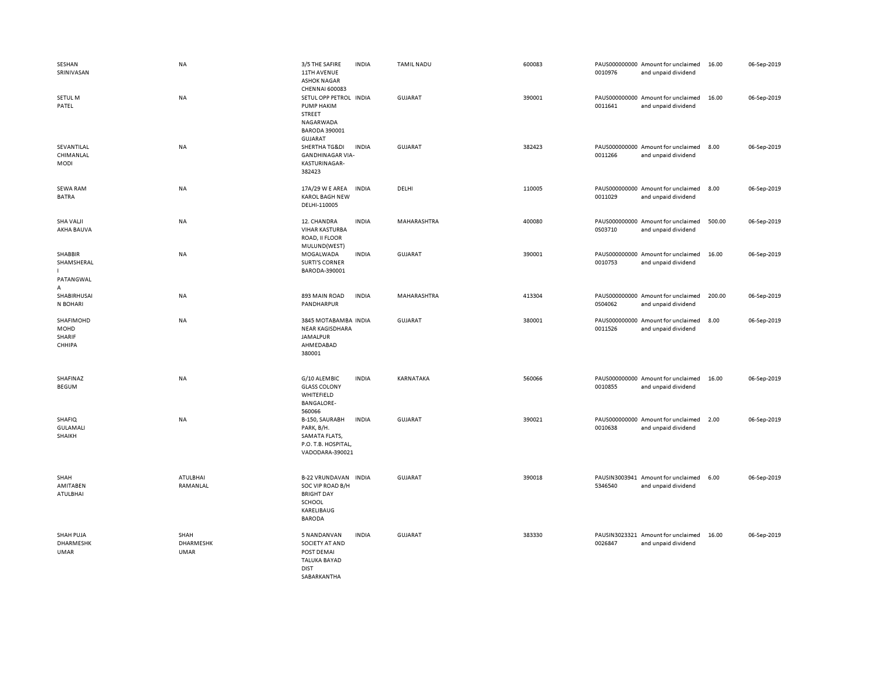| SESHAN<br>SRINIVASAN                               | <b>NA</b>                 | 3/5 THE SAFIRE<br>11TH AVENUE<br><b>ASHOK NAGAR</b>                                                                                   | <b>INDIA</b> | <b>TAMIL NADU</b> | 600083 | 0010976 | PAUS000000000 Amount for unclaimed<br>and unpaid dividend | 16.00  | 06-Sep-2019 |
|----------------------------------------------------|---------------------------|---------------------------------------------------------------------------------------------------------------------------------------|--------------|-------------------|--------|---------|-----------------------------------------------------------|--------|-------------|
| SETUL M<br>PATEL                                   | NA                        | <b>CHENNAI 600083</b><br>SETUL OPP PETROL INDIA<br>PUMP HAKIM<br><b>STREET</b><br>NAGARWADA<br><b>BARODA 390001</b><br><b>GUJARAT</b> |              | <b>GUJARAT</b>    | 390001 | 0011641 | PAUS000000000 Amount for unclaimed<br>and unpaid dividend | 16.00  | 06-Sep-2019 |
| SEVANTILAL<br>CHIMANLAL<br><b>MODI</b>             | NA                        | SHERTHA TG&DI<br><b>GANDHINAGAR VIA-</b><br>KASTURINAGAR-<br>382423                                                                   | <b>INDIA</b> | GUJARAT           | 382423 | 0011266 | PAUS000000000 Amount for unclaimed<br>and unpaid dividend | 8.00   | 06-Sep-2019 |
| <b>SEWA RAM</b><br><b>BATRA</b>                    | NA                        | 17A/29 W E AREA<br><b>KAROL BAGH NEW</b><br>DELHI-110005                                                                              | <b>INDIA</b> | DELHI             | 110005 | 0011029 | PAUS000000000 Amount for unclaimed<br>and unpaid dividend | 8.00   | 06-Sep-2019 |
| <b>SHA VALJI</b><br>AKHA BAUVA                     | NA                        | 12. CHANDRA<br><b>VIHAR KASTURBA</b><br>ROAD, II FLOOR<br>MULUND(WEST)                                                                | <b>INDIA</b> | MAHARASHTRA       | 400080 | 0S03710 | PAUS000000000 Amount for unclaimed<br>and unpaid dividend | 500.00 | 06-Sep-2019 |
| SHABBIR<br>SHAMSHERAL<br>$\mathbf{L}$<br>PATANGWAL | <b>NA</b>                 | MOGALWADA<br><b>SURTI'S CORNER</b><br>BARODA-390001                                                                                   | <b>INDIA</b> | GUJARAT           | 390001 | 0010753 | PAUS000000000 Amount for unclaimed<br>and unpaid dividend | 16.00  | 06-Sep-2019 |
| Α<br>SHABIRHUSAI<br>N BOHARI                       | <b>NA</b>                 | 893 MAIN ROAD<br>PANDHARPUR                                                                                                           | <b>INDIA</b> | MAHARASHTRA       | 413304 | 0S04062 | PAUS000000000 Amount for unclaimed<br>and unpaid dividend | 200.00 | 06-Sep-2019 |
| SHAFIMOHD<br>MOHD<br>SHARIF<br>CHHIPA              | NA                        | 3845 MOTABAMBA INDIA<br><b>NEAR KAGISDHARA</b><br><b>JAMALPUR</b><br>AHMEDABAD<br>380001                                              |              | GUJARAT           | 380001 | 0011526 | PAUS000000000 Amount for unclaimed<br>and unpaid dividend | 8.00   | 06-Sep-2019 |
| SHAFINAZ<br><b>BEGUM</b>                           | NA                        | G/10 ALEMBIC<br><b>GLASS COLONY</b><br>WHITEFIELD<br><b>BANGALORE-</b><br>560066                                                      | <b>INDIA</b> | KARNATAKA         | 560066 | 0010855 | PAUS000000000 Amount for unclaimed<br>and unpaid dividend | 16.00  | 06-Sep-2019 |
| <b>SHAFIQ</b><br><b>GULAMALI</b><br>SHAIKH         | NA                        | B-150, SAURABH<br>PARK, B/H.<br>SAMATA FLATS,<br>P.O. T.B. HOSPITAL<br>VADODARA-390021                                                | <b>INDIA</b> | GUJARAT           | 390021 | 0010638 | PAUS000000000 Amount for unclaimed<br>and unpaid dividend | 2.00   | 06-Sep-2019 |
| SHAH<br>AMITABEN<br>ATULBHAI                       | ATULBHAI<br>RAMANLAL      | <b>B-22 VRUNDAVAN</b><br>SOC VIP ROAD B/H<br><b>BRIGHT DAY</b><br>SCHOOL<br>KARELIBAUG<br><b>BARODA</b>                               | <b>INDIA</b> | GUJARAT           | 390018 | 5346540 | PAUSIN3003941 Amount for unclaimed<br>and unpaid dividend | 6.00   | 06-Sep-2019 |
| <b>SHAH PUJA</b><br><b>DHARMESHK</b><br>UMAR       | SHAH<br>DHARMESHK<br>UMAR | 5 NANDANVAN<br>SOCIETY AT AND<br>POST DEMAI<br><b>TALUKA BAYAD</b><br><b>DIST</b><br>SARARKANTHA                                      | <b>INDIA</b> | <b>GUJARAT</b>    | 383330 | 0026847 | PAUSIN3023321 Amount for unclaimed<br>and unpaid dividend | 16.00  | 06-Sep-2019 |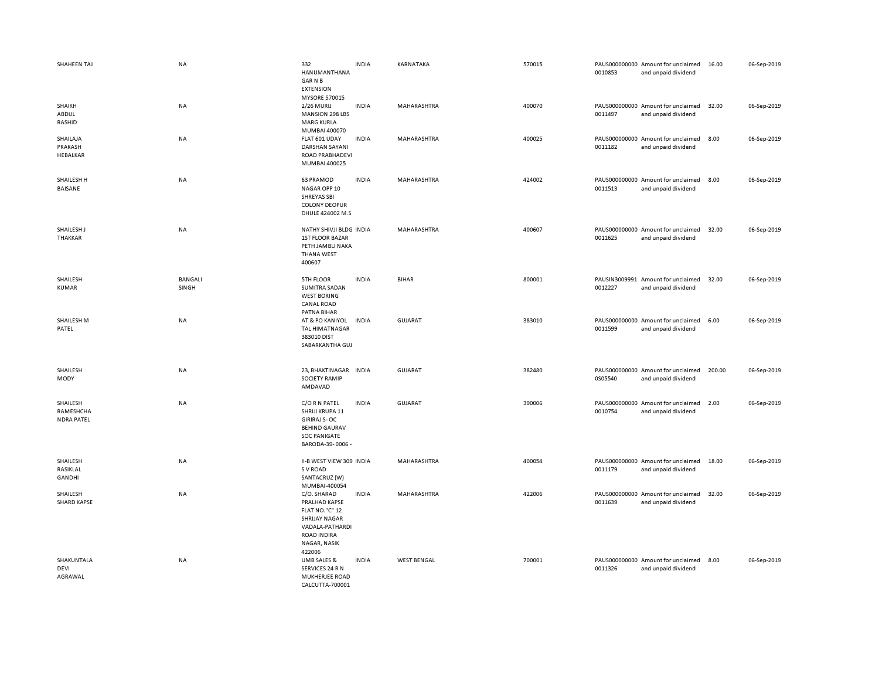| SHAHEEN TAJ                                | <b>NA</b>               | 332<br>HANUMANTHANA<br><b>GARNB</b><br><b>EXTENSION</b>                                                                                          | <b>INDIA</b> | KARNATAKA          | 570015 | 0010853 | PAUS000000000 Amount for unclaimed<br>and unpaid dividend | 16.00  | 06-Sep-2019 |
|--------------------------------------------|-------------------------|--------------------------------------------------------------------------------------------------------------------------------------------------|--------------|--------------------|--------|---------|-----------------------------------------------------------|--------|-------------|
| SHAIKH<br>ABDUL<br>RASHID                  | NA                      | <b>MYSORE 570015</b><br>2/26 MURIJ<br>MANSION 298 LBS<br><b>MARG KURLA</b><br>MUMBAI 400070                                                      | <b>INDIA</b> | MAHARASHTRA        | 400070 | 0011497 | PAUS000000000 Amount for unclaimed<br>and unpaid dividend | 32.00  | 06-Sep-2019 |
| SHAILAJA<br>PRAKASH<br>HEBALKAR            | NA                      | FLAT 601 UDAY<br>DARSHAN SAYANI<br>ROAD PRABHADEVI<br>MUMBAI 400025                                                                              | <b>INDIA</b> | MAHARASHTRA        | 400025 | 0011182 | PAUS000000000 Amount for unclaimed<br>and unpaid dividend | 8.00   | 06-Sep-2019 |
| SHAILESH H<br>BAISANE                      | <b>NA</b>               | 63 PRAMOD<br>NAGAR OPP 10<br><b>SHREYAS SBI</b><br><b>COLONY DEOPUR</b><br>DHULE 424002 M.S                                                      | <b>INDIA</b> | MAHARASHTRA        | 424002 | 0011513 | PAUS000000000 Amount for unclaimed<br>and unpaid dividend | 8.00   | 06-Sep-2019 |
| SHAILESH J<br>THAKKAR                      | NA                      | NATHY SHIVJI BLDG INDIA<br><b>1ST FLOOR BAZAR</b><br>PETH JAMBLI NAKA<br><b>THANA WEST</b><br>400607                                             |              | MAHARASHTRA        | 400607 | 0011625 | PAUS000000000 Amount for unclaimed<br>and unpaid dividend | 32.00  | 06-Sep-2019 |
| SHAILESH<br><b>KUMAR</b>                   | <b>BANGALI</b><br>SINGH | 5TH FLOOR<br><b>SUMITRA SADAN</b><br><b>WEST BORING</b><br><b>CANAL ROAD</b><br>PATNA BIHAR                                                      | <b>INDIA</b> | <b>BIHAR</b>       | 800001 | 0012227 | PAUSIN3009991 Amount for unclaimed<br>and unpaid dividend | 32.00  | 06-Sep-2019 |
| SHAILESH M<br>PATEL                        | NA                      | AT & PO KANIYOL<br>TAL HIMATNAGAR<br>383010 DIST<br>SABARKANTHA GUJ                                                                              | <b>INDIA</b> | <b>GUJARAT</b>     | 383010 | 0011599 | PAUS000000000 Amount for unclaimed<br>and unpaid dividend | 6.00   | 06-Sep-2019 |
| SHAILESH<br>MODY                           | NA                      | 23, BHAKTINAGAR INDIA<br><b>SOCIETY RAMIP</b><br>AMDAVAD                                                                                         |              | <b>GUJARAT</b>     | 382480 | 0S05540 | PAUS000000000 Amount for unclaimed<br>and unpaid dividend | 200.00 | 06-Sep-2019 |
| SHAILESH<br>RAMESHCHA<br><b>NDRA PATEL</b> | <b>NA</b>               | C/O R N PATEL<br>SHRIJI KRUPA 11<br><b>GIRIRAJ S-OC</b><br><b>BEHIND GAURAV</b><br><b>SOC PANIGATE</b><br>BARODA-39-0006-                        | <b>INDIA</b> | GUJARAT            | 390006 | 0010754 | PAUS000000000 Amount for unclaimed<br>and unpaid dividend | 2.00   | 06-Sep-2019 |
| SHAILESH<br>RASIKLAL<br>GANDHI             | <b>NA</b>               | II-B WEST VIEW 309 INDIA<br>S V ROAD<br>SANTACRUZ (W)<br>MUMBAI-400054                                                                           |              | MAHARASHTRA        | 400054 | 0011179 | PAUS000000000 Amount for unclaimed<br>and unpaid dividend | 18.00  | 06-Sep-2019 |
| SHAILESH<br><b>SHARD KAPSE</b>             | <b>NA</b>               | C/O. SHARAD<br>PRALHAD KAPSE<br><b>FLAT NO."C" 12</b><br><b>SHRIJAY NAGAR</b><br>VADALA-PATHARDI<br><b>ROAD INDIRA</b><br>NAGAR, NASIK<br>422006 | <b>INDIA</b> | MAHARASHTRA        | 422006 | 0011639 | PAUS000000000 Amount for unclaimed<br>and unpaid dividend | 32.00  | 06-Sep-2019 |
| SHAKUNTALA<br>DEVI<br>AGRAWAL              | NA                      | UMB SALES &<br>SERVICES 24 R N<br>MUKHERJEE ROAD<br>CALCUTTA-700001                                                                              | <b>INDIA</b> | <b>WEST BENGAL</b> | 700001 | 0011326 | PAUS000000000 Amount for unclaimed<br>and unpaid dividend | 8.00   | 06-Sep-2019 |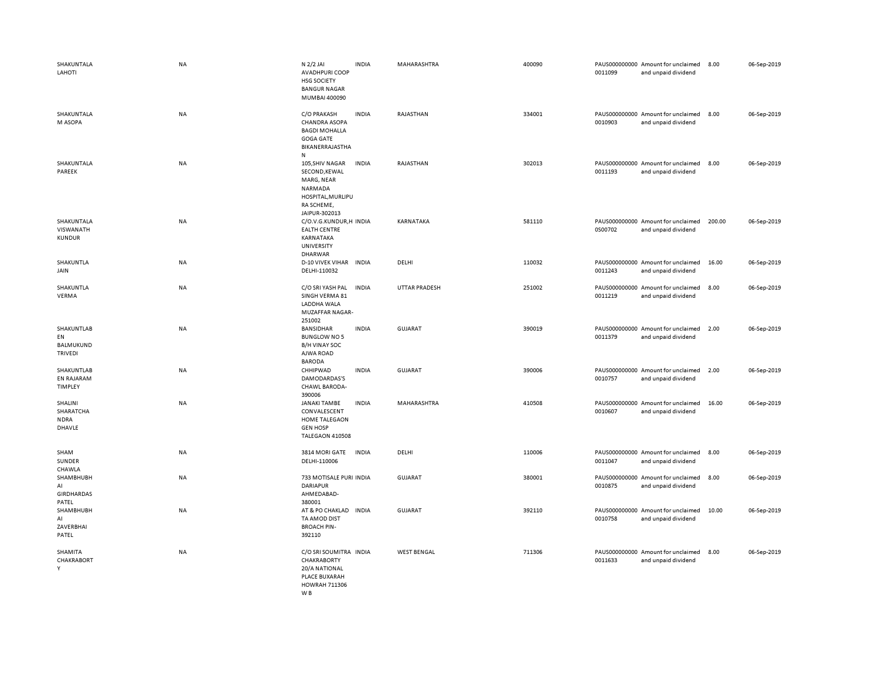| SHAKUNTALA<br>LAHOTI                                   | <b>NA</b> | N 2/2 JAI<br><b>AVADHPURI COOP</b><br>HSG SOCIETY<br><b>BANGUR NAGAR</b><br>MUMBAI 400090                          | <b>INDIA</b> | MAHARASHTRA        | 400090 | 0011099 | PAUS000000000 Amount for unclaimed<br>and unpaid dividend | 8.00   | 06-Sep-2019 |
|--------------------------------------------------------|-----------|--------------------------------------------------------------------------------------------------------------------|--------------|--------------------|--------|---------|-----------------------------------------------------------|--------|-------------|
| SHAKUNTALA<br>M ASOPA                                  | NA        | C/O PRAKASH<br><b>CHANDRA ASOPA</b><br><b>BAGDI MOHALLA</b><br><b>GOGA GATE</b><br>BIKANERRAJASTHA<br>$\mathbf{N}$ | <b>INDIA</b> | RAJASTHAN          | 334001 | 0010903 | PAUS000000000 Amount for unclaimed<br>and unpaid dividend | 8.00   | 06-Sep-2019 |
| SHAKUNTALA<br>PAREEK                                   | NA        | 105, SHIV NAGAR<br>SECOND, KEWAL<br>MARG, NEAR<br>NARMADA<br>HOSPITAL, MURLIPU<br>RA SCHEME,<br>JAIPUR-302013      | <b>INDIA</b> | RAJASTHAN          | 302013 | 0011193 | PAUS000000000 Amount for unclaimed<br>and unpaid dividend | 8.00   | 06-Sep-2019 |
| SHAKUNTALA<br>VISWANATH<br><b>KUNDUR</b>               | <b>NA</b> | C/O.V.G.KUNDUR,H INDIA<br><b>EALTH CENTRE</b><br>KARNATAKA<br>UNIVERSITY<br>DHARWAR                                |              | KARNATAKA          | 581110 | 0S00702 | PAUS000000000 Amount for unclaimed<br>and unpaid dividend | 200.00 | 06-Sep-2019 |
| SHAKUNTLA<br>JAIN                                      | NA        | D-10 VIVEK VIHAR INDIA<br>DELHI-110032                                                                             |              | DELHI              | 110032 | 0011243 | PAUS000000000 Amount for unclaimed<br>and unpaid dividend | 16.00  | 06-Sep-2019 |
| SHAKUNTLA<br>VERMA                                     | NA        | C/O SRI YASH PAL<br>SINGH VERMA 81<br>LADDHA WALA<br>MUZAFFAR NAGAR-<br>251002                                     | <b>INDIA</b> | UTTAR PRADESH      | 251002 | 0011219 | PAUS000000000 Amount for unclaimed<br>and unpaid dividend | 8.00   | 06-Sep-2019 |
| SHAKUNTLAB<br>EN<br><b>BALMUKUND</b><br><b>TRIVEDI</b> | NA        | BANSIDHAR<br><b>BUNGLOW NO 5</b><br><b>B/H VINAY SOC</b><br>AJWA ROAD<br><b>BARODA</b>                             | <b>INDIA</b> | GUJARAT            | 390019 | 0011379 | PAUS000000000 Amount for unclaimed<br>and unpaid dividend | 2.00   | 06-Sep-2019 |
| <b>SHAKUNTLAB</b><br>EN RAJARAM<br>TIMPLEY             | <b>NA</b> | CHHIPWAD<br>DAMODARDAS'S<br>CHAWL BARODA-<br>390006                                                                | <b>INDIA</b> | <b>GUJARAT</b>     | 390006 | 0010757 | PAUS000000000 Amount for unclaimed<br>and unpaid dividend | 2.00   | 06-Sep-2019 |
| SHALINI<br>SHARATCHA<br><b>NDRA</b><br>DHAVLE          | NA        | <b>JANAKI TAMBE</b><br>CONVALESCENT<br>HOME TALEGAON<br><b>GEN HOSP</b><br>TALEGAON 410508                         | <b>INDIA</b> | MAHARASHTRA        | 410508 | 0010607 | PAUS000000000 Amount for unclaimed<br>and unpaid dividend | 16.00  | 06-Sep-2019 |
| SHAM<br>SUNDER<br>CHAWLA                               | NA        | 3814 MORI GATE<br>DELHI-110006                                                                                     | INDIA        | DELHI              | 110006 | 0011047 | PAUS000000000 Amount for unclaimed<br>and unpaid dividend | 8.00   | 06-Sep-2019 |
| SHAMBHUBH<br>AI<br><b>GIRDHARDAS</b><br>PATEL          | NA        | 733 MOTISALE PURI INDIA<br><b>DARIAPUR</b><br>AHMEDABAD-<br>380001                                                 |              | <b>GUJARAT</b>     | 380001 | 0010875 | PAUS000000000 Amount for unclaimed<br>and unpaid dividend | 8.00   | 06-Sep-2019 |
| SHAMBHUBH<br>AI<br>ZAVERBHAI<br>PATEL                  | NA        | AT & PO CHAKLAD IN DIA<br>TA AMOD DIST<br><b>BROACH PIN-</b><br>392110                                             |              | <b>GUJARAT</b>     | 392110 | 0010758 | PAUS000000000 Amount for unclaimed<br>and unpaid dividend | 10.00  | 06-Sep-2019 |
| <b>SHAMITA</b><br>CHAKRABORT<br>Y                      | NA        | C/O SRI SOUMITRA INDIA<br>CHAKRABORTY<br>20/A NATIONAL<br>PLACE BUXARAH<br><b>HOWRAH 711306</b>                    |              | <b>WEST BENGAL</b> | 711306 | 0011633 | PAUS000000000 Amount for unclaimed<br>and unpaid dividend | 8.00   | 06-Sep-2019 |

W B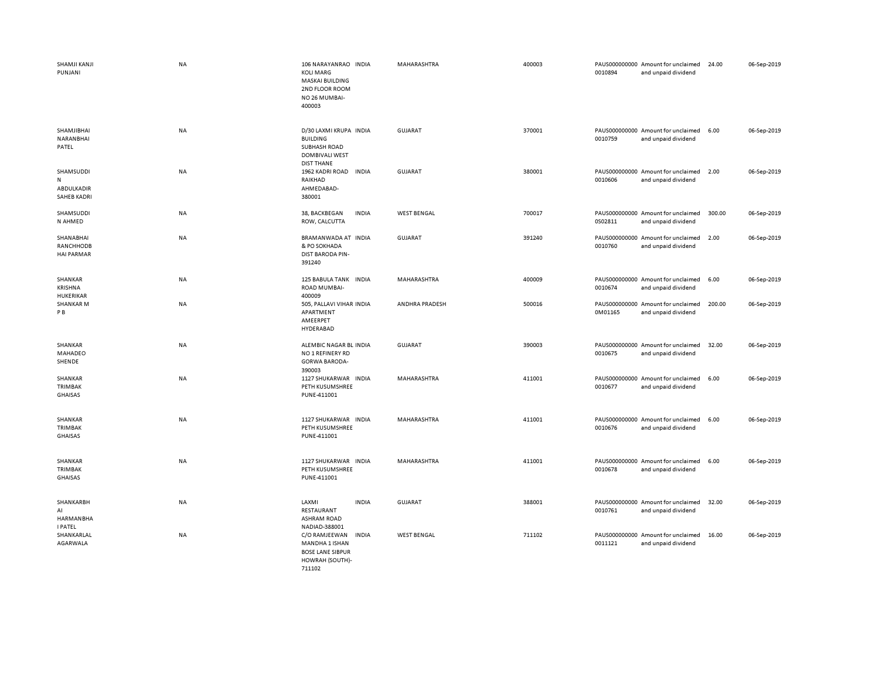| SHAMJI KANJI<br>PUNJANI                                    | <b>NA</b> | 106 NARAYANRAO INDIA<br><b>KOLI MARG</b><br>MASKAI BUILDING<br>2ND FLOOR ROOM<br>NO 26 MUMBAI-<br>400003 | MAHARASHTRA        | 400003 | 0010894 | PAUS000000000 Amount for unclaimed<br>and unpaid dividend | 24.00  | 06-Sep-2019 |
|------------------------------------------------------------|-----------|----------------------------------------------------------------------------------------------------------|--------------------|--------|---------|-----------------------------------------------------------|--------|-------------|
| SHAMJIBHAI<br>NARANBHAI<br>PATEL                           | NA        | D/30 LAXMI KRUPA INDIA<br><b>BUILDING</b><br>SUBHASH ROAD<br><b>DOMBIVALI WEST</b><br><b>DIST THANE</b>  | <b>GUJARAT</b>     | 370001 | 0010759 | PAUS000000000 Amount for unclaimed<br>and unpaid dividend | 6.00   | 06-Sep-2019 |
| SHAMSUDDI<br>${\sf N}$<br>ABDULKADIR<br><b>SAHEB KADRI</b> | NA        | 1962 KADRI ROAD<br><b>INDIA</b><br>RAIKHAD<br>AHMEDABAD-<br>380001                                       | <b>GUJARAT</b>     | 380001 | 0010606 | PAUS000000000 Amount for unclaimed<br>and unpaid dividend | 2.00   | 06-Sep-2019 |
| SHAMSUDDI<br>N AHMED                                       | NA        | 38, BACKBEGAN<br><b>INDIA</b><br>ROW, CALCUTTA                                                           | <b>WEST BENGAL</b> | 700017 | 0S02811 | PAUS000000000 Amount for unclaimed<br>and unpaid dividend | 300.00 | 06-Sep-2019 |
| SHANABHAI<br>RANCHHODB<br><b>HAI PARMAR</b>                | NA        | BRAMANWADA AT INDIA<br>& PO SOKHADA<br><b>DIST BARODA PIN-</b><br>391240                                 | <b>GUJARAT</b>     | 391240 | 0010760 | PAUS000000000 Amount for unclaimed<br>and unpaid dividend | 2.00   | 06-Sep-2019 |
| SHANKAR<br>KRISHNA<br>HUKERIKAR                            | NA        | 125 BABULA TANK INDIA<br>ROAD MUMBAI-<br>400009                                                          | MAHARASHTRA        | 400009 | 0010674 | PAUS000000000 Amount for unclaimed<br>and unpaid dividend | 6.00   | 06-Sep-2019 |
| <b>SHANKAR M</b><br>P B                                    | NA        | 505, PALLAVI VIHAR INDIA<br>APARTMENT<br>AMEERPET<br>HYDERABAD                                           | ANDHRA PRADESH     | 500016 | 0M01165 | PAUS000000000 Amount for unclaimed<br>and unpaid dividend | 200.00 | 06-Sep-2019 |
| SHANKAR<br>MAHADEO<br>SHENDE                               | <b>NA</b> | ALEMBIC NAGAR BL INDIA<br>NO 1 REFINERY RD<br><b>GORWA BARODA-</b><br>390003                             | <b>GUJARAT</b>     | 390003 | 0010675 | PAUS000000000 Amount for unclaimed<br>and unpaid dividend | 32.00  | 06-Sep-2019 |
| SHANKAR<br>TRIMBAK<br><b>GHAISAS</b>                       | NA        | 1127 SHUKARWAR INDIA<br>PETH KUSUMSHREE<br>PUNE-411001                                                   | MAHARASHTRA        | 411001 | 0010677 | PAUS000000000 Amount for unclaimed<br>and unpaid dividend | 6.00   | 06-Sep-2019 |
| SHANKAR<br>TRIMBAK<br><b>GHAISAS</b>                       | NA        | 1127 SHUKARWAR INDIA<br>PETH KUSUMSHREE<br>PUNE-411001                                                   | MAHARASHTRA        | 411001 | 0010676 | PAUS000000000 Amount for unclaimed<br>and unpaid dividend | 6.00   | 06-Sep-2019 |
| SHANKAR<br>TRIMBAK<br><b>GHAISAS</b>                       | NA        | 1127 SHUKARWAR INDIA<br>PETH KUSUMSHREE<br>PUNE-411001                                                   | MAHARASHTRA        | 411001 | 0010678 | PAUS000000000 Amount for unclaimed<br>and unpaid dividend | 6.00   | 06-Sep-2019 |
| SHANKARBH<br>AI<br>HARMANBHA<br><b>I PATEL</b>             | NA        | LAXMI<br><b>INDIA</b><br>RESTAURANT<br><b>ASHRAM ROAD</b><br>NADIAD-388001                               | <b>GUJARAT</b>     | 388001 | 0010761 | PAUS000000000 Amount for unclaimed<br>and unpaid dividend | 32.00  | 06-Sep-2019 |
| SHANKARLAL<br>AGARWALA                                     | <b>NA</b> | C/O RAMJEEWAN<br><b>INDIA</b><br>MANDHA 1 ISHAN<br><b>BOSE LANE SIBPUR</b><br>HOWRAH (SOUTH)-<br>711102  | <b>WEST BENGAL</b> | 711102 | 0011121 | PAUS000000000 Amount for unclaimed<br>and unpaid dividend | 16.00  | 06-Sep-2019 |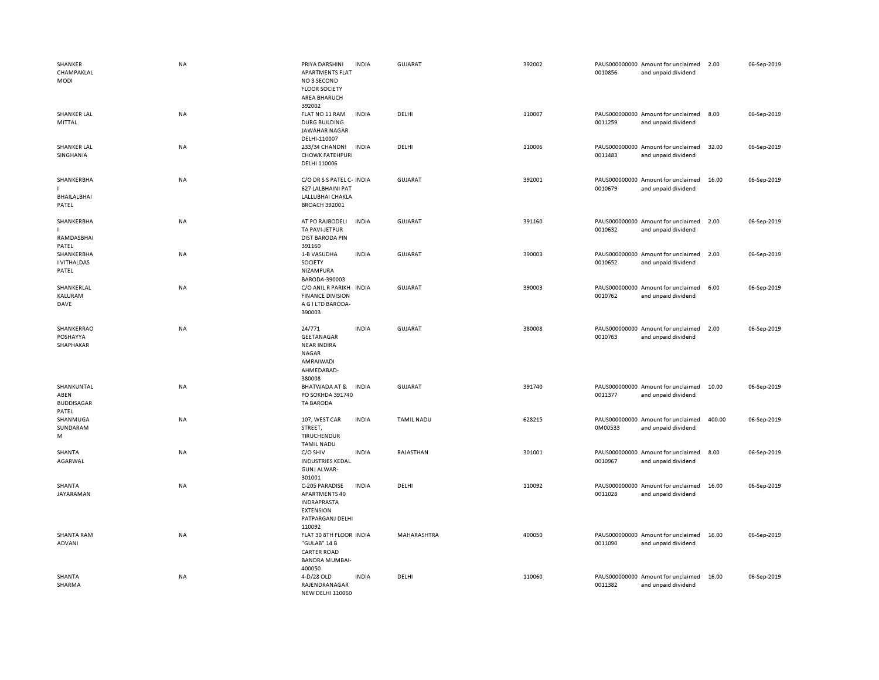| SHANKER<br>CHAMPAKLAL<br><b>MODI</b>             | <b>NA</b> | PRIYA DARSHINI<br><b>APARTMENTS FLAT</b><br>NO3 SECOND<br><b>FLOOR SOCIETY</b><br><b>AREA BHARUCH</b><br>392002 | <b>INDIA</b> | GUJARAT           | 392002 | 0010856 | PAUS000000000 Amount for unclaimed<br>and unpaid dividend | 2.00   | 06-Sep-2019 |
|--------------------------------------------------|-----------|-----------------------------------------------------------------------------------------------------------------|--------------|-------------------|--------|---------|-----------------------------------------------------------|--------|-------------|
| SHANKER LAL<br>MITTAL                            | NA        | FLAT NO 11 RAM<br><b>DURG BUILDING</b><br><b>JAWAHAR NAGAR</b><br>DELHI-110007                                  | <b>INDIA</b> | DELHI             | 110007 | 0011259 | PAUS000000000 Amount for unclaimed<br>and unpaid dividend | 8.00   | 06-Sep-2019 |
| <b>SHANKER LAL</b><br>SINGHANIA                  | NA        | 233/34 CHANDNI<br><b>CHOWK FATEHPURI</b><br>DELHI 110006                                                        | <b>INDIA</b> | DELHI             | 110006 | 0011483 | PAUS000000000 Amount for unclaimed<br>and unpaid dividend | 32.00  | 06-Sep-2019 |
| SHANKERBHA<br>BHAILALBHAI<br>PATEL               | <b>NA</b> | C/O DR S S PATEL C- INDIA<br>627 LALBHAINI PAT<br>LALLUBHAI CHAKLA<br><b>BROACH 392001</b>                      |              | GUJARAT           | 392001 | 0010679 | PAUS000000000 Amount for unclaimed<br>and unpaid dividend | 16.00  | 06-Sep-2019 |
| SHANKERBHA<br>RAMDASBHAI<br>PATEL                | <b>NA</b> | AT PO RAJBODELI<br>TA PAVI-JETPUR<br><b>DIST BARODA PIN</b><br>391160                                           | <b>INDIA</b> | GUJARAT           | 391160 | 0010632 | PAUS000000000 Amount for unclaimed<br>and unpaid dividend | 2.00   | 06-Sep-2019 |
| SHANKERBHA<br><b>I VITHALDAS</b><br>PATEL        | <b>NA</b> | 1-B VASUDHA<br>SOCIETY<br>NIZAMPURA<br>BARODA-390003                                                            | <b>INDIA</b> | GUJARAT           | 390003 | 0010652 | PAUS000000000 Amount for unclaimed<br>and unpaid dividend | 2.00   | 06-Sep-2019 |
| SHANKERLAL<br>KALURAM<br>DAVE                    | <b>NA</b> | C/O ANIL R PARIKH<br><b>FINANCE DIVISION</b><br>A G I LTD BARODA-<br>390003                                     | <b>INDIA</b> | GUJARAT           | 390003 | 0010762 | PAUS000000000 Amount for unclaimed<br>and unpaid dividend | 6.00   | 06-Sep-2019 |
| SHANKERRAO<br>POSHAYYA<br>SHAPHAKAR              | <b>NA</b> | 24/771<br>GEETANAGAR<br><b>NEAR INDIRA</b><br><b>NAGAR</b><br>AMRAIWADI<br>AHMEDABAD-<br>380008                 | <b>INDIA</b> | GUJARAT           | 380008 | 0010763 | PAUS000000000 Amount for unclaimed<br>and unpaid dividend | 2.00   | 06-Sep-2019 |
| SHANKUNTAL<br>ABEN<br><b>BUDDISAGAR</b><br>PATEL | NA        | BHATWADA AT &<br>PO SOKHDA 391740<br><b>TA BARODA</b>                                                           | INDIA        | <b>GUJARAT</b>    | 391740 | 0011377 | PAUS000000000 Amount for unclaimed<br>and unpaid dividend | 10.00  | 06-Sep-2019 |
| SHANMUGA<br>SUNDARAM<br>M                        | <b>NA</b> | 107, WEST CAR<br>STREET,<br>TIRUCHENDUR<br><b>TAMIL NADU</b>                                                    | <b>INDIA</b> | <b>TAMIL NADU</b> | 628215 | 0M00533 | PAUS000000000 Amount for unclaimed<br>and unpaid dividend | 400.00 | 06-Sep-2019 |
| SHANTA<br>AGARWAL                                | <b>NA</b> | C/O SHIV<br><b>INDUSTRIES KEDAL</b><br><b>GUNJ ALWAR-</b><br>301001                                             | <b>INDIA</b> | RAJASTHAN         | 301001 | 0010967 | PAUS000000000 Amount for unclaimed<br>and unpaid dividend | 8.00   | 06-Sep-2019 |
| SHANTA<br>JAYARAMAN                              | NA        | C-205 PARADISE<br>APARTMENTS 40<br><b>INDRAPRASTA</b><br><b>EXTENSION</b><br>PATPARGANJ DELHI<br>110092         | <b>INDIA</b> | DELHI             | 110092 | 0011028 | PAUS000000000 Amount for unclaimed<br>and unpaid dividend | 16.00  | 06-Sep-2019 |
| <b>SHANTA RAM</b><br><b>ADVANI</b>               | NA        | FLAT 30 8TH FLOOR INDIA<br>"GULAB" 14 B<br><b>CARTER ROAD</b><br><b>BANDRA MUMBAI-</b><br>400050                |              | MAHARASHTRA       | 400050 | 0011090 | PAUS000000000 Amount for unclaimed<br>and unpaid dividend | 16.00  | 06-Sep-2019 |
| SHANTA<br>SHARMA                                 | NA        | 4-D/28 OLD<br>RAJENDRANAGAR<br>NEW DELHL110060                                                                  | <b>INDIA</b> | DELHI             | 110060 | 0011382 | PAUS000000000 Amount for unclaimed<br>and unpaid dividend | 16.00  | 06-Sep-2019 |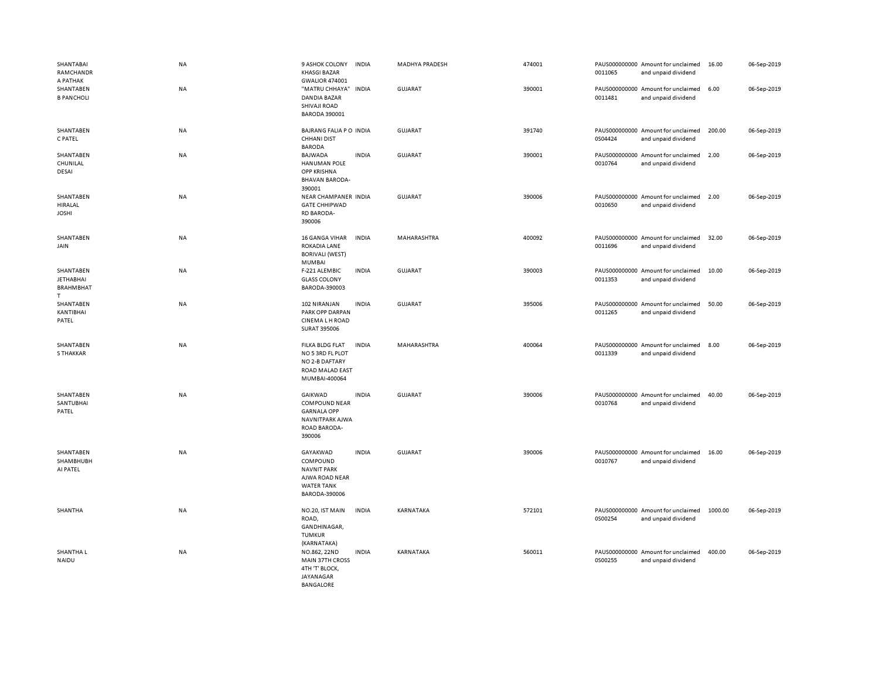| SHANTABAI<br>RAMCHANDR<br>A PATHAK<br>SHANTABEN         | <b>NA</b><br><b>NA</b> | 9 ASHOK COLONY<br><b>KHASGI BAZAR</b><br><b>GWALIOR 474001</b><br>"MATRU CHHAYA" INDIA                  | <b>INDIA</b> | <b>MADHYA PRADESH</b><br><b>GUJARAT</b> | 474001<br>390001 | 0011065 | PAUS000000000 Amount for unclaimed<br>and unpaid dividend<br>PAUS000000000 Amount for unclaimed | 16.00<br>6.00 | 06-Sep-2019<br>06-Sep-2019 |
|---------------------------------------------------------|------------------------|---------------------------------------------------------------------------------------------------------|--------------|-----------------------------------------|------------------|---------|-------------------------------------------------------------------------------------------------|---------------|----------------------------|
| <b>B PANCHOLI</b>                                       |                        | DANDIA BAZAR<br>SHIVAJI ROAD<br>BARODA 390001                                                           |              |                                         |                  | 0011481 | and unpaid dividend                                                                             |               |                            |
| SHANTABEN<br>C PATEL                                    | <b>NA</b>              | BAJRANG FALIA P O INDIA<br>CHHANI DIST<br><b>BARODA</b>                                                 |              | GUJARAT                                 | 391740           | 0S04424 | PAUS000000000 Amount for unclaimed<br>and unpaid dividend                                       | 200.00        | 06-Sep-2019                |
| SHANTABEN<br>CHUNILAL<br>DESAI                          | NA                     | BAJWADA<br><b>HANUMAN POLE</b><br><b>OPP KRISHNA</b><br><b>BHAVAN BARODA-</b><br>390001                 | <b>INDIA</b> | <b>GUJARAT</b>                          | 390001           | 0010764 | PAUS000000000 Amount for unclaimed<br>and unpaid dividend                                       | 2.00          | 06-Sep-2019                |
| SHANTABEN<br>HIRALAL<br><b>JOSHI</b>                    | NA                     | NEAR CHAMPANER INDIA<br><b>GATE CHHIPWAD</b><br>RD BARODA-<br>390006                                    |              | GUJARAT                                 | 390006           | 0010650 | PAUS000000000 Amount for unclaimed<br>and unpaid dividend                                       | 2.00          | 06-Sep-2019                |
| SHANTABEN<br>JAIN                                       | NA                     | 16 GANGA VIHAR<br>ROKADIA LANE<br><b>BORIVALI (WEST)</b><br>MUMBAI                                      | <b>INDIA</b> | MAHARASHTRA                             | 400092           | 0011696 | PAUS000000000 Amount for unclaimed<br>and unpaid dividend                                       | 32.00         | 06-Sep-2019                |
| SHANTABEN<br><b>JETHABHAI</b><br><b>BRAHMBHAT</b><br>T. | <b>NA</b>              | F-221 ALEMBIC<br><b>GLASS COLONY</b><br>BARODA-390003                                                   | <b>INDIA</b> | <b>GUJARAT</b>                          | 390003           | 0011353 | PAUS000000000 Amount for unclaimed<br>and unpaid dividend                                       | 10.00         | 06-Sep-2019                |
| SHANTABEN<br>KANTIBHAI<br>PATEL                         | NA                     | 102 NIRANJAN<br>PARK OPP DARPAN<br><b>CINEMALH ROAD</b><br><b>SURAT 395006</b>                          | <b>INDIA</b> | <b>GUJARAT</b>                          | 395006           | 0011265 | PAUS000000000 Amount for unclaimed<br>and unpaid dividend                                       | 50.00         | 06-Sep-2019                |
| SHANTABEN<br><b>S THAKKAR</b>                           | <b>NA</b>              | <b>FILKA BLDG FLAT</b><br>NO 5 3RD FL PLOT<br>NO 2-B DAFTARY<br><b>ROAD MALAD EAST</b><br>MUMBAI-400064 | <b>INDIA</b> | MAHARASHTRA                             | 400064           | 0011339 | PAUS000000000 Amount for unclaimed<br>and unpaid dividend                                       | 8.00          | 06-Sep-2019                |
| SHANTABEN<br>SANTUBHAI<br>PATEL                         | NA                     | GAIKWAD<br><b>COMPOUND NEAR</b><br><b>GARNALA OPP</b><br>NAVNITPARK AJWA<br>ROAD BARODA-<br>390006      | <b>INDIA</b> | <b>GUJARAT</b>                          | 390006           | 0010768 | PAUS000000000 Amount for unclaimed<br>and unpaid dividend                                       | 40.00         | 06-Sep-2019                |
| SHANTABEN<br>SHAMBHUBH<br>AI PATEL                      | NA                     | GAYAKWAD<br>COMPOUND<br><b>NAVNIT PARK</b><br>AJWA ROAD NEAR<br><b>WATER TANK</b><br>BARODA-390006      | <b>INDIA</b> | <b>GUJARAT</b>                          | 390006           | 0010767 | PAUS000000000 Amount for unclaimed<br>and unpaid dividend                                       | 16.00         | 06-Sep-2019                |
| SHANTHA                                                 | NA                     | NO.20, IST MAIN<br>ROAD,<br>GANDHINAGAR,<br>TUMKUR<br>(KARNATAKA)                                       | <b>INDIA</b> | KARNATAKA                               | 572101           | 0S00254 | PAUS000000000 Amount for unclaimed<br>and unpaid dividend                                       | 1000.00       | 06-Sep-2019                |
| SHANTHA L<br>NAIDU                                      | <b>NA</b>              | NO.862, 22ND<br>MAIN 37TH CROSS<br>4TH 'T' BLOCK,<br><b>JAYANAGAR</b><br><b>BANGALORE</b>               | <b>INDIA</b> | KARNATAKA                               | 560011           | 0S00255 | PAUS000000000 Amount for unclaimed<br>and unpaid dividend                                       | 400.00        | 06-Sep-2019                |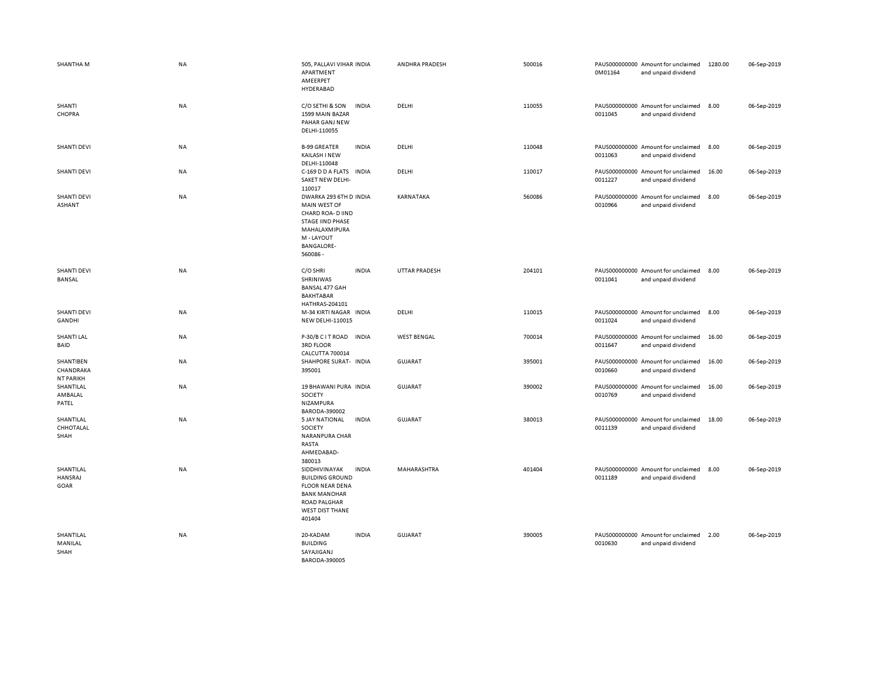| <b>SHANTHA M</b>                           | NA        | 505, PALLAVI VIHAR INDIA<br>APARTMENT<br>AMEERPET<br>HYDERABAD                                                                                                      | ANDHRA PRADESH       | 500016 | 0M01164 | PAUS000000000 Amount for unclaimed<br>and unpaid dividend | 1280.00 | 06-Sep-2019 |
|--------------------------------------------|-----------|---------------------------------------------------------------------------------------------------------------------------------------------------------------------|----------------------|--------|---------|-----------------------------------------------------------|---------|-------------|
| SHANTI<br>CHOPRA                           | <b>NA</b> | C/O SETHI & SON<br><b>INDIA</b><br>1599 MAIN BAZAR<br>PAHAR GANJ NEW<br>DELHI-110055                                                                                | DELHI                | 110055 | 0011045 | PAUS000000000 Amount for unclaimed<br>and unpaid dividend | 8.00    | 06-Sep-2019 |
| <b>SHANTI DEVI</b>                         | NA        | <b>B-99 GREATER</b><br><b>INDIA</b><br>KAILASH I NEW<br>DELHI-110048                                                                                                | DELHI                | 110048 | 0011063 | PAUS000000000 Amount for unclaimed<br>and unpaid dividend | 8.00    | 06-Sep-2019 |
| <b>SHANTI DEVI</b>                         | NA        | C-169 D D A FLATS INDIA<br>SAKET NEW DELHI-<br>110017                                                                                                               | DELHI                | 110017 | 0011227 | PAUS000000000 Amount for unclaimed<br>and unpaid dividend | 16.00   | 06-Sep-2019 |
| <b>SHANTI DEVI</b><br><b>ASHANT</b>        | NA        | DWARKA 293 6TH D INDIA<br>MAIN WEST OF<br>CHARD ROA- D IIND<br><b>STAGE IIND PHASE</b><br>MAHALAXMIPURA<br>M - LAYOUT<br><b>BANGALORE-</b><br>560086-               | KARNATAKA            | 560086 | 0010966 | PAUS000000000 Amount for unclaimed<br>and unpaid dividend | 8.00    | 06-Sep-2019 |
| <b>SHANTI DEVI</b><br><b>BANSAL</b>        | <b>NA</b> | C/O SHRI<br><b>INDIA</b><br>SHRINIWAS<br>BANSAL 477 GAH<br><b>BAKHTABAR</b><br>HATHRAS-204101                                                                       | <b>UTTAR PRADESH</b> | 204101 | 0011041 | PAUS000000000 Amount for unclaimed<br>and unpaid dividend | 8.00    | 06-Sep-2019 |
| <b>SHANTI DEVI</b><br><b>GANDHI</b>        | NA        | M-34 KIRTI NAGAR<br><b>INDIA</b><br><b>NEW DELHI-110015</b>                                                                                                         | DELHI                | 110015 | 0011024 | PAUS000000000 Amount for unclaimed<br>and unpaid dividend | 8.00    | 06-Sep-2019 |
| <b>SHANTI LAL</b><br>BAID                  | NA        | <b>INDIA</b><br>P-30/B C I T ROAD<br><b>3RD FLOOR</b><br>CALCUTTA 700014                                                                                            | <b>WEST BENGAL</b>   | 700014 | 0011647 | PAUS000000000 Amount for unclaimed<br>and unpaid dividend | 16.00   | 06-Sep-2019 |
| SHANTIBEN<br>CHANDRAKA<br><b>NT PARIKH</b> | NA        | SHAHPORE SURAT- INDIA<br>395001                                                                                                                                     | <b>GUJARAT</b>       | 395001 | 0010660 | PAUS000000000 Amount for unclaimed<br>and unpaid dividend | 16.00   | 06-Sep-2019 |
| SHANTILAL<br>AMBALAL<br>PATEL              | <b>NA</b> | 19 BHAWANI PURA INDIA<br>SOCIETY<br>NIZAMPURA<br>BARODA-390002                                                                                                      | <b>GUJARAT</b>       | 390002 | 0010769 | PAUS000000000 Amount for unclaimed<br>and unpaid dividend | 16.00   | 06-Sep-2019 |
| SHANTILAL<br>CHHOTALAL<br>SHAH             | NA        | <b>5 JAY NATIONAL</b><br><b>INDIA</b><br>SOCIETY<br>NARANPURA CHAR<br>RASTA<br>AHMEDABAD-<br>380013                                                                 | <b>GUJARAT</b>       | 380013 | 0011139 | PAUS000000000 Amount for unclaimed<br>and unpaid dividend | 18.00   | 06-Sep-2019 |
| SHANTILAL<br>HANSRAJ<br>GOAR               | NA        | SIDDHIVINAYAK<br><b>INDIA</b><br><b>BUILDING GROUND</b><br><b>FLOOR NEAR DENA</b><br><b>BANK MANOHAR</b><br><b>ROAD PALGHAR</b><br><b>WEST DIST THANE</b><br>401404 | MAHARASHTRA          | 401404 | 0011189 | PAUS000000000 Amount for unclaimed<br>and unpaid dividend | 8.00    | 06-Sep-2019 |
| SHANTILAL<br>MANILAL<br>SHAH               | <b>NA</b> | 20-KADAM<br><b>INDIA</b><br><b>BUILDING</b><br>SAYAJIGANJ<br>BARODA-390005                                                                                          | <b>GUJARAT</b>       | 390005 | 0010630 | PAUS000000000 Amount for unclaimed<br>and unpaid dividend | 2.00    | 06-Sep-2019 |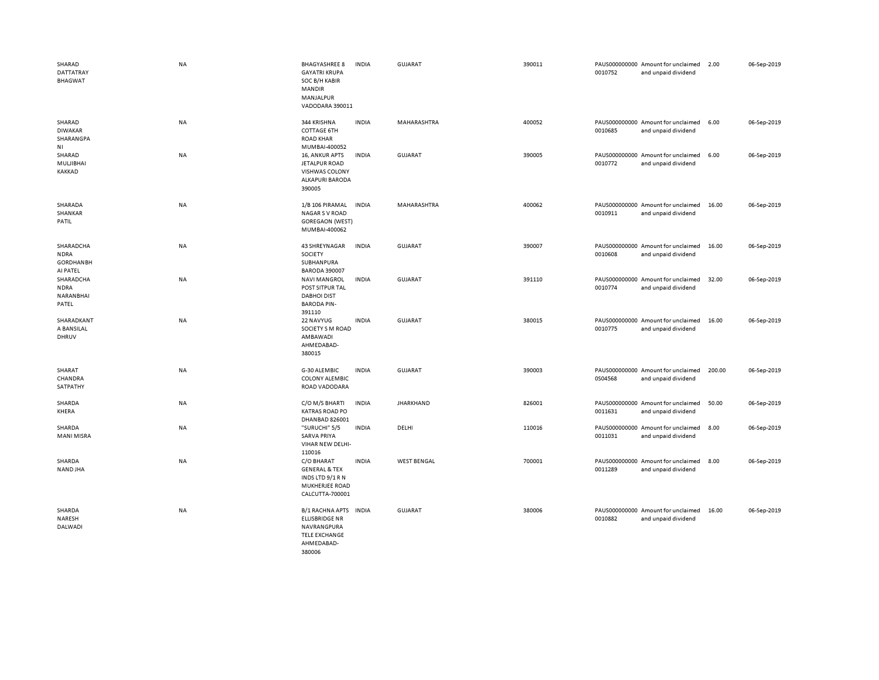| SHARAD<br>DATTATRAY<br><b>BHAGWAT</b>                    | <b>NA</b> | <b>BHAGYASHREE 8</b><br><b>GAYATRI KRUPA</b><br>SOC B/H KABIR<br><b>MANDIR</b><br>MANJALPUR<br>VADODARA 390011 | <b>INDIA</b> | <b>GUJARAT</b>     | 390011 | 0010752 | PAUS000000000 Amount for unclaimed<br>and unpaid dividend | 2.00   | 06-Sep-2019 |
|----------------------------------------------------------|-----------|----------------------------------------------------------------------------------------------------------------|--------------|--------------------|--------|---------|-----------------------------------------------------------|--------|-------------|
| SHARAD<br><b>DIWAKAR</b><br>SHARANGPA<br>ΝI              | NA        | 344 KRISHNA<br><b>COTTAGE 6TH</b><br><b>ROAD KHAR</b><br>MUMBAI-400052                                         | <b>INDIA</b> | MAHARASHTRA        | 400052 | 0010685 | PAUS000000000 Amount for unclaimed<br>and unpaid dividend | 6.00   | 06-Sep-2019 |
| SHARAD<br>MULJIBHAI<br>KAKKAD                            | NA        | 16, ANKUR APTS<br>JETALPUR ROAD<br><b>VISHWAS COLONY</b><br>ALKAPURI BARODA<br>390005                          | <b>INDIA</b> | <b>GUJARAT</b>     | 390005 | 0010772 | PAUS000000000 Amount for unclaimed<br>and unpaid dividend | 6.00   | 06-Sep-2019 |
| SHARADA<br>SHANKAR<br>PATIL                              | NA        | 1/B 106 PIRAMAL<br><b>NAGAR S V ROAD</b><br><b>GOREGAON (WEST)</b><br>MUMBAI-400062                            | <b>INDIA</b> | MAHARASHTRA        | 400062 | 0010911 | PAUS000000000 Amount for unclaimed<br>and unpaid dividend | 16.00  | 06-Sep-2019 |
| SHARADCHA<br><b>NDRA</b><br><b>GORDHANBH</b><br>AI PATEL | NA        | 43 SHREYNAGAR<br>SOCIETY<br>SUBHANPURA<br><b>BARODA 390007</b>                                                 | <b>INDIA</b> | GUJARAT            | 390007 | 0010608 | PAUS000000000 Amount for unclaimed<br>and unpaid dividend | 16.00  | 06-Sep-2019 |
| SHARADCHA<br><b>NDRA</b><br>NARANBHAI<br>PATEL           | NA        | <b>NAVI MANGROL</b><br>POST SITPUR TAL<br><b>DABHOI DIST</b><br><b>BARODA PIN-</b><br>391110                   | <b>INDIA</b> | <b>GUJARAT</b>     | 391110 | 0010774 | PAUS000000000 Amount for unclaimed<br>and unpaid dividend | 32.00  | 06-Sep-2019 |
| SHARADKANT<br>A BANSILAL<br>DHRUV                        | NA        | 22 NAVYUG<br>SOCIETY S M ROAD<br>AMBAWADI<br>AHMEDABAD-<br>380015                                              | <b>INDIA</b> | <b>GUJARAT</b>     | 380015 | 0010775 | PAUS000000000 Amount for unclaimed<br>and unpaid dividend | 16.00  | 06-Sep-2019 |
| SHARAT<br>CHANDRA<br>SATPATHY                            | <b>NA</b> | G-30 ALEMBIC<br><b>COLONY ALEMBIC</b><br>ROAD VADODARA                                                         | <b>INDIA</b> | GUJARAT            | 390003 | 0S04568 | PAUS000000000 Amount for unclaimed<br>and unpaid dividend | 200.00 | 06-Sep-2019 |
| SHARDA<br>KHERA                                          | NA        | C/O M/S BHARTI<br><b>KATRAS ROAD PO</b><br>DHANBAD 826001                                                      | <b>INDIA</b> | <b>JHARKHAND</b>   | 826001 | 0011631 | PAUS000000000 Amount for unclaimed<br>and unpaid dividend | 50.00  | 06-Sep-2019 |
| SHARDA<br>MANI MISRA                                     | NA        | "SURUCHI" 5/5<br><b>SARVA PRIYA</b><br>VIHAR NEW DELHI-<br>110016                                              | <b>INDIA</b> | DELHI              | 110016 | 0011031 | PAUS000000000 Amount for unclaimed<br>and unpaid dividend | 8.00   | 06-Sep-2019 |
| SHARDA<br><b>NAND JHA</b>                                | <b>NA</b> | C/O BHARAT<br><b>GENERAL &amp; TEX</b><br>INDS LTD 9/1 R N<br>MUKHERJEE ROAD<br>CALCUTTA-700001                | <b>INDIA</b> | <b>WEST BENGAL</b> | 700001 | 0011289 | PAUS000000000 Amount for unclaimed<br>and unpaid dividend | 8.00   | 06-Sep-2019 |
| SHARDA<br>NARESH<br>DALWADI                              | NA        | <b>B/1 RACHNA APTS</b><br>ELLISBRIDGE NR<br>NAVRANGPURA<br><b>TELE EXCHANGE</b><br>AHMEDABAD-<br>380006        | <b>INDIA</b> | <b>GUJARAT</b>     | 380006 | 0010882 | PAUS000000000 Amount for unclaimed<br>and unpaid dividend | 16.00  | 06-Sep-2019 |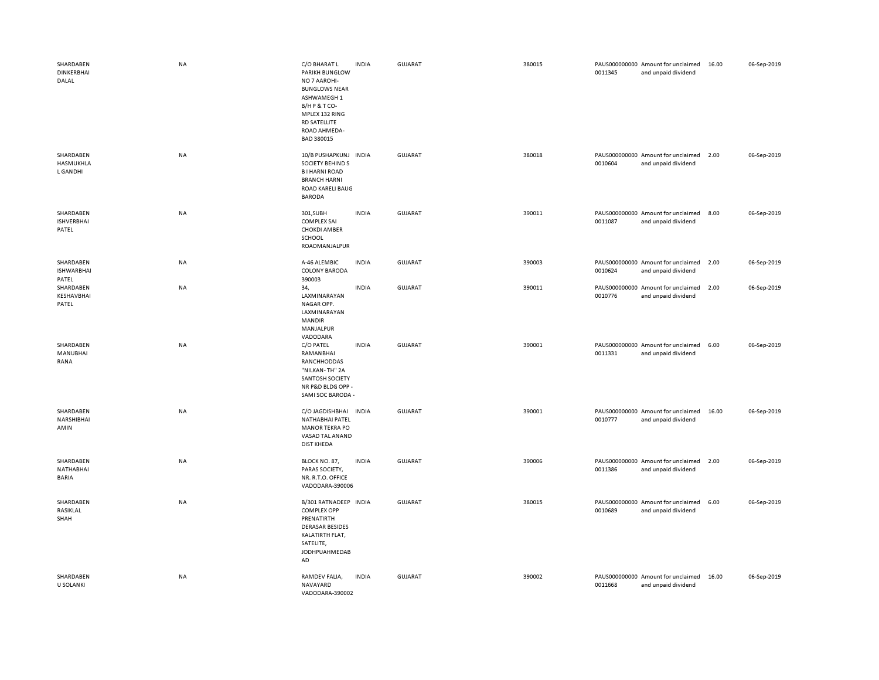| SHARDABEN<br><b>DINKERBHAI</b><br>DALAL | NA        | C/O BHARAT L<br>PARIKH BUNGLOW<br>NO 7 AAROHI-<br><b>BUNGLOWS NEAR</b><br>ASHWAMEGH 1<br>B/HP&TCO-<br>MPLEX 132 RING<br><b>RD SATELLITE</b><br>ROAD AHMEDA-<br>BAD 380015 | <b>INDIA</b> | <b>GUJARAT</b> | 380015 | 0011345 | PAUS000000000 Amount for unclaimed<br>and unpaid dividend | 16.00 | 06-Sep-2019 |
|-----------------------------------------|-----------|---------------------------------------------------------------------------------------------------------------------------------------------------------------------------|--------------|----------------|--------|---------|-----------------------------------------------------------|-------|-------------|
| SHARDABEN<br>HASMUKHLA<br>L GANDHI      | <b>NA</b> | 10/B PUSHAPKUNJ INDIA<br><b>SOCIETY BEHINDS</b><br><b>BI HARNI ROAD</b><br><b>BRANCH HARNI</b><br>ROAD KARELI BAUG<br><b>BARODA</b>                                       |              | GUJARAT        | 380018 | 0010604 | PAUS000000000 Amount for unclaimed<br>and unpaid dividend | 2.00  | 06-Sep-2019 |
| SHARDABEN<br><b>ISHVERBHAI</b><br>PATEL | NA        | 301, SUBH<br><b>COMPLEX SAI</b><br><b>CHOKDI AMBER</b><br>SCHOOL<br>ROADMANJALPUR                                                                                         | <b>INDIA</b> | GUJARAT        | 390011 | 0011087 | PAUS000000000 Amount for unclaimed<br>and unpaid dividend | 8.00  | 06-Sep-2019 |
| SHARDABEN<br><b>ISHWARBHAI</b><br>PATEL | NA        | A-46 ALEMBIC<br><b>COLONY BARODA</b><br>390003                                                                                                                            | <b>INDIA</b> | <b>GUJARAT</b> | 390003 | 0010624 | PAUS000000000 Amount for unclaimed<br>and unpaid dividend | 2.00  | 06-Sep-2019 |
| SHARDABEN<br>KESHAVBHAI<br>PATEL        | NA        | 34,<br>LAXMINARAYAN<br>NAGAR OPP.<br>LAXMINARAYAN<br><b>MANDIR</b><br>MANJALPUR<br>VADODARA                                                                               | <b>INDIA</b> | <b>GUJARAT</b> | 390011 | 0010776 | PAUS000000000 Amount for unclaimed<br>and unpaid dividend | 2.00  | 06-Sep-2019 |
| SHARDABEN<br>MANUBHAI<br>RANA           | NA        | C/O PATEL<br>RAMANBHAI<br>RANCHHODDAS<br>"NILKAN-TH" 2A<br>SANTOSH SOCIETY<br>NR P&D BLDG OPP -<br>SAMI SOC BARODA -                                                      | <b>INDIA</b> | GUJARAT        | 390001 | 0011331 | PAUS000000000 Amount for unclaimed<br>and unpaid dividend | 6.00  | 06-Sep-2019 |
| SHARDABEN<br>NARSHIBHAI<br>AMIN         | <b>NA</b> | C/O JAGDISHBHAI INDIA<br>NATHABHAI PATEL<br><b>MANOR TEKRA PO</b><br>VASAD TAL ANAND<br><b>DIST KHEDA</b>                                                                 |              | <b>GUJARAT</b> | 390001 | 0010777 | PAUS000000000 Amount for unclaimed<br>and unpaid dividend | 16.00 | 06-Sep-2019 |
| SHARDABEN<br>NATHABHAI<br>BARIA         | NA        | BLOCK NO. 87,<br>PARAS SOCIETY,<br>NR. R.T.O. OFFICE<br>VADODARA-390006                                                                                                   | <b>INDIA</b> | GUJARAT        | 390006 | 0011386 | PAUS000000000 Amount for unclaimed<br>and unpaid dividend | 2.00  | 06-Sep-2019 |
| SHARDABEN<br>RASIKLAL<br>SHAH           | NA        | B/301 RATNADEEP INDIA<br><b>COMPLEX OPP</b><br>PRENATIRTH<br><b>DERASAR BESIDES</b><br>KALATIRTH FLAT,<br>SATELITE,<br>JODHPUAHMEDAB<br>AD                                |              | <b>GUJARAT</b> | 380015 | 0010689 | PAUS000000000 Amount for unclaimed<br>and unpaid dividend | 6.00  | 06-Sep-2019 |
| SHARDABEN<br><b>U SOLANKI</b>           | NA        | RAMDEV FALIA,<br>NAVAYARD<br>VADODARA-390002                                                                                                                              | <b>INDIA</b> | <b>GUJARAT</b> | 390002 | 0011668 | PAUS000000000 Amount for unclaimed<br>and unpaid dividend | 16.00 | 06-Sep-2019 |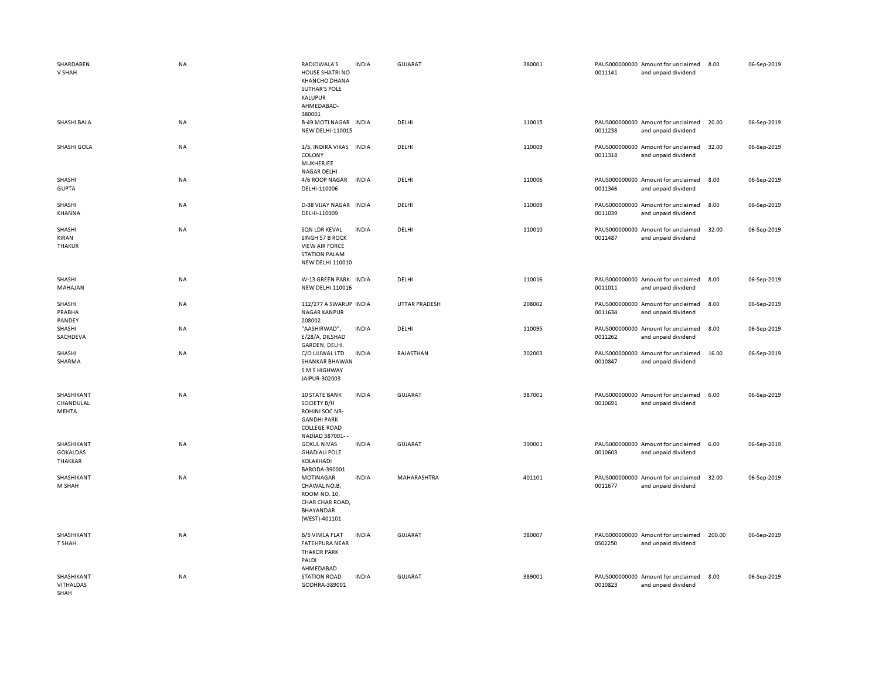| SHARDABEN<br>V SHAH                      | <b>NA</b> | RADIOWALA'S<br><b>HOUSE SHATRI NO</b><br><b>KHANCHO DHANA</b><br><b>SUTHAR'S POLE</b><br>KALUPUR<br>AHMEDABAD-<br>380001 | <b>INDIA</b> | GUJARAT              | 380001 | 0011141 | PAUS000000000 Amount for unclaimed<br>and unpaid dividend | 8.00   | 06-Sep-2019 |
|------------------------------------------|-----------|--------------------------------------------------------------------------------------------------------------------------|--------------|----------------------|--------|---------|-----------------------------------------------------------|--------|-------------|
| SHASHI BALA                              | <b>NA</b> | <b>B-49 MOTI NAGAR</b><br><b>NEW DELHI-110015</b>                                                                        | <b>INDIA</b> | DELHI                | 110015 | 0011238 | PAUS000000000 Amount for unclaimed<br>and unpaid dividend | 20.00  | 06-Sep-2019 |
| SHASHI GOLA                              | <b>NA</b> | 1/5, INDIRA VIKAS INDIA<br>COLONY<br>MUKHERJEE<br><b>NAGAR DELHI</b>                                                     |              | DELHI                | 110009 | 0011318 | PAUS000000000 Amount for unclaimed<br>and unpaid dividend | 32.00  | 06-Sep-2019 |
| SHASHI<br><b>GUPTA</b>                   | NA        | 4/6 ROOP NAGAR<br>DELHI-110006                                                                                           | <b>INDIA</b> | DELHI                | 110006 | 0011346 | PAUS000000000 Amount for unclaimed<br>and unpaid dividend | 8.00   | 06-Sep-2019 |
| SHASHI<br><b>KHANNA</b>                  | NA        | D-38 VIJAY NAGAR INDIA<br>DELHI-110009                                                                                   |              | DELHI                | 110009 | 0011039 | PAUS000000000 Amount for unclaimed<br>and unpaid dividend | 8.00   | 06-Sep-2019 |
| SHASHI<br>KIRAN<br><b>THAKUR</b>         | NA        | SQN LDR KEVAL<br>SINGH 57 B ROCK<br><b>VIEW AIR FORCE</b><br><b>STATION PALAM</b><br><b>NEW DELHI 110010</b>             | <b>INDIA</b> | DELHI                | 110010 | 0011487 | PAUS000000000 Amount for unclaimed<br>and unpaid dividend | 32.00  | 06-Sep-2019 |
| SHASHI<br>MAHAJAN                        | NA        | W-13 GREEN PARK INDIA<br><b>NEW DELHI 110016</b>                                                                         |              | DELHI                | 110016 | 0011011 | PAUS000000000 Amount for unclaimed<br>and unpaid dividend | 8.00   | 06-Sep-2019 |
| SHASHI<br>PRABHA<br>PANDEY               | NA        | 112/277 A SWARUP INDIA<br><b>NAGAR KANPUR</b><br>208002                                                                  |              | <b>UTTAR PRADESH</b> | 208002 | 0011634 | PAUS000000000 Amount for unclaimed<br>and unpaid dividend | 8.00   | 06-Sep-2019 |
| SHASHI<br>SACHDEVA                       | NA        | "AASHIRWAD",<br>E/28/A, DILSHAD<br>GARDEN, DELHI.                                                                        | <b>INDIA</b> | DELHI                | 110095 | 0011262 | PAUS000000000 Amount for unclaimed<br>and unpaid dividend | 8.00   | 06-Sep-2019 |
| SHASHI<br>SHARMA                         | NA        | C/O UJJWAL LTD<br><b>SHANKAR BHAWAN</b><br>S M S HIGHWAY<br>JAIPUR-302003                                                | <b>INDIA</b> | RAJASTHAN            | 302003 | 0010847 | PAUS000000000 Amount for unclaimed<br>and unpaid dividend | 16.00  | 06-Sep-2019 |
| SHASHIKANT<br>CHANDULAL<br>MEHTA         | <b>NA</b> | <b>10 STATE BANK</b><br>SOCIETY B/H<br>ROHINI SOC NR-<br><b>GANDHI PARK</b><br><b>COLLEGE ROAD</b><br>NADIAD 387001--    | <b>INDIA</b> | <b>GUJARAT</b>       | 387001 | 0010691 | PAUS000000000 Amount for unclaimed<br>and unpaid dividend | 6.00   | 06-Sep-2019 |
| SHASHIKANT<br><b>GOKALDAS</b><br>THAKKAR | NA        | <b>GOKUL NIVAS</b><br><b>GHADIALI POLE</b><br>KOLAKHADI<br>BARODA-390001                                                 | <b>INDIA</b> | <b>GUJARAT</b>       | 390001 | 0010603 | PAUS000000000 Amount for unclaimed<br>and unpaid dividend | 6.00   | 06-Sep-2019 |
| SHASHIKANT<br>M SHAH                     | <b>NA</b> | MOTINAGAR<br>CHAWAL NO.B,<br>ROOM NO. 10,<br>CHAR CHAR ROAD,<br>BHAYANDAR<br>(WEST)-401101                               | <b>INDIA</b> | <b>MAHARASHTRA</b>   | 401101 | 0011677 | PAUS000000000 Amount for unclaimed<br>and unpaid dividend | 32.00  | 06-Sep-2019 |
| SHASHIKANT<br>T SHAH                     | NA        | <b>B/5 VIMLA FLAT</b><br><b>FATEHPURA NEAR</b><br><b>THAKOR PARK</b><br>PALDI<br>AHMEDABAD                               | <b>INDIA</b> | GUJARAT              | 380007 | 0S02250 | PAUS000000000 Amount for unclaimed<br>and unpaid dividend | 200.00 | 06-Sep-2019 |
| SHASHIKANT<br>VITHALDAS<br><b>SHAH</b>   | NA        | <b>STATION ROAD</b><br>GODHRA-389001                                                                                     | <b>INDIA</b> | <b>GUJARAT</b>       | 389001 | 0010823 | PAUS000000000 Amount for unclaimed<br>and unpaid dividend | 8.00   | 06-Sep-2019 |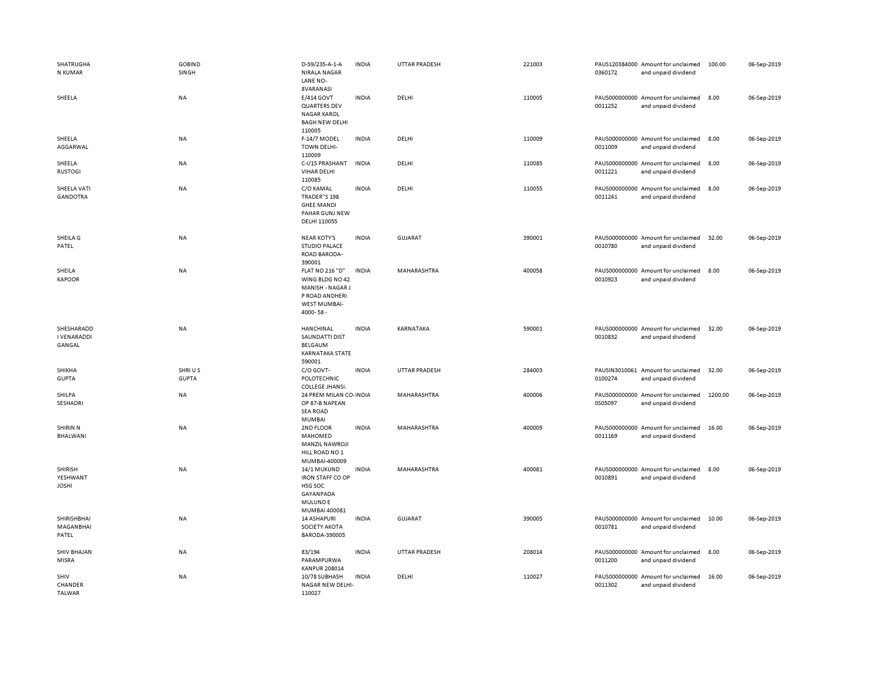| <b>SHATRUGHA</b><br>N KUMAR                | <b>GOBIND</b><br>SINGH | D-59/235-A-1-A<br><b>NIRALA NAGAR</b><br>LANE NO-                                                           | <b>INDIA</b> | <b>UTTAR PRADESH</b> | 221003 | 0360172 | PAUS120384000 Amount for unclaimed<br>and unpaid dividend | 100.00  | 06-Sep-2019 |
|--------------------------------------------|------------------------|-------------------------------------------------------------------------------------------------------------|--------------|----------------------|--------|---------|-----------------------------------------------------------|---------|-------------|
| SHEELA                                     | <b>NA</b>              | 8VARANASI<br>E/414 GOVT<br><b>QUARTERS DEV</b><br><b>NAGAR KAROL</b><br><b>BAGH NEW DELHI</b><br>110005     | <b>INDIA</b> | DELHI                | 110005 | 0011252 | PAUS000000000 Amount for unclaimed<br>and unpaid dividend | 8.00    | 06-Sep-2019 |
| SHEELA<br>AGGARWAL                         | <b>NA</b>              | F-14/7 MODEL<br><b>TOWN DELHI-</b><br>110009                                                                | <b>INDIA</b> | DELHI                | 110009 | 0011009 | PAUS000000000 Amount for unclaimed<br>and unpaid dividend | 8.00    | 06-Sep-2019 |
| SHEELA<br><b>RUSTOGI</b>                   | NA                     | C-I/15 PRASHANT<br><b>VIHAR DELHI</b><br>110085                                                             | <b>INDIA</b> | DELHI                | 110085 | 0011221 | PAUS000000000 Amount for unclaimed<br>and unpaid dividend | 8.00    | 06-Sep-2019 |
| SHEELA VATI<br><b>GANDOTRA</b>             | NA                     | C/O KAMAL<br>TRADER"S 198<br><b>GHEE MANDI</b><br>PAHAR GUNJ NEW<br>DELHI 110055                            | <b>INDIA</b> | DELHI                | 110055 | 0011241 | PAUS000000000 Amount for unclaimed<br>and unpaid dividend | 8.00    | 06-Sep-2019 |
| SHEILA G<br>PATEL                          | NA                     | <b>NEAR KOTY'S</b><br><b>STUDIO PALACE</b><br>ROAD BARODA-<br>390001                                        | <b>INDIA</b> | <b>GUJARAT</b>       | 390001 | 0010780 | PAUS000000000 Amount for unclaimed<br>and unpaid dividend | 32.00   | 06-Sep-2019 |
| SHEILA<br><b>KAPOOR</b>                    | NA                     | <b>FLAT NO 216 "D"</b><br>WING BLDG NO 42<br>MANISH - NAGAR J<br>P ROAD ANDHERI<br>WEST MUMBAI-<br>4000-58- | <b>INDIA</b> | MAHARASHTRA          | 400058 | 0010923 | PAUS000000000 Amount for unclaimed<br>and unpaid dividend | 8.00    | 06-Sep-2019 |
| SHESHARADD<br><b>I VENARADDI</b><br>GANGAL | NA                     | HANCHINAL<br>SAUNDATTI DIST<br>BELGAUM<br><b>KARNATAKA STATE</b><br>590001                                  | <b>INDIA</b> | KARNATAKA            | 590001 | 0010832 | PAUS000000000 Amount for unclaimed<br>and unpaid dividend | 32.00   | 06-Sep-2019 |
| SHIKHA<br><b>GUPTA</b>                     | SHRIUS<br><b>GUPTA</b> | C/O GOVT-<br><b>POLOTECHNIC</b><br>COLLEGE JHANSI.                                                          | <b>INDIA</b> | <b>UTTAR PRADESH</b> | 284003 | 0100274 | PAUSIN3010061 Amount for unclaimed<br>and unpaid dividend | 32.00   | 06-Sep-2019 |
| SHILPA<br>SESHADRI                         | <b>NA</b>              | 24 PREM MILAN CO-INDIA<br>OP 87-B NAPEAN<br><b>SEA ROAD</b><br><b>MUMBAI</b>                                |              | MAHARASHTRA          | 400006 | 0S05097 | PAUS000000000 Amount for unclaimed<br>and unpaid dividend | 1200.00 | 06-Sep-2019 |
| SHIRIN N<br>BHALWANI                       | NA                     | 2ND FLOOR<br>MAHOMED<br><b>MANZIL NAWROJI</b><br>HILL ROAD NO 1<br>MUMBAI-400009                            | <b>INDIA</b> | MAHARASHTRA          | 400009 | 0011169 | PAUS000000000 Amount for unclaimed<br>and unpaid dividend | 16.00   | 06-Sep-2019 |
| SHIRISH<br>YESHWANT<br><b>JOSHI</b>        | NA                     | 14/1 MUKUND<br><b>IRON STAFF CO OP</b><br>HSG SOC<br>GAYANPADA<br><b>MULUNDE</b><br>MUMBAI 400081           | <b>INDIA</b> | MAHARASHTRA          | 400081 | 0010891 | PAUS000000000 Amount for unclaimed<br>and unpaid dividend | 8.00    | 06-Sep-2019 |
| SHIRISHBHAI<br>MAGANBHAI<br>PATEL          | NA                     | <b>14 ASHAPURI</b><br>SOCIETY AKOTA<br>BARODA-390005                                                        | <b>INDIA</b> | <b>GUJARAT</b>       | 390005 | 0010781 | PAUS000000000 Amount for unclaimed<br>and unpaid dividend | 10.00   | 06-Sep-2019 |
| <b>SHIV BHAJAN</b><br>MISRA                | NA                     | 83/194<br>PARAMPURWA<br><b>KANPUR 208014</b>                                                                | <b>INDIA</b> | <b>UTTAR PRADESH</b> | 208014 | 0011200 | PAUS000000000 Amount for unclaimed<br>and unpaid dividend | 8.00    | 06-Sep-2019 |
| SHIV<br>CHANDER<br><b>TALWAR</b>           | NA                     | 10/78 SUBHASH<br>NAGAR NEW DELHI-<br>110027                                                                 | <b>INDIA</b> | DELHI                | 110027 | 0011302 | PAUS000000000 Amount for unclaimed<br>and unpaid dividend | 16.00   | 06-Sep-2019 |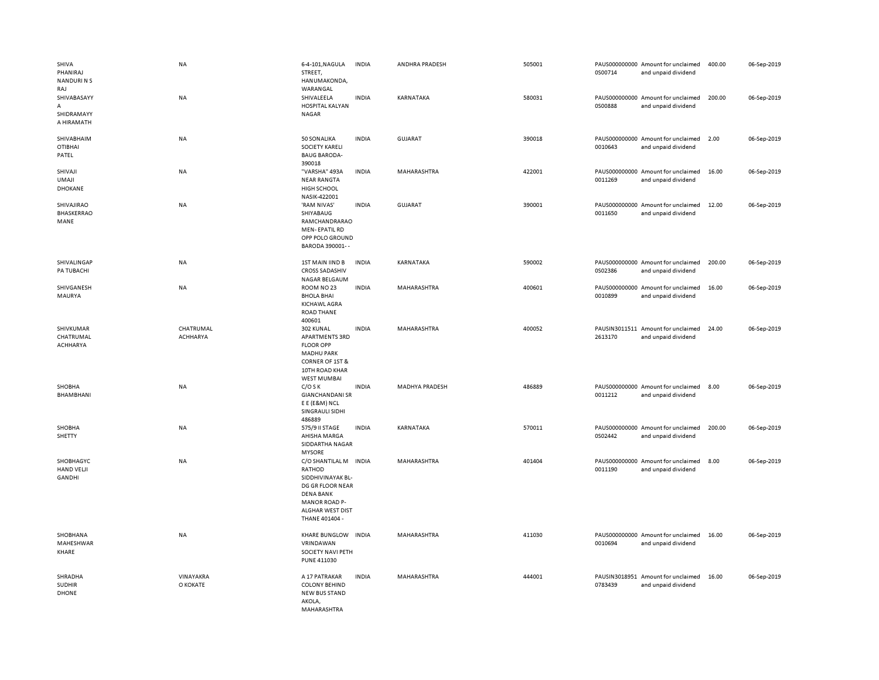| SHIVA<br>PHANIRAJ<br><b>NANDURINS</b><br>RAJ | <b>NA</b>             | 6-4-101, NAGULA<br>STREET,<br>HANUMAKONDA,<br>WARANGAL                                                                                                            | <b>INDIA</b> | ANDHRA PRADESH        | 505001 | 0S00714 | PAUS000000000 Amount for unclaimed<br>and unpaid dividend | 400.00 | 06-Sep-2019 |
|----------------------------------------------|-----------------------|-------------------------------------------------------------------------------------------------------------------------------------------------------------------|--------------|-----------------------|--------|---------|-----------------------------------------------------------|--------|-------------|
| SHIVABASAYY<br>А<br>SHIDRAMAYY<br>A HIRAMATH | NA                    | SHIVALEELA<br>HOSPITAL KALYAN<br>NAGAR                                                                                                                            | <b>INDIA</b> | KARNATAKA             | 580031 | 0S00888 | PAUS000000000 Amount for unclaimed<br>and unpaid dividend | 200.00 | 06-Sep-2019 |
| SHIVABHAIM<br><b>OTIBHAI</b><br>PATEL        | NA                    | 50 SONALIKA<br><b>SOCIETY KARELI</b><br><b>BAUG BARODA-</b><br>390018                                                                                             | <b>INDIA</b> | <b>GUJARAT</b>        | 390018 | 0010643 | PAUS000000000 Amount for unclaimed<br>and unpaid dividend | 2.00   | 06-Sep-2019 |
| SHIVAJI<br><b>UMAJI</b><br>DHOKANE           | NA                    | "VARSHA" 493A<br><b>NEAR RANGTA</b><br>HIGH SCHOOL<br>NASIK-422001                                                                                                | <b>INDIA</b> | MAHARASHTRA           | 422001 | 0011269 | PAUS000000000 Amount for unclaimed<br>and unpaid dividend | 16.00  | 06-Sep-2019 |
| SHIVAJIRAO<br><b>BHASKERRAO</b><br>MANE      | <b>NA</b>             | 'RAM NIVAS'<br>SHIYABAUG<br>RAMCHANDRARAO<br><b>MEN-EPATIL RD</b><br>OPP POLO GROUND<br>BARODA 390001--                                                           | <b>INDIA</b> | GUJARAT               | 390001 | 0011650 | PAUS000000000 Amount for unclaimed<br>and unpaid dividend | 12.00  | 06-Sep-2019 |
| SHIVALINGAP<br>PA TUBACHI                    | <b>NA</b>             | 1ST MAIN IIND B<br><b>CROSS SADASHIV</b><br>NAGAR BELGAUM                                                                                                         | <b>INDIA</b> | KARNATAKA             | 590002 | 0S02386 | PAUS000000000 Amount for unclaimed<br>and unpaid dividend | 200.00 | 06-Sep-2019 |
| SHIVGANESH<br>MAURYA                         | <b>NA</b>             | ROOM NO 23<br><b>BHOLA BHAI</b><br>KICHAWL AGRA<br><b>ROAD THANE</b><br>400601                                                                                    | <b>INDIA</b> | MAHARASHTRA           | 400601 | 0010899 | PAUS000000000 Amount for unclaimed<br>and unpaid dividend | 16.00  | 06-Sep-2019 |
| SHIVKUMAR<br>CHATRUMAL<br><b>ACHHARYA</b>    | CHATRUMAL<br>ACHHARYA | 302 KUNAL<br>APARTMENTS 3RD<br><b>FLOOR OPP</b><br><b>MADHU PARK</b><br><b>CORNER OF 1ST &amp;</b><br>10TH ROAD KHAR<br><b>WEST MUMBAI</b>                        | <b>INDIA</b> | MAHARASHTRA           | 400052 | 2613170 | PAUSIN3011511 Amount for unclaimed<br>and unpaid dividend | 24.00  | 06-Sep-2019 |
| SHOBHA<br>BHAMBHANI                          | NA                    | $C/O$ S K<br><b>GIANCHANDANI SR</b><br>E E (E&M) NCL<br>SINGRAULI SIDHI<br>486889                                                                                 | <b>INDIA</b> | <b>MADHYA PRADESH</b> | 486889 | 0011212 | PAUS000000000 Amount for unclaimed<br>and unpaid dividend | 8.00   | 06-Sep-2019 |
| SHOBHA<br>SHETTY                             | NA                    | 575/9 II STAGE<br>AHISHA MARGA<br>SIDDARTHA NAGAR<br><b>MYSORE</b>                                                                                                | <b>INDIA</b> | KARNATAKA             | 570011 | 0S02442 | PAUS000000000 Amount for unclaimed<br>and unpaid dividend | 200.00 | 06-Sep-2019 |
| SHOBHAGYC<br><b>HAND VELJI</b><br>GANDHI     | NA                    | C/O SHANTILAL M INDIA<br>RATHOD<br>SIDDHIVINAYAK BL-<br>DG GR FLOOR NEAR<br><b>DENA BANK</b><br><b>MANOR ROAD P-</b><br><b>ALGHAR WEST DIST</b><br>THANE 401404 - |              | MAHARASHTRA           | 401404 | 0011190 | PAUS000000000 Amount for unclaimed<br>and unpaid dividend | 8.00   | 06-Sep-2019 |
| SHOBHANA<br>MAHESHWAR<br>KHARE               | <b>NA</b>             | KHARE BUNGLOW INDIA<br>VRINDAWAN<br>SOCIETY NAVI PETH<br><b>PUNE 411030</b>                                                                                       |              | MAHARASHTRA           | 411030 | 0010694 | PAUS000000000 Amount for unclaimed<br>and unpaid dividend | 16.00  | 06-Sep-2019 |
| SHRADHA<br><b>SUDHIR</b><br><b>DHONE</b>     | VINAYAKRA<br>O KOKATE | A 17 PATRAKAR<br><b>COLONY BEHIND</b><br>NEW BUS STAND<br>AKOLA.<br>MAHARASHTRA                                                                                   | <b>INDIA</b> | MAHARASHTRA           | 444001 | 0783439 | PAUSIN3018951 Amount for unclaimed<br>and unpaid dividend | 16.00  | 06-Sep-2019 |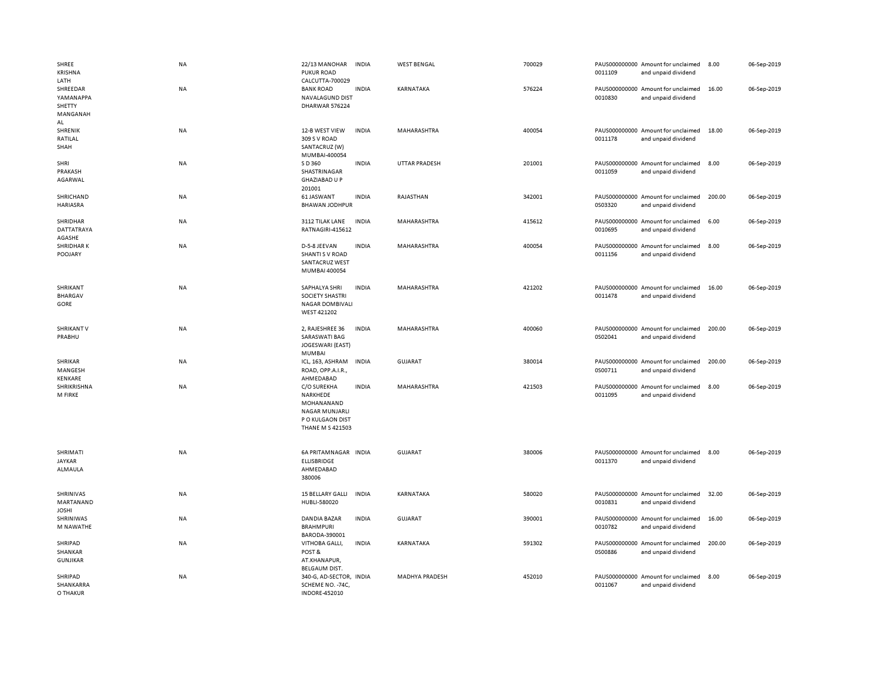| SHREE<br>KRISHNA<br>LATH                          | NA        | 22/13 MANOHAR<br><b>PUKUR ROAD</b><br>CALCUTTA-700029                                                  | INDIA        | <b>WEST BENGAL</b>    | 700029 | 0011109 | PAUS000000000 Amount for unclaimed<br>and unpaid dividend | 8.00   | 06-Sep-2019 |
|---------------------------------------------------|-----------|--------------------------------------------------------------------------------------------------------|--------------|-----------------------|--------|---------|-----------------------------------------------------------|--------|-------------|
| SHREEDAR<br>YAMANAPPA<br>SHETTY<br>MANGANAH<br>AL | <b>NA</b> | <b>BANK ROAD</b><br>NAVALAGUND DIST<br>DHARWAR 576224                                                  | <b>INDIA</b> | KARNATAKA             | 576224 | 0010830 | PAUS000000000 Amount for unclaimed<br>and unpaid dividend | 16.00  | 06-Sep-2019 |
| SHRENIK<br>RATILAL<br>SHAH                        | NA        | 12-B WEST VIEW<br>309 S V ROAD<br>SANTACRUZ (W)<br>MUMBAI-400054                                       | <b>INDIA</b> | MAHARASHTRA           | 400054 | 0011178 | PAUS000000000 Amount for unclaimed<br>and unpaid dividend | 18.00  | 06-Sep-2019 |
| SHRI<br>PRAKASH<br>AGARWAL                        | NA        | S D 360<br>SHASTRINAGAR<br><b>GHAZIABAD U P</b><br>201001                                              | <b>INDIA</b> | <b>UTTAR PRADESH</b>  | 201001 | 0011059 | PAUS000000000 Amount for unclaimed<br>and unpaid dividend | 8.00   | 06-Sep-2019 |
| SHRICHAND<br><b>HARIASRA</b>                      | NA        | 61 JASWANT<br><b>BHAWAN JODHPUR</b>                                                                    | <b>INDIA</b> | RAJASTHAN             | 342001 | 0S03320 | PAUS000000000 Amount for unclaimed<br>and unpaid dividend | 200.00 | 06-Sep-2019 |
| SHRIDHAR<br><b>DATTATRAYA</b><br>AGASHE           | NA        | 3112 TILAK LANE<br>RATNAGIRI-415612                                                                    | <b>INDIA</b> | MAHARASHTRA           | 415612 | 0010695 | PAUS000000000 Amount for unclaimed<br>and unpaid dividend | 6.00   | 06-Sep-2019 |
| <b>SHRIDHARK</b><br>POOJARY                       | <b>NA</b> | D-5-8 JEEVAN<br><b>SHANTI S V ROAD</b><br>SANTACRUZ WEST<br>MUMBAI 400054                              | <b>INDIA</b> | MAHARASHTRA           | 400054 | 0011156 | PAUS000000000 Amount for unclaimed<br>and unpaid dividend | 8.00   | 06-Sep-2019 |
| SHRIKANT<br><b>BHARGAV</b><br>GORE                | NA        | SAPHALYA SHRI<br>SOCIETY SHASTRI<br><b>NAGAR DOMBIVALI</b><br>WEST 421202                              | <b>INDIA</b> | MAHARASHTRA           | 421202 | 0011478 | PAUS000000000 Amount for unclaimed<br>and unpaid dividend | 16.00  | 06-Sep-2019 |
| <b>SHRIKANT V</b><br>PRABHU                       | NA        | 2, RAJESHREE 36<br><b>SARASWATI BAG</b><br>JOGESWARI (EAST)<br><b>MUMBAI</b>                           | <b>INDIA</b> | MAHARASHTRA           | 400060 | 0S02041 | PAUS000000000 Amount for unclaimed<br>and unpaid dividend | 200.00 | 06-Sep-2019 |
| SHRIKAR<br>MANGESH<br>KENKARE                     | <b>NA</b> | ICL, 163, ASHRAM<br>ROAD, OPP.A.I.R.,<br>AHMEDABAD                                                     | <b>INDIA</b> | <b>GUJARAT</b>        | 380014 | 0S00711 | PAUS000000000 Amount for unclaimed<br>and unpaid dividend | 200.00 | 06-Sep-2019 |
| SHRIKRISHNA<br><b>M FIRKE</b>                     | NA        | C/O SUREKHA<br>NARKHEDE<br>MOHANANAND<br>NAGAR MUNJARLI<br>P O KULGAON DIST<br><b>THANE M S 421503</b> | <b>INDIA</b> | MAHARASHTRA           | 421503 | 0011095 | PAUS000000000 Amount for unclaimed<br>and unpaid dividend | 8.00   | 06-Sep-2019 |
| SHRIMATI<br><b>JAYKAR</b><br>ALMAULA              | NA        | 6A PRITAMNAGAR INDIA<br><b>ELLISBRIDGE</b><br>AHMEDABAD<br>380006                                      |              | <b>GUJARAT</b>        | 380006 | 0011370 | PAUS000000000 Amount for unclaimed<br>and unpaid dividend | 8.00   | 06-Sep-2019 |
| SHRINIVAS<br>MARTANAND<br><b>JOSHI</b>            | NA        | 15 BELLARY GALLI<br>HUBLI-580020                                                                       | <b>INDIA</b> | KARNATAKA             | 580020 | 0010831 | PAUS000000000 Amount for unclaimed<br>and unpaid dividend | 32.00  | 06-Sep-2019 |
| SHRINIWAS<br>M NAWATHE                            | <b>NA</b> | <b>DANDIA BAZAR</b><br><b>BRAHMPURI</b><br>BARODA-390001                                               | <b>INDIA</b> | <b>GUJARAT</b>        | 390001 | 0010782 | PAUS000000000 Amount for unclaimed<br>and unpaid dividend | 16.00  | 06-Sep-2019 |
| SHRIPAD<br>SHANKAR<br><b>GUNJIKAR</b>             | NA        | VITHOBA GALLI,<br>POST&<br>AT.KHANAPUR,<br>BELGAUM DIST.                                               | <b>INDIA</b> | KARNATAKA             | 591302 | 0S00886 | PAUS000000000 Amount for unclaimed<br>and unpaid dividend | 200.00 | 06-Sep-2019 |
| SHRIPAD<br>SHANKARRA<br>O THAKUR                  | <b>NA</b> | 340-G, AD-SECTOR,<br>SCHEME NO. - 74C,<br>INDORE-452010                                                | <b>INDIA</b> | <b>MADHYA PRADESH</b> | 452010 | 0011067 | PAUS000000000 Amount for unclaimed<br>and unpaid dividend | 8.00   | 06-Sep-2019 |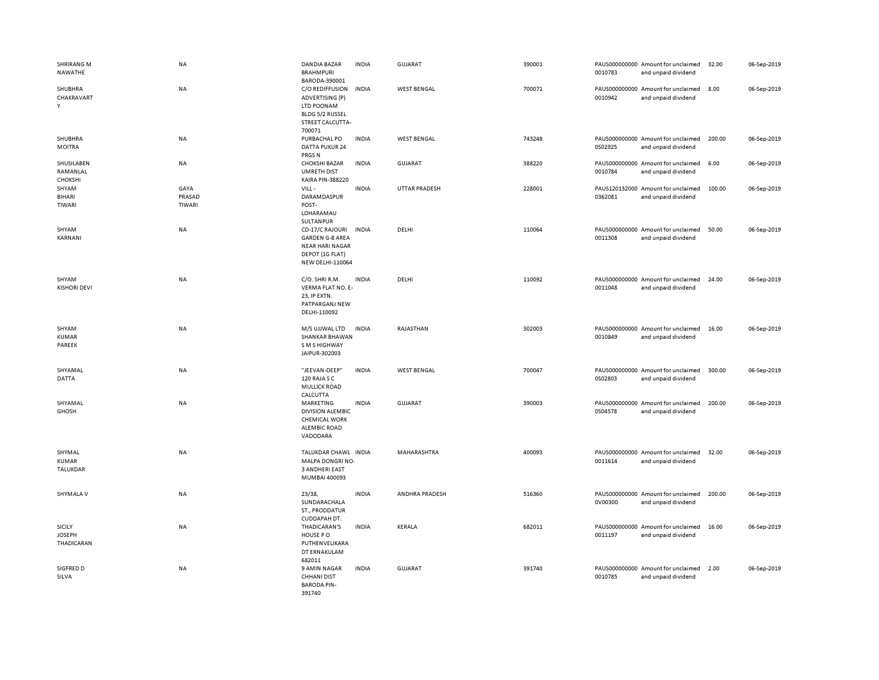| <b>SHRIRANG M</b><br>NAWATHE                 | <b>NA</b>                | DANDIA BAZAR<br><b>BRAHMPURI</b><br>BARODA-390001                                                          | <b>INDIA</b> | <b>GUJARAT</b>       | 390001 | 0010783 | PAUS000000000 Amount for unclaimed<br>and unpaid dividend | 32.00  | 06-Sep-2019 |
|----------------------------------------------|--------------------------|------------------------------------------------------------------------------------------------------------|--------------|----------------------|--------|---------|-----------------------------------------------------------|--------|-------------|
| SHUBHRA<br>CHAKRAVART<br>Y                   | NA                       | C/O REDIFFUSION<br>ADVERTISING (P)<br>LTD POONAM<br>BLDG 5/2 RUSSEL<br>STREET CALCUTTA-<br>700071          | <b>INDIA</b> | <b>WEST BENGAL</b>   | 700071 | 0010942 | PAUS000000000 Amount for unclaimed<br>and unpaid dividend | 8.00   | 06-Sep-2019 |
| SHUBHRA<br><b>MOITRA</b>                     | <b>NA</b>                | PURBACHAL PO<br><b>DATTA PUKUR 24</b><br>PRGS <sub>N</sub>                                                 | <b>INDIA</b> | <b>WEST BENGAL</b>   | 743248 | 0S02925 | PAUS000000000 Amount for unclaimed<br>and unpaid dividend | 200.00 | 06-Sep-2019 |
| SHUSILABEN<br>RAMANLAL<br>CHOKSHI            | <b>NA</b>                | <b>CHOKSHI BAZAR</b><br><b>UMRETH DIST</b><br><b>KAIRA PIN-388220</b>                                      | <b>INDIA</b> | <b>GUJARAT</b>       | 388220 | 0010784 | PAUS000000000 Amount for unclaimed<br>and unpaid dividend | 6.00   | 06-Sep-2019 |
| SHYAM<br>BIHARI<br>TIWARI                    | GAYA<br>PRASAD<br>TIWARI | VILL-<br>DARAMDASPUR<br>POST-<br>LOHARAMAU<br><b>SULTANPUR</b>                                             | <b>INDIA</b> | <b>UTTAR PRADESH</b> | 228001 | 0362081 | PAUS120132000 Amount for unclaimed<br>and unpaid dividend | 100.00 | 06-Sep-2019 |
| SHYAM<br>KARNANI                             | NA                       | CD-17/C RAJOURI<br><b>GARDEN G-8 AREA</b><br><b>NEAR HARI NAGAR</b><br>DEPOT (1G FLAT)<br>NEW DELHI-110064 | <b>INDIA</b> | DELHI                | 110064 | 0011308 | PAUS000000000 Amount for unclaimed<br>and unpaid dividend | 50.00  | 06-Sep-2019 |
| SHYAM<br><b>KISHORI DEVI</b>                 | <b>NA</b>                | C/O. SHRI R.M.<br>VERMA FLAT NO. E-<br>23, IP EXTN.<br>PATPARGANJ NEW<br>DELHI-110092                      | <b>INDIA</b> | DELHI                | 110092 | 0011048 | PAUS000000000 Amount for unclaimed<br>and unpaid dividend | 24.00  | 06-Sep-2019 |
| SHYAM<br><b>KUMAR</b><br>PAREEK              | NA                       | M/S UJJWAL LTD<br><b>SHANKAR BHAWAN</b><br>S M S HIGHWAY<br>JAIPUR-302003                                  | <b>INDIA</b> | RAJASTHAN            | 302003 | 0010849 | PAUS000000000 Amount for unclaimed<br>and unpaid dividend | 16.00  | 06-Sep-2019 |
| SHYAMAL<br><b>DATTA</b>                      | NA                       | "JEEVAN-DEEP"<br>120 RAJA S C<br><b>MULLICK ROAD</b><br>CALCUTTA                                           | <b>INDIA</b> | <b>WEST BENGAL</b>   | 700047 | 0S02803 | PAUS000000000 Amount for unclaimed<br>and unpaid dividend | 300.00 | 06-Sep-2019 |
| SHYAMAL<br><b>GHOSH</b>                      | NA                       | MARKETING<br><b>DIVISION ALEMBIC</b><br><b>CHEMICAL WORK</b><br><b>ALEMBIC ROAD</b><br>VADODARA            | <b>INDIA</b> | <b>GUJARAT</b>       | 390003 | 0S04578 | PAUS000000000 Amount for unclaimed<br>and unpaid dividend | 200.00 | 06-Sep-2019 |
| SHYMAL<br><b>KUMAR</b><br><b>TALUKDAR</b>    | <b>NA</b>                | TALUKDAR CHAWL INDIA<br>MALPA DONGRI NO-<br><b>3 ANDHERI EAST</b><br>MUMBAI 400093                         |              | MAHARASHTRA          | 400093 | 0011614 | PAUS000000000 Amount for unclaimed<br>and unpaid dividend | 32.00  | 06-Sep-2019 |
| SHYMALA V                                    | <b>NA</b>                | 23/38,<br>SUNDARACHALA<br>ST., PRODDATUR<br>CUDDAPAH DT.                                                   | <b>INDIA</b> | ANDHRA PRADESH       | 516360 | 0V00300 | PAUS000000000 Amount for unclaimed<br>and unpaid dividend | 200.00 | 06-Sep-2019 |
| <b>SICILY</b><br><b>JOSEPH</b><br>THADICARAN | NA                       | THADICARAN'S<br>HOUSE PO<br>PUTHENVELIKARA<br>DT ERNAKULAM<br>682011                                       | <b>INDIA</b> | KERALA               | 682011 | 0011197 | PAUS000000000 Amount for unclaimed<br>and unpaid dividend | 16.00  | 06-Sep-2019 |
| SIGFRED D<br>SILVA                           | NA                       | 9 AMIN NAGAR<br><b>CHHANI DIST</b><br><b>BARODA PIN-</b><br>391740                                         | <b>INDIA</b> | <b>GUJARAT</b>       | 391740 | 0010785 | PAUS000000000 Amount for unclaimed<br>and unpaid dividend | 2.00   | 06-Sep-2019 |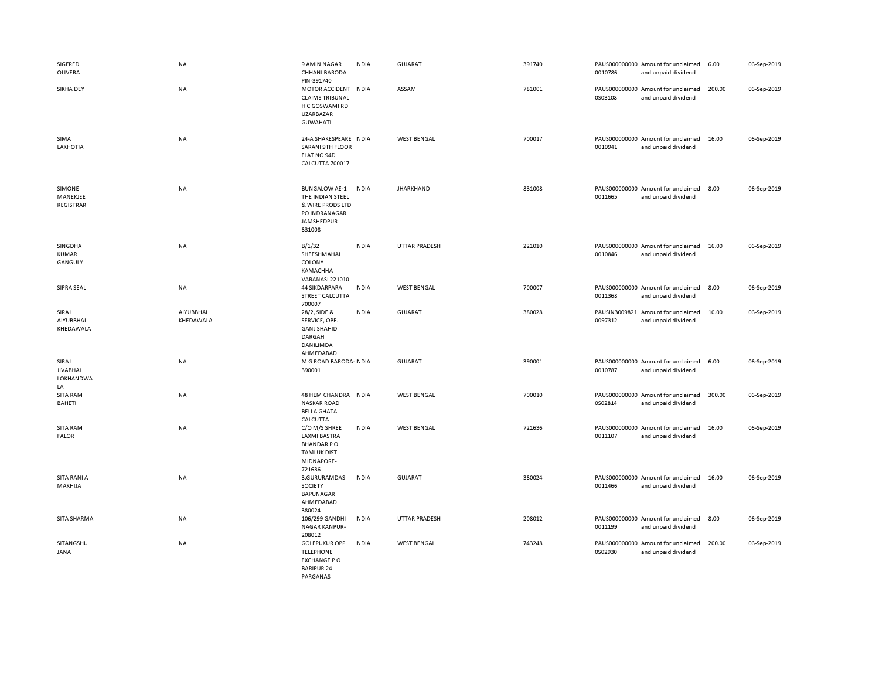| SIGFRED<br>OLIVERA                                 | <b>NA</b>              | 9 AMIN NAGAR<br><b>CHHANI BARODA</b><br>PIN-391740                                                      | <b>INDIA</b> | <b>GUJARAT</b>       | 391740 | 0010786 | PAUS000000000 Amount for unclaimed<br>and unpaid dividend | 6.00   | 06-Sep-2019 |
|----------------------------------------------------|------------------------|---------------------------------------------------------------------------------------------------------|--------------|----------------------|--------|---------|-----------------------------------------------------------|--------|-------------|
| <b>SIKHA DEY</b>                                   | NA                     | MOTOR ACCIDENT INDIA<br><b>CLAIMS TRIBUNAL</b><br>H C GOSWAMI RD<br><b>UZARBAZAR</b><br><b>GUWAHATI</b> |              | ASSAM                | 781001 | 0S03108 | PAUS000000000 Amount for unclaimed<br>and unpaid dividend | 200.00 | 06-Sep-2019 |
| SIMA<br>LAKHOTIA                                   | <b>NA</b>              | 24-A SHAKESPEARE INDIA<br><b>SARANI 9TH FLOOR</b><br>FLAT NO 94D<br>CALCUTTA 700017                     |              | <b>WEST BENGAL</b>   | 700017 | 0010941 | PAUS000000000 Amount for unclaimed<br>and unpaid dividend | 16.00  | 06-Sep-2019 |
| SIMONE<br>MANEKJEE<br>REGISTRAR                    | NA                     | <b>BUNGALOW AE-1</b><br>THE INDIAN STEEL<br>& WIRE PRODS LTD<br>PO INDRANAGAR<br>JAMSHEDPUR<br>831008   | <b>INDIA</b> | <b>JHARKHAND</b>     | 831008 | 0011665 | PAUS000000000 Amount for unclaimed<br>and unpaid dividend | 8.00   | 06-Sep-2019 |
| SINGDHA<br>KUMAR<br>GANGULY                        | <b>NA</b>              | B/1/32<br>SHEESHMAHAL<br>COLONY<br>KAMACHHA<br><b>VARANASI 221010</b>                                   | <b>INDIA</b> | <b>UTTAR PRADESH</b> | 221010 | 0010846 | PAUS000000000 Amount for unclaimed<br>and unpaid dividend | 16.00  | 06-Sep-2019 |
| SIPRA SEAL                                         | <b>NA</b>              | <b>44 SIKDARPARA</b><br><b>STREET CALCUTTA</b><br>700007                                                | <b>INDIA</b> | <b>WEST BENGAL</b>   | 700007 | 0011368 | PAUS000000000 Amount for unclaimed<br>and unpaid dividend | 8.00   | 06-Sep-2019 |
| SIRAJ<br>AIYUBBHAI<br>KHEDAWALA                    | AIYUBBHAI<br>KHEDAWALA | 28/2, SIDE &<br>SERVICE, OPP.<br><b>GANJ SHAHID</b><br>DARGAH<br>DANILIMDA<br>AHMEDABAD                 | <b>INDIA</b> | GUJARAT              | 380028 | 0097312 | PAUSIN3009821 Amount for unclaimed<br>and unpaid dividend | 10.00  | 06-Sep-2019 |
| SIRAJ<br><b>JIVABHAI</b><br><b>LOKHANDWA</b><br>LA | NA                     | M G ROAD BARODA INDIA<br>390001                                                                         |              | GUJARAT              | 390001 | 0010787 | PAUS000000000 Amount for unclaimed<br>and unpaid dividend | 6.00   | 06-Sep-2019 |
| <b>SITA RAM</b><br>BAHETI                          | NA                     | 48 HEM CHANDRA INDIA<br><b>NASKAR ROAD</b><br><b>BELLA GHATA</b><br>CALCUTTA                            |              | <b>WEST BENGAL</b>   | 700010 | 0S02814 | PAUS000000000 Amount for unclaimed<br>and unpaid dividend | 300.00 | 06-Sep-2019 |
| SITA RAM<br><b>FALOR</b>                           | NA                     | C/O M/S SHREE<br><b>LAXMI BASTRA</b><br><b>BHANDARPO</b><br><b>TAMLUK DIST</b><br>MIDNAPORE-<br>721636  | <b>INDIA</b> | <b>WEST BENGAL</b>   | 721636 | 0011107 | PAUS000000000 Amount for unclaimed<br>and unpaid dividend | 16.00  | 06-Sep-2019 |
| SITA RANI A<br>MAKHIJA                             | <b>NA</b>              | 3, GURURAMDAS<br>SOCIETY<br><b>BAPUNAGAR</b><br>AHMEDABAD<br>380024                                     | <b>INDIA</b> | <b>GUJARAT</b>       | 380024 | 0011466 | PAUS000000000 Amount for unclaimed<br>and unpaid dividend | 16.00  | 06-Sep-2019 |
| SITA SHARMA                                        | NA                     | 106/299 GANDHI<br><b>NAGAR KANPUR-</b><br>208012                                                        | <b>INDIA</b> | <b>UTTAR PRADESH</b> | 208012 | 0011199 | PAUS000000000 Amount for unclaimed<br>and unpaid dividend | 8.00   | 06-Sep-2019 |
| SITANGSHU<br>JANA                                  | NA                     | <b>GOLEPUKUR OPP</b><br><b>TELEPHONE</b><br><b>EXCHANGE PO</b><br><b>BARIPUR 24</b><br>PARGANAS         | <b>INDIA</b> | <b>WEST BENGAL</b>   | 743248 | 0S02930 | PAUS000000000 Amount for unclaimed<br>and unpaid dividend | 200.00 | 06-Sep-2019 |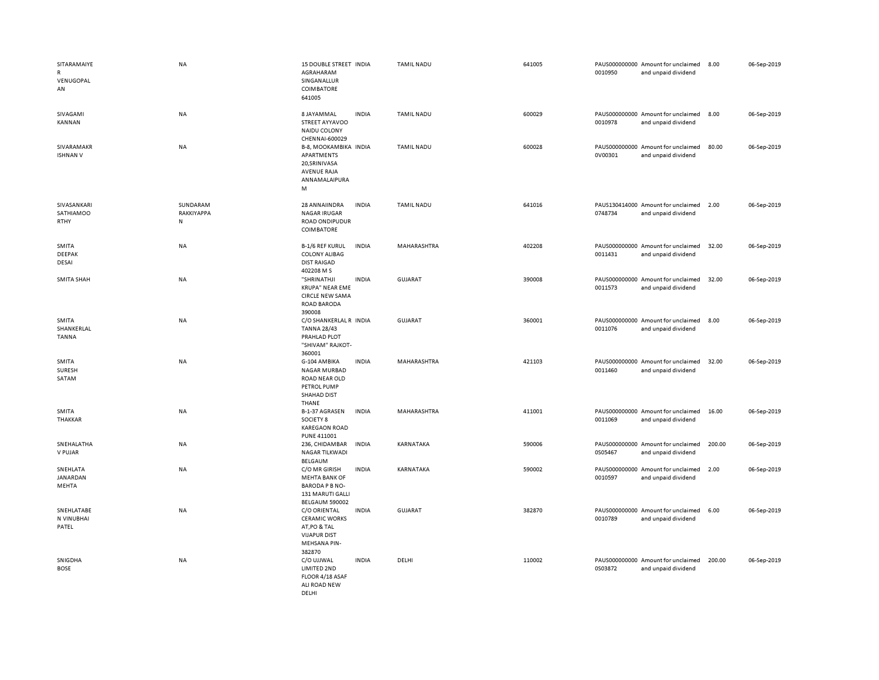| SITARAMAIYE<br>R<br>VENUGOPAL<br>AN    | NA                                  | 15 DOUBLE STREET INDIA<br>AGRAHARAM<br>SINGANALLUR<br>COIMBATORE<br>641005                            |              | <b>TAMIL NADU</b> | 641005 | 0010950 | PAUS000000000 Amount for unclaimed<br>and unpaid dividend | 8.00   | 06-Sep-2019 |
|----------------------------------------|-------------------------------------|-------------------------------------------------------------------------------------------------------|--------------|-------------------|--------|---------|-----------------------------------------------------------|--------|-------------|
| SIVAGAMI<br>KANNAN                     | NA                                  | 8 JAYAMMAL<br>STREET AYYAVOO<br>NAIDU COLONY<br>CHENNAI-600029                                        | <b>INDIA</b> | <b>TAMIL NADU</b> | 600029 | 0010978 | PAUS000000000 Amount for unclaimed<br>and unpaid dividend | 8.00   | 06-Sep-2019 |
| SIVARAMAKR<br><b>ISHNAN V</b>          | NA                                  | B-8, MOOKAMBIKA INDIA<br>APARTMENTS<br>20, SRINIVASA<br><b>AVENUE RAJA</b><br>ANNAMALAIPURA<br>M      |              | <b>TAMIL NADU</b> | 600028 | 0V00301 | PAUS000000000 Amount for unclaimed<br>and unpaid dividend | 80.00  | 06-Sep-2019 |
| SIVASANKARI<br>SATHIAMOO<br>RTHY       | SUNDARAM<br>RAKKIYAPPA<br>${\sf N}$ | 28 ANNAIINDRA<br><b>NAGAR IRUGAR</b><br>ROAD ONDIPUDUR<br>COIMBATORE                                  | <b>INDIA</b> | <b>TAMIL NADU</b> | 641016 | 0748734 | PAUS130414000 Amount for unclaimed<br>and unpaid dividend | 2.00   | 06-Sep-2019 |
| <b>SMITA</b><br><b>DEEPAK</b><br>DESAI | <b>NA</b>                           | <b>B-1/6 REF KURUL</b><br><b>COLONY ALIBAG</b><br><b>DIST RAIGAD</b><br>402208 M S                    | <b>INDIA</b> | MAHARASHTRA       | 402208 | 0011431 | PAUS000000000 Amount for unclaimed<br>and unpaid dividend | 32.00  | 06-Sep-2019 |
| <b>SMITA SHAH</b>                      | NA                                  | "SHRINATHJI<br><b>KRUPA" NEAR EME</b><br><b>CIRCLE NEW SAMA</b><br>ROAD BARODA<br>390008              | <b>INDIA</b> | <b>GUJARAT</b>    | 390008 | 0011573 | PAUS000000000 Amount for unclaimed<br>and unpaid dividend | 32.00  | 06-Sep-2019 |
| SMITA<br>SHANKERLAL<br><b>TANNA</b>    | NA                                  | C/O SHANKERLAL R INDIA<br><b>TANNA 28/43</b><br>PRAHLAD PLOT<br>"SHIVAM" RAJKOT-<br>360001            |              | GUJARAT           | 360001 | 0011076 | PAUS000000000 Amount for unclaimed<br>and unpaid dividend | 8.00   | 06-Sep-2019 |
| SMITA<br><b>SURESH</b><br>SATAM        | NA                                  | G-104 AMBIKA<br><b>NAGAR MURBAD</b><br>ROAD NEAR OLD<br>PETROL PUMP<br><b>SHAHAD DIST</b><br>THANE    | <b>INDIA</b> | MAHARASHTRA       | 421103 | 0011460 | PAUS000000000 Amount for unclaimed<br>and unpaid dividend | 32.00  | 06-Sep-2019 |
| SMITA<br>THAKKAR                       | NA                                  | B-1-37 AGRASEN<br>SOCIETY 8<br><b>KAREGAON ROAD</b><br>PUNE 411001                                    | <b>INDIA</b> | MAHARASHTRA       | 411001 | 0011069 | PAUS000000000 Amount for unclaimed<br>and unpaid dividend | 16.00  | 06-Sep-2019 |
| SNEHALATHA<br>V PUJAR                  | <b>NA</b>                           | 236. CHIDAMBAR<br><b>NAGAR TILKWADI</b><br><b>BELGAUM</b>                                             | <b>INDIA</b> | <b>KARNATAKA</b>  | 590006 | 0S05467 | PAUS000000000 Amount for unclaimed<br>and unpaid dividend | 200.00 | 06-Sep-2019 |
| SNEHLATA<br>JANARDAN<br>MEHTA          | NA                                  | C/O MR GIRISH<br><b>MEHTA BANK OF</b><br><b>BARODA P B NO-</b><br>131 MARUTI GALLI<br>BELGAUM 590002  | <b>INDIA</b> | KARNATAKA         | 590002 | 0010597 | PAUS000000000 Amount for unclaimed<br>and unpaid dividend | 2.00   | 06-Sep-2019 |
| SNEHLATABE<br>N VINUBHAI<br>PATEL      | NA                                  | C/O ORIENTAL<br><b>CERAMIC WORKS</b><br>AT, PO & TAL<br><b>VIJAPUR DIST</b><br>MEHSANA PIN-<br>382870 | <b>INDIA</b> | <b>GUJARAT</b>    | 382870 | 0010789 | PAUS000000000 Amount for unclaimed<br>and unpaid dividend | 6.00   | 06-Sep-2019 |
| SNIGDHA<br><b>BOSE</b>                 | NA                                  | C/O UJJWAL<br>LIMITED 2ND<br>FLOOR 4/18 ASAF<br>ALI ROAD NEW<br>DELHI                                 | <b>INDIA</b> | DELHI             | 110002 | 0S03872 | PAUS000000000 Amount for unclaimed<br>and unpaid dividend | 200.00 | 06-Sep-2019 |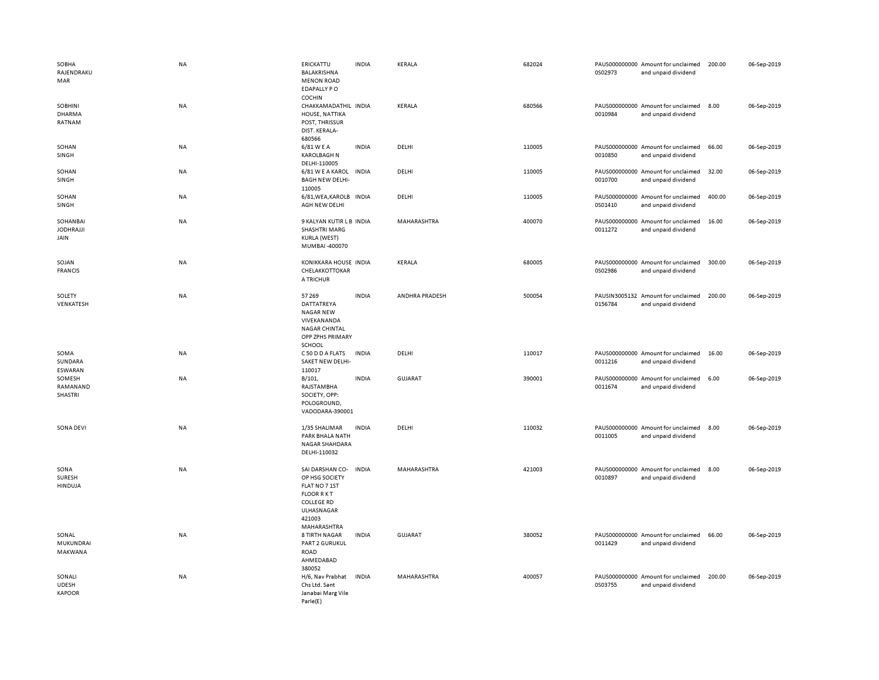| SOBHA<br>RAJENDRAKU<br>MAR              | <b>NA</b> | ERICKATTU<br>BALAKRISHNA<br><b>MENON ROAD</b><br>EDAPALLY PO                                                                       | <b>INDIA</b> | KERALA         | 682024 | 0S02973 | PAUS000000000 Amount for unclaimed<br>and unpaid dividend | 200.00 | 06-Sep-2019 |
|-----------------------------------------|-----------|------------------------------------------------------------------------------------------------------------------------------------|--------------|----------------|--------|---------|-----------------------------------------------------------|--------|-------------|
| SOBHINI<br><b>DHARMA</b><br>RATNAM      | <b>NA</b> | <b>COCHIN</b><br>CHAKKAMADATHIL INDIA<br>HOUSE, NATTIKA<br>POST, THRISSUR<br>DIST. KERALA-<br>680566                               |              | KERALA         | 680566 | 0010984 | PAUS000000000 Amount for unclaimed<br>and unpaid dividend | 8.00   | 06-Sep-2019 |
| SOHAN<br>SINGH                          | NA        | 6/81 W E A<br><b>KAROLBAGH N</b><br>DELHI-110005                                                                                   | <b>INDIA</b> | DELHI          | 110005 | 0010850 | PAUS000000000 Amount for unclaimed<br>and unpaid dividend | 66.00  | 06-Sep-2019 |
| SOHAN<br>SINGH                          | NA        | 6/81 W E A KAROL INDIA<br><b>BAGH NEW DELHI-</b><br>110005                                                                         |              | DELHI          | 110005 | 0010700 | PAUS000000000 Amount for unclaimed<br>and unpaid dividend | 32.00  | 06-Sep-2019 |
| SOHAN<br>SINGH                          | <b>NA</b> | 6/81, WEA, KAROLB IN DIA<br>AGH NEW DELHI                                                                                          |              | DELHI          | 110005 | 0S01410 | PAUS000000000 Amount for unclaimed<br>and unpaid dividend | 400.00 | 06-Sep-2019 |
| SOHANBAI<br><b>JODHRAJJI</b><br>JAIN    | NA        | 9 KALYAN KUTIR L B INDIA<br><b>SHASHTRI MARG</b><br>KURLA (WEST)<br>MUMBAI -400070                                                 |              | MAHARASHTRA    | 400070 | 0011272 | PAUS000000000 Amount for unclaimed<br>and unpaid dividend | 16.00  | 06-Sep-2019 |
| SOJAN<br><b>FRANCIS</b>                 | <b>NA</b> | KONIKKARA HOUSE INDIA<br>CHELAKKOTTOKAR<br>A TRICHUR                                                                               |              | KERALA         | 680005 | 0S02986 | PAUS000000000 Amount for unclaimed<br>and unpaid dividend | 300.00 | 06-Sep-2019 |
| SOLETY<br>VENKATESH                     | <b>NA</b> | 57 269<br>DATTATREYA<br>NAGAR NEW<br>VIVEKANANDA<br><b>NAGAR CHINTAL</b><br>OPP ZPHS PRIMARY<br>SCHOOL                             | <b>INDIA</b> | ANDHRA PRADESH | 500054 | 0156784 | PAUSIN3005132 Amount for unclaimed<br>and unpaid dividend | 200.00 | 06-Sep-2019 |
| SOMA<br>SUNDARA<br>ESWARAN              | NA        | C 50 D D A FLATS<br>SAKET NEW DELHI-<br>110017                                                                                     | <b>INDIA</b> | DELHI          | 110017 | 0011216 | PAUS000000000 Amount for unclaimed<br>and unpaid dividend | 16.00  | 06-Sep-2019 |
| SOMESH<br>RAMANAND<br>SHASTRI           | NA        | B/101,<br>RAJSTAMBHA<br>SOCIETY, OPP:<br>POLOGROUND,<br>VADODARA-390001                                                            | <b>INDIA</b> | GUJARAT        | 390001 | 0011674 | PAUS000000000 Amount for unclaimed<br>and unpaid dividend | 6.00   | 06-Sep-2019 |
| SONA DEVI                               | <b>NA</b> | 1/35 SHALIMAR<br>PARK BHALA NATH<br>NAGAR SHAHDARA<br>DELHI-110032                                                                 | <b>INDIA</b> | DELHI          | 110032 | 0011005 | PAUS000000000 Amount for unclaimed<br>and unpaid dividend | 8.00   | 06-Sep-2019 |
| SONA<br><b>SURESH</b><br><b>HINDUJA</b> | <b>NA</b> | SAI DARSHAN CO-<br>OP HSG SOCIETY<br>FLAT NO 7 1ST<br><b>FLOOR RKT</b><br><b>COLLEGE RD</b><br>ULHASNAGAR<br>421003<br>MAHARASHTRA | <b>INDIA</b> | MAHARASHTRA    | 421003 | 0010897 | PAUS000000000 Amount for unclaimed<br>and unpaid dividend | 8.00   | 06-Sep-2019 |
| SONAL<br>MUKUNDRAI<br>MAKWANA           | NA        | 8 TIRTH NAGAR<br>PART 2 GURUKUL<br><b>ROAD</b><br>AHMEDABAD<br>380052                                                              | <b>INDIA</b> | <b>GUJARAT</b> | 380052 | 0011429 | PAUS000000000 Amount for unclaimed<br>and unpaid dividend | 66.00  | 06-Sep-2019 |
| SONALI<br><b>UDESH</b><br><b>KAPOOR</b> | NA        | H/6, Nav Prabhat<br>Chs Ltd. Sant<br>Janabai Marg Vile<br>Parle(E)                                                                 | <b>INDIA</b> | MAHARASHTRA    | 400057 | 0S03755 | PAUS000000000 Amount for unclaimed<br>and unpaid dividend | 200.00 | 06-Sep-2019 |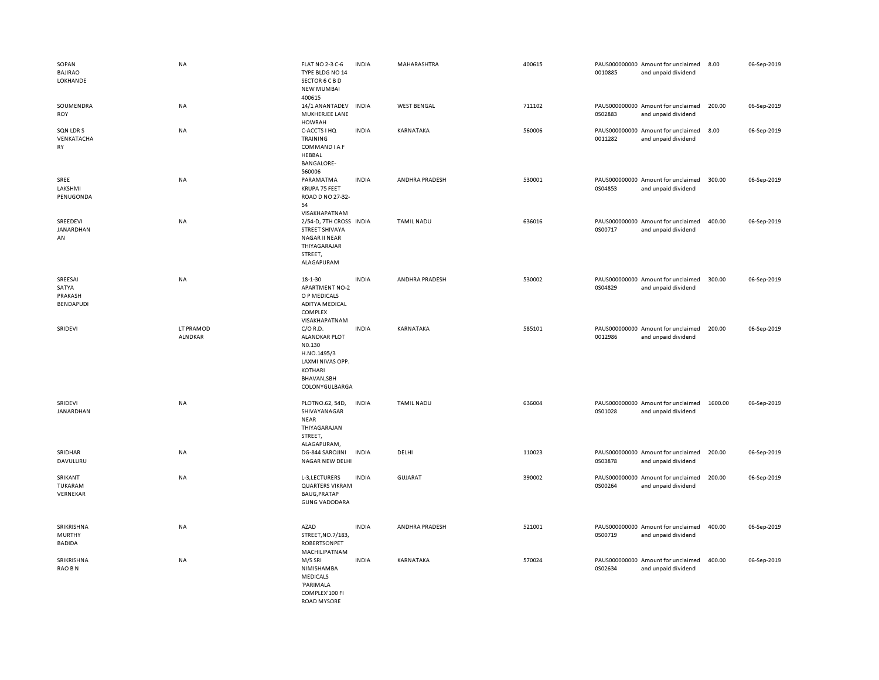| SOPAN<br><b>BAJIRAO</b><br>LOKHANDE          | NA                          | FLAT NO 2-3 C-6<br>TYPE BLDG NO 14<br>SECTOR 6 C B D<br><b>NEW MUMBAI</b><br>400615                                         | <b>INDIA</b> | MAHARASHTRA        | 400615 | 0010885 | PAUS000000000 Amount for unclaimed<br>and unpaid dividend | 8.00    | 06-Sep-2019 |
|----------------------------------------------|-----------------------------|-----------------------------------------------------------------------------------------------------------------------------|--------------|--------------------|--------|---------|-----------------------------------------------------------|---------|-------------|
| SOUMENDRA<br>ROY                             | NA                          | 14/1 ANANTADEV<br>MUKHERJEE LANE<br><b>HOWRAH</b>                                                                           | <b>INDIA</b> | <b>WEST BENGAL</b> | 711102 | 0S02883 | PAUS000000000 Amount for unclaimed<br>and unpaid dividend | 200.00  | 06-Sep-2019 |
| SQN LDR S<br>VENKATACHA<br>RY                | NA                          | C-ACCTS I HQ<br>TRAINING<br>COMMAND I A F<br>HEBBAL<br><b>BANGALORE-</b><br>560006                                          | <b>INDIA</b> | KARNATAKA          | 560006 | 0011282 | PAUS000000000 Amount for unclaimed<br>and unpaid dividend | 8.00    | 06-Sep-2019 |
| SREE<br>LAKSHMI<br>PENUGONDA                 | NA                          | PARAMATMA<br>KRUPA 75 FEET<br>ROAD D NO 27-32-<br>54<br>VISAKHAPATNAM                                                       | <b>INDIA</b> | ANDHRA PRADESH     | 530001 | 0S04853 | PAUS000000000 Amount for unclaimed<br>and unpaid dividend | 300.00  | 06-Sep-2019 |
| SREEDEVI<br>JANARDHAN<br>AN                  | NA                          | 2/54-D, 7TH CROSS INDIA<br>STREET SHIVAYA<br><b>NAGAR II NEAR</b><br>THIYAGARAJAR<br>STREET,<br>ALAGAPURAM                  |              | <b>TAMIL NADU</b>  | 636016 | 0S00717 | PAUS000000000 Amount for unclaimed<br>and unpaid dividend | 400.00  | 06-Sep-2019 |
| SREESAI<br>SATYA<br>PRAKASH<br>BENDAPUDI     | NA                          | 18-1-30<br><b>APARTMENT NO-2</b><br>O P MEDICALS<br><b>ADITYA MEDICAL</b><br>COMPLEX<br>VISAKHAPATNAM                       | <b>INDIA</b> | ANDHRA PRADESH     | 530002 | 0S04829 | PAUS000000000 Amount for unclaimed<br>and unpaid dividend | 300.00  | 06-Sep-2019 |
| SRIDEVI                                      | LT PRAMOD<br><b>ALNDKAR</b> | $C/O$ R.D.<br><b>ALANDKAR PLOT</b><br>NO.130<br>H.NO.1495/3<br>LAXMI NIVAS OPP.<br>KOTHARI<br>BHAVAN, SBH<br>COLONYGULBARGA | <b>INDIA</b> | KARNATAKA          | 585101 | 0012986 | PAUS000000000 Amount for unclaimed<br>and unpaid dividend | 200.00  | 06-Sep-2019 |
| SRIDEVI<br>JANARDHAN                         | NA                          | PLOTNO.62, 54D,<br>SHIVAYANAGAR<br><b>NEAR</b><br>THIYAGARAJAN<br>STREET,<br>ALAGAPURAM,                                    | <b>INDIA</b> | <b>TAMIL NADU</b>  | 636004 | 0S01028 | PAUS000000000 Amount for unclaimed<br>and unpaid dividend | 1600.00 | 06-Sep-2019 |
| SRIDHAR<br>DAVULURU                          | NA                          | DG-844 SAROJINI<br>NAGAR NEW DELHI                                                                                          | <b>INDIA</b> | DELHI              | 110023 | 0S03878 | PAUS000000000 Amount for unclaimed<br>and unpaid dividend | 200.00  | 06-Sep-2019 |
| SRIKANT<br>TUKARAM<br>VERNEKAR               | NA                          | L-3, LECTURERS<br><b>QUARTERS VIKRAM</b><br><b>BAUG, PRATAP</b><br><b>GUNG VADODARA</b>                                     | <b>INDIA</b> | <b>GUJARAT</b>     | 390002 | 0S00264 | PAUS000000000 Amount for unclaimed<br>and unpaid dividend | 200.00  | 06-Sep-2019 |
| SRIKRISHNA<br><b>MURTHY</b><br><b>BADIDA</b> | NA                          | AZAD<br>STREET, NO.7/183,<br><b>ROBERTSONPET</b><br>MACHILIPATNAM                                                           | <b>INDIA</b> | ANDHRA PRADESH     | 521001 | 0S00719 | PAUS000000000 Amount for unclaimed<br>and unpaid dividend | 400.00  | 06-Sep-2019 |
| SRIKRISHNA<br>RAO BN                         | NA                          | M/S SRI<br>NIMISHAMBA<br><b>MEDICALS</b><br>'PARIMALA<br>COMPLEX'100 FI<br><b>ROAD MYSORE</b>                               | <b>INDIA</b> | KARNATAKA          | 570024 | 0S02634 | PAUS000000000 Amount for unclaimed<br>and unpaid dividend | 400.00  | 06-Sep-2019 |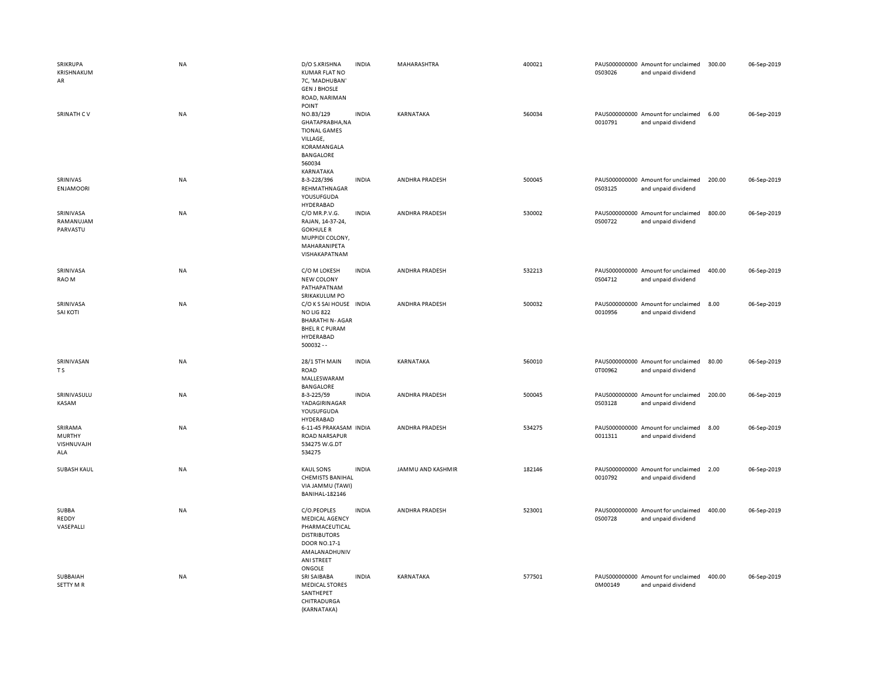| SRIKRUPA<br>KRISHNAKUM<br>AR                  | NA        | D/O S.KRISHNA<br><b>KUMAR FLAT NO</b><br>7C, 'MADHUBAN'<br><b>GEN J BHOSLE</b><br>ROAD, NARIMAN<br>POINT                               | <b>INDIA</b> | MAHARASHTRA       | 400021 | 0S03026 | PAUS000000000 Amount for unclaimed<br>and unpaid dividend | 300.00 | 06-Sep-2019 |
|-----------------------------------------------|-----------|----------------------------------------------------------------------------------------------------------------------------------------|--------------|-------------------|--------|---------|-----------------------------------------------------------|--------|-------------|
| SRINATH CV                                    | NA        | NO.B3/129<br>GHATAPRABHA, NA<br><b>TIONAL GAMES</b><br>VILLAGE,<br>KORAMANGALA<br>BANGALORE<br>560034<br>KARNATAKA                     | <b>INDIA</b> | KARNATAKA         | 560034 | 0010791 | PAUS000000000 Amount for unclaimed<br>and unpaid dividend | 6.00   | 06-Sep-2019 |
| SRINIVAS<br><b>ENJAMOORI</b>                  | NA        | 8-3-228/396<br>REHMATHNAGAR<br>YOUSUFGUDA<br>HYDERABAD                                                                                 | <b>INDIA</b> | ANDHRA PRADESH    | 500045 | 0S03125 | PAUS000000000 Amount for unclaimed<br>and unpaid dividend | 200.00 | 06-Sep-2019 |
| SRINIVASA<br>RAMANUJAM<br>PARVASTU            | NA        | C/O MR.P.V.G.<br>RAJAN, 14-37-24,<br><b>GOKHULE R</b><br>MUPPIDI COLONY,<br>MAHARANIPETA<br>VISHAKAPATNAM                              | <b>INDIA</b> | ANDHRA PRADESH    | 530002 | 0S00722 | PAUS000000000 Amount for unclaimed<br>and unpaid dividend | 800.00 | 06-Sep-2019 |
| SRINIVASA<br>RAO M                            | <b>NA</b> | C/O M LOKESH<br>NEW COLONY<br>PATHAPATNAM<br>SRIKAKULUM PO                                                                             | <b>INDIA</b> | ANDHRA PRADESH    | 532213 | 0S04712 | PAUS000000000 Amount for unclaimed<br>and unpaid dividend | 400.00 | 06-Sep-2019 |
| SRINIVASA<br>SAI KOTI                         | NA        | C/O K S SAI HOUSE IN DIA<br><b>NO LIG 822</b><br><b>BHARATHI N-AGAR</b><br><b>BHEL R C PURAM</b><br>HYDERABAD<br>$500032 - -$          |              | ANDHRA PRADESH    | 500032 | 0010956 | PAUS000000000 Amount for unclaimed<br>and unpaid dividend | 8.00   | 06-Sep-2019 |
| SRINIVASAN<br>$\top$ S                        | NA        | <b>28/1 5TH MAIN</b><br>ROAD<br>MALLESWARAM<br><b>BANGALORE</b>                                                                        | <b>INDIA</b> | KARNATAKA         | 560010 | 0T00962 | PAUS000000000 Amount for unclaimed<br>and unpaid dividend | 80.00  | 06-Sep-2019 |
| SRINIVASULU<br>KASAM                          | NA        | 8-3-225/59<br>YADAGIRINAGAR<br>YOUSUFGUDA<br>HYDERABAD                                                                                 | <b>INDIA</b> | ANDHRA PRADESH    | 500045 | 0S03128 | PAUS000000000 Amount for unclaimed<br>and unpaid dividend | 200.00 | 06-Sep-2019 |
| SRIRAMA<br><b>MURTHY</b><br>VISHNUVAJH<br>ALA | NA        | 6-11-45 PRAKASAM INDIA<br><b>ROAD NARSAPUR</b><br>534275 W.G.DT<br>534275                                                              |              | ANDHRA PRADESH    | 534275 | 0011311 | PAUS000000000 Amount for unclaimed<br>and unpaid dividend | 8.00   | 06-Sep-2019 |
| <b>SUBASH KAUL</b>                            | <b>NA</b> | <b>KAUL SONS</b><br><b>CHEMISTS BANIHAL</b><br>VIA JAMMU (TAWI)<br><b>BANIHAL-182146</b>                                               | <b>INDIA</b> | JAMMU AND KASHMIR | 182146 | 0010792 | PAUS000000000 Amount for unclaimed<br>and unpaid dividend | 2.00   | 06-Sep-2019 |
| SUBBA<br>REDDY<br>VASEPALLI                   | NA        | C/O.PEOPLES<br><b>MEDICAL AGENCY</b><br>PHARMACEUTICAL<br><b>DISTRIBUTORS</b><br>DOOR NO.17-1<br>AMALANADHUNIV<br>ANI STREET<br>ONGOLE | <b>INDIA</b> | ANDHRA PRADESH    | 523001 | 0S00728 | PAUS000000000 Amount for unclaimed<br>and unpaid dividend | 400.00 | 06-Sep-2019 |
| SUBBAIAH<br>SETTY M R                         | NA        | SRI SAIBABA<br><b>MEDICAL STORES</b><br>SANTHEPET<br>CHITRADURGA<br>(KARNATAKA)                                                        | <b>INDIA</b> | KARNATAKA         | 577501 | 0M00149 | PAUS000000000 Amount for unclaimed<br>and unpaid dividend | 400.00 | 06-Sep-2019 |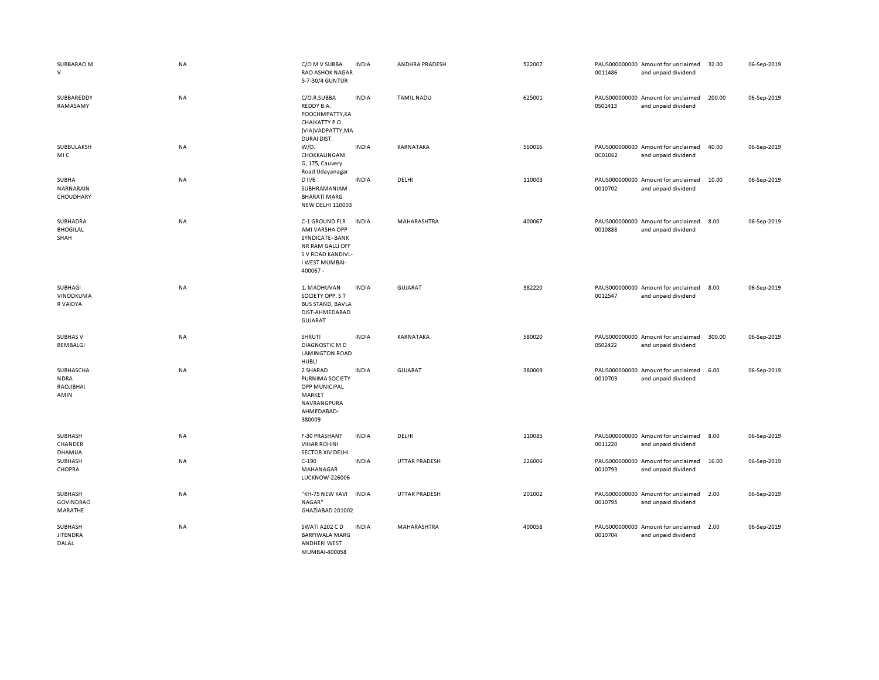| SUBBARAO M<br>$\vee$                          | <b>NA</b> | C/O M V SUBBA<br><b>RAO ASHOK NAGAR</b><br>5-7-30/4 GUNTUR                                                                | <b>INDIA</b> | ANDHRA PRADESH       | 522007 | 0011486 | PAUS000000000 Amount for unclaimed<br>and unpaid dividend | 32.00  | 06-Sep-2019 |
|-----------------------------------------------|-----------|---------------------------------------------------------------------------------------------------------------------------|--------------|----------------------|--------|---------|-----------------------------------------------------------|--------|-------------|
| SUBBAREDDY<br>RAMASAMY                        | NA        | C/O.R.SUBBA<br>REDDY B.A.<br>POOCHMPATTY, KA<br>CHAIKATTY P.O.<br>(VIA) VADPATTY, MA<br>DURAI DIST.                       | <b>INDIA</b> | <b>TAMIL NADU</b>    | 625001 | 0S01413 | PAUS000000000 Amount for unclaimed<br>and unpaid dividend | 200.00 | 06-Sep-2019 |
| SUBBULAKSH<br>MIC                             | NA        | W/0.<br>CHOKKALINGAM.<br>G, 175, Cauvery<br>Road Udayanagar                                                               | <b>INDIA</b> | KARNATAKA            | 560016 | 0C01062 | PAUS000000000 Amount for unclaimed<br>and unpaid dividend | 40.00  | 06-Sep-2019 |
| SUBHA<br>NARNARAIN<br>CHOUDHARY               | NA        | D II/6<br>SUBHRAMANIAM<br><b>BHARATI MARG</b><br><b>NEW DELHI 110003</b>                                                  | <b>INDIA</b> | DELHI                | 110003 | 0010702 | PAUS000000000 Amount for unclaimed<br>and unpaid dividend | 10.00  | 06-Sep-2019 |
| SUBHADRA<br><b>BHOGILAL</b><br>SHAH           | NA        | C-1 GROUND FLR<br>AMI VARSHA OPP<br>SYNDICATE-BANK<br>NR RAM GALLI OFF<br>S V ROAD KANDIVL-<br>I WEST MUMBAI-<br>400067 - | <b>INDIA</b> | MAHARASHTRA          | 400067 | 0010888 | PAUS000000000 Amount for unclaimed<br>and unpaid dividend | 8.00   | 06-Sep-2019 |
| SUBHAGI<br>VINODKUMA<br>R VAIDYA              | NA        | 1, MADHUVAN<br>SOCIETY OPP. S T<br><b>BUS STAND, BAVLA</b><br>DIST-AHMEDABAD<br><b>GUJARAT</b>                            | <b>INDIA</b> | <b>GUJARAT</b>       | 382220 | 0012547 | PAUS000000000 Amount for unclaimed<br>and unpaid dividend | 8.00   | 06-Sep-2019 |
| <b>SUBHAS V</b><br><b>BEMBALGI</b>            | <b>NA</b> | <b>SHRUTI</b><br><b>DIAGNOSTIC MD</b><br><b>LAMINGTON ROAD</b><br>HUBLI                                                   | <b>INDIA</b> | KARNATAKA            | 580020 | 0S02422 | PAUS000000000 Amount for unclaimed<br>and unpaid dividend | 300.00 | 06-Sep-2019 |
| SUBHASCHA<br><b>NDRA</b><br>RAOJIBHAI<br>AMIN | <b>NA</b> | 2 SHARAD<br>PURNIMA SOCIETY<br>OPP MUNICIPAL<br>MARKET<br>NAVRANGPURA<br>AHMEDABAD-<br>380009                             | <b>INDIA</b> | <b>GUJARAT</b>       | 380009 | 0010703 | PAUS000000000 Amount for unclaimed<br>and unpaid dividend | 6.00   | 06-Sep-2019 |
| <b>SUBHASH</b><br>CHANDER<br>DHAMIJA          | NA        | F-30 PRASHANT<br><b>VIHAR ROHINI</b><br><b>SECTOR XIV DELHI</b>                                                           | <b>INDIA</b> | DELHI                | 110085 | 0011220 | PAUS000000000 Amount for unclaimed<br>and unpaid dividend | 8.00   | 06-Sep-2019 |
| SUBHASH<br>CHOPRA                             | <b>NA</b> | $C-190$<br>MAHANAGAR<br><b>LUCKNOW-226006</b>                                                                             | <b>INDIA</b> | UTTAR PRADESH        | 226006 | 0010793 | PAUS000000000 Amount for unclaimed<br>and unpaid dividend | 16.00  | 06-Sep-2019 |
| SUBHASH<br><b>GOVINDRAO</b><br>MARATHE        | NA        | "KH-75 NEW KAVI<br>NAGAR"<br>GHAZIABAD 201002                                                                             | <b>INDIA</b> | <b>UTTAR PRADESH</b> | 201002 | 0010795 | PAUS000000000 Amount for unclaimed<br>and unpaid dividend | 2.00   | 06-Sep-2019 |
| SUBHASH<br><b>JITENDRA</b><br>DALAL           | NA        | SWATI A202 C D<br><b>BARFIWALA MARG</b><br><b>ANDHERI WEST</b><br>MUMBAI-400058                                           | <b>INDIA</b> | MAHARASHTRA          | 400058 | 0010704 | PAUS000000000 Amount for unclaimed<br>and unpaid dividend | 2.00   | 06-Sep-2019 |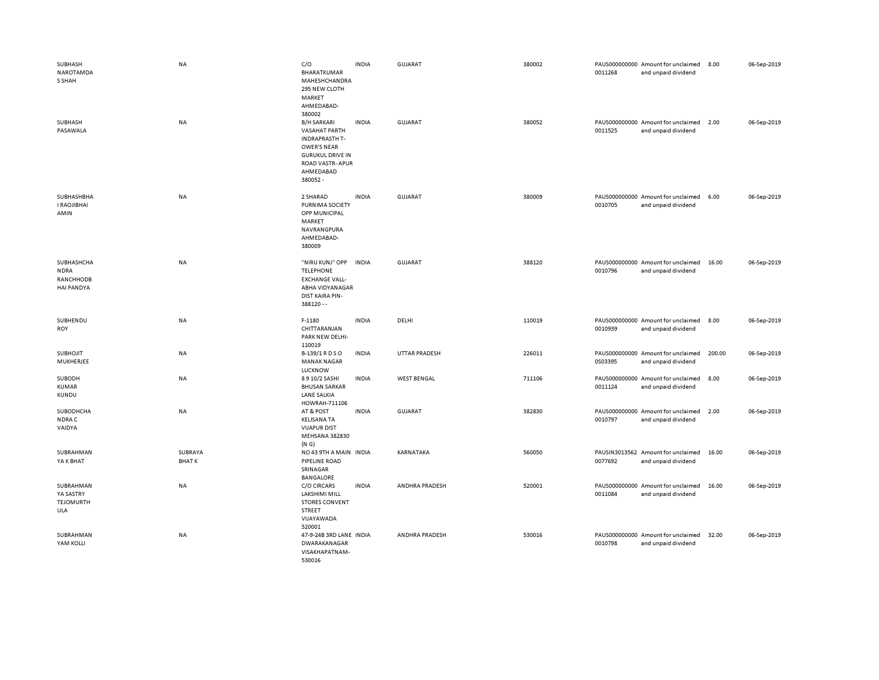| SUBHASH<br>NAROTAMDA<br>S SHAH                              | NA                      | C/O<br>BHARATKUMAR<br>MAHESHCHANDRA<br>295 NEW CLOTH<br>MARKET<br>AHMEDABAD-<br>380002                                                                          | <b>INDIA</b> | GUJARAT              | 380002 | 0011268 | PAUS000000000 Amount for unclaimed<br>and unpaid dividend | 8.00   | 06-Sep-2019 |
|-------------------------------------------------------------|-------------------------|-----------------------------------------------------------------------------------------------------------------------------------------------------------------|--------------|----------------------|--------|---------|-----------------------------------------------------------|--------|-------------|
| SUBHASH<br>PASAWALA                                         | NA                      | <b>B/H SARKARI</b><br><b>VASAHAT PARTH</b><br><b>INDRAPRASTH T-</b><br>OWER'S NEAR<br><b>GURUKUL DRIVE IN</b><br><b>ROAD VASTR-APUR</b><br>AHMEDABAD<br>380052- | <b>INDIA</b> | <b>GUJARAT</b>       | 380052 | 0011525 | PAUS000000000 Amount for unclaimed<br>and unpaid dividend | 2.00   | 06-Sep-2019 |
| SUBHASHBHA<br><b>I RAOJIBHAI</b><br>AMIN                    | NA                      | 2 SHARAD<br>PURNIMA SOCIETY<br>OPP MUNICIPAL<br>MARKET<br>NAVRANGPURA<br>AHMEDABAD-<br>380009                                                                   | <b>INDIA</b> | <b>GUJARAT</b>       | 380009 | 0010705 | PAUS000000000 Amount for unclaimed<br>and unpaid dividend | 6.00   | 06-Sep-2019 |
| SUBHASHCHA<br><b>NDRA</b><br>RANCHHODB<br><b>HAI PANDYA</b> | NA                      | "NIRU KUNJ" OPP<br><b>TELEPHONE</b><br><b>EXCHANGE VALL-</b><br>ABHA VIDYANAGAR<br>DIST KAIRA PIN-<br>388120 --                                                 | <b>INDIA</b> | <b>GUJARAT</b>       | 388120 | 0010796 | PAUS000000000 Amount for unclaimed<br>and unpaid dividend | 16.00  | 06-Sep-2019 |
| SUBHENDU<br>ROY                                             | NA                      | F-1180<br>CHITTARANJAN<br>PARK NEW DELHI-<br>110019                                                                                                             | <b>INDIA</b> | DELHI                | 110019 | 0010939 | PAUS000000000 Amount for unclaimed<br>and unpaid dividend | 8.00   | 06-Sep-2019 |
| <b>SUBHOJIT</b><br>MUKHERJEE                                | NA                      | B-139/1 R D S O<br><b>MANAK NAGAR</b><br>LUCKNOW                                                                                                                | <b>INDIA</b> | <b>UTTAR PRADESH</b> | 226011 | 0S03395 | PAUS000000000 Amount for unclaimed<br>and unpaid dividend | 200.00 | 06-Sep-2019 |
| SUBODH<br><b>KUMAR</b>                                      | NA                      |                                                                                                                                                                 |              |                      |        |         |                                                           |        |             |
| <b>KUNDU</b>                                                |                         | 8910/2 SASHI<br><b>BHUSAN SARKAR</b><br><b>LANE SALKIA</b><br>HOWRAH-711106                                                                                     | <b>INDIA</b> | <b>WEST BENGAL</b>   | 711106 | 0011124 | PAUS000000000 Amount for unclaimed<br>and unpaid dividend | 8.00   | 06-Sep-2019 |
| SUBODHCHA<br>NDRA C<br>VAIDYA                               | NA                      | AT & POST<br><b>KELISANA TA</b><br><b>VIJAPUR DIST</b><br>MEHSANA 382830<br>(N G)                                                                               | <b>INDIA</b> | GUJARAT              | 382830 | 0010797 | PAUS000000000 Amount for unclaimed<br>and unpaid dividend | 2.00   | 06-Sep-2019 |
| SUBRAHMAN<br>YA K BHAT                                      | SUBRAYA<br><b>BHATK</b> | NO 43 9TH A MAIN INDIA<br>PIPELINE ROAD<br>SRINAGAR                                                                                                             |              | KARNATAKA            | 560050 | 0077692 | PAUSIN3013562 Amount for unclaimed<br>and unpaid dividend | 16.00  | 06-Sep-2019 |
| SUBRAHMAN<br>YA SASTRY<br><b>TEJOMURTH</b><br>ULA           | NA                      | <b>BANGALORE</b><br>C/O CIRCARS<br>LAKSHIMI MILL<br><b>STORES CONVENT</b><br>STREET<br>VIJAYAWADA<br>520001                                                     | <b>INDIA</b> | ANDHRA PRADESH       | 520001 | 0011084 | PAUS000000000 Amount for unclaimed<br>and unpaid dividend | 16.00  | 06-Sep-2019 |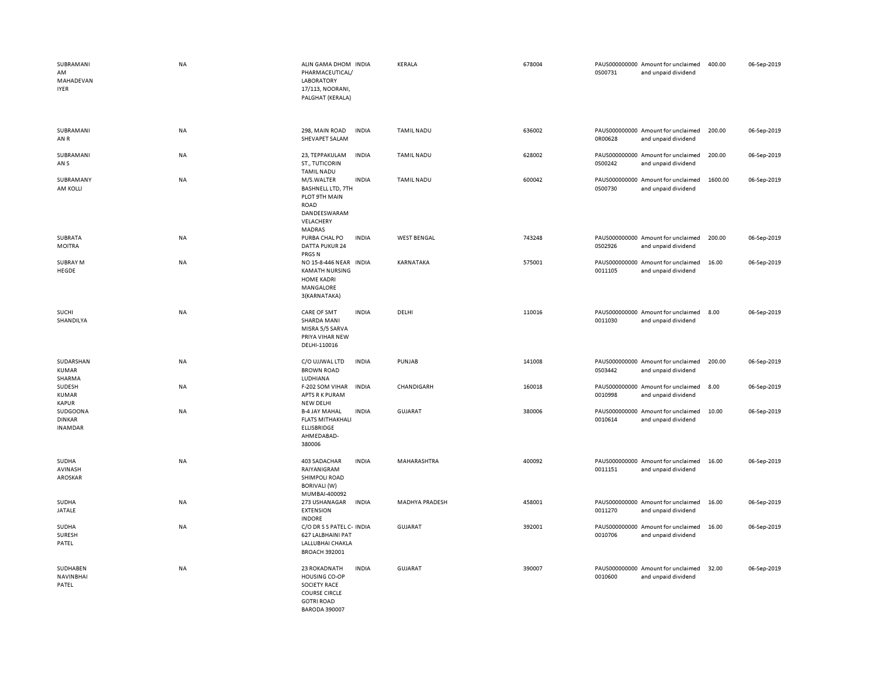| SUBRAMANI<br>AM<br>MAHADEVAN<br><b>IYER</b> | <b>NA</b> | ALIN GAMA DHOM INDIA<br>PHARMACEUTICAL/<br><b>LABORATORY</b><br>17/113, NOORANI,<br>PALGHAT (KERALA)                      |              | KERALA                | 678004 | 0S00731 | PAUS000000000 Amount for unclaimed<br>and unpaid dividend | 400.00  | 06-Sep-2019 |
|---------------------------------------------|-----------|---------------------------------------------------------------------------------------------------------------------------|--------------|-----------------------|--------|---------|-----------------------------------------------------------|---------|-------------|
| SUBRAMANI<br>AN R                           | <b>NA</b> | 298, MAIN ROAD<br>SHEVAPET SALAM                                                                                          | <b>INDIA</b> | <b>TAMIL NADU</b>     | 636002 | 0R00628 | PAUS000000000 Amount for unclaimed<br>and unpaid dividend | 200.00  | 06-Sep-2019 |
| SUBRAMANI<br>AN S                           | <b>NA</b> | 23, TEPPAKULAM<br>ST., TUTICORIN<br><b>TAMIL NADU</b>                                                                     | <b>INDIA</b> | <b>TAMIL NADU</b>     | 628002 | 0S00242 | PAUS000000000 Amount for unclaimed<br>and unpaid dividend | 200.00  | 06-Sep-2019 |
| SUBRAMANY<br>AM KOLLI                       | <b>NA</b> | M/S.WALTER<br><b>BASHNELL LTD, 7TH</b><br>PLOT 9TH MAIN<br>ROAD<br>DANDEESWARAM<br>VELACHERY<br>MADRAS                    | <b>INDIA</b> | <b>TAMIL NADU</b>     | 600042 | 0S00730 | PAUS000000000 Amount for unclaimed<br>and unpaid dividend | 1600.00 | 06-Sep-2019 |
| SUBRATA<br><b>MOITRA</b>                    | <b>NA</b> | PURBA CHAL PO<br><b>DATTA PUKUR 24</b><br>PRGS <sub>N</sub>                                                               | <b>INDIA</b> | <b>WEST BENGAL</b>    | 743248 | 0S02926 | PAUS000000000 Amount for unclaimed<br>and unpaid dividend | 200.00  | 06-Sep-2019 |
| SUBRAY M<br>HEGDE                           | <b>NA</b> | NO 15-8-446 NEAR INDIA<br><b>KAMATH NURSING</b><br><b>HOME KADRI</b><br>MANGALORE<br>3(KARNATAKA)                         |              | KARNATAKA             | 575001 | 0011105 | PAUS000000000 Amount for unclaimed<br>and unpaid dividend | 16.00   | 06-Sep-2019 |
| SUCHI<br>SHANDILYA                          | <b>NA</b> | CARE OF SMT<br>SHARDA MANI<br>MISRA 5/5 SARVA<br>PRIYA VIHAR NEW<br>DELHI-110016                                          | <b>INDIA</b> | DELHI                 | 110016 | 0011030 | PAUS000000000 Amount for unclaimed<br>and unpaid dividend | 8.00    | 06-Sep-2019 |
| SUDARSHAN<br>KUMAR<br>SHARMA                | <b>NA</b> | C/O UJJWAL LTD<br><b>BROWN ROAD</b><br>LUDHIANA                                                                           | <b>INDIA</b> | PUNJAB                | 141008 | 0S03442 | PAUS000000000 Amount for unclaimed<br>and unpaid dividend | 200.00  | 06-Sep-2019 |
| SUDESH<br>KUMAR<br><b>KAPUR</b>             | <b>NA</b> | F-202 SOM VIHAR<br>APTS R K PURAM<br>NEW DELHI                                                                            | <b>INDIA</b> | CHANDIGARH            | 160018 | 0010998 | PAUS000000000 Amount for unclaimed<br>and unpaid dividend | 8.00    | 06-Sep-2019 |
| SUDGOONA<br><b>DINKAR</b><br><b>INAMDAR</b> | <b>NA</b> | <b>B-4 JAY MAHAL</b><br><b>FLATS MITHAKHALI</b><br>ELLISBRIDGE<br>AHMEDABAD-<br>380006                                    | <b>INDIA</b> | <b>GUJARAT</b>        | 380006 | 0010614 | PAUS000000000 Amount for unclaimed<br>and unpaid dividend | 10.00   | 06-Sep-2019 |
| SUDHA<br>AVINASH<br>AROSKAR                 | <b>NA</b> | 403 SADACHAR<br>RAIYANIGRAM<br>SHIMPOLI ROAD<br>BORIVALI (W)<br>MUMBAI-400092                                             | <b>INDIA</b> | MAHARASHTRA           | 400092 | 0011151 | PAUS000000000 Amount for unclaimed<br>and unpaid dividend | 16.00   | 06-Sep-2019 |
| SUDHA<br><b>JATALE</b>                      | NA        | 273 USHANAGAR<br><b>EXTENSION</b><br><b>INDORE</b>                                                                        | <b>INDIA</b> | <b>MADHYA PRADESH</b> | 458001 | 0011270 | PAUS000000000 Amount for unclaimed<br>and unpaid dividend | 16.00   | 06-Sep-2019 |
| SUDHA<br>SURESH<br>PATEL                    | <b>NA</b> | C/O DR S S PATEL C- INDIA<br>627 LALBHAINI PAT<br>LALLUBHAI CHAKLA<br><b>BROACH 392001</b>                                |              | <b>GUJARAT</b>        | 392001 | 0010706 | PAUS000000000 Amount for unclaimed<br>and unpaid dividend | 16.00   | 06-Sep-2019 |
| SUDHABEN<br>NAVINBHAI<br>PATEL              | <b>NA</b> | 23 ROKADNATH<br><b>HOUSING CO-OP</b><br>SOCIETY RACE<br><b>COURSE CIRCLE</b><br><b>GOTRI ROAD</b><br><b>BARODA 390007</b> | <b>INDIA</b> | <b>GUJARAT</b>        | 390007 | 0010600 | PAUS000000000 Amount for unclaimed<br>and unpaid dividend | 32.00   | 06-Sep-2019 |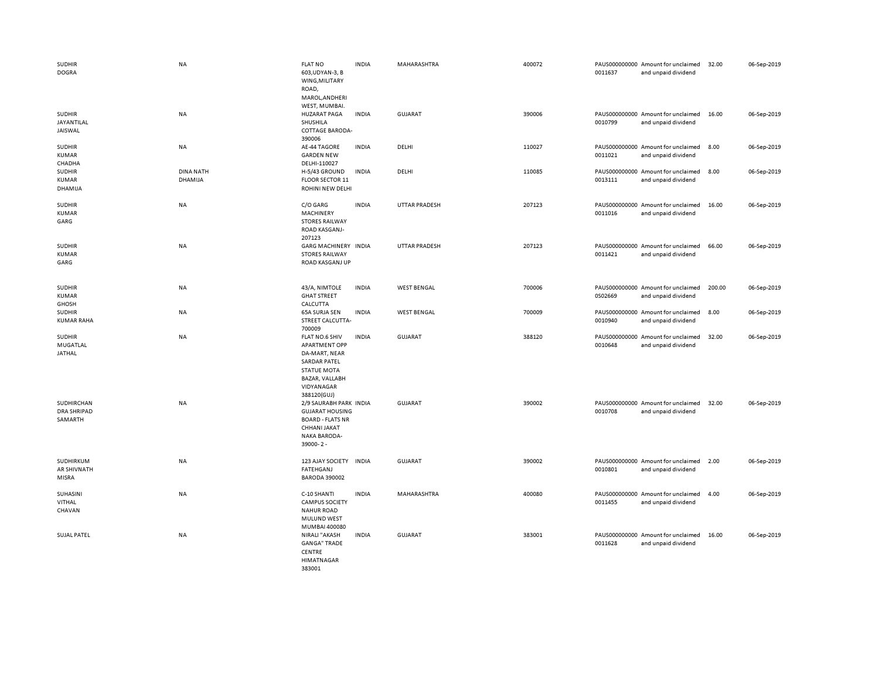| <b>SUDHIR</b><br><b>DOGRA</b>               | <b>NA</b>            | <b>FLAT NO</b><br>603, UDYAN-3, B<br>WING, MILITARY<br>ROAD,<br>MAROL, ANDHERI<br>WEST, MUMBAI.                                                     | <b>INDIA</b> | MAHARASHTRA          | 400072 | 0011637 | PAUS000000000 Amount for unclaimed<br>and unpaid dividend | 32.00  | 06-Sep-2019 |
|---------------------------------------------|----------------------|-----------------------------------------------------------------------------------------------------------------------------------------------------|--------------|----------------------|--------|---------|-----------------------------------------------------------|--------|-------------|
| <b>SUDHIR</b><br>JAYANTILAL<br>JAISWAL      | <b>NA</b>            | <b>HUZARAT PAGA</b><br>SHUSHILA<br><b>COTTAGE BARODA-</b><br>390006                                                                                 | <b>INDIA</b> | GUJARAT              | 390006 | 0010799 | PAUS000000000 Amount for unclaimed<br>and unpaid dividend | 16.00  | 06-Sep-2019 |
| <b>SUDHIR</b><br><b>KUMAR</b><br>CHADHA     | NA                   | AE-44 TAGORE<br><b>GARDEN NEW</b><br>DELHI-110027                                                                                                   | <b>INDIA</b> | DELHI                | 110027 | 0011021 | PAUS000000000 Amount for unclaimed<br>and unpaid dividend | 8.00   | 06-Sep-2019 |
| <b>SUDHIR</b><br>KUMAR<br>DHAMIJA           | DINA NATH<br>DHAMIJA | H-5/43 GROUND<br>FLOOR SECTOR 11<br>ROHINI NEW DELHI                                                                                                | <b>INDIA</b> | DELHI                | 110085 | 0013111 | PAUS000000000 Amount for unclaimed<br>and unpaid dividend | 8.00   | 06-Sep-2019 |
| <b>SUDHIR</b><br><b>KUMAR</b><br>GARG       | <b>NA</b>            | C/O GARG<br>MACHINERY<br><b>STORES RAILWAY</b><br>ROAD KASGANJ-<br>207123                                                                           | <b>INDIA</b> | <b>UTTAR PRADESH</b> | 207123 | 0011016 | PAUS000000000 Amount for unclaimed<br>and unpaid dividend | 16.00  | 06-Sep-2019 |
| <b>SUDHIR</b><br><b>KUMAR</b><br>GARG       | <b>NA</b>            | GARG MACHINERY INDIA<br><b>STORES RAILWAY</b><br>ROAD KASGANJ UP                                                                                    |              | <b>UTTAR PRADESH</b> | 207123 | 0011421 | PAUS000000000 Amount for unclaimed<br>and unpaid dividend | 66.00  | 06-Sep-2019 |
| <b>SUDHIR</b><br><b>KUMAR</b><br>GHOSH      | NA                   | 43/A, NIMTOLE<br><b>GHAT STREET</b><br>CALCUTTA                                                                                                     | <b>INDIA</b> | <b>WEST BENGAL</b>   | 700006 | 0S02669 | PAUS000000000 Amount for unclaimed<br>and unpaid dividend | 200.00 | 06-Sep-2019 |
| <b>SUDHIR</b><br><b>KUMAR RAHA</b>          | <b>NA</b>            | 65A SURJA SEN<br>STREET CALCUTTA-<br>700009                                                                                                         | <b>INDIA</b> | <b>WEST BENGAL</b>   | 700009 | 0010940 | PAUS000000000 Amount for unclaimed<br>and unpaid dividend | 8.00   | 06-Sep-2019 |
| <b>SUDHIR</b><br><b>MUGATLAL</b><br>JATHAL  | <b>NA</b>            | FLAT NO.6 SHIV<br><b>APARTMENT OPP</b><br>DA-MART, NEAR<br><b>SARDAR PATEL</b><br><b>STATUE MOTA</b><br>BAZAR, VALLABH<br>VIDYANAGAR<br>388120(GUJ) | <b>INDIA</b> | GUJARAT              | 388120 | 0010648 | PAUS000000000 Amount for unclaimed<br>and unpaid dividend | 32.00  | 06-Sep-2019 |
| SUDHIRCHAN<br><b>DRA SHRIPAD</b><br>SAMARTH | <b>NA</b>            | 2/9 SAURABH PARK INDIA<br><b>GUJARAT HOUSING</b><br><b>BOARD - FLATS NR</b><br>CHHANI JAKAT<br><b>NAKA BARODA-</b><br>39000-2-                      |              | <b>GUJARAT</b>       | 390002 | 0010708 | PAUS000000000 Amount for unclaimed<br>and unpaid dividend | 32.00  | 06-Sep-2019 |
| SUDHIRKUM<br>AR SHIVNATH<br>MISRA           | <b>NA</b>            | 123 AJAY SOCIETY INDIA<br><b>FATEHGANJ</b><br><b>BARODA 390002</b>                                                                                  |              | GUJARAT              | 390002 | 0010801 | PAUS000000000 Amount for unclaimed<br>and unpaid dividend | 2.00   | 06-Sep-2019 |
| SUHASINI<br>VITHAL<br>CHAVAN                | <b>NA</b>            | C-10 SHANTI<br><b>CAMPUS SOCIETY</b><br><b>NAHUR ROAD</b><br>MULUND WEST<br>MUMBAI 400080                                                           | <b>INDIA</b> | <b>MAHARASHTRA</b>   | 400080 | 0011455 | PAUS000000000 Amount for unclaimed<br>and unpaid dividend | 4.00   | 06-Sep-2019 |
| <b>SUJAL PATEL</b>                          | <b>NA</b>            | NIRALI "AKASH<br><b>GANGA" TRADE</b><br>CENTRE<br>HIMATNAGAR<br>383001                                                                              | <b>INDIA</b> | <b>GUJARAT</b>       | 383001 | 0011628 | PAUS000000000 Amount for unclaimed<br>and unpaid dividend | 16.00  | 06-Sep-2019 |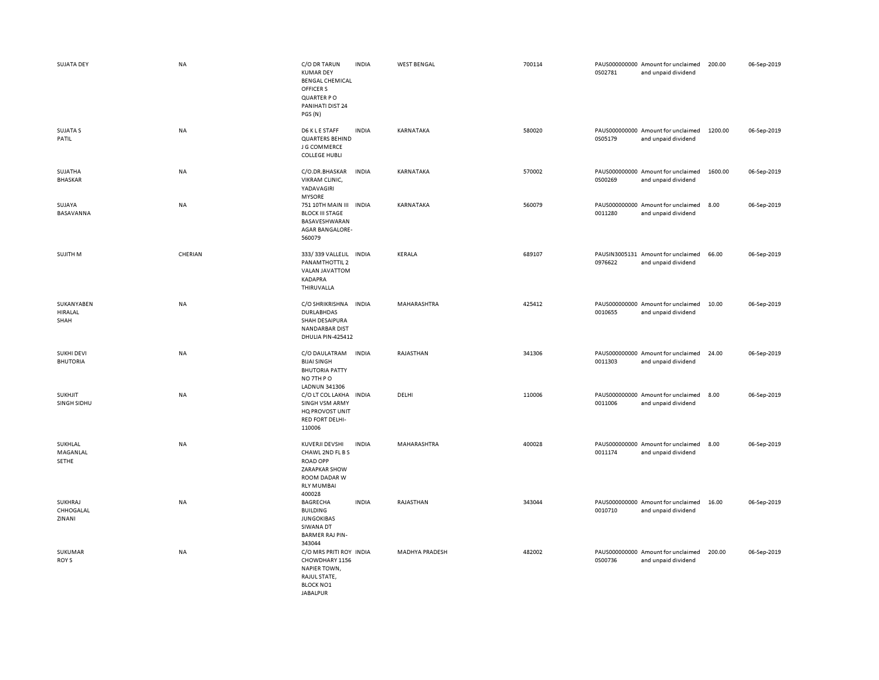| <b>SUJATA DEY</b>                    | <b>NA</b> | C/O DR TARUN<br><b>KUMAR DEY</b><br><b>BENGAL CHEMICAL</b><br>OFFICER S<br><b>QUARTER PO</b><br>PANIHATI DIST 24<br>PGS (N)  | <b>INDIA</b> | <b>WEST BENGAL</b>    | 700114 | 0S02781 | PAUS000000000 Amount for unclaimed<br>and unpaid dividend | 200.00  | 06-Sep-2019 |
|--------------------------------------|-----------|------------------------------------------------------------------------------------------------------------------------------|--------------|-----------------------|--------|---------|-----------------------------------------------------------|---------|-------------|
| <b>SUJATA S</b><br>PATIL             | <b>NA</b> | D6 K L E STAFF<br><b>QUARTERS BEHIND</b><br>J G COMMERCE<br><b>COLLEGE HUBLI</b>                                             | <b>INDIA</b> | KARNATAKA             | 580020 | 0S05179 | PAUS000000000 Amount for unclaimed<br>and unpaid dividend | 1200.00 | 06-Sep-2019 |
| SUJATHA<br><b>BHASKAR</b>            | <b>NA</b> | C/O.DR.BHASKAR<br>VIKRAM CLINIC,<br>YADAVAGIRI<br><b>MYSORE</b>                                                              | <b>INDIA</b> | KARNATAKA             | 570002 | 0S00269 | PAUS000000000 Amount for unclaimed<br>and unpaid dividend | 1600.00 | 06-Sep-2019 |
| SUJAYA<br>BASAVANNA                  | NA        | 751 10TH MAIN III INDIA<br><b>BLOCK III STAGE</b><br>BASAVESHWARAN<br>AGAR BANGALORE-<br>560079                              |              | KARNATAKA             | 560079 | 0011280 | PAUS000000000 Amount for unclaimed<br>and unpaid dividend | 8.00    | 06-Sep-2019 |
| SUJITH M                             | CHERIAN   | 333/339 VALLELIL INDIA<br>PANAMTHOTTIL 2<br>VALAN JAVATTOM<br>KADAPRA<br>THIRUVALLA                                          |              | KERALA                | 689107 | 0976622 | PAUSIN3005131 Amount for unclaimed<br>and unpaid dividend | 66.00   | 06-Sep-2019 |
| SUKANYABEN<br><b>HIRALAL</b><br>SHAH | NA        | C/O SHRIKRISHNA INDIA<br><b>DURLABHDAS</b><br>SHAH DESAIPURA<br><b>NANDARBAR DIST</b><br>DHULIA PIN-425412                   |              | MAHARASHTRA           | 425412 | 0010655 | PAUS000000000 Amount for unclaimed<br>and unpaid dividend | 10.00   | 06-Sep-2019 |
| <b>SUKHI DEVI</b><br><b>BHUTORIA</b> | NA        | C/O DAULATRAM<br><b>BIJAI SINGH</b><br><b>BHUTORIA PATTY</b><br>NO 7TH PO<br><b>LADNUN 341306</b>                            | <b>INDIA</b> | RAJASTHAN             | 341306 | 0011303 | PAUS000000000 Amount for unclaimed<br>and unpaid dividend | 24.00   | 06-Sep-2019 |
| <b>SUKHJIT</b><br>SINGH SIDHU        | <b>NA</b> | C/O LT COL LAKHA<br>SINGH VSM ARMY<br>HQ PROVOST UNIT<br>RED FORT DELHI-<br>110006                                           | <b>INDIA</b> | DELHI                 | 110006 | 0011006 | PAUS000000000 Amount for unclaimed<br>and unpaid dividend | 8.00    | 06-Sep-2019 |
| SUKHLAL<br>MAGANLAL<br>SETHE         | NA        | KUVERJI DEVSHI<br>CHAWL 2ND FL B S<br><b>ROAD OPP</b><br><b>ZARAPKAR SHOW</b><br>ROOM DADAR W<br><b>RLY MUMBAI</b><br>400028 | <b>INDIA</b> | MAHARASHTRA           | 400028 | 0011174 | PAUS000000000 Amount for unclaimed<br>and unpaid dividend | 8.00    | 06-Sep-2019 |
| SUKHRAJ<br>CHHOGALAL<br>ZINANI       | <b>NA</b> | <b>BAGRECHA</b><br><b>BUILDING</b><br><b>JUNGOKIBAS</b><br>SIWANA DT<br><b>BARMER RAJ PIN-</b><br>343044                     | <b>INDIA</b> | RAJASTHAN             | 343044 | 0010710 | PAUS000000000 Amount for unclaimed<br>and unpaid dividend | 16.00   | 06-Sep-2019 |
| SUKUMAR<br>ROY S                     | NA        | C/O MRS PRITI ROY INDIA<br>CHOWDHARY 1156<br><b>NAPIER TOWN,</b><br>RAJUL STATE,<br><b>BLOCK NO1</b><br><b>JABALPUR</b>      |              | <b>MADHYA PRADESH</b> | 482002 | 0S00736 | PAUS000000000 Amount for unclaimed<br>and unpaid dividend | 200.00  | 06-Sep-2019 |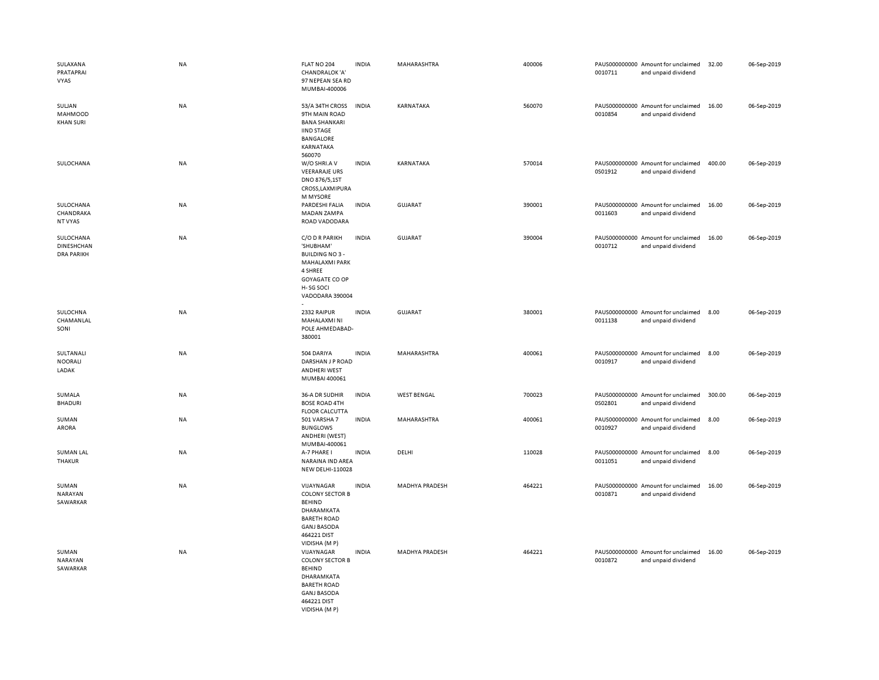| SULAXANA<br>PRATAPRAI<br>VYAS                | NA        | FLAT NO 204<br>CHANDRALOK 'A'<br>97 NEPEAN SEA RD<br>MUMBAI-400006                                                                              | <b>INDIA</b> | MAHARASHTRA           | 400006 | 0010711 | PAUS000000000 Amount for unclaimed<br>and unpaid dividend | 32.00  | 06-Sep-2019 |
|----------------------------------------------|-----------|-------------------------------------------------------------------------------------------------------------------------------------------------|--------------|-----------------------|--------|---------|-----------------------------------------------------------|--------|-------------|
| SULJAN<br>MAHMOOD<br><b>KHAN SURI</b>        | <b>NA</b> | 53/A 34TH CROSS<br>9TH MAIN ROAD<br><b>BANA SHANKARI</b><br><b>IIND STAGE</b><br><b>BANGALORE</b><br>KARNATAKA<br>560070                        | <b>INDIA</b> | <b>KARNATAKA</b>      | 560070 | 0010854 | PAUS000000000 Amount for unclaimed<br>and unpaid dividend | 16.00  | 06-Sep-2019 |
| SULOCHANA                                    | NA        | W/O SHRI.A V<br><b>VEERARAJE URS</b><br>DNO 876/5,1ST<br>CROSS, LAXMIPURA<br><b>M MYSORE</b>                                                    | <b>INDIA</b> | KARNATAKA             | 570014 | 0S01912 | PAUS000000000 Amount for unclaimed<br>and unpaid dividend | 400.00 | 06-Sep-2019 |
| SULOCHANA<br>CHANDRAKA<br>NT VYAS            | NA        | PARDESHI FALIA<br>MADAN ZAMPA<br>ROAD VADODARA                                                                                                  | <b>INDIA</b> | <b>GUJARAT</b>        | 390001 | 0011603 | PAUS000000000 Amount for unclaimed<br>and unpaid dividend | 16.00  | 06-Sep-2019 |
| SULOCHANA<br>DINESHCHAN<br><b>DRA PARIKH</b> | <b>NA</b> | C/O D R PARIKH<br>'SHUBHAM'<br><b>BUILDING NO3-</b><br>MAHALAXMI PARK<br>4 SHREE<br>GOYAGATE CO OP<br>H-SG SOCI<br>VADODARA 390004              | <b>INDIA</b> | GUJARAT               | 390004 | 0010712 | PAUS000000000 Amount for unclaimed<br>and unpaid dividend | 16.00  | 06-Sep-2019 |
| SULOCHNA<br>CHAMANLAL<br>SONI                | NA        | 2332 RAIPUR<br>MAHALAXMI NI<br>POLE AHMEDABAD-<br>380001                                                                                        | <b>INDIA</b> | <b>GUJARAT</b>        | 380001 | 0011138 | PAUS000000000 Amount for unclaimed<br>and unpaid dividend | 8.00   | 06-Sep-2019 |
| SULTANALI<br><b>NOORALI</b><br>LADAK         | NA        | 504 DARIYA<br>DARSHAN J P ROAD<br><b>ANDHERI WEST</b><br>MUMBAI 400061                                                                          | <b>INDIA</b> | MAHARASHTRA           | 400061 | 0010917 | PAUS000000000 Amount for unclaimed<br>and unpaid dividend | 8.00   | 06-Sep-2019 |
| SUMALA<br><b>BHADURI</b>                     | NA        | 36-A DR SUDHIR<br><b>BOSE ROAD 4TH</b><br><b>FLOOR CALCUTTA</b>                                                                                 | <b>INDIA</b> | <b>WEST BENGAL</b>    | 700023 | 0S02801 | PAUS000000000 Amount for unclaimed<br>and unpaid dividend | 300.00 | 06-Sep-2019 |
| SUMAN<br>ARORA                               | NA        | 501 VARSHA 7<br><b>BUNGLOWS</b><br>ANDHERI (WEST)<br>MUMBAI-400061                                                                              | <b>INDIA</b> | MAHARASHTRA           | 400061 | 0010927 | PAUS000000000 Amount for unclaimed<br>and unpaid dividend | 8.00   | 06-Sep-2019 |
| <b>SUMAN LAL</b><br>THAKUR                   | NA        | A-7 PHARE I<br>NARAINA IND AREA<br>NEW DELHI-110028                                                                                             | <b>INDIA</b> | DELHI                 | 110028 | 0011051 | PAUS000000000 Amount for unclaimed<br>and unpaid dividend | 8.00   | 06-Sep-2019 |
| SUMAN<br>NARAYAN<br>SAWARKAR                 | NA        | VIJAYNAGAR<br><b>COLONY SECTOR B</b><br><b>BEHIND</b><br>DHARAMKATA<br><b>BARETH ROAD</b><br><b>GANJ BASODA</b><br>464221 DIST<br>VIDISHA (M P) | <b>INDIA</b> | MADHYA PRADESH        | 464221 | 0010871 | PAUS000000000 Amount for unclaimed<br>and unpaid dividend | 16.00  | 06-Sep-2019 |
| SUMAN<br>NARAYAN<br>SAWARKAR                 | <b>NA</b> | VIJAYNAGAR<br><b>COLONY SECTOR B</b><br><b>BEHIND</b><br>DHARAMKATA<br><b>BARETH ROAD</b><br><b>GANJ BASODA</b><br>464221 DIST<br>VIDISHA (M P) | <b>INDIA</b> | <b>MADHYA PRADESH</b> | 464221 | 0010872 | PAUS000000000 Amount for unclaimed<br>and unpaid dividend | 16.00  | 06-Sep-2019 |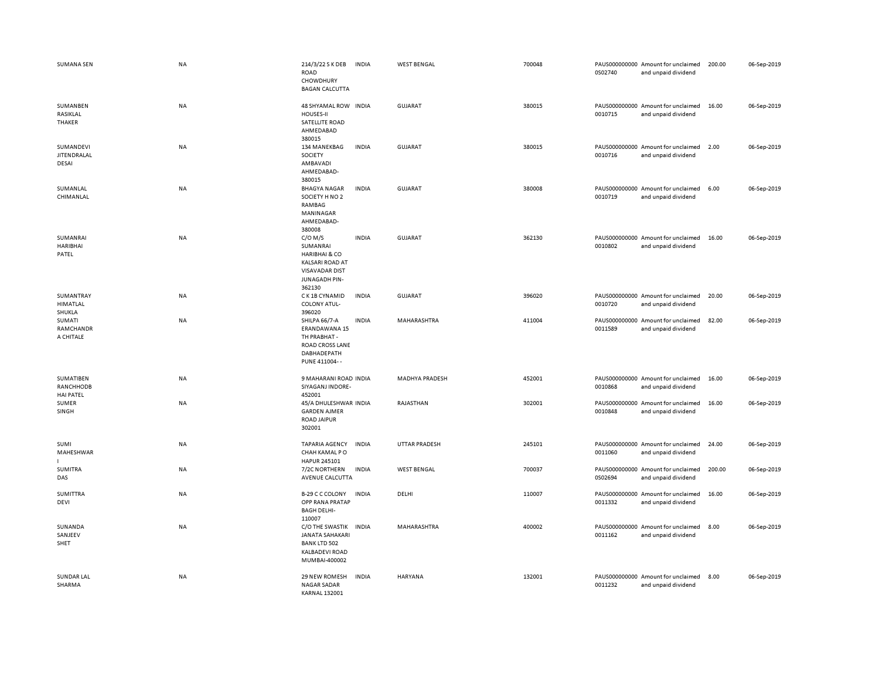| <b>SUMANA SEN</b>                          | NA        | 214/3/22 S K DEB<br><b>ROAD</b><br>CHOWDHURY<br><b>BAGAN CALCUTTA</b>                                                           | INDIA        | <b>WEST BENGAL</b>    | 700048 | 0S02740 | PAUS000000000 Amount for unclaimed<br>and unpaid dividend | 200.00 | 06-Sep-2019 |
|--------------------------------------------|-----------|---------------------------------------------------------------------------------------------------------------------------------|--------------|-----------------------|--------|---------|-----------------------------------------------------------|--------|-------------|
| SUMANBEN<br>RASIKLAL<br>THAKER             | NA        | 48 SHYAMAL ROW INDIA<br>HOUSES-II<br>SATELLITE ROAD<br>AHMEDABAD                                                                |              | <b>GUJARAT</b>        | 380015 | 0010715 | PAUS000000000 Amount for unclaimed<br>and unpaid dividend | 16.00  | 06-Sep-2019 |
| SUMANDEVI<br>JITENDRALAL<br>DESAI          | <b>NA</b> | 380015<br>134 MANEKBAG<br>SOCIETY<br>AMBAVADI<br>AHMEDABAD-<br>380015                                                           | <b>INDIA</b> | GUJARAT               | 380015 | 0010716 | PAUS000000000 Amount for unclaimed<br>and unpaid dividend | 2.00   | 06-Sep-2019 |
| SUMANLAL<br>CHIMANLAL                      | NA        | <b>BHAGYA NAGAR</b><br>SOCIETY H NO 2<br>RAMBAG<br>MANINAGAR<br>AHMEDABAD-<br>380008                                            | <b>INDIA</b> | <b>GUJARAT</b>        | 380008 | 0010719 | PAUS000000000 Amount for unclaimed<br>and unpaid dividend | 6.00   | 06-Sep-2019 |
| SUMANRAI<br><b>HARIBHAI</b><br>PATEL       | <b>NA</b> | $C/O$ M/S<br>SUMANRAI<br><b>HARIBHAI &amp; CO</b><br><b>KALSARI ROAD AT</b><br><b>VISAVADAR DIST</b><br>JUNAGADH PIN-<br>362130 | <b>INDIA</b> | <b>GUJARAT</b>        | 362130 | 0010802 | PAUS000000000 Amount for unclaimed<br>and unpaid dividend | 16.00  | 06-Sep-2019 |
| SUMANTRAY<br><b>HIMATLAL</b><br>SHUKLA     | <b>NA</b> | C K 1B CYNAMID<br><b>COLONY ATUL-</b><br>396020                                                                                 | <b>INDIA</b> | GUJARAT               | 396020 | 0010720 | PAUS000000000 Amount for unclaimed<br>and unpaid dividend | 20.00  | 06-Sep-2019 |
| SUMATI<br>RAMCHANDR<br>A CHITALE           | NA        | SHILPA 66/7-A<br>ERANDAWANA 15<br>TH PRABHAT -<br><b>ROAD CROSS LANE</b><br>DABHADEPATH<br>PUNE 411004--                        | <b>INDIA</b> | MAHARASHTRA           | 411004 | 0011589 | PAUS000000000 Amount for unclaimed<br>and unpaid dividend | 82.00  | 06-Sep-2019 |
| SUMATIBEN<br>RANCHHODB<br><b>HAI PATEL</b> | NA        | 9 MAHARANI ROAD INDIA<br>SIYAGANJ INDORE-<br>452001                                                                             |              | <b>MADHYA PRADESH</b> | 452001 | 0010868 | PAUS000000000 Amount for unclaimed<br>and unpaid dividend | 16.00  | 06-Sep-2019 |
| SUMER<br>SINGH                             | NA        | 45/A DHULESHWAR INDIA<br><b>GARDEN AJMER</b><br><b>ROAD JAIPUR</b><br>302001                                                    |              | RAJASTHAN             | 302001 | 0010848 | PAUS000000000 Amount for unclaimed<br>and unpaid dividend | 16.00  | 06-Sep-2019 |
| SUMI<br>MAHESHWAR                          | NA        | <b>TAPARIA AGENCY</b><br>CHAH KAMAL PO<br>HAPUR 245101                                                                          | <b>INDIA</b> | <b>UTTAR PRADESH</b>  | 245101 | 0011060 | PAUS000000000 Amount for unclaimed<br>and unpaid dividend | 24.00  | 06-Sep-2019 |
| SUMITRA<br>DAS                             | ΝA        | 7/2C NORTHERN<br>AVENUE CALCUTTA                                                                                                | INDIA        | <b>WEST BENGAL</b>    | 700037 | 0S02694 | PAUS000000000 Amount for unclaimed<br>and unpaid dividend | 200.00 | 06-Sep-2019 |
| <b>SUMITTRA</b><br>DEVI                    | NA        | B-29 C C COLONY<br>OPP RANA PRATAP<br><b>BAGH DELHI-</b><br>110007                                                              | <b>INDIA</b> | DELHI                 | 110007 | 0011332 | PAUS000000000 Amount for unclaimed<br>and unpaid dividend | 16.00  | 06-Sep-2019 |
| SUNANDA<br>SANJEEV<br>SHET                 | NA        | C/O THE SWASTIK INDIA<br><b>JANATA SAHAKARI</b><br><b>BANK LTD 502</b><br><b>KALBADEVI ROAD</b><br>MUMBAI-400002                |              | MAHARASHTRA           | 400002 | 0011162 | PAUS000000000 Amount for unclaimed<br>and unpaid dividend | 8.00   | 06-Sep-2019 |
| SUNDAR LAL<br>SHARMA                       | NA        | 29 NEW ROMESH<br><b>NAGAR SADAR</b><br><b>KARNAL 132001</b>                                                                     | <b>INDIA</b> | <b>HARYANA</b>        | 132001 | 0011232 | PAUS000000000 Amount for unclaimed<br>and unpaid dividend | 8.00   | 06-Sep-2019 |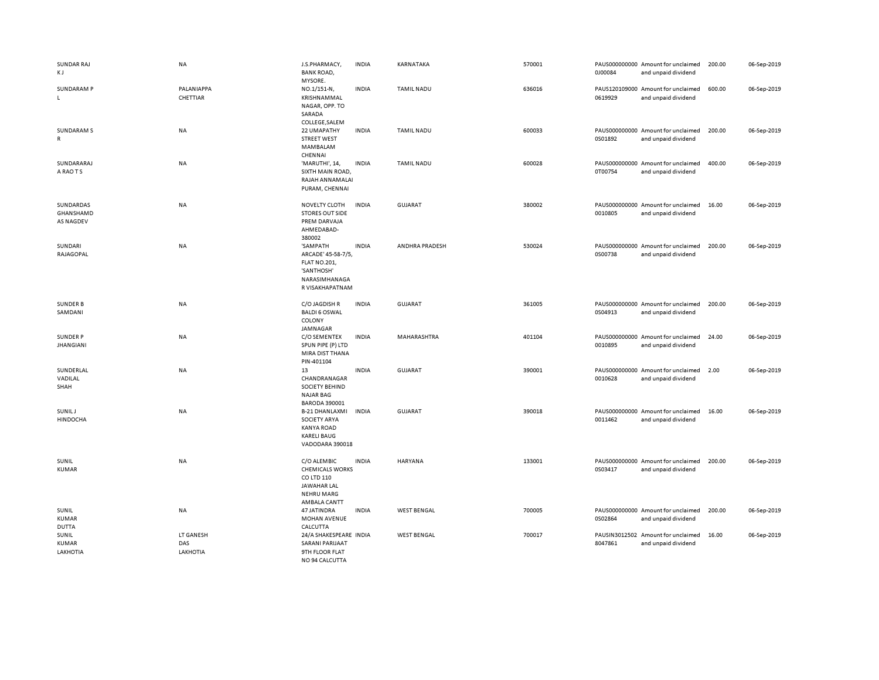| SUNDAR RAJ<br>K J                          | NA                           | J.S.PHARMACY,<br><b>BANK ROAD,</b><br>MYSORE.                                                                  | <b>INDIA</b> | KARNATAKA             | 570001 | 0J00084                  | PAUS000000000 Amount for unclaimed<br>and unpaid dividend | 200.00 | 06-Sep-2019 |
|--------------------------------------------|------------------------------|----------------------------------------------------------------------------------------------------------------|--------------|-----------------------|--------|--------------------------|-----------------------------------------------------------|--------|-------------|
| <b>SUNDARAM P</b><br>L                     | PALANIAPPA<br>CHETTIAR       | NO.1/151-N,<br>KRISHNAMMAL<br>NAGAR, OPP. TO<br>SARADA<br>COLLEGE, SALEM                                       | <b>INDIA</b> | <b>TAMIL NADU</b>     | 636016 | 0619929                  | PAUS120109000 Amount for unclaimed<br>and unpaid dividend | 600.00 | 06-Sep-2019 |
| <b>SUNDARAM S</b><br>R                     | NA                           | 22 UMAPATHY<br><b>STREET WEST</b><br>MAMBALAM<br>CHENNAI                                                       | <b>INDIA</b> | <b>TAMIL NADU</b>     | 600033 | 0S01892                  | PAUS000000000 Amount for unclaimed<br>and unpaid dividend | 200.00 | 06-Sep-2019 |
| SUNDARARAJ<br>A RAO T S                    | NA                           | 'MARUTHI', 14,<br>SIXTH MAIN ROAD,<br>RAJAH ANNAMALAI<br>PURAM, CHENNAI                                        | <b>INDIA</b> | <b>TAMIL NADU</b>     | 600028 | 0T00754                  | PAUS000000000 Amount for unclaimed<br>and unpaid dividend | 400.00 | 06-Sep-2019 |
| SUNDARDAS<br>GHANSHAMD<br><b>AS NAGDEV</b> | NA                           | <b>NOVELTY CLOTH</b><br><b>STORES OUT SIDE</b><br>PREM DARVAJA<br>AHMEDABAD-<br>380002                         | <b>INDIA</b> | <b>GUJARAT</b>        | 380002 | 0010805                  | PAUS000000000 Amount for unclaimed<br>and unpaid dividend | 16.00  | 06-Sep-2019 |
| SUNDARI<br>RAJAGOPAL                       | <b>NA</b>                    | 'SAMPATH<br>ARCADE' 45-58-7/5,<br><b>FLAT NO.201,</b><br>'SANTHOSH'<br>NARASIMHANAGA<br>R VISAKHAPATNAM        | <b>INDIA</b> | <b>ANDHRA PRADESH</b> | 530024 | PAUS000000000<br>0S00738 | Amount for unclaimed<br>and unpaid dividend               | 200.00 | 06-Sep-2019 |
| <b>SUNDER B</b><br>SAMDANI                 | NA                           | C/O JAGDISH R<br><b>BALDI 6 OSWAL</b><br>COLONY<br>JAMNAGAR                                                    | <b>INDIA</b> | GUJARAT               | 361005 | 0S04913                  | PAUS000000000 Amount for unclaimed<br>and unpaid dividend | 200.00 | 06-Sep-2019 |
| <b>SUNDER P</b><br><b>JHANGIANI</b>        | NA                           | C/O SEMENTEX<br>SPUN PIPE (P) LTD<br>MIRA DIST THANA<br>PIN-401104                                             | <b>INDIA</b> | MAHARASHTRA           | 401104 | 0010895                  | PAUS000000000 Amount for unclaimed<br>and unpaid dividend | 24.00  | 06-Sep-2019 |
| SUNDERLAL<br>VADILAL<br>SHAH               | NA                           | 13<br>CHANDRANAGAR<br><b>SOCIETY BEHIND</b><br><b>NAJAR BAG</b><br><b>BARODA 390001</b>                        | <b>INDIA</b> | <b>GUJARAT</b>        | 390001 | 0010628                  | PAUS000000000 Amount for unclaimed<br>and unpaid dividend | 2.00   | 06-Sep-2019 |
| SUNIL J<br>HINDOCHA                        | NA                           | <b>B-21 DHANLAXMI</b><br><b>SOCIETY ARYA</b><br><b>KANYA ROAD</b><br><b>KARELI BAUG</b><br>VADODARA 390018     | <b>INDIA</b> | <b>GUJARAT</b>        | 390018 | 0011462                  | PAUS000000000 Amount for unclaimed<br>and unpaid dividend | 16.00  | 06-Sep-2019 |
| SUNIL<br><b>KUMAR</b>                      | NA                           | C/O ALEMBIC<br><b>CHEMICALS WORKS</b><br>CO LTD 110<br><b>JAWAHAR LAL</b><br><b>NEHRU MARG</b><br>AMBALA CANTT | <b>INDIA</b> | <b>HARYANA</b>        | 133001 | 0S03417                  | PAUS000000000 Amount for unclaimed<br>and unpaid dividend | 200.00 | 06-Sep-2019 |
| SUNIL<br>KUMAR<br><b>DUTTA</b>             | NA                           | 47 JATINDRA<br>MOHAN AVENUE<br>CALCUTTA                                                                        | <b>INDIA</b> | <b>WEST BENGAL</b>    | 700005 | 0S02864                  | PAUS000000000 Amount for unclaimed<br>and unpaid dividend | 200.00 | 06-Sep-2019 |
| SUNIL<br><b>KUMAR</b><br>LAKHOTIA          | LT GANESH<br>DAS<br>LAKHOTIA | 24/A SHAKESPEARE INDIA<br>SARANI PARIJAAT<br>9TH FLOOR FLAT<br>NO 94 CALCUITTA                                 |              | <b>WEST BENGAL</b>    | 700017 | 8047861                  | PAUSIN3012502 Amount for unclaimed<br>and unpaid dividend | 16.00  | 06-Sep-2019 |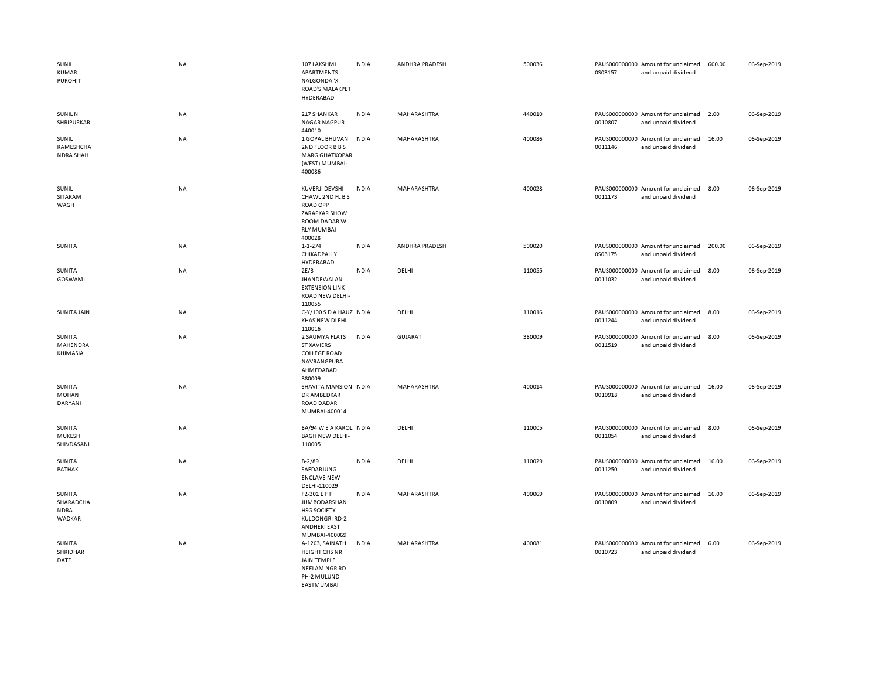| SUNIL<br><b>KUMAR</b><br><b>PUROHIT</b>             | <b>NA</b> | 107 LAKSHMI<br>APARTMENTS<br>NALGONDA 'X'<br>ROAD'S MALAKPET<br>HYDERABAD                                             | <b>INDIA</b> | ANDHRA PRADESH     | 500036 | 0S03157 | PAUS000000000 Amount for unclaimed<br>and unpaid dividend | 600.00 | 06-Sep-2019 |
|-----------------------------------------------------|-----------|-----------------------------------------------------------------------------------------------------------------------|--------------|--------------------|--------|---------|-----------------------------------------------------------|--------|-------------|
| <b>SUNIL N</b><br>SHRIPURKAR                        | NA        | 217 SHANKAR<br><b>NAGAR NAGPUR</b><br>440010                                                                          | <b>INDIA</b> | MAHARASHTRA        | 440010 | 0010807 | PAUS000000000 Amount for unclaimed<br>and unpaid dividend | 2.00   | 06-Sep-2019 |
| SUNIL<br>RAMESHCHA<br><b>NDRA SHAH</b>              | <b>NA</b> | 1 GOPAL BHUVAN<br>2ND FLOOR B B S<br><b>MARG GHATKOPAR</b><br>(WEST) MUMBAI-<br>400086                                | <b>INDIA</b> | MAHARASHTRA        | 400086 | 0011146 | PAUS000000000 Amount for unclaimed<br>and unpaid dividend | 16.00  | 06-Sep-2019 |
| SUNIL<br>SITARAM<br>WAGH                            | NA        | KUVERJI DEVSHI<br>CHAWL 2ND FL B S<br><b>ROAD OPP</b><br>ZARAPKAR SHOW<br>ROOM DADAR W<br><b>RLY MUMBAI</b><br>400028 | <b>INDIA</b> | MAHARASHTRA        | 400028 | 0011173 | PAUS000000000 Amount for unclaimed<br>and unpaid dividend | 8.00   | 06-Sep-2019 |
| SUNITA                                              | <b>NA</b> | $1 - 1 - 274$<br>CHIKADPALLY<br>HYDERABAD                                                                             | INDIA        | ANDHRA PRADESH     | 500020 | 0S03175 | PAUS000000000 Amount for unclaimed<br>and unpaid dividend | 200.00 | 06-Sep-2019 |
| SUNITA<br>GOSWAMI                                   | NA        | 2E/3<br><b>JHANDEWALAN</b><br><b>EXTENSION LINK</b><br><b>ROAD NEW DELHI-</b><br>110055                               | <b>INDIA</b> | DELHI              | 110055 | 0011032 | PAUS000000000 Amount for unclaimed<br>and unpaid dividend | 8.00   | 06-Sep-2019 |
| <b>SUNITA JAIN</b>                                  | NA        | C-Y/100 S D A HAUZ INDIA<br>KHAS NEW DLEHI<br>110016                                                                  |              | DELHI              | 110016 | 0011244 | PAUS000000000 Amount for unclaimed<br>and unpaid dividend | 8.00   | 06-Sep-2019 |
| SUNITA<br>MAHENDRA<br>KHIMASIA                      | NA        | 2 SAUMYA FLATS<br><b>ST XAVIERS</b><br><b>COLLEGE ROAD</b><br>NAVRANGPURA<br>AHMEDABAD<br>380009                      | INDIA        | <b>GUJARAT</b>     | 380009 | 0011519 | PAUS000000000 Amount for unclaimed<br>and unpaid dividend | 8.00   | 06-Sep-2019 |
| SUNITA<br><b>MOHAN</b><br>DARYANI                   | <b>NA</b> | SHAVITA MANSION INDIA<br>DR AMBEDKAR<br><b>ROAD DADAR</b><br>MUMBAI-400014                                            |              | MAHARASHTRA        | 400014 | 0010918 | PAUS000000000 Amount for unclaimed<br>and unpaid dividend | 16.00  | 06-Sep-2019 |
| SUNITA<br>MUKESH<br>SHIVDASANI                      | NA        | 8A/94 W E A KAROL INDIA<br><b>BAGH NEW DELHI-</b><br>110005                                                           |              | DELHI              | 110005 | 0011054 | PAUS000000000 Amount for unclaimed<br>and unpaid dividend | 8.00   | 06-Sep-2019 |
| SUNITA<br>PATHAK                                    | <b>NA</b> | $B - 2/89$<br>SAFDARJUNG<br><b>ENCLAVE NEW</b><br>DELHI-110029                                                        | <b>INDIA</b> | DELHI              | 110029 | 0011250 | PAUS000000000 Amount for unclaimed<br>and unpaid dividend | 16.00  | 06-Sep-2019 |
| SUNITA<br>SHARADCHA<br><b>NDRA</b><br><b>WADKAR</b> | NA        | F2-301 E F F<br>JUMBODARSHAN<br><b>HSG SOCIETY</b><br><b>KULDONGRI RD-2</b><br><b>ANDHERI EAST</b><br>MUMBAI-400069   | INDIA        | MAHARASHTRA        | 400069 | 0010809 | PAUS000000000 Amount for unclaimed<br>and unpaid dividend | 16.00  | 06-Sep-2019 |
| SUNITA<br>SHRIDHAR<br>DATE                          | <b>NA</b> | A-1203, SAINATH<br>HEIGHT CHS NR.<br><b>JAIN TEMPLE</b><br>NEELAM NGR RD<br>PH-2 MULUND                               | <b>INDIA</b> | <b>MAHARASHTRA</b> | 400081 | 0010723 | PAUS000000000 Amount for unclaimed<br>and unpaid dividend | 6.00   | 06-Sep-2019 |

EASTMUMBAI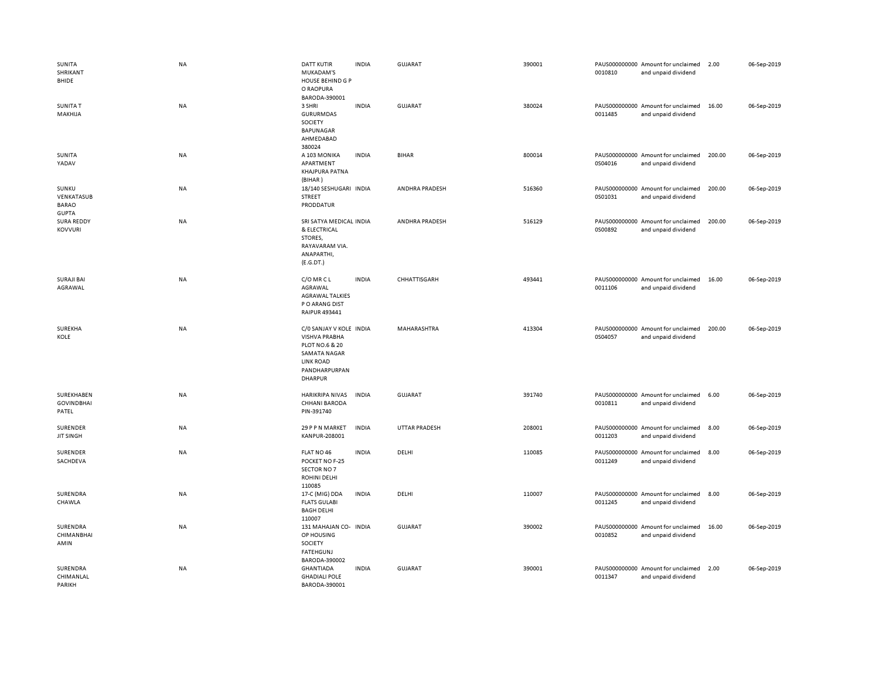| SUNITA<br>SHRIKANT<br>BHIDE                         | NA        | <b>DATT KUTIR</b><br>MUKADAM'S<br><b>HOUSE BEHIND G P</b><br>O RAOPURA<br>BARODA-390001                                                  | <b>INDIA</b> | GUJARAT               | 390001 | 0010810 | PAUS000000000 Amount for unclaimed<br>and unpaid dividend | 2.00   | 06-Sep-2019 |
|-----------------------------------------------------|-----------|------------------------------------------------------------------------------------------------------------------------------------------|--------------|-----------------------|--------|---------|-----------------------------------------------------------|--------|-------------|
| <b>SUNITA T</b><br>MAKHIJA                          | NA        | 3 SHRI<br><b>GURURMDAS</b><br>SOCIETY<br>BAPUNAGAR<br>AHMEDABAD<br>380024                                                                | <b>INDIA</b> | <b>GUJARAT</b>        | 380024 | 0011485 | PAUS000000000 Amount for unclaimed<br>and unpaid dividend | 16.00  | 06-Sep-2019 |
| SUNITA<br>YADAV                                     | NA        | A 103 MONIKA<br>APARTMENT<br><b>KHAJPURA PATNA</b><br>(BIHAR)                                                                            | <b>INDIA</b> | <b>BIHAR</b>          | 800014 | 0S04016 | PAUS000000000 Amount for unclaimed<br>and unpaid dividend | 200.00 | 06-Sep-2019 |
| SUNKU<br>VENKATASUB<br><b>BARAO</b><br><b>GUPTA</b> | NA        | 18/140 SESHUGARI INDIA<br><b>STREET</b><br>PRODDATUR                                                                                     |              | ANDHRA PRADESH        | 516360 | 0S01031 | PAUS000000000 Amount for unclaimed<br>and unpaid dividend | 200.00 | 06-Sep-2019 |
| SURA REDDY<br><b>KOVVURI</b>                        | <b>NA</b> | SRI SATYA MEDICAL INDIA<br>& ELECTRICAL<br>STORES,<br>RAYAVARAM VIA.<br>ANAPARTHI,<br>(E.G.DT.)                                          |              | <b>ANDHRA PRADESH</b> | 516129 | 0S00892 | PAUS000000000 Amount for unclaimed<br>and unpaid dividend | 200.00 | 06-Sep-2019 |
| <b>SURAJI BAI</b><br>AGRAWAL                        | <b>NA</b> | C/O MR C L<br>AGRAWAL<br><b>AGRAWAL TALKIES</b><br>P O ARANG DIST<br><b>RAIPUR 493441</b>                                                | <b>INDIA</b> | CHHATTISGARH          | 493441 | 0011106 | PAUS000000000 Amount for unclaimed<br>and unpaid dividend | 16.00  | 06-Sep-2019 |
| SUREKHA<br>KOLE                                     | NA        | C/O SANJAY V KOLE INDIA<br><b>VISHVA PRABHA</b><br>PLOT NO.6 & 20<br><b>SAMATA NAGAR</b><br><b>LINK ROAD</b><br>PANDHARPURPAN<br>DHARPUR |              | MAHARASHTRA           | 413304 | 0S04057 | PAUS000000000 Amount for unclaimed<br>and unpaid dividend | 200.00 | 06-Sep-2019 |
| SUREKHABEN<br><b>GOVINDBHAI</b><br>PATEL            | NA        | <b>HARIKRIPA NIVAS</b><br><b>CHHANI BARODA</b><br>PIN-391740                                                                             | <b>INDIA</b> | <b>GUJARAT</b>        | 391740 | 0010811 | PAUS000000000 Amount for unclaimed<br>and unpaid dividend | 6.00   | 06-Sep-2019 |
| SURENDER<br><b>JIT SINGH</b>                        | NA        | 29 P P N MARKET<br>KANPUR-208001                                                                                                         | <b>INDIA</b> | <b>UTTAR PRADESH</b>  | 208001 | 0011203 | PAUS000000000 Amount for unclaimed<br>and unpaid dividend | 8.00   | 06-Sep-2019 |
| SURENDER<br>SACHDEVA                                | NA        | FLAT NO 46<br>POCKET NO F-25<br>SECTOR NO 7<br>ROHINI DELHI<br>110085                                                                    | <b>INDIA</b> | DELHI                 | 110085 | 0011249 | PAUS000000000 Amount for unclaimed<br>and unpaid dividend | 8.00   | 06-Sep-2019 |
| SURENDRA<br>CHAWLA                                  | <b>NA</b> | 17-C (MIG) DDA<br><b>FLATS GULABI</b><br><b>BAGH DELHI</b><br>110007                                                                     | <b>INDIA</b> | DELHI                 | 110007 | 0011245 | PAUS000000000 Amount for unclaimed<br>and unpaid dividend | 8.00   | 06-Sep-2019 |
| SURENDRA<br><b>CHIMANBHAI</b><br>AMIN               | NA        | 131 MAHAJAN CO- INDIA<br>OP HOUSING<br>SOCIETY<br><b>FATEHGUNJ</b><br>BARODA-390002                                                      |              | <b>GUJARAT</b>        | 390002 | 0010852 | PAUS000000000 Amount for unclaimed<br>and unpaid dividend | 16.00  | 06-Sep-2019 |
| SURENDRA<br>CHIMANLAL<br>PARIKH                     | <b>NA</b> | <b>GHANTIADA</b><br><b>GHADIALI POLE</b><br>BARODA-390001                                                                                | <b>INDIA</b> | <b>GUJARAT</b>        | 390001 | 0011347 | PAUS000000000 Amount for unclaimed<br>and unpaid dividend | 2.00   | 06-Sep-2019 |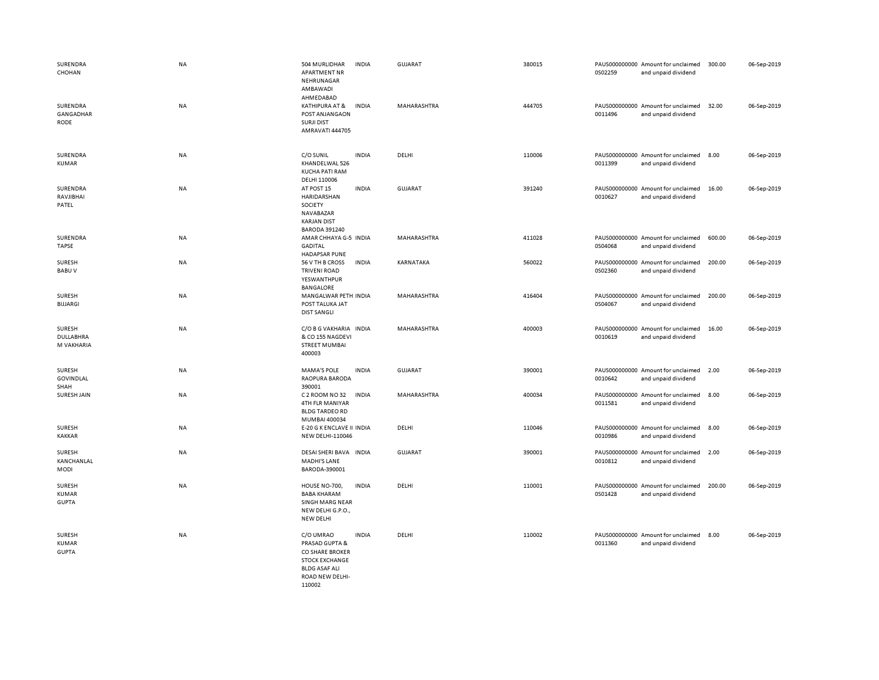| SURENDRA<br>CHOHAN                            | NA        | 504 MURLIDHAR<br><b>APARTMENT NR</b><br>NEHRUNAGAR<br>AMBAWADI                                                               | <b>INDIA</b> | <b>GUJARAT</b>     | 380015 | 0S02259 | PAUS000000000 Amount for unclaimed<br>and unpaid dividend | 300.00 | 06-Sep-2019 |
|-----------------------------------------------|-----------|------------------------------------------------------------------------------------------------------------------------------|--------------|--------------------|--------|---------|-----------------------------------------------------------|--------|-------------|
| SURENDRA<br>GANGADHAR<br><b>RODE</b>          | <b>NA</b> | AHMEDABAD<br>KATHIPURA AT &<br>POST ANJANGAON<br><b>SURJI DIST</b><br>AMRAVATI 444705                                        | <b>INDIA</b> | MAHARASHTRA        | 444705 | 0011496 | PAUS000000000 Amount for unclaimed<br>and unpaid dividend | 32.00  | 06-Sep-2019 |
| SURENDRA<br><b>KUMAR</b>                      | <b>NA</b> | C/O SUNIL<br>KHANDELWAL 526<br><b>KUCHA PATI RAM</b><br>DELHI 110006                                                         | <b>INDIA</b> | DELHI              | 110006 | 0011399 | PAUS000000000 Amount for unclaimed<br>and unpaid dividend | 8.00   | 06-Sep-2019 |
| SURENDRA<br>RAVJIBHAI<br>PATEL                | <b>NA</b> | AT POST 15<br>HARIDARSHAN<br>SOCIETY<br>NAVABAZAR<br><b>KARJAN DIST</b><br><b>BARODA 391240</b>                              | <b>INDIA</b> | <b>GUJARAT</b>     | 391240 | 0010627 | PAUS000000000 Amount for unclaimed<br>and unpaid dividend | 16.00  | 06-Sep-2019 |
| SURENDRA<br><b>TAPSE</b>                      | <b>NA</b> | AMAR CHHAYA G-5 INDIA<br><b>GADITAL</b><br><b>HADAPSAR PUNE</b>                                                              |              | <b>MAHARASHTRA</b> | 411028 | 0S04068 | PAUS000000000 Amount for unclaimed<br>and unpaid dividend | 600.00 | 06-Sep-2019 |
| SURESH<br><b>BABUV</b>                        | NA        | 56 V TH B CROSS<br><b>TRIVENI ROAD</b><br>YESWANTHPUR<br><b>BANGALORE</b>                                                    | <b>INDIA</b> | KARNATAKA          | 560022 | 0S02360 | PAUS000000000 Amount for unclaimed<br>and unpaid dividend | 200.00 | 06-Sep-2019 |
| <b>SURESH</b><br>BIJJARGI                     | NA        | MANGALWAR PETH INDIA<br>POST TALUKA JAT<br><b>DIST SANGLI</b>                                                                |              | MAHARASHTRA        | 416404 | 0S04067 | PAUS000000000 Amount for unclaimed<br>and unpaid dividend | 200.00 | 06-Sep-2019 |
| <b>SURESH</b><br>DULLABHRA<br>M VAKHARIA      | NA        | C/O B G VAKHARIA INDIA<br>& CO 155 NAGDEVI<br><b>STREET MUMBAI</b><br>400003                                                 |              | MAHARASHTRA        | 400003 | 0010619 | PAUS000000000 Amount for unclaimed<br>and unpaid dividend | 16.00  | 06-Sep-2019 |
| SURESH<br><b>GOVINDLAL</b><br>SHAH            | NA        | <b>MAMA'S POLE</b><br>RAOPURA BARODA<br>390001                                                                               | <b>INDIA</b> | <b>GUJARAT</b>     | 390001 | 0010642 | PAUS000000000 Amount for unclaimed<br>and unpaid dividend | 2.00   | 06-Sep-2019 |
| SURESH JAIN                                   | <b>NA</b> | C 2 ROOM NO 32<br>4TH FLR MANIYAR<br><b>BLDG TARDEO RD</b><br>MUMBAI 400034                                                  | <b>INDIA</b> | MAHARASHTRA        | 400034 | 0011581 | PAUS000000000 Amount for unclaimed<br>and unpaid dividend | 8.00   | 06-Sep-2019 |
| <b>SURESH</b><br>KAKKAR                       | NA        | E-20 G K ENCLAVE II INDIA<br>NEW DELHI-110046                                                                                |              | DELHI              | 110046 | 0010986 | PAUS000000000 Amount for unclaimed<br>and unpaid dividend | 8.00   | 06-Sep-2019 |
| SURESH<br>KANCHANLAL<br><b>MODI</b>           | NA        | DESAI SHERI BAVA INDIA<br>MADHI'S LANE<br>BARODA-390001                                                                      |              | <b>GUJARAT</b>     | 390001 | 0010812 | PAUS000000000 Amount for unclaimed<br>and unpaid dividend | 2.00   | 06-Sep-2019 |
| <b>SURESH</b><br><b>KUMAR</b><br><b>GUPTA</b> | <b>NA</b> | HOUSE NO-700,<br><b>BABA KHARAM</b><br><b>SINGH MARG NEAR</b><br>NEW DELHI G.P.O.,<br><b>NEW DELHI</b>                       | <b>INDIA</b> | DELHI              | 110001 | 0S01428 | PAUS000000000 Amount for unclaimed<br>and unpaid dividend | 200.00 | 06-Sep-2019 |
| <b>SURESH</b><br><b>KUMAR</b><br><b>GUPTA</b> | <b>NA</b> | C/O UMRAO<br>PRASAD GUPTA &<br>CO SHARE BROKER<br><b>STOCK EXCHANGE</b><br><b>BLDG ASAF ALI</b><br>ROAD NEW DELHI-<br>110002 | <b>INDIA</b> | DELHI              | 110002 | 0011360 | PAUS000000000 Amount for unclaimed<br>and unpaid dividend | 8.00   | 06-Sep-2019 |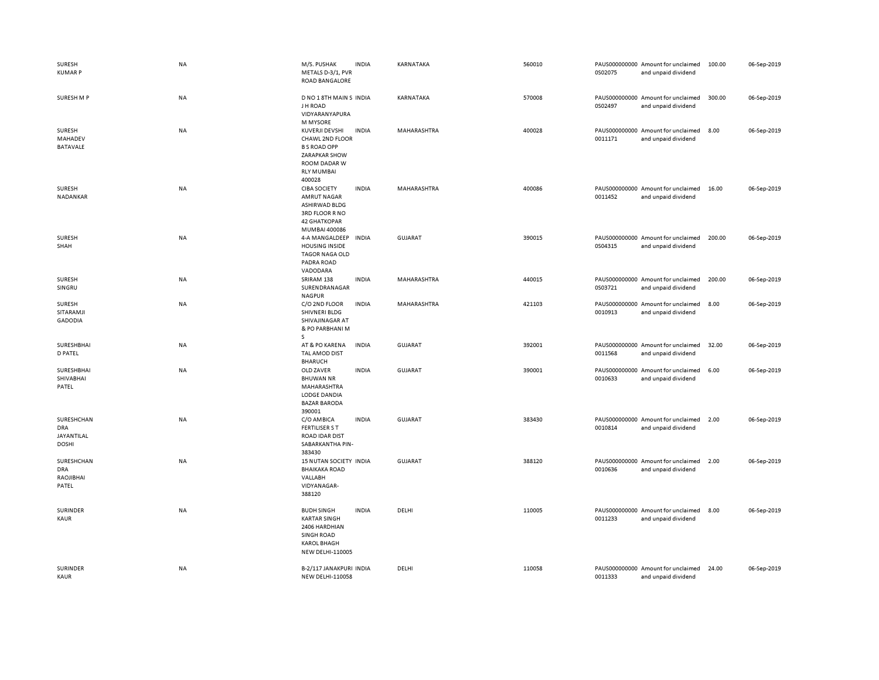| SURESH<br><b>KUMARP</b>                         | NA        | M/S. PUSHAK<br>METALS D-3/1, PVR<br>ROAD BANGALORE                                                                              | <b>INDIA</b> | KARNATAKA      | 560010 | 0S02075 | PAUS000000000 Amount for unclaimed<br>and unpaid dividend | 100.00 | 06-Sep-2019 |
|-------------------------------------------------|-----------|---------------------------------------------------------------------------------------------------------------------------------|--------------|----------------|--------|---------|-----------------------------------------------------------|--------|-------------|
| SURESH M P                                      | NA        | D NO 1 8TH MAIN S INDIA<br>J H ROAD<br>VIDYARANYAPURA<br><b>M MYSORE</b>                                                        |              | KARNATAKA      | 570008 | 0S02497 | PAUS000000000 Amount for unclaimed<br>and unpaid dividend | 300.00 | 06-Sep-2019 |
| SURESH<br>MAHADEV<br>BATAVALE                   | NA        | KUVERJI DEVSHI<br>CHAWL 2ND FLOOR<br><b>B S ROAD OPP</b><br>ZARAPKAR SHOW<br>ROOM DADAR W<br><b>RLY MUMBAI</b><br>400028        | <b>INDIA</b> | MAHARASHTRA    | 400028 | 0011171 | PAUS000000000 Amount for unclaimed<br>and unpaid dividend | 8.00   | 06-Sep-2019 |
| SURESH<br>NADANKAR                              | NA        | <b>CIBA SOCIETY</b><br><b>AMRUT NAGAR</b><br>ASHIRWAD BLDG<br>3RD FLOOR R NO<br><b>42 GHATKOPAR</b><br>MUMBAI 400086            | <b>INDIA</b> | MAHARASHTRA    | 400086 | 0011452 | PAUS000000000 Amount for unclaimed<br>and unpaid dividend | 16.00  | 06-Sep-2019 |
| SURESH<br>SHAH                                  | NA        | 4-A MANGALDEEP<br><b>HOUSING INSIDE</b><br><b>TAGOR NAGA OLD</b><br>PADRA ROAD<br>VADODARA                                      | <b>INDIA</b> | <b>GUJARAT</b> | 390015 | 0S04315 | PAUS000000000 Amount for unclaimed<br>and unpaid dividend | 200.00 | 06-Sep-2019 |
| <b>SURESH</b><br>SINGRU                         | NA        | SRIRAM 138<br>SURENDRANAGAR<br><b>NAGPUR</b>                                                                                    | <b>INDIA</b> | MAHARASHTRA    | 440015 | 0S03721 | PAUS000000000 Amount for unclaimed<br>and unpaid dividend | 200.00 | 06-Sep-2019 |
| SURESH<br>SITARAMJI<br><b>GADODIA</b>           | NA        | C/O 2ND FLOOR<br>SHIVNERI BLDG<br>SHIVAJINAGAR AT<br>& PO PARBHANI M<br>S                                                       | <b>INDIA</b> | MAHARASHTRA    | 421103 | 0010913 | PAUS000000000 Amount for unclaimed<br>and unpaid dividend | 8.00   | 06-Sep-2019 |
| SURESHBHAI<br><b>D PATEL</b>                    | NA        | AT & PO KARENA<br>TAL AMOD DIST<br><b>BHARUCH</b>                                                                               | INDIA        | <b>GUJARAT</b> | 392001 | 0011568 | PAUS000000000 Amount for unclaimed<br>and unpaid dividend | 32.00  | 06-Sep-2019 |
| SURESHBHAI<br>SHIVABHAI<br>PATEL                | NA        | OLD ZAVER<br><b>BHUWAN NR</b><br>MAHARASHTRA<br>LODGE DANDIA<br><b>BAZAR BARODA</b><br>390001                                   | <b>INDIA</b> | GUJARAT        | 390001 | 0010633 | PAUS000000000 Amount for unclaimed<br>and unpaid dividend | 6.00   | 06-Sep-2019 |
| SURESHCHAN<br>DRA<br>JAYANTILAL<br><b>DOSHI</b> | NA        | C/O AMBICA<br><b>FERTILISER S T</b><br><b>ROAD IDAR DIST</b><br>SABARKANTHA PIN-<br>383430                                      | <b>INDIA</b> | <b>GUJARAT</b> | 383430 | 0010814 | PAUS000000000 Amount for unclaimed<br>and unpaid dividend | 2.00   | 06-Sep-2019 |
| SURESHCHAN<br><b>DRA</b><br>RAOJIBHAI<br>PATEL  | <b>NA</b> | 15 NUTAN SOCIETY INDIA<br><b>BHAIKAKA ROAD</b><br>VALLABH<br>VIDYANAGAR-<br>388120                                              |              | GUJARAT        | 388120 | 0010636 | PAUS000000000 Amount for unclaimed<br>and unpaid dividend | 2.00   | 06-Sep-2019 |
| SURINDER<br><b>KAUR</b>                         | NA        | <b>BUDH SINGH</b><br><b>KARTAR SINGH</b><br>2406 HARDHIAN<br><b>SINGH ROAD</b><br><b>KAROL BHAGH</b><br><b>NEW DELHI-110005</b> | <b>INDIA</b> | DELHI          | 110005 | 0011233 | PAUS000000000 Amount for unclaimed<br>and unpaid dividend | 8.00   | 06-Sep-2019 |
| SURINDER<br>KAUR                                | <b>NA</b> | B-2/117 JANAKPURI INDIA<br><b>NEW DELHI-110058</b>                                                                              |              | DELHI          | 110058 | 0011333 | PAUS000000000 Amount for unclaimed<br>and unpaid dividend | 24.00  | 06-Sep-2019 |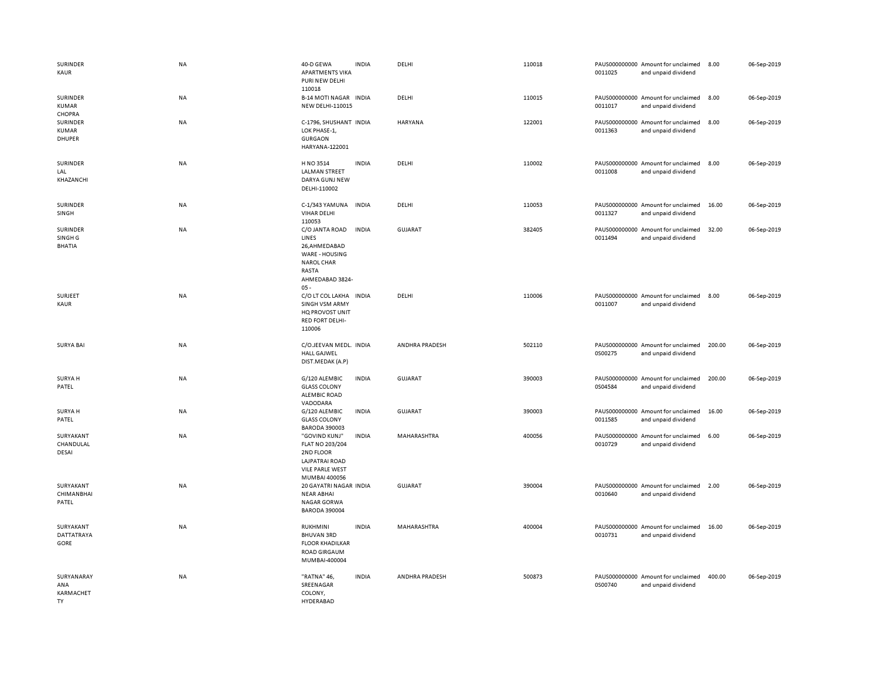| SURINDER<br>KAUR                                | NA        | 40-D GEWA<br><b>APARTMENTS VIKA</b><br>PURI NEW DELHI<br>110018                                                      | <b>INDIA</b> | DELHI          | 110018 | 0011025 | PAUS000000000 Amount for unclaimed<br>and unpaid dividend | 8.00   | 06-Sep-2019 |
|-------------------------------------------------|-----------|----------------------------------------------------------------------------------------------------------------------|--------------|----------------|--------|---------|-----------------------------------------------------------|--------|-------------|
| SURINDER<br><b>KUMAR</b><br>CHOPRA              | NA        | <b>B-14 MOTI NAGAR INDIA</b><br>NEW DELHI-110015                                                                     |              | DELHI          | 110015 | 0011017 | PAUS000000000 Amount for unclaimed<br>and unpaid dividend | 8.00   | 06-Sep-2019 |
| SURINDER<br><b>KUMAR</b><br>DHUPER              | NA        | C-1796, SHUSHANT INDIA<br>LOK PHASE-1,<br><b>GURGAON</b><br>HARYANA-122001                                           |              | <b>HARYANA</b> | 122001 | 0011363 | PAUS000000000 Amount for unclaimed<br>and unpaid dividend | 8.00   | 06-Sep-2019 |
| SURINDER<br>LAL<br>KHAZANCHI                    | NA        | H NO 3514<br><b>LALMAN STREET</b><br>DARYA GUNJ NEW<br>DELHI-110002                                                  | <b>INDIA</b> | DELHI          | 110002 | 0011008 | PAUS000000000 Amount for unclaimed<br>and unpaid dividend | 8.00   | 06-Sep-2019 |
| SURINDER<br>SINGH                               | NA        | C-1/343 YAMUNA<br><b>VIHAR DELHI</b><br>110053                                                                       | <b>INDIA</b> | DELHI          | 110053 | 0011327 | PAUS000000000 Amount for unclaimed<br>and unpaid dividend | 16.00  | 06-Sep-2019 |
| SURINDER<br>SINGH <sub>G</sub><br><b>BHATIA</b> | NA        | C/O JANTA ROAD<br>LINES<br>26.AHMEDABAD<br>WARE - HOUSING<br><b>NAROL CHAR</b><br>RASTA<br>AHMEDABAD 3824-<br>$05 -$ | <b>INDIA</b> | <b>GUJARAT</b> | 382405 | 0011494 | PAUS000000000 Amount for unclaimed<br>and unpaid dividend | 32.00  | 06-Sep-2019 |
| SURJEET<br>KAUR                                 | <b>NA</b> | C/O LT COL LAKHA INDIA<br><b>SINGH VSM ARMY</b><br>HQ PROVOST UNIT<br><b>RED FORT DELHI-</b><br>110006               |              | DELHI          | 110006 | 0011007 | PAUS000000000 Amount for unclaimed<br>and unpaid dividend | 8.00   | 06-Sep-2019 |
| <b>SURYA BAI</b>                                | <b>NA</b> | C/O.JEEVAN MEDL. INDIA<br><b>HALL GAJWEL</b><br>DIST.MEDAK (A.P)                                                     |              | ANDHRA PRADESH | 502110 | 0S00275 | PAUS000000000 Amount for unclaimed<br>and unpaid dividend | 200.00 | 06-Sep-2019 |
| SURYA H<br>PATEL                                | <b>NA</b> | G/120 ALEMBIC<br><b>GLASS COLONY</b><br><b>ALEMBIC ROAD</b><br>VADODARA                                              | <b>INDIA</b> | <b>GUJARAT</b> | 390003 | 0S04584 | PAUS000000000 Amount for unclaimed<br>and unpaid dividend | 200.00 | 06-Sep-2019 |
| SURYA H<br>PATEL                                | <b>NA</b> | G/120 ALEMBIC<br><b>GLASS COLONY</b><br><b>BARODA 390003</b>                                                         | <b>INDIA</b> | GUJARAT        | 390003 | 0011585 | PAUS000000000 Amount for unclaimed<br>and unpaid dividend | 16.00  | 06-Sep-2019 |
| SURYAKANT<br>CHANDULAL<br>DESAI                 | NA        | "GOVIND KUNJ"<br><b>FLAT NO 203/204</b><br>2ND FLOOR<br>LAJPATRAI ROAD<br><b>VILE PARLE WEST</b><br>MUMBAI 400056    | <b>INDIA</b> | MAHARASHTRA    | 400056 | 0010729 | PAUS000000000 Amount for unclaimed<br>and unpaid dividend | 6.00   | 06-Sep-2019 |
| SURYAKANT<br>CHIMANBHAI<br>PATEL                | NA        | 20 GAYATRI NAGAR INDIA<br><b>NEAR ABHAI</b><br><b>NAGAR GORWA</b><br><b>BARODA 390004</b>                            |              | <b>GUJARAT</b> | 390004 | 0010640 | PAUS000000000 Amount for unclaimed<br>and unpaid dividend | 2.00   | 06-Sep-2019 |
| SURYAKANT<br>DATTATRAYA<br>GORE                 | NA        | RUKHMINI<br><b>BHUVAN 3RD</b><br><b>FLOOR KHADILKAR</b><br><b>ROAD GIRGAUM</b><br>MUMBAI-400004                      | <b>INDIA</b> | MAHARASHTRA    | 400004 | 0010731 | PAUS000000000 Amount for unclaimed<br>and unpaid dividend | 16.00  | 06-Sep-2019 |
| SURYANARAY<br>ANA<br>KARMACHET<br><b>TY</b>     | <b>NA</b> | "RATNA" 46,<br>SREENAGAR<br>COLONY,<br>HYDERABAD                                                                     | <b>INDIA</b> | ANDHRA PRADESH | 500873 | 0S00740 | PAUS000000000 Amount for unclaimed<br>and unpaid dividend | 400.00 | 06-Sep-2019 |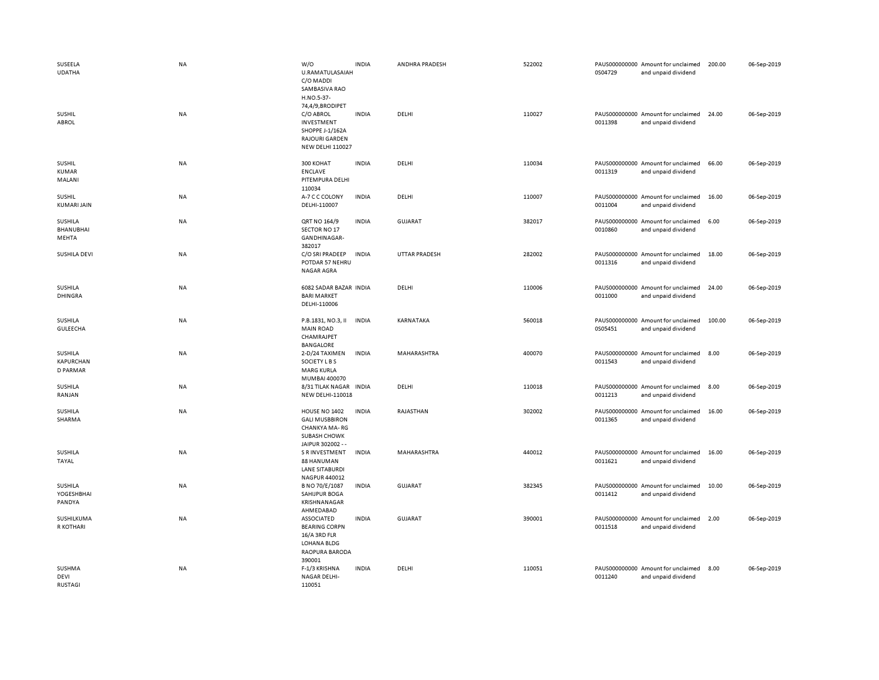| SUSEELA<br><b>UDATHA</b>                | NA        | W/O<br>U.RAMATULASAIAH<br>C/O MADDI<br>SAMBASIVA RAO<br>H.NO.5-37-                                         | <b>INDIA</b> | ANDHRA PRADESH       | 522002 | 0S04729 | PAUS000000000 Amount for unclaimed<br>and unpaid dividend | 200.00 | 06-Sep-2019 |
|-----------------------------------------|-----------|------------------------------------------------------------------------------------------------------------|--------------|----------------------|--------|---------|-----------------------------------------------------------|--------|-------------|
| <b>SUSHIL</b><br>ABROL                  | NA        | 74,4/9,BRODIPET<br>C/O ABROL<br>INVESTMENT<br>SHOPPE J-1/162A<br>RAJOURI GARDEN<br><b>NEW DELHI 110027</b> | <b>INDIA</b> | DELHI                | 110027 | 0011398 | PAUS000000000 Amount for unclaimed<br>and unpaid dividend | 24.00  | 06-Sep-2019 |
| <b>SUSHIL</b><br><b>KUMAR</b><br>MALANI | <b>NA</b> | 300 KOHAT<br><b>ENCLAVE</b><br>PITEMPURA DELHI<br>110034                                                   | <b>INDIA</b> | DELHI                | 110034 | 0011319 | PAUS000000000 Amount for unclaimed<br>and unpaid dividend | 66.00  | 06-Sep-2019 |
| SUSHIL<br><b>KUMARI JAIN</b>            | NA        | A-7 C C COLONY<br>DELHI-110007                                                                             | <b>INDIA</b> | DELHI                | 110007 | 0011004 | PAUS000000000 Amount for unclaimed<br>and unpaid dividend | 16.00  | 06-Sep-2019 |
| SUSHILA<br><b>BHANUBHAI</b><br>MEHTA    | NA        | QRT NO 164/9<br>SECTOR NO 17<br>GANDHINAGAR-<br>382017                                                     | <b>INDIA</b> | <b>GUJARAT</b>       | 382017 | 0010860 | PAUS000000000 Amount for unclaimed<br>and unpaid dividend | 6.00   | 06-Sep-2019 |
| SUSHILA DEVI                            | <b>NA</b> | C/O SRI PRADEEP<br>POTDAR 57 NEHRU<br><b>NAGAR AGRA</b>                                                    | <b>INDIA</b> | <b>UTTAR PRADESH</b> | 282002 | 0011316 | PAUS000000000 Amount for unclaimed<br>and unpaid dividend | 18.00  | 06-Sep-2019 |
| SUSHILA<br><b>DHINGRA</b>               | <b>NA</b> | 6082 SADAR BAZAR INDIA<br><b>BARI MARKET</b><br>DELHI-110006                                               |              | DELHI                | 110006 | 0011000 | PAUS000000000 Amount for unclaimed<br>and unpaid dividend | 24.00  | 06-Sep-2019 |
| SUSHILA<br><b>GULEECHA</b>              | NA        | P.B.1831, NO.3, II<br><b>MAIN ROAD</b><br>CHAMRAJPET<br><b>BANGALORE</b>                                   | <b>INDIA</b> | KARNATAKA            | 560018 | 0S05451 | PAUS000000000 Amount for unclaimed<br>and unpaid dividend | 100.00 | 06-Sep-2019 |
| SUSHILA<br><b>KAPURCHAN</b><br>D PARMAR | <b>NA</b> | 2-D/24 TAXIMEN<br>SOCIETY L B S<br><b>MARG KURLA</b><br>MUMBAI 400070                                      | <b>INDIA</b> | MAHARASHTRA          | 400070 | 0011543 | PAUS000000000 Amount for unclaimed<br>and unpaid dividend | 8.00   | 06-Sep-2019 |
| SUSHILA<br>RANJAN                       | NA        | 8/31 TILAK NAGAR INDIA<br><b>NEW DELHI-110018</b>                                                          |              | DELHI                | 110018 | 0011213 | PAUS000000000 Amount for unclaimed<br>and unpaid dividend | 8.00   | 06-Sep-2019 |
| SUSHILA<br>SHARMA                       | NA        | HOUSE NO 1402<br><b>GALI MUSBBIRON</b><br>CHANKYA MA-RG<br><b>SUBASH CHOWK</b><br>JAIPUR 302002 --         | <b>INDIA</b> | RAJASTHAN            | 302002 | 0011365 | PAUS000000000 Amount for unclaimed<br>and unpaid dividend | 16.00  | 06-Sep-2019 |
| <b>SUSHILA</b><br>TAYAL                 | NA        | <b>S R INVESTMENT</b><br>88 HANUMAN<br><b>LANE SITABURDI</b><br>NAGPUR 440012                              | <b>INDIA</b> | MAHARASHTRA          | 440012 | 0011621 | PAUS000000000 Amount for unclaimed<br>and unpaid dividend | 16.00  | 06-Sep-2019 |
| SUSHILA<br>YOGESHBHAI<br>PANDYA         | <b>NA</b> | B NO 70/E/1087<br>SAHIJPUR BOGA<br>KRISHNANAGAR<br>AHMEDABAD                                               | <b>INDIA</b> | GUJARAT              | 382345 | 0011412 | PAUS000000000 Amount for unclaimed<br>and unpaid dividend | 10.00  | 06-Sep-2019 |
| SUSHILKUMA<br>R KOTHARI                 | <b>NA</b> | <b>ASSOCIATED</b><br><b>BEARING CORPN</b><br>16/A 3RD FLR<br>LOHANA BLDG<br>RAOPURA BARODA<br>390001       | <b>INDIA</b> | <b>GUJARAT</b>       | 390001 | 0011518 | PAUS000000000 Amount for unclaimed<br>and unpaid dividend | 2.00   | 06-Sep-2019 |
| <b>SUSHMA</b><br>DEVI<br><b>RUSTAGI</b> | <b>NA</b> | F-1/3 KRISHNA<br><b>NAGAR DELHI-</b><br>110051                                                             | <b>INDIA</b> | DELHI                | 110051 | 0011240 | PAUS000000000 Amount for unclaimed<br>and unpaid dividend | 8.00   | 06-Sep-2019 |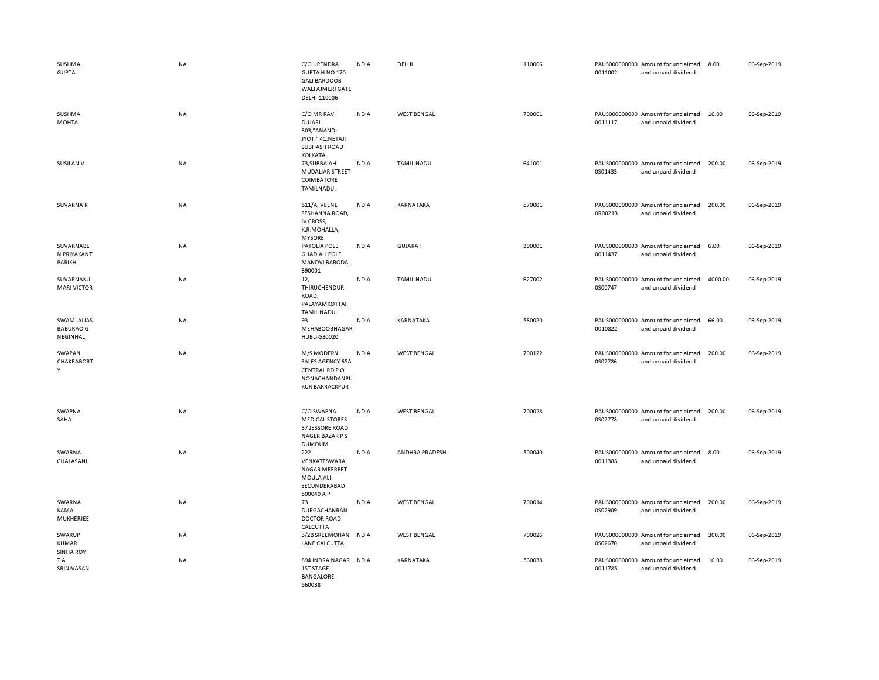| SUSHMA<br><b>GUPTA</b>                             | NA        | C/O UPENDRA<br>GUPTA H NO 170<br><b>GALI BARDOOB</b><br>WALI AJMERI GATE<br>DELHI-110006           | <b>INDIA</b> | DELHI              | 110006 | 0011002 | PAUS000000000 Amount for unclaimed<br>and unpaid dividend | 8.00    | 06-Sep-2019 |
|----------------------------------------------------|-----------|----------------------------------------------------------------------------------------------------|--------------|--------------------|--------|---------|-----------------------------------------------------------|---------|-------------|
| SUSHMA<br><b>MOHTA</b>                             | NA        | C/O MR RAVI<br><b>DUJARI</b><br>303,"ANAND-<br>JYOTI" 41, NETAJI<br><b>SUBHASH ROAD</b><br>KOLKATA | <b>INDIA</b> | <b>WEST BENGAL</b> | 700001 | 0011117 | PAUS000000000 Amount for unclaimed<br>and unpaid dividend | 16.00   | 06-Sep-2019 |
| <b>SUSILAN V</b>                                   | <b>NA</b> | 73, SUBBAIAH<br>MUDALIAR STREET<br>COIMBATORE<br>TAMILNADU.                                        | <b>INDIA</b> | <b>TAMIL NADU</b>  | 641001 | 0S01433 | PAUS000000000 Amount for unclaimed<br>and unpaid dividend | 200.00  | 06-Sep-2019 |
| SUVARNA R                                          | <b>NA</b> | 511/A, VEENE<br>SESHANNA ROAD,<br>IV CROSS,<br>K.R.MOHALLA,<br><b>MYSORE</b>                       | <b>INDIA</b> | KARNATAKA          | 570001 | 0R00213 | PAUS000000000 Amount for unclaimed<br>and unpaid dividend | 200.00  | 06-Sep-2019 |
| SUVARNABE<br>N PRIYAKANT<br>PARIKH                 | NA        | PATOLIA POLE<br><b>GHADIALI POLE</b><br><b>MANDVI BARODA</b><br>390001                             | <b>INDIA</b> | <b>GUJARAT</b>     | 390001 | 0011437 | PAUS000000000 Amount for unclaimed<br>and unpaid dividend | 6.00    | 06-Sep-2019 |
| SUVARNAKU<br><b>MARI VICTOR</b>                    | <b>NA</b> | 12,<br>THIRUCHENDUR<br>ROAD,<br>PALAYAMKOTTAI,<br>TAMIL NADU.                                      | <b>INDIA</b> | <b>TAMIL NADU</b>  | 627002 | 0S00747 | PAUS000000000 Amount for unclaimed<br>and unpaid dividend | 4000.00 | 06-Sep-2019 |
| <b>SWAMI ALIAS</b><br><b>BABURAO G</b><br>NEGINHAL | NA        | 93<br>MEHABOOBNAGAR<br>HUBLI-580020                                                                | <b>INDIA</b> | KARNATAKA          | 580020 | 0010822 | PAUS000000000 Amount for unclaimed<br>and unpaid dividend | 66.00   | 06-Sep-2019 |
| SWAPAN<br>CHAKRABORT<br>Y                          | NA        | M/S MODERN<br>SALES AGENCY 65A<br>CENTRAL RD PO<br>NONACHANDANPU<br><b>KUR BARRACKPUR</b>          | <b>INDIA</b> | <b>WEST BENGAL</b> | 700122 | 0S02786 | PAUS000000000 Amount for unclaimed<br>and unpaid dividend | 200.00  | 06-Sep-2019 |
| SWAPNA<br>SAHA                                     | NA        | C/O SWAPNA<br><b>MEDICAL STORES</b><br>37 JESSORE ROAD<br>NAGER BAZAR P S<br><b>DUMDUM</b>         | <b>INDIA</b> | <b>WEST BENGAL</b> | 700028 | 0S02778 | PAUS000000000 Amount for unclaimed<br>and unpaid dividend | 200.00  | 06-Sep-2019 |
| SWARNA<br>CHALASANI                                | <b>NA</b> | 222<br>VENKATESWARA<br>NAGAR MEERPET<br>MOULA ALI<br>SECUNDERABAD<br>500040 A P                    | <b>INDIA</b> | ANDHRA PRADESH     | 500040 | 0011388 | PAUS000000000 Amount for unclaimed<br>and unpaid dividend | 8.00    | 06-Sep-2019 |
| SWARNA<br>KAMAL<br>MUKHERJEE                       | NA        | 73<br>DURGACHANRAN<br><b>DOCTOR ROAD</b><br>CALCUTTA                                               | <b>INDIA</b> | <b>WEST BENGAL</b> | 700014 | 0S02909 | PAUS000000000 Amount for unclaimed<br>and unpaid dividend | 200.00  | 06-Sep-2019 |
| SWARUP<br><b>KUMAR</b><br><b>SINHA ROY</b>         | NA        | 3/2B SREEMOHAN INDIA<br>LANE CALCUTTA                                                              |              | <b>WEST BENGAL</b> | 700026 | 0S02670 | PAUS000000000 Amount for unclaimed<br>and unpaid dividend | 300.00  | 06-Sep-2019 |
| T A<br>SRINIVASAN                                  | NA        | 894 INDRA NAGAR INDIA<br>1ST STAGE<br><b>BANGALORE</b><br>560038                                   |              | KARNATAKA          | 560038 | 0011785 | PAUS000000000 Amount for unclaimed<br>and unpaid dividend | 16.00   | 06-Sep-2019 |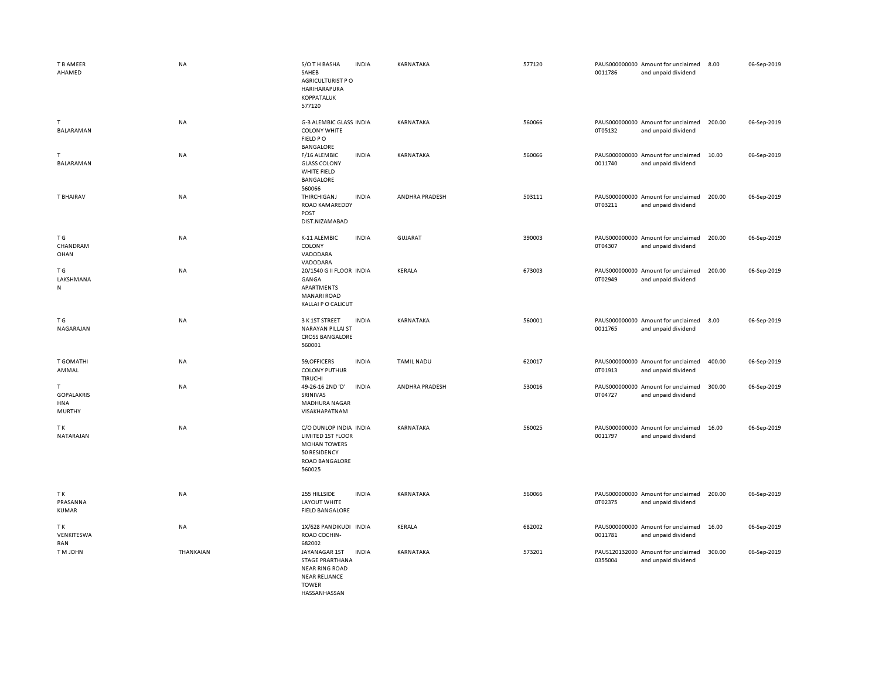| T B AMEER<br>AHAMED                      | <b>NA</b> | S/O T H BASHA<br>SAHEB<br>AGRICULTURIST P O<br>HARIHARAPURA<br>KOPPATALUK<br>577120                                      | <b>INDIA</b> | KARNATAKA         | 577120 | 0011786 | PAUS000000000 Amount for unclaimed<br>and unpaid dividend | 8.00   | 06-Sep-2019 |
|------------------------------------------|-----------|--------------------------------------------------------------------------------------------------------------------------|--------------|-------------------|--------|---------|-----------------------------------------------------------|--------|-------------|
| T.<br>BALARAMAN                          | NA        | G-3 ALEMBIC GLASS INDIA<br><b>COLONY WHITE</b><br>FIELD PO<br>BANGALORE                                                  |              | KARNATAKA         | 560066 | 0T05132 | PAUS000000000 Amount for unclaimed<br>and unpaid dividend | 200.00 | 06-Sep-2019 |
| т<br>BALARAMAN                           | NA        | F/16 ALEMBIC<br><b>GLASS COLONY</b><br>WHITE FIELD<br>BANGALORE<br>560066                                                | <b>INDIA</b> | KARNATAKA         | 560066 | 0011740 | PAUS000000000 Amount for unclaimed<br>and unpaid dividend | 10.00  | 06-Sep-2019 |
| T BHAIRAV                                | NA        | THIRCHIGANJ<br>ROAD KAMAREDDY<br>POST<br>DIST.NIZAMABAD                                                                  | <b>INDIA</b> | ANDHRA PRADESH    | 503111 | 0T03211 | PAUS000000000 Amount for unclaimed<br>and unpaid dividend | 200.00 | 06-Sep-2019 |
| T G<br>CHANDRAM<br>OHAN                  | NA        | K-11 ALEMBIC<br>COLONY<br>VADODARA<br>VADODARA                                                                           | <b>INDIA</b> | GUJARAT           | 390003 | 0T04307 | PAUS000000000 Amount for unclaimed<br>and unpaid dividend | 200.00 | 06-Sep-2019 |
| ΤG<br>LAKSHMANA<br>N                     | <b>NA</b> | 20/1540 G II FLOOR INDIA<br>GANGA<br>APARTMENTS<br><b>MANARI ROAD</b><br>KALLAI P O CALICUT                              |              | <b>KERALA</b>     | 673003 | 0T02949 | PAUS000000000 Amount for unclaimed<br>and unpaid dividend | 200.00 | 06-Sep-2019 |
| ΤG<br>NAGARAJAN                          | NA        | 3 K 1ST STREET<br><b>NARAYAN PILLAI ST</b><br><b>CROSS BANGALORE</b><br>560001                                           | <b>INDIA</b> | KARNATAKA         | 560001 | 0011765 | PAUS000000000 Amount for unclaimed<br>and unpaid dividend | 8.00   | 06-Sep-2019 |
| T GOMATHI<br>AMMAL                       | NA        | 59, OFFICERS<br><b>COLONY PUTHUR</b><br>TIRUCHI                                                                          | <b>INDIA</b> | <b>TAMIL NADU</b> | 620017 | 0T01913 | PAUS000000000 Amount for unclaimed<br>and unpaid dividend | 400.00 | 06-Sep-2019 |
| T.<br><b>GOPALAKRIS</b><br>HNA<br>MURTHY | NA        | 49-26-16 2ND 'D'<br>SRINIVAS<br>MADHURA NAGAR<br>VISAKHAPATNAM                                                           | <b>INDIA</b> | ANDHRA PRADESH    | 530016 | 0T04727 | PAUS000000000 Amount for unclaimed<br>and unpaid dividend | 300.00 | 06-Sep-2019 |
| ТK<br>NATARAJAN                          | NA        | C/O DUNLOP INDIA INDIA<br>LIMITED 1ST FLOOR<br><b>MOHAN TOWERS</b><br>50 RESIDENCY<br>ROAD BANGALORE<br>560025           |              | KARNATAKA         | 560025 | 0011797 | PAUS000000000 Amount for unclaimed<br>and unpaid dividend | 16.00  | 06-Sep-2019 |
| ΤK<br>PRASANNA<br><b>KUMAR</b>           | NA        | 255 HILLSIDE<br>LAYOUT WHITE<br><b>FIELD BANGALORE</b>                                                                   | <b>INDIA</b> | KARNATAKA         | 560066 | 0T02375 | PAUS000000000 Amount for unclaimed<br>and unpaid dividend | 200.00 | 06-Sep-2019 |
| TK<br>VENKITESWA<br>RAN                  | NA        | 1X/628 PANDIKUDI INDIA<br>ROAD COCHIN-<br>682002                                                                         |              | KERALA            | 682002 | 0011781 | PAUS000000000 Amount for unclaimed<br>and unpaid dividend | 16.00  | 06-Sep-2019 |
| <b>TM JOHN</b>                           | THANKAIAN | JAYANAGAR 1ST<br><b>STAGE PRARTHANA</b><br><b>NEAR RING ROAD</b><br><b>NEAR RELIANCE</b><br><b>TOWER</b><br>HASSANHASSAN | INDIA        | KARNATAKA         | 573201 | 0355004 | PAUS120132000 Amount for unclaimed<br>and unpaid dividend | 300.00 | 06-Sep-2019 |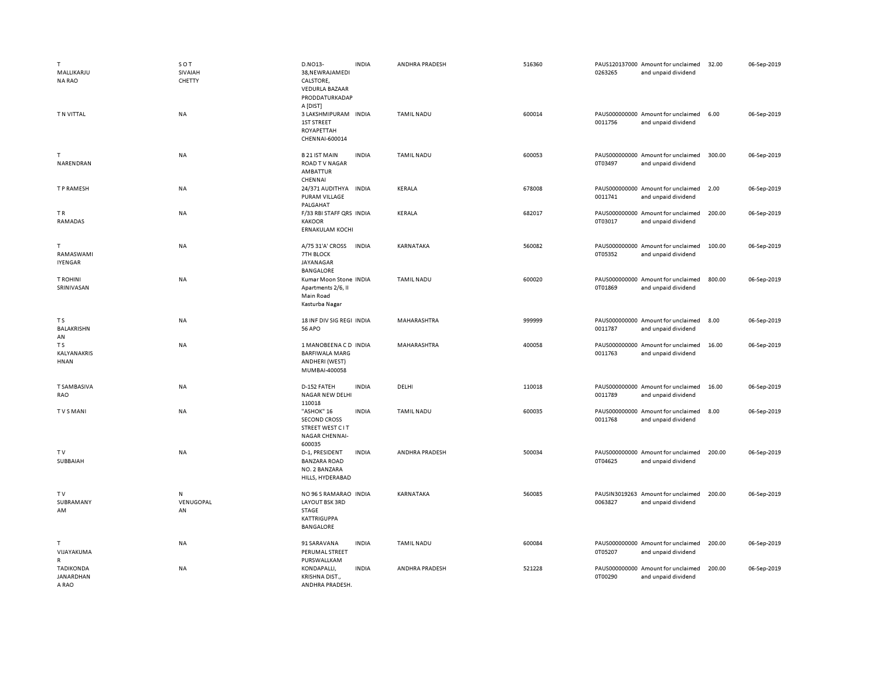| T.<br>MALLIKARJU<br><b>NA RAO</b>      | SOT<br>SIVAIAH<br>CHETTY | D.NO13-<br>38, NEWRAJAMEDI<br>CALSTORE,<br><b>VEDURLA BAZAAR</b><br>PRODDATURKADAP         | <b>INDIA</b> | ANDHRA PRADESH    | 516360 | 0263265                  | PAUS120137000 Amount for unclaimed<br>and unpaid dividend | 32.00  | 06-Sep-2019 |
|----------------------------------------|--------------------------|--------------------------------------------------------------------------------------------|--------------|-------------------|--------|--------------------------|-----------------------------------------------------------|--------|-------------|
| T N VITTAL                             | <b>NA</b>                | A [DIST]<br>3 LAKSHMIPURAM INDIA<br><b>1ST STREET</b><br>ROYAPETTAH<br>CHENNAI-600014      |              | <b>TAMIL NADU</b> | 600014 | 0011756                  | PAUS000000000 Amount for unclaimed<br>and unpaid dividend | 6.00   | 06-Sep-2019 |
| T<br>NARENDRAN                         | <b>NA</b>                | <b>B21 IST MAIN</b><br><b>ROAD TV NAGAR</b><br><b>AMBATTUR</b><br>CHENNAI                  | <b>INDIA</b> | <b>TAMIL NADU</b> | 600053 | 0T03497                  | PAUS000000000 Amount for unclaimed<br>and unpaid dividend | 300.00 | 06-Sep-2019 |
| T P RAMESH                             | <b>NA</b>                | 24/371 AUDITHYA INDIA<br><b>PURAM VILLAGE</b><br>PALGAHAT                                  |              | KERALA            | 678008 | 0011741                  | PAUS000000000 Amount for unclaimed<br>and unpaid dividend | 2.00   | 06-Sep-2019 |
| TR.<br>RAMADAS                         | <b>NA</b>                | F/33 RBI STAFF QRS INDIA<br><b>KAKOOR</b><br><b>ERNAKULAM KOCHI</b>                        |              | KERALA            | 682017 | 0T03017                  | PAUS000000000 Amount for unclaimed<br>and unpaid dividend | 200.00 | 06-Sep-2019 |
| T<br>RAMASWAMI<br><b>IYENGAR</b>       | NA                       | A/75 31'A' CROSS<br><b>7TH BLOCK</b><br>JAYANAGAR<br><b>BANGALORE</b>                      | <b>INDIA</b> | KARNATAKA         | 560082 | 0T05352                  | PAUS000000000 Amount for unclaimed<br>and unpaid dividend | 100.00 | 06-Sep-2019 |
| <b>T ROHINI</b><br>SRINIVASAN          | NA                       | Kumar Moon Stone INDIA<br>Apartments 2/6, II<br>Main Road<br>Kasturba Nagar                |              | <b>TAMIL NADU</b> | 600020 | 0T01869                  | PAUS000000000 Amount for unclaimed<br>and unpaid dividend | 800.00 | 06-Sep-2019 |
| T S<br>BALAKRISHN<br>AN                | <b>NA</b>                | 18 INF DIV SIG REGI INDIA<br><b>56 APO</b>                                                 |              | MAHARASHTRA       | 999999 | 0011787                  | PAUS000000000 Amount for unclaimed<br>and unpaid dividend | 8.00   | 06-Sep-2019 |
| T S<br>KALYANAKRIS<br>HNAN             | <b>NA</b>                | 1 MANOBEENA C D INDIA<br><b>BARFIWALA MARG</b><br>ANDHERI (WEST)<br>MUMBAI-400058          |              | MAHARASHTRA       | 400058 | 0011763                  | PAUS000000000 Amount for unclaimed<br>and unpaid dividend | 16.00  | 06-Sep-2019 |
| <b>T SAMBASIVA</b><br>RAO              | <b>NA</b>                | D-152 FATEH<br>NAGAR NEW DELHI<br>110018                                                   | <b>INDIA</b> | DELHI             | 110018 | 0011789                  | PAUS000000000 Amount for unclaimed<br>and unpaid dividend | 16.00  | 06-Sep-2019 |
| <b>TVSMANI</b>                         | <b>NA</b>                | "ASHOK" 16<br><b>SECOND CROSS</b><br><b>STREET WEST CIT</b><br>NAGAR CHENNAI-<br>600035    | <b>INDIA</b> | <b>TAMIL NADU</b> | 600035 | 0011768                  | PAUS000000000 Amount for unclaimed<br>and unpaid dividend | 8.00   | 06-Sep-2019 |
| TV<br>SUBBAIAH                         | <b>NA</b>                | D-1, PRESIDENT<br><b>BANZARA ROAD</b><br>NO. 2 BANZARA<br>HILLS, HYDERABAD                 | <b>INDIA</b> | ANDHRA PRADESH    | 500034 | 0T04625                  | PAUS000000000 Amount for unclaimed<br>and unpaid dividend | 200.00 | 06-Sep-2019 |
| TV<br>SUBRAMANY<br>AM                  | N<br>VENUGOPAL<br>AN     | NO 96 S RAMARAO INDIA<br>LAYOUT BSK 3RD<br>STAGE<br><b>KATTRIGUPPA</b><br><b>BANGALORE</b> |              | KARNATAKA         | 560085 | PAUSIN3019263<br>0063827 | Amount for unclaimed<br>and unpaid dividend               | 200.00 | 06-Sep-2019 |
| T.<br>VIJAYAKUMA<br>$\mathsf{R}$       | <b>NA</b>                | 91 SARAVANA<br>PERUMAL STREET<br>PURSWALLKAM                                               | <b>INDIA</b> | <b>TAMIL NADU</b> | 600084 | 0T05207                  | PAUS000000000 Amount for unclaimed<br>and unpaid dividend | 200.00 | 06-Sep-2019 |
| <b>TADIKONDA</b><br>JANARDHAN<br>A RAO | <b>NA</b>                | KONDAPALLI,<br>KRISHNA DIST.,<br>ANDHRA PRADESH.                                           | <b>INDIA</b> | ANDHRA PRADESH    | 521228 | 0T00290                  | PAUS000000000 Amount for unclaimed<br>and unpaid dividend | 200.00 | 06-Sep-2019 |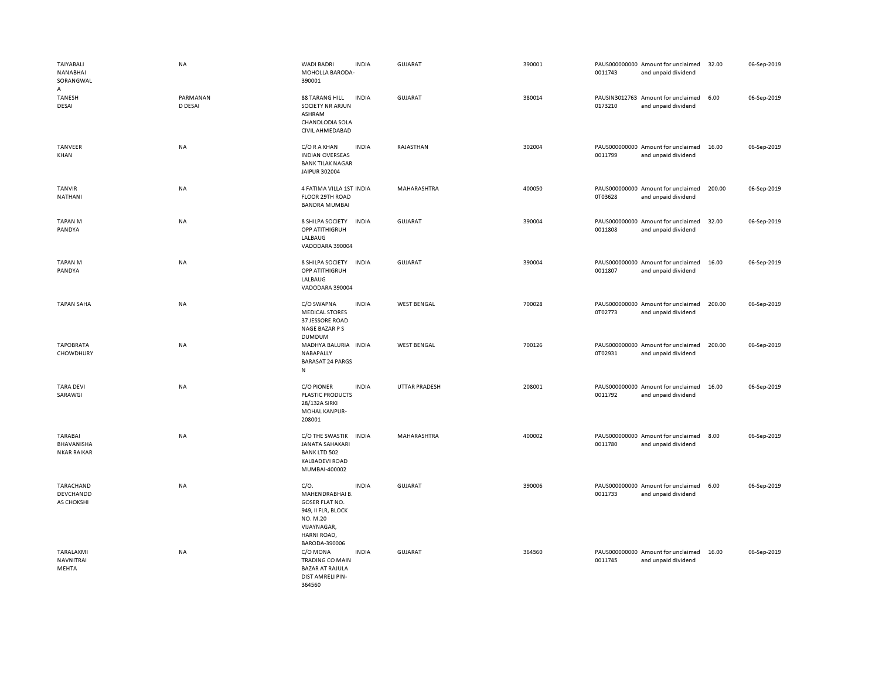| TAIYABALI<br>NANABHAI<br>SORANGWAL          | NA                  | <b>WADI BADRI</b><br><b>INDIA</b><br>MOHOLLA BARODA-<br>390001                                                                                    | <b>GUJARAT</b>       | 390001 | 0011743 | PAUS000000000 Amount for unclaimed<br>and unpaid dividend | 32.00  | 06-Sep-2019 |
|---------------------------------------------|---------------------|---------------------------------------------------------------------------------------------------------------------------------------------------|----------------------|--------|---------|-----------------------------------------------------------|--------|-------------|
| А<br>TANESH<br>DESAI                        | PARMANAN<br>D DESAI | <b>88 TARANG HILL</b><br><b>INDIA</b><br>SOCIETY NR ARJUN<br>ASHRAM<br><b>CHANDLODIA SOLA</b><br>CIVIL AHMEDABAD                                  | GUJARAT              | 380014 | 0173210 | PAUSIN3012763 Amount for unclaimed<br>and unpaid dividend | 6.00   | 06-Sep-2019 |
| TANVEER<br>KHAN                             | NA                  | <b>INDIA</b><br>C/O R A KHAN<br><b>INDIAN OVERSEAS</b><br><b>BANK TILAK NAGAR</b><br>JAIPUR 302004                                                | RAJASTHAN            | 302004 | 0011799 | PAUS000000000 Amount for unclaimed<br>and unpaid dividend | 16.00  | 06-Sep-2019 |
| <b>TANVIR</b><br>NATHANI                    | <b>NA</b>           | 4 FATIMA VILLA 1ST INDIA<br>FLOOR 29TH ROAD<br><b>BANDRA MUMBAI</b>                                                                               | MAHARASHTRA          | 400050 | 0T03628 | PAUS000000000 Amount for unclaimed<br>and unpaid dividend | 200.00 | 06-Sep-2019 |
| <b>TAPAN M</b><br>PANDYA                    | NA                  | 8 SHILPA SOCIETY<br><b>INDIA</b><br>OPP ATITHIGRUH<br>LALBAUG<br>VADODARA 390004                                                                  | <b>GUJARAT</b>       | 390004 | 0011808 | PAUS000000000 Amount for unclaimed<br>and unpaid dividend | 32.00  | 06-Sep-2019 |
| <b>TAPAN M</b><br>PANDYA                    | NA                  | <b>INDIA</b><br>8 SHILPA SOCIETY<br>OPP ATITHIGRUH<br>LALBAUG<br>VADODARA 390004                                                                  | <b>GUJARAT</b>       | 390004 | 0011807 | PAUS000000000 Amount for unclaimed<br>and unpaid dividend | 16.00  | 06-Sep-2019 |
| <b>TAPAN SAHA</b>                           | <b>NA</b>           | <b>INDIA</b><br>C/O SWAPNA<br><b>MEDICAL STORES</b><br>37 JESSORE ROAD<br>NAGE BAZAR P S<br><b>DUMDUM</b>                                         | <b>WEST BENGAL</b>   | 700028 | 0T02773 | PAUS000000000 Amount for unclaimed<br>and unpaid dividend | 200.00 | 06-Sep-2019 |
| <b>TAPOBRATA</b><br>CHOWDHURY               | NA                  | MADHYA BALURIA INDIA<br>NABAPALLY<br><b>BARASAT 24 PARGS</b><br>N                                                                                 | <b>WEST BENGAL</b>   | 700126 | 0T02931 | PAUS000000000 Amount for unclaimed<br>and unpaid dividend | 200.00 | 06-Sep-2019 |
| <b>TARA DEVI</b><br>SARAWGI                 | <b>NA</b>           | <b>C/O PIONER</b><br><b>INDIA</b><br><b>PLASTIC PRODUCTS</b><br>28/132A SIRKI<br>MOHAL KANPUR-<br>208001                                          | <b>UTTAR PRADESH</b> | 208001 | 0011792 | PAUS000000000 Amount for unclaimed<br>and unpaid dividend | 16.00  | 06-Sep-2019 |
| TARABAI<br>BHAVANISHA<br><b>NKAR RAIKAR</b> | <b>NA</b>           | C/O THE SWASTIK<br><b>INDIA</b><br><b>JANATA SAHAKARI</b><br><b>BANK LTD 502</b><br><b>KALBADEVI ROAD</b><br>MUMBAI-400002                        | MAHARASHTRA          | 400002 | 0011780 | PAUS000000000 Amount for unclaimed<br>and unpaid dividend | 8.00   | 06-Sep-2019 |
| TARACHAND<br>DEVCHANDD<br>AS CHOKSHI        | <b>NA</b>           | C/O.<br><b>INDIA</b><br>MAHENDRABHAI B.<br><b>GOSER FLAT NO.</b><br>949, II FLR, BLOCK<br>NO. M.20<br>VIJAYNAGAR,<br>HARNI ROAD,<br>BARODA-390006 | GUJARAT              | 390006 | 0011733 | PAUS000000000 Amount for unclaimed<br>and unpaid dividend | 6.00   | 06-Sep-2019 |
| TARALAXMI<br><b>NAVNITRAI</b><br>MEHTA      | NA                  | <b>INDIA</b><br>C/O MONA<br><b>TRADING CO MAIN</b><br><b>BAZAR AT RAJULA</b><br>DIST AMRELI PIN-<br>364560                                        | GUJARAT              | 364560 | 0011745 | PAUS000000000 Amount for unclaimed<br>and unpaid dividend | 16.00  | 06-Sep-2019 |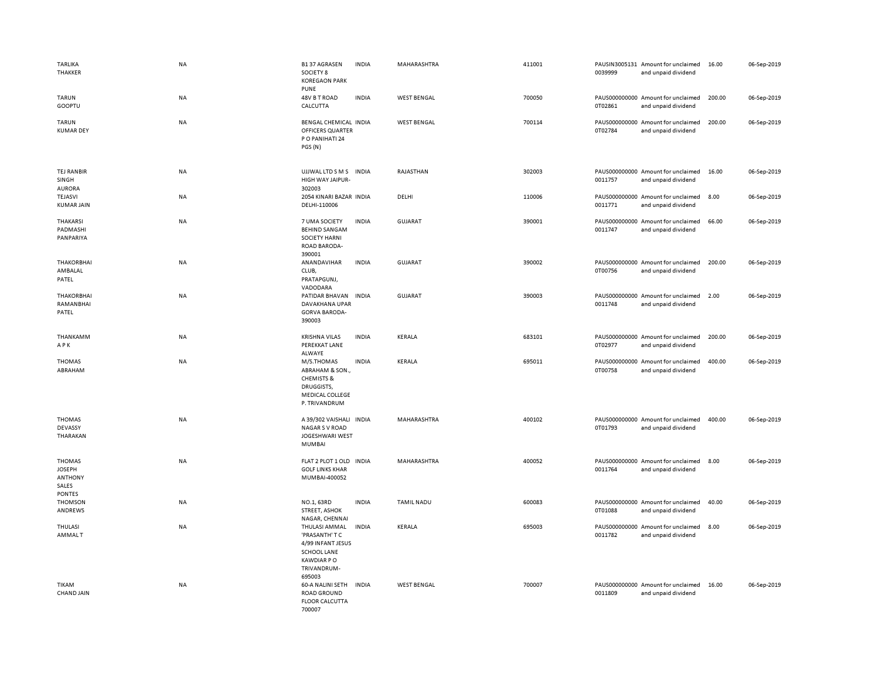| <b>TARLIKA</b><br>THAKKER                                                  | NA        | <b>B137 AGRASEN</b><br>SOCIETY 8<br><b>KOREGAON PARK</b><br><b>PUNE</b>                                                 | <b>INDIA</b> | MAHARASHTRA        | 411001 | 0039999 | PAUSIN3005131 Amount for unclaimed<br>and unpaid dividend | 16.00  | 06-Sep-2019 |
|----------------------------------------------------------------------------|-----------|-------------------------------------------------------------------------------------------------------------------------|--------------|--------------------|--------|---------|-----------------------------------------------------------|--------|-------------|
| <b>TARUN</b><br>GOOPTU                                                     | NA        | 48V B T ROAD<br>CALCUTTA                                                                                                | <b>INDIA</b> | <b>WEST BENGAL</b> | 700050 | 0T02861 | PAUS000000000 Amount for unclaimed<br>and unpaid dividend | 200.00 | 06-Sep-2019 |
| <b>TARUN</b><br><b>KUMAR DEY</b>                                           | NA        | <b>BENGAL CHEMICAL INDIA</b><br>OFFICERS QUARTER<br>P O PANIHATI 24<br>PGS (N)                                          |              | <b>WEST BENGAL</b> | 700114 | 0T02784 | PAUS000000000 Amount for unclaimed<br>and unpaid dividend | 200.00 | 06-Sep-2019 |
| TEJ RANBIR<br>SINGH<br><b>AURORA</b>                                       | NA        | UJJWAL LTD S M S INDIA<br>HIGH WAY JAIPUR-<br>302003                                                                    |              | RAJASTHAN          | 302003 | 0011757 | PAUS000000000 Amount for unclaimed<br>and unpaid dividend | 16.00  | 06-Sep-2019 |
| <b>TEJASVI</b><br><b>KUMAR JAIN</b>                                        | NA        | 2054 KINARI BAZAR INDIA<br>DELHI-110006                                                                                 |              | DELHI              | 110006 | 0011771 | PAUS000000000 Amount for unclaimed<br>and unpaid dividend | 8.00   | 06-Sep-2019 |
| THAKARSI<br>PADMASHI<br>PANPARIYA                                          | NA        | 7 UMA SOCIETY<br><b>BEHIND SANGAM</b><br><b>SOCIETY HARNI</b><br><b>ROAD BARODA-</b><br>390001                          | <b>INDIA</b> | <b>GUJARAT</b>     | 390001 | 0011747 | PAUS000000000 Amount for unclaimed<br>and unpaid dividend | 66.00  | 06-Sep-2019 |
| <b>THAKORBHAI</b><br>AMBALAL<br>PATEL                                      | NA        | ANANDAVIHAR<br>CLUB,<br>PRATAPGUNJ,<br>VADODARA                                                                         | <b>INDIA</b> | GUJARAT            | 390002 | 0T00756 | PAUS000000000 Amount for unclaimed<br>and unpaid dividend | 200.00 | 06-Sep-2019 |
| <b>THAKORBHAI</b><br>RAMANBHAI<br>PATEL                                    | NA        | PATIDAR BHAVAN<br>DAVAKHANA UPAR<br><b>GORVA BARODA-</b><br>390003                                                      | <b>INDIA</b> | GUJARAT            | 390003 | 0011748 | PAUS000000000 Amount for unclaimed<br>and unpaid dividend | 2.00   | 06-Sep-2019 |
| THANKAMM<br>APK                                                            | NA        | <b>KRISHNA VILAS</b><br>PEREKKAT LANE<br>ALWAYE                                                                         | <b>INDIA</b> | KERALA             | 683101 | 0T02977 | PAUS000000000 Amount for unclaimed<br>and unpaid dividend | 200.00 | 06-Sep-2019 |
| <b>THOMAS</b><br>ABRAHAM                                                   | <b>NA</b> | M/S.THOMAS<br>ABRAHAM & SON.,<br><b>CHEMISTS &amp;</b><br>DRUGGISTS,<br>MEDICAL COLLEGE<br>P. TRIVANDRUM                | <b>INDIA</b> | KERALA             | 695011 | 0T00758 | PAUS000000000 Amount for unclaimed<br>and unpaid dividend | 400.00 | 06-Sep-2019 |
| <b>THOMAS</b><br>DEVASSY<br>THARAKAN                                       | NA        | A 39/302 VAISHALI INDIA<br>NAGAR S V ROAD<br>JOGESHWARI WEST<br><b>MUMBAI</b>                                           |              | MAHARASHTRA        | 400102 | 0T01793 | PAUS000000000 Amount for unclaimed<br>and unpaid dividend | 400.00 | 06-Sep-2019 |
| <b>THOMAS</b><br><b>JOSEPH</b><br><b>ANTHONY</b><br>SALES<br><b>PONTES</b> | NA        | FLAT 2 PLOT 1 OLD INDIA<br><b>GOLF LINKS KHAR</b><br>MUMBAI-400052                                                      |              | MAHARASHTRA        | 400052 | 0011764 | PAUS000000000 Amount for unclaimed<br>and unpaid dividend | 8.00   | 06-Sep-2019 |
| <b>THOMSON</b><br>ANDREWS                                                  | NA        | NO.1, 63RD<br><b>STREET, ASHOK</b><br>NAGAR, CHENNAI                                                                    | <b>INDIA</b> | <b>TAMIL NADU</b>  | 600083 | 0T01088 | PAUS000000000 Amount for unclaimed<br>and unpaid dividend | 40.00  | 06-Sep-2019 |
| THULASI<br><b>AMMALT</b>                                                   | NA        | THULASI AMMAL<br>'PRASANTH' TC<br>4/99 INFANT JESUS<br><b>SCHOOL LANE</b><br><b>KAWDIAR PO</b><br>TRIVANDRUM-<br>695003 | <b>INDIA</b> | KERALA             | 695003 | 0011782 | PAUS000000000 Amount for unclaimed<br>and unpaid dividend | 8.00   | 06-Sep-2019 |
| TIKAM<br>CHAND JAIN                                                        | NA        | 60-A NALINI SETH<br><b>ROAD GROUND</b><br><b>FLOOR CALCUTTA</b><br>700007                                               | <b>INDIA</b> | <b>WEST BENGAL</b> | 700007 | 0011809 | PAUS000000000 Amount for unclaimed<br>and unpaid dividend | 16.00  | 06-Sep-2019 |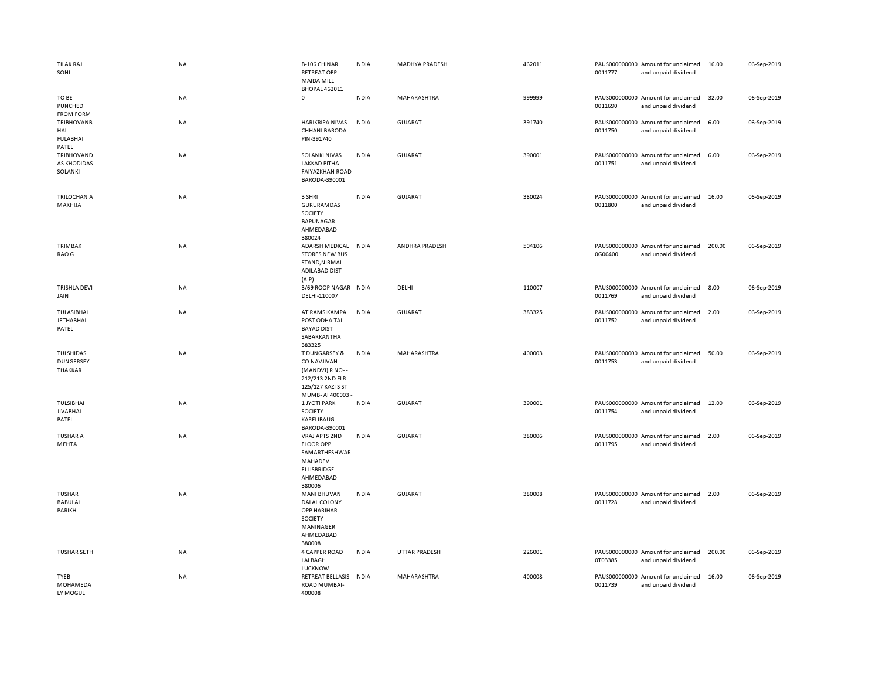| <b>TILAK RAJ</b><br>SONI                             | NA        | <b>B-106 CHINAR</b><br><b>RETREAT OPP</b><br><b>MAIDA MILL</b><br><b>BHOPAL 462011</b>                                 | <b>INDIA</b> | <b>MADHYA PRADESH</b> | 462011 | 0011777 | PAUS000000000 Amount for unclaimed<br>and unpaid dividend | 16.00  | 06-Sep-2019 |
|------------------------------------------------------|-----------|------------------------------------------------------------------------------------------------------------------------|--------------|-----------------------|--------|---------|-----------------------------------------------------------|--------|-------------|
| TO BE<br>PUNCHED<br><b>FROM FORM</b>                 | <b>NA</b> | $\mathbf 0$                                                                                                            | <b>INDIA</b> | MAHARASHTRA           | 999999 | 0011690 | PAUS000000000 Amount for unclaimed<br>and unpaid dividend | 32.00  | 06-Sep-2019 |
| <b>TRIBHOVANB</b><br>HAI<br><b>FULABHAI</b><br>PATEL | NA        | <b>HARIKRIPA NIVAS</b><br>CHHANI BARODA<br>PIN-391740                                                                  | <b>INDIA</b> | <b>GUJARAT</b>        | 391740 | 0011750 | PAUS000000000 Amount for unclaimed<br>and unpaid dividend | 6.00   | 06-Sep-2019 |
| TRIBHOVAND<br>AS KHODIDAS<br>SOLANKI                 | NA        | SOLANKI NIVAS<br><b>LAKKAD PITHA</b><br><b>FAIYAZKHAN ROAD</b><br>BARODA-390001                                        | <b>INDIA</b> | <b>GUJARAT</b>        | 390001 | 0011751 | PAUS000000000 Amount for unclaimed<br>and unpaid dividend | 6.00   | 06-Sep-2019 |
| TRILOCHAN A<br>MAKHIJA                               | NA        | 3 SHRI<br>GURURAMDAS<br>SOCIETY<br><b>BAPUNAGAR</b><br>AHMEDABAD<br>380024                                             | <b>INDIA</b> | <b>GUJARAT</b>        | 380024 | 0011800 | PAUS000000000 Amount for unclaimed<br>and unpaid dividend | 16.00  | 06-Sep-2019 |
| TRIMBAK<br>RAO G                                     | NA        | <b>ADARSH MEDICAL</b><br><b>STORES NEW BUS</b><br>STAND, NIRMAL<br>ADILABAD DIST<br>(A.P)                              | <b>INDIA</b> | ANDHRA PRADESH        | 504106 | 0G00400 | PAUS000000000 Amount for unclaimed<br>and unpaid dividend | 200.00 | 06-Sep-2019 |
| <b>TRISHLA DEVI</b><br>JAIN                          | NA        | 3/69 ROOP NAGAR INDIA<br>DELHI-110007                                                                                  |              | DELHI                 | 110007 | 0011769 | PAUS000000000 Amount for unclaimed<br>and unpaid dividend | 8.00   | 06-Sep-2019 |
| <b>TULASIBHAI</b><br><b>JETHABHAI</b><br>PATEL       | NA        | AT RAMSIKAMPA<br>POST ODHA TAL<br><b>BAYAD DIST</b><br>SABARKANTHA<br>383325                                           | <b>INDIA</b> | <b>GUJARAT</b>        | 383325 | 0011752 | PAUS000000000 Amount for unclaimed<br>and unpaid dividend | 2.00   | 06-Sep-2019 |
| TULSHIDAS<br>DUNGERSEY<br>THAKKAR                    | NA        | <b>T DUNGARSEY &amp;</b><br>CO NAVJIVAN<br>(MANDVI) R NO--<br>212/213 2ND FLR<br>125/127 KAZI S ST<br>MUMB-AI 400003 - | <b>INDIA</b> | MAHARASHTRA           | 400003 | 0011753 | PAUS000000000 Amount for unclaimed<br>and unpaid dividend | 50.00  | 06-Sep-2019 |
| TULSIBHAI<br><b>JIVABHAI</b><br>PATEL                | NA        | 1 JYOTI PARK<br>SOCIETY<br>KARELIBAUG<br>BARODA-390001                                                                 | <b>INDIA</b> | <b>GUJARAT</b>        | 390001 | 0011754 | PAUS000000000 Amount for unclaimed<br>and unpaid dividend | 12.00  | 06-Sep-2019 |
| <b>TUSHAR A</b><br>MEHTA                             | NA        | VRAJ APTS 2ND<br><b>FLOOR OPP</b><br>SAMARTHESHWAR<br>MAHADEV<br><b>ELLISBRIDGE</b><br>AHMEDABAD<br>380006             | <b>INDIA</b> | <b>GUJARAT</b>        | 380006 | 0011795 | PAUS000000000 Amount for unclaimed<br>and unpaid dividend | 2.00   | 06-Sep-2019 |
| <b>TUSHAR</b><br><b>BABULAL</b><br>PARIKH            | NA        | MANI BHUVAN<br>DALAL COLONY<br><b>OPP HARIHAR</b><br>SOCIETY<br>MANINAGER<br>AHMEDABAD<br>380008                       | <b>INDIA</b> | <b>GUJARAT</b>        | 380008 | 0011728 | PAUS000000000 Amount for unclaimed<br>and unpaid dividend | 2.00   | 06-Sep-2019 |
| <b>TUSHAR SETH</b>                                   | <b>NA</b> | 4 CAPPER ROAD<br>LALBAGH<br><b>LUCKNOW</b>                                                                             | <b>INDIA</b> | <b>UTTAR PRADESH</b>  | 226001 | 0T03385 | PAUS000000000 Amount for unclaimed<br>and unpaid dividend | 200.00 | 06-Sep-2019 |
| TYEB<br>MOHAMEDA<br>LY MOGUL                         | NA        | <b>RETREAT BELLASIS</b><br>ROAD MUMBAI-<br>400008                                                                      | <b>INDIA</b> | MAHARASHTRA           | 400008 | 0011739 | PAUS000000000 Amount for unclaimed<br>and unpaid dividend | 16.00  | 06-Sep-2019 |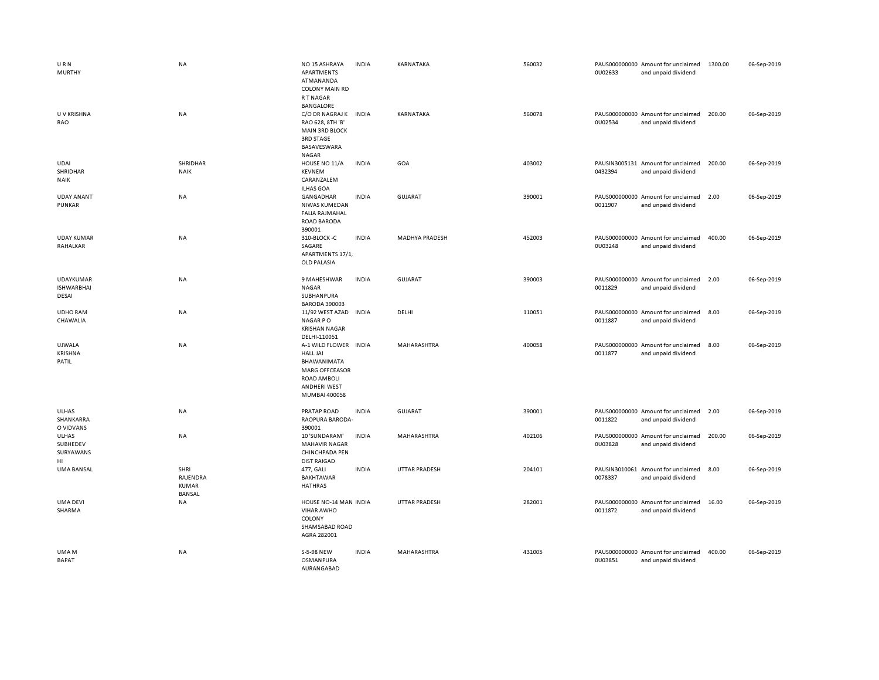| URN<br><b>MURTHY</b>                           | <b>NA</b>                                  | NO <sub>15</sub> ASHRAYA<br>APARTMENTS<br>ATMANANDA<br><b>COLONY MAIN RD</b><br><b>RTNAGAR</b><br><b>BANGALORE</b>                       | <b>INDIA</b> | KARNATAKA            | 560032 | 0U02633 | PAUS000000000 Amount for unclaimed<br>and unpaid dividend | 1300.00 | 06-Sep-2019 |
|------------------------------------------------|--------------------------------------------|------------------------------------------------------------------------------------------------------------------------------------------|--------------|----------------------|--------|---------|-----------------------------------------------------------|---------|-------------|
| U V KRISHNA<br>RAO                             | NA                                         | C/O DR NAGRAJ K INDIA<br>RAO 628, 8TH 'B'<br><b>MAIN 3RD BLOCK</b><br><b>3RD STAGE</b><br>BASAVESWARA<br><b>NAGAR</b>                    |              | KARNATAKA            | 560078 | 0U02534 | PAUS000000000 Amount for unclaimed<br>and unpaid dividend | 200.00  | 06-Sep-2019 |
| UDAI<br>SHRIDHAR<br>NAIK                       | SHRIDHAR<br><b>NAIK</b>                    | HOUSE NO 11/A<br><b>KEVNEM</b><br>CARANZALEM<br><b>ILHAS GOA</b>                                                                         | <b>INDIA</b> | GOA                  | 403002 | 0432394 | PAUSIN3005131 Amount for unclaimed<br>and unpaid dividend | 200.00  | 06-Sep-2019 |
| <b>UDAY ANANT</b><br>PUNKAR                    | <b>NA</b>                                  | GANGADHAR<br>NIWAS KUMEDAN<br><b>FALIA RAJMAHAL</b><br><b>ROAD BARODA</b><br>390001                                                      | <b>INDIA</b> | <b>GUJARAT</b>       | 390001 | 0011907 | PAUS000000000 Amount for unclaimed<br>and unpaid dividend | 2.00    | 06-Sep-2019 |
| <b>UDAY KUMAR</b><br>RAHALKAR                  | NA                                         | 310-BLOCK-C<br>SAGARE<br>APARTMENTS 17/1,<br>OLD PALASIA                                                                                 | <b>INDIA</b> | MADHYA PRADESH       | 452003 | 0U03248 | PAUS000000000 Amount for unclaimed<br>and unpaid dividend | 400.00  | 06-Sep-2019 |
| <b>UDAYKUMAR</b><br><b>ISHWARBHAI</b><br>DESAI | <b>NA</b>                                  | 9 MAHESHWAR<br>NAGAR<br>SUBHANPURA<br><b>BARODA 390003</b>                                                                               | <b>INDIA</b> | <b>GUJARAT</b>       | 390003 | 0011829 | PAUS000000000 Amount for unclaimed<br>and unpaid dividend | 2.00    | 06-Sep-2019 |
| <b>UDHO RAM</b><br>CHAWALIA                    | NA                                         | 11/92 WEST AZAD<br>NAGAR PO<br><b>KRISHAN NAGAR</b><br>DELHI-110051                                                                      | <b>INDIA</b> | DELHI                | 110051 | 0011887 | PAUS000000000 Amount for unclaimed<br>and unpaid dividend | 8.00    | 06-Sep-2019 |
| UJWALA<br><b>KRISHNA</b><br>PATIL              | NA                                         | A-1 WILD FLOWER<br><b>HALL JAI</b><br>BHAWANIMATA<br><b>MARG OFFCEASOR</b><br><b>ROAD AMBOLI</b><br><b>ANDHERI WEST</b><br>MUMBAI 400058 | <b>INDIA</b> | MAHARASHTRA          | 400058 | 0011877 | PAUS000000000 Amount for unclaimed<br>and unpaid dividend | 8.00    | 06-Sep-2019 |
| ULHAS<br>SHANKARRA<br>O VIDVANS                | <b>NA</b>                                  | PRATAP ROAD<br>RAOPURA BARODA-<br>390001                                                                                                 | <b>INDIA</b> | <b>GUJARAT</b>       | 390001 | 0011822 | PAUS000000000 Amount for unclaimed<br>and unpaid dividend | 2.00    | 06-Sep-2019 |
| ULHAS<br>SUBHEDEV<br>SURYAWANS<br>HI           | NA                                         | 10 'SUNDARAM'<br><b>MAHAVIR NAGAR</b><br>CHINCHPADA PEN<br><b>DIST RAIGAD</b>                                                            | <b>INDIA</b> | MAHARASHTRA          | 402106 | 0U03828 | PAUS000000000 Amount for unclaimed<br>and unpaid dividend | 200.00  | 06-Sep-2019 |
| UMA BANSAL                                     | SHRI<br>RAJENDRA<br>KUMAR<br><b>BANSAL</b> | 477, GALI<br>BAKHTAWAR<br><b>HATHRAS</b>                                                                                                 | <b>INDIA</b> | <b>UTTAR PRADESH</b> | 204101 | 0078337 | PAUSIN3010061 Amount for unclaimed<br>and unpaid dividend | 8.00    | 06-Sep-2019 |
| <b>UMA DEVI</b><br>SHARMA                      | <b>NA</b>                                  | HOUSE NO-14 MAN INDIA<br><b>VIHAR AWHO</b><br>COLONY<br>SHAMSABAD ROAD<br>AGRA 282001                                                    |              | <b>UTTAR PRADESH</b> | 282001 | 0011872 | PAUS000000000 Amount for unclaimed<br>and unpaid dividend | 16.00   | 06-Sep-2019 |
| UMA M<br><b>BAPAT</b>                          | NA                                         | S-5-98 NEW<br>OSMANPURA<br>AURANGABAD                                                                                                    | <b>INDIA</b> | MAHARASHTRA          | 431005 | 0U03851 | PAUS000000000 Amount for unclaimed<br>and unpaid dividend | 400.00  | 06-Sep-2019 |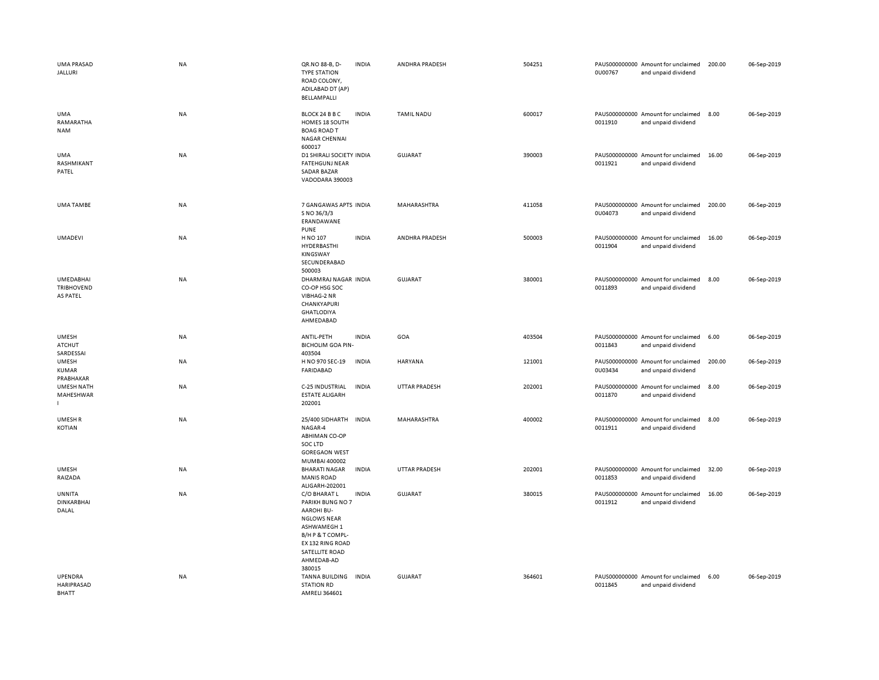| <b>UMA PRASAD</b><br><b>JALLURI</b>             | NA        | QR.NO 88-B, D-<br><b>INDIA</b><br><b>TYPE STATION</b><br>ROAD COLONY,<br>ADILABAD DT (AP)<br>BELLAMPALLI                                                                                                                                                | ANDHRA PRADESH            | 504251 | 0U00767           | PAUS000000000 Amount for unclaimed<br>and unpaid dividend                                       | 200.00        | 06-Sep-2019                |
|-------------------------------------------------|-----------|---------------------------------------------------------------------------------------------------------------------------------------------------------------------------------------------------------------------------------------------------------|---------------------------|--------|-------------------|-------------------------------------------------------------------------------------------------|---------------|----------------------------|
| <b>UMA</b><br>RAMARATHA<br><b>NAM</b>           | NA        | <b>INDIA</b><br>BLOCK 24 B B C<br>HOMES 18 SOUTH<br><b>BOAG ROAD T</b><br><b>NAGAR CHENNAI</b><br>600017                                                                                                                                                | TAMIL NADU                | 600017 | 0011910           | PAUS000000000 Amount for unclaimed<br>and unpaid dividend                                       | 8.00          | 06-Sep-2019                |
| UMA<br>RASHMIKANT<br>PATEL                      | NA        | D1 SHIRALI SOCIETY INDIA<br><b>FATEHGUNJ NEAR</b><br>SADAR BAZAR<br>VADODARA 390003                                                                                                                                                                     | GUJARAT                   | 390003 | 0011921           | PAUS000000000 Amount for unclaimed<br>and unpaid dividend                                       | 16.00         | 06-Sep-2019                |
| <b>UMA TAMBE</b>                                | NA        | 7 GANGAWAS APTS INDIA<br>S NO 36/3/3<br>ERANDAWANE<br><b>PUNE</b>                                                                                                                                                                                       | MAHARASHTRA               | 411058 | 0U04073           | PAUS000000000 Amount for unclaimed<br>and unpaid dividend                                       | 200.00        | 06-Sep-2019                |
| <b>UMADEVI</b>                                  | NA        | H NO 107<br><b>INDIA</b><br>HYDERBASTHI<br>KINGSWAY<br>SECUNDERABAD<br>500003                                                                                                                                                                           | ANDHRA PRADESH            | 500003 | 0011904           | PAUS000000000 Amount for unclaimed<br>and unpaid dividend                                       | 16.00         | 06-Sep-2019                |
| UMEDABHAI<br><b>TRIBHOVEND</b><br>AS PATEL      | NA        | DHARMRAJ NAGAR INDIA<br>CO-OP HSG SOC<br>VIBHAG-2 NR<br>CHANKYAPURI<br><b>GHATLODIYA</b><br>AHMEDABAD                                                                                                                                                   | GUJARAT                   | 380001 | 0011893           | PAUS000000000 Amount for unclaimed<br>and unpaid dividend                                       | 8.00          | 06-Sep-2019                |
| <b>UMESH</b><br><b>ATCHUT</b><br>SARDESSAI      | NA        | ANTIL-PETH<br><b>INDIA</b><br><b>BICHOLIM GOA PIN-</b><br>403504                                                                                                                                                                                        | GOA                       | 403504 | 0011843           | PAUS000000000 Amount for unclaimed<br>and unpaid dividend                                       | 6.00          | 06-Sep-2019                |
| <b>UMESH</b>                                    | NA        | H NO 970 SEC-19<br><b>INDIA</b><br><b>FARIDABAD</b>                                                                                                                                                                                                     | HARYANA                   | 121001 | 0U03434           | PAUS000000000 Amount for unclaimed<br>and unpaid dividend                                       | 200.00        | 06-Sep-2019                |
| KUMAR                                           |           |                                                                                                                                                                                                                                                         |                           |        |                   |                                                                                                 |               |                            |
| PRABHAKAR<br><b>UMESH NATH</b><br>MAHESHWAR     | NA        | C-25 INDUSTRIAL<br><b>INDIA</b><br><b>ESTATE ALIGARH</b><br>202001                                                                                                                                                                                      | <b>UTTAR PRADESH</b>      | 202001 | 0011870           | PAUS000000000 Amount for unclaimed<br>and unpaid dividend                                       | 8.00          | 06-Sep-2019                |
| UMESH R<br>KOTIAN                               | <b>NA</b> | 25/400 SIDHARTH<br><b>INDIA</b><br>NAGAR-4<br><b>ABHIMAN CO-OP</b><br>SOC LTD<br><b>GOREGAON WEST</b><br>MUMBAI 400002                                                                                                                                  | <b>MAHARASHTRA</b>        | 400002 | 0011911           | PAUS000000000 Amount for unclaimed<br>and unpaid dividend                                       | 8.00          | 06-Sep-2019                |
| <b>UMESH</b><br>RAIZADA                         | NA        | <b>BHARATI NAGAR</b><br><b>INDIA</b><br><b>MANIS ROAD</b>                                                                                                                                                                                               | UTTAR PRADESH             | 202001 | 0011853           | PAUS000000000 Amount for unclaimed<br>and unpaid dividend                                       | 32.00         | 06-Sep-2019                |
| UNNITA<br><b>DINKARBHAI</b><br>DALAL<br>UPENDRA | NA<br>NA  | ALIGARH-202001<br>C/O BHARAT L<br><b>INDIA</b><br>PARIKH BUNG NO 7<br><b>AAROHI BU-</b><br><b>NGLOWS NEAR</b><br>ASHWAMEGH 1<br>B/H P & T COMPL-<br>EX 132 RING ROAD<br>SATELLITE ROAD<br>AHMEDAB-AD<br>380015<br><b>TANNA BUILDING</b><br><b>INDIA</b> | GUJARAT<br><b>GUJARAT</b> | 364601 | 380015<br>0011912 | PAUS000000000 Amount for unclaimed<br>and unpaid dividend<br>PAUS000000000 Amount for unclaimed | 16.00<br>6.00 | 06-Sep-2019<br>06-Sep-2019 |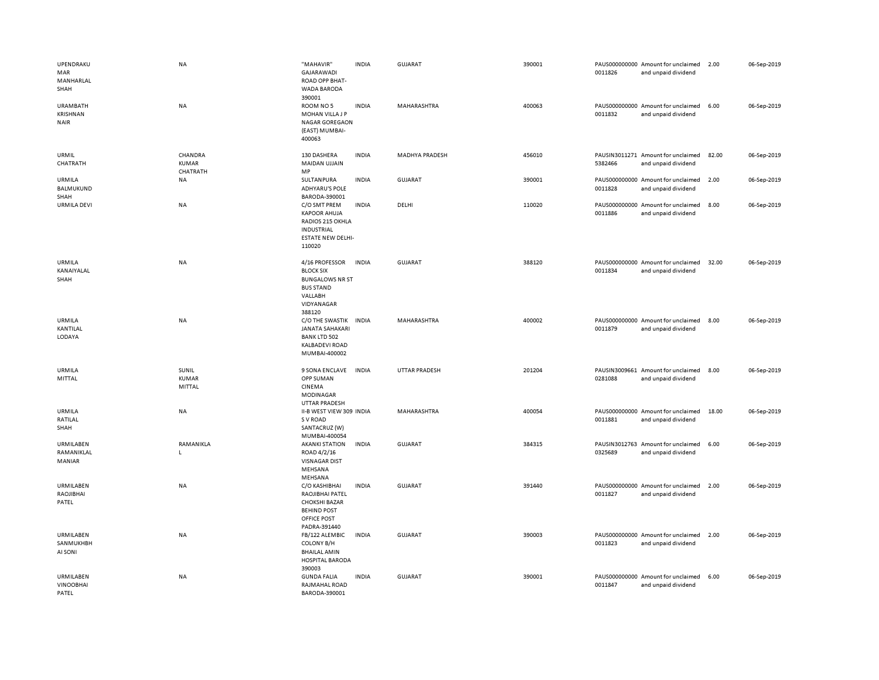| UPENDRAKU<br><b>MAR</b><br>MANHARLAL<br>SHAH | NA                           | "MAHAVIR"<br>GAJARAWADI<br>ROAD OPP BHAT-<br>WADA BARODA<br>390001                                                   | <b>INDIA</b> | <b>GUJARAT</b>        | 390001 | 0011826 | PAUS000000000 Amount for unclaimed<br>and unpaid dividend | 2.00  | 06-Sep-2019 |
|----------------------------------------------|------------------------------|----------------------------------------------------------------------------------------------------------------------|--------------|-----------------------|--------|---------|-----------------------------------------------------------|-------|-------------|
| <b>URAMBATH</b><br>KRISHNAN<br><b>NAIR</b>   | NA                           | ROOM NO 5<br>MOHAN VILLA J P<br><b>NAGAR GOREGAON</b><br>(EAST) MUMBAI-<br>400063                                    | <b>INDIA</b> | MAHARASHTRA           | 400063 | 0011832 | PAUS000000000 Amount for unclaimed<br>and unpaid dividend | 6.00  | 06-Sep-2019 |
| URMIL<br>CHATRATH                            | CHANDRA<br>KUMAR<br>CHATRATH | 130 DASHERA<br>MAIDAN UJJAIN<br>MP                                                                                   | <b>INDIA</b> | <b>MADHYA PRADESH</b> | 456010 | 5382466 | PAUSIN3011271 Amount for unclaimed<br>and unpaid dividend | 82.00 | 06-Sep-2019 |
| URMILA<br><b>BALMUKUND</b><br>SHAH           | NA                           | SULTANPURA<br><b>ADHYARU'S POLE</b><br>BARODA-390001                                                                 | <b>INDIA</b> | GUJARAT               | 390001 | 0011828 | PAUS000000000 Amount for unclaimed<br>and unpaid dividend | 2.00  | 06-Sep-2019 |
| <b>URMILA DEVI</b>                           | <b>NA</b>                    | C/O SMT PREM<br><b>KAPOOR AHUJA</b><br>RADIOS 215 OKHLA<br>INDUSTRIAL<br><b>ESTATE NEW DELHI-</b><br>110020          | <b>INDIA</b> | DELHI                 | 110020 | 0011886 | PAUS000000000 Amount for unclaimed<br>and unpaid dividend | 8.00  | 06-Sep-2019 |
| URMILA<br>KANAIYALAL<br>SHAH                 | <b>NA</b>                    | 4/16 PROFESSOR<br><b>BLOCK SIX</b><br><b>BUNGALOWS NR ST</b><br><b>BUS STAND</b><br>VALLABH<br>VIDYANAGAR<br>388120  | <b>INDIA</b> | <b>GUJARAT</b>        | 388120 | 0011834 | PAUS000000000 Amount for unclaimed<br>and unpaid dividend | 32.00 | 06-Sep-2019 |
| <b>URMILA</b><br>KANTILAL<br>LODAYA          | <b>NA</b>                    | C/O THE SWASTIK<br><b>JANATA SAHAKARI</b><br><b>BANK LTD 502</b><br><b>KALBADEVI ROAD</b><br>MUMBAI-400002           | <b>INDIA</b> | <b>MAHARASHTRA</b>    | 400002 | 0011879 | PAUS000000000 Amount for unclaimed<br>and unpaid dividend | 8.00  | 06-Sep-2019 |
| URMILA<br>MITTAL                             | SUNIL<br>KUMAR<br>MITTAL     | 9 SONA ENCLAVE<br>OPP SUMAN<br>CINEMA<br>MODINAGAR<br><b>UTTAR PRADESH</b>                                           | <b>INDIA</b> | <b>UTTAR PRADESH</b>  | 201204 | 0281088 | PAUSIN3009661 Amount for unclaimed<br>and unpaid dividend | 8.00  | 06-Sep-2019 |
| URMILA<br>RATILAL<br>SHAH                    | <b>NA</b>                    | II-B WEST VIEW 309 INDIA<br>S V ROAD<br>SANTACRUZ (W)<br>MUMBAI-400054                                               |              | MAHARASHTRA           | 400054 | 0011881 | PAUS000000000 Amount for unclaimed<br>and unpaid dividend | 18.00 | 06-Sep-2019 |
| URMILABEN<br>RAMANIKLAL<br>MANIAR            | RAMANIKLA<br>$\mathsf{L}$    | <b>AKANKI STATION</b><br>ROAD 4/2/16<br><b>VISNAGAR DIST</b><br>MEHSANA<br>MEHSANA                                   | INDIA        | <b>GUJARAT</b>        | 384315 | 0325689 | PAUSIN3012763 Amount for unclaimed<br>and unpaid dividend | 6.00  | 06-Sep-2019 |
| URMILABEN<br>RAOJIBHAI<br>PATEL              | NA                           | C/O KASHIBHAI<br>RAOJIBHAI PATEL<br><b>CHOKSHI BAZAR</b><br><b>BEHIND POST</b><br><b>OFFICE POST</b><br>PADRA-391440 | <b>INDIA</b> | GUJARAT               | 391440 | 0011827 | PAUS000000000 Amount for unclaimed<br>and unpaid dividend | 2.00  | 06-Sep-2019 |
| URMILABEN<br>SANMUKHBH<br>AI SONI            | <b>NA</b>                    | FB/122 ALEMBIC<br><b>COLONY B/H</b><br><b>BHAILAL AMIN</b><br>HOSPITAL BARODA<br>390003                              | <b>INDIA</b> | <b>GUJARAT</b>        | 390003 | 0011823 | PAUS000000000 Amount for unclaimed<br>and unpaid dividend | 2.00  | 06-Sep-2019 |
| URMILABEN<br><b>VINOOBHAI</b><br>PATEL       | NA                           | <b>GUNDA FALIA</b><br>RAJMAHAL ROAD<br>BARODA-390001                                                                 | <b>INDIA</b> | <b>GUJARAT</b>        | 390001 | 0011847 | PAUS000000000 Amount for unclaimed<br>and unpaid dividend | 6.00  | 06-Sep-2019 |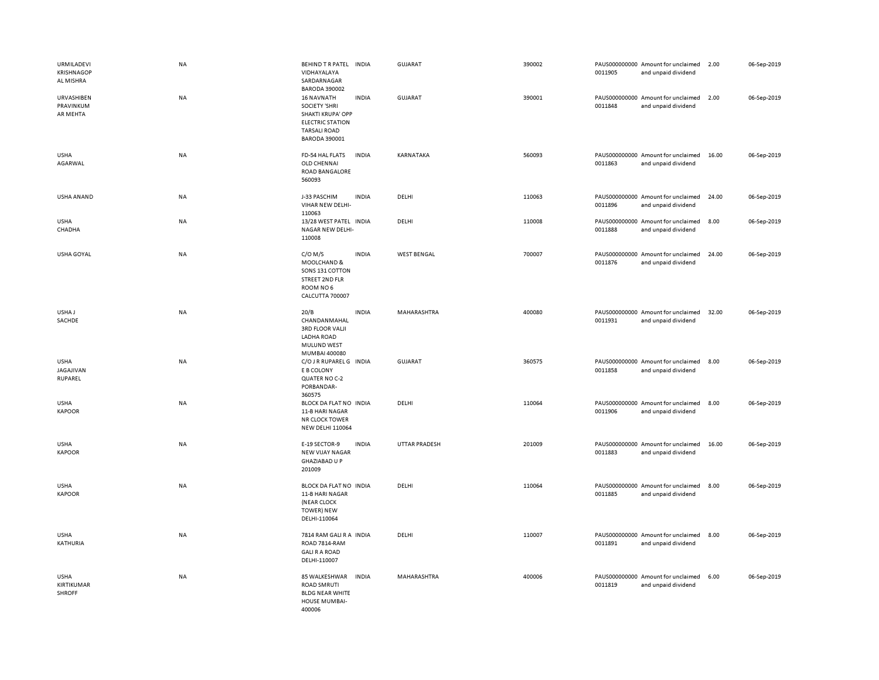| URMILADEVI<br><b>KRISHNAGOP</b><br>AL MISHRA | NA        | BEHIND TR PATEL INDIA<br>VIDHAYALAYA<br>SARDARNAGAR<br><b>BARODA 390002</b>                                                                              | <b>GUJARAT</b>     | 390002 | PAUS000000000 Amount for unclaimed<br>0011905<br>and unpaid dividend | 2.00  | 06-Sep-2019 |
|----------------------------------------------|-----------|----------------------------------------------------------------------------------------------------------------------------------------------------------|--------------------|--------|----------------------------------------------------------------------|-------|-------------|
| URVASHIBEN<br>PRAVINKUM<br>AR MEHTA          | NA        | 16 NAVNATH<br><b>INDIA</b><br><b>SOCIETY 'SHRI</b><br><b>SHAKTI KRUPA' OPP</b><br><b>ELECTRIC STATION</b><br><b>TARSALI ROAD</b><br><b>BARODA 390001</b> | <b>GUJARAT</b>     | 390001 | PAUS000000000 Amount for unclaimed<br>0011848<br>and unpaid dividend | 2.00  | 06-Sep-2019 |
| <b>USHA</b><br>AGARWAL                       | NA        | FD-54 HAL FLATS<br><b>INDIA</b><br>OLD CHENNAI<br>ROAD BANGALORE<br>560093                                                                               | KARNATAKA          | 560093 | PAUS000000000 Amount for unclaimed<br>0011863<br>and unpaid dividend | 16.00 | 06-Sep-2019 |
| USHA ANAND                                   | <b>NA</b> | J-33 PASCHIM<br><b>INDIA</b><br>VIHAR NEW DELHI-<br>110063                                                                                               | DELHI              | 110063 | PAUS000000000 Amount for unclaimed<br>0011896<br>and unpaid dividend | 24.00 | 06-Sep-2019 |
| <b>USHA</b><br>CHADHA                        | NA        | 13/28 WEST PATEL INDIA<br>NAGAR NEW DELHI-<br>110008                                                                                                     | DELHI              | 110008 | PAUS000000000 Amount for unclaimed<br>0011888<br>and unpaid dividend | 8.00  | 06-Sep-2019 |
| USHA GOYAL                                   | NA        | $C/O$ M/S<br><b>INDIA</b><br>MOOLCHAND &<br>SONS 131 COTTON<br>STREET 2ND FLR<br>ROOM NO6<br>CALCUTTA 700007                                             | <b>WEST BENGAL</b> | 700007 | PAUS000000000 Amount for unclaimed<br>0011876<br>and unpaid dividend | 24.00 | 06-Sep-2019 |
| USHA J<br>SACHDE                             | <b>NA</b> | 20/B<br><b>INDIA</b><br>CHANDANMAHAL<br><b>3RD FLOOR VALJI</b><br>LADHA ROAD<br>MULUND WEST<br>MUMBAI 400080                                             | MAHARASHTRA        | 400080 | PAUS000000000 Amount for unclaimed<br>0011931<br>and unpaid dividend | 32.00 | 06-Sep-2019 |
| <b>USHA</b><br><b>JAGAJIVAN</b><br>RUPAREL   | NA        | C/O J R RUPAREL G INDIA<br>E B COLONY<br>QUATER NO C-2<br>PORBANDAR-<br>360575                                                                           | <b>GUJARAT</b>     | 360575 | PAUS000000000 Amount for unclaimed<br>0011858<br>and unpaid dividend | 8.00  | 06-Sep-2019 |
| <b>USHA</b><br><b>KAPOOR</b>                 | <b>NA</b> | BLOCK DA FLAT NO INDIA<br>11-B HARI NAGAR<br><b>NR CLOCK TOWER</b><br><b>NEW DELHI 110064</b>                                                            | DELHI              | 110064 | PAUS000000000 Amount for unclaimed<br>0011906<br>and unpaid dividend | 8.00  | 06-Sep-2019 |
| <b>USHA</b><br><b>KAPOOR</b>                 | NA        | E-19 SECTOR-9<br><b>INDIA</b><br>NEW VIJAY NAGAR<br><b>GHAZIABAD U P</b><br>201009                                                                       | UTTAR PRADESH      | 201009 | PAUS000000000 Amount for unclaimed<br>0011883<br>and unpaid dividend | 16.00 | 06-Sep-2019 |
| <b>USHA</b><br><b>KAPOOR</b>                 | NA        | BLOCK DA FLAT NO INDIA<br>11-B HARI NAGAR<br>(NEAR CLOCK<br><b>TOWER) NEW</b><br>DELHI-110064                                                            | DELHI              | 110064 | PAUS000000000 Amount for unclaimed<br>0011885<br>and unpaid dividend | 8.00  | 06-Sep-2019 |
| <b>USHA</b><br>KATHURIA                      | NA        | 7814 RAM GALI R A INDIA<br>ROAD 7814-RAM<br><b>GALI R A ROAD</b><br>DELHI-110007                                                                         | DELHI              | 110007 | PAUS000000000 Amount for unclaimed<br>0011891<br>and unpaid dividend | 8.00  | 06-Sep-2019 |
| <b>USHA</b><br>KIRTIKUMAR<br><b>SHROFF</b>   | NA        | 85 WALKESHWAR<br><b>INDIA</b><br>ROAD SMRUTI<br><b>BLDG NEAR WHITE</b><br>HOUSE MUMBAI-<br>400006                                                        | MAHARASHTRA        | 400006 | PAUS000000000 Amount for unclaimed<br>0011819<br>and unpaid dividend | 6.00  | 06-Sep-2019 |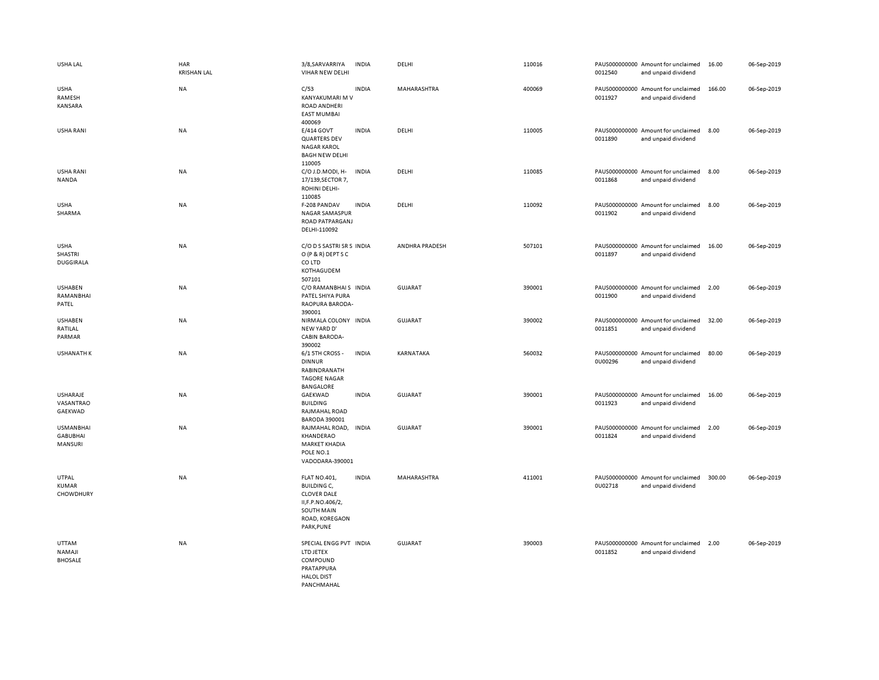| USHA LAL                                          | <b>HAR</b><br><b>KRISHAN LAL</b> | 3/8, SARVARRIYA<br>VIHAR NEW DELHI                                                                                                 | <b>INDIA</b> | DELHI                 | 110016 | 0012540                  | PAUS000000000 Amount for unclaimed<br>and unpaid dividend | 16.00  | 06-Sep-2019 |
|---------------------------------------------------|----------------------------------|------------------------------------------------------------------------------------------------------------------------------------|--------------|-----------------------|--------|--------------------------|-----------------------------------------------------------|--------|-------------|
| USHA<br>RAMESH<br>KANSARA                         | NA                               | C/53<br>KANYAKUMARI M V<br>ROAD ANDHERI<br><b>EAST MUMBAI</b><br>400069                                                            | <b>INDIA</b> | MAHARASHTRA           | 400069 | 0011927                  | PAUS000000000 Amount for unclaimed<br>and unpaid dividend | 166.00 | 06-Sep-2019 |
| <b>USHA RANI</b>                                  | <b>NA</b>                        | E/414 GOVT<br><b>QUARTERS DEV</b><br><b>NAGAR KAROL</b><br><b>BAGH NEW DELHI</b><br>110005                                         | <b>INDIA</b> | DELHI                 | 110005 | 0011890                  | PAUS000000000 Amount for unclaimed<br>and unpaid dividend | 8.00   | 06-Sep-2019 |
| <b>USHA RANI</b><br>NANDA                         | <b>NA</b>                        | C/O J.D.MODI, H-<br>17/139, SECTOR 7,<br>ROHINI DELHI-<br>110085                                                                   | <b>INDIA</b> | DELHI                 | 110085 | PAUS000000000<br>0011868 | Amount for unclaimed<br>and unpaid dividend               | 8.00   | 06-Sep-2019 |
| <b>USHA</b><br>SHARMA                             | NA                               | F-208 PANDAV<br>NAGAR SAMASPUR<br>ROAD PATPARGANJ<br>DELHI-110092                                                                  | <b>INDIA</b> | DELHI                 | 110092 | 0011902                  | PAUS000000000 Amount for unclaimed<br>and unpaid dividend | 8.00   | 06-Sep-2019 |
| <b>USHA</b><br><b>SHASTRI</b><br><b>DUGGIRALA</b> | <b>NA</b>                        | C/O D S SASTRI SR S INDIA<br>O (P & R) DEPT S C<br>CO LTD<br>KOTHAGUDEM<br>507101                                                  |              | <b>ANDHRA PRADESH</b> | 507101 | 0011897                  | PAUS000000000 Amount for unclaimed<br>and unpaid dividend | 16.00  | 06-Sep-2019 |
| <b>USHABEN</b><br>RAMANBHAI<br>PATEL              | <b>NA</b>                        | C/O RAMANBHAIS INDIA<br>PATEL SHIYA PURA<br>RAOPURA BARODA-<br>390001                                                              |              | <b>GUJARAT</b>        | 390001 | 0011900                  | PAUS000000000 Amount for unclaimed<br>and unpaid dividend | 2.00   | 06-Sep-2019 |
| <b>USHABEN</b><br>RATILAL<br>PARMAR               | NA                               | NIRMALA COLONY INDIA<br>NEW YARD D'<br><b>CABIN BARODA-</b><br>390002                                                              |              | <b>GUJARAT</b>        | 390002 | 0011851                  | PAUS000000000 Amount for unclaimed<br>and unpaid dividend | 32.00  | 06-Sep-2019 |
| <b>USHANATH K</b>                                 | NA                               | 6/1 5TH CROSS -<br><b>DINNUR</b><br>RABINDRANATH<br><b>TAGORE NAGAR</b><br><b>BANGALORE</b>                                        | <b>INDIA</b> | KARNATAKA             | 560032 | 0U00296                  | PAUS000000000 Amount for unclaimed<br>and unpaid dividend | 80.00  | 06-Sep-2019 |
| USHARAJE<br>VASANTRAO<br>GAEKWAD                  | <b>NA</b>                        | GAEKWAD<br><b>BUILDING</b><br>RAJMAHAL ROAD<br><b>BARODA 390001</b>                                                                | <b>INDIA</b> | <b>GUJARAT</b>        | 390001 | 0011923                  | PAUS000000000 Amount for unclaimed<br>and unpaid dividend | 16.00  | 06-Sep-2019 |
| <b>USMANBHAI</b><br><b>GABUBHAI</b><br>MANSURI    | NA                               | RAJMAHAL ROAD,<br>KHANDERAO<br><b>MARKET KHADIA</b><br>POLE NO.1<br>VADODARA-390001                                                | INDIA        | <b>GUJARAT</b>        | 390001 | 0011824                  | PAUS000000000 Amount for unclaimed<br>and unpaid dividend | 2.00   | 06-Sep-2019 |
| UTPAL<br>KUMAR<br>CHOWDHURY                       | NA                               | <b>FLAT NO.401,</b><br><b>BUILDING C,</b><br><b>CLOVER DALE</b><br>II, F.P.NO.406/2,<br>SOUTH MAIN<br>ROAD, KOREGAON<br>PARK, PUNE | <b>INDIA</b> | MAHARASHTRA           | 411001 | 0U02718                  | PAUS000000000 Amount for unclaimed<br>and unpaid dividend | 300.00 | 06-Sep-2019 |
| UTTAM<br><b>NAMAJI</b><br><b>BHOSALE</b>          | <b>NA</b>                        | SPECIAL ENGG PVT INDIA<br>LTD JETEX<br>COMPOUND<br>PRATAPPURA<br><b>HALOL DIST</b><br>PANCHMAHAL                                   |              | <b>GUJARAT</b>        | 390003 | 0011852                  | PAUS000000000 Amount for unclaimed<br>and unpaid dividend | 2.00   | 06-Sep-2019 |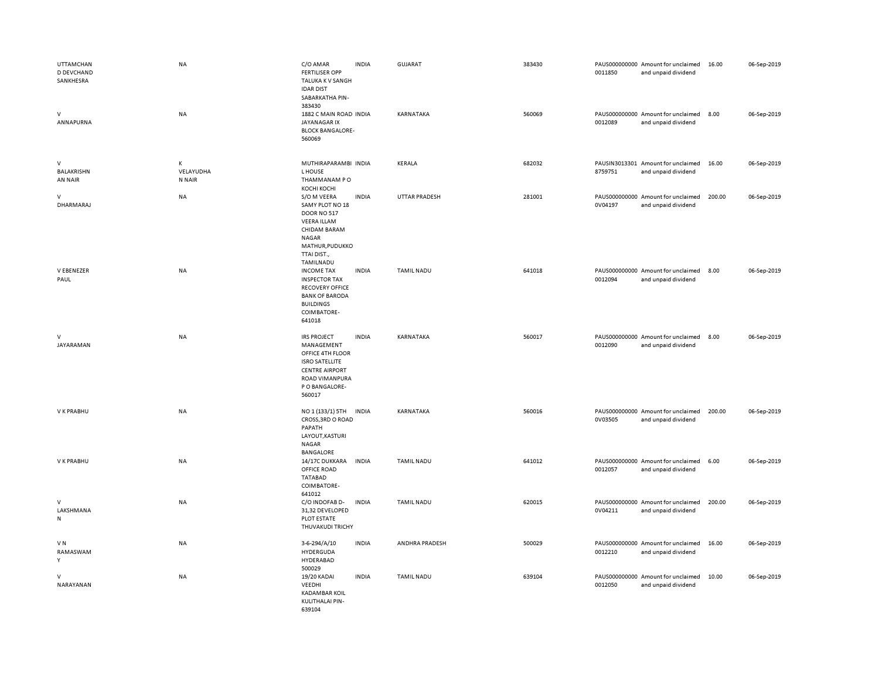| <b>UTTAMCHAN</b><br>D DEVCHAND<br>SANKHESRA<br>$\vee$ | <b>NA</b><br>NA          | C/O AMAR<br><b>FERTILISER OPP</b><br>TALUKA K V SANGH<br><b>IDAR DIST</b><br>SABARKATHA PIN-<br>383430<br>1882 C MAIN ROAD INDIA                     | <b>INDIA</b> | <b>GUJARAT</b><br>KARNATAKA | 383430<br>560069 | 0011850 | PAUS000000000 Amount for unclaimed<br>and unpaid dividend<br>PAUS000000000 Amount for unclaimed | 16.00<br>8.00 | 06-Sep-2019<br>06-Sep-2019 |
|-------------------------------------------------------|--------------------------|------------------------------------------------------------------------------------------------------------------------------------------------------|--------------|-----------------------------|------------------|---------|-------------------------------------------------------------------------------------------------|---------------|----------------------------|
| ANNAPURNA                                             |                          | JAYANAGAR IX<br><b>BLOCK BANGALORE-</b><br>560069                                                                                                    |              |                             |                  | 0012089 | and unpaid dividend                                                                             |               |                            |
| $\mathsf{V}$<br>BALAKRISHN<br>AN NAIR                 | Κ<br>VELAYUDHA<br>N NAIR | MUTHIRAPARAMBI INDIA<br>L HOUSE<br>THAMMANAM PO<br>КОСНІ КОСНІ                                                                                       |              | KERALA                      | 682032           | 8759751 | PAUSIN3013301 Amount for unclaimed<br>and unpaid dividend                                       | 16.00         | 06-Sep-2019                |
| $\mathsf{V}$<br>DHARMARAJ                             | NA                       | S/O M VEERA<br>SAMY PLOT NO 18<br><b>DOOR NO 517</b><br><b>VEERA ILLAM</b><br>CHIDAM BARAM<br>NAGAR<br>MATHUR, PUDUKKO<br>TTAI DIST.,<br>TAMILNADU   | <b>INDIA</b> | UTTAR PRADESH               | 281001           | 0V04197 | PAUS000000000 Amount for unclaimed<br>and unpaid dividend                                       | 200.00        | 06-Sep-2019                |
| V EBENEZER<br>PAUL                                    | <b>NA</b>                | <b>INCOME TAX</b><br><b>INSPECTOR TAX</b><br><b>RECOVERY OFFICE</b><br><b>BANK OF BARODA</b><br><b>BUILDINGS</b><br>COIMBATORE-<br>641018            | <b>INDIA</b> | <b>TAMIL NADU</b>           | 641018           | 0012094 | PAUS000000000 Amount for unclaimed<br>and unpaid dividend                                       | 8.00          | 06-Sep-2019                |
| $\mathsf{V}$<br>JAYARAMAN                             | NA                       | <b>IRS PROJECT</b><br>MANAGEMENT<br>OFFICE 4TH FLOOR<br><b>ISRO SATELLITE</b><br><b>CENTRE AIRPORT</b><br>ROAD VIMANPURA<br>P O BANGALORE-<br>560017 | <b>INDIA</b> | KARNATAKA                   | 560017           | 0012090 | PAUS000000000 Amount for unclaimed<br>and unpaid dividend                                       | 8.00          | 06-Sep-2019                |
| V K PRABHU                                            | NA                       | NO 1 (133/1) 5TH<br>CROSS, 3RD O ROAD<br>PAPATH<br>LAYOUT, KASTURI<br><b>NAGAR</b><br>BANGALORE                                                      | <b>INDIA</b> | KARNATAKA                   | 560016           | 0V03505 | PAUS000000000 Amount for unclaimed<br>and unpaid dividend                                       | 200.00        | 06-Sep-2019                |
| V K PRABHU                                            | NA                       | 14/17C DUKKARA INDIA<br>OFFICE ROAD<br><b>TATABAD</b><br>COIMBATORE-<br>641012                                                                       |              | <b>TAMIL NADU</b>           | 641012           | 0012057 | PAUS000000000 Amount for unclaimed<br>and unpaid dividend                                       | 6.00          | 06-Sep-2019                |
| $\vee$<br>LAKSHMANA<br>${\sf N}$                      | <b>NA</b>                | C/O INDOFAB D-<br>31,32 DEVELOPED<br>PLOT ESTATE<br>THUVAKUDI TRICHY                                                                                 | <b>INDIA</b> | <b>TAMIL NADU</b>           | 620015           | 0V04211 | PAUS000000000 Amount for unclaimed<br>and unpaid dividend                                       | 200.00        | 06-Sep-2019                |
| VN<br>RAMASWAM<br>Y                                   | <b>NA</b>                | 3-6-294/A/10<br>HYDERGUDA<br>HYDERABAD<br>500029                                                                                                     | <b>INDIA</b> | ANDHRA PRADESH              | 500029           | 0012210 | PAUS000000000 Amount for unclaimed<br>and unpaid dividend                                       | 16.00         | 06-Sep-2019                |
| $\vee$<br>NARAYANAN                                   | <b>NA</b>                | 19/20 KADAI<br>VEEDHI<br><b>KADAMBAR KOIL</b><br>KULITHALAI PIN-<br>639104                                                                           | <b>INDIA</b> | <b>TAMIL NADU</b>           | 639104           | 0012050 | PAUS000000000 Amount for unclaimed<br>and unpaid dividend                                       | 10.00         | 06-Sep-2019                |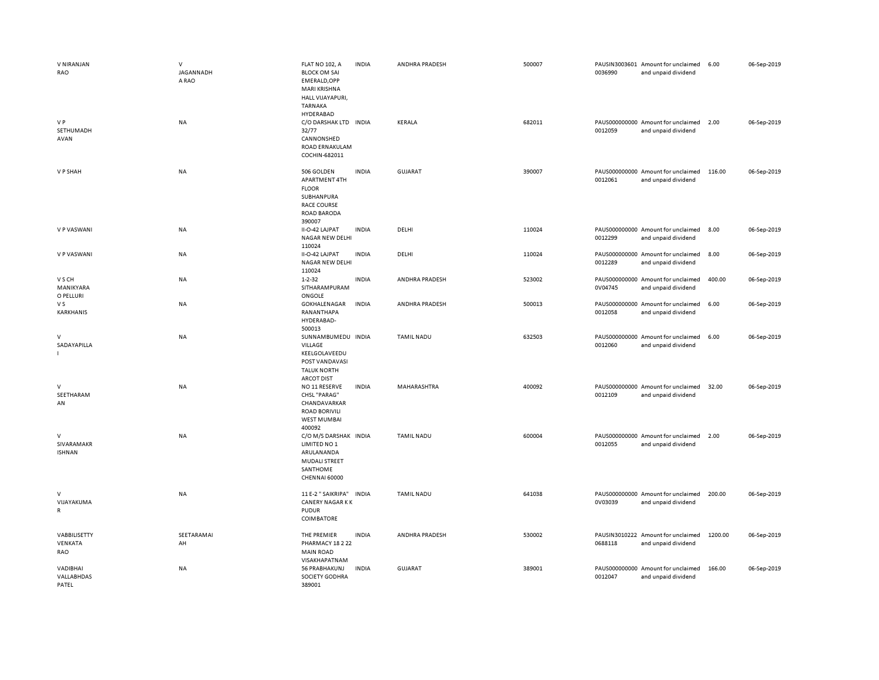| V NIRANJAN<br>RAO                          | $\vee$<br>JAGANNADH<br>A RAO | <b>FLAT NO 102, A</b><br><b>BLOCK OM SAI</b><br>EMERALD, OPP<br>MARI KRISHNA<br><b>HALL VIJAYAPURI,</b><br>TARNAKA<br>HYDERABAD | <b>INDIA</b> | ANDHRA PRADESH    | 500007 | 0036990 | PAUSIN3003601 Amount for unclaimed<br>and unpaid dividend | 6.00    | 06-Sep-2019 |
|--------------------------------------------|------------------------------|---------------------------------------------------------------------------------------------------------------------------------|--------------|-------------------|--------|---------|-----------------------------------------------------------|---------|-------------|
| V P<br>SETHUMADH<br>AVAN                   | NA                           | C/O DARSHAK LTD INDIA<br>32/77<br>CANNONSHED<br>ROAD ERNAKULAM<br>COCHIN-682011                                                 |              | KERALA            | 682011 | 0012059 | PAUS000000000 Amount for unclaimed<br>and unpaid dividend | 2.00    | 06-Sep-2019 |
| V P SHAH                                   | NA                           | 506 GOLDEN<br>APARTMENT 4TH<br><b>FLOOR</b><br>SUBHANPURA<br><b>RACE COURSE</b><br><b>ROAD BARODA</b><br>390007                 | <b>INDIA</b> | GUJARAT           | 390007 | 0012061 | PAUS000000000 Amount for unclaimed<br>and unpaid dividend | 116.00  | 06-Sep-2019 |
| V P VASWANI                                | <b>NA</b>                    | II-O-42 LAJPAT<br>NAGAR NEW DELHI<br>110024                                                                                     | <b>INDIA</b> | DELHI             | 110024 | 0012299 | PAUS000000000 Amount for unclaimed<br>and unpaid dividend | 8.00    | 06-Sep-2019 |
| V P VASWANI                                | NA                           | II-O-42 LAJPAT<br>NAGAR NEW DELHI<br>110024                                                                                     | <b>INDIA</b> | DELHI             | 110024 | 0012289 | PAUS000000000 Amount for unclaimed<br>and unpaid dividend | 8.00    | 06-Sep-2019 |
| V S CH<br>MANIKYARA<br>O PELLURI           | NA                           | $1 - 2 - 32$<br>SITHARAMPURAM<br>ONGOLE                                                                                         | <b>INDIA</b> | ANDHRA PRADESH    | 523002 | 0V04745 | PAUS000000000 Amount for unclaimed<br>and unpaid dividend | 400.00  | 06-Sep-2019 |
| V S<br>KARKHANIS                           | NA                           | GOKHALENAGAR<br>RANANTHAPA<br>HYDERABAD-<br>500013                                                                              | <b>INDIA</b> | ANDHRA PRADESH    | 500013 | 0012058 | PAUS000000000 Amount for unclaimed<br>and unpaid dividend | 6.00    | 06-Sep-2019 |
| V<br>SADAYAPILLA<br>$\mathbf{L}$           | NA                           | SUNNAMBUMEDU INDIA<br>VILLAGE<br>KEELGOLAVEEDU<br>POST VANDAVASI<br><b>TALUK NORTH</b><br><b>ARCOT DIST</b>                     |              | <b>TAMIL NADU</b> | 632503 | 0012060 | PAUS000000000 Amount for unclaimed<br>and unpaid dividend | 6.00    | 06-Sep-2019 |
| V<br>SEETHARAM<br>AN                       | <b>NA</b>                    | NO 11 RESERVE<br><b>CHSL "PARAG"</b><br>CHANDAVARKAR<br><b>ROAD BORIVILI</b><br><b>WEST MUMBAI</b><br>400092                    | <b>INDIA</b> | MAHARASHTRA       | 400092 | 0012109 | PAUS000000000 Amount for unclaimed<br>and unpaid dividend | 32.00   | 06-Sep-2019 |
| V<br>SIVARAMAKR<br><b>ISHNAN</b>           | NA                           | C/O M/S DARSHAK INDIA<br>LIMITED NO 1<br>ARULANANDA<br><b>MUDALI STREET</b><br>SANTHOME<br>CHENNAI 60000                        |              | TAMIL NADU        | 600004 | 0012055 | PAUS000000000 Amount for unclaimed<br>and unpaid dividend | 2.00    | 06-Sep-2019 |
| $\mathsf{V}$<br>VIJAYAKUMA<br>$\mathsf{R}$ | NA                           | 11 E-2 " SAIKRIPA" INDIA<br><b>CANERY NAGAR KK</b><br><b>PUDUR</b><br>COIMBATORE                                                |              | <b>TAMIL NADU</b> | 641038 | 0V03039 | PAUS000000000 Amount for unclaimed<br>and unpaid dividend | 200.00  | 06-Sep-2019 |
| VABBILISETTY<br>VENKATA<br>RAO             | SEETARAMAI<br>AH             | THE PREMIER<br>PHARMACY 18 2 22<br><b>MAIN ROAD</b><br>VISAKHAPATNAM                                                            | <b>INDIA</b> | ANDHRA PRADESH    | 530002 | 0688118 | PAUSIN3010222 Amount for unclaimed<br>and unpaid dividend | 1200.00 | 06-Sep-2019 |
| VADIBHAI<br>VALLABHDAS<br>PATEL            | <b>NA</b>                    | 56 PRABHAKUNJ<br>SOCIETY GODHRA<br>389001                                                                                       | <b>INDIA</b> | <b>GUJARAT</b>    | 389001 | 0012047 | PAUS000000000 Amount for unclaimed<br>and unpaid dividend | 166.00  | 06-Sep-2019 |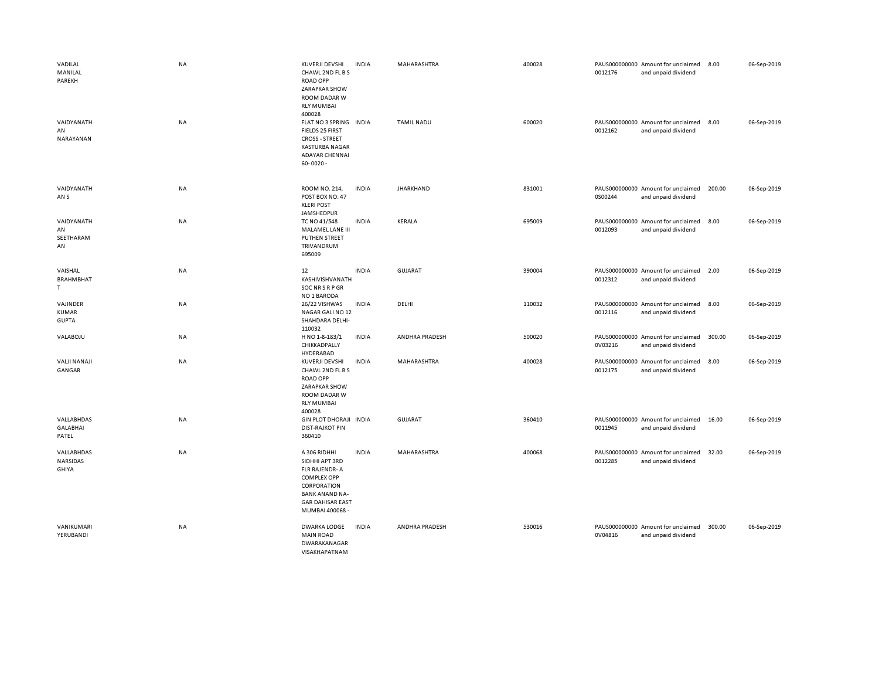| VADILAL<br>MANILAL<br>PAREKH<br>VAIDYANATH<br>AN<br>NARAYANAN | NA<br>NA  | KUVERJI DEVSHI<br>CHAWL 2ND FL B S<br><b>ROAD OPP</b><br>ZARAPKAR SHOW<br>ROOM DADAR W<br><b>RLY MUMBAI</b><br>400028<br>FLAT NO 3 SPRING INDIA<br>FIELDS 25 FIRST<br><b>CROSS - STREET</b><br><b>KASTURBA NAGAR</b><br><b>ADAYAR CHENNAI</b><br>$60 - 0020 -$ | <b>INDIA</b> | MAHARASHTRA<br><b>TAMIL NADU</b> | 400028<br>600020 | 0012176<br>0012162 | PAUS000000000 Amount for unclaimed<br>and unpaid dividend<br>PAUS000000000 Amount for unclaimed<br>and unpaid dividend | 8.00<br>8.00 | 06-Sep-2019<br>06-Sep-2019 |
|---------------------------------------------------------------|-----------|----------------------------------------------------------------------------------------------------------------------------------------------------------------------------------------------------------------------------------------------------------------|--------------|----------------------------------|------------------|--------------------|------------------------------------------------------------------------------------------------------------------------|--------------|----------------------------|
| VAIDYANATH<br>AN S                                            | NA        | ROOM NO. 214,<br>POST BOX NO. 47<br><b>XLERI POST</b><br>JAMSHEDPUR                                                                                                                                                                                            | <b>INDIA</b> | <b>JHARKHAND</b>                 | 831001           | 0S00244            | PAUS000000000 Amount for unclaimed<br>and unpaid dividend                                                              | 200.00       | 06-Sep-2019                |
| VAIDYANATH<br>AN<br>SEETHARAM<br>AN                           | NA        | TC NO 41/548<br>MALAMEL LANE III<br>PUTHEN STREET<br>TRIVANDRUM<br>695009                                                                                                                                                                                      | <b>INDIA</b> | KERALA                           | 695009           | 0012093            | PAUS000000000 Amount for unclaimed<br>and unpaid dividend                                                              | 8.00         | 06-Sep-2019                |
| VAISHAL<br><b>BRAHMBHAT</b><br>T.                             | NA        | 12<br>KASHIVISHVANATH<br>SOC NR S R P GR<br>NO 1 BARODA                                                                                                                                                                                                        | <b>INDIA</b> | <b>GUJARAT</b>                   | 390004           | 0012312            | PAUS000000000 Amount for unclaimed<br>and unpaid dividend                                                              | 2.00         | 06-Sep-2019                |
| VAJINDER<br><b>KUMAR</b><br><b>GUPTA</b>                      | <b>NA</b> | 26/22 VISHWAS<br>NAGAR GALI NO 12<br>SHAHDARA DELHI-<br>110032                                                                                                                                                                                                 | <b>INDIA</b> | DELHI                            | 110032           | 0012116            | PAUS000000000 Amount for unclaimed<br>and unpaid dividend                                                              | 8.00         | 06-Sep-2019                |
| VALABOJU                                                      | NA        | H NO 1-8-183/1<br>CHIKKADPALLY<br>HYDERABAD                                                                                                                                                                                                                    | <b>INDIA</b> | ANDHRA PRADESH                   | 500020           | 0V03216            | PAUS000000000 Amount for unclaimed<br>and unpaid dividend                                                              | 300.00       | 06-Sep-2019                |
| <b>VALJI NANAJI</b><br>GANGAR                                 | NA        | KUVERJI DEVSHI<br>CHAWL 2ND FL B S<br><b>ROAD OPP</b><br>ZARAPKAR SHOW<br><b>ROOM DADAR W</b><br><b>RLY MUMBAI</b><br>400028                                                                                                                                   | <b>INDIA</b> | MAHARASHTRA                      | 400028           | 0012175            | PAUS000000000 Amount for unclaimed<br>and unpaid dividend                                                              | 8.00         | 06-Sep-2019                |
| VALLABHDAS<br><b>GALABHAI</b><br>PATEL                        | NA        | GIN PLOT DHORAJI INDIA<br><b>DIST-RAJKOT PIN</b><br>360410                                                                                                                                                                                                     |              | <b>GUJARAT</b>                   | 360410           | 0011945            | PAUS000000000 Amount for unclaimed<br>and unpaid dividend                                                              | 16.00        | 06-Sep-2019                |
| VALLABHDAS<br>NARSIDAS<br>GHIYA                               | NA        | A 306 RIDHHI<br>SIDHHI APT 3RD<br><b>FLR RAJENDR-A</b><br><b>COMPLEX OPP</b><br>CORPORATION<br><b>BANK ANAND NA-</b><br><b>GAR DAHISAR EAST</b><br>MUMBAI 400068 -                                                                                             | <b>INDIA</b> | MAHARASHTRA                      | 400068           | 0012285            | PAUS000000000 Amount for unclaimed<br>and unpaid dividend                                                              | 32.00        | 06-Sep-2019                |
| VANIKUMARI<br>YERUBANDI                                       | NA        | <b>DWARKA LODGE</b><br><b>MAIN ROAD</b><br>DWARAKANAGAR<br>VISAKHAPATNAM                                                                                                                                                                                       | <b>INDIA</b> | ANDHRA PRADESH                   | 530016           | 0V04816            | PAUS000000000 Amount for unclaimed<br>and unpaid dividend                                                              | 300.00       | 06-Sep-2019                |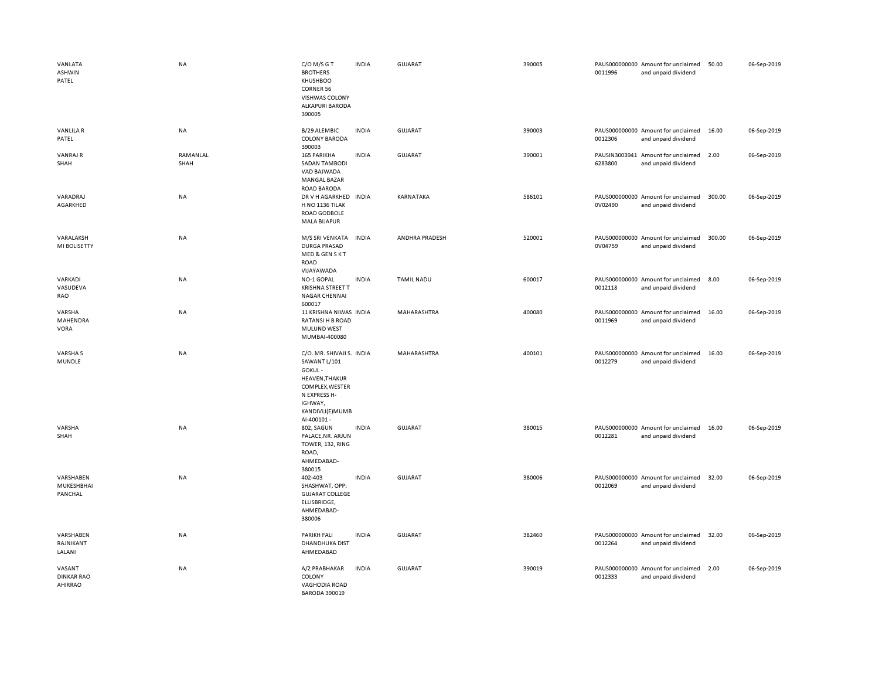| VANLATA<br>ASHWIN<br>PATEL             | <b>NA</b>        | C/O M/S G T<br><b>BROTHERS</b><br>KHUSHBOO<br><b>CORNER 56</b><br>VISHWAS COLONY<br><b>ALKAPURI BARODA</b><br>390005                                         | <b>INDIA</b> | <b>GUJARAT</b>    | 390005 | 0011996 | PAUS000000000 Amount for unclaimed<br>and unpaid dividend | 50.00  | 06-Sep-2019 |
|----------------------------------------|------------------|--------------------------------------------------------------------------------------------------------------------------------------------------------------|--------------|-------------------|--------|---------|-----------------------------------------------------------|--------|-------------|
| <b>VANLILAR</b><br>PATEL               | NA               | B/29 ALEMBIC<br><b>COLONY BARODA</b><br>390003                                                                                                               | <b>INDIA</b> | <b>GUJARAT</b>    | 390003 | 0012306 | PAUS000000000 Amount for unclaimed<br>and unpaid dividend | 16.00  | 06-Sep-2019 |
| <b>VANRAJ R</b><br>SHAH                | RAMANLAL<br>SHAH | <b>165 PARIKHA</b><br><b>SADAN TAMBODI</b><br>VAD BAJWADA<br><b>MANGAL BAZAR</b><br>ROAD BARODA                                                              | <b>INDIA</b> | GUJARAT           | 390001 | 6283800 | PAUSIN3003941 Amount for unclaimed<br>and unpaid dividend | 2.00   | 06-Sep-2019 |
| VARADRAJ<br>AGARKHED                   | <b>NA</b>        | DR V H AGARKHED INDIA<br>H NO 1136 TILAK<br>ROAD GODBOLE<br><b>MALA BIJAPUR</b>                                                                              |              | KARNATAKA         | 586101 | 0V02490 | PAUS000000000 Amount for unclaimed<br>and unpaid dividend | 300.00 | 06-Sep-2019 |
| VARALAKSH<br>MI BOLISETTY              | NA               | M/S SRI VENKATA<br><b>DURGA PRASAD</b><br>MED & GEN S K T<br>ROAD<br>VIJAYAWADA                                                                              | <b>INDIA</b> | ANDHRA PRADESH    | 520001 | 0V04759 | PAUS000000000 Amount for unclaimed<br>and unpaid dividend | 300.00 | 06-Sep-2019 |
| VARKADI<br>VASUDEVA<br>RAO             | <b>NA</b>        | NO-1 GOPAL<br><b>KRISHNA STREET T</b><br>NAGAR CHENNAI<br>600017                                                                                             | <b>INDIA</b> | <b>TAMIL NADU</b> | 600017 | 0012118 | PAUS000000000 Amount for unclaimed<br>and unpaid dividend | 8.00   | 06-Sep-2019 |
| VARSHA<br>MAHENDRA<br>VORA             | NA               | 11 KRISHNA NIWAS INDIA<br><b>RATANSI H B ROAD</b><br>MULUND WEST<br>MUMBAI-400080                                                                            |              | MAHARASHTRA       | 400080 | 0011969 | PAUS000000000 Amount for unclaimed<br>and unpaid dividend | 16.00  | 06-Sep-2019 |
| <b>VARSHAS</b><br>MUNDLE               | NA               | C/O. MR. SHIVAJI S. INDIA<br>SAWANT L/101<br>GOKUL-<br><b>HEAVEN, THAKUR</b><br>COMPLEX, WESTER<br>N EXPRESS H-<br>IGHWAY,<br>KANDIVLI(E)MUMB<br>Al-400101 - |              | MAHARASHTRA       | 400101 | 0012279 | PAUS000000000 Amount for unclaimed<br>and unpaid dividend | 16.00  | 06-Sep-2019 |
| VARSHA<br>SHAH                         | NA               | 802, SAGUN<br>PALACE, NR. ARJUN<br>TOWER, 132, RING<br>ROAD,<br>AHMEDABAD-<br>380015                                                                         | <b>INDIA</b> | <b>GUJARAT</b>    | 380015 | 0012281 | PAUS000000000 Amount for unclaimed<br>and unpaid dividend | 16.00  | 06-Sep-2019 |
| VARSHABEN<br>MUKESHBHAI<br>PANCHAL     | NA               | 402-403<br>SHASHWAT, OPP:<br><b>GUJARAT COLLEGE</b><br>ELLISBRIDGE,<br>AHMEDABAD-<br>380006                                                                  | <b>INDIA</b> | GUJARAT           | 380006 | 0012069 | PAUS000000000 Amount for unclaimed<br>and unpaid dividend | 32.00  | 06-Sep-2019 |
| VARSHABEN<br>RAJNIKANT<br>LALANI       | NA               | <b>PARIKH FALI</b><br>DHANDHUKA DIST<br>AHMEDABAD                                                                                                            | <b>INDIA</b> | GUJARAT           | 382460 | 0012264 | PAUS000000000 Amount for unclaimed<br>and unpaid dividend | 32.00  | 06-Sep-2019 |
| VASANT<br><b>DINKAR RAO</b><br>AHIRRAO | NA               | A/2 PRABHAKAR<br>COLONY<br><b>VAGHODIA ROAD</b><br><b>BARODA 390019</b>                                                                                      | <b>INDIA</b> | <b>GUJARAT</b>    | 390019 | 0012333 | PAUS000000000 Amount for unclaimed<br>and unpaid dividend | 2.00   | 06-Sep-2019 |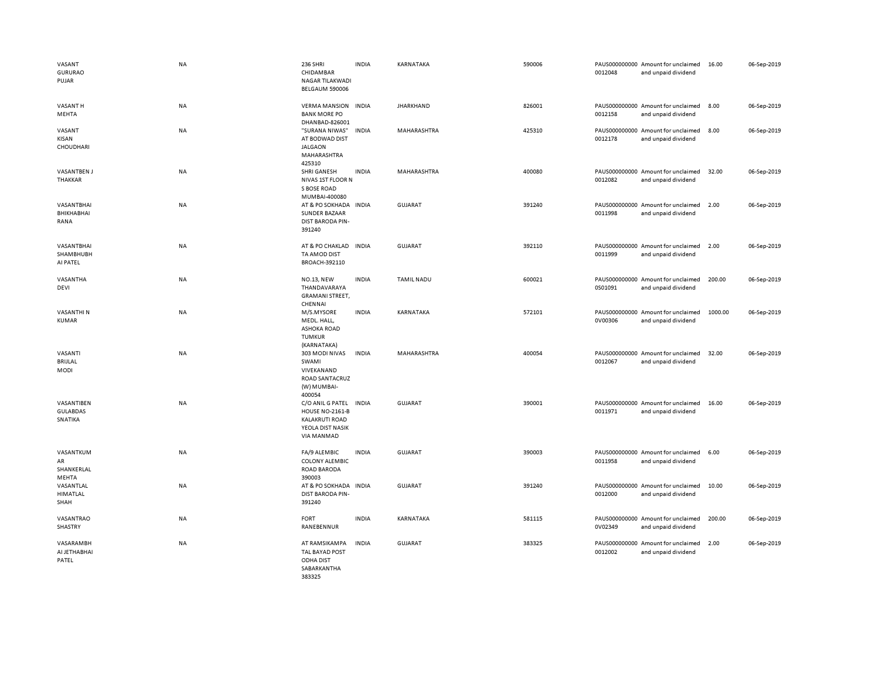| VASANT<br><b>GURURAO</b><br>PUJAR        | NA | 236 SHRI<br>CHIDAMBAR<br>NAGAR TILAKWADI<br>BELGAUM 590006                                            | <b>INDIA</b> | KARNATAKA         | 590006 | 0012048 | PAUS000000000 Amount for unclaimed<br>and unpaid dividend | 16.00   | 06-Sep-2019 |
|------------------------------------------|----|-------------------------------------------------------------------------------------------------------|--------------|-------------------|--------|---------|-----------------------------------------------------------|---------|-------------|
| VASANT H<br>MEHTA                        | NA | <b>VERMA MANSION</b><br><b>BANK MORE PO</b><br>DHANBAD-826001                                         | <b>INDIA</b> | <b>JHARKHAND</b>  | 826001 | 0012158 | PAUS000000000 Amount for unclaimed<br>and unpaid dividend | 8.00    | 06-Sep-2019 |
| VASANT<br>KISAN<br>CHOUDHARI             | NA | "SURANA NIWAS"<br>AT BODWAD DIST<br><b>JALGAON</b><br>MAHARASHTRA<br>425310                           | <b>INDIA</b> | MAHARASHTRA       | 425310 | 0012178 | PAUS000000000 Amount for unclaimed<br>and unpaid dividend | 8.00    | 06-Sep-2019 |
| <b>VASANTBEN J</b><br>THAKKAR            | NA | SHRI GANESH<br>NIVAS 1ST FLOOR N<br>S BOSE ROAD<br>MUMBAI-400080                                      | <b>INDIA</b> | MAHARASHTRA       | 400080 | 0012082 | PAUS000000000 Amount for unclaimed<br>and unpaid dividend | 32.00   | 06-Sep-2019 |
| VASANTBHAI<br>BHIKHABHAI<br>RANA         | NA | AT & PO SOKHADA<br>SUNDER BAZAAR<br><b>DIST BARODA PIN-</b><br>391240                                 | <b>INDIA</b> | <b>GUJARAT</b>    | 391240 | 0011998 | PAUS000000000 Amount for unclaimed<br>and unpaid dividend | 2.00    | 06-Sep-2019 |
| VASANTBHAI<br>SHAMBHUBH<br>AI PATEL      | NA | AT & PO CHAKLAD<br>TA AMOD DIST<br>BROACH-392110                                                      | <b>INDIA</b> | <b>GUJARAT</b>    | 392110 | 0011999 | PAUS000000000 Amount for unclaimed<br>and unpaid dividend | 2.00    | 06-Sep-2019 |
| VASANTHA<br>DEVI                         | NA | <b>NO.13, NEW</b><br>THANDAVARAYA<br><b>GRAMANI STREET,</b><br>CHENNAI                                | <b>INDIA</b> | <b>TAMIL NADU</b> | 600021 | 0S01091 | PAUS000000000 Amount for unclaimed<br>and unpaid dividend | 200.00  | 06-Sep-2019 |
| <b>VASANTHIN</b><br><b>KUMAR</b>         | NA | M/S.MYSORE<br>MEDL. HALL,<br><b>ASHOKA ROAD</b><br><b>TUMKUR</b><br>(KARNATAKA)                       | <b>INDIA</b> | KARNATAKA         | 572101 | 0V00306 | PAUS000000000 Amount for unclaimed<br>and unpaid dividend | 1000.00 | 06-Sep-2019 |
| VASANTI<br>BRIJLAL<br>MODI               | NA | 303 MODI NIVAS<br>SWAMI<br>VIVEKANAND<br>ROAD SANTACRUZ<br>(W) MUMBAI-<br>400054                      | <b>INDIA</b> | MAHARASHTRA       | 400054 | 0012067 | PAUS000000000 Amount for unclaimed<br>and unpaid dividend | 32.00   | 06-Sep-2019 |
| VASANTIBEN<br><b>GULABDAS</b><br>SNATIKA | NA | C/O ANIL G PATEL<br><b>HOUSE NO-2161-B</b><br><b>KALAKRUTI ROAD</b><br>YEOLA DIST NASIK<br>VIA MANMAD | <b>INDIA</b> | GUJARAT           | 390001 | 0011971 | PAUS000000000 Amount for unclaimed<br>and unpaid dividend | 16.00   | 06-Sep-2019 |
| VASANTKUM<br>AR<br>SHANKERLAL<br>MEHTA   | NA | FA/9 ALEMBIC<br><b>COLONY ALEMBIC</b><br><b>ROAD BARODA</b><br>390003                                 | <b>INDIA</b> | GUJARAT           | 390003 | 0011958 | PAUS000000000 Amount for unclaimed<br>and unpaid dividend | 6.00    | 06-Sep-2019 |
| VASANTLAL<br>HIMATLAL<br>SHAH            | NA | AT & PO SOKHADA INDIA<br><b>DIST BARODA PIN-</b><br>391240                                            |              | <b>GUJARAT</b>    | 391240 | 0012000 | PAUS000000000 Amount for unclaimed<br>and unpaid dividend | 10.00   | 06-Sep-2019 |
| VASANTRAO<br>SHASTRY                     | NA | <b>FORT</b><br>RANEBENNUR                                                                             | <b>INDIA</b> | KARNATAKA         | 581115 | 0V02349 | PAUS000000000 Amount for unclaimed<br>and unpaid dividend | 200.00  | 06-Sep-2019 |
| VASARAMBH<br>AI JETHABHAI<br>PATEL       | NA | AT RAMSIKAMPA<br>TAL BAYAD POST<br>ODHA DIST<br>SABARKANTHA<br>383325                                 | <b>INDIA</b> | <b>GUJARAT</b>    | 383325 | 0012002 | PAUS000000000 Amount for unclaimed<br>and unpaid dividend | 2.00    | 06-Sep-2019 |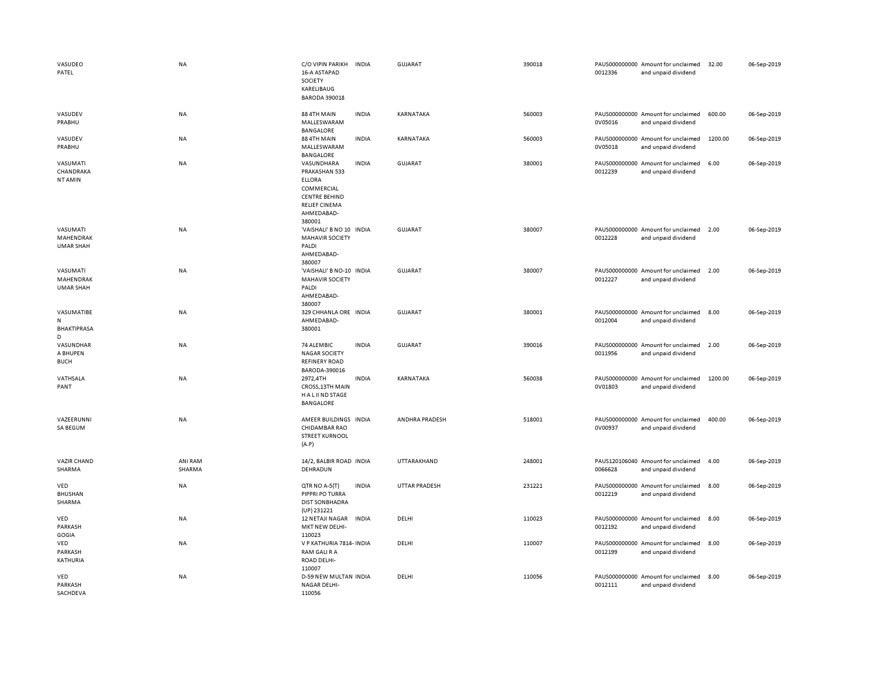| VASUDEO<br>PATEL                           | <b>NA</b>         | C/O VIPIN PARIKH<br>16-A ASTAPAD<br>SOCIETY<br>KARELIBAUG<br><b>BARODA 390018</b>                                                  | <b>INDIA</b> | <b>GUJARAT</b>       | 390018 | 0012336 | PAUS000000000 Amount for unclaimed<br>and unpaid dividend | 32.00   | 06-Sep-2019 |
|--------------------------------------------|-------------------|------------------------------------------------------------------------------------------------------------------------------------|--------------|----------------------|--------|---------|-----------------------------------------------------------|---------|-------------|
| VASUDEV<br>PRABHU                          | <b>NA</b>         | 88 4TH MAIN<br>MALLESWARAM<br>BANGALORE                                                                                            | <b>INDIA</b> | KARNATAKA            | 560003 | 0V05016 | PAUS000000000 Amount for unclaimed<br>and unpaid dividend | 600.00  | 06-Sep-2019 |
| VASUDEV<br>PRABHU                          | <b>NA</b>         | 88 4TH MAIN<br>MALLESWARAM<br>BANGALORE                                                                                            | <b>INDIA</b> | KARNATAKA            | 560003 | 0V05018 | PAUS000000000 Amount for unclaimed<br>and unpaid dividend | 1200.00 | 06-Sep-2019 |
| VASUMATI<br>CHANDRAKA<br>NT AMIN           | <b>NA</b>         | VASUNDHARA<br>PRAKASHAN 533<br><b>ELLORA</b><br>COMMERCIAL<br><b>CENTRE BEHIND</b><br><b>RELIEF CINEMA</b><br>AHMEDABAD-<br>380001 | <b>INDIA</b> | <b>GUJARAT</b>       | 380001 | 0012239 | PAUS000000000 Amount for unclaimed<br>and unpaid dividend | 6.00    | 06-Sep-2019 |
| VASUMATI<br>MAHENDRAK<br><b>UMAR SHAH</b>  | NA                | 'VAISHALI' B NO 10 INDIA<br><b>MAHAVIR SOCIETY</b><br>PALDI<br>AHMEDABAD-<br>380007                                                |              | GUJARAT              | 380007 | 0012228 | PAUS000000000 Amount for unclaimed<br>and unpaid dividend | 2.00    | 06-Sep-2019 |
| VASUMATI<br>MAHENDRAK<br><b>UMAR SHAH</b>  | NA                | 'VAISHALI' B NO-10 INDIA<br><b>MAHAVIR SOCIETY</b><br>PALDI<br>AHMEDABAD-<br>380007                                                |              | GUJARAT              | 380007 | 0012227 | PAUS000000000 Amount for unclaimed<br>and unpaid dividend | 2.00    | 06-Sep-2019 |
| VASUMATIBE<br>N<br><b>BHAKTIPRASA</b><br>D | <b>NA</b>         | 329 CHHANLA ORE INDIA<br>AHMEDABAD-<br>380001                                                                                      |              | <b>GUJARAT</b>       | 380001 | 0012004 | PAUS000000000 Amount for unclaimed<br>and unpaid dividend | 8.00    | 06-Sep-2019 |
| VASUNDHAR<br>A BHUPEN<br><b>BUCH</b>       | <b>NA</b>         | 74 ALEMBIC<br><b>NAGAR SOCIETY</b><br><b>REFINERY ROAD</b><br>BARODA-390016                                                        | <b>INDIA</b> | <b>GUJARAT</b>       | 390016 | 0011956 | PAUS000000000 Amount for unclaimed<br>and unpaid dividend | 2.00    | 06-Sep-2019 |
| VATHSALA<br>PANT                           | <b>NA</b>         | 2972,4TH<br><b>CROSS, 13TH MAIN</b><br>H A L II ND STAGE<br>BANGALORE                                                              | <b>INDIA</b> | KARNATAKA            | 560038 | 0V01803 | PAUS000000000 Amount for unclaimed<br>and unpaid dividend | 1200.00 | 06-Sep-2019 |
| VAZEERUNNI<br>SA BEGUM                     | <b>NA</b>         | AMEER BUILDINGS INDIA<br><b>CHIDAMBAR RAO</b><br><b>STREET KURNOOL</b><br>(A.P)                                                    |              | ANDHRA PRADESH       | 518001 | 0V00937 | PAUS000000000 Amount for unclaimed<br>and unpaid dividend | 400.00  | 06-Sep-2019 |
| <b>VAZIR CHAND</b><br>SHARMA               | ANI RAM<br>SHARMA | 14/2, BALBIR ROAD INDIA<br>DEHRADUN                                                                                                |              | UTTARAKHAND          | 248001 | 0066628 | PAUS120106040 Amount for unclaimed<br>and unpaid dividend | 4.00    | 06-Sep-2019 |
| VED<br><b>BHUSHAN</b><br>SHARMA            | <b>NA</b>         | QTR NO A-5(T)<br>PIPPRI PO TURRA<br><b>DIST SON BHADRA</b><br>(UP) 231221                                                          | <b>INDIA</b> | <b>UTTAR PRADESH</b> | 231221 | 0012219 | PAUS000000000 Amount for unclaimed<br>and unpaid dividend | 8.00    | 06-Sep-2019 |
| VED<br>PARKASH<br>GOGIA                    | <b>NA</b>         | 12 NETAJI NAGAR<br>MKT NEW DELHI-<br>110023                                                                                        | <b>INDIA</b> | DELHI                | 110023 | 0012192 | PAUS000000000 Amount for unclaimed<br>and unpaid dividend | 8.00    | 06-Sep-2019 |
| VED<br>PARKASH<br>KATHURIA                 | <b>NA</b>         | V P KATHURIA 7814- INDIA<br>RAM GALI R A<br>ROAD DELHI-<br>110007                                                                  |              | DELHI                | 110007 | 0012199 | PAUS000000000 Amount for unclaimed<br>and unpaid dividend | 8.00    | 06-Sep-2019 |
| VED<br>PARKASH<br>SACHDEVA                 | NA                | D-59 NEW MULTAN INDIA<br><b>NAGAR DELHI-</b><br>110056                                                                             |              | DELHI                | 110056 | 0012111 | PAUS000000000 Amount for unclaimed<br>and unpaid dividend | 8.00    | 06-Sep-2019 |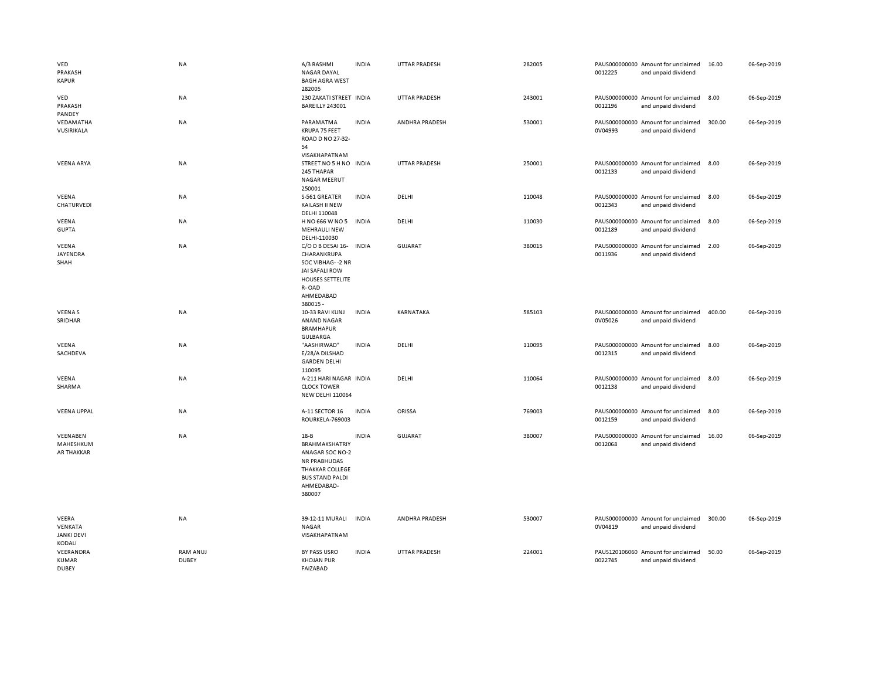| VED<br>PRAKASH<br><b>KAPUR</b>                  | <b>NA</b>                | A/3 RASHMI<br><b>NAGAR DAYAL</b><br><b>BAGH AGRA WEST</b><br>282005                                                                                     | <b>INDIA</b> | <b>UTTAR PRADESH</b> | 282005 | 0012225 | PAUS000000000 Amount for unclaimed<br>and unpaid dividend | 16.00  | 06-Sep-2019 |
|-------------------------------------------------|--------------------------|---------------------------------------------------------------------------------------------------------------------------------------------------------|--------------|----------------------|--------|---------|-----------------------------------------------------------|--------|-------------|
| VED<br>PRAKASH<br>PANDEY                        | NA                       | 230 ZAKATI STREET INDIA<br><b>BAREILLY 243001</b>                                                                                                       |              | UTTAR PRADESH        | 243001 | 0012196 | PAUS000000000 Amount for unclaimed<br>and unpaid dividend | 8.00   | 06-Sep-2019 |
| VEDAMATHA<br>VUSIRIKALA                         | <b>NA</b>                | PARAMATMA<br>KRUPA 75 FEET<br>ROAD D NO 27-32-<br>54<br>VISAKHAPATNAM                                                                                   | <b>INDIA</b> | ANDHRA PRADESH       | 530001 | 0V04993 | PAUS000000000 Amount for unclaimed<br>and unpaid dividend | 300.00 | 06-Sep-2019 |
| <b>VEENA ARYA</b>                               | <b>NA</b>                | STREET NO 5 H NO INDIA<br>245 THAPAR<br><b>NAGAR MEERUT</b><br>250001                                                                                   |              | <b>UTTAR PRADESH</b> | 250001 | 0012133 | PAUS000000000 Amount for unclaimed<br>and unpaid dividend | 8.00   | 06-Sep-2019 |
| VEENA<br>CHATURVEDI                             | <b>NA</b>                | S-561 GREATER<br>KAILASH II NEW<br>DELHI 110048                                                                                                         | <b>INDIA</b> | DELHI                | 110048 | 0012343 | PAUS000000000 Amount for unclaimed<br>and unpaid dividend | 8.00   | 06-Sep-2019 |
| VEENA<br><b>GUPTA</b>                           | <b>NA</b>                | H NO 666 W NO 5<br><b>MEHRAULI NEW</b><br>DELHI-110030                                                                                                  | <b>INDIA</b> | DELHI                | 110030 | 0012189 | PAUS000000000 Amount for unclaimed<br>and unpaid dividend | 8.00   | 06-Sep-2019 |
| VEENA<br>JAYENDRA<br>SHAH                       | NA                       | C/O D B DESAI 16-<br>CHARANKRUPA<br>SOC VIBHAG--2 NR<br><b>JAI SAFALI ROW</b><br><b>HOUSES SETTELITE</b><br>R-OAD<br>AHMEDABAD<br>380015 -              | <b>INDIA</b> | <b>GUJARAT</b>       | 380015 | 0011936 | PAUS000000000 Amount for unclaimed<br>and unpaid dividend | 2.00   | 06-Sep-2019 |
| <b>VEENAS</b><br>SRIDHAR                        | NA                       | 10-33 RAVI KUNJ<br>ANAND NAGAR<br><b>BRAMHAPUR</b><br><b>GULBARGA</b>                                                                                   | <b>INDIA</b> | KARNATAKA            | 585103 | 0V05026 | PAUS000000000 Amount for unclaimed<br>and unpaid dividend | 400.00 | 06-Sep-2019 |
| VEENA<br>SACHDEVA                               | NA                       | "AASHIRWAD"<br>E/28/A DILSHAD<br><b>GARDEN DELHI</b><br>110095                                                                                          | <b>INDIA</b> | DELHI                | 110095 | 0012315 | PAUS000000000 Amount for unclaimed<br>and unpaid dividend | 8.00   | 06-Sep-2019 |
| VEENA<br>SHARMA                                 | NA                       | A-211 HARI NAGAR INDIA<br><b>CLOCK TOWER</b><br><b>NEW DELHI 110064</b>                                                                                 |              | DELHI                | 110064 | 0012138 | PAUS000000000 Amount for unclaimed<br>and unpaid dividend | 8.00   | 06-Sep-2019 |
| <b>VEENA UPPAL</b>                              | NA                       | A-11 SECTOR 16<br>ROURKELA-769003                                                                                                                       | <b>INDIA</b> | ORISSA               | 769003 | 0012159 | PAUS000000000 Amount for unclaimed<br>and unpaid dividend | 8.00   | 06-Sep-2019 |
| VEENABEN<br>MAHESHKUM<br>AR THAKKAR             | <b>NA</b>                | $18 - B$<br><b>BRAHMAKSHATRIY</b><br>ANAGAR SOC NO-2<br><b>NR PRABHUDAS</b><br><b>THAKKAR COLLEGE</b><br><b>BUS STAND PALDI</b><br>AHMEDABAD-<br>380007 | <b>INDIA</b> | <b>GUJARAT</b>       | 380007 | 0012068 | PAUS000000000 Amount for unclaimed<br>and unpaid dividend | 16.00  | 06-Sep-2019 |
| VEERA<br>VENKATA<br><b>JANKI DEVI</b><br>KODALI | NA                       | 39-12-11 MURALI<br>NAGAR<br>VISAKHAPATNAM                                                                                                               | <b>INDIA</b> | ANDHRA PRADESH       | 530007 | 0V04819 | PAUS000000000 Amount for unclaimed<br>and unpaid dividend | 300.00 | 06-Sep-2019 |
| VEERANDRA<br><b>KUMAR</b><br><b>DUBEY</b>       | RAM ANUJ<br><b>DUBEY</b> | BY PASS USRO<br><b>KHOJAN PUR</b><br>FAIZABAD                                                                                                           | <b>INDIA</b> | <b>UTTAR PRADESH</b> | 224001 | 0022745 | PAUS120106060 Amount for unclaimed<br>and unpaid dividend | 50.00  | 06-Sep-2019 |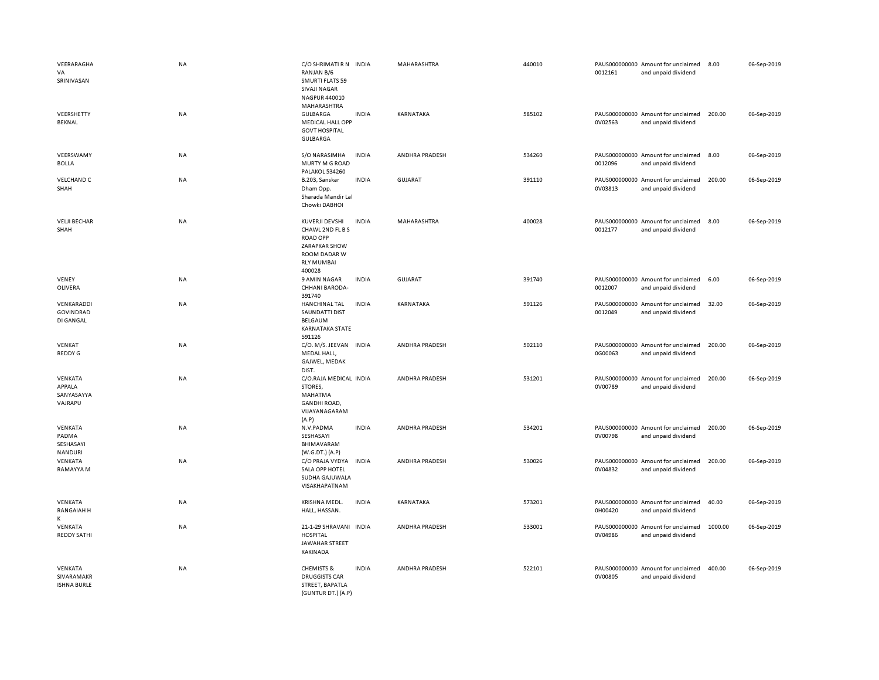| VEERARAGHA<br>VA<br>SRINIVASAN<br>VEERSHETTY<br><b>BEKNAL</b> | <b>NA</b><br>NA | C/O SHRIMATI R N INDIA<br>RANJAN B/6<br><b>SMURTI FLATS 59</b><br><b>SIVAJI NAGAR</b><br>NAGPUR 440010<br>MAHARASHTRA<br>GULBARGA<br><b>MEDICAL HALL OPP</b> | <b>INDIA</b> | <b>MAHARASHTRA</b><br>KARNATAKA | 440010<br>585102 | 0012161<br>0V02563 | PAUS000000000 Amount for unclaimed<br>and unpaid dividend<br>PAUS000000000 Amount for unclaimed<br>and unpaid dividend | 8.00<br>200.00 | 06-Sep-2019<br>06-Sep-2019 |
|---------------------------------------------------------------|-----------------|--------------------------------------------------------------------------------------------------------------------------------------------------------------|--------------|---------------------------------|------------------|--------------------|------------------------------------------------------------------------------------------------------------------------|----------------|----------------------------|
| VEERSWAMY                                                     | <b>NA</b>       | <b>GOVT HOSPITAL</b><br>GULBARGA<br>S/O NARASIMHA                                                                                                            | <b>INDIA</b> | ANDHRA PRADESH                  | 534260           |                    | PAUS000000000 Amount for unclaimed                                                                                     | 8.00           | 06-Sep-2019                |
| <b>BOLLA</b><br><b>VELCHAND C</b>                             | NA              | MURTY M G ROAD<br>PALAKOL 534260<br>B.203, Sanskar                                                                                                           | <b>INDIA</b> | <b>GUJARAT</b>                  | 391110           | 0012096            | and unpaid dividend<br>PAUS000000000 Amount for unclaimed                                                              | 200.00         | 06-Sep-2019                |
| SHAH                                                          |                 | Dham Opp.<br>Sharada Mandir Lal<br>Chowki DABHOI                                                                                                             |              |                                 |                  | 0V03813            | and unpaid dividend                                                                                                    |                |                            |
| <b>VELJI BECHAR</b><br>SHAH                                   | <b>NA</b>       | KUVERJI DEVSHI<br>CHAWL 2ND FL B S<br><b>ROAD OPP</b><br><b>ZARAPKAR SHOW</b><br>ROOM DADAR W<br><b>RLY MUMBAI</b><br>400028                                 | <b>INDIA</b> | MAHARASHTRA                     | 400028           | 0012177            | PAUS000000000 Amount for unclaimed<br>and unpaid dividend                                                              | 8.00           | 06-Sep-2019                |
| VENEY<br>OLIVERA                                              | NA              | 9 AMIN NAGAR<br>CHHANI BARODA-<br>391740                                                                                                                     | <b>INDIA</b> | <b>GUJARAT</b>                  | 391740           | 0012007            | PAUS000000000 Amount for unclaimed<br>and unpaid dividend                                                              | 6.00           | 06-Sep-2019                |
| VENKARADDI<br><b>GOVINDRAD</b><br>DI GANGAL                   | NA              | <b>HANCHINAL TAL</b><br>SAUNDATTI DIST<br><b>BELGAUM</b><br><b>KARNATAKA STATE</b><br>591126                                                                 | <b>INDIA</b> | KARNATAKA                       | 591126           | 0012049            | PAUS000000000 Amount for unclaimed<br>and unpaid dividend                                                              | 32.00          | 06-Sep-2019                |
| VENKAT<br>REDDY G                                             | NA              | C/O. M/S. JEEVAN INDIA<br>MEDAL HALL,<br>GAJWEL, MEDAK<br>DIST.                                                                                              |              | ANDHRA PRADESH                  | 502110           | 0G00063            | PAUS000000000 Amount for unclaimed<br>and unpaid dividend                                                              | 200.00         | 06-Sep-2019                |
| VENKATA<br>APPALA<br>SANYASAYYA<br>VAJRAPU                    | <b>NA</b>       | C/O.RAJA MEDICAL INDIA<br>STORES,<br>MAHATMA<br><b>GANDHI ROAD,</b><br>VIJAYANAGARAM<br>(A.P)                                                                |              | ANDHRA PRADESH                  | 531201           | 0V00789            | PAUS000000000 Amount for unclaimed<br>and unpaid dividend                                                              | 200.00         | 06-Sep-2019                |
| VENKATA<br>PADMA<br>SESHASAYI<br>NANDURI                      | NA              | N.V.PADMA<br>SESHASAYI<br>BHIMAVARAM<br>(W.G.DT.) (A.P)                                                                                                      | <b>INDIA</b> | ANDHRA PRADESH                  | 534201           | 0V00798            | PAUS000000000 Amount for unclaimed<br>and unpaid dividend                                                              | 200.00         | 06-Sep-2019                |
| VENKATA<br>RAMAYYA M                                          | NA              | C/O PRAJA VYDYA<br>SALA OPP HOTEL<br>SUDHA GAJUWALA<br>VISAKHAPATNAM                                                                                         | INDIA        | ANDHRA PRADESH                  | 530026           | 0V04832            | PAUS000000000 Amount for unclaimed<br>and unpaid dividend                                                              | 200.00         | 06-Sep-2019                |
| VENKATA<br><b>RANGAIAH H</b><br>K                             | NA              | KRISHNA MEDL.<br>HALL, HASSAN.                                                                                                                               | <b>INDIA</b> | KARNATAKA                       | 573201           | 0H00420            | PAUS000000000 Amount for unclaimed<br>and unpaid dividend                                                              | 40.00          | 06-Sep-2019                |
| VENKATA<br><b>REDDY SATHI</b>                                 | NA              | 21-1-29 SHRAVANI INDIA<br><b>HOSPITAL</b><br>JAWAHAR STREET<br>KAKINADA                                                                                      |              | ANDHRA PRADESH                  | 533001           | 0V04986            | PAUS000000000 Amount for unclaimed<br>and unpaid dividend                                                              | 1000.00        | 06-Sep-2019                |
| VENKATA<br>SIVARAMAKR<br><b>ISHNA BURLE</b>                   | <b>NA</b>       | <b>CHEMISTS &amp;</b><br><b>DRUGGISTS CAR</b><br>STREET, BAPATLA<br>(GUNTUR DT.) (A.P)                                                                       | <b>INDIA</b> | ANDHRA PRADESH                  | 522101           | 0V00805            | PAUS000000000 Amount for unclaimed<br>and unpaid dividend                                                              | 400.00         | 06-Sep-2019                |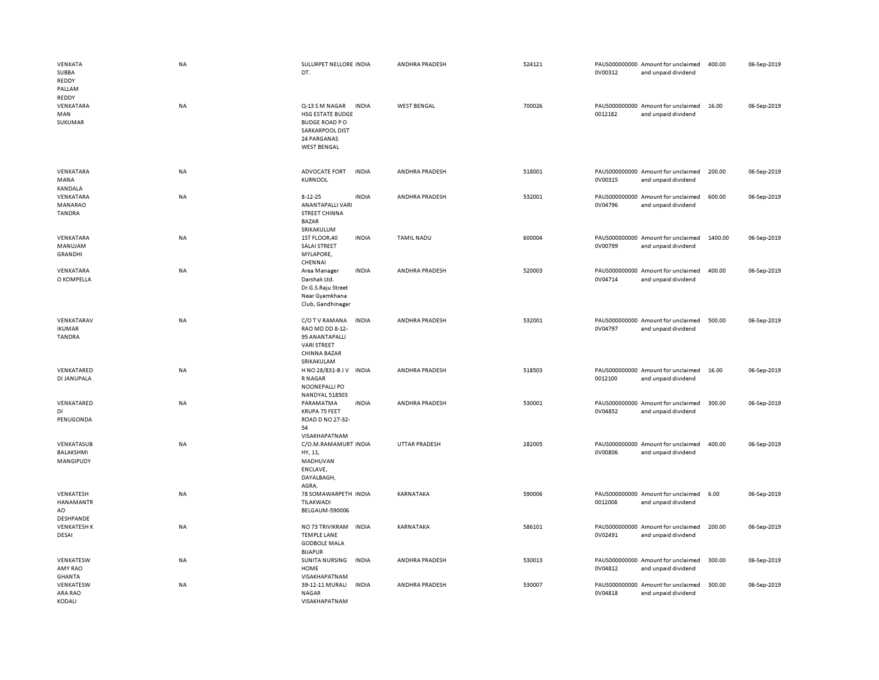| VENKATA<br>SUBBA<br>REDDY<br>PALLAM          | NA        | SULURPET NELLORE INDIA<br>DT.                                                                                                      | ANDHRA PRADESH        | 524121 | PAUS000000000 Amount for unclaimed<br>0V00312<br>and unpaid dividend | 400.00  | 06-Sep-2019 |
|----------------------------------------------|-----------|------------------------------------------------------------------------------------------------------------------------------------|-----------------------|--------|----------------------------------------------------------------------|---------|-------------|
| <b>REDDY</b><br>VENKATARA<br>MAN<br>SUKUMAR  | NA        | Q-13 S M NAGAR<br>INDIA<br>HSG ESTATE BUDGE<br><b>BUDGE ROAD PO</b><br><b>SARKARPOOL DIST</b><br>24 PARGANAS<br><b>WEST BENGAL</b> | <b>WEST BENGAL</b>    | 700026 | PAUS000000000 Amount for unclaimed<br>0012182<br>and unpaid dividend | 16.00   | 06-Sep-2019 |
| VENKATARA<br>MANA<br><b>KANDALA</b>          | NA        | <b>ADVOCATE FORT</b><br><b>INDIA</b><br><b>KURNOOL</b>                                                                             | ANDHRA PRADESH        | 518001 | PAUS000000000 Amount for unclaimed<br>0V00315<br>and unpaid dividend | 200.00  | 06-Sep-2019 |
| VENKATARA<br>MANARAO<br>TANDRA               | <b>NA</b> | $8 - 12 - 25$<br><b>INDIA</b><br><b>ANANTAPALLI VARI</b><br><b>STREET CHINNA</b><br><b>BAZAR</b><br>SRIKAKULUM                     | ANDHRA PRADESH        | 532001 | PAUS000000000 Amount for unclaimed<br>0V04796<br>and unpaid dividend | 600.00  | 06-Sep-2019 |
| VENKATARA<br>MANUJAM<br><b>GRANDHI</b>       | NA        | <b>INDIA</b><br>1ST FLOOR,40<br>SALAI STREET<br>MYLAPORE,<br>CHENNAI                                                               | <b>TAMIL NADU</b>     | 600004 | PAUS000000000 Amount for unclaimed<br>0V00799<br>and unpaid dividend | 1400.00 | 06-Sep-2019 |
| VENKATARA<br>O KOMPELLA                      | <b>NA</b> | Area Manager<br><b>INDIA</b><br>Darshak Ltd.<br>Dr.G.S.Raju Street<br>Near Gyamkhana<br>Club, Gandhinagar                          | <b>ANDHRA PRADESH</b> | 520003 | PAUS000000000 Amount for unclaimed<br>0V04714<br>and unpaid dividend | 400.00  | 06-Sep-2019 |
| VENKATARAV<br><b>IKUMAR</b><br><b>TANDRA</b> | NA        | C/O T V RAMANA<br><b>INDIA</b><br>RAO MD DD 8-12-<br>95 ANANTAPALLI<br><b>VARI STREET</b><br>CHINNA BAZAR<br>SRIKAKULAM            | ANDHRA PRADESH        | 532001 | PAUS000000000 Amount for unclaimed<br>0V04797<br>and unpaid dividend | 500.00  | 06-Sep-2019 |
| VENKATARED<br>DI JANUPALA                    | <b>NA</b> | <b>INDIA</b><br>H NO 28/831-B J V<br>R NAGAR<br>NOONEPALLI PO<br><b>NANDYAL 518503</b>                                             | ANDHRA PRADESH        | 518503 | PAUS000000000 Amount for unclaimed<br>0012100<br>and unpaid dividend | 16.00   | 06-Sep-2019 |
| VENKATARED<br>DI<br>PENUGONDA                | <b>NA</b> | <b>INDIA</b><br>PARAMATMA<br>KRUPA 75 FEET<br>ROAD D NO 27-32-<br>54                                                               | ANDHRA PRADESH        | 530001 | PAUS000000000 Amount for unclaimed<br>0V04852<br>and unpaid dividend | 300.00  | 06-Sep-2019 |
| VENKATASUB<br>BALAKSHMI<br>MANGIPUDY         | <b>NA</b> | VISAKHAPATNAM<br>C/O.M.RAMAMURT INDIA<br>HY, 11,<br>MADHUVAN<br>ENCLAVE,<br>DAYALBAGH,<br>AGRA.                                    | <b>UTTAR PRADESH</b>  | 282005 | PAUS000000000 Amount for unclaimed<br>0V00806<br>and unpaid dividend | 400.00  | 06-Sep-2019 |
| VENKATESH<br>HANAMANTR<br>AO<br>DESHPANDE    | NA        | 78 SOMAWARPETH INDIA<br>TILAKWADI<br><b>BELGAUM-590006</b>                                                                         | <b>KARNATAKA</b>      | 590006 | PAUS000000000 Amount for unclaimed<br>0012008<br>and unpaid dividend | 6.00    | 06-Sep-2019 |
| <b>VENKATESH K</b><br>DESAI                  | NA        | NO 73 TRIVIKRAM<br><b>INDIA</b><br><b>TEMPLE LANE</b><br><b>GODBOLE MALA</b><br><b>BIJAPUR</b>                                     | KARNATAKA             | 586101 | PAUS000000000 Amount for unclaimed<br>0V02491<br>and unpaid dividend | 200.00  | 06-Sep-2019 |
| VENKATESW<br>AMY RAO<br><b>GHANTA</b>        | <b>NA</b> | <b>INDIA</b><br>SUNITA NURSING<br>HOME<br>VISAKHAPATNAM                                                                            | <b>ANDHRA PRADESH</b> | 530013 | PAUS000000000 Amount for unclaimed<br>0V04812<br>and unpaid dividend | 300.00  | 06-Sep-2019 |
| VENKATESW<br>ARA RAO<br>KODALI               | NA        | 39-12-11 MURALI<br><b>INDIA</b><br><b>NAGAR</b><br>VISAKHAPATNAM                                                                   | ANDHRA PRADESH        | 530007 | PAUS000000000 Amount for unclaimed<br>0V04818<br>and unpaid dividend | 300.00  | 06-Sep-2019 |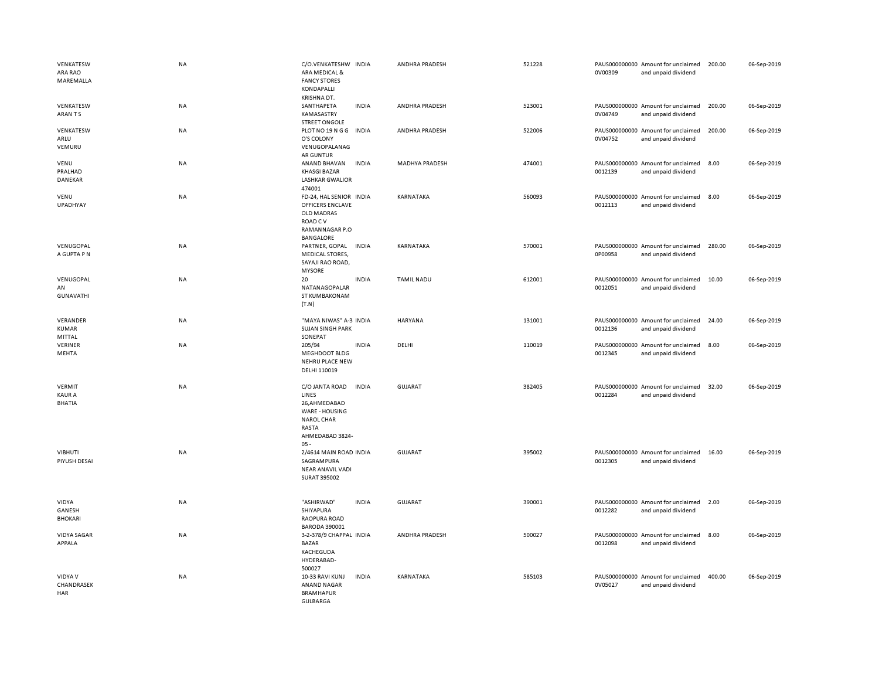| VENKATESW<br>ARA RAO<br>MAREMALLA               | NA        | C/O.VENKATESHW INDIA<br>ARA MEDICAL &<br><b>FANCY STORES</b><br>KONDAPALLI<br>KRISHNA DT.                             |              | ANDHRA PRADESH    | 521228 | 0V00309 | PAUS000000000 Amount for unclaimed<br>and unpaid dividend | 200.00 | 06-Sep-2019 |
|-------------------------------------------------|-----------|-----------------------------------------------------------------------------------------------------------------------|--------------|-------------------|--------|---------|-----------------------------------------------------------|--------|-------------|
| VENKATESW<br>ARAN TS                            | <b>NA</b> | SANTHAPETA<br>KAMASASTRY<br><b>STREET ONGOLE</b>                                                                      | <b>INDIA</b> | ANDHRA PRADESH    | 523001 | 0V04749 | PAUS000000000 Amount for unclaimed<br>and unpaid dividend | 200.00 | 06-Sep-2019 |
| VENKATESW<br>ARLU<br>VEMURU                     | NA        | PLOT NO 19 N G G<br>O'S COLONY<br>VENUGOPALANAG<br>AR GUNTUR                                                          | <b>INDIA</b> | ANDHRA PRADESH    | 522006 | 0V04752 | PAUS000000000 Amount for unclaimed<br>and unpaid dividend | 200.00 | 06-Sep-2019 |
| VENU<br>PRALHAD<br>DANEKAR                      | NA        | ANAND BHAVAN<br><b>KHASGI BAZAR</b><br><b>LASHKAR GWALIOR</b><br>474001                                               | <b>INDIA</b> | MADHYA PRADESH    | 474001 | 0012139 | PAUS000000000 Amount for unclaimed<br>and unpaid dividend | 8.00   | 06-Sep-2019 |
| VENU<br>UPADHYAY                                | <b>NA</b> | FD-24, HAL SENIOR INDIA<br>OFFICERS ENCLAVE<br>OLD MADRAS<br>ROAD C V<br>RAMANNAGAR P.O<br>BANGALORE                  |              | KARNATAKA         | 560093 | 0012113 | PAUS000000000 Amount for unclaimed<br>and unpaid dividend | 8.00   | 06-Sep-2019 |
| VENUGOPAL<br>A GUPTA P N                        | <b>NA</b> | PARTNER, GOPAL<br><b>MEDICAL STORES,</b><br>SAYAJI RAO ROAD,<br><b>MYSORE</b>                                         | <b>INDIA</b> | KARNATAKA         | 570001 | 0P00958 | PAUS000000000 Amount for unclaimed<br>and unpaid dividend | 280.00 | 06-Sep-2019 |
| VENUGOPAL<br>AN<br><b>GUNAVATHI</b>             | <b>NA</b> | 20<br>NATANAGOPALAR<br>ST KUMBAKONAM<br>(T.N)                                                                         | <b>INDIA</b> | <b>TAMIL NADU</b> | 612001 | 0012051 | PAUS000000000 Amount for unclaimed<br>and unpaid dividend | 10.00  | 06-Sep-2019 |
| VERANDER<br><b>KUMAR</b><br>MITTAL              | NA        | "MAYA NIWAS" A-3 INDIA<br><b>SUJAN SINGH PARK</b><br>SONEPAT                                                          |              | HARYANA           | 131001 | 0012136 | PAUS000000000 Amount for unclaimed<br>and unpaid dividend | 24.00  | 06-Sep-2019 |
| VERINER<br>MEHTA                                | NA        | 205/94<br>MEGHDOOT BLDG<br>NEHRU PLACE NEW<br>DELHI 110019                                                            | <b>INDIA</b> | DELHI             | 110019 | 0012345 | PAUS000000000 Amount for unclaimed<br>and unpaid dividend | 8.00   | 06-Sep-2019 |
| <b>VERMIT</b><br><b>KAUR A</b><br><b>BHATIA</b> | <b>NA</b> | C/O JANTA ROAD<br>LINES<br>26, AHMEDABAD<br>WARE - HOUSING<br><b>NAROL CHAR</b><br>RASTA<br>AHMEDABAD 3824-<br>$05 -$ | <b>INDIA</b> | GUJARAT           | 382405 | 0012284 | PAUS000000000 Amount for unclaimed<br>and unpaid dividend | 32.00  | 06-Sep-2019 |
| VIBHUTI<br>PIYUSH DESAI                         | <b>NA</b> | 2/4614 MAIN ROAD INDIA<br>SAGRAMPURA<br>NEAR ANAVIL VADI<br>SURAT 395002                                              |              | GUJARAT           | 395002 | 0012305 | PAUS000000000 Amount for unclaimed<br>and unpaid dividend | 16.00  | 06-Sep-2019 |
| VIDYA<br>GANESH<br><b>BHOKARI</b>               | NA        | "ASHIRWAD"<br>SHIYAPURA<br>RAOPURA ROAD<br><b>BARODA 390001</b>                                                       | <b>INDIA</b> | <b>GUJARAT</b>    | 390001 | 0012282 | PAUS000000000 Amount for unclaimed<br>and unpaid dividend | 2.00   | 06-Sep-2019 |
| <b>VIDYA SAGAR</b><br>APPALA                    | NA        | 3-2-378/9 CHAPPAL INDIA<br><b>BAZAR</b><br>KACHEGUDA<br>HYDERABAD-<br>500027                                          |              | ANDHRA PRADESH    | 500027 | 0012098 | PAUS000000000 Amount for unclaimed<br>and unpaid dividend | 8.00   | 06-Sep-2019 |
| VIDYA V<br>CHANDRASEK<br>HAR                    | <b>NA</b> | 10-33 RAVI KUNJ<br><b>ANAND NAGAR</b><br><b>BRAMHAPUR</b><br><b>GULBARGA</b>                                          | <b>INDIA</b> | KARNATAKA         | 585103 | 0V05027 | PAUS000000000 Amount for unclaimed<br>and unpaid dividend | 400.00 | 06-Sep-2019 |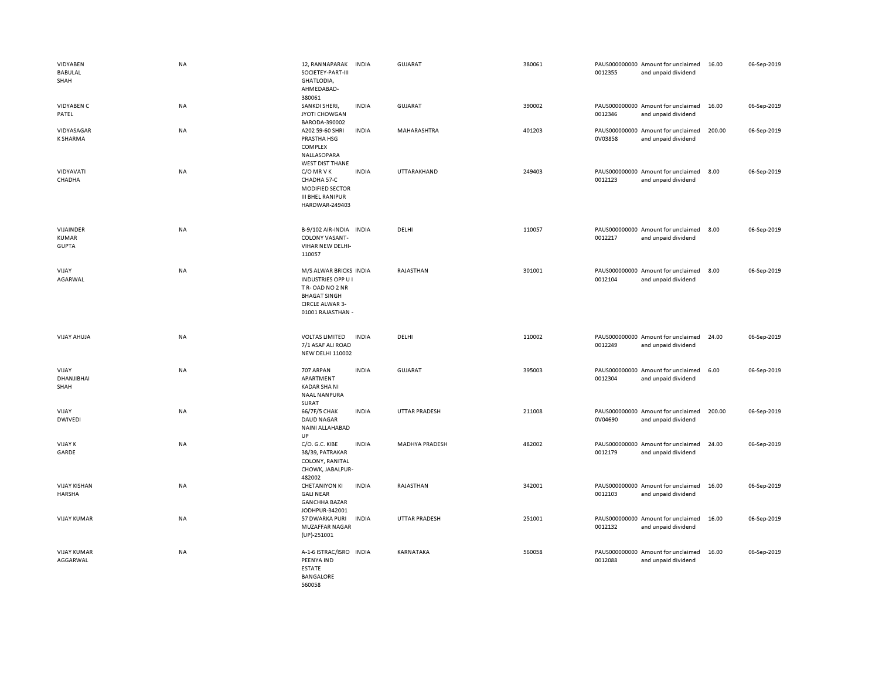| VIDYABEN<br>BABULAL<br>SHAH               | <b>NA</b> | 12, RANNAPARAK<br>SOCIETEY-PART-III<br>GHATLODIA,<br>AHMEDABAD-<br>380061                                                                   | <b>INDIA</b> | GUJARAT               | 380061 | 0012355 | PAUS000000000 Amount for unclaimed<br>and unpaid dividend | 16.00  | 06-Sep-2019 |
|-------------------------------------------|-----------|---------------------------------------------------------------------------------------------------------------------------------------------|--------------|-----------------------|--------|---------|-----------------------------------------------------------|--------|-------------|
| <b>VIDYABEN C</b><br>PATEL                | <b>NA</b> | SANKDI SHERI,<br>JYOTI CHOWGAN<br>BARODA-390002                                                                                             | <b>INDIA</b> | GUJARAT               | 390002 | 0012346 | PAUS000000000 Amount for unclaimed<br>and unpaid dividend | 16.00  | 06-Sep-2019 |
| VIDYASAGAR<br>K SHARMA                    | NA        | A202 59-60 SHRI<br>PRASTHA HSG<br>COMPLEX<br>NALLASOPARA<br><b>WEST DIST THANE</b>                                                          | <b>INDIA</b> | MAHARASHTRA           | 401203 | 0V03858 | PAUS000000000 Amount for unclaimed<br>and unpaid dividend | 200.00 | 06-Sep-2019 |
| VIDYAVATI<br>CHADHA                       | <b>NA</b> | C/O MR V K<br>CHADHA 57-C<br>MODIFIED SECTOR<br><b>III BHEL RANIPUR</b><br>HARDWAR-249403                                                   | <b>INDIA</b> | UTTARAKHAND           | 249403 | 0012123 | PAUS000000000 Amount for unclaimed<br>and unpaid dividend | 8.00   | 06-Sep-2019 |
| VIJAINDER<br><b>KUMAR</b><br><b>GUPTA</b> | <b>NA</b> | B-9/102 AIR-INDIA INDIA<br><b>COLONY VASANT-</b><br>VIHAR NEW DELHI-<br>110057                                                              |              | DELHI                 | 110057 | 0012217 | PAUS000000000 Amount for unclaimed<br>and unpaid dividend | 8.00   | 06-Sep-2019 |
| VIJAY<br>AGARWAL                          | <b>NA</b> | M/S ALWAR BRICKS INDIA<br><b>INDUSTRIES OPP U I</b><br>TR-OAD NO 2 NR<br><b>BHAGAT SINGH</b><br><b>CIRCLE ALWAR 3-</b><br>01001 RAJASTHAN - |              | RAJASTHAN             | 301001 | 0012104 | PAUS000000000 Amount for unclaimed<br>and unpaid dividend | 8.00   | 06-Sep-2019 |
| VIJAY AHUJA                               | <b>NA</b> | <b>VOLTAS LIMITED</b><br>7/1 ASAF ALI ROAD<br><b>NEW DELHI 110002</b>                                                                       | <b>INDIA</b> | DELHI                 | 110002 | 0012249 | PAUS000000000 Amount for unclaimed<br>and unpaid dividend | 24.00  | 06-Sep-2019 |
| VIJAY<br>DHANJIBHAI<br>SHAH               | <b>NA</b> | 707 ARPAN<br>APARTMENT<br>KADAR SHA NI<br><b>NAAL NANPURA</b><br>SURAT                                                                      | <b>INDIA</b> | <b>GUJARAT</b>        | 395003 | 0012304 | PAUS000000000 Amount for unclaimed<br>and unpaid dividend | 6.00   | 06-Sep-2019 |
| VIJAY<br><b>DWIVEDI</b>                   | <b>NA</b> | 66/7F/5 CHAK<br><b>DAUD NAGAR</b><br>NAINI ALLAHABAD<br>UP                                                                                  | <b>INDIA</b> | <b>UTTAR PRADESH</b>  | 211008 | 0V04690 | PAUS000000000 Amount for unclaimed<br>and unpaid dividend | 200.00 | 06-Sep-2019 |
| <b>VIJAY K</b><br>GARDE                   | <b>NA</b> | C/O. G.C. KIBE<br>38/39, PATRAKAR<br>COLONY, RANITAL<br>CHOWK, JABALPUR-<br>482002                                                          | <b>INDIA</b> | <b>MADHYA PRADESH</b> | 482002 | 0012179 | PAUS000000000 Amount for unclaimed<br>and unpaid dividend | 24.00  | 06-Sep-2019 |
| <b>VIJAY KISHAN</b><br><b>HARSHA</b>      | NA        | <b>CHETANIYON KI</b><br><b>GALINEAR</b><br><b>GANCHHA BAZAR</b><br>JODHPUR-342001                                                           | <b>INDIA</b> | RAJASTHAN             | 342001 | 0012103 | PAUS000000000 Amount for unclaimed<br>and unpaid dividend | 16.00  | 06-Sep-2019 |
| <b>VIJAY KUMAR</b>                        | <b>NA</b> | 57 DWARKA PURI<br>MUZAFFAR NAGAR<br>$(UP) - 251001$                                                                                         | <b>INDIA</b> | <b>UTTAR PRADESH</b>  | 251001 | 0012132 | PAUS000000000 Amount for unclaimed<br>and unpaid dividend | 16.00  | 06-Sep-2019 |
| <b>VIJAY KUMAR</b><br>AGGARWAL            | <b>NA</b> | A-1-6 ISTRAC/ISRO INDIA<br>PEENYA IND<br><b>ESTATE</b><br><b>BANGALORE</b><br>560058                                                        |              | KARNATAKA             | 560058 | 0012088 | PAUS000000000 Amount for unclaimed<br>and unpaid dividend | 16.00  | 06-Sep-2019 |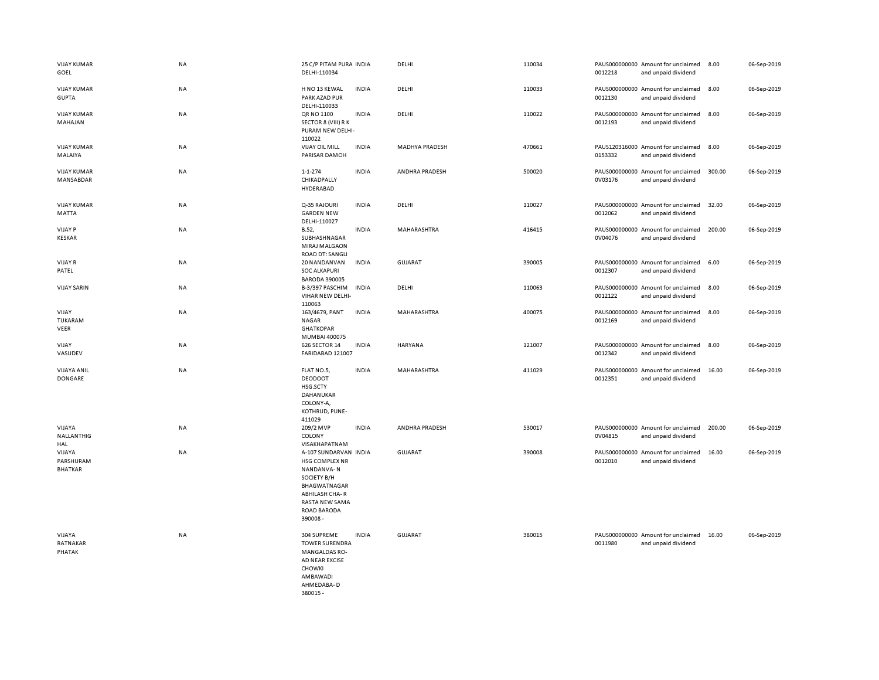| <b>VIJAY KUMAR</b><br>GOEL            | NA        | 25 C/P PITAM PURA INDIA<br>DELHI-110034                                                                                                                   |              | DELHI                 | 110034 | 0012218 | PAUS000000000 Amount for unclaimed<br>and unpaid dividend | 8.00   | 06-Sep-2019 |
|---------------------------------------|-----------|-----------------------------------------------------------------------------------------------------------------------------------------------------------|--------------|-----------------------|--------|---------|-----------------------------------------------------------|--------|-------------|
| <b>VIJAY KUMAR</b><br><b>GUPTA</b>    | NA        | H NO 13 KEWAL<br>PARK AZAD PUR<br>DELHI-110033                                                                                                            | <b>INDIA</b> | DELHI                 | 110033 | 0012130 | PAUS000000000 Amount for unclaimed<br>and unpaid dividend | 8.00   | 06-Sep-2019 |
| <b>VIJAY KUMAR</b><br>MAHAJAN         | NA        | QR NO 1100<br>SECTOR 8 (VIII) R K<br>PURAM NEW DELHI-<br>110022                                                                                           | <b>INDIA</b> | DELHI                 | 110022 | 0012193 | PAUS000000000 Amount for unclaimed<br>and unpaid dividend | 8.00   | 06-Sep-2019 |
| <b>VIJAY KUMAR</b><br>MALAIYA         | NA        | <b>VIJAY OIL MILL</b><br>PARISAR DAMOH                                                                                                                    | <b>INDIA</b> | <b>MADHYA PRADESH</b> | 470661 | 0153332 | PAUS120316000 Amount for unclaimed<br>and unpaid dividend | 8.00   | 06-Sep-2019 |
| <b>VIJAY KUMAR</b><br>MANSABDAR       | NA        | $1 - 1 - 274$<br>CHIKADPALLY<br>HYDERABAD                                                                                                                 | <b>INDIA</b> | ANDHRA PRADESH        | 500020 | 0V03176 | PAUS000000000 Amount for unclaimed<br>and unpaid dividend | 300.00 | 06-Sep-2019 |
| <b>VIJAY KUMAR</b><br>MATTA           | NA        | Q-35 RAJOURI<br><b>GARDEN NEW</b><br>DELHI-110027                                                                                                         | <b>INDIA</b> | DELHI                 | 110027 | 0012062 | PAUS000000000 Amount for unclaimed<br>and unpaid dividend | 32.00  | 06-Sep-2019 |
| <b>VIJAY P</b><br><b>KESKAR</b>       | NA        | B.52,<br>SUBHASHNAGAR<br>MIRAJ MALGAON<br><b>ROAD DT: SANGLI</b>                                                                                          | <b>INDIA</b> | MAHARASHTRA           | 416415 | 0V04076 | PAUS000000000 Amount for unclaimed<br>and unpaid dividend | 200.00 | 06-Sep-2019 |
| <b>VIJAY R</b><br>PATEL               | NA        | 20 NANDANVAN<br><b>SOC ALKAPURI</b><br><b>BARODA 390005</b>                                                                                               | <b>INDIA</b> | <b>GUJARAT</b>        | 390005 | 0012307 | PAUS000000000 Amount for unclaimed<br>and unpaid dividend | 6.00   | 06-Sep-2019 |
| <b>VIJAY SARIN</b>                    | NA        | B-3/397 PASCHIM<br>VIHAR NEW DELHI-<br>110063                                                                                                             | <b>INDIA</b> | DELHI                 | 110063 | 0012122 | PAUS000000000 Amount for unclaimed<br>and unpaid dividend | 8.00   | 06-Sep-2019 |
| VIJAY<br>TUKARAM<br>VEER              | <b>NA</b> | 163/4679, PANT<br><b>NAGAR</b><br><b>GHATKOPAR</b><br>MUMBAI 400075                                                                                       | <b>INDIA</b> | MAHARASHTRA           | 400075 | 0012169 | PAUS000000000 Amount for unclaimed<br>and unpaid dividend | 8.00   | 06-Sep-2019 |
| VIJAY<br>VASUDEV                      | NA        | 626 SECTOR 14<br>FARIDABAD 121007                                                                                                                         | <b>INDIA</b> | <b>HARYANA</b>        | 121007 | 0012342 | PAUS000000000 Amount for unclaimed<br>and unpaid dividend | 8.00   | 06-Sep-2019 |
| <b>VIJAYA ANIL</b><br>DONGARE         | NA        | FLAT NO.5,<br><b>DEODOOT</b><br>HSG.SCTY<br>DAHANUKAR<br>COLONY-A,<br>KOTHRUD, PUNE-<br>411029                                                            | <b>INDIA</b> | MAHARASHTRA           | 411029 | 0012351 | PAUS000000000 Amount for unclaimed<br>and unpaid dividend | 16.00  | 06-Sep-2019 |
| VIJAYA<br>NALLANTHIG<br>HAL           | <b>NA</b> | 209/2 MVP<br>COLONY<br>VISAKHAPATNAM                                                                                                                      | <b>INDIA</b> | ANDHRA PRADESH        | 530017 | 0V04815 | PAUS000000000 Amount for unclaimed<br>and unpaid dividend | 200.00 | 06-Sep-2019 |
| VIJAYA<br>PARSHURAM<br><b>BHATKAR</b> | NA        | A-107 SUNDARVAN INDIA<br>HSG COMPLEX NR<br>NANDANVA-N<br>SOCIETY B/H<br>BHAGWATNAGAR<br><b>ABHILASH CHA-R</b><br>RASTA NEW SAMA<br>ROAD BARODA<br>390008- |              | <b>GUJARAT</b>        | 390008 | 0012010 | PAUS000000000 Amount for unclaimed<br>and unpaid dividend | 16.00  | 06-Sep-2019 |
| VIJAYA<br>RATNAKAR<br>PHATAK          | <b>NA</b> | 304 SUPREME<br><b>TOWER SURENDRA</b><br><b>MANGALDAS RO-</b><br>AD NEAR EXCISE<br><b>CHOWKI</b><br>AMBAWADI<br>AHMEDABA-D<br>380015 -                     | <b>INDIA</b> | <b>GUJARAT</b>        | 380015 | 0011980 | PAUS000000000 Amount for unclaimed<br>and unpaid dividend | 16.00  | 06-Sep-2019 |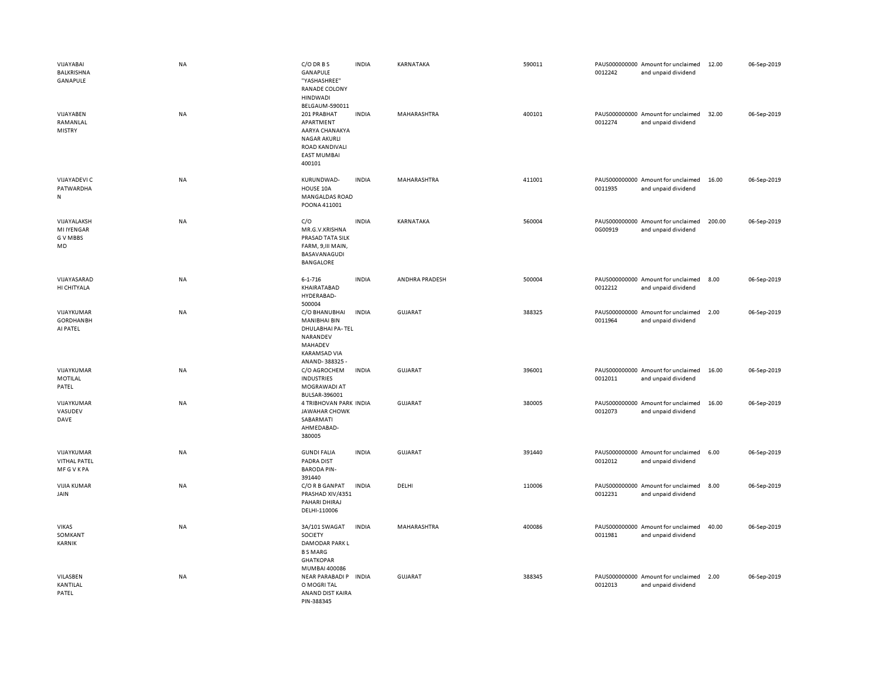| VIJAYABAI<br>BALKRISHNA<br>GANAPULE                | <b>NA</b> | C/O DR B S<br>GANAPULE<br>"YASHASHREE"<br>RANADE COLONY<br><b>HINDWADI</b><br>BELGAUM-590011                            | <b>INDIA</b> | KARNATAKA      | 590011 | 0012242 | PAUS000000000 Amount for unclaimed<br>and unpaid dividend | 12.00  | 06-Sep-2019 |
|----------------------------------------------------|-----------|-------------------------------------------------------------------------------------------------------------------------|--------------|----------------|--------|---------|-----------------------------------------------------------|--------|-------------|
| VIJAYABEN<br>RAMANLAL<br><b>MISTRY</b>             | <b>NA</b> | 201 PRABHAT<br>APARTMENT<br>AARYA CHANAKYA<br><b>NAGAR AKURLI</b><br>ROAD KANDIVALI<br><b>EAST MUMBAI</b><br>400101     | <b>INDIA</b> | MAHARASHTRA    | 400101 | 0012274 | PAUS000000000 Amount for unclaimed<br>and unpaid dividend | 32.00  | 06-Sep-2019 |
| VIJAYADEVI C<br>PATWARDHA<br>N                     | NA        | KURUNDWAD-<br>HOUSE 10A<br>MANGALDAS ROAD<br>POONA 411001                                                               | <b>INDIA</b> | MAHARASHTRA    | 411001 | 0011935 | PAUS000000000 Amount for unclaimed<br>and unpaid dividend | 16.00  | 06-Sep-2019 |
| VIJAYALAKSH<br><b>MI IYENGAR</b><br>G V MBBS<br>MD | <b>NA</b> | C/O<br>MR.G.V.KRISHNA<br>PRASAD TATA SILK<br>FARM, 9, III MAIN,<br>BASAVANAGUDI<br>BANGALORE                            | <b>INDIA</b> | KARNATAKA      | 560004 | 0G00919 | PAUS000000000 Amount for unclaimed<br>and unpaid dividend | 200.00 | 06-Sep-2019 |
| VIJAYASARAD<br>HI CHITYALA                         | <b>NA</b> | $6 - 1 - 716$<br>KHAIRATABAD<br>HYDERABAD-<br>500004                                                                    | <b>INDIA</b> | ANDHRA PRADESH | 500004 | 0012212 | PAUS000000000 Amount for unclaimed<br>and unpaid dividend | 8.00   | 06-Sep-2019 |
| VIJAYKUMAR<br><b>GORDHANBH</b><br>AI PATEL         | <b>NA</b> | C/O BHANUBHAI<br><b>MANIBHAI BIN</b><br>DHULABHAI PA-TEL<br>NARANDEV<br>MAHADEV<br><b>KARAMSAD VIA</b><br>ANAND-388325- | <b>INDIA</b> | <b>GUJARAT</b> | 388325 | 0011964 | PAUS000000000 Amount for unclaimed<br>and unpaid dividend | 2.00   | 06-Sep-2019 |
| VIJAYKUMAR<br>MOTILAL<br>PATEL                     | <b>NA</b> | C/O AGROCHEM<br><b>INDUSTRIES</b><br>MOGRAWADI AT<br>BULSAR-396001                                                      | <b>INDIA</b> | <b>GUJARAT</b> | 396001 | 0012011 | PAUS000000000 Amount for unclaimed<br>and unpaid dividend | 16.00  | 06-Sep-2019 |
| VIJAYKUMAR<br>VASUDEV<br>DAVE                      | <b>NA</b> | 4 TRIBHOVAN PARK INDIA<br><b>JAWAHAR CHOWK</b><br>SABARMATI<br>AHMEDABAD-<br>380005                                     |              | <b>GUJARAT</b> | 380005 | 0012073 | PAUS000000000 Amount for unclaimed<br>and unpaid dividend | 16.00  | 06-Sep-2019 |
| VIJAYKUMAR<br><b>VITHAL PATEL</b><br>MFGVKPA       | <b>NA</b> | <b>GUNDI FALIA</b><br>PADRA DIST<br><b>BARODA PIN-</b><br>391440                                                        | <b>INDIA</b> | GUJARAT        | 391440 | 0012012 | PAUS000000000 Amount for unclaimed<br>and unpaid dividend | 6.00   | 06-Sep-2019 |
| <b>VIJIA KUMAR</b><br>JAIN                         | <b>NA</b> | C/O R B GANPAT<br>PRASHAD XIV/4351<br>PAHARI DHIRAJ<br>DELHI-110006                                                     | <b>INDIA</b> | DELHI          | 110006 | 0012231 | PAUS000000000 Amount for unclaimed<br>and unpaid dividend | 8.00   | 06-Sep-2019 |
| <b>VIKAS</b><br>SOMKANT<br>KARNIK                  | <b>NA</b> | 3A/101 SWAGAT<br>SOCIETY<br><b>DAMODAR PARK L</b><br><b>BSMARG</b><br><b>GHATKOPAR</b><br>MUMBAI 400086                 | <b>INDIA</b> | MAHARASHTRA    | 400086 | 0011981 | PAUS000000000 Amount for unclaimed<br>and unpaid dividend | 40.00  | 06-Sep-2019 |
| VILASBEN<br>KANTILAL<br>PATEL                      | <b>NA</b> | NEAR PARABADI P INDIA<br>O MOGRI TAL<br>ANAND DIST KAIRA<br>PIN-388345                                                  |              | <b>GUJARAT</b> | 388345 | 0012013 | PAUS000000000 Amount for unclaimed<br>and unpaid dividend | 2.00   | 06-Sep-2019 |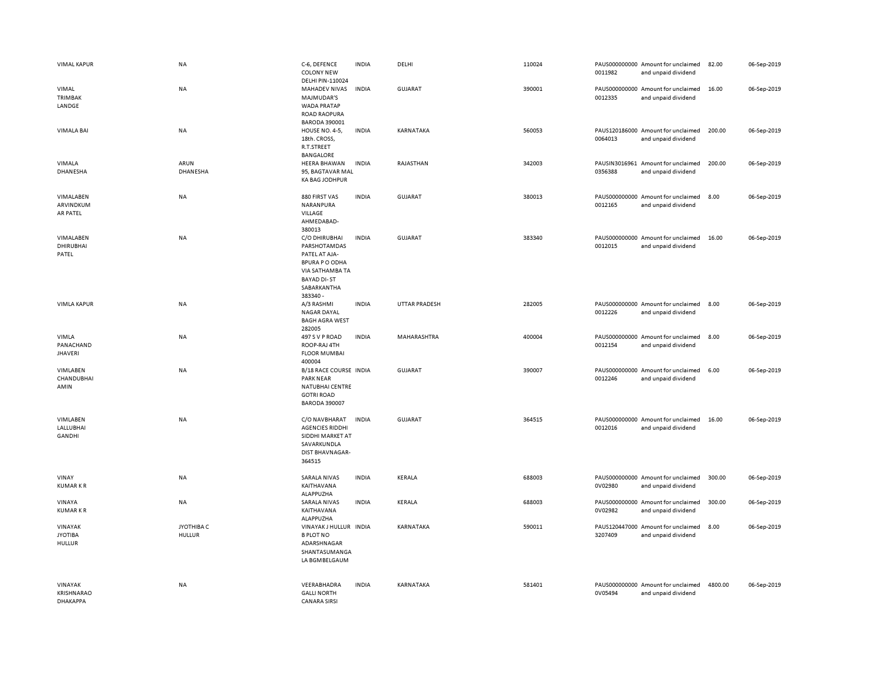| <b>VIMAL KAPUR</b>                              | NA                          | C-6, DEFENCE<br><b>COLONY NEW</b><br>DELHI PIN-110024                                                                                       | <b>INDIA</b> | DELHI                | 110024 | 0011982 | PAUS000000000 Amount for unclaimed<br>and unpaid dividend | 82.00   | 06-Sep-2019 |
|-------------------------------------------------|-----------------------------|---------------------------------------------------------------------------------------------------------------------------------------------|--------------|----------------------|--------|---------|-----------------------------------------------------------|---------|-------------|
| VIMAL<br>TRIMBAK<br>LANDGE                      | NA                          | MAHADEV NIVAS<br>MAJMUDAR'S<br>WADA PRATAP<br><b>ROAD RAOPURA</b><br><b>BARODA 390001</b>                                                   | <b>INDIA</b> | GUJARAT              | 390001 | 0012335 | PAUS000000000 Amount for unclaimed<br>and unpaid dividend | 16.00   | 06-Sep-2019 |
| <b>VIMALA BAI</b>                               | <b>NA</b>                   | HOUSE NO. 4-5,<br>18th. CROSS,<br>R.T.STREET<br>BANGALORE                                                                                   | <b>INDIA</b> | <b>KARNATAKA</b>     | 560053 | 0064013 | PAUS120186000 Amount for unclaimed<br>and unpaid dividend | 200.00  | 06-Sep-2019 |
| VIMALA<br>DHANESHA                              | ARUN<br>DHANESHA            | HEERA BHAWAN<br>95, BAGTAVAR MAL<br><b>KA BAG JODHPUR</b>                                                                                   | <b>INDIA</b> | RAJASTHAN            | 342003 | 0356388 | PAUSIN3016961 Amount for unclaimed<br>and unpaid dividend | 200.00  | 06-Sep-2019 |
| VIMALABEN<br>ARVINDKUM<br>AR PATEL              | NA                          | 880 FIRST VAS<br>NARANPURA<br>VILLAGE<br>AHMEDABAD-<br>380013                                                                               | <b>INDIA</b> | <b>GUJARAT</b>       | 380013 | 0012165 | PAUS000000000 Amount for unclaimed<br>and unpaid dividend | 8.00    | 06-Sep-2019 |
| VIMALABEN<br>DHIRUBHAI<br>PATEL                 | NA                          | C/O DHIRUBHAI<br>PARSHOTAMDAS<br>PATEL AT AJA-<br><b>BPURA P O ODHA</b><br>VIA SATHAMBA TA<br><b>BAYAD DI-ST</b><br>SABARKANTHA<br>383340 - | <b>INDIA</b> | GUJARAT              | 383340 | 0012015 | PAUS000000000 Amount for unclaimed<br>and unpaid dividend | 16.00   | 06-Sep-2019 |
| <b>VIMLA KAPUR</b>                              | NA                          | A/3 RASHMI<br><b>NAGAR DAYAL</b><br><b>BAGH AGRA WEST</b><br>282005                                                                         | <b>INDIA</b> | <b>UTTAR PRADESH</b> | 282005 | 0012226 | PAUS000000000 Amount for unclaimed<br>and unpaid dividend | 8.00    | 06-Sep-2019 |
| VIMLA<br>PANACHAND<br><b>JHAVERI</b>            | NA                          | 497 S V P ROAD<br>ROOP-RAJ 4TH<br><b>FLOOR MUMBAI</b><br>400004                                                                             | <b>INDIA</b> | MAHARASHTRA          | 400004 | 0012154 | PAUS000000000 Amount for unclaimed<br>and unpaid dividend | 8.00    | 06-Sep-2019 |
| VIMLABEN<br>CHANDUBHAI<br>AMIN                  | NA                          | B/18 RACE COURSE INDIA<br><b>PARK NEAR</b><br>NATUBHAI CENTRE<br><b>GOTRI ROAD</b><br><b>BARODA 390007</b>                                  |              | <b>GUJARAT</b>       | 390007 | 0012246 | PAUS000000000 Amount for unclaimed<br>and unpaid dividend | 6.00    | 06-Sep-2019 |
| VIMLABEN<br>LALLUBHAI<br>GANDHI                 | NA                          | C/O NAVBHARAT<br><b>AGENCIES RIDDHI</b><br>SIDDHI MARKET AT<br>SAVARKUNDLA<br>DIST BHAVNAGAR-<br>364515                                     | <b>INDIA</b> | <b>GUJARAT</b>       | 364515 | 0012016 | PAUS000000000 Amount for unclaimed<br>and unpaid dividend | 16.00   | 06-Sep-2019 |
| VINAY<br><b>KUMARKR</b>                         | NA                          | <b>SARALA NIVAS</b><br>KAITHAVANA<br>ALAPPUZHA                                                                                              | <b>INDIA</b> | KERALA               | 688003 | 0V02980 | PAUS000000000 Amount for unclaimed<br>and unpaid dividend | 300.00  | 06-Sep-2019 |
| VINAYA<br><b>KUMARKR</b>                        | NA                          | <b>SARALA NIVAS</b><br>KAITHAVANA<br>ALAPPUZHA                                                                                              | <b>INDIA</b> | KERALA               | 688003 | 0V02982 | PAUS000000000 Amount for unclaimed<br>and unpaid dividend | 300.00  | 06-Sep-2019 |
| VINAYAK<br><b>JYOTIBA</b><br><b>HULLUR</b>      | JYOTHIBA C<br><b>HULLUR</b> | VINAYAK J HULLUR INDIA<br><b>B PLOT NO</b><br>ADARSHNAGAR<br>SHANTASUMANGA<br>LA BGMBELGAUM                                                 |              | KARNATAKA            | 590011 | 3207409 | PAUS120447000 Amount for unclaimed<br>and unpaid dividend | 8.00    | 06-Sep-2019 |
| VINAYAK<br>KRISHNARAO<br><b><i>DHAKAPPA</i></b> | <b>NA</b>                   | VEERABHADRA<br><b>GALLI NORTH</b><br><b>CANARA SIRSI</b>                                                                                    | <b>INDIA</b> | KARNATAKA            | 581401 | 0V05494 | PAUS000000000 Amount for unclaimed<br>and unpaid dividend | 4800.00 | 06-Sep-2019 |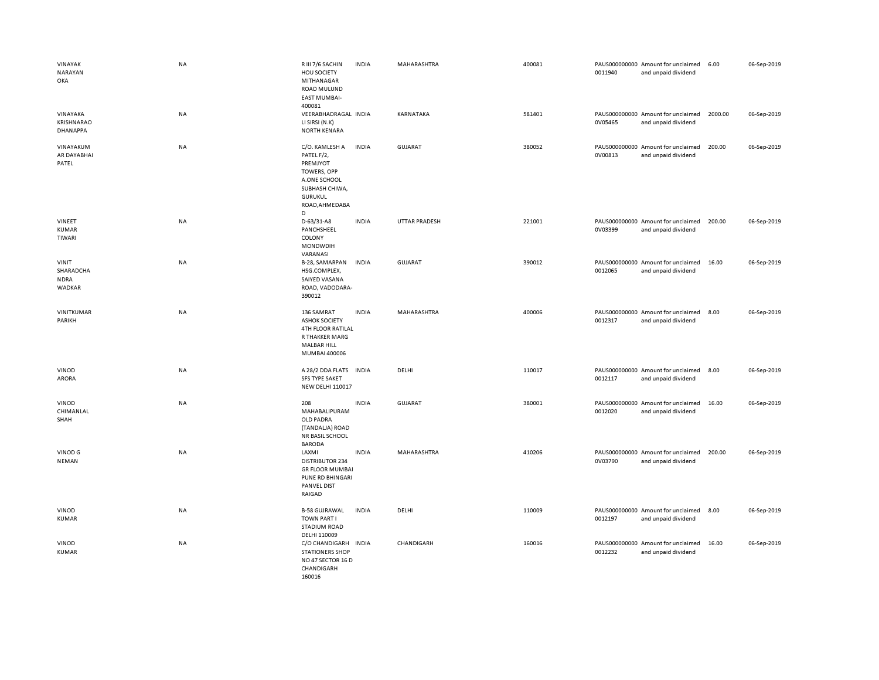| VINAYAK<br>NARAYAN<br>OKA                   | <b>NA</b> | R III 7/6 SACHIN<br><b>HOU SOCIETY</b><br>MITHANAGAR<br>ROAD MULUND<br><b>EAST MUMBAI-</b><br>400081                                      | <b>INDIA</b> | MAHARASHTRA          | 400081 | 0011940 | PAUS000000000 Amount for unclaimed<br>and unpaid dividend | 6.00    | 06-Sep-2019 |
|---------------------------------------------|-----------|-------------------------------------------------------------------------------------------------------------------------------------------|--------------|----------------------|--------|---------|-----------------------------------------------------------|---------|-------------|
| VINAYAKA<br><b>KRISHNARAO</b><br>DHANAPPA   | NA        | VEERABHADRAGAL INDIA<br>LI SIRSI (N.K)<br>NORTH KENARA                                                                                    |              | KARNATAKA            | 581401 | 0V05465 | PAUS000000000 Amount for unclaimed<br>and unpaid dividend | 2000.00 | 06-Sep-2019 |
| VINAYAKUM<br>AR DAYABHAI<br>PATEL           | <b>NA</b> | C/O. KAMLESH A<br>PATEL F/2,<br>PREMJYOT<br><b>TOWERS, OPP</b><br>A.ONE SCHOOL<br>SUBHASH CHIWA,<br><b>GURUKUL</b><br>ROAD, AHMEDABA<br>D | <b>INDIA</b> | <b>GUJARAT</b>       | 380052 | 0V00813 | PAUS000000000 Amount for unclaimed<br>and unpaid dividend | 200.00  | 06-Sep-2019 |
| VINEET<br><b>KUMAR</b><br>TIWARI            | <b>NA</b> | D-63/31-A8<br>PANCHSHEEL<br>COLONY<br>MONDWDIH<br>VARANASI                                                                                | <b>INDIA</b> | <b>UTTAR PRADESH</b> | 221001 | 0V03399 | PAUS000000000 Amount for unclaimed<br>and unpaid dividend | 200.00  | 06-Sep-2019 |
| VINIT<br>SHARADCHA<br><b>NDRA</b><br>WADKAR | NA        | B-28, SAMARPAN<br>HSG.COMPLEX,<br>SAIYED VASANA<br>ROAD, VADODARA-<br>390012                                                              | <b>INDIA</b> | <b>GUJARAT</b>       | 390012 | 0012065 | PAUS000000000 Amount for unclaimed<br>and unpaid dividend | 16.00   | 06-Sep-2019 |
| VINITKUMAR<br>PARIKH                        | <b>NA</b> | 136 SAMRAT<br><b>ASHOK SOCIETY</b><br><b>4TH FLOOR RATILAL</b><br>R THAKKER MARG<br><b>MALBAR HILL</b><br>MUMBAI 400006                   | <b>INDIA</b> | MAHARASHTRA          | 400006 | 0012317 | PAUS000000000 Amount for unclaimed<br>and unpaid dividend | 8.00    | 06-Sep-2019 |
| VINOD<br><b>ARORA</b>                       | <b>NA</b> | A 28/2 DDA FLATS<br><b>SFS TYPE SAKET</b><br><b>NEW DELHI 110017</b>                                                                      | <b>INDIA</b> | DELHI                | 110017 | 0012117 | PAUS000000000 Amount for unclaimed<br>and unpaid dividend | 8.00    | 06-Sep-2019 |
| <b>VINOD</b><br>CHIMANLAL<br>SHAH           | <b>NA</b> | 208<br>MAHABALIPURAM<br>OLD PADRA<br>(TANDALJA) ROAD<br><b>NR BASIL SCHOOL</b><br><b>BARODA</b>                                           | <b>INDIA</b> | <b>GUJARAT</b>       | 380001 | 0012020 | PAUS000000000 Amount for unclaimed<br>and unpaid dividend | 16.00   | 06-Sep-2019 |
| VINOD G<br>NEMAN                            | NA        | LAXMI<br><b>DISTRIBUTOR 234</b><br><b>GR FLOOR MUMBAI</b><br><b>PUNE RD BHINGARI</b><br><b>PANVEL DIST</b><br>RAIGAD                      | <b>INDIA</b> | MAHARASHTRA          | 410206 | 0V03790 | PAUS000000000 Amount for unclaimed<br>and unpaid dividend | 200.00  | 06-Sep-2019 |
| VINOD<br><b>KUMAR</b>                       | NA        | <b>B-58 GUJRAWAL</b><br><b>TOWN PART I</b><br><b>STADIUM ROAD</b><br>DELHI 110009                                                         | <b>INDIA</b> | DELHI                | 110009 | 0012197 | PAUS000000000 Amount for unclaimed<br>and unpaid dividend | 8.00    | 06-Sep-2019 |
| VINOD<br><b>KUMAR</b>                       | NA        | C/O CHANDIGARH INDIA<br><b>STATIONERS SHOP</b><br>NO 47 SECTOR 16 D<br>CHANDIGARH<br>160016                                               |              | CHANDIGARH           | 160016 | 0012232 | PAUS000000000 Amount for unclaimed<br>and unpaid dividend | 16.00   | 06-Sep-2019 |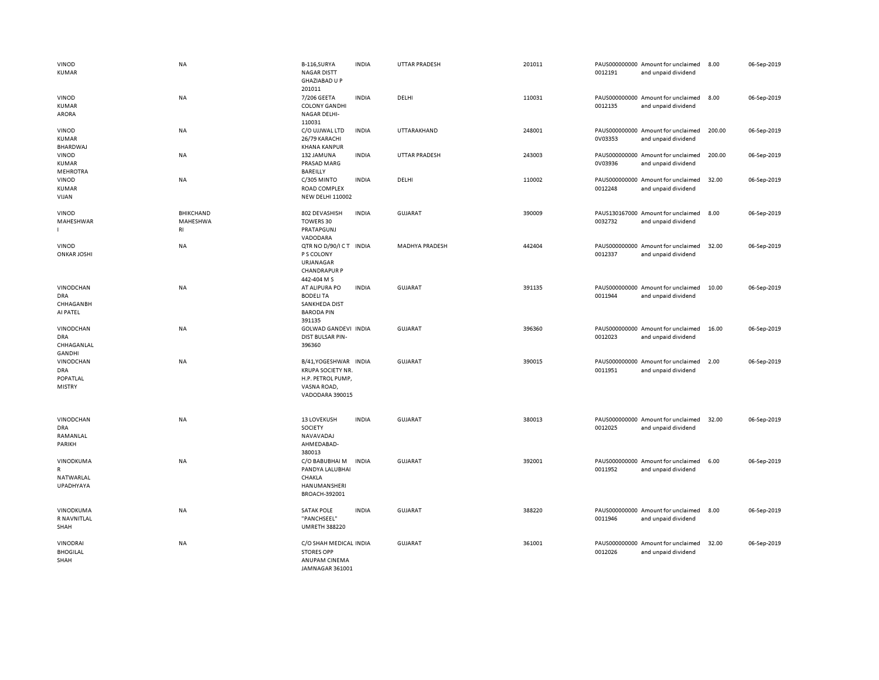| VINOD<br>KUMAR                                         | <b>NA</b>                          | B-116, SURYA<br><b>NAGAR DISTT</b><br><b>GHAZIABAD U P</b>                                               | <b>INDIA</b> | <b>UTTAR PRADESH</b>  | 201011 | 0012191 | PAUS000000000 Amount for unclaimed<br>and unpaid dividend | 8.00   | 06-Sep-2019 |
|--------------------------------------------------------|------------------------------------|----------------------------------------------------------------------------------------------------------|--------------|-----------------------|--------|---------|-----------------------------------------------------------|--------|-------------|
| VINOD<br><b>KUMAR</b><br><b>ARORA</b>                  | NA                                 | 201011<br>7/206 GEETA<br><b>COLONY GANDHI</b><br><b>NAGAR DELHI-</b><br>110031                           | <b>INDIA</b> | DELHI                 | 110031 | 0012135 | PAUS000000000 Amount for unclaimed<br>and unpaid dividend | 8.00   | 06-Sep-2019 |
| VINOD<br>KUMAR<br>BHARDWAJ                             | NA                                 | C/O UJJWAL LTD<br>26/79 KARACHI<br><b>KHANA KANPUR</b>                                                   | <b>INDIA</b> | UTTARAKHAND           | 248001 | 0V03353 | PAUS000000000 Amount for unclaimed<br>and unpaid dividend | 200.00 | 06-Sep-2019 |
| VINOD<br>KUMAR<br><b>MEHROTRA</b>                      | NA                                 | 132 JAMUNA<br>PRASAD MARG<br>BAREILLY                                                                    | <b>INDIA</b> | <b>UTTAR PRADESH</b>  | 243003 | 0V03936 | PAUS000000000 Amount for unclaimed<br>and unpaid dividend | 200.00 | 06-Sep-2019 |
| VINOD<br><b>KUMAR</b><br>VIJAN                         | NA                                 | C/305 MINTO<br>ROAD COMPLEX<br><b>NEW DELHI 110002</b>                                                   | <b>INDIA</b> | DELHI                 | 110002 | 0012248 | PAUS000000000 Amount for unclaimed<br>and unpaid dividend | 32.00  | 06-Sep-2019 |
| VINOD<br>MAHESHWAR                                     | <b>BHIKCHAND</b><br>MAHESHWA<br>RI | 802 DEVASHISH<br>TOWERS 30<br>PRATAPGUNJ<br>VADODARA                                                     | <b>INDIA</b> | <b>GUJARAT</b>        | 390009 | 0032732 | PAUS130167000 Amount for unclaimed<br>and unpaid dividend | 8.00   | 06-Sep-2019 |
| VINOD<br><b>ONKAR JOSHI</b>                            | <b>NA</b>                          | QTR NO D/90/ICT INDIA<br>P S COLONY<br>URJANAGAR<br><b>CHANDRAPUR P</b><br>442-404 M S                   |              | <b>MADHYA PRADESH</b> | 442404 | 0012337 | PAUS000000000 Amount for unclaimed<br>and unpaid dividend | 32.00  | 06-Sep-2019 |
| VINODCHAN<br><b>DRA</b><br>CHHAGANBH<br>AI PATEL       | NA                                 | AT ALIPURA PO<br><b>BODELITA</b><br><b>SANKHEDA DIST</b><br><b>BARODA PIN</b><br>391135                  | <b>INDIA</b> | GUJARAT               | 391135 | 0011944 | PAUS000000000 Amount for unclaimed<br>and unpaid dividend | 10.00  | 06-Sep-2019 |
| VINODCHAN<br><b>DRA</b><br>CHHAGANLAL<br><b>GANDHI</b> | NA                                 | GOLWAD GANDEVI INDIA<br><b>DIST BULSAR PIN-</b><br>396360                                                |              | GUJARAT               | 396360 | 0012023 | PAUS000000000 Amount for unclaimed<br>and unpaid dividend | 16.00  | 06-Sep-2019 |
| VINODCHAN<br><b>DRA</b><br>POPATLAL<br><b>MISTRY</b>   | NA                                 | B/41, YOGESHWAR INDIA<br><b>KRUPA SOCIETY NR.</b><br>H.P. PETROL PUMP,<br>VASNA ROAD,<br>VADODARA 390015 |              | GUJARAT               | 390015 | 0011951 | PAUS000000000 Amount for unclaimed<br>and unpaid dividend | 2.00   | 06-Sep-2019 |
| VINODCHAN<br><b>DRA</b><br>RAMANLAL<br>PARIKH          | NA                                 | 13 LOVEKUSH<br>SOCIETY<br>NAVAVADAJ<br>AHMEDABAD-<br>380013                                              | <b>INDIA</b> | <b>GUJARAT</b>        | 380013 | 0012025 | PAUS000000000 Amount for unclaimed<br>and unpaid dividend | 32.00  | 06-Sep-2019 |
| VINODKUMA<br>R<br>NATWARLAL<br>UPADHYAYA               | NA                                 | C/O BABUBHAI M<br>PANDYA LALUBHAI<br>CHAKLA<br>HANUMANSHERI<br>BROACH-392001                             | <b>INDIA</b> | <b>GUJARAT</b>        | 392001 | 0011952 | PAUS000000000 Amount for unclaimed<br>and unpaid dividend | 6.00   | 06-Sep-2019 |
| VINODKUMA<br>R NAVNITLAL<br>SHAH                       | <b>NA</b>                          | <b>SATAK POLE</b><br>"PANCHSEEL"<br><b>UMRETH 388220</b>                                                 | <b>INDIA</b> | <b>GUJARAT</b>        | 388220 | 0011946 | PAUS000000000 Amount for unclaimed<br>and unpaid dividend | 8.00   | 06-Sep-2019 |
| VINODRAI<br><b>BHOGILAL</b><br>SHAH                    | NA                                 | C/O SHAH MEDICAL INDIA<br><b>STORES OPP</b><br>ANUPAM CINEMA<br>JAMNAGAR 361001                          |              | GUJARAT               | 361001 | 0012026 | PAUS000000000 Amount for unclaimed<br>and unpaid dividend | 32.00  | 06-Sep-2019 |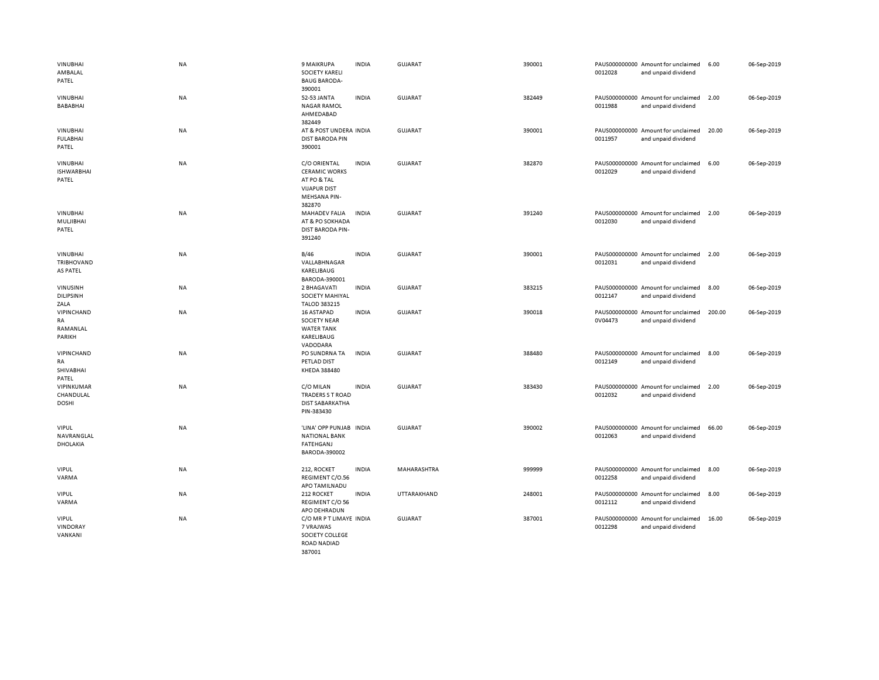| <b>VINUBHAI</b><br>AMBALAL<br>PATEL           | <b>NA</b> | <b>9 MAIKRUPA</b><br><b>SOCIETY KARELI</b><br><b>BAUG BARODA-</b>                                    | <b>INDIA</b> | <b>GUJARAT</b> | 390001 | 0012028 | PAUS000000000 Amount for unclaimed<br>and unpaid dividend | 6.00   | 06-Sep-2019 |
|-----------------------------------------------|-----------|------------------------------------------------------------------------------------------------------|--------------|----------------|--------|---------|-----------------------------------------------------------|--------|-------------|
| <b>VINUBHAI</b><br><b>BABABHAI</b>            | <b>NA</b> | 390001<br>52-53 JANTA<br><b>NAGAR RAMOL</b><br>AHMEDABAD<br>382449                                   | <b>INDIA</b> | <b>GUJARAT</b> | 382449 | 0011988 | PAUS000000000 Amount for unclaimed<br>and unpaid dividend | 2.00   | 06-Sep-2019 |
| <b>VINUBHAI</b><br><b>FULABHAI</b><br>PATEL   | <b>NA</b> | AT & POST UNDERA INDIA<br><b>DIST BARODA PIN</b><br>390001                                           |              | <b>GUJARAT</b> | 390001 | 0011957 | PAUS000000000 Amount for unclaimed<br>and unpaid dividend | 20.00  | 06-Sep-2019 |
| <b>VINUBHAI</b><br><b>ISHWARBHAI</b><br>PATEL | NA        | C/O ORIENTAL<br><b>CERAMIC WORKS</b><br>AT PO & TAL<br><b>VIJAPUR DIST</b><br>MEHSANA PIN-<br>382870 | <b>INDIA</b> | <b>GUJARAT</b> | 382870 | 0012029 | PAUS000000000 Amount for unclaimed<br>and unpaid dividend | 6.00   | 06-Sep-2019 |
| <b>VINUBHAI</b><br>MULJIBHAI<br>PATEL         | NA        | MAHADEV FALIA<br>AT & PO SOKHADA<br><b>DIST BARODA PIN-</b><br>391240                                | <b>INDIA</b> | <b>GUJARAT</b> | 391240 | 0012030 | PAUS000000000 Amount for unclaimed<br>and unpaid dividend | 2.00   | 06-Sep-2019 |
| VINUBHAI<br>TRIBHOVAND<br>AS PATEL            | NA        | B/46<br>VALLABHNAGAR<br>KARELIBAUG<br>BARODA-390001                                                  | <b>INDIA</b> | <b>GUJARAT</b> | 390001 | 0012031 | PAUS000000000 Amount for unclaimed<br>and unpaid dividend | 2.00   | 06-Sep-2019 |
| VINUSINH<br><b>DILIPSINH</b><br>ZALA          | NA        | 2 BHAGAVATI<br>SOCIETY MAHIYAL<br><b>TALOD 383215</b>                                                | <b>INDIA</b> | <b>GUJARAT</b> | 383215 | 0012147 | PAUS000000000 Amount for unclaimed<br>and unpaid dividend | 8.00   | 06-Sep-2019 |
| VIPINCHAND<br>RA<br>RAMANLAL<br>PARIKH        | NA        | 16 ASTAPAD<br><b>SOCIETY NEAR</b><br><b>WATER TANK</b><br>KARELIBAUG<br>VADODARA                     | <b>INDIA</b> | GUJARAT        | 390018 | 0V04473 | PAUS000000000 Amount for unclaimed<br>and unpaid dividend | 200.00 | 06-Sep-2019 |
| VIPINCHAND<br>RA<br>SHIVABHAI<br>PATEL        | NA        | PO SUNDRNA TA<br>PETLAD DIST<br>KHEDA 388480                                                         | <b>INDIA</b> | <b>GUJARAT</b> | 388480 | 0012149 | PAUS000000000 Amount for unclaimed<br>and unpaid dividend | 8.00   | 06-Sep-2019 |
| VIPINKUMAR<br>CHANDULAL<br><b>DOSHI</b>       | NA        | C/O MILAN<br>TRADERS S T ROAD<br><b>DIST SABARKATHA</b><br>PIN-383430                                | <b>INDIA</b> | GUJARAT        | 383430 | 0012032 | PAUS000000000 Amount for unclaimed<br>and unpaid dividend | 2.00   | 06-Sep-2019 |
| <b>VIPUL</b><br>NAVRANGLAL<br><b>DHOLAKIA</b> | NA        | 'LINA' OPP PUNJAB INDIA<br><b>NATIONAL BANK</b><br>FATEHGANJ<br>BARODA-390002                        |              | <b>GUJARAT</b> | 390002 | 0012063 | PAUS000000000 Amount for unclaimed<br>and unpaid dividend | 66.00  | 06-Sep-2019 |
| <b>VIPUL</b><br>VARMA                         | <b>NA</b> | 212, ROCKET<br>REGIMENT C/O.56<br>APO TAMILNADU                                                      | <b>INDIA</b> | MAHARASHTRA    | 999999 | 0012258 | PAUS000000000 Amount for unclaimed<br>and unpaid dividend | 8.00   | 06-Sep-2019 |
| <b>VIPUL</b><br>VARMA                         | <b>NA</b> | 212 ROCKET<br>REGIMENT C/O 56<br>APO DEHRADUN                                                        | <b>INDIA</b> | UTTARAKHAND    | 248001 | 0012112 | PAUS000000000 Amount for unclaimed<br>and unpaid dividend | 8.00   | 06-Sep-2019 |
| <b>VIPUL</b><br>VINDORAY<br>VANKANI           | NA        | C/O MR P T LIMAYE INDIA<br>7 VRAJWAS<br>SOCIETY COLLEGE<br><b>ROAD NADIAD</b><br>387001              |              | <b>GUJARAT</b> | 387001 | 0012298 | PAUS000000000 Amount for unclaimed<br>and unpaid dividend | 16.00  | 06-Sep-2019 |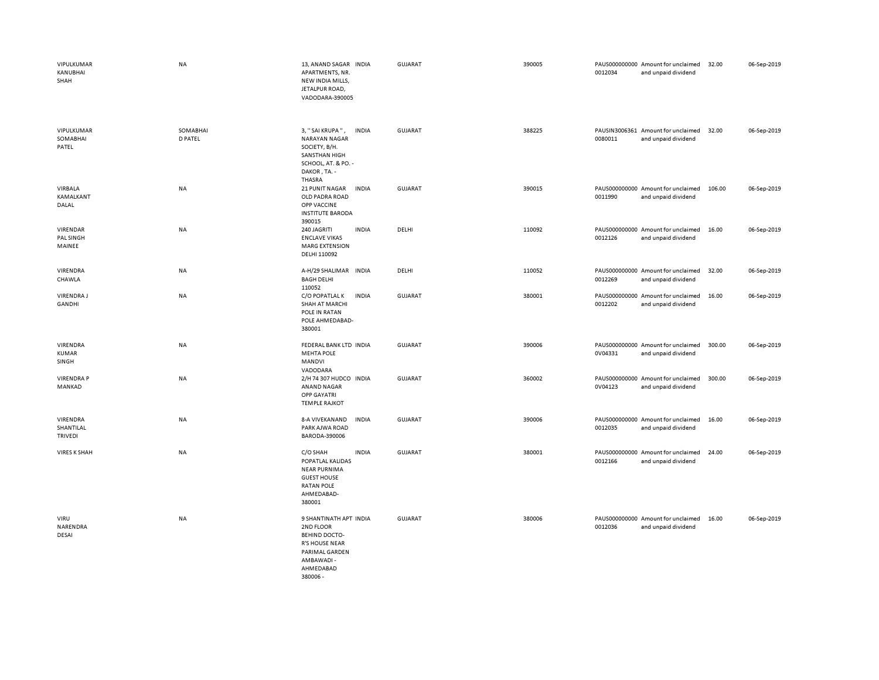| VIPULKUMAR<br>KANUBHAI<br>SHAH          | NA                         | 13, ANAND SAGAR INDIA<br>APARTMENTS, NR.<br>NEW INDIA MILLS,<br>JETALPUR ROAD,<br>VADODARA-390005                                      | GUJARAT        | 390005 | PAUS000000000 Amount for unclaimed<br>0012034<br>and unpaid dividend | 32.00  | 06-Sep-2019 |
|-----------------------------------------|----------------------------|----------------------------------------------------------------------------------------------------------------------------------------|----------------|--------|----------------------------------------------------------------------|--------|-------------|
| VIPULKUMAR<br>SOMABHAI<br>PATEL         | SOMABHAI<br><b>D PATEL</b> | 3, "SAI KRUPA",<br><b>INDIA</b><br>NARAYAN NAGAR<br>SOCIETY, B/H.<br>SANSTHAN HIGH<br>SCHOOL, AT. & PO. -<br>DAKOR, TA. -<br>THASRA    | GUJARAT        | 388225 | PAUSIN3006361 Amount for unclaimed<br>0080011<br>and unpaid dividend | 32.00  | 06-Sep-2019 |
| VIRBALA<br>KAMALKANT<br>DALAL           | NA                         | 21 PUNIT NAGAR<br><b>INDIA</b><br>OLD PADRA ROAD<br>OPP VACCINE<br><b>INSTITUTE BARODA</b><br>390015                                   | <b>GUJARAT</b> | 390015 | PAUS000000000 Amount for unclaimed<br>0011990<br>and unpaid dividend | 106.00 | 06-Sep-2019 |
| VIRENDAR<br>PAL SINGH<br>MAINEE         | NA                         | 240 JAGRITI<br><b>INDIA</b><br><b>ENCLAVE VIKAS</b><br><b>MARG EXTENSION</b><br>DELHI 110092                                           | DELHI          | 110092 | PAUS000000000 Amount for unclaimed<br>0012126<br>and unpaid dividend | 16.00  | 06-Sep-2019 |
| VIRENDRA<br>CHAWLA                      | NA                         | A-H/29 SHALIMAR INDIA<br><b>BAGH DELHI</b><br>110052                                                                                   | DELHI          | 110052 | PAUS000000000 Amount for unclaimed<br>0012269<br>and unpaid dividend | 32.00  | 06-Sep-2019 |
| <b>VIRENDRAJ</b><br><b>GANDHI</b>       | NA                         | C/O POPATLAL K<br><b>INDIA</b><br><b>SHAH AT MARCHI</b><br>POLE IN RATAN<br>POLE AHMEDABAD-<br>380001                                  | <b>GUJARAT</b> | 380001 | PAUS000000000 Amount for unclaimed<br>0012202<br>and unpaid dividend | 16.00  | 06-Sep-2019 |
| VIRENDRA<br><b>KUMAR</b><br>SINGH       | NA                         | FEDERAL BANK LTD INDIA<br><b>MEHTA POLE</b><br>MANDVI<br>VADODARA                                                                      | <b>GUJARAT</b> | 390006 | PAUS000000000 Amount for unclaimed<br>0V04331<br>and unpaid dividend | 300.00 | 06-Sep-2019 |
| <b>VIRENDRA P</b><br>MANKAD             | NA                         | 2/H 74 307 HUDCO INDIA<br>ANAND NAGAR<br><b>OPP GAYATRI</b><br><b>TEMPLE RAJKOT</b>                                                    | <b>GUJARAT</b> | 360002 | PAUS000000000 Amount for unclaimed<br>0V04123<br>and unpaid dividend | 300.00 | 06-Sep-2019 |
| VIRENDRA<br>SHANTILAL<br><b>TRIVEDI</b> | NA                         | 8-A VIVEKANAND<br><b>INDIA</b><br>PARK AJWA ROAD<br>BARODA-390006                                                                      | <b>GUJARAT</b> | 390006 | PAUS000000000 Amount for unclaimed<br>0012035<br>and unpaid dividend | 16.00  | 06-Sep-2019 |
| <b>VIRES K SHAH</b>                     | <b>NA</b>                  | C/O SHAH<br><b>INDIA</b><br>POPATLAL KALIDAS<br><b>NEAR PURNIMA</b><br><b>GUEST HOUSE</b><br><b>RATAN POLE</b><br>AHMEDABAD-<br>380001 | <b>GUJARAT</b> | 380001 | PAUS000000000 Amount for unclaimed<br>0012166<br>and unpaid dividend | 24.00  | 06-Sep-2019 |
| VIRU<br>NARENDRA<br><b>DESAI</b>        | NA                         | 9 SHANTINATH APT INDIA<br>2ND FLOOR<br><b>BEHIND DOCTO-</b><br><b>R'S HOUSE NEAR</b><br>PARIMAL GARDEN<br>AMBAWADI-<br>AHMEDABAD       | <b>GUJARAT</b> | 380006 | PAUS000000000 Amount for unclaimed<br>0012036<br>and unpaid dividend | 16.00  | 06-Sep-2019 |

380006 -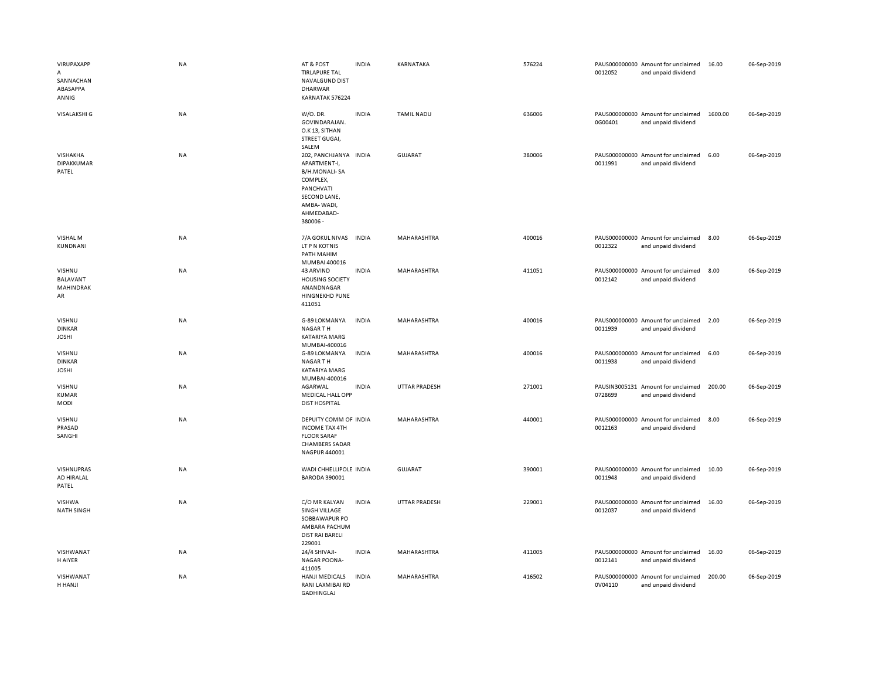| VIRUPAXAPP<br>$\mathsf{A}$<br>SANNACHAN<br>ABASAPPA<br>ANNIG | NA        | AT & POST<br><b>TIRLAPURE TAL</b><br>NAVALGUND DIST<br><b>DHARWAR</b><br>KARNATAK 576224                                                       | INDIA        | KARNATAKA            | 576224 | 0012052 | PAUS000000000 Amount for unclaimed<br>and unpaid dividend | 16.00   | 06-Sep-2019 |
|--------------------------------------------------------------|-----------|------------------------------------------------------------------------------------------------------------------------------------------------|--------------|----------------------|--------|---------|-----------------------------------------------------------|---------|-------------|
| <b>VISALAKSHI G</b>                                          | <b>NA</b> | W/O. DR.<br>GOVINDARAJAN.<br>O.K 13, SITHAN<br>STREET GUGAI,<br>SALEM                                                                          | <b>INDIA</b> | <b>TAMIL NADU</b>    | 636006 | 0G00401 | PAUS000000000 Amount for unclaimed<br>and unpaid dividend | 1600.00 | 06-Sep-2019 |
| VISHAKHA<br><b>DIPAKKUMAR</b><br>PATEL                       | <b>NA</b> | 202, PANCHJANYA INDIA<br>APARTMENT-I,<br><b>B/H.MONALI-SA</b><br>COMPLEX,<br>PANCHVATI<br>SECOND LANE,<br>AMBA-WADI,<br>AHMEDABAD-<br>380006 - |              | <b>GUJARAT</b>       | 380006 | 0011991 | PAUS000000000 Amount for unclaimed<br>and unpaid dividend | 6.00    | 06-Sep-2019 |
| VISHAL M<br>KUNDNANI                                         | <b>NA</b> | 7/A GOKUL NIVAS<br>LT P N KOTNIS<br>PATH MAHIM<br>MUMBAI 400016                                                                                | <b>INDIA</b> | MAHARASHTRA          | 400016 | 0012322 | PAUS000000000 Amount for unclaimed<br>and unpaid dividend | 8.00    | 06-Sep-2019 |
| VISHNU<br><b>BALAVANT</b><br>MAHINDRAK<br>AR                 | NA        | 43 ARVIND<br><b>HOUSING SOCIETY</b><br>ANANDNAGAR<br>HINGNEKHD PUNE<br>411051                                                                  | <b>INDIA</b> | MAHARASHTRA          | 411051 | 0012142 | PAUS000000000 Amount for unclaimed<br>and unpaid dividend | 8.00    | 06-Sep-2019 |
| VISHNU<br><b>DINKAR</b><br><b>JOSHI</b>                      | NA        | G-89 LOKMANYA<br>NAGAR TH<br>KATARIYA MARG<br>MUMBAI-400016                                                                                    | INDIA        | MAHARASHTRA          | 400016 | 0011939 | PAUS000000000 Amount for unclaimed<br>and unpaid dividend | 2.00    | 06-Sep-2019 |
| VISHNU<br><b>DINKAR</b><br><b>JOSHI</b>                      | <b>NA</b> | G-89 LOKMANYA<br><b>NAGARTH</b><br>KATARIYA MARG<br>MUMBAI-400016                                                                              | <b>INDIA</b> | MAHARASHTRA          | 400016 | 0011938 | PAUS000000000 Amount for unclaimed<br>and unpaid dividend | 6.00    | 06-Sep-2019 |
| VISHNU<br><b>KUMAR</b><br>MODI                               | <b>NA</b> | AGARWAL<br><b>MEDICAL HALL OPP</b><br><b>DIST HOSPITAL</b>                                                                                     | <b>INDIA</b> | <b>UTTAR PRADESH</b> | 271001 | 0728699 | PAUSIN3005131 Amount for unclaimed<br>and unpaid dividend | 200.00  | 06-Sep-2019 |
| VISHNU<br>PRASAD<br>SANGHI                                   | <b>NA</b> | DEPUITY COMM OF INDIA<br><b>INCOME TAX 4TH</b><br><b>FLOOR SARAF</b><br><b>CHAMBERS SADAR</b><br>NAGPUR 440001                                 |              | MAHARASHTRA          | 440001 | 0012163 | PAUS000000000 Amount for unclaimed<br>and unpaid dividend | 8.00    | 06-Sep-2019 |
| VISHNUPRAS<br>AD HIRALAL<br>PATEL                            | NA        | WADI CHHELLIPOLE INDIA<br><b>BARODA 390001</b>                                                                                                 |              | GUJARAT              | 390001 | 0011948 | PAUS000000000 Amount for unclaimed<br>and unpaid dividend | 10.00   | 06-Sep-2019 |
| VISHWA<br><b>NATH SINGH</b>                                  | <b>NA</b> | C/O MR KALYAN<br>SINGH VILLAGE<br>SOBBAWAPUR PO<br>AMBARA PACHUM<br><b>DIST RAI BARELI</b><br>229001                                           | <b>INDIA</b> | <b>UTTAR PRADESH</b> | 229001 | 0012037 | PAUS000000000 Amount for unclaimed<br>and unpaid dividend | 16.00   | 06-Sep-2019 |
| VISHWANAT<br>H AIYER                                         | NA        | 24/4 SHIVAJI-<br><b>NAGAR POONA-</b><br>411005                                                                                                 | INDIA        | MAHARASHTRA          | 411005 | 0012141 | PAUS000000000 Amount for unclaimed<br>and unpaid dividend | 16.00   | 06-Sep-2019 |
| VISHWANAT<br>H HANJI                                         | <b>NA</b> | <b>HANJI MEDICALS</b><br>RANI LAXMIBAI RD<br><b>GADHINGLAJ</b>                                                                                 | <b>INDIA</b> | <b>MAHARASHTRA</b>   | 416502 | 0V04110 | PAUS000000000 Amount for unclaimed<br>and unpaid dividend | 200.00  | 06-Sep-2019 |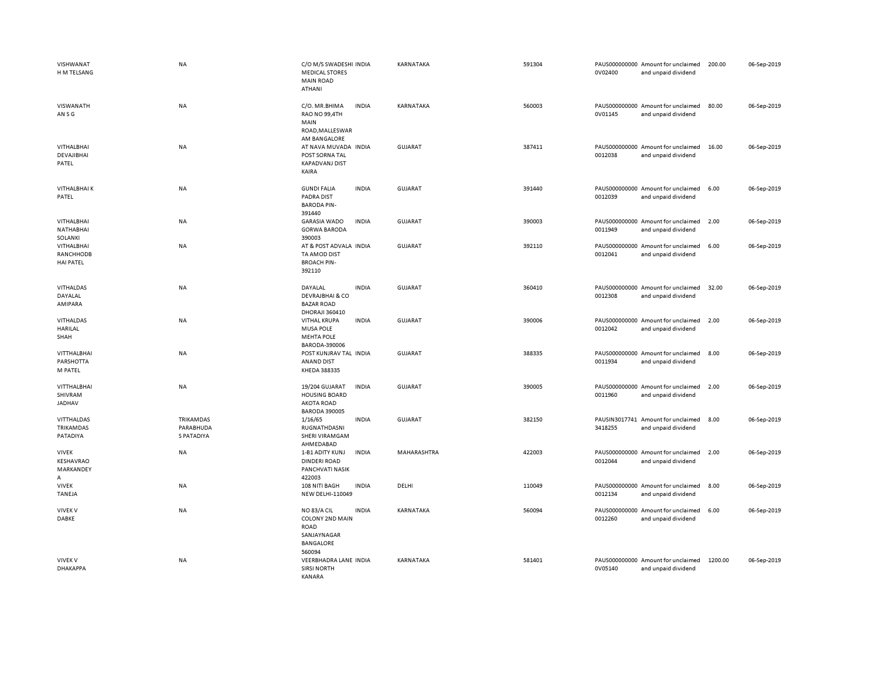| VISHWANAT<br>H M TELSANG                               | <b>NA</b>                                          | C/O M/S SWADESHI INDIA<br><b>MEDICAL STORES</b><br><b>MAIN ROAD</b><br><b>ATHANI</b>                | KARNATAKA      | 591304 | PAUS000000000 Amount for unclaimed<br>0V02400<br>and unpaid dividend    | 200.00<br>06-Sep-2019  |
|--------------------------------------------------------|----------------------------------------------------|-----------------------------------------------------------------------------------------------------|----------------|--------|-------------------------------------------------------------------------|------------------------|
| VISWANATH<br>AN S G                                    | NA                                                 | C/O. MR.BHIMA<br><b>INDIA</b><br>RAO NO 99,4TH<br>MAIN<br>ROAD, MALLESWAR                           | KARNATAKA      | 560003 | PAUS000000000 Amount for unclaimed<br>0V01145<br>and unpaid dividend    | 80.00<br>06-Sep-2019   |
| VITHALBHAI<br>DEVAJIBHAI<br>PATEL                      | <b>NA</b>                                          | AM BANGALORE<br>AT NAVA MUVADA INDIA<br>POST SORNA TAL<br><b>KAPADVANJ DIST</b><br>KAIRA            | <b>GUJARAT</b> | 387411 | PAUS000000000 Amount for unclaimed<br>0012038<br>and unpaid dividend    | 16.00<br>06-Sep-2019   |
| <b>VITHALBHAIK</b><br>PATEL                            | NA                                                 | <b>INDIA</b><br><b>GUNDI FALIA</b><br><b>PADRA DIST</b><br><b>BARODA PIN-</b><br>391440             | <b>GUJARAT</b> | 391440 | PAUS000000000 Amount for unclaimed<br>0012039<br>and unpaid dividend    | 6.00<br>06-Sep-2019    |
| <b>VITHALBHAI</b><br>NATHABHAI                         | <b>NA</b>                                          | <b>INDIA</b><br><b>GARASIA WADO</b><br><b>GORWA BARODA</b>                                          | <b>GUJARAT</b> | 390003 | PAUS000000000 Amount for unclaimed<br>0011949<br>and unpaid dividend    | 06-Sep-2019<br>2.00    |
| SOLANKI<br>VITHALBHAI<br>RANCHHODB<br><b>HAI PATEL</b> | <b>NA</b>                                          | 390003<br>AT & POST ADVALA INDIA<br>TA AMOD DIST<br><b>BROACH PIN-</b><br>392110                    | <b>GUJARAT</b> | 392110 | PAUS000000000 Amount for unclaimed<br>0012041<br>and unpaid dividend    | 6.00<br>06-Sep-2019    |
| VITHALDAS<br>DAYALAL<br>AMIPARA                        | <b>NA</b>                                          | DAYALAL<br><b>INDIA</b><br><b>DEVRAJBHAI &amp; CO</b><br><b>BAZAR ROAD</b><br>DHORAJI 360410        | <b>GUJARAT</b> | 360410 | PAUS000000000 Amount for unclaimed<br>0012308<br>and unpaid dividend    | 32.00<br>06-Sep-2019   |
| <b>VITHALDAS</b><br>HARILAL<br>SHAH                    | NA                                                 | <b>VITHAL KRUPA</b><br><b>INDIA</b><br><b>MUSA POLE</b><br><b>MEHTA POLE</b><br>BARODA-390006       | <b>GUJARAT</b> | 390006 | PAUS000000000 Amount for unclaimed<br>0012042<br>and unpaid dividend    | 2.00<br>06-Sep-2019    |
| VITTHALBHAI<br>PARSHOTTA<br>M PATEL                    | NA                                                 | POST KUNJRAV TAL INDIA<br>ANAND DIST<br>KHEDA 388335                                                | <b>GUJARAT</b> | 388335 | PAUS000000000 Amount for unclaimed<br>0011934<br>and unpaid dividend    | 06-Sep-2019<br>8.00    |
| VITTHALBHAI<br>SHIVRAM<br>JADHAV                       | NA                                                 | 19/204 GUJARAT<br><b>INDIA</b><br><b>HOUSING BOARD</b><br><b>AKOTA ROAD</b><br><b>BARODA 390005</b> | <b>GUJARAT</b> | 390005 | PAUS000000000 Amount for unclaimed<br>0011960<br>and unpaid dividend    | 06-Sep-2019<br>2.00    |
| VITTHALDAS<br>TRIKAMDAS<br>PATADIYA                    | <b>TRIKAMDAS</b><br>PARABHUDA<br><b>S PATADIYA</b> | <b>INDIA</b><br>1/16/65<br>RUGNATHDASNI<br><b>SHERI VIRAMGAM</b><br>AHMEDABAD                       | <b>GUJARAT</b> | 382150 | PAUSIN3017741<br>Amount for unclaimed<br>3418255<br>and unpaid dividend | 8.00<br>06-Sep-2019    |
| <b>VIVEK</b><br>KESHAVRAO<br><b>MARKANDEY</b><br>А     | NA                                                 | <b>INDIA</b><br>1-B1 ADITY KUNJ<br><b>DINDERI ROAD</b><br>PANCHVATI NASIK<br>422003                 | MAHARASHTRA    | 422003 | PAUS000000000 Amount for unclaimed<br>0012044<br>and unpaid dividend    | 06-Sep-2019<br>2.00    |
| <b>VIVEK</b><br><b>TANEJA</b>                          | <b>NA</b>                                          | <b>INDIA</b><br>108 NITI BAGH<br>NEW DELHI-110049                                                   | DELHI          | 110049 | PAUS000000000 Amount for unclaimed<br>0012134<br>and unpaid dividend    | 8.00<br>06-Sep-2019    |
| <b>VIVEK V</b><br><b>DABKE</b>                         | NA                                                 | <b>INDIA</b><br>NO 83/A CIL<br>COLONY 2ND MAIN<br>ROAD<br>SANJAYNAGAR<br><b>BANGALORE</b><br>560094 | KARNATAKA      | 560094 | PAUS000000000 Amount for unclaimed<br>0012260<br>and unpaid dividend    | 06-Sep-2019<br>6.00    |
| <b>VIVEK V</b><br><b><i>DHAKAPPA</i></b>               | NA                                                 | VEERBHADRA LANE INDIA<br><b>SIRSI NORTH</b><br>KANARA                                               | KARNATAKA      | 581401 | PAUS000000000 Amount for unclaimed<br>0V05140<br>and unpaid dividend    | 1200.00<br>06-Sep-2019 |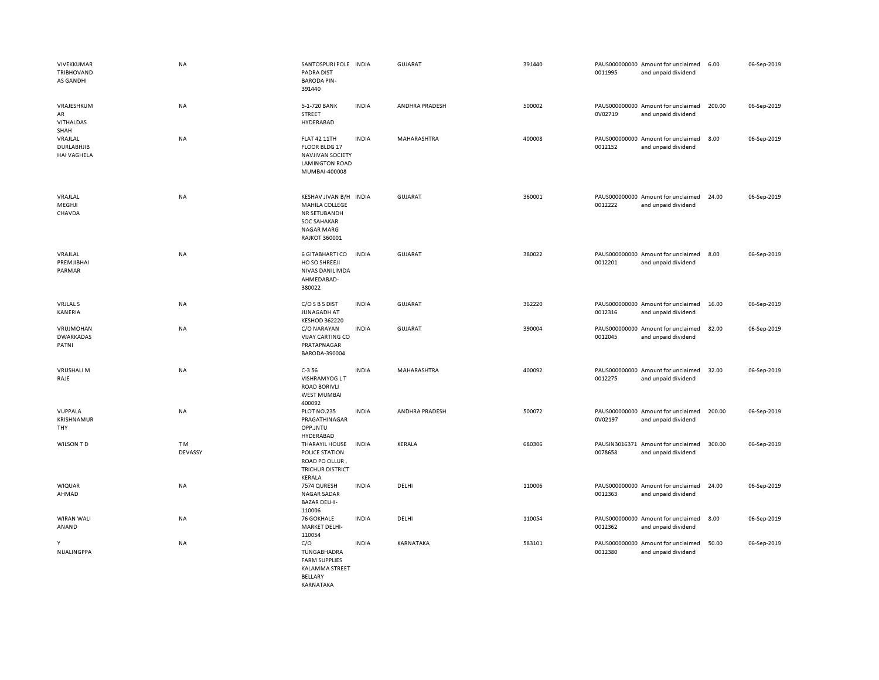| VIVEKKUMAR<br><b>TRIBHOVAND</b><br><b>AS GANDHI</b> | <b>NA</b>     | SANTOSPURI POLE INDIA<br><b>PADRA DIST</b><br><b>BARODA PIN-</b><br>391440                                            |              | GUJARAT        | 391440 | 0011995 | PAUS000000000 Amount for unclaimed<br>and unpaid dividend | 6.00   | 06-Sep-2019 |
|-----------------------------------------------------|---------------|-----------------------------------------------------------------------------------------------------------------------|--------------|----------------|--------|---------|-----------------------------------------------------------|--------|-------------|
| VRAJESHKUM<br>AR<br><b>VITHALDAS</b><br>SHAH        | NA            | 5-1-720 BANK<br>STREET<br>HYDERABAD                                                                                   | <b>INDIA</b> | ANDHRA PRADESH | 500002 | 0V02719 | PAUS000000000 Amount for unclaimed<br>and unpaid dividend | 200.00 | 06-Sep-2019 |
| VRAJLAL<br><b>DURLABHJIB</b><br><b>HAI VAGHELA</b>  | NA            | <b>FLAT 42 11TH</b><br>FLOOR BLDG 17<br><b>NAVJIVAN SOCIETY</b><br><b>LAMINGTON ROAD</b><br>MUMBAI-400008             | <b>INDIA</b> | MAHARASHTRA    | 400008 | 0012152 | PAUS000000000 Amount for unclaimed<br>and unpaid dividend | 8.00   | 06-Sep-2019 |
| VRAJLAL<br>MEGHJI<br>CHAVDA                         | NA            | KESHAV JIVAN B/H<br>MAHILA COLLEGE<br>NR SETUBANDH<br><b>SOC SAHAKAR</b><br><b>NAGAR MARG</b><br><b>RAJKOT 360001</b> | <b>INDIA</b> | <b>GUJARAT</b> | 360001 | 0012222 | PAUS000000000 Amount for unclaimed<br>and unpaid dividend | 24.00  | 06-Sep-2019 |
| VRAJLAL<br>PREMJIBHAI<br>PARMAR                     | <b>NA</b>     | 6 GITABHARTI CO<br>HO SO SHREEJI<br>NIVAS DANILIMDA<br>AHMEDABAD-<br>380022                                           | <b>INDIA</b> | <b>GUJARAT</b> | 380022 | 0012201 | PAUS000000000 Amount for unclaimed<br>and unpaid dividend | 8.00   | 06-Sep-2019 |
| <b>VRJLAL S</b><br>KANERIA                          | <b>NA</b>     | C/O S B S DIST<br><b>JUNAGADH AT</b><br><b>KESHOD 362220</b>                                                          | <b>INDIA</b> | GUJARAT        | 362220 | 0012316 | PAUS000000000 Amount for unclaimed<br>and unpaid dividend | 16.00  | 06-Sep-2019 |
| VRUJMOHAN<br><b>DWARKADAS</b><br>PATNI              | NA            | C/O NARAYAN<br>VIJAY CARTING CO<br>PRATAPNAGAR<br>BARODA-390004                                                       | <b>INDIA</b> | <b>GUJARAT</b> | 390004 | 0012045 | PAUS000000000 Amount for unclaimed<br>and unpaid dividend | 82.00  | 06-Sep-2019 |
| <b>VRUSHALI M</b><br>RAJE                           | <b>NA</b>     | $C-356$<br><b>VISHRAMYOG LT</b><br><b>ROAD BORIVLI</b><br><b>WEST MUMBAI</b><br>400092                                | <b>INDIA</b> | MAHARASHTRA    | 400092 | 0012275 | PAUS000000000 Amount for unclaimed<br>and unpaid dividend | 32.00  | 06-Sep-2019 |
| VUPPALA<br>KRISHNAMUR<br>THY                        | <b>NA</b>     | PLOT NO.235<br>PRAGATHINAGAR<br>OPP.JNTU<br>HYDERABAD                                                                 | <b>INDIA</b> | ANDHRA PRADESH | 500072 | 0V02197 | PAUS000000000 Amount for unclaimed<br>and unpaid dividend | 200.00 | 06-Sep-2019 |
| WILSON TD                                           | TM<br>DEVASSY | THARAYIL HOUSE<br><b>POLICE STATION</b><br>ROAD PO OLLUR,<br><b>TRICHUR DISTRICT</b><br>KERALA                        | <b>INDIA</b> | KERALA         | 680306 | 0078658 | PAUSIN3016371 Amount for unclaimed<br>and unpaid dividend | 300.00 | 06-Sep-2019 |
| <b>WIQUAR</b><br>AHMAD                              | NA            | 7574 QURESH<br><b>NAGAR SADAR</b><br><b>BAZAR DELHI-</b><br>110006                                                    | <b>INDIA</b> | DELHI          | 110006 | 0012363 | PAUS000000000 Amount for unclaimed<br>and unpaid dividend | 24.00  | 06-Sep-2019 |
| <b>WIRAN WALI</b><br>ANAND                          | NA            | <b>76 GOKHALE</b><br>MARKET DELHI-<br>110054                                                                          | <b>INDIA</b> | DELHI          | 110054 | 0012362 | PAUS000000000 Amount for unclaimed<br>and unpaid dividend | 8.00   | 06-Sep-2019 |
| Y<br>NIJALINGPPA                                    | NA            | C/O<br>TUNGABHADRA<br><b>FARM SUPPLIES</b><br>KALAMMA STREET<br><b>BELLARY</b>                                        | <b>INDIA</b> | KARNATAKA      | 583101 | 0012380 | PAUS000000000 Amount for unclaimed<br>and unpaid dividend | 50.00  | 06-Sep-2019 |

KARNATAKA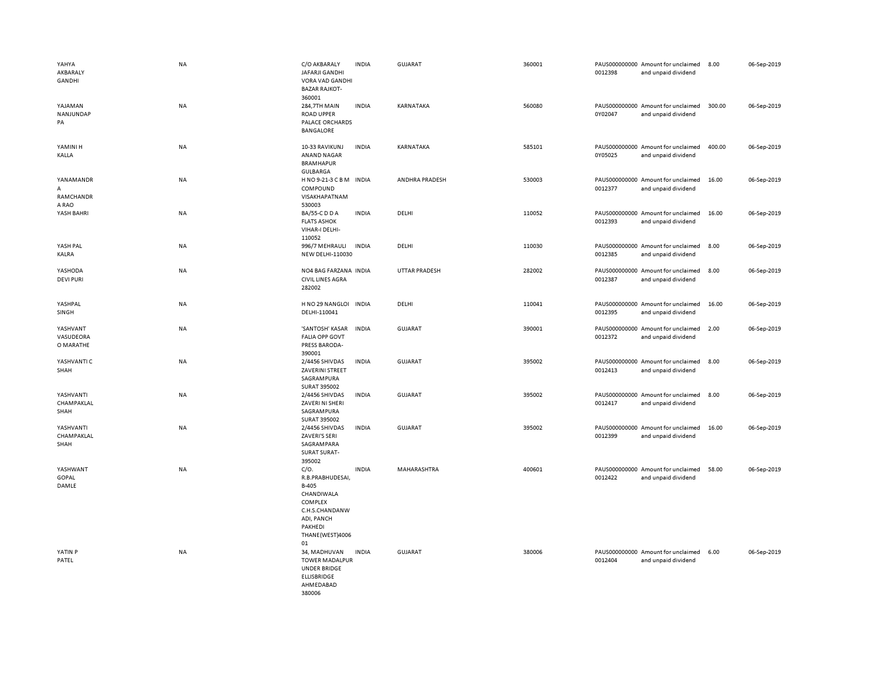| YAHYA<br>AKBARALY<br>GANDHI<br>YAJAMAN<br>NANJUNDAP<br>PA | <b>NA</b><br>NA | C/O AKBARALY<br>JAFARJI GANDHI<br>VORA VAD GANDHI<br><b>BAZAR RAJKOT-</b><br>360001<br>284,7TH MAIN<br><b>ROAD UPPER</b><br>PALACE ORCHARDS | <b>INDIA</b><br><b>INDIA</b> | GUJARAT<br>KARNATAKA | 360001<br>560080 | 0012398<br>0Y02047 | PAUS000000000 Amount for unclaimed<br>and unpaid dividend<br>PAUS000000000 Amount for unclaimed<br>and unpaid dividend | 8.00<br>300.00 | 06-Sep-2019<br>06-Sep-2019 |
|-----------------------------------------------------------|-----------------|---------------------------------------------------------------------------------------------------------------------------------------------|------------------------------|----------------------|------------------|--------------------|------------------------------------------------------------------------------------------------------------------------|----------------|----------------------------|
| YAMINI H                                                  | <b>NA</b>       | <b>BANGALORE</b><br>10-33 RAVIKUNJ                                                                                                          | <b>INDIA</b>                 | KARNATAKA            | 585101           |                    | PAUS000000000 Amount for unclaimed                                                                                     | 400.00         | 06-Sep-2019                |
| KALLA                                                     |                 | <b>ANAND NAGAR</b><br><b>BRAMHAPUR</b><br>GULBARGA                                                                                          |                              |                      |                  | 0Y05025            | and unpaid dividend                                                                                                    |                |                            |
| YANAMANDR<br>A<br>RAMCHANDR<br>A RAO                      | NA              | HNO9-21-3 CBM INDIA<br>COMPOUND<br>VISAKHAPATNAM<br>530003                                                                                  |                              | ANDHRA PRADESH       | 530003           | 0012377            | PAUS000000000 Amount for unclaimed<br>and unpaid dividend                                                              | 16.00          | 06-Sep-2019                |
| YASH BAHRI                                                | <b>NA</b>       | BA/55-C D D A<br><b>FLATS ASHOK</b><br>VIHAR-I DELHI-                                                                                       | <b>INDIA</b>                 | DELHI                | 110052           | 0012393            | PAUS000000000 Amount for unclaimed<br>and unpaid dividend                                                              | 16.00          | 06-Sep-2019                |
| YASH PAL<br>KALRA                                         | NA              | 110052<br>996/7 MEHRAULI<br>NEW DELHI-110030                                                                                                | <b>INDIA</b>                 | DELHI                | 110030           | 0012385            | PAUS000000000 Amount for unclaimed<br>and unpaid dividend                                                              | 8.00           | 06-Sep-2019                |
| YASHODA<br><b>DEVI PURI</b>                               | NA              | NO4 BAG FARZANA INDIA<br><b>CIVIL LINES AGRA</b><br>282002                                                                                  |                              | <b>UTTAR PRADESH</b> | 282002           | 0012387            | PAUS000000000 Amount for unclaimed<br>and unpaid dividend                                                              | 8.00           | 06-Sep-2019                |
| YASHPAL<br>SINGH                                          | <b>NA</b>       | H NO 29 NANGLOI INDIA<br>DELHI-110041                                                                                                       |                              | DELHI                | 110041           | 0012395            | PAUS000000000 Amount for unclaimed<br>and unpaid dividend                                                              | 16.00          | 06-Sep-2019                |
| YASHVANT<br>VASUDEORA<br>O MARATHE                        | NA              | 'SANTOSH' KASAR<br><b>FALIA OPP GOVT</b><br>PRESS BARODA-<br>390001                                                                         | <b>INDIA</b>                 | <b>GUJARAT</b>       | 390001           | 0012372            | PAUS000000000 Amount for unclaimed<br>and unpaid dividend                                                              | 2.00           | 06-Sep-2019                |
| YASHVANTI C<br>SHAH                                       | <b>NA</b>       | 2/4456 SHIVDAS<br>ZAVERINI STREET<br>SAGRAMPURA<br>SURAT 395002                                                                             | <b>INDIA</b>                 | GUJARAT              | 395002           | 0012413            | PAUS000000000 Amount for unclaimed<br>and unpaid dividend                                                              | 8.00           | 06-Sep-2019                |
| YASHVANTI<br>CHAMPAKLAL<br>SHAH                           | NA              | 2/4456 SHIVDAS<br>ZAVERI NI SHERI<br>SAGRAMPURA                                                                                             | <b>INDIA</b>                 | <b>GUJARAT</b>       | 395002           | 0012417            | PAUS000000000 Amount for unclaimed<br>and unpaid dividend                                                              | 8.00           | 06-Sep-2019                |
| YASHVANTI<br>CHAMPAKLAL<br>SHAH                           | NA              | SURAT 395002<br>2/4456 SHIVDAS<br>ZAVERI'S SERI<br>SAGRAMPARA<br><b>SURAT SURAT-</b><br>395002                                              | <b>INDIA</b>                 | <b>GUJARAT</b>       | 395002           | 0012399            | PAUS000000000 Amount for unclaimed<br>and unpaid dividend                                                              | 16.00          | 06-Sep-2019                |
| YASHWANT<br>GOPAL<br>DAMLE                                | NA              | C/O.<br>R.B.PRABHUDESAI,<br>B-405<br>CHANDIWALA<br>COMPLEX<br>C.H.S.CHANDANW<br>ADI, PANCH<br>PAKHEDI<br>THANE(WEST)4006<br>01              | <b>INDIA</b>                 | MAHARASHTRA          | 400601           | 0012422            | PAUS000000000 Amount for unclaimed<br>and unpaid dividend                                                              | 58.00          | 06-Sep-2019                |
| YATIN P<br>PATEL                                          | NA              | 34, MADHUVAN<br><b>TOWER MADALPUR</b><br><b>UNDER BRIDGE</b><br><b>ELLISBRIDGE</b><br>AHMEDABAD<br>380006                                   | <b>INDIA</b>                 | <b>GUJARAT</b>       | 380006           | 0012404            | PAUS000000000 Amount for unclaimed<br>and unpaid dividend                                                              | 6.00           | 06-Sep-2019                |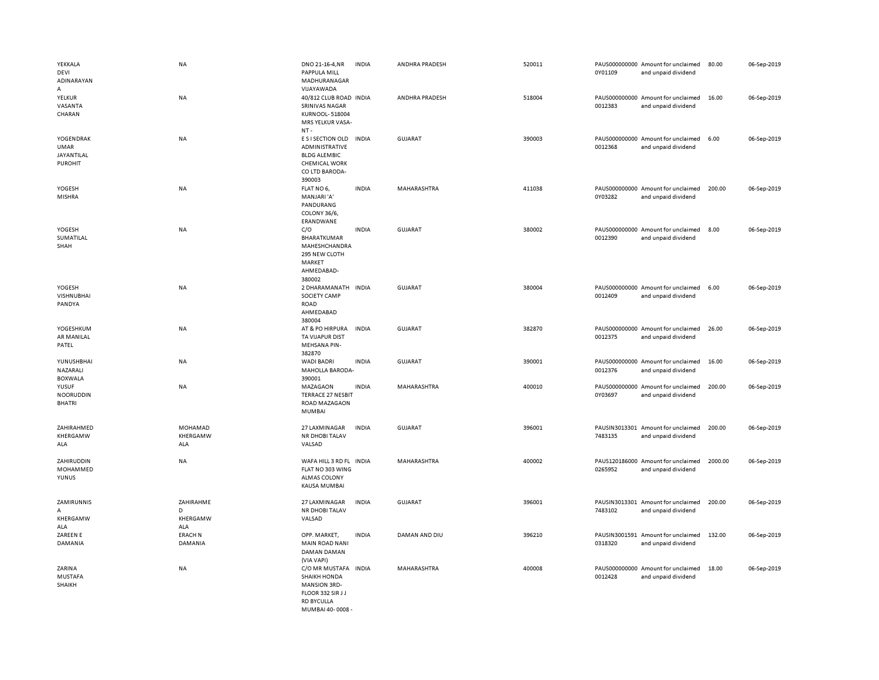| YEKKALA<br>DEVI<br>ADINARAYAN<br>Α                | NA                                | DNO 21-16-4, NR<br>PAPPULA MILL<br>MADHURANAGAR<br>VIJAYAWADA                                                          | <b>INDIA</b> | ANDHRA PRADESH     | 520011 | 0Y01109 | PAUS000000000 Amount for unclaimed<br>and unpaid dividend | 80.00   | 06-Sep-2019 |
|---------------------------------------------------|-----------------------------------|------------------------------------------------------------------------------------------------------------------------|--------------|--------------------|--------|---------|-----------------------------------------------------------|---------|-------------|
| YELKUR<br>VASANTA<br>CHARAN                       | NA                                | 40/812 CLUB ROAD INDIA<br>SRINIVAS NAGAR<br><b>KURNOOL-518004</b><br>MRS YELKUR VASA-<br>$NT -$                        |              | ANDHRA PRADESH     | 518004 | 0012383 | PAUS000000000 Amount for unclaimed<br>and unpaid dividend | 16.00   | 06-Sep-2019 |
| YOGENDRAK<br>UMAR<br>JAYANTILAL<br><b>PUROHIT</b> | <b>NA</b>                         | E S I SECTION OLD<br>ADMINISTRATIVE<br><b>BLDG ALEMBIC</b><br><b>CHEMICAL WORK</b><br>CO LTD BARODA-<br>390003         | <b>INDIA</b> | GUJARAT            | 390003 | 0012368 | PAUS000000000 Amount for unclaimed<br>and unpaid dividend | 6.00    | 06-Sep-2019 |
| YOGESH<br><b>MISHRA</b>                           | <b>NA</b>                         | FLAT NO 6,<br>MANJARI'A'<br>PANDURANG<br>COLONY 36/6,<br>ERANDWANE                                                     | <b>INDIA</b> | <b>MAHARASHTRA</b> | 411038 | 0Y03282 | PAUS000000000 Amount for unclaimed<br>and unpaid dividend | 200.00  | 06-Sep-2019 |
| YOGESH<br>SUMATILAL<br>SHAH                       | <b>NA</b>                         | C/O<br>BHARATKUMAR<br>MAHESHCHANDRA<br>295 NEW CLOTH<br>MARKET<br>AHMEDABAD-<br>380002                                 | <b>INDIA</b> | <b>GUJARAT</b>     | 380002 | 0012390 | PAUS000000000 Amount for unclaimed<br>and unpaid dividend | 8.00    | 06-Sep-2019 |
| YOGESH<br><b>VISHNUBHAI</b><br>PANDYA             | NA                                | 2 DHARAMANATH<br>SOCIETY CAMP<br><b>ROAD</b><br>AHMEDABAD<br>380004                                                    | <b>INDIA</b> | <b>GUJARAT</b>     | 380004 | 0012409 | PAUS000000000 Amount for unclaimed<br>and unpaid dividend | 6.00    | 06-Sep-2019 |
| YOGESHKUM<br>AR MANILAL<br>PATEL                  | NA                                | AT & PO HIRPURA<br>TA VIJAPUR DIST<br>MEHSANA PIN-<br>382870                                                           | <b>INDIA</b> | <b>GUJARAT</b>     | 382870 | 0012375 | PAUS000000000 Amount for unclaimed<br>and unpaid dividend | 26.00   | 06-Sep-2019 |
| YUNUSHBHAI<br>NAZARALI<br><b>BOXWALA</b>          | <b>NA</b>                         | <b>WADI BADRI</b><br>MAHOLLA BARODA-<br>390001                                                                         | <b>INDIA</b> | <b>GUJARAT</b>     | 390001 | 0012376 | PAUS000000000 Amount for unclaimed<br>and unpaid dividend | 16.00   | 06-Sep-2019 |
| YUSUF<br><b>NOORUDDIN</b><br><b>BHATRI</b>        | <b>NA</b>                         | MAZAGAON<br><b>TERRACE 27 NESBIT</b><br>ROAD MAZAGAON<br>MUMBAI                                                        | <b>INDIA</b> | MAHARASHTRA        | 400010 | 0Y03697 | PAUS000000000 Amount for unclaimed<br>and unpaid dividend | 200.00  | 06-Sep-2019 |
| ZAHIRAHMED<br>KHERGAMW<br>ALA                     | MOHAMAD<br>KHERGAMW<br>ALA        | 27 LAXMINAGAR<br>NR DHOBI TALAV<br>VALSAD                                                                              | <b>INDIA</b> | <b>GUJARAT</b>     | 396001 | 7483135 | PAUSIN3013301 Amount for unclaimed<br>and unpaid dividend | 200.00  | 06-Sep-2019 |
| ZAHIRUDDIN<br>MOHAMMED<br>YUNUS                   | NA                                | WAFA HILL 3 RD FL INDIA<br>FLAT NO 303 WING<br>ALMAS COLONY<br><b>KAUSA MUMBAI</b>                                     |              | MAHARASHTRA        | 400002 | 0265952 | PAUS120186000 Amount for unclaimed<br>and unpaid dividend | 2000.00 | 06-Sep-2019 |
| ZAMIRUNNIS<br>A<br>KHERGAMW<br>ALA                | ZAHIRAHME<br>D<br>KHERGAMW<br>ALA | 27 LAXMINAGAR<br>NR DHOBI TALAV<br>VALSAD                                                                              | <b>INDIA</b> | <b>GUJARAT</b>     | 396001 | 7483102 | PAUSIN3013301 Amount for unclaimed<br>and unpaid dividend | 200.00  | 06-Sep-2019 |
| ZAREEN E<br>DAMANIA                               | <b>ERACH N</b><br>DAMANIA         | OPP. MARKET,<br><b>MAIN ROAD NANI</b><br>DAMAN DAMAN<br>(VIA VAPI)                                                     | <b>INDIA</b> | DAMAN AND DIU      | 396210 | 0318320 | PAUSIN3001591 Amount for unclaimed<br>and unpaid dividend | 132.00  | 06-Sep-2019 |
| ZARINA<br><b>MUSTAFA</b><br>SHAIKH                | ΝA                                | C/O MR MUSTAFA<br><b>SHAIKH HONDA</b><br><b>MANSION 3RD-</b><br>FLOOR 332 SIR JJ<br><b>RD BYCULLA</b><br>MUMBAL40-0008 | <b>INDIA</b> | MAHARASHTRA        | 400008 | 0012428 | PAUS000000000 Amount for unclaimed<br>and unpaid dividend | 18.00   | 06-Sep-2019 |